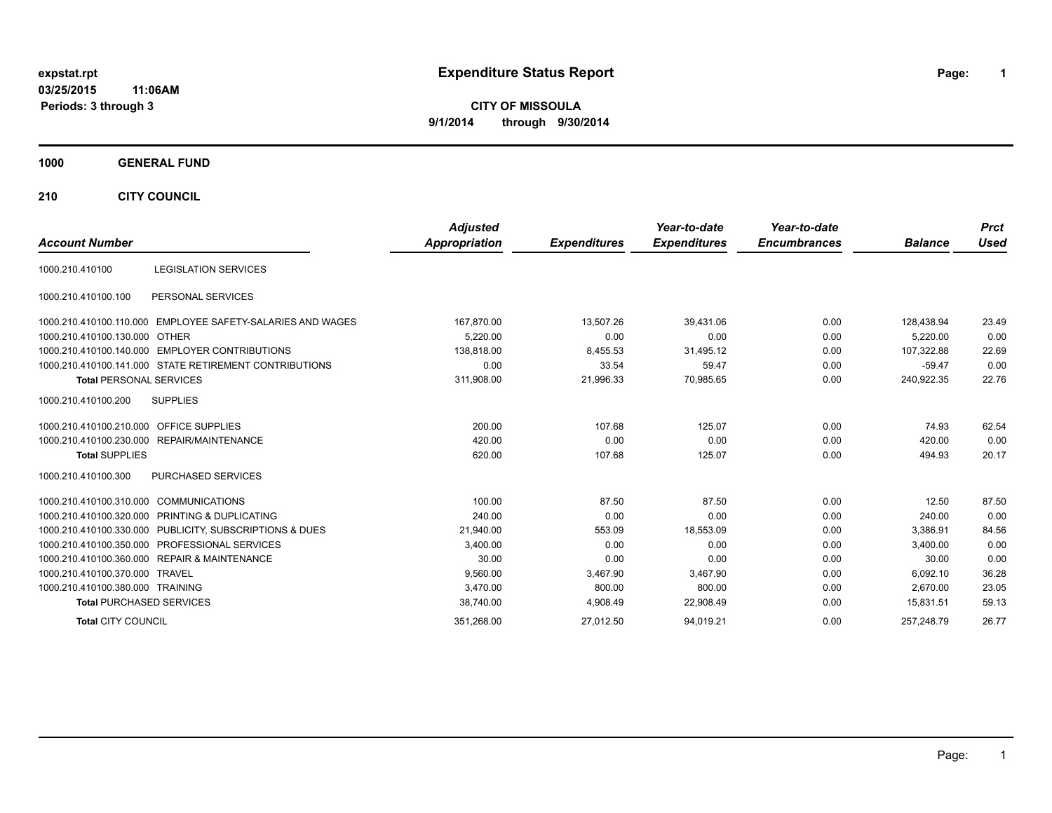# **expstat.rpt Expenditure Status Report Page:**

**1**

**CITY OF MISSOULA 9/1/2014 through 9/30/2014**

#### **1000 GENERAL FUND**

**210 CITY COUNCIL**

|                                                            | <b>Adjusted</b>      |                     | Year-to-date        | Year-to-date        |                | <b>Prct</b> |
|------------------------------------------------------------|----------------------|---------------------|---------------------|---------------------|----------------|-------------|
| <b>Account Number</b>                                      | <b>Appropriation</b> | <b>Expenditures</b> | <b>Expenditures</b> | <b>Encumbrances</b> | <b>Balance</b> | <b>Used</b> |
| <b>LEGISLATION SERVICES</b><br>1000.210.410100             |                      |                     |                     |                     |                |             |
| PERSONAL SERVICES<br>1000.210.410100.100                   |                      |                     |                     |                     |                |             |
| 1000.210.410100.110.000 EMPLOYEE SAFETY-SALARIES AND WAGES | 167,870.00           | 13,507.26           | 39,431.06           | 0.00                | 128,438.94     | 23.49       |
| 1000.210.410100.130.000 OTHER                              | 5.220.00             | 0.00                | 0.00                | 0.00                | 5.220.00       | 0.00        |
| 1000.210.410100.140.000 EMPLOYER CONTRIBUTIONS             | 138.818.00           | 8,455.53            | 31,495.12           | 0.00                | 107,322.88     | 22.69       |
| 1000.210.410100.141.000 STATE RETIREMENT CONTRIBUTIONS     | 0.00                 | 33.54               | 59.47               | 0.00                | $-59.47$       | 0.00        |
| <b>Total PERSONAL SERVICES</b>                             | 311,908.00           | 21,996.33           | 70,985.65           | 0.00                | 240,922.35     | 22.76       |
| <b>SUPPLIES</b><br>1000.210.410100.200                     |                      |                     |                     |                     |                |             |
| 1000.210.410100.210.000 OFFICE SUPPLIES                    | 200.00               | 107.68              | 125.07              | 0.00                | 74.93          | 62.54       |
| 1000.210.410100.230.000 REPAIR/MAINTENANCE                 | 420.00               | 0.00                | 0.00                | 0.00                | 420.00         | 0.00        |
| <b>Total SUPPLIES</b>                                      | 620.00               | 107.68              | 125.07              | 0.00                | 494.93         | 20.17       |
| <b>PURCHASED SERVICES</b><br>1000.210.410100.300           |                      |                     |                     |                     |                |             |
| 1000.210.410100.310.000 COMMUNICATIONS                     | 100.00               | 87.50               | 87.50               | 0.00                | 12.50          | 87.50       |
| 1000.210.410100.320.000 PRINTING & DUPLICATING             | 240.00               | 0.00                | 0.00                | 0.00                | 240.00         | 0.00        |
| 1000.210.410100.330.000 PUBLICITY, SUBSCRIPTIONS & DUES    | 21,940.00            | 553.09              | 18,553.09           | 0.00                | 3,386.91       | 84.56       |
| 1000.210.410100.350.000 PROFESSIONAL SERVICES              | 3,400.00             | 0.00                | 0.00                | 0.00                | 3.400.00       | 0.00        |
| 1000.210.410100.360.000 REPAIR & MAINTENANCE               | 30.00                | 0.00                | 0.00                | 0.00                | 30.00          | 0.00        |
| 1000.210.410100.370.000 TRAVEL                             | 9,560.00             | 3,467.90            | 3.467.90            | 0.00                | 6.092.10       | 36.28       |
| 1000.210.410100.380.000 TRAINING                           | 3.470.00             | 800.00              | 800.00              | 0.00                | 2.670.00       | 23.05       |
| <b>Total PURCHASED SERVICES</b>                            | 38,740.00            | 4,908.49            | 22,908.49           | 0.00                | 15.831.51      | 59.13       |
| <b>Total CITY COUNCIL</b>                                  | 351,268.00           | 27,012.50           | 94,019.21           | 0.00                | 257.248.79     | 26.77       |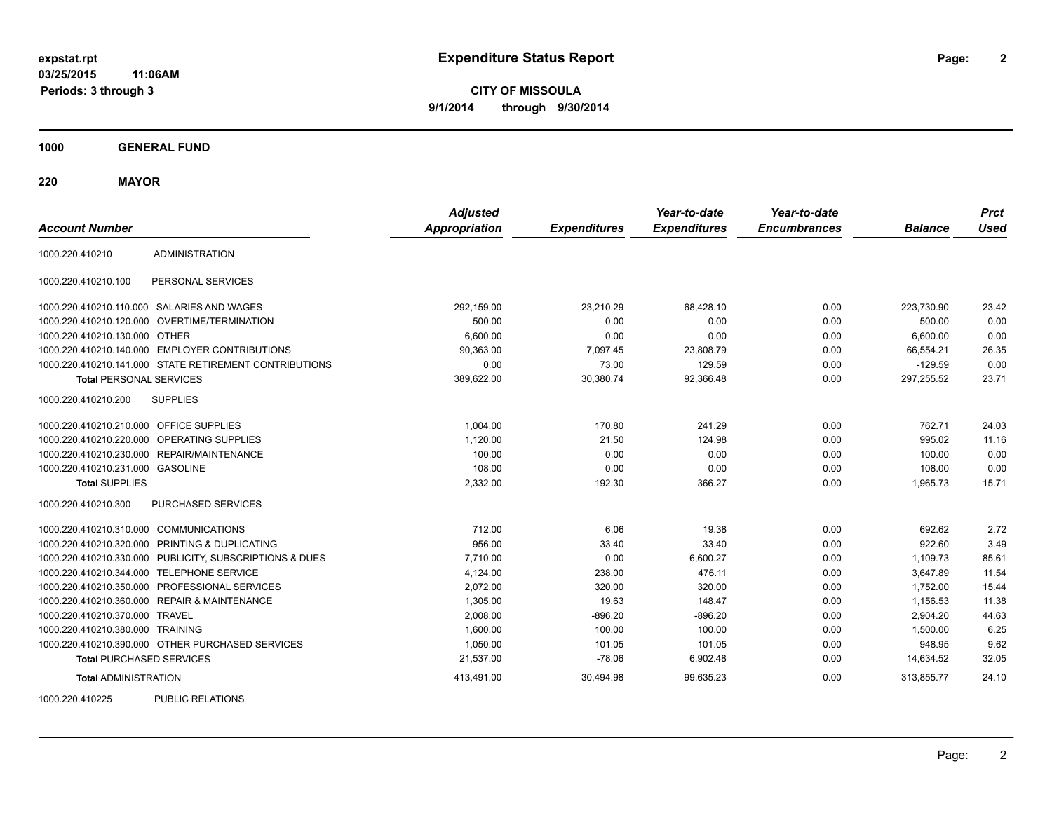**CITY OF MISSOULA 9/1/2014 through 9/30/2014**

**1000 GENERAL FUND**

**220 MAYOR**

| <b>Account Number</b>                   |                                                         | <b>Adjusted</b><br><b>Appropriation</b> | <b>Expenditures</b> | Year-to-date<br><b>Expenditures</b> | Year-to-date<br><b>Encumbrances</b> | <b>Balance</b> | <b>Prct</b><br>Used |
|-----------------------------------------|---------------------------------------------------------|-----------------------------------------|---------------------|-------------------------------------|-------------------------------------|----------------|---------------------|
| 1000.220.410210                         | <b>ADMINISTRATION</b>                                   |                                         |                     |                                     |                                     |                |                     |
| 1000.220.410210.100                     | PERSONAL SERVICES                                       |                                         |                     |                                     |                                     |                |                     |
|                                         | 1000.220.410210.110.000 SALARIES AND WAGES              | 292,159.00                              | 23,210.29           | 68,428.10                           | 0.00                                | 223,730.90     | 23.42               |
| 1000.220.410210.120.000                 | <b>OVERTIME/TERMINATION</b>                             | 500.00                                  | 0.00                | 0.00                                | 0.00                                | 500.00         | 0.00                |
| 1000.220.410210.130.000 OTHER           |                                                         | 6,600.00                                | 0.00                | 0.00                                | 0.00                                | 6,600.00       | 0.00                |
|                                         | 1000.220.410210.140.000 EMPLOYER CONTRIBUTIONS          | 90,363.00                               | 7,097.45            | 23,808.79                           | 0.00                                | 66,554.21      | 26.35               |
|                                         | 1000.220.410210.141.000 STATE RETIREMENT CONTRIBUTIONS  | 0.00                                    | 73.00               | 129.59                              | 0.00                                | $-129.59$      | 0.00                |
| <b>Total PERSONAL SERVICES</b>          |                                                         | 389,622.00                              | 30,380.74           | 92,366.48                           | 0.00                                | 297,255.52     | 23.71               |
| 1000.220.410210.200                     | <b>SUPPLIES</b>                                         |                                         |                     |                                     |                                     |                |                     |
| 1000.220.410210.210.000 OFFICE SUPPLIES |                                                         | 1.004.00                                | 170.80              | 241.29                              | 0.00                                | 762.71         | 24.03               |
| 1000.220.410210.220.000                 | <b>OPERATING SUPPLIES</b>                               | 1,120.00                                | 21.50               | 124.98                              | 0.00                                | 995.02         | 11.16               |
| 1000.220.410210.230.000                 | REPAIR/MAINTENANCE                                      | 100.00                                  | 0.00                | 0.00                                | 0.00                                | 100.00         | 0.00                |
| 1000.220.410210.231.000 GASOLINE        |                                                         | 108.00                                  | 0.00                | 0.00                                | 0.00                                | 108.00         | 0.00                |
| <b>Total SUPPLIES</b>                   |                                                         | 2,332.00                                | 192.30              | 366.27                              | 0.00                                | 1,965.73       | 15.71               |
| 1000.220.410210.300                     | PURCHASED SERVICES                                      |                                         |                     |                                     |                                     |                |                     |
| 1000.220.410210.310.000 COMMUNICATIONS  |                                                         | 712.00                                  | 6.06                | 19.38                               | 0.00                                | 692.62         | 2.72                |
| 1000.220.410210.320.000                 | PRINTING & DUPLICATING                                  | 956.00                                  | 33.40               | 33.40                               | 0.00                                | 922.60         | 3.49                |
|                                         | 1000.220.410210.330.000 PUBLICITY, SUBSCRIPTIONS & DUES | 7.710.00                                | 0.00                | 6,600.27                            | 0.00                                | 1.109.73       | 85.61               |
|                                         | 1000.220.410210.344.000 TELEPHONE SERVICE               | 4,124.00                                | 238.00              | 476.11                              | 0.00                                | 3,647.89       | 11.54               |
| 1000.220.410210.350.000                 | PROFESSIONAL SERVICES                                   | 2,072.00                                | 320.00              | 320.00                              | 0.00                                | 1,752.00       | 15.44               |
|                                         | 1000.220.410210.360.000 REPAIR & MAINTENANCE            | 1,305.00                                | 19.63               | 148.47                              | 0.00                                | 1,156.53       | 11.38               |
| 1000.220.410210.370.000 TRAVEL          |                                                         | 2,008.00                                | $-896.20$           | $-896.20$                           | 0.00                                | 2,904.20       | 44.63               |
| 1000.220.410210.380.000 TRAINING        |                                                         | 1,600.00                                | 100.00              | 100.00                              | 0.00                                | 1,500.00       | 6.25                |
|                                         | 1000.220.410210.390.000 OTHER PURCHASED SERVICES        | 1,050.00                                | 101.05              | 101.05                              | 0.00                                | 948.95         | 9.62                |
| <b>Total PURCHASED SERVICES</b>         |                                                         | 21,537.00                               | $-78.06$            | 6,902.48                            | 0.00                                | 14,634.52      | 32.05               |
| <b>Total ADMINISTRATION</b>             |                                                         | 413,491.00                              | 30,494.98           | 99,635.23                           | 0.00                                | 313,855.77     | 24.10               |
| 1000000110005                           | <b>DUDLIO DEL ATIONO</b>                                |                                         |                     |                                     |                                     |                |                     |

1000.220.410225 PUBLIC RELATIONS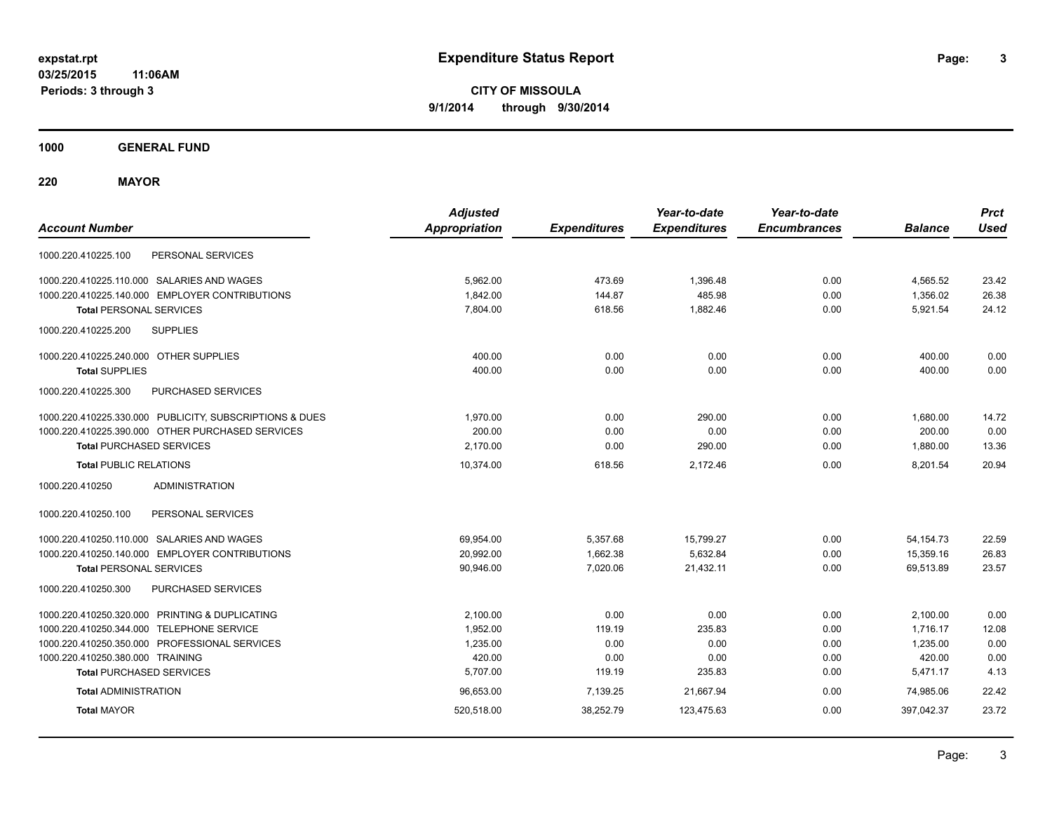**CITY OF MISSOULA 9/1/2014 through 9/30/2014**

**1000 GENERAL FUND**

**220 MAYOR**

| <b>Account Number</b>                                   | <b>Adjusted</b><br><b>Appropriation</b> | <b>Expenditures</b> | Year-to-date<br><b>Expenditures</b> | Year-to-date<br><b>Encumbrances</b> | <b>Balance</b> | <b>Prct</b><br><b>Used</b> |
|---------------------------------------------------------|-----------------------------------------|---------------------|-------------------------------------|-------------------------------------|----------------|----------------------------|
| PERSONAL SERVICES<br>1000.220.410225.100                |                                         |                     |                                     |                                     |                |                            |
| 1000.220.410225.110.000 SALARIES AND WAGES              | 5,962.00                                | 473.69              | 1,396.48                            | 0.00                                | 4,565.52       | 23.42                      |
| 1000.220.410225.140.000 EMPLOYER CONTRIBUTIONS          | 1,842.00                                | 144.87              | 485.98                              | 0.00                                | 1,356.02       | 26.38                      |
| <b>Total PERSONAL SERVICES</b>                          | 7,804.00                                | 618.56              | 1,882.46                            | 0.00                                | 5,921.54       | 24.12                      |
| <b>SUPPLIES</b><br>1000.220.410225.200                  |                                         |                     |                                     |                                     |                |                            |
| 1000.220.410225.240.000 OTHER SUPPLIES                  | 400.00                                  | 0.00                | 0.00                                | 0.00                                | 400.00         | 0.00                       |
| <b>Total SUPPLIES</b>                                   | 400.00                                  | 0.00                | 0.00                                | 0.00                                | 400.00         | 0.00                       |
| 1000.220.410225.300<br>PURCHASED SERVICES               |                                         |                     |                                     |                                     |                |                            |
| 1000.220.410225.330.000 PUBLICITY, SUBSCRIPTIONS & DUES | 1,970.00                                | 0.00                | 290.00                              | 0.00                                | 1,680.00       | 14.72                      |
| 1000.220.410225.390.000 OTHER PURCHASED SERVICES        | 200.00                                  | 0.00                | 0.00                                | 0.00                                | 200.00         | 0.00                       |
| <b>Total PURCHASED SERVICES</b>                         | 2.170.00                                | 0.00                | 290.00                              | 0.00                                | 1.880.00       | 13.36                      |
| <b>Total PUBLIC RELATIONS</b>                           | 10,374.00                               | 618.56              | 2.172.46                            | 0.00                                | 8.201.54       | 20.94                      |
| <b>ADMINISTRATION</b><br>1000.220.410250                |                                         |                     |                                     |                                     |                |                            |
| 1000.220.410250.100<br>PERSONAL SERVICES                |                                         |                     |                                     |                                     |                |                            |
| 1000.220.410250.110.000 SALARIES AND WAGES              | 69,954.00                               | 5,357.68            | 15,799.27                           | 0.00                                | 54, 154. 73    | 22.59                      |
| 1000.220.410250.140.000 EMPLOYER CONTRIBUTIONS          | 20,992.00                               | 1,662.38            | 5,632.84                            | 0.00                                | 15,359.16      | 26.83                      |
| <b>Total PERSONAL SERVICES</b>                          | 90,946.00                               | 7,020.06            | 21,432.11                           | 0.00                                | 69,513.89      | 23.57                      |
| 1000.220.410250.300<br>PURCHASED SERVICES               |                                         |                     |                                     |                                     |                |                            |
| 1000.220.410250.320.000 PRINTING & DUPLICATING          | 2,100.00                                | 0.00                | 0.00                                | 0.00                                | 2,100.00       | 0.00                       |
| 1000.220.410250.344.000 TELEPHONE SERVICE               | 1,952.00                                | 119.19              | 235.83                              | 0.00                                | 1,716.17       | 12.08                      |
| 1000.220.410250.350.000 PROFESSIONAL SERVICES           | 1,235.00                                | 0.00                | 0.00                                | 0.00                                | 1,235.00       | 0.00                       |
| 1000.220.410250.380.000 TRAINING                        | 420.00                                  | 0.00                | 0.00                                | 0.00                                | 420.00         | 0.00                       |
| <b>Total PURCHASED SERVICES</b>                         | 5,707.00                                | 119.19              | 235.83                              | 0.00                                | 5,471.17       | 4.13                       |
| <b>Total ADMINISTRATION</b>                             | 96,653.00                               | 7,139.25            | 21,667.94                           | 0.00                                | 74,985.06      | 22.42                      |
| <b>Total MAYOR</b>                                      | 520,518.00                              | 38,252.79           | 123,475.63                          | 0.00                                | 397,042.37     | 23.72                      |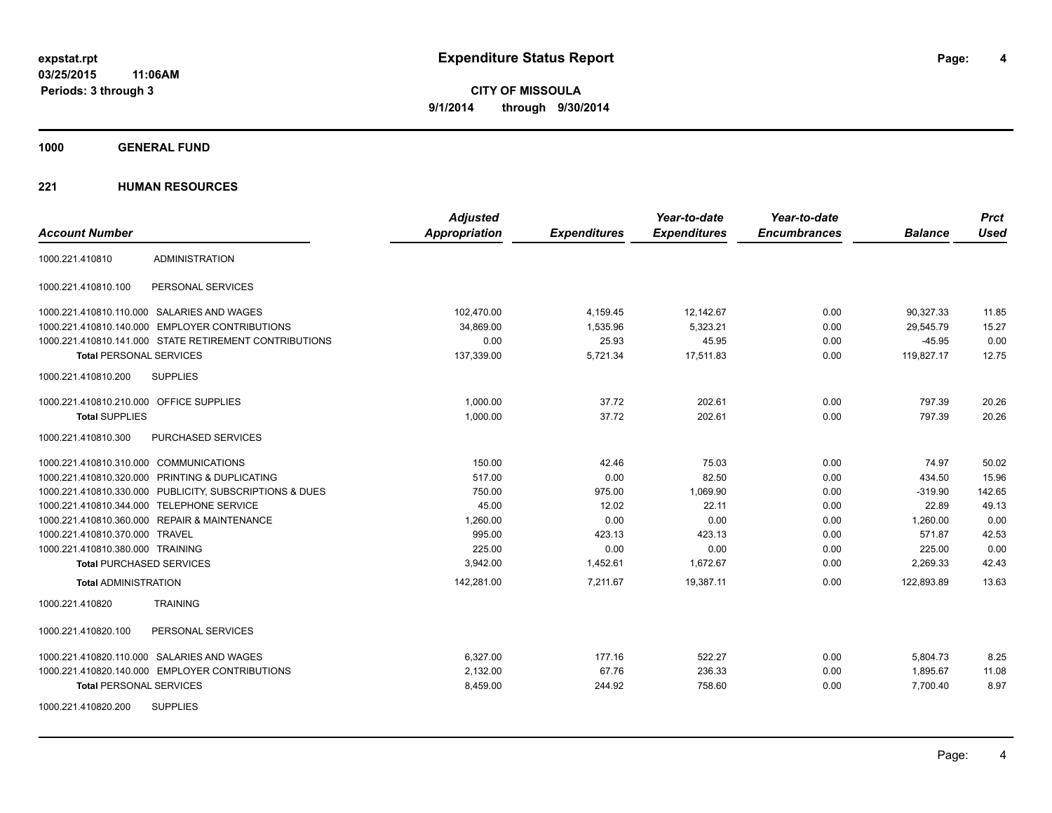**Periods: 3 through 3**

**4**

**CITY OF MISSOULA 9/1/2014 through 9/30/2014**

**1000 GENERAL FUND**

|                                                         | <b>Adjusted</b>      |                     | Year-to-date        | Year-to-date        |                | <b>Prct</b> |
|---------------------------------------------------------|----------------------|---------------------|---------------------|---------------------|----------------|-------------|
| <b>Account Number</b>                                   | <b>Appropriation</b> | <b>Expenditures</b> | <b>Expenditures</b> | <b>Encumbrances</b> | <b>Balance</b> | <b>Used</b> |
| <b>ADMINISTRATION</b><br>1000.221.410810                |                      |                     |                     |                     |                |             |
| PERSONAL SERVICES<br>1000.221.410810.100                |                      |                     |                     |                     |                |             |
| 1000.221.410810.110.000 SALARIES AND WAGES              | 102,470.00           | 4,159.45            | 12,142.67           | 0.00                | 90,327.33      | 11.85       |
| 1000.221.410810.140.000 EMPLOYER CONTRIBUTIONS          | 34,869.00            | 1,535.96            | 5,323.21            | 0.00                | 29,545.79      | 15.27       |
| 1000.221.410810.141.000 STATE RETIREMENT CONTRIBUTIONS  | 0.00                 | 25.93               | 45.95               | 0.00                | $-45.95$       | 0.00        |
| <b>Total PERSONAL SERVICES</b>                          | 137,339.00           | 5,721.34            | 17,511.83           | 0.00                | 119,827.17     | 12.75       |
| 1000.221.410810.200<br><b>SUPPLIES</b>                  |                      |                     |                     |                     |                |             |
| 1000.221.410810.210.000 OFFICE SUPPLIES                 | 1.000.00             | 37.72               | 202.61              | 0.00                | 797.39         | 20.26       |
| <b>Total SUPPLIES</b>                                   | 1,000.00             | 37.72               | 202.61              | 0.00                | 797.39         | 20.26       |
| 1000.221.410810.300<br>PURCHASED SERVICES               |                      |                     |                     |                     |                |             |
| 1000.221.410810.310.000 COMMUNICATIONS                  | 150.00               | 42.46               | 75.03               | 0.00                | 74.97          | 50.02       |
| 1000.221.410810.320.000 PRINTING & DUPLICATING          | 517.00               | 0.00                | 82.50               | 0.00                | 434.50         | 15.96       |
| 1000.221.410810.330.000 PUBLICITY, SUBSCRIPTIONS & DUES | 750.00               | 975.00              | 1,069.90            | 0.00                | $-319.90$      | 142.65      |
| 1000.221.410810.344.000 TELEPHONE SERVICE               | 45.00                | 12.02               | 22.11               | 0.00                | 22.89          | 49.13       |
| 1000.221.410810.360.000 REPAIR & MAINTENANCE            | 1,260.00             | 0.00                | 0.00                | 0.00                | 1,260.00       | 0.00        |
| 1000.221.410810.370.000 TRAVEL                          | 995.00               | 423.13              | 423.13              | 0.00                | 571.87         | 42.53       |
| 1000.221.410810.380.000 TRAINING                        | 225.00               | 0.00                | 0.00                | 0.00                | 225.00         | 0.00        |
| <b>Total PURCHASED SERVICES</b>                         | 3.942.00             | 1,452.61            | 1,672.67            | 0.00                | 2.269.33       | 42.43       |
| <b>Total ADMINISTRATION</b>                             | 142,281.00           | 7,211.67            | 19,387.11           | 0.00                | 122.893.89     | 13.63       |
| 1000.221.410820<br><b>TRAINING</b>                      |                      |                     |                     |                     |                |             |
| 1000.221.410820.100<br>PERSONAL SERVICES                |                      |                     |                     |                     |                |             |
| 1000.221.410820.110.000 SALARIES AND WAGES              | 6.327.00             | 177.16              | 522.27              | 0.00                | 5,804.73       | 8.25        |
| 1000.221.410820.140.000 EMPLOYER CONTRIBUTIONS          | 2,132.00             | 67.76               | 236.33              | 0.00                | 1,895.67       | 11.08       |
| <b>Total PERSONAL SERVICES</b>                          | 8,459.00             | 244.92              | 758.60              | 0.00                | 7,700.40       | 8.97        |
| <b>SUPPLIES</b><br>1000.221.410820.200                  |                      |                     |                     |                     |                |             |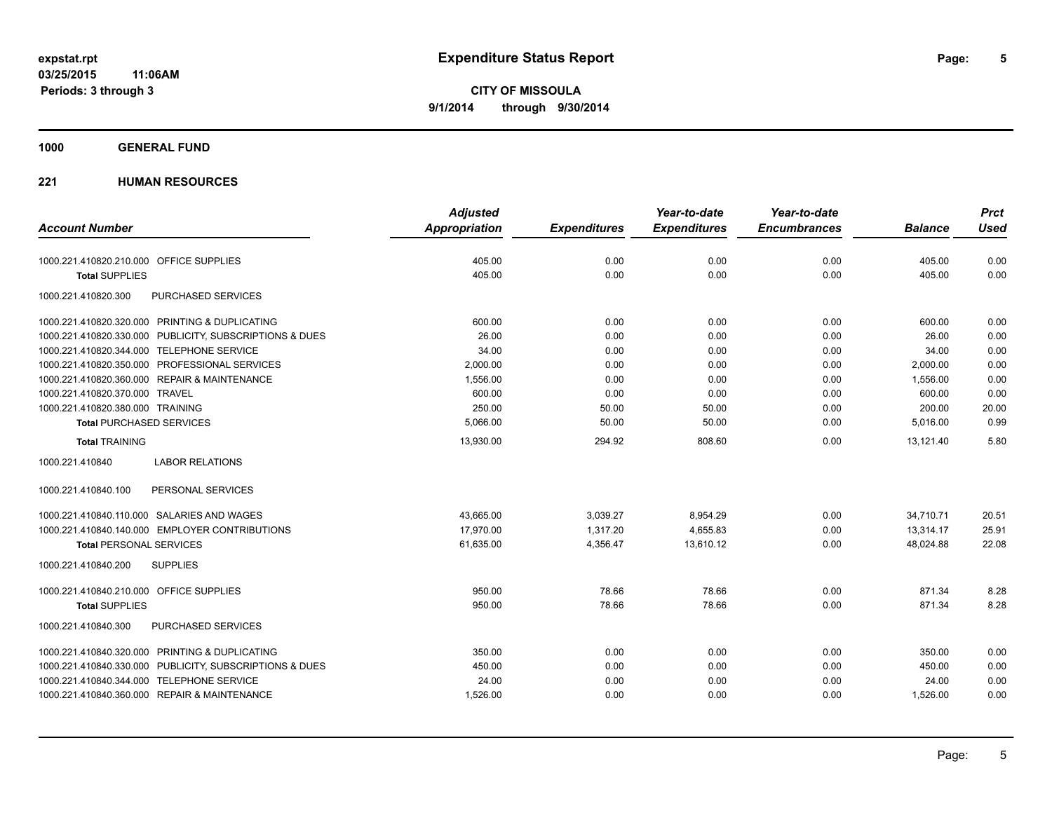**1000 GENERAL FUND**

| <b>Account Number</b>                                   | <b>Adjusted</b><br><b>Appropriation</b> | <b>Expenditures</b> | Year-to-date<br><b>Expenditures</b> | Year-to-date<br><b>Encumbrances</b> | <b>Balance</b> | <b>Prct</b><br><b>Used</b> |
|---------------------------------------------------------|-----------------------------------------|---------------------|-------------------------------------|-------------------------------------|----------------|----------------------------|
|                                                         |                                         |                     |                                     |                                     |                |                            |
| 1000.221.410820.210.000 OFFICE SUPPLIES                 | 405.00                                  | 0.00                | 0.00                                | 0.00                                | 405.00         | 0.00                       |
| <b>Total SUPPLIES</b>                                   | 405.00                                  | 0.00                | 0.00                                | 0.00                                | 405.00         | 0.00                       |
| 1000.221.410820.300<br>PURCHASED SERVICES               |                                         |                     |                                     |                                     |                |                            |
| 1000.221.410820.320.000 PRINTING & DUPLICATING          | 600.00                                  | 0.00                | 0.00                                | 0.00                                | 600.00         | 0.00                       |
| 1000.221.410820.330.000 PUBLICITY, SUBSCRIPTIONS & DUES | 26.00                                   | 0.00                | 0.00                                | 0.00                                | 26.00          | 0.00                       |
| 1000.221.410820.344.000 TELEPHONE SERVICE               | 34.00                                   | 0.00                | 0.00                                | 0.00                                | 34.00          | 0.00                       |
| 1000.221.410820.350.000 PROFESSIONAL SERVICES           | 2,000.00                                | 0.00                | 0.00                                | 0.00                                | 2,000.00       | 0.00                       |
| 1000.221.410820.360.000 REPAIR & MAINTENANCE            | 1,556.00                                | 0.00                | 0.00                                | 0.00                                | 1,556.00       | 0.00                       |
| 1000.221.410820.370.000 TRAVEL                          | 600.00                                  | 0.00                | 0.00                                | 0.00                                | 600.00         | 0.00                       |
| 1000.221.410820.380.000 TRAINING                        | 250.00                                  | 50.00               | 50.00                               | 0.00                                | 200.00         | 20.00                      |
| <b>Total PURCHASED SERVICES</b>                         | 5,066.00                                | 50.00               | 50.00                               | 0.00                                | 5,016.00       | 0.99                       |
| <b>Total TRAINING</b>                                   | 13,930.00                               | 294.92              | 808.60                              | 0.00                                | 13,121.40      | 5.80                       |
| <b>LABOR RELATIONS</b><br>1000.221.410840               |                                         |                     |                                     |                                     |                |                            |
| 1000.221.410840.100<br>PERSONAL SERVICES                |                                         |                     |                                     |                                     |                |                            |
| 1000.221.410840.110.000 SALARIES AND WAGES              | 43,665.00                               | 3,039.27            | 8,954.29                            | 0.00                                | 34,710.71      | 20.51                      |
| 1000.221.410840.140.000 EMPLOYER CONTRIBUTIONS          | 17,970.00                               | 1,317.20            | 4,655.83                            | 0.00                                | 13,314.17      | 25.91                      |
| <b>Total PERSONAL SERVICES</b>                          | 61,635.00                               | 4,356.47            | 13,610.12                           | 0.00                                | 48,024.88      | 22.08                      |
| 1000.221.410840.200<br><b>SUPPLIES</b>                  |                                         |                     |                                     |                                     |                |                            |
| 1000.221.410840.210.000 OFFICE SUPPLIES                 | 950.00                                  | 78.66               | 78.66                               | 0.00                                | 871.34         | 8.28                       |
| <b>Total SUPPLIES</b>                                   | 950.00                                  | 78.66               | 78.66                               | 0.00                                | 871.34         | 8.28                       |
| PURCHASED SERVICES<br>1000.221.410840.300               |                                         |                     |                                     |                                     |                |                            |
| 1000.221.410840.320.000 PRINTING & DUPLICATING          | 350.00                                  | 0.00                | 0.00                                | 0.00                                | 350.00         | 0.00                       |
| 1000.221.410840.330.000 PUBLICITY, SUBSCRIPTIONS & DUES | 450.00                                  | 0.00                | 0.00                                | 0.00                                | 450.00         | 0.00                       |
| 1000.221.410840.344.000 TELEPHONE SERVICE               | 24.00                                   | 0.00                | 0.00                                | 0.00                                | 24.00          | 0.00                       |
| 1000.221.410840.360.000 REPAIR & MAINTENANCE            | 1,526.00                                | 0.00                | 0.00                                | 0.00                                | 1,526.00       | 0.00                       |
|                                                         |                                         |                     |                                     |                                     |                |                            |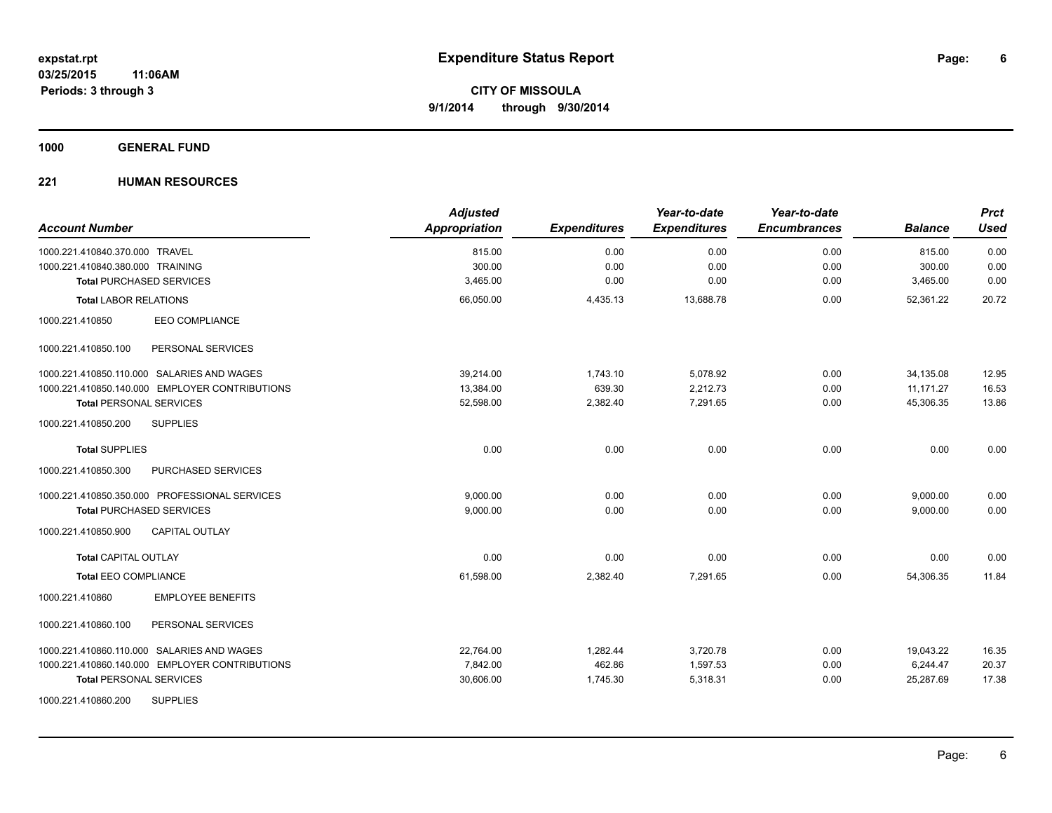#### **1000 GENERAL FUND**

| <b>Account Number</b>                          | <b>Adjusted</b><br><b>Appropriation</b> | <b>Expenditures</b> | Year-to-date<br><b>Expenditures</b> | Year-to-date<br><b>Encumbrances</b> | <b>Balance</b> | <b>Prct</b><br><b>Used</b> |
|------------------------------------------------|-----------------------------------------|---------------------|-------------------------------------|-------------------------------------|----------------|----------------------------|
| 1000.221.410840.370.000 TRAVEL                 | 815.00                                  | 0.00                | 0.00                                | 0.00                                | 815.00         | 0.00                       |
| 1000.221.410840.380.000 TRAINING               | 300.00                                  | 0.00                | 0.00                                | 0.00                                | 300.00         | 0.00                       |
| <b>Total PURCHASED SERVICES</b>                | 3,465.00                                | 0.00                | 0.00                                | 0.00                                | 3,465.00       | 0.00                       |
| <b>Total LABOR RELATIONS</b>                   | 66,050.00                               | 4,435.13            | 13,688.78                           | 0.00                                | 52,361.22      | 20.72                      |
| 1000.221.410850<br><b>EEO COMPLIANCE</b>       |                                         |                     |                                     |                                     |                |                            |
| 1000.221.410850.100<br>PERSONAL SERVICES       |                                         |                     |                                     |                                     |                |                            |
| 1000.221.410850.110.000 SALARIES AND WAGES     | 39.214.00                               | 1,743.10            | 5,078.92                            | 0.00                                | 34,135.08      | 12.95                      |
| 1000.221.410850.140.000 EMPLOYER CONTRIBUTIONS | 13,384.00                               | 639.30              | 2,212.73                            | 0.00                                | 11,171.27      | 16.53                      |
| <b>Total PERSONAL SERVICES</b>                 | 52.598.00                               | 2,382.40            | 7.291.65                            | 0.00                                | 45.306.35      | 13.86                      |
| 1000.221.410850.200<br><b>SUPPLIES</b>         |                                         |                     |                                     |                                     |                |                            |
| <b>Total SUPPLIES</b>                          | 0.00                                    | 0.00                | 0.00                                | 0.00                                | 0.00           | 0.00                       |
| PURCHASED SERVICES<br>1000.221.410850.300      |                                         |                     |                                     |                                     |                |                            |
| 1000.221.410850.350.000 PROFESSIONAL SERVICES  | 9.000.00                                | 0.00                | 0.00                                | 0.00                                | 9,000.00       | 0.00                       |
| <b>Total PURCHASED SERVICES</b>                | 9,000.00                                | 0.00                | 0.00                                | 0.00                                | 9,000.00       | 0.00                       |
| <b>CAPITAL OUTLAY</b><br>1000.221.410850.900   |                                         |                     |                                     |                                     |                |                            |
| <b>Total CAPITAL OUTLAY</b>                    | 0.00                                    | 0.00                | 0.00                                | 0.00                                | 0.00           | 0.00                       |
| <b>Total EEO COMPLIANCE</b>                    | 61,598.00                               | 2,382.40            | 7,291.65                            | 0.00                                | 54,306.35      | 11.84                      |
| <b>EMPLOYEE BENEFITS</b><br>1000.221.410860    |                                         |                     |                                     |                                     |                |                            |
| 1000.221.410860.100<br>PERSONAL SERVICES       |                                         |                     |                                     |                                     |                |                            |
| 1000.221.410860.110.000 SALARIES AND WAGES     | 22,764.00                               | 1,282.44            | 3,720.78                            | 0.00                                | 19,043.22      | 16.35                      |
| 1000.221.410860.140.000 EMPLOYER CONTRIBUTIONS | 7,842.00                                | 462.86              | 1,597.53                            | 0.00                                | 6,244.47       | 20.37                      |
| <b>Total PERSONAL SERVICES</b>                 | 30,606.00                               | 1,745.30            | 5,318.31                            | 0.00                                | 25,287.69      | 17.38                      |
| <b>SUPPLIES</b><br>1000.221.410860.200         |                                         |                     |                                     |                                     |                |                            |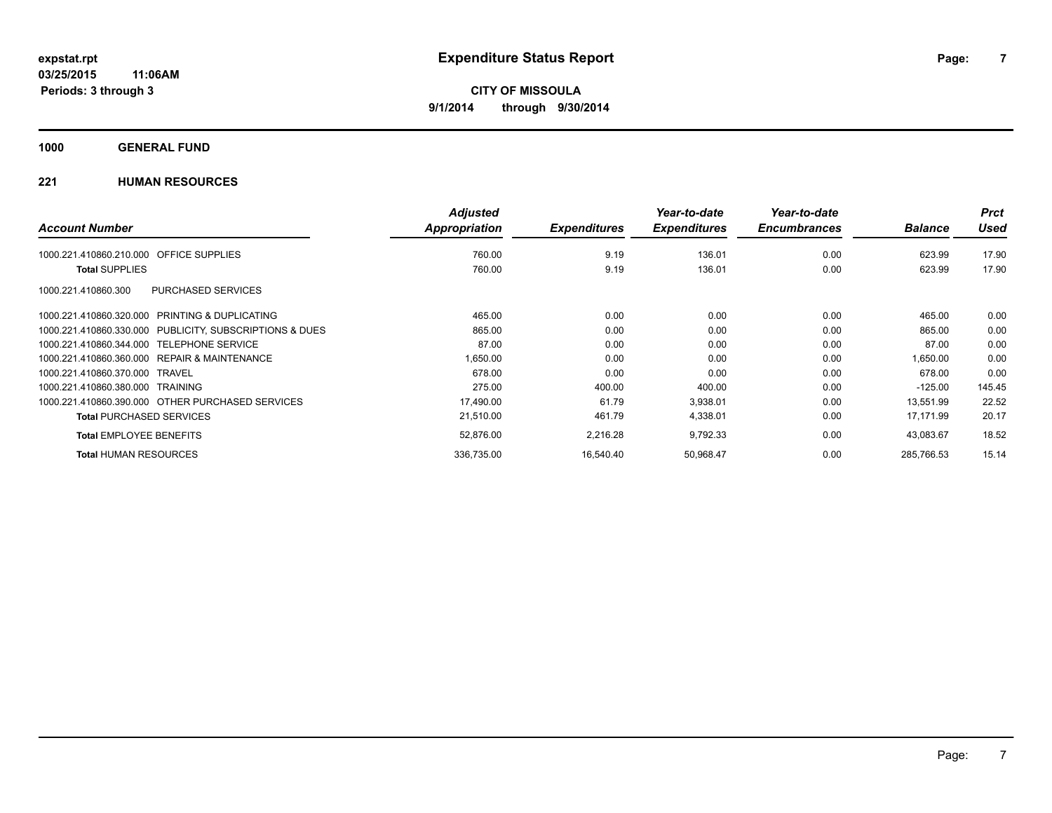**1000 GENERAL FUND**

|                                                              | <b>Adjusted</b> |                     | Year-to-date        | Year-to-date        |                | <b>Prct</b> |
|--------------------------------------------------------------|-----------------|---------------------|---------------------|---------------------|----------------|-------------|
| <b>Account Number</b>                                        | Appropriation   | <b>Expenditures</b> | <b>Expenditures</b> | <b>Encumbrances</b> | <b>Balance</b> | <b>Used</b> |
| <b>OFFICE SUPPLIES</b><br>1000.221.410860.210.000            | 760.00          | 9.19                | 136.01              | 0.00                | 623.99         | 17.90       |
| <b>Total SUPPLIES</b>                                        | 760.00          | 9.19                | 136.01              | 0.00                | 623.99         | 17.90       |
| PURCHASED SERVICES<br>1000.221.410860.300                    |                 |                     |                     |                     |                |             |
| <b>PRINTING &amp; DUPLICATING</b><br>1000.221.410860.320.000 | 465.00          | 0.00                | 0.00                | 0.00                | 465.00         | 0.00        |
| 1000.221.410860.330.000 PUBLICITY, SUBSCRIPTIONS & DUES      | 865.00          | 0.00                | 0.00                | 0.00                | 865.00         | 0.00        |
| 1000.221.410860.344.000<br><b>TELEPHONE SERVICE</b>          | 87.00           | 0.00                | 0.00                | 0.00                | 87.00          | 0.00        |
| REPAIR & MAINTENANCE<br>1000.221.410860.360.000              | 1,650.00        | 0.00                | 0.00                | 0.00                | 1.650.00       | 0.00        |
| 1000.221.410860.370.000<br>TRAVEL                            | 678.00          | 0.00                | 0.00                | 0.00                | 678.00         | 0.00        |
| 1000.221.410860.380.000 TRAINING                             | 275.00          | 400.00              | 400.00              | 0.00                | $-125.00$      | 145.45      |
| 1000.221.410860.390.000 OTHER PURCHASED SERVICES             | 17,490.00       | 61.79               | 3,938.01            | 0.00                | 13,551.99      | 22.52       |
| <b>Total PURCHASED SERVICES</b>                              | 21,510.00       | 461.79              | 4,338.01            | 0.00                | 17,171.99      | 20.17       |
| <b>Total EMPLOYEE BENEFITS</b>                               | 52,876.00       | 2,216.28            | 9,792.33            | 0.00                | 43,083.67      | 18.52       |
| <b>Total HUMAN RESOURCES</b>                                 | 336,735.00      | 16.540.40           | 50,968.47           | 0.00                | 285.766.53     | 15.14       |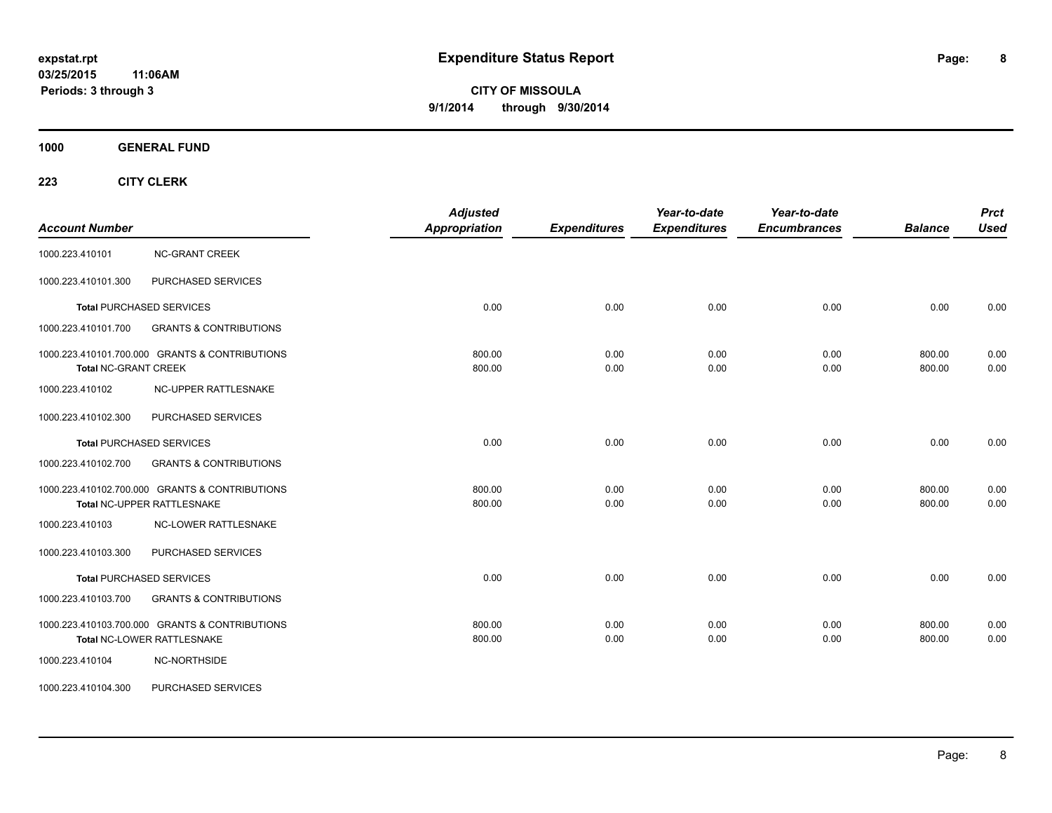**1000 GENERAL FUND**

| <b>Account Number</b>       |                                                                              | <b>Adjusted</b><br><b>Appropriation</b> | <b>Expenditures</b> | Year-to-date<br><b>Expenditures</b> | Year-to-date<br><b>Encumbrances</b> | <b>Balance</b>   | <b>Prct</b><br><b>Used</b> |
|-----------------------------|------------------------------------------------------------------------------|-----------------------------------------|---------------------|-------------------------------------|-------------------------------------|------------------|----------------------------|
| 1000.223.410101             | <b>NC-GRANT CREEK</b>                                                        |                                         |                     |                                     |                                     |                  |                            |
| 1000.223.410101.300         | PURCHASED SERVICES                                                           |                                         |                     |                                     |                                     |                  |                            |
|                             | <b>Total PURCHASED SERVICES</b>                                              | 0.00                                    | 0.00                | 0.00                                | 0.00                                | 0.00             | 0.00                       |
| 1000.223.410101.700         | <b>GRANTS &amp; CONTRIBUTIONS</b>                                            |                                         |                     |                                     |                                     |                  |                            |
| <b>Total NC-GRANT CREEK</b> | 1000.223.410101.700.000 GRANTS & CONTRIBUTIONS                               | 800.00<br>800.00                        | 0.00<br>0.00        | 0.00<br>0.00                        | 0.00<br>0.00                        | 800.00<br>800.00 | 0.00<br>0.00               |
| 1000.223.410102             | NC-UPPER RATTLESNAKE                                                         |                                         |                     |                                     |                                     |                  |                            |
| 1000.223.410102.300         | PURCHASED SERVICES                                                           |                                         |                     |                                     |                                     |                  |                            |
|                             | <b>Total PURCHASED SERVICES</b>                                              | 0.00                                    | 0.00                | 0.00                                | 0.00                                | 0.00             | 0.00                       |
| 1000.223.410102.700         | <b>GRANTS &amp; CONTRIBUTIONS</b>                                            |                                         |                     |                                     |                                     |                  |                            |
|                             | 1000.223.410102.700.000 GRANTS & CONTRIBUTIONS<br>Total NC-UPPER RATTLESNAKE | 800.00<br>800.00                        | 0.00<br>0.00        | 0.00<br>0.00                        | 0.00<br>0.00                        | 800.00<br>800.00 | 0.00<br>0.00               |
| 1000.223.410103             | <b>NC-LOWER RATTLESNAKE</b>                                                  |                                         |                     |                                     |                                     |                  |                            |
| 1000.223.410103.300         | PURCHASED SERVICES                                                           |                                         |                     |                                     |                                     |                  |                            |
|                             | <b>Total PURCHASED SERVICES</b>                                              | 0.00                                    | 0.00                | 0.00                                | 0.00                                | 0.00             | 0.00                       |
| 1000.223.410103.700         | <b>GRANTS &amp; CONTRIBUTIONS</b>                                            |                                         |                     |                                     |                                     |                  |                            |
|                             | 1000.223.410103.700.000 GRANTS & CONTRIBUTIONS<br>Total NC-LOWER RATTLESNAKE | 800.00<br>800.00                        | 0.00<br>0.00        | 0.00<br>0.00                        | 0.00<br>0.00                        | 800.00<br>800.00 | 0.00<br>0.00               |
| 1000.223.410104             | NC-NORTHSIDE                                                                 |                                         |                     |                                     |                                     |                  |                            |
| 1000.223.410104.300         | PURCHASED SERVICES                                                           |                                         |                     |                                     |                                     |                  |                            |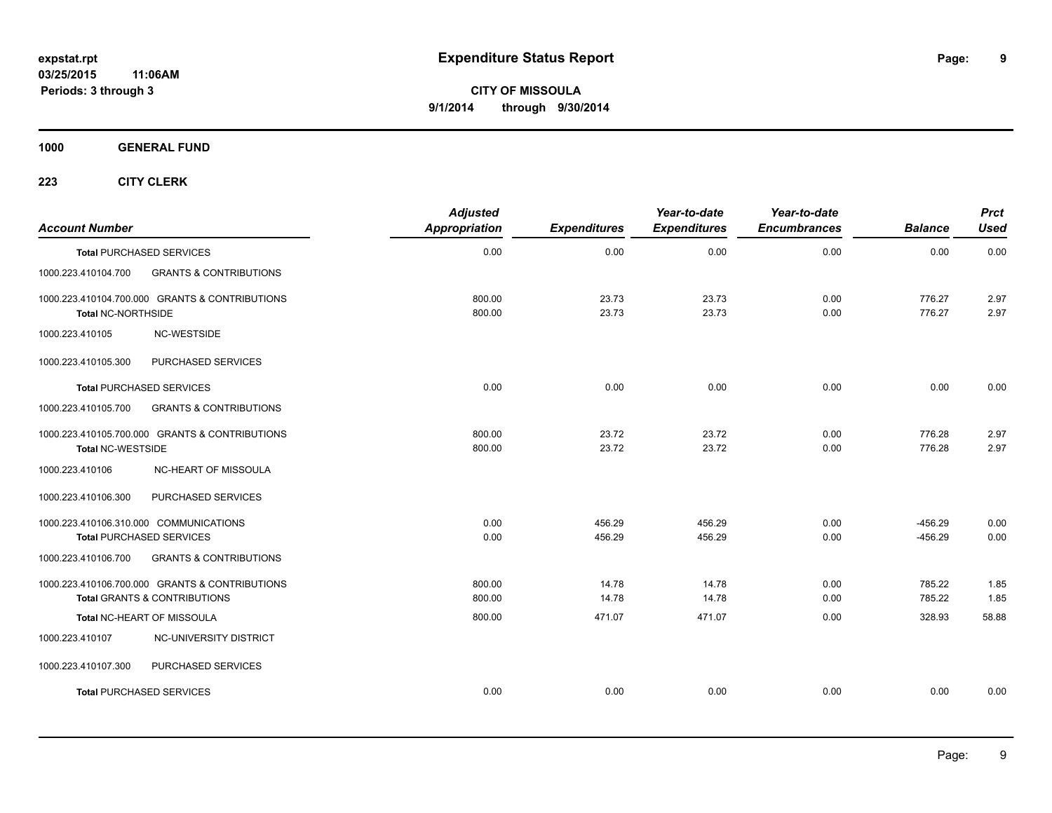**1000 GENERAL FUND**

| <b>Account Number</b>                  |                                                                                           | <b>Adjusted</b><br>Appropriation | <b>Expenditures</b> | Year-to-date<br><b>Expenditures</b> | Year-to-date<br><b>Encumbrances</b> | <b>Balance</b>         | <b>Prct</b><br><b>Used</b> |
|----------------------------------------|-------------------------------------------------------------------------------------------|----------------------------------|---------------------|-------------------------------------|-------------------------------------|------------------------|----------------------------|
|                                        | <b>Total PURCHASED SERVICES</b>                                                           | 0.00                             | 0.00                | 0.00                                | 0.00                                | 0.00                   | 0.00                       |
| 1000.223.410104.700                    | <b>GRANTS &amp; CONTRIBUTIONS</b>                                                         |                                  |                     |                                     |                                     |                        |                            |
| <b>Total NC-NORTHSIDE</b>              | 1000.223.410104.700.000 GRANTS & CONTRIBUTIONS                                            | 800.00<br>800.00                 | 23.73<br>23.73      | 23.73<br>23.73                      | 0.00<br>0.00                        | 776.27<br>776.27       | 2.97<br>2.97               |
| 1000.223.410105                        | NC-WESTSIDE                                                                               |                                  |                     |                                     |                                     |                        |                            |
| 1000.223.410105.300                    | PURCHASED SERVICES                                                                        |                                  |                     |                                     |                                     |                        |                            |
|                                        | <b>Total PURCHASED SERVICES</b>                                                           | 0.00                             | 0.00                | 0.00                                | 0.00                                | 0.00                   | 0.00                       |
| 1000.223.410105.700                    | <b>GRANTS &amp; CONTRIBUTIONS</b>                                                         |                                  |                     |                                     |                                     |                        |                            |
| <b>Total NC-WESTSIDE</b>               | 1000.223.410105.700.000 GRANTS & CONTRIBUTIONS                                            | 800.00<br>800.00                 | 23.72<br>23.72      | 23.72<br>23.72                      | 0.00<br>0.00                        | 776.28<br>776.28       | 2.97<br>2.97               |
| 1000.223.410106                        | NC-HEART OF MISSOULA                                                                      |                                  |                     |                                     |                                     |                        |                            |
| 1000.223.410106.300                    | PURCHASED SERVICES                                                                        |                                  |                     |                                     |                                     |                        |                            |
| 1000.223.410106.310.000 COMMUNICATIONS | <b>Total PURCHASED SERVICES</b>                                                           | 0.00<br>0.00                     | 456.29<br>456.29    | 456.29<br>456.29                    | 0.00<br>0.00                        | $-456.29$<br>$-456.29$ | 0.00<br>0.00               |
| 1000.223.410106.700                    | <b>GRANTS &amp; CONTRIBUTIONS</b>                                                         |                                  |                     |                                     |                                     |                        |                            |
|                                        | 1000.223.410106.700.000 GRANTS & CONTRIBUTIONS<br><b>Total GRANTS &amp; CONTRIBUTIONS</b> | 800.00<br>800.00                 | 14.78<br>14.78      | 14.78<br>14.78                      | 0.00<br>0.00                        | 785.22<br>785.22       | 1.85<br>1.85               |
|                                        | Total NC-HEART OF MISSOULA                                                                | 800.00                           | 471.07              | 471.07                              | 0.00                                | 328.93                 | 58.88                      |
| 1000.223.410107                        | NC-UNIVERSITY DISTRICT                                                                    |                                  |                     |                                     |                                     |                        |                            |
| 1000.223.410107.300                    | PURCHASED SERVICES                                                                        |                                  |                     |                                     |                                     |                        |                            |
|                                        | <b>Total PURCHASED SERVICES</b>                                                           | 0.00                             | 0.00                | 0.00                                | 0.00                                | 0.00                   | 0.00                       |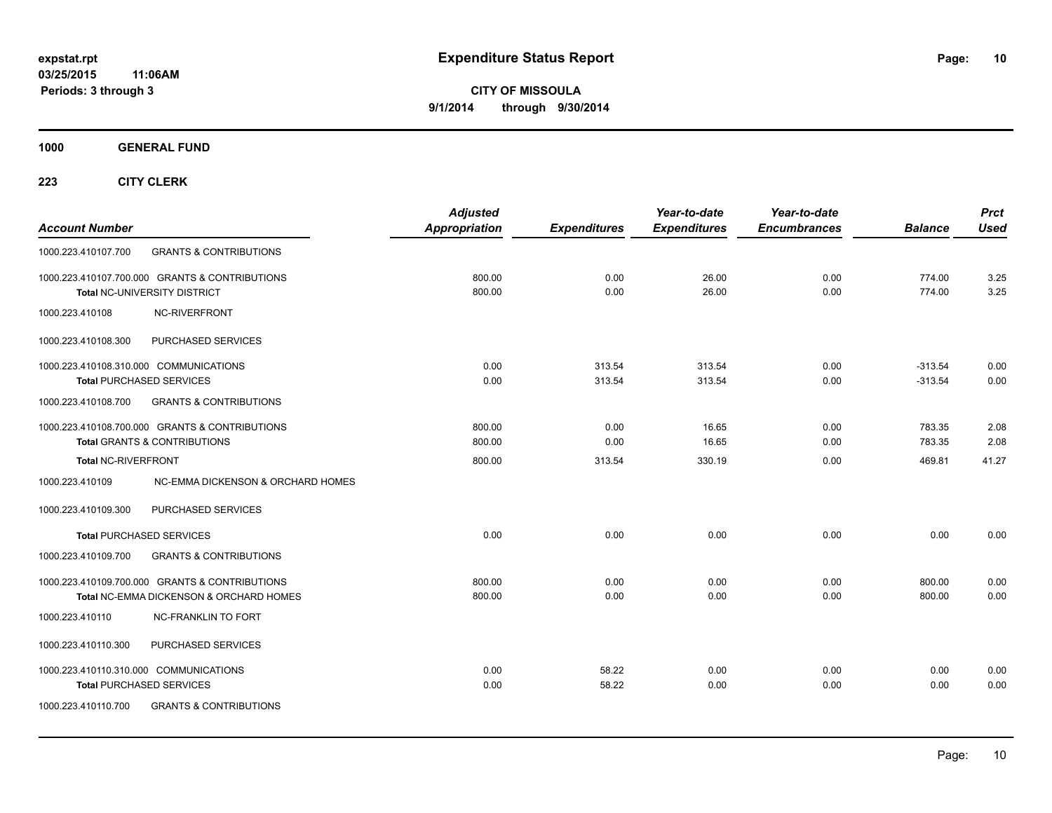**Periods: 3 through 3**

**CITY OF MISSOULA 9/1/2014 through 9/30/2014**

**1000 GENERAL FUND**

| <b>Account Number</b>                                                                                                                 | <b>Adjusted</b><br>Appropriation | <b>Expenditures</b> | Year-to-date<br><b>Expenditures</b> | Year-to-date<br><b>Encumbrances</b> | <b>Balance</b>         | <b>Prct</b><br><b>Used</b> |
|---------------------------------------------------------------------------------------------------------------------------------------|----------------------------------|---------------------|-------------------------------------|-------------------------------------|------------------------|----------------------------|
| <b>GRANTS &amp; CONTRIBUTIONS</b><br>1000.223.410107.700                                                                              |                                  |                     |                                     |                                     |                        |                            |
| 1000.223.410107.700.000 GRANTS & CONTRIBUTIONS<br>Total NC-UNIVERSITY DISTRICT                                                        | 800.00<br>800.00                 | 0.00<br>0.00        | 26.00<br>26.00                      | 0.00<br>0.00                        | 774.00<br>774.00       | 3.25<br>3.25               |
| NC-RIVERFRONT<br>1000.223.410108                                                                                                      |                                  |                     |                                     |                                     |                        |                            |
| PURCHASED SERVICES<br>1000.223.410108.300                                                                                             |                                  |                     |                                     |                                     |                        |                            |
| 1000.223.410108.310.000 COMMUNICATIONS<br><b>Total PURCHASED SERVICES</b>                                                             | 0.00<br>0.00                     | 313.54<br>313.54    | 313.54<br>313.54                    | 0.00<br>0.00                        | $-313.54$<br>$-313.54$ | 0.00<br>0.00               |
| 1000.223.410108.700<br><b>GRANTS &amp; CONTRIBUTIONS</b>                                                                              |                                  |                     |                                     |                                     |                        |                            |
| 1000.223.410108.700.000 GRANTS & CONTRIBUTIONS<br><b>Total GRANTS &amp; CONTRIBUTIONS</b>                                             | 800.00<br>800.00                 | 0.00<br>0.00        | 16.65<br>16.65                      | 0.00<br>0.00                        | 783.35<br>783.35       | 2.08<br>2.08               |
| <b>Total NC-RIVERFRONT</b>                                                                                                            | 800.00                           | 313.54              | 330.19                              | 0.00                                | 469.81                 | 41.27                      |
| <b>NC-EMMA DICKENSON &amp; ORCHARD HOMES</b><br>1000.223.410109                                                                       |                                  |                     |                                     |                                     |                        |                            |
| 1000.223.410109.300<br>PURCHASED SERVICES                                                                                             |                                  |                     |                                     |                                     |                        |                            |
| <b>Total PURCHASED SERVICES</b>                                                                                                       | 0.00                             | 0.00                | 0.00                                | 0.00                                | 0.00                   | 0.00                       |
| 1000.223.410109.700<br><b>GRANTS &amp; CONTRIBUTIONS</b>                                                                              |                                  |                     |                                     |                                     |                        |                            |
| 1000.223.410109.700.000 GRANTS & CONTRIBUTIONS<br>Total NC-EMMA DICKENSON & ORCHARD HOMES                                             | 800.00<br>800.00                 | 0.00<br>0.00        | 0.00<br>0.00                        | 0.00<br>0.00                        | 800.00<br>800.00       | 0.00<br>0.00               |
| 1000.223.410110<br><b>NC-FRANKLIN TO FORT</b>                                                                                         |                                  |                     |                                     |                                     |                        |                            |
| 1000.223.410110.300<br>PURCHASED SERVICES                                                                                             |                                  |                     |                                     |                                     |                        |                            |
| 1000.223.410110.310.000 COMMUNICATIONS<br><b>Total PURCHASED SERVICES</b><br>1000.223.410110.700<br><b>GRANTS &amp; CONTRIBUTIONS</b> | 0.00<br>0.00                     | 58.22<br>58.22      | 0.00<br>0.00                        | 0.00<br>0.00                        | 0.00<br>0.00           | 0.00<br>0.00               |
|                                                                                                                                       |                                  |                     |                                     |                                     |                        |                            |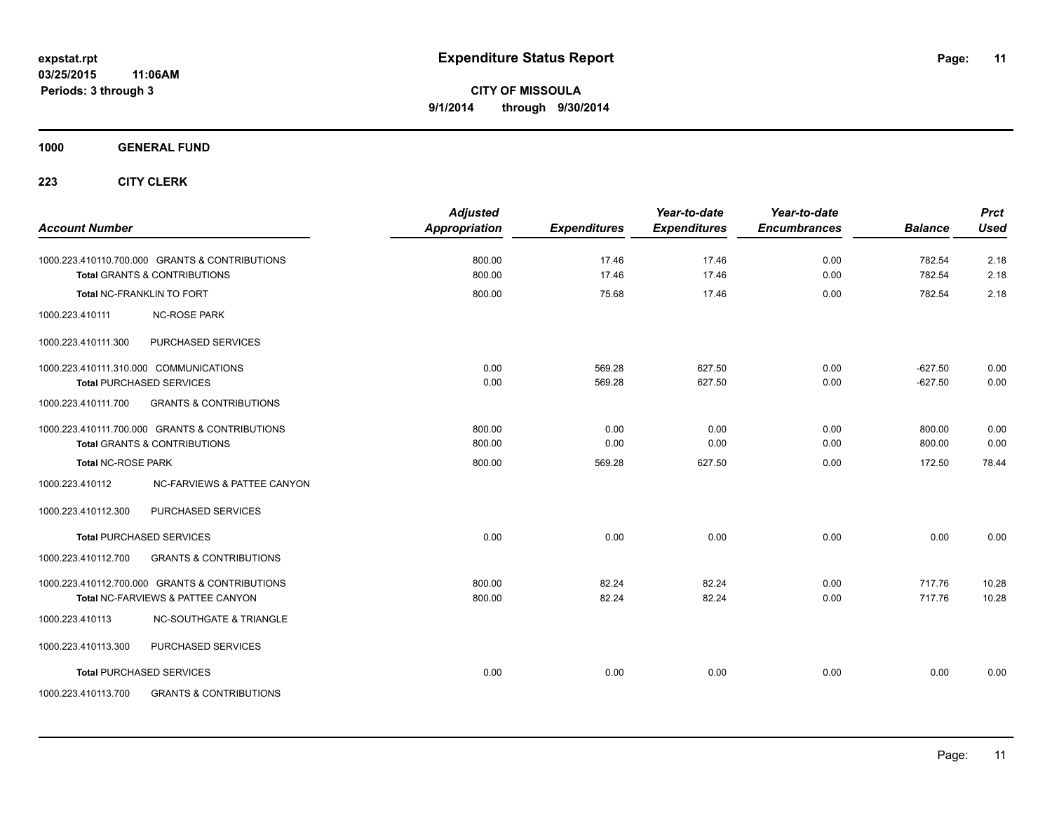**1000 GENERAL FUND**

| <b>Account Number</b>     |                                                                                           | <b>Adjusted</b><br>Appropriation | <b>Expenditures</b> | Year-to-date<br><b>Expenditures</b> | Year-to-date<br><b>Encumbrances</b> | <b>Balance</b>   | <b>Prct</b><br>Used |
|---------------------------|-------------------------------------------------------------------------------------------|----------------------------------|---------------------|-------------------------------------|-------------------------------------|------------------|---------------------|
|                           | 1000.223.410110.700.000 GRANTS & CONTRIBUTIONS<br><b>Total GRANTS &amp; CONTRIBUTIONS</b> | 800.00<br>800.00                 | 17.46<br>17.46      | 17.46<br>17.46                      | 0.00<br>0.00                        | 782.54<br>782.54 | 2.18<br>2.18        |
|                           | <b>Total NC-FRANKLIN TO FORT</b>                                                          | 800.00                           | 75.68               | 17.46                               | 0.00                                | 782.54           | 2.18                |
| 1000.223.410111           | <b>NC-ROSE PARK</b>                                                                       |                                  |                     |                                     |                                     |                  |                     |
| 1000.223.410111.300       | PURCHASED SERVICES                                                                        |                                  |                     |                                     |                                     |                  |                     |
|                           | 1000.223.410111.310.000 COMMUNICATIONS                                                    | 0.00                             | 569.28              | 627.50                              | 0.00                                | $-627.50$        | 0.00                |
|                           | <b>Total PURCHASED SERVICES</b>                                                           | 0.00                             | 569.28              | 627.50                              | 0.00                                | $-627.50$        | 0.00                |
| 1000.223.410111.700       | <b>GRANTS &amp; CONTRIBUTIONS</b>                                                         |                                  |                     |                                     |                                     |                  |                     |
|                           | 1000.223.410111.700.000 GRANTS & CONTRIBUTIONS                                            | 800.00                           | 0.00                | 0.00                                | 0.00                                | 800.00           | 0.00                |
|                           | <b>Total GRANTS &amp; CONTRIBUTIONS</b>                                                   | 800.00                           | 0.00                | 0.00                                | 0.00                                | 800.00           | 0.00                |
| <b>Total NC-ROSE PARK</b> |                                                                                           | 800.00                           | 569.28              | 627.50                              | 0.00                                | 172.50           | 78.44               |
| 1000.223.410112           | NC-FARVIEWS & PATTEE CANYON                                                               |                                  |                     |                                     |                                     |                  |                     |
| 1000.223.410112.300       | PURCHASED SERVICES                                                                        |                                  |                     |                                     |                                     |                  |                     |
|                           | <b>Total PURCHASED SERVICES</b>                                                           | 0.00                             | 0.00                | 0.00                                | 0.00                                | 0.00             | 0.00                |
| 1000.223.410112.700       | <b>GRANTS &amp; CONTRIBUTIONS</b>                                                         |                                  |                     |                                     |                                     |                  |                     |
|                           | 1000.223.410112.700.000 GRANTS & CONTRIBUTIONS                                            | 800.00                           | 82.24               | 82.24                               | 0.00                                | 717.76           | 10.28               |
|                           | Total NC-FARVIEWS & PATTEE CANYON                                                         | 800.00                           | 82.24               | 82.24                               | 0.00                                | 717.76           | 10.28               |
| 1000.223.410113           | <b>NC-SOUTHGATE &amp; TRIANGLE</b>                                                        |                                  |                     |                                     |                                     |                  |                     |
| 1000.223.410113.300       | PURCHASED SERVICES                                                                        |                                  |                     |                                     |                                     |                  |                     |
|                           | <b>Total PURCHASED SERVICES</b>                                                           | 0.00                             | 0.00                | 0.00                                | 0.00                                | 0.00             | 0.00                |
| 1000.223.410113.700       | <b>GRANTS &amp; CONTRIBUTIONS</b>                                                         |                                  |                     |                                     |                                     |                  |                     |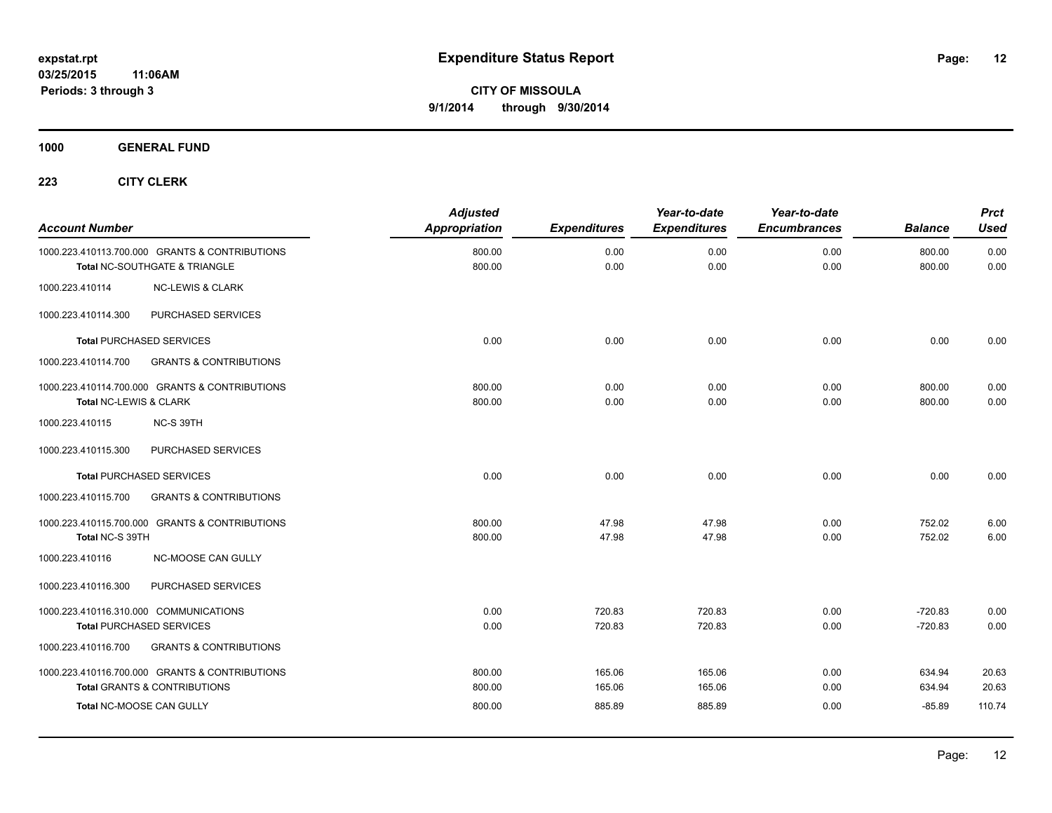**1000 GENERAL FUND**

| <b>Account Number</b>  |                                                                                           | <b>Adjusted</b><br><b>Appropriation</b> | <b>Expenditures</b> | Year-to-date<br><b>Expenditures</b> | Year-to-date<br><b>Encumbrances</b> | <b>Balance</b>         | <b>Prct</b><br><b>Used</b> |
|------------------------|-------------------------------------------------------------------------------------------|-----------------------------------------|---------------------|-------------------------------------|-------------------------------------|------------------------|----------------------------|
|                        | 1000.223.410113.700.000 GRANTS & CONTRIBUTIONS<br>Total NC-SOUTHGATE & TRIANGLE           | 800.00<br>800.00                        | 0.00<br>0.00        | 0.00<br>0.00                        | 0.00<br>0.00                        | 800.00<br>800.00       | 0.00<br>0.00               |
| 1000.223.410114        | <b>NC-LEWIS &amp; CLARK</b>                                                               |                                         |                     |                                     |                                     |                        |                            |
| 1000.223.410114.300    | PURCHASED SERVICES                                                                        |                                         |                     |                                     |                                     |                        |                            |
|                        | <b>Total PURCHASED SERVICES</b>                                                           | 0.00                                    | 0.00                | 0.00                                | 0.00                                | 0.00                   | 0.00                       |
| 1000.223.410114.700    | <b>GRANTS &amp; CONTRIBUTIONS</b>                                                         |                                         |                     |                                     |                                     |                        |                            |
| Total NC-LEWIS & CLARK | 1000.223.410114.700.000 GRANTS & CONTRIBUTIONS                                            | 800.00<br>800.00                        | 0.00<br>0.00        | 0.00<br>0.00                        | 0.00<br>0.00                        | 800.00<br>800.00       | 0.00<br>0.00               |
| 1000.223.410115        | NC-S 39TH                                                                                 |                                         |                     |                                     |                                     |                        |                            |
| 1000.223.410115.300    | PURCHASED SERVICES                                                                        |                                         |                     |                                     |                                     |                        |                            |
|                        | <b>Total PURCHASED SERVICES</b>                                                           | 0.00                                    | 0.00                | 0.00                                | 0.00                                | 0.00                   | 0.00                       |
| 1000.223.410115.700    | <b>GRANTS &amp; CONTRIBUTIONS</b>                                                         |                                         |                     |                                     |                                     |                        |                            |
| Total NC-S 39TH        | 1000.223.410115.700.000 GRANTS & CONTRIBUTIONS                                            | 800.00<br>800.00                        | 47.98<br>47.98      | 47.98<br>47.98                      | 0.00<br>0.00                        | 752.02<br>752.02       | 6.00<br>6.00               |
| 1000.223.410116        | NC-MOOSE CAN GULLY                                                                        |                                         |                     |                                     |                                     |                        |                            |
| 1000.223.410116.300    | PURCHASED SERVICES                                                                        |                                         |                     |                                     |                                     |                        |                            |
|                        | 1000.223.410116.310.000 COMMUNICATIONS<br><b>Total PURCHASED SERVICES</b>                 | 0.00<br>0.00                            | 720.83<br>720.83    | 720.83<br>720.83                    | 0.00<br>0.00                        | $-720.83$<br>$-720.83$ | 0.00<br>0.00               |
| 1000.223.410116.700    | <b>GRANTS &amp; CONTRIBUTIONS</b>                                                         |                                         |                     |                                     |                                     |                        |                            |
|                        | 1000.223.410116.700.000 GRANTS & CONTRIBUTIONS<br><b>Total GRANTS &amp; CONTRIBUTIONS</b> | 800.00<br>800.00                        | 165.06<br>165.06    | 165.06<br>165.06                    | 0.00<br>0.00                        | 634.94<br>634.94       | 20.63<br>20.63             |
|                        | Total NC-MOOSE CAN GULLY                                                                  | 800.00                                  | 885.89              | 885.89                              | 0.00                                | $-85.89$               | 110.74                     |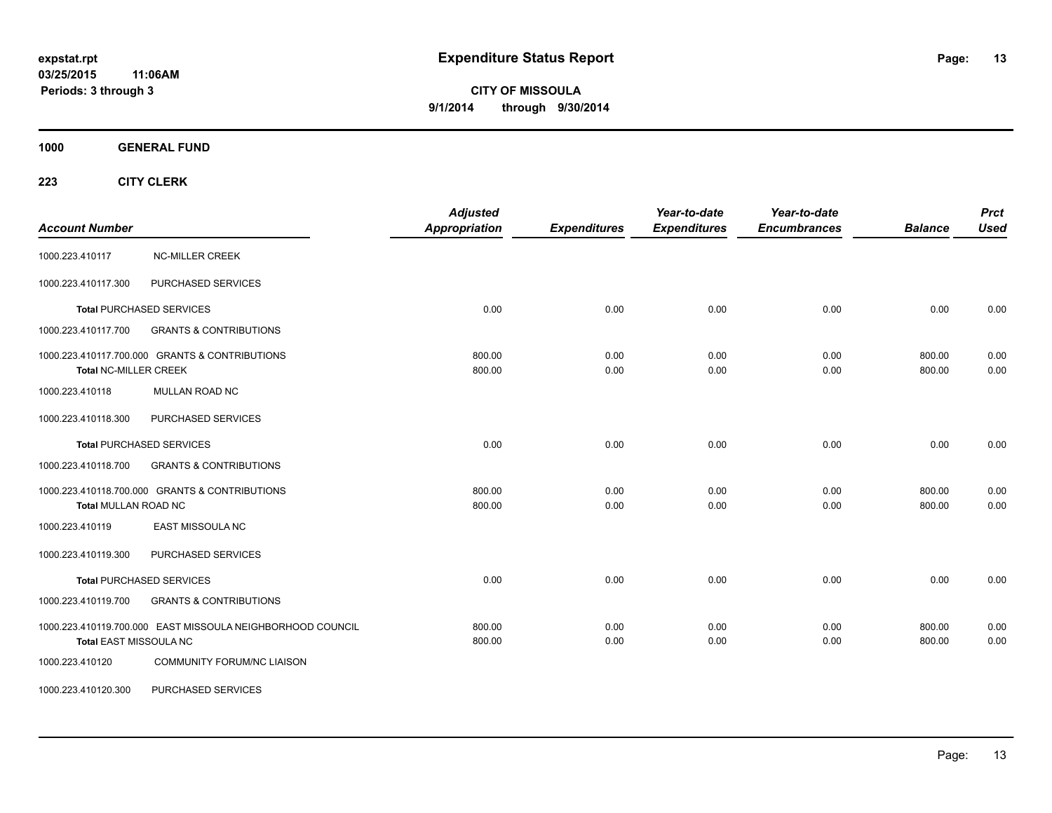**CITY OF MISSOULA 9/1/2014 through 9/30/2014**

**1000 GENERAL FUND**

| <b>Account Number</b>                                                                | <b>Adjusted</b><br><b>Appropriation</b> | <b>Expenditures</b> | Year-to-date<br><b>Expenditures</b> | Year-to-date<br><b>Encumbrances</b> | <b>Balance</b>   | <b>Prct</b><br><b>Used</b> |
|--------------------------------------------------------------------------------------|-----------------------------------------|---------------------|-------------------------------------|-------------------------------------|------------------|----------------------------|
| <b>NC-MILLER CREEK</b><br>1000.223.410117                                            |                                         |                     |                                     |                                     |                  |                            |
| PURCHASED SERVICES<br>1000.223.410117.300                                            |                                         |                     |                                     |                                     |                  |                            |
| <b>Total PURCHASED SERVICES</b>                                                      | 0.00                                    | 0.00                | 0.00                                | 0.00                                | 0.00             | 0.00                       |
| 1000.223.410117.700<br><b>GRANTS &amp; CONTRIBUTIONS</b>                             |                                         |                     |                                     |                                     |                  |                            |
| 1000.223.410117.700.000 GRANTS & CONTRIBUTIONS<br><b>Total NC-MILLER CREEK</b>       | 800.00<br>800.00                        | 0.00<br>0.00        | 0.00<br>0.00                        | 0.00<br>0.00                        | 800.00<br>800.00 | 0.00<br>0.00               |
| <b>MULLAN ROAD NC</b><br>1000.223.410118                                             |                                         |                     |                                     |                                     |                  |                            |
| PURCHASED SERVICES<br>1000.223.410118.300                                            |                                         |                     |                                     |                                     |                  |                            |
| <b>Total PURCHASED SERVICES</b>                                                      | 0.00                                    | 0.00                | 0.00                                | 0.00                                | 0.00             | 0.00                       |
| 1000.223.410118.700<br><b>GRANTS &amp; CONTRIBUTIONS</b>                             |                                         |                     |                                     |                                     |                  |                            |
| 1000.223.410118.700.000 GRANTS & CONTRIBUTIONS<br>Total MULLAN ROAD NC               | 800.00<br>800.00                        | 0.00<br>0.00        | 0.00<br>0.00                        | 0.00<br>0.00                        | 800.00<br>800.00 | 0.00<br>0.00               |
| 1000.223.410119<br><b>EAST MISSOULA NC</b>                                           |                                         |                     |                                     |                                     |                  |                            |
| PURCHASED SERVICES<br>1000.223.410119.300                                            |                                         |                     |                                     |                                     |                  |                            |
| <b>Total PURCHASED SERVICES</b>                                                      | 0.00                                    | 0.00                | 0.00                                | 0.00                                | 0.00             | 0.00                       |
| 1000.223.410119.700<br><b>GRANTS &amp; CONTRIBUTIONS</b>                             |                                         |                     |                                     |                                     |                  |                            |
| 1000.223.410119.700.000 EAST MISSOULA NEIGHBORHOOD COUNCIL<br>Total EAST MISSOULA NC | 800.00<br>800.00                        | 0.00<br>0.00        | 0.00<br>0.00                        | 0.00<br>0.00                        | 800.00<br>800.00 | 0.00<br>0.00               |
| 1000.223.410120<br><b>COMMUNITY FORUM/NC LIAISON</b>                                 |                                         |                     |                                     |                                     |                  |                            |
| 1000.223.410120.300<br>PURCHASED SERVICES                                            |                                         |                     |                                     |                                     |                  |                            |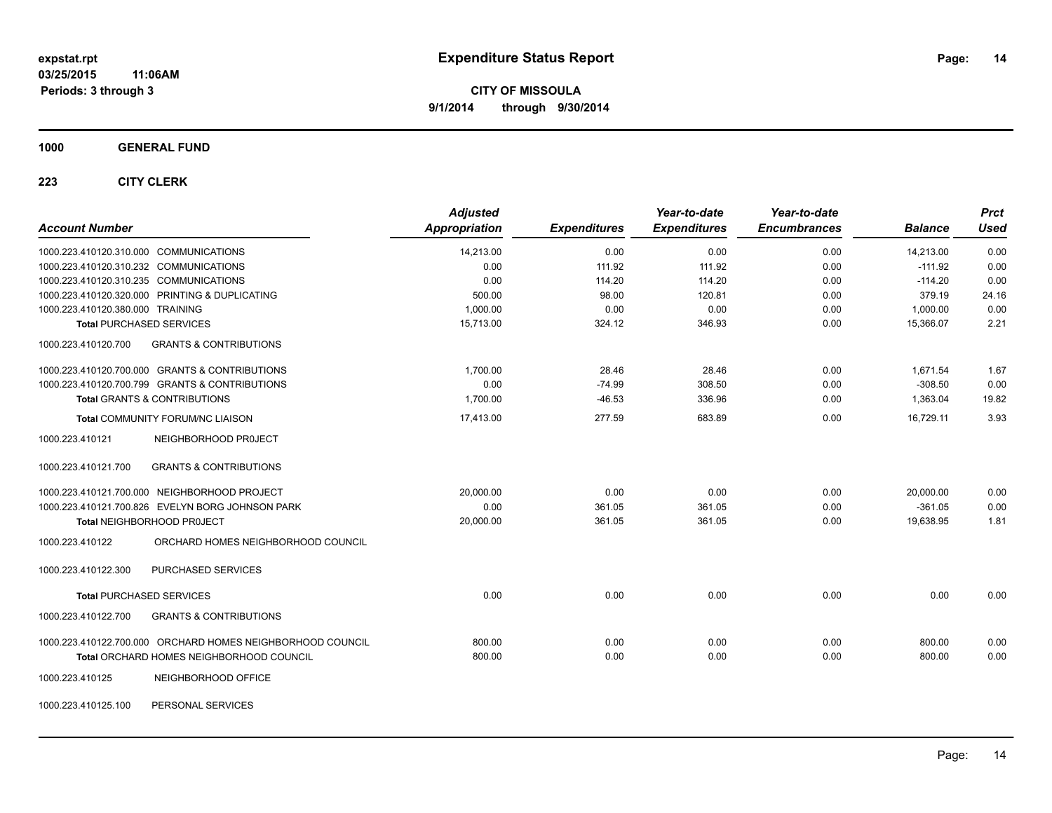#### **1000 GENERAL FUND**

| <b>Account Number</b>                                      | <b>Adjusted</b><br>Appropriation | <b>Expenditures</b> | Year-to-date<br><b>Expenditures</b> | Year-to-date<br><b>Encumbrances</b> | <b>Balance</b> | <b>Prct</b><br><b>Used</b> |
|------------------------------------------------------------|----------------------------------|---------------------|-------------------------------------|-------------------------------------|----------------|----------------------------|
| 1000.223.410120.310.000 COMMUNICATIONS                     | 14,213.00                        | 0.00                | 0.00                                | 0.00                                | 14,213.00      | 0.00                       |
| 1000.223.410120.310.232 COMMUNICATIONS                     | 0.00                             | 111.92              | 111.92                              | 0.00                                | $-111.92$      | 0.00                       |
| 1000.223.410120.310.235 COMMUNICATIONS                     | 0.00                             | 114.20              | 114.20                              | 0.00                                | $-114.20$      | 0.00                       |
| 1000.223.410120.320.000 PRINTING & DUPLICATING             | 500.00                           | 98.00               | 120.81                              | 0.00                                | 379.19         | 24.16                      |
| 1000.223.410120.380.000 TRAINING                           | 1,000.00                         | 0.00                | 0.00                                | 0.00                                | 1,000.00       | 0.00                       |
| <b>Total PURCHASED SERVICES</b>                            | 15,713.00                        | 324.12              | 346.93                              | 0.00                                | 15,366.07      | 2.21                       |
| 1000.223.410120.700<br><b>GRANTS &amp; CONTRIBUTIONS</b>   |                                  |                     |                                     |                                     |                |                            |
| 1000.223.410120.700.000 GRANTS & CONTRIBUTIONS             | 1,700.00                         | 28.46               | 28.46                               | 0.00                                | 1,671.54       | 1.67                       |
| 1000.223.410120.700.799 GRANTS & CONTRIBUTIONS             | 0.00                             | $-74.99$            | 308.50                              | 0.00                                | $-308.50$      | 0.00                       |
| Total GRANTS & CONTRIBUTIONS                               | 1,700.00                         | $-46.53$            | 336.96                              | 0.00                                | 1,363.04       | 19.82                      |
| <b>Total COMMUNITY FORUM/NC LIAISON</b>                    | 17,413.00                        | 277.59              | 683.89                              | 0.00                                | 16,729.11      | 3.93                       |
| 1000.223.410121<br>NEIGHBORHOOD PROJECT                    |                                  |                     |                                     |                                     |                |                            |
| 1000.223.410121.700<br><b>GRANTS &amp; CONTRIBUTIONS</b>   |                                  |                     |                                     |                                     |                |                            |
| 1000.223.410121.700.000 NEIGHBORHOOD PROJECT               | 20,000.00                        | 0.00                | 0.00                                | 0.00                                | 20,000.00      | 0.00                       |
| 1000.223.410121.700.826 EVELYN BORG JOHNSON PARK           | 0.00                             | 361.05              | 361.05                              | 0.00                                | $-361.05$      | 0.00                       |
| Total NEIGHBORHOOD PROJECT                                 | 20,000.00                        | 361.05              | 361.05                              | 0.00                                | 19,638.95      | 1.81                       |
| 1000.223.410122<br>ORCHARD HOMES NEIGHBORHOOD COUNCIL      |                                  |                     |                                     |                                     |                |                            |
| PURCHASED SERVICES<br>1000.223.410122.300                  |                                  |                     |                                     |                                     |                |                            |
| <b>Total PURCHASED SERVICES</b>                            | 0.00                             | 0.00                | 0.00                                | 0.00                                | 0.00           | 0.00                       |
| <b>GRANTS &amp; CONTRIBUTIONS</b><br>1000.223.410122.700   |                                  |                     |                                     |                                     |                |                            |
| 1000.223.410122.700.000 ORCHARD HOMES NEIGHBORHOOD COUNCIL | 800.00                           | 0.00                | 0.00                                | 0.00                                | 800.00         | 0.00                       |
| Total ORCHARD HOMES NEIGHBORHOOD COUNCIL                   | 800.00                           | 0.00                | 0.00                                | 0.00                                | 800.00         | 0.00                       |
| 1000.223.410125<br>NEIGHBORHOOD OFFICE                     |                                  |                     |                                     |                                     |                |                            |
| PERSONAL SERVICES<br>1000.223.410125.100                   |                                  |                     |                                     |                                     |                |                            |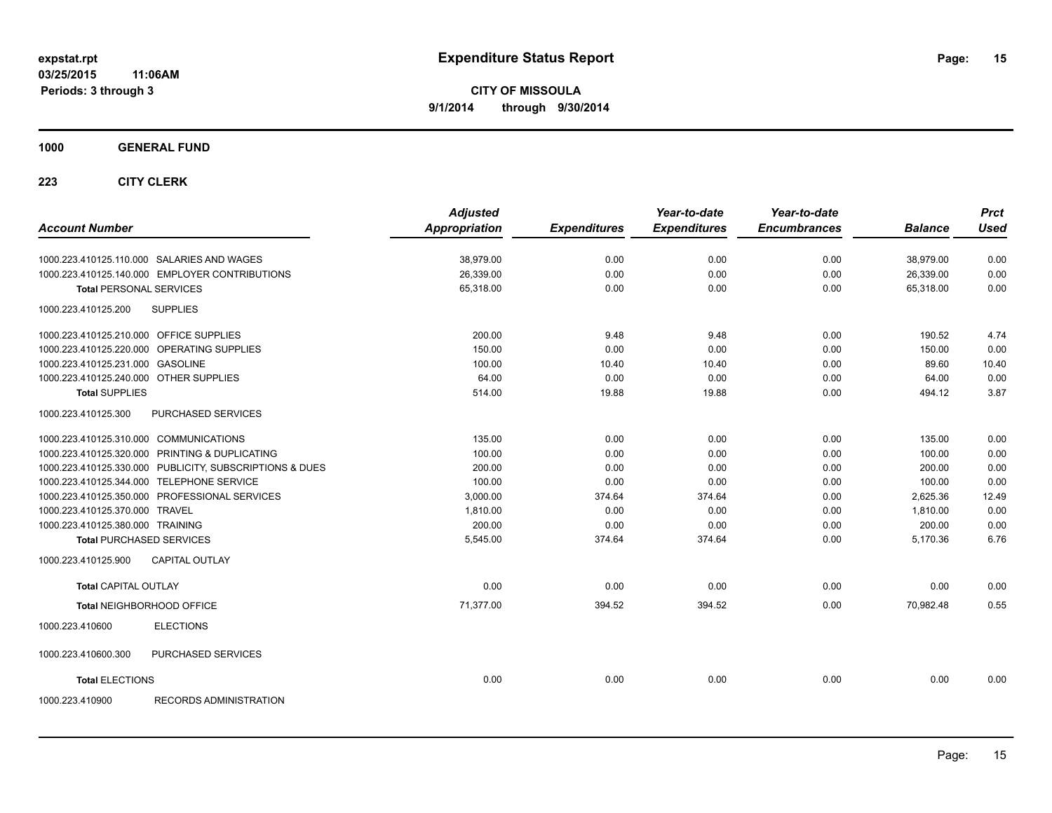**1000 GENERAL FUND**

| <b>Account Number</b>                                   | <b>Adjusted</b><br><b>Appropriation</b> | <b>Expenditures</b> | Year-to-date<br><b>Expenditures</b> | Year-to-date<br><b>Encumbrances</b> | <b>Balance</b> | <b>Prct</b><br><b>Used</b> |
|---------------------------------------------------------|-----------------------------------------|---------------------|-------------------------------------|-------------------------------------|----------------|----------------------------|
| 1000.223.410125.110.000 SALARIES AND WAGES              | 38,979.00                               | 0.00                | 0.00                                | 0.00                                | 38,979.00      | 0.00                       |
| 1000.223.410125.140.000 EMPLOYER CONTRIBUTIONS          | 26,339.00                               | 0.00                | 0.00                                | 0.00                                | 26,339.00      | 0.00                       |
| <b>Total PERSONAL SERVICES</b>                          | 65,318.00                               | 0.00                | 0.00                                | 0.00                                | 65.318.00      | 0.00                       |
| <b>SUPPLIES</b><br>1000.223.410125.200                  |                                         |                     |                                     |                                     |                |                            |
| 1000.223.410125.210.000 OFFICE SUPPLIES                 | 200.00                                  | 9.48                | 9.48                                | 0.00                                | 190.52         | 4.74                       |
| 1000.223.410125.220.000 OPERATING SUPPLIES              | 150.00                                  | 0.00                | 0.00                                | 0.00                                | 150.00         | 0.00                       |
| 1000.223.410125.231.000 GASOLINE                        | 100.00                                  | 10.40               | 10.40                               | 0.00                                | 89.60          | 10.40                      |
| 1000.223.410125.240.000 OTHER SUPPLIES                  | 64.00                                   | 0.00                | 0.00                                | 0.00                                | 64.00          | 0.00                       |
| <b>Total SUPPLIES</b>                                   | 514.00                                  | 19.88               | 19.88                               | 0.00                                | 494.12         | 3.87                       |
| 1000.223.410125.300<br>PURCHASED SERVICES               |                                         |                     |                                     |                                     |                |                            |
| 1000.223.410125.310.000 COMMUNICATIONS                  | 135.00                                  | 0.00                | 0.00                                | 0.00                                | 135.00         | 0.00                       |
| 1000.223.410125.320.000 PRINTING & DUPLICATING          | 100.00                                  | 0.00                | 0.00                                | 0.00                                | 100.00         | 0.00                       |
| 1000.223.410125.330.000 PUBLICITY, SUBSCRIPTIONS & DUES | 200.00                                  | 0.00                | 0.00                                | 0.00                                | 200.00         | 0.00                       |
| 1000.223.410125.344.000 TELEPHONE SERVICE               | 100.00                                  | 0.00                | 0.00                                | 0.00                                | 100.00         | 0.00                       |
| 1000.223.410125.350.000 PROFESSIONAL SERVICES           | 3.000.00                                | 374.64              | 374.64                              | 0.00                                | 2.625.36       | 12.49                      |
| 1000.223.410125.370.000 TRAVEL                          | 1,810.00                                | 0.00                | 0.00                                | 0.00                                | 1,810.00       | 0.00                       |
| 1000.223.410125.380.000 TRAINING                        | 200.00                                  | 0.00                | 0.00                                | 0.00                                | 200.00         | 0.00                       |
| <b>Total PURCHASED SERVICES</b>                         | 5,545.00                                | 374.64              | 374.64                              | 0.00                                | 5,170.36       | 6.76                       |
| <b>CAPITAL OUTLAY</b><br>1000.223.410125.900            |                                         |                     |                                     |                                     |                |                            |
| <b>Total CAPITAL OUTLAY</b>                             | 0.00                                    | 0.00                | 0.00                                | 0.00                                | 0.00           | 0.00                       |
| Total NEIGHBORHOOD OFFICE                               | 71.377.00                               | 394.52              | 394.52                              | 0.00                                | 70.982.48      | 0.55                       |
| <b>ELECTIONS</b><br>1000.223.410600                     |                                         |                     |                                     |                                     |                |                            |
| 1000.223.410600.300<br>PURCHASED SERVICES               |                                         |                     |                                     |                                     |                |                            |
| <b>Total ELECTIONS</b>                                  | 0.00                                    | 0.00                | 0.00                                | 0.00                                | 0.00           | 0.00                       |
| <b>RECORDS ADMINISTRATION</b><br>1000.223.410900        |                                         |                     |                                     |                                     |                |                            |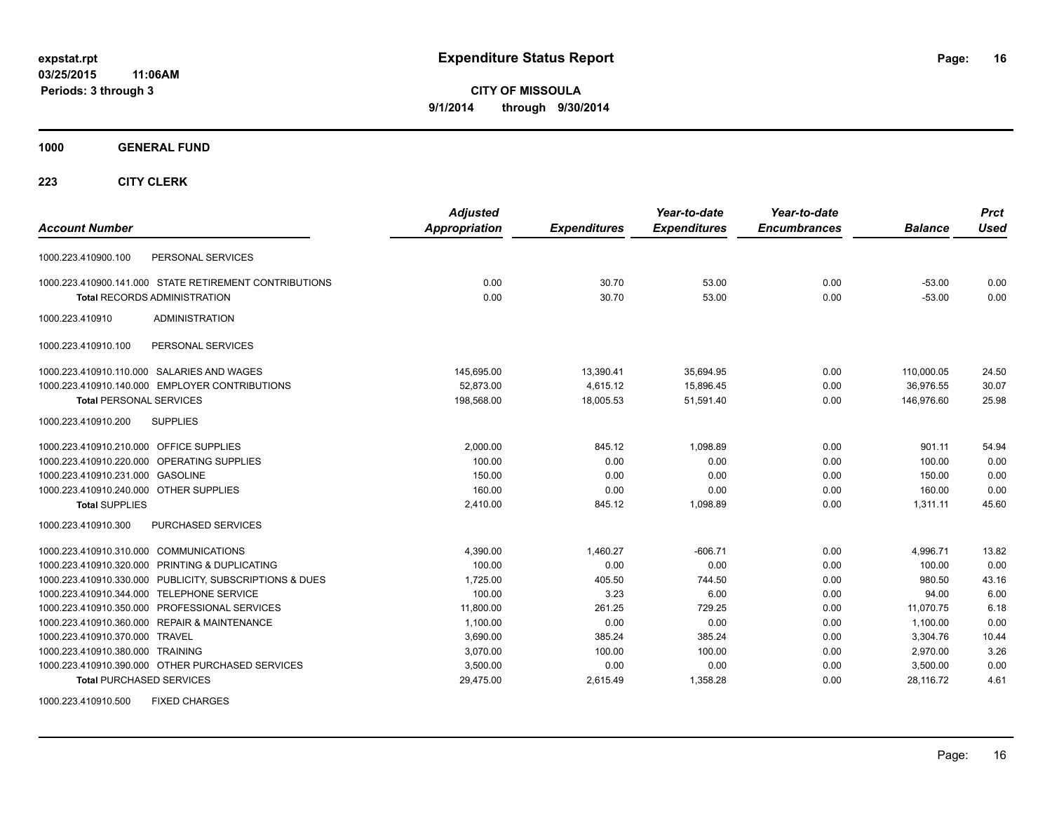**CITY OF MISSOULA 9/1/2014 through 9/30/2014**

**1000 GENERAL FUND**

| <b>Account Number</b>                                   | <b>Adjusted</b><br><b>Appropriation</b> | <b>Expenditures</b> | Year-to-date<br><b>Expenditures</b> | Year-to-date<br><b>Encumbrances</b> | <b>Balance</b> | <b>Prct</b><br><b>Used</b> |
|---------------------------------------------------------|-----------------------------------------|---------------------|-------------------------------------|-------------------------------------|----------------|----------------------------|
| PERSONAL SERVICES<br>1000.223.410900.100                |                                         |                     |                                     |                                     |                |                            |
| 1000.223.410900.141.000 STATE RETIREMENT CONTRIBUTIONS  | 0.00                                    | 30.70               | 53.00                               | 0.00                                | $-53.00$       | 0.00                       |
| <b>Total RECORDS ADMINISTRATION</b>                     | 0.00                                    | 30.70               | 53.00                               | 0.00                                | $-53.00$       | 0.00                       |
| 1000.223.410910<br><b>ADMINISTRATION</b>                |                                         |                     |                                     |                                     |                |                            |
| PERSONAL SERVICES<br>1000.223.410910.100                |                                         |                     |                                     |                                     |                |                            |
| 1000.223.410910.110.000 SALARIES AND WAGES              | 145,695.00                              | 13,390.41           | 35,694.95                           | 0.00                                | 110,000.05     | 24.50                      |
| 1000.223.410910.140.000 EMPLOYER CONTRIBUTIONS          | 52,873.00                               | 4,615.12            | 15,896.45                           | 0.00                                | 36,976.55      | 30.07                      |
| <b>Total PERSONAL SERVICES</b>                          | 198,568.00                              | 18,005.53           | 51,591.40                           | 0.00                                | 146,976.60     | 25.98                      |
| 1000.223.410910.200<br><b>SUPPLIES</b>                  |                                         |                     |                                     |                                     |                |                            |
| 1000.223.410910.210.000 OFFICE SUPPLIES                 | 2,000.00                                | 845.12              | 1,098.89                            | 0.00                                | 901.11         | 54.94                      |
| 1000.223.410910.220.000 OPERATING SUPPLIES              | 100.00                                  | 0.00                | 0.00                                | 0.00                                | 100.00         | 0.00                       |
| 1000.223.410910.231.000 GASOLINE                        | 150.00                                  | 0.00                | 0.00                                | 0.00                                | 150.00         | 0.00                       |
| 1000.223.410910.240.000 OTHER SUPPLIES                  | 160.00                                  | 0.00                | 0.00                                | 0.00                                | 160.00         | 0.00                       |
| <b>Total SUPPLIES</b>                                   | 2,410.00                                | 845.12              | 1,098.89                            | 0.00                                | 1,311.11       | 45.60                      |
| 1000.223.410910.300<br>PURCHASED SERVICES               |                                         |                     |                                     |                                     |                |                            |
| 1000.223.410910.310.000 COMMUNICATIONS                  | 4,390.00                                | 1,460.27            | $-606.71$                           | 0.00                                | 4.996.71       | 13.82                      |
| 1000.223.410910.320.000 PRINTING & DUPLICATING          | 100.00                                  | 0.00                | 0.00                                | 0.00                                | 100.00         | 0.00                       |
| 1000.223.410910.330.000 PUBLICITY, SUBSCRIPTIONS & DUES | 1,725.00                                | 405.50              | 744.50                              | 0.00                                | 980.50         | 43.16                      |
| 1000.223.410910.344.000 TELEPHONE SERVICE               | 100.00                                  | 3.23                | 6.00                                | 0.00                                | 94.00          | 6.00                       |
| 1000.223.410910.350.000 PROFESSIONAL SERVICES           | 11,800.00                               | 261.25              | 729.25                              | 0.00                                | 11.070.75      | 6.18                       |
| 1000.223.410910.360.000 REPAIR & MAINTENANCE            | 1,100.00                                | 0.00                | 0.00                                | 0.00                                | 1,100.00       | 0.00                       |
| 1000.223.410910.370.000 TRAVEL                          | 3,690.00                                | 385.24              | 385.24                              | 0.00                                | 3,304.76       | 10.44                      |
| 1000.223.410910.380.000 TRAINING                        | 3,070.00                                | 100.00              | 100.00                              | 0.00                                | 2,970.00       | 3.26                       |
| 1000.223.410910.390.000 OTHER PURCHASED SERVICES        | 3,500.00                                | 0.00                | 0.00                                | 0.00                                | 3,500.00       | 0.00                       |
| <b>Total PURCHASED SERVICES</b>                         | 29,475.00                               | 2,615.49            | 1,358.28                            | 0.00                                | 28.116.72      | 4.61                       |
| <b>FIXED CHARGES</b><br>1000.223.410910.500             |                                         |                     |                                     |                                     |                |                            |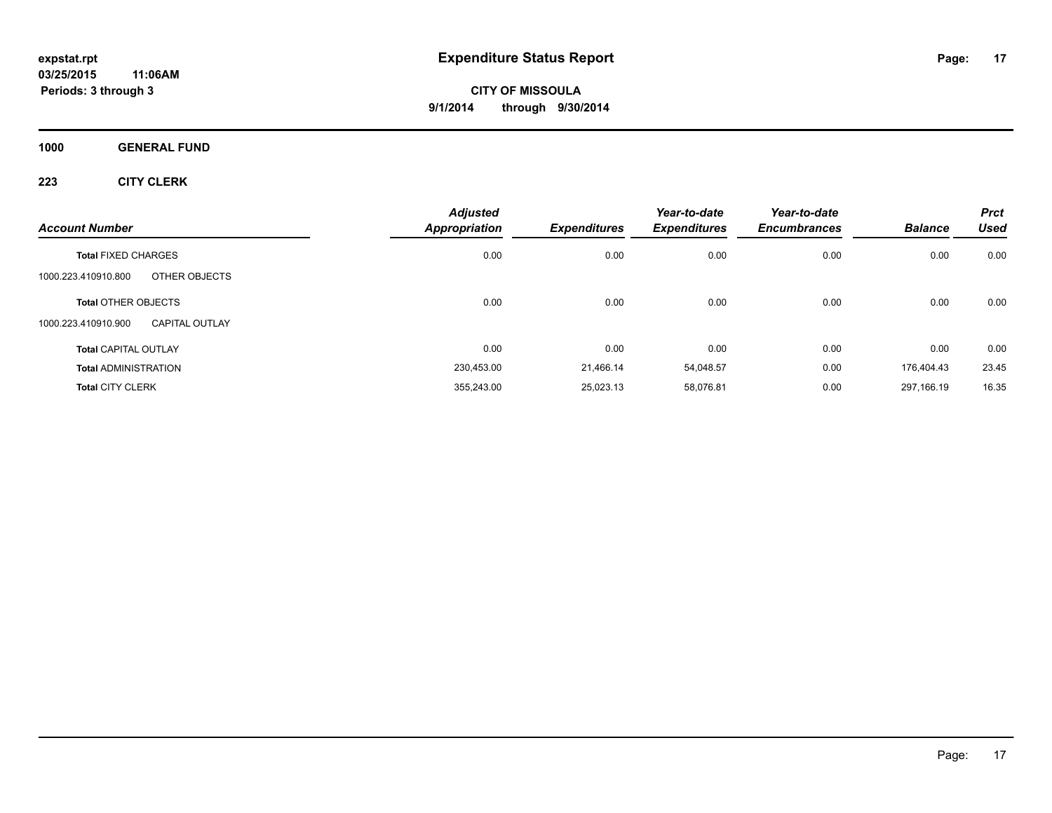**1000 GENERAL FUND**

| <b>Account Number</b>                        | <b>Adjusted</b><br><b>Appropriation</b> | <b>Expenditures</b> | Year-to-date<br><b>Expenditures</b> | Year-to-date<br><b>Encumbrances</b> | <b>Balance</b> | Prct<br><b>Used</b> |
|----------------------------------------------|-----------------------------------------|---------------------|-------------------------------------|-------------------------------------|----------------|---------------------|
| <b>Total FIXED CHARGES</b>                   | 0.00                                    | 0.00                | 0.00                                | 0.00                                | 0.00           | 0.00                |
| 1000.223.410910.800<br>OTHER OBJECTS         |                                         |                     |                                     |                                     |                |                     |
| <b>Total OTHER OBJECTS</b>                   | 0.00                                    | 0.00                | 0.00                                | 0.00                                | 0.00           | 0.00                |
| 1000.223.410910.900<br><b>CAPITAL OUTLAY</b> |                                         |                     |                                     |                                     |                |                     |
| <b>Total CAPITAL OUTLAY</b>                  | 0.00                                    | 0.00                | 0.00                                | 0.00                                | 0.00           | 0.00                |
| <b>Total ADMINISTRATION</b>                  | 230,453.00                              | 21.466.14           | 54,048.57                           | 0.00                                | 176.404.43     | 23.45               |
| <b>Total CITY CLERK</b>                      | 355,243.00                              | 25,023.13           | 58.076.81                           | 0.00                                | 297.166.19     | 16.35               |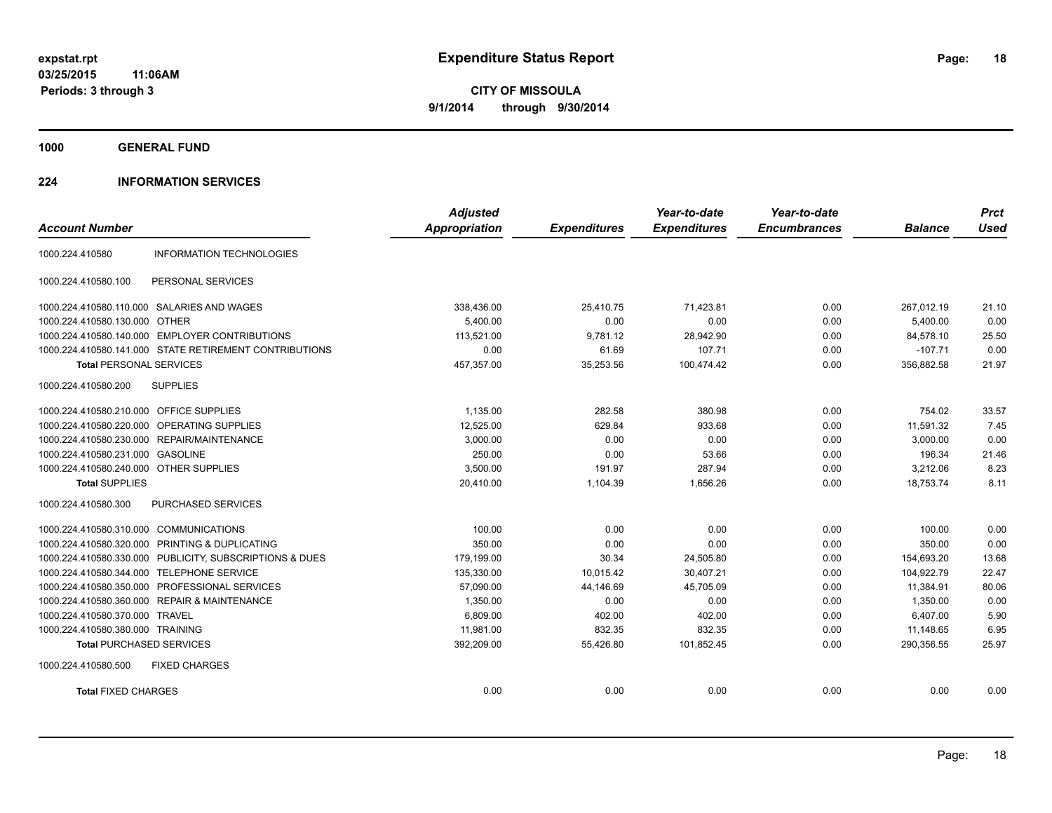**1000 GENERAL FUND**

#### **224 INFORMATION SERVICES**

| <b>Account Number</b>                   |                                                         | <b>Adjusted</b><br><b>Appropriation</b> | <b>Expenditures</b> | Year-to-date<br><b>Expenditures</b> | Year-to-date<br><b>Encumbrances</b> | <b>Balance</b> | <b>Prct</b><br><b>Used</b> |
|-----------------------------------------|---------------------------------------------------------|-----------------------------------------|---------------------|-------------------------------------|-------------------------------------|----------------|----------------------------|
|                                         |                                                         |                                         |                     |                                     |                                     |                |                            |
| 1000.224.410580                         | <b>INFORMATION TECHNOLOGIES</b>                         |                                         |                     |                                     |                                     |                |                            |
| 1000.224.410580.100                     | PERSONAL SERVICES                                       |                                         |                     |                                     |                                     |                |                            |
|                                         | 1000.224.410580.110.000 SALARIES AND WAGES              | 338,436.00                              | 25,410.75           | 71,423.81                           | 0.00                                | 267,012.19     | 21.10                      |
| 1000.224.410580.130.000 OTHER           |                                                         | 5.400.00                                | 0.00                | 0.00                                | 0.00                                | 5,400.00       | 0.00                       |
| 1000.224.410580.140.000                 | <b>EMPLOYER CONTRIBUTIONS</b>                           | 113,521.00                              | 9,781.12            | 28,942.90                           | 0.00                                | 84,578.10      | 25.50                      |
|                                         | 1000.224.410580.141.000 STATE RETIREMENT CONTRIBUTIONS  | 0.00                                    | 61.69               | 107.71                              | 0.00                                | $-107.71$      | 0.00                       |
| <b>Total PERSONAL SERVICES</b>          |                                                         | 457,357.00                              | 35,253.56           | 100,474.42                          | 0.00                                | 356,882.58     | 21.97                      |
| 1000.224.410580.200                     | <b>SUPPLIES</b>                                         |                                         |                     |                                     |                                     |                |                            |
| 1000.224.410580.210.000 OFFICE SUPPLIES |                                                         | 1,135.00                                | 282.58              | 380.98                              | 0.00                                | 754.02         | 33.57                      |
| 1000.224.410580.220.000                 | OPERATING SUPPLIES                                      | 12,525.00                               | 629.84              | 933.68                              | 0.00                                | 11,591.32      | 7.45                       |
|                                         | 1000.224.410580.230.000 REPAIR/MAINTENANCE              | 3,000.00                                | 0.00                | 0.00                                | 0.00                                | 3,000.00       | 0.00                       |
| 1000.224.410580.231.000 GASOLINE        |                                                         | 250.00                                  | 0.00                | 53.66                               | 0.00                                | 196.34         | 21.46                      |
| 1000.224.410580.240.000 OTHER SUPPLIES  |                                                         | 3,500.00                                | 191.97              | 287.94                              | 0.00                                | 3,212.06       | 8.23                       |
| <b>Total SUPPLIES</b>                   |                                                         | 20,410.00                               | 1,104.39            | 1.656.26                            | 0.00                                | 18.753.74      | 8.11                       |
| 1000.224.410580.300                     | PURCHASED SERVICES                                      |                                         |                     |                                     |                                     |                |                            |
| 1000.224.410580.310.000                 | <b>COMMUNICATIONS</b>                                   | 100.00                                  | 0.00                | 0.00                                | 0.00                                | 100.00         | 0.00                       |
| 1000.224.410580.320.000                 | PRINTING & DUPLICATING                                  | 350.00                                  | 0.00                | 0.00                                | 0.00                                | 350.00         | 0.00                       |
|                                         | 1000.224.410580.330.000 PUBLICITY, SUBSCRIPTIONS & DUES | 179,199.00                              | 30.34               | 24,505.80                           | 0.00                                | 154,693.20     | 13.68                      |
| 1000.224.410580.344.000                 | <b>TELEPHONE SERVICE</b>                                | 135,330.00                              | 10,015.42           | 30,407.21                           | 0.00                                | 104,922.79     | 22.47                      |
| 1000.224.410580.350.000                 | PROFESSIONAL SERVICES                                   | 57,090.00                               | 44,146.69           | 45,705.09                           | 0.00                                | 11,384.91      | 80.06                      |
| 1000.224.410580.360.000                 | <b>REPAIR &amp; MAINTENANCE</b>                         | 1,350.00                                | 0.00                | 0.00                                | 0.00                                | 1,350.00       | 0.00                       |
| 1000.224.410580.370.000 TRAVEL          |                                                         | 6.809.00                                | 402.00              | 402.00                              | 0.00                                | 6.407.00       | 5.90                       |
| 1000.224.410580.380.000 TRAINING        |                                                         | 11,981.00                               | 832.35              | 832.35                              | 0.00                                | 11,148.65      | 6.95                       |
| <b>Total PURCHASED SERVICES</b>         |                                                         | 392,209.00                              | 55,426.80           | 101,852.45                          | 0.00                                | 290,356.55     | 25.97                      |
| 1000.224.410580.500                     | <b>FIXED CHARGES</b>                                    |                                         |                     |                                     |                                     |                |                            |
| <b>Total FIXED CHARGES</b>              |                                                         | 0.00                                    | 0.00                | 0.00                                | 0.00                                | 0.00           | 0.00                       |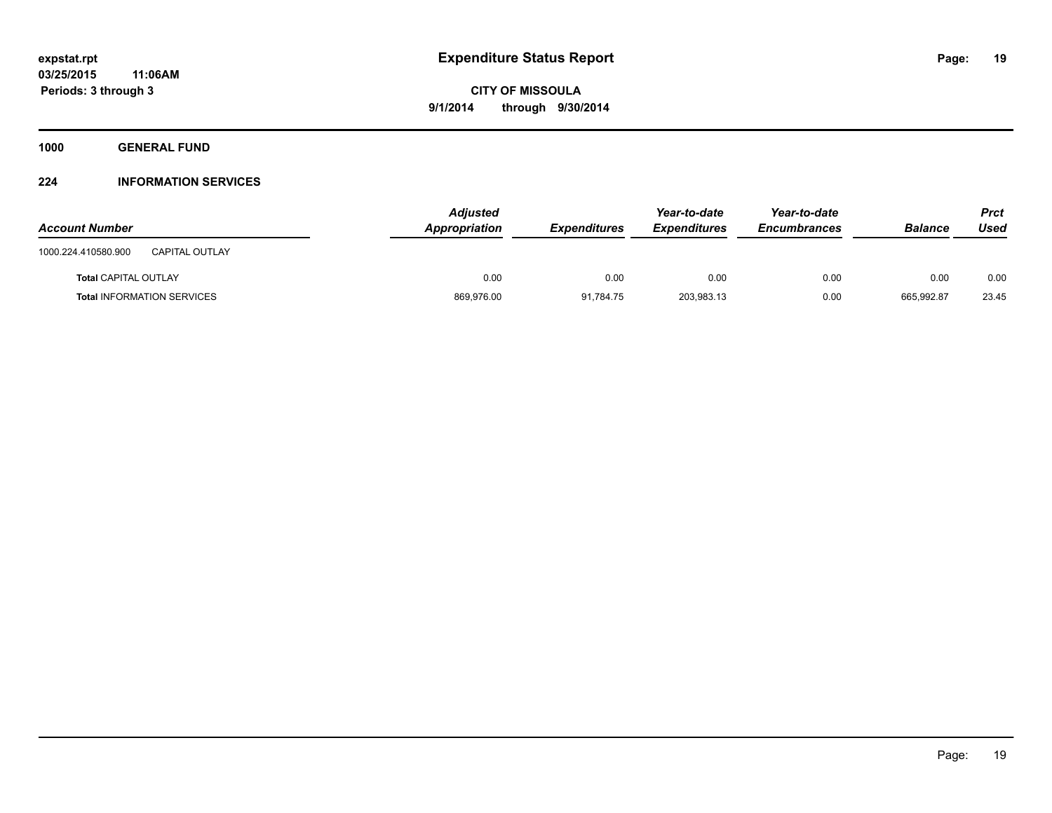**1000 GENERAL FUND**

#### **224 INFORMATION SERVICES**

| <b>Account Number</b>                        | <b>Adjusted</b><br>Appropriation | <b>Expenditures</b> | Year-to-date<br><b>Expenditures</b> | Year-to-date<br><b>Encumbrances</b> | <b>Balance</b> | Prct<br>Used |
|----------------------------------------------|----------------------------------|---------------------|-------------------------------------|-------------------------------------|----------------|--------------|
| <b>CAPITAL OUTLAY</b><br>1000.224.410580.900 |                                  |                     |                                     |                                     |                |              |
| <b>Total CAPITAL OUTLAY</b>                  | 0.00                             | 0.00                | 0.00                                | 0.00                                | 0.00           | 0.00         |
| <b>Total INFORMATION SERVICES</b>            | 869,976.00                       | 91,784.75           | 203,983.13                          | 0.00                                | 665,992.87     | 23.45        |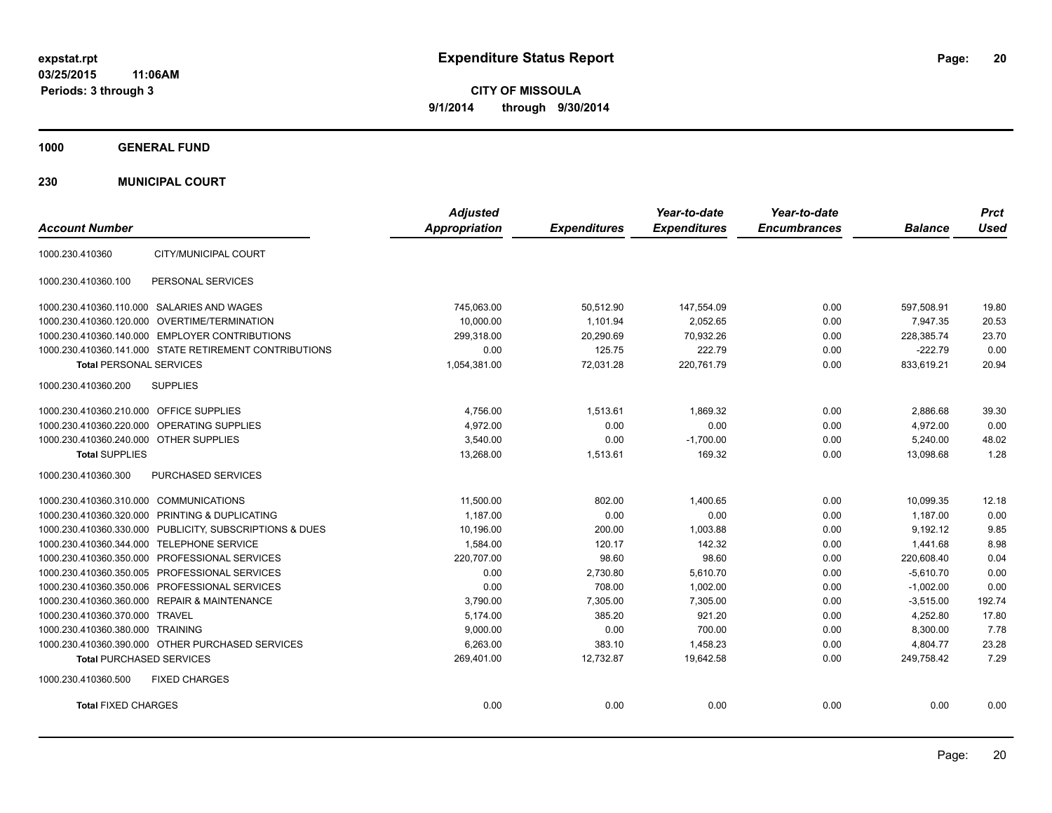**CITY OF MISSOULA 9/1/2014 through 9/30/2014**

**1000 GENERAL FUND**

**230 MUNICIPAL COURT**

| <b>Account Number</b>                                   | <b>Adjusted</b><br>Appropriation | <b>Expenditures</b> | Year-to-date<br><b>Expenditures</b> | Year-to-date<br><b>Encumbrances</b> | <b>Balance</b> | <b>Prct</b><br><b>Used</b> |
|---------------------------------------------------------|----------------------------------|---------------------|-------------------------------------|-------------------------------------|----------------|----------------------------|
| CITY/MUNICIPAL COURT<br>1000.230.410360                 |                                  |                     |                                     |                                     |                |                            |
| 1000.230.410360.100<br>PERSONAL SERVICES                |                                  |                     |                                     |                                     |                |                            |
| 1000.230.410360.110.000 SALARIES AND WAGES              | 745.063.00                       | 50.512.90           | 147,554.09                          | 0.00                                | 597.508.91     | 19.80                      |
| 1000.230.410360.120.000 OVERTIME/TERMINATION            | 10,000.00                        | 1,101.94            | 2,052.65                            | 0.00                                | 7,947.35       | 20.53                      |
| 1000.230.410360.140.000 EMPLOYER CONTRIBUTIONS          | 299,318.00                       | 20,290.69           | 70,932.26                           | 0.00                                | 228,385.74     | 23.70                      |
| 1000.230.410360.141.000 STATE RETIREMENT CONTRIBUTIONS  | 0.00                             | 125.75              | 222.79                              | 0.00                                | $-222.79$      | 0.00                       |
| <b>Total PERSONAL SERVICES</b>                          | 1,054,381.00                     | 72,031.28           | 220,761.79                          | 0.00                                | 833,619.21     | 20.94                      |
| 1000.230.410360.200<br><b>SUPPLIES</b>                  |                                  |                     |                                     |                                     |                |                            |
| 1000.230.410360.210.000 OFFICE SUPPLIES                 | 4,756.00                         | 1,513.61            | 1,869.32                            | 0.00                                | 2,886.68       | 39.30                      |
| 1000.230.410360.220.000 OPERATING SUPPLIES              | 4,972.00                         | 0.00                | 0.00                                | 0.00                                | 4,972.00       | 0.00                       |
| 1000.230.410360.240.000 OTHER SUPPLIES                  | 3,540.00                         | 0.00                | $-1,700.00$                         | 0.00                                | 5,240.00       | 48.02                      |
| <b>Total SUPPLIES</b>                                   | 13,268.00                        | 1,513.61            | 169.32                              | 0.00                                | 13,098.68      | 1.28                       |
| PURCHASED SERVICES<br>1000.230.410360.300               |                                  |                     |                                     |                                     |                |                            |
| 1000.230.410360.310.000 COMMUNICATIONS                  | 11,500.00                        | 802.00              | 1.400.65                            | 0.00                                | 10.099.35      | 12.18                      |
| 1000.230.410360.320.000 PRINTING & DUPLICATING          | 1,187.00                         | 0.00                | 0.00                                | 0.00                                | 1,187.00       | 0.00                       |
| 1000.230.410360.330.000 PUBLICITY, SUBSCRIPTIONS & DUES | 10,196.00                        | 200.00              | 1,003.88                            | 0.00                                | 9,192.12       | 9.85                       |
| 1000.230.410360.344.000 TELEPHONE SERVICE               | 1.584.00                         | 120.17              | 142.32                              | 0.00                                | 1.441.68       | 8.98                       |
| 1000.230.410360.350.000 PROFESSIONAL SERVICES           | 220,707.00                       | 98.60               | 98.60                               | 0.00                                | 220,608.40     | 0.04                       |
| 1000.230.410360.350.005 PROFESSIONAL SERVICES           | 0.00                             | 2,730.80            | 5,610.70                            | 0.00                                | $-5,610.70$    | 0.00                       |
| 1000.230.410360.350.006 PROFESSIONAL SERVICES           | 0.00                             | 708.00              | 1.002.00                            | 0.00                                | $-1,002.00$    | 0.00                       |
| 1000.230.410360.360.000 REPAIR & MAINTENANCE            | 3,790.00                         | 7.305.00            | 7.305.00                            | 0.00                                | $-3,515.00$    | 192.74                     |
| 1000.230.410360.370.000 TRAVEL                          | 5.174.00                         | 385.20              | 921.20                              | 0.00                                | 4.252.80       | 17.80                      |
| 1000.230.410360.380.000 TRAINING                        | 9,000.00                         | 0.00                | 700.00                              | 0.00                                | 8,300.00       | 7.78                       |
| 1000.230.410360.390.000 OTHER PURCHASED SERVICES        | 6,263.00                         | 383.10              | 1,458.23                            | 0.00                                | 4,804.77       | 23.28                      |
| <b>Total PURCHASED SERVICES</b>                         | 269,401.00                       | 12,732.87           | 19,642.58                           | 0.00                                | 249,758.42     | 7.29                       |
| 1000.230.410360.500<br><b>FIXED CHARGES</b>             |                                  |                     |                                     |                                     |                |                            |
| <b>Total FIXED CHARGES</b>                              | 0.00                             | 0.00                | 0.00                                | 0.00                                | 0.00           | 0.00                       |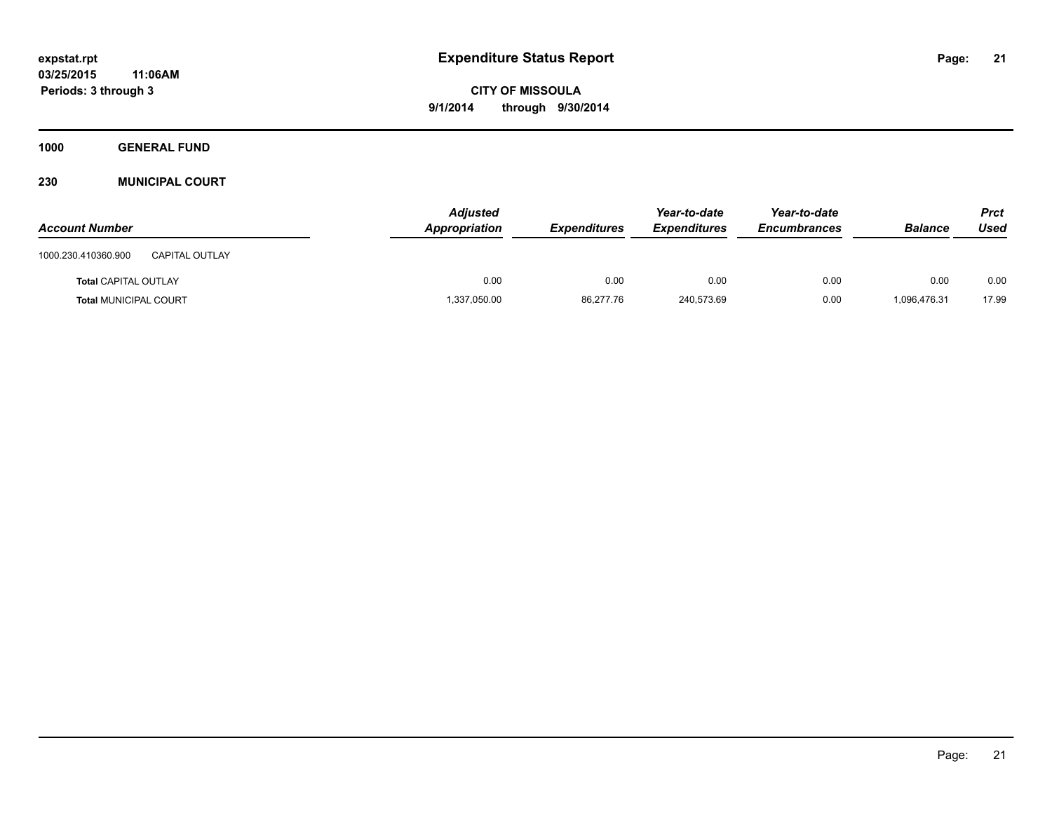**1000 GENERAL FUND**

**230 MUNICIPAL COURT**

| <b>Account Number</b>                        | <b>Adjusted</b><br>Appropriation | <b>Expenditures</b> | Year-to-date<br><b>Expenditures</b> | Year-to-date<br><b>Encumbrances</b> | <b>Balance</b> | <b>Prct</b><br>Used |
|----------------------------------------------|----------------------------------|---------------------|-------------------------------------|-------------------------------------|----------------|---------------------|
| 1000.230.410360.900<br><b>CAPITAL OUTLAY</b> |                                  |                     |                                     |                                     |                |                     |
| <b>Total CAPITAL OUTLAY</b>                  | 0.00                             | 0.00                | 0.00                                | 0.00                                | 0.00           | 0.00                |
| <b>Total MUNICIPAL COURT</b>                 | 1,337,050.00                     | 86,277.76           | 240,573.69                          | 0.00                                | 1.096.476.31   | 17.99               |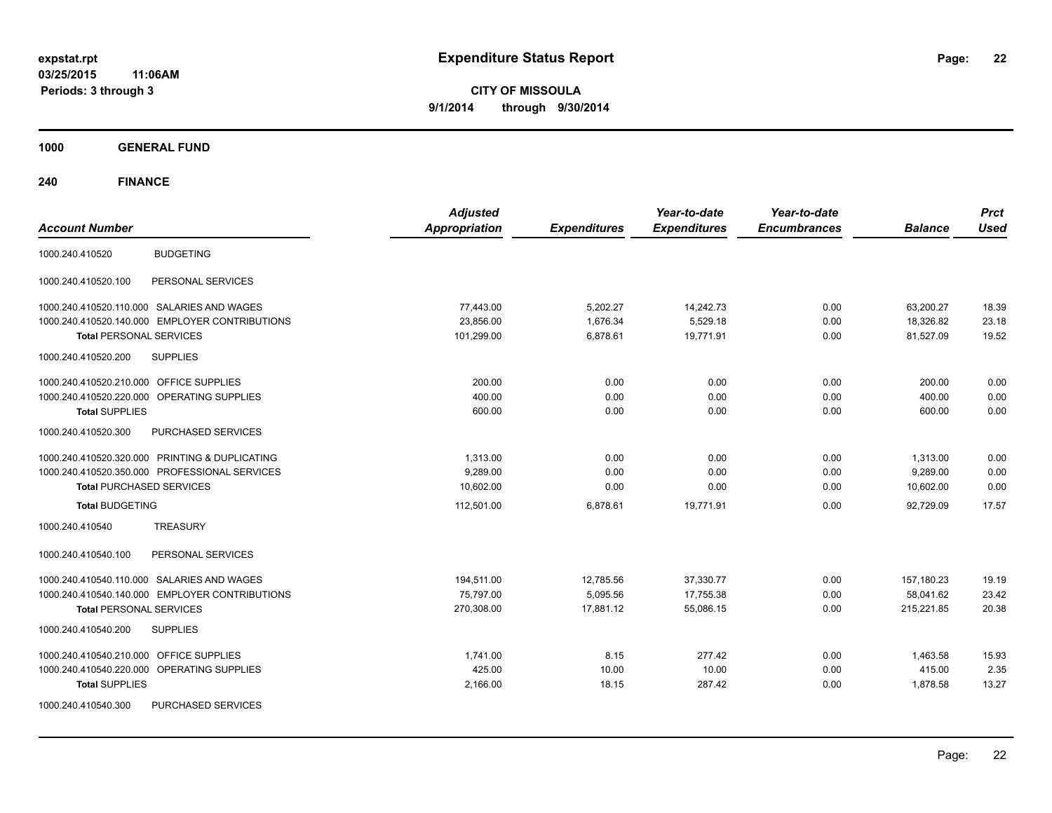**CITY OF MISSOULA 9/1/2014 through 9/30/2014**

**1000 GENERAL FUND**

| <b>Account Number</b>                                | <b>Adjusted</b><br><b>Appropriation</b> | <b>Expenditures</b> | Year-to-date<br><b>Expenditures</b> | Year-to-date<br><b>Encumbrances</b> | <b>Balance</b> | <b>Prct</b><br><b>Used</b> |
|------------------------------------------------------|-----------------------------------------|---------------------|-------------------------------------|-------------------------------------|----------------|----------------------------|
| <b>BUDGETING</b><br>1000.240.410520                  |                                         |                     |                                     |                                     |                |                            |
| 1000.240.410520.100<br>PERSONAL SERVICES             |                                         |                     |                                     |                                     |                |                            |
| 1000.240.410520.110.000 SALARIES AND WAGES           | 77,443.00                               | 5,202.27            | 14,242.73                           | 0.00                                | 63,200.27      | 18.39                      |
| 1000.240.410520.140.000 EMPLOYER CONTRIBUTIONS       | 23,856.00                               | 1,676.34            | 5,529.18                            | 0.00                                | 18,326.82      | 23.18                      |
| <b>Total PERSONAL SERVICES</b>                       | 101,299.00                              | 6,878.61            | 19.771.91                           | 0.00                                | 81,527.09      | 19.52                      |
| 1000.240.410520.200<br><b>SUPPLIES</b>               |                                         |                     |                                     |                                     |                |                            |
| 1000.240.410520.210.000 OFFICE SUPPLIES              | 200.00                                  | 0.00                | 0.00                                | 0.00                                | 200.00         | 0.00                       |
| 1000.240.410520.220.000 OPERATING SUPPLIES           | 400.00                                  | 0.00                | 0.00                                | 0.00                                | 400.00         | 0.00                       |
| <b>Total SUPPLIES</b>                                | 600.00                                  | 0.00                | 0.00                                | 0.00                                | 600.00         | 0.00                       |
| 1000.240.410520.300<br><b>PURCHASED SERVICES</b>     |                                         |                     |                                     |                                     |                |                            |
| 1000.240.410520.320.000 PRINTING & DUPLICATING       | 1,313.00                                | 0.00                | 0.00                                | 0.00                                | 1,313.00       | 0.00                       |
| 1000.240.410520.350.000 PROFESSIONAL SERVICES        | 9.289.00                                | 0.00                | 0.00                                | 0.00                                | 9,289.00       | 0.00                       |
| <b>Total PURCHASED SERVICES</b>                      | 10,602.00                               | 0.00                | 0.00                                | 0.00                                | 10,602.00      | 0.00                       |
| <b>Total BUDGETING</b>                               | 112,501.00                              | 6,878.61            | 19,771.91                           | 0.00                                | 92.729.09      | 17.57                      |
| <b>TREASURY</b><br>1000.240.410540                   |                                         |                     |                                     |                                     |                |                            |
| PERSONAL SERVICES<br>1000.240.410540.100             |                                         |                     |                                     |                                     |                |                            |
| 1000.240.410540.110.000 SALARIES AND WAGES           | 194,511.00                              | 12,785.56           | 37,330.77                           | 0.00                                | 157,180.23     | 19.19                      |
| 1000.240.410540.140.000 EMPLOYER CONTRIBUTIONS       | 75,797.00                               | 5,095.56            | 17,755.38                           | 0.00                                | 58,041.62      | 23.42                      |
| <b>Total PERSONAL SERVICES</b>                       | 270,308.00                              | 17.881.12           | 55.086.15                           | 0.00                                | 215.221.85     | 20.38                      |
| 1000.240.410540.200<br><b>SUPPLIES</b>               |                                         |                     |                                     |                                     |                |                            |
| 1000.240.410540.210.000 OFFICE SUPPLIES              | 1,741.00                                | 8.15                | 277.42                              | 0.00                                | 1,463.58       | 15.93                      |
| 1000.240.410540.220.000<br><b>OPERATING SUPPLIES</b> | 425.00                                  | 10.00               | 10.00                               | 0.00                                | 415.00         | 2.35                       |
| <b>Total SUPPLIES</b>                                | 2,166.00                                | 18.15               | 287.42                              | 0.00                                | 1,878.58       | 13.27                      |
| 1000.240.410540.300<br>PURCHASED SERVICES            |                                         |                     |                                     |                                     |                |                            |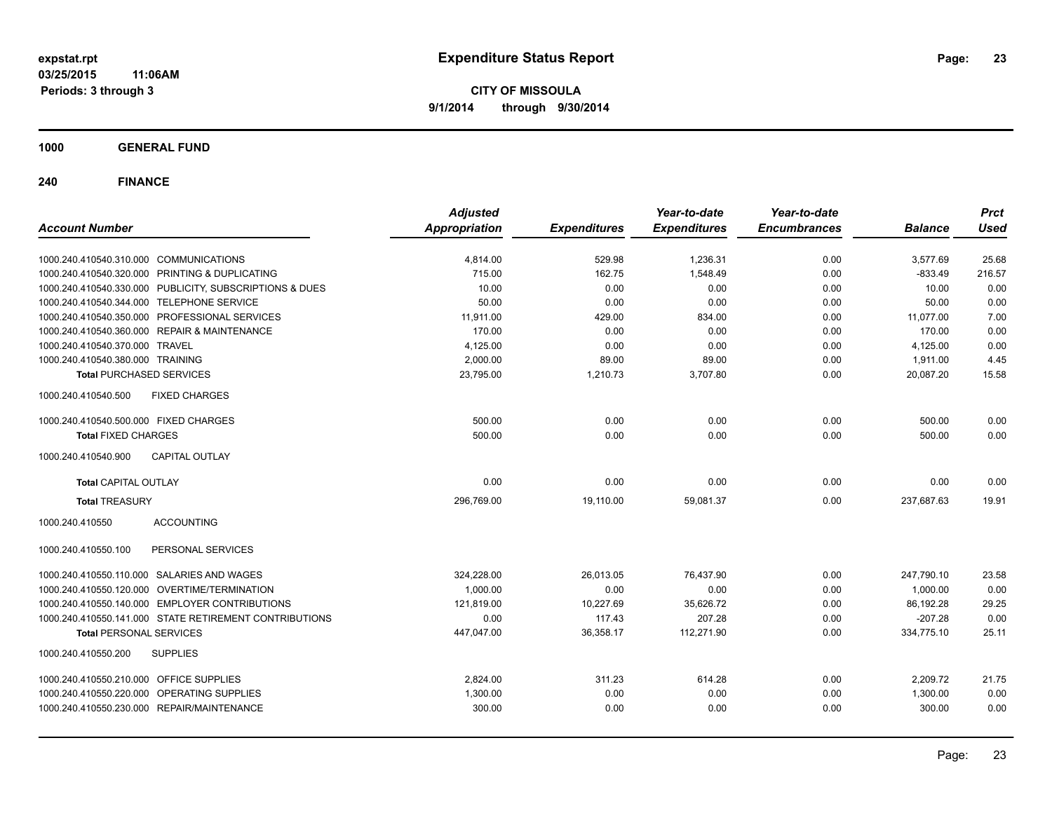**CITY OF MISSOULA 9/1/2014 through 9/30/2014**

**1000 GENERAL FUND**

| <b>Account Number</b>                                   | <b>Adjusted</b><br><b>Appropriation</b> | <b>Expenditures</b> | Year-to-date<br><b>Expenditures</b> | Year-to-date<br><b>Encumbrances</b> | <b>Balance</b> | <b>Prct</b><br><b>Used</b> |
|---------------------------------------------------------|-----------------------------------------|---------------------|-------------------------------------|-------------------------------------|----------------|----------------------------|
|                                                         |                                         |                     |                                     |                                     |                |                            |
| 1000.240.410540.310.000 COMMUNICATIONS                  | 4,814.00                                | 529.98              | 1,236.31                            | 0.00                                | 3,577.69       | 25.68                      |
| 1000.240.410540.320.000 PRINTING & DUPLICATING          | 715.00                                  | 162.75              | 1,548.49                            | 0.00                                | $-833.49$      | 216.57                     |
| 1000.240.410540.330.000 PUBLICITY, SUBSCRIPTIONS & DUES | 10.00                                   | 0.00                | 0.00                                | 0.00                                | 10.00          | 0.00                       |
| 1000.240.410540.344.000 TELEPHONE SERVICE               | 50.00                                   | 0.00                | 0.00                                | 0.00                                | 50.00          | 0.00                       |
| 1000.240.410540.350.000 PROFESSIONAL SERVICES           | 11,911.00                               | 429.00              | 834.00                              | 0.00                                | 11,077.00      | 7.00                       |
| 1000.240.410540.360.000 REPAIR & MAINTENANCE            | 170.00                                  | 0.00                | 0.00                                | 0.00                                | 170.00         | 0.00                       |
| 1000.240.410540.370.000 TRAVEL                          | 4,125.00                                | 0.00                | 0.00                                | 0.00                                | 4,125.00       | 0.00                       |
| 1000.240.410540.380.000 TRAINING                        | 2,000.00                                | 89.00               | 89.00                               | 0.00                                | 1,911.00       | 4.45                       |
| <b>Total PURCHASED SERVICES</b>                         | 23,795.00                               | 1,210.73            | 3,707.80                            | 0.00                                | 20,087.20      | 15.58                      |
| 1000.240.410540.500<br><b>FIXED CHARGES</b>             |                                         |                     |                                     |                                     |                |                            |
| 1000.240.410540.500.000 FIXED CHARGES                   | 500.00                                  | 0.00                | 0.00                                | 0.00                                | 500.00         | 0.00                       |
| <b>Total FIXED CHARGES</b>                              | 500.00                                  | 0.00                | 0.00                                | 0.00                                | 500.00         | 0.00                       |
| 1000.240.410540.900<br><b>CAPITAL OUTLAY</b>            |                                         |                     |                                     |                                     |                |                            |
| <b>Total CAPITAL OUTLAY</b>                             | 0.00                                    | 0.00                | 0.00                                | 0.00                                | 0.00           | 0.00                       |
| <b>Total TREASURY</b>                                   | 296,769.00                              | 19,110.00           | 59,081.37                           | 0.00                                | 237,687.63     | 19.91                      |
| 1000.240.410550<br><b>ACCOUNTING</b>                    |                                         |                     |                                     |                                     |                |                            |
| PERSONAL SERVICES<br>1000.240.410550.100                |                                         |                     |                                     |                                     |                |                            |
| 1000.240.410550.110.000 SALARIES AND WAGES              | 324,228.00                              | 26,013.05           | 76,437.90                           | 0.00                                | 247,790.10     | 23.58                      |
| 1000.240.410550.120.000 OVERTIME/TERMINATION            | 1,000.00                                | 0.00                | 0.00                                | 0.00                                | 1,000.00       | 0.00                       |
| 1000.240.410550.140.000 EMPLOYER CONTRIBUTIONS          | 121,819.00                              | 10,227.69           | 35,626.72                           | 0.00                                | 86,192.28      | 29.25                      |
| 1000.240.410550.141.000 STATE RETIREMENT CONTRIBUTIONS  | 0.00                                    | 117.43              | 207.28                              | 0.00                                | $-207.28$      | 0.00                       |
| <b>Total PERSONAL SERVICES</b>                          | 447,047.00                              | 36,358.17           | 112,271.90                          | 0.00                                | 334,775.10     | 25.11                      |
| 1000.240.410550.200<br><b>SUPPLIES</b>                  |                                         |                     |                                     |                                     |                |                            |
| 1000.240.410550.210.000 OFFICE SUPPLIES                 | 2,824.00                                | 311.23              | 614.28                              | 0.00                                | 2,209.72       | 21.75                      |
| 1000.240.410550.220.000 OPERATING SUPPLIES              | 1,300.00                                | 0.00                | 0.00                                | 0.00                                | 1,300.00       | 0.00                       |
| 1000.240.410550.230.000 REPAIR/MAINTENANCE              | 300.00                                  | 0.00                | 0.00                                | 0.00                                | 300.00         | 0.00                       |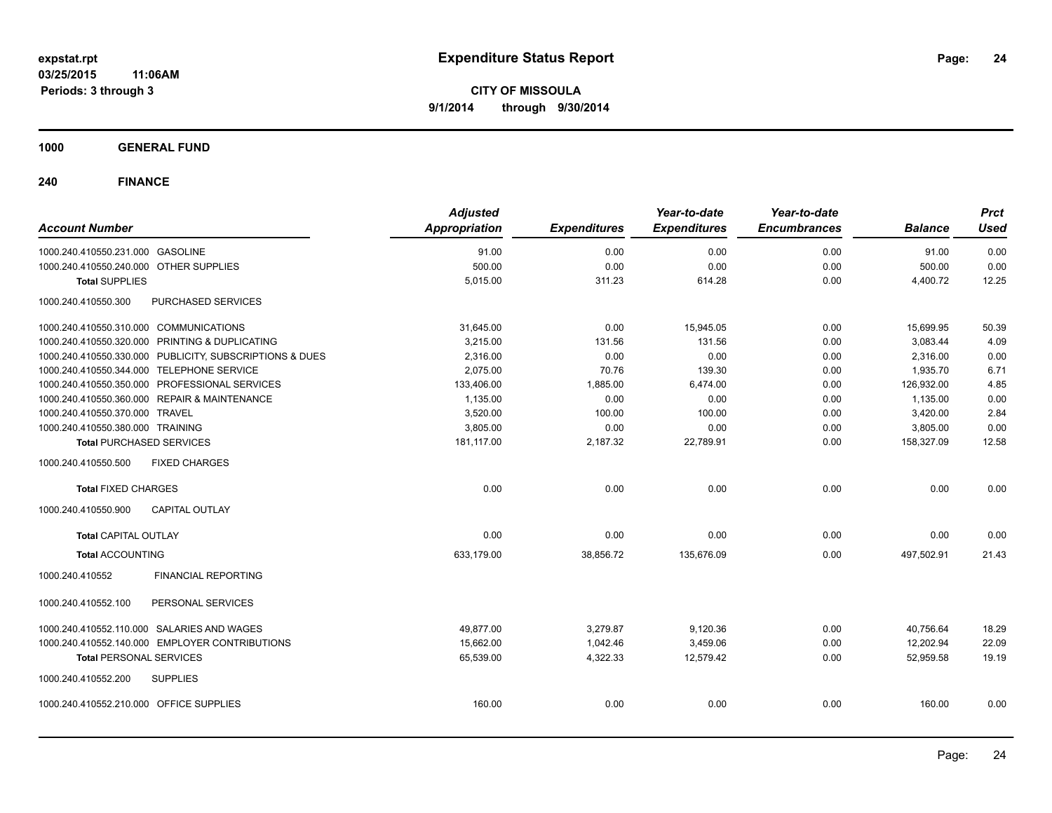**1000 GENERAL FUND**

| <b>Account Number</b>                                   | <b>Adjusted</b><br>Appropriation | <b>Expenditures</b> | Year-to-date<br><b>Expenditures</b> | Year-to-date<br><b>Encumbrances</b> | <b>Balance</b> | <b>Prct</b><br><b>Used</b> |
|---------------------------------------------------------|----------------------------------|---------------------|-------------------------------------|-------------------------------------|----------------|----------------------------|
| 1000.240.410550.231.000 GASOLINE                        | 91.00                            | 0.00                | 0.00                                | 0.00                                | 91.00          | 0.00                       |
| 1000.240.410550.240.000 OTHER SUPPLIES                  | 500.00                           | 0.00                | 0.00                                | 0.00                                | 500.00         | 0.00                       |
| <b>Total SUPPLIES</b>                                   | 5,015.00                         | 311.23              | 614.28                              | 0.00                                | 4,400.72       | 12.25                      |
| 1000.240.410550.300<br>PURCHASED SERVICES               |                                  |                     |                                     |                                     |                |                            |
| 1000.240.410550.310.000 COMMUNICATIONS                  | 31,645.00                        | 0.00                | 15,945.05                           | 0.00                                | 15,699.95      | 50.39                      |
| 1000.240.410550.320.000 PRINTING & DUPLICATING          | 3,215.00                         | 131.56              | 131.56                              | 0.00                                | 3,083.44       | 4.09                       |
| 1000.240.410550.330.000 PUBLICITY, SUBSCRIPTIONS & DUES | 2,316.00                         | 0.00                | 0.00                                | 0.00                                | 2,316.00       | 0.00                       |
| 1000.240.410550.344.000 TELEPHONE SERVICE               | 2,075.00                         | 70.76               | 139.30                              | 0.00                                | 1,935.70       | 6.71                       |
| 1000.240.410550.350.000 PROFESSIONAL SERVICES           | 133,406.00                       | 1,885.00            | 6,474.00                            | 0.00                                | 126,932.00     | 4.85                       |
| 1000.240.410550.360.000 REPAIR & MAINTENANCE            | 1,135.00                         | 0.00                | 0.00                                | 0.00                                | 1,135.00       | 0.00                       |
| 1000.240.410550.370.000 TRAVEL                          | 3,520.00                         | 100.00              | 100.00                              | 0.00                                | 3,420.00       | 2.84                       |
| 1000.240.410550.380.000 TRAINING                        | 3,805.00                         | 0.00                | 0.00                                | 0.00                                | 3,805.00       | 0.00                       |
| <b>Total PURCHASED SERVICES</b>                         | 181,117.00                       | 2,187.32            | 22,789.91                           | 0.00                                | 158,327.09     | 12.58                      |
| 1000.240.410550.500<br><b>FIXED CHARGES</b>             |                                  |                     |                                     |                                     |                |                            |
| <b>Total FIXED CHARGES</b>                              | 0.00                             | 0.00                | 0.00                                | 0.00                                | 0.00           | 0.00                       |
| <b>CAPITAL OUTLAY</b><br>1000.240.410550.900            |                                  |                     |                                     |                                     |                |                            |
| <b>Total CAPITAL OUTLAY</b>                             | 0.00                             | 0.00                | 0.00                                | 0.00                                | 0.00           | 0.00                       |
| <b>Total ACCOUNTING</b>                                 | 633,179.00                       | 38,856.72           | 135,676.09                          | 0.00                                | 497,502.91     | 21.43                      |
| 1000.240.410552<br><b>FINANCIAL REPORTING</b>           |                                  |                     |                                     |                                     |                |                            |
| PERSONAL SERVICES<br>1000.240.410552.100                |                                  |                     |                                     |                                     |                |                            |
| 1000.240.410552.110.000 SALARIES AND WAGES              | 49,877.00                        | 3,279.87            | 9,120.36                            | 0.00                                | 40,756.64      | 18.29                      |
| 1000.240.410552.140.000 EMPLOYER CONTRIBUTIONS          | 15,662.00                        | 1,042.46            | 3,459.06                            | 0.00                                | 12,202.94      | 22.09                      |
| <b>Total PERSONAL SERVICES</b>                          | 65,539.00                        | 4,322.33            | 12,579.42                           | 0.00                                | 52,959.58      | 19.19                      |
| 1000.240.410552.200<br><b>SUPPLIES</b>                  |                                  |                     |                                     |                                     |                |                            |
| 1000.240.410552.210.000 OFFICE SUPPLIES                 | 160.00                           | 0.00                | 0.00                                | 0.00                                | 160.00         | 0.00                       |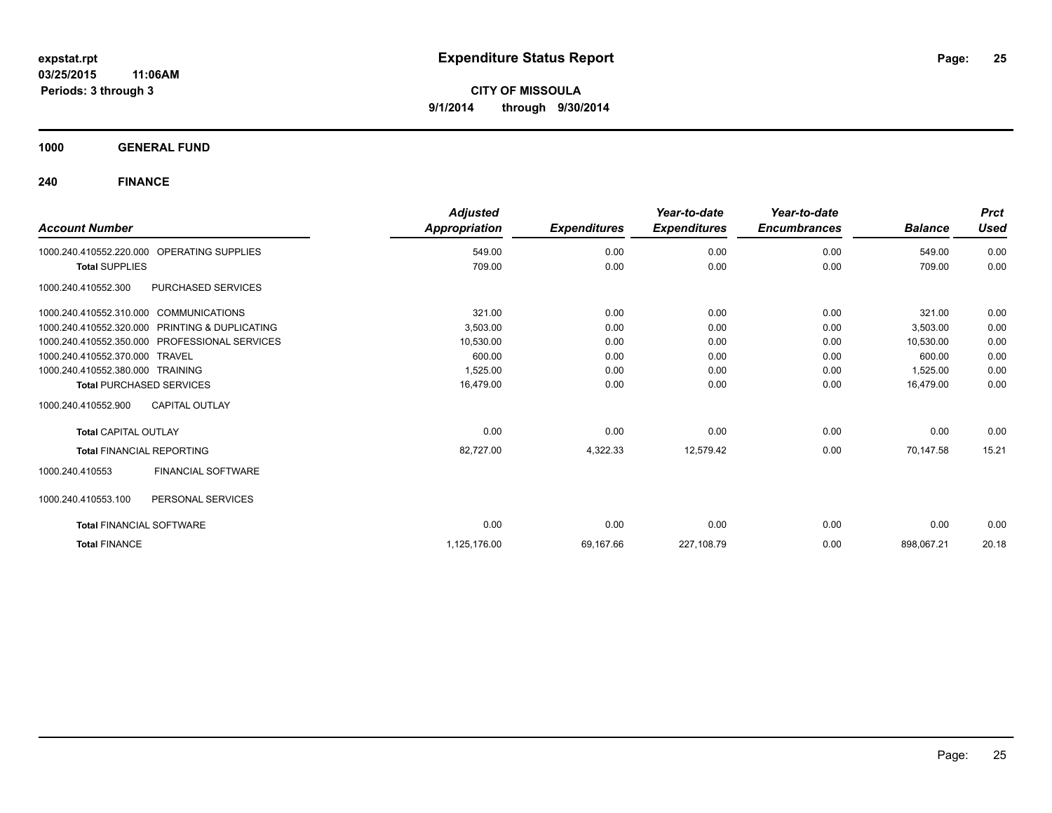**1000 GENERAL FUND**

| <b>Account Number</b>                          | <b>Adjusted</b><br>Appropriation | <b>Expenditures</b> | Year-to-date<br><b>Expenditures</b> | Year-to-date<br><b>Encumbrances</b> | <b>Balance</b> | <b>Prct</b><br><b>Used</b> |
|------------------------------------------------|----------------------------------|---------------------|-------------------------------------|-------------------------------------|----------------|----------------------------|
| OPERATING SUPPLIES<br>1000.240.410552.220.000  | 549.00                           | 0.00                | 0.00                                | 0.00                                | 549.00         | 0.00                       |
| <b>Total SUPPLIES</b>                          | 709.00                           | 0.00                | 0.00                                | 0.00                                | 709.00         | 0.00                       |
| PURCHASED SERVICES<br>1000.240.410552.300      |                                  |                     |                                     |                                     |                |                            |
| 1000.240.410552.310.000 COMMUNICATIONS         | 321.00                           | 0.00                | 0.00                                | 0.00                                | 321.00         | 0.00                       |
| 1000.240.410552.320.000 PRINTING & DUPLICATING | 3,503.00                         | 0.00                | 0.00                                | 0.00                                | 3,503.00       | 0.00                       |
| 1000.240.410552.350.000 PROFESSIONAL SERVICES  | 10,530.00                        | 0.00                | 0.00                                | 0.00                                | 10,530.00      | 0.00                       |
| 1000.240.410552.370.000 TRAVEL                 | 600.00                           | 0.00                | 0.00                                | 0.00                                | 600.00         | 0.00                       |
| 1000.240.410552.380.000 TRAINING               | 1,525.00                         | 0.00                | 0.00                                | 0.00                                | 1,525.00       | 0.00                       |
| <b>Total PURCHASED SERVICES</b>                | 16,479.00                        | 0.00                | 0.00                                | 0.00                                | 16,479.00      | 0.00                       |
| 1000.240.410552.900<br><b>CAPITAL OUTLAY</b>   |                                  |                     |                                     |                                     |                |                            |
| <b>Total CAPITAL OUTLAY</b>                    | 0.00                             | 0.00                | 0.00                                | 0.00                                | 0.00           | 0.00                       |
| <b>Total FINANCIAL REPORTING</b>               | 82,727.00                        | 4,322.33            | 12,579.42                           | 0.00                                | 70.147.58      | 15.21                      |
| <b>FINANCIAL SOFTWARE</b><br>1000.240.410553   |                                  |                     |                                     |                                     |                |                            |
| 1000.240.410553.100<br>PERSONAL SERVICES       |                                  |                     |                                     |                                     |                |                            |
| <b>Total FINANCIAL SOFTWARE</b>                | 0.00                             | 0.00                | 0.00                                | 0.00                                | 0.00           | 0.00                       |
| <b>Total FINANCE</b>                           | 1,125,176.00                     | 69,167.66           | 227,108.79                          | 0.00                                | 898,067.21     | 20.18                      |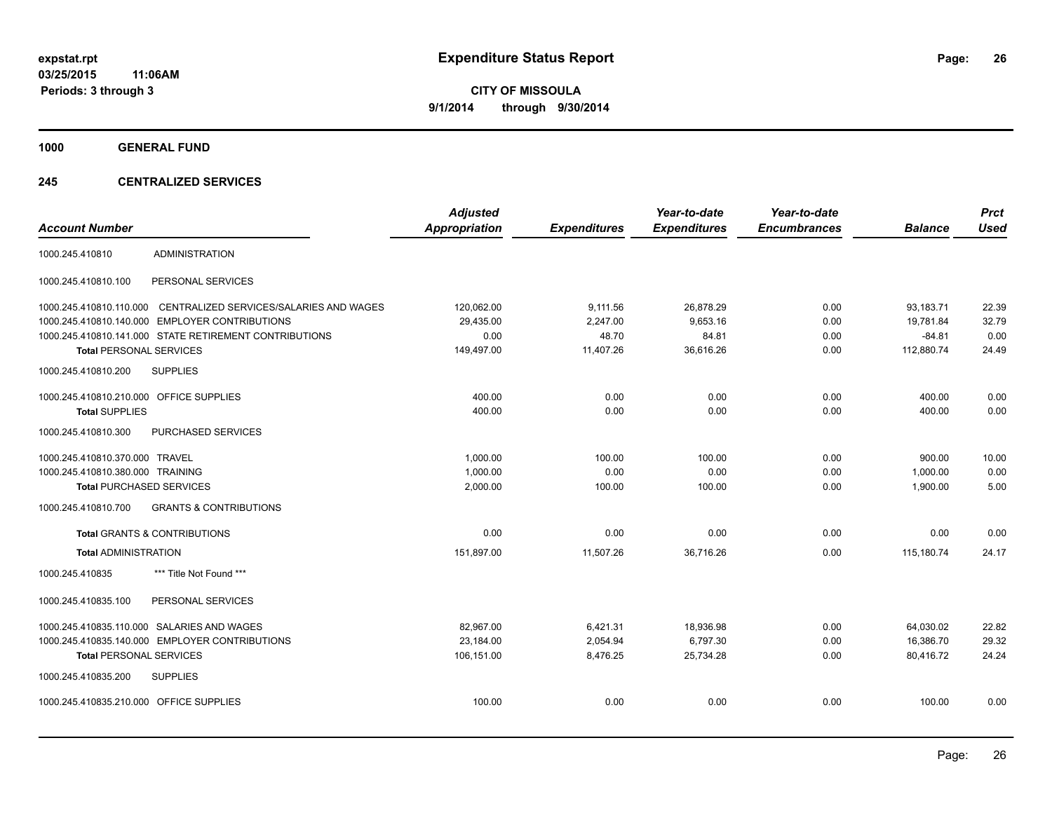**1000 GENERAL FUND**

#### **245 CENTRALIZED SERVICES**

| <b>Account Number</b>                   |                                                        | <b>Adjusted</b><br>Appropriation | <b>Expenditures</b> | Year-to-date<br><b>Expenditures</b> | Year-to-date<br><b>Encumbrances</b> | <b>Balance</b> | <b>Prct</b><br><b>Used</b> |
|-----------------------------------------|--------------------------------------------------------|----------------------------------|---------------------|-------------------------------------|-------------------------------------|----------------|----------------------------|
| 1000.245.410810                         | <b>ADMINISTRATION</b>                                  |                                  |                     |                                     |                                     |                |                            |
| 1000.245.410810.100                     | PERSONAL SERVICES                                      |                                  |                     |                                     |                                     |                |                            |
| 1000.245.410810.110.000                 | CENTRALIZED SERVICES/SALARIES AND WAGES                | 120,062.00                       | 9,111.56            | 26,878.29                           | 0.00                                | 93,183.71      | 22.39                      |
| 1000.245.410810.140.000                 | <b>EMPLOYER CONTRIBUTIONS</b>                          | 29,435.00                        | 2,247.00            | 9,653.16                            | 0.00                                | 19,781.84      | 32.79                      |
|                                         | 1000.245.410810.141.000 STATE RETIREMENT CONTRIBUTIONS | 0.00                             | 48.70               | 84.81                               | 0.00                                | $-84.81$       | 0.00                       |
| <b>Total PERSONAL SERVICES</b>          |                                                        | 149,497.00                       | 11,407.26           | 36,616.26                           | 0.00                                | 112,880.74     | 24.49                      |
| 1000.245.410810.200                     | <b>SUPPLIES</b>                                        |                                  |                     |                                     |                                     |                |                            |
| 1000.245.410810.210.000 OFFICE SUPPLIES |                                                        | 400.00                           | 0.00                | 0.00                                | 0.00                                | 400.00         | 0.00                       |
| <b>Total SUPPLIES</b>                   |                                                        | 400.00                           | 0.00                | 0.00                                | 0.00                                | 400.00         | 0.00                       |
| 1000.245.410810.300                     | PURCHASED SERVICES                                     |                                  |                     |                                     |                                     |                |                            |
| 1000.245.410810.370.000 TRAVEL          |                                                        | 1,000.00                         | 100.00              | 100.00                              | 0.00                                | 900.00         | 10.00                      |
| 1000.245.410810.380.000 TRAINING        |                                                        | 1,000.00                         | 0.00                | 0.00                                | 0.00                                | 1,000.00       | 0.00                       |
| <b>Total PURCHASED SERVICES</b>         |                                                        | 2,000.00                         | 100.00              | 100.00                              | 0.00                                | 1,900.00       | 5.00                       |
| 1000.245.410810.700                     | <b>GRANTS &amp; CONTRIBUTIONS</b>                      |                                  |                     |                                     |                                     |                |                            |
|                                         | <b>Total GRANTS &amp; CONTRIBUTIONS</b>                | 0.00                             | 0.00                | 0.00                                | 0.00                                | 0.00           | 0.00                       |
| <b>Total ADMINISTRATION</b>             |                                                        | 151.897.00                       | 11.507.26           | 36.716.26                           | 0.00                                | 115.180.74     | 24.17                      |
| 1000.245.410835                         | *** Title Not Found ***                                |                                  |                     |                                     |                                     |                |                            |
| 1000.245.410835.100                     | PERSONAL SERVICES                                      |                                  |                     |                                     |                                     |                |                            |
|                                         | 1000.245.410835.110.000 SALARIES AND WAGES             | 82,967.00                        | 6,421.31            | 18,936.98                           | 0.00                                | 64,030.02      | 22.82                      |
|                                         | 1000.245.410835.140.000 EMPLOYER CONTRIBUTIONS         | 23,184.00                        | 2,054.94            | 6,797.30                            | 0.00                                | 16,386.70      | 29.32                      |
| <b>Total PERSONAL SERVICES</b>          |                                                        | 106,151.00                       | 8,476.25            | 25,734.28                           | 0.00                                | 80,416.72      | 24.24                      |
| 1000.245.410835.200                     | <b>SUPPLIES</b>                                        |                                  |                     |                                     |                                     |                |                            |
| 1000.245.410835.210.000 OFFICE SUPPLIES |                                                        | 100.00                           | 0.00                | 0.00                                | 0.00                                | 100.00         | 0.00                       |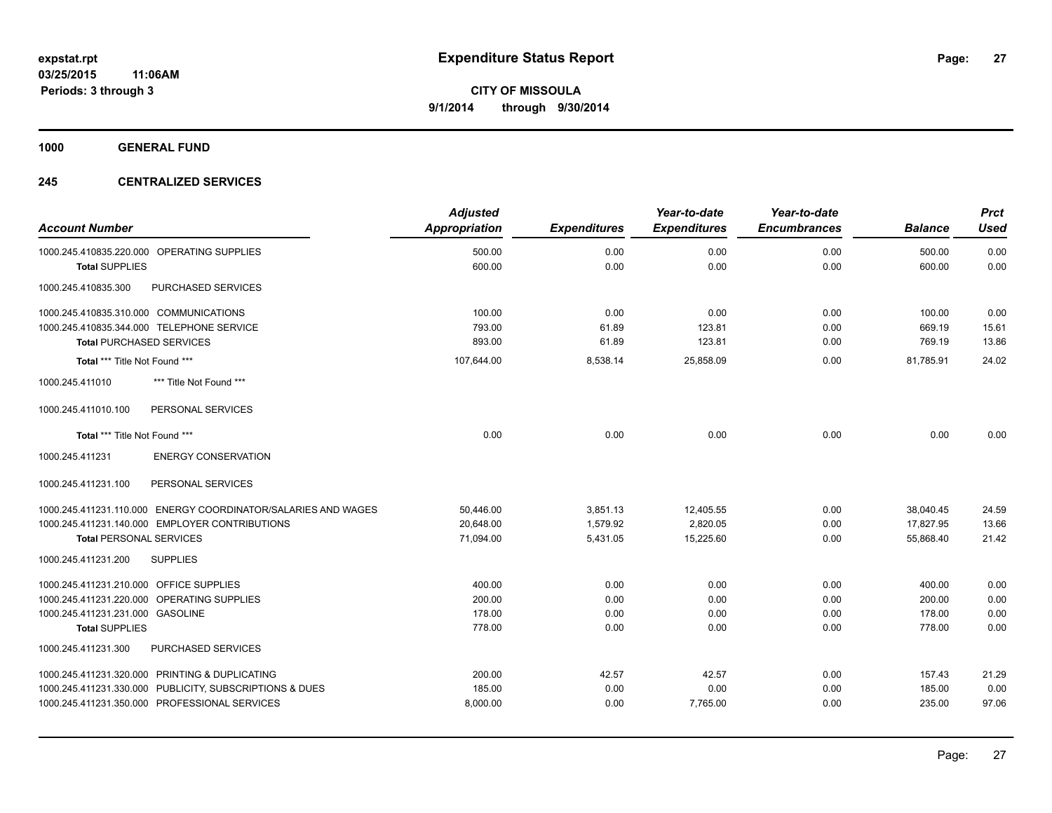**1000 GENERAL FUND**

#### **245 CENTRALIZED SERVICES**

| <b>Account Number</b>                                         | <b>Adjusted</b><br><b>Appropriation</b> | <b>Expenditures</b> | Year-to-date<br><b>Expenditures</b> | Year-to-date<br><b>Encumbrances</b> | <b>Balance</b> | <b>Prct</b><br><b>Used</b> |
|---------------------------------------------------------------|-----------------------------------------|---------------------|-------------------------------------|-------------------------------------|----------------|----------------------------|
| 1000.245.410835.220.000 OPERATING SUPPLIES                    | 500.00                                  | 0.00                | 0.00                                | 0.00                                | 500.00         | 0.00                       |
| <b>Total SUPPLIES</b>                                         | 600.00                                  | 0.00                | 0.00                                | 0.00                                | 600.00         | 0.00                       |
| 1000.245.410835.300<br>PURCHASED SERVICES                     |                                         |                     |                                     |                                     |                |                            |
| 1000.245.410835.310.000 COMMUNICATIONS                        | 100.00                                  | 0.00                | 0.00                                | 0.00                                | 100.00         | 0.00                       |
| 1000.245.410835.344.000 TELEPHONE SERVICE                     | 793.00                                  | 61.89               | 123.81                              | 0.00                                | 669.19         | 15.61                      |
| <b>Total PURCHASED SERVICES</b>                               | 893.00                                  | 61.89               | 123.81                              | 0.00                                | 769.19         | 13.86                      |
| Total *** Title Not Found ***                                 | 107,644.00                              | 8,538.14            | 25.858.09                           | 0.00                                | 81.785.91      | 24.02                      |
| 1000.245.411010<br>*** Title Not Found ***                    |                                         |                     |                                     |                                     |                |                            |
| PERSONAL SERVICES<br>1000.245.411010.100                      |                                         |                     |                                     |                                     |                |                            |
| Total *** Title Not Found ***                                 | 0.00                                    | 0.00                | 0.00                                | 0.00                                | 0.00           | 0.00                       |
| 1000.245.411231<br><b>ENERGY CONSERVATION</b>                 |                                         |                     |                                     |                                     |                |                            |
| 1000.245.411231.100<br>PERSONAL SERVICES                      |                                         |                     |                                     |                                     |                |                            |
| 1000.245.411231.110.000 ENERGY COORDINATOR/SALARIES AND WAGES | 50,446.00                               | 3,851.13            | 12,405.55                           | 0.00                                | 38,040.45      | 24.59                      |
| 1000.245.411231.140.000 EMPLOYER CONTRIBUTIONS                | 20,648.00                               | 1,579.92            | 2,820.05                            | 0.00                                | 17,827.95      | 13.66                      |
| <b>Total PERSONAL SERVICES</b>                                | 71,094.00                               | 5,431.05            | 15,225.60                           | 0.00                                | 55,868.40      | 21.42                      |
| 1000.245.411231.200<br><b>SUPPLIES</b>                        |                                         |                     |                                     |                                     |                |                            |
| 1000.245.411231.210.000 OFFICE SUPPLIES                       | 400.00                                  | 0.00                | 0.00                                | 0.00                                | 400.00         | 0.00                       |
| 1000.245.411231.220.000 OPERATING SUPPLIES                    | 200.00                                  | 0.00                | 0.00                                | 0.00                                | 200.00         | 0.00                       |
| 1000.245.411231.231.000 GASOLINE                              | 178.00                                  | 0.00                | 0.00                                | 0.00                                | 178.00         | 0.00                       |
| <b>Total SUPPLIES</b>                                         | 778.00                                  | 0.00                | 0.00                                | 0.00                                | 778.00         | 0.00                       |
| 1000.245.411231.300<br>PURCHASED SERVICES                     |                                         |                     |                                     |                                     |                |                            |
| 1000.245.411231.320.000 PRINTING & DUPLICATING                | 200.00                                  | 42.57               | 42.57                               | 0.00                                | 157.43         | 21.29                      |
| 1000.245.411231.330.000 PUBLICITY, SUBSCRIPTIONS & DUES       | 185.00                                  | 0.00                | 0.00                                | 0.00                                | 185.00         | 0.00                       |
| 1000.245.411231.350.000 PROFESSIONAL SERVICES                 | 8,000.00                                | 0.00                | 7,765.00                            | 0.00                                | 235.00         | 97.06                      |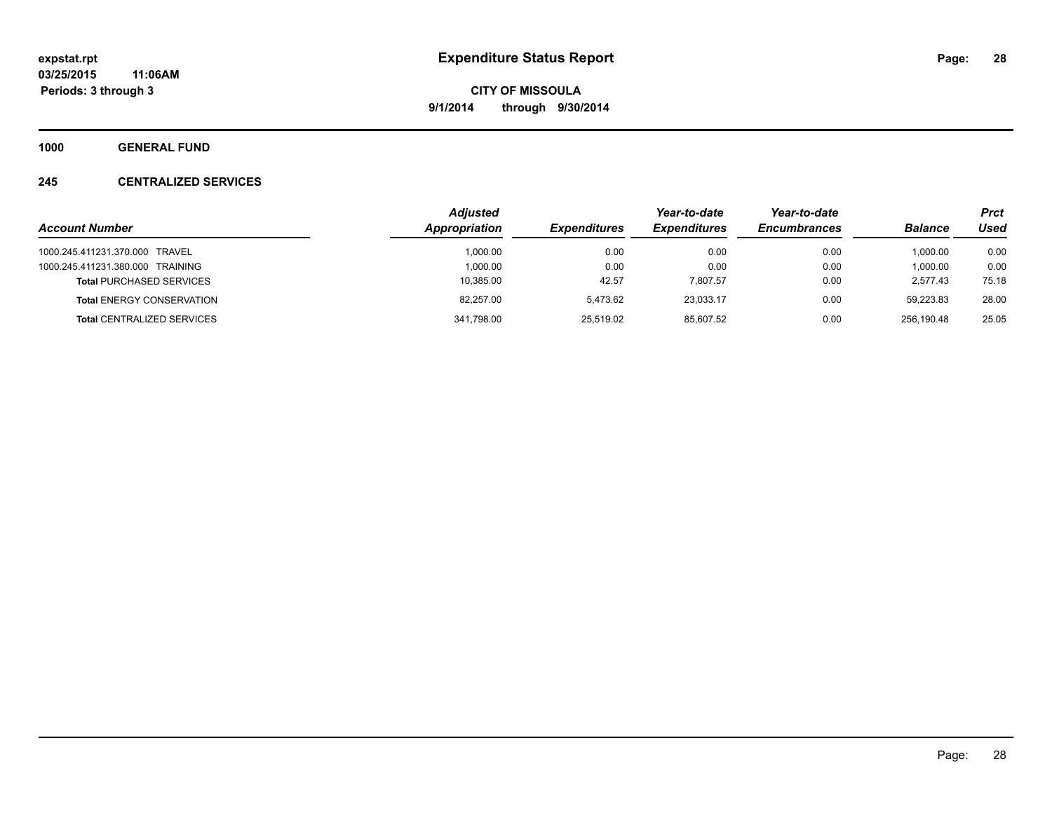**1000 GENERAL FUND**

#### **245 CENTRALIZED SERVICES**

|                                   | <b>Adjusted</b> |                     |                     | Year-to-date        |                | <b>Prct</b> |
|-----------------------------------|-----------------|---------------------|---------------------|---------------------|----------------|-------------|
| <b>Account Number</b>             | Appropriation   | <b>Expenditures</b> | <b>Expenditures</b> | <b>Encumbrances</b> | <b>Balance</b> | Used        |
| 1000.245.411231.370.000 TRAVEL    | 1.000.00        | 0.00                | 0.00                | 0.00                | 1.000.00       | 0.00        |
| 1000.245.411231.380.000 TRAINING  | 1.000.00        | 0.00                | 0.00                | 0.00                | 1.000.00       | 0.00        |
| <b>Total PURCHASED SERVICES</b>   | 10,385.00       | 42.57               | 7.807.57            | 0.00                | 2.577.43       | 75.18       |
| <b>Total ENERGY CONSERVATION</b>  | 82.257.00       | 5.473.62            | 23.033.17           | 0.00                | 59.223.83      | 28.00       |
| <b>Total CENTRALIZED SERVICES</b> | 341,798.00      | 25,519.02           | 85.607.52           | 0.00                | 256.190.48     | 25.05       |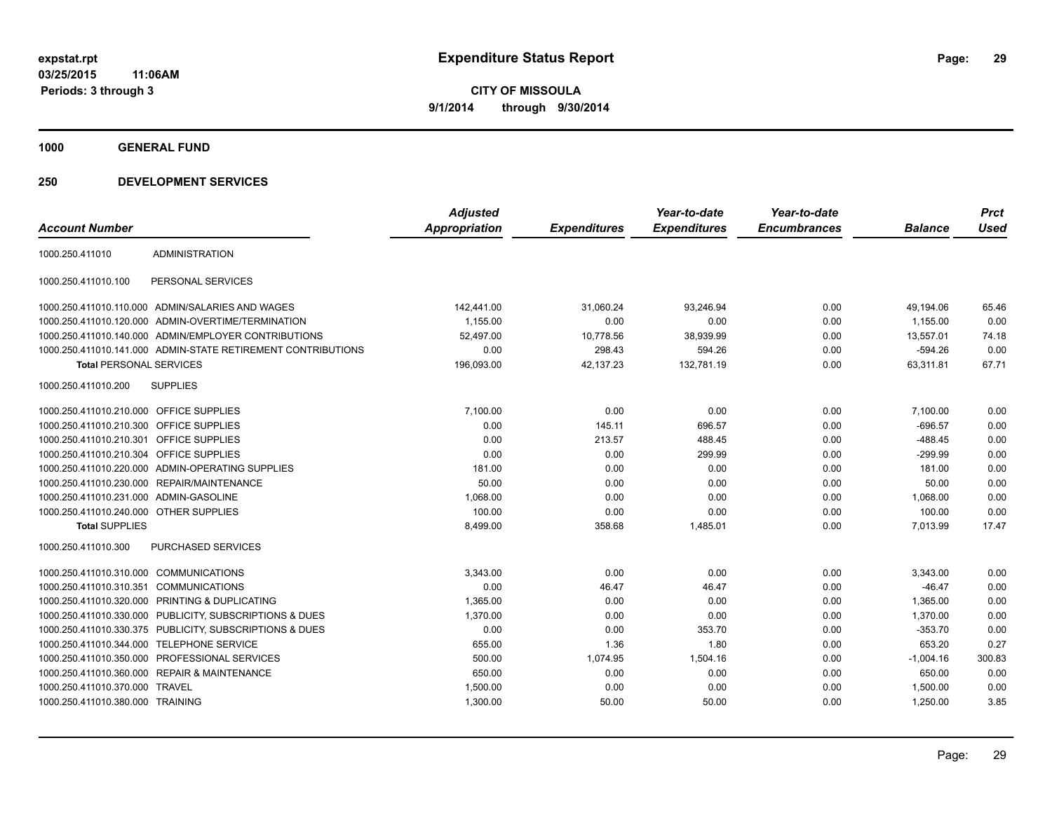**1000 GENERAL FUND**

| <b>Account Number</b>                   |                                                              | <b>Adjusted</b><br><b>Appropriation</b> | <b>Expenditures</b> | Year-to-date<br><b>Expenditures</b> | Year-to-date<br><b>Encumbrances</b> | <b>Balance</b> | <b>Prct</b><br><b>Used</b> |
|-----------------------------------------|--------------------------------------------------------------|-----------------------------------------|---------------------|-------------------------------------|-------------------------------------|----------------|----------------------------|
|                                         |                                                              |                                         |                     |                                     |                                     |                |                            |
| 1000.250.411010                         | <b>ADMINISTRATION</b>                                        |                                         |                     |                                     |                                     |                |                            |
| 1000.250.411010.100                     | PERSONAL SERVICES                                            |                                         |                     |                                     |                                     |                |                            |
|                                         | 1000.250.411010.110.000 ADMIN/SALARIES AND WAGES             | 142,441.00                              | 31,060.24           | 93,246.94                           | 0.00                                | 49,194.06      | 65.46                      |
|                                         | 1000.250.411010.120.000 ADMIN-OVERTIME/TERMINATION           | 1,155.00                                | 0.00                | 0.00                                | 0.00                                | 1,155.00       | 0.00                       |
|                                         | 1000.250.411010.140.000 ADMIN/EMPLOYER CONTRIBUTIONS         | 52,497.00                               | 10,778.56           | 38,939.99                           | 0.00                                | 13,557.01      | 74.18                      |
|                                         | 1000.250.411010.141.000 ADMIN-STATE RETIREMENT CONTRIBUTIONS | 0.00                                    | 298.43              | 594.26                              | 0.00                                | $-594.26$      | 0.00                       |
| <b>Total PERSONAL SERVICES</b>          |                                                              | 196,093.00                              | 42,137.23           | 132,781.19                          | 0.00                                | 63,311.81      | 67.71                      |
| 1000.250.411010.200                     | <b>SUPPLIES</b>                                              |                                         |                     |                                     |                                     |                |                            |
| 1000.250.411010.210.000 OFFICE SUPPLIES |                                                              | 7,100.00                                | 0.00                | 0.00                                | 0.00                                | 7,100.00       | 0.00                       |
| 1000.250.411010.210.300 OFFICE SUPPLIES |                                                              | 0.00                                    | 145.11              | 696.57                              | 0.00                                | $-696.57$      | 0.00                       |
| 1000.250.411010.210.301 OFFICE SUPPLIES |                                                              | 0.00                                    | 213.57              | 488.45                              | 0.00                                | $-488.45$      | 0.00                       |
| 1000.250.411010.210.304 OFFICE SUPPLIES |                                                              | 0.00                                    | 0.00                | 299.99                              | 0.00                                | $-299.99$      | 0.00                       |
|                                         | 1000.250.411010.220.000 ADMIN-OPERATING SUPPLIES             | 181.00                                  | 0.00                | 0.00                                | 0.00                                | 181.00         | 0.00                       |
|                                         | 1000.250.411010.230.000 REPAIR/MAINTENANCE                   | 50.00                                   | 0.00                | 0.00                                | 0.00                                | 50.00          | 0.00                       |
| 1000.250.411010.231.000 ADMIN-GASOLINE  |                                                              | 1,068.00                                | 0.00                | 0.00                                | 0.00                                | 1,068.00       | 0.00                       |
| 1000.250.411010.240.000 OTHER SUPPLIES  |                                                              | 100.00                                  | 0.00                | 0.00                                | 0.00                                | 100.00         | 0.00                       |
| <b>Total SUPPLIES</b>                   |                                                              | 8,499.00                                | 358.68              | 1,485.01                            | 0.00                                | 7.013.99       | 17.47                      |
| 1000.250.411010.300                     | <b>PURCHASED SERVICES</b>                                    |                                         |                     |                                     |                                     |                |                            |
| 1000.250.411010.310.000 COMMUNICATIONS  |                                                              | 3,343.00                                | 0.00                | 0.00                                | 0.00                                | 3,343.00       | 0.00                       |
| 1000.250.411010.310.351                 | <b>COMMUNICATIONS</b>                                        | 0.00                                    | 46.47               | 46.47                               | 0.00                                | $-46.47$       | 0.00                       |
| 1000.250.411010.320.000                 | PRINTING & DUPLICATING                                       | 1.365.00                                | 0.00                | 0.00                                | 0.00                                | 1.365.00       | 0.00                       |
|                                         | 1000.250.411010.330.000 PUBLICITY, SUBSCRIPTIONS & DUES      | 1,370.00                                | 0.00                | 0.00                                | 0.00                                | 1,370.00       | 0.00                       |
|                                         | 1000.250.411010.330.375 PUBLICITY, SUBSCRIPTIONS & DUES      | 0.00                                    | 0.00                | 353.70                              | 0.00                                | $-353.70$      | 0.00                       |
| 1000.250.411010.344.000                 | TELEPHONE SERVICE                                            | 655.00                                  | 1.36                | 1.80                                | 0.00                                | 653.20         | 0.27                       |
|                                         | 1000.250.411010.350.000 PROFESSIONAL SERVICES                | 500.00                                  | 1,074.95            | 1,504.16                            | 0.00                                | $-1,004.16$    | 300.83                     |
|                                         | 1000.250.411010.360.000 REPAIR & MAINTENANCE                 | 650.00                                  | 0.00                | 0.00                                | 0.00                                | 650.00         | 0.00                       |
| 1000.250.411010.370.000 TRAVEL          |                                                              | 1,500.00                                | 0.00                | 0.00                                | 0.00                                | 1.500.00       | 0.00                       |
| 1000.250.411010.380.000 TRAINING        |                                                              | 1,300.00                                | 50.00               | 50.00                               | 0.00                                | 1,250.00       | 3.85                       |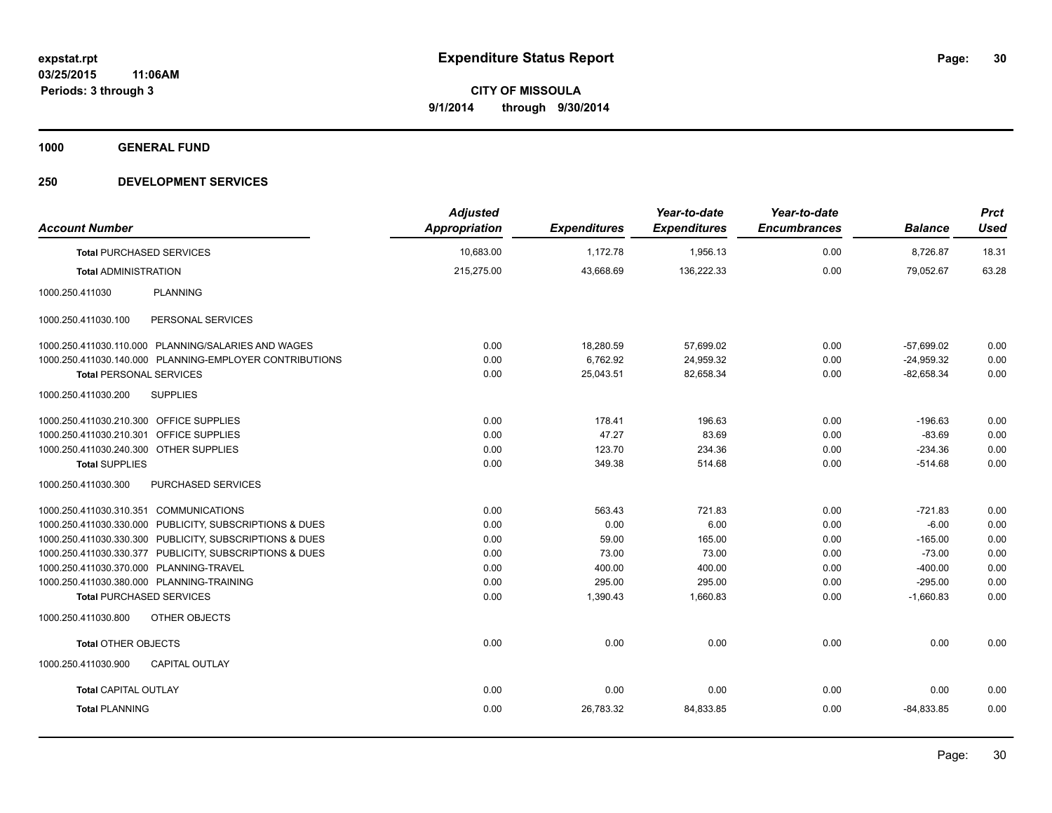**1000 GENERAL FUND**

| <b>Account Number</b>                                   | <b>Adjusted</b><br><b>Appropriation</b> | <b>Expenditures</b> | Year-to-date<br><b>Expenditures</b> | Year-to-date<br><b>Encumbrances</b> | <b>Balance</b> | <b>Prct</b><br><b>Used</b> |
|---------------------------------------------------------|-----------------------------------------|---------------------|-------------------------------------|-------------------------------------|----------------|----------------------------|
| <b>Total PURCHASED SERVICES</b>                         | 10,683.00                               | 1,172.78            | 1,956.13                            | 0.00                                | 8,726.87       | 18.31                      |
| <b>Total ADMINISTRATION</b>                             | 215,275.00                              | 43,668.69           | 136,222.33                          | 0.00                                | 79,052.67      | 63.28                      |
|                                                         |                                         |                     |                                     |                                     |                |                            |
| <b>PLANNING</b><br>1000.250.411030                      |                                         |                     |                                     |                                     |                |                            |
| PERSONAL SERVICES<br>1000.250.411030.100                |                                         |                     |                                     |                                     |                |                            |
| 1000.250.411030.110.000 PLANNING/SALARIES AND WAGES     | 0.00                                    | 18,280.59           | 57,699.02                           | 0.00                                | $-57,699.02$   | 0.00                       |
| 1000.250.411030.140.000 PLANNING-EMPLOYER CONTRIBUTIONS | 0.00                                    | 6,762.92            | 24,959.32                           | 0.00                                | $-24,959.32$   | 0.00                       |
| <b>Total PERSONAL SERVICES</b>                          | 0.00                                    | 25,043.51           | 82,658.34                           | 0.00                                | $-82,658.34$   | 0.00                       |
| 1000.250.411030.200<br><b>SUPPLIES</b>                  |                                         |                     |                                     |                                     |                |                            |
| 1000.250.411030.210.300 OFFICE SUPPLIES                 | 0.00                                    | 178.41              | 196.63                              | 0.00                                | $-196.63$      | 0.00                       |
| 1000.250.411030.210.301 OFFICE SUPPLIES                 | 0.00                                    | 47.27               | 83.69                               | 0.00                                | $-83.69$       | 0.00                       |
| 1000.250.411030.240.300 OTHER SUPPLIES                  | 0.00                                    | 123.70              | 234.36                              | 0.00                                | $-234.36$      | 0.00                       |
| <b>Total SUPPLIES</b>                                   | 0.00                                    | 349.38              | 514.68                              | 0.00                                | $-514.68$      | 0.00                       |
| 1000.250.411030.300<br>PURCHASED SERVICES               |                                         |                     |                                     |                                     |                |                            |
| 1000.250.411030.310.351 COMMUNICATIONS                  | 0.00                                    | 563.43              | 721.83                              | 0.00                                | $-721.83$      | 0.00                       |
| 1000.250.411030.330.000 PUBLICITY, SUBSCRIPTIONS & DUES | 0.00                                    | 0.00                | 6.00                                | 0.00                                | $-6.00$        | 0.00                       |
| 1000.250.411030.330.300 PUBLICITY, SUBSCRIPTIONS & DUES | 0.00                                    | 59.00               | 165.00                              | 0.00                                | $-165.00$      | 0.00                       |
| 1000.250.411030.330.377 PUBLICITY, SUBSCRIPTIONS & DUES | 0.00                                    | 73.00               | 73.00                               | 0.00                                | $-73.00$       | 0.00                       |
| 1000.250.411030.370.000 PLANNING-TRAVEL                 | 0.00                                    | 400.00              | 400.00                              | 0.00                                | $-400.00$      | 0.00                       |
| 1000.250.411030.380.000 PLANNING-TRAINING               | 0.00                                    | 295.00              | 295.00                              | 0.00                                | $-295.00$      | 0.00                       |
| <b>Total PURCHASED SERVICES</b>                         | 0.00                                    | 1,390.43            | 1,660.83                            | 0.00                                | $-1,660.83$    | 0.00                       |
| 1000.250.411030.800<br>OTHER OBJECTS                    |                                         |                     |                                     |                                     |                |                            |
| <b>Total OTHER OBJECTS</b>                              | 0.00                                    | 0.00                | 0.00                                | 0.00                                | 0.00           | 0.00                       |
| 1000.250.411030.900<br><b>CAPITAL OUTLAY</b>            |                                         |                     |                                     |                                     |                |                            |
| <b>Total CAPITAL OUTLAY</b>                             | 0.00                                    | 0.00                | 0.00                                | 0.00                                | 0.00           | 0.00                       |
| <b>Total PLANNING</b>                                   | 0.00                                    | 26,783.32           | 84,833.85                           | 0.00                                | $-84,833.85$   | 0.00                       |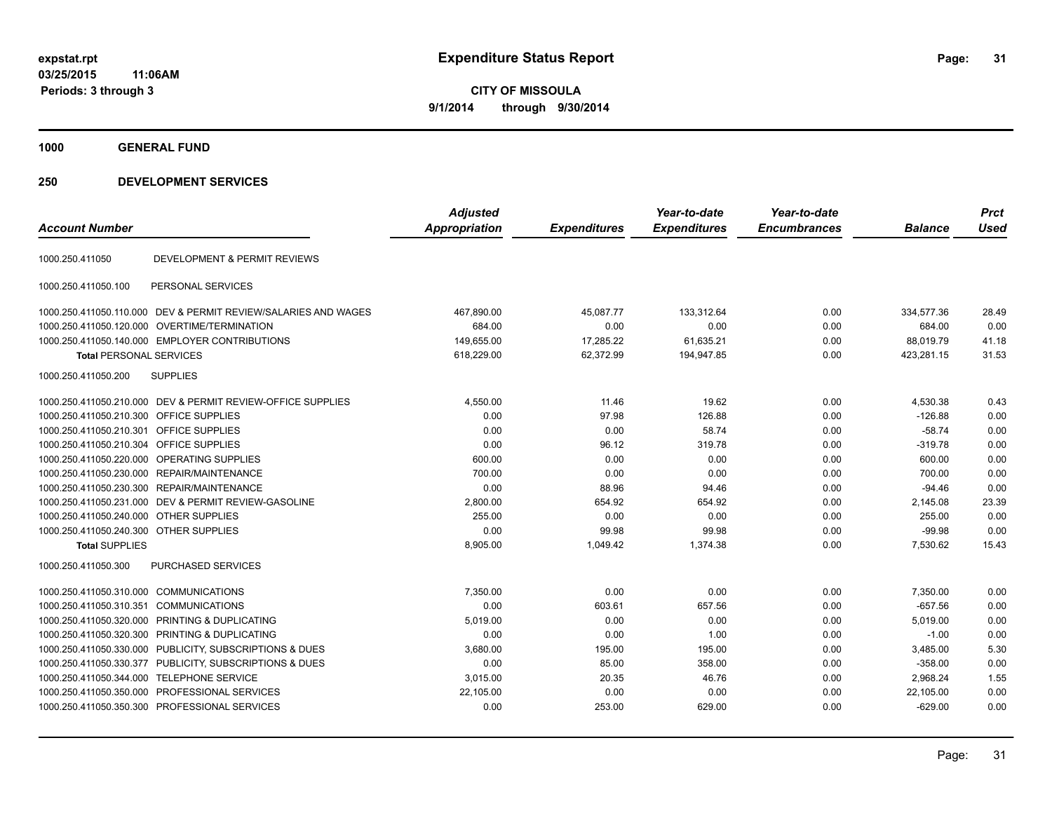**CITY OF MISSOULA 9/1/2014 through 9/30/2014**

**1000 GENERAL FUND**

| <b>Account Number</b>                   |                                                                | <b>Adjusted</b><br><b>Appropriation</b> | <b>Expenditures</b> | Year-to-date<br><b>Expenditures</b> | Year-to-date<br><b>Encumbrances</b> | <b>Balance</b> | <b>Prct</b><br><b>Used</b> |
|-----------------------------------------|----------------------------------------------------------------|-----------------------------------------|---------------------|-------------------------------------|-------------------------------------|----------------|----------------------------|
| 1000.250.411050                         | <b>DEVELOPMENT &amp; PERMIT REVIEWS</b>                        |                                         |                     |                                     |                                     |                |                            |
| 1000.250.411050.100                     | PERSONAL SERVICES                                              |                                         |                     |                                     |                                     |                |                            |
|                                         | 1000.250.411050.110.000 DEV & PERMIT REVIEW/SALARIES AND WAGES | 467,890.00                              | 45,087.77           | 133,312.64                          | 0.00                                | 334,577.36     | 28.49                      |
|                                         | 1000.250.411050.120.000 OVERTIME/TERMINATION                   | 684.00                                  | 0.00                | 0.00                                | 0.00                                | 684.00         | 0.00                       |
|                                         | 1000.250.411050.140.000 EMPLOYER CONTRIBUTIONS                 | 149,655.00                              | 17,285.22           | 61,635.21                           | 0.00                                | 88,019.79      | 41.18                      |
| <b>Total PERSONAL SERVICES</b>          |                                                                | 618,229.00                              | 62,372.99           | 194,947.85                          | 0.00                                | 423,281.15     | 31.53                      |
| 1000.250.411050.200                     | <b>SUPPLIES</b>                                                |                                         |                     |                                     |                                     |                |                            |
|                                         | 1000.250.411050.210.000 DEV & PERMIT REVIEW-OFFICE SUPPLIES    | 4,550.00                                | 11.46               | 19.62                               | 0.00                                | 4,530.38       | 0.43                       |
| 1000.250.411050.210.300                 | OFFICE SUPPLIES                                                | 0.00                                    | 97.98               | 126.88                              | 0.00                                | $-126.88$      | 0.00                       |
| 1000.250.411050.210.301                 | <b>OFFICE SUPPLIES</b>                                         | 0.00                                    | 0.00                | 58.74                               | 0.00                                | $-58.74$       | 0.00                       |
| 1000.250.411050.210.304 OFFICE SUPPLIES |                                                                | 0.00                                    | 96.12               | 319.78                              | 0.00                                | $-319.78$      | 0.00                       |
|                                         | 1000.250.411050.220.000 OPERATING SUPPLIES                     | 600.00                                  | 0.00                | 0.00                                | 0.00                                | 600.00         | 0.00                       |
|                                         | 1000.250.411050.230.000 REPAIR/MAINTENANCE                     | 700.00                                  | 0.00                | 0.00                                | 0.00                                | 700.00         | 0.00                       |
|                                         | 1000.250.411050.230.300 REPAIR/MAINTENANCE                     | 0.00                                    | 88.96               | 94.46                               | 0.00                                | $-94.46$       | 0.00                       |
|                                         | 1000.250.411050.231.000 DEV & PERMIT REVIEW-GASOLINE           | 2,800.00                                | 654.92              | 654.92                              | 0.00                                | 2,145.08       | 23.39                      |
| 1000.250.411050.240.000 OTHER SUPPLIES  |                                                                | 255.00                                  | 0.00                | 0.00                                | 0.00                                | 255.00         | 0.00                       |
| 1000.250.411050.240.300 OTHER SUPPLIES  |                                                                | 0.00                                    | 99.98               | 99.98                               | 0.00                                | $-99.98$       | 0.00                       |
| <b>Total SUPPLIES</b>                   |                                                                | 8,905.00                                | 1,049.42            | 1,374.38                            | 0.00                                | 7,530.62       | 15.43                      |
| 1000.250.411050.300                     | <b>PURCHASED SERVICES</b>                                      |                                         |                     |                                     |                                     |                |                            |
| 1000.250.411050.310.000                 | <b>COMMUNICATIONS</b>                                          | 7,350.00                                | 0.00                | 0.00                                | 0.00                                | 7,350.00       | 0.00                       |
| 1000.250.411050.310.351                 | <b>COMMUNICATIONS</b>                                          | 0.00                                    | 603.61              | 657.56                              | 0.00                                | $-657.56$      | 0.00                       |
| 1000.250.411050.320.000                 | PRINTING & DUPLICATING                                         | 5,019.00                                | 0.00                | 0.00                                | 0.00                                | 5,019.00       | 0.00                       |
|                                         | 1000.250.411050.320.300 PRINTING & DUPLICATING                 | 0.00                                    | 0.00                | 1.00                                | 0.00                                | $-1.00$        | 0.00                       |
|                                         | 1000.250.411050.330.000 PUBLICITY, SUBSCRIPTIONS & DUES        | 3,680.00                                | 195.00              | 195.00                              | 0.00                                | 3,485.00       | 5.30                       |
|                                         | 1000.250.411050.330.377 PUBLICITY, SUBSCRIPTIONS & DUES        | 0.00                                    | 85.00               | 358.00                              | 0.00                                | $-358.00$      | 0.00                       |
| 1000.250.411050.344.000                 | TELEPHONE SERVICE                                              | 3,015.00                                | 20.35               | 46.76                               | 0.00                                | 2,968.24       | 1.55                       |
|                                         | 1000.250.411050.350.000 PROFESSIONAL SERVICES                  | 22,105.00                               | 0.00                | 0.00                                | 0.00                                | 22,105.00      | 0.00                       |
|                                         | 1000.250.411050.350.300 PROFESSIONAL SERVICES                  | 0.00                                    | 253.00              | 629.00                              | 0.00                                | $-629.00$      | 0.00                       |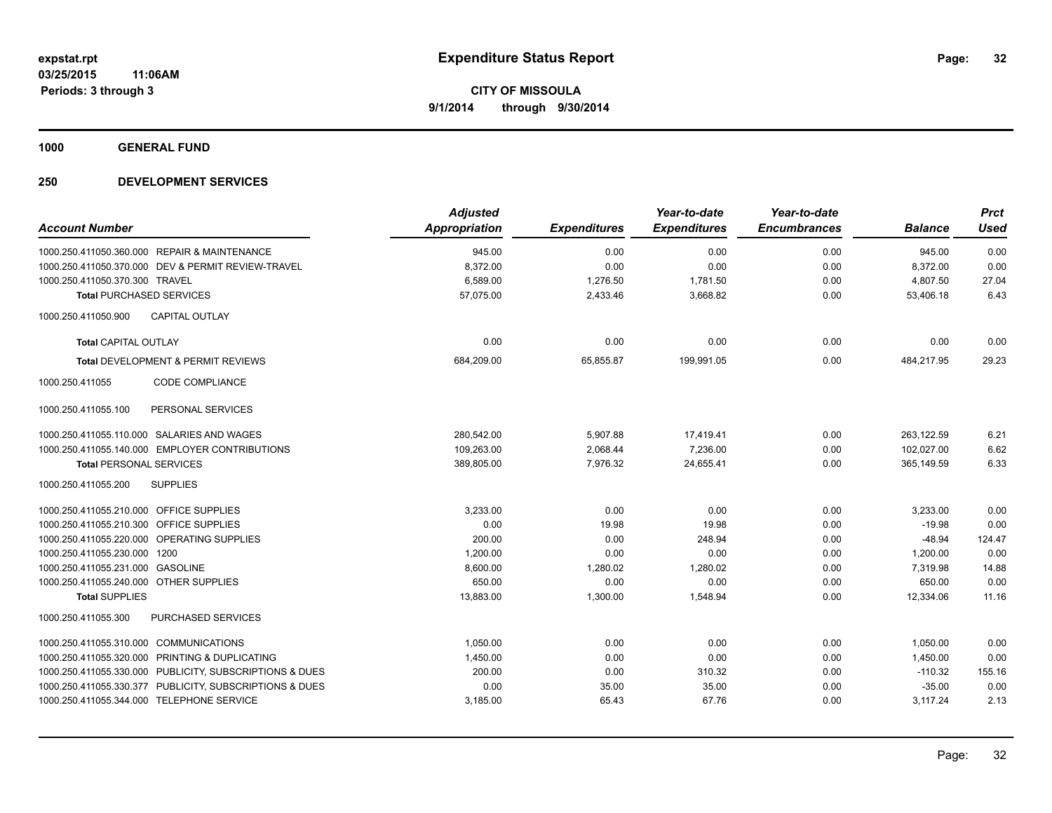**1000 GENERAL FUND**

|                                                         | <b>Adjusted</b>      |                     | Year-to-date        | Year-to-date        |                | <b>Prct</b> |
|---------------------------------------------------------|----------------------|---------------------|---------------------|---------------------|----------------|-------------|
| <b>Account Number</b>                                   | <b>Appropriation</b> | <b>Expenditures</b> | <b>Expenditures</b> | <b>Encumbrances</b> | <b>Balance</b> | <b>Used</b> |
| 1000.250.411050.360.000 REPAIR & MAINTENANCE            | 945.00               | 0.00                | 0.00                | 0.00                | 945.00         | 0.00        |
| 1000.250.411050.370.000 DEV & PERMIT REVIEW-TRAVEL      | 8,372.00             | 0.00                | 0.00                | 0.00                | 8,372.00       | 0.00        |
| 1000.250.411050.370.300 TRAVEL                          | 6,589.00             | 1,276.50            | 1,781.50            | 0.00                | 4,807.50       | 27.04       |
| <b>Total PURCHASED SERVICES</b>                         | 57,075.00            | 2,433.46            | 3,668.82            | 0.00                | 53,406.18      | 6.43        |
| <b>CAPITAL OUTLAY</b><br>1000.250.411050.900            |                      |                     |                     |                     |                |             |
| <b>Total CAPITAL OUTLAY</b>                             | 0.00                 | 0.00                | 0.00                | 0.00                | 0.00           | 0.00        |
| Total DEVELOPMENT & PERMIT REVIEWS                      | 684,209.00           | 65,855.87           | 199,991.05          | 0.00                | 484,217.95     | 29.23       |
| <b>CODE COMPLIANCE</b><br>1000.250.411055               |                      |                     |                     |                     |                |             |
| 1000.250.411055.100<br>PERSONAL SERVICES                |                      |                     |                     |                     |                |             |
| 1000.250.411055.110.000 SALARIES AND WAGES              | 280,542.00           | 5,907.88            | 17,419.41           | 0.00                | 263,122.59     | 6.21        |
| 1000.250.411055.140.000 EMPLOYER CONTRIBUTIONS          | 109,263.00           | 2,068.44            | 7,236.00            | 0.00                | 102,027.00     | 6.62        |
| <b>Total PERSONAL SERVICES</b>                          | 389,805.00           | 7,976.32            | 24,655.41           | 0.00                | 365,149.59     | 6.33        |
| 1000.250.411055.200<br><b>SUPPLIES</b>                  |                      |                     |                     |                     |                |             |
| 1000.250.411055.210.000 OFFICE SUPPLIES                 | 3,233.00             | 0.00                | 0.00                | 0.00                | 3,233.00       | 0.00        |
| 1000.250.411055.210.300 OFFICE SUPPLIES                 | 0.00                 | 19.98               | 19.98               | 0.00                | $-19.98$       | 0.00        |
| 1000.250.411055.220.000 OPERATING SUPPLIES              | 200.00               | 0.00                | 248.94              | 0.00                | $-48.94$       | 124.47      |
| 1000.250.411055.230.000 1200                            | 1.200.00             | 0.00                | 0.00                | 0.00                | 1.200.00       | 0.00        |
| 1000.250.411055.231.000 GASOLINE                        | 8,600.00             | 1,280.02            | 1,280.02            | 0.00                | 7,319.98       | 14.88       |
| 1000.250.411055.240.000 OTHER SUPPLIES                  | 650.00               | 0.00                | 0.00                | 0.00                | 650.00         | 0.00        |
| <b>Total SUPPLIES</b>                                   | 13,883.00            | 1,300.00            | 1,548.94            | 0.00                | 12,334.06      | 11.16       |
| 1000.250.411055.300<br><b>PURCHASED SERVICES</b>        |                      |                     |                     |                     |                |             |
| 1000.250.411055.310.000 COMMUNICATIONS                  | 1,050.00             | 0.00                | 0.00                | 0.00                | 1,050.00       | 0.00        |
| 1000.250.411055.320.000 PRINTING & DUPLICATING          | 1,450.00             | 0.00                | 0.00                | 0.00                | 1,450.00       | 0.00        |
| 1000.250.411055.330.000 PUBLICITY, SUBSCRIPTIONS & DUES | 200.00               | 0.00                | 310.32              | 0.00                | $-110.32$      | 155.16      |
| 1000.250.411055.330.377 PUBLICITY, SUBSCRIPTIONS & DUES | 0.00                 | 35.00               | 35.00               | 0.00                | $-35.00$       | 0.00        |
| 1000.250.411055.344.000 TELEPHONE SERVICE               | 3,185.00             | 65.43               | 67.76               | 0.00                | 3,117.24       | 2.13        |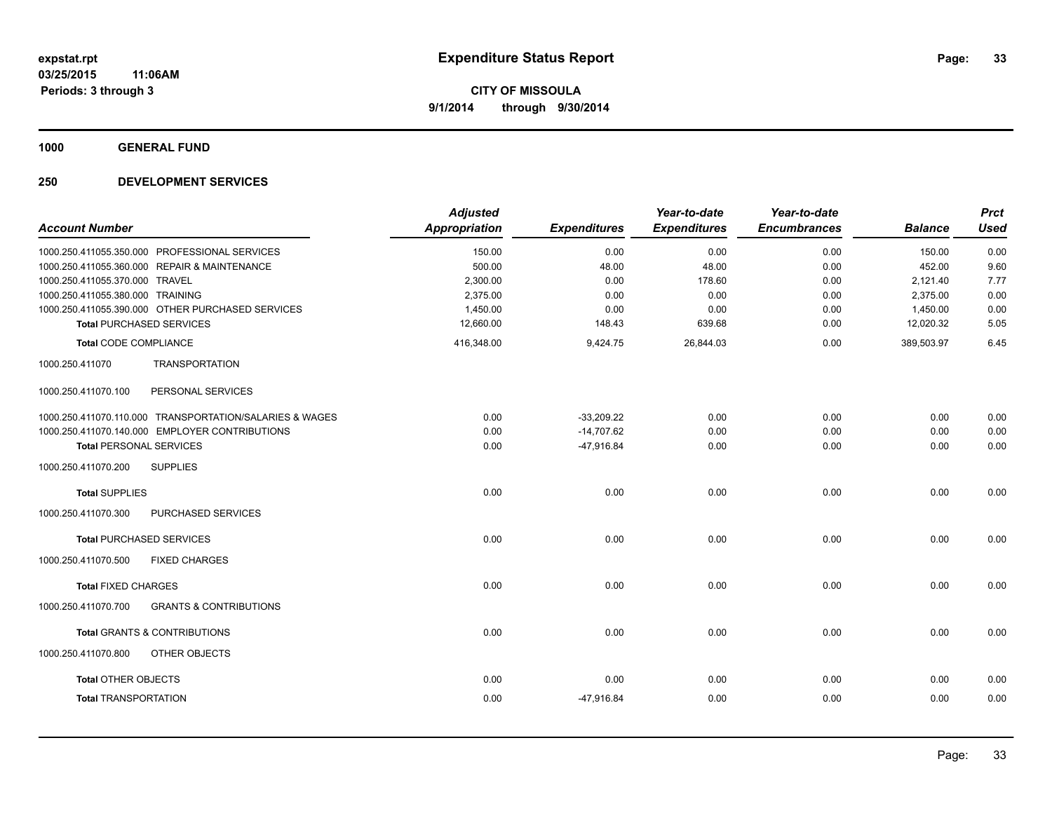**1000 GENERAL FUND**

|                                                          | <b>Adjusted</b> |                     | Year-to-date        | Year-to-date        |                | <b>Prct</b> |
|----------------------------------------------------------|-----------------|---------------------|---------------------|---------------------|----------------|-------------|
| <b>Account Number</b>                                    | Appropriation   | <b>Expenditures</b> | <b>Expenditures</b> | <b>Encumbrances</b> | <b>Balance</b> | <b>Used</b> |
| 1000.250.411055.350.000 PROFESSIONAL SERVICES            | 150.00          | 0.00                | 0.00                | 0.00                | 150.00         | 0.00        |
| 1000.250.411055.360.000 REPAIR & MAINTENANCE             | 500.00          | 48.00               | 48.00               | 0.00                | 452.00         | 9.60        |
| 1000.250.411055.370.000 TRAVEL                           | 2,300.00        | 0.00                | 178.60              | 0.00                | 2,121.40       | 7.77        |
| 1000.250.411055.380.000 TRAINING                         | 2,375.00        | 0.00                | 0.00                | 0.00                | 2,375.00       | 0.00        |
| 1000.250.411055.390.000 OTHER PURCHASED SERVICES         | 1,450.00        | 0.00                | 0.00                | 0.00                | 1,450.00       | 0.00        |
| <b>Total PURCHASED SERVICES</b>                          | 12,660.00       | 148.43              | 639.68              | 0.00                | 12,020.32      | 5.05        |
| <b>Total CODE COMPLIANCE</b>                             | 416,348.00      | 9,424.75            | 26,844.03           | 0.00                | 389,503.97     | 6.45        |
| <b>TRANSPORTATION</b><br>1000.250.411070                 |                 |                     |                     |                     |                |             |
| 1000.250.411070.100<br>PERSONAL SERVICES                 |                 |                     |                     |                     |                |             |
| 1000.250.411070.110.000 TRANSPORTATION/SALARIES & WAGES  | 0.00            | $-33,209.22$        | 0.00                | 0.00                | 0.00           | 0.00        |
| 1000.250.411070.140.000 EMPLOYER CONTRIBUTIONS           | 0.00            | $-14,707.62$        | 0.00                | 0.00                | 0.00           | 0.00        |
| <b>Total PERSONAL SERVICES</b>                           | 0.00            | $-47,916.84$        | 0.00                | 0.00                | 0.00           | 0.00        |
| 1000.250.411070.200<br><b>SUPPLIES</b>                   |                 |                     |                     |                     |                |             |
| <b>Total SUPPLIES</b>                                    | 0.00            | 0.00                | 0.00                | 0.00                | 0.00           | 0.00        |
| 1000.250.411070.300<br>PURCHASED SERVICES                |                 |                     |                     |                     |                |             |
| <b>Total PURCHASED SERVICES</b>                          | 0.00            | 0.00                | 0.00                | 0.00                | 0.00           | 0.00        |
| 1000.250.411070.500<br><b>FIXED CHARGES</b>              |                 |                     |                     |                     |                |             |
| <b>Total FIXED CHARGES</b>                               | 0.00            | 0.00                | 0.00                | 0.00                | 0.00           | 0.00        |
| 1000.250.411070.700<br><b>GRANTS &amp; CONTRIBUTIONS</b> |                 |                     |                     |                     |                |             |
| <b>Total GRANTS &amp; CONTRIBUTIONS</b>                  | 0.00            | 0.00                | 0.00                | 0.00                | 0.00           | 0.00        |
| OTHER OBJECTS<br>1000.250.411070.800                     |                 |                     |                     |                     |                |             |
| <b>Total OTHER OBJECTS</b>                               | 0.00            | 0.00                | 0.00                | 0.00                | 0.00           | 0.00        |
| <b>Total TRANSPORTATION</b>                              | 0.00            | $-47,916.84$        | 0.00                | 0.00                | 0.00           | 0.00        |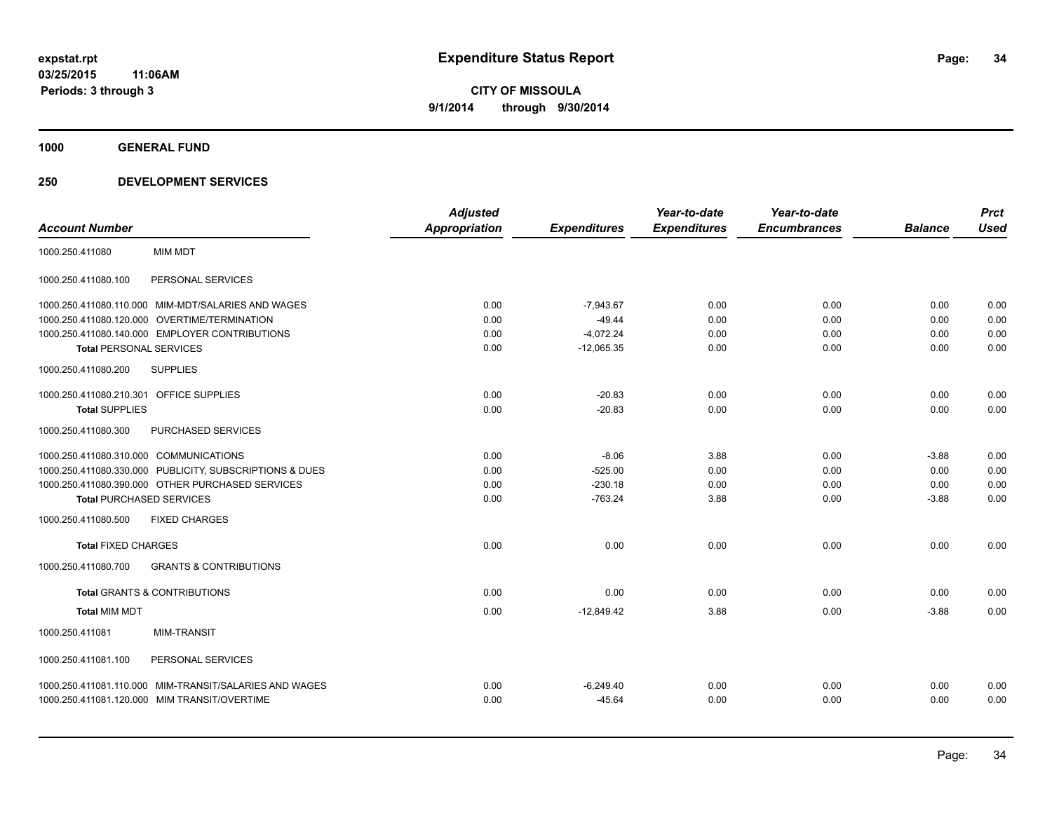**1000 GENERAL FUND**

| <b>Account Number</b>                                     | <b>Adjusted</b><br><b>Appropriation</b> | <b>Expenditures</b> | Year-to-date<br><b>Expenditures</b> | Year-to-date<br><b>Encumbrances</b> | <b>Balance</b> | <b>Prct</b><br><b>Used</b> |
|-----------------------------------------------------------|-----------------------------------------|---------------------|-------------------------------------|-------------------------------------|----------------|----------------------------|
| <b>MIM MDT</b><br>1000.250.411080                         |                                         |                     |                                     |                                     |                |                            |
| PERSONAL SERVICES<br>1000.250.411080.100                  |                                         |                     |                                     |                                     |                |                            |
| 1000.250.411080.110.000 MIM-MDT/SALARIES AND WAGES        | 0.00                                    | $-7.943.67$         | 0.00                                | 0.00                                | 0.00           | 0.00                       |
| 1000.250.411080.120.000 OVERTIME/TERMINATION              | 0.00                                    | $-49.44$            | 0.00                                | 0.00                                | 0.00           | 0.00                       |
| 1000.250.411080.140.000 EMPLOYER CONTRIBUTIONS            | 0.00                                    | $-4,072.24$         | 0.00                                | 0.00                                | 0.00           | 0.00                       |
| <b>Total PERSONAL SERVICES</b>                            | 0.00                                    | $-12,065.35$        | 0.00                                | 0.00                                | 0.00           | 0.00                       |
| 1000.250.411080.200<br><b>SUPPLIES</b>                    |                                         |                     |                                     |                                     |                |                            |
| 1000.250.411080.210.301 OFFICE SUPPLIES                   | 0.00                                    | $-20.83$            | 0.00                                | 0.00                                | 0.00           | 0.00                       |
| <b>Total SUPPLIES</b>                                     | 0.00                                    | $-20.83$            | 0.00                                | 0.00                                | 0.00           | 0.00                       |
| 1000.250.411080.300<br><b>PURCHASED SERVICES</b>          |                                         |                     |                                     |                                     |                |                            |
| 1000.250.411080.310.000 COMMUNICATIONS                    | 0.00                                    | $-8.06$             | 3.88                                | 0.00                                | $-3.88$        | 0.00                       |
| 1000.250.411080.330.000 PUBLICITY, SUBSCRIPTIONS & DUES   | 0.00                                    | $-525.00$           | 0.00                                | 0.00                                | 0.00           | 0.00                       |
| 1000.250.411080.390.000 OTHER PURCHASED SERVICES          | 0.00                                    | $-230.18$           | 0.00                                | 0.00                                | 0.00           | 0.00                       |
| <b>Total PURCHASED SERVICES</b>                           | 0.00                                    | $-763.24$           | 3.88                                | 0.00                                | $-3.88$        | 0.00                       |
| <b>FIXED CHARGES</b><br>1000.250.411080.500               |                                         |                     |                                     |                                     |                |                            |
| <b>Total FIXED CHARGES</b>                                | 0.00                                    | 0.00                | 0.00                                | 0.00                                | 0.00           | 0.00                       |
| <b>GRANTS &amp; CONTRIBUTIONS</b><br>1000.250.411080.700  |                                         |                     |                                     |                                     |                |                            |
| <b>Total GRANTS &amp; CONTRIBUTIONS</b>                   | 0.00                                    | 0.00                | 0.00                                | 0.00                                | 0.00           | 0.00                       |
| <b>Total MIM MDT</b>                                      | 0.00                                    | $-12,849.42$        | 3.88                                | 0.00                                | $-3.88$        | 0.00                       |
| 1000.250.411081<br><b>MIM-TRANSIT</b>                     |                                         |                     |                                     |                                     |                |                            |
| PERSONAL SERVICES<br>1000.250.411081.100                  |                                         |                     |                                     |                                     |                |                            |
| MIM-TRANSIT/SALARIES AND WAGES<br>1000.250.411081.110.000 | 0.00                                    | $-6,249.40$         | 0.00                                | 0.00                                | 0.00           | 0.00                       |
| 1000.250.411081.120.000 MIM TRANSIT/OVERTIME              | 0.00                                    | $-45.64$            | 0.00                                | 0.00                                | 0.00           | 0.00                       |
|                                                           |                                         |                     |                                     |                                     |                |                            |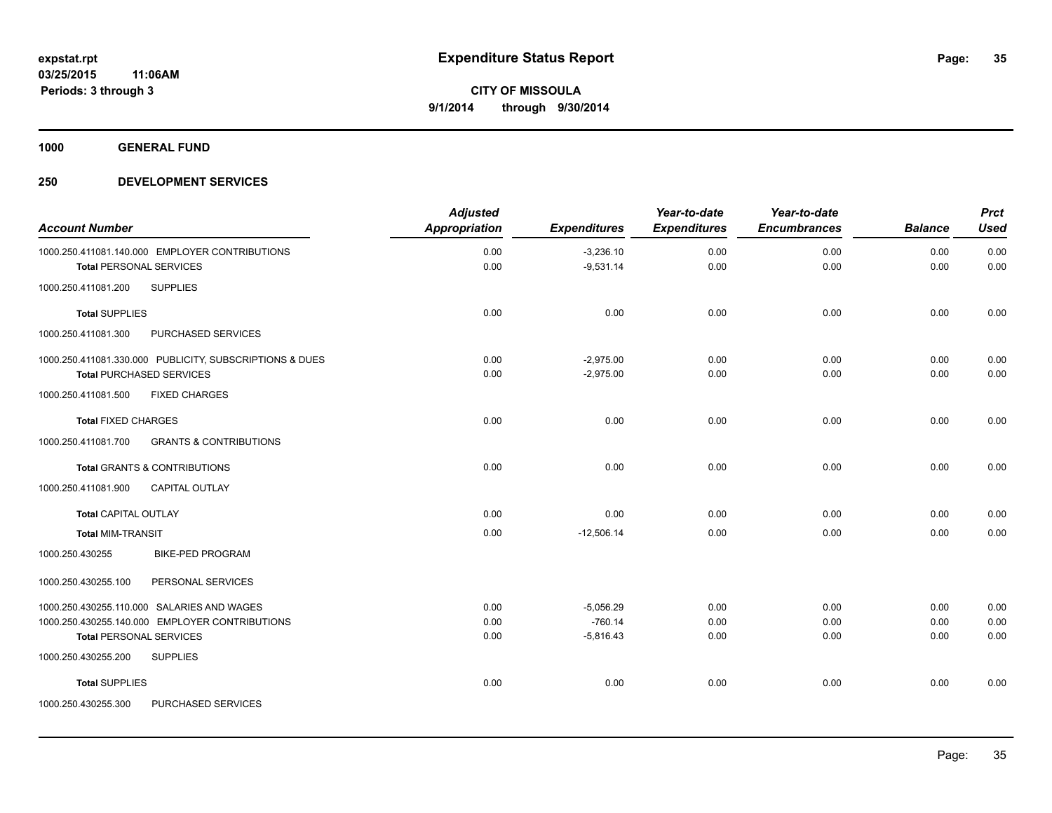**1000 GENERAL FUND**

| <b>Account Number</b>                                    | <b>Adjusted</b><br>Appropriation | <b>Expenditures</b> | Year-to-date<br><b>Expenditures</b> | Year-to-date<br><b>Encumbrances</b> | <b>Balance</b> | <b>Prct</b><br><b>Used</b> |
|----------------------------------------------------------|----------------------------------|---------------------|-------------------------------------|-------------------------------------|----------------|----------------------------|
|                                                          |                                  |                     |                                     |                                     |                |                            |
| 1000.250.411081.140.000 EMPLOYER CONTRIBUTIONS           | 0.00                             | $-3,236.10$         | 0.00                                | 0.00                                | 0.00           | 0.00                       |
| <b>Total PERSONAL SERVICES</b>                           | 0.00                             | $-9,531.14$         | 0.00                                | 0.00                                | 0.00           | 0.00                       |
| <b>SUPPLIES</b><br>1000.250.411081.200                   |                                  |                     |                                     |                                     |                |                            |
| <b>Total SUPPLIES</b>                                    | 0.00                             | 0.00                | 0.00                                | 0.00                                | 0.00           | 0.00                       |
| 1000.250.411081.300<br>PURCHASED SERVICES                |                                  |                     |                                     |                                     |                |                            |
| 1000.250.411081.330.000 PUBLICITY, SUBSCRIPTIONS & DUES  | 0.00                             | $-2,975.00$         | 0.00                                | 0.00                                | 0.00           | 0.00                       |
| <b>Total PURCHASED SERVICES</b>                          | 0.00                             | $-2,975.00$         | 0.00                                | 0.00                                | 0.00           | 0.00                       |
| <b>FIXED CHARGES</b><br>1000.250.411081.500              |                                  |                     |                                     |                                     |                |                            |
| <b>Total FIXED CHARGES</b>                               | 0.00                             | 0.00                | 0.00                                | 0.00                                | 0.00           | 0.00                       |
| <b>GRANTS &amp; CONTRIBUTIONS</b><br>1000.250.411081.700 |                                  |                     |                                     |                                     |                |                            |
| <b>Total GRANTS &amp; CONTRIBUTIONS</b>                  | 0.00                             | 0.00                | 0.00                                | 0.00                                | 0.00           | 0.00                       |
| 1000.250.411081.900<br><b>CAPITAL OUTLAY</b>             |                                  |                     |                                     |                                     |                |                            |
| <b>Total CAPITAL OUTLAY</b>                              | 0.00                             | 0.00                | 0.00                                | 0.00                                | 0.00           | 0.00                       |
| <b>Total MIM-TRANSIT</b>                                 | 0.00                             | $-12,506.14$        | 0.00                                | 0.00                                | 0.00           | 0.00                       |
| <b>BIKE-PED PROGRAM</b><br>1000.250.430255               |                                  |                     |                                     |                                     |                |                            |
| 1000.250.430255.100<br>PERSONAL SERVICES                 |                                  |                     |                                     |                                     |                |                            |
| 1000.250.430255.110.000 SALARIES AND WAGES               | 0.00                             | $-5,056.29$         | 0.00                                | 0.00                                | 0.00           | 0.00                       |
| 1000.250.430255.140.000 EMPLOYER CONTRIBUTIONS           | 0.00                             | $-760.14$           | 0.00                                | 0.00                                | 0.00           | 0.00                       |
| <b>Total PERSONAL SERVICES</b>                           | 0.00                             | $-5,816.43$         | 0.00                                | 0.00                                | 0.00           | 0.00                       |
| <b>SUPPLIES</b><br>1000.250.430255.200                   |                                  |                     |                                     |                                     |                |                            |
| <b>Total SUPPLIES</b>                                    | 0.00                             | 0.00                | 0.00                                | 0.00                                | 0.00           | 0.00                       |
| 1000.250.430255.300<br>PURCHASED SERVICES                |                                  |                     |                                     |                                     |                |                            |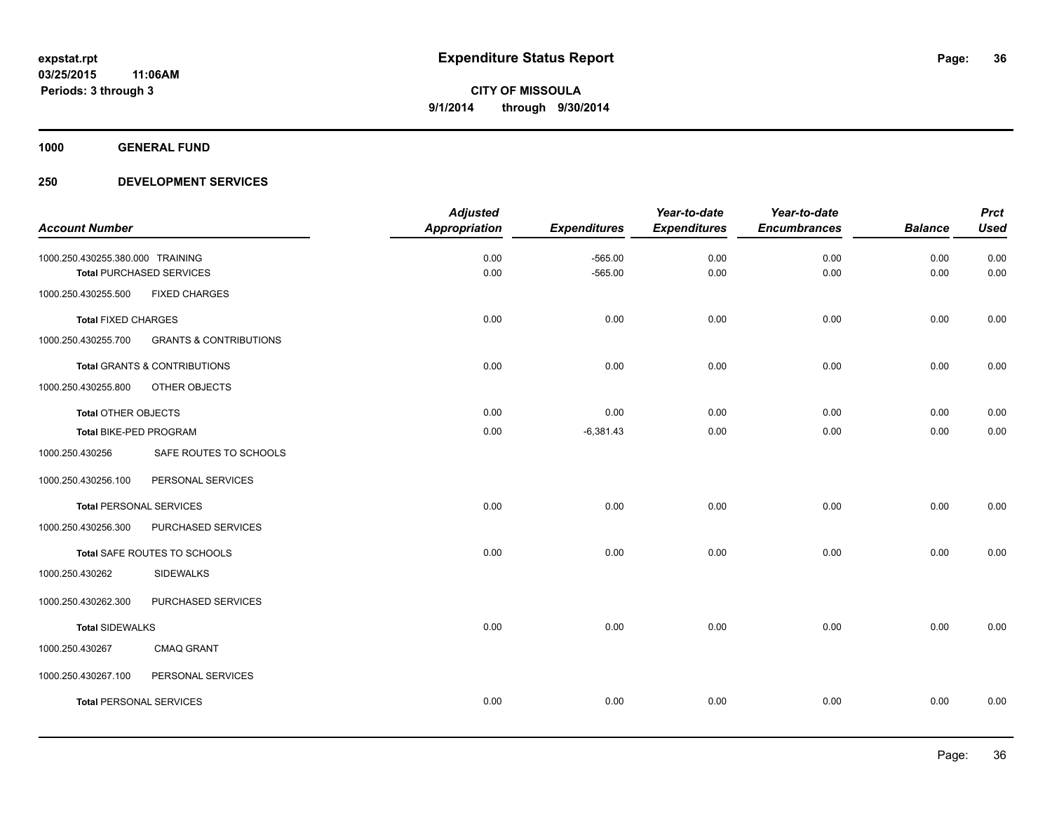**1000 GENERAL FUND**

|                                  |                                         | <b>Adjusted</b>      |                     | Year-to-date        | Year-to-date        |                | <b>Prct</b> |
|----------------------------------|-----------------------------------------|----------------------|---------------------|---------------------|---------------------|----------------|-------------|
| <b>Account Number</b>            |                                         | <b>Appropriation</b> | <b>Expenditures</b> | <b>Expenditures</b> | <b>Encumbrances</b> | <b>Balance</b> | <b>Used</b> |
| 1000.250.430255.380.000 TRAINING |                                         | 0.00                 | $-565.00$           | 0.00                | 0.00                | 0.00           | 0.00        |
|                                  | <b>Total PURCHASED SERVICES</b>         | 0.00                 | $-565.00$           | 0.00                | 0.00                | 0.00           | 0.00        |
| 1000.250.430255.500              | <b>FIXED CHARGES</b>                    |                      |                     |                     |                     |                |             |
| <b>Total FIXED CHARGES</b>       |                                         | 0.00                 | 0.00                | 0.00                | 0.00                | 0.00           | 0.00        |
| 1000.250.430255.700              | <b>GRANTS &amp; CONTRIBUTIONS</b>       |                      |                     |                     |                     |                |             |
|                                  | <b>Total GRANTS &amp; CONTRIBUTIONS</b> | 0.00                 | 0.00                | 0.00                | 0.00                | 0.00           | 0.00        |
| 1000.250.430255.800              | OTHER OBJECTS                           |                      |                     |                     |                     |                |             |
| <b>Total OTHER OBJECTS</b>       |                                         | 0.00                 | 0.00                | 0.00                | 0.00                | 0.00           | 0.00        |
| Total BIKE-PED PROGRAM           |                                         | 0.00                 | $-6,381.43$         | 0.00                | 0.00                | 0.00           | 0.00        |
| 1000.250.430256                  | SAFE ROUTES TO SCHOOLS                  |                      |                     |                     |                     |                |             |
| 1000.250.430256.100              | PERSONAL SERVICES                       |                      |                     |                     |                     |                |             |
| <b>Total PERSONAL SERVICES</b>   |                                         | 0.00                 | 0.00                | 0.00                | 0.00                | 0.00           | 0.00        |
| 1000.250.430256.300              | PURCHASED SERVICES                      |                      |                     |                     |                     |                |             |
|                                  | Total SAFE ROUTES TO SCHOOLS            | 0.00                 | 0.00                | 0.00                | 0.00                | 0.00           | 0.00        |
| 1000.250.430262                  | <b>SIDEWALKS</b>                        |                      |                     |                     |                     |                |             |
| 1000.250.430262.300              | PURCHASED SERVICES                      |                      |                     |                     |                     |                |             |
| <b>Total SIDEWALKS</b>           |                                         | 0.00                 | 0.00                | 0.00                | 0.00                | 0.00           | 0.00        |
| 1000.250.430267                  | <b>CMAQ GRANT</b>                       |                      |                     |                     |                     |                |             |
| 1000.250.430267.100              | PERSONAL SERVICES                       |                      |                     |                     |                     |                |             |
| <b>Total PERSONAL SERVICES</b>   |                                         | 0.00                 | 0.00                | 0.00                | 0.00                | 0.00           | 0.00        |
|                                  |                                         |                      |                     |                     |                     |                |             |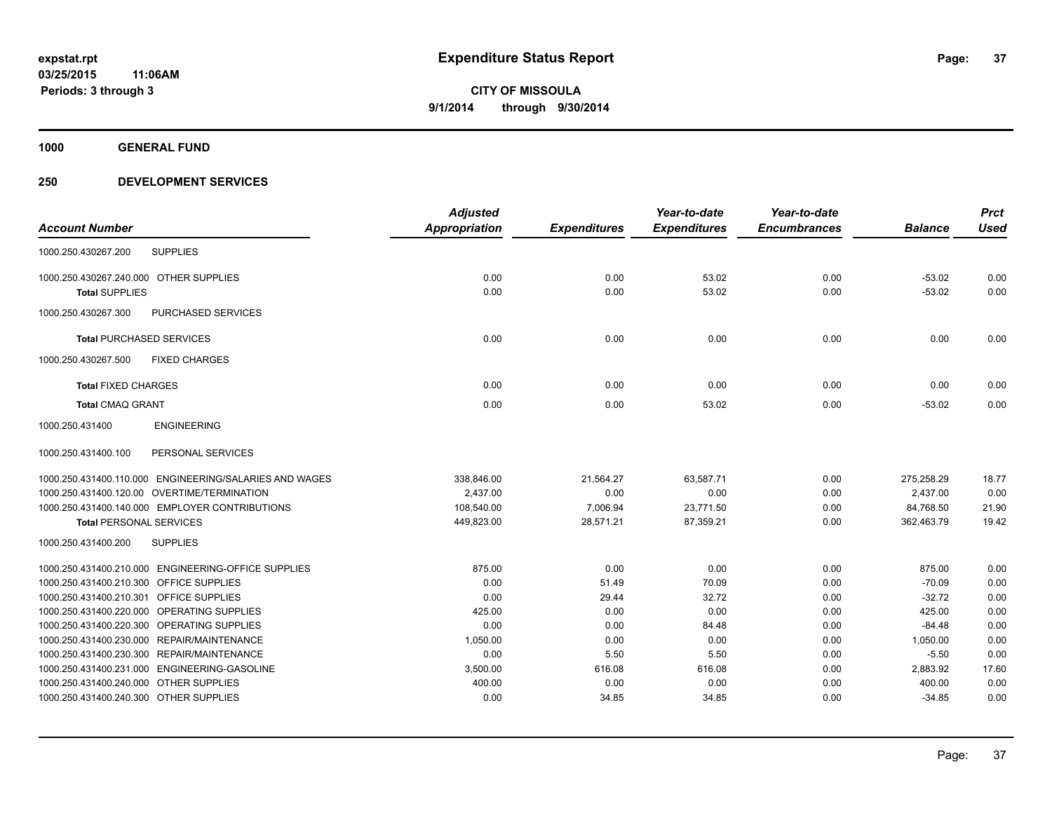**1000 GENERAL FUND**

# **250 DEVELOPMENT SERVICES**

|                                                        | <b>Adjusted</b>      |                     | Year-to-date        | Year-to-date        |                | <b>Prct</b> |
|--------------------------------------------------------|----------------------|---------------------|---------------------|---------------------|----------------|-------------|
| <b>Account Number</b>                                  | <b>Appropriation</b> | <b>Expenditures</b> | <b>Expenditures</b> | <b>Encumbrances</b> | <b>Balance</b> | <b>Used</b> |
| <b>SUPPLIES</b><br>1000.250.430267.200                 |                      |                     |                     |                     |                |             |
| 1000.250.430267.240.000 OTHER SUPPLIES                 | 0.00                 | 0.00                | 53.02               | 0.00                | $-53.02$       | 0.00        |
| <b>Total SUPPLIES</b>                                  | 0.00                 | 0.00                | 53.02               | 0.00                | $-53.02$       | 0.00        |
| 1000.250.430267.300<br>PURCHASED SERVICES              |                      |                     |                     |                     |                |             |
| <b>Total PURCHASED SERVICES</b>                        | 0.00                 | 0.00                | 0.00                | 0.00                | 0.00           | 0.00        |
| 1000.250.430267.500<br><b>FIXED CHARGES</b>            |                      |                     |                     |                     |                |             |
| <b>Total FIXED CHARGES</b>                             | 0.00                 | 0.00                | 0.00                | 0.00                | 0.00           | 0.00        |
| <b>Total CMAQ GRANT</b>                                | 0.00                 | 0.00                | 53.02               | 0.00                | $-53.02$       | 0.00        |
| <b>ENGINEERING</b><br>1000.250.431400                  |                      |                     |                     |                     |                |             |
| 1000.250.431400.100<br>PERSONAL SERVICES               |                      |                     |                     |                     |                |             |
| 1000.250.431400.110.000 ENGINEERING/SALARIES AND WAGES | 338,846.00           | 21,564.27           | 63,587.71           | 0.00                | 275,258.29     | 18.77       |
| 1000.250.431400.120.00 OVERTIME/TERMINATION            | 2,437.00             | 0.00                | 0.00                | 0.00                | 2,437.00       | 0.00        |
| 1000.250.431400.140.000 EMPLOYER CONTRIBUTIONS         | 108,540.00           | 7.006.94            | 23,771.50           | 0.00                | 84,768.50      | 21.90       |
| <b>Total PERSONAL SERVICES</b>                         | 449,823.00           | 28,571.21           | 87,359.21           | 0.00                | 362,463.79     | 19.42       |
| <b>SUPPLIES</b><br>1000.250.431400.200                 |                      |                     |                     |                     |                |             |
| 1000.250.431400.210.000 ENGINEERING-OFFICE SUPPLIES    | 875.00               | 0.00                | 0.00                | 0.00                | 875.00         | 0.00        |
| 1000.250.431400.210.300 OFFICE SUPPLIES                | 0.00                 | 51.49               | 70.09               | 0.00                | $-70.09$       | 0.00        |
| 1000.250.431400.210.301 OFFICE SUPPLIES                | 0.00                 | 29.44               | 32.72               | 0.00                | $-32.72$       | 0.00        |
| 1000.250.431400.220.000 OPERATING SUPPLIES             | 425.00               | 0.00                | 0.00                | 0.00                | 425.00         | 0.00        |
| 1000.250.431400.220.300 OPERATING SUPPLIES             | 0.00                 | 0.00                | 84.48               | 0.00                | $-84.48$       | 0.00        |
| 1000.250.431400.230.000 REPAIR/MAINTENANCE             | 1,050.00             | 0.00                | 0.00                | 0.00                | 1,050.00       | 0.00        |
| 1000.250.431400.230.300 REPAIR/MAINTENANCE             | 0.00                 | 5.50                | 5.50                | 0.00                | $-5.50$        | 0.00        |
| 1000.250.431400.231.000 ENGINEERING-GASOLINE           | 3,500.00             | 616.08              | 616.08              | 0.00                | 2,883.92       | 17.60       |
| 1000.250.431400.240.000 OTHER SUPPLIES                 | 400.00               | 0.00                | 0.00                | 0.00                | 400.00         | 0.00        |
| 1000.250.431400.240.300 OTHER SUPPLIES                 | 0.00                 | 34.85               | 34.85               | 0.00                | $-34.85$       | 0.00        |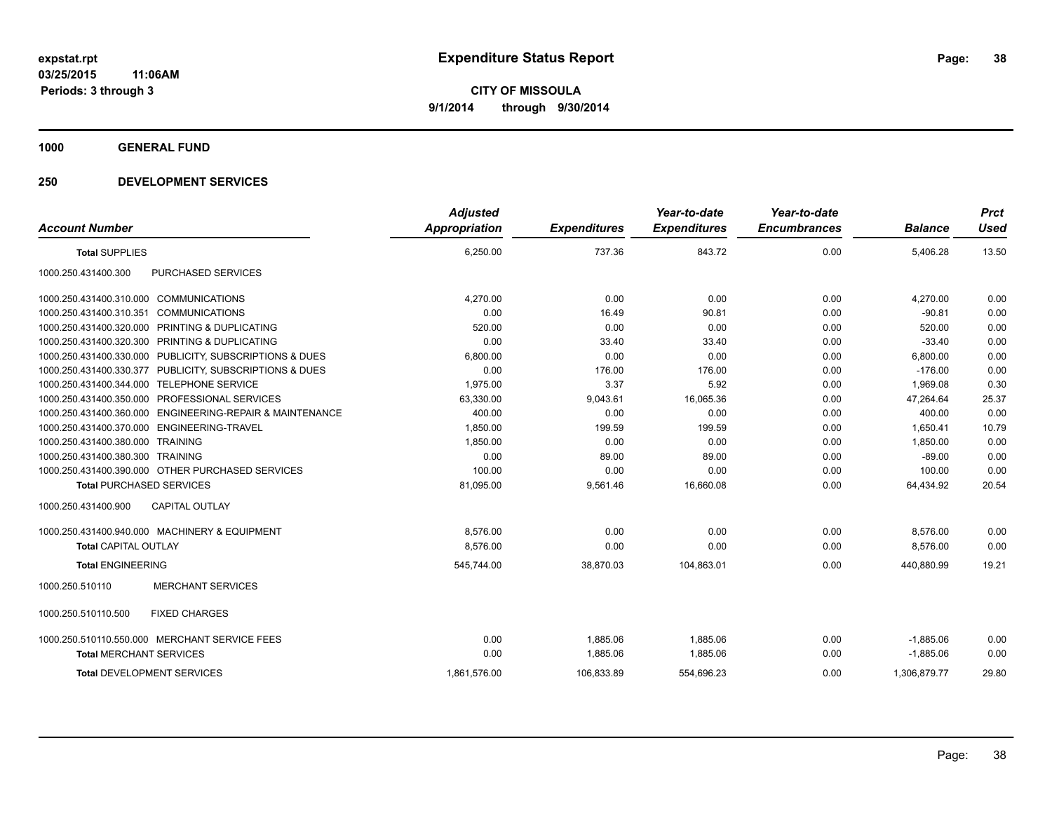### **1000 GENERAL FUND**

# **250 DEVELOPMENT SERVICES**

|                                                          | <b>Adjusted</b>      |                     | Year-to-date        | Year-to-date        |                | <b>Prct</b> |
|----------------------------------------------------------|----------------------|---------------------|---------------------|---------------------|----------------|-------------|
| <b>Account Number</b>                                    | <b>Appropriation</b> | <b>Expenditures</b> | <b>Expenditures</b> | <b>Encumbrances</b> | <b>Balance</b> | <b>Used</b> |
| <b>Total SUPPLIES</b>                                    | 6,250.00             | 737.36              | 843.72              | 0.00                | 5,406.28       | 13.50       |
| PURCHASED SERVICES<br>1000.250.431400.300                |                      |                     |                     |                     |                |             |
| 1000.250.431400.310.000 COMMUNICATIONS                   | 4.270.00             | 0.00                | 0.00                | 0.00                | 4,270.00       | 0.00        |
| 1000.250.431400.310.351 COMMUNICATIONS                   | 0.00                 | 16.49               | 90.81               | 0.00                | $-90.81$       | 0.00        |
| 1000.250.431400.320.000 PRINTING & DUPLICATING           | 520.00               | 0.00                | 0.00                | 0.00                | 520.00         | 0.00        |
| 1000.250.431400.320.300 PRINTING & DUPLICATING           | 0.00                 | 33.40               | 33.40               | 0.00                | $-33.40$       | 0.00        |
| 1000.250.431400.330.000 PUBLICITY, SUBSCRIPTIONS & DUES  | 6,800.00             | 0.00                | 0.00                | 0.00                | 6,800.00       | 0.00        |
| 1000.250.431400.330.377 PUBLICITY, SUBSCRIPTIONS & DUES  | 0.00                 | 176.00              | 176.00              | 0.00                | $-176.00$      | 0.00        |
| 1000.250.431400.344.000 TELEPHONE SERVICE                | 1,975.00             | 3.37                | 5.92                | 0.00                | 1,969.08       | 0.30        |
| 1000.250.431400.350.000 PROFESSIONAL SERVICES            | 63,330.00            | 9,043.61            | 16,065.36           | 0.00                | 47,264.64      | 25.37       |
| 1000.250.431400.360.000 ENGINEERING-REPAIR & MAINTENANCE | 400.00               | 0.00                | 0.00                | 0.00                | 400.00         | 0.00        |
| 1000.250.431400.370.000 ENGINEERING-TRAVEL               | 1,850.00             | 199.59              | 199.59              | 0.00                | 1,650.41       | 10.79       |
| 1000.250.431400.380.000 TRAINING                         | 1,850.00             | 0.00                | 0.00                | 0.00                | 1.850.00       | 0.00        |
| 1000.250.431400.380.300 TRAINING                         | 0.00                 | 89.00               | 89.00               | 0.00                | $-89.00$       | 0.00        |
| 1000.250.431400.390.000 OTHER PURCHASED SERVICES         | 100.00               | 0.00                | 0.00                | 0.00                | 100.00         | 0.00        |
| <b>Total PURCHASED SERVICES</b>                          | 81,095.00            | 9,561.46            | 16,660.08           | 0.00                | 64,434.92      | 20.54       |
| CAPITAL OUTLAY<br>1000.250.431400.900                    |                      |                     |                     |                     |                |             |
| 1000.250.431400.940.000 MACHINERY & EQUIPMENT            | 8,576.00             | 0.00                | 0.00                | 0.00                | 8,576.00       | 0.00        |
| <b>Total CAPITAL OUTLAY</b>                              | 8,576.00             | 0.00                | 0.00                | 0.00                | 8,576.00       | 0.00        |
| <b>Total ENGINEERING</b>                                 | 545,744.00           | 38,870.03           | 104,863.01          | 0.00                | 440.880.99     | 19.21       |
| 1000.250.510110<br><b>MERCHANT SERVICES</b>              |                      |                     |                     |                     |                |             |
| 1000.250.510110.500<br><b>FIXED CHARGES</b>              |                      |                     |                     |                     |                |             |
| 1000.250.510110.550.000 MERCHANT SERVICE FEES            | 0.00                 | 1,885.06            | 1,885.06            | 0.00                | $-1,885.06$    | 0.00        |
| <b>Total MERCHANT SERVICES</b>                           | 0.00                 | 1,885.06            | 1,885.06            | 0.00                | $-1,885.06$    | 0.00        |
| <b>Total DEVELOPMENT SERVICES</b>                        | 1,861,576.00         | 106,833.89          | 554,696.23          | 0.00                | 1,306,879.77   | 29.80       |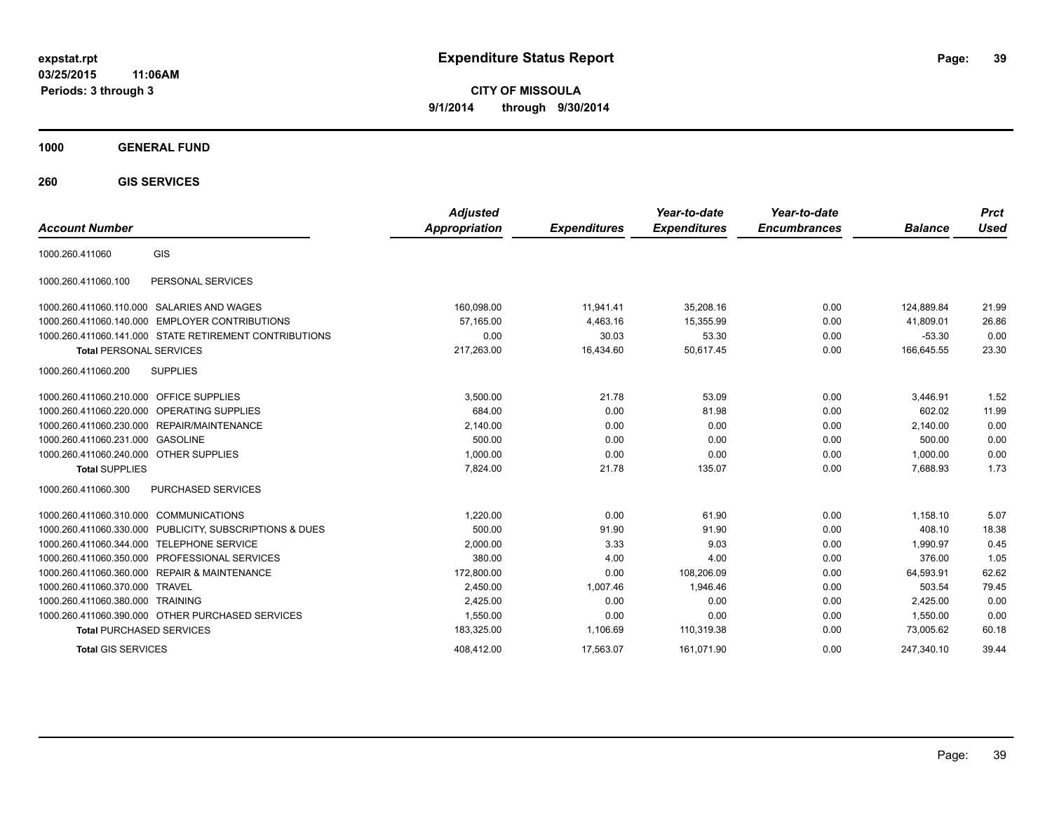**CITY OF MISSOULA 9/1/2014 through 9/30/2014**

**1000 GENERAL FUND**

**260 GIS SERVICES**

| <b>Account Number</b>                   |                                                         | <b>Adjusted</b><br><b>Appropriation</b> | <b>Expenditures</b> | Year-to-date<br><b>Expenditures</b> | Year-to-date<br><b>Encumbrances</b> | <b>Balance</b> | <b>Prct</b><br>Used |
|-----------------------------------------|---------------------------------------------------------|-----------------------------------------|---------------------|-------------------------------------|-------------------------------------|----------------|---------------------|
| 1000.260.411060                         | GIS                                                     |                                         |                     |                                     |                                     |                |                     |
| 1000.260.411060.100                     | PERSONAL SERVICES                                       |                                         |                     |                                     |                                     |                |                     |
|                                         | 1000.260.411060.110.000 SALARIES AND WAGES              | 160,098.00                              | 11,941.41           | 35,208.16                           | 0.00                                | 124,889.84     | 21.99               |
|                                         | 1000.260.411060.140.000 EMPLOYER CONTRIBUTIONS          | 57.165.00                               | 4,463.16            | 15,355.99                           | 0.00                                | 41,809.01      | 26.86               |
|                                         | 1000.260.411060.141.000 STATE RETIREMENT CONTRIBUTIONS  | 0.00                                    | 30.03               | 53.30                               | 0.00                                | $-53.30$       | 0.00                |
| <b>Total PERSONAL SERVICES</b>          |                                                         | 217,263.00                              | 16,434.60           | 50,617.45                           | 0.00                                | 166,645.55     | 23.30               |
| 1000.260.411060.200                     | <b>SUPPLIES</b>                                         |                                         |                     |                                     |                                     |                |                     |
| 1000.260.411060.210.000 OFFICE SUPPLIES |                                                         | 3,500.00                                | 21.78               | 53.09                               | 0.00                                | 3,446.91       | 1.52                |
|                                         | 1000.260.411060.220.000 OPERATING SUPPLIES              | 684.00                                  | 0.00                | 81.98                               | 0.00                                | 602.02         | 11.99               |
|                                         | 1000.260.411060.230.000 REPAIR/MAINTENANCE              | 2,140.00                                | 0.00                | 0.00                                | 0.00                                | 2,140.00       | 0.00                |
| 1000.260.411060.231.000 GASOLINE        |                                                         | 500.00                                  | 0.00                | 0.00                                | 0.00                                | 500.00         | 0.00                |
| 1000.260.411060.240.000 OTHER SUPPLIES  |                                                         | 1,000.00                                | 0.00                | 0.00                                | 0.00                                | 1,000.00       | 0.00                |
| <b>Total SUPPLIES</b>                   |                                                         | 7.824.00                                | 21.78               | 135.07                              | 0.00                                | 7,688.93       | 1.73                |
| 1000.260.411060.300                     | PURCHASED SERVICES                                      |                                         |                     |                                     |                                     |                |                     |
| 1000.260.411060.310.000 COMMUNICATIONS  |                                                         | 1.220.00                                | 0.00                | 61.90                               | 0.00                                | 1,158.10       | 5.07                |
|                                         | 1000.260.411060.330.000 PUBLICITY, SUBSCRIPTIONS & DUES | 500.00                                  | 91.90               | 91.90                               | 0.00                                | 408.10         | 18.38               |
|                                         | 1000.260.411060.344.000 TELEPHONE SERVICE               | 2,000.00                                | 3.33                | 9.03                                | 0.00                                | 1.990.97       | 0.45                |
|                                         | 1000.260.411060.350.000 PROFESSIONAL SERVICES           | 380.00                                  | 4.00                | 4.00                                | 0.00                                | 376.00         | 1.05                |
|                                         | 1000.260.411060.360.000 REPAIR & MAINTENANCE            | 172,800.00                              | 0.00                | 108,206.09                          | 0.00                                | 64,593.91      | 62.62               |
| 1000.260.411060.370.000                 | <b>TRAVEL</b>                                           | 2.450.00                                | 1,007.46            | 1.946.46                            | 0.00                                | 503.54         | 79.45               |
| 1000.260.411060.380.000 TRAINING        |                                                         | 2,425.00                                | 0.00                | 0.00                                | 0.00                                | 2,425.00       | 0.00                |
|                                         | 1000.260.411060.390.000 OTHER PURCHASED SERVICES        | 1,550.00                                | 0.00                | 0.00                                | 0.00                                | 1.550.00       | 0.00                |
| <b>Total PURCHASED SERVICES</b>         |                                                         | 183,325.00                              | 1,106.69            | 110,319.38                          | 0.00                                | 73,005.62      | 60.18               |
| <b>Total GIS SERVICES</b>               |                                                         | 408.412.00                              | 17.563.07           | 161.071.90                          | 0.00                                | 247.340.10     | 39.44               |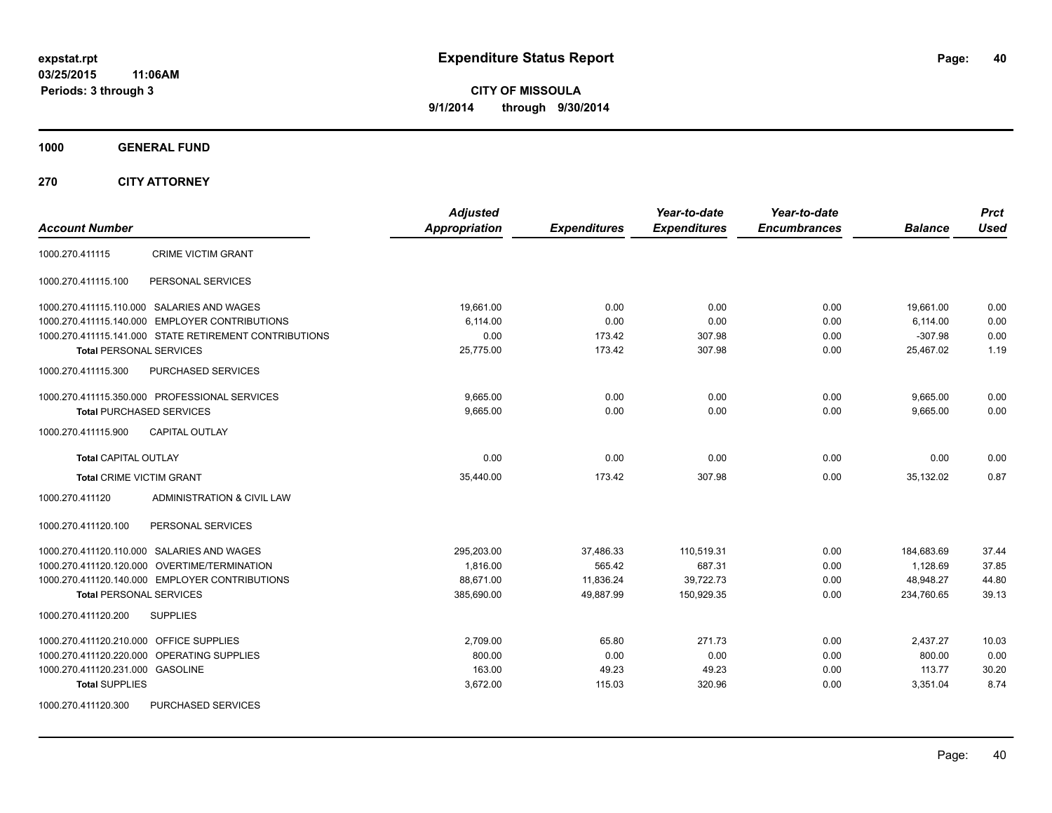**CITY OF MISSOULA 9/1/2014 through 9/30/2014**

**1000 GENERAL FUND**

**270 CITY ATTORNEY**

| <b>Account Number</b>                                  | <b>Adjusted</b><br><b>Appropriation</b> | <b>Expenditures</b> | Year-to-date<br><b>Expenditures</b> | Year-to-date<br><b>Encumbrances</b> | <b>Balance</b> | <b>Prct</b><br><b>Used</b> |
|--------------------------------------------------------|-----------------------------------------|---------------------|-------------------------------------|-------------------------------------|----------------|----------------------------|
| <b>CRIME VICTIM GRANT</b><br>1000.270.411115           |                                         |                     |                                     |                                     |                |                            |
| PERSONAL SERVICES<br>1000.270.411115.100               |                                         |                     |                                     |                                     |                |                            |
| 1000.270.411115.110.000 SALARIES AND WAGES             | 19.661.00                               | 0.00                | 0.00                                | 0.00                                | 19,661.00      | 0.00                       |
| 1000.270.411115.140.000 EMPLOYER CONTRIBUTIONS         | 6,114.00                                | 0.00                | 0.00                                | 0.00                                | 6,114.00       | 0.00                       |
| 1000.270.411115.141.000 STATE RETIREMENT CONTRIBUTIONS | 0.00                                    | 173.42              | 307.98                              | 0.00                                | $-307.98$      | 0.00                       |
| <b>Total PERSONAL SERVICES</b>                         | 25,775.00                               | 173.42              | 307.98                              | 0.00                                | 25,467.02      | 1.19                       |
| 1000.270.411115.300<br><b>PURCHASED SERVICES</b>       |                                         |                     |                                     |                                     |                |                            |
| 1000.270.411115.350.000 PROFESSIONAL SERVICES          | 9,665.00                                | 0.00                | 0.00                                | 0.00                                | 9,665.00       | 0.00                       |
| <b>Total PURCHASED SERVICES</b>                        | 9,665.00                                | 0.00                | 0.00                                | 0.00                                | 9,665.00       | 0.00                       |
| <b>CAPITAL OUTLAY</b><br>1000.270.411115.900           |                                         |                     |                                     |                                     |                |                            |
| <b>Total CAPITAL OUTLAY</b>                            | 0.00                                    | 0.00                | 0.00                                | 0.00                                | 0.00           | 0.00                       |
| <b>Total CRIME VICTIM GRANT</b>                        | 35,440.00                               | 173.42              | 307.98                              | 0.00                                | 35,132.02      | 0.87                       |
| 1000.270.411120<br>ADMINISTRATION & CIVIL LAW          |                                         |                     |                                     |                                     |                |                            |
| 1000.270.411120.100<br>PERSONAL SERVICES               |                                         |                     |                                     |                                     |                |                            |
| 1000.270.411120.110.000 SALARIES AND WAGES             | 295,203.00                              | 37,486.33           | 110,519.31                          | 0.00                                | 184,683.69     | 37.44                      |
| 1000.270.411120.120.000 OVERTIME/TERMINATION           | 1,816.00                                | 565.42              | 687.31                              | 0.00                                | 1,128.69       | 37.85                      |
| 1000.270.411120.140.000 EMPLOYER CONTRIBUTIONS         | 88,671.00                               | 11,836.24           | 39,722.73                           | 0.00                                | 48,948.27      | 44.80                      |
| <b>Total PERSONAL SERVICES</b>                         | 385,690.00                              | 49,887.99           | 150,929.35                          | 0.00                                | 234,760.65     | 39.13                      |
| 1000.270.411120.200<br><b>SUPPLIES</b>                 |                                         |                     |                                     |                                     |                |                            |
| 1000.270.411120.210.000 OFFICE SUPPLIES                | 2,709.00                                | 65.80               | 271.73                              | 0.00                                | 2,437.27       | 10.03                      |
| 1000.270.411120.220.000 OPERATING SUPPLIES             | 800.00                                  | 0.00                | 0.00                                | 0.00                                | 800.00         | 0.00                       |
| 1000.270.411120.231.000 GASOLINE                       | 163.00                                  | 49.23               | 49.23                               | 0.00                                | 113.77         | 30.20                      |
| <b>Total SUPPLIES</b>                                  | 3,672.00                                | 115.03              | 320.96                              | 0.00                                | 3,351.04       | 8.74                       |
| PURCHASED SERVICES<br>1000.270.411120.300              |                                         |                     |                                     |                                     |                |                            |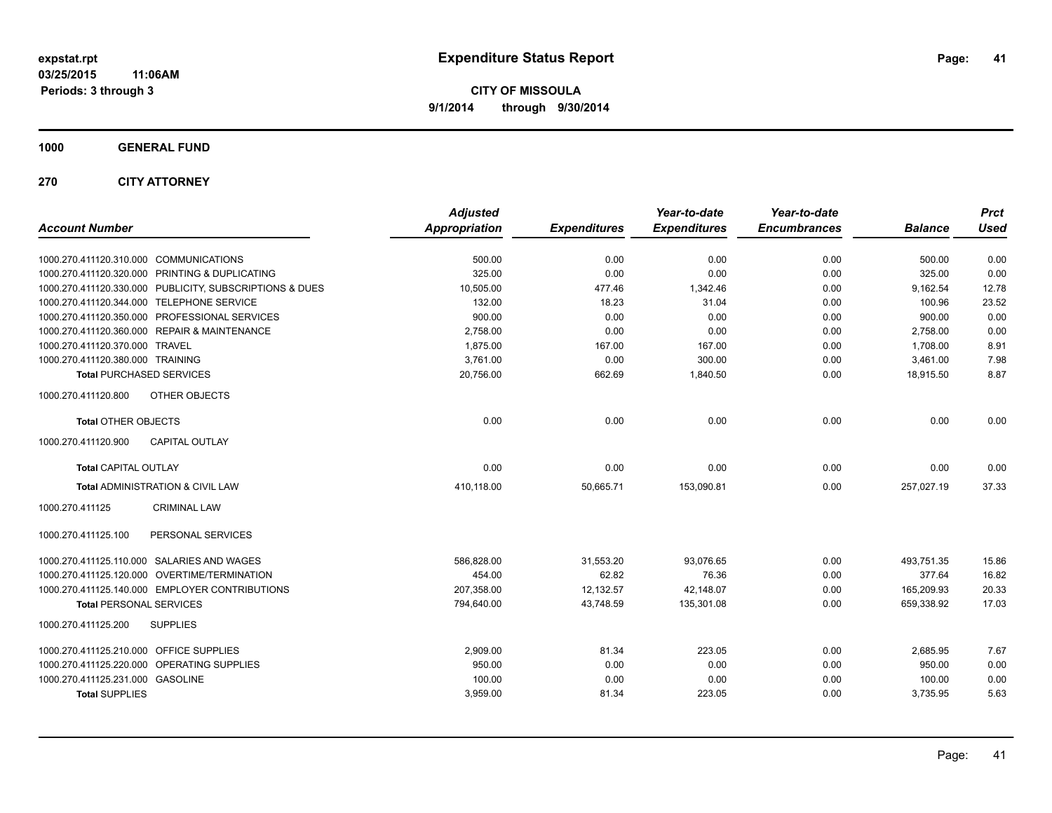**1000 GENERAL FUND**

**270 CITY ATTORNEY**

| <b>Account Number</b>                                   | <b>Adjusted</b><br><b>Appropriation</b> | <b>Expenditures</b> | Year-to-date<br><b>Expenditures</b> | Year-to-date<br><b>Encumbrances</b> | <b>Balance</b> | <b>Prct</b><br><b>Used</b> |
|---------------------------------------------------------|-----------------------------------------|---------------------|-------------------------------------|-------------------------------------|----------------|----------------------------|
| 1000.270.411120.310.000 COMMUNICATIONS                  | 500.00                                  | 0.00                | 0.00                                | 0.00                                | 500.00         | 0.00                       |
| 1000.270.411120.320.000 PRINTING & DUPLICATING          | 325.00                                  | 0.00                | 0.00                                | 0.00                                | 325.00         | 0.00                       |
| 1000.270.411120.330.000 PUBLICITY, SUBSCRIPTIONS & DUES | 10,505.00                               | 477.46              | 1,342.46                            | 0.00                                | 9,162.54       | 12.78                      |
| 1000.270.411120.344.000 TELEPHONE SERVICE               | 132.00                                  | 18.23               | 31.04                               | 0.00                                | 100.96         | 23.52                      |
| 1000.270.411120.350.000 PROFESSIONAL SERVICES           | 900.00                                  | 0.00                | 0.00                                | 0.00                                | 900.00         | 0.00                       |
| 1000.270.411120.360.000 REPAIR & MAINTENANCE            | 2,758.00                                | 0.00                | 0.00                                | 0.00                                | 2,758.00       | 0.00                       |
| 1000.270.411120.370.000 TRAVEL                          | 1,875.00                                | 167.00              | 167.00                              | 0.00                                | 1,708.00       | 8.91                       |
| 1000.270.411120.380.000 TRAINING                        | 3,761.00                                | 0.00                | 300.00                              | 0.00                                | 3,461.00       | 7.98                       |
| <b>Total PURCHASED SERVICES</b>                         | 20,756.00                               | 662.69              | 1,840.50                            | 0.00                                | 18,915.50      | 8.87                       |
| 1000.270.411120.800<br>OTHER OBJECTS                    |                                         |                     |                                     |                                     |                |                            |
| <b>Total OTHER OBJECTS</b>                              | 0.00                                    | 0.00                | 0.00                                | 0.00                                | 0.00           | 0.00                       |
| <b>CAPITAL OUTLAY</b><br>1000.270.411120.900            |                                         |                     |                                     |                                     |                |                            |
| <b>Total CAPITAL OUTLAY</b>                             | 0.00                                    | 0.00                | 0.00                                | 0.00                                | 0.00           | 0.00                       |
| Total ADMINISTRATION & CIVIL LAW                        | 410,118.00                              | 50,665.71           | 153,090.81                          | 0.00                                | 257,027.19     | 37.33                      |
| 1000.270.411125<br><b>CRIMINAL LAW</b>                  |                                         |                     |                                     |                                     |                |                            |
| PERSONAL SERVICES<br>1000.270.411125.100                |                                         |                     |                                     |                                     |                |                            |
| 1000.270.411125.110.000 SALARIES AND WAGES              | 586,828.00                              | 31,553.20           | 93,076.65                           | 0.00                                | 493,751.35     | 15.86                      |
| 1000.270.411125.120.000 OVERTIME/TERMINATION            | 454.00                                  | 62.82               | 76.36                               | 0.00                                | 377.64         | 16.82                      |
| 1000.270.411125.140.000 EMPLOYER CONTRIBUTIONS          | 207.358.00                              | 12,132.57           | 42,148.07                           | 0.00                                | 165,209.93     | 20.33                      |
| <b>Total PERSONAL SERVICES</b>                          | 794,640.00                              | 43,748.59           | 135,301.08                          | 0.00                                | 659,338.92     | 17.03                      |
| 1000.270.411125.200<br><b>SUPPLIES</b>                  |                                         |                     |                                     |                                     |                |                            |
| 1000.270.411125.210.000 OFFICE SUPPLIES                 | 2,909.00                                | 81.34               | 223.05                              | 0.00                                | 2,685.95       | 7.67                       |
| 1000.270.411125.220.000 OPERATING SUPPLIES              | 950.00                                  | 0.00                | 0.00                                | 0.00                                | 950.00         | 0.00                       |
| 1000.270.411125.231.000 GASOLINE                        | 100.00                                  | 0.00                | 0.00                                | 0.00                                | 100.00         | 0.00                       |
| <b>Total SUPPLIES</b>                                   | 3,959.00                                | 81.34               | 223.05                              | 0.00                                | 3,735.95       | 5.63                       |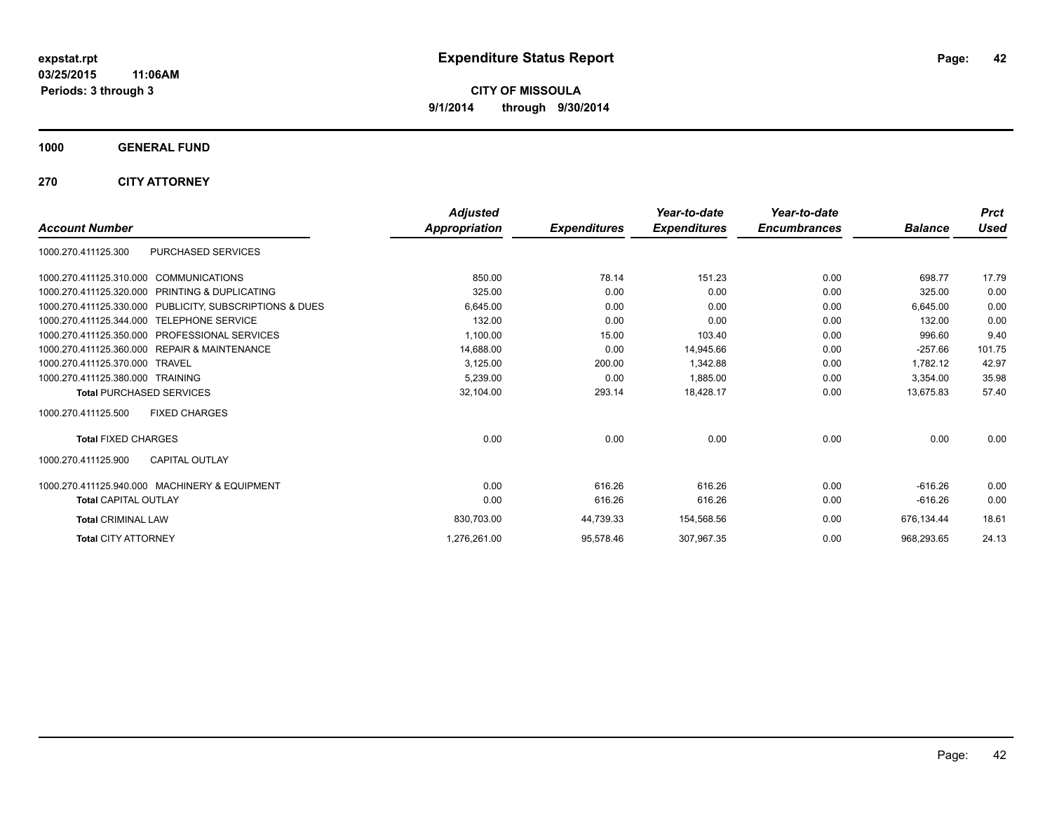**1000 GENERAL FUND**

**270 CITY ATTORNEY**

|                                                            | <b>Adjusted</b> |                     | Year-to-date        | Year-to-date        |                | <b>Prct</b> |
|------------------------------------------------------------|-----------------|---------------------|---------------------|---------------------|----------------|-------------|
| <b>Account Number</b>                                      | Appropriation   | <b>Expenditures</b> | <b>Expenditures</b> | <b>Encumbrances</b> | <b>Balance</b> | <b>Used</b> |
| PURCHASED SERVICES<br>1000.270.411125.300                  |                 |                     |                     |                     |                |             |
| 1000.270.411125.310.000 COMMUNICATIONS                     | 850.00          | 78.14               | 151.23              | 0.00                | 698.77         | 17.79       |
| PRINTING & DUPLICATING<br>1000.270.411125.320.000          | 325.00          | 0.00                | 0.00                | 0.00                | 325.00         | 0.00        |
| 1000.270.411125.330.000 PUBLICITY, SUBSCRIPTIONS & DUES    | 6.645.00        | 0.00                | 0.00                | 0.00                | 6,645.00       | 0.00        |
| 1000.270.411125.344.000 TELEPHONE SERVICE                  | 132.00          | 0.00                | 0.00                | 0.00                | 132.00         | 0.00        |
| PROFESSIONAL SERVICES<br>1000.270.411125.350.000           | 1,100.00        | 15.00               | 103.40              | 0.00                | 996.60         | 9.40        |
| <b>REPAIR &amp; MAINTENANCE</b><br>1000.270.411125.360.000 | 14,688.00       | 0.00                | 14,945.66           | 0.00                | $-257.66$      | 101.75      |
| 1000.270.411125.370.000<br><b>TRAVEL</b>                   | 3,125.00        | 200.00              | 1,342.88            | 0.00                | 1.782.12       | 42.97       |
| 1000.270.411125.380.000 TRAINING                           | 5,239.00        | 0.00                | 1,885.00            | 0.00                | 3,354.00       | 35.98       |
| <b>Total PURCHASED SERVICES</b>                            | 32,104.00       | 293.14              | 18,428.17           | 0.00                | 13,675.83      | 57.40       |
| 1000.270.411125.500<br><b>FIXED CHARGES</b>                |                 |                     |                     |                     |                |             |
| <b>Total FIXED CHARGES</b>                                 | 0.00            | 0.00                | 0.00                | 0.00                | 0.00           | 0.00        |
| <b>CAPITAL OUTLAY</b><br>1000.270.411125.900               |                 |                     |                     |                     |                |             |
| 1000.270.411125.940.000 MACHINERY & EQUIPMENT              | 0.00            | 616.26              | 616.26              | 0.00                | $-616.26$      | 0.00        |
| <b>Total CAPITAL OUTLAY</b>                                | 0.00            | 616.26              | 616.26              | 0.00                | $-616.26$      | 0.00        |
| <b>Total CRIMINAL LAW</b>                                  | 830,703.00      | 44,739.33           | 154,568.56          | 0.00                | 676.134.44     | 18.61       |
| <b>Total CITY ATTORNEY</b>                                 | 1,276,261.00    | 95,578.46           | 307,967.35          | 0.00                | 968,293.65     | 24.13       |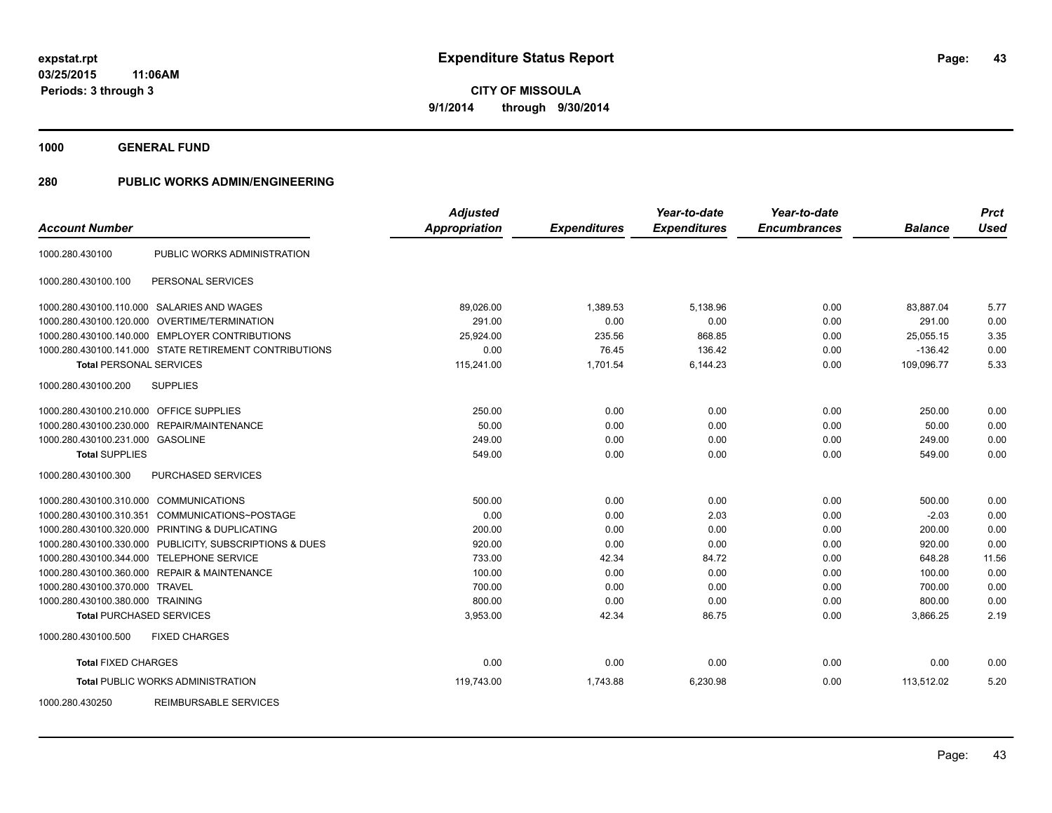**1000 GENERAL FUND**

| <b>Account Number</b>                   |                                                        | <b>Adjusted</b><br><b>Appropriation</b> | <b>Expenditures</b> | Year-to-date<br><b>Expenditures</b> | Year-to-date<br><b>Encumbrances</b> | <b>Balance</b> | <b>Prct</b><br><b>Used</b> |
|-----------------------------------------|--------------------------------------------------------|-----------------------------------------|---------------------|-------------------------------------|-------------------------------------|----------------|----------------------------|
| 1000.280.430100                         | PUBLIC WORKS ADMINISTRATION                            |                                         |                     |                                     |                                     |                |                            |
| 1000.280.430100.100                     | PERSONAL SERVICES                                      |                                         |                     |                                     |                                     |                |                            |
|                                         | 1000.280.430100.110.000 SALARIES AND WAGES             | 89,026.00                               | 1,389.53            | 5,138.96                            | 0.00                                | 83,887.04      | 5.77                       |
|                                         | 1000.280.430100.120.000 OVERTIME/TERMINATION           | 291.00                                  | 0.00                | 0.00                                | 0.00                                | 291.00         | 0.00                       |
|                                         | 1000.280.430100.140.000 EMPLOYER CONTRIBUTIONS         | 25.924.00                               | 235.56              | 868.85                              | 0.00                                | 25.055.15      | 3.35                       |
|                                         | 1000.280.430100.141.000 STATE RETIREMENT CONTRIBUTIONS | 0.00                                    | 76.45               | 136.42                              | 0.00                                | $-136.42$      | 0.00                       |
| <b>Total PERSONAL SERVICES</b>          |                                                        | 115,241.00                              | 1,701.54            | 6,144.23                            | 0.00                                | 109,096.77     | 5.33                       |
| 1000.280.430100.200                     | <b>SUPPLIES</b>                                        |                                         |                     |                                     |                                     |                |                            |
| 1000.280.430100.210.000 OFFICE SUPPLIES |                                                        | 250.00                                  | 0.00                | 0.00                                | 0.00                                | 250.00         | 0.00                       |
| 1000.280.430100.230.000                 | REPAIR/MAINTENANCE                                     | 50.00                                   | 0.00                | 0.00                                | 0.00                                | 50.00          | 0.00                       |
| 1000.280.430100.231.000 GASOLINE        |                                                        | 249.00                                  | 0.00                | 0.00                                | 0.00                                | 249.00         | 0.00                       |
| <b>Total SUPPLIES</b>                   |                                                        | 549.00                                  | 0.00                | 0.00                                | 0.00                                | 549.00         | 0.00                       |
| 1000.280.430100.300                     | PURCHASED SERVICES                                     |                                         |                     |                                     |                                     |                |                            |
| 1000.280.430100.310.000                 | <b>COMMUNICATIONS</b>                                  | 500.00                                  | 0.00                | 0.00                                | 0.00                                | 500.00         | 0.00                       |
| 1000.280.430100.310.351                 | COMMUNICATIONS~POSTAGE                                 | 0.00                                    | 0.00                | 2.03                                | 0.00                                | $-2.03$        | 0.00                       |
|                                         | 1000.280.430100.320.000 PRINTING & DUPLICATING         | 200.00                                  | 0.00                | 0.00                                | 0.00                                | 200.00         | 0.00                       |
| 1000.280.430100.330.000                 | PUBLICITY, SUBSCRIPTIONS & DUES                        | 920.00                                  | 0.00                | 0.00                                | 0.00                                | 920.00         | 0.00                       |
| 1000.280.430100.344.000                 | TELEPHONE SERVICE                                      | 733.00                                  | 42.34               | 84.72                               | 0.00                                | 648.28         | 11.56                      |
|                                         | 1000.280.430100.360.000 REPAIR & MAINTENANCE           | 100.00                                  | 0.00                | 0.00                                | 0.00                                | 100.00         | 0.00                       |
| 1000.280.430100.370.000                 | TRAVEL                                                 | 700.00                                  | 0.00                | 0.00                                | 0.00                                | 700.00         | 0.00                       |
| 1000.280.430100.380.000 TRAINING        |                                                        | 800.00                                  | 0.00                | 0.00                                | 0.00                                | 800.00         | 0.00                       |
| <b>Total PURCHASED SERVICES</b>         |                                                        | 3,953.00                                | 42.34               | 86.75                               | 0.00                                | 3,866.25       | 2.19                       |
| 1000.280.430100.500                     | <b>FIXED CHARGES</b>                                   |                                         |                     |                                     |                                     |                |                            |
| <b>Total FIXED CHARGES</b>              |                                                        | 0.00                                    | 0.00                | 0.00                                | 0.00                                | 0.00           | 0.00                       |
|                                         | <b>Total PUBLIC WORKS ADMINISTRATION</b>               | 119,743.00                              | 1,743.88            | 6,230.98                            | 0.00                                | 113,512.02     | 5.20                       |
| 1000.280.430250                         | <b>REIMBURSABLE SERVICES</b>                           |                                         |                     |                                     |                                     |                |                            |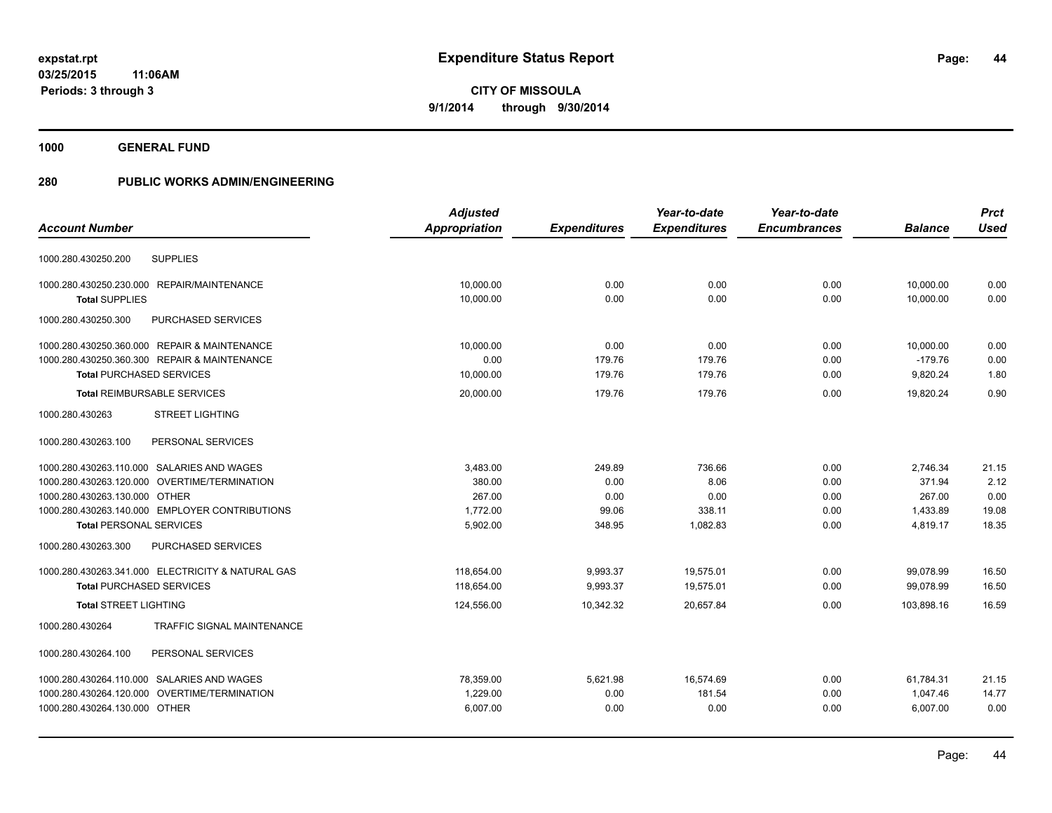**1000 GENERAL FUND**

|                                                      | <b>Adjusted</b> |                     | Year-to-date        | Year-to-date        |                | <b>Prct</b> |
|------------------------------------------------------|-----------------|---------------------|---------------------|---------------------|----------------|-------------|
| <b>Account Number</b>                                | Appropriation   | <b>Expenditures</b> | <b>Expenditures</b> | <b>Encumbrances</b> | <b>Balance</b> | <b>Used</b> |
|                                                      |                 |                     |                     |                     |                |             |
| <b>SUPPLIES</b><br>1000.280.430250.200               |                 |                     |                     |                     |                |             |
| 1000.280.430250.230.000 REPAIR/MAINTENANCE           | 10,000.00       | 0.00                | 0.00                | 0.00                | 10,000.00      | 0.00        |
| <b>Total SUPPLIES</b>                                | 10,000.00       | 0.00                | 0.00                | 0.00                | 10,000.00      | 0.00        |
| 1000.280.430250.300<br>PURCHASED SERVICES            |                 |                     |                     |                     |                |             |
| 1000.280.430250.360.000 REPAIR & MAINTENANCE         | 10,000.00       | 0.00                | 0.00                | 0.00                | 10,000.00      | 0.00        |
| 1000.280.430250.360.300 REPAIR & MAINTENANCE         | 0.00            | 179.76              | 179.76              | 0.00                | $-179.76$      | 0.00        |
| <b>Total PURCHASED SERVICES</b>                      | 10,000.00       | 179.76              | 179.76              | 0.00                | 9,820.24       | 1.80        |
| <b>Total REIMBURSABLE SERVICES</b>                   | 20,000.00       | 179.76              | 179.76              | 0.00                | 19,820.24      | 0.90        |
| <b>STREET LIGHTING</b><br>1000.280.430263            |                 |                     |                     |                     |                |             |
| PERSONAL SERVICES<br>1000.280.430263.100             |                 |                     |                     |                     |                |             |
| 1000.280.430263.110.000 SALARIES AND WAGES           | 3,483.00        | 249.89              | 736.66              | 0.00                | 2,746.34       | 21.15       |
| 1000.280.430263.120.000 OVERTIME/TERMINATION         | 380.00          | 0.00                | 8.06                | 0.00                | 371.94         | 2.12        |
| 1000.280.430263.130.000 OTHER                        | 267.00          | 0.00                | 0.00                | 0.00                | 267.00         | 0.00        |
| 1000.280.430263.140.000 EMPLOYER CONTRIBUTIONS       | 1,772.00        | 99.06               | 338.11              | 0.00                | 1,433.89       | 19.08       |
| <b>Total PERSONAL SERVICES</b>                       | 5,902.00        | 348.95              | 1,082.83            | 0.00                | 4,819.17       | 18.35       |
| 1000.280.430263.300<br>PURCHASED SERVICES            |                 |                     |                     |                     |                |             |
| 1000.280.430263.341.000 ELECTRICITY & NATURAL GAS    | 118.654.00      | 9,993.37            | 19.575.01           | 0.00                | 99,078.99      | 16.50       |
| <b>Total PURCHASED SERVICES</b>                      | 118,654.00      | 9,993.37            | 19,575.01           | 0.00                | 99,078.99      | 16.50       |
| <b>Total STREET LIGHTING</b>                         | 124,556.00      | 10.342.32           | 20.657.84           | 0.00                | 103.898.16     | 16.59       |
| <b>TRAFFIC SIGNAL MAINTENANCE</b><br>1000.280.430264 |                 |                     |                     |                     |                |             |
| 1000.280.430264.100<br>PERSONAL SERVICES             |                 |                     |                     |                     |                |             |
| 1000.280.430264.110.000 SALARIES AND WAGES           | 78,359.00       | 5,621.98            | 16,574.69           | 0.00                | 61,784.31      | 21.15       |
| 1000.280.430264.120.000 OVERTIME/TERMINATION         | 1,229.00        | 0.00                | 181.54              | 0.00                | 1,047.46       | 14.77       |
| 1000.280.430264.130.000 OTHER                        | 6,007.00        | 0.00                | 0.00                | 0.00                | 6,007.00       | 0.00        |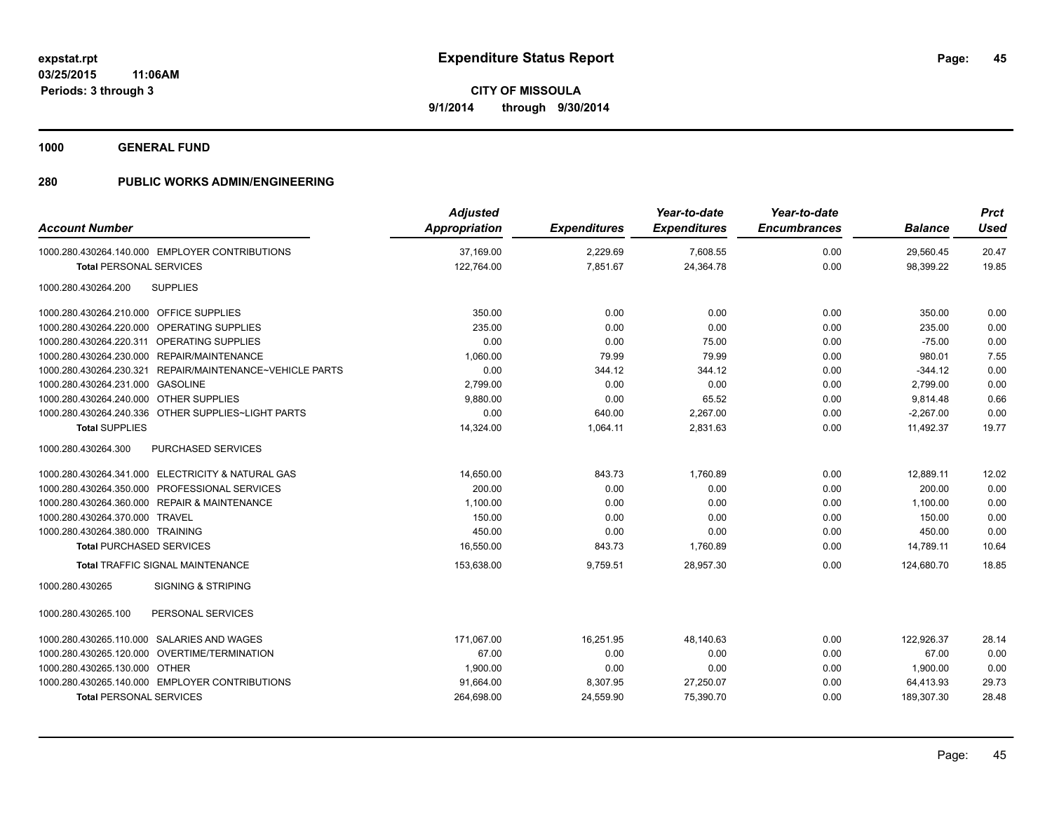**1000 GENERAL FUND**

| <b>Account Number</b>                                    | <b>Adjusted</b><br>Appropriation | <b>Expenditures</b> | Year-to-date<br><b>Expenditures</b> | Year-to-date<br><b>Encumbrances</b> | <b>Balance</b> | <b>Prct</b><br><b>Used</b> |
|----------------------------------------------------------|----------------------------------|---------------------|-------------------------------------|-------------------------------------|----------------|----------------------------|
| 1000.280.430264.140.000 EMPLOYER CONTRIBUTIONS           | 37.169.00                        | 2,229.69            | 7,608.55                            | 0.00                                | 29,560.45      | 20.47                      |
| <b>Total PERSONAL SERVICES</b>                           | 122,764.00                       | 7,851.67            | 24,364.78                           | 0.00                                | 98,399.22      | 19.85                      |
| <b>SUPPLIES</b><br>1000.280.430264.200                   |                                  |                     |                                     |                                     |                |                            |
| 1000.280.430264.210.000 OFFICE SUPPLIES                  | 350.00                           | 0.00                | 0.00                                | 0.00                                | 350.00         | 0.00                       |
| 1000.280.430264.220.000 OPERATING SUPPLIES               | 235.00                           | 0.00                | 0.00                                | 0.00                                | 235.00         | 0.00                       |
| 1000.280.430264.220.311 OPERATING SUPPLIES               | 0.00                             | 0.00                | 75.00                               | 0.00                                | $-75.00$       | 0.00                       |
| 1000.280.430264.230.000 REPAIR/MAINTENANCE               | 1,060.00                         | 79.99               | 79.99                               | 0.00                                | 980.01         | 7.55                       |
| 1000.280.430264.230.321 REPAIR/MAINTENANCE~VEHICLE PARTS | 0.00                             | 344.12              | 344.12                              | 0.00                                | $-344.12$      | 0.00                       |
| 1000.280.430264.231.000 GASOLINE                         | 2,799.00                         | 0.00                | 0.00                                | 0.00                                | 2,799.00       | 0.00                       |
| 1000.280.430264.240.000 OTHER SUPPLIES                   | 9,880.00                         | 0.00                | 65.52                               | 0.00                                | 9,814.48       | 0.66                       |
| 1000.280.430264.240.336 OTHER SUPPLIES~LIGHT PARTS       | 0.00                             | 640.00              | 2,267.00                            | 0.00                                | $-2,267.00$    | 0.00                       |
| <b>Total SUPPLIES</b>                                    | 14,324.00                        | 1,064.11            | 2,831.63                            | 0.00                                | 11,492.37      | 19.77                      |
| 1000.280.430264.300<br><b>PURCHASED SERVICES</b>         |                                  |                     |                                     |                                     |                |                            |
| 1000.280.430264.341.000 ELECTRICITY & NATURAL GAS        | 14,650.00                        | 843.73              | 1,760.89                            | 0.00                                | 12,889.11      | 12.02                      |
| 1000.280.430264.350.000 PROFESSIONAL SERVICES            | 200.00                           | 0.00                | 0.00                                | 0.00                                | 200.00         | 0.00                       |
| 1000.280.430264.360.000 REPAIR & MAINTENANCE             | 1,100.00                         | 0.00                | 0.00                                | 0.00                                | 1,100.00       | 0.00                       |
| 1000.280.430264.370.000 TRAVEL                           | 150.00                           | 0.00                | 0.00                                | 0.00                                | 150.00         | 0.00                       |
| 1000.280.430264.380.000 TRAINING                         | 450.00                           | 0.00                | 0.00                                | 0.00                                | 450.00         | 0.00                       |
| <b>Total PURCHASED SERVICES</b>                          | 16,550.00                        | 843.73              | 1,760.89                            | 0.00                                | 14,789.11      | 10.64                      |
| <b>Total TRAFFIC SIGNAL MAINTENANCE</b>                  | 153,638.00                       | 9,759.51            | 28,957.30                           | 0.00                                | 124,680.70     | 18.85                      |
| 1000.280.430265<br><b>SIGNING &amp; STRIPING</b>         |                                  |                     |                                     |                                     |                |                            |
| 1000.280.430265.100<br>PERSONAL SERVICES                 |                                  |                     |                                     |                                     |                |                            |
| 1000.280.430265.110.000 SALARIES AND WAGES               | 171,067.00                       | 16,251.95           | 48,140.63                           | 0.00                                | 122,926.37     | 28.14                      |
| 1000.280.430265.120.000 OVERTIME/TERMINATION             | 67.00                            | 0.00                | 0.00                                | 0.00                                | 67.00          | 0.00                       |
| 1000.280.430265.130.000 OTHER                            | 1,900.00                         | 0.00                | 0.00                                | 0.00                                | 1,900.00       | 0.00                       |
| 1000.280.430265.140.000 EMPLOYER CONTRIBUTIONS           | 91,664.00                        | 8,307.95            | 27,250.07                           | 0.00                                | 64,413.93      | 29.73                      |
| <b>Total PERSONAL SERVICES</b>                           | 264,698.00                       | 24,559.90           | 75,390.70                           | 0.00                                | 189,307.30     | 28.48                      |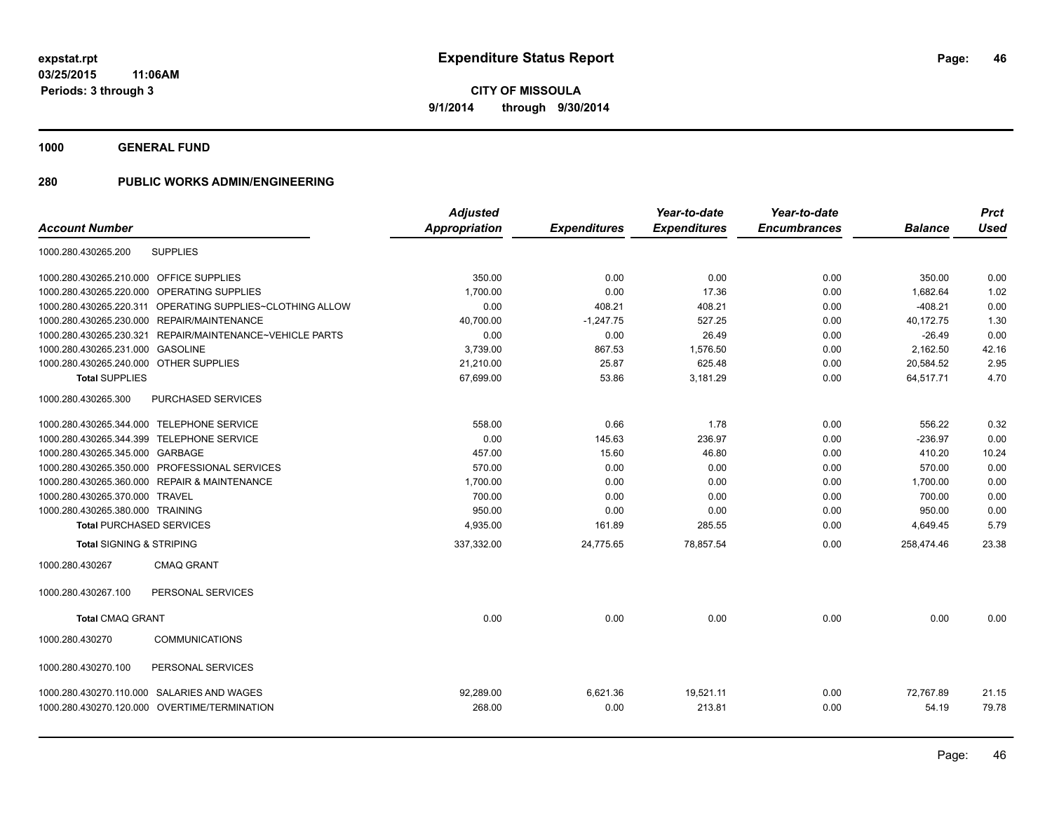**1000 GENERAL FUND**

| <b>Account Number</b>                   |                                                           | <b>Adjusted</b><br>Appropriation | <b>Expenditures</b> | Year-to-date<br><b>Expenditures</b> | Year-to-date<br><b>Encumbrances</b> | <b>Balance</b> | <b>Prct</b><br><b>Used</b> |
|-----------------------------------------|-----------------------------------------------------------|----------------------------------|---------------------|-------------------------------------|-------------------------------------|----------------|----------------------------|
| 1000.280.430265.200                     | <b>SUPPLIES</b>                                           |                                  |                     |                                     |                                     |                |                            |
|                                         |                                                           |                                  |                     |                                     |                                     |                |                            |
| 1000.280.430265.210.000 OFFICE SUPPLIES |                                                           | 350.00                           | 0.00                | 0.00                                | 0.00                                | 350.00         | 0.00                       |
|                                         | 1000.280.430265.220.000 OPERATING SUPPLIES                | 1.700.00                         | 0.00                | 17.36                               | 0.00                                | 1.682.64       | 1.02                       |
|                                         | 1000.280.430265.220.311 OPERATING SUPPLIES~CLOTHING ALLOW | 0.00                             | 408.21              | 408.21                              | 0.00                                | $-408.21$      | 0.00                       |
|                                         | 1000.280.430265.230.000 REPAIR/MAINTENANCE                | 40,700.00                        | $-1,247.75$         | 527.25                              | 0.00                                | 40,172.75      | 1.30                       |
|                                         | 1000.280.430265.230.321 REPAIR/MAINTENANCE~VEHICLE PARTS  | 0.00                             | 0.00                | 26.49                               | 0.00                                | $-26.49$       | 0.00                       |
| 1000.280.430265.231.000 GASOLINE        |                                                           | 3,739.00                         | 867.53              | 1,576.50                            | 0.00                                | 2,162.50       | 42.16                      |
| 1000.280.430265.240.000 OTHER SUPPLIES  |                                                           | 21,210.00                        | 25.87               | 625.48                              | 0.00                                | 20,584.52      | 2.95                       |
| <b>Total SUPPLIES</b>                   |                                                           | 67,699.00                        | 53.86               | 3,181.29                            | 0.00                                | 64,517.71      | 4.70                       |
| 1000.280.430265.300                     | PURCHASED SERVICES                                        |                                  |                     |                                     |                                     |                |                            |
|                                         | 1000.280.430265.344.000 TELEPHONE SERVICE                 | 558.00                           | 0.66                | 1.78                                | 0.00                                | 556.22         | 0.32                       |
|                                         | 1000.280.430265.344.399 TELEPHONE SERVICE                 | 0.00                             | 145.63              | 236.97                              | 0.00                                | $-236.97$      | 0.00                       |
| 1000.280.430265.345.000 GARBAGE         |                                                           | 457.00                           | 15.60               | 46.80                               | 0.00                                | 410.20         | 10.24                      |
|                                         | 1000.280.430265.350.000 PROFESSIONAL SERVICES             | 570.00                           | 0.00                | 0.00                                | 0.00                                | 570.00         | 0.00                       |
|                                         | 1000.280.430265.360.000 REPAIR & MAINTENANCE              | 1,700.00                         | 0.00                | 0.00                                | 0.00                                | 1,700.00       | 0.00                       |
| 1000.280.430265.370.000 TRAVEL          |                                                           | 700.00                           | 0.00                | 0.00                                | 0.00                                | 700.00         | 0.00                       |
| 1000.280.430265.380.000 TRAINING        |                                                           | 950.00                           | 0.00                | 0.00                                | 0.00                                | 950.00         | 0.00                       |
|                                         | <b>Total PURCHASED SERVICES</b>                           | 4,935.00                         | 161.89              | 285.55                              | 0.00                                | 4,649.45       | 5.79                       |
| <b>Total SIGNING &amp; STRIPING</b>     |                                                           | 337,332.00                       | 24,775.65           | 78,857.54                           | 0.00                                | 258,474.46     | 23.38                      |
| 1000.280.430267                         | <b>CMAQ GRANT</b>                                         |                                  |                     |                                     |                                     |                |                            |
| 1000.280.430267.100                     | PERSONAL SERVICES                                         |                                  |                     |                                     |                                     |                |                            |
| <b>Total CMAQ GRANT</b>                 |                                                           | 0.00                             | 0.00                | 0.00                                | 0.00                                | 0.00           | 0.00                       |
| 1000.280.430270                         | <b>COMMUNICATIONS</b>                                     |                                  |                     |                                     |                                     |                |                            |
| 1000.280.430270.100                     | PERSONAL SERVICES                                         |                                  |                     |                                     |                                     |                |                            |
|                                         | 1000.280.430270.110.000 SALARIES AND WAGES                | 92,289.00                        | 6,621.36            | 19,521.11                           | 0.00                                | 72,767.89      | 21.15                      |
|                                         | 1000.280.430270.120.000 OVERTIME/TERMINATION              | 268.00                           | 0.00                | 213.81                              | 0.00                                | 54.19          | 79.78                      |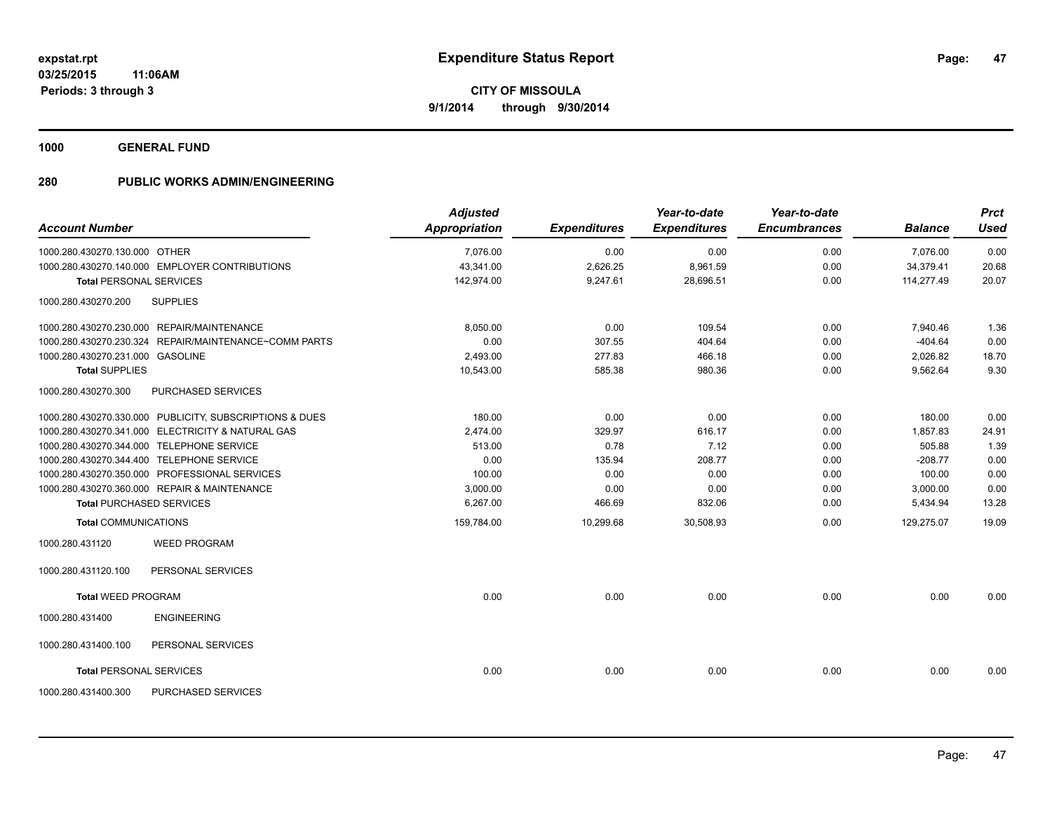**1000 GENERAL FUND**

| <b>Account Number</b>            |                                                         | <b>Adjusted</b><br><b>Appropriation</b> | <b>Expenditures</b> | Year-to-date<br><b>Expenditures</b> | Year-to-date<br><b>Encumbrances</b> | <b>Balance</b> | <b>Prct</b><br><b>Used</b> |
|----------------------------------|---------------------------------------------------------|-----------------------------------------|---------------------|-------------------------------------|-------------------------------------|----------------|----------------------------|
| 1000.280.430270.130.000 OTHER    |                                                         | 7,076.00                                | 0.00                | 0.00                                | 0.00                                | 7,076.00       | 0.00                       |
|                                  | 1000.280.430270.140.000 EMPLOYER CONTRIBUTIONS          | 43,341.00                               | 2,626.25            | 8,961.59                            | 0.00                                | 34,379.41      | 20.68                      |
|                                  | <b>Total PERSONAL SERVICES</b>                          | 142.974.00                              | 9,247.61            | 28.696.51                           | 0.00                                | 114.277.49     | 20.07                      |
| 1000.280.430270.200              | <b>SUPPLIES</b>                                         |                                         |                     |                                     |                                     |                |                            |
|                                  | 1000.280.430270.230.000 REPAIR/MAINTENANCE              | 8,050.00                                | 0.00                | 109.54                              | 0.00                                | 7,940.46       | 1.36                       |
|                                  | 1000.280.430270.230.324 REPAIR/MAINTENANCE~COMM PARTS   | 0.00                                    | 307.55              | 404.64                              | 0.00                                | $-404.64$      | 0.00                       |
| 1000.280.430270.231.000 GASOLINE |                                                         | 2,493.00                                | 277.83              | 466.18                              | 0.00                                | 2,026.82       | 18.70                      |
| <b>Total SUPPLIES</b>            |                                                         | 10,543.00                               | 585.38              | 980.36                              | 0.00                                | 9,562.64       | 9.30                       |
| 1000.280.430270.300              | PURCHASED SERVICES                                      |                                         |                     |                                     |                                     |                |                            |
|                                  | 1000.280.430270.330.000 PUBLICITY, SUBSCRIPTIONS & DUES | 180.00                                  | 0.00                | 0.00                                | 0.00                                | 180.00         | 0.00                       |
|                                  | 1000.280.430270.341.000 ELECTRICITY & NATURAL GAS       | 2,474.00                                | 329.97              | 616.17                              | 0.00                                | 1,857.83       | 24.91                      |
|                                  | 1000.280.430270.344.000 TELEPHONE SERVICE               | 513.00                                  | 0.78                | 7.12                                | 0.00                                | 505.88         | 1.39                       |
|                                  | 1000.280.430270.344.400 TELEPHONE SERVICE               | 0.00                                    | 135.94              | 208.77                              | 0.00                                | $-208.77$      | 0.00                       |
|                                  | 1000.280.430270.350.000 PROFESSIONAL SERVICES           | 100.00                                  | 0.00                | 0.00                                | 0.00                                | 100.00         | 0.00                       |
|                                  | 1000.280.430270.360.000 REPAIR & MAINTENANCE            | 3,000.00                                | 0.00                | 0.00                                | 0.00                                | 3,000.00       | 0.00                       |
|                                  | <b>Total PURCHASED SERVICES</b>                         | 6,267.00                                | 466.69              | 832.06                              | 0.00                                | 5,434.94       | 13.28                      |
| <b>Total COMMUNICATIONS</b>      |                                                         | 159,784.00                              | 10,299.68           | 30,508.93                           | 0.00                                | 129,275.07     | 19.09                      |
| 1000.280.431120                  | <b>WEED PROGRAM</b>                                     |                                         |                     |                                     |                                     |                |                            |
| 1000.280.431120.100              | PERSONAL SERVICES                                       |                                         |                     |                                     |                                     |                |                            |
| <b>Total WEED PROGRAM</b>        |                                                         | 0.00                                    | 0.00                | 0.00                                | 0.00                                | 0.00           | 0.00                       |
| 1000.280.431400                  | <b>ENGINEERING</b>                                      |                                         |                     |                                     |                                     |                |                            |
| 1000.280.431400.100              | PERSONAL SERVICES                                       |                                         |                     |                                     |                                     |                |                            |
| <b>Total PERSONAL SERVICES</b>   |                                                         | 0.00                                    | 0.00                | 0.00                                | 0.00                                | 0.00           | 0.00                       |
| 1000.280.431400.300              | <b>PURCHASED SERVICES</b>                               |                                         |                     |                                     |                                     |                |                            |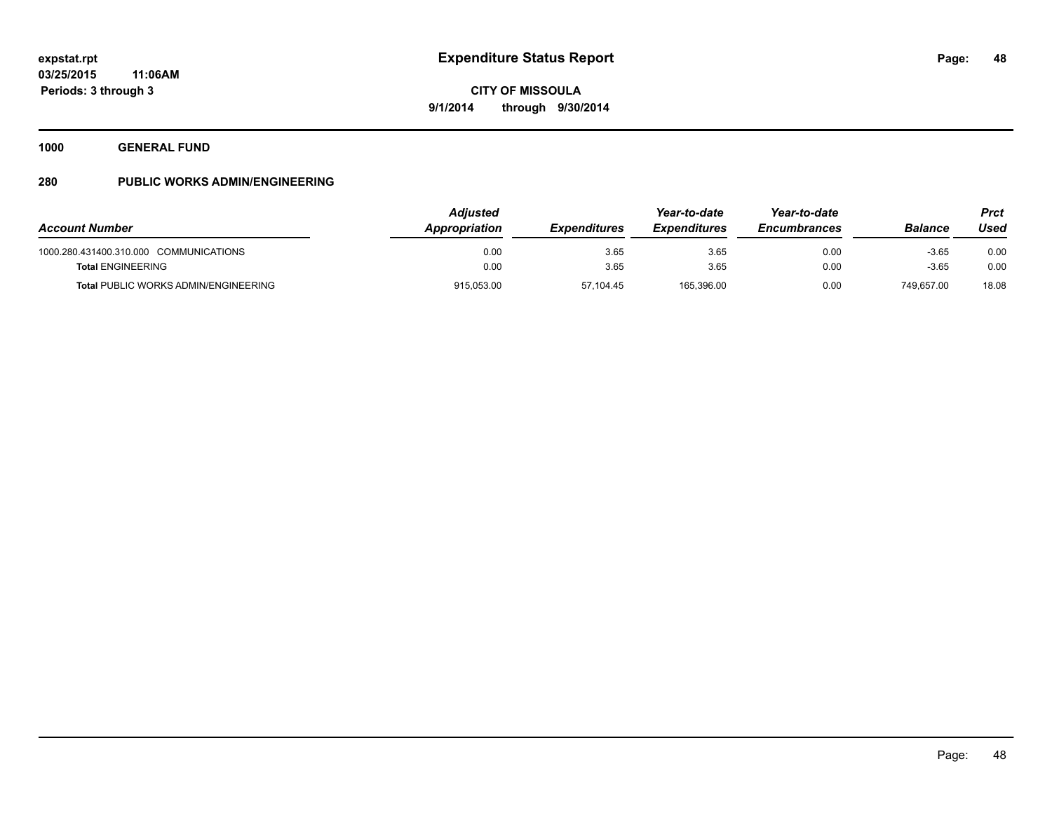**1000 GENERAL FUND**

| <b>Account Number</b>                                                   | <b>Adjusted</b><br>Appropriation | <b>Expenditures</b> | Year-to-date<br><b>Expenditures</b> | Year-to-date<br><b>Encumbrances</b> | Balance               | <b>Prct</b><br>Used |
|-------------------------------------------------------------------------|----------------------------------|---------------------|-------------------------------------|-------------------------------------|-----------------------|---------------------|
| 1000.280.431400.310.000 COMMUNICATIONS                                  | 0.00                             | 3.65                | 3.65                                | 0.00                                | $-3.65$               | 0.00                |
| <b>Total ENGINEERING</b><br><b>Total PUBLIC WORKS ADMIN/ENGINEERING</b> | 0.00<br>915,053.00               | 3.65<br>57,104.45   | 3.65<br>165.396.00                  | 0.00<br>0.00                        | $-3.65$<br>749.657.00 | 0.00<br>18.08       |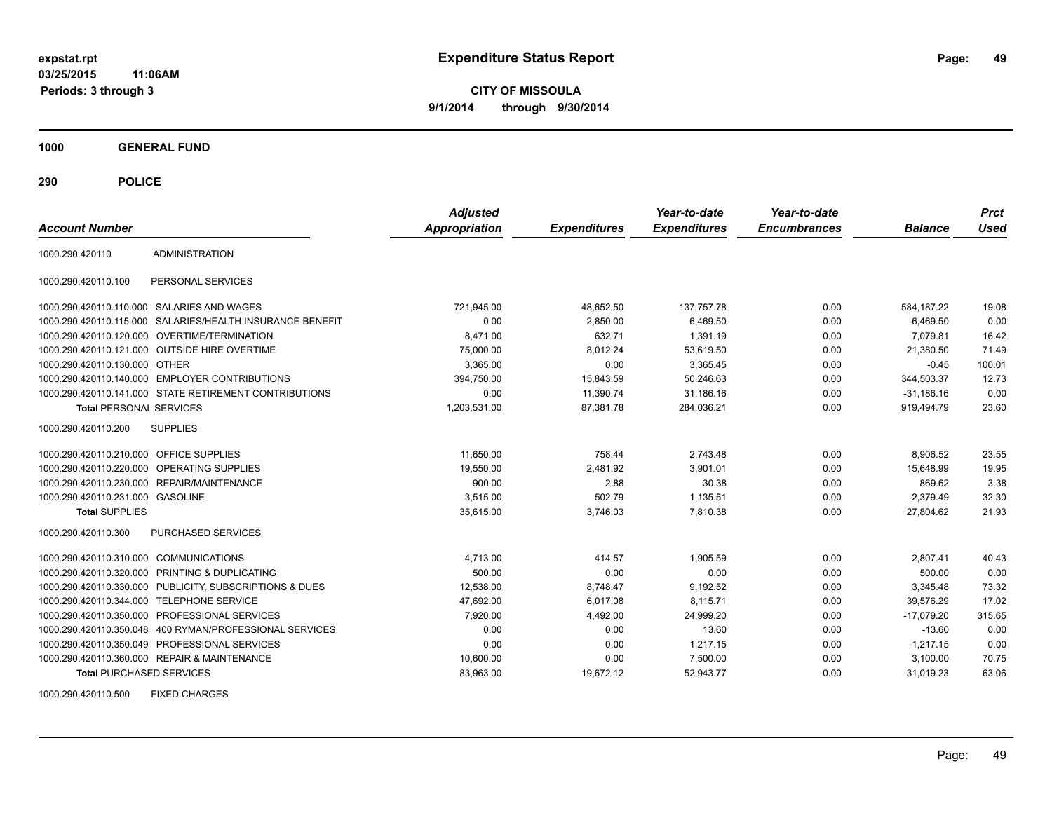**CITY OF MISSOULA 9/1/2014 through 9/30/2014**

**1000 GENERAL FUND**

**290 POLICE**

| <b>Account Number</b>                   |                                                            | <b>Adjusted</b><br><b>Appropriation</b> | <b>Expenditures</b> | Year-to-date<br><b>Expenditures</b> | Year-to-date<br><b>Encumbrances</b> | <b>Balance</b> | <b>Prct</b><br>Used |
|-----------------------------------------|------------------------------------------------------------|-----------------------------------------|---------------------|-------------------------------------|-------------------------------------|----------------|---------------------|
| 1000.290.420110                         | <b>ADMINISTRATION</b>                                      |                                         |                     |                                     |                                     |                |                     |
| 1000.290.420110.100                     | PERSONAL SERVICES                                          |                                         |                     |                                     |                                     |                |                     |
|                                         | 1000.290.420110.110.000 SALARIES AND WAGES                 | 721,945.00                              | 48.652.50           | 137,757.78                          | 0.00                                | 584.187.22     | 19.08               |
|                                         | 1000.290.420110.115.000 SALARIES/HEALTH INSURANCE BENEFIT  | 0.00                                    | 2,850.00            | 6,469.50                            | 0.00                                | $-6,469.50$    | 0.00                |
|                                         | 1000.290.420110.120.000 OVERTIME/TERMINATION               | 8.471.00                                | 632.71              | 1.391.19                            | 0.00                                | 7.079.81       | 16.42               |
|                                         | 1000.290.420110.121.000 OUTSIDE HIRE OVERTIME              | 75,000.00                               | 8,012.24            | 53,619.50                           | 0.00                                | 21.380.50      | 71.49               |
| 1000.290.420110.130.000 OTHER           |                                                            | 3,365.00                                | 0.00                | 3,365.45                            | 0.00                                | $-0.45$        | 100.01              |
|                                         | 1000.290.420110.140.000 EMPLOYER CONTRIBUTIONS             | 394,750.00                              | 15,843.59           | 50,246.63                           | 0.00                                | 344,503.37     | 12.73               |
|                                         | 1000.290.420110.141.000 STATE RETIREMENT CONTRIBUTIONS     | 0.00                                    | 11,390.74           | 31,186.16                           | 0.00                                | $-31,186.16$   | 0.00                |
| <b>Total PERSONAL SERVICES</b>          |                                                            | 1,203,531.00                            | 87,381.78           | 284,036.21                          | 0.00                                | 919,494.79     | 23.60               |
| 1000.290.420110.200                     | <b>SUPPLIES</b>                                            |                                         |                     |                                     |                                     |                |                     |
| 1000.290.420110.210.000 OFFICE SUPPLIES |                                                            | 11,650.00                               | 758.44              | 2,743.48                            | 0.00                                | 8,906.52       | 23.55               |
| 1000.290.420110.220.000                 | <b>OPERATING SUPPLIES</b>                                  | 19,550.00                               | 2,481.92            | 3,901.01                            | 0.00                                | 15.648.99      | 19.95               |
|                                         | 1000.290.420110.230.000 REPAIR/MAINTENANCE                 | 900.00                                  | 2.88                | 30.38                               | 0.00                                | 869.62         | 3.38                |
| 1000.290.420110.231.000 GASOLINE        |                                                            | 3,515.00                                | 502.79              | 1,135.51                            | 0.00                                | 2,379.49       | 32.30               |
| <b>Total SUPPLIES</b>                   |                                                            | 35,615.00                               | 3,746.03            | 7,810.38                            | 0.00                                | 27.804.62      | 21.93               |
| 1000.290.420110.300                     | PURCHASED SERVICES                                         |                                         |                     |                                     |                                     |                |                     |
| 1000.290.420110.310.000 COMMUNICATIONS  |                                                            | 4,713.00                                | 414.57              | 1,905.59                            | 0.00                                | 2,807.41       | 40.43               |
| 1000.290.420110.320.000                 | PRINTING & DUPLICATING                                     | 500.00                                  | 0.00                | 0.00                                | 0.00                                | 500.00         | 0.00                |
|                                         | 1000.290.420110.330.000 PUBLICITY, SUBSCRIPTIONS & DUES    | 12,538.00                               | 8.748.47            | 9,192.52                            | 0.00                                | 3.345.48       | 73.32               |
|                                         | 1000.290.420110.344.000 TELEPHONE SERVICE                  | 47,692.00                               | 6,017.08            | 8,115.71                            | 0.00                                | 39,576.29      | 17.02               |
| 1000.290.420110.350.000                 | PROFESSIONAL SERVICES                                      | 7,920.00                                | 4,492.00            | 24,999.20                           | 0.00                                | $-17.079.20$   | 315.65              |
|                                         | 1000.290.420110.350.048    400 RYMAN/PROFESSIONAL SERVICES | 0.00                                    | 0.00                | 13.60                               | 0.00                                | $-13.60$       | 0.00                |
|                                         | 1000.290.420110.350.049 PROFESSIONAL SERVICES              | 0.00                                    | 0.00                | 1,217.15                            | 0.00                                | $-1,217.15$    | 0.00                |
|                                         | 1000.290.420110.360.000 REPAIR & MAINTENANCE               | 10,600.00                               | 0.00                | 7,500.00                            | 0.00                                | 3,100.00       | 70.75               |
| <b>Total PURCHASED SERVICES</b>         |                                                            | 83,963.00                               | 19,672.12           | 52,943.77                           | 0.00                                | 31,019.23      | 63.06               |

1000.290.420110.500 FIXED CHARGES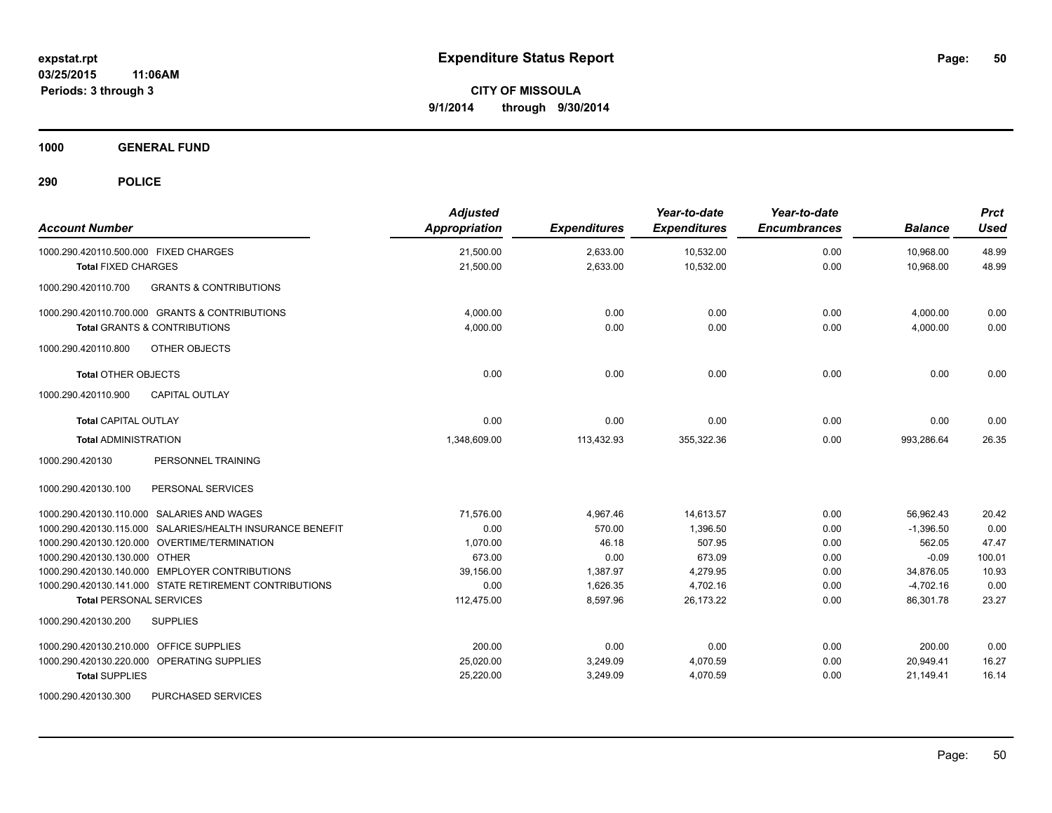**1000 GENERAL FUND**

| <b>Account Number</b>                                     | <b>Adjusted</b><br>Appropriation | <b>Expenditures</b> | Year-to-date<br><b>Expenditures</b> | Year-to-date<br><b>Encumbrances</b> | <b>Balance</b> | <b>Prct</b><br>Used |
|-----------------------------------------------------------|----------------------------------|---------------------|-------------------------------------|-------------------------------------|----------------|---------------------|
| 1000.290.420110.500.000 FIXED CHARGES                     | 21,500.00                        | 2,633.00            | 10,532.00                           | 0.00                                | 10,968.00      | 48.99               |
| <b>Total FIXED CHARGES</b>                                | 21,500.00                        | 2,633.00            | 10,532.00                           | 0.00                                | 10,968.00      | 48.99               |
| 1000.290.420110.700<br><b>GRANTS &amp; CONTRIBUTIONS</b>  |                                  |                     |                                     |                                     |                |                     |
| 1000.290.420110.700.000 GRANTS & CONTRIBUTIONS            | 4,000.00                         | 0.00                | 0.00                                | 0.00                                | 4,000.00       | 0.00                |
| <b>Total GRANTS &amp; CONTRIBUTIONS</b>                   | 4.000.00                         | 0.00                | 0.00                                | 0.00                                | 4,000.00       | 0.00                |
| 1000.290.420110.800<br><b>OTHER OBJECTS</b>               |                                  |                     |                                     |                                     |                |                     |
| <b>Total OTHER OBJECTS</b>                                | 0.00                             | 0.00                | 0.00                                | 0.00                                | 0.00           | 0.00                |
| 1000.290.420110.900<br><b>CAPITAL OUTLAY</b>              |                                  |                     |                                     |                                     |                |                     |
| <b>Total CAPITAL OUTLAY</b>                               | 0.00                             | 0.00                | 0.00                                | 0.00                                | 0.00           | 0.00                |
| <b>Total ADMINISTRATION</b>                               | 1.348.609.00                     | 113,432.93          | 355,322.36                          | 0.00                                | 993.286.64     | 26.35               |
| 1000.290.420130<br>PERSONNEL TRAINING                     |                                  |                     |                                     |                                     |                |                     |
| 1000.290.420130.100<br>PERSONAL SERVICES                  |                                  |                     |                                     |                                     |                |                     |
| 1000.290.420130.110.000 SALARIES AND WAGES                | 71.576.00                        | 4,967.46            | 14,613.57                           | 0.00                                | 56.962.43      | 20.42               |
| 1000.290.420130.115.000 SALARIES/HEALTH INSURANCE BENEFIT | 0.00                             | 570.00              | 1,396.50                            | 0.00                                | $-1,396.50$    | 0.00                |
| 1000.290.420130.120.000 OVERTIME/TERMINATION              | 1,070.00                         | 46.18               | 507.95                              | 0.00                                | 562.05         | 47.47               |
| 1000.290.420130.130.000 OTHER                             | 673.00                           | 0.00                | 673.09                              | 0.00                                | $-0.09$        | 100.01              |
| 1000.290.420130.140.000 EMPLOYER CONTRIBUTIONS            | 39.156.00                        | 1,387.97            | 4,279.95                            | 0.00                                | 34,876.05      | 10.93               |
| 1000.290.420130.141.000 STATE RETIREMENT CONTRIBUTIONS    | 0.00                             | 1,626.35            | 4,702.16                            | 0.00                                | $-4,702.16$    | 0.00                |
| <b>Total PERSONAL SERVICES</b>                            | 112,475.00                       | 8,597.96            | 26,173.22                           | 0.00                                | 86,301.78      | 23.27               |
| <b>SUPPLIES</b><br>1000.290.420130.200                    |                                  |                     |                                     |                                     |                |                     |
| OFFICE SUPPLIES<br>1000.290.420130.210.000                | 200.00                           | 0.00                | 0.00                                | 0.00                                | 200.00         | 0.00                |
| 1000.290.420130.220.000 OPERATING SUPPLIES                | 25,020.00                        | 3,249.09            | 4,070.59                            | 0.00                                | 20,949.41      | 16.27               |
| <b>Total SUPPLIES</b>                                     | 25,220.00                        | 3,249.09            | 4,070.59                            | 0.00                                | 21,149.41      | 16.14               |
| 1000.290.420130.300<br>PURCHASED SERVICES                 |                                  |                     |                                     |                                     |                |                     |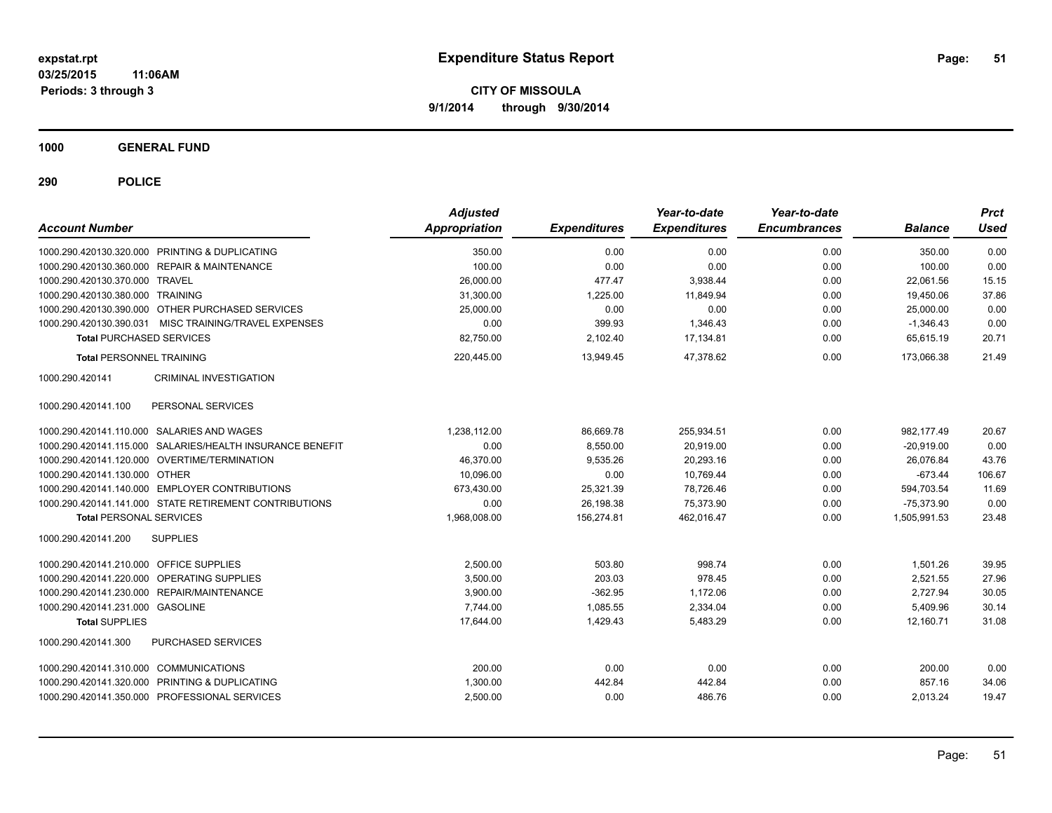**1000 GENERAL FUND**

| <b>Account Number</b>                      |                                                           | <b>Adjusted</b><br>Appropriation | <b>Expenditures</b> | Year-to-date<br><b>Expenditures</b> | Year-to-date<br><b>Encumbrances</b> | <b>Balance</b> | <b>Prct</b><br><b>Used</b> |
|--------------------------------------------|-----------------------------------------------------------|----------------------------------|---------------------|-------------------------------------|-------------------------------------|----------------|----------------------------|
|                                            | 1000.290.420130.320.000 PRINTING & DUPLICATING            | 350.00                           | 0.00                | 0.00                                | 0.00                                | 350.00         | 0.00                       |
|                                            | 1000.290.420130.360.000 REPAIR & MAINTENANCE              | 100.00                           | 0.00                | 0.00                                | 0.00                                | 100.00         | 0.00                       |
| 1000.290.420130.370.000 TRAVEL             |                                                           | 26,000.00                        | 477.47              | 3,938.44                            | 0.00                                | 22.061.56      | 15.15                      |
| 1000.290.420130.380.000 TRAINING           |                                                           | 31,300.00                        | 1,225.00            | 11.849.94                           | 0.00                                | 19,450.06      | 37.86                      |
|                                            | 1000.290.420130.390.000 OTHER PURCHASED SERVICES          | 25,000.00                        | 0.00                | 0.00                                | 0.00                                | 25,000.00      | 0.00                       |
|                                            | 1000.290.420130.390.031 MISC TRAINING/TRAVEL EXPENSES     | 0.00                             | 399.93              | 1,346.43                            | 0.00                                | $-1,346.43$    | 0.00                       |
| <b>Total PURCHASED SERVICES</b>            |                                                           | 82,750.00                        | 2,102.40            | 17,134.81                           | 0.00                                | 65,615.19      | 20.71                      |
| <b>Total PERSONNEL TRAINING</b>            |                                                           | 220,445.00                       | 13,949.45           | 47.378.62                           | 0.00                                | 173.066.38     | 21.49                      |
| 1000.290.420141                            | <b>CRIMINAL INVESTIGATION</b>                             |                                  |                     |                                     |                                     |                |                            |
| 1000.290.420141.100                        | PERSONAL SERVICES                                         |                                  |                     |                                     |                                     |                |                            |
| 1000.290.420141.110.000 SALARIES AND WAGES |                                                           | 1,238,112.00                     | 86,669.78           | 255,934.51                          | 0.00                                | 982.177.49     | 20.67                      |
|                                            | 1000.290.420141.115.000 SALARIES/HEALTH INSURANCE BENEFIT | 0.00                             | 8,550.00            | 20,919.00                           | 0.00                                | $-20,919.00$   | 0.00                       |
|                                            | 1000.290.420141.120.000 OVERTIME/TERMINATION              | 46,370.00                        | 9,535.26            | 20,293.16                           | 0.00                                | 26,076.84      | 43.76                      |
| 1000.290.420141.130.000 OTHER              |                                                           | 10,096.00                        | 0.00                | 10,769.44                           | 0.00                                | $-673.44$      | 106.67                     |
|                                            | 1000.290.420141.140.000 EMPLOYER CONTRIBUTIONS            | 673,430.00                       | 25,321.39           | 78,726.46                           | 0.00                                | 594,703.54     | 11.69                      |
|                                            | 1000.290.420141.141.000 STATE RETIREMENT CONTRIBUTIONS    | 0.00                             | 26,198.38           | 75.373.90                           | 0.00                                | $-75.373.90$   | 0.00                       |
| <b>Total PERSONAL SERVICES</b>             |                                                           | 1,968,008.00                     | 156,274.81          | 462,016.47                          | 0.00                                | 1,505,991.53   | 23.48                      |
| 1000.290.420141.200                        | <b>SUPPLIES</b>                                           |                                  |                     |                                     |                                     |                |                            |
| 1000.290.420141.210.000 OFFICE SUPPLIES    |                                                           | 2,500.00                         | 503.80              | 998.74                              | 0.00                                | 1,501.26       | 39.95                      |
| 1000.290.420141.220.000                    | <b>OPERATING SUPPLIES</b>                                 | 3.500.00                         | 203.03              | 978.45                              | 0.00                                | 2.521.55       | 27.96                      |
|                                            | 1000.290.420141.230.000 REPAIR/MAINTENANCE                | 3,900.00                         | $-362.95$           | 1,172.06                            | 0.00                                | 2,727.94       | 30.05                      |
| 1000.290.420141.231.000 GASOLINE           |                                                           | 7,744.00                         | 1,085.55            | 2,334.04                            | 0.00                                | 5,409.96       | 30.14                      |
| <b>Total SUPPLIES</b>                      |                                                           | 17,644.00                        | 1,429.43            | 5,483.29                            | 0.00                                | 12,160.71      | 31.08                      |
| 1000.290.420141.300                        | PURCHASED SERVICES                                        |                                  |                     |                                     |                                     |                |                            |
| 1000.290.420141.310.000 COMMUNICATIONS     |                                                           | 200.00                           | 0.00                | 0.00                                | 0.00                                | 200.00         | 0.00                       |
|                                            | 1000.290.420141.320.000 PRINTING & DUPLICATING            | 1,300.00                         | 442.84              | 442.84                              | 0.00                                | 857.16         | 34.06                      |
|                                            | 1000.290.420141.350.000 PROFESSIONAL SERVICES             | 2,500.00                         | 0.00                | 486.76                              | 0.00                                | 2,013.24       | 19.47                      |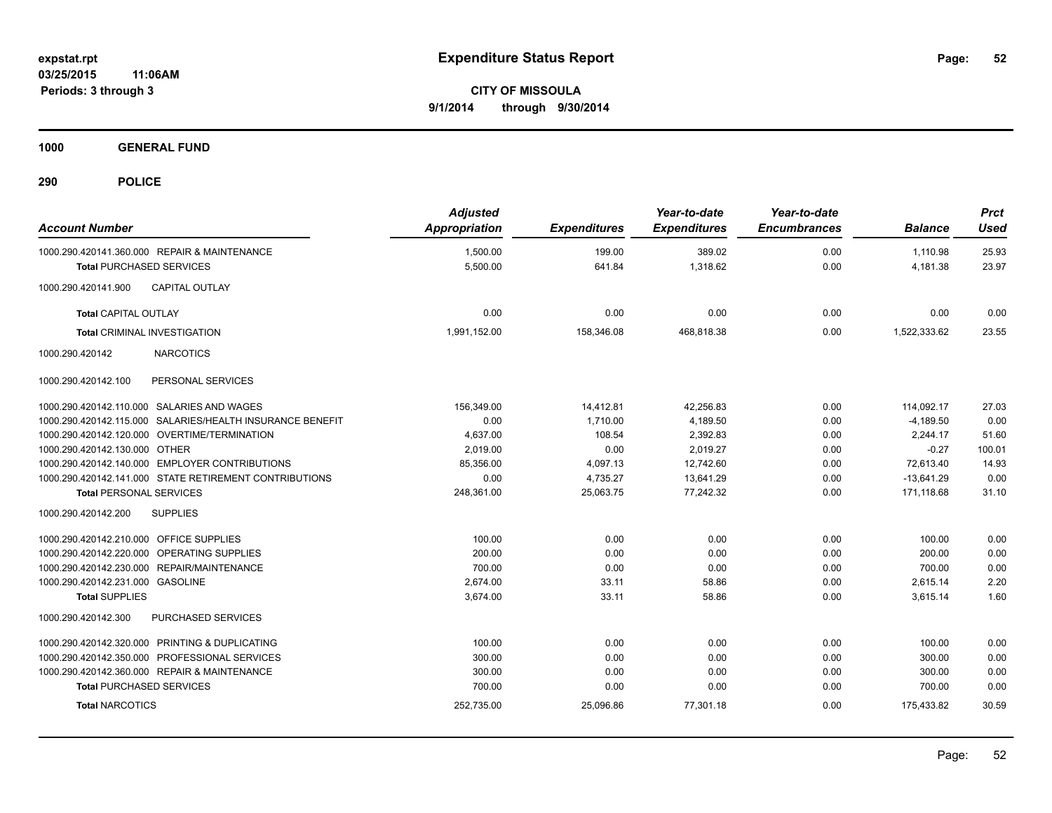**1000 GENERAL FUND**

| <b>Account Number</b>                      |                                                        | <b>Adjusted</b><br>Appropriation | <b>Expenditures</b> | Year-to-date<br><b>Expenditures</b> | Year-to-date<br><b>Encumbrances</b> | <b>Balance</b> | <b>Prct</b><br><b>Used</b> |
|--------------------------------------------|--------------------------------------------------------|----------------------------------|---------------------|-------------------------------------|-------------------------------------|----------------|----------------------------|
|                                            | 1000.290.420141.360.000 REPAIR & MAINTENANCE           | 1,500.00                         | 199.00              | 389.02                              | 0.00                                | 1,110.98       | 25.93                      |
| <b>Total PURCHASED SERVICES</b>            |                                                        | 5,500.00                         | 641.84              | 1,318.62                            | 0.00                                | 4,181.38       | 23.97                      |
| 1000.290.420141.900                        | <b>CAPITAL OUTLAY</b>                                  |                                  |                     |                                     |                                     |                |                            |
| <b>Total CAPITAL OUTLAY</b>                |                                                        | 0.00                             | 0.00                | 0.00                                | 0.00                                | 0.00           | 0.00                       |
| <b>Total CRIMINAL INVESTIGATION</b>        |                                                        | 1,991,152.00                     | 158,346.08          | 468,818.38                          | 0.00                                | 1,522,333.62   | 23.55                      |
| 1000.290.420142                            | <b>NARCOTICS</b>                                       |                                  |                     |                                     |                                     |                |                            |
| 1000.290.420142.100                        | PERSONAL SERVICES                                      |                                  |                     |                                     |                                     |                |                            |
|                                            | 1000.290.420142.110.000 SALARIES AND WAGES             | 156.349.00                       | 14,412.81           | 42.256.83                           | 0.00                                | 114.092.17     | 27.03                      |
| 1000.290.420142.115.000                    | SALARIES/HEALTH INSURANCE BENEFIT                      | 0.00                             | 1,710.00            | 4,189.50                            | 0.00                                | $-4,189.50$    | 0.00                       |
| 1000.290.420142.120.000                    | OVERTIME/TERMINATION                                   | 4,637.00                         | 108.54              | 2,392.83                            | 0.00                                | 2.244.17       | 51.60                      |
| 1000.290.420142.130.000                    | <b>OTHER</b>                                           | 2.019.00                         | 0.00                | 2,019.27                            | 0.00                                | $-0.27$        | 100.01                     |
|                                            | 1000.290.420142.140.000 EMPLOYER CONTRIBUTIONS         | 85,356.00                        | 4,097.13            | 12,742.60                           | 0.00                                | 72.613.40      | 14.93                      |
|                                            | 1000.290.420142.141.000 STATE RETIREMENT CONTRIBUTIONS | 0.00                             | 4,735.27            | 13,641.29                           | 0.00                                | $-13,641.29$   | 0.00                       |
| <b>Total PERSONAL SERVICES</b>             |                                                        | 248,361.00                       | 25,063.75           | 77,242.32                           | 0.00                                | 171,118.68     | 31.10                      |
| 1000.290.420142.200                        | <b>SUPPLIES</b>                                        |                                  |                     |                                     |                                     |                |                            |
| 1000.290.420142.210.000 OFFICE SUPPLIES    |                                                        | 100.00                           | 0.00                | 0.00                                | 0.00                                | 100.00         | 0.00                       |
| 1000.290.420142.220.000 OPERATING SUPPLIES |                                                        | 200.00                           | 0.00                | 0.00                                | 0.00                                | 200.00         | 0.00                       |
|                                            | 1000.290.420142.230.000 REPAIR/MAINTENANCE             | 700.00                           | 0.00                | 0.00                                | 0.00                                | 700.00         | 0.00                       |
| 1000.290.420142.231.000 GASOLINE           |                                                        | 2.674.00                         | 33.11               | 58.86                               | 0.00                                | 2,615.14       | 2.20                       |
| <b>Total SUPPLIES</b>                      |                                                        | 3,674.00                         | 33.11               | 58.86                               | 0.00                                | 3,615.14       | 1.60                       |
| 1000.290.420142.300                        | PURCHASED SERVICES                                     |                                  |                     |                                     |                                     |                |                            |
|                                            | 1000.290.420142.320.000 PRINTING & DUPLICATING         | 100.00                           | 0.00                | 0.00                                | 0.00                                | 100.00         | 0.00                       |
|                                            | 1000.290.420142.350.000 PROFESSIONAL SERVICES          | 300.00                           | 0.00                | 0.00                                | 0.00                                | 300.00         | 0.00                       |
|                                            | 1000.290.420142.360.000 REPAIR & MAINTENANCE           | 300.00                           | 0.00                | 0.00                                | 0.00                                | 300.00         | 0.00                       |
| <b>Total PURCHASED SERVICES</b>            |                                                        | 700.00                           | 0.00                | 0.00                                | 0.00                                | 700.00         | 0.00                       |
| <b>Total NARCOTICS</b>                     |                                                        | 252,735.00                       | 25,096.86           | 77,301.18                           | 0.00                                | 175,433.82     | 30.59                      |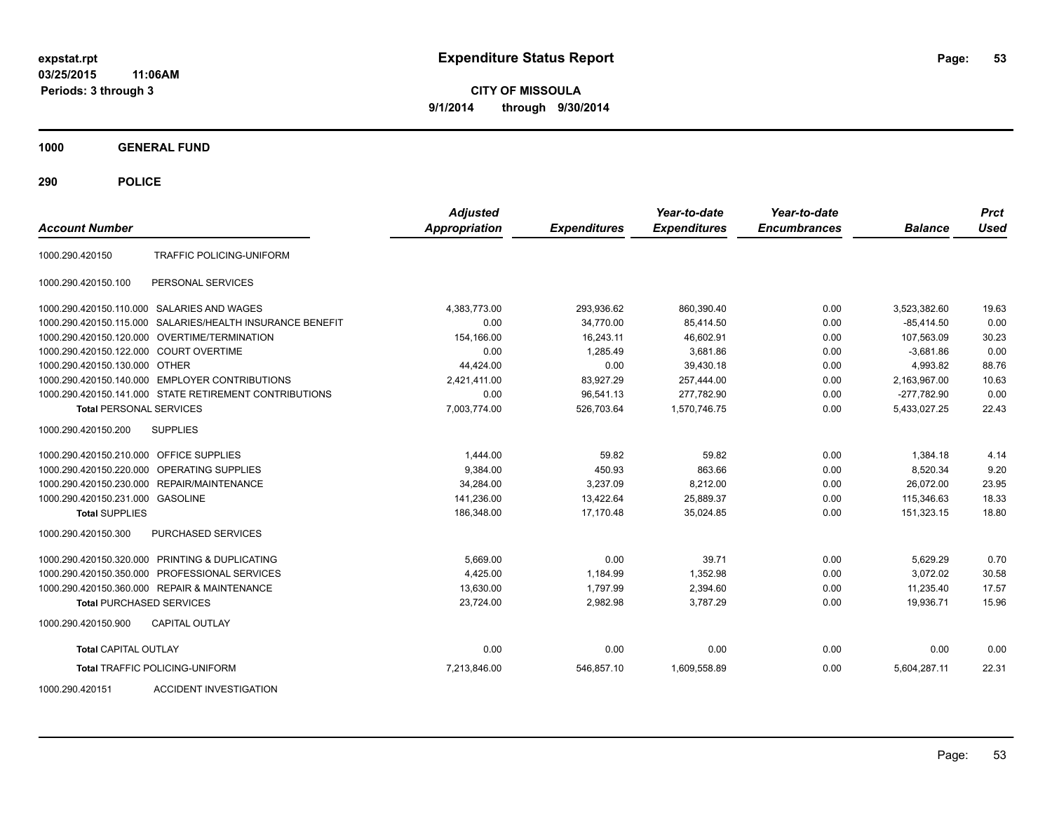**CITY OF MISSOULA 9/1/2014 through 9/30/2014**

**1000 GENERAL FUND**

**290 POLICE**

| <b>Account Number</b>                   |                                                           | <b>Adjusted</b><br><b>Appropriation</b> | <b>Expenditures</b> | Year-to-date<br><b>Expenditures</b> | Year-to-date<br><b>Encumbrances</b> | <b>Balance</b> | <b>Prct</b><br>Used |
|-----------------------------------------|-----------------------------------------------------------|-----------------------------------------|---------------------|-------------------------------------|-------------------------------------|----------------|---------------------|
| 1000.290.420150                         | TRAFFIC POLICING-UNIFORM                                  |                                         |                     |                                     |                                     |                |                     |
| 1000.290.420150.100                     | PERSONAL SERVICES                                         |                                         |                     |                                     |                                     |                |                     |
|                                         | 1000.290.420150.110.000 SALARIES AND WAGES                | 4,383,773.00                            | 293,936.62          | 860,390.40                          | 0.00                                | 3,523,382.60   | 19.63               |
|                                         | 1000.290.420150.115.000 SALARIES/HEALTH INSURANCE BENEFIT | 0.00                                    | 34.770.00           | 85.414.50                           | 0.00                                | $-85,414.50$   | 0.00                |
|                                         | 1000.290.420150.120.000 OVERTIME/TERMINATION              | 154,166.00                              | 16,243.11           | 46,602.91                           | 0.00                                | 107,563.09     | 30.23               |
| 1000.290.420150.122.000 COURT OVERTIME  |                                                           | 0.00                                    | 1.285.49            | 3.681.86                            | 0.00                                | $-3.681.86$    | 0.00                |
| 1000.290.420150.130.000 OTHER           |                                                           | 44.424.00                               | 0.00                | 39,430.18                           | 0.00                                | 4.993.82       | 88.76               |
|                                         | 1000.290.420150.140.000 EMPLOYER CONTRIBUTIONS            | 2,421,411.00                            | 83,927.29           | 257,444.00                          | 0.00                                | 2,163,967.00   | 10.63               |
|                                         | 1000.290.420150.141.000 STATE RETIREMENT CONTRIBUTIONS    | 0.00                                    | 96,541.13           | 277,782.90                          | 0.00                                | $-277,782.90$  | 0.00                |
| <b>Total PERSONAL SERVICES</b>          |                                                           | 7,003,774.00                            | 526,703.64          | 1,570,746.75                        | 0.00                                | 5,433,027.25   | 22.43               |
| 1000.290.420150.200                     | <b>SUPPLIES</b>                                           |                                         |                     |                                     |                                     |                |                     |
| 1000.290.420150.210.000 OFFICE SUPPLIES |                                                           | 1,444.00                                | 59.82               | 59.82                               | 0.00                                | 1,384.18       | 4.14                |
|                                         | 1000.290.420150.220.000 OPERATING SUPPLIES                | 9.384.00                                | 450.93              | 863.66                              | 0.00                                | 8,520.34       | 9.20                |
|                                         | 1000.290.420150.230.000 REPAIR/MAINTENANCE                | 34.284.00                               | 3.237.09            | 8,212.00                            | 0.00                                | 26.072.00      | 23.95               |
| 1000.290.420150.231.000 GASOLINE        |                                                           | 141,236.00                              | 13,422.64           | 25,889.37                           | 0.00                                | 115,346.63     | 18.33               |
| <b>Total SUPPLIES</b>                   |                                                           | 186,348.00                              | 17,170.48           | 35,024.85                           | 0.00                                | 151,323.15     | 18.80               |
| 1000.290.420150.300                     | PURCHASED SERVICES                                        |                                         |                     |                                     |                                     |                |                     |
|                                         | 1000.290.420150.320.000 PRINTING & DUPLICATING            | 5,669.00                                | 0.00                | 39.71                               | 0.00                                | 5,629.29       | 0.70                |
|                                         | 1000.290.420150.350.000 PROFESSIONAL SERVICES             | 4.425.00                                | 1,184.99            | 1,352.98                            | 0.00                                | 3,072.02       | 30.58               |
|                                         | 1000.290.420150.360.000 REPAIR & MAINTENANCE              | 13.630.00                               | 1.797.99            | 2,394.60                            | 0.00                                | 11.235.40      | 17.57               |
| <b>Total PURCHASED SERVICES</b>         |                                                           | 23,724.00                               | 2.982.98            | 3.787.29                            | 0.00                                | 19.936.71      | 15.96               |
| 1000.290.420150.900                     | <b>CAPITAL OUTLAY</b>                                     |                                         |                     |                                     |                                     |                |                     |
| <b>Total CAPITAL OUTLAY</b>             |                                                           | 0.00                                    | 0.00                | 0.00                                | 0.00                                | 0.00           | 0.00                |
|                                         | <b>Total TRAFFIC POLICING-UNIFORM</b>                     | 7,213,846.00                            | 546,857.10          | 1,609,558.89                        | 0.00                                | 5,604,287.11   | 22.31               |
|                                         |                                                           |                                         |                     |                                     |                                     |                |                     |

1000.290.420151 ACCIDENT INVESTIGATION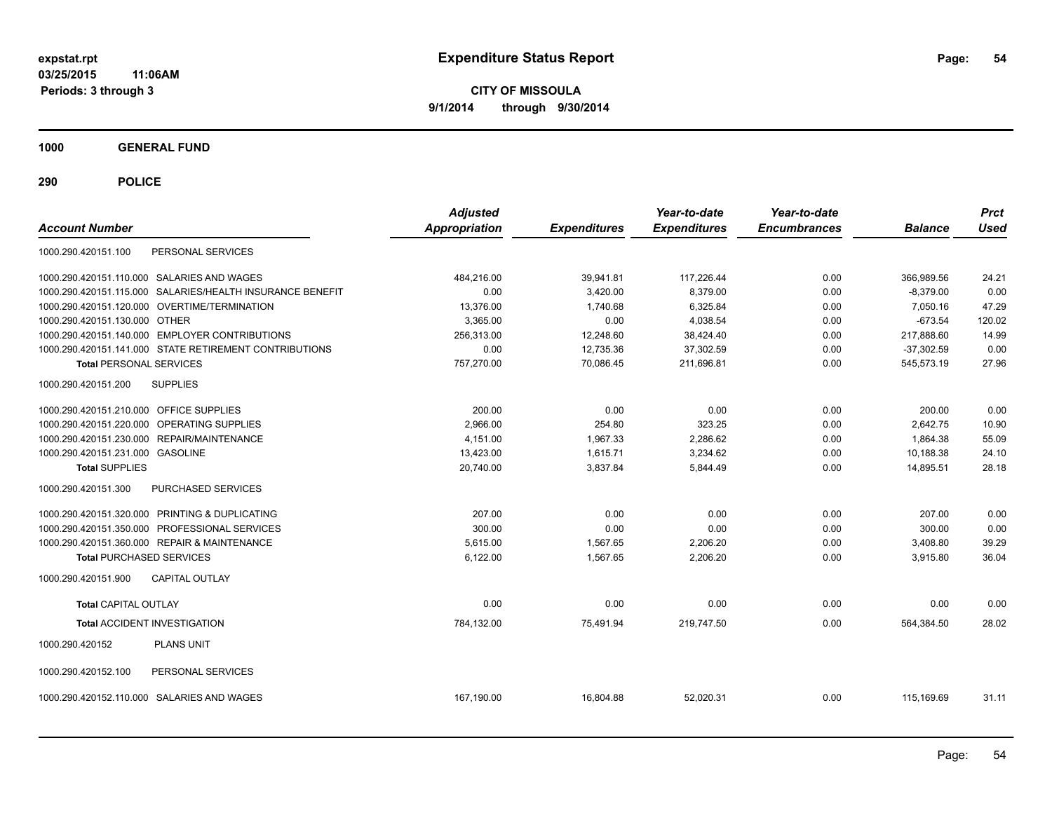**CITY OF MISSOULA 9/1/2014 through 9/30/2014**

**1000 GENERAL FUND**

| <b>Account Number</b>                                     | <b>Adjusted</b><br>Appropriation | <b>Expenditures</b> | Year-to-date<br><b>Expenditures</b> | Year-to-date<br><b>Encumbrances</b> | <b>Balance</b> | <b>Prct</b><br><b>Used</b> |
|-----------------------------------------------------------|----------------------------------|---------------------|-------------------------------------|-------------------------------------|----------------|----------------------------|
| PERSONAL SERVICES<br>1000.290.420151.100                  |                                  |                     |                                     |                                     |                |                            |
| 1000.290.420151.110.000 SALARIES AND WAGES                | 484.216.00                       | 39,941.81           | 117,226.44                          | 0.00                                | 366,989.56     | 24.21                      |
| 1000.290.420151.115.000 SALARIES/HEALTH INSURANCE BENEFIT | 0.00                             | 3,420.00            | 8,379.00                            | 0.00                                | $-8,379.00$    | 0.00                       |
| 1000.290.420151.120.000 OVERTIME/TERMINATION              | 13,376.00                        | 1,740.68            | 6,325.84                            | 0.00                                | 7,050.16       | 47.29                      |
| 1000.290.420151.130.000 OTHER                             | 3.365.00                         | 0.00                | 4,038.54                            | 0.00                                | $-673.54$      | 120.02                     |
| 1000.290.420151.140.000 EMPLOYER CONTRIBUTIONS            | 256,313.00                       | 12,248.60           | 38,424.40                           | 0.00                                | 217,888.60     | 14.99                      |
| 1000.290.420151.141.000 STATE RETIREMENT CONTRIBUTIONS    | 0.00                             | 12,735.36           | 37,302.59                           | 0.00                                | $-37,302.59$   | 0.00                       |
| <b>Total PERSONAL SERVICES</b>                            | 757.270.00                       | 70.086.45           | 211.696.81                          | 0.00                                | 545.573.19     | 27.96                      |
| 1000.290.420151.200<br><b>SUPPLIES</b>                    |                                  |                     |                                     |                                     |                |                            |
| 1000.290.420151.210.000 OFFICE SUPPLIES                   | 200.00                           | 0.00                | 0.00                                | 0.00                                | 200.00         | 0.00                       |
| 1000.290.420151.220.000 OPERATING SUPPLIES                | 2,966.00                         | 254.80              | 323.25                              | 0.00                                | 2.642.75       | 10.90                      |
| 1000.290.420151.230.000 REPAIR/MAINTENANCE                | 4,151.00                         | 1,967.33            | 2,286.62                            | 0.00                                | 1,864.38       | 55.09                      |
| 1000.290.420151.231.000 GASOLINE                          | 13,423.00                        | 1,615.71            | 3,234.62                            | 0.00                                | 10,188.38      | 24.10                      |
| <b>Total SUPPLIES</b>                                     | 20,740.00                        | 3,837.84            | 5,844.49                            | 0.00                                | 14,895.51      | 28.18                      |
| 1000.290.420151.300<br><b>PURCHASED SERVICES</b>          |                                  |                     |                                     |                                     |                |                            |
| 1000.290.420151.320.000 PRINTING & DUPLICATING            | 207.00                           | 0.00                | 0.00                                | 0.00                                | 207.00         | 0.00                       |
| 1000.290.420151.350.000 PROFESSIONAL SERVICES             | 300.00                           | 0.00                | 0.00                                | 0.00                                | 300.00         | 0.00                       |
| 1000.290.420151.360.000 REPAIR & MAINTENANCE              | 5,615.00                         | 1,567.65            | 2,206.20                            | 0.00                                | 3,408.80       | 39.29                      |
| <b>Total PURCHASED SERVICES</b>                           | 6,122.00                         | 1,567.65            | 2,206.20                            | 0.00                                | 3,915.80       | 36.04                      |
| 1000.290.420151.900<br><b>CAPITAL OUTLAY</b>              |                                  |                     |                                     |                                     |                |                            |
| <b>Total CAPITAL OUTLAY</b>                               | 0.00                             | 0.00                | 0.00                                | 0.00                                | 0.00           | 0.00                       |
| <b>Total ACCIDENT INVESTIGATION</b>                       | 784,132.00                       | 75,491.94           | 219,747.50                          | 0.00                                | 564,384.50     | 28.02                      |
| <b>PLANS UNIT</b><br>1000.290.420152                      |                                  |                     |                                     |                                     |                |                            |
| 1000.290.420152.100<br>PERSONAL SERVICES                  |                                  |                     |                                     |                                     |                |                            |
| 1000.290.420152.110.000 SALARIES AND WAGES                | 167,190.00                       | 16,804.88           | 52,020.31                           | 0.00                                | 115,169.69     | 31.11                      |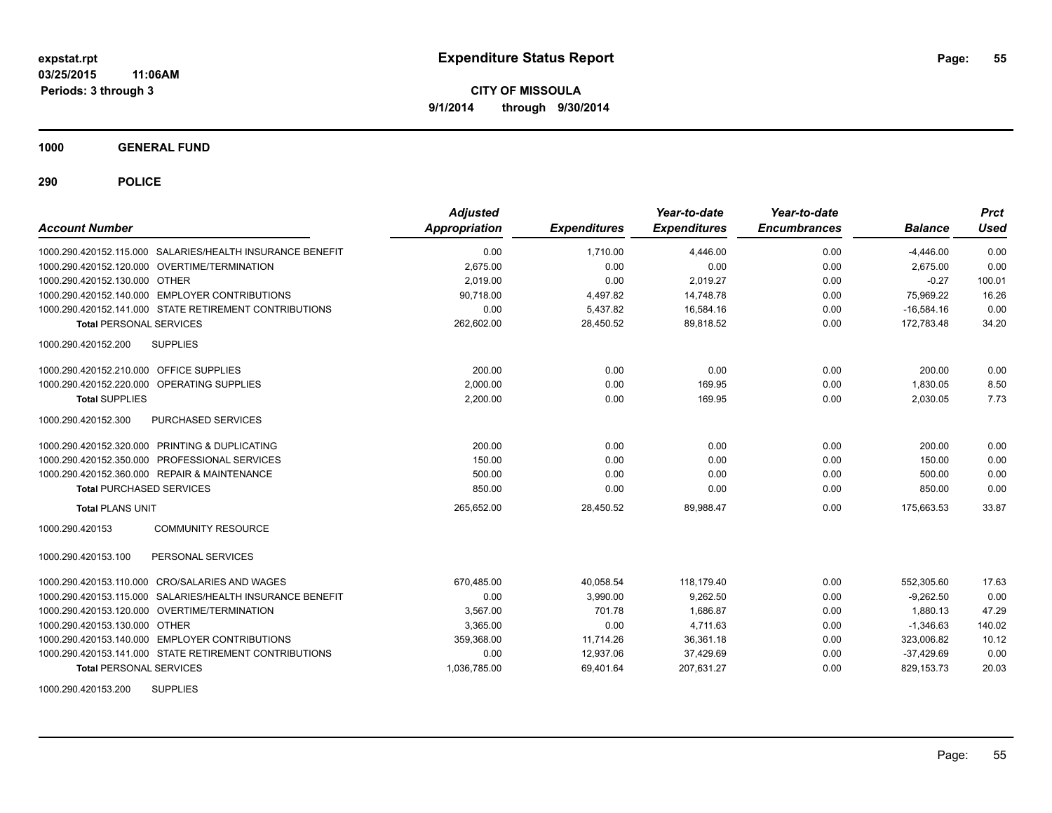**1000 GENERAL FUND**

**290 POLICE**

| <b>Account Number</b>                                     | <b>Adjusted</b><br>Appropriation | <b>Expenditures</b> | Year-to-date<br><b>Expenditures</b> | Year-to-date<br><b>Encumbrances</b> | <b>Balance</b> | <b>Prct</b><br>Used |
|-----------------------------------------------------------|----------------------------------|---------------------|-------------------------------------|-------------------------------------|----------------|---------------------|
| 1000.290.420152.115.000 SALARIES/HEALTH INSURANCE BENEFIT | 0.00                             | 1.710.00            | 4,446.00                            | 0.00                                | $-4,446.00$    | 0.00                |
| 1000.290.420152.120.000 OVERTIME/TERMINATION              | 2,675.00                         | 0.00                | 0.00                                | 0.00                                | 2.675.00       | 0.00                |
| 1000.290.420152.130.000 OTHER                             | 2,019.00                         | 0.00                | 2,019.27                            | 0.00                                | $-0.27$        | 100.01              |
| 1000.290.420152.140.000 EMPLOYER CONTRIBUTIONS            | 90.718.00                        | 4,497.82            | 14,748.78                           | 0.00                                | 75,969.22      | 16.26               |
| 1000.290.420152.141.000 STATE RETIREMENT CONTRIBUTIONS    | 0.00                             | 5,437.82            | 16,584.16                           | 0.00                                | $-16,584.16$   | 0.00                |
| <b>Total PERSONAL SERVICES</b>                            | 262,602.00                       | 28,450.52           | 89,818.52                           | 0.00                                | 172,783.48     | 34.20               |
| 1000.290.420152.200<br><b>SUPPLIES</b>                    |                                  |                     |                                     |                                     |                |                     |
| 1000.290.420152.210.000 OFFICE SUPPLIES                   | 200.00                           | 0.00                | 0.00                                | 0.00                                | 200.00         | 0.00                |
| 1000.290.420152.220.000<br>OPERATING SUPPLIES             | 2,000.00                         | 0.00                | 169.95                              | 0.00                                | 1,830.05       | 8.50                |
| <b>Total SUPPLIES</b>                                     | 2,200.00                         | 0.00                | 169.95                              | 0.00                                | 2,030.05       | 7.73                |
| 1000.290.420152.300<br>PURCHASED SERVICES                 |                                  |                     |                                     |                                     |                |                     |
| 1000.290.420152.320.000 PRINTING & DUPLICATING            | 200.00                           | 0.00                | 0.00                                | 0.00                                | 200.00         | 0.00                |
| 1000.290.420152.350.000 PROFESSIONAL SERVICES             | 150.00                           | 0.00                | 0.00                                | 0.00                                | 150.00         | 0.00                |
| 1000.290.420152.360.000 REPAIR & MAINTENANCE              | 500.00                           | 0.00                | 0.00                                | 0.00                                | 500.00         | 0.00                |
| <b>Total PURCHASED SERVICES</b>                           | 850.00                           | 0.00                | 0.00                                | 0.00                                | 850.00         | 0.00                |
| <b>Total PLANS UNIT</b>                                   | 265,652.00                       | 28,450.52           | 89,988.47                           | 0.00                                | 175,663.53     | 33.87               |
| 1000.290.420153<br><b>COMMUNITY RESOURCE</b>              |                                  |                     |                                     |                                     |                |                     |
| 1000.290.420153.100<br>PERSONAL SERVICES                  |                                  |                     |                                     |                                     |                |                     |
| 1000.290.420153.110.000 CRO/SALARIES AND WAGES            | 670,485.00                       | 40,058.54           | 118,179.40                          | 0.00                                | 552,305.60     | 17.63               |
| 1000.290.420153.115.000 SALARIES/HEALTH INSURANCE BENEFIT | 0.00                             | 3,990.00            | 9,262.50                            | 0.00                                | $-9,262.50$    | 0.00                |
| 1000.290.420153.120.000 OVERTIME/TERMINATION              | 3,567.00                         | 701.78              | 1.686.87                            | 0.00                                | 1.880.13       | 47.29               |
| 1000.290.420153.130.000 OTHER                             | 3.365.00                         | 0.00                | 4.711.63                            | 0.00                                | $-1.346.63$    | 140.02              |
| 1000.290.420153.140.000 EMPLOYER CONTRIBUTIONS            | 359,368.00                       | 11,714.26           | 36,361.18                           | 0.00                                | 323,006.82     | 10.12               |
| 1000.290.420153.141.000 STATE RETIREMENT CONTRIBUTIONS    | 0.00                             | 12,937.06           | 37,429.69                           | 0.00                                | $-37,429.69$   | 0.00                |
| <b>Total PERSONAL SERVICES</b>                            | 1,036,785.00                     | 69,401.64           | 207,631.27                          | 0.00                                | 829, 153. 73   | 20.03               |

1000.290.420153.200 SUPPLIES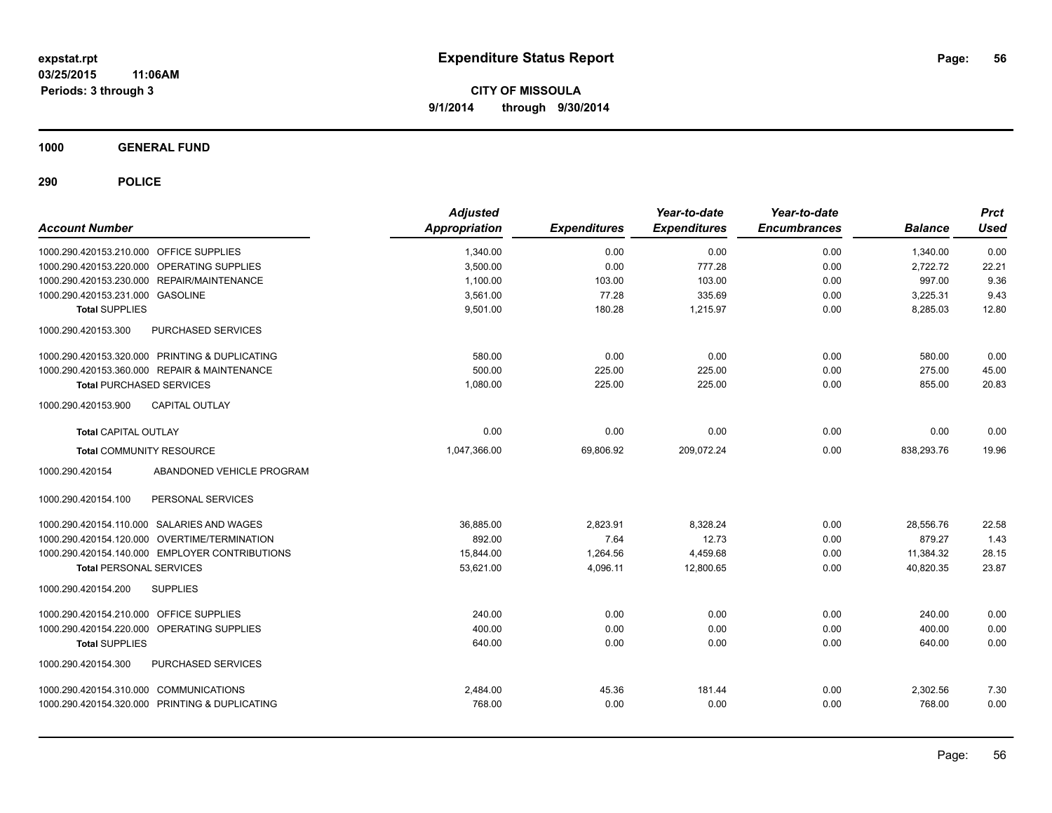**1000 GENERAL FUND**

| <b>Account Number</b>                          |                                                | <b>Adjusted</b><br><b>Appropriation</b> | <b>Expenditures</b> | Year-to-date<br><b>Expenditures</b> | Year-to-date<br><b>Encumbrances</b> | <b>Balance</b> | <b>Prct</b><br><b>Used</b> |
|------------------------------------------------|------------------------------------------------|-----------------------------------------|---------------------|-------------------------------------|-------------------------------------|----------------|----------------------------|
| 1000.290.420153.210.000 OFFICE SUPPLIES        |                                                | 1,340.00                                | 0.00                | 0.00                                | 0.00                                | 1,340.00       | 0.00                       |
| 1000.290.420153.220.000 OPERATING SUPPLIES     |                                                | 3,500.00                                | 0.00                | 777.28                              | 0.00                                | 2,722.72       | 22.21                      |
| 1000.290.420153.230.000 REPAIR/MAINTENANCE     |                                                | 1,100.00                                | 103.00              | 103.00                              | 0.00                                | 997.00         | 9.36                       |
| 1000.290.420153.231.000 GASOLINE               |                                                | 3,561.00                                | 77.28               | 335.69                              | 0.00                                | 3,225.31       | 9.43                       |
| <b>Total SUPPLIES</b>                          |                                                | 9,501.00                                | 180.28              | 1,215.97                            | 0.00                                | 8,285.03       | 12.80                      |
| 1000.290.420153.300                            | <b>PURCHASED SERVICES</b>                      |                                         |                     |                                     |                                     |                |                            |
| 1000.290.420153.320.000 PRINTING & DUPLICATING |                                                | 580.00                                  | 0.00                | 0.00                                | 0.00                                | 580.00         | 0.00                       |
| 1000.290.420153.360.000 REPAIR & MAINTENANCE   |                                                | 500.00                                  | 225.00              | 225.00                              | 0.00                                | 275.00         | 45.00                      |
| <b>Total PURCHASED SERVICES</b>                |                                                | 1,080.00                                | 225.00              | 225.00                              | 0.00                                | 855.00         | 20.83                      |
| 1000.290.420153.900                            | <b>CAPITAL OUTLAY</b>                          |                                         |                     |                                     |                                     |                |                            |
| <b>Total CAPITAL OUTLAY</b>                    |                                                | 0.00                                    | 0.00                | 0.00                                | 0.00                                | 0.00           | 0.00                       |
| <b>Total COMMUNITY RESOURCE</b>                |                                                | 1,047,366.00                            | 69,806.92           | 209,072.24                          | 0.00                                | 838,293.76     | 19.96                      |
| 1000.290.420154                                | ABANDONED VEHICLE PROGRAM                      |                                         |                     |                                     |                                     |                |                            |
| 1000.290.420154.100                            | PERSONAL SERVICES                              |                                         |                     |                                     |                                     |                |                            |
| 1000.290.420154.110.000 SALARIES AND WAGES     |                                                | 36.885.00                               | 2.823.91            | 8,328.24                            | 0.00                                | 28.556.76      | 22.58                      |
| 1000.290.420154.120.000 OVERTIME/TERMINATION   |                                                | 892.00                                  | 7.64                | 12.73                               | 0.00                                | 879.27         | 1.43                       |
|                                                | 1000.290.420154.140.000 EMPLOYER CONTRIBUTIONS | 15.844.00                               | 1,264.56            | 4,459.68                            | 0.00                                | 11.384.32      | 28.15                      |
| <b>Total PERSONAL SERVICES</b>                 |                                                | 53,621.00                               | 4,096.11            | 12,800.65                           | 0.00                                | 40,820.35      | 23.87                      |
| 1000.290.420154.200                            | <b>SUPPLIES</b>                                |                                         |                     |                                     |                                     |                |                            |
| 1000.290.420154.210.000 OFFICE SUPPLIES        |                                                | 240.00                                  | 0.00                | 0.00                                | 0.00                                | 240.00         | 0.00                       |
| 1000.290.420154.220.000 OPERATING SUPPLIES     |                                                | 400.00                                  | 0.00                | 0.00                                | 0.00                                | 400.00         | 0.00                       |
| <b>Total SUPPLIES</b>                          |                                                | 640.00                                  | 0.00                | 0.00                                | 0.00                                | 640.00         | 0.00                       |
| 1000.290.420154.300                            | PURCHASED SERVICES                             |                                         |                     |                                     |                                     |                |                            |
| 1000.290.420154.310.000 COMMUNICATIONS         |                                                | 2,484.00                                | 45.36               | 181.44                              | 0.00                                | 2,302.56       | 7.30                       |
| 1000.290.420154.320.000 PRINTING & DUPLICATING |                                                | 768.00                                  | 0.00                | 0.00                                | 0.00                                | 768.00         | 0.00                       |
|                                                |                                                |                                         |                     |                                     |                                     |                |                            |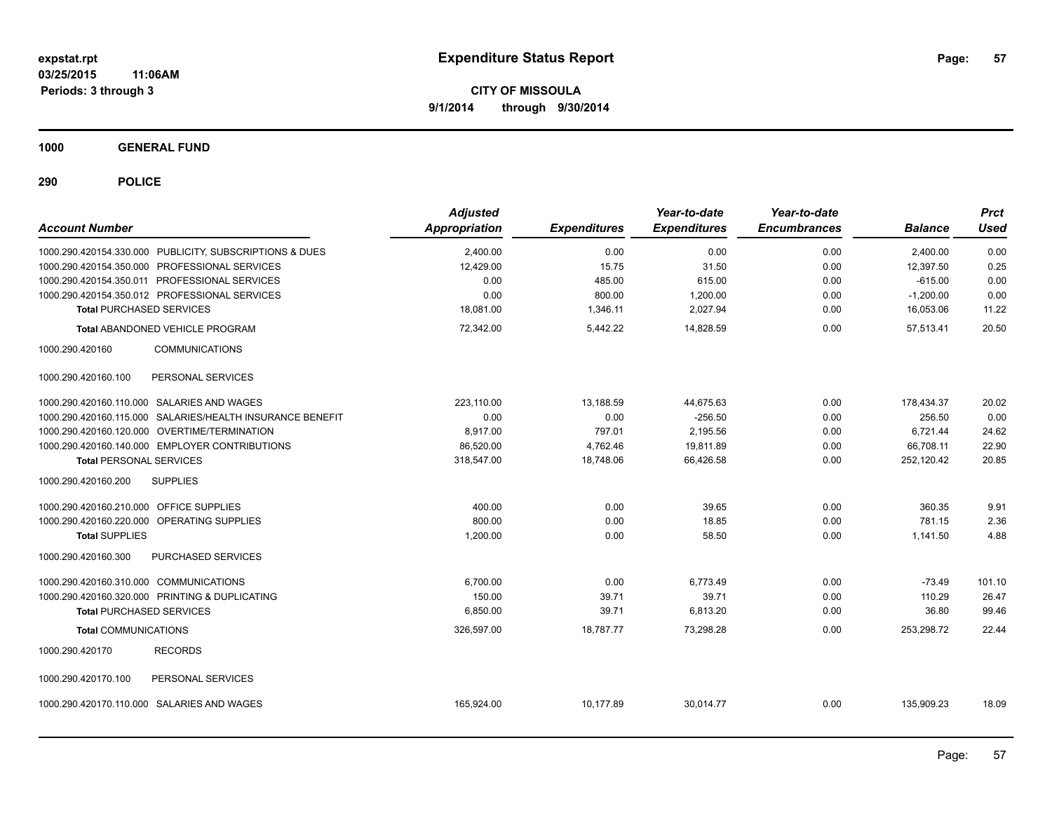**1000 GENERAL FUND**

| <b>Account Number</b>                                     |                       | <b>Adjusted</b><br>Appropriation | <b>Expenditures</b> | Year-to-date<br><b>Expenditures</b> | Year-to-date<br><b>Encumbrances</b> | <b>Balance</b> | <b>Prct</b><br><b>Used</b> |
|-----------------------------------------------------------|-----------------------|----------------------------------|---------------------|-------------------------------------|-------------------------------------|----------------|----------------------------|
| 1000.290.420154.330.000 PUBLICITY, SUBSCRIPTIONS & DUES   |                       | 2,400.00                         | 0.00                | 0.00                                | 0.00                                | 2,400.00       | 0.00                       |
| 1000.290.420154.350.000 PROFESSIONAL SERVICES             |                       | 12,429.00                        | 15.75               | 31.50                               | 0.00                                | 12,397.50      | 0.25                       |
| 1000.290.420154.350.011 PROFESSIONAL SERVICES             |                       | 0.00                             | 485.00              | 615.00                              | 0.00                                | $-615.00$      | 0.00                       |
| 1000.290.420154.350.012 PROFESSIONAL SERVICES             |                       | 0.00                             | 800.00              | 1,200.00                            | 0.00                                | $-1,200.00$    | 0.00                       |
| <b>Total PURCHASED SERVICES</b>                           |                       | 18,081.00                        | 1,346.11            | 2,027.94                            | 0.00                                | 16,053.06      | 11.22                      |
| Total ABANDONED VEHICLE PROGRAM                           |                       | 72,342.00                        | 5,442.22            | 14,828.59                           | 0.00                                | 57,513.41      | 20.50                      |
| 1000.290.420160                                           | <b>COMMUNICATIONS</b> |                                  |                     |                                     |                                     |                |                            |
| 1000.290.420160.100                                       | PERSONAL SERVICES     |                                  |                     |                                     |                                     |                |                            |
| 1000.290.420160.110.000 SALARIES AND WAGES                |                       | 223.110.00                       | 13,188.59           | 44,675.63                           | 0.00                                | 178,434.37     | 20.02                      |
| 1000.290.420160.115.000 SALARIES/HEALTH INSURANCE BENEFIT |                       | 0.00                             | 0.00                | $-256.50$                           | 0.00                                | 256.50         | 0.00                       |
| 1000.290.420160.120.000 OVERTIME/TERMINATION              |                       | 8.917.00                         | 797.01              | 2,195.56                            | 0.00                                | 6,721.44       | 24.62                      |
| 1000.290.420160.140.000 EMPLOYER CONTRIBUTIONS            |                       | 86,520.00                        | 4,762.46            | 19,811.89                           | 0.00                                | 66,708.11      | 22.90                      |
| <b>Total PERSONAL SERVICES</b>                            |                       | 318,547.00                       | 18,748.06           | 66,426.58                           | 0.00                                | 252,120.42     | 20.85                      |
| <b>SUPPLIES</b><br>1000.290.420160.200                    |                       |                                  |                     |                                     |                                     |                |                            |
| 1000.290.420160.210.000 OFFICE SUPPLIES                   |                       | 400.00                           | 0.00                | 39.65                               | 0.00                                | 360.35         | 9.91                       |
| 1000.290.420160.220.000 OPERATING SUPPLIES                |                       | 800.00                           | 0.00                | 18.85                               | 0.00                                | 781.15         | 2.36                       |
| <b>Total SUPPLIES</b>                                     |                       | 1,200.00                         | 0.00                | 58.50                               | 0.00                                | 1,141.50       | 4.88                       |
| 1000.290.420160.300                                       | PURCHASED SERVICES    |                                  |                     |                                     |                                     |                |                            |
| 1000.290.420160.310.000 COMMUNICATIONS                    |                       | 6,700.00                         | 0.00                | 6,773.49                            | 0.00                                | $-73.49$       | 101.10                     |
| 1000.290.420160.320.000 PRINTING & DUPLICATING            |                       | 150.00                           | 39.71               | 39.71                               | 0.00                                | 110.29         | 26.47                      |
| <b>Total PURCHASED SERVICES</b>                           |                       | 6.850.00                         | 39.71               | 6,813.20                            | 0.00                                | 36.80          | 99.46                      |
| <b>Total COMMUNICATIONS</b>                               |                       | 326,597.00                       | 18,787.77           | 73,298.28                           | 0.00                                | 253,298.72     | 22.44                      |
| 1000.290.420170<br><b>RECORDS</b>                         |                       |                                  |                     |                                     |                                     |                |                            |
| 1000.290.420170.100                                       | PERSONAL SERVICES     |                                  |                     |                                     |                                     |                |                            |
| 1000.290.420170.110.000 SALARIES AND WAGES                |                       | 165,924.00                       | 10,177.89           | 30,014.77                           | 0.00                                | 135,909.23     | 18.09                      |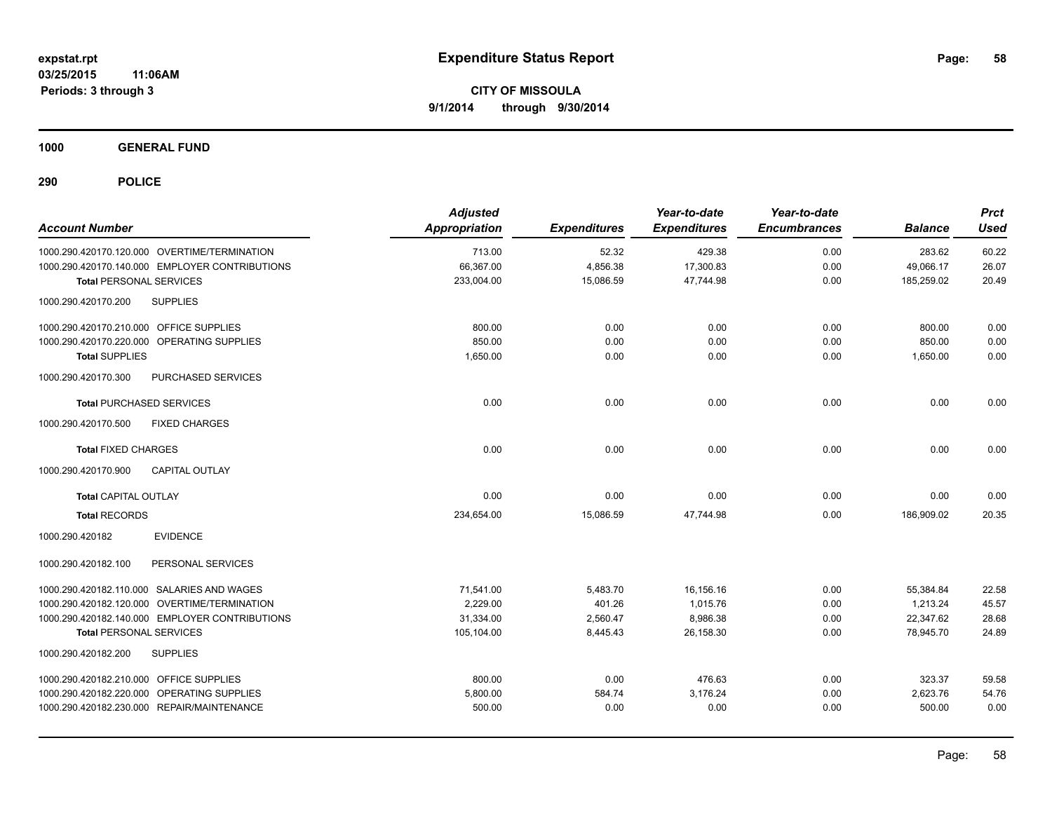**1000 GENERAL FUND**

| <b>Account Number</b>                          | <b>Adjusted</b><br>Appropriation | <b>Expenditures</b> | Year-to-date<br><b>Expenditures</b> | Year-to-date<br><b>Encumbrances</b> | <b>Balance</b> | <b>Prct</b><br><b>Used</b> |
|------------------------------------------------|----------------------------------|---------------------|-------------------------------------|-------------------------------------|----------------|----------------------------|
| 1000.290.420170.120.000 OVERTIME/TERMINATION   | 713.00                           | 52.32               | 429.38                              | 0.00                                | 283.62         | 60.22                      |
| 1000.290.420170.140.000 EMPLOYER CONTRIBUTIONS | 66,367.00                        | 4,856.38            | 17,300.83                           | 0.00                                | 49,066.17      | 26.07                      |
| <b>Total PERSONAL SERVICES</b>                 | 233,004.00                       | 15,086.59           | 47,744.98                           | 0.00                                | 185,259.02     | 20.49                      |
| <b>SUPPLIES</b><br>1000.290.420170.200         |                                  |                     |                                     |                                     |                |                            |
| 1000.290.420170.210.000 OFFICE SUPPLIES        | 800.00                           | 0.00                | 0.00                                | 0.00                                | 800.00         | 0.00                       |
| 1000.290.420170.220.000 OPERATING SUPPLIES     | 850.00                           | 0.00                | 0.00                                | 0.00                                | 850.00         | 0.00                       |
| <b>Total SUPPLIES</b>                          | 1,650.00                         | 0.00                | 0.00                                | 0.00                                | 1,650.00       | 0.00                       |
| PURCHASED SERVICES<br>1000.290.420170.300      |                                  |                     |                                     |                                     |                |                            |
| <b>Total PURCHASED SERVICES</b>                | 0.00                             | 0.00                | 0.00                                | 0.00                                | 0.00           | 0.00                       |
| 1000.290.420170.500<br><b>FIXED CHARGES</b>    |                                  |                     |                                     |                                     |                |                            |
| <b>Total FIXED CHARGES</b>                     | 0.00                             | 0.00                | 0.00                                | 0.00                                | 0.00           | 0.00                       |
| <b>CAPITAL OUTLAY</b><br>1000.290.420170.900   |                                  |                     |                                     |                                     |                |                            |
| <b>Total CAPITAL OUTLAY</b>                    | 0.00                             | 0.00                | 0.00                                | 0.00                                | 0.00           | 0.00                       |
| <b>Total RECORDS</b>                           | 234,654.00                       | 15,086.59           | 47.744.98                           | 0.00                                | 186.909.02     | 20.35                      |
| <b>EVIDENCE</b><br>1000.290.420182             |                                  |                     |                                     |                                     |                |                            |
| PERSONAL SERVICES<br>1000.290.420182.100       |                                  |                     |                                     |                                     |                |                            |
| 1000.290.420182.110.000 SALARIES AND WAGES     | 71,541.00                        | 5,483.70            | 16,156.16                           | 0.00                                | 55,384.84      | 22.58                      |
| 1000.290.420182.120.000 OVERTIME/TERMINATION   | 2,229.00                         | 401.26              | 1,015.76                            | 0.00                                | 1,213.24       | 45.57                      |
| 1000.290.420182.140.000 EMPLOYER CONTRIBUTIONS | 31,334.00                        | 2,560.47            | 8,986.38                            | 0.00                                | 22,347.62      | 28.68                      |
| <b>Total PERSONAL SERVICES</b>                 | 105,104.00                       | 8,445.43            | 26,158.30                           | 0.00                                | 78,945.70      | 24.89                      |
| 1000.290.420182.200<br><b>SUPPLIES</b>         |                                  |                     |                                     |                                     |                |                            |
| 1000.290.420182.210.000 OFFICE SUPPLIES        | 800.00                           | 0.00                | 476.63                              | 0.00                                | 323.37         | 59.58                      |
| 1000.290.420182.220.000 OPERATING SUPPLIES     | 5,800.00                         | 584.74              | 3,176.24                            | 0.00                                | 2,623.76       | 54.76                      |
| 1000.290.420182.230.000 REPAIR/MAINTENANCE     | 500.00                           | 0.00                | 0.00                                | 0.00                                | 500.00         | 0.00                       |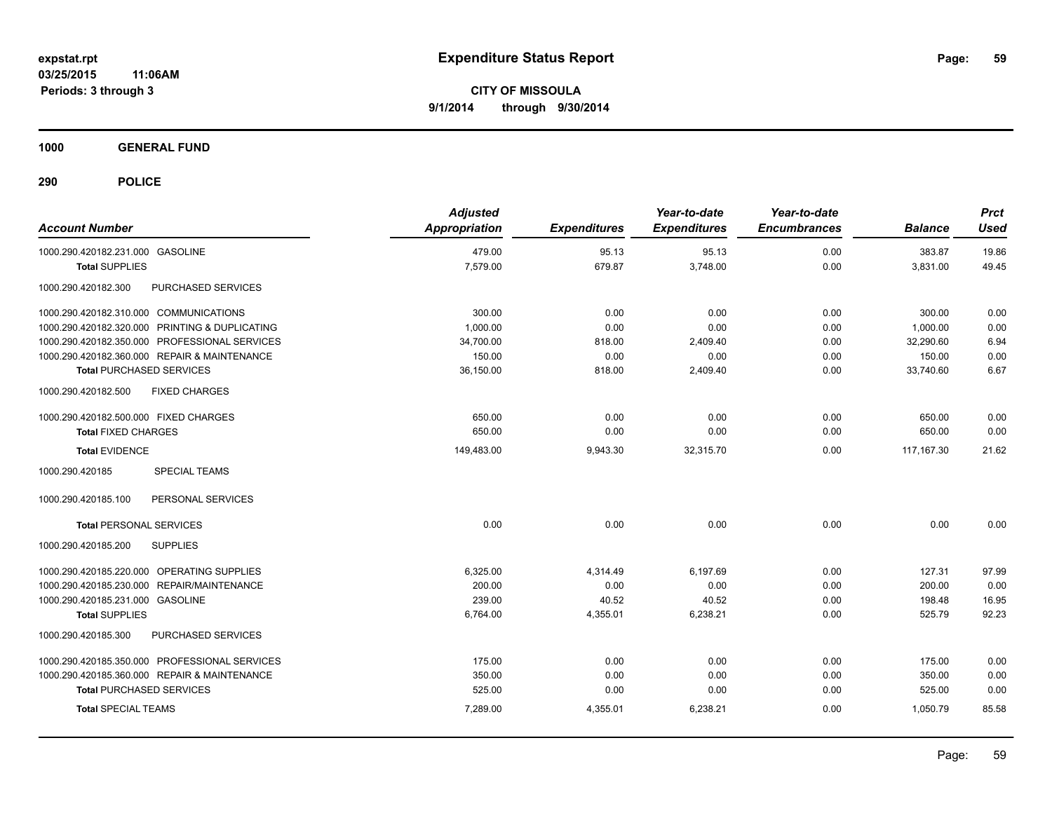**1000 GENERAL FUND**

| <b>Account Number</b>                                | <b>Adjusted</b><br><b>Appropriation</b> | <b>Expenditures</b> | Year-to-date<br><b>Expenditures</b> | Year-to-date<br><b>Encumbrances</b> | <b>Balance</b> | <b>Prct</b><br><b>Used</b> |
|------------------------------------------------------|-----------------------------------------|---------------------|-------------------------------------|-------------------------------------|----------------|----------------------------|
| 1000.290.420182.231.000 GASOLINE                     | 479.00                                  | 95.13               | 95.13                               | 0.00                                | 383.87         | 19.86                      |
| <b>Total SUPPLIES</b>                                | 7,579.00                                | 679.87              | 3,748.00                            | 0.00                                | 3,831.00       | 49.45                      |
| PURCHASED SERVICES<br>1000.290.420182.300            |                                         |                     |                                     |                                     |                |                            |
| 1000.290.420182.310.000 COMMUNICATIONS               | 300.00                                  | 0.00                | 0.00                                | 0.00                                | 300.00         | 0.00                       |
| 1000.290.420182.320.000 PRINTING & DUPLICATING       | 1,000.00                                | 0.00                | 0.00                                | 0.00                                | 1.000.00       | 0.00                       |
| 1000.290.420182.350.000 PROFESSIONAL SERVICES        | 34,700.00                               | 818.00              | 2,409.40                            | 0.00                                | 32,290.60      | 6.94                       |
| 1000.290.420182.360.000 REPAIR & MAINTENANCE         | 150.00                                  | 0.00                | 0.00                                | 0.00                                | 150.00         | 0.00                       |
| <b>Total PURCHASED SERVICES</b>                      | 36,150.00                               | 818.00              | 2,409.40                            | 0.00                                | 33,740.60      | 6.67                       |
| 1000.290.420182.500<br><b>FIXED CHARGES</b>          |                                         |                     |                                     |                                     |                |                            |
| 1000.290.420182.500.000 FIXED CHARGES                | 650.00                                  | 0.00                | 0.00                                | 0.00                                | 650.00         | 0.00                       |
| <b>Total FIXED CHARGES</b>                           | 650.00                                  | 0.00                | 0.00                                | 0.00                                | 650.00         | 0.00                       |
| <b>Total EVIDENCE</b>                                | 149,483.00                              | 9,943.30            | 32,315.70                           | 0.00                                | 117, 167.30    | 21.62                      |
| <b>SPECIAL TEAMS</b><br>1000.290.420185              |                                         |                     |                                     |                                     |                |                            |
| 1000.290.420185.100<br>PERSONAL SERVICES             |                                         |                     |                                     |                                     |                |                            |
| <b>Total PERSONAL SERVICES</b>                       | 0.00                                    | 0.00                | 0.00                                | 0.00                                | 0.00           | 0.00                       |
| 1000.290.420185.200<br><b>SUPPLIES</b>               |                                         |                     |                                     |                                     |                |                            |
| 1000.290.420185.220.000 OPERATING SUPPLIES           | 6,325.00                                | 4,314.49            | 6,197.69                            | 0.00                                | 127.31         | 97.99                      |
| <b>REPAIR/MAINTENANCE</b><br>1000.290.420185.230.000 | 200.00                                  | 0.00                | 0.00                                | 0.00                                | 200.00         | 0.00                       |
| 1000.290.420185.231.000 GASOLINE                     | 239.00                                  | 40.52               | 40.52                               | 0.00                                | 198.48         | 16.95                      |
| <b>Total SUPPLIES</b>                                | 6,764.00                                | 4,355.01            | 6,238.21                            | 0.00                                | 525.79         | 92.23                      |
| 1000.290.420185.300<br>PURCHASED SERVICES            |                                         |                     |                                     |                                     |                |                            |
| 1000.290.420185.350.000 PROFESSIONAL SERVICES        | 175.00                                  | 0.00                | 0.00                                | 0.00                                | 175.00         | 0.00                       |
| 1000.290.420185.360.000 REPAIR & MAINTENANCE         | 350.00                                  | 0.00                | 0.00                                | 0.00                                | 350.00         | 0.00                       |
| <b>Total PURCHASED SERVICES</b>                      | 525.00                                  | 0.00                | 0.00                                | 0.00                                | 525.00         | 0.00                       |
| <b>Total SPECIAL TEAMS</b>                           | 7,289.00                                | 4,355.01            | 6,238.21                            | 0.00                                | 1,050.79       | 85.58                      |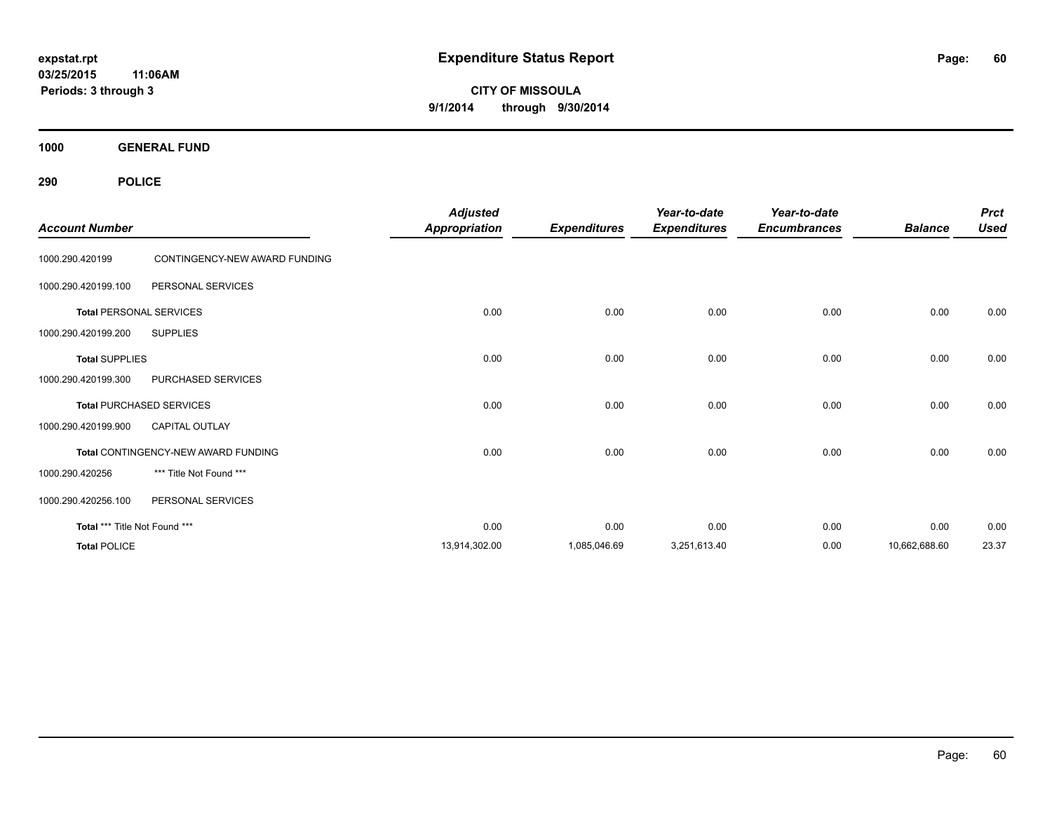**CITY OF MISSOULA 9/1/2014 through 9/30/2014**

**1000 GENERAL FUND**

| <b>Account Number</b>         |                                     | <b>Adjusted</b><br><b>Appropriation</b> | <b>Expenditures</b> | Year-to-date<br><b>Expenditures</b> | Year-to-date<br><b>Encumbrances</b> | <b>Balance</b> | <b>Prct</b><br><b>Used</b> |
|-------------------------------|-------------------------------------|-----------------------------------------|---------------------|-------------------------------------|-------------------------------------|----------------|----------------------------|
| 1000.290.420199               | CONTINGENCY-NEW AWARD FUNDING       |                                         |                     |                                     |                                     |                |                            |
| 1000.290.420199.100           | PERSONAL SERVICES                   |                                         |                     |                                     |                                     |                |                            |
|                               | <b>Total PERSONAL SERVICES</b>      | 0.00                                    | 0.00                | 0.00                                | 0.00                                | 0.00           | 0.00                       |
| 1000.290.420199.200           | <b>SUPPLIES</b>                     |                                         |                     |                                     |                                     |                |                            |
| <b>Total SUPPLIES</b>         |                                     | 0.00                                    | 0.00                | 0.00                                | 0.00                                | 0.00           | 0.00                       |
| 1000.290.420199.300           | PURCHASED SERVICES                  |                                         |                     |                                     |                                     |                |                            |
|                               | <b>Total PURCHASED SERVICES</b>     | 0.00                                    | 0.00                | 0.00                                | 0.00                                | 0.00           | 0.00                       |
| 1000.290.420199.900           | <b>CAPITAL OUTLAY</b>               |                                         |                     |                                     |                                     |                |                            |
|                               | Total CONTINGENCY-NEW AWARD FUNDING | 0.00                                    | 0.00                | 0.00                                | 0.00                                | 0.00           | 0.00                       |
| 1000.290.420256               | *** Title Not Found ***             |                                         |                     |                                     |                                     |                |                            |
| 1000.290.420256.100           | PERSONAL SERVICES                   |                                         |                     |                                     |                                     |                |                            |
| Total *** Title Not Found *** |                                     | 0.00                                    | 0.00                | 0.00                                | 0.00                                | 0.00           | 0.00                       |
| <b>Total POLICE</b>           |                                     | 13,914,302.00                           | 1,085,046.69        | 3,251,613.40                        | 0.00                                | 10,662,688.60  | 23.37                      |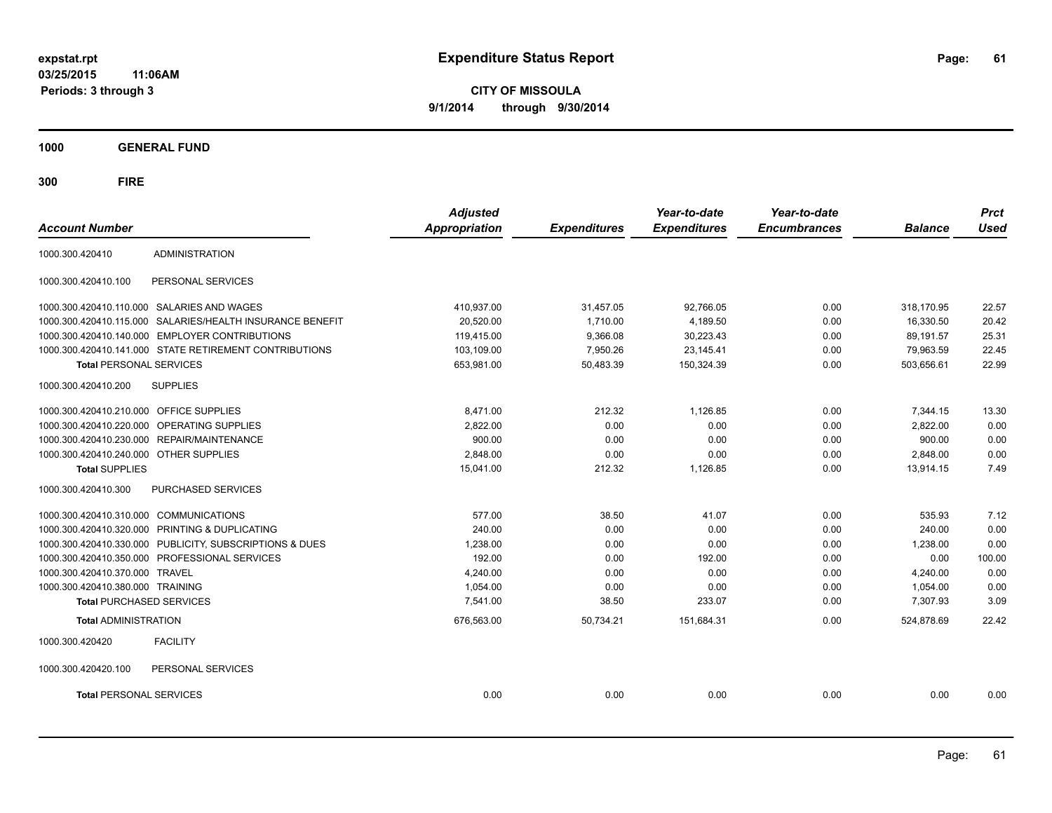**CITY OF MISSOULA 9/1/2014 through 9/30/2014**

**1000 GENERAL FUND**

| <b>Account Number</b>                   |                                                           | <b>Adjusted</b><br><b>Appropriation</b> | <b>Expenditures</b> | Year-to-date<br><b>Expenditures</b> | Year-to-date<br><b>Encumbrances</b> | <b>Balance</b> | <b>Prct</b><br><b>Used</b> |
|-----------------------------------------|-----------------------------------------------------------|-----------------------------------------|---------------------|-------------------------------------|-------------------------------------|----------------|----------------------------|
|                                         |                                                           |                                         |                     |                                     |                                     |                |                            |
| 1000.300.420410                         | <b>ADMINISTRATION</b>                                     |                                         |                     |                                     |                                     |                |                            |
| 1000.300.420410.100                     | PERSONAL SERVICES                                         |                                         |                     |                                     |                                     |                |                            |
|                                         | 1000.300.420410.110.000 SALARIES AND WAGES                | 410.937.00                              | 31,457.05           | 92.766.05                           | 0.00                                | 318.170.95     | 22.57                      |
|                                         | 1000.300.420410.115.000 SALARIES/HEALTH INSURANCE BENEFIT | 20.520.00                               | 1.710.00            | 4,189.50                            | 0.00                                | 16.330.50      | 20.42                      |
| 1000.300.420410.140.000                 | <b>EMPLOYER CONTRIBUTIONS</b>                             | 119,415.00                              | 9,366.08            | 30,223.43                           | 0.00                                | 89,191.57      | 25.31                      |
|                                         | 1000.300.420410.141.000 STATE RETIREMENT CONTRIBUTIONS    | 103,109.00                              | 7,950.26            | 23,145.41                           | 0.00                                | 79,963.59      | 22.45                      |
| <b>Total PERSONAL SERVICES</b>          |                                                           | 653,981.00                              | 50,483.39           | 150,324.39                          | 0.00                                | 503,656.61     | 22.99                      |
| 1000.300.420410.200                     | <b>SUPPLIES</b>                                           |                                         |                     |                                     |                                     |                |                            |
| 1000.300.420410.210.000 OFFICE SUPPLIES |                                                           | 8,471.00                                | 212.32              | 1,126.85                            | 0.00                                | 7,344.15       | 13.30                      |
| 1000.300.420410.220.000                 | OPERATING SUPPLIES                                        | 2,822.00                                | 0.00                | 0.00                                | 0.00                                | 2,822.00       | 0.00                       |
|                                         | 1000.300.420410.230.000 REPAIR/MAINTENANCE                | 900.00                                  | 0.00                | 0.00                                | 0.00                                | 900.00         | 0.00                       |
| 1000.300.420410.240.000 OTHER SUPPLIES  |                                                           | 2,848.00                                | 0.00                | 0.00                                | 0.00                                | 2,848.00       | 0.00                       |
| <b>Total SUPPLIES</b>                   |                                                           | 15,041.00                               | 212.32              | 1,126.85                            | 0.00                                | 13,914.15      | 7.49                       |
| 1000.300.420410.300                     | PURCHASED SERVICES                                        |                                         |                     |                                     |                                     |                |                            |
| 1000.300.420410.310.000 COMMUNICATIONS  |                                                           | 577.00                                  | 38.50               | 41.07                               | 0.00                                | 535.93         | 7.12                       |
|                                         | 1000.300.420410.320.000 PRINTING & DUPLICATING            | 240.00                                  | 0.00                | 0.00                                | 0.00                                | 240.00         | 0.00                       |
|                                         | 1000.300.420410.330.000 PUBLICITY, SUBSCRIPTIONS & DUES   | 1,238.00                                | 0.00                | 0.00                                | 0.00                                | 1,238.00       | 0.00                       |
|                                         | 1000.300.420410.350.000 PROFESSIONAL SERVICES             | 192.00                                  | 0.00                | 192.00                              | 0.00                                | 0.00           | 100.00                     |
| 1000.300.420410.370.000                 | <b>TRAVEL</b>                                             | 4,240.00                                | 0.00                | 0.00                                | 0.00                                | 4,240.00       | 0.00                       |
| 1000.300.420410.380.000 TRAINING        |                                                           | 1,054.00                                | 0.00                | 0.00                                | 0.00                                | 1,054.00       | 0.00                       |
| <b>Total PURCHASED SERVICES</b>         |                                                           | 7,541.00                                | 38.50               | 233.07                              | 0.00                                | 7,307.93       | 3.09                       |
| <b>Total ADMINISTRATION</b>             |                                                           | 676,563.00                              | 50,734.21           | 151,684.31                          | 0.00                                | 524,878.69     | 22.42                      |
| 1000.300.420420                         | <b>FACILITY</b>                                           |                                         |                     |                                     |                                     |                |                            |
| 1000.300.420420.100                     | PERSONAL SERVICES                                         |                                         |                     |                                     |                                     |                |                            |
| <b>Total PERSONAL SERVICES</b>          |                                                           | 0.00                                    | 0.00                | 0.00                                | 0.00                                | 0.00           | 0.00                       |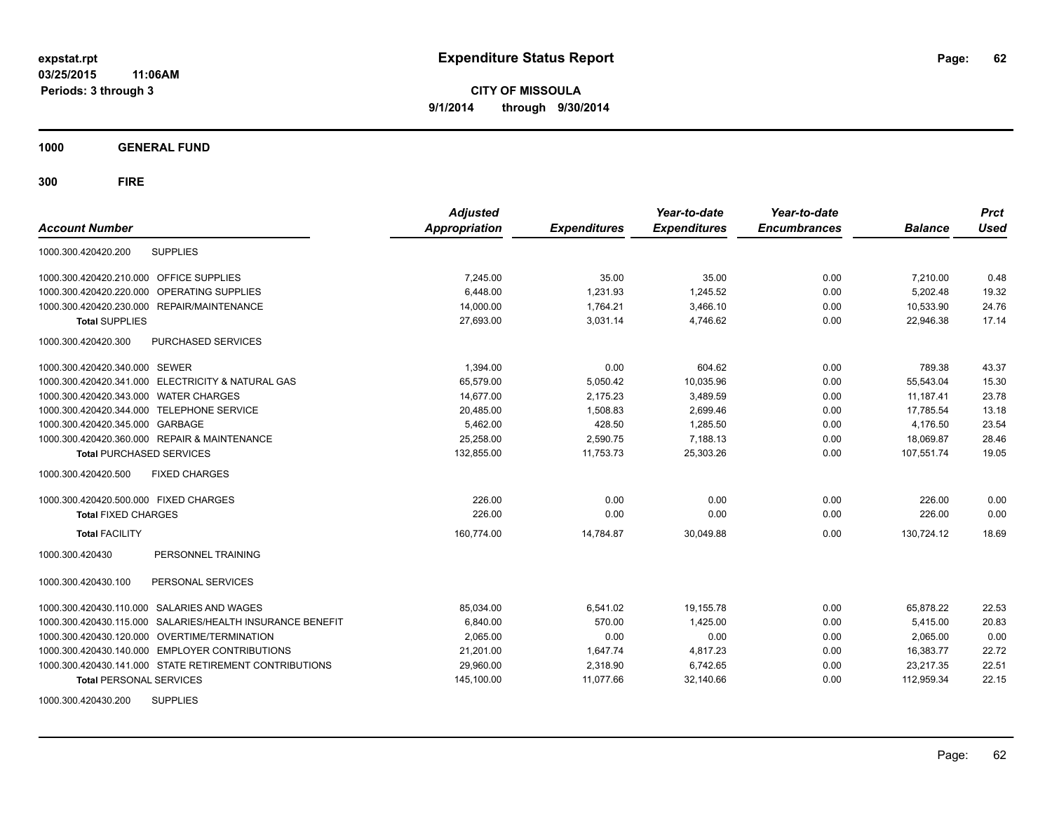**CITY OF MISSOULA 9/1/2014 through 9/30/2014**

**1000 GENERAL FUND**

| <b>Account Number</b>                             |                                                        | <b>Adjusted</b><br><b>Appropriation</b> | <b>Expenditures</b> | Year-to-date<br><b>Expenditures</b> | Year-to-date<br><b>Encumbrances</b> | <b>Balance</b> | <b>Prct</b><br><b>Used</b> |
|---------------------------------------------------|--------------------------------------------------------|-----------------------------------------|---------------------|-------------------------------------|-------------------------------------|----------------|----------------------------|
| 1000.300.420420.200                               | <b>SUPPLIES</b>                                        |                                         |                     |                                     |                                     |                |                            |
| 1000.300.420420.210.000 OFFICE SUPPLIES           |                                                        | 7,245.00                                | 35.00               | 35.00                               | 0.00                                | 7,210.00       | 0.48                       |
| 1000.300.420420.220.000                           | OPERATING SUPPLIES                                     | 6.448.00                                | 1.231.93            | 1,245.52                            | 0.00                                | 5.202.48       | 19.32                      |
| 1000.300.420420.230.000 REPAIR/MAINTENANCE        |                                                        | 14,000.00                               | 1,764.21            | 3,466.10                            | 0.00                                | 10,533.90      | 24.76                      |
| <b>Total SUPPLIES</b>                             |                                                        | 27,693.00                               | 3,031.14            | 4,746.62                            | 0.00                                | 22,946.38      | 17.14                      |
| 1000.300.420420.300                               | <b>PURCHASED SERVICES</b>                              |                                         |                     |                                     |                                     |                |                            |
| 1000.300.420420.340.000 SEWER                     |                                                        | 1,394.00                                | 0.00                | 604.62                              | 0.00                                | 789.38         | 43.37                      |
| 1000.300.420420.341.000 ELECTRICITY & NATURAL GAS |                                                        | 65,579.00                               | 5,050.42            | 10,035.96                           | 0.00                                | 55,543.04      | 15.30                      |
| 1000.300.420420.343.000 WATER CHARGES             |                                                        | 14.677.00                               | 2.175.23            | 3.489.59                            | 0.00                                | 11.187.41      | 23.78                      |
| 1000.300.420420.344.000 TELEPHONE SERVICE         |                                                        | 20,485.00                               | 1,508.83            | 2,699.46                            | 0.00                                | 17,785.54      | 13.18                      |
| 1000.300.420420.345.000 GARBAGE                   |                                                        | 5,462.00                                | 428.50              | 1,285.50                            | 0.00                                | 4,176.50       | 23.54                      |
| 1000.300.420420.360.000 REPAIR & MAINTENANCE      |                                                        | 25,258.00                               | 2,590.75            | 7,188.13                            | 0.00                                | 18,069.87      | 28.46                      |
| <b>Total PURCHASED SERVICES</b>                   |                                                        | 132,855.00                              | 11,753.73           | 25,303.26                           | 0.00                                | 107,551.74     | 19.05                      |
| 1000.300.420420.500                               | <b>FIXED CHARGES</b>                                   |                                         |                     |                                     |                                     |                |                            |
| 1000.300.420420.500.000 FIXED CHARGES             |                                                        | 226.00                                  | 0.00                | 0.00                                | 0.00                                | 226.00         | 0.00                       |
| <b>Total FIXED CHARGES</b>                        |                                                        | 226.00                                  | 0.00                | 0.00                                | 0.00                                | 226.00         | 0.00                       |
| <b>Total FACILITY</b>                             |                                                        | 160,774.00                              | 14,784.87           | 30,049.88                           | 0.00                                | 130.724.12     | 18.69                      |
| 1000.300.420430                                   | PERSONNEL TRAINING                                     |                                         |                     |                                     |                                     |                |                            |
| 1000.300.420430.100                               | PERSONAL SERVICES                                      |                                         |                     |                                     |                                     |                |                            |
| 1000.300.420430.110.000                           | SALARIES AND WAGES                                     | 85,034.00                               | 6,541.02            | 19,155.78                           | 0.00                                | 65,878.22      | 22.53                      |
| 1000.300.420430.115.000                           | SALARIES/HEALTH INSURANCE BENEFIT                      | 6,840.00                                | 570.00              | 1,425.00                            | 0.00                                | 5,415.00       | 20.83                      |
| 1000.300.420430.120.000 OVERTIME/TERMINATION      |                                                        | 2,065.00                                | 0.00                | 0.00                                | 0.00                                | 2,065.00       | 0.00                       |
| 1000.300.420430.140.000 EMPLOYER CONTRIBUTIONS    |                                                        | 21,201.00                               | 1,647.74            | 4,817.23                            | 0.00                                | 16,383.77      | 22.72                      |
|                                                   | 1000.300.420430.141.000 STATE RETIREMENT CONTRIBUTIONS | 29,960.00                               | 2,318.90            | 6,742.65                            | 0.00                                | 23,217.35      | 22.51                      |
| <b>Total PERSONAL SERVICES</b>                    |                                                        | 145,100.00                              | 11,077.66           | 32,140.66                           | 0.00                                | 112,959.34     | 22.15                      |
| 1000.300.420430.200                               | <b>SUPPLIES</b>                                        |                                         |                     |                                     |                                     |                |                            |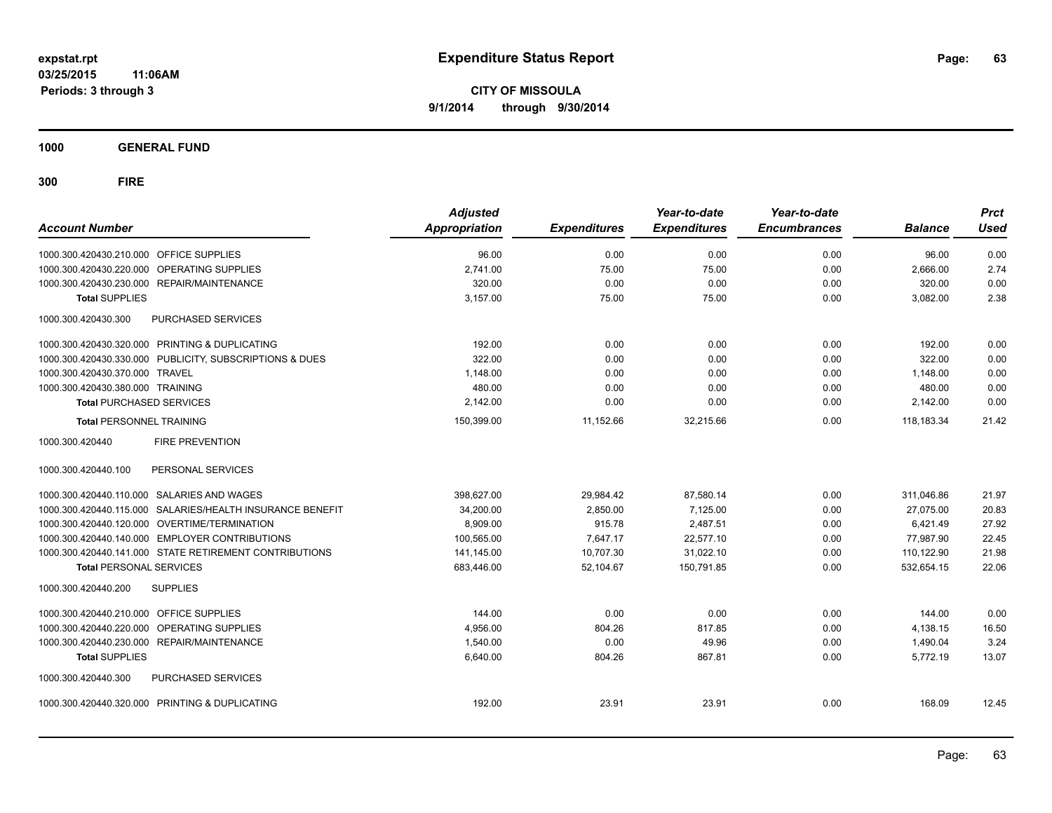**Periods: 3 through 3**

**CITY OF MISSOULA 9/1/2014 through 9/30/2014**

**1000 GENERAL FUND**

| <b>Account Number</b>                                     | <b>Adjusted</b><br><b>Appropriation</b> | <b>Expenditures</b> | Year-to-date<br><b>Expenditures</b> | Year-to-date<br><b>Encumbrances</b> | <b>Balance</b> | <b>Prct</b><br><b>Used</b> |
|-----------------------------------------------------------|-----------------------------------------|---------------------|-------------------------------------|-------------------------------------|----------------|----------------------------|
| 1000.300.420430.210.000 OFFICE SUPPLIES                   | 96.00                                   | 0.00                | 0.00                                | 0.00                                | 96.00          | 0.00                       |
| 1000.300.420430.220.000 OPERATING SUPPLIES                | 2.741.00                                | 75.00               | 75.00                               | 0.00                                | 2.666.00       | 2.74                       |
| 1000.300.420430.230.000 REPAIR/MAINTENANCE                | 320.00                                  | 0.00                | 0.00                                | 0.00                                | 320.00         | 0.00                       |
| <b>Total SUPPLIES</b>                                     | 3.157.00                                | 75.00               | 75.00                               | 0.00                                | 3,082.00       | 2.38                       |
| 1000.300.420430.300<br>PURCHASED SERVICES                 |                                         |                     |                                     |                                     |                |                            |
| 1000.300.420430.320.000 PRINTING & DUPLICATING            | 192.00                                  | 0.00                | 0.00                                | 0.00                                | 192.00         | 0.00                       |
| 1000.300.420430.330.000 PUBLICITY, SUBSCRIPTIONS & DUES   | 322.00                                  | 0.00                | 0.00                                | 0.00                                | 322.00         | 0.00                       |
| 1000.300.420430.370.000 TRAVEL                            | 1,148.00                                | 0.00                | 0.00                                | 0.00                                | 1,148.00       | 0.00                       |
| 1000.300.420430.380.000 TRAINING                          | 480.00                                  | 0.00                | 0.00                                | 0.00                                | 480.00         | 0.00                       |
| <b>Total PURCHASED SERVICES</b>                           | 2,142.00                                | 0.00                | 0.00                                | 0.00                                | 2,142.00       | 0.00                       |
| <b>Total PERSONNEL TRAINING</b>                           | 150,399.00                              | 11,152.66           | 32,215.66                           | 0.00                                | 118,183.34     | 21.42                      |
| 1000.300.420440<br><b>FIRE PREVENTION</b>                 |                                         |                     |                                     |                                     |                |                            |
| 1000.300.420440.100<br>PERSONAL SERVICES                  |                                         |                     |                                     |                                     |                |                            |
| 1000.300.420440.110.000 SALARIES AND WAGES                | 398,627.00                              | 29,984.42           | 87,580.14                           | 0.00                                | 311,046.86     | 21.97                      |
| 1000.300.420440.115.000 SALARIES/HEALTH INSURANCE BENEFIT | 34,200.00                               | 2.850.00            | 7.125.00                            | 0.00                                | 27.075.00      | 20.83                      |
| 1000.300.420440.120.000 OVERTIME/TERMINATION              | 8,909.00                                | 915.78              | 2,487.51                            | 0.00                                | 6,421.49       | 27.92                      |
| 1000.300.420440.140.000 EMPLOYER CONTRIBUTIONS            | 100,565.00                              | 7,647.17            | 22,577.10                           | 0.00                                | 77,987.90      | 22.45                      |
| 1000.300.420440.141.000 STATE RETIREMENT CONTRIBUTIONS    | 141,145.00                              | 10,707.30           | 31,022.10                           | 0.00                                | 110,122.90     | 21.98                      |
| <b>Total PERSONAL SERVICES</b>                            | 683,446.00                              | 52,104.67           | 150,791.85                          | 0.00                                | 532,654.15     | 22.06                      |
| 1000.300.420440.200<br><b>SUPPLIES</b>                    |                                         |                     |                                     |                                     |                |                            |
| 1000.300.420440.210.000 OFFICE SUPPLIES                   | 144.00                                  | 0.00                | 0.00                                | 0.00                                | 144.00         | 0.00                       |
| 1000.300.420440.220.000 OPERATING SUPPLIES                | 4,956.00                                | 804.26              | 817.85                              | 0.00                                | 4,138.15       | 16.50                      |
| 1000.300.420440.230.000 REPAIR/MAINTENANCE                | 1.540.00                                | 0.00                | 49.96                               | 0.00                                | 1,490.04       | 3.24                       |
| <b>Total SUPPLIES</b>                                     | 6,640.00                                | 804.26              | 867.81                              | 0.00                                | 5,772.19       | 13.07                      |
| 1000.300.420440.300<br>PURCHASED SERVICES                 |                                         |                     |                                     |                                     |                |                            |
| 1000.300.420440.320.000 PRINTING & DUPLICATING            | 192.00                                  | 23.91               | 23.91                               | 0.00                                | 168.09         | 12.45                      |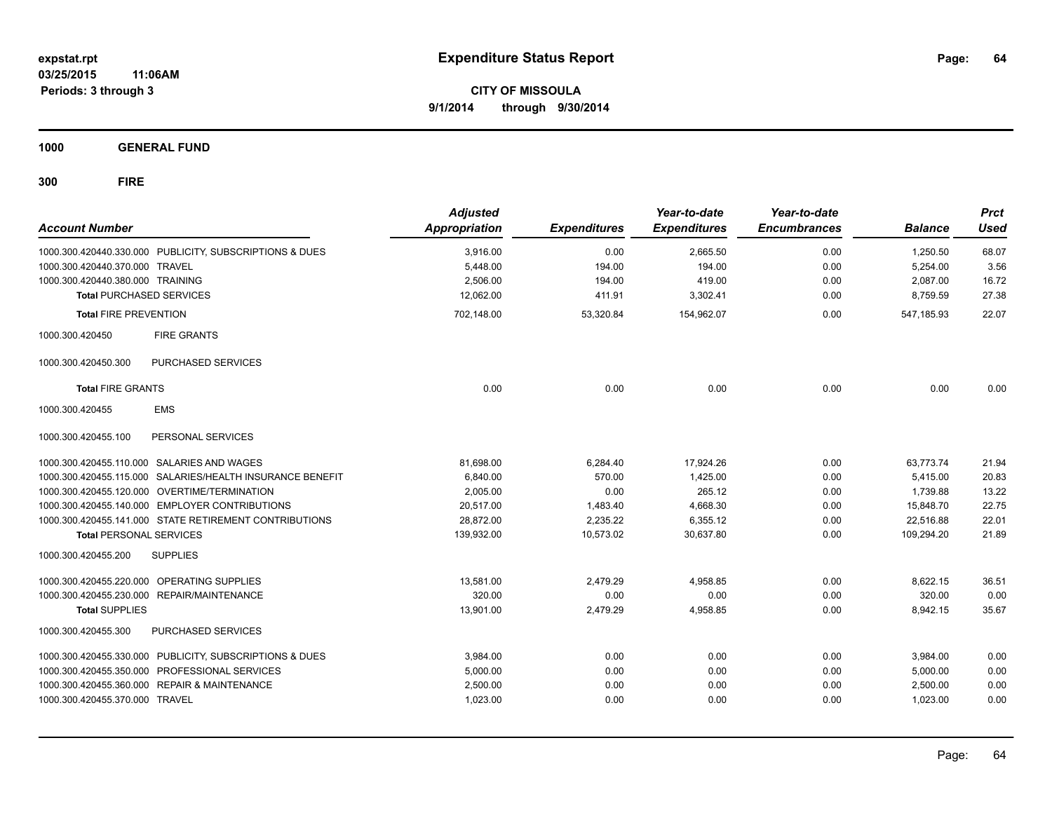**1000 GENERAL FUND**

| <b>Account Number</b>            |                                                         | <b>Adjusted</b><br><b>Appropriation</b> | <b>Expenditures</b> | Year-to-date<br><b>Expenditures</b> | Year-to-date<br><b>Encumbrances</b> | <b>Balance</b> | <b>Prct</b><br><b>Used</b> |
|----------------------------------|---------------------------------------------------------|-----------------------------------------|---------------------|-------------------------------------|-------------------------------------|----------------|----------------------------|
|                                  | 1000.300.420440.330.000 PUBLICITY, SUBSCRIPTIONS & DUES | 3,916.00                                | 0.00                | 2,665.50                            | 0.00                                | 1,250.50       | 68.07                      |
| 1000.300.420440.370.000 TRAVEL   |                                                         | 5,448.00                                | 194.00              | 194.00                              | 0.00                                | 5,254.00       | 3.56                       |
| 1000.300.420440.380.000 TRAINING |                                                         | 2,506.00                                | 194.00              | 419.00                              | 0.00                                | 2,087.00       | 16.72                      |
| <b>Total PURCHASED SERVICES</b>  |                                                         | 12,062.00                               | 411.91              | 3,302.41                            | 0.00                                | 8,759.59       | 27.38                      |
| <b>Total FIRE PREVENTION</b>     |                                                         | 702,148.00                              | 53,320.84           | 154,962.07                          | 0.00                                | 547,185.93     | 22.07                      |
| 1000.300.420450                  | <b>FIRE GRANTS</b>                                      |                                         |                     |                                     |                                     |                |                            |
| 1000.300.420450.300              | PURCHASED SERVICES                                      |                                         |                     |                                     |                                     |                |                            |
| <b>Total FIRE GRANTS</b>         |                                                         | 0.00                                    | 0.00                | 0.00                                | 0.00                                | 0.00           | 0.00                       |
| 1000.300.420455                  | <b>EMS</b>                                              |                                         |                     |                                     |                                     |                |                            |
| 1000.300.420455.100              | PERSONAL SERVICES                                       |                                         |                     |                                     |                                     |                |                            |
|                                  | 1000.300.420455.110.000 SALARIES AND WAGES              | 81,698.00                               | 6,284.40            | 17,924.26                           | 0.00                                | 63,773.74      | 21.94                      |
| 1000.300.420455.115.000          | SALARIES/HEALTH INSURANCE BENEFIT                       | 6,840.00                                | 570.00              | 1.425.00                            | 0.00                                | 5,415.00       | 20.83                      |
|                                  | 1000.300.420455.120.000 OVERTIME/TERMINATION            | 2,005.00                                | 0.00                | 265.12                              | 0.00                                | 1,739.88       | 13.22                      |
|                                  | 1000.300.420455.140.000 EMPLOYER CONTRIBUTIONS          | 20.517.00                               | 1,483.40            | 4.668.30                            | 0.00                                | 15,848.70      | 22.75                      |
|                                  | 1000.300.420455.141.000 STATE RETIREMENT CONTRIBUTIONS  | 28,872.00                               | 2,235.22            | 6,355.12                            | 0.00                                | 22,516.88      | 22.01                      |
| <b>Total PERSONAL SERVICES</b>   |                                                         | 139,932.00                              | 10,573.02           | 30,637.80                           | 0.00                                | 109,294.20     | 21.89                      |
| 1000.300.420455.200              | <b>SUPPLIES</b>                                         |                                         |                     |                                     |                                     |                |                            |
|                                  | 1000.300.420455.220.000 OPERATING SUPPLIES              | 13.581.00                               | 2,479.29            | 4,958.85                            | 0.00                                | 8,622.15       | 36.51                      |
|                                  | 1000.300.420455.230.000 REPAIR/MAINTENANCE              | 320.00                                  | 0.00                | 0.00                                | 0.00                                | 320.00         | 0.00                       |
| <b>Total SUPPLIES</b>            |                                                         | 13,901.00                               | 2,479.29            | 4,958.85                            | 0.00                                | 8,942.15       | 35.67                      |
| 1000.300.420455.300              | <b>PURCHASED SERVICES</b>                               |                                         |                     |                                     |                                     |                |                            |
|                                  | 1000.300.420455.330.000 PUBLICITY, SUBSCRIPTIONS & DUES | 3,984.00                                | 0.00                | 0.00                                | 0.00                                | 3,984.00       | 0.00                       |
|                                  | 1000.300.420455.350.000 PROFESSIONAL SERVICES           | 5,000.00                                | 0.00                | 0.00                                | 0.00                                | 5,000.00       | 0.00                       |
|                                  | 1000.300.420455.360.000 REPAIR & MAINTENANCE            | 2,500.00                                | 0.00                | 0.00                                | 0.00                                | 2,500.00       | 0.00                       |
| 1000.300.420455.370.000 TRAVEL   |                                                         | 1,023.00                                | 0.00                | 0.00                                | 0.00                                | 1,023.00       | 0.00                       |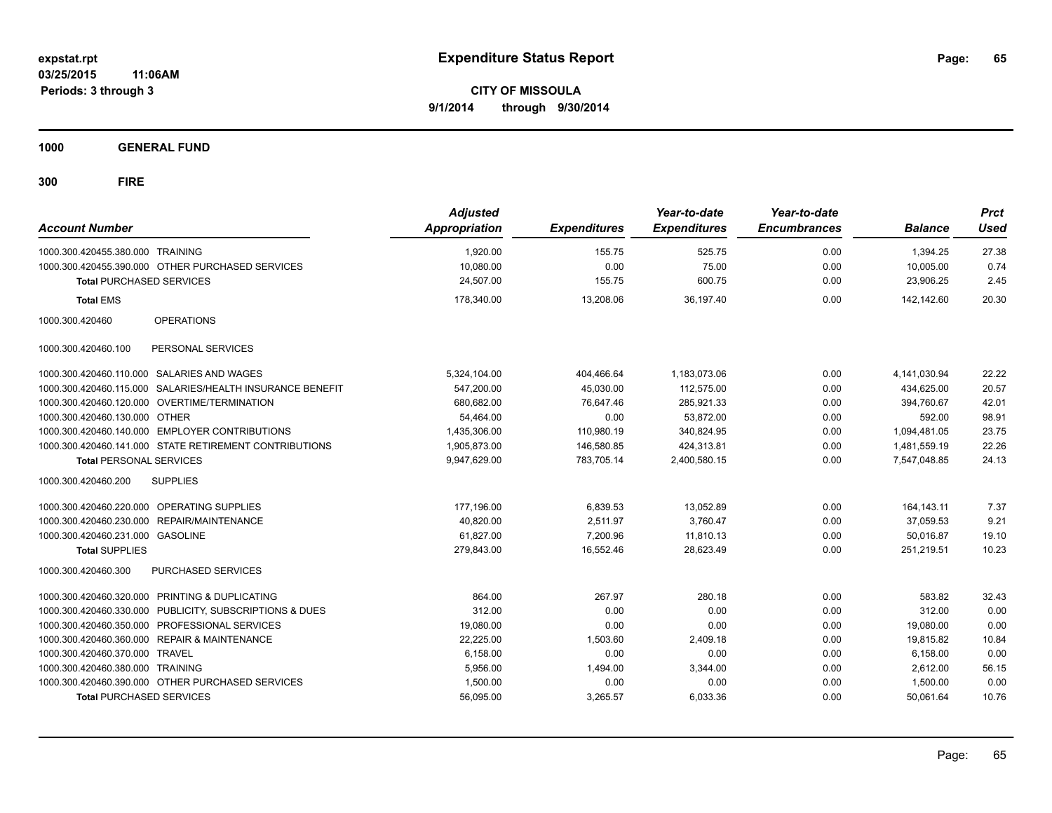**CITY OF MISSOULA 9/1/2014 through 9/30/2014**

**1000 GENERAL FUND**

| <b>Account Number</b>            |                                                           | <b>Adjusted</b><br>Appropriation | <b>Expenditures</b> | Year-to-date<br><b>Expenditures</b> | Year-to-date<br><b>Encumbrances</b> | <b>Balance</b> | <b>Prct</b><br>Used |
|----------------------------------|-----------------------------------------------------------|----------------------------------|---------------------|-------------------------------------|-------------------------------------|----------------|---------------------|
| 1000.300.420455.380.000 TRAINING |                                                           | 1,920.00                         | 155.75              | 525.75                              | 0.00                                | 1,394.25       | 27.38               |
|                                  | 1000.300.420455.390.000 OTHER PURCHASED SERVICES          | 10.080.00                        | 0.00                | 75.00                               | 0.00                                | 10.005.00      | 0.74                |
| <b>Total PURCHASED SERVICES</b>  |                                                           | 24,507.00                        | 155.75              | 600.75                              | 0.00                                | 23,906.25      | 2.45                |
| <b>Total EMS</b>                 |                                                           | 178,340.00                       | 13,208.06           | 36,197.40                           | 0.00                                | 142,142.60     | 20.30               |
| 1000.300.420460                  | <b>OPERATIONS</b>                                         |                                  |                     |                                     |                                     |                |                     |
| 1000.300.420460.100              | PERSONAL SERVICES                                         |                                  |                     |                                     |                                     |                |                     |
|                                  | 1000.300.420460.110.000 SALARIES AND WAGES                | 5,324,104.00                     | 404,466.64          | 1,183,073.06                        | 0.00                                | 4,141,030.94   | 22.22               |
|                                  | 1000.300.420460.115.000 SALARIES/HEALTH INSURANCE BENEFIT | 547,200.00                       | 45,030.00           | 112,575.00                          | 0.00                                | 434,625.00     | 20.57               |
|                                  | 1000.300.420460.120.000 OVERTIME/TERMINATION              | 680,682.00                       | 76,647.46           | 285,921.33                          | 0.00                                | 394,760.67     | 42.01               |
| 1000.300.420460.130.000 OTHER    |                                                           | 54,464.00                        | 0.00                | 53,872.00                           | 0.00                                | 592.00         | 98.91               |
|                                  | 1000.300.420460.140.000 EMPLOYER CONTRIBUTIONS            | 1,435,306.00                     | 110,980.19          | 340,824.95                          | 0.00                                | 1,094,481.05   | 23.75               |
|                                  | 1000.300.420460.141.000 STATE RETIREMENT CONTRIBUTIONS    | 1,905,873.00                     | 146,580.85          | 424,313.81                          | 0.00                                | 1,481,559.19   | 22.26               |
| <b>Total PERSONAL SERVICES</b>   |                                                           | 9,947,629.00                     | 783,705.14          | 2,400,580.15                        | 0.00                                | 7,547,048.85   | 24.13               |
| 1000.300.420460.200              | <b>SUPPLIES</b>                                           |                                  |                     |                                     |                                     |                |                     |
|                                  | 1000.300.420460.220.000 OPERATING SUPPLIES                | 177,196.00                       | 6,839.53            | 13,052.89                           | 0.00                                | 164, 143. 11   | 7.37                |
|                                  | 1000.300.420460.230.000 REPAIR/MAINTENANCE                | 40,820.00                        | 2,511.97            | 3,760.47                            | 0.00                                | 37,059.53      | 9.21                |
| 1000.300.420460.231.000 GASOLINE |                                                           | 61,827.00                        | 7,200.96            | 11,810.13                           | 0.00                                | 50,016.87      | 19.10               |
| <b>Total SUPPLIES</b>            |                                                           | 279,843.00                       | 16,552.46           | 28,623.49                           | 0.00                                | 251,219.51     | 10.23               |
| 1000.300.420460.300              | PURCHASED SERVICES                                        |                                  |                     |                                     |                                     |                |                     |
|                                  | 1000.300.420460.320.000 PRINTING & DUPLICATING            | 864.00                           | 267.97              | 280.18                              | 0.00                                | 583.82         | 32.43               |
|                                  | 1000.300.420460.330.000 PUBLICITY, SUBSCRIPTIONS & DUES   | 312.00                           | 0.00                | 0.00                                | 0.00                                | 312.00         | 0.00                |
|                                  | 1000.300.420460.350.000 PROFESSIONAL SERVICES             | 19,080.00                        | 0.00                | 0.00                                | 0.00                                | 19,080.00      | 0.00                |
|                                  | 1000.300.420460.360.000 REPAIR & MAINTENANCE              | 22,225.00                        | 1,503.60            | 2,409.18                            | 0.00                                | 19,815.82      | 10.84               |
| 1000.300.420460.370.000 TRAVEL   |                                                           | 6,158.00                         | 0.00                | 0.00                                | 0.00                                | 6,158.00       | 0.00                |
| 1000.300.420460.380.000 TRAINING |                                                           | 5,956.00                         | 1,494.00            | 3,344.00                            | 0.00                                | 2,612.00       | 56.15               |
|                                  | 1000.300.420460.390.000 OTHER PURCHASED SERVICES          | 1,500.00                         | 0.00                | 0.00                                | 0.00                                | 1,500.00       | 0.00                |
| <b>Total PURCHASED SERVICES</b>  |                                                           | 56,095.00                        | 3,265.57            | 6,033.36                            | 0.00                                | 50,061.64      | 10.76               |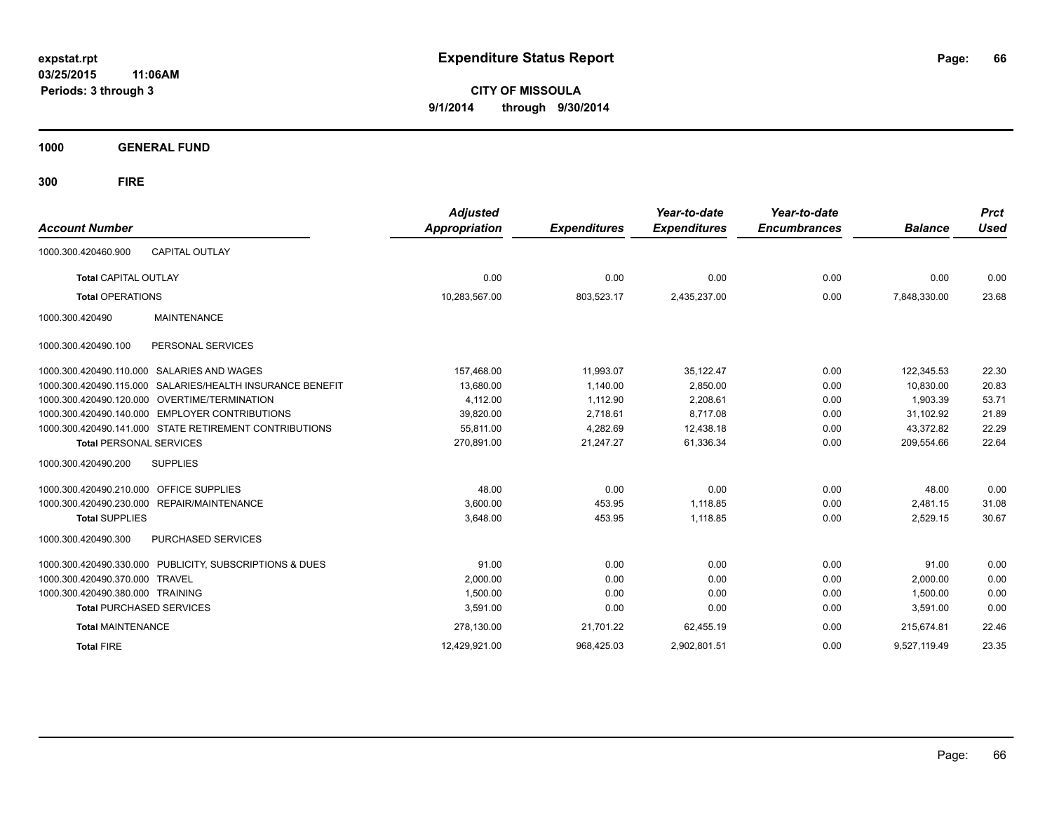**CITY OF MISSOULA 9/1/2014 through 9/30/2014**

**1000 GENERAL FUND**

| <b>Account Number</b>                                        | <b>Adjusted</b><br><b>Appropriation</b> | <b>Expenditures</b> | Year-to-date<br><b>Expenditures</b> | Year-to-date<br><b>Encumbrances</b> | <b>Balance</b> | <b>Prct</b><br><b>Used</b> |
|--------------------------------------------------------------|-----------------------------------------|---------------------|-------------------------------------|-------------------------------------|----------------|----------------------------|
| <b>CAPITAL OUTLAY</b><br>1000.300.420460.900                 |                                         |                     |                                     |                                     |                |                            |
| <b>Total CAPITAL OUTLAY</b>                                  | 0.00                                    | 0.00                | 0.00                                | 0.00                                | 0.00           | 0.00                       |
| <b>Total OPERATIONS</b>                                      | 10,283,567.00                           | 803,523.17          | 2,435,237.00                        | 0.00                                | 7,848,330.00   | 23.68                      |
| <b>MAINTENANCE</b><br>1000.300.420490                        |                                         |                     |                                     |                                     |                |                            |
| PERSONAL SERVICES<br>1000.300.420490.100                     |                                         |                     |                                     |                                     |                |                            |
| SALARIES AND WAGES<br>1000.300.420490.110.000                | 157,468.00                              | 11,993.07           | 35,122.47                           | 0.00                                | 122,345.53     | 22.30                      |
| SALARIES/HEALTH INSURANCE BENEFIT<br>1000.300.420490.115.000 | 13,680.00                               | 1.140.00            | 2,850.00                            | 0.00                                | 10.830.00      | 20.83                      |
| 1000.300.420490.120.000<br>OVERTIME/TERMINATION              | 4,112.00                                | 1,112.90            | 2,208.61                            | 0.00                                | 1,903.39       | 53.71                      |
| <b>EMPLOYER CONTRIBUTIONS</b><br>1000.300.420490.140.000     | 39,820.00                               | 2,718.61            | 8,717.08                            | 0.00                                | 31,102.92      | 21.89                      |
| 1000.300.420490.141.000 STATE RETIREMENT CONTRIBUTIONS       | 55,811.00                               | 4,282.69            | 12,438.18                           | 0.00                                | 43,372.82      | 22.29                      |
| <b>Total PERSONAL SERVICES</b>                               | 270,891.00                              | 21,247.27           | 61,336.34                           | 0.00                                | 209,554.66     | 22.64                      |
| 1000.300.420490.200<br><b>SUPPLIES</b>                       |                                         |                     |                                     |                                     |                |                            |
| <b>OFFICE SUPPLIES</b><br>1000.300.420490.210.000            | 48.00                                   | 0.00                | 0.00                                | 0.00                                | 48.00          | 0.00                       |
| 1000.300.420490.230.000 REPAIR/MAINTENANCE                   | 3,600.00                                | 453.95              | 1.118.85                            | 0.00                                | 2,481.15       | 31.08                      |
| <b>Total SUPPLIES</b>                                        | 3,648.00                                | 453.95              | 1,118.85                            | 0.00                                | 2,529.15       | 30.67                      |
| 1000.300.420490.300<br>PURCHASED SERVICES                    |                                         |                     |                                     |                                     |                |                            |
| 1000.300.420490.330.000 PUBLICITY, SUBSCRIPTIONS & DUES      | 91.00                                   | 0.00                | 0.00                                | 0.00                                | 91.00          | 0.00                       |
| 1000.300.420490.370.000<br><b>TRAVEL</b>                     | 2,000.00                                | 0.00                | 0.00                                | 0.00                                | 2,000.00       | 0.00                       |
| 1000.300.420490.380.000 TRAINING                             | 1,500.00                                | 0.00                | 0.00                                | 0.00                                | 1,500.00       | 0.00                       |
| <b>Total PURCHASED SERVICES</b>                              | 3,591.00                                | 0.00                | 0.00                                | 0.00                                | 3,591.00       | 0.00                       |
| <b>Total MAINTENANCE</b>                                     | 278,130.00                              | 21,701.22           | 62,455.19                           | 0.00                                | 215.674.81     | 22.46                      |
| <b>Total FIRE</b>                                            | 12.429.921.00                           | 968.425.03          | 2.902.801.51                        | 0.00                                | 9,527,119.49   | 23.35                      |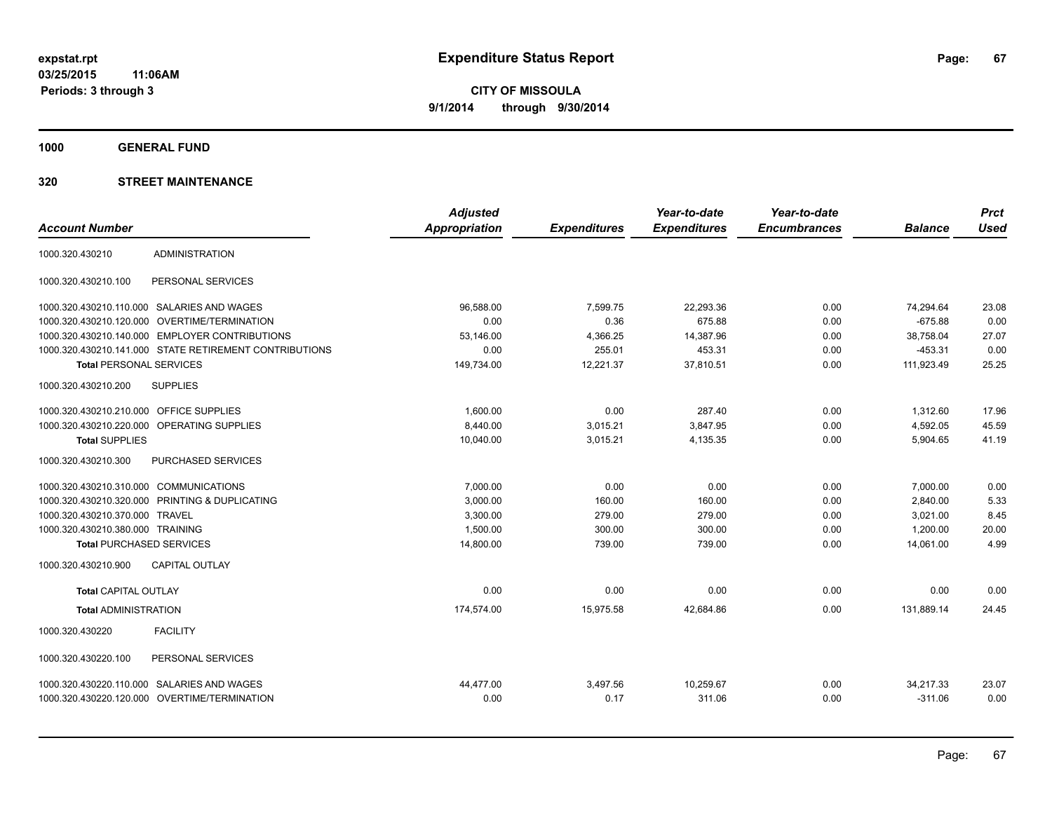**1000 GENERAL FUND**

|                                        |                                                        | <b>Adjusted</b> |                     | Year-to-date        | Year-to-date        |                | <b>Prct</b> |
|----------------------------------------|--------------------------------------------------------|-----------------|---------------------|---------------------|---------------------|----------------|-------------|
| <b>Account Number</b>                  |                                                        | Appropriation   | <b>Expenditures</b> | <b>Expenditures</b> | <b>Encumbrances</b> | <b>Balance</b> | <b>Used</b> |
| 1000.320.430210                        | <b>ADMINISTRATION</b>                                  |                 |                     |                     |                     |                |             |
| 1000.320.430210.100                    | PERSONAL SERVICES                                      |                 |                     |                     |                     |                |             |
|                                        | 1000.320.430210.110.000 SALARIES AND WAGES             | 96.588.00       | 7,599.75            | 22,293.36           | 0.00                | 74,294.64      | 23.08       |
| 1000.320.430210.120.000                | <b>OVERTIME/TERMINATION</b>                            | 0.00            | 0.36                | 675.88              | 0.00                | $-675.88$      | 0.00        |
| 1000.320.430210.140.000                | <b>EMPLOYER CONTRIBUTIONS</b>                          | 53,146.00       | 4,366.25            | 14,387.96           | 0.00                | 38,758.04      | 27.07       |
|                                        | 1000.320.430210.141.000 STATE RETIREMENT CONTRIBUTIONS | 0.00            | 255.01              | 453.31              | 0.00                | $-453.31$      | 0.00        |
| <b>Total PERSONAL SERVICES</b>         |                                                        | 149,734.00      | 12,221.37           | 37,810.51           | 0.00                | 111,923.49     | 25.25       |
| 1000.320.430210.200                    | <b>SUPPLIES</b>                                        |                 |                     |                     |                     |                |             |
| 1000.320.430210.210.000                | <b>OFFICE SUPPLIES</b>                                 | 1,600.00        | 0.00                | 287.40              | 0.00                | 1,312.60       | 17.96       |
| 1000.320.430210.220.000                | OPERATING SUPPLIES                                     | 8,440.00        | 3,015.21            | 3,847.95            | 0.00                | 4,592.05       | 45.59       |
| <b>Total SUPPLIES</b>                  |                                                        | 10,040.00       | 3,015.21            | 4,135.35            | 0.00                | 5,904.65       | 41.19       |
| 1000.320.430210.300                    | PURCHASED SERVICES                                     |                 |                     |                     |                     |                |             |
| 1000.320.430210.310.000 COMMUNICATIONS |                                                        | 7,000.00        | 0.00                | 0.00                | 0.00                | 7,000.00       | 0.00        |
| 1000.320.430210.320.000                | PRINTING & DUPLICATING                                 | 3,000.00        | 160.00              | 160.00              | 0.00                | 2,840.00       | 5.33        |
| 1000.320.430210.370.000 TRAVEL         |                                                        | 3,300.00        | 279.00              | 279.00              | 0.00                | 3,021.00       | 8.45        |
| 1000.320.430210.380.000 TRAINING       |                                                        | 1,500.00        | 300.00              | 300.00              | 0.00                | 1,200.00       | 20.00       |
| <b>Total PURCHASED SERVICES</b>        |                                                        | 14,800.00       | 739.00              | 739.00              | 0.00                | 14,061.00      | 4.99        |
| 1000.320.430210.900                    | <b>CAPITAL OUTLAY</b>                                  |                 |                     |                     |                     |                |             |
| <b>Total CAPITAL OUTLAY</b>            |                                                        | 0.00            | 0.00                | 0.00                | 0.00                | 0.00           | 0.00        |
| <b>Total ADMINISTRATION</b>            |                                                        | 174,574.00      | 15,975.58           | 42,684.86           | 0.00                | 131,889.14     | 24.45       |
| 1000.320.430220                        | <b>FACILITY</b>                                        |                 |                     |                     |                     |                |             |
| 1000.320.430220.100                    | PERSONAL SERVICES                                      |                 |                     |                     |                     |                |             |
|                                        | 1000.320.430220.110.000 SALARIES AND WAGES             | 44.477.00       | 3,497.56            | 10,259.67           | 0.00                | 34,217.33      | 23.07       |
|                                        | 1000.320.430220.120.000 OVERTIME/TERMINATION           | 0.00            | 0.17                | 311.06              | 0.00                | $-311.06$      | 0.00        |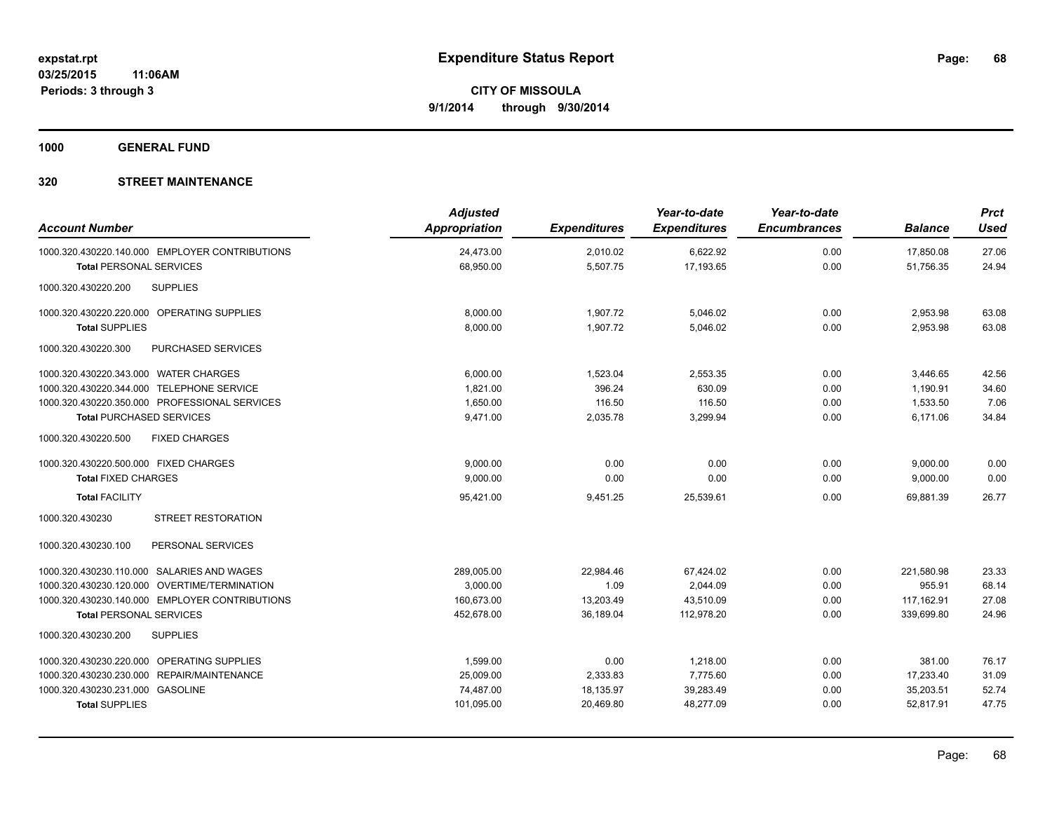**1000 GENERAL FUND**

| <b>Account Number</b>                          | <b>Adjusted</b><br><b>Appropriation</b> | <b>Expenditures</b> | Year-to-date<br><b>Expenditures</b> | Year-to-date<br><b>Encumbrances</b> | <b>Balance</b> | <b>Prct</b><br><b>Used</b> |
|------------------------------------------------|-----------------------------------------|---------------------|-------------------------------------|-------------------------------------|----------------|----------------------------|
| 1000.320.430220.140.000 EMPLOYER CONTRIBUTIONS | 24,473.00                               | 2,010.02            | 6,622.92                            | 0.00                                | 17,850.08      | 27.06                      |
| <b>Total PERSONAL SERVICES</b>                 | 68,950.00                               | 5,507.75            | 17,193.65                           | 0.00                                | 51,756.35      | 24.94                      |
| 1000.320.430220.200<br><b>SUPPLIES</b>         |                                         |                     |                                     |                                     |                |                            |
| 1000.320.430220.220.000 OPERATING SUPPLIES     | 8,000.00                                | 1,907.72            | 5,046.02                            | 0.00                                | 2,953.98       | 63.08                      |
| <b>Total SUPPLIES</b>                          | 8,000.00                                | 1,907.72            | 5,046.02                            | 0.00                                | 2,953.98       | 63.08                      |
| PURCHASED SERVICES<br>1000.320.430220.300      |                                         |                     |                                     |                                     |                |                            |
| 1000.320.430220.343.000 WATER CHARGES          | 6.000.00                                | 1,523.04            | 2,553.35                            | 0.00                                | 3,446.65       | 42.56                      |
| 1000.320.430220.344.000 TELEPHONE SERVICE      | 1,821.00                                | 396.24              | 630.09                              | 0.00                                | 1,190.91       | 34.60                      |
| 1000.320.430220.350.000 PROFESSIONAL SERVICES  | 1,650.00                                | 116.50              | 116.50                              | 0.00                                | 1,533.50       | 7.06                       |
| <b>Total PURCHASED SERVICES</b>                | 9,471.00                                | 2,035.78            | 3,299.94                            | 0.00                                | 6,171.06       | 34.84                      |
| 1000.320.430220.500<br><b>FIXED CHARGES</b>    |                                         |                     |                                     |                                     |                |                            |
| 1000.320.430220.500.000 FIXED CHARGES          | 9,000.00                                | 0.00                | 0.00                                | 0.00                                | 9,000.00       | 0.00                       |
| <b>Total FIXED CHARGES</b>                     | 9,000.00                                | 0.00                | 0.00                                | 0.00                                | 9,000.00       | 0.00                       |
| <b>Total FACILITY</b>                          | 95,421.00                               | 9,451.25            | 25,539.61                           | 0.00                                | 69,881.39      | 26.77                      |
| 1000.320.430230<br><b>STREET RESTORATION</b>   |                                         |                     |                                     |                                     |                |                            |
| PERSONAL SERVICES<br>1000.320.430230.100       |                                         |                     |                                     |                                     |                |                            |
| 1000.320.430230.110.000 SALARIES AND WAGES     | 289,005.00                              | 22,984.46           | 67,424.02                           | 0.00                                | 221,580.98     | 23.33                      |
| 1000.320.430230.120.000 OVERTIME/TERMINATION   | 3,000.00                                | 1.09                | 2,044.09                            | 0.00                                | 955.91         | 68.14                      |
| 1000.320.430230.140.000 EMPLOYER CONTRIBUTIONS | 160.673.00                              | 13,203.49           | 43,510.09                           | 0.00                                | 117,162.91     | 27.08                      |
| <b>Total PERSONAL SERVICES</b>                 | 452,678.00                              | 36,189.04           | 112,978.20                          | 0.00                                | 339,699.80     | 24.96                      |
| 1000.320.430230.200<br><b>SUPPLIES</b>         |                                         |                     |                                     |                                     |                |                            |
| 1000.320.430230.220.000 OPERATING SUPPLIES     | 1,599.00                                | 0.00                | 1,218.00                            | 0.00                                | 381.00         | 76.17                      |
| 1000.320.430230.230.000 REPAIR/MAINTENANCE     | 25,009.00                               | 2,333.83            | 7,775.60                            | 0.00                                | 17,233.40      | 31.09                      |
| 1000.320.430230.231.000 GASOLINE               | 74,487.00                               | 18,135.97           | 39,283.49                           | 0.00                                | 35,203.51      | 52.74                      |
| <b>Total SUPPLIES</b>                          | 101,095.00                              | 20,469.80           | 48,277.09                           | 0.00                                | 52,817.91      | 47.75                      |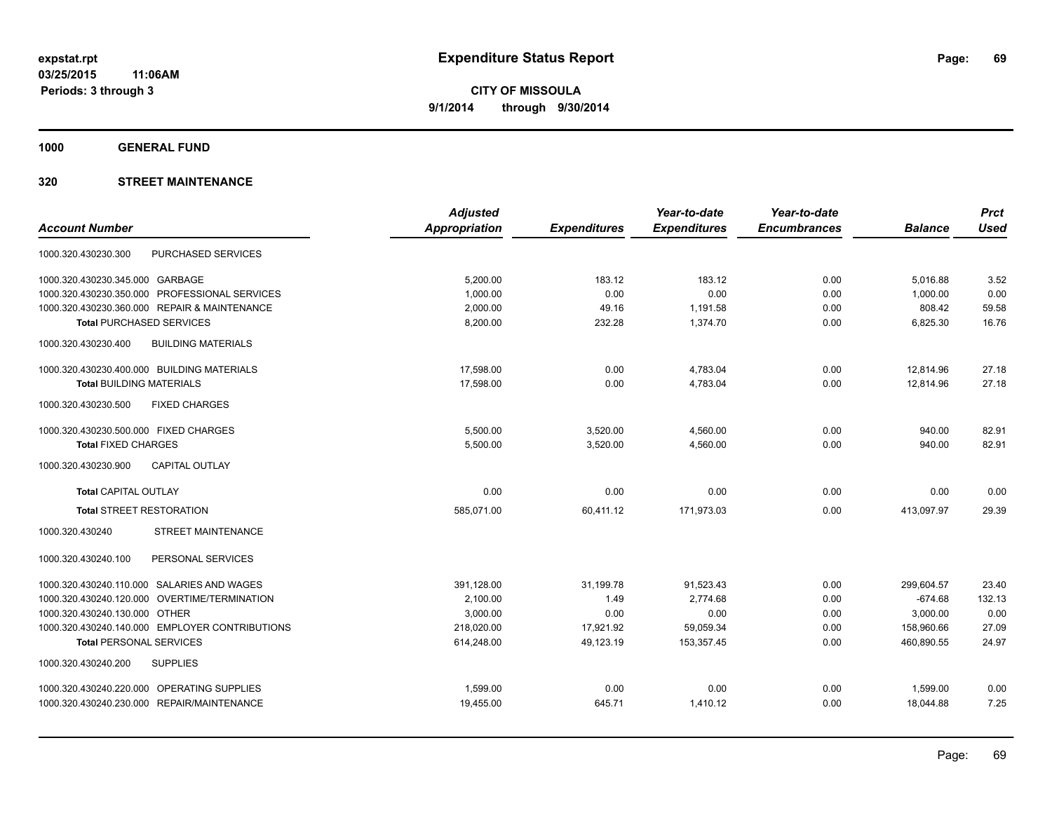**1000 GENERAL FUND**

|                                                  | <b>Adjusted</b>      |                     | Year-to-date        | Year-to-date        |                | <b>Prct</b> |
|--------------------------------------------------|----------------------|---------------------|---------------------|---------------------|----------------|-------------|
| <b>Account Number</b>                            | <b>Appropriation</b> | <b>Expenditures</b> | <b>Expenditures</b> | <b>Encumbrances</b> | <b>Balance</b> | <b>Used</b> |
| <b>PURCHASED SERVICES</b><br>1000.320.430230.300 |                      |                     |                     |                     |                |             |
| 1000.320.430230.345.000 GARBAGE                  | 5.200.00             | 183.12              | 183.12              | 0.00                | 5,016.88       | 3.52        |
| 1000.320.430230.350.000 PROFESSIONAL SERVICES    | 1,000.00             | 0.00                | 0.00                | 0.00                | 1,000.00       | 0.00        |
| 1000.320.430230.360.000 REPAIR & MAINTENANCE     | 2,000.00             | 49.16               | 1,191.58            | 0.00                | 808.42         | 59.58       |
| <b>Total PURCHASED SERVICES</b>                  | 8,200.00             | 232.28              | 1,374.70            | 0.00                | 6,825.30       | 16.76       |
| <b>BUILDING MATERIALS</b><br>1000.320.430230.400 |                      |                     |                     |                     |                |             |
| 1000.320.430230.400.000 BUILDING MATERIALS       | 17,598.00            | 0.00                | 4,783.04            | 0.00                | 12.814.96      | 27.18       |
| <b>Total BUILDING MATERIALS</b>                  | 17,598.00            | 0.00                | 4.783.04            | 0.00                | 12.814.96      | 27.18       |
| 1000.320.430230.500<br><b>FIXED CHARGES</b>      |                      |                     |                     |                     |                |             |
| 1000.320.430230.500.000 FIXED CHARGES            | 5,500.00             | 3,520.00            | 4,560.00            | 0.00                | 940.00         | 82.91       |
| <b>Total FIXED CHARGES</b>                       | 5,500.00             | 3,520.00            | 4,560.00            | 0.00                | 940.00         | 82.91       |
| 1000.320.430230.900<br><b>CAPITAL OUTLAY</b>     |                      |                     |                     |                     |                |             |
| <b>Total CAPITAL OUTLAY</b>                      | 0.00                 | 0.00                | 0.00                | 0.00                | 0.00           | 0.00        |
| <b>Total STREET RESTORATION</b>                  | 585,071.00           | 60,411.12           | 171,973.03          | 0.00                | 413,097.97     | 29.39       |
| STREET MAINTENANCE<br>1000.320.430240            |                      |                     |                     |                     |                |             |
| PERSONAL SERVICES<br>1000.320.430240.100         |                      |                     |                     |                     |                |             |
| 1000.320.430240.110.000 SALARIES AND WAGES       | 391,128.00           | 31,199.78           | 91,523.43           | 0.00                | 299,604.57     | 23.40       |
| 1000.320.430240.120.000 OVERTIME/TERMINATION     | 2,100.00             | 1.49                | 2.774.68            | 0.00                | $-674.68$      | 132.13      |
| 1000.320.430240.130.000 OTHER                    | 3,000.00             | 0.00                | 0.00                | 0.00                | 3,000.00       | 0.00        |
| 1000.320.430240.140.000 EMPLOYER CONTRIBUTIONS   | 218,020.00           | 17,921.92           | 59,059.34           | 0.00                | 158.960.66     | 27.09       |
| <b>Total PERSONAL SERVICES</b>                   | 614,248.00           | 49,123.19           | 153,357.45          | 0.00                | 460,890.55     | 24.97       |
| <b>SUPPLIES</b><br>1000.320.430240.200           |                      |                     |                     |                     |                |             |
| 1000.320.430240.220.000 OPERATING SUPPLIES       | 1,599.00             | 0.00                | 0.00                | 0.00                | 1,599.00       | 0.00        |
| 1000.320.430240.230.000 REPAIR/MAINTENANCE       | 19,455.00            | 645.71              | 1,410.12            | 0.00                | 18,044.88      | 7.25        |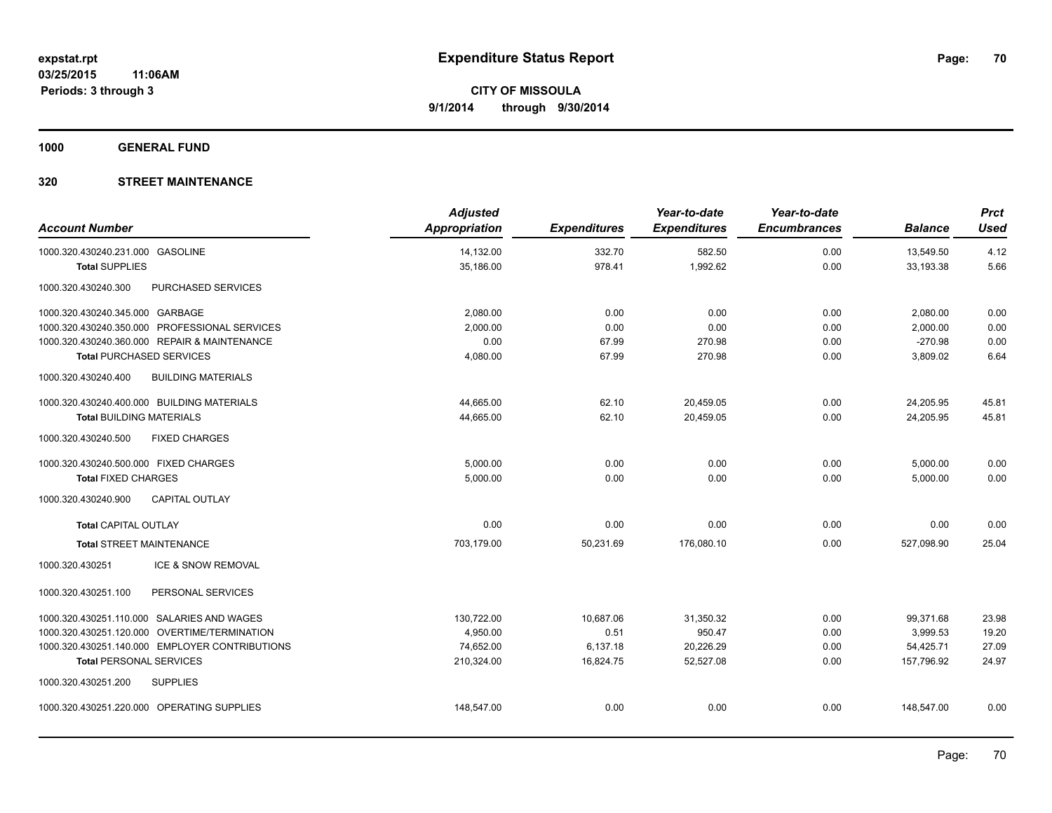**1000 GENERAL FUND**

| <b>Account Number</b>                 |                                                | <b>Adjusted</b><br>Appropriation | <b>Expenditures</b> | Year-to-date<br><b>Expenditures</b> | Year-to-date<br><b>Encumbrances</b> | <b>Balance</b> | <b>Prct</b><br><b>Used</b> |
|---------------------------------------|------------------------------------------------|----------------------------------|---------------------|-------------------------------------|-------------------------------------|----------------|----------------------------|
| 1000.320.430240.231.000 GASOLINE      |                                                | 14,132.00                        | 332.70              | 582.50                              | 0.00                                | 13,549.50      | 4.12                       |
| <b>Total SUPPLIES</b>                 |                                                | 35,186.00                        | 978.41              | 1,992.62                            | 0.00                                | 33,193.38      | 5.66                       |
| 1000.320.430240.300                   | PURCHASED SERVICES                             |                                  |                     |                                     |                                     |                |                            |
| 1000.320.430240.345.000 GARBAGE       |                                                | 2,080.00                         | 0.00                | 0.00                                | 0.00                                | 2,080.00       | 0.00                       |
|                                       | 1000.320.430240.350.000 PROFESSIONAL SERVICES  | 2,000.00                         | 0.00                | 0.00                                | 0.00                                | 2,000.00       | 0.00                       |
|                                       | 1000.320.430240.360.000 REPAIR & MAINTENANCE   | 0.00                             | 67.99               | 270.98                              | 0.00                                | $-270.98$      | 0.00                       |
| <b>Total PURCHASED SERVICES</b>       |                                                | 4,080.00                         | 67.99               | 270.98                              | 0.00                                | 3,809.02       | 6.64                       |
| 1000.320.430240.400                   | <b>BUILDING MATERIALS</b>                      |                                  |                     |                                     |                                     |                |                            |
|                                       | 1000.320.430240.400.000 BUILDING MATERIALS     | 44,665.00                        | 62.10               | 20,459.05                           | 0.00                                | 24,205.95      | 45.81                      |
| <b>Total BUILDING MATERIALS</b>       |                                                | 44,665.00                        | 62.10               | 20,459.05                           | 0.00                                | 24,205.95      | 45.81                      |
| 1000.320.430240.500                   | <b>FIXED CHARGES</b>                           |                                  |                     |                                     |                                     |                |                            |
| 1000.320.430240.500.000 FIXED CHARGES |                                                | 5,000.00                         | 0.00                | 0.00                                | 0.00                                | 5,000.00       | 0.00                       |
| <b>Total FIXED CHARGES</b>            |                                                | 5,000.00                         | 0.00                | 0.00                                | 0.00                                | 5,000.00       | 0.00                       |
| 1000.320.430240.900                   | <b>CAPITAL OUTLAY</b>                          |                                  |                     |                                     |                                     |                |                            |
| <b>Total CAPITAL OUTLAY</b>           |                                                | 0.00                             | 0.00                | 0.00                                | 0.00                                | 0.00           | 0.00                       |
| <b>Total STREET MAINTENANCE</b>       |                                                | 703,179.00                       | 50,231.69           | 176,080.10                          | 0.00                                | 527,098.90     | 25.04                      |
| 1000.320.430251                       | ICE & SNOW REMOVAL                             |                                  |                     |                                     |                                     |                |                            |
| 1000.320.430251.100                   | PERSONAL SERVICES                              |                                  |                     |                                     |                                     |                |                            |
|                                       | 1000.320.430251.110.000 SALARIES AND WAGES     | 130,722.00                       | 10,687.06           | 31,350.32                           | 0.00                                | 99,371.68      | 23.98                      |
|                                       | 1000.320.430251.120.000 OVERTIME/TERMINATION   | 4,950.00                         | 0.51                | 950.47                              | 0.00                                | 3,999.53       | 19.20                      |
|                                       | 1000.320.430251.140.000 EMPLOYER CONTRIBUTIONS | 74,652.00                        | 6,137.18            | 20,226.29                           | 0.00                                | 54,425.71      | 27.09                      |
| <b>Total PERSONAL SERVICES</b>        |                                                | 210,324.00                       | 16,824.75           | 52,527.08                           | 0.00                                | 157,796.92     | 24.97                      |
| 1000.320.430251.200                   | <b>SUPPLIES</b>                                |                                  |                     |                                     |                                     |                |                            |
|                                       | 1000.320.430251.220.000 OPERATING SUPPLIES     | 148,547.00                       | 0.00                | 0.00                                | 0.00                                | 148,547.00     | 0.00                       |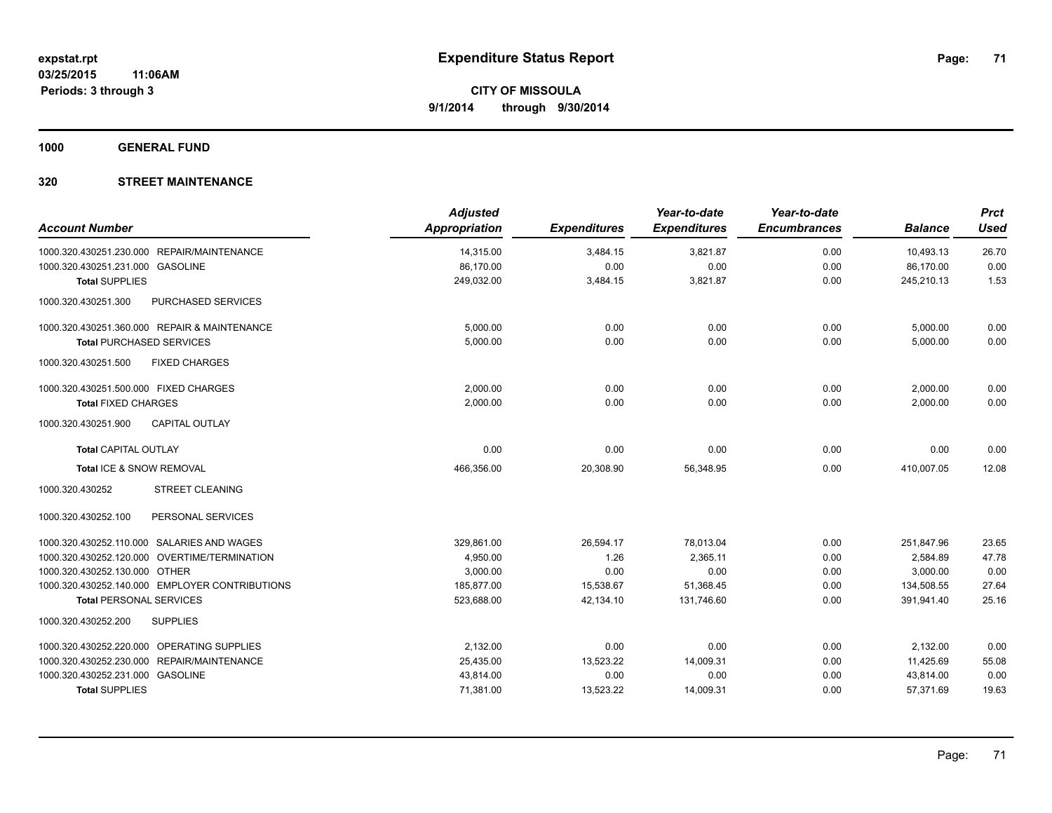**1000 GENERAL FUND**

| <b>Account Number</b>                          | <b>Adjusted</b><br><b>Appropriation</b> | <b>Expenditures</b> | Year-to-date<br><b>Expenditures</b> | Year-to-date<br><b>Encumbrances</b> | <b>Balance</b>         | <b>Prct</b><br><b>Used</b> |
|------------------------------------------------|-----------------------------------------|---------------------|-------------------------------------|-------------------------------------|------------------------|----------------------------|
| 1000.320.430251.230.000 REPAIR/MAINTENANCE     |                                         |                     |                                     | 0.00                                |                        |                            |
| 1000.320.430251.231.000 GASOLINE               | 14,315.00<br>86,170.00                  | 3,484.15<br>0.00    | 3,821.87<br>0.00                    | 0.00                                | 10,493.13<br>86,170.00 | 26.70<br>0.00              |
| <b>Total SUPPLIES</b>                          | 249,032.00                              | 3,484.15            | 3,821.87                            | 0.00                                | 245,210.13             | 1.53                       |
| PURCHASED SERVICES<br>1000.320.430251.300      |                                         |                     |                                     |                                     |                        |                            |
| 1000.320.430251.360.000 REPAIR & MAINTENANCE   | 5,000.00                                | 0.00                | 0.00                                | 0.00                                | 5,000.00               | 0.00                       |
| <b>Total PURCHASED SERVICES</b>                | 5,000.00                                | 0.00                | 0.00                                | 0.00                                | 5,000.00               | 0.00                       |
| 1000.320.430251.500<br><b>FIXED CHARGES</b>    |                                         |                     |                                     |                                     |                        |                            |
| 1000.320.430251.500.000 FIXED CHARGES          | 2,000.00                                | 0.00                | 0.00                                | 0.00                                | 2,000.00               | 0.00                       |
| <b>Total FIXED CHARGES</b>                     | 2.000.00                                | 0.00                | 0.00                                | 0.00                                | 2.000.00               | 0.00                       |
| 1000.320.430251.900<br><b>CAPITAL OUTLAY</b>   |                                         |                     |                                     |                                     |                        |                            |
| <b>Total CAPITAL OUTLAY</b>                    | 0.00                                    | 0.00                | 0.00                                | 0.00                                | 0.00                   | 0.00                       |
| Total ICE & SNOW REMOVAL                       | 466,356.00                              | 20,308.90           | 56,348.95                           | 0.00                                | 410,007.05             | 12.08                      |
| <b>STREET CLEANING</b><br>1000.320.430252      |                                         |                     |                                     |                                     |                        |                            |
| 1000.320.430252.100<br>PERSONAL SERVICES       |                                         |                     |                                     |                                     |                        |                            |
| 1000.320.430252.110.000 SALARIES AND WAGES     | 329,861.00                              | 26,594.17           | 78,013.04                           | 0.00                                | 251,847.96             | 23.65                      |
| 1000.320.430252.120.000 OVERTIME/TERMINATION   | 4,950.00                                | 1.26                | 2,365.11                            | 0.00                                | 2,584.89               | 47.78                      |
| 1000.320.430252.130.000 OTHER                  | 3,000.00                                | 0.00                | 0.00                                | 0.00                                | 3,000.00               | 0.00                       |
| 1000.320.430252.140.000 EMPLOYER CONTRIBUTIONS | 185,877.00                              | 15,538.67           | 51,368.45                           | 0.00                                | 134,508.55             | 27.64                      |
| <b>Total PERSONAL SERVICES</b>                 | 523,688.00                              | 42,134.10           | 131,746.60                          | 0.00                                | 391,941.40             | 25.16                      |
| 1000.320.430252.200<br><b>SUPPLIES</b>         |                                         |                     |                                     |                                     |                        |                            |
| 1000.320.430252.220.000 OPERATING SUPPLIES     | 2,132.00                                | 0.00                | 0.00                                | 0.00                                | 2,132.00               | 0.00                       |
| 1000.320.430252.230.000 REPAIR/MAINTENANCE     | 25,435.00                               | 13,523.22           | 14,009.31                           | 0.00                                | 11,425.69              | 55.08                      |
| 1000.320.430252.231.000 GASOLINE               | 43,814.00                               | 0.00                | 0.00                                | 0.00                                | 43,814.00              | 0.00                       |
| <b>Total SUPPLIES</b>                          | 71,381.00                               | 13,523.22           | 14,009.31                           | 0.00                                | 57,371.69              | 19.63                      |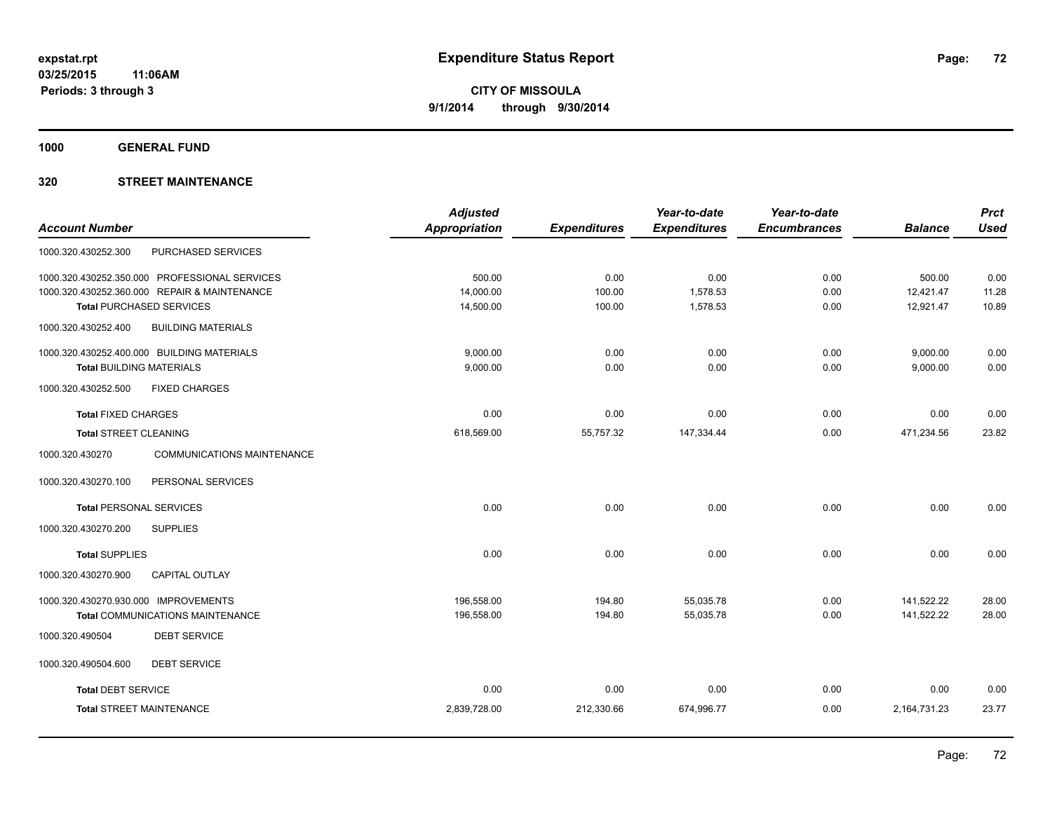**1000 GENERAL FUND**

|                                                      | <b>Adjusted</b> |                     | Year-to-date        | Year-to-date        |                | <b>Prct</b> |
|------------------------------------------------------|-----------------|---------------------|---------------------|---------------------|----------------|-------------|
| <b>Account Number</b>                                | Appropriation   | <b>Expenditures</b> | <b>Expenditures</b> | <b>Encumbrances</b> | <b>Balance</b> | <b>Used</b> |
| PURCHASED SERVICES<br>1000.320.430252.300            |                 |                     |                     |                     |                |             |
| 1000.320.430252.350.000 PROFESSIONAL SERVICES        | 500.00          | 0.00                | 0.00                | 0.00                | 500.00         | 0.00        |
| 1000.320.430252.360.000 REPAIR & MAINTENANCE         | 14,000.00       | 100.00              | 1,578.53            | 0.00                | 12,421.47      | 11.28       |
| <b>Total PURCHASED SERVICES</b>                      | 14,500.00       | 100.00              | 1,578.53            | 0.00                | 12,921.47      | 10.89       |
| 1000.320.430252.400<br><b>BUILDING MATERIALS</b>     |                 |                     |                     |                     |                |             |
| 1000.320.430252.400.000 BUILDING MATERIALS           | 9,000.00        | 0.00                | 0.00                | 0.00                | 9,000.00       | 0.00        |
| <b>Total BUILDING MATERIALS</b>                      | 9,000.00        | 0.00                | 0.00                | 0.00                | 9,000.00       | 0.00        |
| 1000.320.430252.500<br><b>FIXED CHARGES</b>          |                 |                     |                     |                     |                |             |
| <b>Total FIXED CHARGES</b>                           | 0.00            | 0.00                | 0.00                | 0.00                | 0.00           | 0.00        |
| <b>Total STREET CLEANING</b>                         | 618,569.00      | 55,757.32           | 147,334.44          | 0.00                | 471,234.56     | 23.82       |
| <b>COMMUNICATIONS MAINTENANCE</b><br>1000.320.430270 |                 |                     |                     |                     |                |             |
| 1000.320.430270.100<br>PERSONAL SERVICES             |                 |                     |                     |                     |                |             |
| <b>Total PERSONAL SERVICES</b>                       | 0.00            | 0.00                | 0.00                | 0.00                | 0.00           | 0.00        |
| 1000.320.430270.200<br><b>SUPPLIES</b>               |                 |                     |                     |                     |                |             |
| <b>Total SUPPLIES</b>                                | 0.00            | 0.00                | 0.00                | 0.00                | 0.00           | 0.00        |
| 1000.320.430270.900<br>CAPITAL OUTLAY                |                 |                     |                     |                     |                |             |
| 1000.320.430270.930.000 IMPROVEMENTS                 | 196,558.00      | 194.80              | 55,035.78           | 0.00                | 141,522.22     | 28.00       |
| <b>Total COMMUNICATIONS MAINTENANCE</b>              | 196,558.00      | 194.80              | 55,035.78           | 0.00                | 141,522.22     | 28.00       |
| <b>DEBT SERVICE</b><br>1000.320.490504               |                 |                     |                     |                     |                |             |
| 1000.320.490504.600<br><b>DEBT SERVICE</b>           |                 |                     |                     |                     |                |             |
| <b>Total DEBT SERVICE</b>                            | 0.00            | 0.00                | 0.00                | 0.00                | 0.00           | 0.00        |
| <b>Total STREET MAINTENANCE</b>                      | 2,839,728.00    | 212,330.66          | 674,996.77          | 0.00                | 2,164,731.23   | 23.77       |
|                                                      |                 |                     |                     |                     |                |             |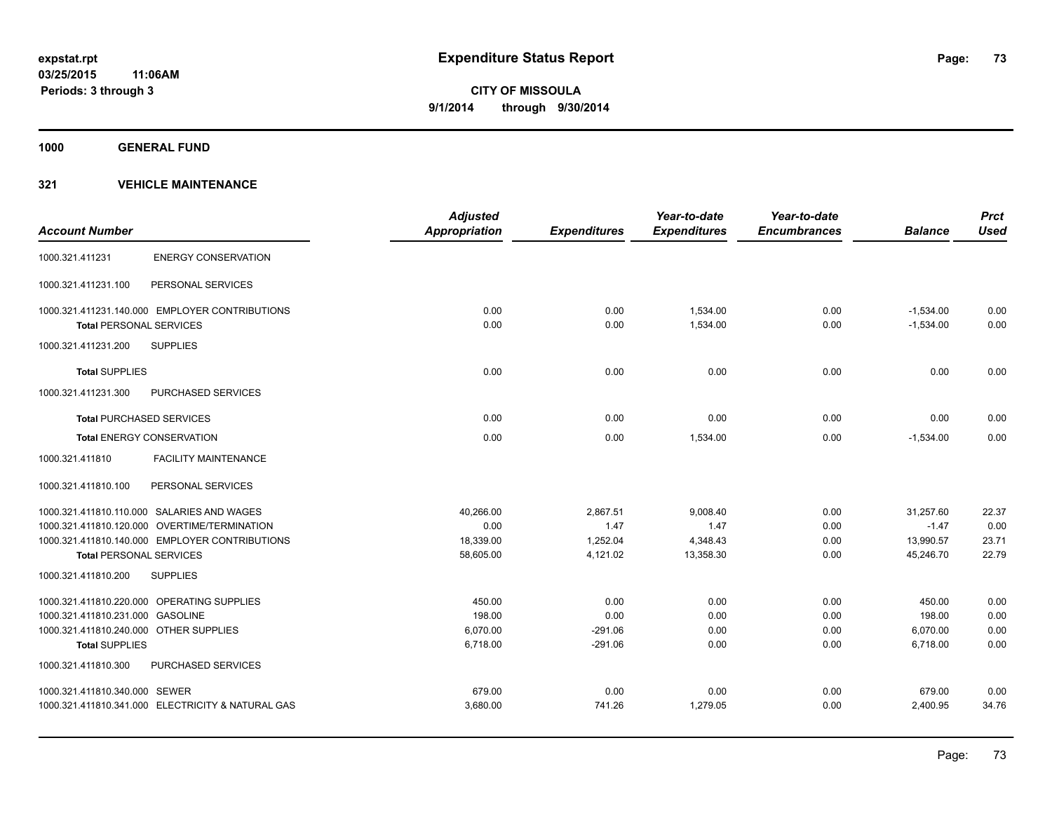**1000 GENERAL FUND**

|                                        |                                                   | <b>Adjusted</b>      |                     | Year-to-date        | Year-to-date        |                | <b>Prct</b> |
|----------------------------------------|---------------------------------------------------|----------------------|---------------------|---------------------|---------------------|----------------|-------------|
| <b>Account Number</b>                  |                                                   | <b>Appropriation</b> | <b>Expenditures</b> | <b>Expenditures</b> | <b>Encumbrances</b> | <b>Balance</b> | <b>Used</b> |
| 1000.321.411231                        | <b>ENERGY CONSERVATION</b>                        |                      |                     |                     |                     |                |             |
| 1000.321.411231.100                    | PERSONAL SERVICES                                 |                      |                     |                     |                     |                |             |
|                                        | 1000.321.411231.140.000 EMPLOYER CONTRIBUTIONS    | 0.00                 | 0.00                | 1,534.00            | 0.00                | $-1,534.00$    | 0.00        |
| <b>Total PERSONAL SERVICES</b>         |                                                   | 0.00                 | 0.00                | 1,534.00            | 0.00                | $-1,534.00$    | 0.00        |
| 1000.321.411231.200                    | <b>SUPPLIES</b>                                   |                      |                     |                     |                     |                |             |
| <b>Total SUPPLIES</b>                  |                                                   | 0.00                 | 0.00                | 0.00                | 0.00                | 0.00           | 0.00        |
| 1000.321.411231.300                    | PURCHASED SERVICES                                |                      |                     |                     |                     |                |             |
| <b>Total PURCHASED SERVICES</b>        |                                                   | 0.00                 | 0.00                | 0.00                | 0.00                | 0.00           | 0.00        |
|                                        | <b>Total ENERGY CONSERVATION</b>                  | 0.00                 | 0.00                | 1,534.00            | 0.00                | $-1.534.00$    | 0.00        |
| 1000.321.411810                        | <b>FACILITY MAINTENANCE</b>                       |                      |                     |                     |                     |                |             |
| 1000.321.411810.100                    | PERSONAL SERVICES                                 |                      |                     |                     |                     |                |             |
|                                        | 1000.321.411810.110.000 SALARIES AND WAGES        | 40,266.00            | 2,867.51            | 9,008.40            | 0.00                | 31,257.60      | 22.37       |
|                                        | 1000.321.411810.120.000 OVERTIME/TERMINATION      | 0.00                 | 1.47                | 1.47                | 0.00                | $-1.47$        | 0.00        |
|                                        | 1000.321.411810.140.000 EMPLOYER CONTRIBUTIONS    | 18,339.00            | 1,252.04            | 4,348.43            | 0.00                | 13,990.57      | 23.71       |
| <b>Total PERSONAL SERVICES</b>         |                                                   | 58,605.00            | 4,121.02            | 13,358.30           | 0.00                | 45,246.70      | 22.79       |
| 1000.321.411810.200                    | <b>SUPPLIES</b>                                   |                      |                     |                     |                     |                |             |
|                                        | 1000.321.411810.220.000 OPERATING SUPPLIES        | 450.00               | 0.00                | 0.00                | 0.00                | 450.00         | 0.00        |
| 1000.321.411810.231.000 GASOLINE       |                                                   | 198.00               | 0.00                | 0.00                | 0.00                | 198.00         | 0.00        |
| 1000.321.411810.240.000 OTHER SUPPLIES |                                                   | 6,070.00             | $-291.06$           | 0.00                | 0.00                | 6,070.00       | 0.00        |
| <b>Total SUPPLIES</b>                  |                                                   | 6,718.00             | $-291.06$           | 0.00                | 0.00                | 6,718.00       | 0.00        |
| 1000.321.411810.300                    | PURCHASED SERVICES                                |                      |                     |                     |                     |                |             |
| 1000.321.411810.340.000 SEWER          |                                                   | 679.00               | 0.00                | 0.00                | 0.00                | 679.00         | 0.00        |
|                                        | 1000.321.411810.341.000 ELECTRICITY & NATURAL GAS | 3,680.00             | 741.26              | 1,279.05            | 0.00                | 2,400.95       | 34.76       |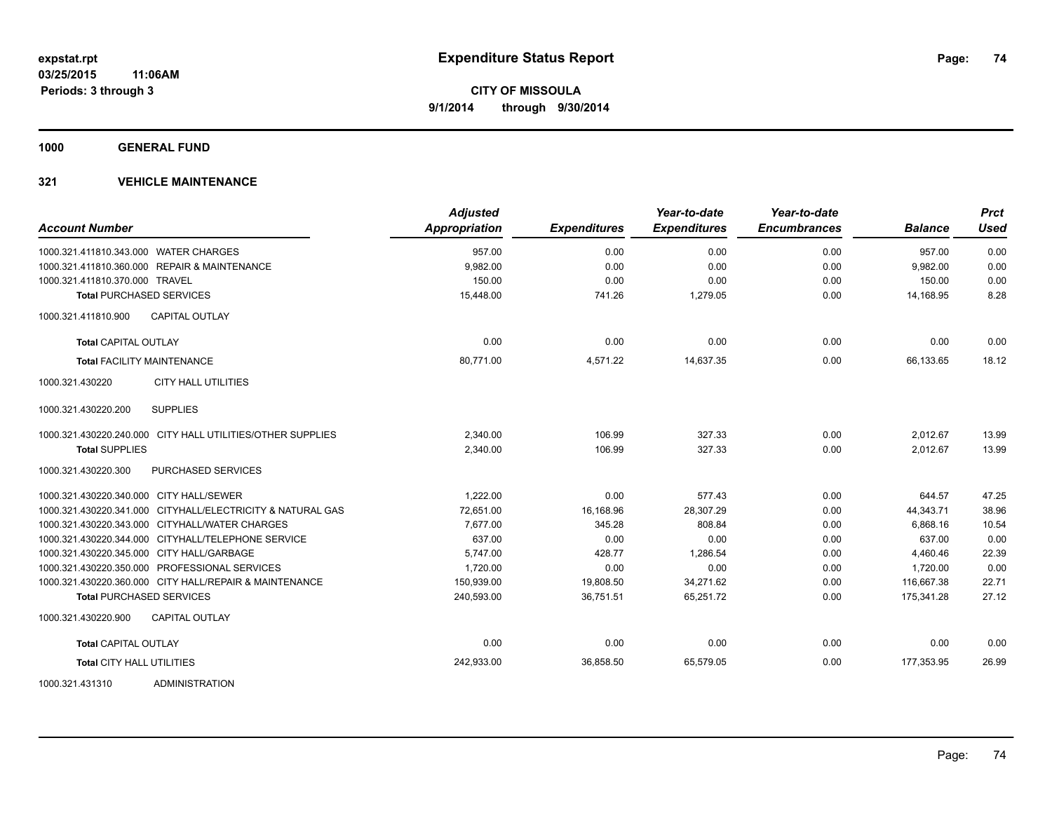**1000 GENERAL FUND**

| <b>Account Number</b>                                      | <b>Adjusted</b><br>Appropriation | <b>Expenditures</b> | Year-to-date<br><b>Expenditures</b> | Year-to-date<br><b>Encumbrances</b> | <b>Balance</b> | <b>Prct</b><br><b>Used</b> |
|------------------------------------------------------------|----------------------------------|---------------------|-------------------------------------|-------------------------------------|----------------|----------------------------|
| 1000.321.411810.343.000 WATER CHARGES                      | 957.00                           | 0.00                | 0.00                                | 0.00                                | 957.00         | 0.00                       |
| 1000.321.411810.360.000 REPAIR & MAINTENANCE               | 9,982.00                         | 0.00                | 0.00                                | 0.00                                | 9,982.00       | 0.00                       |
| 1000.321.411810.370.000 TRAVEL                             | 150.00                           | 0.00                | 0.00                                | 0.00                                | 150.00         | 0.00                       |
| <b>Total PURCHASED SERVICES</b>                            | 15,448.00                        | 741.26              | 1,279.05                            | 0.00                                | 14.168.95      | 8.28                       |
| 1000.321.411810.900<br><b>CAPITAL OUTLAY</b>               |                                  |                     |                                     |                                     |                |                            |
| <b>Total CAPITAL OUTLAY</b>                                | 0.00                             | 0.00                | 0.00                                | 0.00                                | 0.00           | 0.00                       |
| <b>Total FACILITY MAINTENANCE</b>                          | 80,771.00                        | 4,571.22            | 14,637.35                           | 0.00                                | 66,133.65      | 18.12                      |
| 1000.321.430220<br><b>CITY HALL UTILITIES</b>              |                                  |                     |                                     |                                     |                |                            |
| <b>SUPPLIES</b><br>1000.321.430220.200                     |                                  |                     |                                     |                                     |                |                            |
| 1000.321.430220.240.000 CITY HALL UTILITIES/OTHER SUPPLIES | 2,340.00                         | 106.99              | 327.33                              | 0.00                                | 2,012.67       | 13.99                      |
| <b>Total SUPPLIES</b>                                      | 2.340.00                         | 106.99              | 327.33                              | 0.00                                | 2.012.67       | 13.99                      |
| <b>PURCHASED SERVICES</b><br>1000.321.430220.300           |                                  |                     |                                     |                                     |                |                            |
| 1000.321.430220.340.000 CITY HALL/SEWER                    | 1,222.00                         | 0.00                | 577.43                              | 0.00                                | 644.57         | 47.25                      |
| 1000.321.430220.341.000 CITYHALL/ELECTRICITY & NATURAL GAS | 72,651.00                        | 16,168.96           | 28,307.29                           | 0.00                                | 44,343.71      | 38.96                      |
| 1000.321.430220.343.000 CITYHALL/WATER CHARGES             | 7,677.00                         | 345.28              | 808.84                              | 0.00                                | 6.868.16       | 10.54                      |
| 1000.321.430220.344.000 CITYHALL/TELEPHONE SERVICE         | 637.00                           | 0.00                | 0.00                                | 0.00                                | 637.00         | 0.00                       |
| 1000.321.430220.345.000 CITY HALL/GARBAGE                  | 5,747.00                         | 428.77              | 1,286.54                            | 0.00                                | 4,460.46       | 22.39                      |
| 1000.321.430220.350.000 PROFESSIONAL SERVICES              | 1,720.00                         | 0.00                | 0.00                                | 0.00                                | 1,720.00       | 0.00                       |
| 1000.321.430220.360.000 CITY HALL/REPAIR & MAINTENANCE     | 150,939.00                       | 19,808.50           | 34,271.62                           | 0.00                                | 116,667.38     | 22.71                      |
| <b>Total PURCHASED SERVICES</b>                            | 240,593.00                       | 36,751.51           | 65,251.72                           | 0.00                                | 175,341.28     | 27.12                      |
| 1000.321.430220.900<br><b>CAPITAL OUTLAY</b>               |                                  |                     |                                     |                                     |                |                            |
| <b>Total CAPITAL OUTLAY</b>                                | 0.00                             | 0.00                | 0.00                                | 0.00                                | 0.00           | 0.00                       |
| <b>Total CITY HALL UTILITIES</b>                           | 242,933.00                       | 36,858.50           | 65,579.05                           | 0.00                                | 177.353.95     | 26.99                      |
| ADMINISTRATION<br>1000.321.431310                          |                                  |                     |                                     |                                     |                |                            |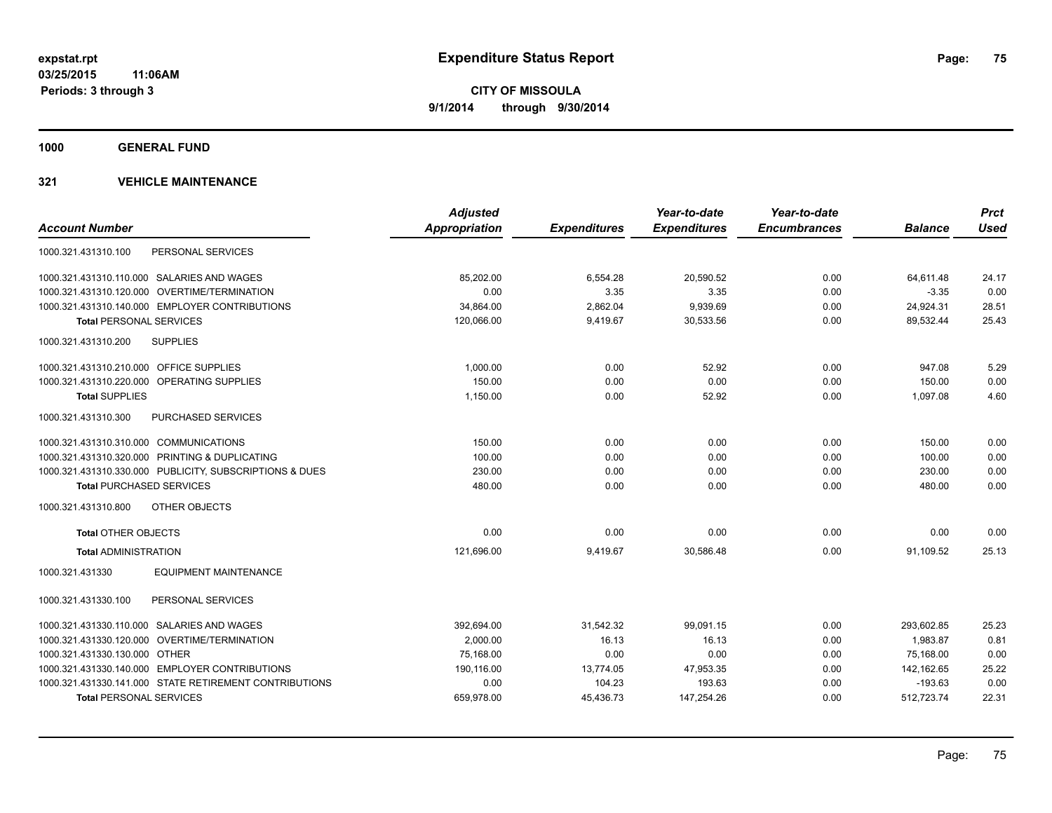**1000 GENERAL FUND**

|                                                         | <b>Adjusted</b> |                     | Year-to-date        | Year-to-date        |                | <b>Prct</b> |
|---------------------------------------------------------|-----------------|---------------------|---------------------|---------------------|----------------|-------------|
| <b>Account Number</b>                                   | Appropriation   | <b>Expenditures</b> | <b>Expenditures</b> | <b>Encumbrances</b> | <b>Balance</b> | <b>Used</b> |
| PERSONAL SERVICES<br>1000.321.431310.100                |                 |                     |                     |                     |                |             |
| 1000.321.431310.110.000 SALARIES AND WAGES              | 85,202.00       | 6,554.28            | 20,590.52           | 0.00                | 64,611.48      | 24.17       |
| 1000.321.431310.120.000 OVERTIME/TERMINATION            | 0.00            | 3.35                | 3.35                | 0.00                | $-3.35$        | 0.00        |
| 1000.321.431310.140.000 EMPLOYER CONTRIBUTIONS          | 34,864.00       | 2,862.04            | 9,939.69            | 0.00                | 24,924.31      | 28.51       |
| <b>Total PERSONAL SERVICES</b>                          | 120,066.00      | 9,419.67            | 30,533.56           | 0.00                | 89,532.44      | 25.43       |
| 1000.321.431310.200<br><b>SUPPLIES</b>                  |                 |                     |                     |                     |                |             |
| 1000.321.431310.210.000 OFFICE SUPPLIES                 | 1,000.00        | 0.00                | 52.92               | 0.00                | 947.08         | 5.29        |
| 1000.321.431310.220.000 OPERATING SUPPLIES              | 150.00          | 0.00                | 0.00                | 0.00                | 150.00         | 0.00        |
| <b>Total SUPPLIES</b>                                   | 1,150.00        | 0.00                | 52.92               | 0.00                | 1,097.08       | 4.60        |
| PURCHASED SERVICES<br>1000.321.431310.300               |                 |                     |                     |                     |                |             |
| 1000.321.431310.310.000 COMMUNICATIONS                  | 150.00          | 0.00                | 0.00                | 0.00                | 150.00         | 0.00        |
| 1000.321.431310.320.000 PRINTING & DUPLICATING          | 100.00          | 0.00                | 0.00                | 0.00                | 100.00         | 0.00        |
| 1000.321.431310.330.000 PUBLICITY, SUBSCRIPTIONS & DUES | 230.00          | 0.00                | 0.00                | 0.00                | 230.00         | 0.00        |
| <b>Total PURCHASED SERVICES</b>                         | 480.00          | 0.00                | 0.00                | 0.00                | 480.00         | 0.00        |
| 1000.321.431310.800<br>OTHER OBJECTS                    |                 |                     |                     |                     |                |             |
| <b>Total OTHER OBJECTS</b>                              | 0.00            | 0.00                | 0.00                | 0.00                | 0.00           | 0.00        |
| <b>Total ADMINISTRATION</b>                             | 121,696.00      | 9,419.67            | 30,586.48           | 0.00                | 91,109.52      | 25.13       |
| <b>EQUIPMENT MAINTENANCE</b><br>1000.321.431330         |                 |                     |                     |                     |                |             |
| PERSONAL SERVICES<br>1000.321.431330.100                |                 |                     |                     |                     |                |             |
| 1000.321.431330.110.000 SALARIES AND WAGES              | 392,694.00      | 31,542.32           | 99,091.15           | 0.00                | 293,602.85     | 25.23       |
| 1000.321.431330.120.000 OVERTIME/TERMINATION            | 2,000.00        | 16.13               | 16.13               | 0.00                | 1,983.87       | 0.81        |
| 1000.321.431330.130.000 OTHER                           | 75.168.00       | 0.00                | 0.00                | 0.00                | 75.168.00      | 0.00        |
| 1000.321.431330.140.000 EMPLOYER CONTRIBUTIONS          | 190,116.00      | 13,774.05           | 47,953.35           | 0.00                | 142,162.65     | 25.22       |
| 1000.321.431330.141.000 STATE RETIREMENT CONTRIBUTIONS  | 0.00            | 104.23              | 193.63              | 0.00                | $-193.63$      | 0.00        |
| <b>Total PERSONAL SERVICES</b>                          | 659,978.00      | 45,436.73           | 147,254.26          | 0.00                | 512,723.74     | 22.31       |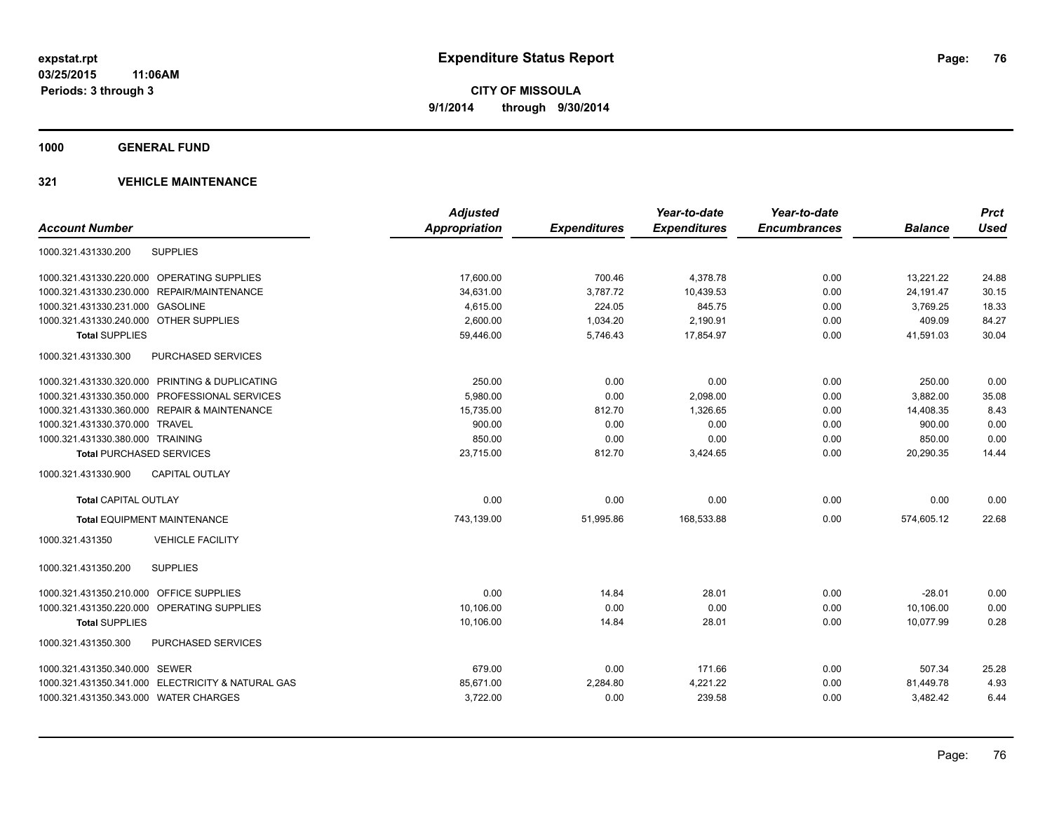**1000 GENERAL FUND**

| <b>Account Number</b>                             | <b>Adjusted</b><br><b>Appropriation</b> | <b>Expenditures</b> | Year-to-date<br><b>Expenditures</b> | Year-to-date<br><b>Encumbrances</b> | <b>Balance</b> | <b>Prct</b><br><b>Used</b> |
|---------------------------------------------------|-----------------------------------------|---------------------|-------------------------------------|-------------------------------------|----------------|----------------------------|
| 1000.321.431330.200<br><b>SUPPLIES</b>            |                                         |                     |                                     |                                     |                |                            |
| 1000.321.431330.220.000 OPERATING SUPPLIES        | 17,600.00                               | 700.46              | 4,378.78                            | 0.00                                | 13,221.22      | 24.88                      |
| 1000.321.431330.230.000<br>REPAIR/MAINTENANCE     | 34,631.00                               | 3,787.72            | 10,439.53                           | 0.00                                | 24,191.47      | 30.15                      |
| 1000.321.431330.231.000 GASOLINE                  | 4,615.00                                | 224.05              | 845.75                              | 0.00                                | 3,769.25       | 18.33                      |
| 1000.321.431330.240.000 OTHER SUPPLIES            | 2,600.00                                | 1,034.20            | 2,190.91                            | 0.00                                | 409.09         | 84.27                      |
| <b>Total SUPPLIES</b>                             | 59,446.00                               | 5,746.43            | 17,854.97                           | 0.00                                | 41,591.03      | 30.04                      |
| 1000.321.431330.300<br>PURCHASED SERVICES         |                                         |                     |                                     |                                     |                |                            |
| 1000.321.431330.320.000 PRINTING & DUPLICATING    | 250.00                                  | 0.00                | 0.00                                | 0.00                                | 250.00         | 0.00                       |
| 1000.321.431330.350.000 PROFESSIONAL SERVICES     | 5,980.00                                | 0.00                | 2,098.00                            | 0.00                                | 3,882.00       | 35.08                      |
| 1000.321.431330.360.000 REPAIR & MAINTENANCE      | 15,735.00                               | 812.70              | 1,326.65                            | 0.00                                | 14,408.35      | 8.43                       |
| 1000.321.431330.370.000 TRAVEL                    | 900.00                                  | 0.00                | 0.00                                | 0.00                                | 900.00         | 0.00                       |
| 1000.321.431330.380.000 TRAINING                  | 850.00                                  | 0.00                | 0.00                                | 0.00                                | 850.00         | 0.00                       |
| <b>Total PURCHASED SERVICES</b>                   | 23,715.00                               | 812.70              | 3,424.65                            | 0.00                                | 20,290.35      | 14.44                      |
| <b>CAPITAL OUTLAY</b><br>1000.321.431330.900      |                                         |                     |                                     |                                     |                |                            |
| <b>Total CAPITAL OUTLAY</b>                       | 0.00                                    | 0.00                | 0.00                                | 0.00                                | 0.00           | 0.00                       |
| <b>Total EQUIPMENT MAINTENANCE</b>                | 743,139.00                              | 51,995.86           | 168,533.88                          | 0.00                                | 574,605.12     | 22.68                      |
| 1000.321.431350<br><b>VEHICLE FACILITY</b>        |                                         |                     |                                     |                                     |                |                            |
| <b>SUPPLIES</b><br>1000.321.431350.200            |                                         |                     |                                     |                                     |                |                            |
| 1000.321.431350.210.000 OFFICE SUPPLIES           | 0.00                                    | 14.84               | 28.01                               | 0.00                                | $-28.01$       | 0.00                       |
| 1000.321.431350.220.000 OPERATING SUPPLIES        | 10.106.00                               | 0.00                | 0.00                                | 0.00                                | 10,106.00      | 0.00                       |
| <b>Total SUPPLIES</b>                             | 10,106.00                               | 14.84               | 28.01                               | 0.00                                | 10,077.99      | 0.28                       |
| PURCHASED SERVICES<br>1000.321.431350.300         |                                         |                     |                                     |                                     |                |                            |
| 1000.321.431350.340.000 SEWER                     | 679.00                                  | 0.00                | 171.66                              | 0.00                                | 507.34         | 25.28                      |
| 1000.321.431350.341.000 ELECTRICITY & NATURAL GAS | 85,671.00                               | 2,284.80            | 4,221.22                            | 0.00                                | 81,449.78      | 4.93                       |
| 1000.321.431350.343.000 WATER CHARGES             | 3,722.00                                | 0.00                | 239.58                              | 0.00                                | 3,482.42       | 6.44                       |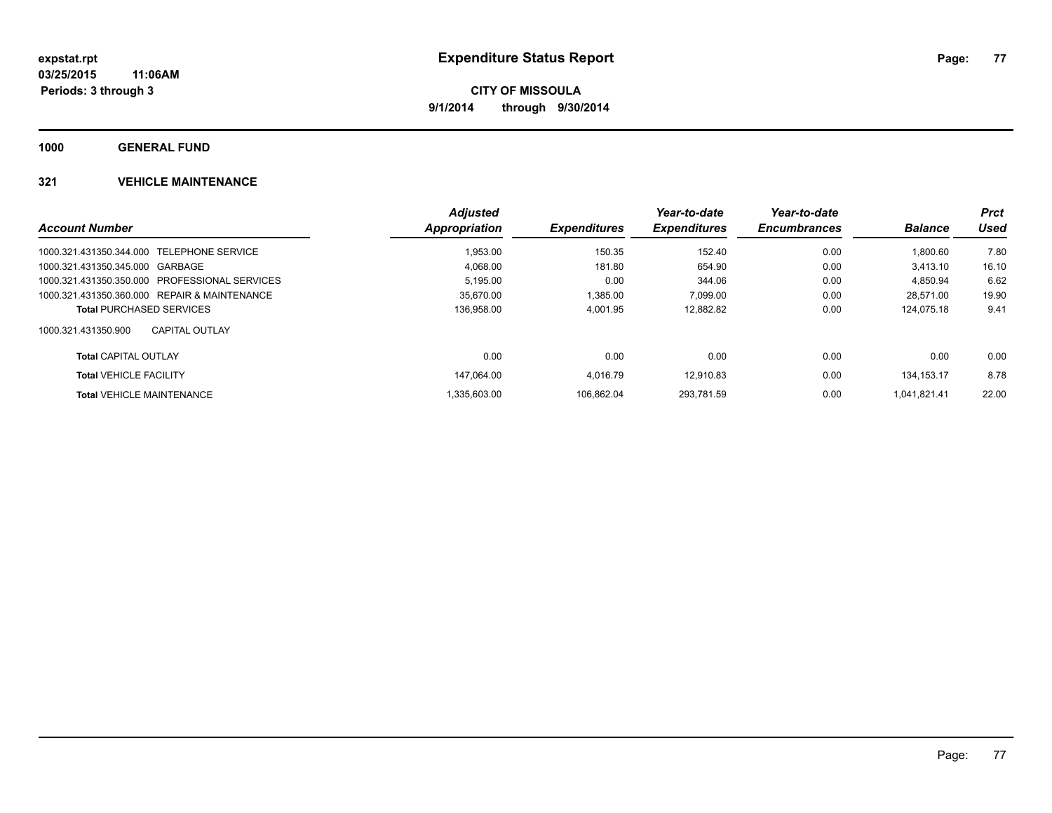**1000 GENERAL FUND**

|                                               | <b>Adjusted</b> |                            | Year-to-date        | Year-to-date        |                | <b>Prct</b> |
|-----------------------------------------------|-----------------|----------------------------|---------------------|---------------------|----------------|-------------|
| <b>Account Number</b>                         | Appropriation   | <i><b>Expenditures</b></i> | <b>Expenditures</b> | <b>Encumbrances</b> | <b>Balance</b> | Used        |
| 1000.321.431350.344.000 TELEPHONE SERVICE     | 1.953.00        | 150.35                     | 152.40              | 0.00                | 1.800.60       | 7.80        |
| 1000.321.431350.345.000 GARBAGE               | 4.068.00        | 181.80                     | 654.90              | 0.00                | 3.413.10       | 16.10       |
| 1000.321.431350.350.000 PROFESSIONAL SERVICES | 5,195.00        | 0.00                       | 344.06              | 0.00                | 4.850.94       | 6.62        |
| 1000.321.431350.360.000 REPAIR & MAINTENANCE  | 35.670.00       | 1,385.00                   | 7,099.00            | 0.00                | 28.571.00      | 19.90       |
| <b>Total PURCHASED SERVICES</b>               | 136,958.00      | 4,001.95                   | 12.882.82           | 0.00                | 124.075.18     | 9.41        |
| 1000.321.431350.900<br><b>CAPITAL OUTLAY</b>  |                 |                            |                     |                     |                |             |
| <b>Total CAPITAL OUTLAY</b>                   | 0.00            | 0.00                       | 0.00                | 0.00                | 0.00           | 0.00        |
| <b>Total VEHICLE FACILITY</b>                 | 147.064.00      | 4.016.79                   | 12.910.83           | 0.00                | 134.153.17     | 8.78        |
| <b>Total VEHICLE MAINTENANCE</b>              | .335.603.00     | 106.862.04                 | 293.781.59          | 0.00                | 1.041.821.41   | 22.00       |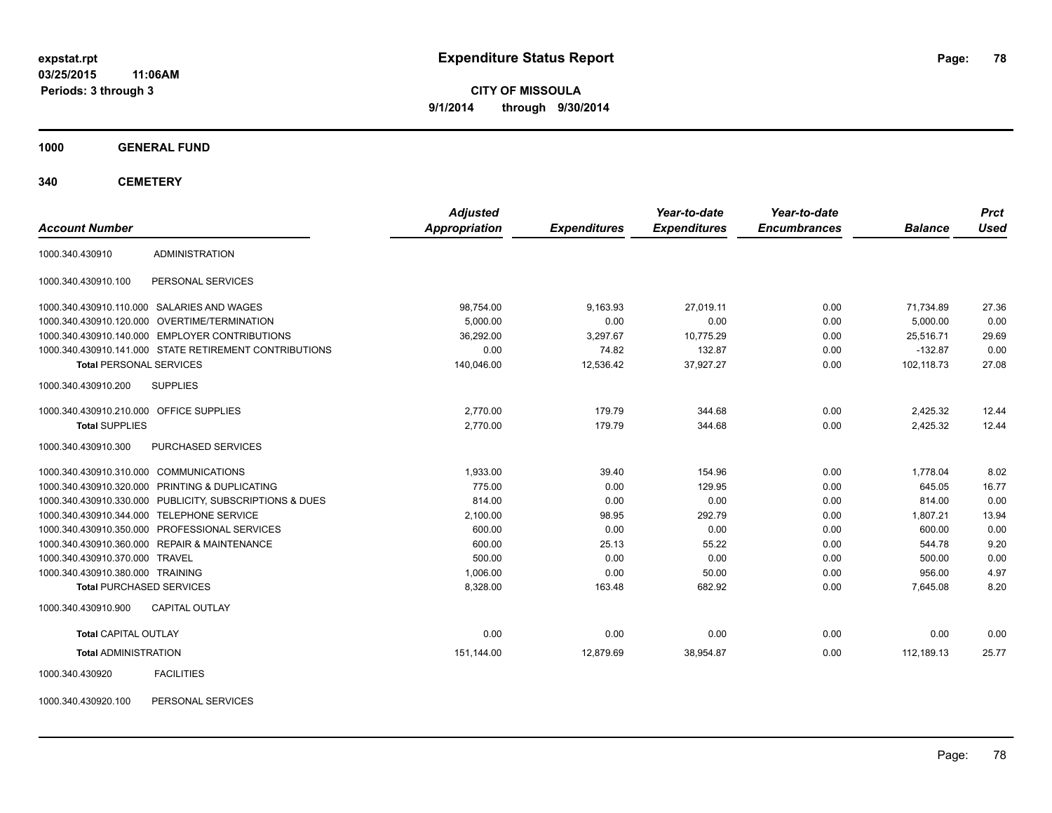**03/25/2015 11:06AM Periods: 3 through 3**

**CITY OF MISSOULA 9/1/2014 through 9/30/2014**

**1000 GENERAL FUND**

**340 CEMETERY**

| <b>Account Number</b>                   |                                                         | <b>Adjusted</b><br>Appropriation | <b>Expenditures</b> | Year-to-date<br><b>Expenditures</b> | Year-to-date<br><b>Encumbrances</b> | <b>Balance</b> | <b>Prct</b><br><b>Used</b> |
|-----------------------------------------|---------------------------------------------------------|----------------------------------|---------------------|-------------------------------------|-------------------------------------|----------------|----------------------------|
| 1000.340.430910                         | <b>ADMINISTRATION</b>                                   |                                  |                     |                                     |                                     |                |                            |
| 1000.340.430910.100                     | PERSONAL SERVICES                                       |                                  |                     |                                     |                                     |                |                            |
|                                         | 1000.340.430910.110.000 SALARIES AND WAGES              | 98,754.00                        | 9,163.93            | 27,019.11                           | 0.00                                | 71,734.89      | 27.36                      |
| 1000.340.430910.120.000                 | OVERTIME/TERMINATION                                    | 5,000.00                         | 0.00                | 0.00                                | 0.00                                | 5,000.00       | 0.00                       |
|                                         | 1000.340.430910.140.000 EMPLOYER CONTRIBUTIONS          | 36,292.00                        | 3,297.67            | 10,775.29                           | 0.00                                | 25,516.71      | 29.69                      |
|                                         | 1000.340.430910.141.000 STATE RETIREMENT CONTRIBUTIONS  | 0.00                             | 74.82               | 132.87                              | 0.00                                | $-132.87$      | 0.00                       |
| <b>Total PERSONAL SERVICES</b>          |                                                         | 140,046.00                       | 12,536.42           | 37,927.27                           | 0.00                                | 102,118.73     | 27.08                      |
| 1000.340.430910.200                     | <b>SUPPLIES</b>                                         |                                  |                     |                                     |                                     |                |                            |
| 1000.340.430910.210.000 OFFICE SUPPLIES |                                                         | 2,770.00                         | 179.79              | 344.68                              | 0.00                                | 2,425.32       | 12.44                      |
| <b>Total SUPPLIES</b>                   |                                                         | 2,770.00                         | 179.79              | 344.68                              | 0.00                                | 2,425.32       | 12.44                      |
| 1000.340.430910.300                     | PURCHASED SERVICES                                      |                                  |                     |                                     |                                     |                |                            |
| 1000.340.430910.310.000 COMMUNICATIONS  |                                                         | 1.933.00                         | 39.40               | 154.96                              | 0.00                                | 1,778.04       | 8.02                       |
|                                         | 1000.340.430910.320.000 PRINTING & DUPLICATING          | 775.00                           | 0.00                | 129.95                              | 0.00                                | 645.05         | 16.77                      |
|                                         | 1000.340.430910.330.000 PUBLICITY, SUBSCRIPTIONS & DUES | 814.00                           | 0.00                | 0.00                                | 0.00                                | 814.00         | 0.00                       |
|                                         | 1000.340.430910.344.000 TELEPHONE SERVICE               | 2,100.00                         | 98.95               | 292.79                              | 0.00                                | 1,807.21       | 13.94                      |
|                                         | 1000.340.430910.350.000 PROFESSIONAL SERVICES           | 600.00                           | 0.00                | 0.00                                | 0.00                                | 600.00         | 0.00                       |
|                                         | 1000.340.430910.360.000 REPAIR & MAINTENANCE            | 600.00                           | 25.13               | 55.22                               | 0.00                                | 544.78         | 9.20                       |
| 1000.340.430910.370.000 TRAVEL          |                                                         | 500.00                           | 0.00                | 0.00                                | 0.00                                | 500.00         | 0.00                       |
| 1000.340.430910.380.000 TRAINING        |                                                         | 1,006.00                         | 0.00                | 50.00                               | 0.00                                | 956.00         | 4.97                       |
| <b>Total PURCHASED SERVICES</b>         |                                                         | 8,328.00                         | 163.48              | 682.92                              | 0.00                                | 7,645.08       | 8.20                       |
| 1000.340.430910.900                     | <b>CAPITAL OUTLAY</b>                                   |                                  |                     |                                     |                                     |                |                            |
| <b>Total CAPITAL OUTLAY</b>             |                                                         | 0.00                             | 0.00                | 0.00                                | 0.00                                | 0.00           | 0.00                       |
| <b>Total ADMINISTRATION</b>             |                                                         | 151,144.00                       | 12,879.69           | 38,954.87                           | 0.00                                | 112,189.13     | 25.77                      |
| 1000.340.430920                         | <b>FACILITIES</b>                                       |                                  |                     |                                     |                                     |                |                            |

1000.340.430920.100 PERSONAL SERVICES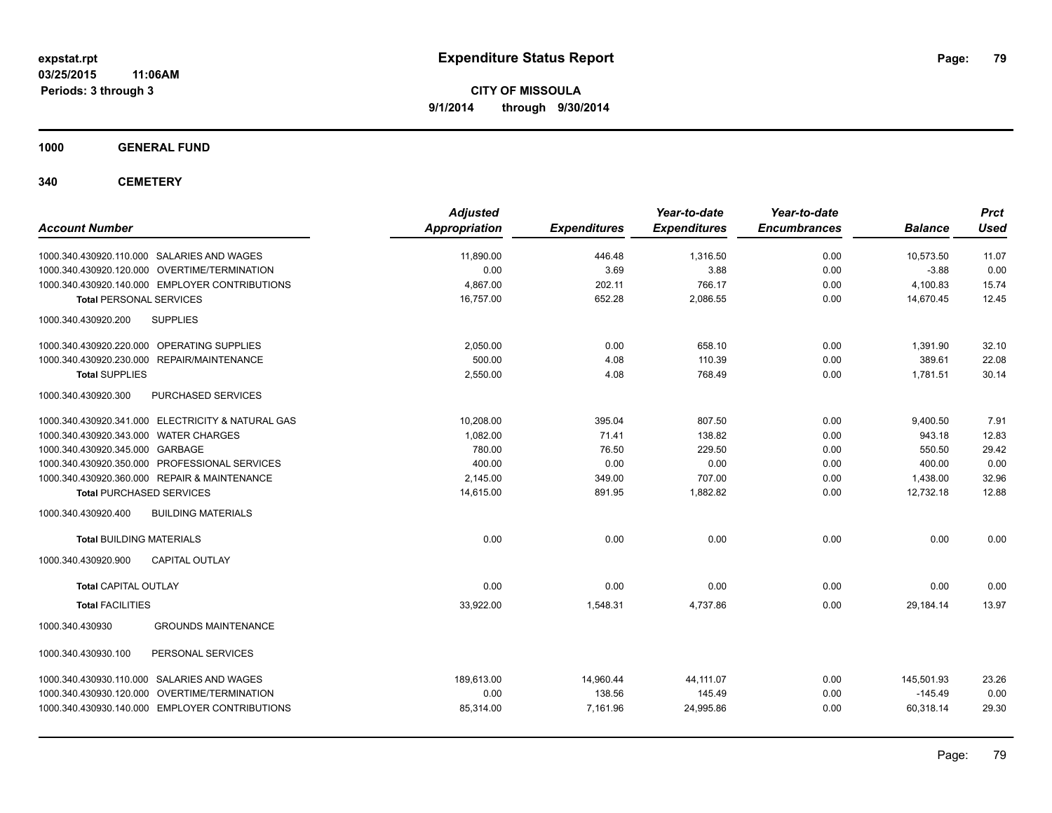**Periods: 3 through 3**

**CITY OF MISSOULA 9/1/2014 through 9/30/2014**

**1000 GENERAL FUND**

**340 CEMETERY**

| <b>Account Number</b>                                | <b>Adjusted</b><br><b>Appropriation</b> | <b>Expenditures</b> | Year-to-date<br><b>Expenditures</b> | Year-to-date<br><b>Encumbrances</b> | <b>Balance</b> | <b>Prct</b><br><b>Used</b> |
|------------------------------------------------------|-----------------------------------------|---------------------|-------------------------------------|-------------------------------------|----------------|----------------------------|
| 1000.340.430920.110.000 SALARIES AND WAGES           | 11,890.00                               | 446.48              | 1,316.50                            | 0.00                                | 10,573.50      | 11.07                      |
| 1000.340.430920.120.000 OVERTIME/TERMINATION         | 0.00                                    | 3.69                | 3.88                                | 0.00                                | $-3.88$        | 0.00                       |
| 1000.340.430920.140.000 EMPLOYER CONTRIBUTIONS       | 4.867.00                                | 202.11              | 766.17                              | 0.00                                | 4,100.83       | 15.74                      |
| <b>Total PERSONAL SERVICES</b>                       | 16,757.00                               | 652.28              | 2,086.55                            | 0.00                                | 14,670.45      | 12.45                      |
| 1000.340.430920.200<br><b>SUPPLIES</b>               |                                         |                     |                                     |                                     |                |                            |
| 1000.340.430920.220.000 OPERATING SUPPLIES           | 2,050.00                                | 0.00                | 658.10                              | 0.00                                | 1,391.90       | 32.10                      |
| 1000.340.430920.230.000<br><b>REPAIR/MAINTENANCE</b> | 500.00                                  | 4.08                | 110.39                              | 0.00                                | 389.61         | 22.08                      |
| <b>Total SUPPLIES</b>                                | 2,550.00                                | 4.08                | 768.49                              | 0.00                                | 1,781.51       | 30.14                      |
| 1000.340.430920.300<br>PURCHASED SERVICES            |                                         |                     |                                     |                                     |                |                            |
| 1000.340.430920.341.000 ELECTRICITY & NATURAL GAS    | 10,208.00                               | 395.04              | 807.50                              | 0.00                                | 9,400.50       | 7.91                       |
| 1000.340.430920.343.000 WATER CHARGES                | 1.082.00                                | 71.41               | 138.82                              | 0.00                                | 943.18         | 12.83                      |
| 1000.340.430920.345.000 GARBAGE                      | 780.00                                  | 76.50               | 229.50                              | 0.00                                | 550.50         | 29.42                      |
| 1000.340.430920.350.000 PROFESSIONAL SERVICES        | 400.00                                  | 0.00                | 0.00                                | 0.00                                | 400.00         | 0.00                       |
| 1000.340.430920.360.000 REPAIR & MAINTENANCE         | 2,145.00                                | 349.00              | 707.00                              | 0.00                                | 1,438.00       | 32.96                      |
| <b>Total PURCHASED SERVICES</b>                      | 14,615.00                               | 891.95              | 1,882.82                            | 0.00                                | 12,732.18      | 12.88                      |
| 1000.340.430920.400<br><b>BUILDING MATERIALS</b>     |                                         |                     |                                     |                                     |                |                            |
| <b>Total BUILDING MATERIALS</b>                      | 0.00                                    | 0.00                | 0.00                                | 0.00                                | 0.00           | 0.00                       |
| 1000.340.430920.900<br><b>CAPITAL OUTLAY</b>         |                                         |                     |                                     |                                     |                |                            |
| <b>Total CAPITAL OUTLAY</b>                          | 0.00                                    | 0.00                | 0.00                                | 0.00                                | 0.00           | 0.00                       |
| <b>Total FACILITIES</b>                              | 33,922.00                               | 1,548.31            | 4,737.86                            | 0.00                                | 29,184.14      | 13.97                      |
| 1000.340.430930<br><b>GROUNDS MAINTENANCE</b>        |                                         |                     |                                     |                                     |                |                            |
| 1000.340.430930.100<br>PERSONAL SERVICES             |                                         |                     |                                     |                                     |                |                            |
| 1000.340.430930.110.000 SALARIES AND WAGES           | 189.613.00                              | 14,960.44           | 44,111.07                           | 0.00                                | 145.501.93     | 23.26                      |
| 1000.340.430930.120.000 OVERTIME/TERMINATION         | 0.00                                    | 138.56              | 145.49                              | 0.00                                | $-145.49$      | 0.00                       |
| 1000.340.430930.140.000 EMPLOYER CONTRIBUTIONS       | 85,314.00                               | 7,161.96            | 24,995.86                           | 0.00                                | 60,318.14      | 29.30                      |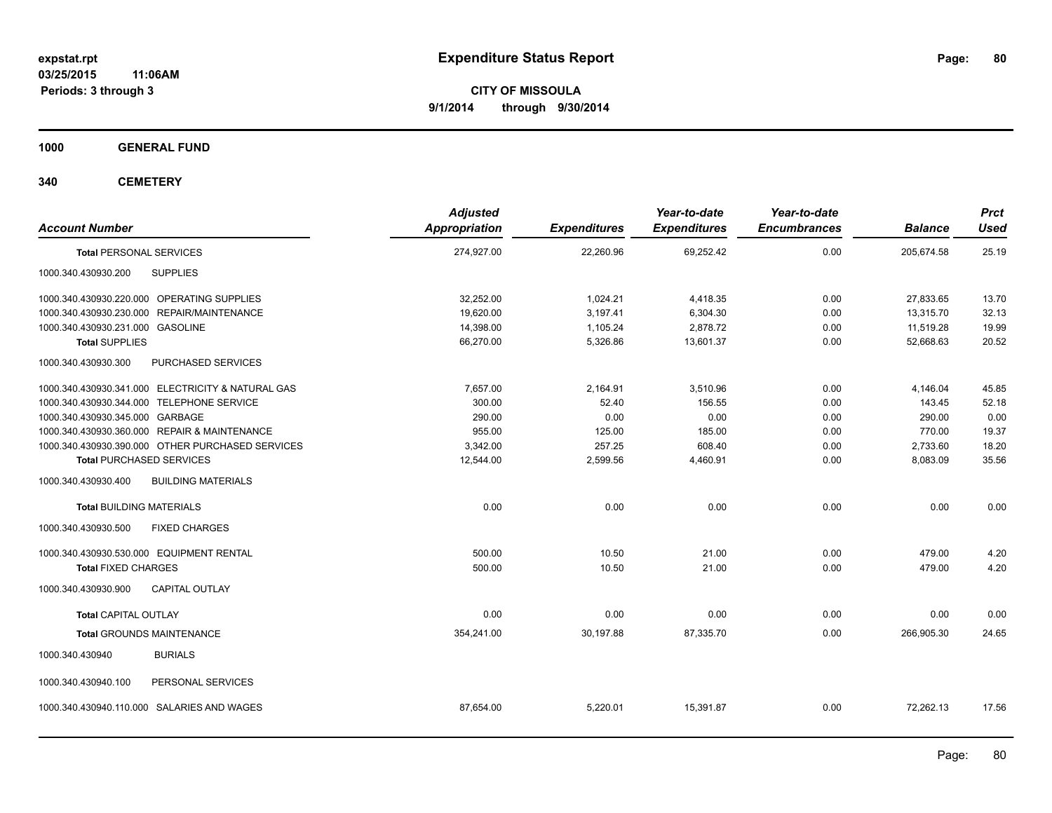**1000 GENERAL FUND**

**340 CEMETERY**

| <b>Account Number</b>                             | <b>Adjusted</b><br><b>Appropriation</b> | <b>Expenditures</b> | Year-to-date<br><b>Expenditures</b> | Year-to-date<br><b>Encumbrances</b> | <b>Balance</b> | <b>Prct</b><br><b>Used</b> |
|---------------------------------------------------|-----------------------------------------|---------------------|-------------------------------------|-------------------------------------|----------------|----------------------------|
| <b>Total PERSONAL SERVICES</b>                    | 274,927.00                              | 22,260.96           | 69,252.42                           | 0.00                                | 205,674.58     | 25.19                      |
| <b>SUPPLIES</b><br>1000.340.430930.200            |                                         |                     |                                     |                                     |                |                            |
| 1000.340.430930.220.000 OPERATING SUPPLIES        | 32.252.00                               | 1,024.21            | 4,418.35                            | 0.00                                | 27,833.65      | 13.70                      |
| 1000.340.430930.230.000 REPAIR/MAINTENANCE        | 19,620.00                               | 3,197.41            | 6,304.30                            | 0.00                                | 13.315.70      | 32.13                      |
| 1000.340.430930.231.000 GASOLINE                  | 14,398.00                               | 1,105.24            | 2,878.72                            | 0.00                                | 11,519.28      | 19.99                      |
| <b>Total SUPPLIES</b>                             | 66,270.00                               | 5,326.86            | 13,601.37                           | 0.00                                | 52,668.63      | 20.52                      |
| PURCHASED SERVICES<br>1000.340.430930.300         |                                         |                     |                                     |                                     |                |                            |
| 1000.340.430930.341.000 ELECTRICITY & NATURAL GAS | 7,657.00                                | 2,164.91            | 3,510.96                            | 0.00                                | 4,146.04       | 45.85                      |
| 1000.340.430930.344.000 TELEPHONE SERVICE         | 300.00                                  | 52.40               | 156.55                              | 0.00                                | 143.45         | 52.18                      |
| 1000.340.430930.345.000 GARBAGE                   | 290.00                                  | 0.00                | 0.00                                | 0.00                                | 290.00         | 0.00                       |
| 1000.340.430930.360.000 REPAIR & MAINTENANCE      | 955.00                                  | 125.00              | 185.00                              | 0.00                                | 770.00         | 19.37                      |
| 1000.340.430930.390.000 OTHER PURCHASED SERVICES  | 3.342.00                                | 257.25              | 608.40                              | 0.00                                | 2,733.60       | 18.20                      |
| <b>Total PURCHASED SERVICES</b>                   | 12,544.00                               | 2,599.56            | 4,460.91                            | 0.00                                | 8,083.09       | 35.56                      |
| 1000.340.430930.400<br><b>BUILDING MATERIALS</b>  |                                         |                     |                                     |                                     |                |                            |
| <b>Total BUILDING MATERIALS</b>                   | 0.00                                    | 0.00                | 0.00                                | 0.00                                | 0.00           | 0.00                       |
| 1000.340.430930.500<br><b>FIXED CHARGES</b>       |                                         |                     |                                     |                                     |                |                            |
| 1000.340.430930.530.000 EQUIPMENT RENTAL          | 500.00                                  | 10.50               | 21.00                               | 0.00                                | 479.00         | 4.20                       |
| <b>Total FIXED CHARGES</b>                        | 500.00                                  | 10.50               | 21.00                               | 0.00                                | 479.00         | 4.20                       |
| 1000.340.430930.900<br><b>CAPITAL OUTLAY</b>      |                                         |                     |                                     |                                     |                |                            |
| <b>Total CAPITAL OUTLAY</b>                       | 0.00                                    | 0.00                | 0.00                                | 0.00                                | 0.00           | 0.00                       |
| <b>Total GROUNDS MAINTENANCE</b>                  | 354,241.00                              | 30,197.88           | 87,335.70                           | 0.00                                | 266,905.30     | 24.65                      |
| <b>BURIALS</b><br>1000.340.430940                 |                                         |                     |                                     |                                     |                |                            |
| 1000.340.430940.100<br>PERSONAL SERVICES          |                                         |                     |                                     |                                     |                |                            |
| 1000.340.430940.110.000 SALARIES AND WAGES        | 87,654.00                               | 5,220.01            | 15,391.87                           | 0.00                                | 72,262.13      | 17.56                      |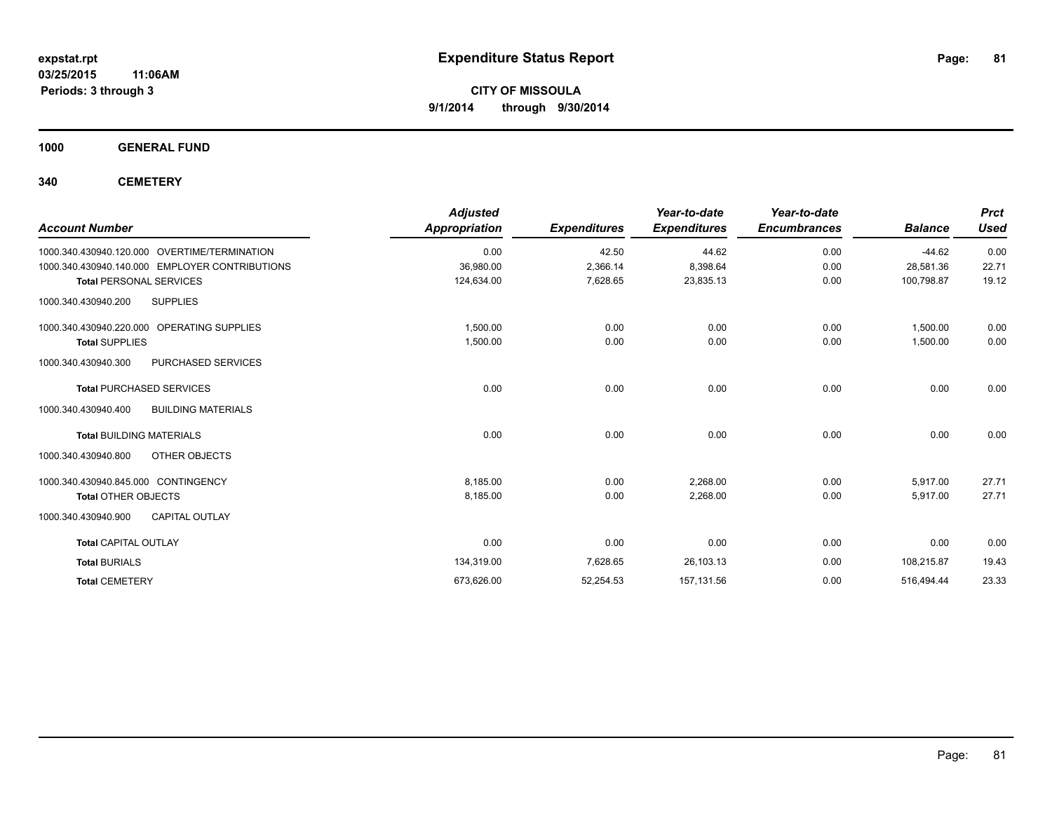**1000 GENERAL FUND**

**340 CEMETERY**

| <b>Account Number</b>                            | <b>Adjusted</b><br><b>Appropriation</b> | <b>Expenditures</b> | Year-to-date<br><b>Expenditures</b> | Year-to-date<br><b>Encumbrances</b> | <b>Balance</b> | <b>Prct</b><br><b>Used</b> |
|--------------------------------------------------|-----------------------------------------|---------------------|-------------------------------------|-------------------------------------|----------------|----------------------------|
| 1000.340.430940.120.000 OVERTIME/TERMINATION     | 0.00                                    | 42.50               | 44.62                               | 0.00                                | $-44.62$       | 0.00                       |
| 1000.340.430940.140.000 EMPLOYER CONTRIBUTIONS   | 36,980.00                               | 2,366.14            | 8,398.64                            | 0.00                                | 28,581.36      | 22.71                      |
| <b>Total PERSONAL SERVICES</b>                   | 124,634.00                              | 7,628.65            | 23,835.13                           | 0.00                                | 100,798.87     | 19.12                      |
| <b>SUPPLIES</b><br>1000.340.430940.200           |                                         |                     |                                     |                                     |                |                            |
| 1000.340.430940.220.000 OPERATING SUPPLIES       | 1,500.00                                | 0.00                | 0.00                                | 0.00                                | 1,500.00       | 0.00                       |
| <b>Total SUPPLIES</b>                            | 1,500.00                                | 0.00                | 0.00                                | 0.00                                | 1,500.00       | 0.00                       |
| 1000.340.430940.300<br>PURCHASED SERVICES        |                                         |                     |                                     |                                     |                |                            |
| <b>Total PURCHASED SERVICES</b>                  | 0.00                                    | 0.00                | 0.00                                | 0.00                                | 0.00           | 0.00                       |
| <b>BUILDING MATERIALS</b><br>1000.340.430940.400 |                                         |                     |                                     |                                     |                |                            |
| <b>Total BUILDING MATERIALS</b>                  | 0.00                                    | 0.00                | 0.00                                | 0.00                                | 0.00           | 0.00                       |
| 1000.340.430940.800<br>OTHER OBJECTS             |                                         |                     |                                     |                                     |                |                            |
| 1000.340.430940.845.000 CONTINGENCY              | 8,185.00                                | 0.00                | 2,268.00                            | 0.00                                | 5,917.00       | 27.71                      |
| <b>Total OTHER OBJECTS</b>                       | 8.185.00                                | 0.00                | 2,268.00                            | 0.00                                | 5.917.00       | 27.71                      |
| 1000.340.430940.900<br><b>CAPITAL OUTLAY</b>     |                                         |                     |                                     |                                     |                |                            |
| <b>Total CAPITAL OUTLAY</b>                      | 0.00                                    | 0.00                | 0.00                                | 0.00                                | 0.00           | 0.00                       |
| <b>Total BURIALS</b>                             | 134,319.00                              | 7,628.65            | 26,103.13                           | 0.00                                | 108,215.87     | 19.43                      |
| <b>Total CEMETERY</b>                            | 673,626.00                              | 52,254.53           | 157,131.56                          | 0.00                                | 516,494.44     | 23.33                      |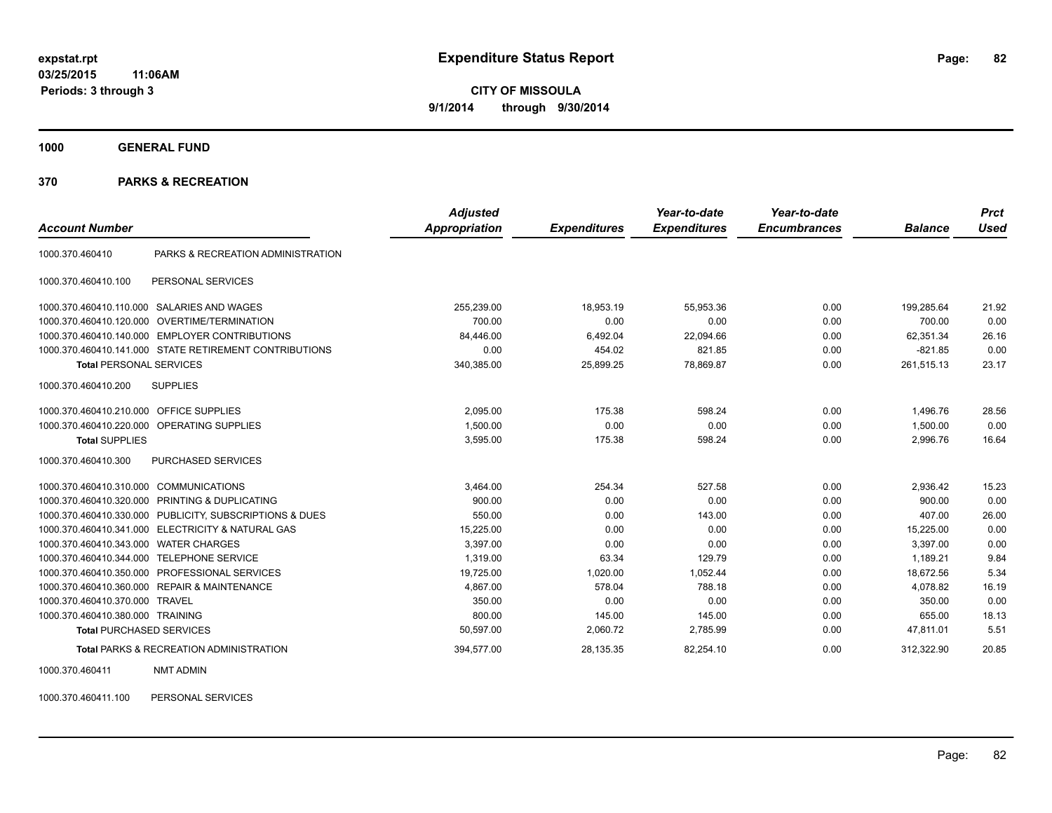**1000 GENERAL FUND**

#### **370 PARKS & RECREATION**

|                                  |                                                        | <b>Adjusted</b> |                     | Year-to-date        | Year-to-date        |                | <b>Prct</b> |
|----------------------------------|--------------------------------------------------------|-----------------|---------------------|---------------------|---------------------|----------------|-------------|
| <b>Account Number</b>            |                                                        | Appropriation   | <b>Expenditures</b> | <b>Expenditures</b> | <b>Encumbrances</b> | <b>Balance</b> | <b>Used</b> |
| 1000.370.460410                  | PARKS & RECREATION ADMINISTRATION                      |                 |                     |                     |                     |                |             |
| 1000.370.460410.100              | PERSONAL SERVICES                                      |                 |                     |                     |                     |                |             |
| 1000.370.460410.110.000          | <b>SALARIES AND WAGES</b>                              | 255,239.00      | 18,953.19           | 55,953.36           | 0.00                | 199,285.64     | 21.92       |
| 1000.370.460410.120.000          | OVERTIME/TERMINATION                                   | 700.00          | 0.00                | 0.00                | 0.00                | 700.00         | 0.00        |
| 1000.370.460410.140.000          | <b>EMPLOYER CONTRIBUTIONS</b>                          | 84.446.00       | 6.492.04            | 22.094.66           | 0.00                | 62.351.34      | 26.16       |
|                                  | 1000.370.460410.141.000 STATE RETIREMENT CONTRIBUTIONS | 0.00            | 454.02              | 821.85              | 0.00                | $-821.85$      | 0.00        |
| <b>Total PERSONAL SERVICES</b>   |                                                        | 340,385.00      | 25,899.25           | 78,869.87           | 0.00                | 261,515.13     | 23.17       |
| 1000.370.460410.200              | <b>SUPPLIES</b>                                        |                 |                     |                     |                     |                |             |
| 1000.370.460410.210.000          | <b>OFFICE SUPPLIES</b>                                 | 2,095.00        | 175.38              | 598.24              | 0.00                | 1,496.76       | 28.56       |
| 1000.370.460410.220.000          | OPERATING SUPPLIES                                     | 1,500.00        | 0.00                | 0.00                | 0.00                | 1,500.00       | 0.00        |
| <b>Total SUPPLIES</b>            |                                                        | 3,595.00        | 175.38              | 598.24              | 0.00                | 2,996.76       | 16.64       |
| 1000.370.460410.300              | PURCHASED SERVICES                                     |                 |                     |                     |                     |                |             |
| 1000.370.460410.310.000          | <b>COMMUNICATIONS</b>                                  | 3,464.00        | 254.34              | 527.58              | 0.00                | 2,936.42       | 15.23       |
| 1000.370.460410.320.000          | PRINTING & DUPLICATING                                 | 900.00          | 0.00                | 0.00                | 0.00                | 900.00         | 0.00        |
| 1000.370.460410.330.000          | PUBLICITY, SUBSCRIPTIONS & DUES                        | 550.00          | 0.00                | 143.00              | 0.00                | 407.00         | 26.00       |
| 1000.370.460410.341.000          | <b>ELECTRICITY &amp; NATURAL GAS</b>                   | 15,225.00       | 0.00                | 0.00                | 0.00                | 15,225.00      | 0.00        |
| 1000.370.460410.343.000          | <b>WATER CHARGES</b>                                   | 3,397.00        | 0.00                | 0.00                | 0.00                | 3,397.00       | 0.00        |
| 1000.370.460410.344.000          | <b>TELEPHONE SERVICE</b>                               | 1.319.00        | 63.34               | 129.79              | 0.00                | 1.189.21       | 9.84        |
| 1000.370.460410.350.000          | PROFESSIONAL SERVICES                                  | 19,725.00       | 1,020.00            | 1,052.44            | 0.00                | 18,672.56      | 5.34        |
|                                  | 1000.370.460410.360.000 REPAIR & MAINTENANCE           | 4,867.00        | 578.04              | 788.18              | 0.00                | 4,078.82       | 16.19       |
| 1000.370.460410.370.000          | <b>TRAVEL</b>                                          | 350.00          | 0.00                | 0.00                | 0.00                | 350.00         | 0.00        |
| 1000.370.460410.380.000 TRAINING |                                                        | 800.00          | 145.00              | 145.00              | 0.00                | 655.00         | 18.13       |
| <b>Total PURCHASED SERVICES</b>  |                                                        | 50,597.00       | 2,060.72            | 2,785.99            | 0.00                | 47,811.01      | 5.51        |
|                                  | <b>Total PARKS &amp; RECREATION ADMINISTRATION</b>     | 394,577.00      | 28,135.35           | 82,254.10           | 0.00                | 312,322.90     | 20.85       |

1000.370.460411 NMT ADMIN

1000.370.460411.100 PERSONAL SERVICES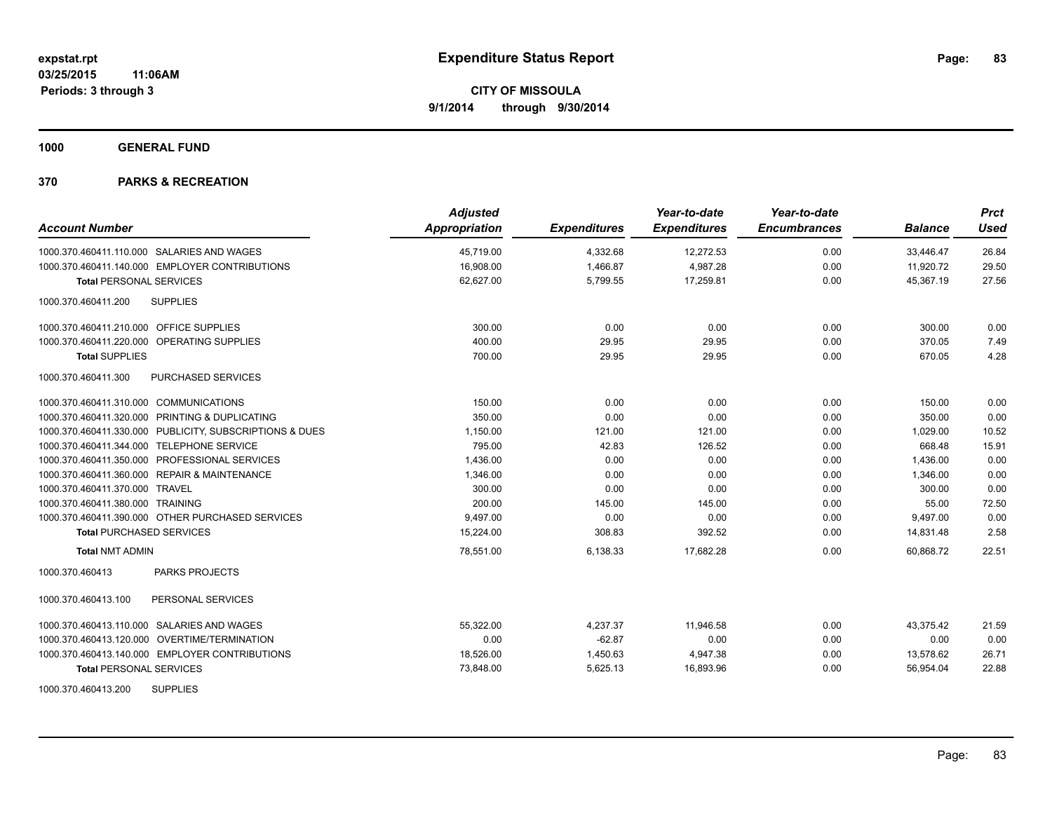**1000 GENERAL FUND**

| <b>Account Number</b>                                   | <b>Adjusted</b><br><b>Appropriation</b> | <b>Expenditures</b> | Year-to-date<br><b>Expenditures</b> | Year-to-date<br><b>Encumbrances</b> | <b>Balance</b> | <b>Prct</b><br><b>Used</b> |
|---------------------------------------------------------|-----------------------------------------|---------------------|-------------------------------------|-------------------------------------|----------------|----------------------------|
| 1000.370.460411.110.000 SALARIES AND WAGES              | 45,719.00                               | 4,332.68            | 12,272.53                           | 0.00                                | 33,446.47      | 26.84                      |
| 1000.370.460411.140.000 EMPLOYER CONTRIBUTIONS          | 16,908.00                               | 1,466.87            | 4,987.28                            | 0.00                                | 11,920.72      | 29.50                      |
| <b>Total PERSONAL SERVICES</b>                          | 62,627.00                               | 5,799.55            | 17,259.81                           | 0.00                                | 45,367.19      | 27.56                      |
| <b>SUPPLIES</b><br>1000.370.460411.200                  |                                         |                     |                                     |                                     |                |                            |
| 1000.370.460411.210.000 OFFICE SUPPLIES                 | 300.00                                  | 0.00                | 0.00                                | 0.00                                | 300.00         | 0.00                       |
| 1000.370.460411.220.000 OPERATING SUPPLIES              | 400.00                                  | 29.95               | 29.95                               | 0.00                                | 370.05         | 7.49                       |
| <b>Total SUPPLIES</b>                                   | 700.00                                  | 29.95               | 29.95                               | 0.00                                | 670.05         | 4.28                       |
| 1000.370.460411.300<br><b>PURCHASED SERVICES</b>        |                                         |                     |                                     |                                     |                |                            |
| 1000.370.460411.310.000 COMMUNICATIONS                  | 150.00                                  | 0.00                | 0.00                                | 0.00                                | 150.00         | 0.00                       |
| 1000.370.460411.320.000 PRINTING & DUPLICATING          | 350.00                                  | 0.00                | 0.00                                | 0.00                                | 350.00         | 0.00                       |
| 1000.370.460411.330.000 PUBLICITY, SUBSCRIPTIONS & DUES | 1,150.00                                | 121.00              | 121.00                              | 0.00                                | 1,029.00       | 10.52                      |
| 1000.370.460411.344.000 TELEPHONE SERVICE               | 795.00                                  | 42.83               | 126.52                              | 0.00                                | 668.48         | 15.91                      |
| 1000.370.460411.350.000 PROFESSIONAL SERVICES           | 1,436.00                                | 0.00                | 0.00                                | 0.00                                | 1,436.00       | 0.00                       |
| 1000.370.460411.360.000 REPAIR & MAINTENANCE            | 1,346.00                                | 0.00                | 0.00                                | 0.00                                | 1,346.00       | 0.00                       |
| 1000.370.460411.370.000 TRAVEL                          | 300.00                                  | 0.00                | 0.00                                | 0.00                                | 300.00         | 0.00                       |
| 1000.370.460411.380.000 TRAINING                        | 200.00                                  | 145.00              | 145.00                              | 0.00                                | 55.00          | 72.50                      |
| 1000.370.460411.390.000 OTHER PURCHASED SERVICES        | 9,497.00                                | 0.00                | 0.00                                | 0.00                                | 9,497.00       | 0.00                       |
| <b>Total PURCHASED SERVICES</b>                         | 15,224.00                               | 308.83              | 392.52                              | 0.00                                | 14,831.48      | 2.58                       |
| <b>Total NMT ADMIN</b>                                  | 78,551.00                               | 6,138.33            | 17,682.28                           | 0.00                                | 60.868.72      | 22.51                      |
| 1000.370.460413<br><b>PARKS PROJECTS</b>                |                                         |                     |                                     |                                     |                |                            |
| 1000.370.460413.100<br>PERSONAL SERVICES                |                                         |                     |                                     |                                     |                |                            |
| 1000.370.460413.110.000 SALARIES AND WAGES              | 55,322.00                               | 4,237.37            | 11,946.58                           | 0.00                                | 43,375.42      | 21.59                      |
| 1000.370.460413.120.000 OVERTIME/TERMINATION            | 0.00                                    | $-62.87$            | 0.00                                | 0.00                                | 0.00           | 0.00                       |
| 1000.370.460413.140.000 EMPLOYER CONTRIBUTIONS          | 18,526.00                               | 1,450.63            | 4,947.38                            | 0.00                                | 13,578.62      | 26.71                      |
| <b>Total PERSONAL SERVICES</b>                          | 73,848.00                               | 5,625.13            | 16,893.96                           | 0.00                                | 56,954.04      | 22.88                      |
| <b>SUPPLIES</b><br>1000.370.460413.200                  |                                         |                     |                                     |                                     |                |                            |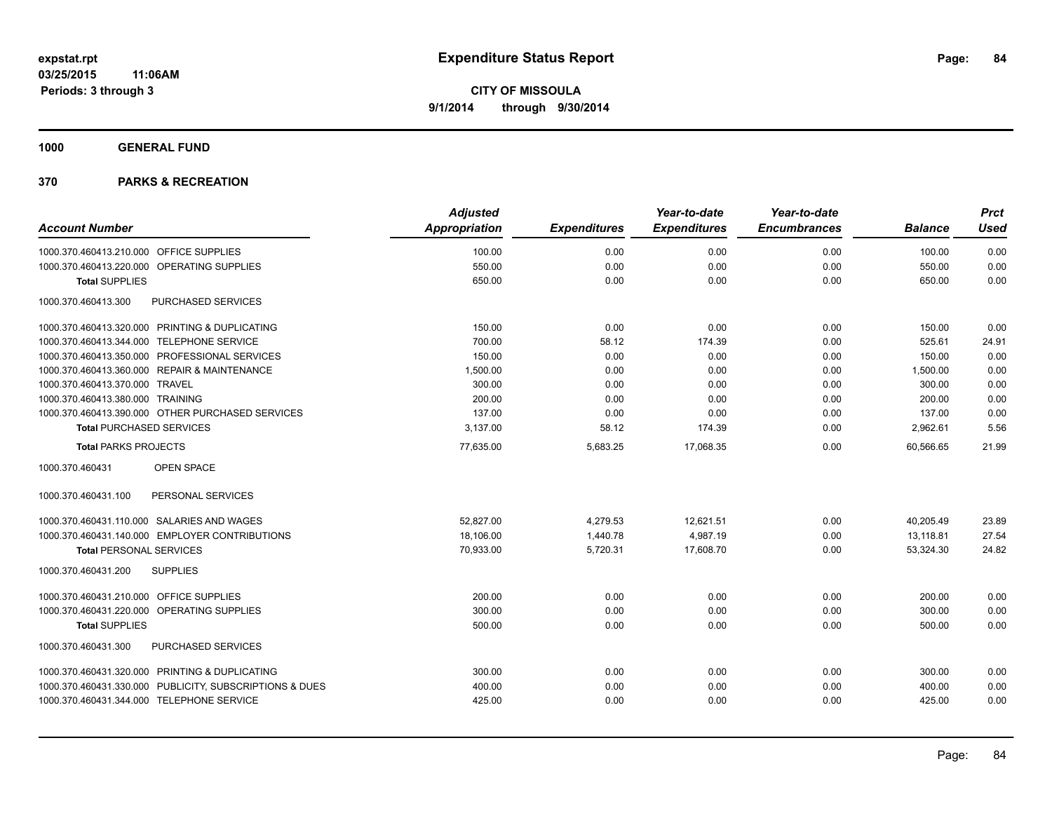**1000 GENERAL FUND**

|                                                         | <b>Adjusted</b>      |                     | Year-to-date        | Year-to-date        |                | <b>Prct</b> |
|---------------------------------------------------------|----------------------|---------------------|---------------------|---------------------|----------------|-------------|
| <b>Account Number</b>                                   | <b>Appropriation</b> | <b>Expenditures</b> | <b>Expenditures</b> | <b>Encumbrances</b> | <b>Balance</b> | <b>Used</b> |
| 1000.370.460413.210.000 OFFICE SUPPLIES                 | 100.00               | 0.00                | 0.00                | 0.00                | 100.00         | 0.00        |
| 1000.370.460413.220.000 OPERATING SUPPLIES              | 550.00               | 0.00                | 0.00                | 0.00                | 550.00         | 0.00        |
| <b>Total SUPPLIES</b>                                   | 650.00               | 0.00                | 0.00                | 0.00                | 650.00         | 0.00        |
| PURCHASED SERVICES<br>1000.370.460413.300               |                      |                     |                     |                     |                |             |
| 1000.370.460413.320.000 PRINTING & DUPLICATING          | 150.00               | 0.00                | 0.00                | 0.00                | 150.00         | 0.00        |
| 1000.370.460413.344.000 TELEPHONE SERVICE               | 700.00               | 58.12               | 174.39              | 0.00                | 525.61         | 24.91       |
| 1000.370.460413.350.000 PROFESSIONAL SERVICES           | 150.00               | 0.00                | 0.00                | 0.00                | 150.00         | 0.00        |
| 1000.370.460413.360.000 REPAIR & MAINTENANCE            | 1,500.00             | 0.00                | 0.00                | 0.00                | 1,500.00       | 0.00        |
| 1000.370.460413.370.000 TRAVEL                          | 300.00               | 0.00                | 0.00                | 0.00                | 300.00         | 0.00        |
| 1000.370.460413.380.000 TRAINING                        | 200.00               | 0.00                | 0.00                | 0.00                | 200.00         | 0.00        |
| 1000.370.460413.390.000 OTHER PURCHASED SERVICES        | 137.00               | 0.00                | 0.00                | 0.00                | 137.00         | 0.00        |
| <b>Total PURCHASED SERVICES</b>                         | 3,137.00             | 58.12               | 174.39              | 0.00                | 2,962.61       | 5.56        |
| <b>Total PARKS PROJECTS</b>                             | 77,635.00            | 5,683.25            | 17,068.35           | 0.00                | 60,566.65      | 21.99       |
| 1000.370.460431<br><b>OPEN SPACE</b>                    |                      |                     |                     |                     |                |             |
| PERSONAL SERVICES<br>1000.370.460431.100                |                      |                     |                     |                     |                |             |
| 1000.370.460431.110.000 SALARIES AND WAGES              | 52.827.00            | 4,279.53            | 12,621.51           | 0.00                | 40,205.49      | 23.89       |
| 1000.370.460431.140.000 EMPLOYER CONTRIBUTIONS          | 18,106.00            | 1,440.78            | 4,987.19            | 0.00                | 13,118.81      | 27.54       |
| <b>Total PERSONAL SERVICES</b>                          | 70,933.00            | 5,720.31            | 17,608.70           | 0.00                | 53,324.30      | 24.82       |
| 1000.370.460431.200<br><b>SUPPLIES</b>                  |                      |                     |                     |                     |                |             |
| 1000.370.460431.210.000 OFFICE SUPPLIES                 | 200.00               | 0.00                | 0.00                | 0.00                | 200.00         | 0.00        |
| 1000.370.460431.220.000 OPERATING SUPPLIES              | 300.00               | 0.00                | 0.00                | 0.00                | 300.00         | 0.00        |
| <b>Total SUPPLIES</b>                                   | 500.00               | 0.00                | 0.00                | 0.00                | 500.00         | 0.00        |
| PURCHASED SERVICES<br>1000.370.460431.300               |                      |                     |                     |                     |                |             |
| 1000.370.460431.320.000 PRINTING & DUPLICATING          | 300.00               | 0.00                | 0.00                | 0.00                | 300.00         | 0.00        |
| 1000.370.460431.330.000 PUBLICITY, SUBSCRIPTIONS & DUES | 400.00               | 0.00                | 0.00                | 0.00                | 400.00         | 0.00        |
| 1000.370.460431.344.000 TELEPHONE SERVICE               | 425.00               | 0.00                | 0.00                | 0.00                | 425.00         | 0.00        |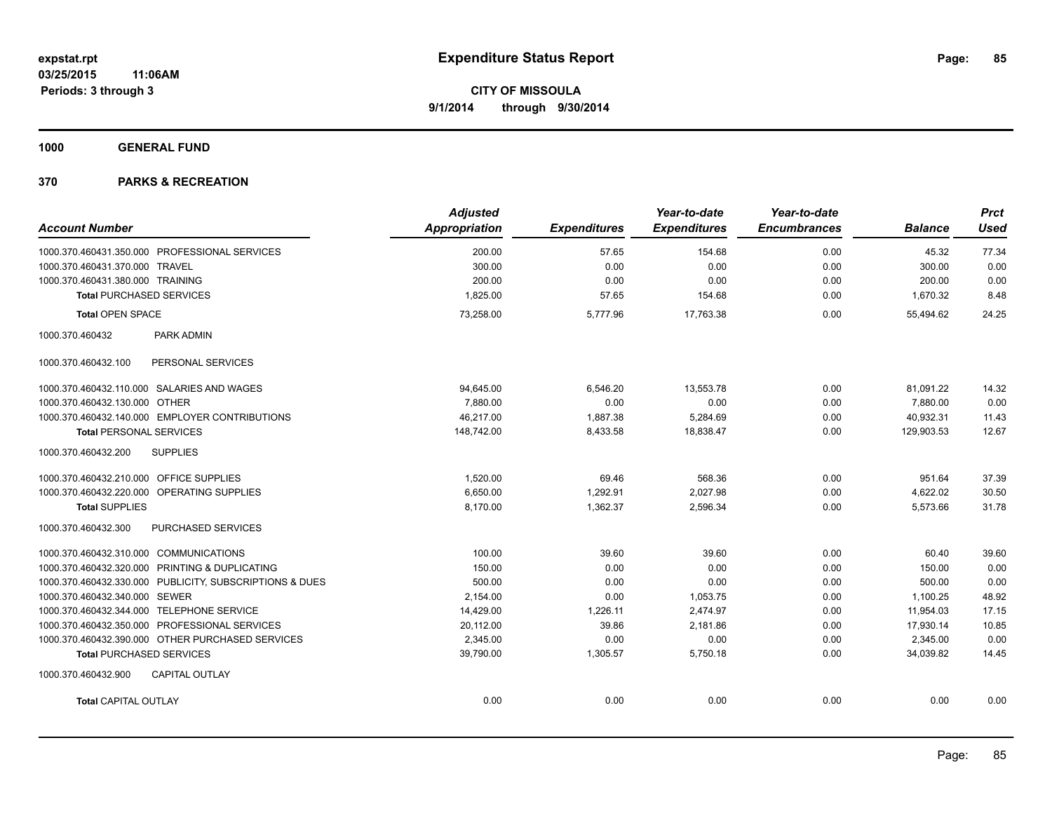**1000 GENERAL FUND**

|                                                         | <b>Adjusted</b>      |                     | Year-to-date        | Year-to-date        |                | <b>Prct</b> |
|---------------------------------------------------------|----------------------|---------------------|---------------------|---------------------|----------------|-------------|
| <b>Account Number</b>                                   | <b>Appropriation</b> | <b>Expenditures</b> | <b>Expenditures</b> | <b>Encumbrances</b> | <b>Balance</b> | <b>Used</b> |
| 1000.370.460431.350.000 PROFESSIONAL SERVICES           | 200.00               | 57.65               | 154.68              | 0.00                | 45.32          | 77.34       |
| 1000.370.460431.370.000 TRAVEL                          | 300.00               | 0.00                | 0.00                | 0.00                | 300.00         | 0.00        |
| 1000.370.460431.380.000 TRAINING                        | 200.00               | 0.00                | 0.00                | 0.00                | 200.00         | 0.00        |
| <b>Total PURCHASED SERVICES</b>                         | 1,825.00             | 57.65               | 154.68              | 0.00                | 1,670.32       | 8.48        |
| <b>Total OPEN SPACE</b>                                 | 73,258.00            | 5,777.96            | 17,763.38           | 0.00                | 55,494.62      | 24.25       |
| 1000.370.460432<br><b>PARK ADMIN</b>                    |                      |                     |                     |                     |                |             |
| PERSONAL SERVICES<br>1000.370.460432.100                |                      |                     |                     |                     |                |             |
| 1000.370.460432.110.000 SALARIES AND WAGES              | 94.645.00            | 6.546.20            | 13.553.78           | 0.00                | 81,091.22      | 14.32       |
| 1000.370.460432.130.000 OTHER                           | 7,880.00             | 0.00                | 0.00                | 0.00                | 7,880.00       | 0.00        |
| 1000.370.460432.140.000 EMPLOYER CONTRIBUTIONS          | 46,217.00            | 1,887.38            | 5,284.69            | 0.00                | 40,932.31      | 11.43       |
| <b>Total PERSONAL SERVICES</b>                          | 148,742.00           | 8,433.58            | 18,838.47           | 0.00                | 129,903.53     | 12.67       |
| <b>SUPPLIES</b><br>1000.370.460432.200                  |                      |                     |                     |                     |                |             |
| 1000.370.460432.210.000 OFFICE SUPPLIES                 | 1,520.00             | 69.46               | 568.36              | 0.00                | 951.64         | 37.39       |
| 1000.370.460432.220.000 OPERATING SUPPLIES              | 6,650.00             | 1,292.91            | 2,027.98            | 0.00                | 4,622.02       | 30.50       |
| <b>Total SUPPLIES</b>                                   | 8,170.00             | 1.362.37            | 2,596.34            | 0.00                | 5,573.66       | 31.78       |
| PURCHASED SERVICES<br>1000.370.460432.300               |                      |                     |                     |                     |                |             |
| 1000.370.460432.310.000 COMMUNICATIONS                  | 100.00               | 39.60               | 39.60               | 0.00                | 60.40          | 39.60       |
| 1000.370.460432.320.000 PRINTING & DUPLICATING          | 150.00               | 0.00                | 0.00                | 0.00                | 150.00         | 0.00        |
| 1000.370.460432.330.000 PUBLICITY, SUBSCRIPTIONS & DUES | 500.00               | 0.00                | 0.00                | 0.00                | 500.00         | 0.00        |
| 1000.370.460432.340.000 SEWER                           | 2,154.00             | 0.00                | 1,053.75            | 0.00                | 1,100.25       | 48.92       |
| 1000.370.460432.344.000 TELEPHONE SERVICE               | 14,429.00            | 1,226.11            | 2,474.97            | 0.00                | 11,954.03      | 17.15       |
| 1000.370.460432.350.000 PROFESSIONAL SERVICES           | 20,112.00            | 39.86               | 2,181.86            | 0.00                | 17,930.14      | 10.85       |
| 1000.370.460432.390.000 OTHER PURCHASED SERVICES        | 2.345.00             | 0.00                | 0.00                | 0.00                | 2,345.00       | 0.00        |
| <b>Total PURCHASED SERVICES</b>                         | 39,790.00            | 1,305.57            | 5,750.18            | 0.00                | 34.039.82      | 14.45       |
| 1000.370.460432.900<br><b>CAPITAL OUTLAY</b>            |                      |                     |                     |                     |                |             |
| <b>Total CAPITAL OUTLAY</b>                             | 0.00                 | 0.00                | 0.00                | 0.00                | 0.00           | 0.00        |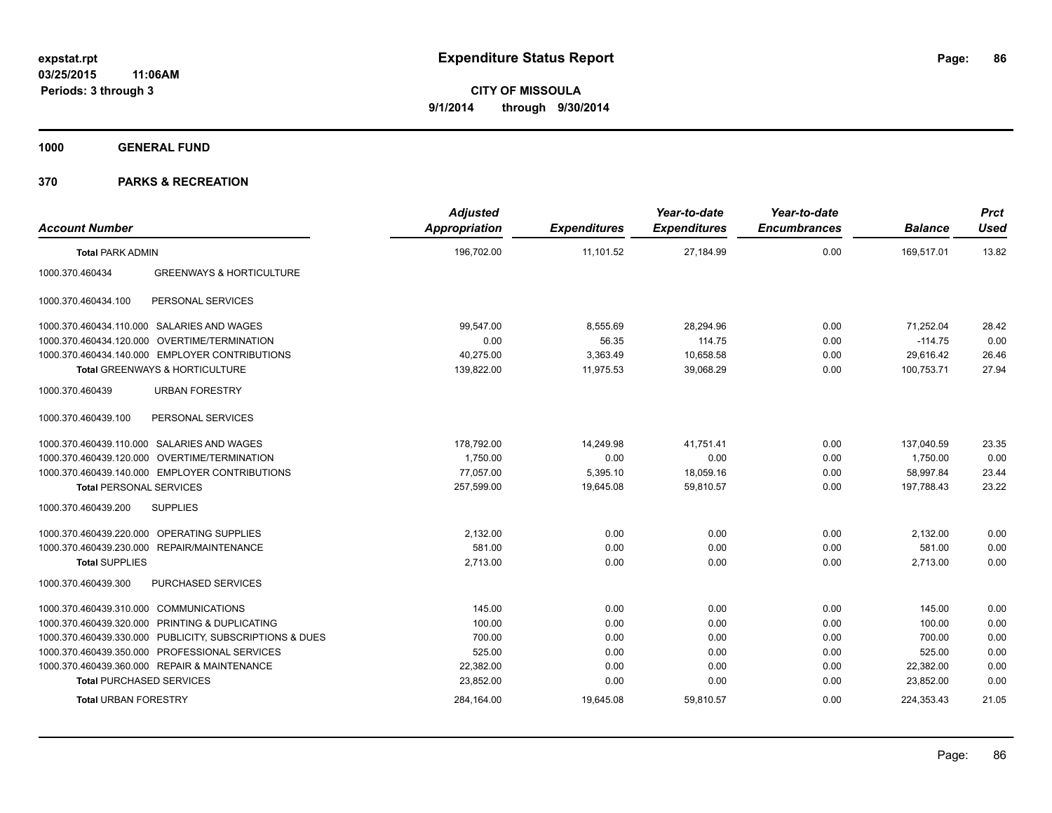**1000 GENERAL FUND**

| <b>Account Number</b>                  |                                                         | <b>Adjusted</b><br>Appropriation | <b>Expenditures</b> | Year-to-date<br><b>Expenditures</b> | Year-to-date<br><b>Encumbrances</b> | <b>Balance</b> | <b>Prct</b><br><b>Used</b> |
|----------------------------------------|---------------------------------------------------------|----------------------------------|---------------------|-------------------------------------|-------------------------------------|----------------|----------------------------|
| <b>Total PARK ADMIN</b>                |                                                         | 196,702.00                       | 11,101.52           | 27,184.99                           | 0.00                                | 169,517.01     | 13.82                      |
| 1000.370.460434                        | <b>GREENWAYS &amp; HORTICULTURE</b>                     |                                  |                     |                                     |                                     |                |                            |
| 1000.370.460434.100                    | PERSONAL SERVICES                                       |                                  |                     |                                     |                                     |                |                            |
|                                        | 1000.370.460434.110.000 SALARIES AND WAGES              | 99,547.00                        | 8,555.69            | 28.294.96                           | 0.00                                | 71.252.04      | 28.42                      |
|                                        | 1000.370.460434.120.000 OVERTIME/TERMINATION            | 0.00                             | 56.35               | 114.75                              | 0.00                                | $-114.75$      | 0.00                       |
|                                        | 1000.370.460434.140.000 EMPLOYER CONTRIBUTIONS          | 40,275.00                        | 3,363.49            | 10,658.58                           | 0.00                                | 29,616.42      | 26.46                      |
|                                        | Total GREENWAYS & HORTICULTURE                          | 139,822.00                       | 11,975.53           | 39,068.29                           | 0.00                                | 100,753.71     | 27.94                      |
| 1000.370.460439                        | <b>URBAN FORESTRY</b>                                   |                                  |                     |                                     |                                     |                |                            |
| 1000.370.460439.100                    | PERSONAL SERVICES                                       |                                  |                     |                                     |                                     |                |                            |
|                                        | 1000.370.460439.110.000 SALARIES AND WAGES              | 178,792.00                       | 14.249.98           | 41.751.41                           | 0.00                                | 137.040.59     | 23.35                      |
|                                        | 1000.370.460439.120.000 OVERTIME/TERMINATION            | 1,750.00                         | 0.00                | 0.00                                | 0.00                                | 1,750.00       | 0.00                       |
|                                        | 1000.370.460439.140.000 EMPLOYER CONTRIBUTIONS          | 77.057.00                        | 5,395.10            | 18,059.16                           | 0.00                                | 58.997.84      | 23.44                      |
| <b>Total PERSONAL SERVICES</b>         |                                                         | 257,599.00                       | 19,645.08           | 59,810.57                           | 0.00                                | 197,788.43     | 23.22                      |
| 1000.370.460439.200                    | <b>SUPPLIES</b>                                         |                                  |                     |                                     |                                     |                |                            |
|                                        | 1000.370.460439.220.000 OPERATING SUPPLIES              | 2.132.00                         | 0.00                | 0.00                                | 0.00                                | 2,132.00       | 0.00                       |
|                                        | 1000.370.460439.230.000 REPAIR/MAINTENANCE              | 581.00                           | 0.00                | 0.00                                | 0.00                                | 581.00         | 0.00                       |
| <b>Total SUPPLIES</b>                  |                                                         | 2,713.00                         | 0.00                | 0.00                                | 0.00                                | 2,713.00       | 0.00                       |
| 1000.370.460439.300                    | PURCHASED SERVICES                                      |                                  |                     |                                     |                                     |                |                            |
| 1000.370.460439.310.000 COMMUNICATIONS |                                                         | 145.00                           | 0.00                | 0.00                                | 0.00                                | 145.00         | 0.00                       |
|                                        | 1000.370.460439.320.000 PRINTING & DUPLICATING          | 100.00                           | 0.00                | 0.00                                | 0.00                                | 100.00         | 0.00                       |
|                                        | 1000.370.460439.330.000 PUBLICITY, SUBSCRIPTIONS & DUES | 700.00                           | 0.00                | 0.00                                | 0.00                                | 700.00         | 0.00                       |
|                                        | 1000.370.460439.350.000 PROFESSIONAL SERVICES           | 525.00                           | 0.00                | 0.00                                | 0.00                                | 525.00         | 0.00                       |
|                                        | 1000.370.460439.360.000 REPAIR & MAINTENANCE            | 22,382.00                        | 0.00                | 0.00                                | 0.00                                | 22,382.00      | 0.00                       |
| <b>Total PURCHASED SERVICES</b>        |                                                         | 23,852.00                        | 0.00                | 0.00                                | 0.00                                | 23,852.00      | 0.00                       |
| <b>Total URBAN FORESTRY</b>            |                                                         | 284,164.00                       | 19,645.08           | 59,810.57                           | 0.00                                | 224,353.43     | 21.05                      |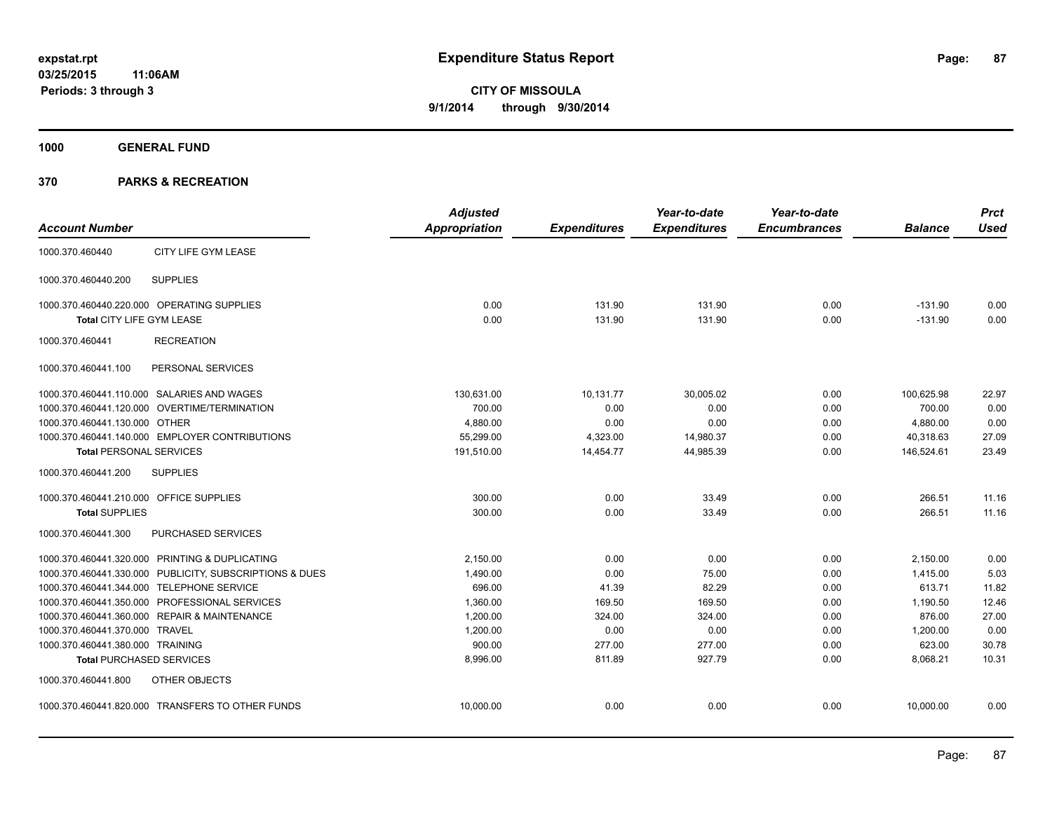**1000 GENERAL FUND**

|                                         |                                                         | <b>Adjusted</b>      |                     | Year-to-date        | Year-to-date        |                | <b>Prct</b> |
|-----------------------------------------|---------------------------------------------------------|----------------------|---------------------|---------------------|---------------------|----------------|-------------|
| <b>Account Number</b>                   |                                                         | <b>Appropriation</b> | <b>Expenditures</b> | <b>Expenditures</b> | <b>Encumbrances</b> | <b>Balance</b> | <b>Used</b> |
| 1000.370.460440                         | CITY LIFE GYM LEASE                                     |                      |                     |                     |                     |                |             |
| 1000.370.460440.200                     | <b>SUPPLIES</b>                                         |                      |                     |                     |                     |                |             |
|                                         | 1000.370.460440.220.000 OPERATING SUPPLIES              | 0.00                 | 131.90              | 131.90              | 0.00                | $-131.90$      | 0.00        |
| Total CITY LIFE GYM LEASE               |                                                         | 0.00                 | 131.90              | 131.90              | 0.00                | $-131.90$      | 0.00        |
| 1000.370.460441                         | <b>RECREATION</b>                                       |                      |                     |                     |                     |                |             |
| 1000.370.460441.100                     | PERSONAL SERVICES                                       |                      |                     |                     |                     |                |             |
|                                         | 1000.370.460441.110.000 SALARIES AND WAGES              | 130,631.00           | 10,131.77           | 30,005.02           | 0.00                | 100,625.98     | 22.97       |
|                                         | 1000.370.460441.120.000 OVERTIME/TERMINATION            | 700.00               | 0.00                | 0.00                | 0.00                | 700.00         | 0.00        |
| 1000.370.460441.130.000 OTHER           |                                                         | 4,880.00             | 0.00                | 0.00                | 0.00                | 4,880.00       | 0.00        |
|                                         | 1000.370.460441.140.000 EMPLOYER CONTRIBUTIONS          | 55,299.00            | 4,323.00            | 14,980.37           | 0.00                | 40,318.63      | 27.09       |
| <b>Total PERSONAL SERVICES</b>          |                                                         | 191,510.00           | 14,454.77           | 44,985.39           | 0.00                | 146.524.61     | 23.49       |
| 1000.370.460441.200                     | <b>SUPPLIES</b>                                         |                      |                     |                     |                     |                |             |
| 1000.370.460441.210.000 OFFICE SUPPLIES |                                                         | 300.00               | 0.00                | 33.49               | 0.00                | 266.51         | 11.16       |
| <b>Total SUPPLIES</b>                   |                                                         | 300.00               | 0.00                | 33.49               | 0.00                | 266.51         | 11.16       |
| 1000.370.460441.300                     | PURCHASED SERVICES                                      |                      |                     |                     |                     |                |             |
|                                         | 1000.370.460441.320.000 PRINTING & DUPLICATING          | 2.150.00             | 0.00                | 0.00                | 0.00                | 2,150.00       | 0.00        |
|                                         | 1000.370.460441.330.000 PUBLICITY, SUBSCRIPTIONS & DUES | 1,490.00             | 0.00                | 75.00               | 0.00                | 1,415.00       | 5.03        |
|                                         | 1000.370.460441.344.000 TELEPHONE SERVICE               | 696.00               | 41.39               | 82.29               | 0.00                | 613.71         | 11.82       |
|                                         | 1000.370.460441.350.000 PROFESSIONAL SERVICES           | 1,360.00             | 169.50              | 169.50              | 0.00                | 1,190.50       | 12.46       |
|                                         | 1000.370.460441.360.000 REPAIR & MAINTENANCE            | 1,200.00             | 324.00              | 324.00              | 0.00                | 876.00         | 27.00       |
| 1000.370.460441.370.000 TRAVEL          |                                                         | 1,200.00             | 0.00                | 0.00                | 0.00                | 1,200.00       | 0.00        |
| 1000.370.460441.380.000 TRAINING        |                                                         | 900.00               | 277.00              | 277.00              | 0.00                | 623.00         | 30.78       |
|                                         | <b>Total PURCHASED SERVICES</b>                         | 8,996.00             | 811.89              | 927.79              | 0.00                | 8,068.21       | 10.31       |
| 1000.370.460441.800                     | OTHER OBJECTS                                           |                      |                     |                     |                     |                |             |
|                                         | 1000.370.460441.820.000 TRANSFERS TO OTHER FUNDS        | 10,000.00            | 0.00                | 0.00                | 0.00                | 10,000.00      | 0.00        |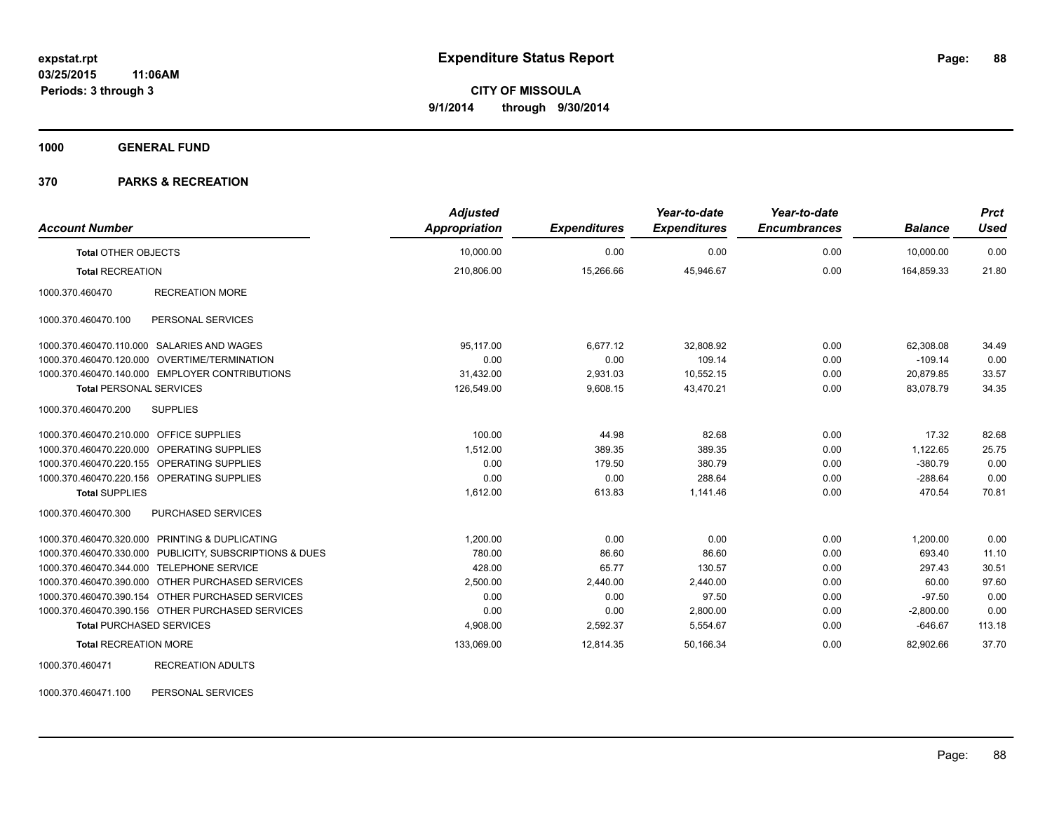**1000 GENERAL FUND**

### **370 PARKS & RECREATION**

| <b>Account Number</b>                   |                                                         | <b>Adjusted</b><br><b>Appropriation</b> | <b>Expenditures</b> | Year-to-date<br><b>Expenditures</b> | Year-to-date<br><b>Encumbrances</b> | <b>Balance</b> | <b>Prct</b><br><b>Used</b> |
|-----------------------------------------|---------------------------------------------------------|-----------------------------------------|---------------------|-------------------------------------|-------------------------------------|----------------|----------------------------|
| <b>Total OTHER OBJECTS</b>              |                                                         | 10,000.00                               | 0.00                | 0.00                                | 0.00                                | 10,000.00      | 0.00                       |
| <b>Total RECREATION</b>                 |                                                         | 210,806.00                              | 15,266.66           | 45,946.67                           | 0.00                                | 164,859.33     | 21.80                      |
| 1000.370.460470                         | <b>RECREATION MORE</b>                                  |                                         |                     |                                     |                                     |                |                            |
| 1000.370.460470.100                     | PERSONAL SERVICES                                       |                                         |                     |                                     |                                     |                |                            |
|                                         | 1000.370.460470.110.000 SALARIES AND WAGES              | 95.117.00                               | 6.677.12            | 32,808.92                           | 0.00                                | 62,308.08      | 34.49                      |
| 1000.370.460470.120.000                 | <b>OVERTIME/TERMINATION</b>                             | 0.00                                    | 0.00                | 109.14                              | 0.00                                | $-109.14$      | 0.00                       |
|                                         | 1000.370.460470.140.000 EMPLOYER CONTRIBUTIONS          | 31,432.00                               | 2,931.03            | 10,552.15                           | 0.00                                | 20,879.85      | 33.57                      |
| <b>Total PERSONAL SERVICES</b>          |                                                         | 126,549.00                              | 9,608.15            | 43,470.21                           | 0.00                                | 83,078.79      | 34.35                      |
| 1000.370.460470.200                     | <b>SUPPLIES</b>                                         |                                         |                     |                                     |                                     |                |                            |
| 1000.370.460470.210.000 OFFICE SUPPLIES |                                                         | 100.00                                  | 44.98               | 82.68                               | 0.00                                | 17.32          | 82.68                      |
|                                         | 1000.370.460470.220.000 OPERATING SUPPLIES              | 1,512.00                                | 389.35              | 389.35                              | 0.00                                | 1,122.65       | 25.75                      |
|                                         | 1000.370.460470.220.155 OPERATING SUPPLIES              | 0.00                                    | 179.50              | 380.79                              | 0.00                                | $-380.79$      | 0.00                       |
|                                         | 1000.370.460470.220.156 OPERATING SUPPLIES              | 0.00                                    | 0.00                | 288.64                              | 0.00                                | $-288.64$      | 0.00                       |
| <b>Total SUPPLIES</b>                   |                                                         | 1,612.00                                | 613.83              | 1,141.46                            | 0.00                                | 470.54         | 70.81                      |
| 1000.370.460470.300                     | <b>PURCHASED SERVICES</b>                               |                                         |                     |                                     |                                     |                |                            |
|                                         | 1000.370.460470.320.000 PRINTING & DUPLICATING          | 1.200.00                                | 0.00                | 0.00                                | 0.00                                | 1,200.00       | 0.00                       |
|                                         | 1000.370.460470.330.000 PUBLICITY, SUBSCRIPTIONS & DUES | 780.00                                  | 86.60               | 86.60                               | 0.00                                | 693.40         | 11.10                      |
|                                         | 1000.370.460470.344.000 TELEPHONE SERVICE               | 428.00                                  | 65.77               | 130.57                              | 0.00                                | 297.43         | 30.51                      |
|                                         | 1000.370.460470.390.000 OTHER PURCHASED SERVICES        | 2,500.00                                | 2,440.00            | 2,440.00                            | 0.00                                | 60.00          | 97.60                      |
|                                         | 1000.370.460470.390.154 OTHER PURCHASED SERVICES        | 0.00                                    | 0.00                | 97.50                               | 0.00                                | $-97.50$       | 0.00                       |
|                                         | 1000.370.460470.390.156 OTHER PURCHASED SERVICES        | 0.00                                    | 0.00                | 2,800.00                            | 0.00                                | $-2,800.00$    | 0.00                       |
| <b>Total PURCHASED SERVICES</b>         |                                                         | 4,908.00                                | 2,592.37            | 5,554.67                            | 0.00                                | $-646.67$      | 113.18                     |
| <b>Total RECREATION MORE</b>            |                                                         | 133,069.00                              | 12,814.35           | 50,166.34                           | 0.00                                | 82,902.66      | 37.70                      |
| 1000.370.460471                         | <b>RECREATION ADULTS</b>                                |                                         |                     |                                     |                                     |                |                            |

1000.370.460471.100 PERSONAL SERVICES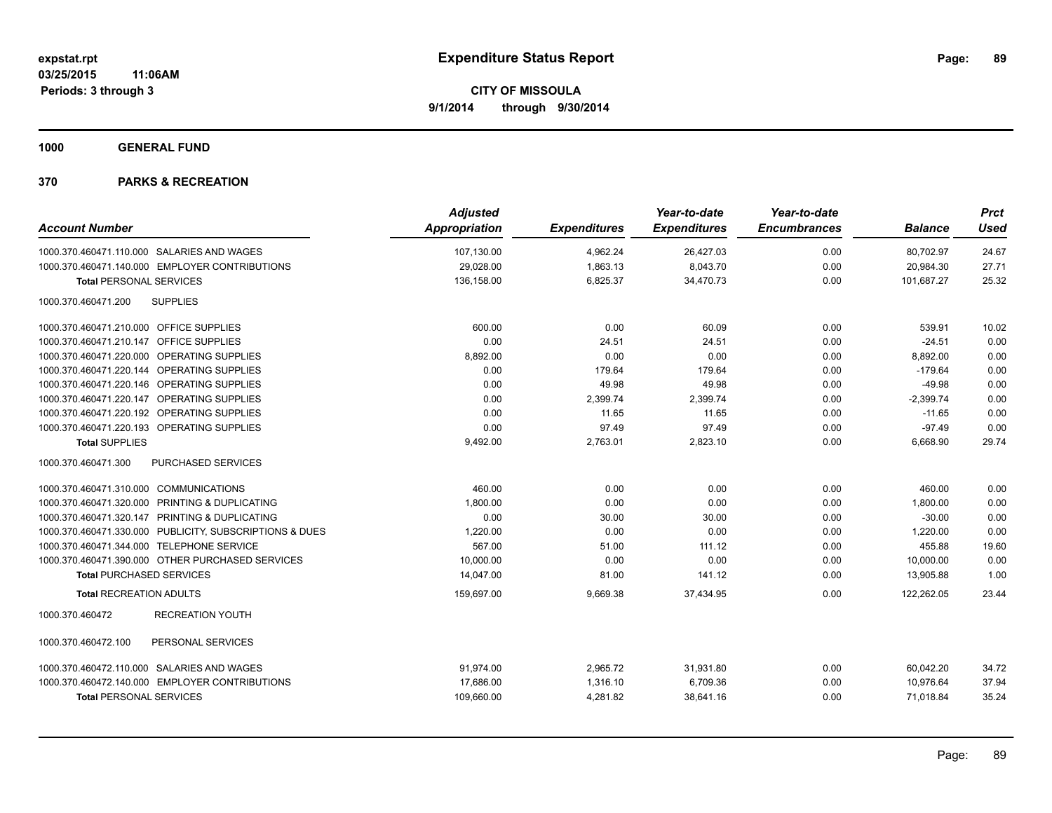**1000 GENERAL FUND**

| <b>Account Number</b>                                   | <b>Adjusted</b><br>Appropriation | <b>Expenditures</b> | Year-to-date<br><b>Expenditures</b> | Year-to-date<br><b>Encumbrances</b> | <b>Balance</b> | <b>Prct</b><br><b>Used</b> |
|---------------------------------------------------------|----------------------------------|---------------------|-------------------------------------|-------------------------------------|----------------|----------------------------|
|                                                         |                                  |                     |                                     |                                     |                |                            |
| 1000.370.460471.110.000 SALARIES AND WAGES              | 107,130.00                       | 4,962.24            | 26,427.03                           | 0.00                                | 80,702.97      | 24.67                      |
| 1000.370.460471.140.000 EMPLOYER CONTRIBUTIONS          | 29,028.00                        | 1,863.13            | 8,043.70                            | 0.00                                | 20,984.30      | 27.71                      |
| <b>Total PERSONAL SERVICES</b>                          | 136,158.00                       | 6,825.37            | 34,470.73                           | 0.00                                | 101,687.27     | 25.32                      |
| 1000.370.460471.200<br><b>SUPPLIES</b>                  |                                  |                     |                                     |                                     |                |                            |
| 1000.370.460471.210.000 OFFICE SUPPLIES                 | 600.00                           | 0.00                | 60.09                               | 0.00                                | 539.91         | 10.02                      |
| 1000.370.460471.210.147 OFFICE SUPPLIES                 | 0.00                             | 24.51               | 24.51                               | 0.00                                | $-24.51$       | 0.00                       |
| 1000.370.460471.220.000 OPERATING SUPPLIES              | 8,892.00                         | 0.00                | 0.00                                | 0.00                                | 8,892.00       | 0.00                       |
| 1000.370.460471.220.144 OPERATING SUPPLIES              | 0.00                             | 179.64              | 179.64                              | 0.00                                | $-179.64$      | 0.00                       |
| 1000.370.460471.220.146 OPERATING SUPPLIES              | 0.00                             | 49.98               | 49.98                               | 0.00                                | $-49.98$       | 0.00                       |
| 1000.370.460471.220.147 OPERATING SUPPLIES              | 0.00                             | 2,399.74            | 2,399.74                            | 0.00                                | $-2,399.74$    | 0.00                       |
| 1000.370.460471.220.192 OPERATING SUPPLIES              | 0.00                             | 11.65               | 11.65                               | 0.00                                | $-11.65$       | 0.00                       |
| 1000.370.460471.220.193 OPERATING SUPPLIES              | 0.00                             | 97.49               | 97.49                               | 0.00                                | $-97.49$       | 0.00                       |
| <b>Total SUPPLIES</b>                                   | 9,492.00                         | 2,763.01            | 2,823.10                            | 0.00                                | 6,668.90       | 29.74                      |
| 1000.370.460471.300<br><b>PURCHASED SERVICES</b>        |                                  |                     |                                     |                                     |                |                            |
| 1000.370.460471.310.000 COMMUNICATIONS                  | 460.00                           | 0.00                | 0.00                                | 0.00                                | 460.00         | 0.00                       |
| 1000.370.460471.320.000 PRINTING & DUPLICATING          | 1,800.00                         | 0.00                | 0.00                                | 0.00                                | 1,800.00       | 0.00                       |
| 1000.370.460471.320.147 PRINTING & DUPLICATING          | 0.00                             | 30.00               | 30.00                               | 0.00                                | $-30.00$       | 0.00                       |
| 1000.370.460471.330.000 PUBLICITY, SUBSCRIPTIONS & DUES | 1,220.00                         | 0.00                | 0.00                                | 0.00                                | 1,220.00       | 0.00                       |
| 1000.370.460471.344.000 TELEPHONE SERVICE               | 567.00                           | 51.00               | 111.12                              | 0.00                                | 455.88         | 19.60                      |
| 1000.370.460471.390.000 OTHER PURCHASED SERVICES        | 10,000.00                        | 0.00                | 0.00                                | 0.00                                | 10,000.00      | 0.00                       |
| <b>Total PURCHASED SERVICES</b>                         | 14,047.00                        | 81.00               | 141.12                              | 0.00                                | 13,905.88      | 1.00                       |
| <b>Total RECREATION ADULTS</b>                          | 159,697.00                       | 9,669.38            | 37,434.95                           | 0.00                                | 122,262.05     | 23.44                      |
| 1000.370.460472<br><b>RECREATION YOUTH</b>              |                                  |                     |                                     |                                     |                |                            |
| PERSONAL SERVICES<br>1000.370.460472.100                |                                  |                     |                                     |                                     |                |                            |
| 1000.370.460472.110.000 SALARIES AND WAGES              | 91,974.00                        | 2,965.72            | 31,931.80                           | 0.00                                | 60,042.20      | 34.72                      |
| 1000.370.460472.140.000 EMPLOYER CONTRIBUTIONS          | 17,686.00                        | 1,316.10            | 6,709.36                            | 0.00                                | 10,976.64      | 37.94                      |
| <b>Total PERSONAL SERVICES</b>                          | 109,660.00                       | 4,281.82            | 38,641.16                           | 0.00                                | 71,018.84      | 35.24                      |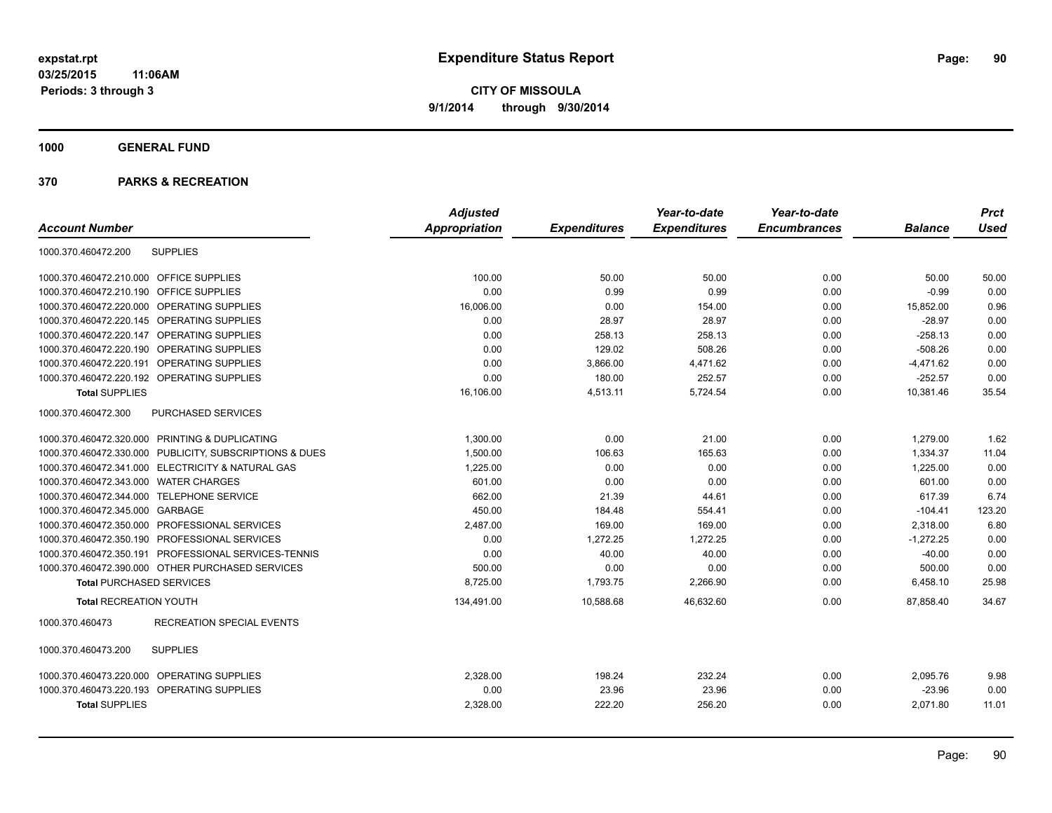**1000 GENERAL FUND**

|                                                         | <b>Adjusted</b> |                     | Year-to-date        | Year-to-date        |                | <b>Prct</b> |
|---------------------------------------------------------|-----------------|---------------------|---------------------|---------------------|----------------|-------------|
| <b>Account Number</b>                                   | Appropriation   | <b>Expenditures</b> | <b>Expenditures</b> | <b>Encumbrances</b> | <b>Balance</b> | <b>Used</b> |
| <b>SUPPLIES</b><br>1000.370.460472.200                  |                 |                     |                     |                     |                |             |
| 1000.370.460472.210.000<br><b>OFFICE SUPPLIES</b>       | 100.00          | 50.00               | 50.00               | 0.00                | 50.00          | 50.00       |
| <b>OFFICE SUPPLIES</b><br>1000.370.460472.210.190       | 0.00            | 0.99                | 0.99                | 0.00                | $-0.99$        | 0.00        |
| 1000.370.460472.220.000<br>OPERATING SUPPLIES           | 16,006.00       | 0.00                | 154.00              | 0.00                | 15,852.00      | 0.96        |
| 1000.370.460472.220.145 OPERATING SUPPLIES              | 0.00            | 28.97               | 28.97               | 0.00                | $-28.97$       | 0.00        |
| 1000.370.460472.220.147 OPERATING SUPPLIES              | 0.00            | 258.13              | 258.13              | 0.00                | $-258.13$      | 0.00        |
| 1000.370.460472.220.190<br>OPERATING SUPPLIES           | 0.00            | 129.02              | 508.26              | 0.00                | $-508.26$      | 0.00        |
| <b>OPERATING SUPPLIES</b><br>1000.370.460472.220.191    | 0.00            | 3,866.00            | 4,471.62            | 0.00                | $-4,471.62$    | 0.00        |
| 1000.370.460472.220.192 OPERATING SUPPLIES              | 0.00            | 180.00              | 252.57              | 0.00                | $-252.57$      | 0.00        |
| <b>Total SUPPLIES</b>                                   | 16,106.00       | 4,513.11            | 5,724.54            | 0.00                | 10,381.46      | 35.54       |
| 1000.370.460472.300<br><b>PURCHASED SERVICES</b>        |                 |                     |                     |                     |                |             |
| 1000.370.460472.320.000 PRINTING & DUPLICATING          | 1,300.00        | 0.00                | 21.00               | 0.00                | 1,279.00       | 1.62        |
| 1000.370.460472.330.000 PUBLICITY, SUBSCRIPTIONS & DUES | 1,500.00        | 106.63              | 165.63              | 0.00                | 1,334.37       | 11.04       |
| 1000.370.460472.341.000 ELECTRICITY & NATURAL GAS       | 1,225.00        | 0.00                | 0.00                | 0.00                | 1,225.00       | 0.00        |
| 1000.370.460472.343.000 WATER CHARGES                   | 601.00          | 0.00                | 0.00                | 0.00                | 601.00         | 0.00        |
| 1000.370.460472.344.000 TELEPHONE SERVICE               | 662.00          | 21.39               | 44.61               | 0.00                | 617.39         | 6.74        |
| 1000.370.460472.345.000 GARBAGE                         | 450.00          | 184.48              | 554.41              | 0.00                | $-104.41$      | 123.20      |
| 1000.370.460472.350.000 PROFESSIONAL SERVICES           | 2,487.00        | 169.00              | 169.00              | 0.00                | 2,318.00       | 6.80        |
| 1000.370.460472.350.190 PROFESSIONAL SERVICES           | 0.00            | 1,272.25            | 1,272.25            | 0.00                | $-1,272.25$    | 0.00        |
| 1000.370.460472.350.191 PROFESSIONAL SERVICES-TENNIS    | 0.00            | 40.00               | 40.00               | 0.00                | $-40.00$       | 0.00        |
| 1000.370.460472.390.000 OTHER PURCHASED SERVICES        | 500.00          | 0.00                | 0.00                | 0.00                | 500.00         | 0.00        |
| <b>Total PURCHASED SERVICES</b>                         | 8,725.00        | 1,793.75            | 2,266.90            | 0.00                | 6,458.10       | 25.98       |
| <b>Total RECREATION YOUTH</b>                           | 134,491.00      | 10,588.68           | 46,632.60           | 0.00                | 87,858.40      | 34.67       |
| <b>RECREATION SPECIAL EVENTS</b><br>1000.370.460473     |                 |                     |                     |                     |                |             |
| <b>SUPPLIES</b><br>1000.370.460473.200                  |                 |                     |                     |                     |                |             |
| 1000.370.460473.220.000 OPERATING SUPPLIES              | 2,328.00        | 198.24              | 232.24              | 0.00                | 2,095.76       | 9.98        |
| 1000.370.460473.220.193 OPERATING SUPPLIES              | 0.00            | 23.96               | 23.96               | 0.00                | $-23.96$       | 0.00        |
| <b>Total SUPPLIES</b>                                   | 2,328.00        | 222.20              | 256.20              | 0.00                | 2,071.80       | 11.01       |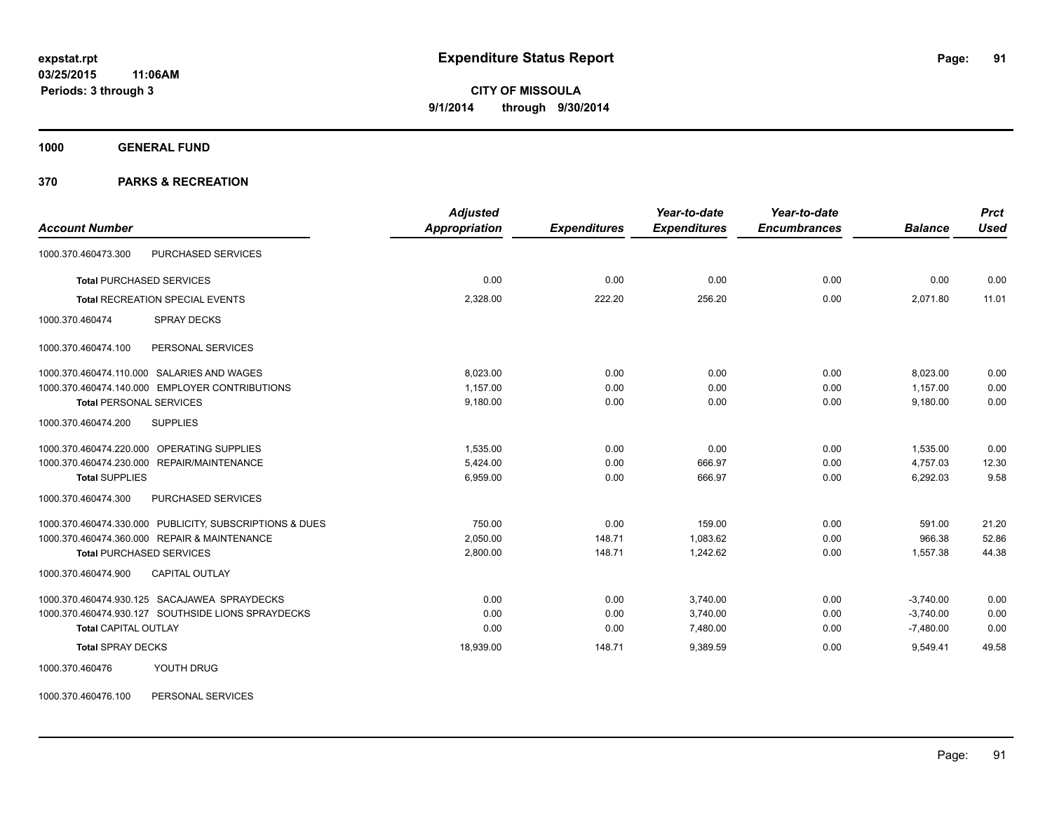**1000 GENERAL FUND**

### **370 PARKS & RECREATION**

| <b>Account Number</b>                                   | <b>Adjusted</b><br>Appropriation | <b>Expenditures</b> | Year-to-date<br><b>Expenditures</b> | Year-to-date<br><b>Encumbrances</b> | <b>Balance</b> | <b>Prct</b><br><b>Used</b> |
|---------------------------------------------------------|----------------------------------|---------------------|-------------------------------------|-------------------------------------|----------------|----------------------------|
|                                                         |                                  |                     |                                     |                                     |                |                            |
| PURCHASED SERVICES<br>1000.370.460473.300               |                                  |                     |                                     |                                     |                |                            |
| <b>Total PURCHASED SERVICES</b>                         | 0.00                             | 0.00                | 0.00                                | 0.00                                | 0.00           | 0.00                       |
| <b>Total RECREATION SPECIAL EVENTS</b>                  | 2,328.00                         | 222.20              | 256.20                              | 0.00                                | 2,071.80       | 11.01                      |
| <b>SPRAY DECKS</b><br>1000.370.460474                   |                                  |                     |                                     |                                     |                |                            |
| 1000.370.460474.100<br>PERSONAL SERVICES                |                                  |                     |                                     |                                     |                |                            |
| 1000.370.460474.110.000 SALARIES AND WAGES              | 8.023.00                         | 0.00                | 0.00                                | 0.00                                | 8,023.00       | 0.00                       |
| 1000.370.460474.140.000 EMPLOYER CONTRIBUTIONS          | 1.157.00                         | 0.00                | 0.00                                | 0.00                                | 1.157.00       | 0.00                       |
| <b>Total PERSONAL SERVICES</b>                          | 9,180.00                         | 0.00                | 0.00                                | 0.00                                | 9,180.00       | 0.00                       |
| 1000.370.460474.200<br><b>SUPPLIES</b>                  |                                  |                     |                                     |                                     |                |                            |
| 1000.370.460474.220.000 OPERATING SUPPLIES              | 1.535.00                         | 0.00                | 0.00                                | 0.00                                | 1,535.00       | 0.00                       |
| 1000.370.460474.230.000 REPAIR/MAINTENANCE              | 5,424.00                         | 0.00                | 666.97                              | 0.00                                | 4,757.03       | 12.30                      |
| <b>Total SUPPLIES</b>                                   | 6,959.00                         | 0.00                | 666.97                              | 0.00                                | 6,292.03       | 9.58                       |
| 1000.370.460474.300<br>PURCHASED SERVICES               |                                  |                     |                                     |                                     |                |                            |
| 1000.370.460474.330.000 PUBLICITY, SUBSCRIPTIONS & DUES | 750.00                           | 0.00                | 159.00                              | 0.00                                | 591.00         | 21.20                      |
| 1000.370.460474.360.000 REPAIR & MAINTENANCE            | 2,050.00                         | 148.71              | 1.083.62                            | 0.00                                | 966.38         | 52.86                      |
| <b>Total PURCHASED SERVICES</b>                         | 2,800.00                         | 148.71              | 1.242.62                            | 0.00                                | 1.557.38       | 44.38                      |
| <b>CAPITAL OUTLAY</b><br>1000.370.460474.900            |                                  |                     |                                     |                                     |                |                            |
| 1000.370.460474.930.125 SACAJAWEA SPRAYDECKS            | 0.00                             | 0.00                | 3,740.00                            | 0.00                                | $-3,740.00$    | 0.00                       |
| 1000.370.460474.930.127 SOUTHSIDE LIONS SPRAYDECKS      | 0.00                             | 0.00                | 3,740.00                            | 0.00                                | $-3,740.00$    | 0.00                       |
| <b>Total CAPITAL OUTLAY</b>                             | 0.00                             | 0.00                | 7,480.00                            | 0.00                                | $-7,480.00$    | 0.00                       |
| <b>Total SPRAY DECKS</b>                                | 18,939.00                        | 148.71              | 9,389.59                            | 0.00                                | 9,549.41       | 49.58                      |
| 1000.370.460476<br>YOUTH DRUG                           |                                  |                     |                                     |                                     |                |                            |

1000.370.460476.100 PERSONAL SERVICES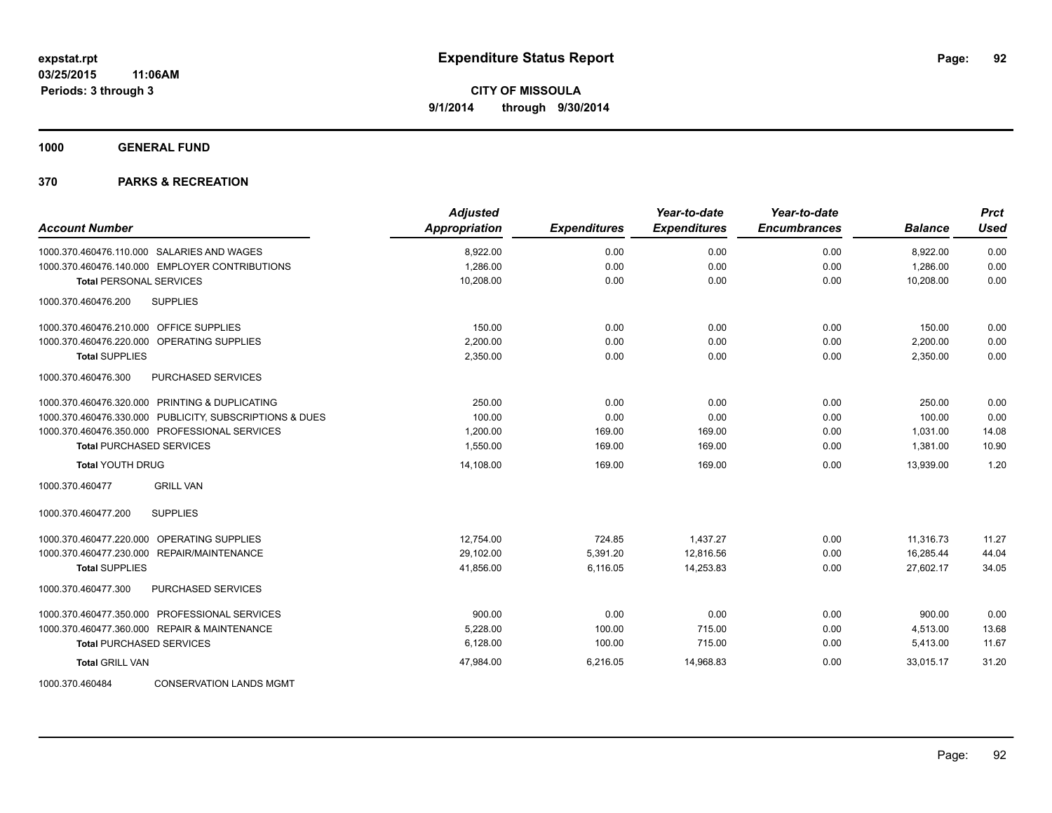**1000 GENERAL FUND**

| <b>Account Number</b>                                   | <b>Adjusted</b><br><b>Appropriation</b> | <b>Expenditures</b> | Year-to-date<br><b>Expenditures</b> | Year-to-date<br><b>Encumbrances</b> | <b>Balance</b> | <b>Prct</b><br><b>Used</b> |
|---------------------------------------------------------|-----------------------------------------|---------------------|-------------------------------------|-------------------------------------|----------------|----------------------------|
| 1000.370.460476.110.000 SALARIES AND WAGES              | 8,922.00                                | 0.00                | 0.00                                | 0.00                                | 8,922.00       | 0.00                       |
| 1000.370.460476.140.000 EMPLOYER CONTRIBUTIONS          | 1,286.00                                | 0.00                | 0.00                                | 0.00                                | 1,286.00       | 0.00                       |
| <b>Total PERSONAL SERVICES</b>                          | 10,208.00                               | 0.00                | 0.00                                | 0.00                                | 10,208.00      | 0.00                       |
| 1000.370.460476.200<br><b>SUPPLIES</b>                  |                                         |                     |                                     |                                     |                |                            |
| 1000.370.460476.210.000 OFFICE SUPPLIES                 | 150.00                                  | 0.00                | 0.00                                | 0.00                                | 150.00         | 0.00                       |
| 1000.370.460476.220.000 OPERATING SUPPLIES              | 2,200.00                                | 0.00                | 0.00                                | 0.00                                | 2,200.00       | 0.00                       |
| <b>Total SUPPLIES</b>                                   | 2,350.00                                | 0.00                | 0.00                                | 0.00                                | 2,350.00       | 0.00                       |
| 1000.370.460476.300<br><b>PURCHASED SERVICES</b>        |                                         |                     |                                     |                                     |                |                            |
| 1000.370.460476.320.000 PRINTING & DUPLICATING          | 250.00                                  | 0.00                | 0.00                                | 0.00                                | 250.00         | 0.00                       |
| 1000.370.460476.330.000 PUBLICITY, SUBSCRIPTIONS & DUES | 100.00                                  | 0.00                | 0.00                                | 0.00                                | 100.00         | 0.00                       |
| 1000.370.460476.350.000 PROFESSIONAL SERVICES           | 1,200.00                                | 169.00              | 169.00                              | 0.00                                | 1,031.00       | 14.08                      |
| <b>Total PURCHASED SERVICES</b>                         | 1,550.00                                | 169.00              | 169.00                              | 0.00                                | 1,381.00       | 10.90                      |
| <b>Total YOUTH DRUG</b>                                 | 14,108.00                               | 169.00              | 169.00                              | 0.00                                | 13,939.00      | 1.20                       |
| <b>GRILL VAN</b><br>1000.370.460477                     |                                         |                     |                                     |                                     |                |                            |
| 1000.370.460477.200<br><b>SUPPLIES</b>                  |                                         |                     |                                     |                                     |                |                            |
| 1000.370.460477.220.000 OPERATING SUPPLIES              | 12,754.00                               | 724.85              | 1,437.27                            | 0.00                                | 11,316.73      | 11.27                      |
| 1000.370.460477.230.000 REPAIR/MAINTENANCE              | 29,102.00                               | 5,391.20            | 12,816.56                           | 0.00                                | 16,285.44      | 44.04                      |
| <b>Total SUPPLIES</b>                                   | 41,856.00                               | 6,116.05            | 14,253.83                           | 0.00                                | 27,602.17      | 34.05                      |
| 1000.370.460477.300<br><b>PURCHASED SERVICES</b>        |                                         |                     |                                     |                                     |                |                            |
| 1000.370.460477.350.000 PROFESSIONAL SERVICES           | 900.00                                  | 0.00                | 0.00                                | 0.00                                | 900.00         | 0.00                       |
| 1000.370.460477.360.000 REPAIR & MAINTENANCE            | 5,228.00                                | 100.00              | 715.00                              | 0.00                                | 4,513.00       | 13.68                      |
| <b>Total PURCHASED SERVICES</b>                         | 6,128.00                                | 100.00              | 715.00                              | 0.00                                | 5,413.00       | 11.67                      |
| <b>Total GRILL VAN</b>                                  | 47,984.00                               | 6,216.05            | 14,968.83                           | 0.00                                | 33.015.17      | 31.20                      |
| 1000.370.460484<br><b>CONSERVATION LANDS MGMT</b>       |                                         |                     |                                     |                                     |                |                            |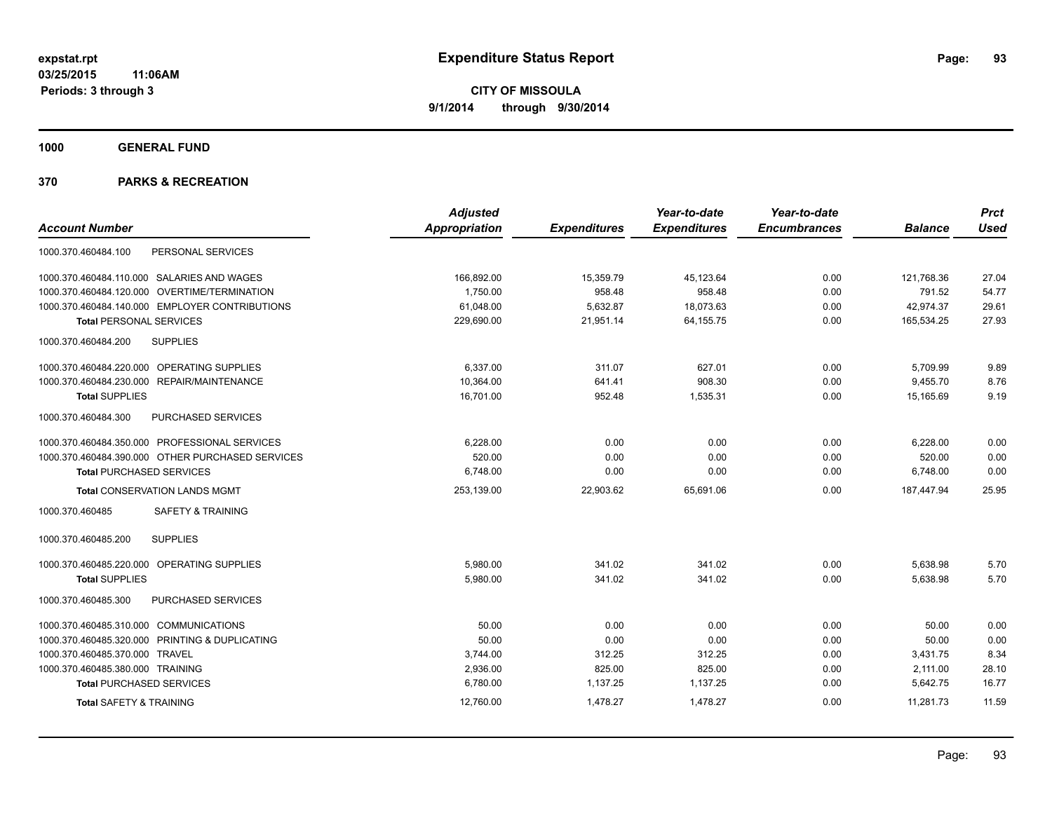**1000 GENERAL FUND**

|                                                  | <b>Adjusted</b>      |                     | Year-to-date        | Year-to-date        |                | <b>Prct</b> |
|--------------------------------------------------|----------------------|---------------------|---------------------|---------------------|----------------|-------------|
| <b>Account Number</b>                            | <b>Appropriation</b> | <b>Expenditures</b> | <b>Expenditures</b> | <b>Encumbrances</b> | <b>Balance</b> | <b>Used</b> |
| PERSONAL SERVICES<br>1000.370.460484.100         |                      |                     |                     |                     |                |             |
| 1000.370.460484.110.000 SALARIES AND WAGES       | 166,892.00           | 15,359.79           | 45,123.64           | 0.00                | 121,768.36     | 27.04       |
| OVERTIME/TERMINATION<br>1000.370.460484.120.000  | 1,750.00             | 958.48              | 958.48              | 0.00                | 791.52         | 54.77       |
| 1000.370.460484.140.000 EMPLOYER CONTRIBUTIONS   | 61,048.00            | 5,632.87            | 18,073.63           | 0.00                | 42,974.37      | 29.61       |
| <b>Total PERSONAL SERVICES</b>                   | 229,690.00           | 21,951.14           | 64,155.75           | 0.00                | 165,534.25     | 27.93       |
| <b>SUPPLIES</b><br>1000.370.460484.200           |                      |                     |                     |                     |                |             |
| 1000.370.460484.220.000 OPERATING SUPPLIES       | 6.337.00             | 311.07              | 627.01              | 0.00                | 5,709.99       | 9.89        |
| 1000.370.460484.230.000 REPAIR/MAINTENANCE       | 10,364.00            | 641.41              | 908.30              | 0.00                | 9,455.70       | 8.76        |
| <b>Total SUPPLIES</b>                            | 16,701.00            | 952.48              | 1,535.31            | 0.00                | 15.165.69      | 9.19        |
| 1000.370.460484.300<br><b>PURCHASED SERVICES</b> |                      |                     |                     |                     |                |             |
| 1000.370.460484.350.000 PROFESSIONAL SERVICES    | 6,228.00             | 0.00                | 0.00                | 0.00                | 6,228.00       | 0.00        |
| 1000.370.460484.390.000 OTHER PURCHASED SERVICES | 520.00               | 0.00                | 0.00                | 0.00                | 520.00         | 0.00        |
| <b>Total PURCHASED SERVICES</b>                  | 6,748.00             | 0.00                | 0.00                | 0.00                | 6,748.00       | 0.00        |
| <b>Total CONSERVATION LANDS MGMT</b>             | 253,139.00           | 22,903.62           | 65,691.06           | 0.00                | 187,447.94     | 25.95       |
| <b>SAFETY &amp; TRAINING</b><br>1000.370.460485  |                      |                     |                     |                     |                |             |
| 1000.370.460485.200<br><b>SUPPLIES</b>           |                      |                     |                     |                     |                |             |
| 1000.370.460485.220.000 OPERATING SUPPLIES       | 5.980.00             | 341.02              | 341.02              | 0.00                | 5,638.98       | 5.70        |
| <b>Total SUPPLIES</b>                            | 5,980.00             | 341.02              | 341.02              | 0.00                | 5,638.98       | 5.70        |
| PURCHASED SERVICES<br>1000.370.460485.300        |                      |                     |                     |                     |                |             |
| 1000.370.460485.310.000 COMMUNICATIONS           | 50.00                | 0.00                | 0.00                | 0.00                | 50.00          | 0.00        |
| 1000.370.460485.320.000 PRINTING & DUPLICATING   | 50.00                | 0.00                | 0.00                | 0.00                | 50.00          | 0.00        |
| 1000.370.460485.370.000 TRAVEL                   | 3,744.00             | 312.25              | 312.25              | 0.00                | 3,431.75       | 8.34        |
| 1000.370.460485.380.000 TRAINING                 | 2,936.00             | 825.00              | 825.00              | 0.00                | 2,111.00       | 28.10       |
| <b>Total PURCHASED SERVICES</b>                  | 6,780.00             | 1,137.25            | 1,137.25            | 0.00                | 5,642.75       | 16.77       |
| <b>Total SAFETY &amp; TRAINING</b>               | 12,760.00            | 1,478.27            | 1,478.27            | 0.00                | 11,281.73      | 11.59       |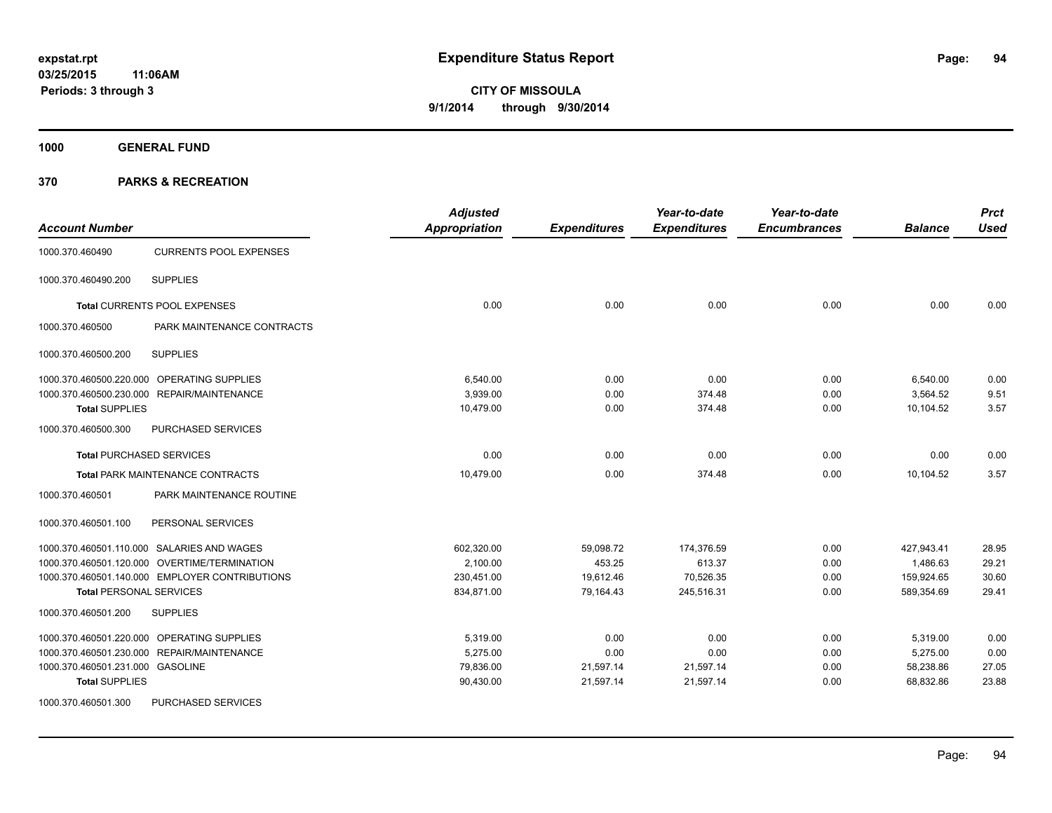**1000 GENERAL FUND**

| <b>Account Number</b>                            |                               | <b>Adjusted</b><br><b>Appropriation</b> | <b>Expenditures</b> | Year-to-date<br><b>Expenditures</b> | Year-to-date<br><b>Encumbrances</b> | <b>Balance</b> | <b>Prct</b><br><b>Used</b> |
|--------------------------------------------------|-------------------------------|-----------------------------------------|---------------------|-------------------------------------|-------------------------------------|----------------|----------------------------|
| 1000.370.460490                                  | <b>CURRENTS POOL EXPENSES</b> |                                         |                     |                                     |                                     |                |                            |
| <b>SUPPLIES</b><br>1000.370.460490.200           |                               |                                         |                     |                                     |                                     |                |                            |
| Total CURRENTS POOL EXPENSES                     |                               | 0.00                                    | 0.00                | 0.00                                | 0.00                                | 0.00           | 0.00                       |
| 1000.370.460500                                  | PARK MAINTENANCE CONTRACTS    |                                         |                     |                                     |                                     |                |                            |
| <b>SUPPLIES</b><br>1000.370.460500.200           |                               |                                         |                     |                                     |                                     |                |                            |
| 1000.370.460500.220.000 OPERATING SUPPLIES       |                               | 6,540.00                                | 0.00                | 0.00                                | 0.00                                | 6,540.00       | 0.00                       |
| 1000.370.460500.230.000 REPAIR/MAINTENANCE       |                               | 3,939.00                                | 0.00                | 374.48                              | 0.00                                | 3,564.52       | 9.51                       |
| <b>Total SUPPLIES</b>                            |                               | 10,479.00                               | 0.00                | 374.48                              | 0.00                                | 10,104.52      | 3.57                       |
| 1000.370.460500.300<br><b>PURCHASED SERVICES</b> |                               |                                         |                     |                                     |                                     |                |                            |
| <b>Total PURCHASED SERVICES</b>                  |                               | 0.00                                    | 0.00                | 0.00                                | 0.00                                | 0.00           | 0.00                       |
| Total PARK MAINTENANCE CONTRACTS                 |                               | 10,479.00                               | 0.00                | 374.48                              | 0.00                                | 10,104.52      | 3.57                       |
| 1000.370.460501                                  | PARK MAINTENANCE ROUTINE      |                                         |                     |                                     |                                     |                |                            |
| 1000.370.460501.100<br>PERSONAL SERVICES         |                               |                                         |                     |                                     |                                     |                |                            |
| 1000.370.460501.110.000 SALARIES AND WAGES       |                               | 602.320.00                              | 59,098.72           | 174,376.59                          | 0.00                                | 427,943.41     | 28.95                      |
| 1000.370.460501.120.000 OVERTIME/TERMINATION     |                               | 2,100.00                                | 453.25              | 613.37                              | 0.00                                | 1,486.63       | 29.21                      |
| 1000.370.460501.140.000 EMPLOYER CONTRIBUTIONS   |                               | 230,451.00                              | 19,612.46           | 70,526.35                           | 0.00                                | 159,924.65     | 30.60                      |
| <b>Total PERSONAL SERVICES</b>                   |                               | 834,871.00                              | 79,164.43           | 245,516.31                          | 0.00                                | 589,354.69     | 29.41                      |
| 1000.370.460501.200<br><b>SUPPLIES</b>           |                               |                                         |                     |                                     |                                     |                |                            |
| 1000.370.460501.220.000 OPERATING SUPPLIES       |                               | 5,319.00                                | 0.00                | 0.00                                | 0.00                                | 5,319.00       | 0.00                       |
| 1000.370.460501.230.000 REPAIR/MAINTENANCE       |                               | 5,275.00                                | 0.00                | 0.00                                | 0.00                                | 5,275.00       | 0.00                       |
| 1000.370.460501.231.000 GASOLINE                 |                               | 79,836.00                               | 21,597.14           | 21,597.14                           | 0.00                                | 58,238.86      | 27.05                      |
| <b>Total SUPPLIES</b>                            |                               | 90,430.00                               | 21,597.14           | 21,597.14                           | 0.00                                | 68,832.86      | 23.88                      |
| 1000.370.460501.300<br><b>PURCHASED SERVICES</b> |                               |                                         |                     |                                     |                                     |                |                            |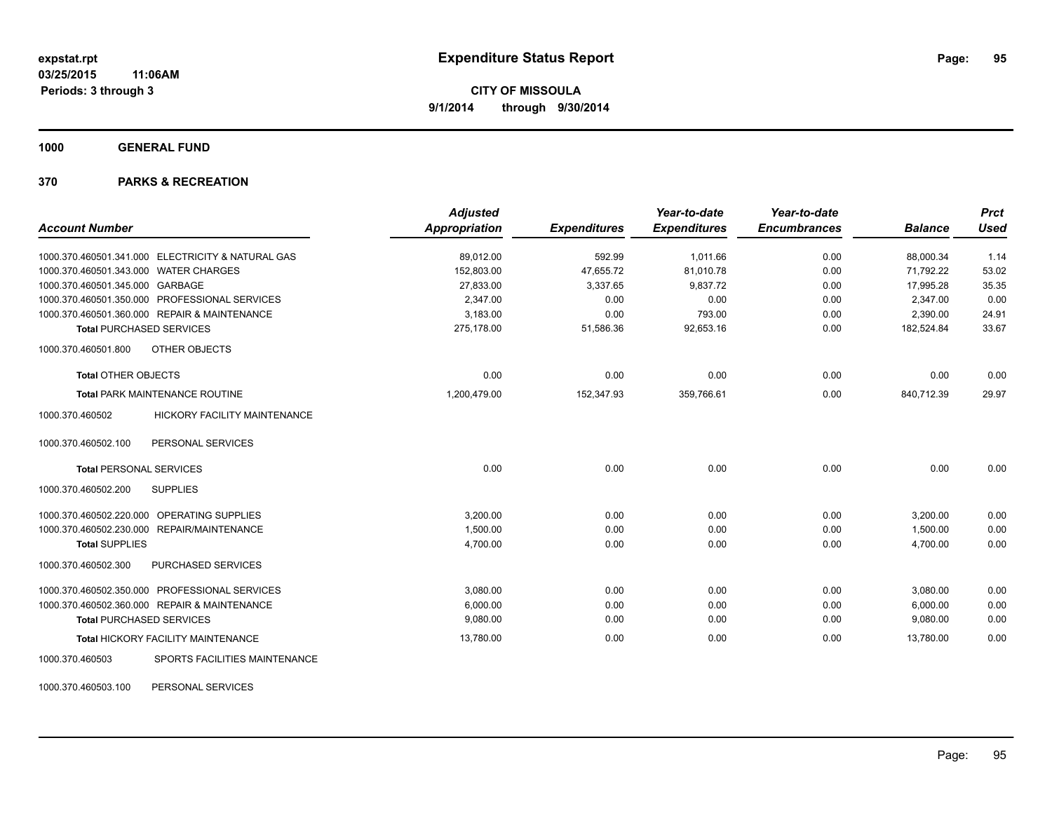**1000 GENERAL FUND**

### **370 PARKS & RECREATION**

|                                                        | <b>Adjusted</b>      |                     | Year-to-date        | Year-to-date        |                | <b>Prct</b> |
|--------------------------------------------------------|----------------------|---------------------|---------------------|---------------------|----------------|-------------|
| <b>Account Number</b>                                  | <b>Appropriation</b> | <b>Expenditures</b> | <b>Expenditures</b> | <b>Encumbrances</b> | <b>Balance</b> | <b>Used</b> |
| 1000.370.460501.341.000 ELECTRICITY & NATURAL GAS      | 89,012.00            | 592.99              | 1,011.66            | 0.00                | 88,000.34      | 1.14        |
| 1000.370.460501.343.000 WATER CHARGES                  | 152,803.00           | 47,655.72           | 81,010.78           | 0.00                | 71,792.22      | 53.02       |
| 1000.370.460501.345.000 GARBAGE                        | 27,833.00            | 3,337.65            | 9,837.72            | 0.00                | 17,995.28      | 35.35       |
| 1000.370.460501.350.000 PROFESSIONAL SERVICES          | 2,347.00             | 0.00                | 0.00                | 0.00                | 2,347.00       | 0.00        |
| 1000.370.460501.360.000 REPAIR & MAINTENANCE           | 3,183.00             | 0.00                | 793.00              | 0.00                | 2,390.00       | 24.91       |
| <b>Total PURCHASED SERVICES</b>                        | 275,178.00           | 51,586.36           | 92,653.16           | 0.00                | 182,524.84     | 33.67       |
| 1000.370.460501.800<br>OTHER OBJECTS                   |                      |                     |                     |                     |                |             |
| <b>Total OTHER OBJECTS</b>                             | 0.00                 | 0.00                | 0.00                | 0.00                | 0.00           | 0.00        |
| <b>Total PARK MAINTENANCE ROUTINE</b>                  | 1,200,479.00         | 152,347.93          | 359,766.61          | 0.00                | 840,712.39     | 29.97       |
| 1000.370.460502<br><b>HICKORY FACILITY MAINTENANCE</b> |                      |                     |                     |                     |                |             |
| PERSONAL SERVICES<br>1000.370.460502.100               |                      |                     |                     |                     |                |             |
| <b>Total PERSONAL SERVICES</b>                         | 0.00                 | 0.00                | 0.00                | 0.00                | 0.00           | 0.00        |
| 1000.370.460502.200<br><b>SUPPLIES</b>                 |                      |                     |                     |                     |                |             |
| 1000.370.460502.220.000 OPERATING SUPPLIES             | 3,200.00             | 0.00                | 0.00                | 0.00                | 3,200.00       | 0.00        |
| 1000.370.460502.230.000 REPAIR/MAINTENANCE             | 1,500.00             | 0.00                | 0.00                | 0.00                | 1,500.00       | 0.00        |
| <b>Total SUPPLIES</b>                                  | 4,700.00             | 0.00                | 0.00                | 0.00                | 4,700.00       | 0.00        |
| 1000.370.460502.300<br>PURCHASED SERVICES              |                      |                     |                     |                     |                |             |
| 1000.370.460502.350.000 PROFESSIONAL SERVICES          | 3,080.00             | 0.00                | 0.00                | 0.00                | 3,080.00       | 0.00        |
| 1000.370.460502.360.000 REPAIR & MAINTENANCE           | 6,000.00             | 0.00                | 0.00                | 0.00                | 6,000.00       | 0.00        |
| <b>Total PURCHASED SERVICES</b>                        | 9,080.00             | 0.00                | 0.00                | 0.00                | 9,080.00       | 0.00        |
| <b>Total HICKORY FACILITY MAINTENANCE</b>              | 13,780.00            | 0.00                | 0.00                | 0.00                | 13,780.00      | 0.00        |
| SPORTS FACILITIES MAINTENANCE<br>1000.370.460503       |                      |                     |                     |                     |                |             |

1000.370.460503.100 PERSONAL SERVICES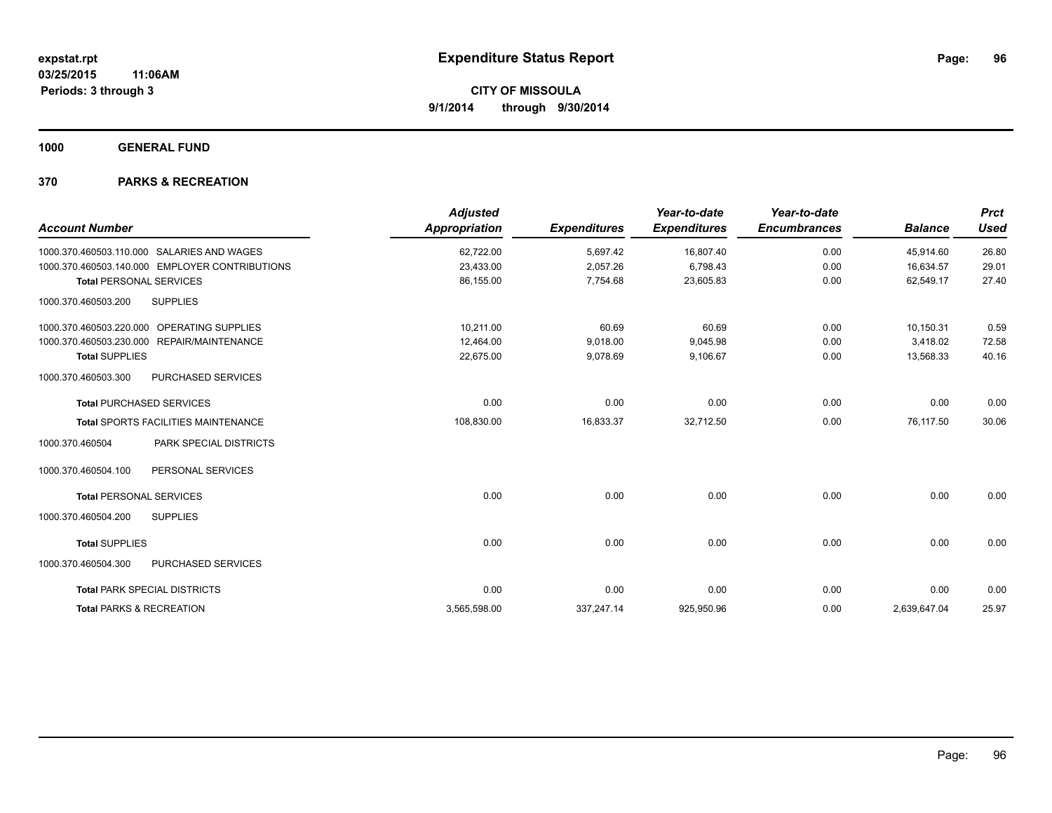**1000 GENERAL FUND**

| <b>Account Number</b>                          | <b>Adjusted</b><br><b>Appropriation</b> | <b>Expenditures</b> | Year-to-date<br><b>Expenditures</b> | Year-to-date<br><b>Encumbrances</b> | <b>Balance</b> | <b>Prct</b><br><b>Used</b> |
|------------------------------------------------|-----------------------------------------|---------------------|-------------------------------------|-------------------------------------|----------------|----------------------------|
| 1000.370.460503.110.000 SALARIES AND WAGES     | 62,722.00                               | 5,697.42            | 16,807.40                           | 0.00                                | 45,914.60      | 26.80                      |
| 1000.370.460503.140.000 EMPLOYER CONTRIBUTIONS | 23,433.00                               | 2,057.26            | 6,798.43                            | 0.00                                | 16,634.57      | 29.01                      |
| <b>Total PERSONAL SERVICES</b>                 | 86,155.00                               | 7,754.68            | 23,605.83                           | 0.00                                | 62.549.17      | 27.40                      |
| 1000.370.460503.200<br><b>SUPPLIES</b>         |                                         |                     |                                     |                                     |                |                            |
| OPERATING SUPPLIES<br>1000.370.460503.220.000  | 10,211.00                               | 60.69               | 60.69                               | 0.00                                | 10,150.31      | 0.59                       |
| 1000.370.460503.230.000 REPAIR/MAINTENANCE     | 12,464.00                               | 9,018.00            | 9,045.98                            | 0.00                                | 3,418.02       | 72.58                      |
| <b>Total SUPPLIES</b>                          | 22,675.00                               | 9,078.69            | 9,106.67                            | 0.00                                | 13,568.33      | 40.16                      |
| 1000.370.460503.300<br>PURCHASED SERVICES      |                                         |                     |                                     |                                     |                |                            |
| <b>Total PURCHASED SERVICES</b>                | 0.00                                    | 0.00                | 0.00                                | 0.00                                | 0.00           | 0.00                       |
| <b>Total SPORTS FACILITIES MAINTENANCE</b>     | 108,830.00                              | 16,833.37           | 32,712.50                           | 0.00                                | 76,117.50      | 30.06                      |
| PARK SPECIAL DISTRICTS<br>1000.370.460504      |                                         |                     |                                     |                                     |                |                            |
| 1000.370.460504.100<br>PERSONAL SERVICES       |                                         |                     |                                     |                                     |                |                            |
| <b>Total PERSONAL SERVICES</b>                 | 0.00                                    | 0.00                | 0.00                                | 0.00                                | 0.00           | 0.00                       |
| 1000.370.460504.200<br><b>SUPPLIES</b>         |                                         |                     |                                     |                                     |                |                            |
| <b>Total SUPPLIES</b>                          | 0.00                                    | 0.00                | 0.00                                | 0.00                                | 0.00           | 0.00                       |
| PURCHASED SERVICES<br>1000.370.460504.300      |                                         |                     |                                     |                                     |                |                            |
| <b>Total PARK SPECIAL DISTRICTS</b>            | 0.00                                    | 0.00                | 0.00                                | 0.00                                | 0.00           | 0.00                       |
| <b>Total PARKS &amp; RECREATION</b>            | 3,565,598.00                            | 337,247.14          | 925,950.96                          | 0.00                                | 2,639,647.04   | 25.97                      |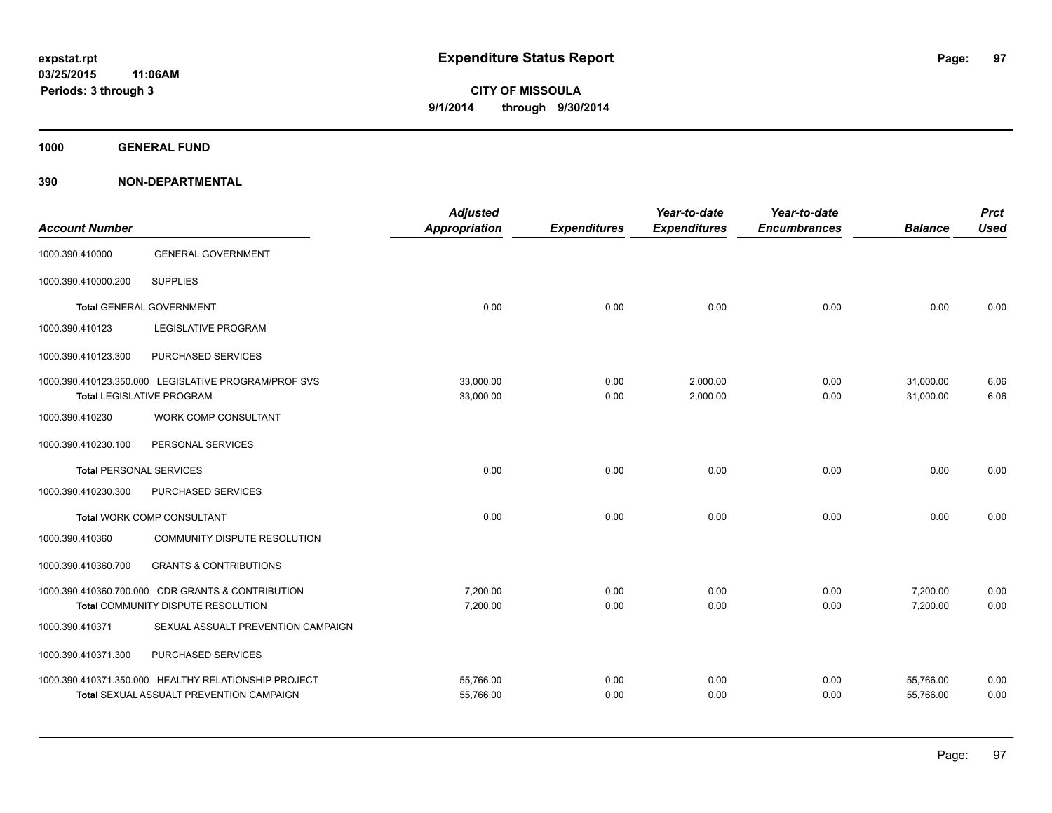**1000 GENERAL FUND**

| <b>Account Number</b>          |                                                                                          | <b>Adjusted</b><br><b>Appropriation</b> | <b>Expenditures</b> | Year-to-date<br><b>Expenditures</b> | Year-to-date<br><b>Encumbrances</b> | <b>Balance</b>         | <b>Prct</b><br><b>Used</b> |
|--------------------------------|------------------------------------------------------------------------------------------|-----------------------------------------|---------------------|-------------------------------------|-------------------------------------|------------------------|----------------------------|
| 1000.390.410000                | <b>GENERAL GOVERNMENT</b>                                                                |                                         |                     |                                     |                                     |                        |                            |
| 1000.390.410000.200            | <b>SUPPLIES</b>                                                                          |                                         |                     |                                     |                                     |                        |                            |
|                                | <b>Total GENERAL GOVERNMENT</b>                                                          | 0.00                                    | 0.00                | 0.00                                | 0.00                                | 0.00                   | 0.00                       |
| 1000.390.410123                | <b>LEGISLATIVE PROGRAM</b>                                                               |                                         |                     |                                     |                                     |                        |                            |
| 1000.390.410123.300            | PURCHASED SERVICES                                                                       |                                         |                     |                                     |                                     |                        |                            |
|                                | 1000.390.410123.350.000 LEGISLATIVE PROGRAM/PROF SVS<br><b>Total LEGISLATIVE PROGRAM</b> | 33,000.00<br>33,000.00                  | 0.00<br>0.00        | 2,000.00<br>2,000.00                | 0.00<br>0.00                        | 31,000.00<br>31,000.00 | 6.06<br>6.06               |
| 1000.390.410230                | WORK COMP CONSULTANT                                                                     |                                         |                     |                                     |                                     |                        |                            |
| 1000.390.410230.100            | PERSONAL SERVICES                                                                        |                                         |                     |                                     |                                     |                        |                            |
| <b>Total PERSONAL SERVICES</b> |                                                                                          | 0.00                                    | 0.00                | 0.00                                | 0.00                                | 0.00                   | 0.00                       |
| 1000.390.410230.300            | PURCHASED SERVICES                                                                       |                                         |                     |                                     |                                     |                        |                            |
|                                | <b>Total WORK COMP CONSULTANT</b>                                                        | 0.00                                    | 0.00                | 0.00                                | 0.00                                | 0.00                   | 0.00                       |
| 1000.390.410360                | COMMUNITY DISPUTE RESOLUTION                                                             |                                         |                     |                                     |                                     |                        |                            |
| 1000.390.410360.700            | <b>GRANTS &amp; CONTRIBUTIONS</b>                                                        |                                         |                     |                                     |                                     |                        |                            |
|                                | 1000.390.410360.700.000 CDR GRANTS & CONTRIBUTION                                        | 7,200.00                                | 0.00                | 0.00                                | 0.00                                | 7,200.00               | 0.00                       |
|                                | Total COMMUNITY DISPUTE RESOLUTION                                                       | 7,200.00                                | 0.00                | 0.00                                | 0.00                                | 7,200.00               | 0.00                       |
| 1000.390.410371                | SEXUAL ASSUALT PREVENTION CAMPAIGN                                                       |                                         |                     |                                     |                                     |                        |                            |
| 1000.390.410371.300            | PURCHASED SERVICES                                                                       |                                         |                     |                                     |                                     |                        |                            |
|                                | 1000.390.410371.350.000 HEALTHY RELATIONSHIP PROJECT                                     | 55,766.00                               | 0.00                | 0.00                                | 0.00                                | 55,766.00              | 0.00                       |
|                                | Total SEXUAL ASSUALT PREVENTION CAMPAIGN                                                 | 55,766.00                               | 0.00                | 0.00                                | 0.00                                | 55,766.00              | 0.00                       |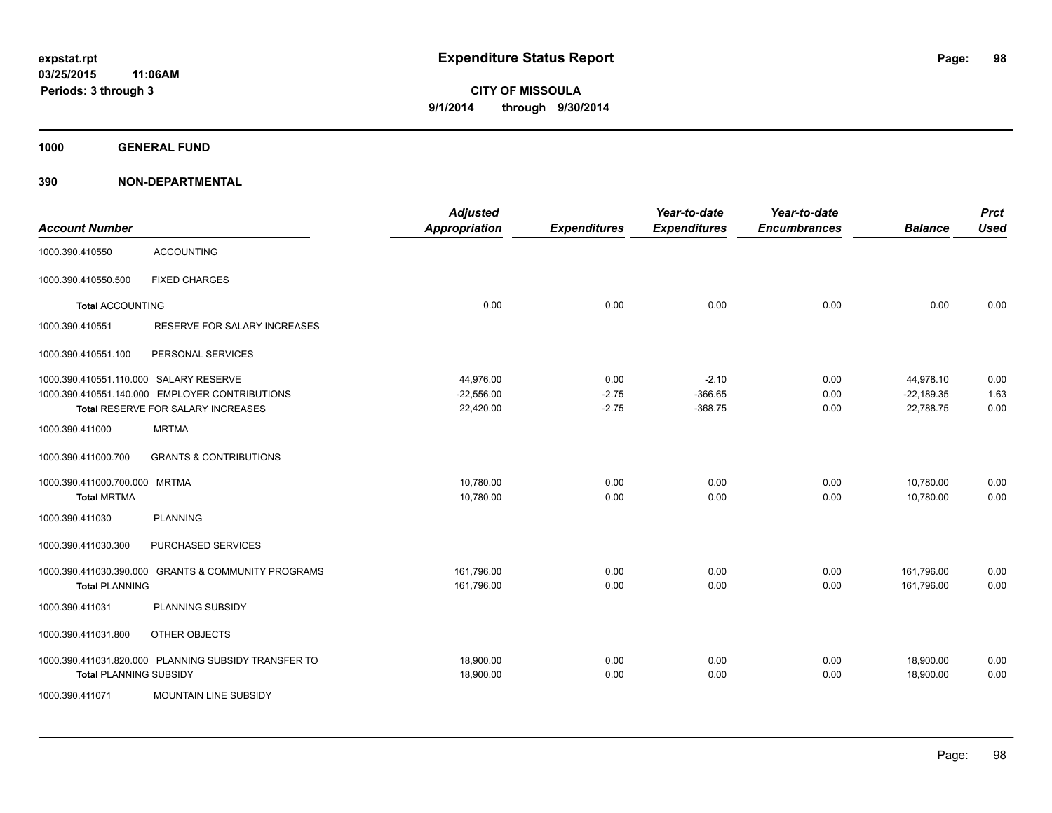**1000 GENERAL FUND**

|                                        |                                                      | <b>Adjusted</b>      |                     | Year-to-date        | Year-to-date        |                | <b>Prct</b> |
|----------------------------------------|------------------------------------------------------|----------------------|---------------------|---------------------|---------------------|----------------|-------------|
| <b>Account Number</b>                  |                                                      | <b>Appropriation</b> | <b>Expenditures</b> | <b>Expenditures</b> | <b>Encumbrances</b> | <b>Balance</b> | <b>Used</b> |
| 1000.390.410550                        | <b>ACCOUNTING</b>                                    |                      |                     |                     |                     |                |             |
| 1000.390.410550.500                    | <b>FIXED CHARGES</b>                                 |                      |                     |                     |                     |                |             |
| <b>Total ACCOUNTING</b>                |                                                      | 0.00                 | 0.00                | 0.00                | 0.00                | 0.00           | 0.00        |
| 1000.390.410551                        | RESERVE FOR SALARY INCREASES                         |                      |                     |                     |                     |                |             |
| 1000.390.410551.100                    | PERSONAL SERVICES                                    |                      |                     |                     |                     |                |             |
| 1000.390.410551.110.000 SALARY RESERVE |                                                      | 44,976.00            | 0.00                | $-2.10$             | 0.00                | 44,978.10      | 0.00        |
|                                        | 1000.390.410551.140.000 EMPLOYER CONTRIBUTIONS       | $-22,556.00$         | $-2.75$             | $-366.65$           | 0.00                | $-22,189.35$   | 1.63        |
|                                        | Total RESERVE FOR SALARY INCREASES                   | 22,420.00            | $-2.75$             | $-368.75$           | 0.00                | 22,788.75      | 0.00        |
| 1000.390.411000                        | <b>MRTMA</b>                                         |                      |                     |                     |                     |                |             |
| 1000.390.411000.700                    | <b>GRANTS &amp; CONTRIBUTIONS</b>                    |                      |                     |                     |                     |                |             |
| 1000.390.411000.700.000 MRTMA          |                                                      | 10,780.00            | 0.00                | 0.00                | 0.00                | 10,780.00      | 0.00        |
| <b>Total MRTMA</b>                     |                                                      | 10,780.00            | 0.00                | 0.00                | 0.00                | 10,780.00      | 0.00        |
| 1000.390.411030                        | <b>PLANNING</b>                                      |                      |                     |                     |                     |                |             |
| 1000.390.411030.300                    | PURCHASED SERVICES                                   |                      |                     |                     |                     |                |             |
| 1000.390.411030.390.000                | <b>GRANTS &amp; COMMUNITY PROGRAMS</b>               | 161,796.00           | 0.00                | 0.00                | 0.00                | 161,796.00     | 0.00        |
| <b>Total PLANNING</b>                  |                                                      | 161,796.00           | 0.00                | 0.00                | 0.00                | 161,796.00     | 0.00        |
| 1000.390.411031                        | PLANNING SUBSIDY                                     |                      |                     |                     |                     |                |             |
| 1000.390.411031.800                    | OTHER OBJECTS                                        |                      |                     |                     |                     |                |             |
|                                        | 1000.390.411031.820.000 PLANNING SUBSIDY TRANSFER TO | 18,900.00            | 0.00                | 0.00                | 0.00                | 18,900.00      | 0.00        |
| <b>Total PLANNING SUBSIDY</b>          |                                                      | 18,900.00            | 0.00                | 0.00                | 0.00                | 18,900.00      | 0.00        |
| 1000.390.411071                        | <b>MOUNTAIN LINE SUBSIDY</b>                         |                      |                     |                     |                     |                |             |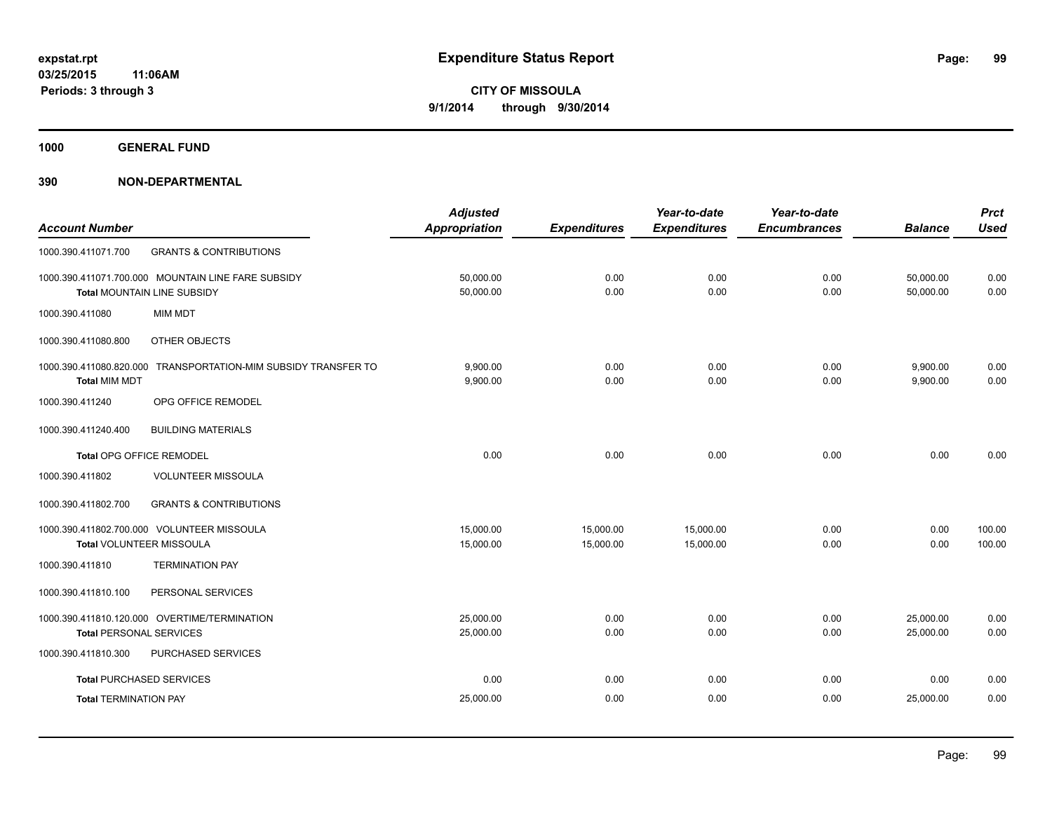**1000 GENERAL FUND**

| <b>Account Number</b>           |                                                                | <b>Adjusted</b><br>Appropriation | <b>Expenditures</b> | Year-to-date<br><b>Expenditures</b> | Year-to-date<br><b>Encumbrances</b> | <b>Balance</b> | <b>Prct</b><br><b>Used</b> |
|---------------------------------|----------------------------------------------------------------|----------------------------------|---------------------|-------------------------------------|-------------------------------------|----------------|----------------------------|
|                                 |                                                                |                                  |                     |                                     |                                     |                |                            |
| 1000.390.411071.700             | <b>GRANTS &amp; CONTRIBUTIONS</b>                              |                                  |                     |                                     |                                     |                |                            |
|                                 | 1000.390.411071.700.000 MOUNTAIN LINE FARE SUBSIDY             | 50,000.00                        | 0.00                | 0.00                                | 0.00                                | 50,000.00      | 0.00                       |
|                                 | <b>Total MOUNTAIN LINE SUBSIDY</b>                             | 50,000.00                        | 0.00                | 0.00                                | 0.00                                | 50,000.00      | 0.00                       |
| 1000.390.411080                 | <b>MIM MDT</b>                                                 |                                  |                     |                                     |                                     |                |                            |
| 1000.390.411080.800             | <b>OTHER OBJECTS</b>                                           |                                  |                     |                                     |                                     |                |                            |
|                                 | 1000.390.411080.820.000 TRANSPORTATION-MIM SUBSIDY TRANSFER TO | 9.900.00                         | 0.00                | 0.00                                | 0.00                                | 9,900.00       | 0.00                       |
| <b>Total MIM MDT</b>            |                                                                | 9,900.00                         | 0.00                | 0.00                                | 0.00                                | 9,900.00       | 0.00                       |
| 1000.390.411240                 | OPG OFFICE REMODEL                                             |                                  |                     |                                     |                                     |                |                            |
| 1000.390.411240.400             | <b>BUILDING MATERIALS</b>                                      |                                  |                     |                                     |                                     |                |                            |
| <b>Total OPG OFFICE REMODEL</b> |                                                                | 0.00                             | 0.00                | 0.00                                | 0.00                                | 0.00           | 0.00                       |
| 1000.390.411802                 | <b>VOLUNTEER MISSOULA</b>                                      |                                  |                     |                                     |                                     |                |                            |
| 1000.390.411802.700             | <b>GRANTS &amp; CONTRIBUTIONS</b>                              |                                  |                     |                                     |                                     |                |                            |
|                                 | 1000.390.411802.700.000 VOLUNTEER MISSOULA                     | 15,000.00                        | 15,000.00           | 15,000.00                           | 0.00                                | 0.00           | 100.00                     |
| Total VOLUNTEER MISSOULA        |                                                                | 15,000.00                        | 15,000.00           | 15,000.00                           | 0.00                                | 0.00           | 100.00                     |
| 1000.390.411810                 | <b>TERMINATION PAY</b>                                         |                                  |                     |                                     |                                     |                |                            |
| 1000.390.411810.100             | PERSONAL SERVICES                                              |                                  |                     |                                     |                                     |                |                            |
|                                 | 1000.390.411810.120.000 OVERTIME/TERMINATION                   | 25,000.00                        | 0.00                | 0.00                                | 0.00                                | 25,000.00      | 0.00                       |
| <b>Total PERSONAL SERVICES</b>  |                                                                | 25,000.00                        | 0.00                | 0.00                                | 0.00                                | 25,000.00      | 0.00                       |
| 1000.390.411810.300             | PURCHASED SERVICES                                             |                                  |                     |                                     |                                     |                |                            |
| <b>Total PURCHASED SERVICES</b> |                                                                | 0.00                             | 0.00                | 0.00                                | 0.00                                | 0.00           | 0.00                       |
| <b>Total TERMINATION PAY</b>    |                                                                | 25,000.00                        | 0.00                | 0.00                                | 0.00                                | 25,000.00      | 0.00                       |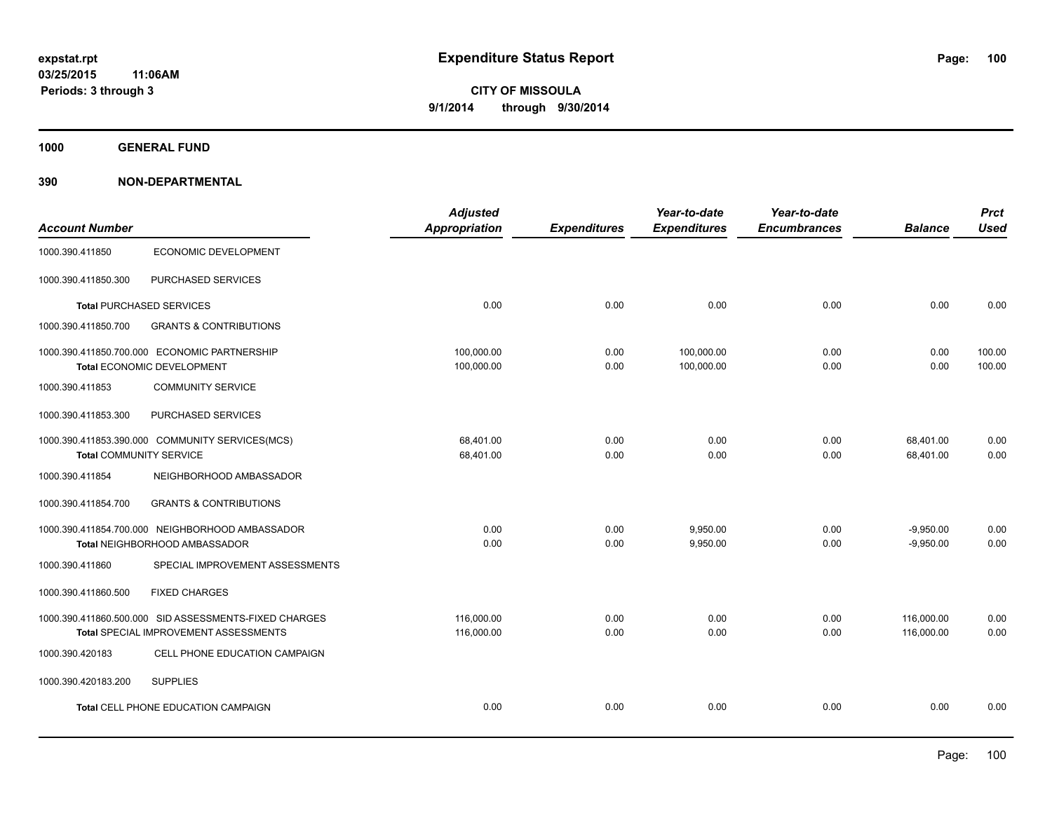**1000 GENERAL FUND**

|                                |                                                       | <b>Adjusted</b>      |                     | Year-to-date        | Year-to-date        |                | <b>Prct</b> |
|--------------------------------|-------------------------------------------------------|----------------------|---------------------|---------------------|---------------------|----------------|-------------|
| <b>Account Number</b>          |                                                       | <b>Appropriation</b> | <b>Expenditures</b> | <b>Expenditures</b> | <b>Encumbrances</b> | <b>Balance</b> | <b>Used</b> |
| 1000.390.411850                | ECONOMIC DEVELOPMENT                                  |                      |                     |                     |                     |                |             |
| 1000.390.411850.300            | PURCHASED SERVICES                                    |                      |                     |                     |                     |                |             |
|                                | <b>Total PURCHASED SERVICES</b>                       | 0.00                 | 0.00                | 0.00                | 0.00                | 0.00           | 0.00        |
| 1000.390.411850.700            | <b>GRANTS &amp; CONTRIBUTIONS</b>                     |                      |                     |                     |                     |                |             |
|                                | 1000.390.411850.700.000 ECONOMIC PARTNERSHIP          | 100,000.00           | 0.00                | 100,000.00          | 0.00                | 0.00           | 100.00      |
|                                | Total ECONOMIC DEVELOPMENT                            | 100,000.00           | 0.00                | 100,000.00          | 0.00                | 0.00           | 100.00      |
| 1000.390.411853                | <b>COMMUNITY SERVICE</b>                              |                      |                     |                     |                     |                |             |
| 1000.390.411853.300            | PURCHASED SERVICES                                    |                      |                     |                     |                     |                |             |
|                                | 1000.390.411853.390.000 COMMUNITY SERVICES(MCS)       | 68.401.00            | 0.00                | 0.00                | 0.00                | 68,401.00      | 0.00        |
| <b>Total COMMUNITY SERVICE</b> |                                                       | 68,401.00            | 0.00                | 0.00                | 0.00                | 68,401.00      | 0.00        |
| 1000.390.411854                | NEIGHBORHOOD AMBASSADOR                               |                      |                     |                     |                     |                |             |
| 1000.390.411854.700            | <b>GRANTS &amp; CONTRIBUTIONS</b>                     |                      |                     |                     |                     |                |             |
|                                | 1000.390.411854.700.000 NEIGHBORHOOD AMBASSADOR       | 0.00                 | 0.00                | 9,950.00            | 0.00                | $-9,950.00$    | 0.00        |
|                                | Total NEIGHBORHOOD AMBASSADOR                         | 0.00                 | 0.00                | 9,950.00            | 0.00                | $-9,950.00$    | 0.00        |
| 1000.390.411860                | SPECIAL IMPROVEMENT ASSESSMENTS                       |                      |                     |                     |                     |                |             |
| 1000.390.411860.500            | <b>FIXED CHARGES</b>                                  |                      |                     |                     |                     |                |             |
|                                | 1000.390.411860.500.000 SID ASSESSMENTS-FIXED CHARGES | 116,000.00           | 0.00                | 0.00                | 0.00                | 116,000.00     | 0.00        |
|                                | Total SPECIAL IMPROVEMENT ASSESSMENTS                 | 116,000.00           | 0.00                | 0.00                | 0.00                | 116,000.00     | 0.00        |
| 1000.390.420183                | CELL PHONE EDUCATION CAMPAIGN                         |                      |                     |                     |                     |                |             |
| 1000.390.420183.200            | <b>SUPPLIES</b>                                       |                      |                     |                     |                     |                |             |
|                                | <b>Total CELL PHONE EDUCATION CAMPAIGN</b>            | 0.00                 | 0.00                | 0.00                | 0.00                | 0.00           | 0.00        |
|                                |                                                       |                      |                     |                     |                     |                |             |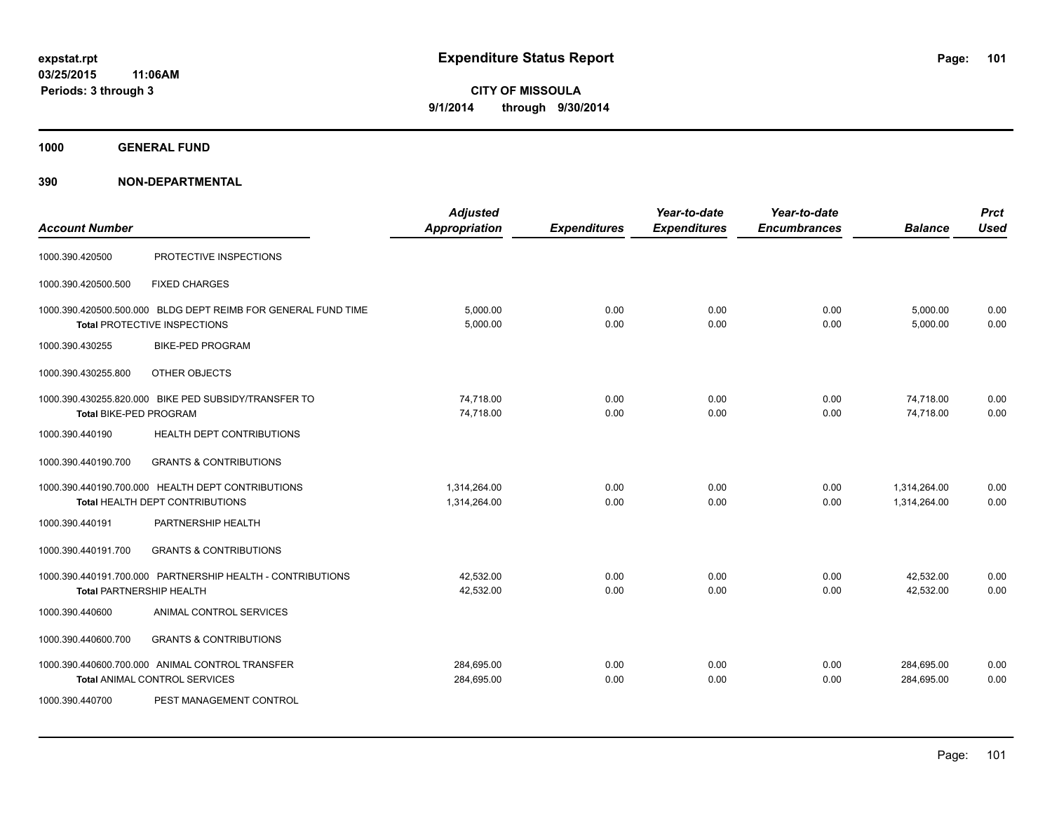**1000 GENERAL FUND**

| <b>Account Number</b>           |                                                                                                      | <b>Adjusted</b><br><b>Appropriation</b> | <b>Expenditures</b> | Year-to-date<br><b>Expenditures</b> | Year-to-date<br><b>Encumbrances</b> | <b>Balance</b>               | <b>Prct</b><br><b>Used</b> |
|---------------------------------|------------------------------------------------------------------------------------------------------|-----------------------------------------|---------------------|-------------------------------------|-------------------------------------|------------------------------|----------------------------|
| 1000.390.420500                 | PROTECTIVE INSPECTIONS                                                                               |                                         |                     |                                     |                                     |                              |                            |
| 1000.390.420500.500             | <b>FIXED CHARGES</b>                                                                                 |                                         |                     |                                     |                                     |                              |                            |
|                                 | 1000.390.420500.500.000 BLDG DEPT REIMB FOR GENERAL FUND TIME<br><b>Total PROTECTIVE INSPECTIONS</b> | 5,000.00<br>5,000.00                    | 0.00<br>0.00        | 0.00<br>0.00                        | 0.00<br>0.00                        | 5,000.00<br>5,000.00         | 0.00<br>0.00               |
| 1000.390.430255                 | <b>BIKE-PED PROGRAM</b>                                                                              |                                         |                     |                                     |                                     |                              |                            |
| 1000.390.430255.800             | OTHER OBJECTS                                                                                        |                                         |                     |                                     |                                     |                              |                            |
| Total BIKE-PED PROGRAM          | 1000.390.430255.820.000 BIKE PED SUBSIDY/TRANSFER TO                                                 | 74,718.00<br>74,718.00                  | 0.00<br>0.00        | 0.00<br>0.00                        | 0.00<br>0.00                        | 74,718.00<br>74,718.00       | 0.00<br>0.00               |
| 1000.390.440190                 | HEALTH DEPT CONTRIBUTIONS                                                                            |                                         |                     |                                     |                                     |                              |                            |
| 1000.390.440190.700             | <b>GRANTS &amp; CONTRIBUTIONS</b>                                                                    |                                         |                     |                                     |                                     |                              |                            |
|                                 | 1000.390.440190.700.000 HEALTH DEPT CONTRIBUTIONS<br><b>Total HEALTH DEPT CONTRIBUTIONS</b>          | 1,314,264.00<br>1,314,264.00            | 0.00<br>0.00        | 0.00<br>0.00                        | 0.00<br>0.00                        | 1,314,264.00<br>1,314,264.00 | 0.00<br>0.00               |
| 1000.390.440191                 | PARTNERSHIP HEALTH                                                                                   |                                         |                     |                                     |                                     |                              |                            |
| 1000.390.440191.700             | <b>GRANTS &amp; CONTRIBUTIONS</b>                                                                    |                                         |                     |                                     |                                     |                              |                            |
| <b>Total PARTNERSHIP HEALTH</b> | 1000.390.440191.700.000 PARTNERSHIP HEALTH - CONTRIBUTIONS                                           | 42,532.00<br>42,532.00                  | 0.00<br>0.00        | 0.00<br>0.00                        | 0.00<br>0.00                        | 42,532.00<br>42,532.00       | 0.00<br>0.00               |
| 1000.390.440600                 | ANIMAL CONTROL SERVICES                                                                              |                                         |                     |                                     |                                     |                              |                            |
| 1000.390.440600.700             | <b>GRANTS &amp; CONTRIBUTIONS</b>                                                                    |                                         |                     |                                     |                                     |                              |                            |
|                                 | 1000.390.440600.700.000 ANIMAL CONTROL TRANSFER<br>Total ANIMAL CONTROL SERVICES                     | 284,695.00<br>284,695.00                | 0.00<br>0.00        | 0.00<br>0.00                        | 0.00<br>0.00                        | 284,695.00<br>284,695.00     | 0.00<br>0.00               |
| 1000.390.440700                 | PEST MANAGEMENT CONTROL                                                                              |                                         |                     |                                     |                                     |                              |                            |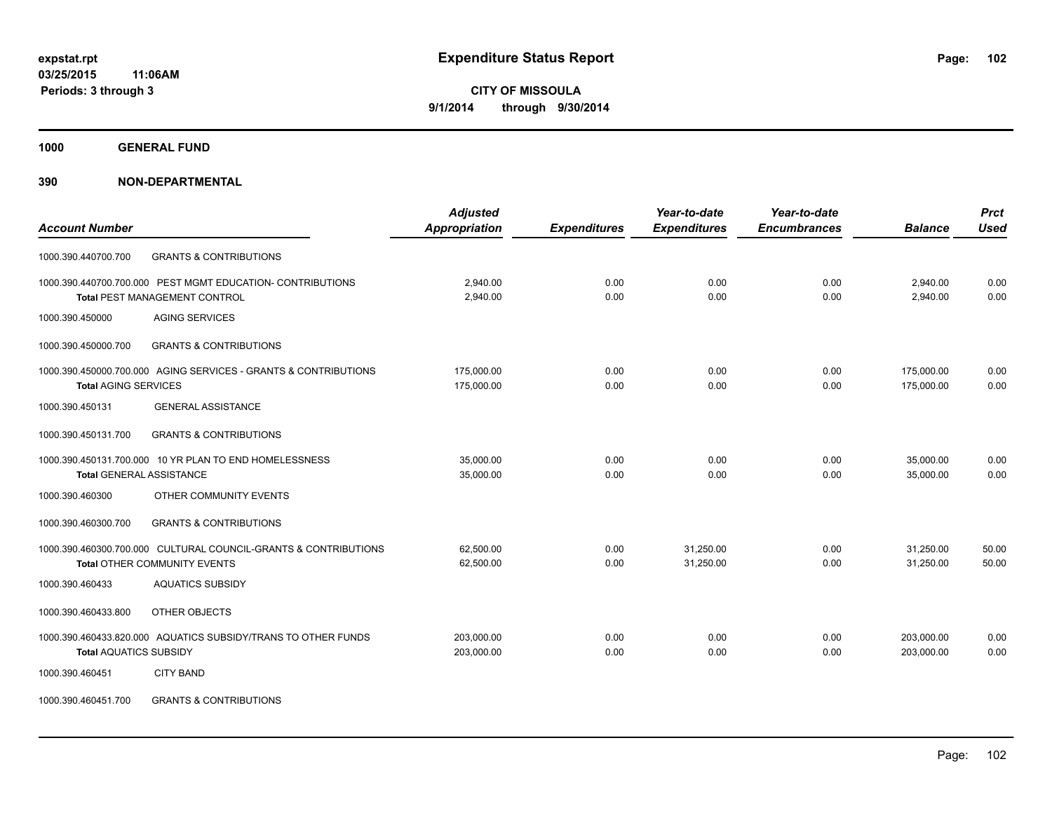**1000 GENERAL FUND**

**390 NON-DEPARTMENTAL**

| <b>Account Number</b>                                           | <b>Adjusted</b><br><b>Appropriation</b> | <b>Expenditures</b> | Year-to-date<br><b>Expenditures</b> | Year-to-date<br><b>Encumbrances</b> | <b>Balance</b> | <b>Prct</b><br><b>Used</b> |
|-----------------------------------------------------------------|-----------------------------------------|---------------------|-------------------------------------|-------------------------------------|----------------|----------------------------|
|                                                                 |                                         |                     |                                     |                                     |                |                            |
| <b>GRANTS &amp; CONTRIBUTIONS</b><br>1000.390.440700.700        |                                         |                     |                                     |                                     |                |                            |
| 1000.390.440700.700.000 PEST MGMT EDUCATION- CONTRIBUTIONS      | 2.940.00                                | 0.00                | 0.00                                | 0.00                                | 2,940.00       | 0.00                       |
| Total PEST MANAGEMENT CONTROL                                   | 2,940.00                                | 0.00                | 0.00                                | 0.00                                | 2,940.00       | 0.00                       |
| <b>AGING SERVICES</b><br>1000.390.450000                        |                                         |                     |                                     |                                     |                |                            |
| 1000.390.450000.700<br><b>GRANTS &amp; CONTRIBUTIONS</b>        |                                         |                     |                                     |                                     |                |                            |
| 1000.390.450000.700.000 AGING SERVICES - GRANTS & CONTRIBUTIONS | 175,000.00                              | 0.00                | 0.00                                | 0.00                                | 175,000.00     | 0.00                       |
| <b>Total AGING SERVICES</b>                                     | 175,000.00                              | 0.00                | 0.00                                | 0.00                                | 175,000.00     | 0.00                       |
| 1000.390.450131<br><b>GENERAL ASSISTANCE</b>                    |                                         |                     |                                     |                                     |                |                            |
| 1000.390.450131.700<br><b>GRANTS &amp; CONTRIBUTIONS</b>        |                                         |                     |                                     |                                     |                |                            |
| 1000.390.450131.700.000 10 YR PLAN TO END HOMELESSNESS          | 35,000.00                               | 0.00                | 0.00                                | 0.00                                | 35,000.00      | 0.00                       |
| <b>Total GENERAL ASSISTANCE</b>                                 | 35,000.00                               | 0.00                | 0.00                                | 0.00                                | 35,000.00      | 0.00                       |
| 1000.390.460300<br>OTHER COMMUNITY EVENTS                       |                                         |                     |                                     |                                     |                |                            |
| <b>GRANTS &amp; CONTRIBUTIONS</b><br>1000.390.460300.700        |                                         |                     |                                     |                                     |                |                            |
| 1000.390.460300.700.000 CULTURAL COUNCIL-GRANTS & CONTRIBUTIONS | 62,500.00                               | 0.00                | 31.250.00                           | 0.00                                | 31,250.00      | 50.00                      |
| Total OTHER COMMUNITY EVENTS                                    | 62,500.00                               | 0.00                | 31,250.00                           | 0.00                                | 31,250.00      | 50.00                      |
| <b>AQUATICS SUBSIDY</b><br>1000.390.460433                      |                                         |                     |                                     |                                     |                |                            |
| 1000.390.460433.800<br>OTHER OBJECTS                            |                                         |                     |                                     |                                     |                |                            |
| 1000.390.460433.820.000 AQUATICS SUBSIDY/TRANS TO OTHER FUNDS   | 203,000.00                              | 0.00                | 0.00                                | 0.00                                | 203,000.00     | 0.00                       |
| <b>Total AQUATICS SUBSIDY</b>                                   | 203,000.00                              | 0.00                | 0.00                                | 0.00                                | 203.000.00     | 0.00                       |
| 1000.390.460451<br><b>CITY BAND</b>                             |                                         |                     |                                     |                                     |                |                            |
|                                                                 |                                         |                     |                                     |                                     |                |                            |

1000.390.460451.700 GRANTS & CONTRIBUTIONS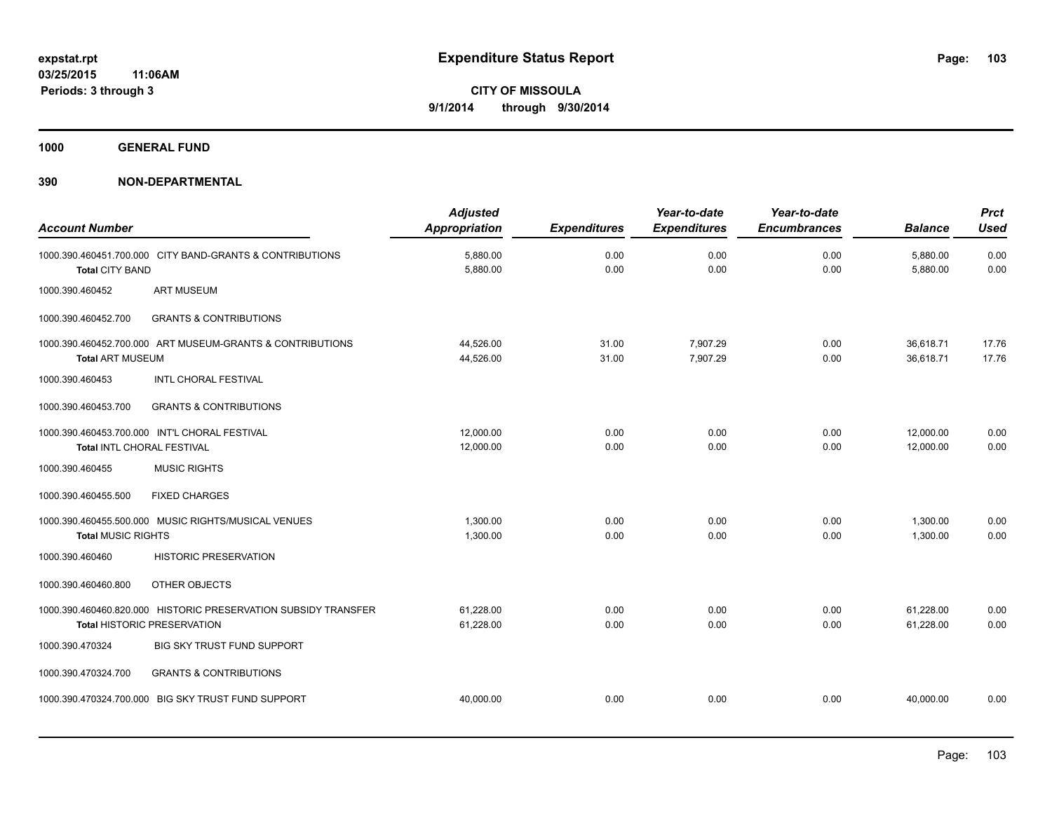**1000 GENERAL FUND**

| <b>Account Number</b>                                                                |                                                                | <b>Adjusted</b><br><b>Appropriation</b> | <b>Expenditures</b> | Year-to-date<br><b>Expenditures</b> | Year-to-date<br><b>Encumbrances</b> | <b>Balance</b>         | <b>Prct</b><br><b>Used</b> |
|--------------------------------------------------------------------------------------|----------------------------------------------------------------|-----------------------------------------|---------------------|-------------------------------------|-------------------------------------|------------------------|----------------------------|
| 1000.390.460451.700.000 CITY BAND-GRANTS & CONTRIBUTIONS<br><b>Total CITY BAND</b>   |                                                                | 5,880.00<br>5,880.00                    | 0.00<br>0.00        | 0.00<br>0.00                        | 0.00<br>0.00                        | 5,880.00<br>5,880.00   | 0.00<br>0.00               |
| <b>ART MUSEUM</b><br>1000.390.460452                                                 |                                                                |                                         |                     |                                     |                                     |                        |                            |
| 1000.390.460452.700                                                                  | <b>GRANTS &amp; CONTRIBUTIONS</b>                              |                                         |                     |                                     |                                     |                        |                            |
| 1000.390.460452.700.000 ART MUSEUM-GRANTS & CONTRIBUTIONS<br><b>Total ART MUSEUM</b> |                                                                | 44,526.00<br>44,526.00                  | 31.00<br>31.00      | 7.907.29<br>7,907.29                | 0.00<br>0.00                        | 36.618.71<br>36,618.71 | 17.76<br>17.76             |
| 1000.390.460453                                                                      | <b>INTL CHORAL FESTIVAL</b>                                    |                                         |                     |                                     |                                     |                        |                            |
| 1000.390.460453.700                                                                  | <b>GRANTS &amp; CONTRIBUTIONS</b>                              |                                         |                     |                                     |                                     |                        |                            |
| 1000.390.460453.700.000 INT'L CHORAL FESTIVAL<br>Total INTL CHORAL FESTIVAL          |                                                                | 12,000.00<br>12,000.00                  | 0.00<br>0.00        | 0.00<br>0.00                        | 0.00<br>0.00                        | 12,000.00<br>12,000.00 | 0.00<br>0.00               |
| <b>MUSIC RIGHTS</b><br>1000.390.460455                                               |                                                                |                                         |                     |                                     |                                     |                        |                            |
| 1000.390.460455.500<br><b>FIXED CHARGES</b>                                          |                                                                |                                         |                     |                                     |                                     |                        |                            |
| 1000.390.460455.500.000 MUSIC RIGHTS/MUSICAL VENUES<br><b>Total MUSIC RIGHTS</b>     |                                                                | 1,300.00<br>1,300.00                    | 0.00<br>0.00        | 0.00<br>0.00                        | 0.00<br>0.00                        | 1,300.00<br>1,300.00   | 0.00<br>0.00               |
| 1000.390.460460                                                                      | <b>HISTORIC PRESERVATION</b>                                   |                                         |                     |                                     |                                     |                        |                            |
| 1000.390.460460.800<br>OTHER OBJECTS                                                 |                                                                |                                         |                     |                                     |                                     |                        |                            |
| <b>Total HISTORIC PRESERVATION</b>                                                   | 1000.390.460460.820.000 HISTORIC PRESERVATION SUBSIDY TRANSFER | 61,228.00<br>61,228.00                  | 0.00<br>0.00        | 0.00<br>0.00                        | 0.00<br>0.00                        | 61,228.00<br>61,228.00 | 0.00<br>0.00               |
| 1000.390.470324                                                                      | <b>BIG SKY TRUST FUND SUPPORT</b>                              |                                         |                     |                                     |                                     |                        |                            |
| 1000.390.470324.700                                                                  | <b>GRANTS &amp; CONTRIBUTIONS</b>                              |                                         |                     |                                     |                                     |                        |                            |
| 1000.390.470324.700.000 BIG SKY TRUST FUND SUPPORT                                   |                                                                | 40,000.00                               | 0.00                | 0.00                                | 0.00                                | 40.000.00              | 0.00                       |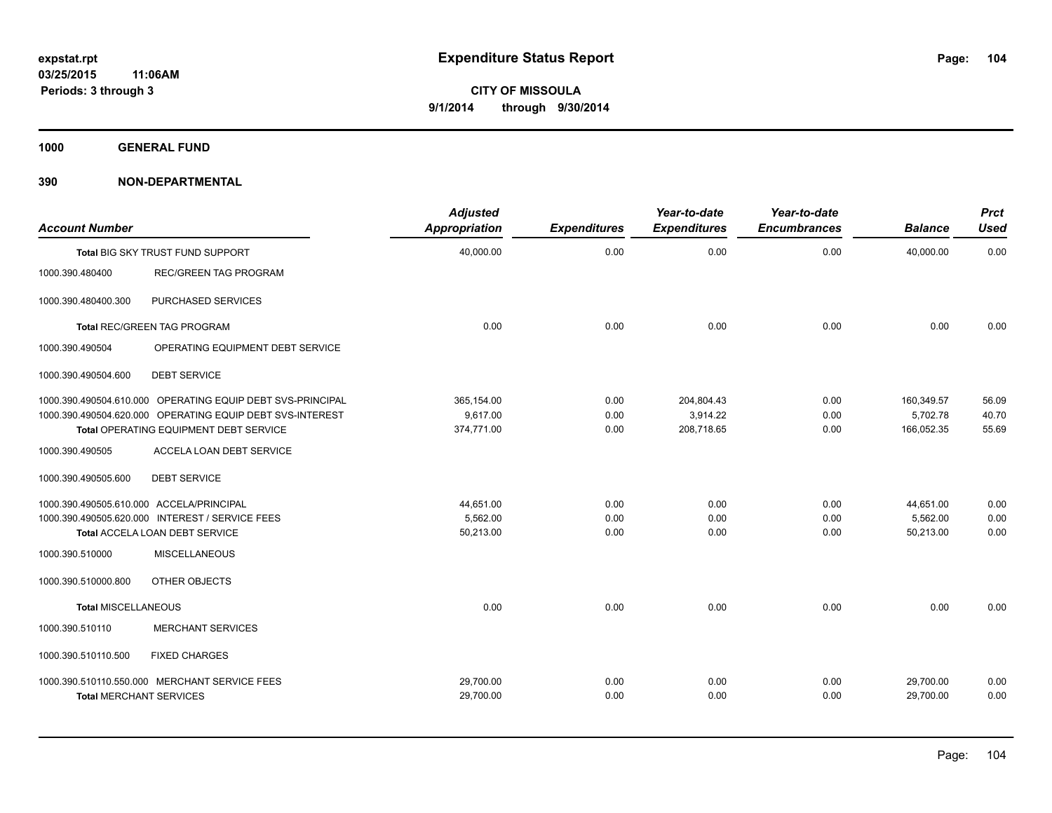**1000 GENERAL FUND**

| <b>Account Number</b>                    |                                                            | <b>Adjusted</b><br><b>Appropriation</b> | <b>Expenditures</b> | Year-to-date<br><b>Expenditures</b> | Year-to-date<br><b>Encumbrances</b> | <b>Balance</b> | <b>Prct</b><br><b>Used</b> |
|------------------------------------------|------------------------------------------------------------|-----------------------------------------|---------------------|-------------------------------------|-------------------------------------|----------------|----------------------------|
|                                          | Total BIG SKY TRUST FUND SUPPORT                           | 40,000.00                               | 0.00                | 0.00                                | 0.00                                | 40.000.00      | 0.00                       |
| 1000.390.480400                          | <b>REC/GREEN TAG PROGRAM</b>                               |                                         |                     |                                     |                                     |                |                            |
| 1000.390.480400.300                      | PURCHASED SERVICES                                         |                                         |                     |                                     |                                     |                |                            |
| <b>Total REC/GREEN TAG PROGRAM</b>       |                                                            | 0.00                                    | 0.00                | 0.00                                | 0.00                                | 0.00           | 0.00                       |
| 1000.390.490504                          | OPERATING EQUIPMENT DEBT SERVICE                           |                                         |                     |                                     |                                     |                |                            |
| 1000.390.490504.600                      | <b>DEBT SERVICE</b>                                        |                                         |                     |                                     |                                     |                |                            |
|                                          | 1000.390.490504.610.000 OPERATING EQUIP DEBT SVS-PRINCIPAL | 365,154.00                              | 0.00                | 204,804.43                          | 0.00                                | 160,349.57     | 56.09                      |
|                                          | 1000.390.490504.620.000 OPERATING EQUIP DEBT SVS-INTEREST  | 9,617.00                                | 0.00                | 3,914.22                            | 0.00                                | 5,702.78       | 40.70                      |
|                                          | Total OPERATING EQUIPMENT DEBT SERVICE                     | 374,771.00                              | 0.00                | 208,718.65                          | 0.00                                | 166,052.35     | 55.69                      |
| 1000.390.490505                          | ACCELA LOAN DEBT SERVICE                                   |                                         |                     |                                     |                                     |                |                            |
| 1000.390.490505.600                      | <b>DEBT SERVICE</b>                                        |                                         |                     |                                     |                                     |                |                            |
| 1000.390.490505.610.000 ACCELA/PRINCIPAL |                                                            | 44,651.00                               | 0.00                | 0.00                                | 0.00                                | 44,651.00      | 0.00                       |
|                                          | 1000.390.490505.620.000 INTEREST / SERVICE FEES            | 5,562.00                                | 0.00                | 0.00                                | 0.00                                | 5,562.00       | 0.00                       |
|                                          | Total ACCELA LOAN DEBT SERVICE                             | 50,213.00                               | 0.00                | 0.00                                | 0.00                                | 50,213.00      | 0.00                       |
| 1000.390.510000                          | <b>MISCELLANEOUS</b>                                       |                                         |                     |                                     |                                     |                |                            |
| 1000.390.510000.800                      | OTHER OBJECTS                                              |                                         |                     |                                     |                                     |                |                            |
| <b>Total MISCELLANEOUS</b>               |                                                            | 0.00                                    | 0.00                | 0.00                                | 0.00                                | 0.00           | 0.00                       |
| 1000.390.510110                          | <b>MERCHANT SERVICES</b>                                   |                                         |                     |                                     |                                     |                |                            |
| 1000.390.510110.500                      | <b>FIXED CHARGES</b>                                       |                                         |                     |                                     |                                     |                |                            |
|                                          | 1000.390.510110.550.000 MERCHANT SERVICE FEES              | 29,700.00                               | 0.00                | 0.00                                | 0.00                                | 29,700.00      | 0.00                       |
| <b>Total MERCHANT SERVICES</b>           |                                                            | 29,700.00                               | 0.00                | 0.00                                | 0.00                                | 29,700.00      | 0.00                       |
|                                          |                                                            |                                         |                     |                                     |                                     |                |                            |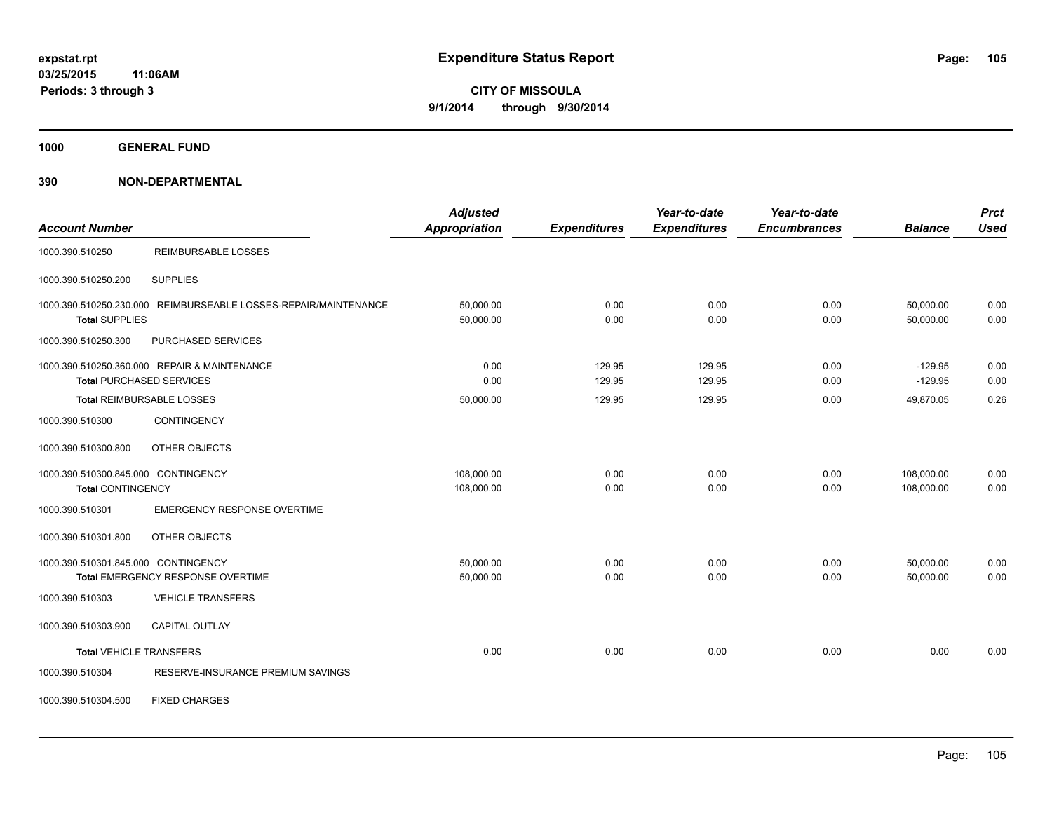**1000 GENERAL FUND**

**390 NON-DEPARTMENTAL**

| <b>Account Number</b>                                                                    | <b>Adjusted</b><br><b>Appropriation</b> | <b>Expenditures</b> | Year-to-date<br><b>Expenditures</b> | Year-to-date<br><b>Encumbrances</b> | <b>Balance</b>           | <b>Prct</b><br><b>Used</b> |
|------------------------------------------------------------------------------------------|-----------------------------------------|---------------------|-------------------------------------|-------------------------------------|--------------------------|----------------------------|
| <b>REIMBURSABLE LOSSES</b><br>1000.390.510250                                            |                                         |                     |                                     |                                     |                          |                            |
| 1000.390.510250.200<br><b>SUPPLIES</b>                                                   |                                         |                     |                                     |                                     |                          |                            |
| 1000.390.510250.230.000 REIMBURSEABLE LOSSES-REPAIR/MAINTENANCE<br><b>Total SUPPLIES</b> | 50,000.00<br>50,000.00                  | 0.00<br>0.00        | 0.00<br>0.00                        | 0.00<br>0.00                        | 50,000.00<br>50,000.00   | 0.00<br>0.00               |
| 1000.390.510250.300<br>PURCHASED SERVICES                                                |                                         |                     |                                     |                                     |                          |                            |
| 1000.390.510250.360.000 REPAIR & MAINTENANCE<br><b>Total PURCHASED SERVICES</b>          | 0.00<br>0.00                            | 129.95<br>129.95    | 129.95<br>129.95                    | 0.00<br>0.00                        | $-129.95$<br>$-129.95$   | 0.00<br>0.00               |
| <b>Total REIMBURSABLE LOSSES</b>                                                         | 50,000.00                               | 129.95              | 129.95                              | 0.00                                | 49,870.05                | 0.26                       |
| <b>CONTINGENCY</b><br>1000.390.510300                                                    |                                         |                     |                                     |                                     |                          |                            |
| 1000.390.510300.800<br>OTHER OBJECTS                                                     |                                         |                     |                                     |                                     |                          |                            |
| 1000.390.510300.845.000 CONTINGENCY<br><b>Total CONTINGENCY</b>                          | 108,000.00<br>108,000.00                | 0.00<br>0.00        | 0.00<br>0.00                        | 0.00<br>0.00                        | 108,000.00<br>108,000.00 | 0.00<br>0.00               |
| 1000.390.510301<br><b>EMERGENCY RESPONSE OVERTIME</b>                                    |                                         |                     |                                     |                                     |                          |                            |
| OTHER OBJECTS<br>1000.390.510301.800                                                     |                                         |                     |                                     |                                     |                          |                            |
| 1000.390.510301.845.000 CONTINGENCY<br>Total EMERGENCY RESPONSE OVERTIME                 | 50,000.00<br>50,000.00                  | 0.00<br>0.00        | 0.00<br>0.00                        | 0.00<br>0.00                        | 50,000.00<br>50,000.00   | 0.00<br>0.00               |
| 1000.390.510303<br><b>VEHICLE TRANSFERS</b>                                              |                                         |                     |                                     |                                     |                          |                            |
| 1000.390.510303.900<br><b>CAPITAL OUTLAY</b>                                             |                                         |                     |                                     |                                     |                          |                            |
| <b>Total VEHICLE TRANSFERS</b>                                                           | 0.00                                    | 0.00                | 0.00                                | 0.00                                | 0.00                     | 0.00                       |
| RESERVE-INSURANCE PREMIUM SAVINGS<br>1000.390.510304                                     |                                         |                     |                                     |                                     |                          |                            |
| 1000.390.510304.500<br><b>FIXED CHARGES</b>                                              |                                         |                     |                                     |                                     |                          |                            |

Page: 105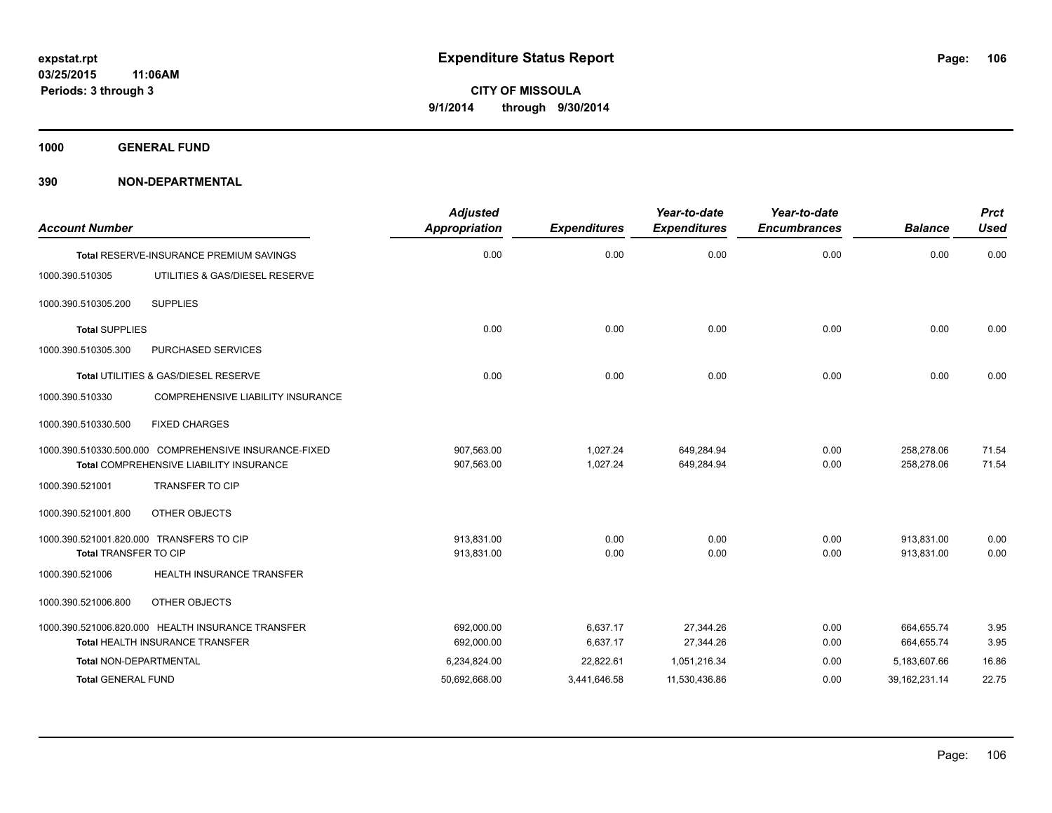**1000 GENERAL FUND**

| <b>Account Number</b>         |                                                                   | <b>Adjusted</b><br><b>Appropriation</b> | <b>Expenditures</b> | Year-to-date<br><b>Expenditures</b> | Year-to-date<br><b>Encumbrances</b> | <b>Balance</b>   | <b>Prct</b><br><b>Used</b> |
|-------------------------------|-------------------------------------------------------------------|-----------------------------------------|---------------------|-------------------------------------|-------------------------------------|------------------|----------------------------|
|                               | Total RESERVE-INSURANCE PREMIUM SAVINGS                           | 0.00                                    | 0.00                | 0.00                                | 0.00                                | 0.00             | 0.00                       |
| 1000.390.510305               | UTILITIES & GAS/DIESEL RESERVE                                    |                                         |                     |                                     |                                     |                  |                            |
| 1000.390.510305.200           | <b>SUPPLIES</b>                                                   |                                         |                     |                                     |                                     |                  |                            |
| <b>Total SUPPLIES</b>         |                                                                   | 0.00                                    | 0.00                | 0.00                                | 0.00                                | 0.00             | 0.00                       |
| 1000.390.510305.300           | PURCHASED SERVICES                                                |                                         |                     |                                     |                                     |                  |                            |
|                               | Total UTILITIES & GAS/DIESEL RESERVE                              | 0.00                                    | 0.00                | 0.00                                | 0.00                                | 0.00             | 0.00                       |
| 1000.390.510330               | COMPREHENSIVE LIABILITY INSURANCE                                 |                                         |                     |                                     |                                     |                  |                            |
| 1000.390.510330.500           | <b>FIXED CHARGES</b>                                              |                                         |                     |                                     |                                     |                  |                            |
|                               | 1000.390.510330.500.000 COMPREHENSIVE INSURANCE-FIXED             | 907,563.00                              | 1.027.24            | 649.284.94                          | 0.00                                | 258.278.06       | 71.54                      |
| 1000.390.521001               | Total COMPREHENSIVE LIABILITY INSURANCE<br><b>TRANSFER TO CIP</b> | 907,563.00                              | 1,027.24            | 649,284.94                          | 0.00                                | 258,278.06       | 71.54                      |
|                               |                                                                   |                                         |                     |                                     |                                     |                  |                            |
| 1000.390.521001.800           | OTHER OBJECTS                                                     |                                         |                     |                                     |                                     |                  |                            |
|                               | 1000.390.521001.820.000 TRANSFERS TO CIP                          | 913,831.00                              | 0.00                | 0.00                                | 0.00                                | 913,831.00       | 0.00                       |
| <b>Total TRANSFER TO CIP</b>  |                                                                   | 913,831.00                              | 0.00                | 0.00                                | 0.00                                | 913.831.00       | 0.00                       |
| 1000.390.521006               | <b>HEALTH INSURANCE TRANSFER</b>                                  |                                         |                     |                                     |                                     |                  |                            |
| 1000.390.521006.800           | OTHER OBJECTS                                                     |                                         |                     |                                     |                                     |                  |                            |
|                               | 1000.390.521006.820.000 HEALTH INSURANCE TRANSFER                 | 692,000.00                              | 6,637.17            | 27,344.26                           | 0.00                                | 664,655.74       | 3.95                       |
|                               | <b>Total HEALTH INSURANCE TRANSFER</b>                            | 692,000.00                              | 6,637.17            | 27,344.26                           | 0.00                                | 664,655.74       | 3.95                       |
| <b>Total NON-DEPARTMENTAL</b> |                                                                   | 6,234,824.00                            | 22,822.61           | 1,051,216.34                        | 0.00                                | 5,183,607.66     | 16.86                      |
| <b>Total GENERAL FUND</b>     |                                                                   | 50,692,668.00                           | 3,441,646.58        | 11,530,436.86                       | 0.00                                | 39, 162, 231. 14 | 22.75                      |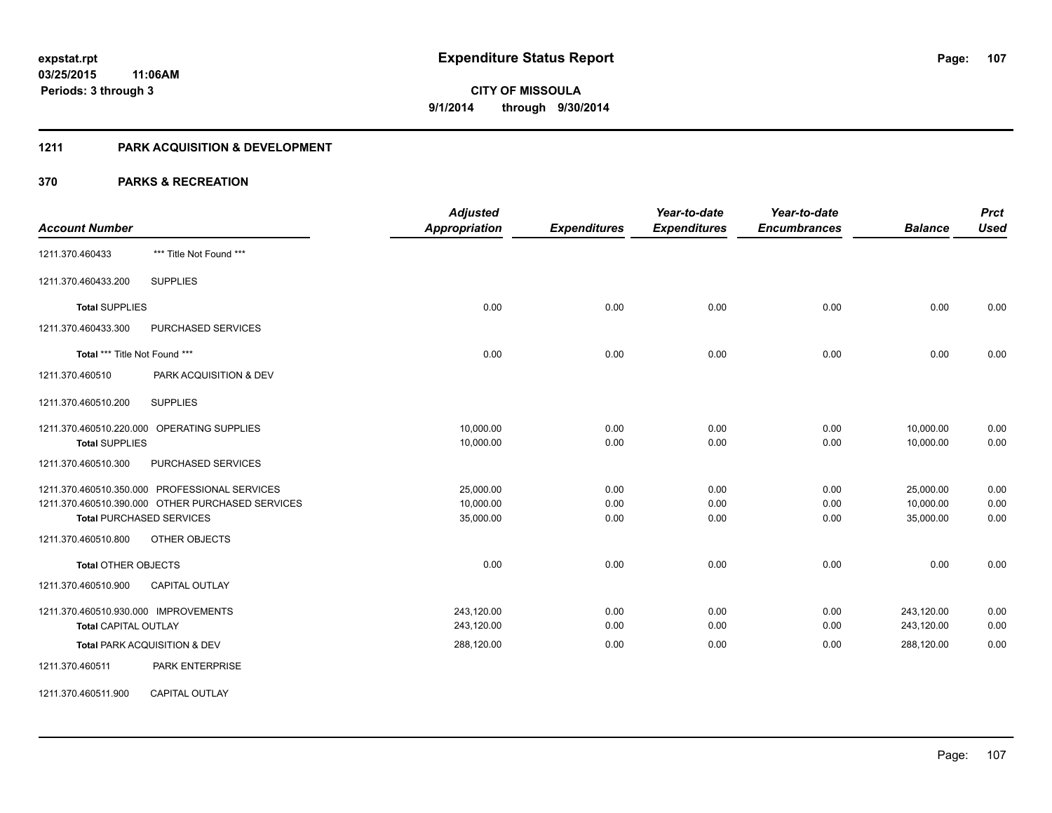#### **1211 PARK ACQUISITION & DEVELOPMENT**

| <b>Account Number</b>                |                                                  | <b>Adjusted</b><br><b>Appropriation</b> | <b>Expenditures</b> | Year-to-date<br><b>Expenditures</b> | Year-to-date<br><b>Encumbrances</b> | <b>Balance</b> | <b>Prct</b><br><b>Used</b> |
|--------------------------------------|--------------------------------------------------|-----------------------------------------|---------------------|-------------------------------------|-------------------------------------|----------------|----------------------------|
| 1211.370.460433                      | *** Title Not Found ***                          |                                         |                     |                                     |                                     |                |                            |
| 1211.370.460433.200                  | <b>SUPPLIES</b>                                  |                                         |                     |                                     |                                     |                |                            |
| <b>Total SUPPLIES</b>                |                                                  | 0.00                                    | 0.00                | 0.00                                | 0.00                                | 0.00           | 0.00                       |
| 1211.370.460433.300                  | PURCHASED SERVICES                               |                                         |                     |                                     |                                     |                |                            |
| Total *** Title Not Found ***        |                                                  | 0.00                                    | 0.00                | 0.00                                | 0.00                                | 0.00           | 0.00                       |
| 1211.370.460510                      | PARK ACQUISITION & DEV                           |                                         |                     |                                     |                                     |                |                            |
| 1211.370.460510.200                  | <b>SUPPLIES</b>                                  |                                         |                     |                                     |                                     |                |                            |
|                                      | 1211.370.460510.220.000 OPERATING SUPPLIES       | 10,000.00                               | 0.00                | 0.00                                | 0.00                                | 10,000.00      | 0.00                       |
| <b>Total SUPPLIES</b>                |                                                  | 10,000.00                               | 0.00                | 0.00                                | 0.00                                | 10,000.00      | 0.00                       |
| 1211.370.460510.300                  | PURCHASED SERVICES                               |                                         |                     |                                     |                                     |                |                            |
|                                      | 1211.370.460510.350.000 PROFESSIONAL SERVICES    | 25,000.00                               | 0.00                | 0.00                                | 0.00                                | 25,000.00      | 0.00                       |
|                                      | 1211.370.460510.390.000 OTHER PURCHASED SERVICES | 10,000.00                               | 0.00                | 0.00                                | 0.00                                | 10,000.00      | 0.00                       |
|                                      | <b>Total PURCHASED SERVICES</b>                  | 35,000.00                               | 0.00                | 0.00                                | 0.00                                | 35,000.00      | 0.00                       |
| 1211.370.460510.800                  | OTHER OBJECTS                                    |                                         |                     |                                     |                                     |                |                            |
| <b>Total OTHER OBJECTS</b>           |                                                  | 0.00                                    | 0.00                | 0.00                                | 0.00                                | 0.00           | 0.00                       |
| 1211.370.460510.900                  | <b>CAPITAL OUTLAY</b>                            |                                         |                     |                                     |                                     |                |                            |
| 1211.370.460510.930.000 IMPROVEMENTS |                                                  | 243,120.00                              | 0.00                | 0.00                                | 0.00                                | 243,120.00     | 0.00                       |
| <b>Total CAPITAL OUTLAY</b>          |                                                  | 243,120.00                              | 0.00                | 0.00                                | 0.00                                | 243,120.00     | 0.00                       |
|                                      | Total PARK ACQUISITION & DEV                     | 288,120.00                              | 0.00                | 0.00                                | 0.00                                | 288,120.00     | 0.00                       |
| 1211.370.460511                      | <b>PARK ENTERPRISE</b>                           |                                         |                     |                                     |                                     |                |                            |
| 1211.370.460511.900                  | <b>CAPITAL OUTLAY</b>                            |                                         |                     |                                     |                                     |                |                            |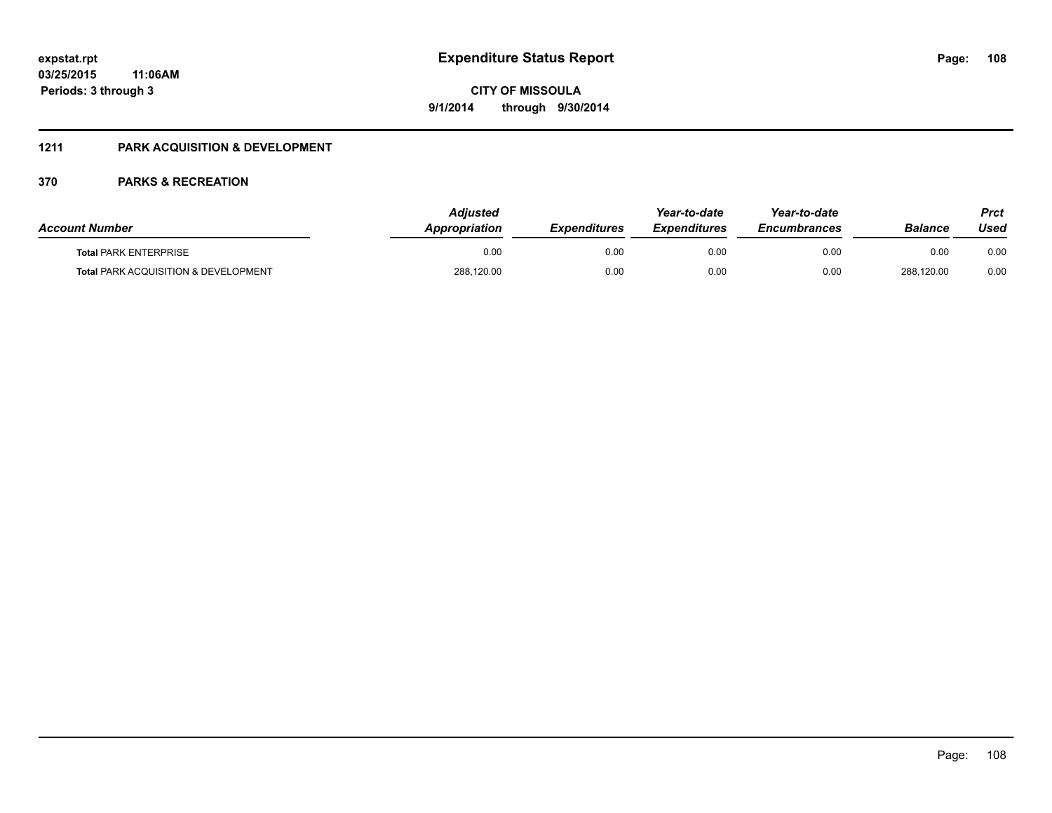### **1211 PARK ACQUISITION & DEVELOPMENT**

| <b>Account Number</b>                           | <b>Adjusted</b><br><b>Appropriation</b> | <b>Expenditures</b> | Year-to-date<br><b>Expenditures</b> | Year-to-date<br><b>Encumbrances</b> | Balance    | Prct<br>Used |
|-------------------------------------------------|-----------------------------------------|---------------------|-------------------------------------|-------------------------------------|------------|--------------|
| <b>Total PARK ENTERPRISE</b>                    | 0.00                                    | 0.00                | 0.00                                | 0.00                                | 0.00       | 0.00         |
| <b>Total PARK ACQUISITION &amp; DEVELOPMENT</b> | 288,120.00                              | 0.00                | 0.00                                | 0.00                                | 288.120.00 | 0.00         |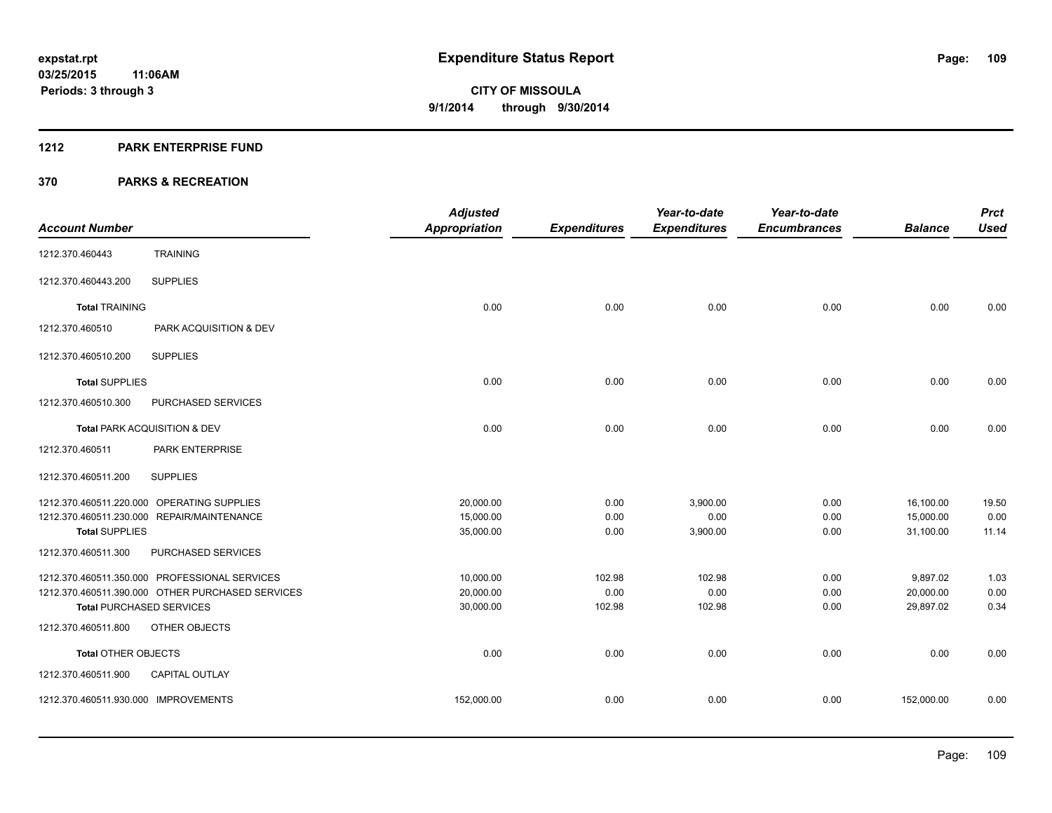#### **1212 PARK ENTERPRISE FUND**

|                                                  | <b>Adjusted</b>      |                     | Year-to-date        | Year-to-date        |                | <b>Prct</b> |
|--------------------------------------------------|----------------------|---------------------|---------------------|---------------------|----------------|-------------|
| <b>Account Number</b>                            | <b>Appropriation</b> | <b>Expenditures</b> | <b>Expenditures</b> | <b>Encumbrances</b> | <b>Balance</b> | <b>Used</b> |
| <b>TRAINING</b><br>1212.370.460443               |                      |                     |                     |                     |                |             |
| <b>SUPPLIES</b><br>1212.370.460443.200           |                      |                     |                     |                     |                |             |
| <b>Total TRAINING</b>                            | 0.00                 | 0.00                | 0.00                | 0.00                | 0.00           | 0.00        |
| 1212.370.460510<br>PARK ACQUISITION & DEV        |                      |                     |                     |                     |                |             |
| <b>SUPPLIES</b><br>1212.370.460510.200           |                      |                     |                     |                     |                |             |
| <b>Total SUPPLIES</b>                            | 0.00                 | 0.00                | 0.00                | 0.00                | 0.00           | 0.00        |
| 1212.370.460510.300<br>PURCHASED SERVICES        |                      |                     |                     |                     |                |             |
| Total PARK ACQUISITION & DEV                     | 0.00                 | 0.00                | 0.00                | 0.00                | 0.00           | 0.00        |
| PARK ENTERPRISE<br>1212.370.460511               |                      |                     |                     |                     |                |             |
| <b>SUPPLIES</b><br>1212.370.460511.200           |                      |                     |                     |                     |                |             |
| 1212.370.460511.220.000 OPERATING SUPPLIES       | 20,000.00            | 0.00                | 3,900.00            | 0.00                | 16,100.00      | 19.50       |
| 1212.370.460511.230.000 REPAIR/MAINTENANCE       | 15,000.00            | 0.00                | 0.00                | 0.00                | 15,000.00      | 0.00        |
| <b>Total SUPPLIES</b>                            | 35,000.00            | 0.00                | 3,900.00            | 0.00                | 31,100.00      | 11.14       |
| PURCHASED SERVICES<br>1212.370.460511.300        |                      |                     |                     |                     |                |             |
| 1212.370.460511.350.000 PROFESSIONAL SERVICES    | 10,000.00            | 102.98              | 102.98              | 0.00                | 9,897.02       | 1.03        |
| 1212.370.460511.390.000 OTHER PURCHASED SERVICES | 20,000.00            | 0.00                | 0.00                | 0.00                | 20,000.00      | 0.00        |
| <b>Total PURCHASED SERVICES</b>                  | 30,000.00            | 102.98              | 102.98              | 0.00                | 29,897.02      | 0.34        |
| 1212.370.460511.800<br>OTHER OBJECTS             |                      |                     |                     |                     |                |             |
| <b>Total OTHER OBJECTS</b>                       | 0.00                 | 0.00                | 0.00                | 0.00                | 0.00           | 0.00        |
| 1212.370.460511.900<br><b>CAPITAL OUTLAY</b>     |                      |                     |                     |                     |                |             |
| 1212.370.460511.930.000 IMPROVEMENTS             | 152,000.00           | 0.00                | 0.00                | 0.00                | 152,000.00     | 0.00        |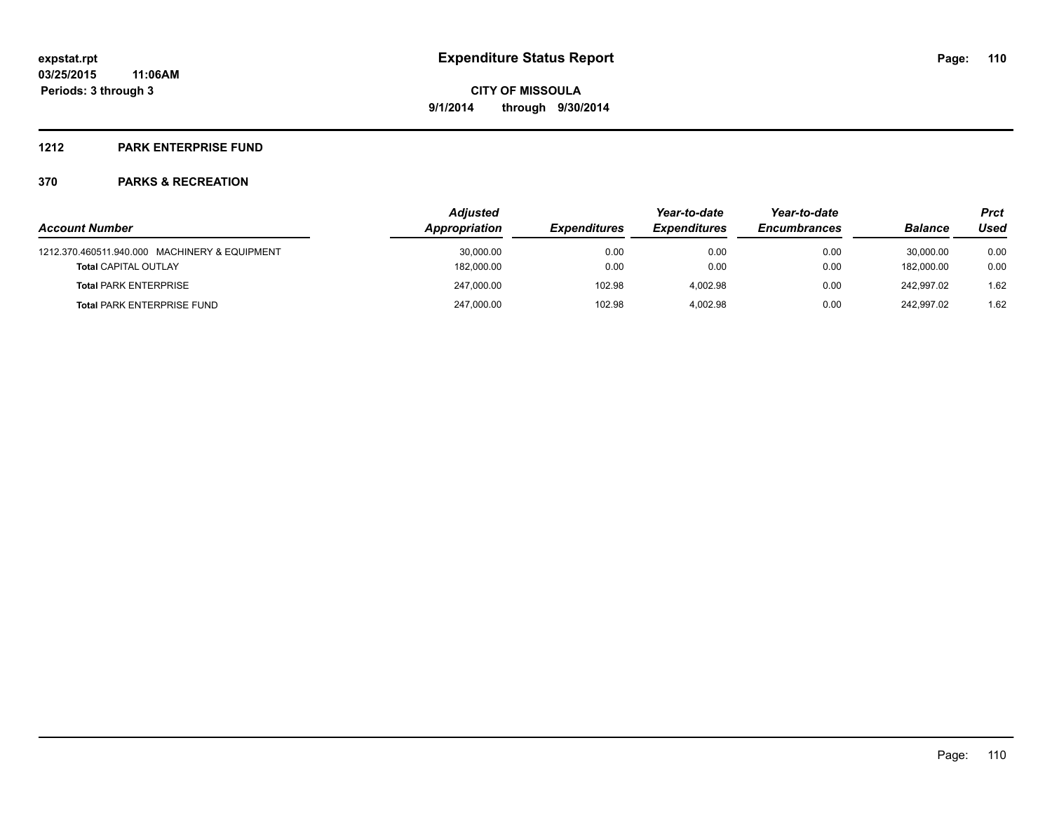### **1212 PARK ENTERPRISE FUND**

|                                               | <b>Adjusted</b> |                     |                     | Year-to-date        |                | Prct |  |
|-----------------------------------------------|-----------------|---------------------|---------------------|---------------------|----------------|------|--|
| <b>Account Number</b>                         | Appropriation   | <b>Expenditures</b> | <b>Expenditures</b> | <b>Encumbrances</b> | <b>Balance</b> | Used |  |
| 1212.370.460511.940.000 MACHINERY & EQUIPMENT | 30,000.00       | 0.00                | 0.00                | 0.00                | 30.000.00      | 0.00 |  |
| <b>Total CAPITAL OUTLAY</b>                   | 182,000.00      | 0.00                | 0.00                | 0.00                | 182.000.00     | 0.00 |  |
| <b>Total PARK ENTERPRISE</b>                  | 247.000.00      | 102.98              | 4.002.98            | 0.00                | 242.997.02     | 1.62 |  |
| <b>Total PARK ENTERPRISE FUND</b>             | 247,000.00      | 102.98              | 4.002.98            | 0.00                | 242.997.02     | 1.62 |  |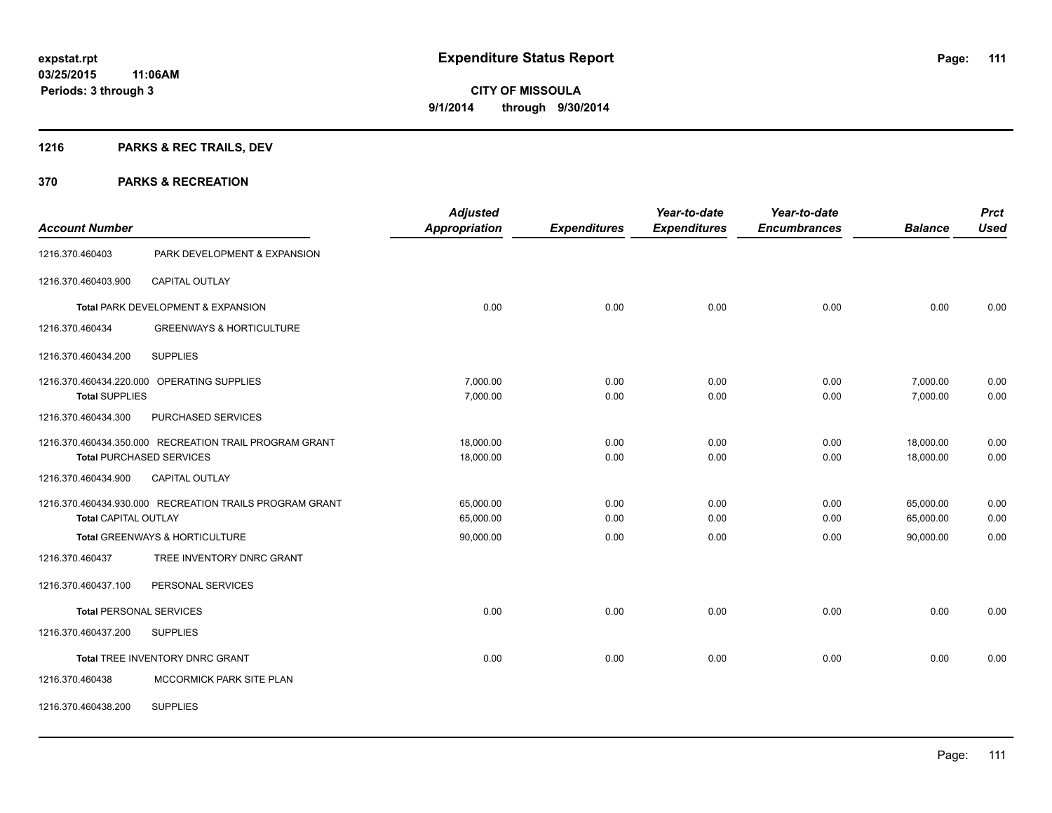## **1216 PARKS & REC TRAILS, DEV**

| <b>Account Number</b>       |                                                         | <b>Adjusted</b><br><b>Appropriation</b> | <b>Expenditures</b> | Year-to-date<br><b>Expenditures</b> | Year-to-date<br><b>Encumbrances</b> | <b>Balance</b> | <b>Prct</b><br><b>Used</b> |
|-----------------------------|---------------------------------------------------------|-----------------------------------------|---------------------|-------------------------------------|-------------------------------------|----------------|----------------------------|
| 1216.370.460403             | PARK DEVELOPMENT & EXPANSION                            |                                         |                     |                                     |                                     |                |                            |
| 1216.370.460403.900         | <b>CAPITAL OUTLAY</b>                                   |                                         |                     |                                     |                                     |                |                            |
|                             | Total PARK DEVELOPMENT & EXPANSION                      | 0.00                                    | 0.00                | 0.00                                | 0.00                                | 0.00           | 0.00                       |
| 1216.370.460434             | <b>GREENWAYS &amp; HORTICULTURE</b>                     |                                         |                     |                                     |                                     |                |                            |
| 1216.370.460434.200         | <b>SUPPLIES</b>                                         |                                         |                     |                                     |                                     |                |                            |
|                             | 1216.370.460434.220.000 OPERATING SUPPLIES              | 7,000.00                                | 0.00                | 0.00                                | 0.00                                | 7,000.00       | 0.00                       |
| <b>Total SUPPLIES</b>       |                                                         | 7,000.00                                | 0.00                | 0.00                                | 0.00                                | 7,000.00       | 0.00                       |
| 1216.370.460434.300         | PURCHASED SERVICES                                      |                                         |                     |                                     |                                     |                |                            |
|                             | 1216.370.460434.350.000 RECREATION TRAIL PROGRAM GRANT  | 18,000.00                               | 0.00                | 0.00                                | 0.00                                | 18,000.00      | 0.00                       |
|                             | <b>Total PURCHASED SERVICES</b>                         | 18,000.00                               | 0.00                | 0.00                                | 0.00                                | 18,000.00      | 0.00                       |
| 1216.370.460434.900         | CAPITAL OUTLAY                                          |                                         |                     |                                     |                                     |                |                            |
|                             | 1216.370.460434.930.000 RECREATION TRAILS PROGRAM GRANT | 65,000.00                               | 0.00                | 0.00                                | 0.00                                | 65,000.00      | 0.00                       |
| <b>Total CAPITAL OUTLAY</b> |                                                         | 65,000.00                               | 0.00                | 0.00                                | 0.00                                | 65,000.00      | 0.00                       |
|                             | Total GREENWAYS & HORTICULTURE                          | 90,000.00                               | 0.00                | 0.00                                | 0.00                                | 90,000.00      | 0.00                       |
| 1216.370.460437             | TREE INVENTORY DNRC GRANT                               |                                         |                     |                                     |                                     |                |                            |
| 1216.370.460437.100         | PERSONAL SERVICES                                       |                                         |                     |                                     |                                     |                |                            |
|                             | <b>Total PERSONAL SERVICES</b>                          | 0.00                                    | 0.00                | 0.00                                | 0.00                                | 0.00           | 0.00                       |
| 1216.370.460437.200         | <b>SUPPLIES</b>                                         |                                         |                     |                                     |                                     |                |                            |
|                             | Total TREE INVENTORY DNRC GRANT                         | 0.00                                    | 0.00                | 0.00                                | 0.00                                | 0.00           | 0.00                       |
| 1216.370.460438             | MCCORMICK PARK SITE PLAN                                |                                         |                     |                                     |                                     |                |                            |
| 1216.370.460438.200         | <b>SUPPLIES</b>                                         |                                         |                     |                                     |                                     |                |                            |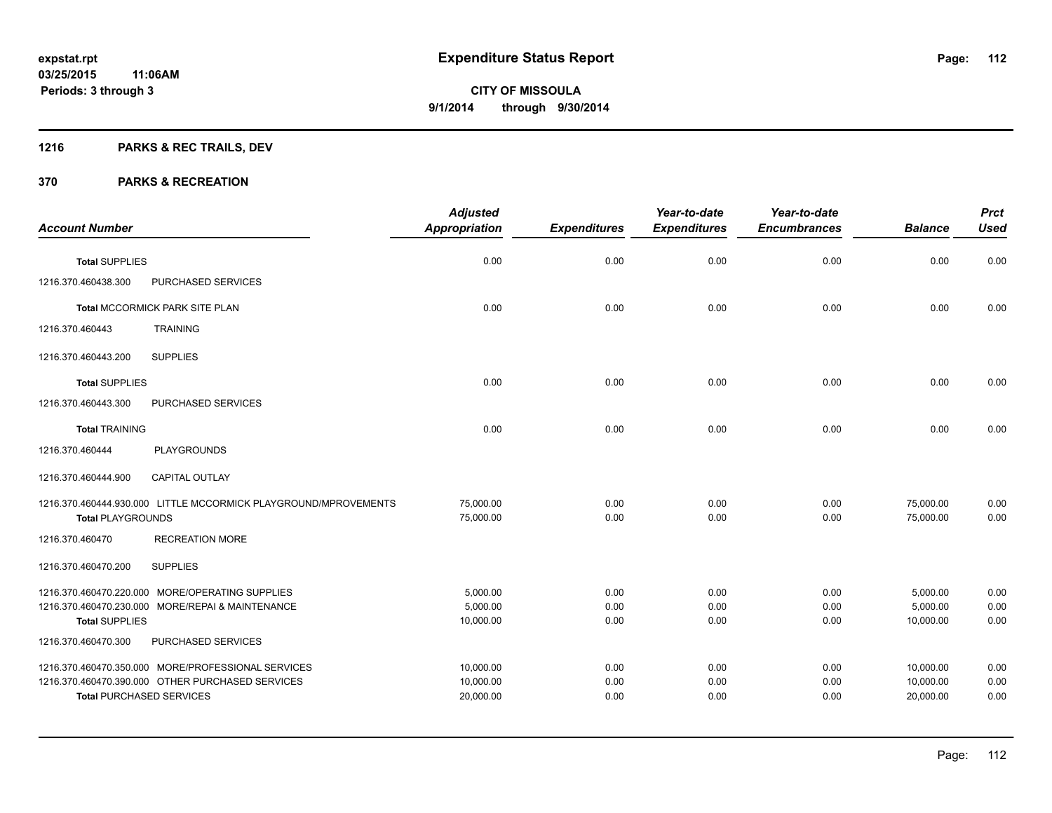## **1216 PARKS & REC TRAILS, DEV**

| <b>Account Number</b>    |                                                                                                                                           | <b>Adjusted</b><br><b>Appropriation</b> | <b>Expenditures</b>  | Year-to-date<br><b>Expenditures</b> | Year-to-date<br><b>Encumbrances</b> | <b>Balance</b>                      | <b>Prct</b><br><b>Used</b> |
|--------------------------|-------------------------------------------------------------------------------------------------------------------------------------------|-----------------------------------------|----------------------|-------------------------------------|-------------------------------------|-------------------------------------|----------------------------|
| <b>Total SUPPLIES</b>    |                                                                                                                                           | 0.00                                    | 0.00                 | 0.00                                | 0.00                                | 0.00                                | 0.00                       |
| 1216.370.460438.300      | PURCHASED SERVICES                                                                                                                        |                                         |                      |                                     |                                     |                                     |                            |
|                          | Total MCCORMICK PARK SITE PLAN                                                                                                            | 0.00                                    | 0.00                 | 0.00                                | 0.00                                | 0.00                                | 0.00                       |
| 1216.370.460443          | <b>TRAINING</b>                                                                                                                           |                                         |                      |                                     |                                     |                                     |                            |
| 1216.370.460443.200      | <b>SUPPLIES</b>                                                                                                                           |                                         |                      |                                     |                                     |                                     |                            |
| <b>Total SUPPLIES</b>    |                                                                                                                                           | 0.00                                    | 0.00                 | 0.00                                | 0.00                                | 0.00                                | 0.00                       |
| 1216.370.460443.300      | PURCHASED SERVICES                                                                                                                        |                                         |                      |                                     |                                     |                                     |                            |
| <b>Total TRAINING</b>    |                                                                                                                                           | 0.00                                    | 0.00                 | 0.00                                | 0.00                                | 0.00                                | 0.00                       |
| 1216.370.460444          | <b>PLAYGROUNDS</b>                                                                                                                        |                                         |                      |                                     |                                     |                                     |                            |
| 1216.370.460444.900      | <b>CAPITAL OUTLAY</b>                                                                                                                     |                                         |                      |                                     |                                     |                                     |                            |
| <b>Total PLAYGROUNDS</b> | 1216.370.460444.930.000 LITTLE MCCORMICK PLAYGROUND/MPROVEMENTS                                                                           | 75,000.00<br>75,000.00                  | 0.00<br>0.00         | 0.00<br>0.00                        | 0.00<br>0.00                        | 75,000.00<br>75,000.00              | 0.00<br>0.00               |
| 1216.370.460470          | <b>RECREATION MORE</b>                                                                                                                    |                                         |                      |                                     |                                     |                                     |                            |
| 1216.370.460470.200      | <b>SUPPLIES</b>                                                                                                                           |                                         |                      |                                     |                                     |                                     |                            |
| <b>Total SUPPLIES</b>    | 1216.370.460470.220.000 MORE/OPERATING SUPPLIES<br>1216.370.460470.230.000 MORE/REPAI & MAINTENANCE                                       | 5,000.00<br>5,000.00<br>10,000.00       | 0.00<br>0.00<br>0.00 | 0.00<br>0.00<br>0.00                | 0.00<br>0.00<br>0.00                | 5,000.00<br>5,000.00<br>10,000.00   | 0.00<br>0.00<br>0.00       |
| 1216.370.460470.300      | PURCHASED SERVICES                                                                                                                        |                                         |                      |                                     |                                     |                                     |                            |
|                          | 1216.370.460470.350.000 MORE/PROFESSIONAL SERVICES<br>1216.370.460470.390.000 OTHER PURCHASED SERVICES<br><b>Total PURCHASED SERVICES</b> | 10,000.00<br>10,000.00<br>20,000.00     | 0.00<br>0.00<br>0.00 | 0.00<br>0.00<br>0.00                | 0.00<br>0.00<br>0.00                | 10,000.00<br>10,000.00<br>20,000.00 | 0.00<br>0.00<br>0.00       |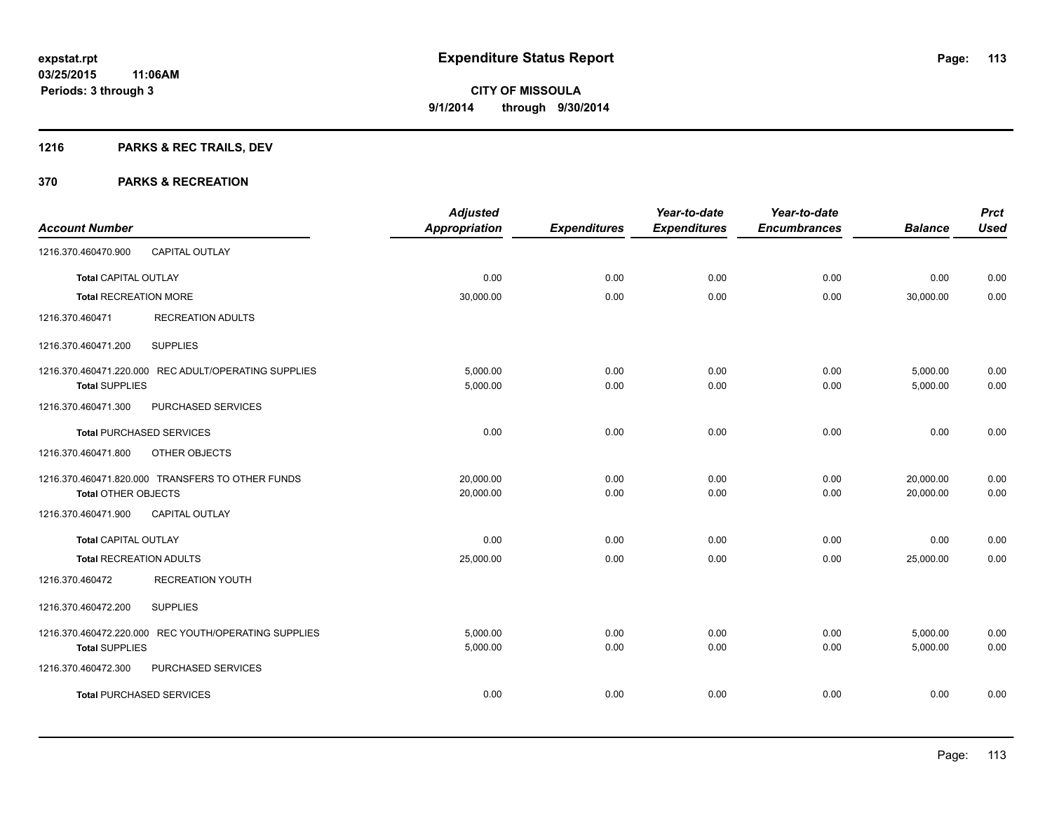## **1216 PARKS & REC TRAILS, DEV**

|                                |                                                      | <b>Adjusted</b>      |                     | Year-to-date        | Year-to-date        |                | <b>Prct</b> |
|--------------------------------|------------------------------------------------------|----------------------|---------------------|---------------------|---------------------|----------------|-------------|
| <b>Account Number</b>          |                                                      | <b>Appropriation</b> | <b>Expenditures</b> | <b>Expenditures</b> | <b>Encumbrances</b> | <b>Balance</b> | <b>Used</b> |
| 1216.370.460470.900            | <b>CAPITAL OUTLAY</b>                                |                      |                     |                     |                     |                |             |
| <b>Total CAPITAL OUTLAY</b>    |                                                      | 0.00                 | 0.00                | 0.00                | 0.00                | 0.00           | 0.00        |
| <b>Total RECREATION MORE</b>   |                                                      | 30,000.00            | 0.00                | 0.00                | 0.00                | 30,000.00      | 0.00        |
| 1216.370.460471                | <b>RECREATION ADULTS</b>                             |                      |                     |                     |                     |                |             |
| 1216.370.460471.200            | <b>SUPPLIES</b>                                      |                      |                     |                     |                     |                |             |
|                                | 1216.370.460471.220.000 REC ADULT/OPERATING SUPPLIES | 5,000.00             | 0.00                | 0.00                | 0.00                | 5,000.00       | 0.00        |
| <b>Total SUPPLIES</b>          |                                                      | 5,000.00             | 0.00                | 0.00                | 0.00                | 5,000.00       | 0.00        |
| 1216.370.460471.300            | PURCHASED SERVICES                                   |                      |                     |                     |                     |                |             |
|                                | <b>Total PURCHASED SERVICES</b>                      | 0.00                 | 0.00                | 0.00                | 0.00                | 0.00           | 0.00        |
| 1216.370.460471.800            | OTHER OBJECTS                                        |                      |                     |                     |                     |                |             |
|                                | 1216.370.460471.820.000 TRANSFERS TO OTHER FUNDS     | 20,000.00            | 0.00                | 0.00                | 0.00                | 20,000.00      | 0.00        |
| <b>Total OTHER OBJECTS</b>     |                                                      | 20,000.00            | 0.00                | 0.00                | 0.00                | 20,000.00      | 0.00        |
| 1216.370.460471.900            | <b>CAPITAL OUTLAY</b>                                |                      |                     |                     |                     |                |             |
| <b>Total CAPITAL OUTLAY</b>    |                                                      | 0.00                 | 0.00                | 0.00                | 0.00                | 0.00           | 0.00        |
| <b>Total RECREATION ADULTS</b> |                                                      | 25,000.00            | 0.00                | 0.00                | 0.00                | 25,000.00      | 0.00        |
| 1216.370.460472                | <b>RECREATION YOUTH</b>                              |                      |                     |                     |                     |                |             |
| 1216.370.460472.200            | <b>SUPPLIES</b>                                      |                      |                     |                     |                     |                |             |
|                                | 1216.370.460472.220.000 REC YOUTH/OPERATING SUPPLIES | 5.000.00             | 0.00                | 0.00                | 0.00                | 5,000.00       | 0.00        |
| <b>Total SUPPLIES</b>          |                                                      | 5,000.00             | 0.00                | 0.00                | 0.00                | 5,000.00       | 0.00        |
| 1216.370.460472.300            | PURCHASED SERVICES                                   |                      |                     |                     |                     |                |             |
|                                | <b>Total PURCHASED SERVICES</b>                      | 0.00                 | 0.00                | 0.00                | 0.00                | 0.00           | 0.00        |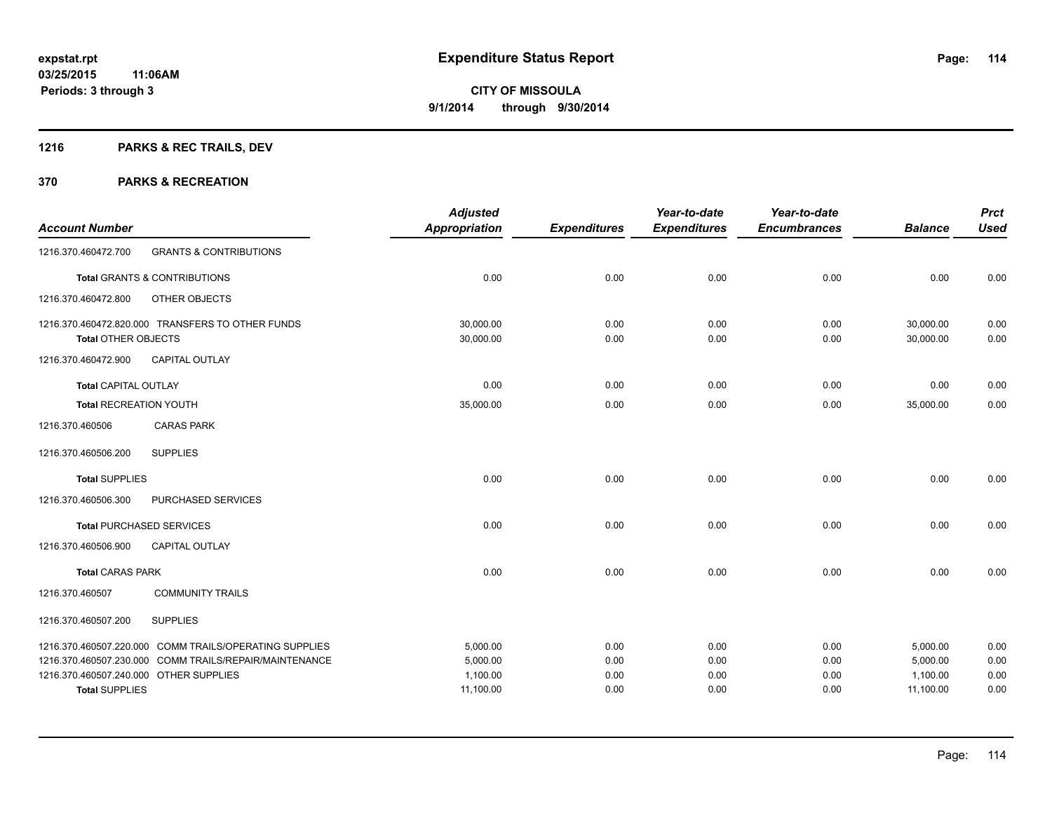## **1216 PARKS & REC TRAILS, DEV**

|                                                                 |                                                        | <b>Adjusted</b>       |                     | Year-to-date        | Year-to-date        |                       | <b>Prct</b>  |
|-----------------------------------------------------------------|--------------------------------------------------------|-----------------------|---------------------|---------------------|---------------------|-----------------------|--------------|
| <b>Account Number</b>                                           |                                                        | <b>Appropriation</b>  | <b>Expenditures</b> | <b>Expenditures</b> | <b>Encumbrances</b> | <b>Balance</b>        | <b>Used</b>  |
| 1216.370.460472.700                                             | <b>GRANTS &amp; CONTRIBUTIONS</b>                      |                       |                     |                     |                     |                       |              |
|                                                                 | Total GRANTS & CONTRIBUTIONS                           | 0.00                  | 0.00                | 0.00                | 0.00                | 0.00                  | 0.00         |
| 1216.370.460472.800                                             | OTHER OBJECTS                                          |                       |                     |                     |                     |                       |              |
|                                                                 | 1216.370.460472.820.000 TRANSFERS TO OTHER FUNDS       | 30,000.00             | 0.00                | 0.00                | 0.00                | 30,000.00             | 0.00         |
| Total OTHER OBJECTS                                             |                                                        | 30,000.00             | 0.00                | 0.00                | 0.00                | 30,000.00             | 0.00         |
| 1216.370.460472.900                                             | <b>CAPITAL OUTLAY</b>                                  |                       |                     |                     |                     |                       |              |
| <b>Total CAPITAL OUTLAY</b>                                     |                                                        | 0.00                  | 0.00                | 0.00                | 0.00                | 0.00                  | 0.00         |
| <b>Total RECREATION YOUTH</b>                                   |                                                        | 35,000.00             | 0.00                | 0.00                | 0.00                | 35,000.00             | 0.00         |
| 1216.370.460506                                                 | <b>CARAS PARK</b>                                      |                       |                     |                     |                     |                       |              |
| 1216.370.460506.200                                             | <b>SUPPLIES</b>                                        |                       |                     |                     |                     |                       |              |
| <b>Total SUPPLIES</b>                                           |                                                        | 0.00                  | 0.00                | 0.00                | 0.00                | 0.00                  | 0.00         |
| 1216.370.460506.300                                             | PURCHASED SERVICES                                     |                       |                     |                     |                     |                       |              |
| <b>Total PURCHASED SERVICES</b>                                 |                                                        | 0.00                  | 0.00                | 0.00                | 0.00                | 0.00                  | 0.00         |
| 1216.370.460506.900                                             | <b>CAPITAL OUTLAY</b>                                  |                       |                     |                     |                     |                       |              |
| <b>Total CARAS PARK</b>                                         |                                                        | 0.00                  | 0.00                | 0.00                | 0.00                | 0.00                  | 0.00         |
| 1216.370.460507                                                 | <b>COMMUNITY TRAILS</b>                                |                       |                     |                     |                     |                       |              |
| 1216.370.460507.200                                             | <b>SUPPLIES</b>                                        |                       |                     |                     |                     |                       |              |
|                                                                 | 1216.370.460507.220.000 COMM TRAILS/OPERATING SUPPLIES | 5,000.00              | 0.00                | 0.00                | 0.00                | 5,000.00              | 0.00         |
|                                                                 | 1216.370.460507.230.000 COMM TRAILS/REPAIR/MAINTENANCE | 5,000.00              | 0.00                | 0.00                | 0.00                | 5,000.00              | 0.00         |
| 1216.370.460507.240.000 OTHER SUPPLIES<br><b>Total SUPPLIES</b> |                                                        | 1,100.00<br>11,100.00 | 0.00<br>0.00        | 0.00<br>0.00        | 0.00<br>0.00        | 1,100.00<br>11,100.00 | 0.00<br>0.00 |
|                                                                 |                                                        |                       |                     |                     |                     |                       |              |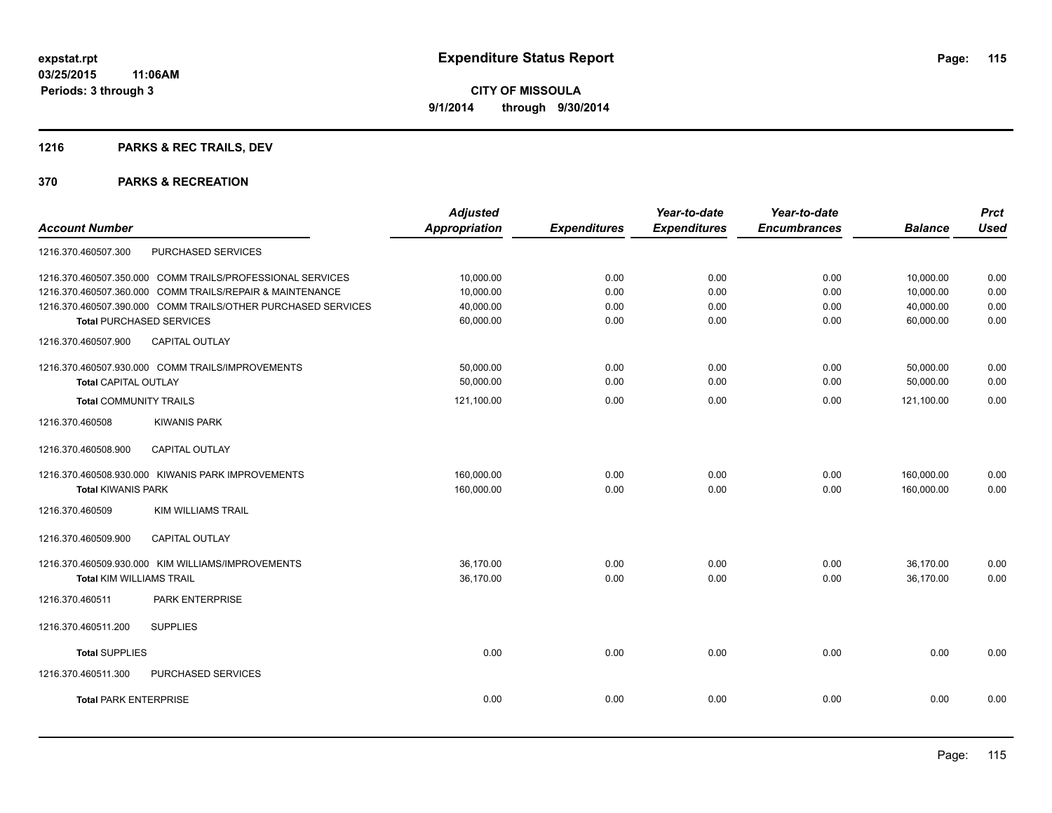## **1216 PARKS & REC TRAILS, DEV**

| <b>Prct</b>                                                        |
|--------------------------------------------------------------------|
| <b>Used</b><br><b>Balance</b>                                      |
|                                                                    |
| 0.00<br>10,000.00                                                  |
| 10,000.00<br>0.00                                                  |
| 40,000.00<br>0.00                                                  |
| 0.00<br>60,000.00                                                  |
|                                                                    |
| 50,000.00<br>0.00                                                  |
| 50,000.00<br>0.00                                                  |
| 0.00<br>121,100.00                                                 |
|                                                                    |
|                                                                    |
| 0.00                                                               |
| 0.00                                                               |
|                                                                    |
|                                                                    |
| 0.00                                                               |
| 0.00                                                               |
|                                                                    |
|                                                                    |
| 0.00                                                               |
|                                                                    |
| 0.00                                                               |
| 160,000.00<br>160,000.00<br>36,170.00<br>36,170.00<br>0.00<br>0.00 |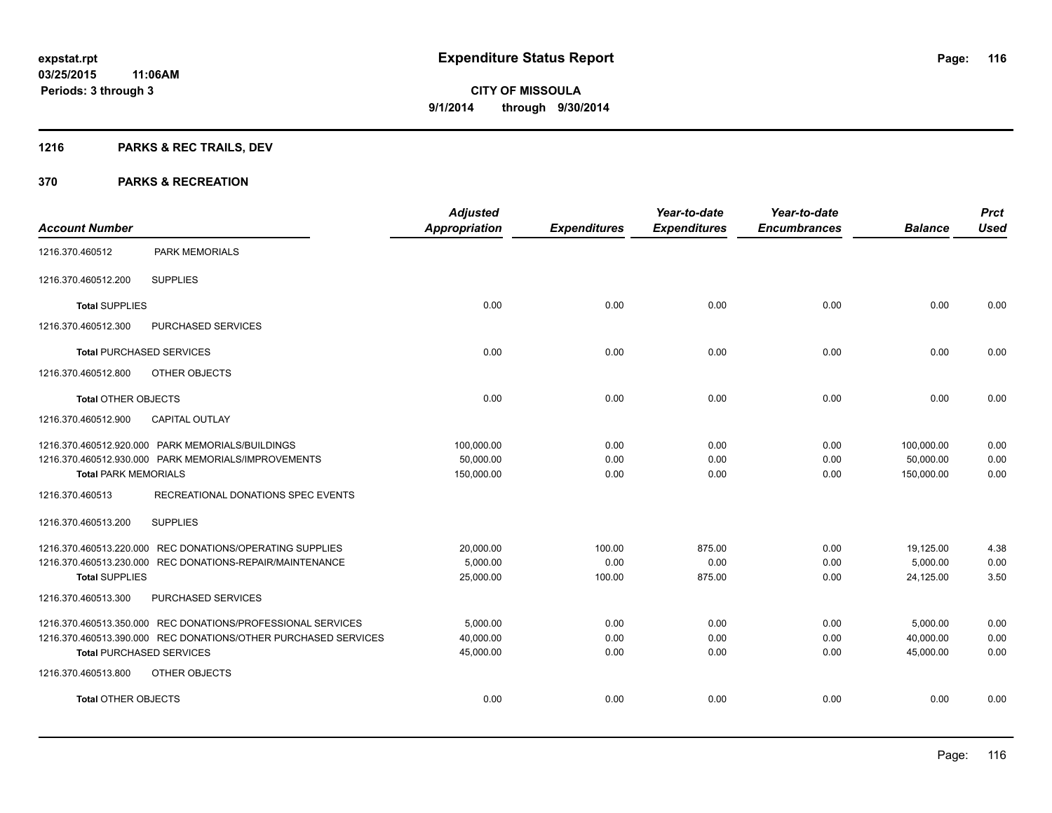## **1216 PARKS & REC TRAILS, DEV**

|                                 |                                                                | <b>Adjusted</b>      |                     | Year-to-date        | Year-to-date        |                | <b>Prct</b> |
|---------------------------------|----------------------------------------------------------------|----------------------|---------------------|---------------------|---------------------|----------------|-------------|
| <b>Account Number</b>           |                                                                | <b>Appropriation</b> | <b>Expenditures</b> | <b>Expenditures</b> | <b>Encumbrances</b> | <b>Balance</b> | <b>Used</b> |
| 1216.370.460512                 | <b>PARK MEMORIALS</b>                                          |                      |                     |                     |                     |                |             |
| 1216.370.460512.200             | <b>SUPPLIES</b>                                                |                      |                     |                     |                     |                |             |
| <b>Total SUPPLIES</b>           |                                                                | 0.00                 | 0.00                | 0.00                | 0.00                | 0.00           | 0.00        |
| 1216.370.460512.300             | PURCHASED SERVICES                                             |                      |                     |                     |                     |                |             |
| <b>Total PURCHASED SERVICES</b> |                                                                | 0.00                 | 0.00                | 0.00                | 0.00                | 0.00           | 0.00        |
| 1216.370.460512.800             | OTHER OBJECTS                                                  |                      |                     |                     |                     |                |             |
| <b>Total OTHER OBJECTS</b>      |                                                                | 0.00                 | 0.00                | 0.00                | 0.00                | 0.00           | 0.00        |
| 1216.370.460512.900             | <b>CAPITAL OUTLAY</b>                                          |                      |                     |                     |                     |                |             |
|                                 | 1216.370.460512.920.000 PARK MEMORIALS/BUILDINGS               | 100,000.00           | 0.00                | 0.00                | 0.00                | 100,000.00     | 0.00        |
|                                 | 1216.370.460512.930.000 PARK MEMORIALS/IMPROVEMENTS            | 50,000.00            | 0.00                | 0.00                | 0.00                | 50,000.00      | 0.00        |
| <b>Total PARK MEMORIALS</b>     |                                                                | 150,000.00           | 0.00                | 0.00                | 0.00                | 150,000.00     | 0.00        |
| 1216.370.460513                 | RECREATIONAL DONATIONS SPEC EVENTS                             |                      |                     |                     |                     |                |             |
| 1216.370.460513.200             | <b>SUPPLIES</b>                                                |                      |                     |                     |                     |                |             |
|                                 | 1216.370.460513.220.000 REC DONATIONS/OPERATING SUPPLIES       | 20,000.00            | 100.00              | 875.00              | 0.00                | 19,125.00      | 4.38        |
|                                 | 1216.370.460513.230.000 REC DONATIONS-REPAIR/MAINTENANCE       | 5,000.00             | 0.00                | 0.00                | 0.00                | 5,000.00       | 0.00        |
| <b>Total SUPPLIES</b>           |                                                                | 25,000.00            | 100.00              | 875.00              | 0.00                | 24,125.00      | 3.50        |
| 1216.370.460513.300             | PURCHASED SERVICES                                             |                      |                     |                     |                     |                |             |
|                                 | 1216.370.460513.350.000 REC DONATIONS/PROFESSIONAL SERVICES    | 5,000.00             | 0.00                | 0.00                | 0.00                | 5,000.00       | 0.00        |
|                                 | 1216.370.460513.390.000 REC DONATIONS/OTHER PURCHASED SERVICES | 40,000.00            | 0.00                | 0.00                | 0.00                | 40,000.00      | 0.00        |
| <b>Total PURCHASED SERVICES</b> |                                                                | 45,000.00            | 0.00                | 0.00                | 0.00                | 45,000.00      | 0.00        |
| 1216.370.460513.800             | OTHER OBJECTS                                                  |                      |                     |                     |                     |                |             |
| <b>Total OTHER OBJECTS</b>      |                                                                | 0.00                 | 0.00                | 0.00                | 0.00                | 0.00           | 0.00        |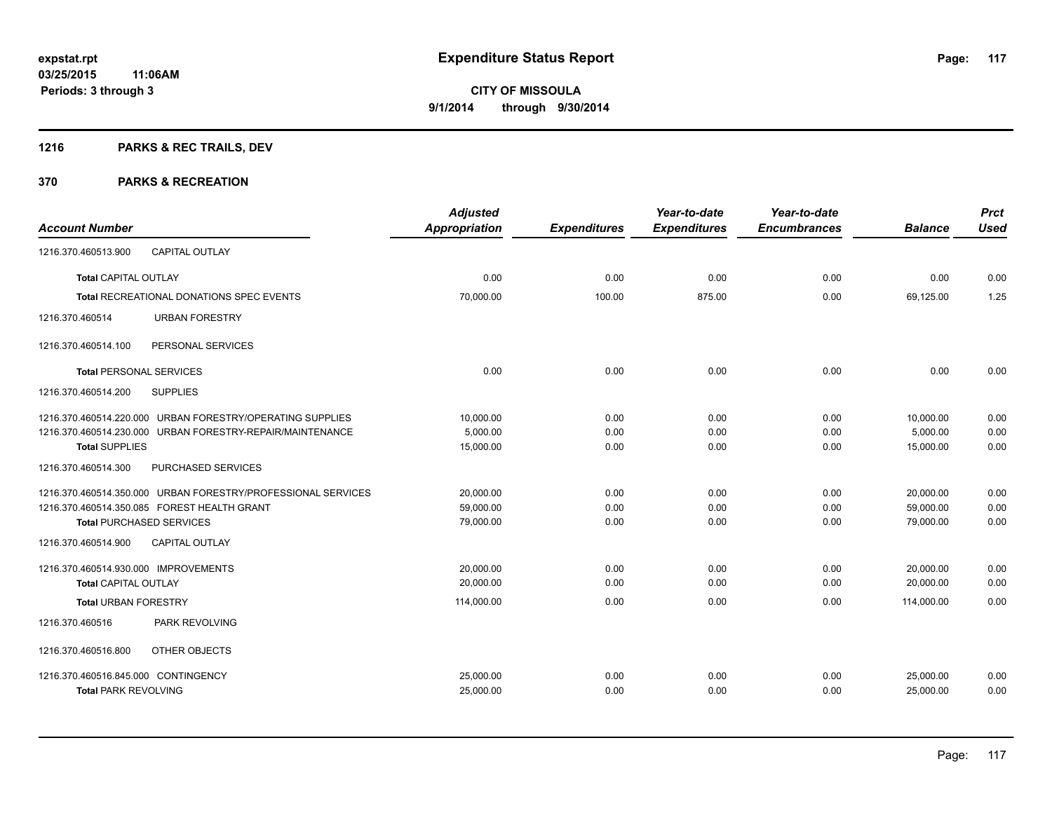## **1216 PARKS & REC TRAILS, DEV**

| <b>Account Number</b>                                        | <b>Adjusted</b><br>Appropriation | <b>Expenditures</b> | Year-to-date<br><b>Expenditures</b> | Year-to-date<br><b>Encumbrances</b> | <b>Balance</b> | <b>Prct</b><br><b>Used</b> |
|--------------------------------------------------------------|----------------------------------|---------------------|-------------------------------------|-------------------------------------|----------------|----------------------------|
| 1216.370.460513.900<br><b>CAPITAL OUTLAY</b>                 |                                  |                     |                                     |                                     |                |                            |
| <b>Total CAPITAL OUTLAY</b>                                  | 0.00                             | 0.00                | 0.00                                | 0.00                                | 0.00           | 0.00                       |
| <b>Total RECREATIONAL DONATIONS SPEC EVENTS</b>              | 70,000.00                        | 100.00              | 875.00                              | 0.00                                | 69,125.00      | 1.25                       |
| <b>URBAN FORESTRY</b><br>1216.370.460514                     |                                  |                     |                                     |                                     |                |                            |
| PERSONAL SERVICES<br>1216.370.460514.100                     |                                  |                     |                                     |                                     |                |                            |
| <b>Total PERSONAL SERVICES</b>                               | 0.00                             | 0.00                | 0.00                                | 0.00                                | 0.00           | 0.00                       |
| <b>SUPPLIES</b><br>1216.370.460514.200                       |                                  |                     |                                     |                                     |                |                            |
| 1216.370.460514.220.000 URBAN FORESTRY/OPERATING SUPPLIES    | 10,000.00                        | 0.00                | 0.00                                | 0.00                                | 10,000.00      | 0.00                       |
| 1216.370.460514.230.000 URBAN FORESTRY-REPAIR/MAINTENANCE    | 5,000.00                         | 0.00                | 0.00                                | 0.00                                | 5,000.00       | 0.00                       |
| <b>Total SUPPLIES</b>                                        | 15,000.00                        | 0.00                | 0.00                                | 0.00                                | 15,000.00      | 0.00                       |
| PURCHASED SERVICES<br>1216.370.460514.300                    |                                  |                     |                                     |                                     |                |                            |
| 1216.370.460514.350.000 URBAN FORESTRY/PROFESSIONAL SERVICES | 20,000.00                        | 0.00                | 0.00                                | 0.00                                | 20,000.00      | 0.00                       |
| 1216.370.460514.350.085 FOREST HEALTH GRANT                  | 59,000.00                        | 0.00                | 0.00                                | 0.00                                | 59,000.00      | 0.00                       |
| <b>Total PURCHASED SERVICES</b>                              | 79,000.00                        | 0.00                | 0.00                                | 0.00                                | 79,000.00      | 0.00                       |
| 1216.370.460514.900<br><b>CAPITAL OUTLAY</b>                 |                                  |                     |                                     |                                     |                |                            |
| 1216.370.460514.930.000 IMPROVEMENTS                         | 20,000.00                        | 0.00                | 0.00                                | 0.00                                | 20,000.00      | 0.00                       |
| <b>Total CAPITAL OUTLAY</b>                                  | 20,000.00                        | 0.00                | 0.00                                | 0.00                                | 20,000.00      | 0.00                       |
| <b>Total URBAN FORESTRY</b>                                  | 114,000.00                       | 0.00                | 0.00                                | 0.00                                | 114,000.00     | 0.00                       |
| PARK REVOLVING<br>1216.370.460516                            |                                  |                     |                                     |                                     |                |                            |
| 1216.370.460516.800<br>OTHER OBJECTS                         |                                  |                     |                                     |                                     |                |                            |
| 1216.370.460516.845.000 CONTINGENCY                          | 25,000.00                        | 0.00                | 0.00                                | 0.00                                | 25,000.00      | 0.00                       |
| <b>Total PARK REVOLVING</b>                                  | 25,000.00                        | 0.00                | 0.00                                | 0.00                                | 25,000.00      | 0.00                       |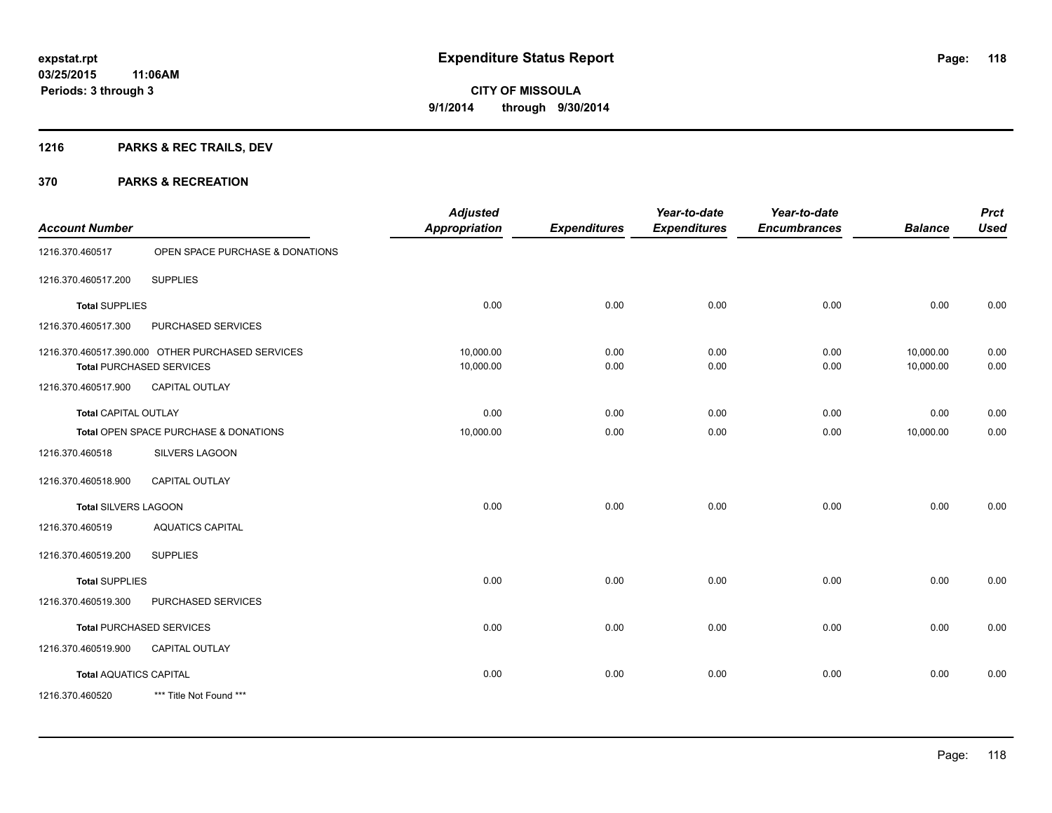## **1216 PARKS & REC TRAILS, DEV**

| <b>Account Number</b>         |                                                                                     | <b>Adjusted</b><br><b>Appropriation</b> | <b>Expenditures</b> | Year-to-date<br><b>Expenditures</b> | Year-to-date<br><b>Encumbrances</b> | <b>Balance</b>         | <b>Prct</b><br><b>Used</b> |
|-------------------------------|-------------------------------------------------------------------------------------|-----------------------------------------|---------------------|-------------------------------------|-------------------------------------|------------------------|----------------------------|
| 1216.370.460517               | OPEN SPACE PURCHASE & DONATIONS                                                     |                                         |                     |                                     |                                     |                        |                            |
| 1216.370.460517.200           | <b>SUPPLIES</b>                                                                     |                                         |                     |                                     |                                     |                        |                            |
| <b>Total SUPPLIES</b>         |                                                                                     | 0.00                                    | 0.00                | 0.00                                | 0.00                                | 0.00                   | 0.00                       |
| 1216.370.460517.300           | PURCHASED SERVICES                                                                  |                                         |                     |                                     |                                     |                        |                            |
|                               | 1216.370.460517.390.000 OTHER PURCHASED SERVICES<br><b>Total PURCHASED SERVICES</b> | 10,000.00<br>10,000.00                  | 0.00<br>0.00        | 0.00<br>0.00                        | 0.00<br>0.00                        | 10,000.00<br>10,000.00 | 0.00<br>0.00               |
| 1216.370.460517.900           | CAPITAL OUTLAY                                                                      |                                         |                     |                                     |                                     |                        |                            |
| <b>Total CAPITAL OUTLAY</b>   |                                                                                     | 0.00                                    | 0.00                | 0.00                                | 0.00                                | 0.00                   | 0.00                       |
|                               | Total OPEN SPACE PURCHASE & DONATIONS                                               | 10,000.00                               | 0.00                | 0.00                                | 0.00                                | 10,000.00              | 0.00                       |
| 1216.370.460518               | SILVERS LAGOON                                                                      |                                         |                     |                                     |                                     |                        |                            |
| 1216.370.460518.900           | <b>CAPITAL OUTLAY</b>                                                               |                                         |                     |                                     |                                     |                        |                            |
| Total SILVERS LAGOON          |                                                                                     | 0.00                                    | 0.00                | 0.00                                | 0.00                                | 0.00                   | 0.00                       |
| 1216.370.460519               | <b>AQUATICS CAPITAL</b>                                                             |                                         |                     |                                     |                                     |                        |                            |
| 1216.370.460519.200           | <b>SUPPLIES</b>                                                                     |                                         |                     |                                     |                                     |                        |                            |
| <b>Total SUPPLIES</b>         |                                                                                     | 0.00                                    | 0.00                | 0.00                                | 0.00                                | 0.00                   | 0.00                       |
| 1216.370.460519.300           | PURCHASED SERVICES                                                                  |                                         |                     |                                     |                                     |                        |                            |
|                               | <b>Total PURCHASED SERVICES</b>                                                     | 0.00                                    | 0.00                | 0.00                                | 0.00                                | 0.00                   | 0.00                       |
| 1216.370.460519.900           | <b>CAPITAL OUTLAY</b>                                                               |                                         |                     |                                     |                                     |                        |                            |
| <b>Total AQUATICS CAPITAL</b> |                                                                                     | 0.00                                    | 0.00                | 0.00                                | 0.00                                | 0.00                   | 0.00                       |
| 1216.370.460520               | *** Title Not Found ***                                                             |                                         |                     |                                     |                                     |                        |                            |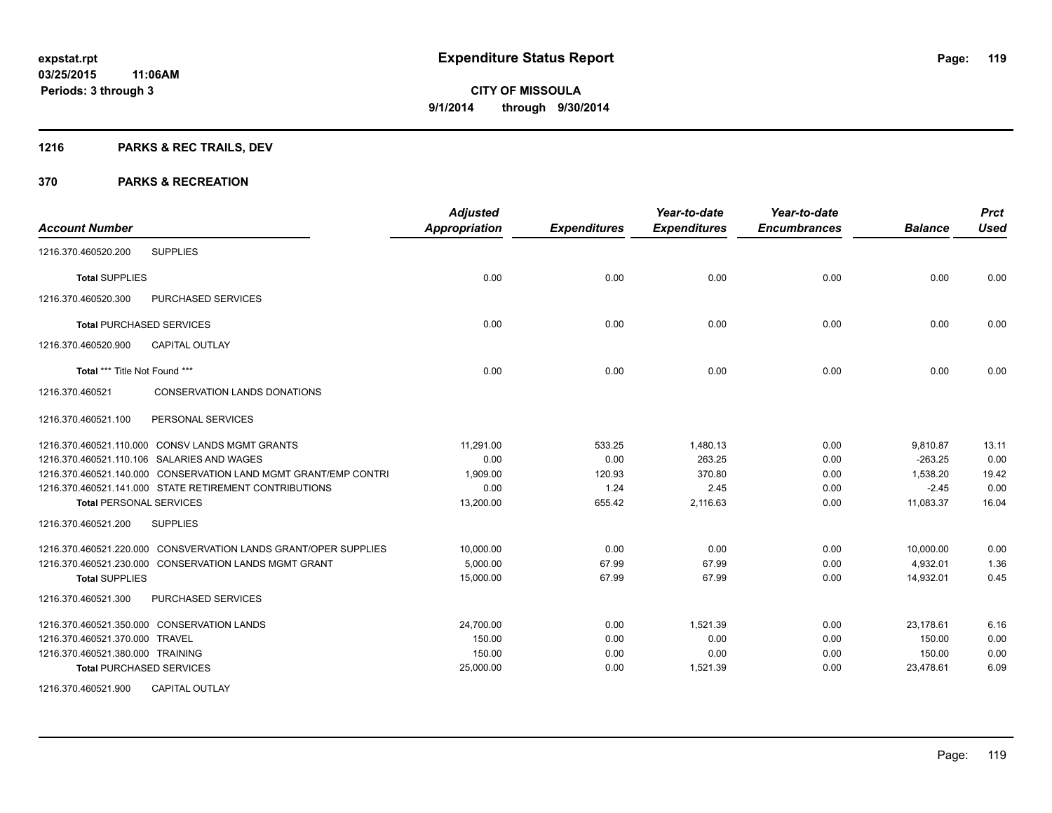## **1216 PARKS & REC TRAILS, DEV**

| <b>Account Number</b>                                           | <b>Adjusted</b><br><b>Appropriation</b> | <b>Expenditures</b> | Year-to-date<br><b>Expenditures</b> | Year-to-date<br><b>Encumbrances</b> | <b>Balance</b> | <b>Prct</b><br><b>Used</b> |
|-----------------------------------------------------------------|-----------------------------------------|---------------------|-------------------------------------|-------------------------------------|----------------|----------------------------|
| <b>SUPPLIES</b><br>1216.370.460520.200                          |                                         |                     |                                     |                                     |                |                            |
| <b>Total SUPPLIES</b>                                           | 0.00                                    | 0.00                | 0.00                                | 0.00                                | 0.00           | 0.00                       |
| <b>PURCHASED SERVICES</b><br>1216.370.460520.300                |                                         |                     |                                     |                                     |                |                            |
| <b>Total PURCHASED SERVICES</b>                                 | 0.00                                    | 0.00                | 0.00                                | 0.00                                | 0.00           | 0.00                       |
| 1216.370.460520.900<br><b>CAPITAL OUTLAY</b>                    |                                         |                     |                                     |                                     |                |                            |
| Total *** Title Not Found ***                                   | 0.00                                    | 0.00                | 0.00                                | 0.00                                | 0.00           | 0.00                       |
| 1216.370.460521<br><b>CONSERVATION LANDS DONATIONS</b>          |                                         |                     |                                     |                                     |                |                            |
| 1216.370.460521.100<br>PERSONAL SERVICES                        |                                         |                     |                                     |                                     |                |                            |
| 1216.370.460521.110.000 CONSV LANDS MGMT GRANTS                 | 11,291.00                               | 533.25              | 1,480.13                            | 0.00                                | 9,810.87       | 13.11                      |
| 1216.370.460521.110.106 SALARIES AND WAGES                      | 0.00                                    | 0.00                | 263.25                              | 0.00                                | $-263.25$      | 0.00                       |
| 1216.370.460521.140.000 CONSERVATION LAND MGMT GRANT/EMP CONTRI | 1,909.00                                | 120.93              | 370.80                              | 0.00                                | 1,538.20       | 19.42                      |
| 1216.370.460521.141.000 STATE RETIREMENT CONTRIBUTIONS          | 0.00                                    | 1.24                | 2.45                                | 0.00                                | $-2.45$        | 0.00                       |
| <b>Total PERSONAL SERVICES</b>                                  | 13,200.00                               | 655.42              | 2,116.63                            | 0.00                                | 11,083.37      | 16.04                      |
| 1216.370.460521.200<br><b>SUPPLIES</b>                          |                                         |                     |                                     |                                     |                |                            |
| 1216.370.460521.220.000 CONSVERVATION LANDS GRANT/OPER SUPPLIES | 10,000.00                               | 0.00                | 0.00                                | 0.00                                | 10,000.00      | 0.00                       |
| 1216.370.460521.230.000 CONSERVATION LANDS MGMT GRANT           | 5,000.00                                | 67.99               | 67.99                               | 0.00                                | 4,932.01       | 1.36                       |
| <b>Total SUPPLIES</b>                                           | 15,000.00                               | 67.99               | 67.99                               | 0.00                                | 14,932.01      | 0.45                       |
| 1216.370.460521.300<br><b>PURCHASED SERVICES</b>                |                                         |                     |                                     |                                     |                |                            |
| 1216.370.460521.350.000 CONSERVATION LANDS                      | 24,700.00                               | 0.00                | 1,521.39                            | 0.00                                | 23,178.61      | 6.16                       |
| 1216.370.460521.370.000 TRAVEL                                  | 150.00                                  | 0.00                | 0.00                                | 0.00                                | 150.00         | 0.00                       |
| 1216.370.460521.380.000 TRAINING                                | 150.00                                  | 0.00                | 0.00                                | 0.00                                | 150.00         | 0.00                       |
| <b>Total PURCHASED SERVICES</b>                                 | 25,000.00                               | 0.00                | 1,521.39                            | 0.00                                | 23,478.61      | 6.09                       |
| 1216.370.460521.900<br><b>CAPITAL OUTLAY</b>                    |                                         |                     |                                     |                                     |                |                            |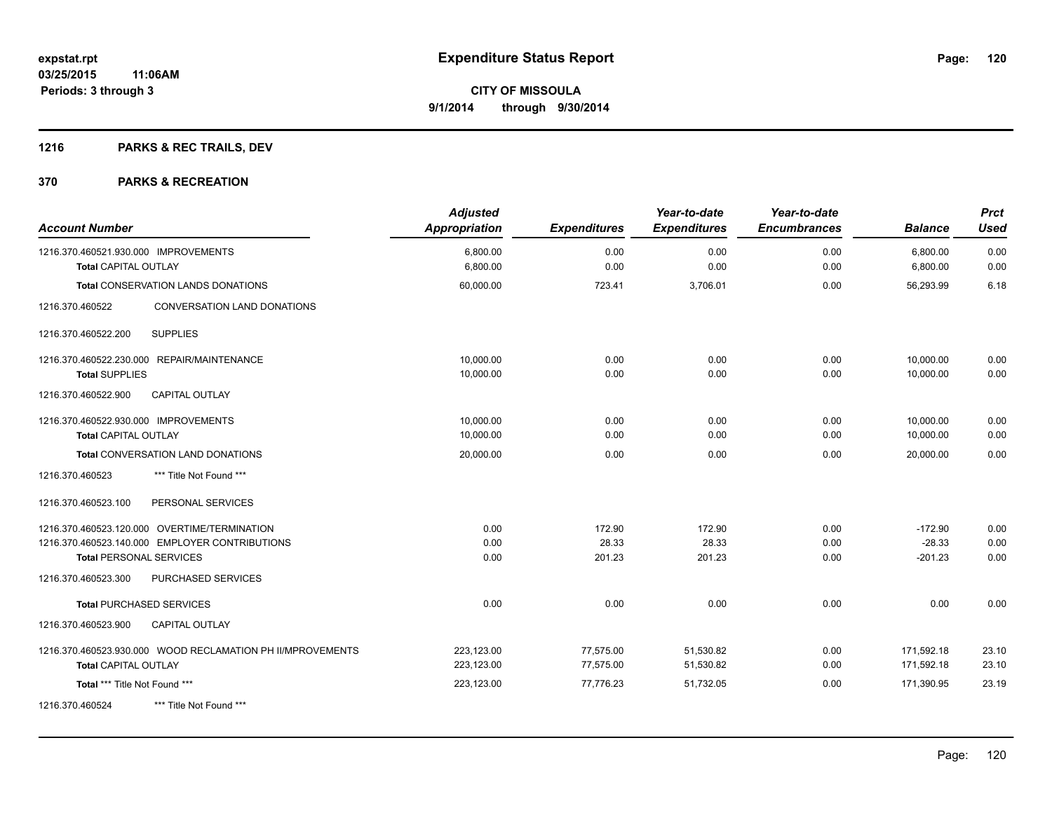## **1216 PARKS & REC TRAILS, DEV**

| <b>Account Number</b>                                               | <b>Adjusted</b><br><b>Appropriation</b> | <b>Expenditures</b> | Year-to-date<br><b>Expenditures</b> | Year-to-date<br><b>Encumbrances</b> | <b>Balance</b>       | <b>Prct</b><br><b>Used</b> |
|---------------------------------------------------------------------|-----------------------------------------|---------------------|-------------------------------------|-------------------------------------|----------------------|----------------------------|
| 1216.370.460521.930.000 IMPROVEMENTS<br><b>Total CAPITAL OUTLAY</b> | 6,800.00<br>6,800.00                    | 0.00<br>0.00        | 0.00<br>0.00                        | 0.00<br>0.00                        | 6,800.00<br>6,800.00 | 0.00<br>0.00               |
|                                                                     |                                         |                     |                                     |                                     |                      |                            |
| <b>Total CONSERVATION LANDS DONATIONS</b>                           | 60,000.00                               | 723.41              | 3,706.01                            | 0.00                                | 56,293.99            | 6.18                       |
| CONVERSATION LAND DONATIONS<br>1216.370.460522                      |                                         |                     |                                     |                                     |                      |                            |
| 1216.370.460522.200<br><b>SUPPLIES</b>                              |                                         |                     |                                     |                                     |                      |                            |
| 1216.370.460522.230.000 REPAIR/MAINTENANCE                          | 10,000.00                               | 0.00                | 0.00                                | 0.00                                | 10,000.00            | 0.00                       |
| <b>Total SUPPLIES</b>                                               | 10,000.00                               | 0.00                | 0.00                                | 0.00                                | 10,000.00            | 0.00                       |
| 1216.370.460522.900<br>CAPITAL OUTLAY                               |                                         |                     |                                     |                                     |                      |                            |
| 1216.370.460522.930.000 IMPROVEMENTS                                | 10,000.00                               | 0.00                | 0.00                                | 0.00                                | 10,000.00            | 0.00                       |
| <b>Total CAPITAL OUTLAY</b>                                         | 10,000.00                               | 0.00                | 0.00                                | 0.00                                | 10,000.00            | 0.00                       |
| Total CONVERSATION LAND DONATIONS                                   | 20,000.00                               | 0.00                | 0.00                                | 0.00                                | 20,000.00            | 0.00                       |
| *** Title Not Found ***<br>1216.370.460523                          |                                         |                     |                                     |                                     |                      |                            |
| PERSONAL SERVICES<br>1216.370.460523.100                            |                                         |                     |                                     |                                     |                      |                            |
| 1216.370.460523.120.000 OVERTIME/TERMINATION                        | 0.00                                    | 172.90              | 172.90                              | 0.00                                | $-172.90$            | 0.00                       |
| 1216.370.460523.140.000 EMPLOYER CONTRIBUTIONS                      | 0.00                                    | 28.33               | 28.33                               | 0.00                                | $-28.33$             | 0.00                       |
| <b>Total PERSONAL SERVICES</b>                                      | 0.00                                    | 201.23              | 201.23                              | 0.00                                | $-201.23$            | 0.00                       |
| 1216.370.460523.300<br>PURCHASED SERVICES                           |                                         |                     |                                     |                                     |                      |                            |
| <b>Total PURCHASED SERVICES</b>                                     | 0.00                                    | 0.00                | 0.00                                | 0.00                                | 0.00                 | 0.00                       |
| 1216.370.460523.900<br><b>CAPITAL OUTLAY</b>                        |                                         |                     |                                     |                                     |                      |                            |
| 1216.370.460523.930.000 WOOD RECLAMATION PH II/MPROVEMENTS          | 223,123.00                              | 77,575.00           | 51,530.82                           | 0.00                                | 171,592.18           | 23.10                      |
| <b>Total CAPITAL OUTLAY</b>                                         | 223,123.00                              | 77,575.00           | 51,530.82                           | 0.00                                | 171,592.18           | 23.10                      |
| Total *** Title Not Found ***                                       | 223,123.00                              | 77,776.23           | 51,732.05                           | 0.00                                | 171,390.95           | 23.19                      |
| *** Title Not Found ***<br>1216.370.460524                          |                                         |                     |                                     |                                     |                      |                            |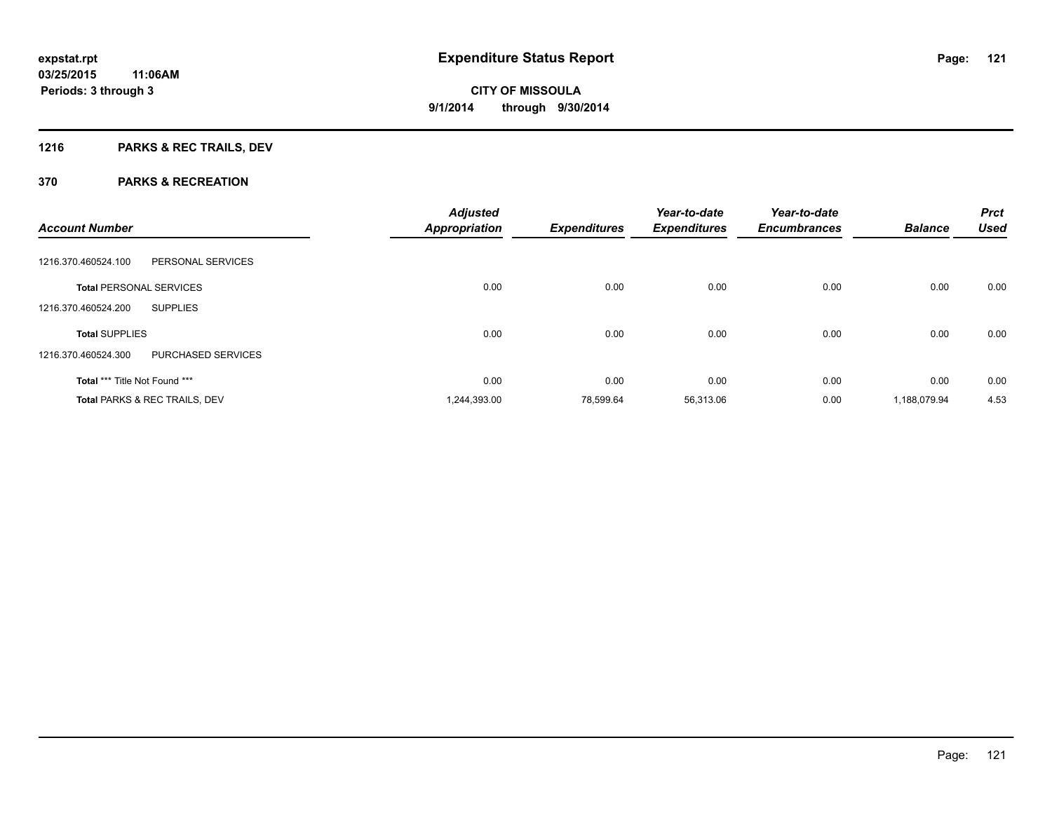## **1216 PARKS & REC TRAILS, DEV**

|                                           | <b>Adjusted</b>      |                     | Year-to-date        | Year-to-date        |                | <b>Prct</b> |
|-------------------------------------------|----------------------|---------------------|---------------------|---------------------|----------------|-------------|
| <b>Account Number</b>                     | <b>Appropriation</b> | <b>Expenditures</b> | <b>Expenditures</b> | <b>Encumbrances</b> | <b>Balance</b> | <b>Used</b> |
| PERSONAL SERVICES<br>1216.370.460524.100  |                      |                     |                     |                     |                |             |
| <b>Total PERSONAL SERVICES</b>            | 0.00                 | 0.00                | 0.00                | 0.00                | 0.00           | 0.00        |
| <b>SUPPLIES</b><br>1216.370.460524.200    |                      |                     |                     |                     |                |             |
| <b>Total SUPPLIES</b>                     | 0.00                 | 0.00                | 0.00                | 0.00                | 0.00           | 0.00        |
| PURCHASED SERVICES<br>1216.370.460524.300 |                      |                     |                     |                     |                |             |
| Total *** Title Not Found ***             | 0.00                 | 0.00                | 0.00                | 0.00                | 0.00           | 0.00        |
| <b>Total PARKS &amp; REC TRAILS, DEV</b>  | 1,244,393.00         | 78.599.64           | 56,313.06           | 0.00                | 1.188.079.94   | 4.53        |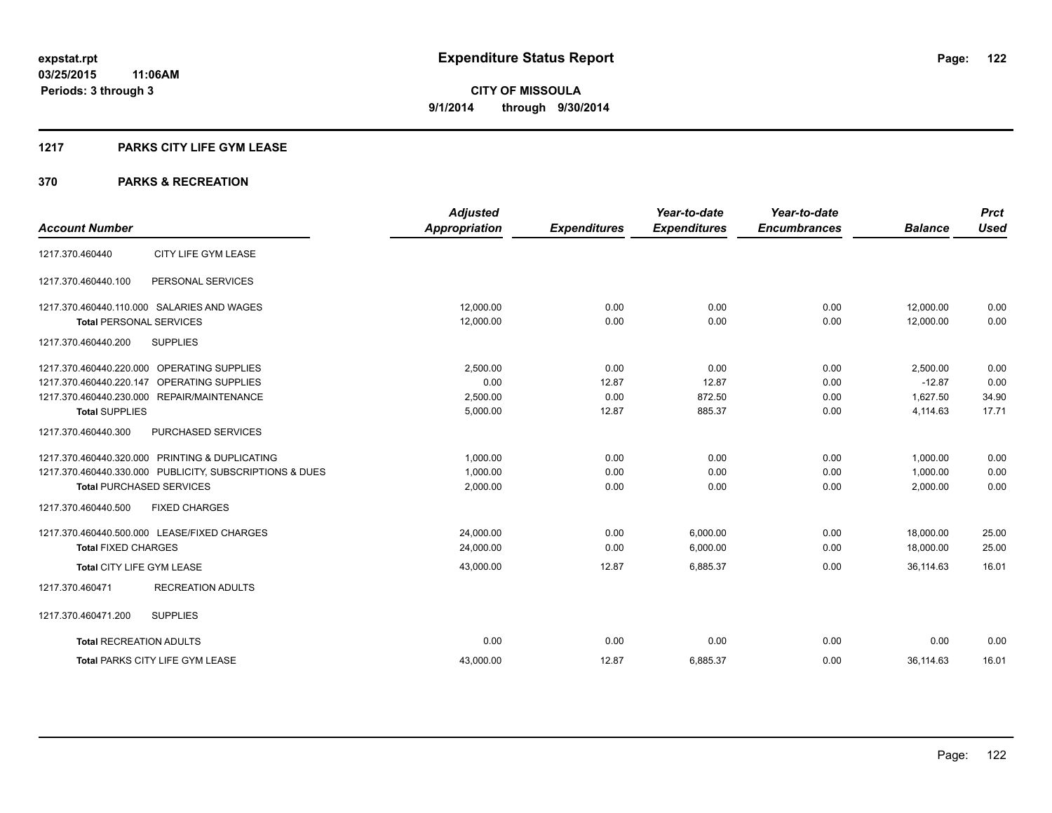### **1217 PARKS CITY LIFE GYM LEASE**

|                                                         | <b>Adjusted</b>      |                     | Year-to-date        | Year-to-date        |                | <b>Prct</b> |
|---------------------------------------------------------|----------------------|---------------------|---------------------|---------------------|----------------|-------------|
| <b>Account Number</b>                                   | <b>Appropriation</b> | <b>Expenditures</b> | <b>Expenditures</b> | <b>Encumbrances</b> | <b>Balance</b> | <b>Used</b> |
| CITY LIFE GYM LEASE<br>1217.370.460440                  |                      |                     |                     |                     |                |             |
| PERSONAL SERVICES<br>1217.370.460440.100                |                      |                     |                     |                     |                |             |
| 1217.370.460440.110.000 SALARIES AND WAGES              | 12.000.00            | 0.00                | 0.00                | 0.00                | 12,000.00      | 0.00        |
| <b>Total PERSONAL SERVICES</b>                          | 12,000.00            | 0.00                | 0.00                | 0.00                | 12,000.00      | 0.00        |
| <b>SUPPLIES</b><br>1217.370.460440.200                  |                      |                     |                     |                     |                |             |
| 1217.370.460440.220.000 OPERATING SUPPLIES              | 2,500.00             | 0.00                | 0.00                | 0.00                | 2,500.00       | 0.00        |
| 1217.370.460440.220.147 OPERATING SUPPLIES              | 0.00                 | 12.87               | 12.87               | 0.00                | $-12.87$       | 0.00        |
| 1217.370.460440.230.000 REPAIR/MAINTENANCE              | 2,500.00             | 0.00                | 872.50              | 0.00                | 1.627.50       | 34.90       |
| <b>Total SUPPLIES</b>                                   | 5,000.00             | 12.87               | 885.37              | 0.00                | 4,114.63       | 17.71       |
| 1217.370.460440.300<br><b>PURCHASED SERVICES</b>        |                      |                     |                     |                     |                |             |
| 1217.370.460440.320.000 PRINTING & DUPLICATING          | 1,000.00             | 0.00                | 0.00                | 0.00                | 1.000.00       | 0.00        |
| 1217.370.460440.330.000 PUBLICITY, SUBSCRIPTIONS & DUES | 1,000.00             | 0.00                | 0.00                | 0.00                | 1,000.00       | 0.00        |
| <b>Total PURCHASED SERVICES</b>                         | 2,000.00             | 0.00                | 0.00                | 0.00                | 2,000.00       | 0.00        |
| <b>FIXED CHARGES</b><br>1217.370.460440.500             |                      |                     |                     |                     |                |             |
| 1217.370.460440.500.000 LEASE/FIXED CHARGES             | 24,000.00            | 0.00                | 6,000.00            | 0.00                | 18,000.00      | 25.00       |
| <b>Total FIXED CHARGES</b>                              | 24,000.00            | 0.00                | 6,000.00            | 0.00                | 18,000.00      | 25.00       |
| Total CITY LIFE GYM LEASE                               | 43,000.00            | 12.87               | 6,885.37            | 0.00                | 36.114.63      | 16.01       |
| <b>RECREATION ADULTS</b><br>1217.370.460471             |                      |                     |                     |                     |                |             |
| 1217.370.460471.200<br><b>SUPPLIES</b>                  |                      |                     |                     |                     |                |             |
| <b>Total RECREATION ADULTS</b>                          | 0.00                 | 0.00                | 0.00                | 0.00                | 0.00           | 0.00        |
| <b>Total PARKS CITY LIFE GYM LEASE</b>                  | 43,000.00            | 12.87               | 6,885.37            | 0.00                | 36,114.63      | 16.01       |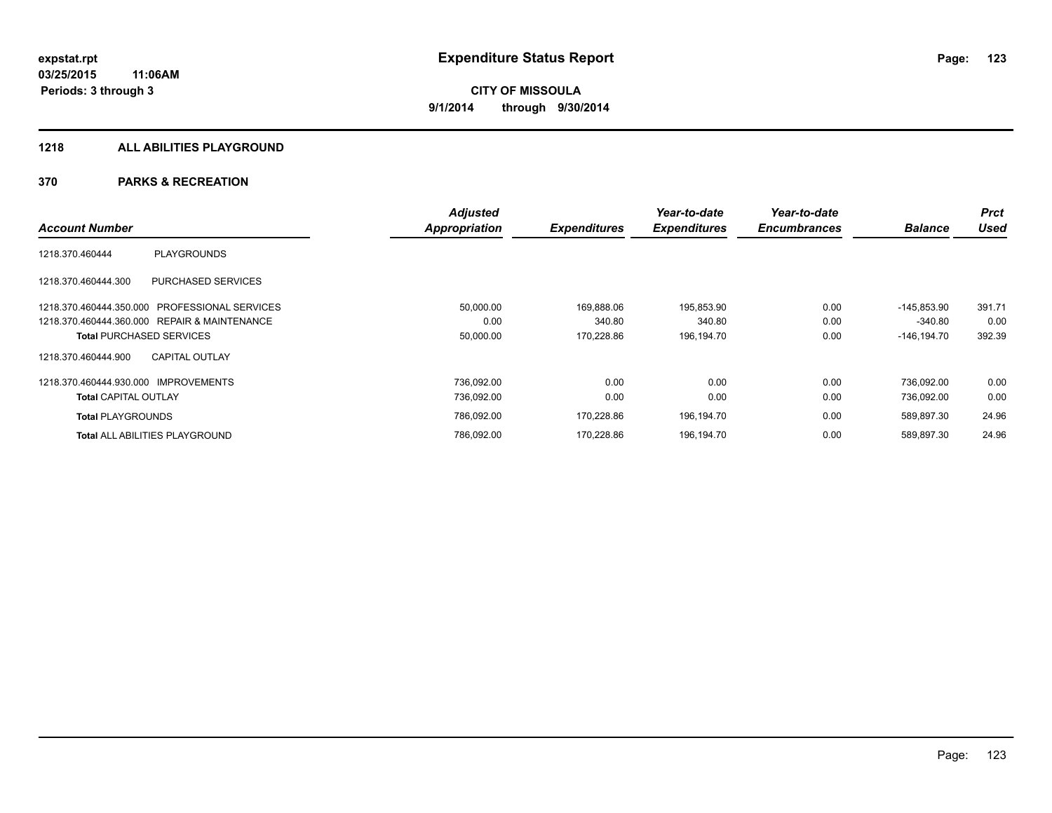#### **1218 ALL ABILITIES PLAYGROUND**

|                                                         | <b>Adjusted</b> |                     | Year-to-date        | Year-to-date        |                | <b>Prct</b> |
|---------------------------------------------------------|-----------------|---------------------|---------------------|---------------------|----------------|-------------|
| <b>Account Number</b>                                   | Appropriation   | <b>Expenditures</b> | <b>Expenditures</b> | <b>Encumbrances</b> | <b>Balance</b> | <b>Used</b> |
| <b>PLAYGROUNDS</b><br>1218.370.460444                   |                 |                     |                     |                     |                |             |
| <b>PURCHASED SERVICES</b><br>1218.370.460444.300        |                 |                     |                     |                     |                |             |
| <b>PROFESSIONAL SERVICES</b><br>1218.370.460444.350.000 | 50,000.00       | 169.888.06          | 195,853.90          | 0.00                | $-145.853.90$  | 391.71      |
| 1218.370.460444.360.000 REPAIR & MAINTENANCE            | 0.00            | 340.80              | 340.80              | 0.00                | $-340.80$      | 0.00        |
| <b>Total PURCHASED SERVICES</b>                         | 50,000.00       | 170,228.86          | 196,194.70          | 0.00                | $-146, 194.70$ | 392.39      |
| <b>CAPITAL OUTLAY</b><br>1218.370.460444.900            |                 |                     |                     |                     |                |             |
| 1218.370.460444.930.000<br><b>IMPROVEMENTS</b>          | 736.092.00      | 0.00                | 0.00                | 0.00                | 736.092.00     | 0.00        |
| <b>Total CAPITAL OUTLAY</b>                             | 736,092.00      | 0.00                | 0.00                | 0.00                | 736,092.00     | 0.00        |
| <b>Total PLAYGROUNDS</b>                                | 786,092.00      | 170,228.86          | 196,194.70          | 0.00                | 589,897.30     | 24.96       |
| <b>Total ALL ABILITIES PLAYGROUND</b>                   | 786.092.00      | 170.228.86          | 196,194.70          | 0.00                | 589.897.30     | 24.96       |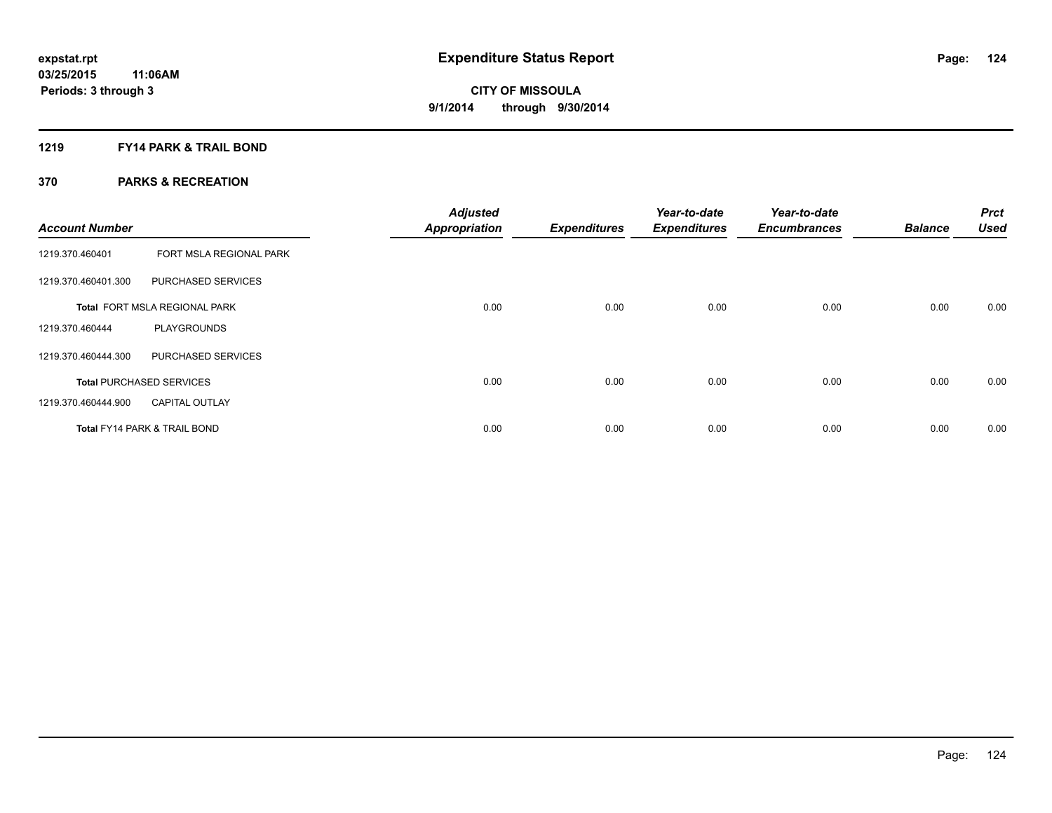### **1219 FY14 PARK & TRAIL BOND**

| <b>Account Number</b> |                                         | <b>Adjusted</b><br><b>Appropriation</b> | <b>Expenditures</b> | Year-to-date<br><b>Expenditures</b> | Year-to-date<br><b>Encumbrances</b> | <b>Balance</b> | <b>Prct</b><br><b>Used</b> |
|-----------------------|-----------------------------------------|-----------------------------------------|---------------------|-------------------------------------|-------------------------------------|----------------|----------------------------|
| 1219.370.460401       | FORT MSLA REGIONAL PARK                 |                                         |                     |                                     |                                     |                |                            |
| 1219.370.460401.300   | PURCHASED SERVICES                      |                                         |                     |                                     |                                     |                |                            |
|                       | Total FORT MSLA REGIONAL PARK           | 0.00                                    | 0.00                | 0.00                                | 0.00                                | 0.00           | 0.00                       |
| 1219.370.460444       | <b>PLAYGROUNDS</b>                      |                                         |                     |                                     |                                     |                |                            |
| 1219.370.460444.300   | PURCHASED SERVICES                      |                                         |                     |                                     |                                     |                |                            |
|                       | <b>Total PURCHASED SERVICES</b>         | 0.00                                    | 0.00                | 0.00                                | 0.00                                | 0.00           | 0.00                       |
| 1219.370.460444.900   | <b>CAPITAL OUTLAY</b>                   |                                         |                     |                                     |                                     |                |                            |
|                       | <b>Total FY14 PARK &amp; TRAIL BOND</b> | 0.00                                    | 0.00                | 0.00                                | 0.00                                | 0.00           | 0.00                       |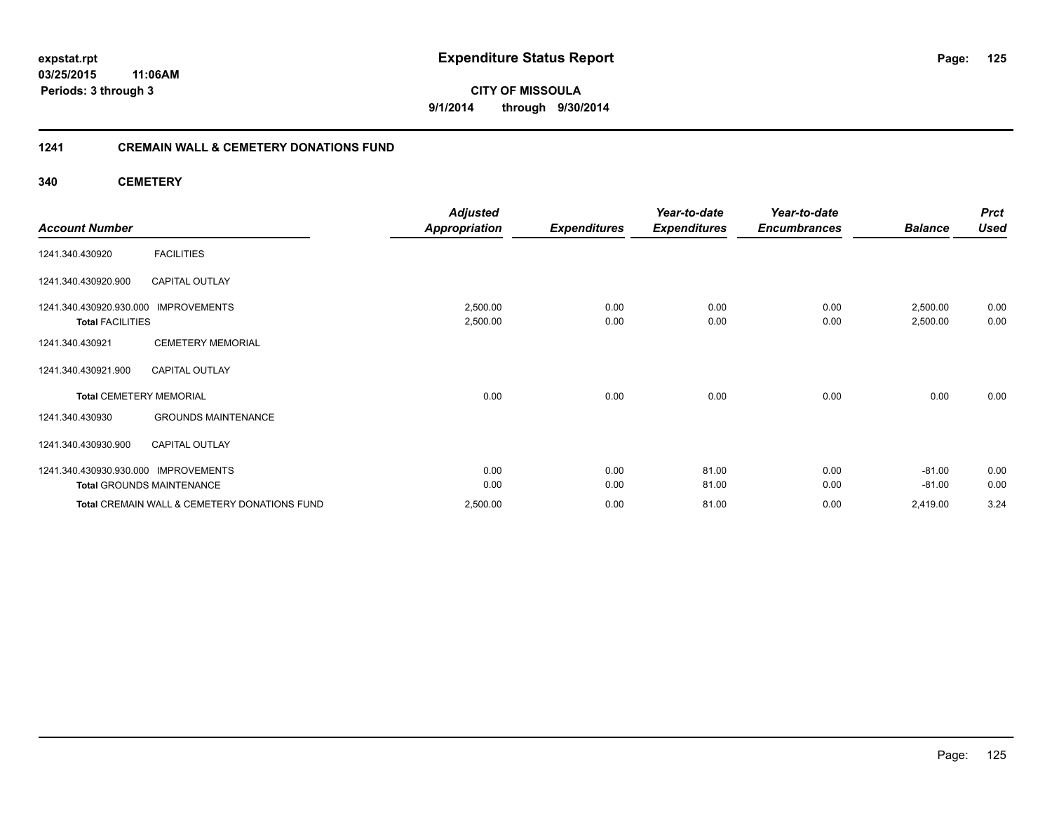### **03/25/2015 11:06AM Periods: 3 through 3**

**125**

**CITY OF MISSOULA 9/1/2014 through 9/30/2014**

### **1241 CREMAIN WALL & CEMETERY DONATIONS FUND**

**340 CEMETERY**

|                                      |                                              | <b>Adjusted</b>      |                     | Year-to-date        | Year-to-date        |                | <b>Prct</b> |
|--------------------------------------|----------------------------------------------|----------------------|---------------------|---------------------|---------------------|----------------|-------------|
| <b>Account Number</b>                |                                              | <b>Appropriation</b> | <b>Expenditures</b> | <b>Expenditures</b> | <b>Encumbrances</b> | <b>Balance</b> | <b>Used</b> |
| 1241.340.430920                      | <b>FACILITIES</b>                            |                      |                     |                     |                     |                |             |
| 1241.340.430920.900                  | <b>CAPITAL OUTLAY</b>                        |                      |                     |                     |                     |                |             |
| 1241.340.430920.930.000 IMPROVEMENTS |                                              | 2,500.00             | 0.00                | 0.00                | 0.00                | 2,500.00       | 0.00        |
| <b>Total FACILITIES</b>              |                                              | 2,500.00             | 0.00                | 0.00                | 0.00                | 2,500.00       | 0.00        |
| 1241.340.430921                      | <b>CEMETERY MEMORIAL</b>                     |                      |                     |                     |                     |                |             |
| 1241.340.430921.900                  | <b>CAPITAL OUTLAY</b>                        |                      |                     |                     |                     |                |             |
| <b>Total CEMETERY MEMORIAL</b>       |                                              | 0.00                 | 0.00                | 0.00                | 0.00                | 0.00           | 0.00        |
| 1241.340.430930                      | <b>GROUNDS MAINTENANCE</b>                   |                      |                     |                     |                     |                |             |
| 1241.340.430930.900                  | <b>CAPITAL OUTLAY</b>                        |                      |                     |                     |                     |                |             |
| 1241.340.430930.930.000 IMPROVEMENTS |                                              | 0.00                 | 0.00                | 81.00               | 0.00                | $-81.00$       | 0.00        |
| <b>Total GROUNDS MAINTENANCE</b>     |                                              | 0.00                 | 0.00                | 81.00               | 0.00                | $-81.00$       | 0.00        |
|                                      | Total CREMAIN WALL & CEMETERY DONATIONS FUND | 2,500.00             | 0.00                | 81.00               | 0.00                | 2,419.00       | 3.24        |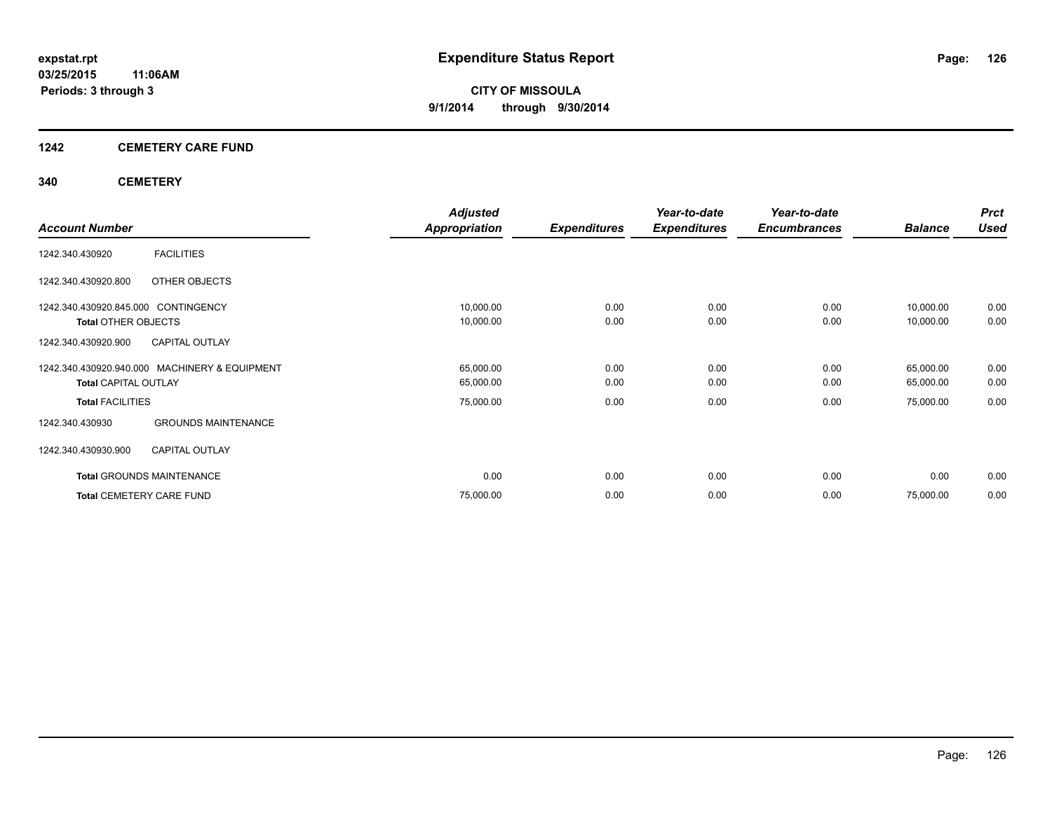### **1242 CEMETERY CARE FUND**

### **340 CEMETERY**

|                                     |                                               | <b>Adjusted</b>      |                     | Year-to-date        | Year-to-date        |                | <b>Prct</b> |
|-------------------------------------|-----------------------------------------------|----------------------|---------------------|---------------------|---------------------|----------------|-------------|
| <b>Account Number</b>               |                                               | <b>Appropriation</b> | <b>Expenditures</b> | <b>Expenditures</b> | <b>Encumbrances</b> | <b>Balance</b> | <b>Used</b> |
| 1242.340.430920                     | <b>FACILITIES</b>                             |                      |                     |                     |                     |                |             |
| 1242.340.430920.800                 | OTHER OBJECTS                                 |                      |                     |                     |                     |                |             |
| 1242.340.430920.845.000 CONTINGENCY |                                               | 10,000.00            | 0.00                | 0.00                | 0.00                | 10,000.00      | 0.00        |
| <b>Total OTHER OBJECTS</b>          |                                               | 10,000.00            | 0.00                | 0.00                | 0.00                | 10,000.00      | 0.00        |
| 1242.340.430920.900                 | <b>CAPITAL OUTLAY</b>                         |                      |                     |                     |                     |                |             |
|                                     | 1242.340.430920.940.000 MACHINERY & EQUIPMENT | 65,000.00            | 0.00                | 0.00                | 0.00                | 65,000.00      | 0.00        |
| <b>Total CAPITAL OUTLAY</b>         |                                               | 65,000.00            | 0.00                | 0.00                | 0.00                | 65,000.00      | 0.00        |
| <b>Total FACILITIES</b>             |                                               | 75,000.00            | 0.00                | 0.00                | 0.00                | 75,000.00      | 0.00        |
| 1242.340.430930                     | <b>GROUNDS MAINTENANCE</b>                    |                      |                     |                     |                     |                |             |
| 1242.340.430930.900                 | <b>CAPITAL OUTLAY</b>                         |                      |                     |                     |                     |                |             |
| <b>Total GROUNDS MAINTENANCE</b>    |                                               | 0.00                 | 0.00                | 0.00                | 0.00                | 0.00           | 0.00        |
| <b>Total CEMETERY CARE FUND</b>     |                                               | 75,000.00            | 0.00                | 0.00                | 0.00                | 75,000.00      | 0.00        |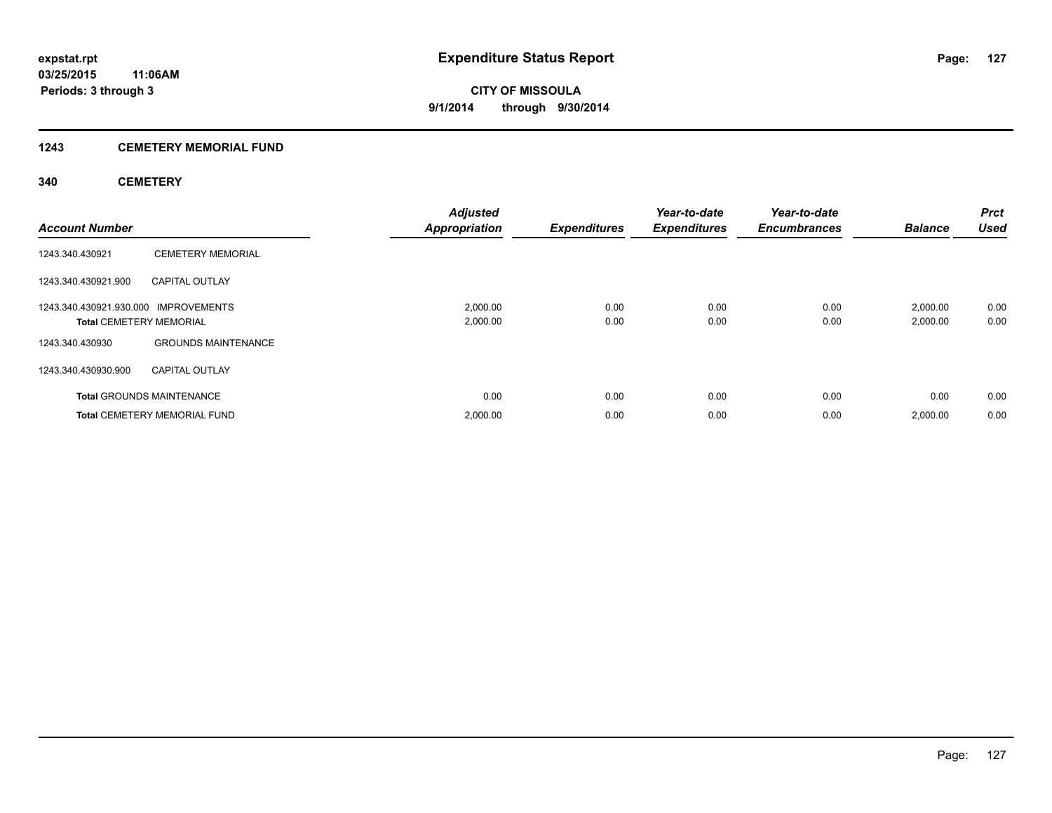### **1243 CEMETERY MEMORIAL FUND**

### **340 CEMETERY**

| <b>Account Number</b>                                                  |                                     | <b>Adjusted</b><br><b>Appropriation</b> | <b>Expenditures</b> | Year-to-date<br><b>Expenditures</b> | Year-to-date<br><b>Encumbrances</b> | <b>Balance</b>       | <b>Prct</b><br><b>Used</b> |
|------------------------------------------------------------------------|-------------------------------------|-----------------------------------------|---------------------|-------------------------------------|-------------------------------------|----------------------|----------------------------|
| 1243.340.430921                                                        | <b>CEMETERY MEMORIAL</b>            |                                         |                     |                                     |                                     |                      |                            |
| 1243.340.430921.900                                                    | <b>CAPITAL OUTLAY</b>               |                                         |                     |                                     |                                     |                      |                            |
| 1243.340.430921.930.000 IMPROVEMENTS<br><b>Total CEMETERY MEMORIAL</b> |                                     | 2,000.00<br>2,000.00                    | 0.00<br>0.00        | 0.00<br>0.00                        | 0.00<br>0.00                        | 2,000.00<br>2,000.00 | 0.00<br>0.00               |
| 1243.340.430930                                                        | <b>GROUNDS MAINTENANCE</b>          |                                         |                     |                                     |                                     |                      |                            |
| 1243.340.430930.900                                                    | <b>CAPITAL OUTLAY</b>               |                                         |                     |                                     |                                     |                      |                            |
|                                                                        | <b>Total GROUNDS MAINTENANCE</b>    | 0.00                                    | 0.00                | 0.00                                | 0.00                                | 0.00                 | 0.00                       |
|                                                                        | <b>Total CEMETERY MEMORIAL FUND</b> | 2,000.00                                | 0.00                | 0.00                                | 0.00                                | 2,000.00             | 0.00                       |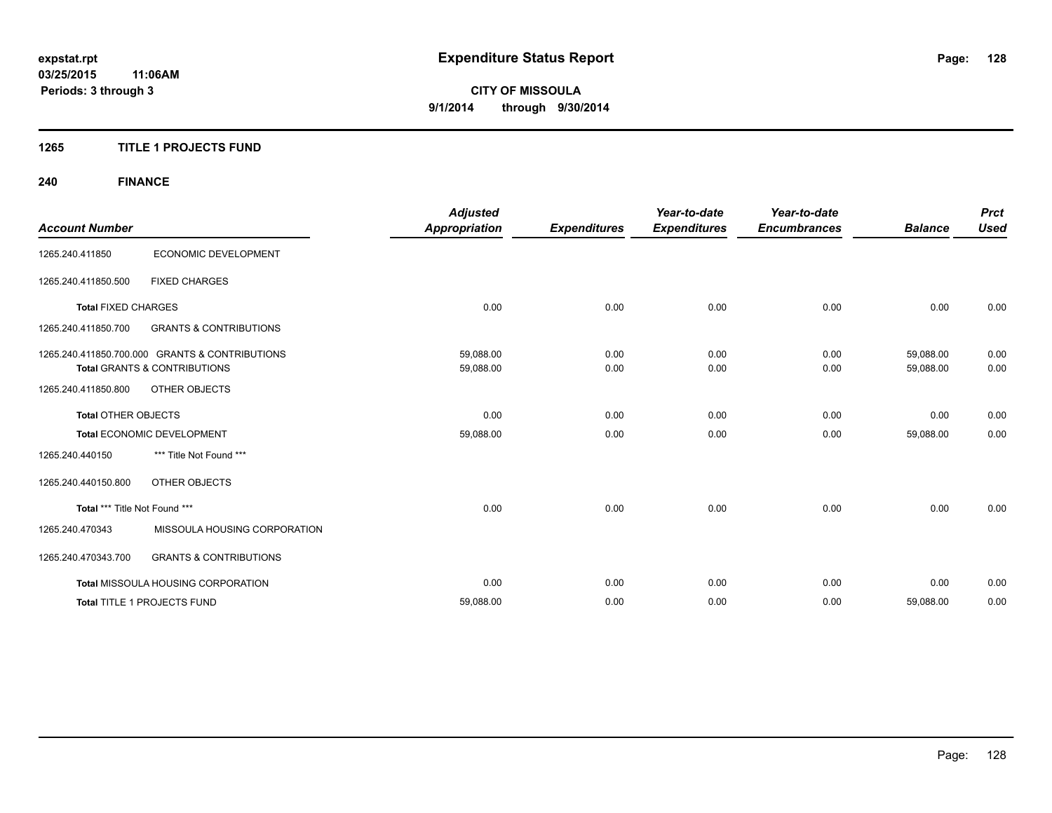### **1265 TITLE 1 PROJECTS FUND**

## **240 FINANCE**

|                               |                                                | <b>Adjusted</b>      |                     | Year-to-date        | Year-to-date        |                | <b>Prct</b> |
|-------------------------------|------------------------------------------------|----------------------|---------------------|---------------------|---------------------|----------------|-------------|
| <b>Account Number</b>         |                                                | <b>Appropriation</b> | <b>Expenditures</b> | <b>Expenditures</b> | <b>Encumbrances</b> | <b>Balance</b> | <b>Used</b> |
| 1265.240.411850               | ECONOMIC DEVELOPMENT                           |                      |                     |                     |                     |                |             |
| 1265.240.411850.500           | <b>FIXED CHARGES</b>                           |                      |                     |                     |                     |                |             |
| <b>Total FIXED CHARGES</b>    |                                                | 0.00                 | 0.00                | 0.00                | 0.00                | 0.00           | 0.00        |
| 1265.240.411850.700           | <b>GRANTS &amp; CONTRIBUTIONS</b>              |                      |                     |                     |                     |                |             |
|                               | 1265.240.411850.700.000 GRANTS & CONTRIBUTIONS | 59,088.00            | 0.00                | 0.00                | 0.00                | 59,088.00      | 0.00        |
|                               | <b>Total GRANTS &amp; CONTRIBUTIONS</b>        | 59,088.00            | 0.00                | 0.00                | 0.00                | 59,088.00      | 0.00        |
| 1265.240.411850.800           | OTHER OBJECTS                                  |                      |                     |                     |                     |                |             |
| <b>Total OTHER OBJECTS</b>    |                                                | 0.00                 | 0.00                | 0.00                | 0.00                | 0.00           | 0.00        |
|                               | Total ECONOMIC DEVELOPMENT                     | 59,088.00            | 0.00                | 0.00                | 0.00                | 59,088.00      | 0.00        |
| 1265.240.440150               | *** Title Not Found ***                        |                      |                     |                     |                     |                |             |
| 1265.240.440150.800           | OTHER OBJECTS                                  |                      |                     |                     |                     |                |             |
| Total *** Title Not Found *** |                                                | 0.00                 | 0.00                | 0.00                | 0.00                | 0.00           | 0.00        |
| 1265.240.470343               | MISSOULA HOUSING CORPORATION                   |                      |                     |                     |                     |                |             |
| 1265.240.470343.700           | <b>GRANTS &amp; CONTRIBUTIONS</b>              |                      |                     |                     |                     |                |             |
|                               | <b>Total MISSOULA HOUSING CORPORATION</b>      | 0.00                 | 0.00                | 0.00                | 0.00                | 0.00           | 0.00        |
|                               | Total TITLE 1 PROJECTS FUND                    | 59,088.00            | 0.00                | 0.00                | 0.00                | 59,088.00      | 0.00        |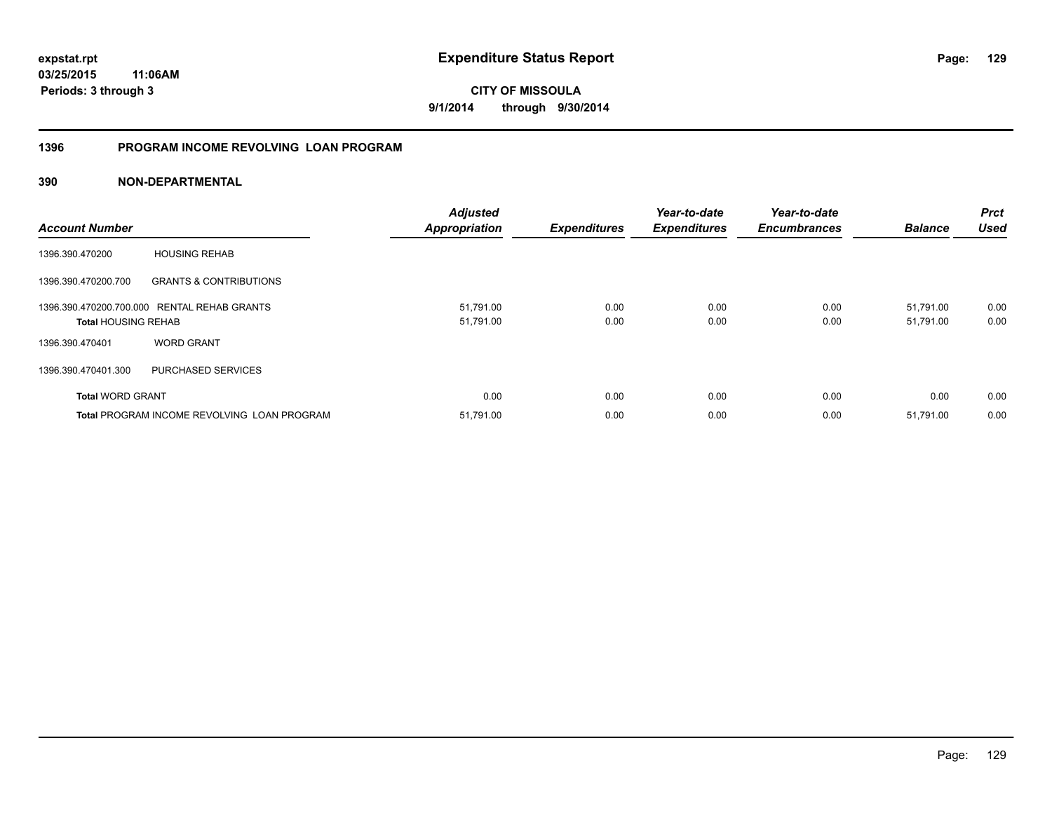**03/25/2015 11:06AM Periods: 3 through 3**

**CITY OF MISSOULA 9/1/2014 through 9/30/2014**

### **1396 PROGRAM INCOME REVOLVING LOAN PROGRAM**

| <b>Account Number</b>      |                                                    | <b>Adjusted</b><br><b>Appropriation</b> | <b>Expenditures</b> | Year-to-date<br><b>Expenditures</b> | Year-to-date<br><b>Encumbrances</b> | <b>Balance</b> | <b>Prct</b><br><b>Used</b> |
|----------------------------|----------------------------------------------------|-----------------------------------------|---------------------|-------------------------------------|-------------------------------------|----------------|----------------------------|
| 1396.390.470200            | <b>HOUSING REHAB</b>                               |                                         |                     |                                     |                                     |                |                            |
| 1396.390.470200.700        | <b>GRANTS &amp; CONTRIBUTIONS</b>                  |                                         |                     |                                     |                                     |                |                            |
|                            | 1396.390.470200.700.000 RENTAL REHAB GRANTS        | 51,791.00                               | 0.00                | 0.00                                | 0.00                                | 51,791.00      | 0.00                       |
| <b>Total HOUSING REHAB</b> |                                                    | 51,791.00                               | 0.00                | 0.00                                | 0.00                                | 51,791.00      | 0.00                       |
| 1396.390.470401            | <b>WORD GRANT</b>                                  |                                         |                     |                                     |                                     |                |                            |
| 1396.390.470401.300        | PURCHASED SERVICES                                 |                                         |                     |                                     |                                     |                |                            |
| <b>Total WORD GRANT</b>    |                                                    | 0.00                                    | 0.00                | 0.00                                | 0.00                                | 0.00           | 0.00                       |
|                            | <b>Total PROGRAM INCOME REVOLVING LOAN PROGRAM</b> | 51,791.00                               | 0.00                | 0.00                                | 0.00                                | 51,791.00      | 0.00                       |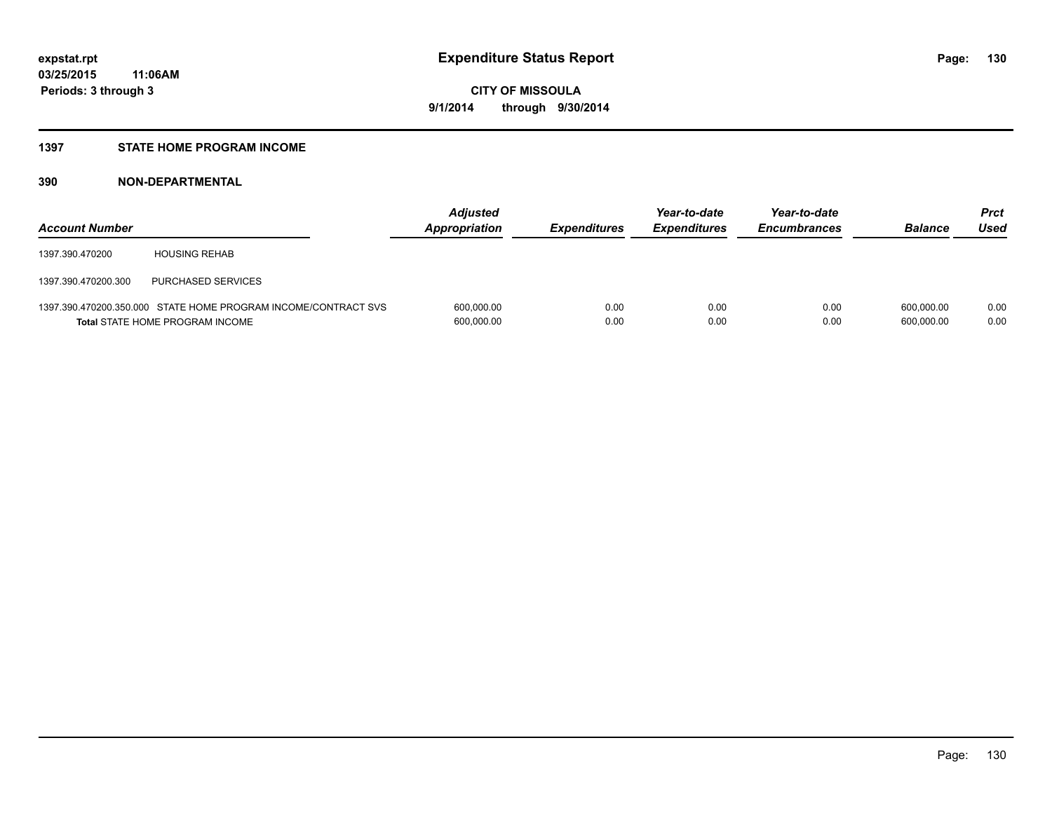### **1397 STATE HOME PROGRAM INCOME**

| <b>Account Number</b> |                                                                                                   | <b>Adjusted</b><br>Appropriation | <b>Expenditures</b> | Year-to-date<br><b>Expenditures</b> | Year-to-date<br><b>Encumbrances</b> | <b>Balance</b>           | <b>Prct</b><br>Used |
|-----------------------|---------------------------------------------------------------------------------------------------|----------------------------------|---------------------|-------------------------------------|-------------------------------------|--------------------------|---------------------|
| 1397.390.470200       | <b>HOUSING REHAB</b>                                                                              |                                  |                     |                                     |                                     |                          |                     |
| 1397.390.470200.300   | PURCHASED SERVICES                                                                                |                                  |                     |                                     |                                     |                          |                     |
|                       | 1397.390.470200.350.000 STATE HOME PROGRAM INCOME/CONTRACT SVS<br>Total STATE HOME PROGRAM INCOME | 600,000.00<br>600,000.00         | 0.00<br>0.00        | 0.00<br>0.00                        | 0.00<br>0.00                        | 600.000.00<br>600,000.00 | 0.00<br>0.00        |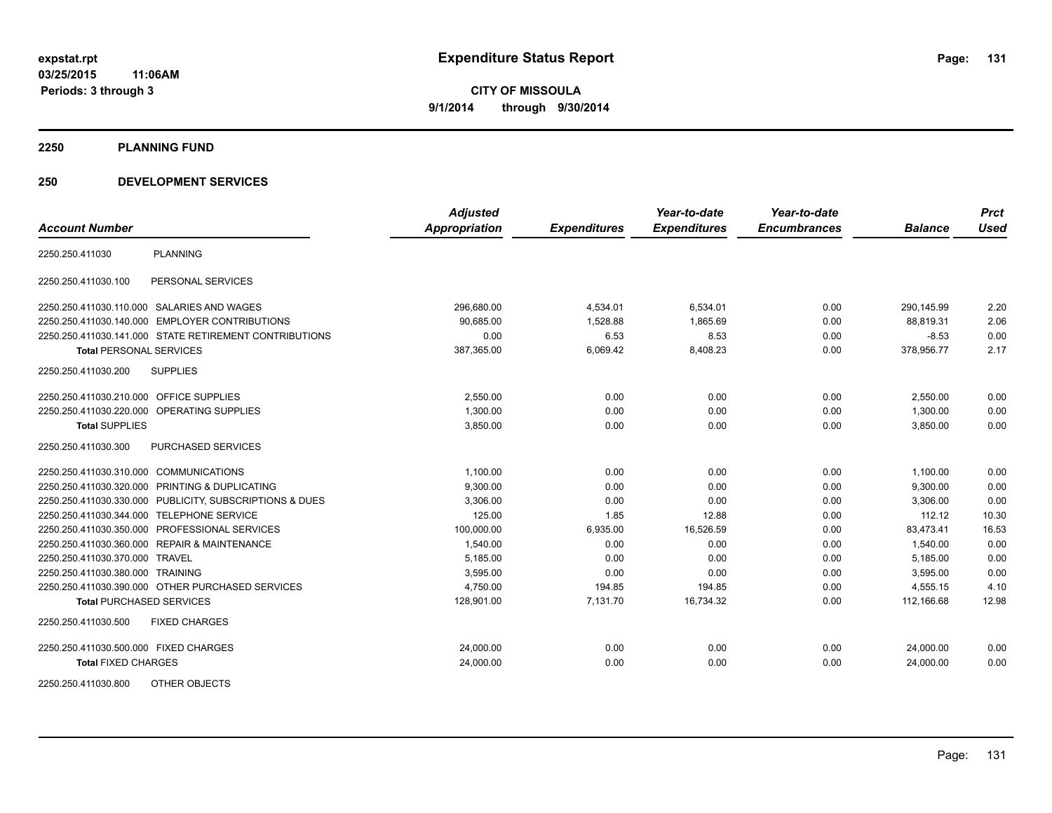**2250 PLANNING FUND**

### **250 DEVELOPMENT SERVICES**

|                                                            | <b>Adjusted</b>      |                     | Year-to-date        | Year-to-date        |                | <b>Prct</b> |
|------------------------------------------------------------|----------------------|---------------------|---------------------|---------------------|----------------|-------------|
| <b>Account Number</b>                                      | <b>Appropriation</b> | <b>Expenditures</b> | <b>Expenditures</b> | <b>Encumbrances</b> | <b>Balance</b> | <b>Used</b> |
| <b>PLANNING</b><br>2250.250.411030                         |                      |                     |                     |                     |                |             |
| PERSONAL SERVICES<br>2250.250.411030.100                   |                      |                     |                     |                     |                |             |
| 2250.250.411030.110.000 SALARIES AND WAGES                 | 296,680.00           | 4,534.01            | 6,534.01            | 0.00                | 290,145.99     | 2.20        |
| <b>EMPLOYER CONTRIBUTIONS</b><br>2250.250.411030.140.000   | 90,685.00            | 1,528.88            | 1,865.69            | 0.00                | 88,819.31      | 2.06        |
| 2250.250.411030.141.000 STATE RETIREMENT CONTRIBUTIONS     | 0.00                 | 6.53                | 8.53                | 0.00                | $-8.53$        | 0.00        |
| <b>Total PERSONAL SERVICES</b>                             | 387,365.00           | 6,069.42            | 8,408.23            | 0.00                | 378,956.77     | 2.17        |
| 2250.250.411030.200<br><b>SUPPLIES</b>                     |                      |                     |                     |                     |                |             |
| <b>OFFICE SUPPLIES</b><br>2250.250.411030.210.000          | 2,550.00             | 0.00                | 0.00                | 0.00                | 2,550.00       | 0.00        |
| 2250.250.411030.220.000<br>OPERATING SUPPLIES              | 1,300.00             | 0.00                | 0.00                | 0.00                | 1,300.00       | 0.00        |
| <b>Total SUPPLIES</b>                                      | 3,850.00             | 0.00                | 0.00                | 0.00                | 3,850.00       | 0.00        |
| 2250.250.411030.300<br>PURCHASED SERVICES                  |                      |                     |                     |                     |                |             |
| 2250.250.411030.310.000 COMMUNICATIONS                     | 1,100.00             | 0.00                | 0.00                | 0.00                | 1,100.00       | 0.00        |
| PRINTING & DUPLICATING<br>2250.250.411030.320.000          | 9,300.00             | 0.00                | 0.00                | 0.00                | 9,300.00       | 0.00        |
| PUBLICITY, SUBSCRIPTIONS & DUES<br>2250.250.411030.330.000 | 3,306.00             | 0.00                | 0.00                | 0.00                | 3,306.00       | 0.00        |
| 2250.250.411030.344.000<br><b>TELEPHONE SERVICE</b>        | 125.00               | 1.85                | 12.88               | 0.00                | 112.12         | 10.30       |
| PROFESSIONAL SERVICES<br>2250.250.411030.350.000           | 100,000.00           | 6,935.00            | 16,526.59           | 0.00                | 83,473.41      | 16.53       |
| 2250.250.411030.360.000 REPAIR & MAINTENANCE               | 1,540.00             | 0.00                | 0.00                | 0.00                | 1,540.00       | 0.00        |
| 2250.250.411030.370.000<br><b>TRAVEL</b>                   | 5,185.00             | 0.00                | 0.00                | 0.00                | 5,185.00       | 0.00        |
| 2250.250.411030.380.000 TRAINING                           | 3,595.00             | 0.00                | 0.00                | 0.00                | 3,595.00       | 0.00        |
| 2250.250.411030.390.000 OTHER PURCHASED SERVICES           | 4,750.00             | 194.85              | 194.85              | 0.00                | 4,555.15       | 4.10        |
| <b>Total PURCHASED SERVICES</b>                            | 128,901.00           | 7,131.70            | 16,734.32           | 0.00                | 112,166.68     | 12.98       |
| 2250.250.411030.500<br><b>FIXED CHARGES</b>                |                      |                     |                     |                     |                |             |
| 2250.250.411030.500.000 FIXED CHARGES                      | 24,000.00            | 0.00                | 0.00                | 0.00                | 24,000.00      | 0.00        |
| <b>Total FIXED CHARGES</b>                                 | 24,000.00            | 0.00                | 0.00                | 0.00                | 24,000.00      | 0.00        |
| 2250.250.411030.800<br>OTHER OBJECTS                       |                      |                     |                     |                     |                |             |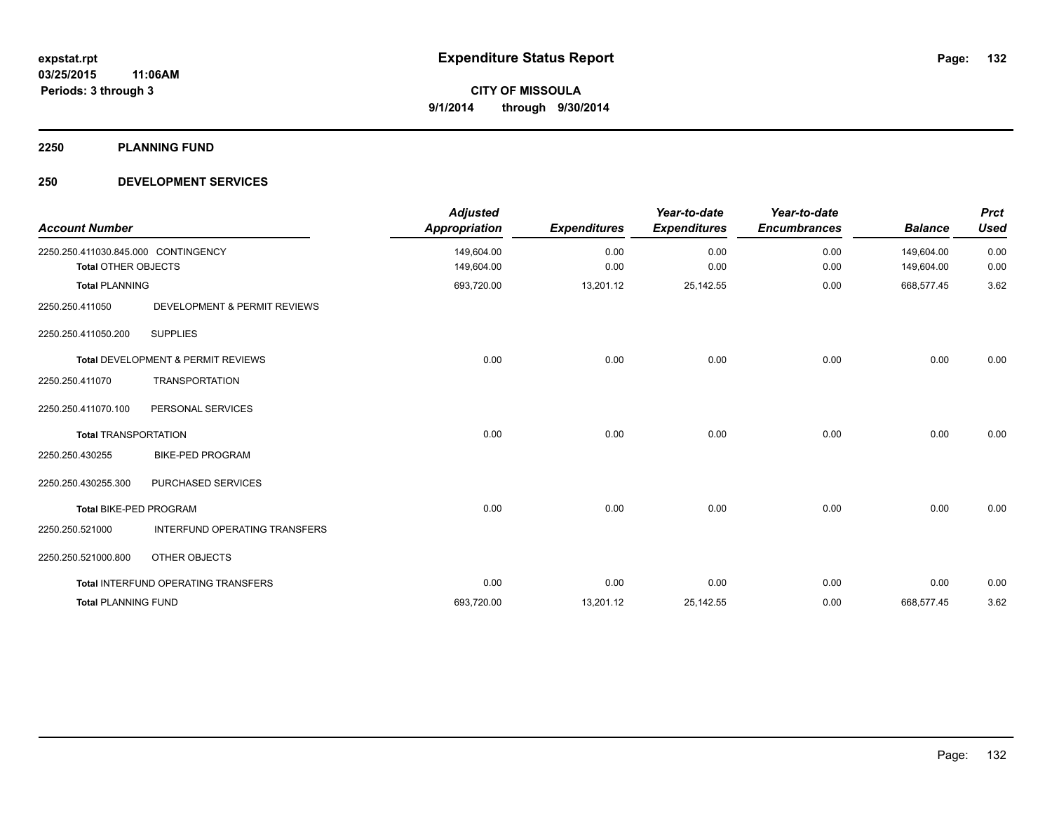**2250 PLANNING FUND**

### **250 DEVELOPMENT SERVICES**

| <b>Account Number</b>                                             |                                      | <b>Adjusted</b><br><b>Appropriation</b> | <b>Expenditures</b> | Year-to-date<br><b>Expenditures</b> | Year-to-date<br><b>Encumbrances</b> | <b>Balance</b>           | <b>Prct</b><br><b>Used</b> |
|-------------------------------------------------------------------|--------------------------------------|-----------------------------------------|---------------------|-------------------------------------|-------------------------------------|--------------------------|----------------------------|
| 2250.250.411030.845.000 CONTINGENCY<br><b>Total OTHER OBJECTS</b> |                                      | 149,604.00<br>149,604.00                | 0.00<br>0.00        | 0.00<br>0.00                        | 0.00<br>0.00                        | 149,604.00<br>149,604.00 | 0.00<br>0.00               |
| <b>Total PLANNING</b>                                             |                                      | 693,720.00                              | 13,201.12           | 25,142.55                           | 0.00                                | 668,577.45               | 3.62                       |
| 2250.250.411050                                                   | DEVELOPMENT & PERMIT REVIEWS         |                                         |                     |                                     |                                     |                          |                            |
| 2250.250.411050.200                                               | <b>SUPPLIES</b>                      |                                         |                     |                                     |                                     |                          |                            |
|                                                                   | Total DEVELOPMENT & PERMIT REVIEWS   | 0.00                                    | 0.00                | 0.00                                | 0.00                                | 0.00                     | 0.00                       |
| 2250.250.411070                                                   | <b>TRANSPORTATION</b>                |                                         |                     |                                     |                                     |                          |                            |
| 2250.250.411070.100                                               | PERSONAL SERVICES                    |                                         |                     |                                     |                                     |                          |                            |
| <b>Total TRANSPORTATION</b>                                       |                                      | 0.00                                    | 0.00                | 0.00                                | 0.00                                | 0.00                     | 0.00                       |
| 2250.250.430255                                                   | <b>BIKE-PED PROGRAM</b>              |                                         |                     |                                     |                                     |                          |                            |
| 2250.250.430255.300                                               | PURCHASED SERVICES                   |                                         |                     |                                     |                                     |                          |                            |
| <b>Total BIKE-PED PROGRAM</b>                                     |                                      | 0.00                                    | 0.00                | 0.00                                | 0.00                                | 0.00                     | 0.00                       |
| 2250.250.521000                                                   | <b>INTERFUND OPERATING TRANSFERS</b> |                                         |                     |                                     |                                     |                          |                            |
| 2250.250.521000.800                                               | OTHER OBJECTS                        |                                         |                     |                                     |                                     |                          |                            |
|                                                                   | Total INTERFUND OPERATING TRANSFERS  | 0.00                                    | 0.00                | 0.00                                | 0.00                                | 0.00                     | 0.00                       |
| <b>Total PLANNING FUND</b>                                        |                                      | 693,720.00                              | 13,201.12           | 25, 142.55                          | 0.00                                | 668,577.45               | 3.62                       |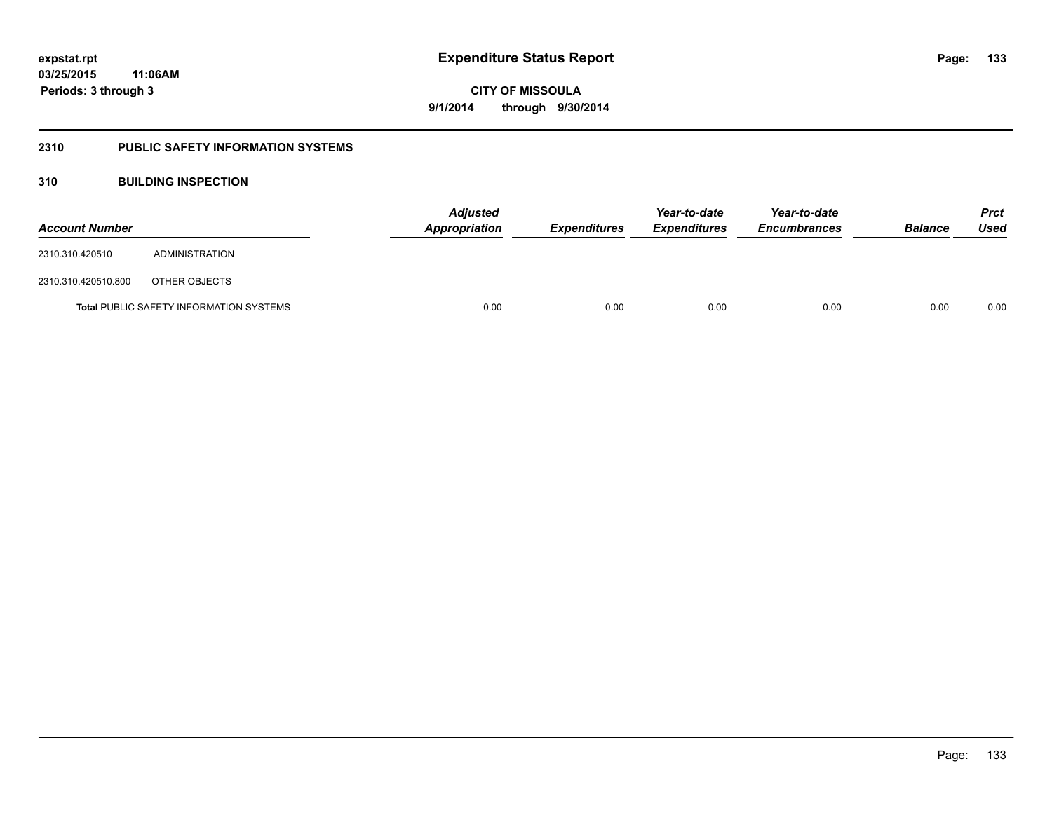### **2310 PUBLIC SAFETY INFORMATION SYSTEMS**

### **310 BUILDING INSPECTION**

| <b>Account Number</b> |                                                | <b>Adjusted</b><br><b>Appropriation</b> | <b>Expenditures</b> | Year-to-date<br><b>Expenditures</b> | Year-to-date<br><b>Encumbrances</b> | <b>Balance</b> | <b>Prct</b><br>Used |
|-----------------------|------------------------------------------------|-----------------------------------------|---------------------|-------------------------------------|-------------------------------------|----------------|---------------------|
| 2310.310.420510       | ADMINISTRATION                                 |                                         |                     |                                     |                                     |                |                     |
| 2310.310.420510.800   | OTHER OBJECTS                                  |                                         |                     |                                     |                                     |                |                     |
|                       | <b>Total PUBLIC SAFETY INFORMATION SYSTEMS</b> | 0.00                                    | 0.00                | 0.00                                | 0.00                                | 0.00           | 0.00                |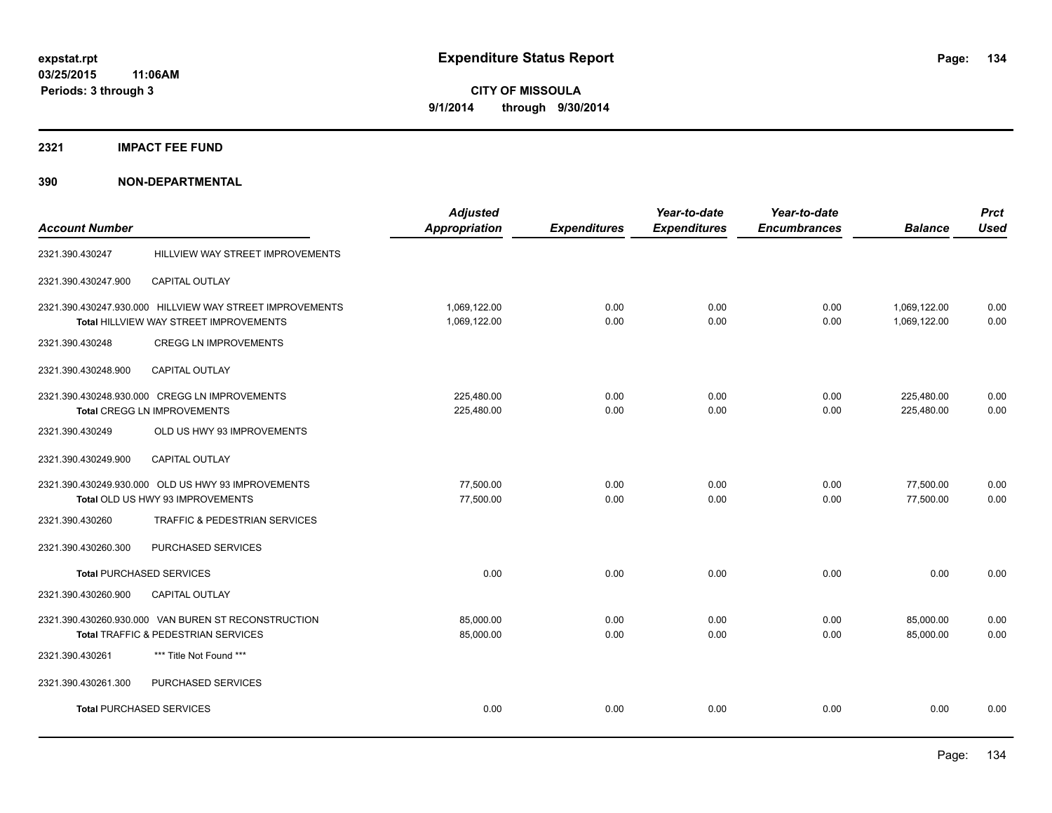#### **2321 IMPACT FEE FUND**

| <b>Account Number</b>              |                                                          | <b>Adjusted</b><br><b>Appropriation</b> | <b>Expenditures</b> | Year-to-date<br><b>Expenditures</b> | Year-to-date<br><b>Encumbrances</b> | <b>Balance</b> | <b>Prct</b><br><b>Used</b> |
|------------------------------------|----------------------------------------------------------|-----------------------------------------|---------------------|-------------------------------------|-------------------------------------|----------------|----------------------------|
|                                    |                                                          |                                         |                     |                                     |                                     |                |                            |
| 2321.390.430247                    | HILLVIEW WAY STREET IMPROVEMENTS                         |                                         |                     |                                     |                                     |                |                            |
| 2321.390.430247.900                | CAPITAL OUTLAY                                           |                                         |                     |                                     |                                     |                |                            |
|                                    | 2321.390.430247.930.000 HILLVIEW WAY STREET IMPROVEMENTS | 1,069,122.00                            | 0.00                | 0.00                                | 0.00                                | 1,069,122.00   | 0.00                       |
|                                    | Total HILLVIEW WAY STREET IMPROVEMENTS                   | 1,069,122.00                            | 0.00                | 0.00                                | 0.00                                | 1,069,122.00   | 0.00                       |
| 2321.390.430248                    | <b>CREGG LN IMPROVEMENTS</b>                             |                                         |                     |                                     |                                     |                |                            |
| 2321.390.430248.900                | <b>CAPITAL OUTLAY</b>                                    |                                         |                     |                                     |                                     |                |                            |
|                                    | 2321.390.430248.930.000 CREGG LN IMPROVEMENTS            | 225,480.00                              | 0.00                | 0.00                                | 0.00                                | 225,480.00     | 0.00                       |
| <b>Total CREGG LN IMPROVEMENTS</b> |                                                          | 225,480.00                              | 0.00                | 0.00                                | 0.00                                | 225,480.00     | 0.00                       |
| 2321.390.430249                    | OLD US HWY 93 IMPROVEMENTS                               |                                         |                     |                                     |                                     |                |                            |
| 2321.390.430249.900                | <b>CAPITAL OUTLAY</b>                                    |                                         |                     |                                     |                                     |                |                            |
|                                    | 2321.390.430249.930.000 OLD US HWY 93 IMPROVEMENTS       | 77,500.00                               | 0.00                | 0.00                                | 0.00                                | 77,500.00      | 0.00                       |
|                                    | Total OLD US HWY 93 IMPROVEMENTS                         | 77,500.00                               | 0.00                | 0.00                                | 0.00                                | 77,500.00      | 0.00                       |
| 2321.390.430260                    | TRAFFIC & PEDESTRIAN SERVICES                            |                                         |                     |                                     |                                     |                |                            |
| 2321.390.430260.300                | PURCHASED SERVICES                                       |                                         |                     |                                     |                                     |                |                            |
| <b>Total PURCHASED SERVICES</b>    |                                                          | 0.00                                    | 0.00                | 0.00                                | 0.00                                | 0.00           | 0.00                       |
| 2321.390.430260.900                | CAPITAL OUTLAY                                           |                                         |                     |                                     |                                     |                |                            |
|                                    | 2321.390.430260.930.000 VAN BUREN ST RECONSTRUCTION      | 85,000.00                               | 0.00                | 0.00                                | 0.00                                | 85,000.00      | 0.00                       |
|                                    | Total TRAFFIC & PEDESTRIAN SERVICES                      | 85,000.00                               | 0.00                | 0.00                                | 0.00                                | 85,000.00      | 0.00                       |
| 2321.390.430261                    | *** Title Not Found ***                                  |                                         |                     |                                     |                                     |                |                            |
| 2321.390.430261.300                | PURCHASED SERVICES                                       |                                         |                     |                                     |                                     |                |                            |
| <b>Total PURCHASED SERVICES</b>    |                                                          | 0.00                                    | 0.00                | 0.00                                | 0.00                                | 0.00           | 0.00                       |
|                                    |                                                          |                                         |                     |                                     |                                     |                |                            |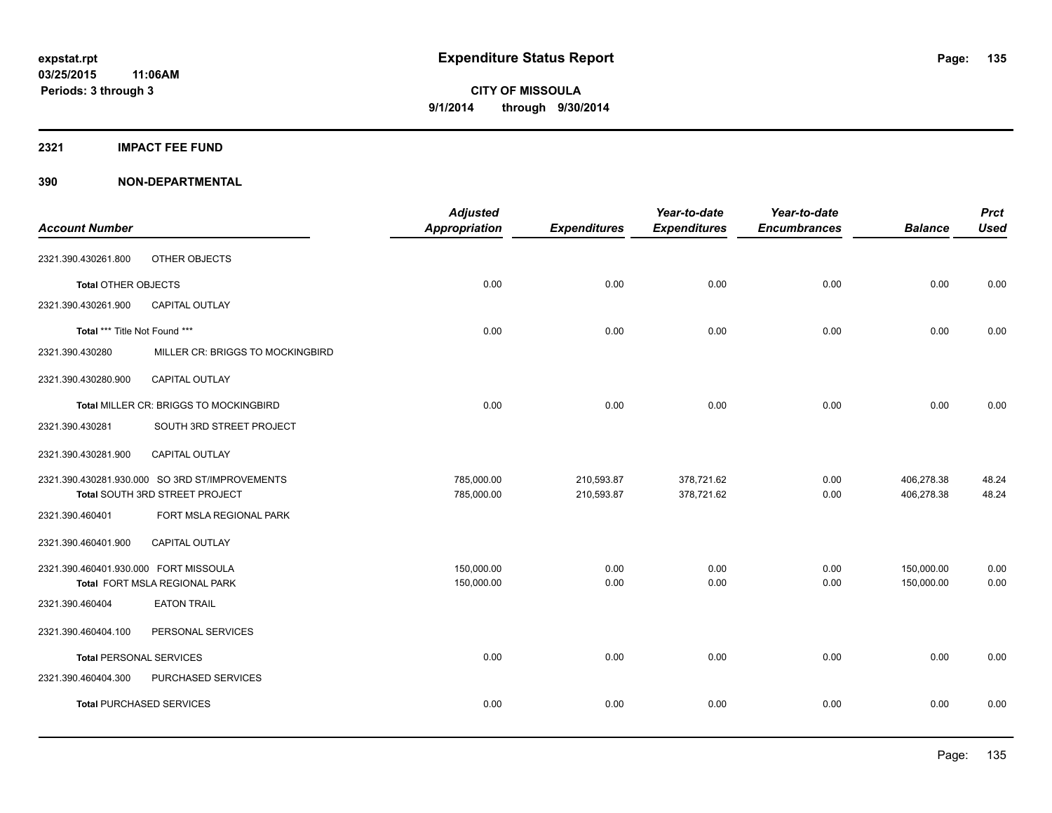#### **2321 IMPACT FEE FUND**

| <b>Account Number</b>                      |                                                | <b>Adjusted</b><br><b>Appropriation</b> | <b>Expenditures</b> | Year-to-date<br><b>Expenditures</b> | Year-to-date<br><b>Encumbrances</b> | <b>Balance</b> | <b>Prct</b><br><b>Used</b> |
|--------------------------------------------|------------------------------------------------|-----------------------------------------|---------------------|-------------------------------------|-------------------------------------|----------------|----------------------------|
| 2321.390.430261.800                        | OTHER OBJECTS                                  |                                         |                     |                                     |                                     |                |                            |
|                                            |                                                | 0.00                                    | 0.00                | 0.00                                | 0.00                                | 0.00           | 0.00                       |
| Total OTHER OBJECTS<br>2321.390.430261.900 | <b>CAPITAL OUTLAY</b>                          |                                         |                     |                                     |                                     |                |                            |
|                                            |                                                |                                         |                     |                                     |                                     |                |                            |
| Total *** Title Not Found ***              |                                                | 0.00                                    | 0.00                | 0.00                                | 0.00                                | 0.00           | 0.00                       |
| 2321.390.430280                            | MILLER CR: BRIGGS TO MOCKINGBIRD               |                                         |                     |                                     |                                     |                |                            |
| 2321.390.430280.900                        | CAPITAL OUTLAY                                 |                                         |                     |                                     |                                     |                |                            |
|                                            | Total MILLER CR: BRIGGS TO MOCKINGBIRD         | 0.00                                    | 0.00                | 0.00                                | 0.00                                | 0.00           | 0.00                       |
| 2321.390.430281                            | SOUTH 3RD STREET PROJECT                       |                                         |                     |                                     |                                     |                |                            |
| 2321.390.430281.900                        | <b>CAPITAL OUTLAY</b>                          |                                         |                     |                                     |                                     |                |                            |
|                                            | 2321.390.430281.930.000 SO 3RD ST/IMPROVEMENTS | 785,000.00                              | 210,593.87          | 378,721.62                          | 0.00                                | 406,278.38     | 48.24                      |
|                                            | Total SOUTH 3RD STREET PROJECT                 | 785,000.00                              | 210,593.87          | 378,721.62                          | 0.00                                | 406,278.38     | 48.24                      |
| 2321.390.460401                            | FORT MSLA REGIONAL PARK                        |                                         |                     |                                     |                                     |                |                            |
| 2321.390.460401.900                        | CAPITAL OUTLAY                                 |                                         |                     |                                     |                                     |                |                            |
| 2321.390.460401.930.000 FORT MISSOULA      |                                                | 150,000.00                              | 0.00                | 0.00                                | 0.00                                | 150,000.00     | 0.00                       |
|                                            | Total FORT MSLA REGIONAL PARK                  | 150,000.00                              | 0.00                | 0.00                                | 0.00                                | 150,000.00     | 0.00                       |
| 2321.390.460404                            | <b>EATON TRAIL</b>                             |                                         |                     |                                     |                                     |                |                            |
| 2321.390.460404.100                        | PERSONAL SERVICES                              |                                         |                     |                                     |                                     |                |                            |
| <b>Total PERSONAL SERVICES</b>             |                                                | 0.00                                    | 0.00                | 0.00                                | 0.00                                | 0.00           | 0.00                       |
| 2321.390.460404.300                        | PURCHASED SERVICES                             |                                         |                     |                                     |                                     |                |                            |
|                                            | <b>Total PURCHASED SERVICES</b>                | 0.00                                    | 0.00                | 0.00                                | 0.00                                | 0.00           | 0.00                       |
|                                            |                                                |                                         |                     |                                     |                                     |                |                            |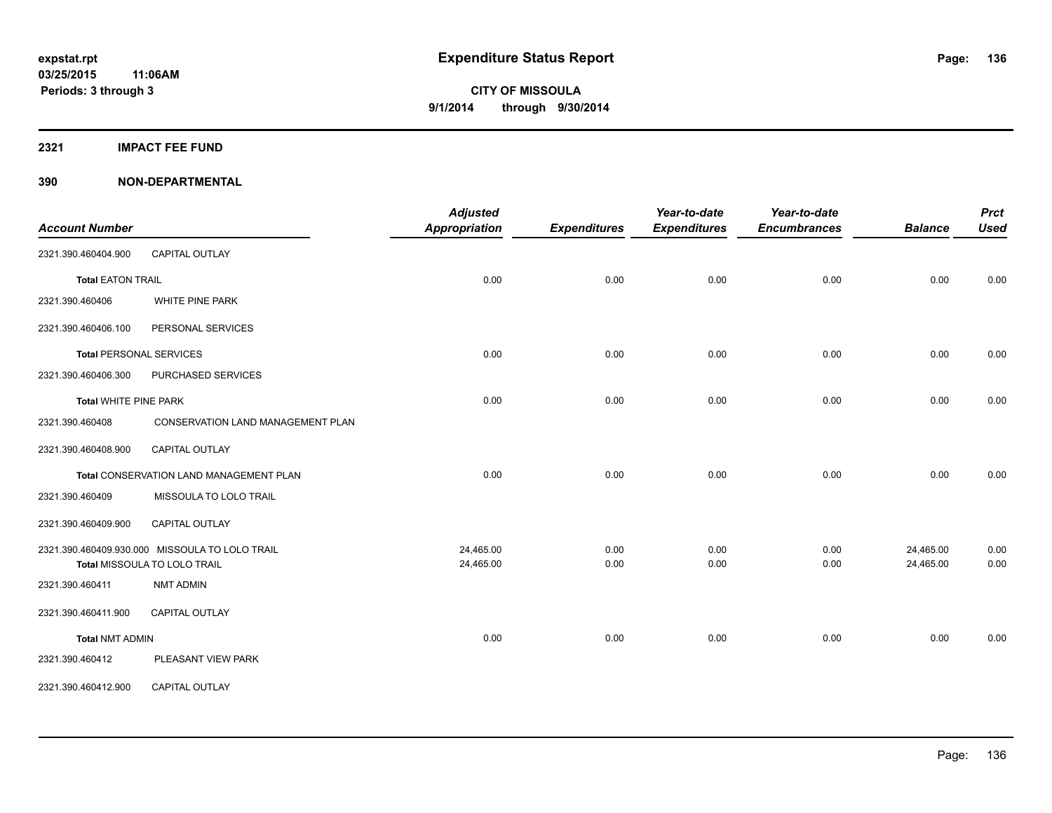**2321 IMPACT FEE FUND**

| <b>Account Number</b>                       |                                                | <b>Adjusted</b><br><b>Appropriation</b> | <b>Expenditures</b> | Year-to-date<br><b>Expenditures</b> | Year-to-date<br><b>Encumbrances</b> | <b>Balance</b> | <b>Prct</b><br><b>Used</b> |
|---------------------------------------------|------------------------------------------------|-----------------------------------------|---------------------|-------------------------------------|-------------------------------------|----------------|----------------------------|
| 2321.390.460404.900                         | <b>CAPITAL OUTLAY</b>                          |                                         |                     |                                     |                                     |                |                            |
|                                             |                                                |                                         |                     | 0.00                                | 0.00                                | 0.00           |                            |
| <b>Total EATON TRAIL</b><br>2321.390.460406 | <b>WHITE PINE PARK</b>                         | 0.00                                    | 0.00                |                                     |                                     |                | 0.00                       |
|                                             |                                                |                                         |                     |                                     |                                     |                |                            |
| 2321.390.460406.100                         | PERSONAL SERVICES                              |                                         |                     |                                     |                                     |                |                            |
| <b>Total PERSONAL SERVICES</b>              |                                                | 0.00                                    | 0.00                | 0.00                                | 0.00                                | 0.00           | 0.00                       |
| 2321.390.460406.300                         | PURCHASED SERVICES                             |                                         |                     |                                     |                                     |                |                            |
| <b>Total WHITE PINE PARK</b>                |                                                | 0.00                                    | 0.00                | 0.00                                | 0.00                                | 0.00           | 0.00                       |
| 2321.390.460408                             | <b>CONSERVATION LAND MANAGEMENT PLAN</b>       |                                         |                     |                                     |                                     |                |                            |
| 2321.390.460408.900                         | <b>CAPITAL OUTLAY</b>                          |                                         |                     |                                     |                                     |                |                            |
|                                             | Total CONSERVATION LAND MANAGEMENT PLAN        | 0.00                                    | 0.00                | 0.00                                | 0.00                                | 0.00           | 0.00                       |
| 2321.390.460409                             | MISSOULA TO LOLO TRAIL                         |                                         |                     |                                     |                                     |                |                            |
| 2321.390.460409.900                         | <b>CAPITAL OUTLAY</b>                          |                                         |                     |                                     |                                     |                |                            |
|                                             | 2321.390.460409.930.000 MISSOULA TO LOLO TRAIL | 24,465.00                               | 0.00                | 0.00                                | 0.00                                | 24,465.00      | 0.00                       |
|                                             | Total MISSOULA TO LOLO TRAIL                   | 24,465.00                               | 0.00                | 0.00                                | 0.00                                | 24,465.00      | 0.00                       |
| 2321.390.460411                             | <b>NMT ADMIN</b>                               |                                         |                     |                                     |                                     |                |                            |
| 2321.390.460411.900                         | CAPITAL OUTLAY                                 |                                         |                     |                                     |                                     |                |                            |
| <b>Total NMT ADMIN</b>                      |                                                | 0.00                                    | 0.00                | 0.00                                | 0.00                                | 0.00           | 0.00                       |
| 2321.390.460412                             | PLEASANT VIEW PARK                             |                                         |                     |                                     |                                     |                |                            |
| 2321.390.460412.900                         | CAPITAL OUTLAY                                 |                                         |                     |                                     |                                     |                |                            |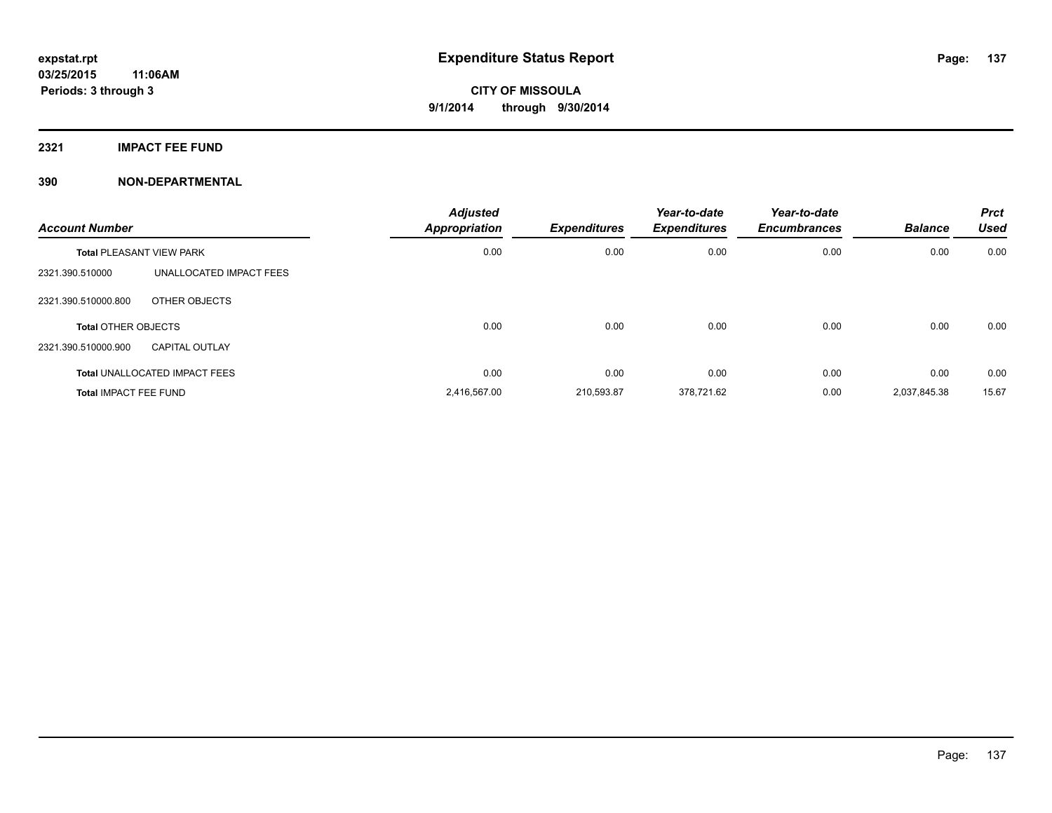**2321 IMPACT FEE FUND**

| <b>Account Number</b>           |                                      | <b>Adjusted</b><br>Appropriation | <b>Expenditures</b> | Year-to-date<br><b>Expenditures</b> | Year-to-date<br><b>Encumbrances</b> | <b>Balance</b> | <b>Prct</b><br><b>Used</b> |
|---------------------------------|--------------------------------------|----------------------------------|---------------------|-------------------------------------|-------------------------------------|----------------|----------------------------|
| <b>Total PLEASANT VIEW PARK</b> |                                      | 0.00                             | 0.00                | 0.00                                | 0.00                                | 0.00           | 0.00                       |
| 2321.390.510000                 | UNALLOCATED IMPACT FEES              |                                  |                     |                                     |                                     |                |                            |
| 2321.390.510000.800             | OTHER OBJECTS                        |                                  |                     |                                     |                                     |                |                            |
| <b>Total OTHER OBJECTS</b>      |                                      | 0.00                             | 0.00                | 0.00                                | 0.00                                | 0.00           | 0.00                       |
| 2321.390.510000.900             | <b>CAPITAL OUTLAY</b>                |                                  |                     |                                     |                                     |                |                            |
|                                 | <b>Total UNALLOCATED IMPACT FEES</b> | 0.00                             | 0.00                | 0.00                                | 0.00                                | 0.00           | 0.00                       |
| <b>Total IMPACT FEE FUND</b>    |                                      | 2,416,567.00                     | 210,593.87          | 378,721.62                          | 0.00                                | 2,037,845.38   | 15.67                      |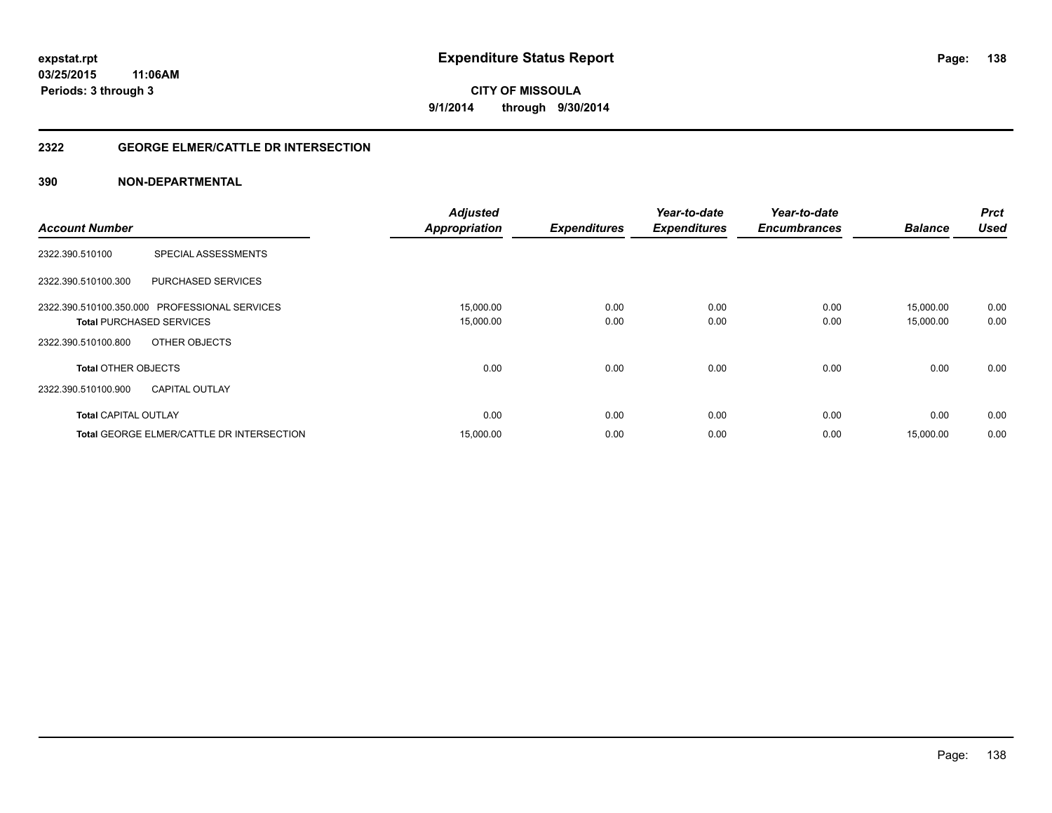### **2322 GEORGE ELMER/CATTLE DR INTERSECTION**

| <b>Account Number</b>                                                            | <b>Adjusted</b><br>Appropriation | <b>Expenditures</b> | Year-to-date<br><b>Expenditures</b> | Year-to-date<br><b>Encumbrances</b> | <b>Balance</b>         | <b>Prct</b><br><b>Used</b> |
|----------------------------------------------------------------------------------|----------------------------------|---------------------|-------------------------------------|-------------------------------------|------------------------|----------------------------|
| SPECIAL ASSESSMENTS<br>2322.390.510100                                           |                                  |                     |                                     |                                     |                        |                            |
| <b>PURCHASED SERVICES</b><br>2322.390.510100.300                                 |                                  |                     |                                     |                                     |                        |                            |
| 2322.390.510100.350.000 PROFESSIONAL SERVICES<br><b>Total PURCHASED SERVICES</b> | 15,000.00<br>15,000.00           | 0.00<br>0.00        | 0.00<br>0.00                        | 0.00<br>0.00                        | 15.000.00<br>15,000.00 | 0.00<br>0.00               |
| 2322.390.510100.800<br>OTHER OBJECTS                                             |                                  |                     |                                     |                                     |                        |                            |
| <b>Total OTHER OBJECTS</b>                                                       | 0.00                             | 0.00                | 0.00                                | 0.00                                | 0.00                   | 0.00                       |
| 2322.390.510100.900<br><b>CAPITAL OUTLAY</b>                                     |                                  |                     |                                     |                                     |                        |                            |
| <b>Total CAPITAL OUTLAY</b>                                                      | 0.00                             | 0.00                | 0.00                                | 0.00                                | 0.00                   | 0.00                       |
| <b>Total GEORGE ELMER/CATTLE DR INTERSECTION</b>                                 | 15,000.00                        | 0.00                | 0.00                                | 0.00                                | 15,000.00              | 0.00                       |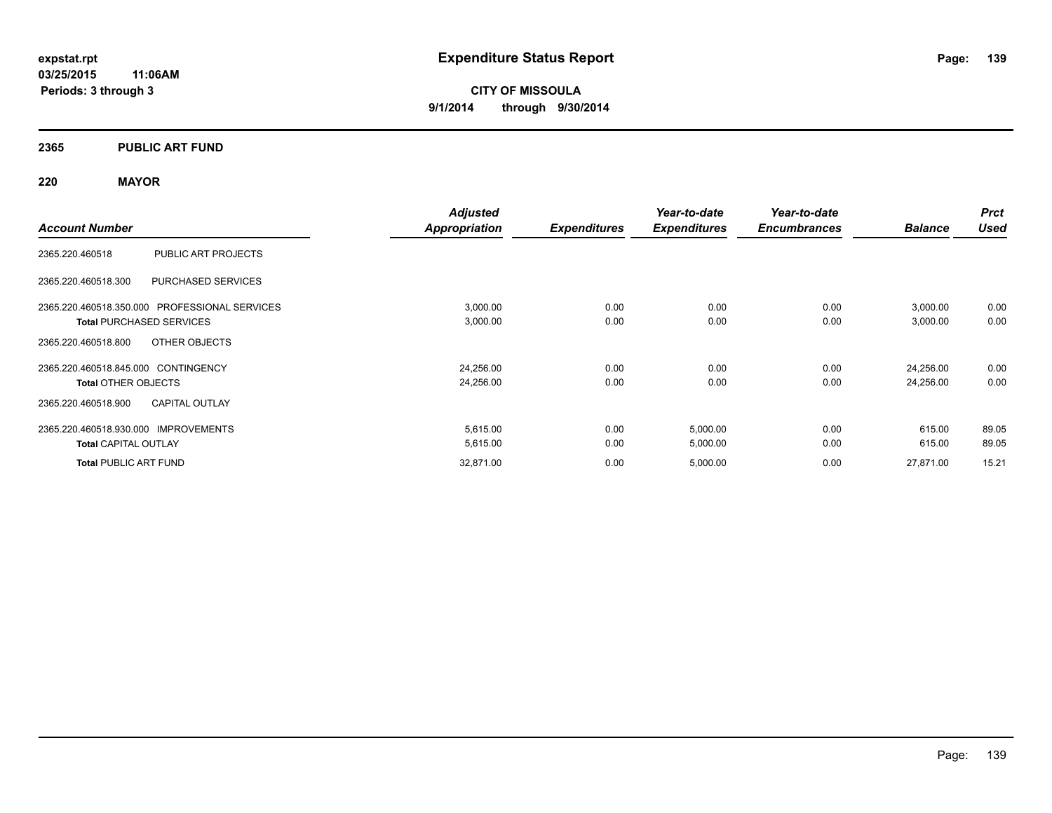### **2365 PUBLIC ART FUND**

### **220 MAYOR**

|                                                  | <b>Adjusted</b> |                     | Year-to-date        | Year-to-date        |                | <b>Prct</b> |
|--------------------------------------------------|-----------------|---------------------|---------------------|---------------------|----------------|-------------|
| <b>Account Number</b>                            | Appropriation   | <b>Expenditures</b> | <b>Expenditures</b> | <b>Encumbrances</b> | <b>Balance</b> | <b>Used</b> |
| PUBLIC ART PROJECTS<br>2365.220.460518           |                 |                     |                     |                     |                |             |
| <b>PURCHASED SERVICES</b><br>2365.220.460518.300 |                 |                     |                     |                     |                |             |
| 2365.220.460518.350.000 PROFESSIONAL SERVICES    | 3,000.00        | 0.00                | 0.00                | 0.00                | 3,000.00       | 0.00        |
| <b>Total PURCHASED SERVICES</b>                  | 3,000.00        | 0.00                | 0.00                | 0.00                | 3,000.00       | 0.00        |
| OTHER OBJECTS<br>2365.220.460518.800             |                 |                     |                     |                     |                |             |
| 2365.220.460518.845.000 CONTINGENCY              | 24,256.00       | 0.00                | 0.00                | 0.00                | 24,256.00      | 0.00        |
| <b>Total OTHER OBJECTS</b>                       | 24,256.00       | 0.00                | 0.00                | 0.00                | 24,256.00      | 0.00        |
| <b>CAPITAL OUTLAY</b><br>2365.220.460518.900     |                 |                     |                     |                     |                |             |
| 2365.220.460518.930.000 IMPROVEMENTS             | 5,615.00        | 0.00                | 5,000.00            | 0.00                | 615.00         | 89.05       |
| <b>Total CAPITAL OUTLAY</b>                      | 5,615.00        | 0.00                | 5,000.00            | 0.00                | 615.00         | 89.05       |
| <b>Total PUBLIC ART FUND</b>                     | 32,871.00       | 0.00                | 5,000.00            | 0.00                | 27,871.00      | 15.21       |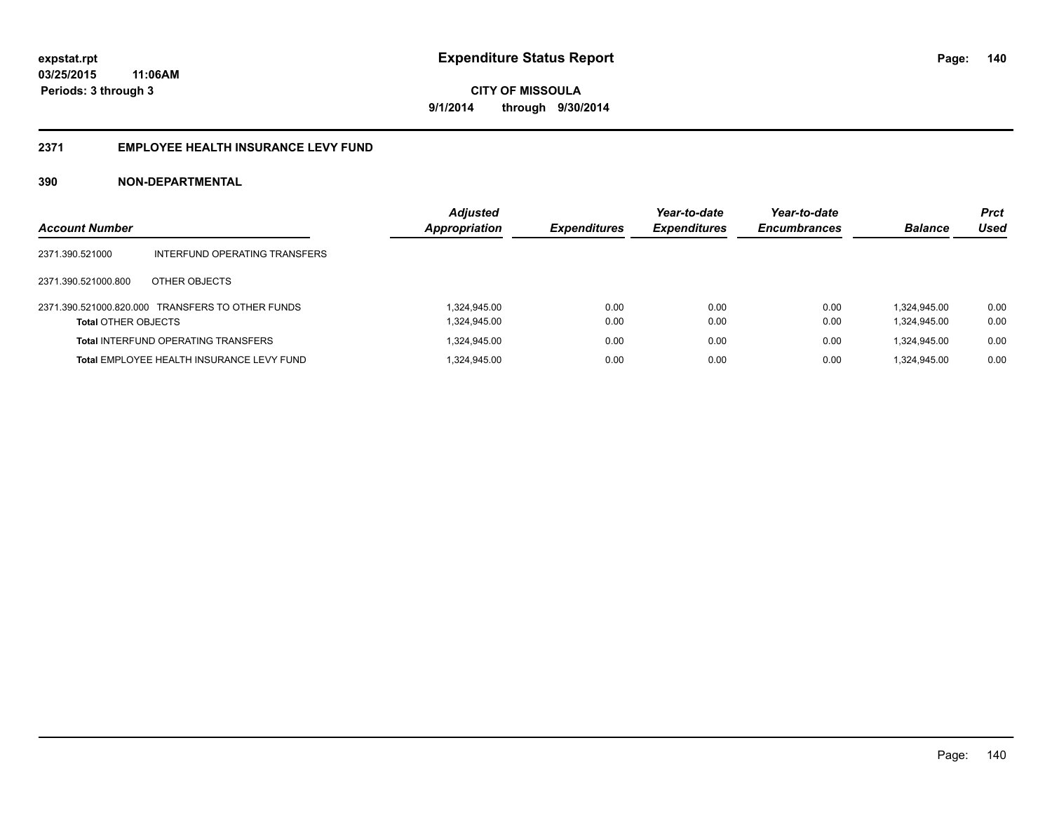#### **2371 EMPLOYEE HEALTH INSURANCE LEVY FUND**

| <b>Account Number</b>      |                                                  | <b>Adjusted</b><br>Appropriation | <b>Expenditures</b> | Year-to-date<br><b>Expenditures</b> | Year-to-date<br><b>Encumbrances</b> | <b>Balance</b> | <b>Prct</b><br>Used |
|----------------------------|--------------------------------------------------|----------------------------------|---------------------|-------------------------------------|-------------------------------------|----------------|---------------------|
| 2371.390.521000            | INTERFUND OPERATING TRANSFERS                    |                                  |                     |                                     |                                     |                |                     |
| 2371.390.521000.800        | OTHER OBJECTS                                    |                                  |                     |                                     |                                     |                |                     |
|                            | 2371.390.521000.820.000 TRANSFERS TO OTHER FUNDS | 1.324.945.00                     | 0.00                | 0.00                                | 0.00                                | 1.324.945.00   | 0.00                |
| <b>Total OTHER OBJECTS</b> |                                                  | 1,324,945.00                     | 0.00                | 0.00                                | 0.00                                | 1,324,945.00   | 0.00                |
|                            | <b>Total INTERFUND OPERATING TRANSFERS</b>       | 1,324,945.00                     | 0.00                | 0.00                                | 0.00                                | 1.324.945.00   | 0.00                |
|                            | Total EMPLOYEE HEALTH INSURANCE LEVY FUND        | 1,324,945.00                     | 0.00                | 0.00                                | 0.00                                | 1.324.945.00   | 0.00                |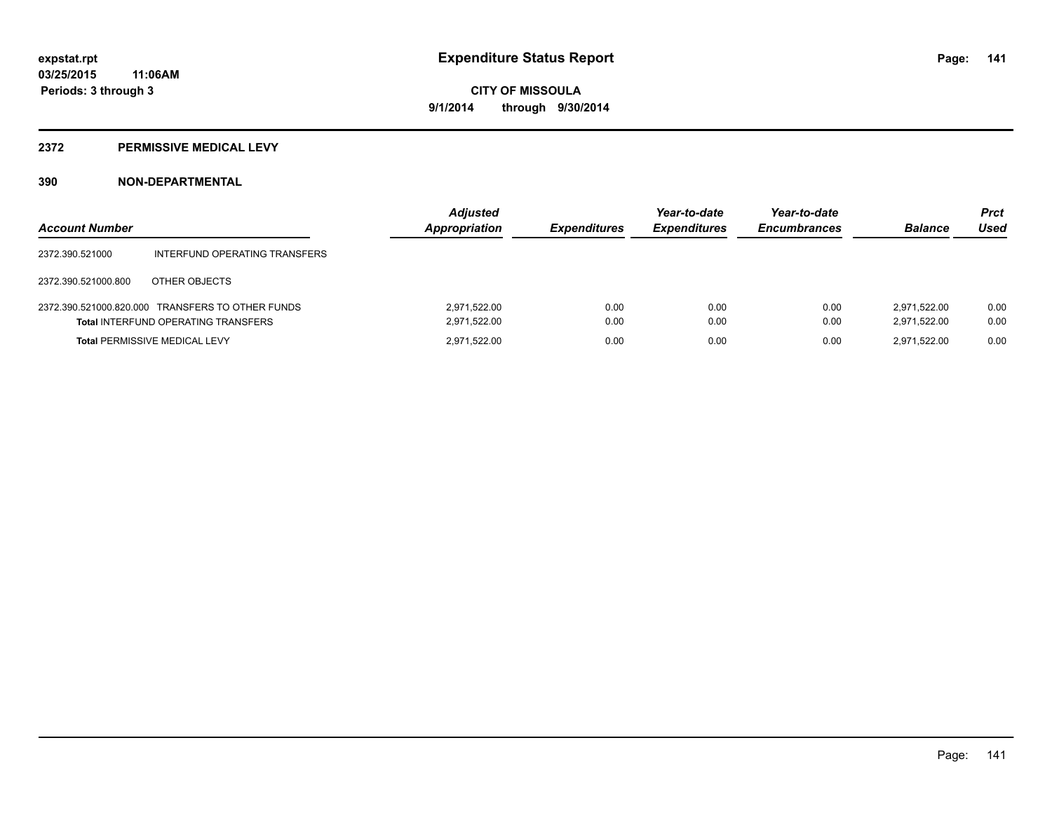#### **2372 PERMISSIVE MEDICAL LEVY**

| <b>Account Number</b> |                                                                                                | <b>Adjusted</b><br>Appropriation | <b>Expenditures</b> | Year-to-date<br><b>Expenditures</b> | Year-to-date<br><b>Encumbrances</b> | <b>Balance</b>               | <b>Prct</b><br>Used |
|-----------------------|------------------------------------------------------------------------------------------------|----------------------------------|---------------------|-------------------------------------|-------------------------------------|------------------------------|---------------------|
| 2372.390.521000       | INTERFUND OPERATING TRANSFERS                                                                  |                                  |                     |                                     |                                     |                              |                     |
| 2372.390.521000.800   | OTHER OBJECTS                                                                                  |                                  |                     |                                     |                                     |                              |                     |
|                       | 2372.390.521000.820.000 TRANSFERS TO OTHER FUNDS<br><b>Total INTERFUND OPERATING TRANSFERS</b> | 2,971,522.00<br>2,971,522.00     | 0.00<br>0.00        | 0.00<br>0.00                        | 0.00<br>0.00                        | 2.971.522.00<br>2.971.522.00 | 0.00<br>0.00        |
|                       | <b>Total PERMISSIVE MEDICAL LEVY</b>                                                           | 2,971,522.00                     | 0.00                | 0.00                                | 0.00                                | 2.971.522.00                 | 0.00                |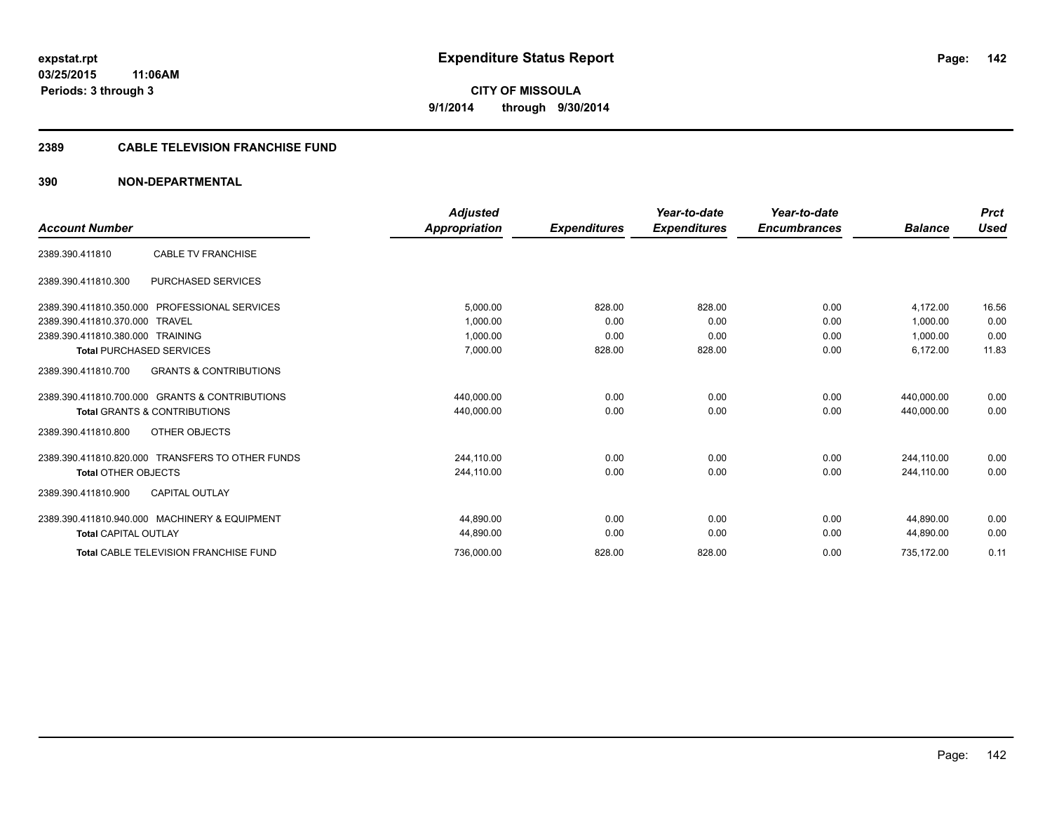#### **2389 CABLE TELEVISION FRANCHISE FUND**

|                                                          | <b>Adjusted</b> |                     | Year-to-date        | Year-to-date        |                | <b>Prct</b> |
|----------------------------------------------------------|-----------------|---------------------|---------------------|---------------------|----------------|-------------|
| <b>Account Number</b>                                    | Appropriation   | <b>Expenditures</b> | <b>Expenditures</b> | <b>Encumbrances</b> | <b>Balance</b> | <b>Used</b> |
| <b>CABLE TV FRANCHISE</b><br>2389.390.411810             |                 |                     |                     |                     |                |             |
| PURCHASED SERVICES<br>2389.390.411810.300                |                 |                     |                     |                     |                |             |
| 2389.390.411810.350.000 PROFESSIONAL SERVICES            | 5,000.00        | 828.00              | 828.00              | 0.00                | 4,172.00       | 16.56       |
| 2389.390.411810.370.000 TRAVEL                           | 1.000.00        | 0.00                | 0.00                | 0.00                | 1.000.00       | 0.00        |
| 2389.390.411810.380.000 TRAINING                         | 1,000.00        | 0.00                | 0.00                | 0.00                | 1,000.00       | 0.00        |
| <b>Total PURCHASED SERVICES</b>                          | 7.000.00        | 828.00              | 828.00              | 0.00                | 6,172.00       | 11.83       |
| 2389.390.411810.700<br><b>GRANTS &amp; CONTRIBUTIONS</b> |                 |                     |                     |                     |                |             |
| 2389.390.411810.700.000 GRANTS & CONTRIBUTIONS           | 440.000.00      | 0.00                | 0.00                | 0.00                | 440.000.00     | 0.00        |
| <b>Total GRANTS &amp; CONTRIBUTIONS</b>                  | 440,000.00      | 0.00                | 0.00                | 0.00                | 440,000.00     | 0.00        |
| OTHER OBJECTS<br>2389.390.411810.800                     |                 |                     |                     |                     |                |             |
| 2389.390.411810.820.000 TRANSFERS TO OTHER FUNDS         | 244,110.00      | 0.00                | 0.00                | 0.00                | 244,110.00     | 0.00        |
| <b>Total OTHER OBJECTS</b>                               | 244.110.00      | 0.00                | 0.00                | 0.00                | 244.110.00     | 0.00        |
| <b>CAPITAL OUTLAY</b><br>2389.390.411810.900             |                 |                     |                     |                     |                |             |
| 2389.390.411810.940.000 MACHINERY & EQUIPMENT            | 44,890.00       | 0.00                | 0.00                | 0.00                | 44.890.00      | 0.00        |
| <b>Total CAPITAL OUTLAY</b>                              | 44,890.00       | 0.00                | 0.00                | 0.00                | 44,890.00      | 0.00        |
| <b>Total CABLE TELEVISION FRANCHISE FUND</b>             | 736,000.00      | 828.00              | 828.00              | 0.00                | 735,172.00     | 0.11        |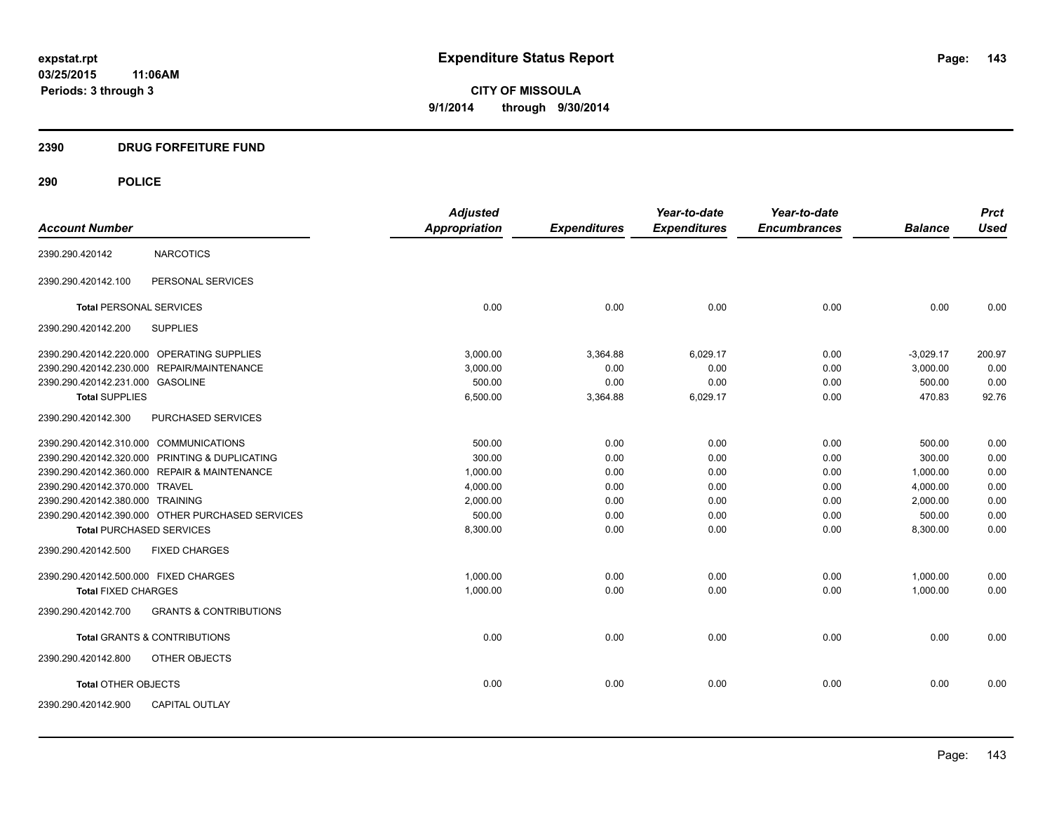### **2390 DRUG FORFEITURE FUND**

## **290 POLICE**

|                                        |                                                  | <b>Adjusted</b> |                     | Year-to-date        | Year-to-date        |                | <b>Prct</b> |
|----------------------------------------|--------------------------------------------------|-----------------|---------------------|---------------------|---------------------|----------------|-------------|
| <b>Account Number</b>                  |                                                  | Appropriation   | <b>Expenditures</b> | <b>Expenditures</b> | <b>Encumbrances</b> | <b>Balance</b> | <b>Used</b> |
| 2390.290.420142                        | <b>NARCOTICS</b>                                 |                 |                     |                     |                     |                |             |
| 2390.290.420142.100                    | PERSONAL SERVICES                                |                 |                     |                     |                     |                |             |
| <b>Total PERSONAL SERVICES</b>         |                                                  | 0.00            | 0.00                | 0.00                | 0.00                | 0.00           | 0.00        |
| 2390.290.420142.200                    | <b>SUPPLIES</b>                                  |                 |                     |                     |                     |                |             |
|                                        | 2390.290.420142.220.000 OPERATING SUPPLIES       | 3,000.00        | 3,364.88            | 6,029.17            | 0.00                | $-3,029.17$    | 200.97      |
|                                        | 2390.290.420142.230.000 REPAIR/MAINTENANCE       | 3,000.00        | 0.00                | 0.00                | 0.00                | 3,000.00       | 0.00        |
| 2390.290.420142.231.000 GASOLINE       |                                                  | 500.00          | 0.00                | 0.00                | 0.00                | 500.00         | 0.00        |
| <b>Total SUPPLIES</b>                  |                                                  | 6,500.00        | 3,364.88            | 6,029.17            | 0.00                | 470.83         | 92.76       |
| 2390.290.420142.300                    | PURCHASED SERVICES                               |                 |                     |                     |                     |                |             |
| 2390.290.420142.310.000 COMMUNICATIONS |                                                  | 500.00          | 0.00                | 0.00                | 0.00                | 500.00         | 0.00        |
|                                        | 2390.290.420142.320.000 PRINTING & DUPLICATING   | 300.00          | 0.00                | 0.00                | 0.00                | 300.00         | 0.00        |
|                                        | 2390.290.420142.360.000 REPAIR & MAINTENANCE     | 1,000.00        | 0.00                | 0.00                | 0.00                | 1,000.00       | 0.00        |
| 2390.290.420142.370.000 TRAVEL         |                                                  | 4,000.00        | 0.00                | 0.00                | 0.00                | 4,000.00       | 0.00        |
| 2390.290.420142.380.000 TRAINING       |                                                  | 2,000.00        | 0.00                | 0.00                | 0.00                | 2,000.00       | 0.00        |
|                                        | 2390.290.420142.390.000 OTHER PURCHASED SERVICES | 500.00          | 0.00                | 0.00                | 0.00                | 500.00         | 0.00        |
| <b>Total PURCHASED SERVICES</b>        |                                                  | 8,300.00        | 0.00                | 0.00                | 0.00                | 8,300.00       | 0.00        |
| 2390.290.420142.500                    | <b>FIXED CHARGES</b>                             |                 |                     |                     |                     |                |             |
| 2390.290.420142.500.000 FIXED CHARGES  |                                                  | 1,000.00        | 0.00                | 0.00                | 0.00                | 1,000.00       | 0.00        |
| <b>Total FIXED CHARGES</b>             |                                                  | 1,000.00        | 0.00                | 0.00                | 0.00                | 1,000.00       | 0.00        |
| 2390.290.420142.700                    | <b>GRANTS &amp; CONTRIBUTIONS</b>                |                 |                     |                     |                     |                |             |
|                                        | <b>Total GRANTS &amp; CONTRIBUTIONS</b>          | 0.00            | 0.00                | 0.00                | 0.00                | 0.00           | 0.00        |
| 2390.290.420142.800                    | OTHER OBJECTS                                    |                 |                     |                     |                     |                |             |
| <b>Total OTHER OBJECTS</b>             |                                                  | 0.00            | 0.00                | 0.00                | 0.00                | 0.00           | 0.00        |
| 2390.290.420142.900                    | <b>CAPITAL OUTLAY</b>                            |                 |                     |                     |                     |                |             |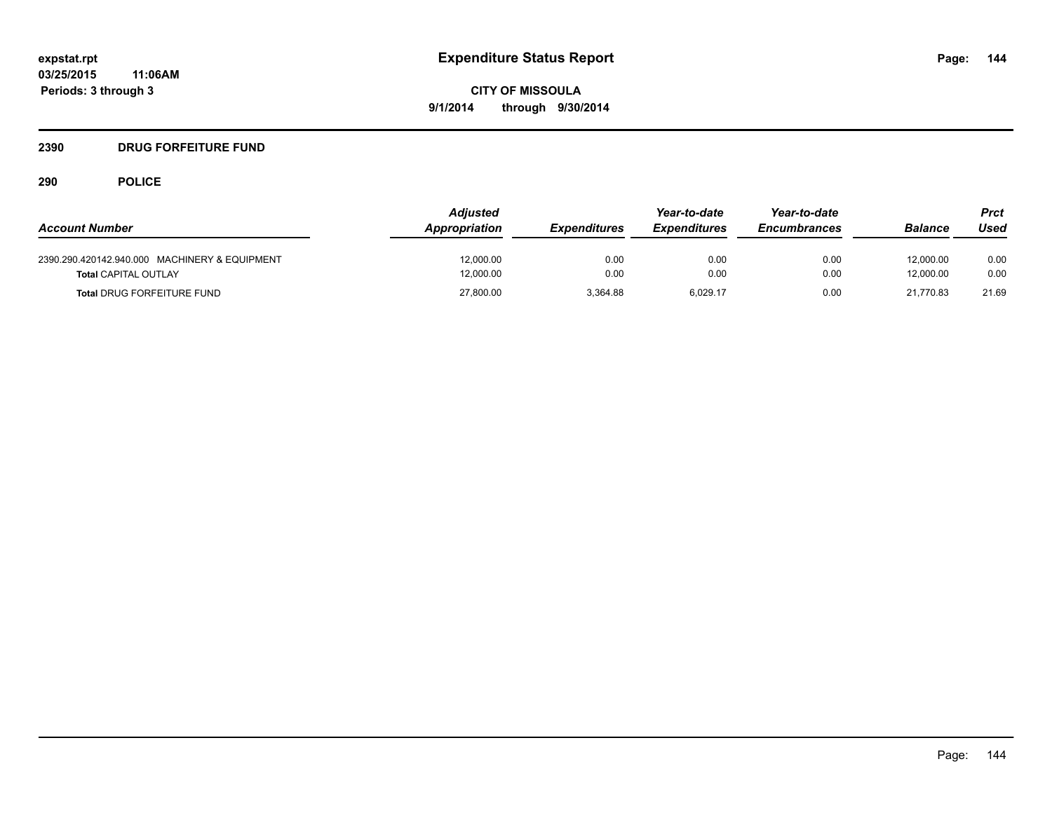### **2390 DRUG FORFEITURE FUND**

## **290 POLICE**

| <b>Account Number</b>                                                        | <b>Adjusted</b><br>Appropriation | <b>Expenditures</b> | Year-to-date<br><b>Expenditures</b> | Year-to-date<br><b>Encumbrances</b> | <b>Balance</b>         | Prct<br>Used |
|------------------------------------------------------------------------------|----------------------------------|---------------------|-------------------------------------|-------------------------------------|------------------------|--------------|
| 2390.290.420142.940.000 MACHINERY & EQUIPMENT<br><b>Total CAPITAL OUTLAY</b> | 12,000.00<br>12.000.00           | 0.00<br>0.00        | 0.00<br>0.00                        | 0.00<br>0.00                        | 12,000.00<br>12.000.00 | 0.00<br>0.00 |
| <b>Total DRUG FORFEITURE FUND</b>                                            | 27,800.00                        | 3.364.88            | 6,029.17                            | 0.00                                | 21.770.83              | 21.69        |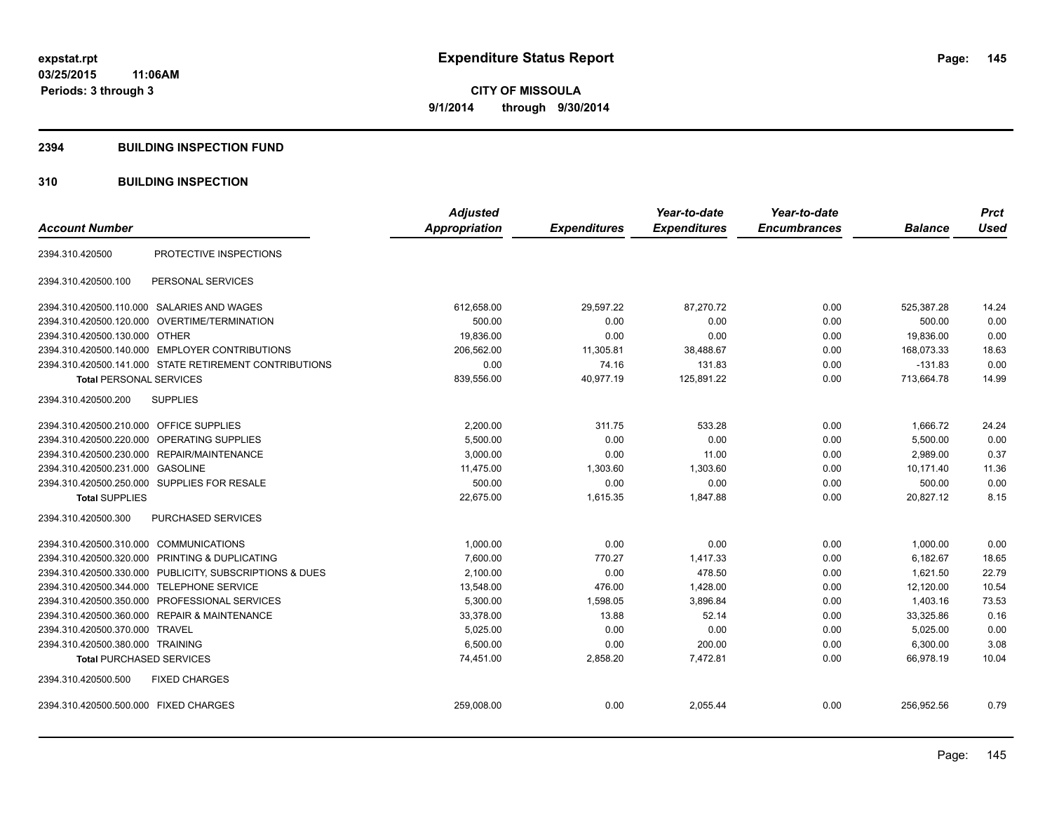#### **2394 BUILDING INSPECTION FUND**

## **310 BUILDING INSPECTION**

| <b>Account Number</b>                                   | <b>Adjusted</b><br>Appropriation | <b>Expenditures</b> | Year-to-date<br><b>Expenditures</b> | Year-to-date<br><b>Encumbrances</b> | <b>Balance</b> | <b>Prct</b><br><b>Used</b> |
|---------------------------------------------------------|----------------------------------|---------------------|-------------------------------------|-------------------------------------|----------------|----------------------------|
|                                                         |                                  |                     |                                     |                                     |                |                            |
| PROTECTIVE INSPECTIONS<br>2394.310.420500               |                                  |                     |                                     |                                     |                |                            |
| PERSONAL SERVICES<br>2394.310.420500.100                |                                  |                     |                                     |                                     |                |                            |
| 2394.310.420500.110.000 SALARIES AND WAGES              | 612,658.00                       | 29,597.22           | 87,270.72                           | 0.00                                | 525,387.28     | 14.24                      |
| 2394.310.420500.120.000 OVERTIME/TERMINATION            | 500.00                           | 0.00                | 0.00                                | 0.00                                | 500.00         | 0.00                       |
| 2394.310.420500.130.000 OTHER                           | 19,836.00                        | 0.00                | 0.00                                | 0.00                                | 19,836.00      | 0.00                       |
| 2394.310.420500.140.000 EMPLOYER CONTRIBUTIONS          | 206,562.00                       | 11,305.81           | 38,488.67                           | 0.00                                | 168,073.33     | 18.63                      |
| 2394.310.420500.141.000 STATE RETIREMENT CONTRIBUTIONS  | 0.00                             | 74.16               | 131.83                              | 0.00                                | $-131.83$      | 0.00                       |
| <b>Total PERSONAL SERVICES</b>                          | 839,556.00                       | 40,977.19           | 125,891.22                          | 0.00                                | 713,664.78     | 14.99                      |
| <b>SUPPLIES</b><br>2394.310.420500.200                  |                                  |                     |                                     |                                     |                |                            |
| 2394.310.420500.210.000<br><b>OFFICE SUPPLIES</b>       | 2,200.00                         | 311.75              | 533.28                              | 0.00                                | 1,666.72       | 24.24                      |
| <b>OPERATING SUPPLIES</b><br>2394.310.420500.220.000    | 5,500.00                         | 0.00                | 0.00                                | 0.00                                | 5,500.00       | 0.00                       |
| 2394.310.420500.230.000 REPAIR/MAINTENANCE              | 3,000.00                         | 0.00                | 11.00                               | 0.00                                | 2,989.00       | 0.37                       |
| 2394.310.420500.231.000 GASOLINE                        | 11,475.00                        | 1,303.60            | 1,303.60                            | 0.00                                | 10,171.40      | 11.36                      |
| 2394.310.420500.250.000 SUPPLIES FOR RESALE             | 500.00                           | 0.00                | 0.00                                | 0.00                                | 500.00         | 0.00                       |
| <b>Total SUPPLIES</b>                                   | 22,675.00                        | 1,615.35            | 1,847.88                            | 0.00                                | 20,827.12      | 8.15                       |
| 2394.310.420500.300<br><b>PURCHASED SERVICES</b>        |                                  |                     |                                     |                                     |                |                            |
| 2394.310.420500.310.000 COMMUNICATIONS                  | 1,000.00                         | 0.00                | 0.00                                | 0.00                                | 1,000.00       | 0.00                       |
| 2394.310.420500.320.000 PRINTING & DUPLICATING          | 7,600.00                         | 770.27              | 1,417.33                            | 0.00                                | 6,182.67       | 18.65                      |
| 2394.310.420500.330.000 PUBLICITY, SUBSCRIPTIONS & DUES | 2,100.00                         | 0.00                | 478.50                              | 0.00                                | 1,621.50       | 22.79                      |
| <b>TELEPHONE SERVICE</b><br>2394.310.420500.344.000     | 13,548.00                        | 476.00              | 1,428.00                            | 0.00                                | 12,120.00      | 10.54                      |
| PROFESSIONAL SERVICES<br>2394.310.420500.350.000        | 5,300.00                         | 1,598.05            | 3,896.84                            | 0.00                                | 1,403.16       | 73.53                      |
| 2394.310.420500.360.000 REPAIR & MAINTENANCE            | 33,378.00                        | 13.88               | 52.14                               | 0.00                                | 33,325.86      | 0.16                       |
| 2394.310.420500.370.000 TRAVEL                          | 5,025.00                         | 0.00                | 0.00                                | 0.00                                | 5,025.00       | 0.00                       |
| 2394.310.420500.380.000 TRAINING                        | 6,500.00                         | 0.00                | 200.00                              | 0.00                                | 6,300.00       | 3.08                       |
| <b>Total PURCHASED SERVICES</b>                         | 74,451.00                        | 2,858.20            | 7,472.81                            | 0.00                                | 66,978.19      | 10.04                      |
| 2394.310.420500.500<br><b>FIXED CHARGES</b>             |                                  |                     |                                     |                                     |                |                            |
| 2394.310.420500.500.000 FIXED CHARGES                   | 259,008.00                       | 0.00                | 2,055.44                            | 0.00                                | 256,952.56     | 0.79                       |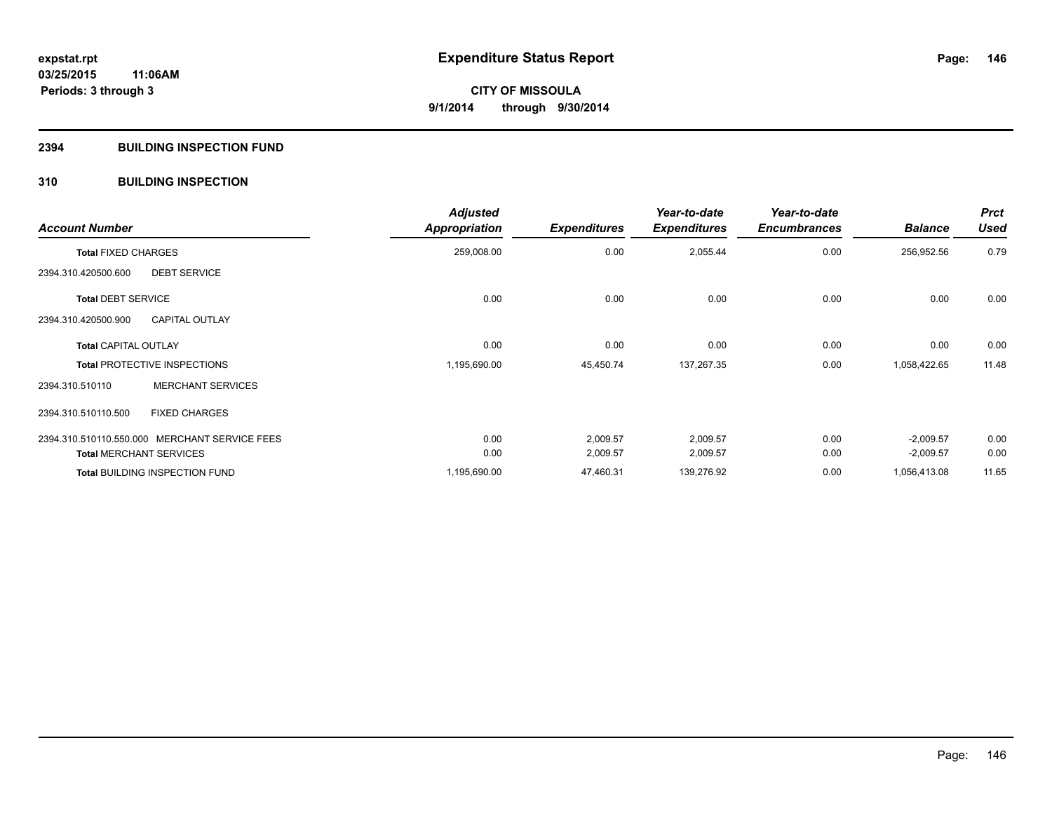#### **2394 BUILDING INSPECTION FUND**

## **310 BUILDING INSPECTION**

| <b>Account Number</b>                         |                          | <b>Adjusted</b><br><b>Appropriation</b> | <b>Expenditures</b> | Year-to-date<br><b>Expenditures</b> | Year-to-date<br><b>Encumbrances</b> | <b>Balance</b> | <b>Prct</b><br><b>Used</b> |
|-----------------------------------------------|--------------------------|-----------------------------------------|---------------------|-------------------------------------|-------------------------------------|----------------|----------------------------|
| <b>Total FIXED CHARGES</b>                    |                          | 259,008.00                              | 0.00                | 2,055.44                            | 0.00                                | 256,952.56     | 0.79                       |
| 2394.310.420500.600                           | <b>DEBT SERVICE</b>      |                                         |                     |                                     |                                     |                |                            |
| <b>Total DEBT SERVICE</b>                     |                          | 0.00                                    | 0.00                | 0.00                                | 0.00                                | 0.00           | 0.00                       |
| 2394.310.420500.900                           | <b>CAPITAL OUTLAY</b>    |                                         |                     |                                     |                                     |                |                            |
| <b>Total CAPITAL OUTLAY</b>                   |                          | 0.00                                    | 0.00                | 0.00                                | 0.00                                | 0.00           | 0.00                       |
| <b>Total PROTECTIVE INSPECTIONS</b>           |                          | 1,195,690.00                            | 45,450.74           | 137,267.35                          | 0.00                                | 1,058,422.65   | 11.48                      |
| 2394.310.510110                               | <b>MERCHANT SERVICES</b> |                                         |                     |                                     |                                     |                |                            |
| 2394.310.510110.500                           | <b>FIXED CHARGES</b>     |                                         |                     |                                     |                                     |                |                            |
| 2394.310.510110.550.000 MERCHANT SERVICE FEES |                          | 0.00                                    | 2,009.57            | 2,009.57                            | 0.00                                | $-2,009.57$    | 0.00                       |
| <b>Total MERCHANT SERVICES</b>                |                          | 0.00                                    | 2,009.57            | 2,009.57                            | 0.00                                | $-2,009.57$    | 0.00                       |
| <b>Total BUILDING INSPECTION FUND</b>         |                          | 1,195,690.00                            | 47,460.31           | 139,276.92                          | 0.00                                | 1,056,413.08   | 11.65                      |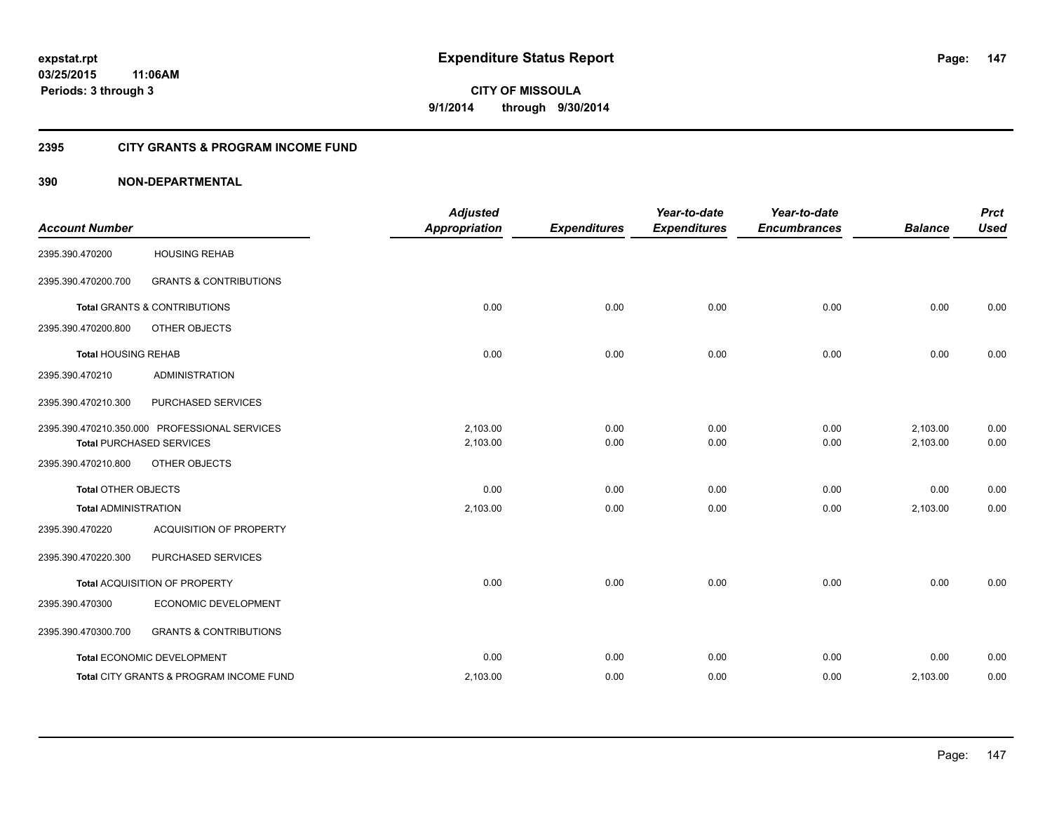#### **2395 CITY GRANTS & PROGRAM INCOME FUND**

## **390 NON-DEPARTMENTAL**

| <b>Account Number</b>       |                                                                                  | <b>Adjusted</b><br><b>Appropriation</b> | <b>Expenditures</b> | Year-to-date<br><b>Expenditures</b> | Year-to-date<br><b>Encumbrances</b> | <b>Balance</b>       | <b>Prct</b><br><b>Used</b> |
|-----------------------------|----------------------------------------------------------------------------------|-----------------------------------------|---------------------|-------------------------------------|-------------------------------------|----------------------|----------------------------|
| 2395.390.470200             | <b>HOUSING REHAB</b>                                                             |                                         |                     |                                     |                                     |                      |                            |
| 2395.390.470200.700         | <b>GRANTS &amp; CONTRIBUTIONS</b>                                                |                                         |                     |                                     |                                     |                      |                            |
|                             | <b>Total GRANTS &amp; CONTRIBUTIONS</b>                                          | 0.00                                    | 0.00                | 0.00                                | 0.00                                | 0.00                 | 0.00                       |
| 2395.390.470200.800         | OTHER OBJECTS                                                                    |                                         |                     |                                     |                                     |                      |                            |
| <b>Total HOUSING REHAB</b>  |                                                                                  | 0.00                                    | 0.00                | 0.00                                | 0.00                                | 0.00                 | 0.00                       |
| 2395.390.470210             | <b>ADMINISTRATION</b>                                                            |                                         |                     |                                     |                                     |                      |                            |
| 2395.390.470210.300         | PURCHASED SERVICES                                                               |                                         |                     |                                     |                                     |                      |                            |
|                             | 2395.390.470210.350.000 PROFESSIONAL SERVICES<br><b>Total PURCHASED SERVICES</b> | 2,103.00<br>2,103.00                    | 0.00<br>0.00        | 0.00<br>0.00                        | 0.00<br>0.00                        | 2,103.00<br>2,103.00 | 0.00<br>0.00               |
| 2395.390.470210.800         | OTHER OBJECTS                                                                    |                                         |                     |                                     |                                     |                      |                            |
| <b>Total OTHER OBJECTS</b>  |                                                                                  | 0.00                                    | 0.00                | 0.00                                | 0.00                                | 0.00                 | 0.00                       |
| <b>Total ADMINISTRATION</b> |                                                                                  | 2,103.00                                | 0.00                | 0.00                                | 0.00                                | 2,103.00             | 0.00                       |
| 2395.390.470220             | ACQUISITION OF PROPERTY                                                          |                                         |                     |                                     |                                     |                      |                            |
| 2395.390.470220.300         | PURCHASED SERVICES                                                               |                                         |                     |                                     |                                     |                      |                            |
|                             | Total ACQUISITION OF PROPERTY                                                    | 0.00                                    | 0.00                | 0.00                                | 0.00                                | 0.00                 | 0.00                       |
| 2395.390.470300             | ECONOMIC DEVELOPMENT                                                             |                                         |                     |                                     |                                     |                      |                            |
| 2395.390.470300.700         | <b>GRANTS &amp; CONTRIBUTIONS</b>                                                |                                         |                     |                                     |                                     |                      |                            |
|                             | Total ECONOMIC DEVELOPMENT                                                       | 0.00                                    | 0.00                | 0.00                                | 0.00                                | 0.00                 | 0.00                       |
|                             | Total CITY GRANTS & PROGRAM INCOME FUND                                          | 2,103.00                                | 0.00                | 0.00                                | 0.00                                | 2,103.00             | 0.00                       |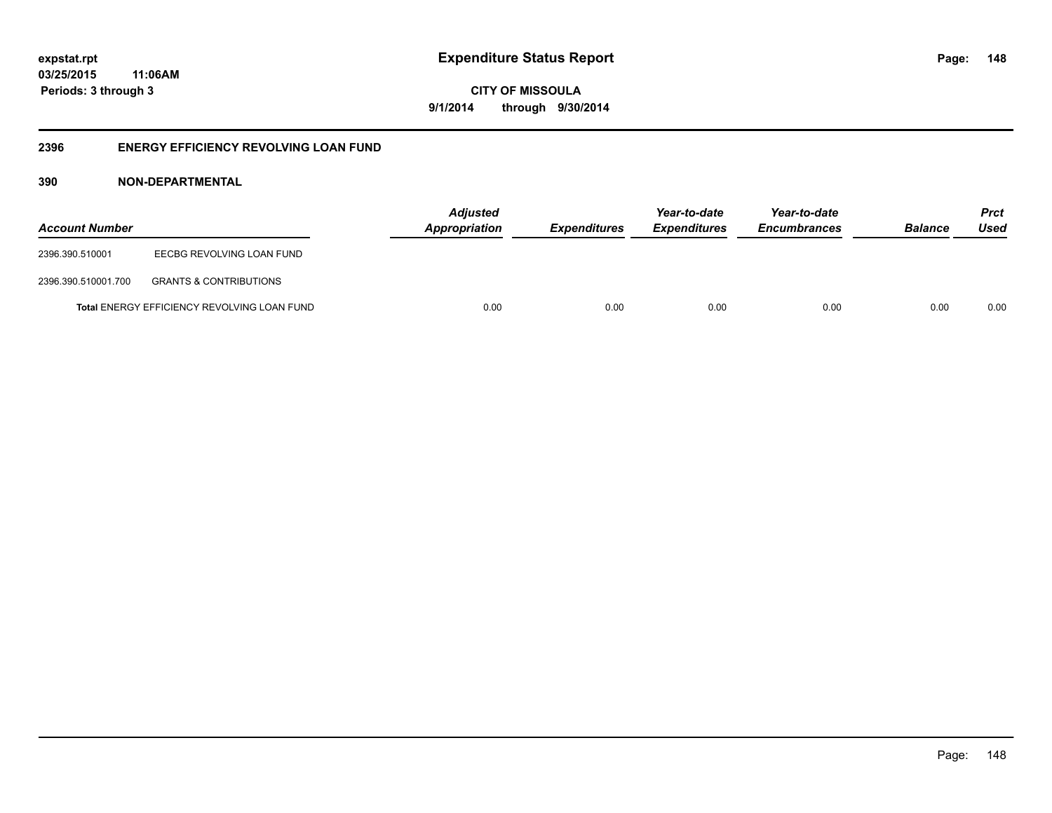**CITY OF MISSOULA 9/1/2014 through 9/30/2014**

## **2396 ENERGY EFFICIENCY REVOLVING LOAN FUND**

## **390 NON-DEPARTMENTAL**

| <b>Account Number</b> |                                                    | <b>Adjusted</b><br>Appropriation | <b>Expenditures</b> | Year-to-date<br><b>Expenditures</b> | Year-to-date<br><b>Encumbrances</b> | <b>Balance</b> | <b>Prct</b><br>Used |
|-----------------------|----------------------------------------------------|----------------------------------|---------------------|-------------------------------------|-------------------------------------|----------------|---------------------|
| 2396.390.510001       | EECBG REVOLVING LOAN FUND                          |                                  |                     |                                     |                                     |                |                     |
| 2396.390.510001.700   | <b>GRANTS &amp; CONTRIBUTIONS</b>                  |                                  |                     |                                     |                                     |                |                     |
|                       | <b>Total ENERGY EFFICIENCY REVOLVING LOAN FUND</b> | 0.00                             | 0.00                | 0.00                                | 0.00                                | 0.00           | 0.00                |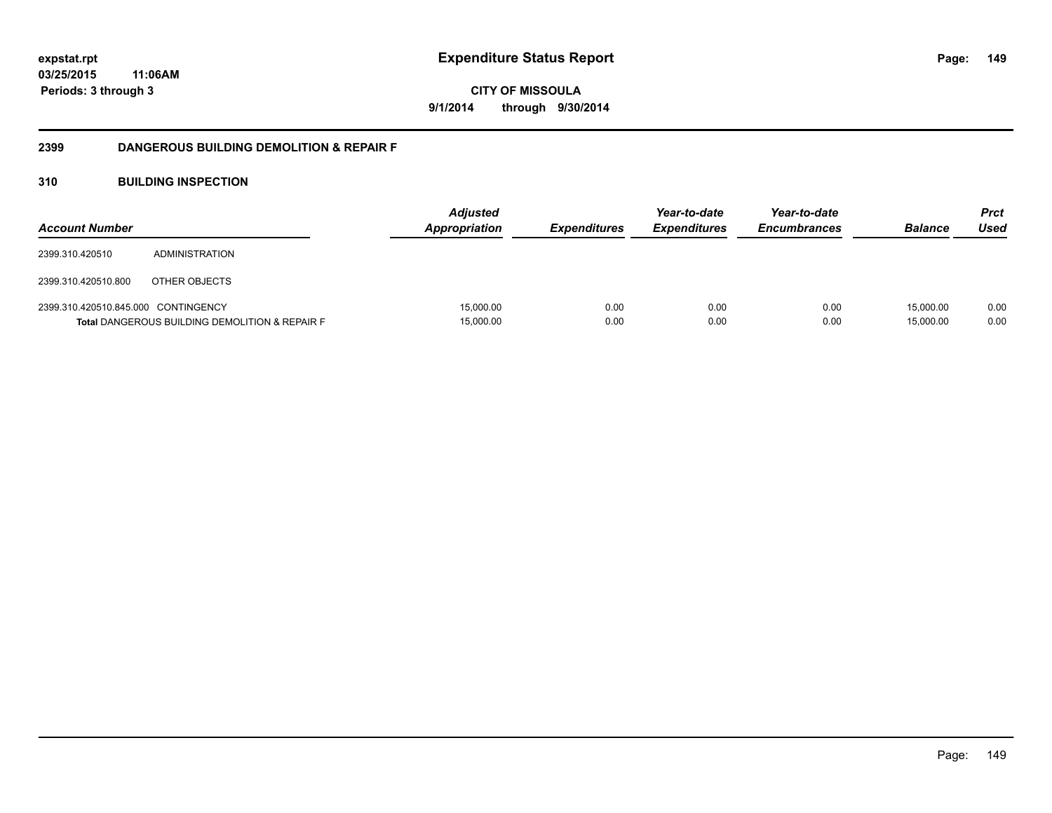**CITY OF MISSOULA 9/1/2014 through 9/30/2014**

## **2399 DANGEROUS BUILDING DEMOLITION & REPAIR F**

## **310 BUILDING INSPECTION**

| <b>Account Number</b>               |                                                           | <b>Adjusted</b><br><b>Appropriation</b> | <b>Expenditures</b> | Year-to-date<br><b>Expenditures</b> | Year-to-date<br><b>Encumbrances</b> | <b>Balance</b>         | <b>Prct</b><br>Used |
|-------------------------------------|-----------------------------------------------------------|-----------------------------------------|---------------------|-------------------------------------|-------------------------------------|------------------------|---------------------|
| 2399.310.420510                     | ADMINISTRATION                                            |                                         |                     |                                     |                                     |                        |                     |
| 2399.310.420510.800                 | OTHER OBJECTS                                             |                                         |                     |                                     |                                     |                        |                     |
| 2399.310.420510.845.000 CONTINGENCY | <b>Total DANGEROUS BUILDING DEMOLITION &amp; REPAIR F</b> | 15,000.00<br>15,000.00                  | 0.00<br>0.00        | 0.00<br>0.00                        | 0.00<br>0.00                        | 15,000.00<br>15,000.00 | 0.00<br>0.00        |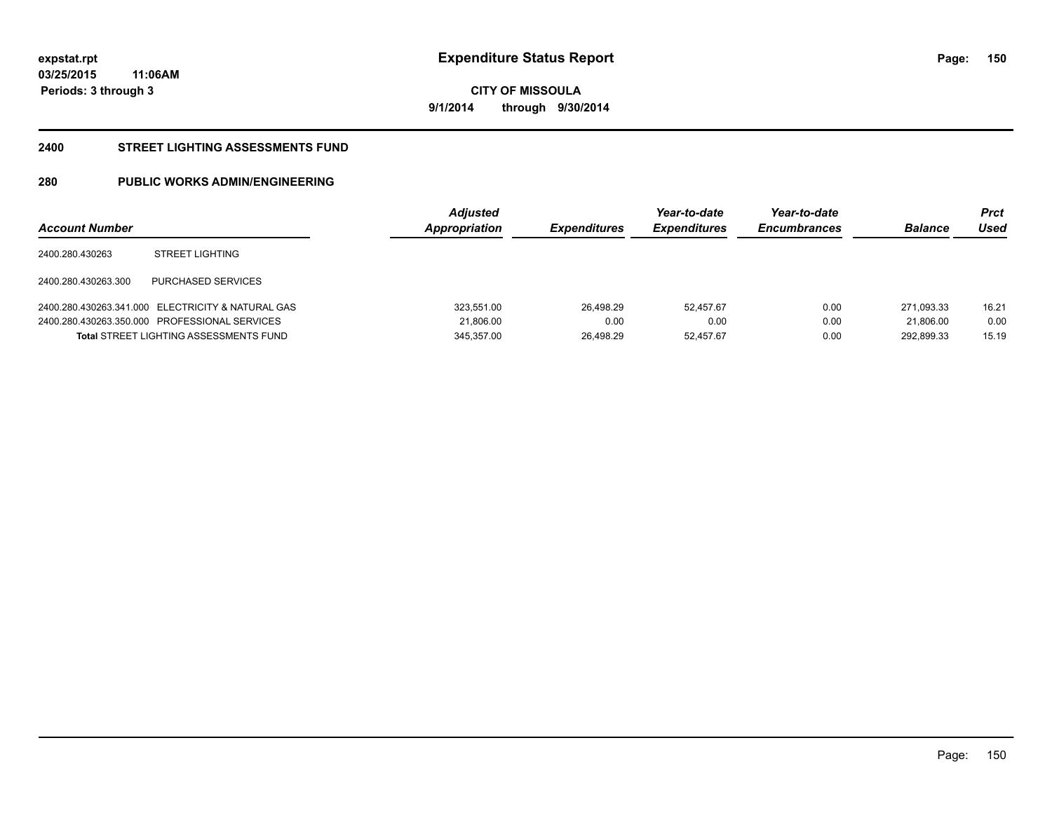**150**

**03/25/2015 11:06AM Periods: 3 through 3**

**CITY OF MISSOULA 9/1/2014 through 9/30/2014**

#### **2400 STREET LIGHTING ASSESSMENTS FUND**

# **280 PUBLIC WORKS ADMIN/ENGINEERING**

| <b>Account Number</b> |                                                   | <b>Adjusted</b><br>Appropriation | <b>Expenditures</b> | Year-to-date<br><b>Expenditures</b> | Year-to-date<br><b>Encumbrances</b> | <b>Balance</b> | Prct<br>Used |
|-----------------------|---------------------------------------------------|----------------------------------|---------------------|-------------------------------------|-------------------------------------|----------------|--------------|
| 2400.280.430263       | <b>STREET LIGHTING</b>                            |                                  |                     |                                     |                                     |                |              |
| 2400.280.430263.300   | PURCHASED SERVICES                                |                                  |                     |                                     |                                     |                |              |
|                       | 2400.280.430263.341.000 ELECTRICITY & NATURAL GAS | 323,551.00                       | 26.498.29           | 52.457.67                           | 0.00                                | 271.093.33     | 16.21        |
|                       | 2400.280.430263.350.000 PROFESSIONAL SERVICES     | 21,806.00                        | 0.00                | 0.00                                | 0.00                                | 21.806.00      | 0.00         |
|                       | <b>Total STREET LIGHTING ASSESSMENTS FUND</b>     | 345.357.00                       | 26.498.29           | 52.457.67                           | 0.00                                | 292.899.33     | 15.19        |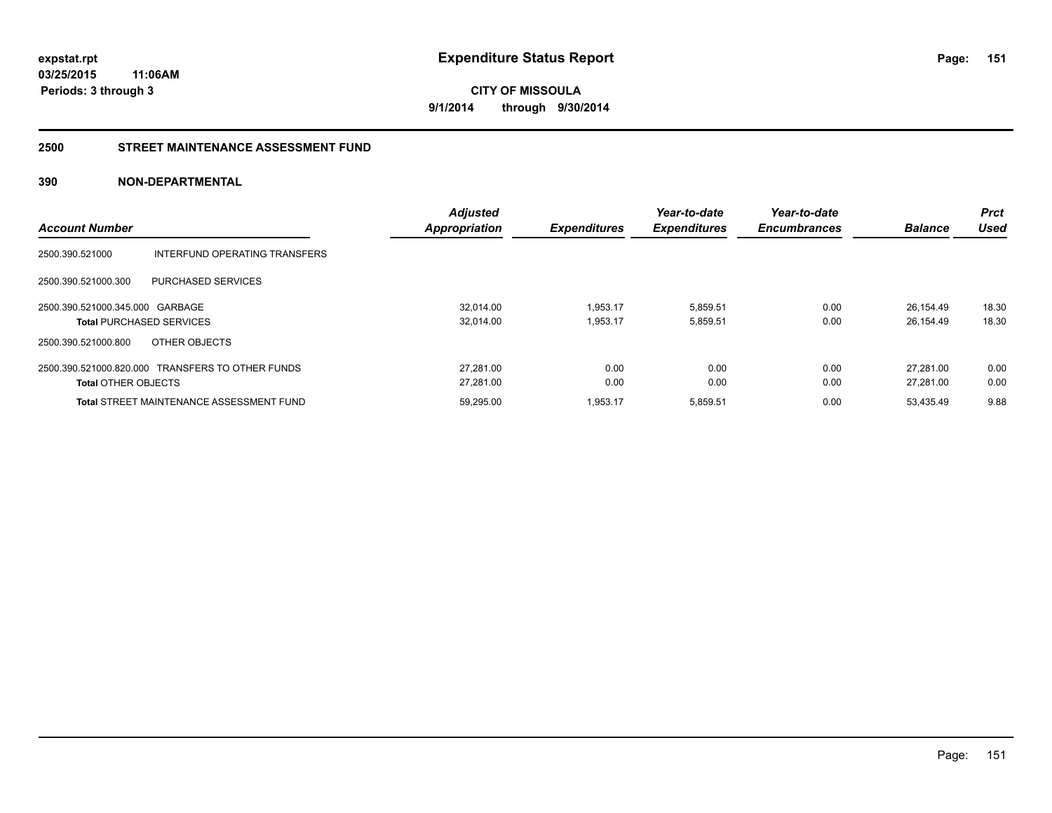**CITY OF MISSOULA 9/1/2014 through 9/30/2014**

#### **2500 STREET MAINTENANCE ASSESSMENT FUND**

## **390 NON-DEPARTMENTAL**

| <b>Account Number</b>                            | <b>Adjusted</b><br><b>Appropriation</b> | <b>Expenditures</b> | Year-to-date<br><b>Expenditures</b> | Year-to-date<br><b>Encumbrances</b> | <b>Balance</b> | <b>Prct</b><br>Used |
|--------------------------------------------------|-----------------------------------------|---------------------|-------------------------------------|-------------------------------------|----------------|---------------------|
| 2500.390.521000<br>INTERFUND OPERATING TRANSFERS |                                         |                     |                                     |                                     |                |                     |
| PURCHASED SERVICES<br>2500.390.521000.300        |                                         |                     |                                     |                                     |                |                     |
| 2500.390.521000.345.000 GARBAGE                  | 32.014.00                               | 1,953.17            | 5,859.51                            | 0.00                                | 26.154.49      | 18.30               |
| <b>Total PURCHASED SERVICES</b>                  | 32.014.00                               | 1.953.17            | 5,859.51                            | 0.00                                | 26.154.49      | 18.30               |
| 2500.390.521000.800<br>OTHER OBJECTS             |                                         |                     |                                     |                                     |                |                     |
| 2500.390.521000.820.000 TRANSFERS TO OTHER FUNDS | 27.281.00                               | 0.00                | 0.00                                | 0.00                                | 27.281.00      | 0.00                |
| <b>Total OTHER OBJECTS</b>                       | 27.281.00                               | 0.00                | 0.00                                | 0.00                                | 27.281.00      | 0.00                |
| <b>Total STREET MAINTENANCE ASSESSMENT FUND</b>  | 59.295.00                               | 1.953.17            | 5,859.51                            | 0.00                                | 53.435.49      | 9.88                |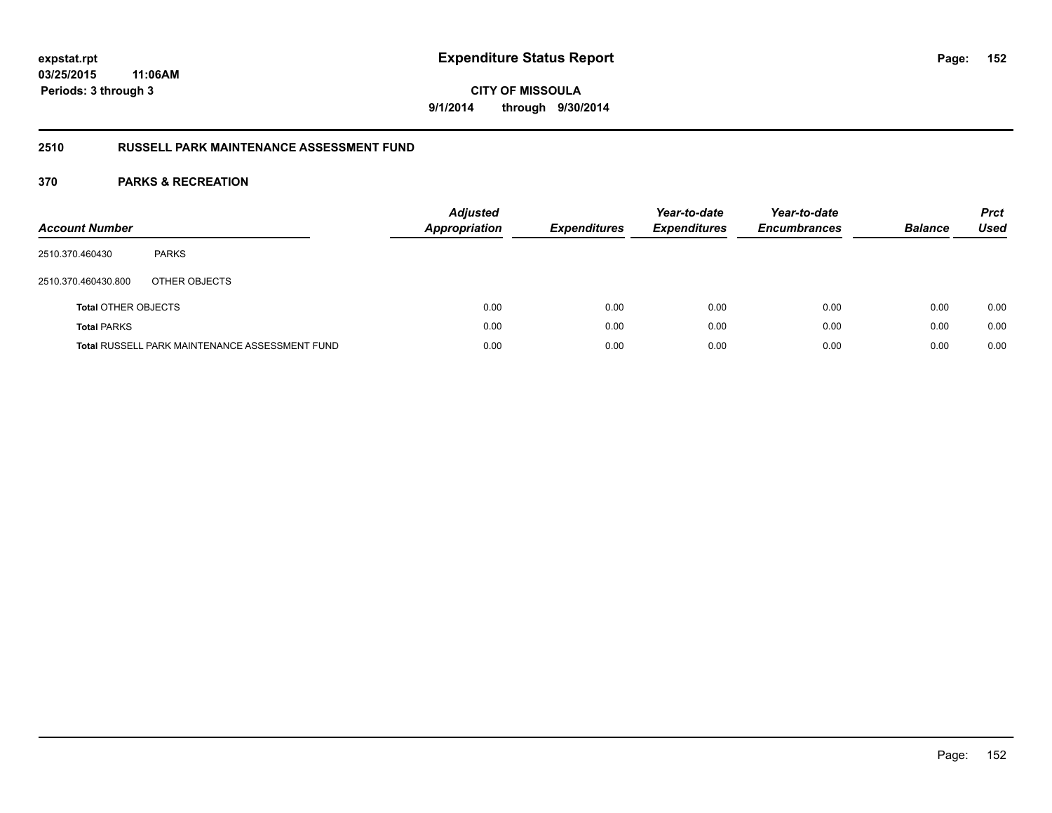# **CITY OF MISSOULA 9/1/2014 through 9/30/2014**

## **2510 RUSSELL PARK MAINTENANCE ASSESSMENT FUND**

| <b>Account Number</b>      |                                                       | <b>Adjusted</b><br><b>Appropriation</b> | <b>Expenditures</b> | Year-to-date<br><b>Expenditures</b> | Year-to-date<br><b>Encumbrances</b> | <b>Balance</b> | <b>Prct</b><br><b>Used</b> |
|----------------------------|-------------------------------------------------------|-----------------------------------------|---------------------|-------------------------------------|-------------------------------------|----------------|----------------------------|
| 2510.370.460430            | <b>PARKS</b>                                          |                                         |                     |                                     |                                     |                |                            |
| 2510.370.460430.800        | OTHER OBJECTS                                         |                                         |                     |                                     |                                     |                |                            |
| <b>Total OTHER OBJECTS</b> |                                                       | 0.00                                    | 0.00                | 0.00                                | 0.00                                | 0.00           | 0.00                       |
| <b>Total PARKS</b>         |                                                       | 0.00                                    | 0.00                | 0.00                                | 0.00                                | 0.00           | 0.00                       |
|                            | <b>Total RUSSELL PARK MAINTENANCE ASSESSMENT FUND</b> | 0.00                                    | 0.00                | 0.00                                | 0.00                                | 0.00           | 0.00                       |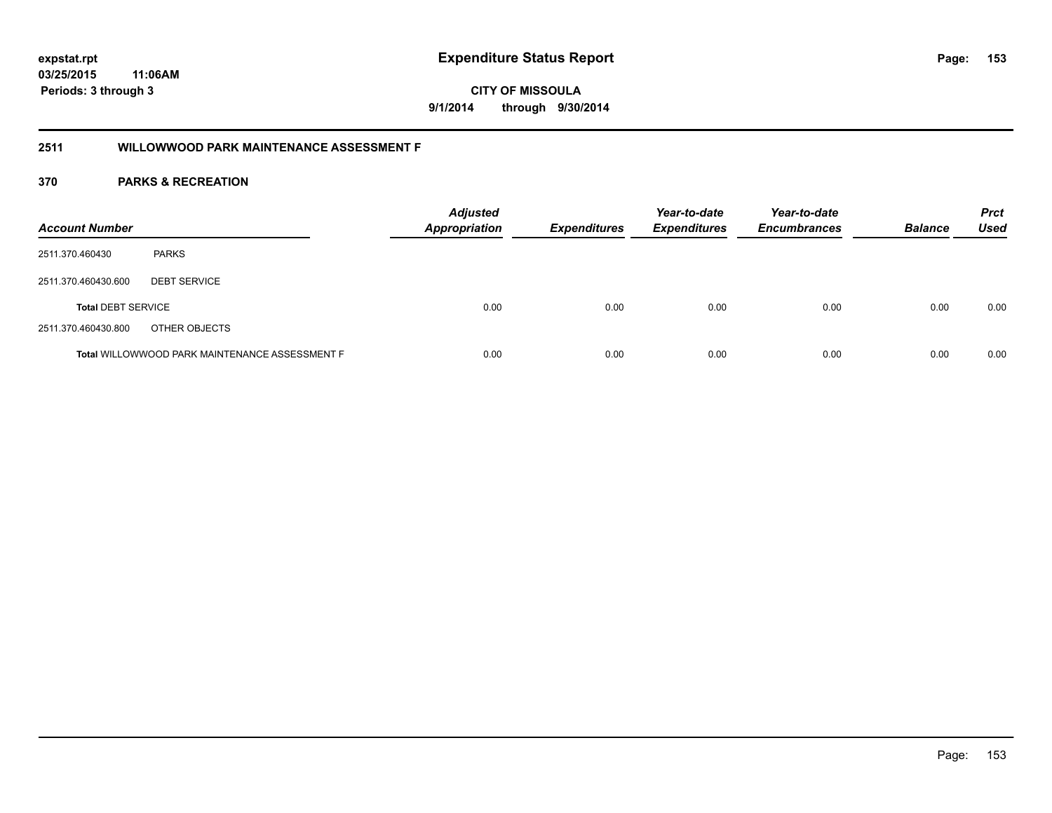**CITY OF MISSOULA 9/1/2014 through 9/30/2014**

## **2511 WILLOWWOOD PARK MAINTENANCE ASSESSMENT F**

| <b>Account Number</b>     |                                                       | <b>Adjusted</b><br><b>Appropriation</b> | <b>Expenditures</b> | Year-to-date<br><b>Expenditures</b> | Year-to-date<br><b>Encumbrances</b> | <b>Balance</b> | <b>Prct</b><br><b>Used</b> |
|---------------------------|-------------------------------------------------------|-----------------------------------------|---------------------|-------------------------------------|-------------------------------------|----------------|----------------------------|
| 2511.370.460430           | <b>PARKS</b>                                          |                                         |                     |                                     |                                     |                |                            |
| 2511.370.460430.600       | <b>DEBT SERVICE</b>                                   |                                         |                     |                                     |                                     |                |                            |
| <b>Total DEBT SERVICE</b> |                                                       | 0.00                                    | 0.00                | 0.00                                | 0.00                                | 0.00           | 0.00                       |
| 2511.370.460430.800       | OTHER OBJECTS                                         |                                         |                     |                                     |                                     |                |                            |
|                           | <b>Total WILLOWWOOD PARK MAINTENANCE ASSESSMENT F</b> | 0.00                                    | 0.00                | 0.00                                | 0.00                                | 0.00           | 0.00                       |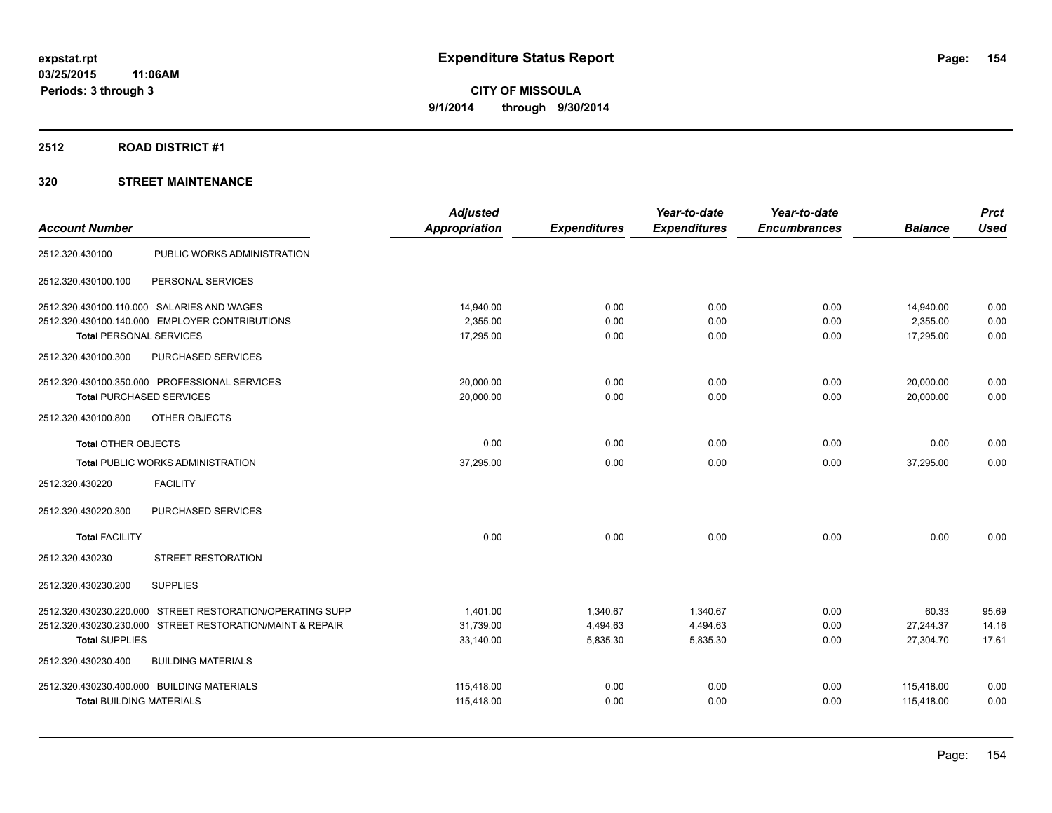#### **2512 ROAD DISTRICT #1**

|                                                           | <b>Adjusted</b> |                     | Year-to-date        | Year-to-date        |                | <b>Prct</b> |
|-----------------------------------------------------------|-----------------|---------------------|---------------------|---------------------|----------------|-------------|
| <b>Account Number</b>                                     | Appropriation   | <b>Expenditures</b> | <b>Expenditures</b> | <b>Encumbrances</b> | <b>Balance</b> | <b>Used</b> |
| 2512.320.430100<br>PUBLIC WORKS ADMINISTRATION            |                 |                     |                     |                     |                |             |
| PERSONAL SERVICES<br>2512.320.430100.100                  |                 |                     |                     |                     |                |             |
| 2512.320.430100.110.000 SALARIES AND WAGES                | 14,940.00       | 0.00                | 0.00                | 0.00                | 14,940.00      | 0.00        |
| 2512.320.430100.140.000 EMPLOYER CONTRIBUTIONS            | 2,355.00        | 0.00                | 0.00                | 0.00                | 2,355.00       | 0.00        |
| <b>Total PERSONAL SERVICES</b>                            | 17,295.00       | 0.00                | 0.00                | 0.00                | 17,295.00      | 0.00        |
| 2512.320.430100.300<br>PURCHASED SERVICES                 |                 |                     |                     |                     |                |             |
| 2512.320.430100.350.000 PROFESSIONAL SERVICES             | 20,000.00       | 0.00                | 0.00                | 0.00                | 20,000.00      | 0.00        |
| <b>Total PURCHASED SERVICES</b>                           | 20,000.00       | 0.00                | 0.00                | 0.00                | 20,000.00      | 0.00        |
| 2512.320.430100.800<br>OTHER OBJECTS                      |                 |                     |                     |                     |                |             |
| <b>Total OTHER OBJECTS</b>                                | 0.00            | 0.00                | 0.00                | 0.00                | 0.00           | 0.00        |
| <b>Total PUBLIC WORKS ADMINISTRATION</b>                  | 37.295.00       | 0.00                | 0.00                | 0.00                | 37.295.00      | 0.00        |
| <b>FACILITY</b><br>2512.320.430220                        |                 |                     |                     |                     |                |             |
| PURCHASED SERVICES<br>2512.320.430220.300                 |                 |                     |                     |                     |                |             |
| <b>Total FACILITY</b>                                     | 0.00            | 0.00                | 0.00                | 0.00                | 0.00           | 0.00        |
| <b>STREET RESTORATION</b><br>2512.320.430230              |                 |                     |                     |                     |                |             |
| <b>SUPPLIES</b><br>2512.320.430230.200                    |                 |                     |                     |                     |                |             |
| 2512.320.430230.220.000 STREET RESTORATION/OPERATING SUPP | 1,401.00        | 1,340.67            | 1,340.67            | 0.00                | 60.33          | 95.69       |
| 2512.320.430230.230.000 STREET RESTORATION/MAINT & REPAIR | 31,739.00       | 4,494.63            | 4,494.63            | 0.00                | 27,244.37      | 14.16       |
| <b>Total SUPPLIES</b>                                     | 33,140.00       | 5,835.30            | 5,835.30            | 0.00                | 27,304.70      | 17.61       |
| 2512.320.430230.400<br><b>BUILDING MATERIALS</b>          |                 |                     |                     |                     |                |             |
| 2512.320.430230.400.000 BUILDING MATERIALS                | 115,418.00      | 0.00                | 0.00                | 0.00                | 115,418.00     | 0.00        |
| <b>Total BUILDING MATERIALS</b>                           | 115,418.00      | 0.00                | 0.00                | 0.00                | 115,418.00     | 0.00        |
|                                                           |                 |                     |                     |                     |                |             |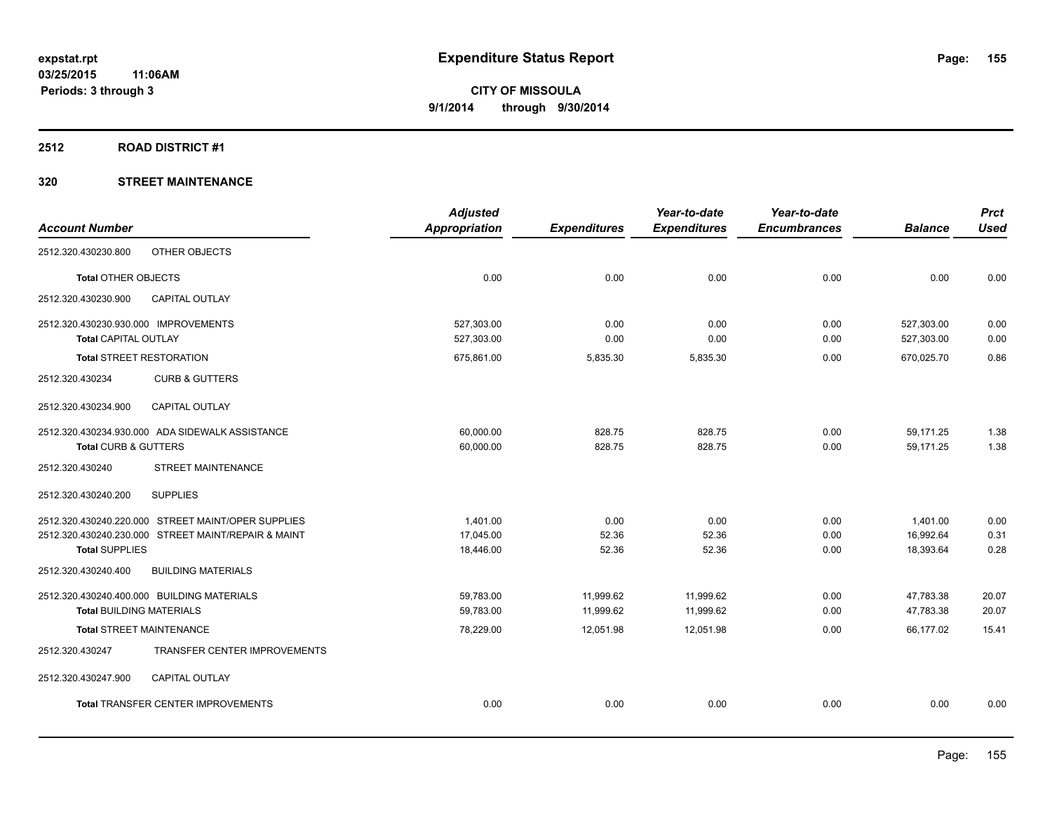#### **2512 ROAD DISTRICT #1**

|                                                     | <b>Adjusted</b>      |                     | Year-to-date        | Year-to-date        |                | <b>Prct</b> |
|-----------------------------------------------------|----------------------|---------------------|---------------------|---------------------|----------------|-------------|
| <b>Account Number</b>                               | <b>Appropriation</b> | <b>Expenditures</b> | <b>Expenditures</b> | <b>Encumbrances</b> | <b>Balance</b> | <b>Used</b> |
| 2512.320.430230.800<br>OTHER OBJECTS                |                      |                     |                     |                     |                |             |
| Total OTHER OBJECTS                                 | 0.00                 | 0.00                | 0.00                | 0.00                | 0.00           | 0.00        |
| 2512.320.430230.900<br><b>CAPITAL OUTLAY</b>        |                      |                     |                     |                     |                |             |
| 2512.320.430230.930.000 IMPROVEMENTS                | 527,303.00           | 0.00                | 0.00                | 0.00                | 527,303.00     | 0.00        |
| <b>Total CAPITAL OUTLAY</b>                         | 527,303.00           | 0.00                | 0.00                | 0.00                | 527,303.00     | 0.00        |
| <b>Total STREET RESTORATION</b>                     | 675,861.00           | 5,835.30            | 5,835.30            | 0.00                | 670,025.70     | 0.86        |
| 2512.320.430234<br><b>CURB &amp; GUTTERS</b>        |                      |                     |                     |                     |                |             |
| 2512.320.430234.900<br>CAPITAL OUTLAY               |                      |                     |                     |                     |                |             |
| 2512.320.430234.930.000 ADA SIDEWALK ASSISTANCE     | 60,000.00            | 828.75              | 828.75              | 0.00                | 59,171.25      | 1.38        |
| <b>Total CURB &amp; GUTTERS</b>                     | 60,000.00            | 828.75              | 828.75              | 0.00                | 59,171.25      | 1.38        |
| STREET MAINTENANCE<br>2512.320.430240               |                      |                     |                     |                     |                |             |
| 2512.320.430240.200<br><b>SUPPLIES</b>              |                      |                     |                     |                     |                |             |
| 2512.320.430240.220.000 STREET MAINT/OPER SUPPLIES  | 1,401.00             | 0.00                | 0.00                | 0.00                | 1,401.00       | 0.00        |
| 2512.320.430240.230.000 STREET MAINT/REPAIR & MAINT | 17.045.00            | 52.36               | 52.36               | 0.00                | 16.992.64      | 0.31        |
| <b>Total SUPPLIES</b>                               | 18,446.00            | 52.36               | 52.36               | 0.00                | 18,393.64      | 0.28        |
| <b>BUILDING MATERIALS</b><br>2512.320.430240.400    |                      |                     |                     |                     |                |             |
| 2512.320.430240.400.000 BUILDING MATERIALS          | 59,783.00            | 11,999.62           | 11,999.62           | 0.00                | 47,783.38      | 20.07       |
| <b>Total BUILDING MATERIALS</b>                     | 59.783.00            | 11,999.62           | 11,999.62           | 0.00                | 47,783.38      | 20.07       |
| <b>Total STREET MAINTENANCE</b>                     | 78,229.00            | 12,051.98           | 12,051.98           | 0.00                | 66,177.02      | 15.41       |
| 2512.320.430247<br>TRANSFER CENTER IMPROVEMENTS     |                      |                     |                     |                     |                |             |
| CAPITAL OUTLAY<br>2512.320.430247.900               |                      |                     |                     |                     |                |             |
| <b>Total TRANSFER CENTER IMPROVEMENTS</b>           | 0.00                 | 0.00                | 0.00                | 0.00                | 0.00           | 0.00        |
|                                                     |                      |                     |                     |                     |                |             |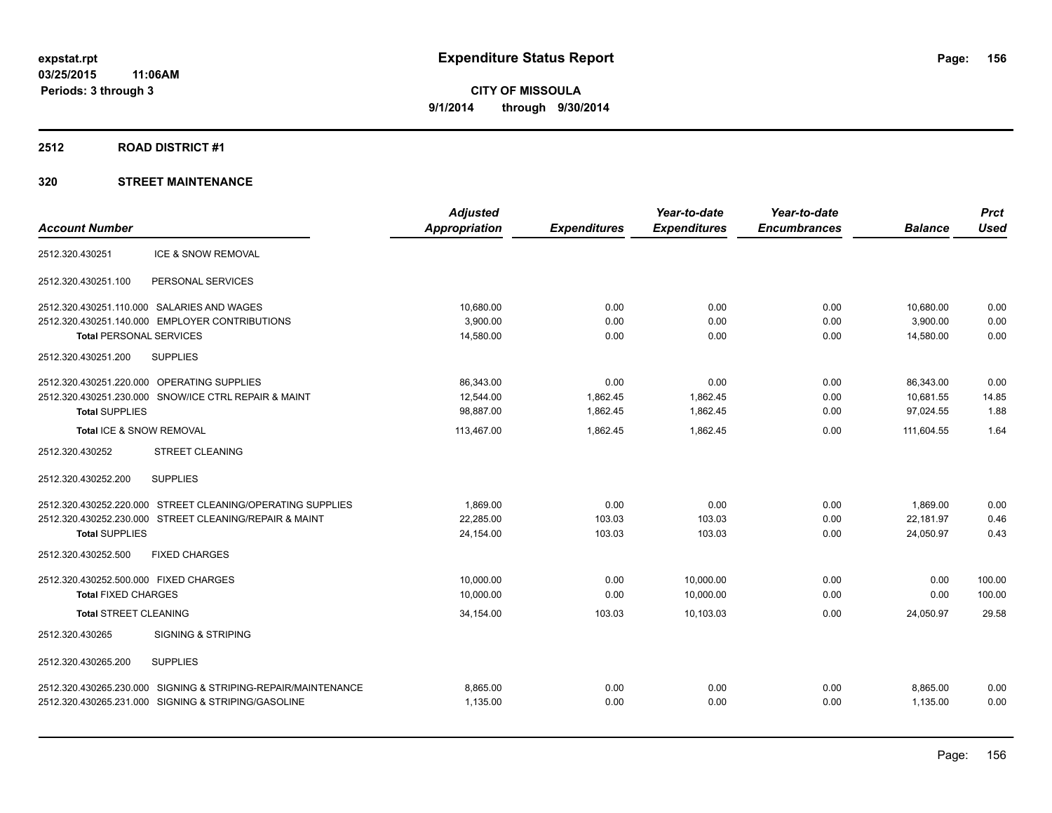#### **2512 ROAD DISTRICT #1**

|                               | <b>Adjusted</b>                                                                                                                                                                                                                                                                                                                                                                                                                                                                                                                                                                                                                                                           |                     | Year-to-date        | Year-to-date        |                | <b>Prct</b> |
|-------------------------------|---------------------------------------------------------------------------------------------------------------------------------------------------------------------------------------------------------------------------------------------------------------------------------------------------------------------------------------------------------------------------------------------------------------------------------------------------------------------------------------------------------------------------------------------------------------------------------------------------------------------------------------------------------------------------|---------------------|---------------------|---------------------|----------------|-------------|
|                               | <b>Appropriation</b>                                                                                                                                                                                                                                                                                                                                                                                                                                                                                                                                                                                                                                                      | <b>Expenditures</b> | <b>Expenditures</b> | <b>Encumbrances</b> | <b>Balance</b> | <b>Used</b> |
| <b>ICE &amp; SNOW REMOVAL</b> |                                                                                                                                                                                                                                                                                                                                                                                                                                                                                                                                                                                                                                                                           |                     |                     |                     |                |             |
| PERSONAL SERVICES             |                                                                                                                                                                                                                                                                                                                                                                                                                                                                                                                                                                                                                                                                           |                     |                     |                     |                |             |
|                               | 10,680.00                                                                                                                                                                                                                                                                                                                                                                                                                                                                                                                                                                                                                                                                 | 0.00                | 0.00                | 0.00                | 10,680.00      | 0.00        |
|                               | 3,900.00                                                                                                                                                                                                                                                                                                                                                                                                                                                                                                                                                                                                                                                                  | 0.00                | 0.00                | 0.00                | 3,900.00       | 0.00        |
|                               | 14,580.00                                                                                                                                                                                                                                                                                                                                                                                                                                                                                                                                                                                                                                                                 | 0.00                | 0.00                | 0.00                | 14,580.00      | 0.00        |
| <b>SUPPLIES</b>               |                                                                                                                                                                                                                                                                                                                                                                                                                                                                                                                                                                                                                                                                           |                     |                     |                     |                |             |
|                               | 86.343.00                                                                                                                                                                                                                                                                                                                                                                                                                                                                                                                                                                                                                                                                 | 0.00                | 0.00                | 0.00                | 86.343.00      | 0.00        |
|                               | 12,544.00                                                                                                                                                                                                                                                                                                                                                                                                                                                                                                                                                                                                                                                                 | 1,862.45            | 1,862.45            | 0.00                | 10,681.55      | 14.85       |
|                               | 98,887.00                                                                                                                                                                                                                                                                                                                                                                                                                                                                                                                                                                                                                                                                 | 1,862.45            | 1,862.45            | 0.00                | 97,024.55      | 1.88        |
|                               | 113.467.00                                                                                                                                                                                                                                                                                                                                                                                                                                                                                                                                                                                                                                                                | 1.862.45            | 1.862.45            | 0.00                | 111.604.55     | 1.64        |
| <b>STREET CLEANING</b>        |                                                                                                                                                                                                                                                                                                                                                                                                                                                                                                                                                                                                                                                                           |                     |                     |                     |                |             |
| <b>SUPPLIES</b>               |                                                                                                                                                                                                                                                                                                                                                                                                                                                                                                                                                                                                                                                                           |                     |                     |                     |                |             |
|                               | 1.869.00                                                                                                                                                                                                                                                                                                                                                                                                                                                                                                                                                                                                                                                                  | 0.00                | 0.00                | 0.00                | 1.869.00       | 0.00        |
|                               | 22,285.00                                                                                                                                                                                                                                                                                                                                                                                                                                                                                                                                                                                                                                                                 | 103.03              | 103.03              | 0.00                | 22,181.97      | 0.46        |
|                               | 24,154.00                                                                                                                                                                                                                                                                                                                                                                                                                                                                                                                                                                                                                                                                 | 103.03              | 103.03              | 0.00                | 24,050.97      | 0.43        |
| <b>FIXED CHARGES</b>          |                                                                                                                                                                                                                                                                                                                                                                                                                                                                                                                                                                                                                                                                           |                     |                     |                     |                |             |
|                               | 10.000.00                                                                                                                                                                                                                                                                                                                                                                                                                                                                                                                                                                                                                                                                 | 0.00                | 10.000.00           | 0.00                | 0.00           | 100.00      |
|                               | 10,000.00                                                                                                                                                                                                                                                                                                                                                                                                                                                                                                                                                                                                                                                                 | 0.00                | 10,000.00           | 0.00                | 0.00           | 100.00      |
|                               | 34,154.00                                                                                                                                                                                                                                                                                                                                                                                                                                                                                                                                                                                                                                                                 | 103.03              | 10,103.03           | 0.00                | 24,050.97      | 29.58       |
| <b>SIGNING &amp; STRIPING</b> |                                                                                                                                                                                                                                                                                                                                                                                                                                                                                                                                                                                                                                                                           |                     |                     |                     |                |             |
| <b>SUPPLIES</b>               |                                                                                                                                                                                                                                                                                                                                                                                                                                                                                                                                                                                                                                                                           |                     |                     |                     |                |             |
|                               | 8,865.00                                                                                                                                                                                                                                                                                                                                                                                                                                                                                                                                                                                                                                                                  | 0.00                | 0.00                | 0.00                | 8,865.00       | 0.00        |
|                               | 1,135.00                                                                                                                                                                                                                                                                                                                                                                                                                                                                                                                                                                                                                                                                  | 0.00                | 0.00                | 0.00                | 1,135.00       | 0.00        |
|                               | 2512.320.430251.110.000 SALARIES AND WAGES<br>2512.320.430251.140.000 EMPLOYER CONTRIBUTIONS<br><b>Total PERSONAL SERVICES</b><br>2512.320.430251.220.000 OPERATING SUPPLIES<br>2512.320.430251.230.000 SNOW/ICE CTRL REPAIR & MAINT<br><b>Total SUPPLIES</b><br>Total ICE & SNOW REMOVAL<br>2512.320.430252.220.000 STREET CLEANING/OPERATING SUPPLIES<br>2512.320.430252.230.000 STREET CLEANING/REPAIR & MAINT<br><b>Total SUPPLIES</b><br>2512.320.430252.500.000 FIXED CHARGES<br><b>Total FIXED CHARGES</b><br><b>Total STREET CLEANING</b><br>2512.320.430265.230.000 SIGNING & STRIPING-REPAIR/MAINTENANCE<br>2512.320.430265.231.000 SIGNING & STRIPING/GASOLINE |                     |                     |                     |                |             |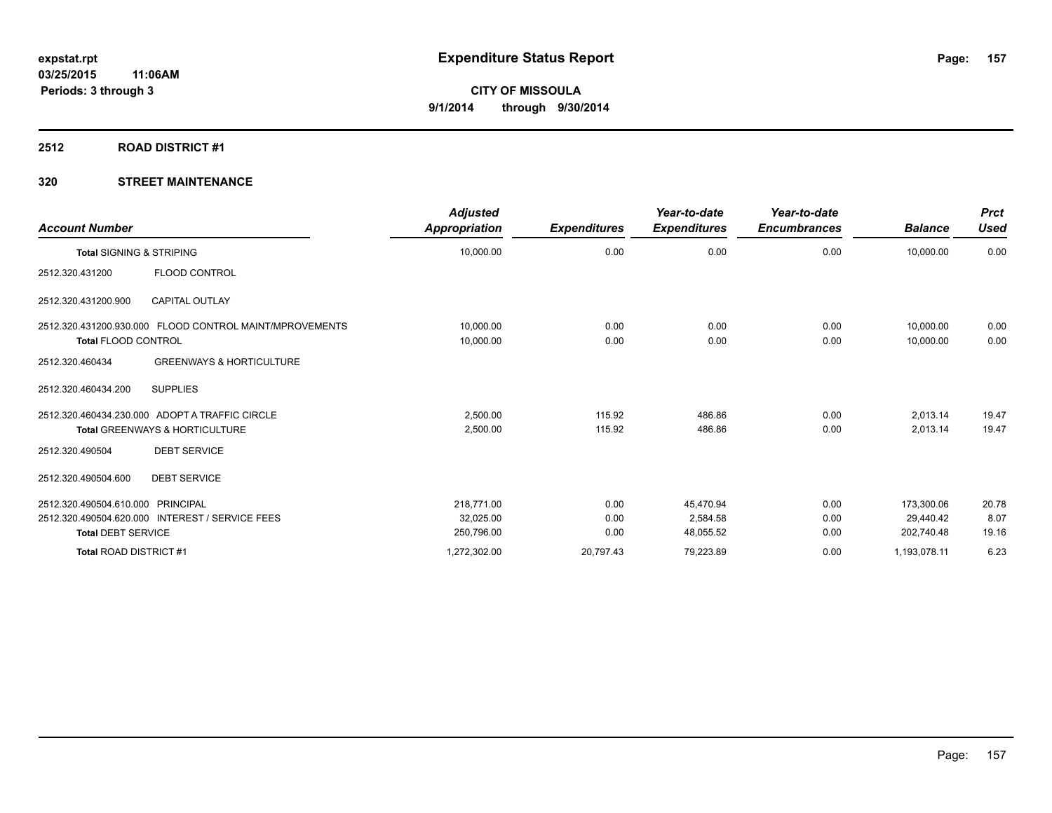#### **2512 ROAD DISTRICT #1**

| <b>Account Number</b>                                                                                             | <b>Adjusted</b><br>Appropriation      | <b>Expenditures</b>  | Year-to-date<br><b>Expenditures</b> | Year-to-date<br><b>Encumbrances</b> | <b>Balance</b>                        | <b>Prct</b><br><b>Used</b> |
|-------------------------------------------------------------------------------------------------------------------|---------------------------------------|----------------------|-------------------------------------|-------------------------------------|---------------------------------------|----------------------------|
| <b>Total SIGNING &amp; STRIPING</b>                                                                               | 10,000.00                             | 0.00                 | 0.00                                | 0.00                                | 10,000.00                             | 0.00                       |
| FLOOD CONTROL<br>2512.320.431200                                                                                  |                                       |                      |                                     |                                     |                                       |                            |
| <b>CAPITAL OUTLAY</b><br>2512.320.431200.900                                                                      |                                       |                      |                                     |                                     |                                       |                            |
| 2512.320.431200.930.000 FLOOD CONTROL MAINT/MPROVEMENTS<br><b>Total FLOOD CONTROL</b>                             | 10,000.00<br>10,000.00                | 0.00<br>0.00         | 0.00<br>0.00                        | 0.00<br>0.00                        | 10,000.00<br>10,000.00                | 0.00<br>0.00               |
| <b>GREENWAYS &amp; HORTICULTURE</b><br>2512.320.460434                                                            |                                       |                      |                                     |                                     |                                       |                            |
| <b>SUPPLIES</b><br>2512.320.460434.200                                                                            |                                       |                      |                                     |                                     |                                       |                            |
| 2512.320.460434.230.000 ADOPT A TRAFFIC CIRCLE<br><b>Total GREENWAYS &amp; HORTICULTURE</b>                       | 2.500.00<br>2,500.00                  | 115.92<br>115.92     | 486.86<br>486.86                    | 0.00<br>0.00                        | 2,013.14<br>2,013.14                  | 19.47<br>19.47             |
| <b>DEBT SERVICE</b><br>2512.320.490504                                                                            |                                       |                      |                                     |                                     |                                       |                            |
| 2512.320.490504.600<br><b>DEBT SERVICE</b>                                                                        |                                       |                      |                                     |                                     |                                       |                            |
| 2512.320.490504.610.000 PRINCIPAL<br>2512.320.490504.620.000 INTEREST / SERVICE FEES<br><b>Total DEBT SERVICE</b> | 218.771.00<br>32,025.00<br>250,796.00 | 0.00<br>0.00<br>0.00 | 45,470.94<br>2.584.58<br>48,055.52  | 0.00<br>0.00<br>0.00                | 173,300.06<br>29.440.42<br>202,740.48 | 20.78<br>8.07<br>19.16     |
| Total ROAD DISTRICT #1                                                                                            | 1,272,302.00                          | 20,797.43            | 79,223.89                           | 0.00                                | 1,193,078.11                          | 6.23                       |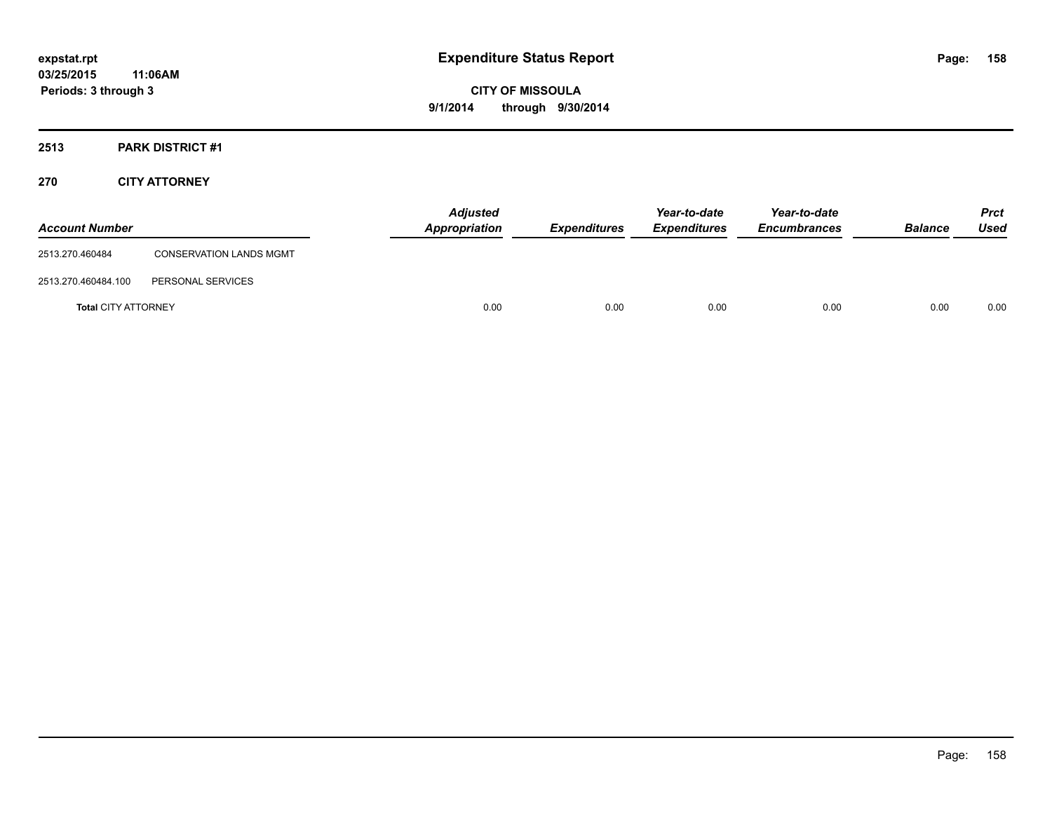# **2513 PARK DISTRICT #1**

## **270 CITY ATTORNEY**

| <b>Account Number</b>      |                                | <b>Adjusted</b><br><b>Appropriation</b> | <b>Expenditures</b> | Year-to-date<br><b>Expenditures</b> | Year-to-date<br><b>Encumbrances</b> | <b>Balance</b> | <b>Prct</b><br>Used |
|----------------------------|--------------------------------|-----------------------------------------|---------------------|-------------------------------------|-------------------------------------|----------------|---------------------|
| 2513.270.460484            | <b>CONSERVATION LANDS MGMT</b> |                                         |                     |                                     |                                     |                |                     |
| 2513.270.460484.100        | PERSONAL SERVICES              |                                         |                     |                                     |                                     |                |                     |
| <b>Total CITY ATTORNEY</b> |                                | 0.00                                    | 0.00                | 0.00                                | 0.00                                | 0.00           | 0.00                |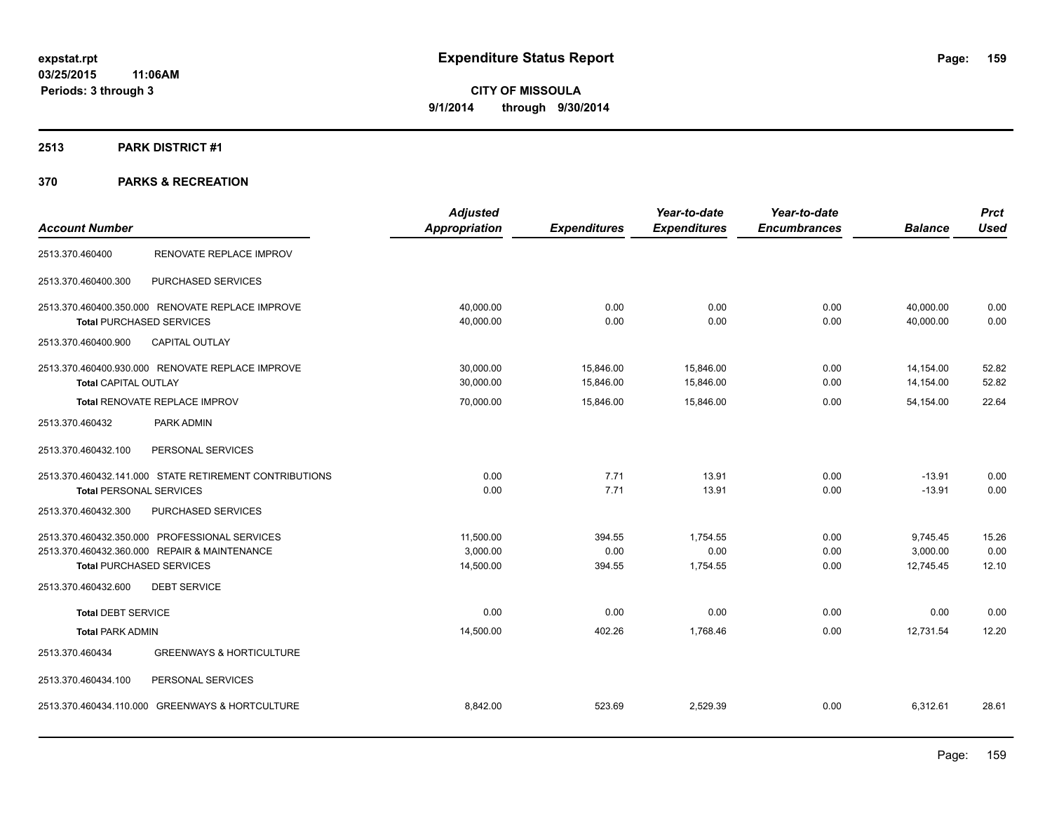# **2513 PARK DISTRICT #1**

|                                |                                                        | <b>Adjusted</b> |                     | Year-to-date        | Year-to-date        |                | <b>Prct</b> |
|--------------------------------|--------------------------------------------------------|-----------------|---------------------|---------------------|---------------------|----------------|-------------|
| <b>Account Number</b>          |                                                        | Appropriation   | <b>Expenditures</b> | <b>Expenditures</b> | <b>Encumbrances</b> | <b>Balance</b> | <b>Used</b> |
| 2513.370.460400                | RENOVATE REPLACE IMPROV                                |                 |                     |                     |                     |                |             |
| 2513.370.460400.300            | PURCHASED SERVICES                                     |                 |                     |                     |                     |                |             |
|                                | 2513.370.460400.350.000 RENOVATE REPLACE IMPROVE       | 40,000.00       | 0.00                | 0.00                | 0.00                | 40,000.00      | 0.00        |
|                                | <b>Total PURCHASED SERVICES</b>                        | 40,000.00       | 0.00                | 0.00                | 0.00                | 40,000.00      | 0.00        |
| 2513.370.460400.900            | <b>CAPITAL OUTLAY</b>                                  |                 |                     |                     |                     |                |             |
|                                | 2513.370.460400.930.000 RENOVATE REPLACE IMPROVE       | 30,000.00       | 15,846.00           | 15,846.00           | 0.00                | 14,154.00      | 52.82       |
| <b>Total CAPITAL OUTLAY</b>    |                                                        | 30,000.00       | 15,846.00           | 15,846.00           | 0.00                | 14,154.00      | 52.82       |
|                                | <b>Total RENOVATE REPLACE IMPROV</b>                   | 70,000.00       | 15,846.00           | 15,846.00           | 0.00                | 54,154.00      | 22.64       |
| 2513.370.460432                | PARK ADMIN                                             |                 |                     |                     |                     |                |             |
| 2513.370.460432.100            | PERSONAL SERVICES                                      |                 |                     |                     |                     |                |             |
|                                | 2513.370.460432.141.000 STATE RETIREMENT CONTRIBUTIONS | 0.00            | 7.71                | 13.91               | 0.00                | $-13.91$       | 0.00        |
| <b>Total PERSONAL SERVICES</b> |                                                        | 0.00            | 7.71                | 13.91               | 0.00                | $-13.91$       | 0.00        |
| 2513.370.460432.300            | PURCHASED SERVICES                                     |                 |                     |                     |                     |                |             |
|                                | 2513.370.460432.350.000 PROFESSIONAL SERVICES          | 11,500.00       | 394.55              | 1,754.55            | 0.00                | 9,745.45       | 15.26       |
|                                | 2513.370.460432.360.000 REPAIR & MAINTENANCE           | 3.000.00        | 0.00                | 0.00                | 0.00                | 3,000.00       | 0.00        |
|                                | <b>Total PURCHASED SERVICES</b>                        | 14,500.00       | 394.55              | 1,754.55            | 0.00                | 12,745.45      | 12.10       |
| 2513.370.460432.600            | <b>DEBT SERVICE</b>                                    |                 |                     |                     |                     |                |             |
| <b>Total DEBT SERVICE</b>      |                                                        | 0.00            | 0.00                | 0.00                | 0.00                | 0.00           | 0.00        |
| <b>Total PARK ADMIN</b>        |                                                        | 14,500.00       | 402.26              | 1,768.46            | 0.00                | 12,731.54      | 12.20       |
| 2513.370.460434                | <b>GREENWAYS &amp; HORTICULTURE</b>                    |                 |                     |                     |                     |                |             |
| 2513.370.460434.100            | PERSONAL SERVICES                                      |                 |                     |                     |                     |                |             |
|                                | 2513.370.460434.110.000 GREENWAYS & HORTCULTURE        | 8,842.00        | 523.69              | 2,529.39            | 0.00                | 6,312.61       | 28.61       |
|                                |                                                        |                 |                     |                     |                     |                |             |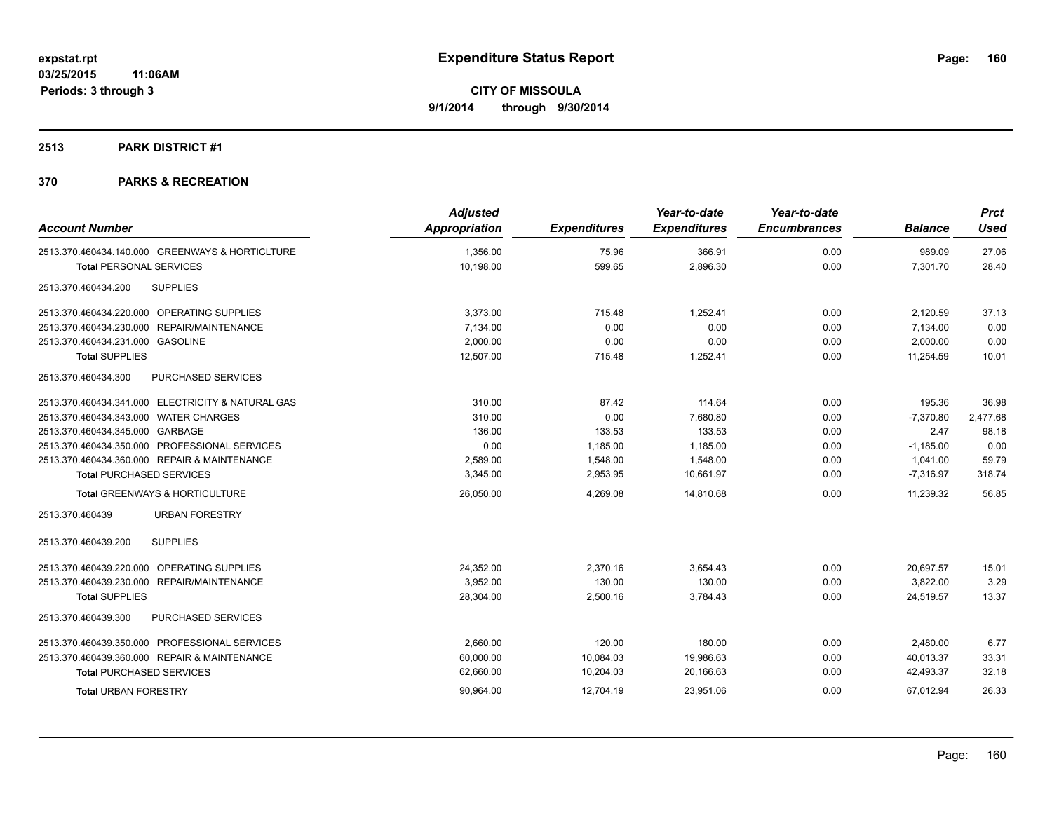#### **2513 PARK DISTRICT #1**

| <b>Account Number</b>                             | <b>Adjusted</b><br>Appropriation | <b>Expenditures</b> | Year-to-date<br><b>Expenditures</b> | Year-to-date<br><b>Encumbrances</b> | <b>Balance</b> | <b>Prct</b><br><b>Used</b> |
|---------------------------------------------------|----------------------------------|---------------------|-------------------------------------|-------------------------------------|----------------|----------------------------|
|                                                   |                                  |                     |                                     |                                     |                |                            |
| 2513.370.460434.140.000 GREENWAYS & HORTICLTURE   | 1,356.00                         | 75.96               | 366.91                              | 0.00                                | 989.09         | 27.06                      |
| <b>Total PERSONAL SERVICES</b>                    | 10,198.00                        | 599.65              | 2,896.30                            | 0.00                                | 7,301.70       | 28.40                      |
| <b>SUPPLIES</b><br>2513.370.460434.200            |                                  |                     |                                     |                                     |                |                            |
| 2513.370.460434.220.000 OPERATING SUPPLIES        | 3,373.00                         | 715.48              | 1,252.41                            | 0.00                                | 2,120.59       | 37.13                      |
| 2513.370.460434.230.000 REPAIR/MAINTENANCE        | 7,134.00                         | 0.00                | 0.00                                | 0.00                                | 7,134.00       | 0.00                       |
| 2513.370.460434.231.000 GASOLINE                  | 2.000.00                         | 0.00                | 0.00                                | 0.00                                | 2,000.00       | 0.00                       |
| <b>Total SUPPLIES</b>                             | 12,507.00                        | 715.48              | 1,252.41                            | 0.00                                | 11,254.59      | 10.01                      |
| PURCHASED SERVICES<br>2513.370.460434.300         |                                  |                     |                                     |                                     |                |                            |
| 2513.370.460434.341.000 ELECTRICITY & NATURAL GAS | 310.00                           | 87.42               | 114.64                              | 0.00                                | 195.36         | 36.98                      |
| 2513.370.460434.343.000 WATER CHARGES             | 310.00                           | 0.00                | 7.680.80                            | 0.00                                | $-7,370.80$    | 2,477.68                   |
| 2513.370.460434.345.000 GARBAGE                   | 136.00                           | 133.53              | 133.53                              | 0.00                                | 2.47           | 98.18                      |
| 2513.370.460434.350.000 PROFESSIONAL SERVICES     | 0.00                             | 1,185.00            | 1,185.00                            | 0.00                                | $-1,185.00$    | 0.00                       |
| 2513.370.460434.360.000 REPAIR & MAINTENANCE      | 2,589.00                         | 1,548.00            | 1,548.00                            | 0.00                                | 1,041.00       | 59.79                      |
| <b>Total PURCHASED SERVICES</b>                   | 3,345.00                         | 2,953.95            | 10,661.97                           | 0.00                                | $-7,316.97$    | 318.74                     |
| Total GREENWAYS & HORTICULTURE                    | 26,050.00                        | 4,269.08            | 14,810.68                           | 0.00                                | 11,239.32      | 56.85                      |
| 2513.370.460439<br><b>URBAN FORESTRY</b>          |                                  |                     |                                     |                                     |                |                            |
| 2513.370.460439.200<br><b>SUPPLIES</b>            |                                  |                     |                                     |                                     |                |                            |
| 2513.370.460439.220.000 OPERATING SUPPLIES        | 24,352.00                        | 2,370.16            | 3,654.43                            | 0.00                                | 20,697.57      | 15.01                      |
| 2513.370.460439.230.000 REPAIR/MAINTENANCE        | 3,952.00                         | 130.00              | 130.00                              | 0.00                                | 3,822.00       | 3.29                       |
| <b>Total SUPPLIES</b>                             | 28,304.00                        | 2,500.16            | 3,784.43                            | 0.00                                | 24,519.57      | 13.37                      |
| 2513.370.460439.300<br>PURCHASED SERVICES         |                                  |                     |                                     |                                     |                |                            |
| 2513.370.460439.350.000 PROFESSIONAL SERVICES     | 2.660.00                         | 120.00              | 180.00                              | 0.00                                | 2,480.00       | 6.77                       |
| 2513.370.460439.360.000 REPAIR & MAINTENANCE      | 60,000.00                        | 10,084.03           | 19,986.63                           | 0.00                                | 40,013.37      | 33.31                      |
| <b>Total PURCHASED SERVICES</b>                   | 62,660.00                        | 10,204.03           | 20,166.63                           | 0.00                                | 42,493.37      | 32.18                      |
| <b>Total URBAN FORESTRY</b>                       | 90,964.00                        | 12,704.19           | 23,951.06                           | 0.00                                | 67,012.94      | 26.33                      |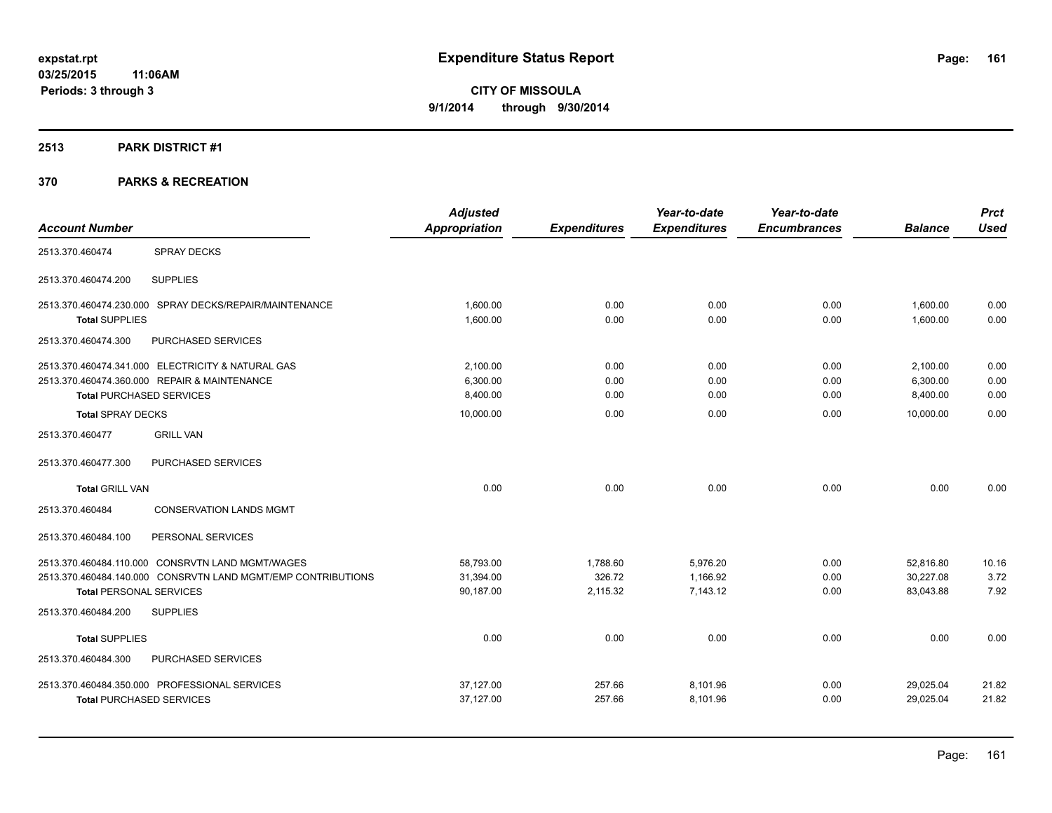#### **2513 PARK DISTRICT #1**

|                                                              | <b>Adjusted</b>      |                     | Year-to-date        | Year-to-date        |                | <b>Prct</b> |
|--------------------------------------------------------------|----------------------|---------------------|---------------------|---------------------|----------------|-------------|
| <b>Account Number</b>                                        | <b>Appropriation</b> | <b>Expenditures</b> | <b>Expenditures</b> | <b>Encumbrances</b> | <b>Balance</b> | <b>Used</b> |
| <b>SPRAY DECKS</b><br>2513.370.460474                        |                      |                     |                     |                     |                |             |
| <b>SUPPLIES</b><br>2513.370.460474.200                       |                      |                     |                     |                     |                |             |
| 2513.370.460474.230.000 SPRAY DECKS/REPAIR/MAINTENANCE       | 1,600.00             | 0.00                | 0.00                | 0.00                | 1,600.00       | 0.00        |
| <b>Total SUPPLIES</b>                                        | 1,600.00             | 0.00                | 0.00                | 0.00                | 1,600.00       | 0.00        |
| 2513.370.460474.300<br>PURCHASED SERVICES                    |                      |                     |                     |                     |                |             |
| 2513.370.460474.341.000 ELECTRICITY & NATURAL GAS            | 2,100.00             | 0.00                | 0.00                | 0.00                | 2,100.00       | 0.00        |
| 2513.370.460474.360.000 REPAIR & MAINTENANCE                 | 6,300.00             | 0.00                | 0.00                | 0.00                | 6,300.00       | 0.00        |
| <b>Total PURCHASED SERVICES</b>                              | 8,400.00             | 0.00                | 0.00                | 0.00                | 8,400.00       | 0.00        |
| <b>Total SPRAY DECKS</b>                                     | 10,000.00            | 0.00                | 0.00                | 0.00                | 10,000.00      | 0.00        |
| <b>GRILL VAN</b><br>2513.370.460477                          |                      |                     |                     |                     |                |             |
| PURCHASED SERVICES<br>2513.370.460477.300                    |                      |                     |                     |                     |                |             |
| <b>Total GRILL VAN</b>                                       | 0.00                 | 0.00                | 0.00                | 0.00                | 0.00           | 0.00        |
| <b>CONSERVATION LANDS MGMT</b><br>2513.370.460484            |                      |                     |                     |                     |                |             |
| 2513.370.460484.100<br>PERSONAL SERVICES                     |                      |                     |                     |                     |                |             |
| 2513.370.460484.110.000 CONSRVTN LAND MGMT/WAGES             | 58,793.00            | 1,788.60            | 5,976.20            | 0.00                | 52,816.80      | 10.16       |
| 2513.370.460484.140.000 CONSRVTN LAND MGMT/EMP CONTRIBUTIONS | 31.394.00            | 326.72              | 1.166.92            | 0.00                | 30.227.08      | 3.72        |
| <b>Total PERSONAL SERVICES</b>                               | 90,187.00            | 2,115.32            | 7,143.12            | 0.00                | 83,043.88      | 7.92        |
| <b>SUPPLIES</b><br>2513.370.460484.200                       |                      |                     |                     |                     |                |             |
| <b>Total SUPPLIES</b>                                        | 0.00                 | 0.00                | 0.00                | 0.00                | 0.00           | 0.00        |
| 2513.370.460484.300<br>PURCHASED SERVICES                    |                      |                     |                     |                     |                |             |
| 2513.370.460484.350.000 PROFESSIONAL SERVICES                | 37,127.00            | 257.66              | 8,101.96            | 0.00                | 29,025.04      | 21.82       |
| <b>Total PURCHASED SERVICES</b>                              | 37,127.00            | 257.66              | 8,101.96            | 0.00                | 29,025.04      | 21.82       |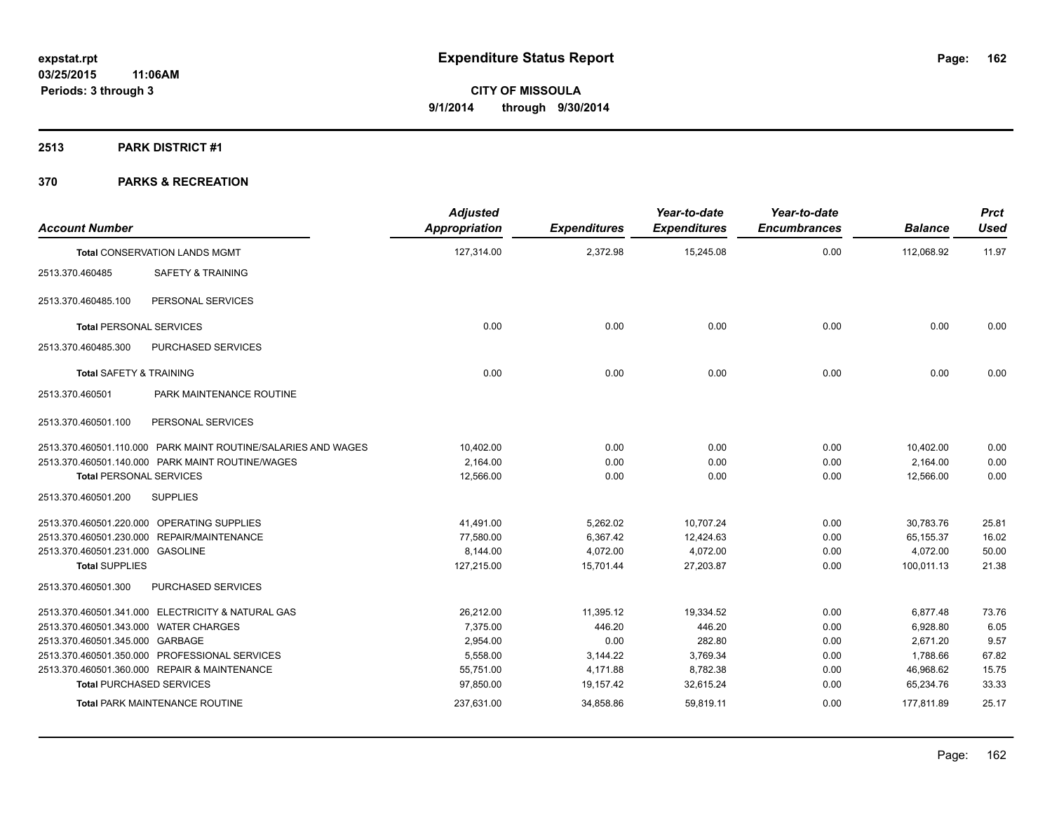**2513 PARK DISTRICT #1**

| <b>Account Number</b>                                         | <b>Adjusted</b><br><b>Appropriation</b> | <b>Expenditures</b> | Year-to-date<br><b>Expenditures</b> | Year-to-date<br><b>Encumbrances</b> | <b>Balance</b> | <b>Prct</b><br><b>Used</b> |
|---------------------------------------------------------------|-----------------------------------------|---------------------|-------------------------------------|-------------------------------------|----------------|----------------------------|
| <b>Total CONSERVATION LANDS MGMT</b>                          | 127,314.00                              | 2,372.98            | 15,245.08                           | 0.00                                | 112,068.92     | 11.97                      |
| 2513.370.460485<br><b>SAFETY &amp; TRAINING</b>               |                                         |                     |                                     |                                     |                |                            |
| PERSONAL SERVICES<br>2513.370.460485.100                      |                                         |                     |                                     |                                     |                |                            |
| <b>Total PERSONAL SERVICES</b>                                | 0.00                                    | 0.00                | 0.00                                | 0.00                                | 0.00           | 0.00                       |
| PURCHASED SERVICES<br>2513.370.460485.300                     |                                         |                     |                                     |                                     |                |                            |
| <b>Total SAFETY &amp; TRAINING</b>                            | 0.00                                    | 0.00                | 0.00                                | 0.00                                | 0.00           | 0.00                       |
| 2513.370.460501<br>PARK MAINTENANCE ROUTINE                   |                                         |                     |                                     |                                     |                |                            |
| 2513.370.460501.100<br>PERSONAL SERVICES                      |                                         |                     |                                     |                                     |                |                            |
| 2513.370.460501.110.000 PARK MAINT ROUTINE/SALARIES AND WAGES | 10,402.00                               | 0.00                | 0.00                                | 0.00                                | 10,402.00      | 0.00                       |
| 2513.370.460501.140.000 PARK MAINT ROUTINE/WAGES              | 2.164.00                                | 0.00                | 0.00                                | 0.00                                | 2,164.00       | 0.00                       |
| <b>Total PERSONAL SERVICES</b>                                | 12,566.00                               | 0.00                | 0.00                                | 0.00                                | 12.566.00      | 0.00                       |
| 2513.370.460501.200<br><b>SUPPLIES</b>                        |                                         |                     |                                     |                                     |                |                            |
| 2513.370.460501.220.000 OPERATING SUPPLIES                    | 41,491.00                               | 5,262.02            | 10,707.24                           | 0.00                                | 30,783.76      | 25.81                      |
| 2513.370.460501.230.000 REPAIR/MAINTENANCE                    | 77,580.00                               | 6,367.42            | 12,424.63                           | 0.00                                | 65,155.37      | 16.02                      |
| 2513.370.460501.231.000 GASOLINE                              | 8,144.00                                | 4,072.00            | 4,072.00                            | 0.00                                | 4,072.00       | 50.00                      |
| <b>Total SUPPLIES</b>                                         | 127,215.00                              | 15,701.44           | 27,203.87                           | 0.00                                | 100,011.13     | 21.38                      |
| 2513.370.460501.300<br>PURCHASED SERVICES                     |                                         |                     |                                     |                                     |                |                            |
| 2513.370.460501.341.000 ELECTRICITY & NATURAL GAS             | 26.212.00                               | 11.395.12           | 19.334.52                           | 0.00                                | 6.877.48       | 73.76                      |
| 2513.370.460501.343.000 WATER CHARGES                         | 7,375.00                                | 446.20              | 446.20                              | 0.00                                | 6,928.80       | 6.05                       |
| 2513.370.460501.345.000 GARBAGE                               | 2,954.00                                | 0.00                | 282.80                              | 0.00                                | 2,671.20       | 9.57                       |
| 2513.370.460501.350.000 PROFESSIONAL SERVICES                 | 5,558.00                                | 3,144.22            | 3,769.34                            | 0.00                                | 1,788.66       | 67.82                      |
| 2513.370.460501.360.000 REPAIR & MAINTENANCE                  | 55,751.00                               | 4,171.88            | 8,782.38                            | 0.00                                | 46,968.62      | 15.75                      |
| <b>Total PURCHASED SERVICES</b>                               | 97,850.00                               | 19,157.42           | 32,615.24                           | 0.00                                | 65,234.76      | 33.33                      |
| <b>Total PARK MAINTENANCE ROUTINE</b>                         | 237,631.00                              | 34,858.86           | 59,819.11                           | 0.00                                | 177,811.89     | 25.17                      |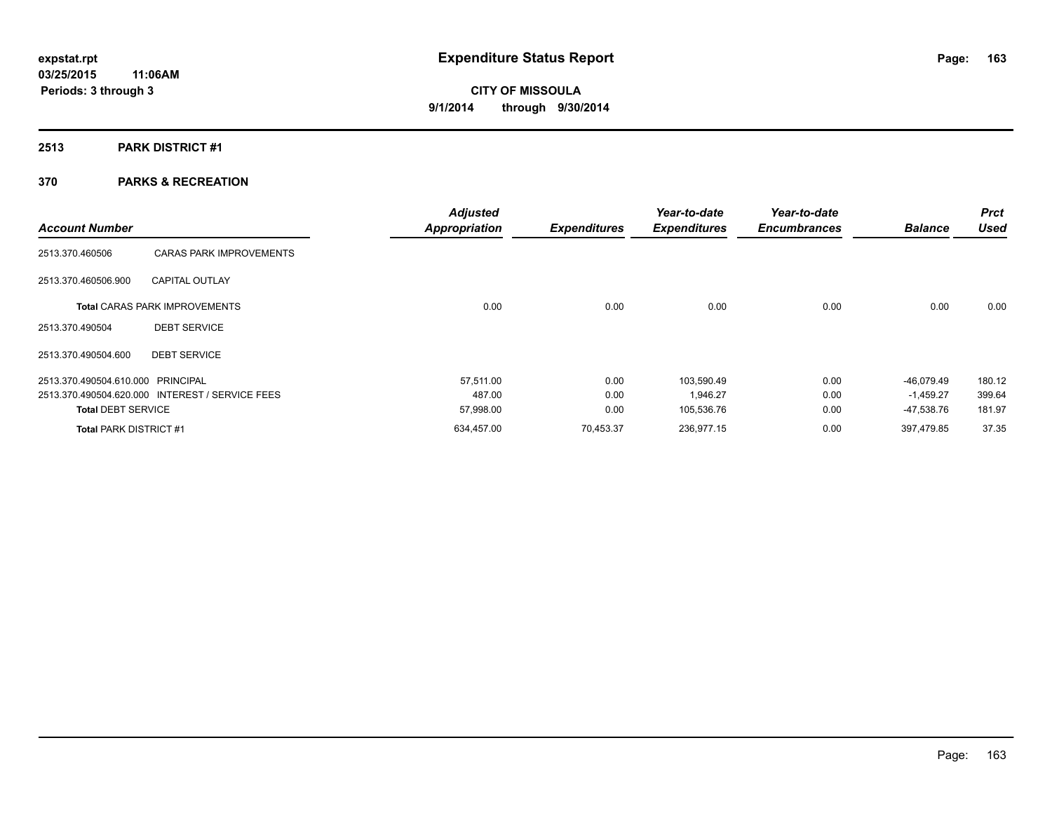## **2513 PARK DISTRICT #1**

|                                   |                                                 | <b>Adjusted</b>      |                     | Year-to-date        | Year-to-date        |                | <b>Prct</b> |
|-----------------------------------|-------------------------------------------------|----------------------|---------------------|---------------------|---------------------|----------------|-------------|
| <b>Account Number</b>             |                                                 | <b>Appropriation</b> | <b>Expenditures</b> | <b>Expenditures</b> | <b>Encumbrances</b> | <b>Balance</b> | <b>Used</b> |
| 2513.370.460506                   | <b>CARAS PARK IMPROVEMENTS</b>                  |                      |                     |                     |                     |                |             |
| 2513.370.460506.900               | <b>CAPITAL OUTLAY</b>                           |                      |                     |                     |                     |                |             |
|                                   | <b>Total CARAS PARK IMPROVEMENTS</b>            | 0.00                 | 0.00                | 0.00                | 0.00                | 0.00           | 0.00        |
| 2513.370.490504                   | <b>DEBT SERVICE</b>                             |                      |                     |                     |                     |                |             |
| 2513.370.490504.600               | <b>DEBT SERVICE</b>                             |                      |                     |                     |                     |                |             |
| 2513.370.490504.610.000 PRINCIPAL |                                                 | 57.511.00            | 0.00                | 103.590.49          | 0.00                | $-46.079.49$   | 180.12      |
|                                   | 2513.370.490504.620.000 INTEREST / SERVICE FEES | 487.00               | 0.00                | 1,946.27            | 0.00                | $-1,459.27$    | 399.64      |
| <b>Total DEBT SERVICE</b>         |                                                 | 57,998.00            | 0.00                | 105,536.76          | 0.00                | -47,538.76     | 181.97      |
| <b>Total PARK DISTRICT #1</b>     |                                                 | 634,457.00           | 70,453.37           | 236,977.15          | 0.00                | 397,479.85     | 37.35       |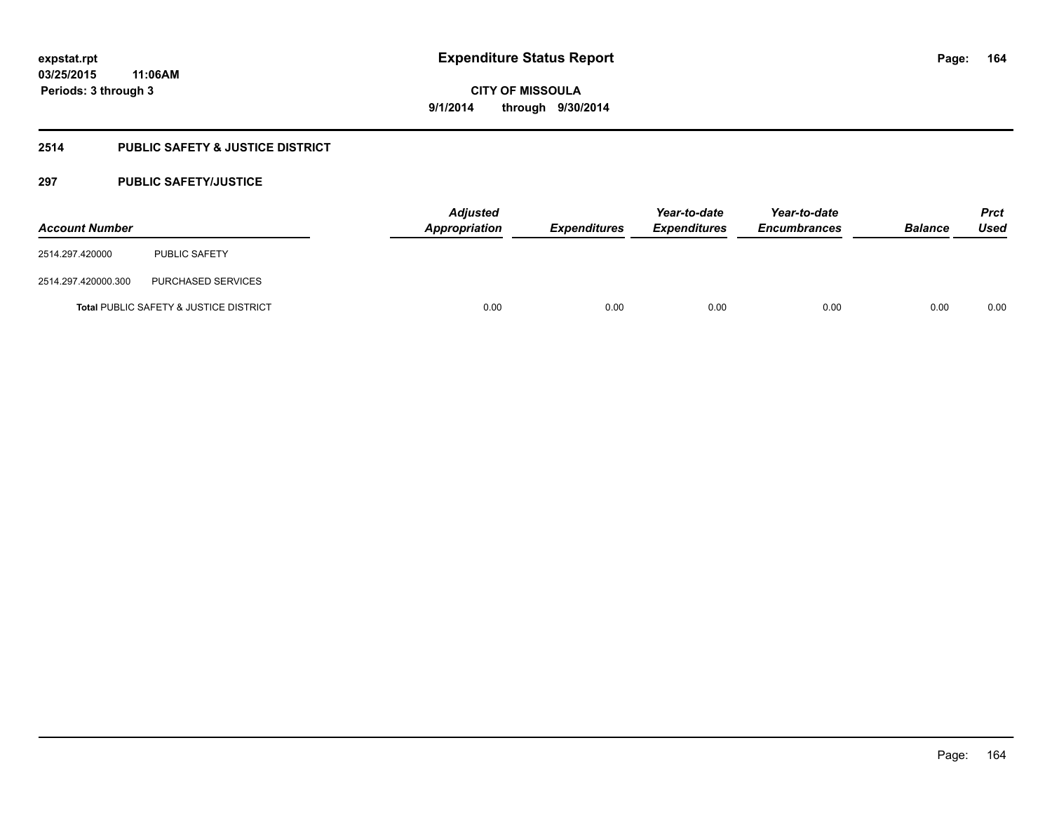# **2514 PUBLIC SAFETY & JUSTICE DISTRICT**

## **297 PUBLIC SAFETY/JUSTICE**

| <b>Account Number</b> |                                        | <b>Adjusted</b><br><b>Appropriation</b> | <b>Expenditures</b> | Year-to-date<br><b>Expenditures</b> | Year-to-date<br><b>Encumbrances</b> | <b>Balance</b> | <b>Prct</b><br>Used |
|-----------------------|----------------------------------------|-----------------------------------------|---------------------|-------------------------------------|-------------------------------------|----------------|---------------------|
| 2514.297.420000       | <b>PUBLIC SAFETY</b>                   |                                         |                     |                                     |                                     |                |                     |
| 2514.297.420000.300   | PURCHASED SERVICES                     |                                         |                     |                                     |                                     |                |                     |
|                       | Total PUBLIC SAFETY & JUSTICE DISTRICT | 0.00                                    | 0.00                | 0.00                                | 0.00                                | 0.00           | 0.00                |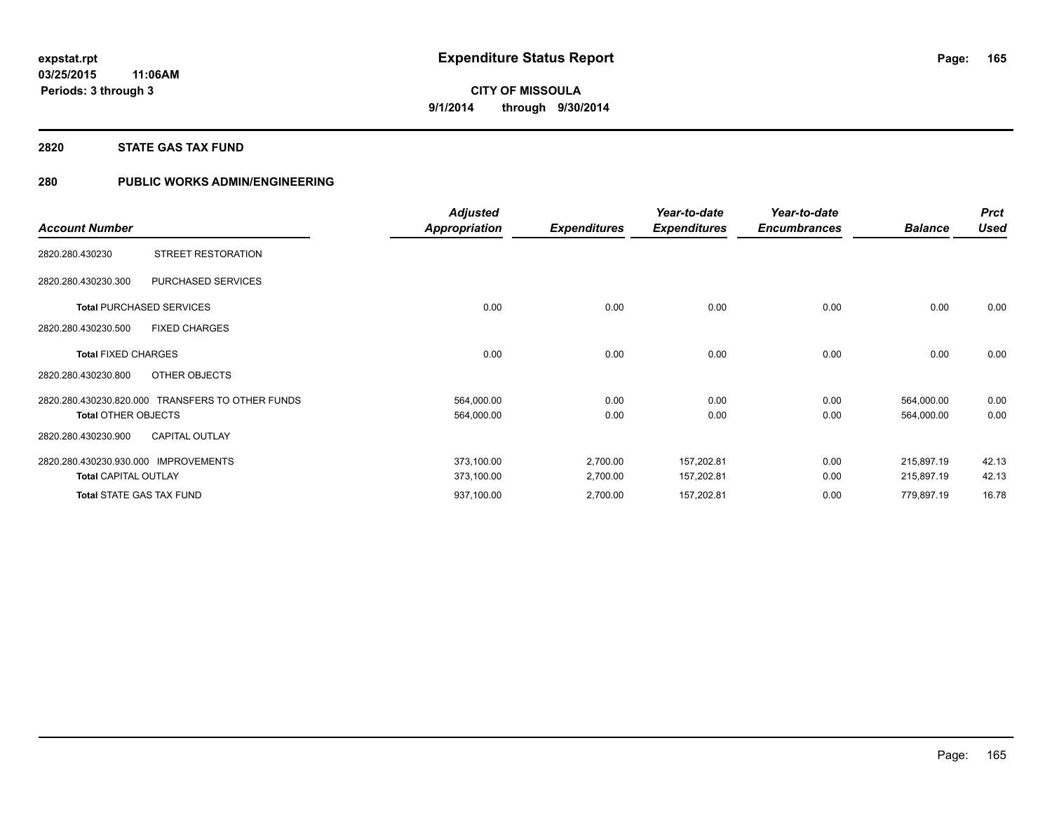## **2820 STATE GAS TAX FUND**

## **280 PUBLIC WORKS ADMIN/ENGINEERING**

|                                                  | <b>Adjusted</b>      |                     | Year-to-date        | Year-to-date        |                | <b>Prct</b> |
|--------------------------------------------------|----------------------|---------------------|---------------------|---------------------|----------------|-------------|
| <b>Account Number</b>                            | <b>Appropriation</b> | <b>Expenditures</b> | <b>Expenditures</b> | <b>Encumbrances</b> | <b>Balance</b> | <b>Used</b> |
| STREET RESTORATION<br>2820.280.430230            |                      |                     |                     |                     |                |             |
| PURCHASED SERVICES<br>2820.280.430230.300        |                      |                     |                     |                     |                |             |
| <b>Total PURCHASED SERVICES</b>                  | 0.00                 | 0.00                | 0.00                | 0.00                | 0.00           | 0.00        |
| 2820.280.430230.500<br><b>FIXED CHARGES</b>      |                      |                     |                     |                     |                |             |
| <b>Total FIXED CHARGES</b>                       | 0.00                 | 0.00                | 0.00                | 0.00                | 0.00           | 0.00        |
| 2820.280.430230.800<br>OTHER OBJECTS             |                      |                     |                     |                     |                |             |
| 2820.280.430230.820.000 TRANSFERS TO OTHER FUNDS | 564,000.00           | 0.00                | 0.00                | 0.00                | 564,000.00     | 0.00        |
| <b>Total OTHER OBJECTS</b>                       | 564,000.00           | 0.00                | 0.00                | 0.00                | 564,000.00     | 0.00        |
| <b>CAPITAL OUTLAY</b><br>2820.280.430230.900     |                      |                     |                     |                     |                |             |
| 2820.280.430230.930.000<br><b>IMPROVEMENTS</b>   | 373,100.00           | 2,700.00            | 157,202.81          | 0.00                | 215,897.19     | 42.13       |
| <b>Total CAPITAL OUTLAY</b>                      | 373,100.00           | 2,700.00            | 157,202.81          | 0.00                | 215,897.19     | 42.13       |
| <b>Total STATE GAS TAX FUND</b>                  | 937,100.00           | 2,700.00            | 157,202.81          | 0.00                | 779,897.19     | 16.78       |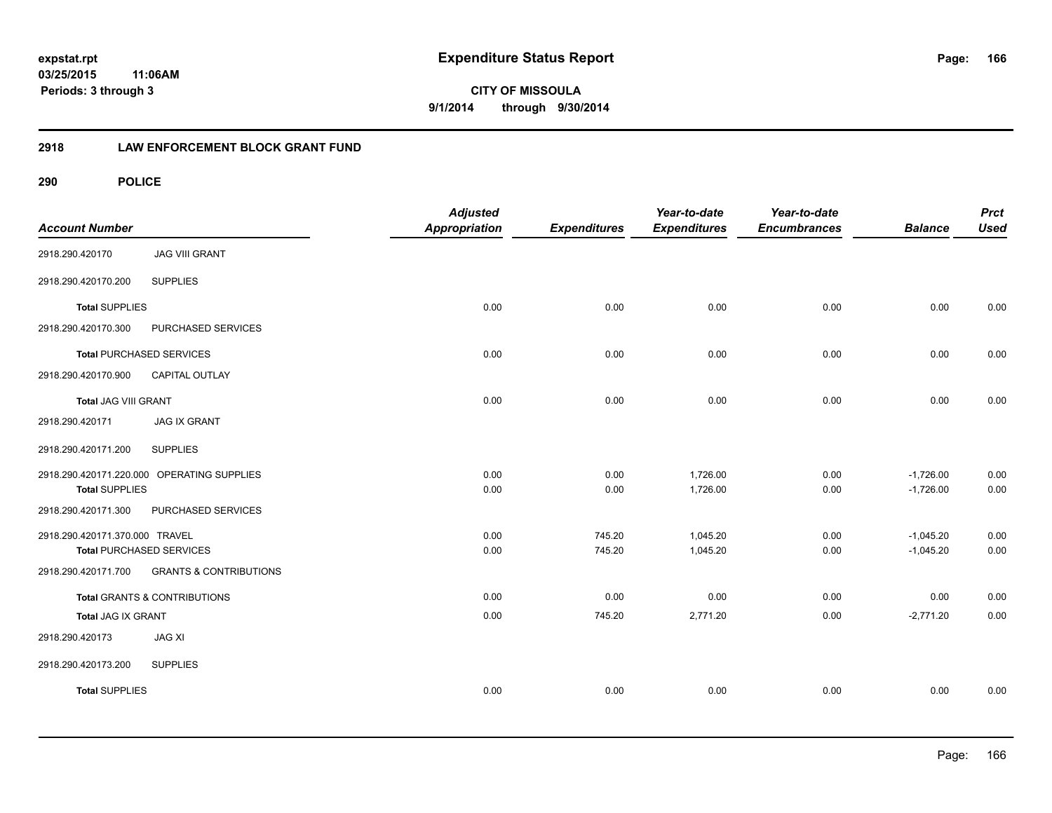**166**

**03/25/2015 11:06AM Periods: 3 through 3**

**CITY OF MISSOULA 9/1/2014 through 9/30/2014**

## **2918 LAW ENFORCEMENT BLOCK GRANT FUND**

| <b>Account Number</b>           |                                            | <b>Adjusted</b><br><b>Appropriation</b> | <b>Expenditures</b> | Year-to-date<br><b>Expenditures</b> | Year-to-date<br><b>Encumbrances</b> | <b>Balance</b> | <b>Prct</b><br><b>Used</b> |
|---------------------------------|--------------------------------------------|-----------------------------------------|---------------------|-------------------------------------|-------------------------------------|----------------|----------------------------|
| 2918.290.420170                 | <b>JAG VIII GRANT</b>                      |                                         |                     |                                     |                                     |                |                            |
| 2918.290.420170.200             | <b>SUPPLIES</b>                            |                                         |                     |                                     |                                     |                |                            |
| <b>Total SUPPLIES</b>           |                                            | 0.00                                    | 0.00                | 0.00                                | 0.00                                | 0.00           | 0.00                       |
| 2918.290.420170.300             | PURCHASED SERVICES                         |                                         |                     |                                     |                                     |                |                            |
| <b>Total PURCHASED SERVICES</b> |                                            | 0.00                                    | 0.00                | 0.00                                | 0.00                                | 0.00           | 0.00                       |
| 2918.290.420170.900             | CAPITAL OUTLAY                             |                                         |                     |                                     |                                     |                |                            |
| <b>Total JAG VIII GRANT</b>     |                                            | 0.00                                    | 0.00                | 0.00                                | 0.00                                | 0.00           | 0.00                       |
| 2918.290.420171                 | <b>JAG IX GRANT</b>                        |                                         |                     |                                     |                                     |                |                            |
| 2918.290.420171.200             | <b>SUPPLIES</b>                            |                                         |                     |                                     |                                     |                |                            |
|                                 | 2918.290.420171.220.000 OPERATING SUPPLIES | 0.00                                    | 0.00                | 1,726.00                            | 0.00                                | $-1,726.00$    | 0.00                       |
| <b>Total SUPPLIES</b>           |                                            | 0.00                                    | 0.00                | 1,726.00                            | 0.00                                | $-1,726.00$    | 0.00                       |
| 2918.290.420171.300             | PURCHASED SERVICES                         |                                         |                     |                                     |                                     |                |                            |
| 2918.290.420171.370.000 TRAVEL  |                                            | 0.00                                    | 745.20              | 1,045.20                            | 0.00                                | $-1,045.20$    | 0.00                       |
| <b>Total PURCHASED SERVICES</b> |                                            | 0.00                                    | 745.20              | 1,045.20                            | 0.00                                | $-1,045.20$    | 0.00                       |
| 2918.290.420171.700             | <b>GRANTS &amp; CONTRIBUTIONS</b>          |                                         |                     |                                     |                                     |                |                            |
|                                 | <b>Total GRANTS &amp; CONTRIBUTIONS</b>    | 0.00                                    | 0.00                | 0.00                                | 0.00                                | 0.00           | 0.00                       |
| Total JAG IX GRANT              |                                            | 0.00                                    | 745.20              | 2,771.20                            | 0.00                                | $-2,771.20$    | 0.00                       |
| 2918.290.420173                 | <b>JAG XI</b>                              |                                         |                     |                                     |                                     |                |                            |
| 2918.290.420173.200             | <b>SUPPLIES</b>                            |                                         |                     |                                     |                                     |                |                            |
| <b>Total SUPPLIES</b>           |                                            | 0.00                                    | 0.00                | 0.00                                | 0.00                                | 0.00           | 0.00                       |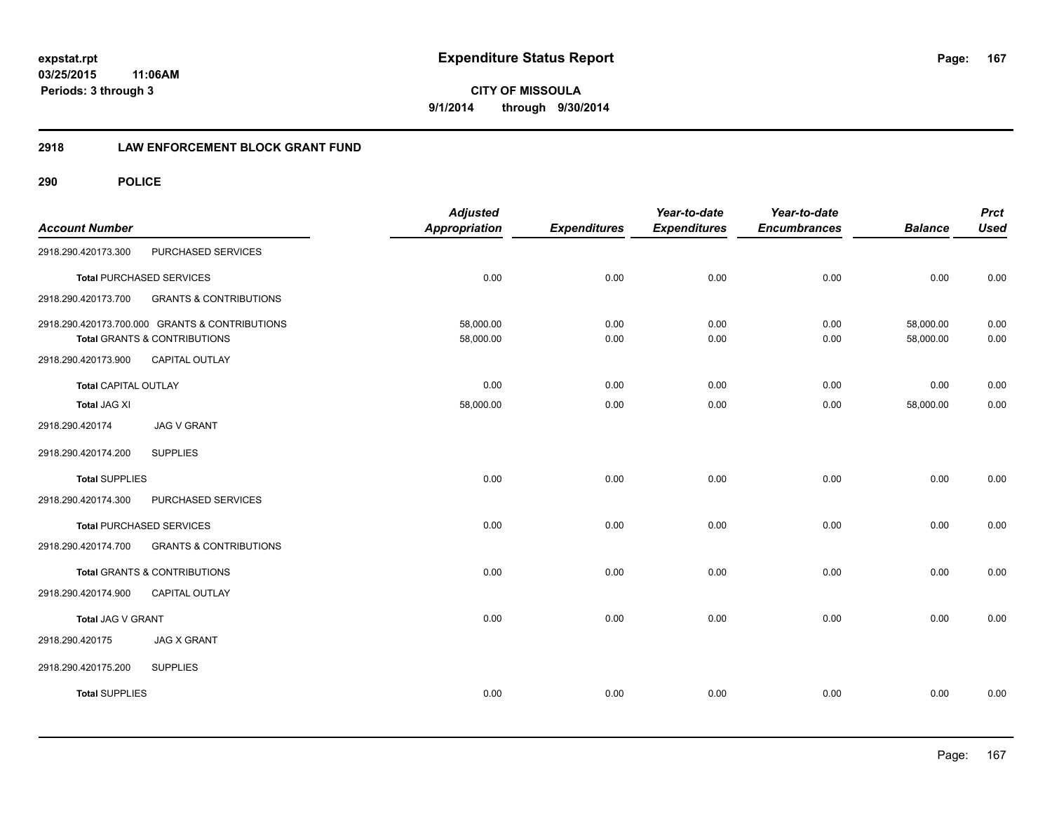**167**

**03/25/2015 11:06AM Periods: 3 through 3**

**CITY OF MISSOULA 9/1/2014 through 9/30/2014**

## **2918 LAW ENFORCEMENT BLOCK GRANT FUND**

| <b>Account Number</b>       |                                                                                | <b>Adjusted</b><br><b>Appropriation</b> | <b>Expenditures</b> | Year-to-date<br><b>Expenditures</b> | Year-to-date<br><b>Encumbrances</b> | <b>Balance</b>         | <b>Prct</b><br><b>Used</b> |
|-----------------------------|--------------------------------------------------------------------------------|-----------------------------------------|---------------------|-------------------------------------|-------------------------------------|------------------------|----------------------------|
| 2918.290.420173.300         | PURCHASED SERVICES                                                             |                                         |                     |                                     |                                     |                        |                            |
|                             | <b>Total PURCHASED SERVICES</b>                                                | 0.00                                    | 0.00                | 0.00                                | 0.00                                | 0.00                   | 0.00                       |
| 2918.290.420173.700         | <b>GRANTS &amp; CONTRIBUTIONS</b>                                              |                                         |                     |                                     |                                     |                        |                            |
|                             | 2918.290.420173.700.000 GRANTS & CONTRIBUTIONS<br>Total GRANTS & CONTRIBUTIONS | 58,000.00<br>58,000.00                  | 0.00<br>0.00        | 0.00<br>0.00                        | 0.00<br>0.00                        | 58,000.00<br>58,000.00 | 0.00<br>0.00               |
| 2918.290.420173.900         | CAPITAL OUTLAY                                                                 |                                         |                     |                                     |                                     |                        |                            |
| <b>Total CAPITAL OUTLAY</b> |                                                                                | 0.00                                    | 0.00                | 0.00                                | 0.00                                | 0.00                   | 0.00                       |
| Total JAG XI                |                                                                                | 58,000.00                               | 0.00                | 0.00                                | 0.00                                | 58,000.00              | 0.00                       |
| 2918.290.420174             | <b>JAG V GRANT</b>                                                             |                                         |                     |                                     |                                     |                        |                            |
| 2918.290.420174.200         | <b>SUPPLIES</b>                                                                |                                         |                     |                                     |                                     |                        |                            |
| <b>Total SUPPLIES</b>       |                                                                                | 0.00                                    | 0.00                | 0.00                                | 0.00                                | 0.00                   | 0.00                       |
| 2918.290.420174.300         | PURCHASED SERVICES                                                             |                                         |                     |                                     |                                     |                        |                            |
|                             | <b>Total PURCHASED SERVICES</b>                                                | 0.00                                    | 0.00                | 0.00                                | 0.00                                | 0.00                   | 0.00                       |
| 2918.290.420174.700         | <b>GRANTS &amp; CONTRIBUTIONS</b>                                              |                                         |                     |                                     |                                     |                        |                            |
|                             | Total GRANTS & CONTRIBUTIONS                                                   | 0.00                                    | 0.00                | 0.00                                | 0.00                                | 0.00                   | 0.00                       |
| 2918.290.420174.900         | CAPITAL OUTLAY                                                                 |                                         |                     |                                     |                                     |                        |                            |
| Total JAG V GRANT           |                                                                                | 0.00                                    | 0.00                | 0.00                                | 0.00                                | 0.00                   | 0.00                       |
| 2918.290.420175             | <b>JAG X GRANT</b>                                                             |                                         |                     |                                     |                                     |                        |                            |
| 2918.290.420175.200         | <b>SUPPLIES</b>                                                                |                                         |                     |                                     |                                     |                        |                            |
| <b>Total SUPPLIES</b>       |                                                                                | 0.00                                    | 0.00                | 0.00                                | 0.00                                | 0.00                   | 0.00                       |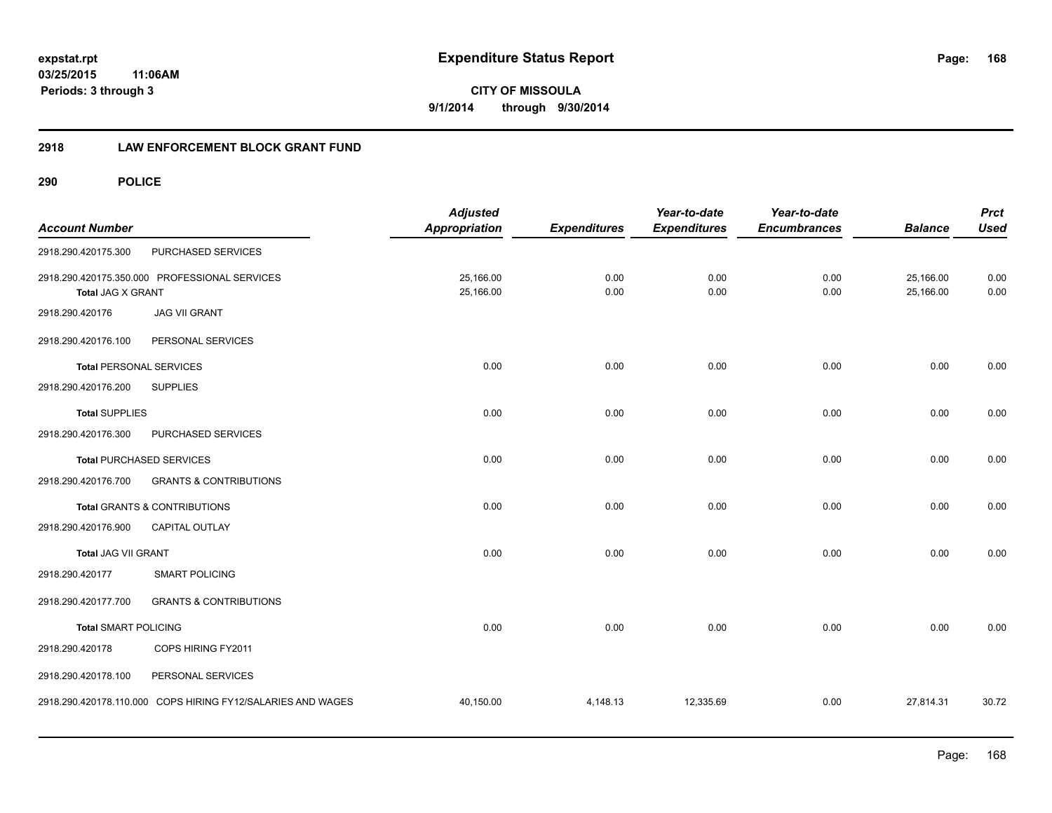**168**

**CITY OF MISSOULA 9/1/2014 through 9/30/2014**

## **2918 LAW ENFORCEMENT BLOCK GRANT FUND**

| <b>Account Number</b>          |                                                             | <b>Adjusted</b><br>Appropriation | <b>Expenditures</b> | Year-to-date<br><b>Expenditures</b> | Year-to-date<br><b>Encumbrances</b> | <b>Balance</b>         | <b>Prct</b><br><b>Used</b> |
|--------------------------------|-------------------------------------------------------------|----------------------------------|---------------------|-------------------------------------|-------------------------------------|------------------------|----------------------------|
| 2918.290.420175.300            | PURCHASED SERVICES                                          |                                  |                     |                                     |                                     |                        |                            |
| <b>Total JAG X GRANT</b>       | 2918.290.420175.350.000 PROFESSIONAL SERVICES               | 25,166.00<br>25,166.00           | 0.00<br>0.00        | 0.00<br>0.00                        | 0.00<br>0.00                        | 25,166.00<br>25,166.00 | 0.00<br>0.00               |
| 2918.290.420176                | <b>JAG VII GRANT</b>                                        |                                  |                     |                                     |                                     |                        |                            |
| 2918.290.420176.100            | PERSONAL SERVICES                                           |                                  |                     |                                     |                                     |                        |                            |
| <b>Total PERSONAL SERVICES</b> |                                                             | 0.00                             | 0.00                | 0.00                                | 0.00                                | 0.00                   | 0.00                       |
| 2918.290.420176.200            | <b>SUPPLIES</b>                                             |                                  |                     |                                     |                                     |                        |                            |
| <b>Total SUPPLIES</b>          |                                                             | 0.00                             | 0.00                | 0.00                                | 0.00                                | 0.00                   | 0.00                       |
| 2918.290.420176.300            | PURCHASED SERVICES                                          |                                  |                     |                                     |                                     |                        |                            |
|                                | <b>Total PURCHASED SERVICES</b>                             | 0.00                             | 0.00                | 0.00                                | 0.00                                | 0.00                   | 0.00                       |
| 2918.290.420176.700            | <b>GRANTS &amp; CONTRIBUTIONS</b>                           |                                  |                     |                                     |                                     |                        |                            |
|                                | <b>Total GRANTS &amp; CONTRIBUTIONS</b>                     | 0.00                             | 0.00                | 0.00                                | 0.00                                | 0.00                   | 0.00                       |
| 2918.290.420176.900            | CAPITAL OUTLAY                                              |                                  |                     |                                     |                                     |                        |                            |
| <b>Total JAG VII GRANT</b>     |                                                             | 0.00                             | 0.00                | 0.00                                | 0.00                                | 0.00                   | 0.00                       |
| 2918.290.420177                | <b>SMART POLICING</b>                                       |                                  |                     |                                     |                                     |                        |                            |
| 2918.290.420177.700            | <b>GRANTS &amp; CONTRIBUTIONS</b>                           |                                  |                     |                                     |                                     |                        |                            |
| <b>Total SMART POLICING</b>    |                                                             | 0.00                             | 0.00                | 0.00                                | 0.00                                | 0.00                   | 0.00                       |
| 2918.290.420178                | COPS HIRING FY2011                                          |                                  |                     |                                     |                                     |                        |                            |
| 2918.290.420178.100            | PERSONAL SERVICES                                           |                                  |                     |                                     |                                     |                        |                            |
|                                | 2918.290.420178.110.000 COPS HIRING FY12/SALARIES AND WAGES | 40,150.00                        | 4,148.13            | 12,335.69                           | 0.00                                | 27,814.31              | 30.72                      |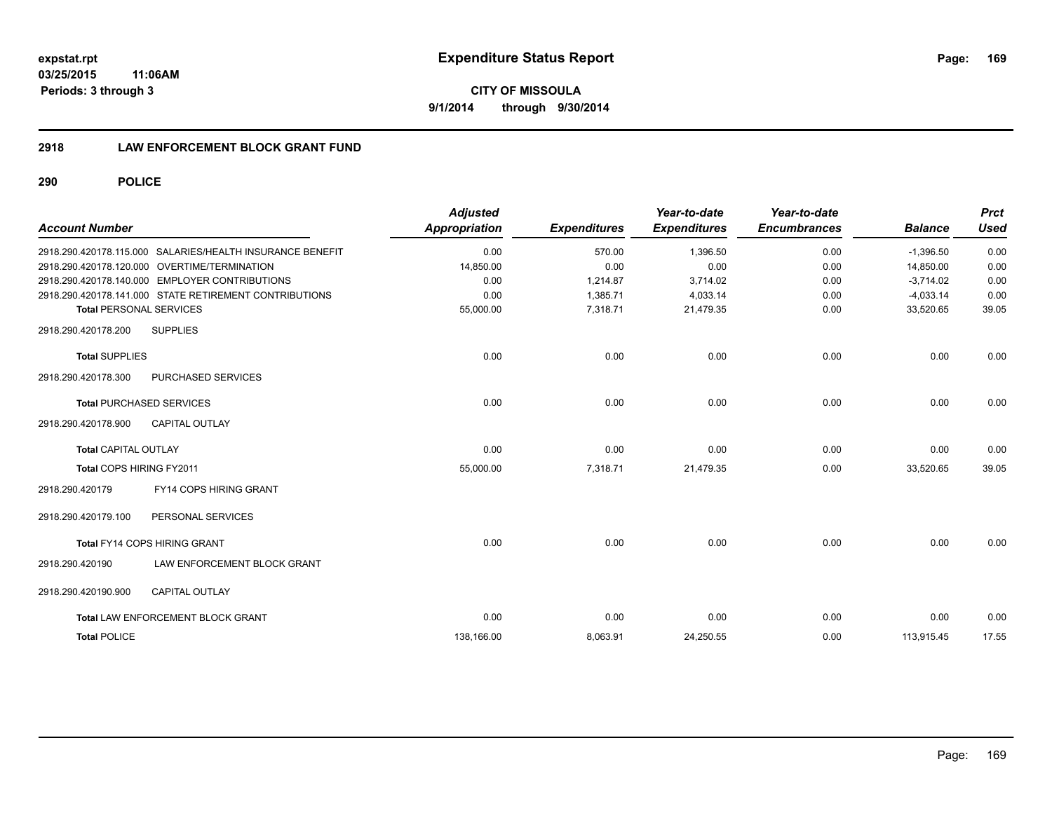## **2918 LAW ENFORCEMENT BLOCK GRANT FUND**

| <b>Account Number</b>                                     | <b>Adjusted</b><br>Appropriation | <b>Expenditures</b> | Year-to-date<br><b>Expenditures</b> | Year-to-date<br><b>Encumbrances</b> | <b>Balance</b> | <b>Prct</b><br><b>Used</b> |
|-----------------------------------------------------------|----------------------------------|---------------------|-------------------------------------|-------------------------------------|----------------|----------------------------|
| 2918.290.420178.115.000 SALARIES/HEALTH INSURANCE BENEFIT | 0.00                             | 570.00              | 1,396.50                            | 0.00                                | $-1,396.50$    | 0.00                       |
| 2918.290.420178.120.000 OVERTIME/TERMINATION              | 14,850.00                        | 0.00                | 0.00                                | 0.00                                | 14.850.00      | 0.00                       |
| 2918.290.420178.140.000 EMPLOYER CONTRIBUTIONS            | 0.00                             | 1,214.87            | 3,714.02                            | 0.00                                | $-3,714.02$    | 0.00                       |
| 2918.290.420178.141.000 STATE RETIREMENT CONTRIBUTIONS    | 0.00                             | 1,385.71            | 4,033.14                            | 0.00                                | $-4,033.14$    | 0.00                       |
| <b>Total PERSONAL SERVICES</b>                            | 55,000.00                        | 7,318.71            | 21,479.35                           | 0.00                                | 33,520.65      | 39.05                      |
| 2918.290.420178.200<br><b>SUPPLIES</b>                    |                                  |                     |                                     |                                     |                |                            |
| <b>Total SUPPLIES</b>                                     | 0.00                             | 0.00                | 0.00                                | 0.00                                | 0.00           | 0.00                       |
| PURCHASED SERVICES<br>2918.290.420178.300                 |                                  |                     |                                     |                                     |                |                            |
| <b>Total PURCHASED SERVICES</b>                           | 0.00                             | 0.00                | 0.00                                | 0.00                                | 0.00           | 0.00                       |
| <b>CAPITAL OUTLAY</b><br>2918.290.420178.900              |                                  |                     |                                     |                                     |                |                            |
| <b>Total CAPITAL OUTLAY</b>                               | 0.00                             | 0.00                | 0.00                                | 0.00                                | 0.00           | 0.00                       |
| Total COPS HIRING FY2011                                  | 55,000.00                        | 7,318.71            | 21,479.35                           | 0.00                                | 33,520.65      | 39.05                      |
| FY14 COPS HIRING GRANT<br>2918.290.420179                 |                                  |                     |                                     |                                     |                |                            |
| PERSONAL SERVICES<br>2918.290.420179.100                  |                                  |                     |                                     |                                     |                |                            |
| <b>Total FY14 COPS HIRING GRANT</b>                       | 0.00                             | 0.00                | 0.00                                | 0.00                                | 0.00           | 0.00                       |
| LAW ENFORCEMENT BLOCK GRANT<br>2918.290.420190            |                                  |                     |                                     |                                     |                |                            |
| <b>CAPITAL OUTLAY</b><br>2918.290.420190.900              |                                  |                     |                                     |                                     |                |                            |
| Total LAW ENFORCEMENT BLOCK GRANT                         | 0.00                             | 0.00                | 0.00                                | 0.00                                | 0.00           | 0.00                       |
| <b>Total POLICE</b>                                       | 138,166.00                       | 8,063.91            | 24,250.55                           | 0.00                                | 113,915.45     | 17.55                      |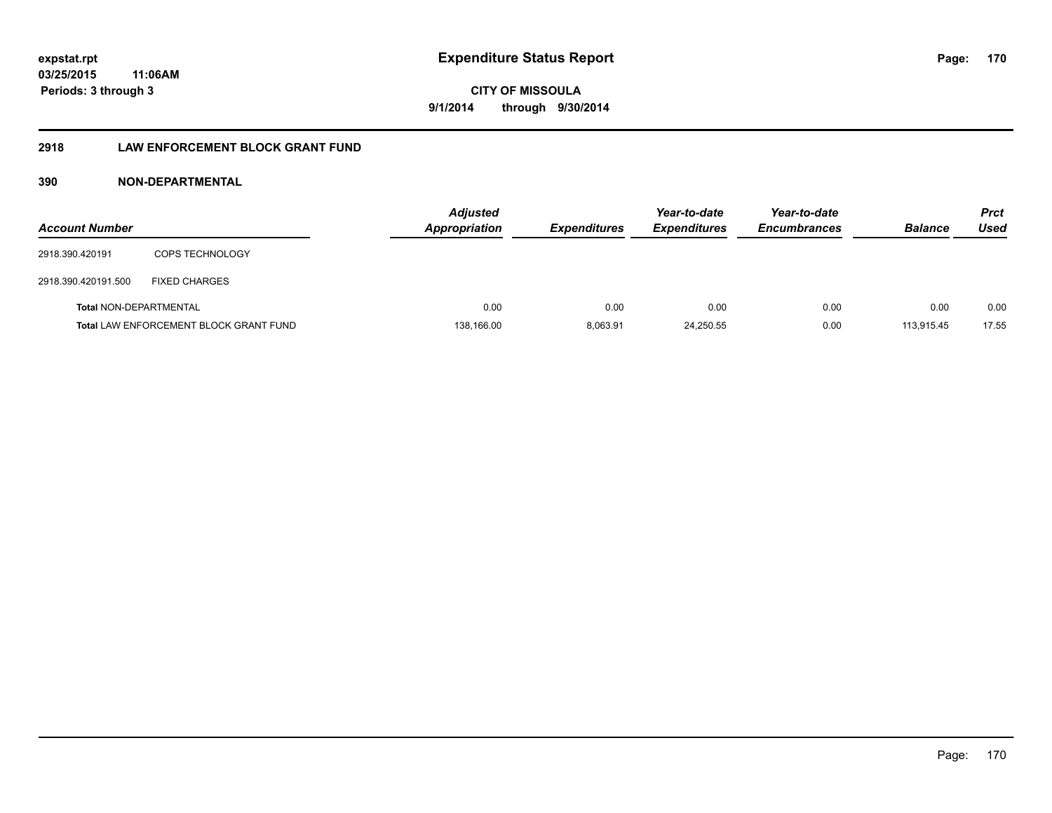## **2918 LAW ENFORCEMENT BLOCK GRANT FUND**

## **390 NON-DEPARTMENTAL**

| <b>Account Number</b>  |                                               | <b>Adjusted</b><br><b>Appropriation</b> | <b>Expenditures</b> | Year-to-date<br><b>Expenditures</b> | Year-to-date<br><b>Encumbrances</b> | <b>Balance</b> | <b>Prct</b><br>Used |
|------------------------|-----------------------------------------------|-----------------------------------------|---------------------|-------------------------------------|-------------------------------------|----------------|---------------------|
| 2918.390.420191        | <b>COPS TECHNOLOGY</b>                        |                                         |                     |                                     |                                     |                |                     |
| 2918.390.420191.500    | <b>FIXED CHARGES</b>                          |                                         |                     |                                     |                                     |                |                     |
| Total NON-DEPARTMENTAL |                                               | 0.00                                    | 0.00                | 0.00                                | 0.00                                | 0.00           | 0.00                |
|                        | <b>Total LAW ENFORCEMENT BLOCK GRANT FUND</b> | 138,166.00                              | 8.063.91            | 24.250.55                           | 0.00                                | 113.915.45     | 17.55               |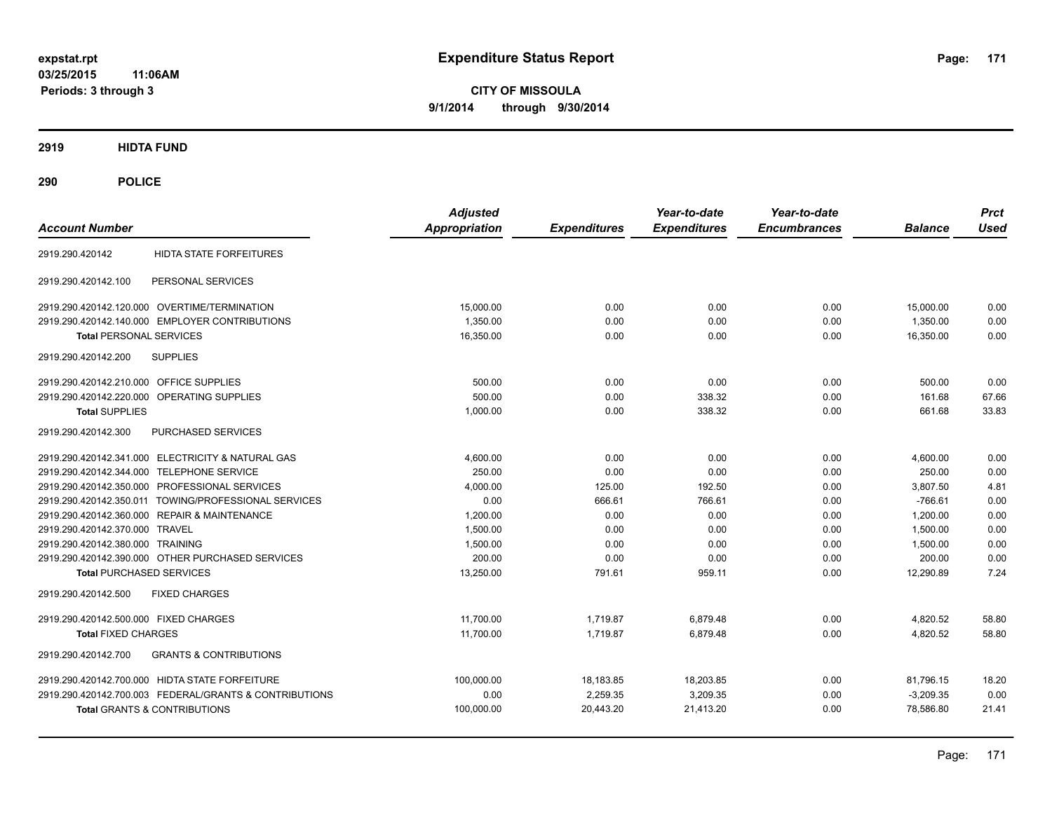**CITY OF MISSOULA 9/1/2014 through 9/30/2014**

**2919 HIDTA FUND**

| <b>Account Number</b>                                    | <b>Adjusted</b><br><b>Appropriation</b> | <b>Expenditures</b> | Year-to-date<br><b>Expenditures</b> | Year-to-date<br><b>Encumbrances</b> | <b>Balance</b> | <b>Prct</b><br><b>Used</b> |
|----------------------------------------------------------|-----------------------------------------|---------------------|-------------------------------------|-------------------------------------|----------------|----------------------------|
| <b>HIDTA STATE FORFEITURES</b><br>2919.290.420142        |                                         |                     |                                     |                                     |                |                            |
| PERSONAL SERVICES<br>2919.290.420142.100                 |                                         |                     |                                     |                                     |                |                            |
| 2919.290.420142.120.000 OVERTIME/TERMINATION             | 15,000.00                               | 0.00                | 0.00                                | 0.00                                | 15,000.00      | 0.00                       |
| 2919.290.420142.140.000 EMPLOYER CONTRIBUTIONS           | 1,350.00                                | 0.00                | 0.00                                | 0.00                                | 1,350.00       | 0.00                       |
| <b>Total PERSONAL SERVICES</b>                           | 16,350.00                               | 0.00                | 0.00                                | 0.00                                | 16,350.00      | 0.00                       |
| <b>SUPPLIES</b><br>2919.290.420142.200                   |                                         |                     |                                     |                                     |                |                            |
| 2919.290.420142.210.000 OFFICE SUPPLIES                  | 500.00                                  | 0.00                | 0.00                                | 0.00                                | 500.00         | 0.00                       |
| 2919.290.420142.220.000 OPERATING SUPPLIES               | 500.00                                  | 0.00                | 338.32                              | 0.00                                | 161.68         | 67.66                      |
| <b>Total SUPPLIES</b>                                    | 1,000.00                                | 0.00                | 338.32                              | 0.00                                | 661.68         | 33.83                      |
| PURCHASED SERVICES<br>2919.290.420142.300                |                                         |                     |                                     |                                     |                |                            |
| 2919.290.420142.341.000 ELECTRICITY & NATURAL GAS        | 4,600.00                                | 0.00                | 0.00                                | 0.00                                | 4,600.00       | 0.00                       |
| 2919.290.420142.344.000 TELEPHONE SERVICE                | 250.00                                  | 0.00                | 0.00                                | 0.00                                | 250.00         | 0.00                       |
| 2919.290.420142.350.000 PROFESSIONAL SERVICES            | 4,000.00                                | 125.00              | 192.50                              | 0.00                                | 3,807.50       | 4.81                       |
| 2919.290.420142.350.011 TOWING/PROFESSIONAL SERVICES     | 0.00                                    | 666.61              | 766.61                              | 0.00                                | $-766.61$      | 0.00                       |
| 2919.290.420142.360.000 REPAIR & MAINTENANCE             | 1.200.00                                | 0.00                | 0.00                                | 0.00                                | 1.200.00       | 0.00                       |
| 2919.290.420142.370.000 TRAVEL                           | 1,500.00                                | 0.00                | 0.00                                | 0.00                                | 1,500.00       | 0.00                       |
| 2919.290.420142.380.000 TRAINING                         | 1,500.00                                | 0.00                | 0.00                                | 0.00                                | 1,500.00       | 0.00                       |
| 2919.290.420142.390.000 OTHER PURCHASED SERVICES         | 200.00                                  | 0.00                | 0.00                                | 0.00                                | 200.00         | 0.00                       |
| <b>Total PURCHASED SERVICES</b>                          | 13,250.00                               | 791.61              | 959.11                              | 0.00                                | 12,290.89      | 7.24                       |
| 2919.290.420142.500<br><b>FIXED CHARGES</b>              |                                         |                     |                                     |                                     |                |                            |
| 2919.290.420142.500.000 FIXED CHARGES                    | 11.700.00                               | 1,719.87            | 6,879.48                            | 0.00                                | 4,820.52       | 58.80                      |
| <b>Total FIXED CHARGES</b>                               | 11,700.00                               | 1,719.87            | 6,879.48                            | 0.00                                | 4,820.52       | 58.80                      |
| <b>GRANTS &amp; CONTRIBUTIONS</b><br>2919.290.420142.700 |                                         |                     |                                     |                                     |                |                            |
| 2919.290.420142.700.000 HIDTA STATE FORFEITURE           | 100,000.00                              | 18,183.85           | 18,203.85                           | 0.00                                | 81,796.15      | 18.20                      |
| 2919.290.420142.700.003 FEDERAL/GRANTS & CONTRIBUTIONS   | 0.00                                    | 2,259.35            | 3,209.35                            | 0.00                                | $-3,209.35$    | 0.00                       |
| <b>Total GRANTS &amp; CONTRIBUTIONS</b>                  | 100,000.00                              | 20,443.20           | 21,413.20                           | 0.00                                | 78,586.80      | 21.41                      |
|                                                          |                                         |                     |                                     |                                     |                |                            |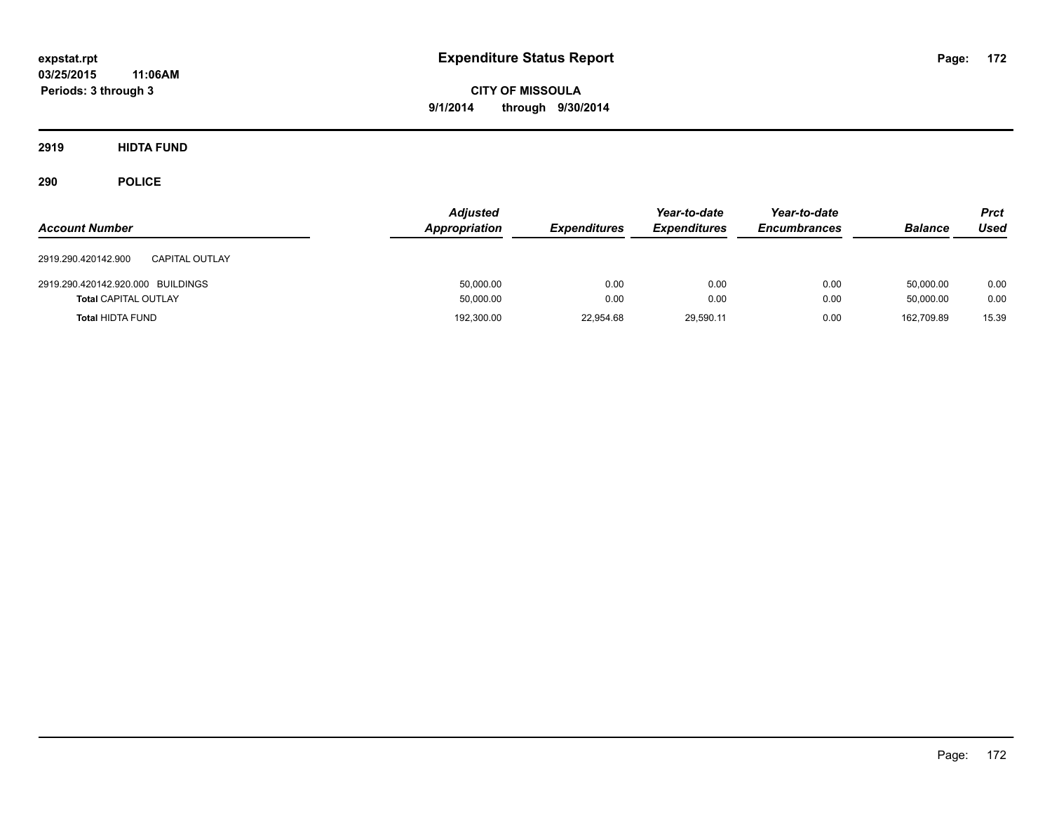**CITY OF MISSOULA 9/1/2014 through 9/30/2014**

**2919 HIDTA FUND**

| <b>Account Number</b>                 | <b>Adjusted</b><br>Appropriation | <b>Expenditures</b> | Year-to-date<br><b>Expenditures</b> | Year-to-date<br><b>Encumbrances</b> | <b>Balance</b> | Prct<br>Used |
|---------------------------------------|----------------------------------|---------------------|-------------------------------------|-------------------------------------|----------------|--------------|
| CAPITAL OUTLAY<br>2919.290.420142.900 |                                  |                     |                                     |                                     |                |              |
| 2919.290.420142.920.000 BUILDINGS     | 50,000.00                        | 0.00                | 0.00                                | 0.00                                | 50.000.00      | 0.00         |
| <b>Total CAPITAL OUTLAY</b>           | 50,000.00                        | 0.00                | 0.00                                | 0.00                                | 50.000.00      | 0.00         |
| <b>Total HIDTA FUND</b>               | 192,300.00                       | 22,954.68           | 29,590.11                           | 0.00                                | 162.709.89     | 15.39        |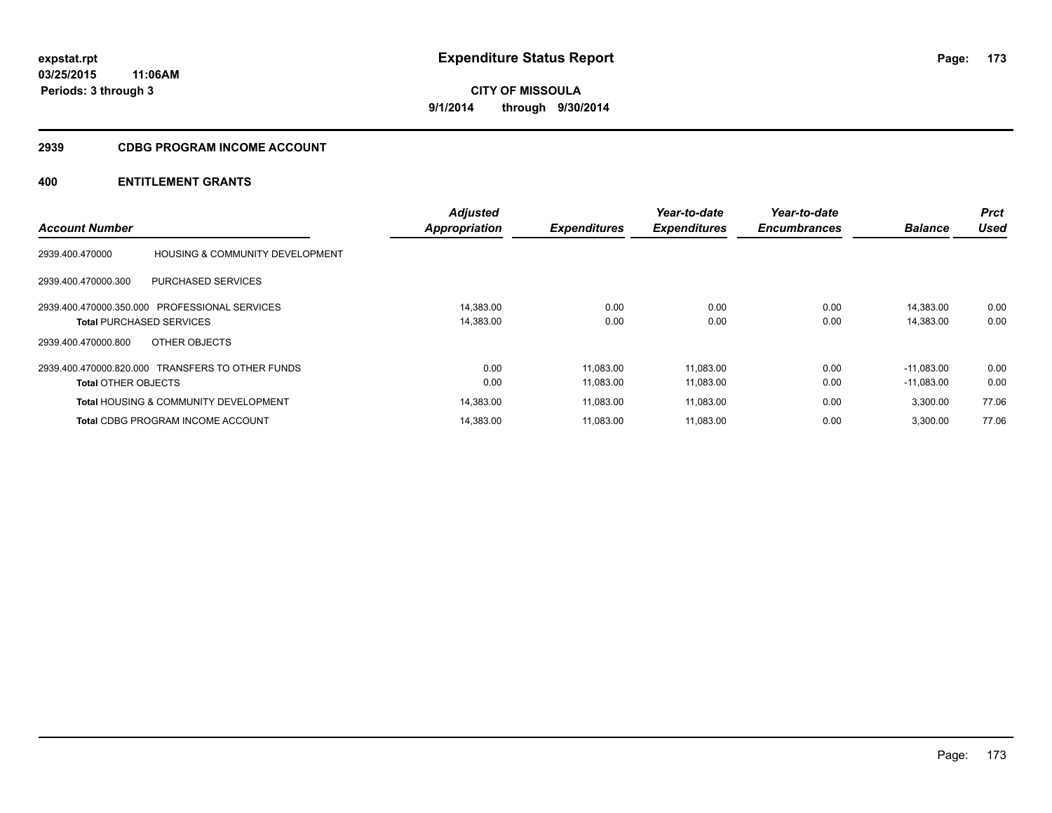#### **2939 CDBG PROGRAM INCOME ACCOUNT**

|                                 |                                                  | <b>Adjusted</b>      |                     | Year-to-date        | Year-to-date        |                | <b>Prct</b> |
|---------------------------------|--------------------------------------------------|----------------------|---------------------|---------------------|---------------------|----------------|-------------|
| <b>Account Number</b>           |                                                  | <b>Appropriation</b> | <b>Expenditures</b> | <b>Expenditures</b> | <b>Encumbrances</b> | <b>Balance</b> | <b>Used</b> |
| 2939.400.470000                 | <b>HOUSING &amp; COMMUNITY DEVELOPMENT</b>       |                      |                     |                     |                     |                |             |
| 2939.400.470000.300             | <b>PURCHASED SERVICES</b>                        |                      |                     |                     |                     |                |             |
|                                 | 2939.400.470000.350.000 PROFESSIONAL SERVICES    | 14.383.00            | 0.00                | 0.00                | 0.00                | 14.383.00      | 0.00        |
| <b>Total PURCHASED SERVICES</b> |                                                  | 14,383.00            | 0.00                | 0.00                | 0.00                | 14,383.00      | 0.00        |
| 2939.400.470000.800             | OTHER OBJECTS                                    |                      |                     |                     |                     |                |             |
|                                 | 2939.400.470000.820.000 TRANSFERS TO OTHER FUNDS | 0.00                 | 11.083.00           | 11,083.00           | 0.00                | $-11.083.00$   | 0.00        |
| <b>Total OTHER OBJECTS</b>      |                                                  | 0.00                 | 11,083.00           | 11,083.00           | 0.00                | $-11,083.00$   | 0.00        |
|                                 | <b>Total HOUSING &amp; COMMUNITY DEVELOPMENT</b> | 14,383.00            | 11,083.00           | 11,083.00           | 0.00                | 3,300.00       | 77.06       |
|                                 | <b>Total CDBG PROGRAM INCOME ACCOUNT</b>         | 14,383.00            | 11.083.00           | 11,083.00           | 0.00                | 3.300.00       | 77.06       |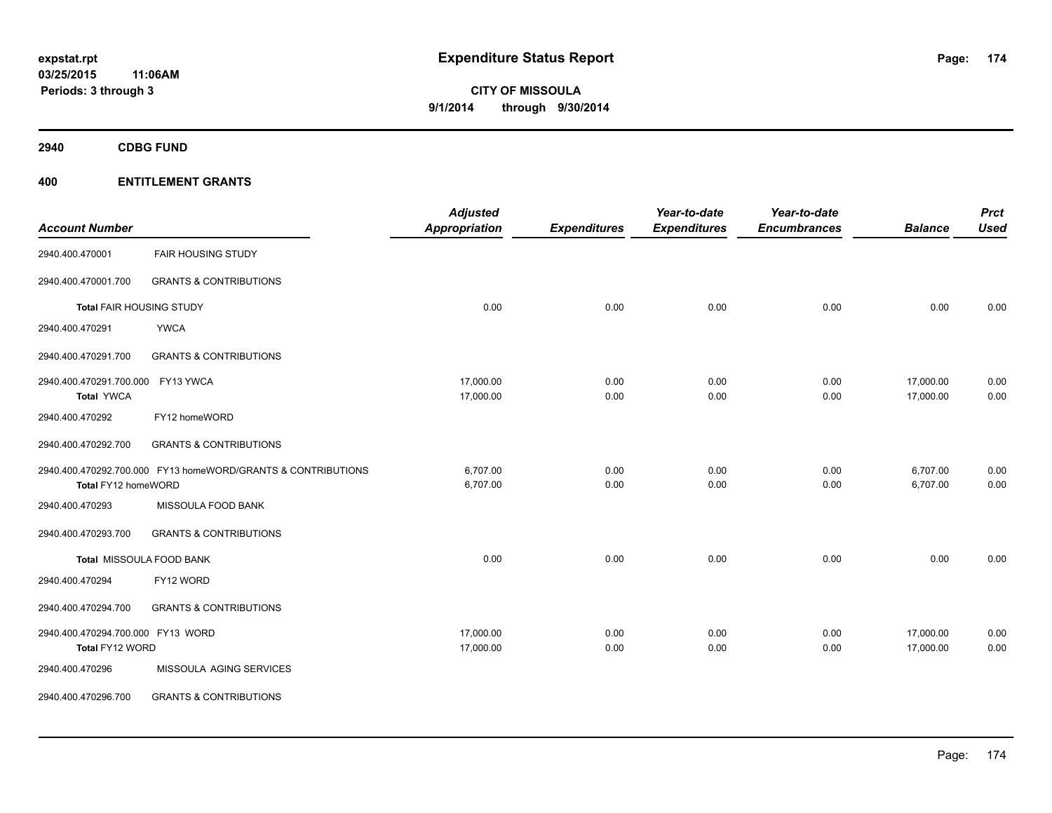**2940 CDBG FUND**

|                                   |                                                              | <b>Adjusted</b>      |                     | Year-to-date        | Year-to-date        |                | <b>Prct</b><br><b>Used</b> |
|-----------------------------------|--------------------------------------------------------------|----------------------|---------------------|---------------------|---------------------|----------------|----------------------------|
| <b>Account Number</b>             |                                                              | <b>Appropriation</b> | <b>Expenditures</b> | <b>Expenditures</b> | <b>Encumbrances</b> | <b>Balance</b> |                            |
| 2940.400.470001                   | <b>FAIR HOUSING STUDY</b>                                    |                      |                     |                     |                     |                |                            |
| 2940.400.470001.700               | <b>GRANTS &amp; CONTRIBUTIONS</b>                            |                      |                     |                     |                     |                |                            |
| <b>Total FAIR HOUSING STUDY</b>   |                                                              | 0.00                 | 0.00                | 0.00                | 0.00                | 0.00           | 0.00                       |
| 2940.400.470291                   | <b>YWCA</b>                                                  |                      |                     |                     |                     |                |                            |
| 2940.400.470291.700               | <b>GRANTS &amp; CONTRIBUTIONS</b>                            |                      |                     |                     |                     |                |                            |
| 2940.400.470291.700.000           | FY13 YWCA                                                    | 17,000.00            | 0.00                | 0.00                | 0.00                | 17,000.00      | 0.00                       |
| <b>Total YWCA</b>                 |                                                              | 17,000.00            | 0.00                | 0.00                | 0.00                | 17,000.00      | 0.00                       |
| 2940.400.470292                   | FY12 homeWORD                                                |                      |                     |                     |                     |                |                            |
| 2940.400.470292.700               | <b>GRANTS &amp; CONTRIBUTIONS</b>                            |                      |                     |                     |                     |                |                            |
|                                   | 2940.400.470292.700.000 FY13 homeWORD/GRANTS & CONTRIBUTIONS | 6,707.00             | 0.00                | 0.00                | 0.00                | 6,707.00       | 0.00                       |
| Total FY12 homeWORD               |                                                              | 6,707.00             | 0.00                | 0.00                | 0.00                | 6,707.00       | 0.00                       |
| 2940.400.470293                   | MISSOULA FOOD BANK                                           |                      |                     |                     |                     |                |                            |
| 2940.400.470293.700               | <b>GRANTS &amp; CONTRIBUTIONS</b>                            |                      |                     |                     |                     |                |                            |
|                                   | Total MISSOULA FOOD BANK                                     | 0.00                 | 0.00                | 0.00                | 0.00                | 0.00           | 0.00                       |
| 2940.400.470294                   | FY12 WORD                                                    |                      |                     |                     |                     |                |                            |
| 2940.400.470294.700               | <b>GRANTS &amp; CONTRIBUTIONS</b>                            |                      |                     |                     |                     |                |                            |
| 2940.400.470294.700.000 FY13 WORD |                                                              | 17,000.00            | 0.00                | 0.00                | 0.00                | 17,000.00      | 0.00                       |
| Total FY12 WORD                   |                                                              | 17,000.00            | 0.00                | 0.00                | 0.00                | 17,000.00      | 0.00                       |
| 2940.400.470296                   | MISSOULA AGING SERVICES                                      |                      |                     |                     |                     |                |                            |
| 2940.400.470296.700               | <b>GRANTS &amp; CONTRIBUTIONS</b>                            |                      |                     |                     |                     |                |                            |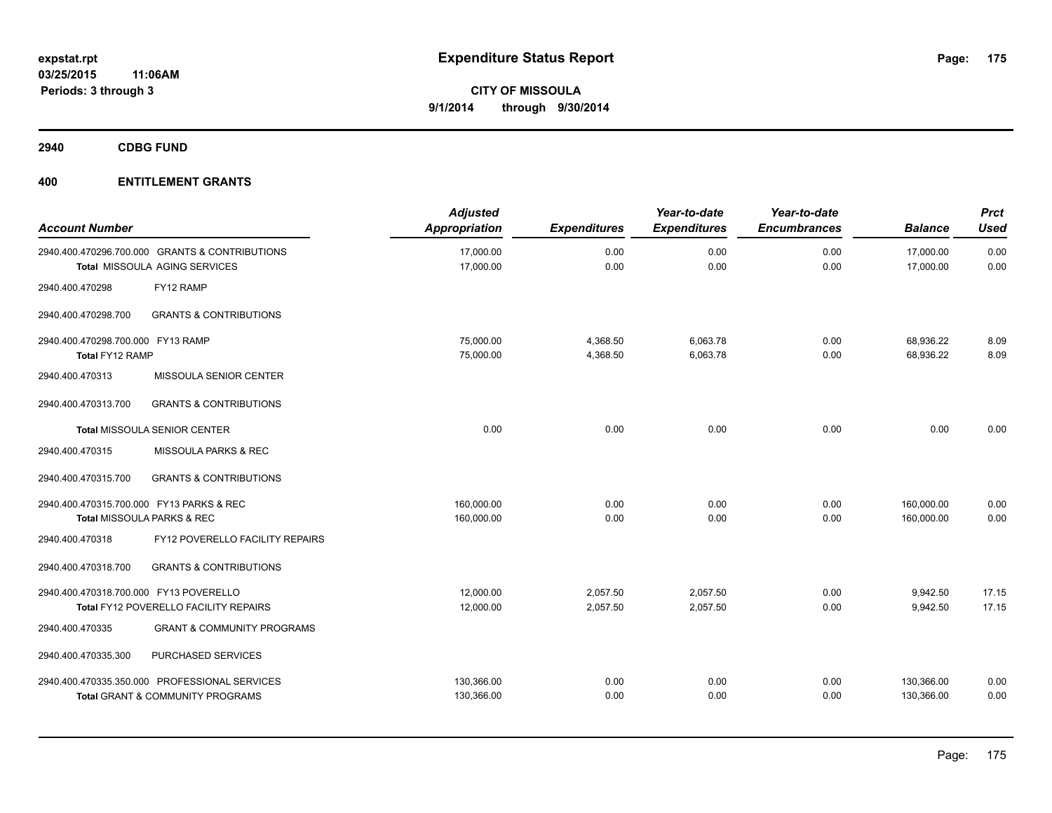**2940 CDBG FUND**

| <b>Account Number</b>                                |                                                                                              | <b>Adjusted</b><br>Appropriation | <b>Expenditures</b>  | Year-to-date<br><b>Expenditures</b> | Year-to-date<br><b>Encumbrances</b> | <b>Balance</b>           | <b>Prct</b><br><b>Used</b> |
|------------------------------------------------------|----------------------------------------------------------------------------------------------|----------------------------------|----------------------|-------------------------------------|-------------------------------------|--------------------------|----------------------------|
|                                                      | 2940.400.470296.700.000 GRANTS & CONTRIBUTIONS<br>Total MISSOULA AGING SERVICES              | 17,000.00<br>17,000.00           | 0.00<br>0.00         | 0.00<br>0.00                        | 0.00<br>0.00                        | 17,000.00<br>17,000.00   | 0.00<br>0.00               |
| 2940.400.470298                                      | FY12 RAMP                                                                                    |                                  |                      |                                     |                                     |                          |                            |
| 2940.400.470298.700                                  | <b>GRANTS &amp; CONTRIBUTIONS</b>                                                            |                                  |                      |                                     |                                     |                          |                            |
| 2940.400.470298.700.000 FY13 RAMP<br>Total FY12 RAMP |                                                                                              | 75,000.00<br>75,000.00           | 4,368.50<br>4,368.50 | 6,063.78<br>6,063.78                | 0.00<br>0.00                        | 68,936.22<br>68,936.22   | 8.09<br>8.09               |
| 2940.400.470313                                      | MISSOULA SENIOR CENTER                                                                       |                                  |                      |                                     |                                     |                          |                            |
| 2940.400.470313.700                                  | <b>GRANTS &amp; CONTRIBUTIONS</b>                                                            |                                  |                      |                                     |                                     |                          |                            |
|                                                      | Total MISSOULA SENIOR CENTER                                                                 | 0.00                             | 0.00                 | 0.00                                | 0.00                                | 0.00                     | 0.00                       |
| 2940.400.470315                                      | MISSOULA PARKS & REC                                                                         |                                  |                      |                                     |                                     |                          |                            |
| 2940.400.470315.700                                  | <b>GRANTS &amp; CONTRIBUTIONS</b>                                                            |                                  |                      |                                     |                                     |                          |                            |
| 2940.400.470315.700.000 FY13 PARKS & REC             | Total MISSOULA PARKS & REC                                                                   | 160,000.00<br>160,000.00         | 0.00<br>0.00         | 0.00<br>0.00                        | 0.00<br>0.00                        | 160,000.00<br>160,000.00 | 0.00<br>0.00               |
| 2940.400.470318                                      | FY12 POVERELLO FACILITY REPAIRS                                                              |                                  |                      |                                     |                                     |                          |                            |
| 2940.400.470318.700                                  | <b>GRANTS &amp; CONTRIBUTIONS</b>                                                            |                                  |                      |                                     |                                     |                          |                            |
| 2940.400.470318.700.000 FY13 POVERELLO               | Total FY12 POVERELLO FACILITY REPAIRS                                                        | 12,000.00<br>12,000.00           | 2,057.50<br>2,057.50 | 2,057.50<br>2,057.50                | 0.00<br>0.00                        | 9,942.50<br>9,942.50     | 17.15<br>17.15             |
| 2940.400.470335                                      | <b>GRANT &amp; COMMUNITY PROGRAMS</b>                                                        |                                  |                      |                                     |                                     |                          |                            |
| 2940.400.470335.300                                  | PURCHASED SERVICES                                                                           |                                  |                      |                                     |                                     |                          |                            |
|                                                      | 2940.400.470335.350.000 PROFESSIONAL SERVICES<br><b>Total GRANT &amp; COMMUNITY PROGRAMS</b> | 130,366.00<br>130,366.00         | 0.00<br>0.00         | 0.00<br>0.00                        | 0.00<br>0.00                        | 130,366.00<br>130,366.00 | 0.00<br>0.00               |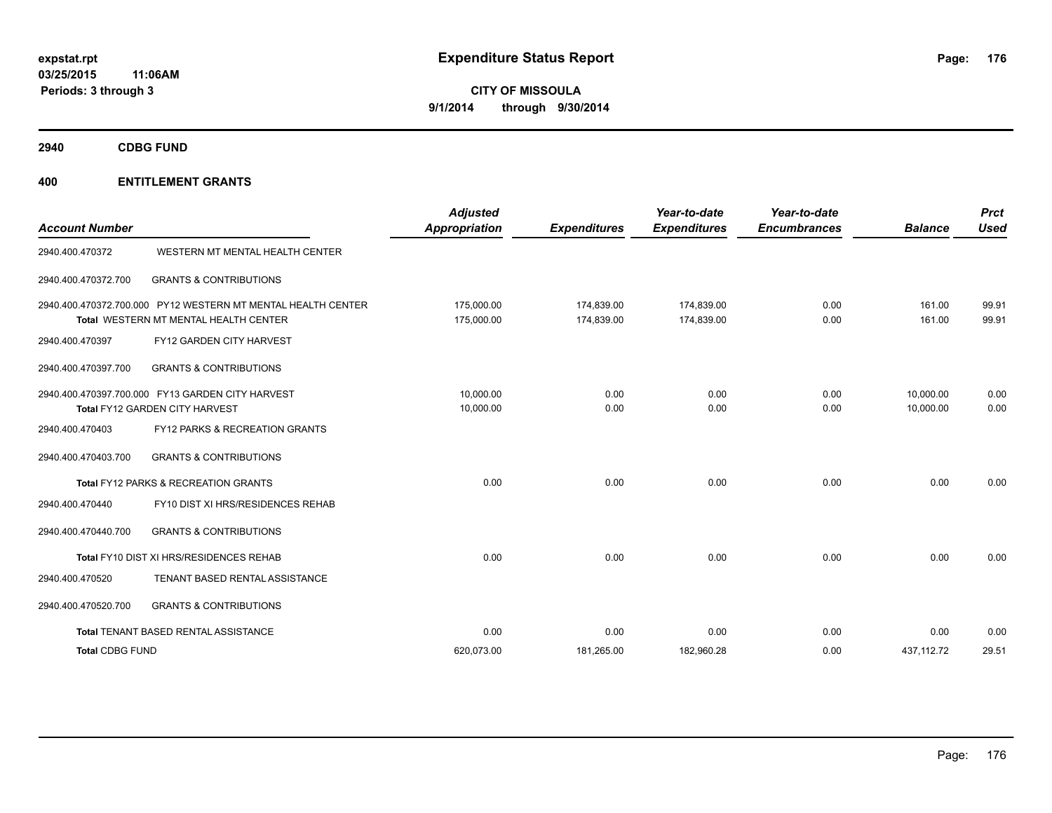**2940 CDBG FUND**

| <b>Account Number</b>  |                                                                                                              | <b>Adjusted</b><br>Appropriation | <b>Expenditures</b>      | Year-to-date<br><b>Expenditures</b> | Year-to-date<br><b>Encumbrances</b> | <b>Balance</b>         | <b>Prct</b><br><b>Used</b> |
|------------------------|--------------------------------------------------------------------------------------------------------------|----------------------------------|--------------------------|-------------------------------------|-------------------------------------|------------------------|----------------------------|
| 2940.400.470372        | WESTERN MT MENTAL HEALTH CENTER                                                                              |                                  |                          |                                     |                                     |                        |                            |
| 2940.400.470372.700    | <b>GRANTS &amp; CONTRIBUTIONS</b>                                                                            |                                  |                          |                                     |                                     |                        |                            |
|                        | 2940.400.470372.700.000 PY12 WESTERN MT MENTAL HEALTH CENTER<br><b>Total WESTERN MT MENTAL HEALTH CENTER</b> | 175,000.00<br>175,000.00         | 174,839.00<br>174,839.00 | 174,839.00<br>174,839.00            | 0.00<br>0.00                        | 161.00<br>161.00       | 99.91<br>99.91             |
| 2940.400.470397        | FY12 GARDEN CITY HARVEST                                                                                     |                                  |                          |                                     |                                     |                        |                            |
| 2940.400.470397.700    | <b>GRANTS &amp; CONTRIBUTIONS</b>                                                                            |                                  |                          |                                     |                                     |                        |                            |
|                        | 2940.400.470397.700.000 FY13 GARDEN CITY HARVEST<br>Total FY12 GARDEN CITY HARVEST                           | 10,000.00<br>10,000.00           | 0.00<br>0.00             | 0.00<br>0.00                        | 0.00<br>0.00                        | 10,000.00<br>10.000.00 | 0.00<br>0.00               |
| 2940.400.470403        | FY12 PARKS & RECREATION GRANTS                                                                               |                                  |                          |                                     |                                     |                        |                            |
| 2940.400.470403.700    | <b>GRANTS &amp; CONTRIBUTIONS</b>                                                                            |                                  |                          |                                     |                                     |                        |                            |
|                        | <b>Total FY12 PARKS &amp; RECREATION GRANTS</b>                                                              | 0.00                             | 0.00                     | 0.00                                | 0.00                                | 0.00                   | 0.00                       |
| 2940.400.470440        | FY10 DIST XI HRS/RESIDENCES REHAB                                                                            |                                  |                          |                                     |                                     |                        |                            |
| 2940.400.470440.700    | <b>GRANTS &amp; CONTRIBUTIONS</b>                                                                            |                                  |                          |                                     |                                     |                        |                            |
|                        | Total FY10 DIST XI HRS/RESIDENCES REHAB                                                                      | 0.00                             | 0.00                     | 0.00                                | 0.00                                | 0.00                   | 0.00                       |
| 2940.400.470520        | TENANT BASED RENTAL ASSISTANCE                                                                               |                                  |                          |                                     |                                     |                        |                            |
| 2940.400.470520.700    | <b>GRANTS &amp; CONTRIBUTIONS</b>                                                                            |                                  |                          |                                     |                                     |                        |                            |
|                        | Total TENANT BASED RENTAL ASSISTANCE                                                                         | 0.00                             | 0.00                     | 0.00                                | 0.00                                | 0.00                   | 0.00                       |
| <b>Total CDBG FUND</b> |                                                                                                              | 620.073.00                       | 181,265.00               | 182,960.28                          | 0.00                                | 437.112.72             | 29.51                      |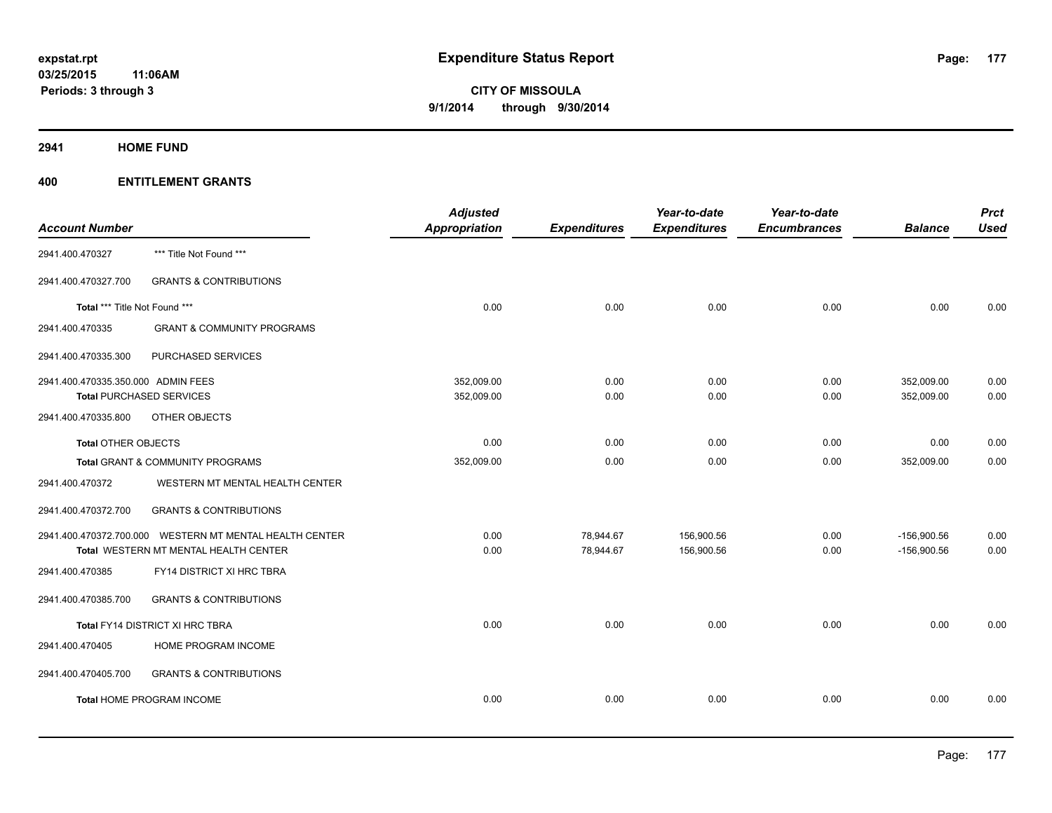**2941 HOME FUND**

| <b>Account Number</b>              |                                                         | <b>Adjusted</b><br>Appropriation | <b>Expenditures</b> | Year-to-date<br><b>Expenditures</b> | Year-to-date<br><b>Encumbrances</b> | <b>Balance</b> | <b>Prct</b><br><b>Used</b> |
|------------------------------------|---------------------------------------------------------|----------------------------------|---------------------|-------------------------------------|-------------------------------------|----------------|----------------------------|
| 2941.400.470327                    | *** Title Not Found ***                                 |                                  |                     |                                     |                                     |                |                            |
| 2941.400.470327.700                | <b>GRANTS &amp; CONTRIBUTIONS</b>                       |                                  |                     |                                     |                                     |                |                            |
| Total *** Title Not Found ***      |                                                         | 0.00                             | 0.00                | 0.00                                | 0.00                                | 0.00           | 0.00                       |
| 2941.400.470335                    | <b>GRANT &amp; COMMUNITY PROGRAMS</b>                   |                                  |                     |                                     |                                     |                |                            |
| 2941.400.470335.300                | PURCHASED SERVICES                                      |                                  |                     |                                     |                                     |                |                            |
| 2941.400.470335.350.000 ADMIN FEES |                                                         | 352,009.00                       | 0.00                | 0.00                                | 0.00                                | 352,009.00     | 0.00                       |
| <b>Total PURCHASED SERVICES</b>    |                                                         | 352,009.00                       | 0.00                | 0.00                                | 0.00                                | 352,009.00     | 0.00                       |
| 2941.400.470335.800                | OTHER OBJECTS                                           |                                  |                     |                                     |                                     |                |                            |
| <b>Total OTHER OBJECTS</b>         |                                                         | 0.00                             | 0.00                | 0.00                                | 0.00                                | 0.00           | 0.00                       |
|                                    | Total GRANT & COMMUNITY PROGRAMS                        | 352,009.00                       | 0.00                | 0.00                                | 0.00                                | 352,009.00     | 0.00                       |
| 2941.400.470372                    | WESTERN MT MENTAL HEALTH CENTER                         |                                  |                     |                                     |                                     |                |                            |
| 2941.400.470372.700                | <b>GRANTS &amp; CONTRIBUTIONS</b>                       |                                  |                     |                                     |                                     |                |                            |
|                                    | 2941.400.470372.700.000 WESTERN MT MENTAL HEALTH CENTER | 0.00                             | 78,944.67           | 156,900.56                          | 0.00                                | $-156,900.56$  | 0.00                       |
|                                    | Total WESTERN MT MENTAL HEALTH CENTER                   | 0.00                             | 78,944.67           | 156,900.56                          | 0.00                                | $-156,900.56$  | 0.00                       |
| 2941.400.470385                    | FY14 DISTRICT XI HRC TBRA                               |                                  |                     |                                     |                                     |                |                            |
| 2941.400.470385.700                | <b>GRANTS &amp; CONTRIBUTIONS</b>                       |                                  |                     |                                     |                                     |                |                            |
|                                    | Total FY14 DISTRICT XI HRC TBRA                         | 0.00                             | 0.00                | 0.00                                | 0.00                                | 0.00           | 0.00                       |
| 2941.400.470405                    | HOME PROGRAM INCOME                                     |                                  |                     |                                     |                                     |                |                            |
| 2941.400.470405.700                | <b>GRANTS &amp; CONTRIBUTIONS</b>                       |                                  |                     |                                     |                                     |                |                            |
|                                    | Total HOME PROGRAM INCOME                               | 0.00                             | 0.00                | 0.00                                | 0.00                                | 0.00           | 0.00                       |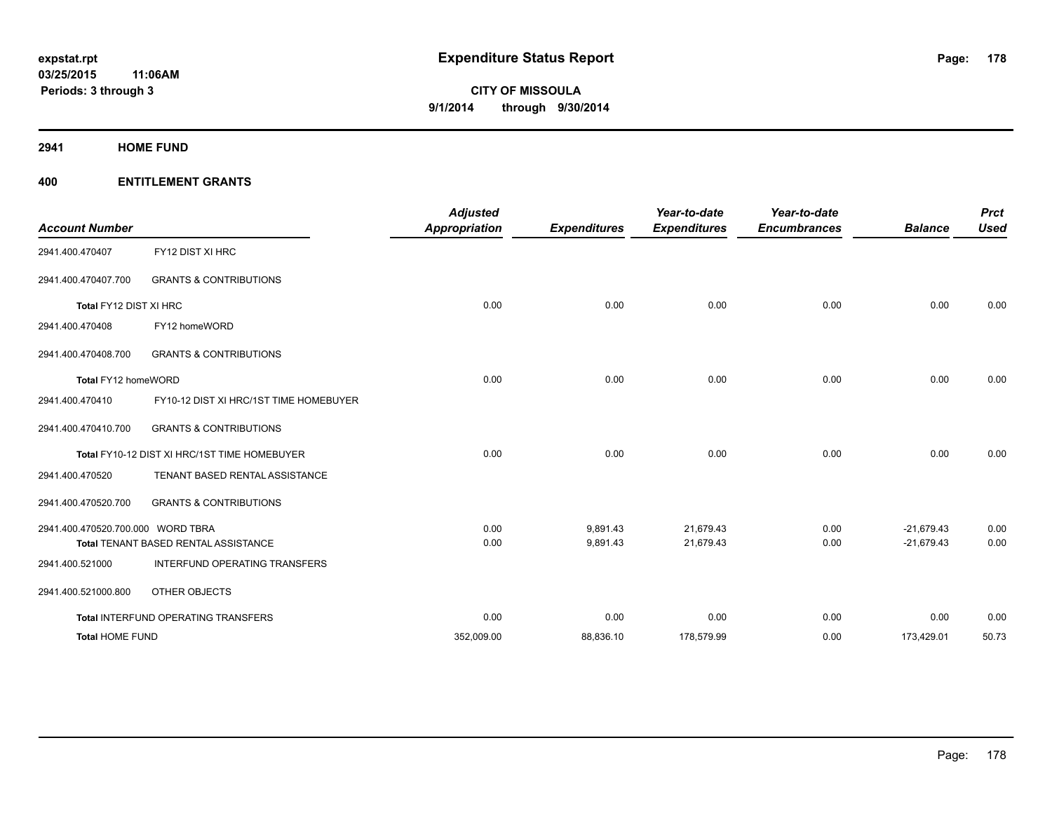**2941 HOME FUND**

| <b>Account Number</b>             |                                              | <b>Adjusted</b><br><b>Appropriation</b> | <b>Expenditures</b> | Year-to-date<br><b>Expenditures</b> | Year-to-date<br><b>Encumbrances</b> | <b>Balance</b> | <b>Prct</b><br><b>Used</b> |
|-----------------------------------|----------------------------------------------|-----------------------------------------|---------------------|-------------------------------------|-------------------------------------|----------------|----------------------------|
| 2941.400.470407                   | FY12 DIST XI HRC                             |                                         |                     |                                     |                                     |                |                            |
| 2941.400.470407.700               | <b>GRANTS &amp; CONTRIBUTIONS</b>            |                                         |                     |                                     |                                     |                |                            |
| Total FY12 DIST XI HRC            |                                              | 0.00                                    | 0.00                | 0.00                                | 0.00                                | 0.00           | 0.00                       |
| 2941.400.470408                   | FY12 homeWORD                                |                                         |                     |                                     |                                     |                |                            |
| 2941.400.470408.700               | <b>GRANTS &amp; CONTRIBUTIONS</b>            |                                         |                     |                                     |                                     |                |                            |
| Total FY12 homeWORD               |                                              | 0.00                                    | 0.00                | 0.00                                | 0.00                                | 0.00           | 0.00                       |
| 2941.400.470410                   | FY10-12 DIST XI HRC/1ST TIME HOMEBUYER       |                                         |                     |                                     |                                     |                |                            |
| 2941.400.470410.700               | <b>GRANTS &amp; CONTRIBUTIONS</b>            |                                         |                     |                                     |                                     |                |                            |
|                                   | Total FY10-12 DIST XI HRC/1ST TIME HOMEBUYER | 0.00                                    | 0.00                | 0.00                                | 0.00                                | 0.00           | 0.00                       |
| 2941.400.470520                   | TENANT BASED RENTAL ASSISTANCE               |                                         |                     |                                     |                                     |                |                            |
| 2941.400.470520.700               | <b>GRANTS &amp; CONTRIBUTIONS</b>            |                                         |                     |                                     |                                     |                |                            |
| 2941.400.470520.700.000 WORD TBRA |                                              | 0.00                                    | 9,891.43            | 21,679.43                           | 0.00                                | $-21.679.43$   | 0.00                       |
|                                   | Total TENANT BASED RENTAL ASSISTANCE         | 0.00                                    | 9,891.43            | 21,679.43                           | 0.00                                | $-21,679.43$   | 0.00                       |
| 2941.400.521000                   | INTERFUND OPERATING TRANSFERS                |                                         |                     |                                     |                                     |                |                            |
| 2941.400.521000.800               | OTHER OBJECTS                                |                                         |                     |                                     |                                     |                |                            |
|                                   | Total INTERFUND OPERATING TRANSFERS          | 0.00                                    | 0.00                | 0.00                                | 0.00                                | 0.00           | 0.00                       |
| <b>Total HOME FUND</b>            |                                              | 352,009.00                              | 88,836.10           | 178,579.99                          | 0.00                                | 173,429.01     | 50.73                      |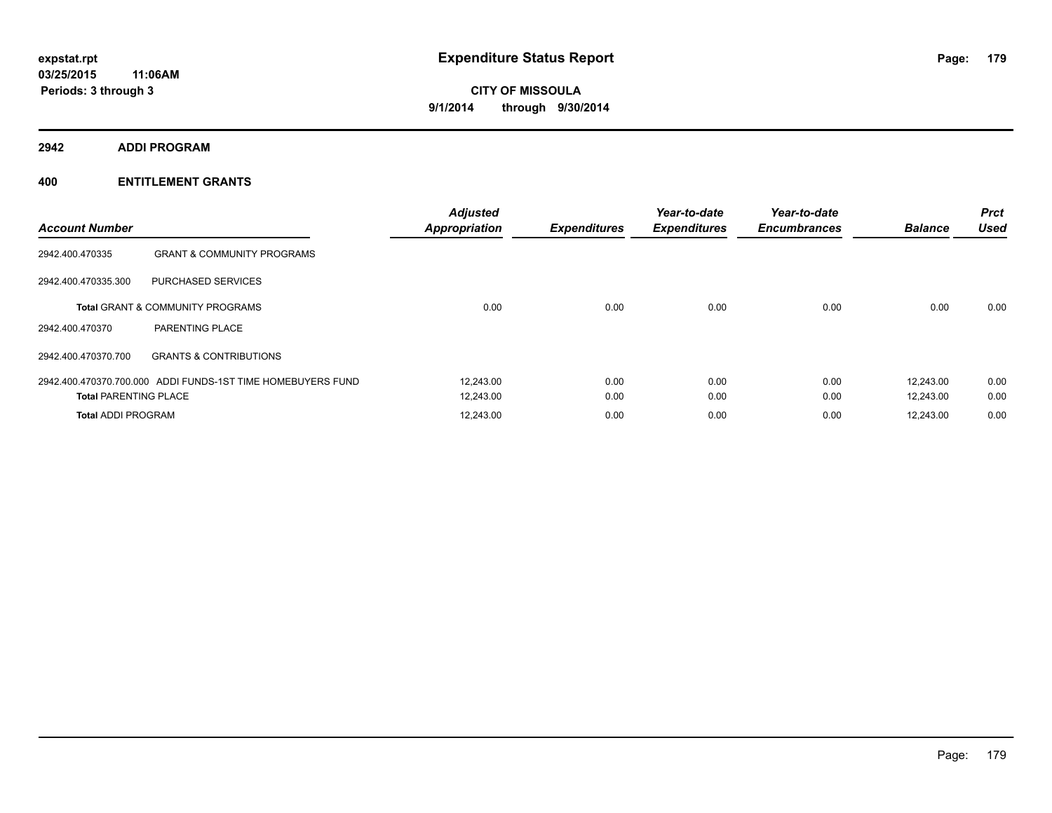**2942 ADDI PROGRAM**

| <b>Account Number</b>        |                                                             | <b>Adjusted</b><br><b>Appropriation</b> | <b>Expenditures</b> | Year-to-date<br><b>Expenditures</b> | Year-to-date<br><b>Encumbrances</b> | <b>Balance</b> | <b>Prct</b><br><b>Used</b> |
|------------------------------|-------------------------------------------------------------|-----------------------------------------|---------------------|-------------------------------------|-------------------------------------|----------------|----------------------------|
| 2942.400.470335              | <b>GRANT &amp; COMMUNITY PROGRAMS</b>                       |                                         |                     |                                     |                                     |                |                            |
| 2942.400.470335.300          | PURCHASED SERVICES                                          |                                         |                     |                                     |                                     |                |                            |
|                              | <b>Total GRANT &amp; COMMUNITY PROGRAMS</b>                 | 0.00                                    | 0.00                | 0.00                                | 0.00                                | 0.00           | 0.00                       |
| 2942.400.470370              | PARENTING PLACE                                             |                                         |                     |                                     |                                     |                |                            |
| 2942.400.470370.700          | <b>GRANTS &amp; CONTRIBUTIONS</b>                           |                                         |                     |                                     |                                     |                |                            |
|                              | 2942.400.470370.700.000 ADDI FUNDS-1ST TIME HOMEBUYERS FUND | 12,243.00                               | 0.00                | 0.00                                | 0.00                                | 12.243.00      | 0.00                       |
| <b>Total PARENTING PLACE</b> |                                                             | 12,243.00                               | 0.00                | 0.00                                | 0.00                                | 12.243.00      | 0.00                       |
| <b>Total ADDI PROGRAM</b>    |                                                             | 12,243.00                               | 0.00                | 0.00                                | 0.00                                | 12,243.00      | 0.00                       |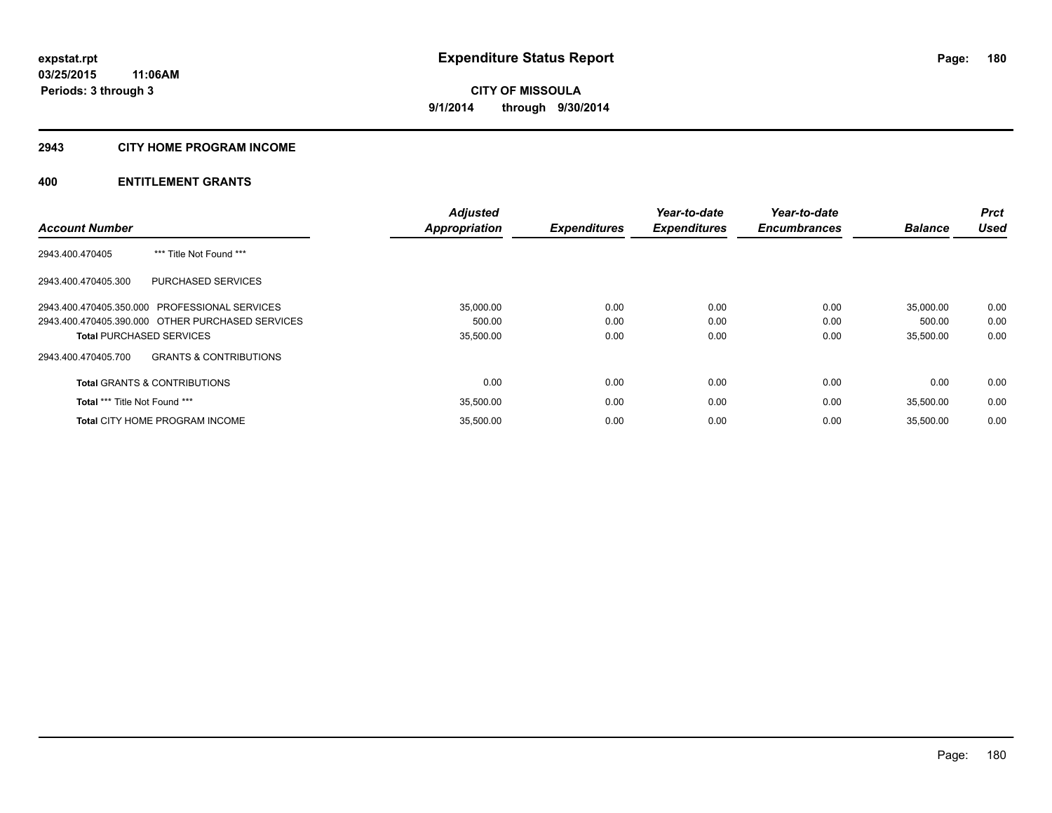#### **2943 CITY HOME PROGRAM INCOME**

|                                                          | <b>Adjusted</b> |                     | Year-to-date        | Year-to-date        |                | <b>Prct</b> |
|----------------------------------------------------------|-----------------|---------------------|---------------------|---------------------|----------------|-------------|
| <b>Account Number</b>                                    | Appropriation   | <b>Expenditures</b> | <b>Expenditures</b> | <b>Encumbrances</b> | <b>Balance</b> | <b>Used</b> |
| *** Title Not Found ***<br>2943.400.470405               |                 |                     |                     |                     |                |             |
| <b>PURCHASED SERVICES</b><br>2943.400.470405.300         |                 |                     |                     |                     |                |             |
| 2943.400.470405.350.000 PROFESSIONAL SERVICES            | 35,000.00       | 0.00                | 0.00                | 0.00                | 35,000.00      | 0.00        |
| 2943.400.470405.390.000 OTHER PURCHASED SERVICES         | 500.00          | 0.00                | 0.00                | 0.00                | 500.00         | 0.00        |
| <b>Total PURCHASED SERVICES</b>                          | 35,500.00       | 0.00                | 0.00                | 0.00                | 35,500.00      | 0.00        |
| <b>GRANTS &amp; CONTRIBUTIONS</b><br>2943.400.470405.700 |                 |                     |                     |                     |                |             |
| <b>Total GRANTS &amp; CONTRIBUTIONS</b>                  | 0.00            | 0.00                | 0.00                | 0.00                | 0.00           | 0.00        |
| Total *** Title Not Found ***                            | 35,500.00       | 0.00                | 0.00                | 0.00                | 35.500.00      | 0.00        |
| <b>Total CITY HOME PROGRAM INCOME</b>                    | 35.500.00       | 0.00                | 0.00                | 0.00                | 35.500.00      | 0.00        |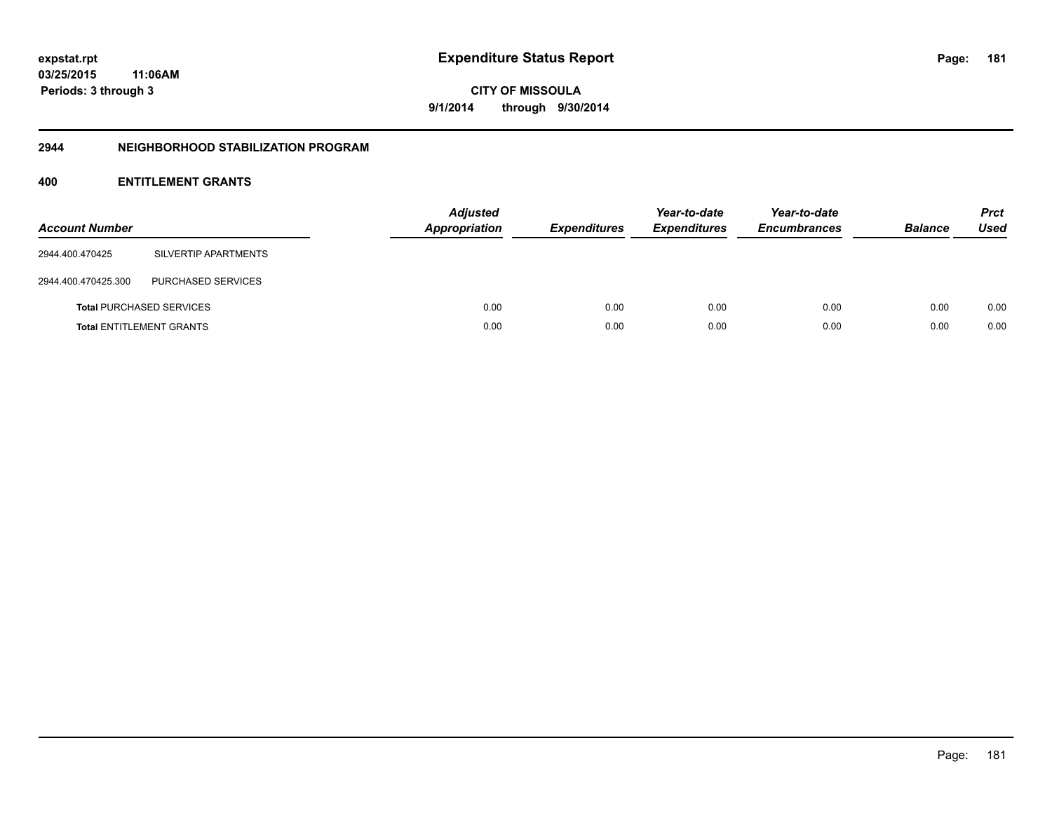**CITY OF MISSOULA 9/1/2014 through 9/30/2014**

## **2944 NEIGHBORHOOD STABILIZATION PROGRAM**

# **400 ENTITLEMENT GRANTS**

| <b>Account Number</b> |                                 | <b>Adjusted</b><br>Appropriation | <b>Expenditures</b> | Year-to-date<br><b>Expenditures</b> | Year-to-date<br><b>Encumbrances</b> | <b>Balance</b> | <b>Prct</b><br><b>Used</b> |
|-----------------------|---------------------------------|----------------------------------|---------------------|-------------------------------------|-------------------------------------|----------------|----------------------------|
| 2944.400.470425       | SILVERTIP APARTMENTS            |                                  |                     |                                     |                                     |                |                            |
| 2944.400.470425.300   | PURCHASED SERVICES              |                                  |                     |                                     |                                     |                |                            |
|                       | <b>Total PURCHASED SERVICES</b> | 0.00                             | 0.00                | 0.00                                | 0.00                                | 0.00           | 0.00                       |
|                       | <b>Total ENTITLEMENT GRANTS</b> | 0.00                             | 0.00                | 0.00                                | 0.00                                | 0.00           | 0.00                       |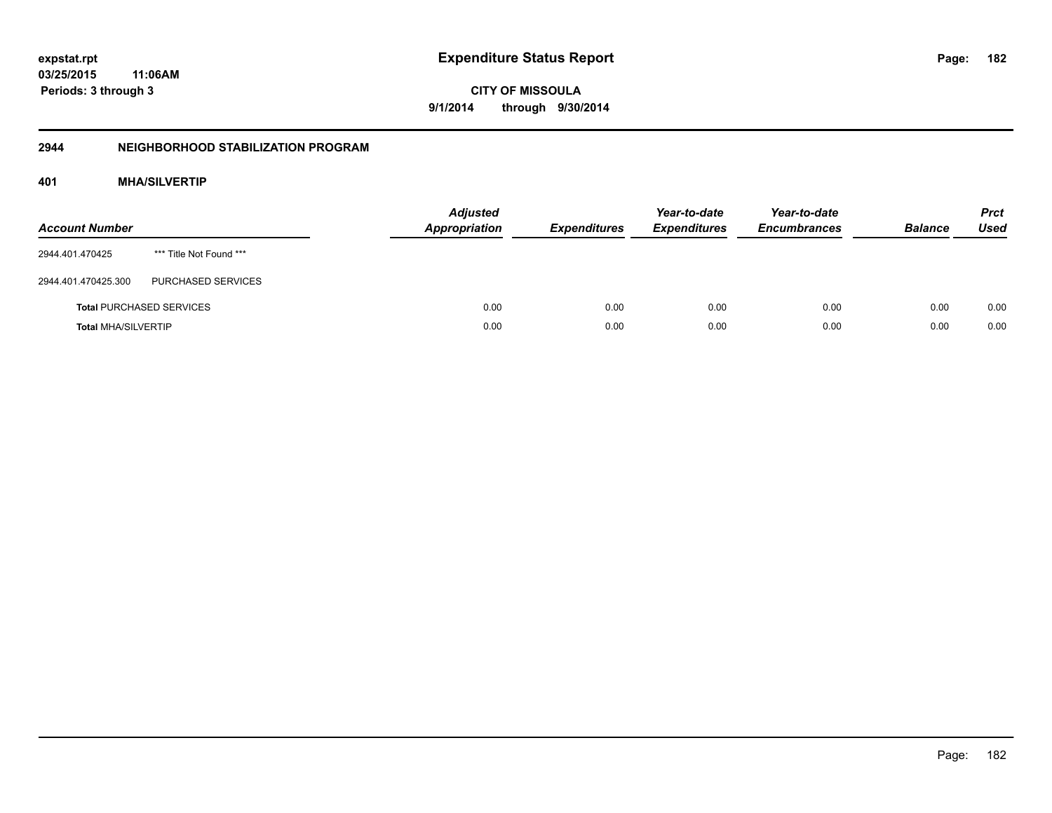**CITY OF MISSOULA 9/1/2014 through 9/30/2014**

# **2944 NEIGHBORHOOD STABILIZATION PROGRAM**

# **401 MHA/SILVERTIP**

| <b>Account Number</b>      |                                 | <b>Adjusted</b><br><b>Appropriation</b> | <b>Expenditures</b> | Year-to-date<br><b>Expenditures</b> | Year-to-date<br><b>Encumbrances</b> | <b>Balance</b> | <b>Prct</b><br><b>Used</b> |
|----------------------------|---------------------------------|-----------------------------------------|---------------------|-------------------------------------|-------------------------------------|----------------|----------------------------|
| 2944.401.470425            | *** Title Not Found ***         |                                         |                     |                                     |                                     |                |                            |
| 2944.401.470425.300        | PURCHASED SERVICES              |                                         |                     |                                     |                                     |                |                            |
|                            | <b>Total PURCHASED SERVICES</b> | 0.00                                    | 0.00                | 0.00                                | 0.00                                | 0.00           | 0.00                       |
| <b>Total MHA/SILVERTIP</b> |                                 | 0.00                                    | 0.00                | 0.00                                | 0.00                                | 0.00           | 0.00                       |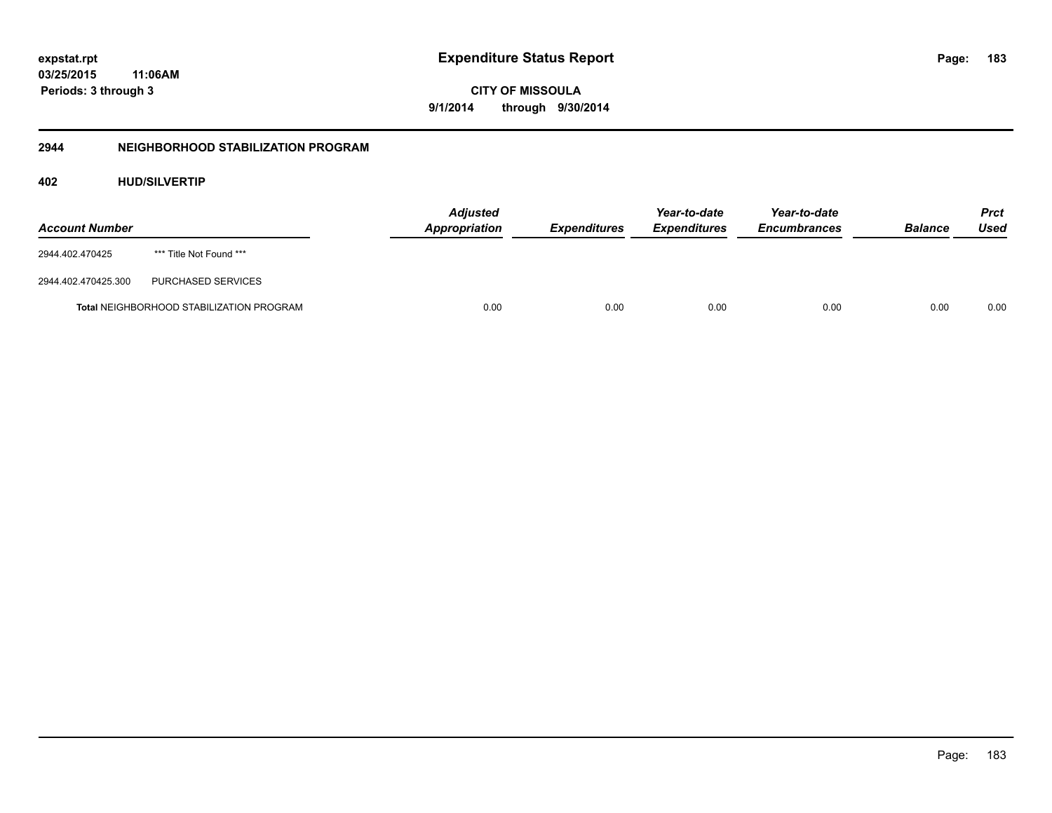**CITY OF MISSOULA 9/1/2014 through 9/30/2014**

# **2944 NEIGHBORHOOD STABILIZATION PROGRAM**

# **402 HUD/SILVERTIP**

| <b>Account Number</b> |                                                 | <b>Adjusted</b><br>Appropriation | <b>Expenditures</b> | Year-to-date<br><b>Expenditures</b> | Year-to-date<br><b>Encumbrances</b> | <b>Balance</b> | Prct<br>Used |
|-----------------------|-------------------------------------------------|----------------------------------|---------------------|-------------------------------------|-------------------------------------|----------------|--------------|
| 2944.402.470425       | *** Title Not Found ***                         |                                  |                     |                                     |                                     |                |              |
| 2944.402.470425.300   | PURCHASED SERVICES                              |                                  |                     |                                     |                                     |                |              |
|                       | <b>Total NEIGHBORHOOD STABILIZATION PROGRAM</b> | 0.00                             | 0.00                | 0.00                                | 0.00                                | 0.00           | 0.00         |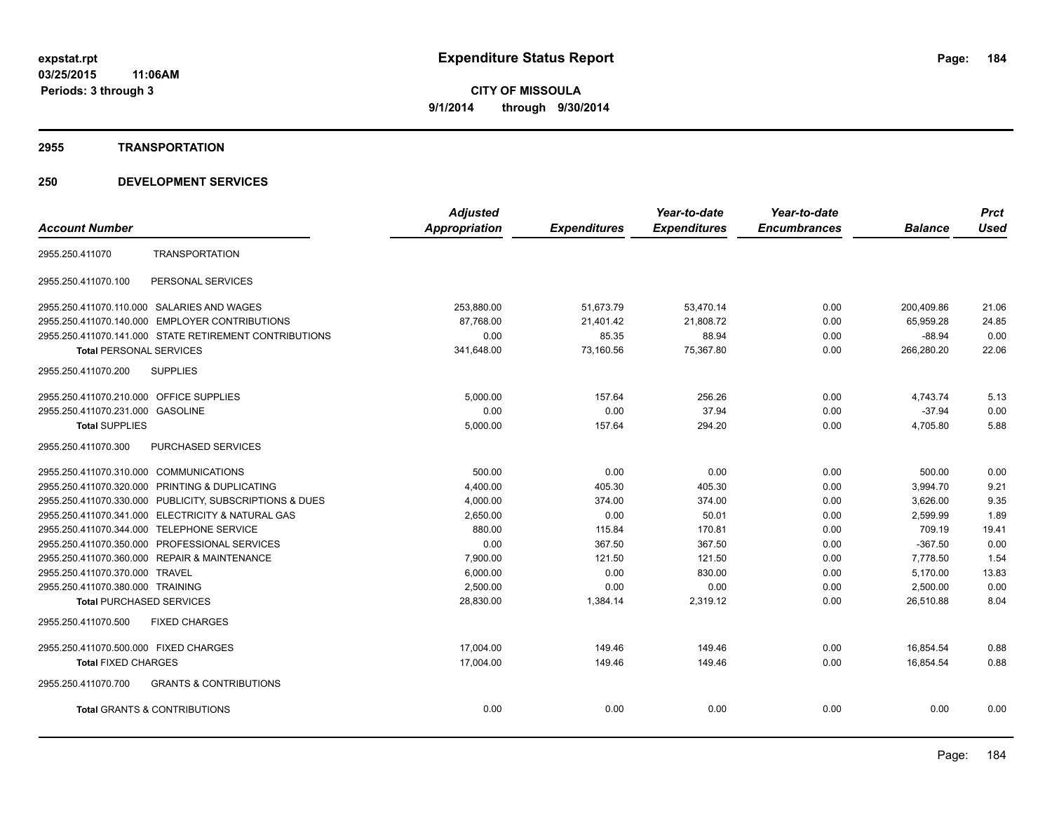## **2955 TRANSPORTATION**

|                                                          | <b>Adjusted</b>      |                     | Year-to-date        | Year-to-date        |                | <b>Prct</b> |
|----------------------------------------------------------|----------------------|---------------------|---------------------|---------------------|----------------|-------------|
| <b>Account Number</b>                                    | <b>Appropriation</b> | <b>Expenditures</b> | <b>Expenditures</b> | <b>Encumbrances</b> | <b>Balance</b> | <b>Used</b> |
| <b>TRANSPORTATION</b><br>2955.250.411070                 |                      |                     |                     |                     |                |             |
| 2955.250.411070.100<br>PERSONAL SERVICES                 |                      |                     |                     |                     |                |             |
| 2955.250.411070.110.000 SALARIES AND WAGES               | 253,880.00           | 51,673.79           | 53,470.14           | 0.00                | 200,409.86     | 21.06       |
| 2955.250.411070.140.000 EMPLOYER CONTRIBUTIONS           | 87,768.00            | 21,401.42           | 21,808.72           | 0.00                | 65,959.28      | 24.85       |
| 2955.250.411070.141.000 STATE RETIREMENT CONTRIBUTIONS   | 0.00                 | 85.35               | 88.94               | 0.00                | $-88.94$       | 0.00        |
| <b>Total PERSONAL SERVICES</b>                           | 341,648.00           | 73,160.56           | 75,367.80           | 0.00                | 266,280.20     | 22.06       |
| 2955.250.411070.200<br><b>SUPPLIES</b>                   |                      |                     |                     |                     |                |             |
| 2955.250.411070.210.000 OFFICE SUPPLIES                  | 5,000.00             | 157.64              | 256.26              | 0.00                | 4.743.74       | 5.13        |
| 2955.250.411070.231.000 GASOLINE                         | 0.00                 | 0.00                | 37.94               | 0.00                | $-37.94$       | 0.00        |
| <b>Total SUPPLIES</b>                                    | 5,000.00             | 157.64              | 294.20              | 0.00                | 4,705.80       | 5.88        |
| 2955.250.411070.300<br><b>PURCHASED SERVICES</b>         |                      |                     |                     |                     |                |             |
| 2955.250.411070.310.000 COMMUNICATIONS                   | 500.00               | 0.00                | 0.00                | 0.00                | 500.00         | 0.00        |
| 2955.250.411070.320.000 PRINTING & DUPLICATING           | 4,400.00             | 405.30              | 405.30              | 0.00                | 3,994.70       | 9.21        |
| 2955.250.411070.330.000 PUBLICITY, SUBSCRIPTIONS & DUES  | 4,000.00             | 374.00              | 374.00              | 0.00                | 3,626.00       | 9.35        |
| 2955.250.411070.341.000 ELECTRICITY & NATURAL GAS        | 2,650.00             | 0.00                | 50.01               | 0.00                | 2,599.99       | 1.89        |
| 2955.250.411070.344.000 TELEPHONE SERVICE                | 880.00               | 115.84              | 170.81              | 0.00                | 709.19         | 19.41       |
| 2955.250.411070.350.000 PROFESSIONAL SERVICES            | 0.00                 | 367.50              | 367.50              | 0.00                | $-367.50$      | 0.00        |
| 2955.250.411070.360.000 REPAIR & MAINTENANCE             | 7,900.00             | 121.50              | 121.50              | 0.00                | 7.778.50       | 1.54        |
| 2955.250.411070.370.000 TRAVEL                           | 6,000.00             | 0.00                | 830.00              | 0.00                | 5,170.00       | 13.83       |
| 2955.250.411070.380.000 TRAINING                         | 2,500.00             | 0.00                | 0.00                | 0.00                | 2,500.00       | 0.00        |
| <b>Total PURCHASED SERVICES</b>                          | 28,830.00            | 1,384.14            | 2,319.12            | 0.00                | 26,510.88      | 8.04        |
| <b>FIXED CHARGES</b><br>2955.250.411070.500              |                      |                     |                     |                     |                |             |
| 2955.250.411070.500.000 FIXED CHARGES                    | 17,004.00            | 149.46              | 149.46              | 0.00                | 16,854.54      | 0.88        |
| <b>Total FIXED CHARGES</b>                               | 17,004.00            | 149.46              | 149.46              | 0.00                | 16,854.54      | 0.88        |
| 2955.250.411070.700<br><b>GRANTS &amp; CONTRIBUTIONS</b> |                      |                     |                     |                     |                |             |
| <b>Total GRANTS &amp; CONTRIBUTIONS</b>                  | 0.00                 | 0.00                | 0.00                | 0.00                | 0.00           | 0.00        |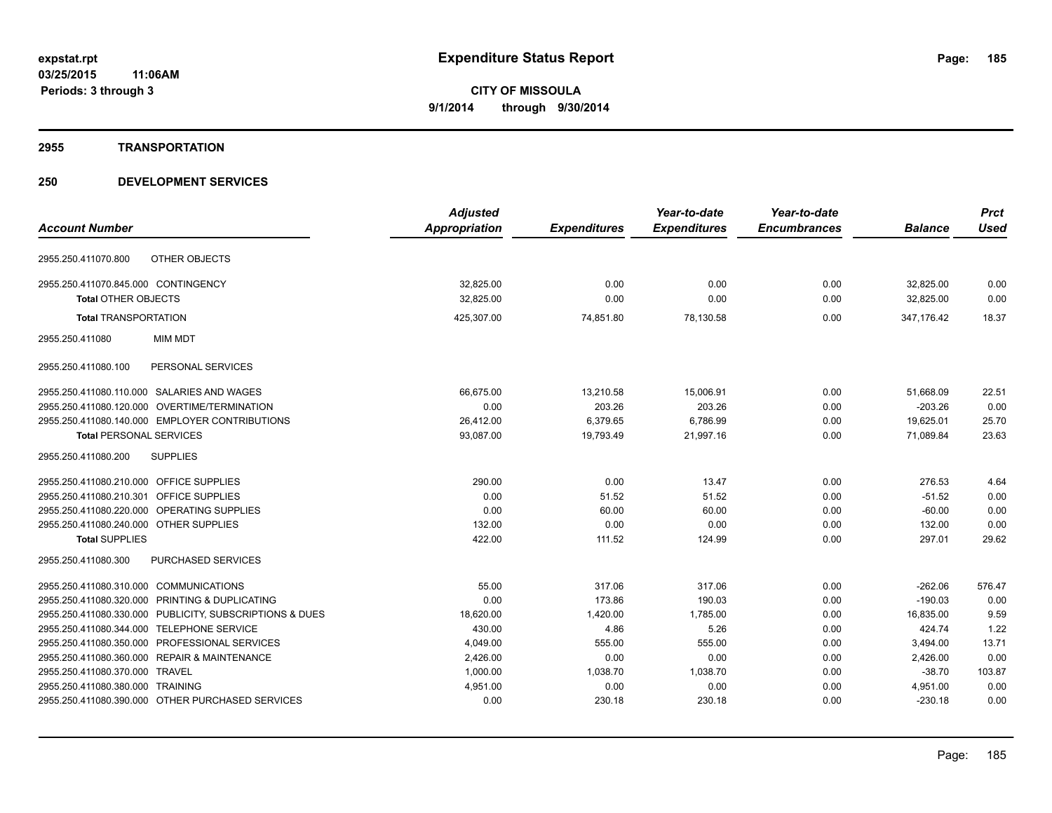# **2955 TRANSPORTATION**

| <b>Adjusted</b>      |                     | Year-to-date        | Year-to-date        |                | <b>Prct</b> |
|----------------------|---------------------|---------------------|---------------------|----------------|-------------|
| <b>Appropriation</b> | <b>Expenditures</b> | <b>Expenditures</b> | <b>Encumbrances</b> | <b>Balance</b> | <b>Used</b> |
|                      |                     |                     |                     |                |             |
| 32,825.00            | 0.00                | 0.00                | 0.00                | 32,825.00      | 0.00        |
| 32,825.00            | 0.00                | 0.00                | 0.00                | 32,825.00      | 0.00        |
| 425,307.00           | 74,851.80           | 78,130.58           | 0.00                | 347,176.42     | 18.37       |
|                      |                     |                     |                     |                |             |
|                      |                     |                     |                     |                |             |
| 66,675.00            | 13,210.58           | 15,006.91           | 0.00                | 51,668.09      | 22.51       |
| 0.00                 | 203.26              | 203.26              | 0.00                | $-203.26$      | 0.00        |
| 26,412.00            | 6,379.65            | 6,786.99            | 0.00                | 19,625.01      | 25.70       |
| 93,087.00            | 19,793.49           | 21,997.16           | 0.00                | 71,089.84      | 23.63       |
|                      |                     |                     |                     |                |             |
| 290.00               | 0.00                | 13.47               | 0.00                | 276.53         | 4.64        |
| 0.00                 | 51.52               | 51.52               | 0.00                | $-51.52$       | 0.00        |
| 0.00                 | 60.00               | 60.00               | 0.00                | $-60.00$       | 0.00        |
| 132.00               | 0.00                | 0.00                | 0.00                | 132.00         | 0.00        |
| 422.00               | 111.52              | 124.99              | 0.00                | 297.01         | 29.62       |
|                      |                     |                     |                     |                |             |
| 55.00                | 317.06              | 317.06              | 0.00                | $-262.06$      | 576.47      |
| 0.00                 | 173.86              | 190.03              | 0.00                | $-190.03$      | 0.00        |
| 18,620.00            | 1,420.00            | 1,785.00            | 0.00                | 16,835.00      | 9.59        |
| 430.00               | 4.86                | 5.26                | 0.00                | 424.74         | 1.22        |
| 4,049.00             | 555.00              | 555.00              | 0.00                | 3,494.00       | 13.71       |
| 2,426.00             | 0.00                | 0.00                | 0.00                | 2,426.00       | 0.00        |
| 1,000.00             | 1,038.70            | 1,038.70            | 0.00                | $-38.70$       | 103.87      |
| 4,951.00             | 0.00                | 0.00                | 0.00                | 4,951.00       | 0.00        |
| 0.00                 | 230.18              | 230.18              | 0.00                | $-230.18$      | 0.00        |
|                      |                     |                     |                     |                |             |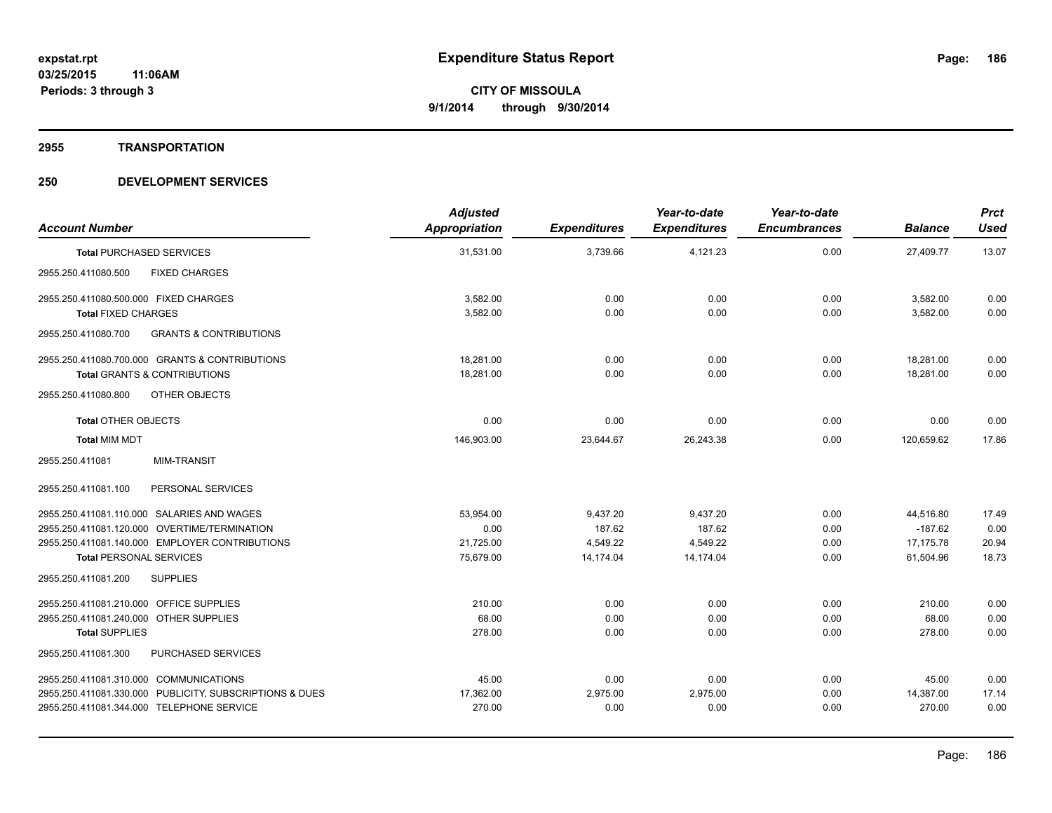## **2955 TRANSPORTATION**

| <b>Account Number</b>                                    | <b>Adjusted</b><br><b>Appropriation</b> | <b>Expenditures</b> | Year-to-date<br><b>Expenditures</b> | Year-to-date<br><b>Encumbrances</b> | <b>Balance</b> | <b>Prct</b><br><b>Used</b> |
|----------------------------------------------------------|-----------------------------------------|---------------------|-------------------------------------|-------------------------------------|----------------|----------------------------|
| <b>Total PURCHASED SERVICES</b>                          | 31,531.00                               | 3,739.66            | 4,121.23                            | 0.00                                | 27,409.77      | 13.07                      |
| <b>FIXED CHARGES</b><br>2955.250.411080.500              |                                         |                     |                                     |                                     |                |                            |
| 2955.250.411080.500.000 FIXED CHARGES                    | 3,582.00                                | 0.00                | 0.00                                | 0.00                                | 3,582.00       | 0.00                       |
| <b>Total FIXED CHARGES</b>                               | 3,582.00                                | 0.00                | 0.00                                | 0.00                                | 3,582.00       | 0.00                       |
| 2955.250.411080.700<br><b>GRANTS &amp; CONTRIBUTIONS</b> |                                         |                     |                                     |                                     |                |                            |
| 2955.250.411080.700.000 GRANTS & CONTRIBUTIONS           | 18,281.00                               | 0.00                | 0.00                                | 0.00                                | 18,281.00      | 0.00                       |
| <b>Total GRANTS &amp; CONTRIBUTIONS</b>                  | 18,281.00                               | 0.00                | 0.00                                | 0.00                                | 18,281.00      | 0.00                       |
| 2955.250.411080.800<br><b>OTHER OBJECTS</b>              |                                         |                     |                                     |                                     |                |                            |
| <b>Total OTHER OBJECTS</b>                               | 0.00                                    | 0.00                | 0.00                                | 0.00                                | 0.00           | 0.00                       |
| <b>Total MIM MDT</b>                                     | 146,903.00                              | 23,644.67           | 26,243.38                           | 0.00                                | 120,659.62     | 17.86                      |
| <b>MIM-TRANSIT</b><br>2955.250.411081                    |                                         |                     |                                     |                                     |                |                            |
| 2955.250.411081.100<br>PERSONAL SERVICES                 |                                         |                     |                                     |                                     |                |                            |
| 2955.250.411081.110.000 SALARIES AND WAGES               | 53,954.00                               | 9,437.20            | 9,437.20                            | 0.00                                | 44,516.80      | 17.49                      |
| 2955.250.411081.120.000 OVERTIME/TERMINATION             | 0.00                                    | 187.62              | 187.62                              | 0.00                                | $-187.62$      | 0.00                       |
| 2955.250.411081.140.000 EMPLOYER CONTRIBUTIONS           | 21,725.00                               | 4,549.22            | 4,549.22                            | 0.00                                | 17,175.78      | 20.94                      |
| <b>Total PERSONAL SERVICES</b>                           | 75,679.00                               | 14,174.04           | 14,174.04                           | 0.00                                | 61,504.96      | 18.73                      |
| 2955.250.411081.200<br><b>SUPPLIES</b>                   |                                         |                     |                                     |                                     |                |                            |
| 2955.250.411081.210.000 OFFICE SUPPLIES                  | 210.00                                  | 0.00                | 0.00                                | 0.00                                | 210.00         | 0.00                       |
| 2955.250.411081.240.000 OTHER SUPPLIES                   | 68.00                                   | 0.00                | 0.00                                | 0.00                                | 68.00          | 0.00                       |
| <b>Total SUPPLIES</b>                                    | 278.00                                  | 0.00                | 0.00                                | 0.00                                | 278.00         | 0.00                       |
| 2955.250.411081.300<br>PURCHASED SERVICES                |                                         |                     |                                     |                                     |                |                            |
| 2955.250.411081.310.000 COMMUNICATIONS                   | 45.00                                   | 0.00                | 0.00                                | 0.00                                | 45.00          | 0.00                       |
| 2955.250.411081.330.000 PUBLICITY, SUBSCRIPTIONS & DUES  | 17,362.00                               | 2,975.00            | 2,975.00                            | 0.00                                | 14,387.00      | 17.14                      |
| 2955.250.411081.344.000 TELEPHONE SERVICE                | 270.00                                  | 0.00                | 0.00                                | 0.00                                | 270.00         | 0.00                       |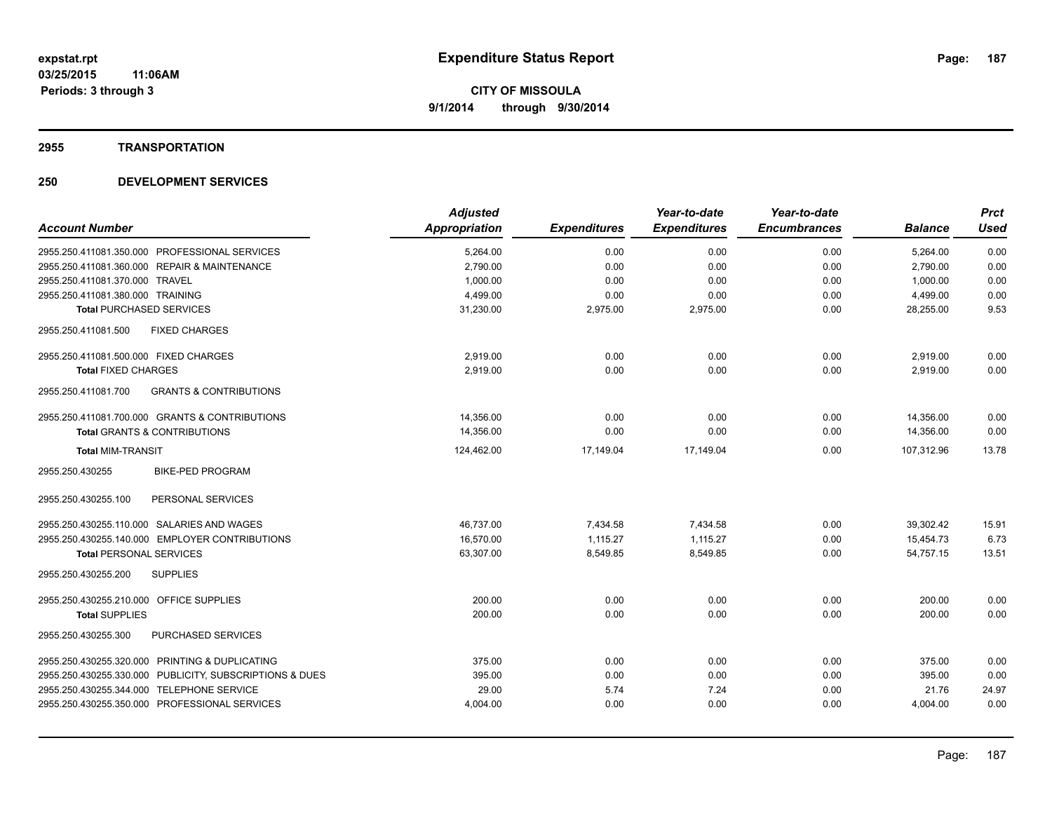# **2955 TRANSPORTATION**

| <b>Account Number</b>                                    | <b>Adjusted</b><br><b>Appropriation</b> | <b>Expenditures</b> | Year-to-date<br><b>Expenditures</b> | Year-to-date<br><b>Encumbrances</b> | <b>Balance</b> | <b>Prct</b><br><b>Used</b> |
|----------------------------------------------------------|-----------------------------------------|---------------------|-------------------------------------|-------------------------------------|----------------|----------------------------|
| 2955.250.411081.350.000 PROFESSIONAL SERVICES            | 5,264.00                                | 0.00                | 0.00                                | 0.00                                | 5,264.00       | 0.00                       |
| 2955.250.411081.360.000 REPAIR & MAINTENANCE             | 2,790.00                                | 0.00                | 0.00                                | 0.00                                | 2,790.00       | 0.00                       |
| 2955.250.411081.370.000 TRAVEL                           | 1,000.00                                | 0.00                | 0.00                                | 0.00                                | 1,000.00       | 0.00                       |
| 2955.250.411081.380.000 TRAINING                         | 4,499.00                                | 0.00                | 0.00                                | 0.00                                | 4,499.00       | 0.00                       |
| <b>Total PURCHASED SERVICES</b>                          | 31,230.00                               | 2,975.00            | 2,975.00                            | 0.00                                | 28,255.00      | 9.53                       |
| <b>FIXED CHARGES</b><br>2955.250.411081.500              |                                         |                     |                                     |                                     |                |                            |
| 2955.250.411081.500.000 FIXED CHARGES                    | 2.919.00                                | 0.00                | 0.00                                | 0.00                                | 2,919.00       | 0.00                       |
| <b>Total FIXED CHARGES</b>                               | 2,919.00                                | 0.00                | 0.00                                | 0.00                                | 2.919.00       | 0.00                       |
| 2955.250.411081.700<br><b>GRANTS &amp; CONTRIBUTIONS</b> |                                         |                     |                                     |                                     |                |                            |
| 2955.250.411081.700.000 GRANTS & CONTRIBUTIONS           | 14,356.00                               | 0.00                | 0.00                                | 0.00                                | 14,356.00      | 0.00                       |
| <b>Total GRANTS &amp; CONTRIBUTIONS</b>                  | 14,356.00                               | 0.00                | 0.00                                | 0.00                                | 14,356.00      | 0.00                       |
| <b>Total MIM-TRANSIT</b>                                 | 124,462.00                              | 17,149.04           | 17,149.04                           | 0.00                                | 107,312.96     | 13.78                      |
| <b>BIKE-PED PROGRAM</b><br>2955.250.430255               |                                         |                     |                                     |                                     |                |                            |
| 2955.250.430255.100<br>PERSONAL SERVICES                 |                                         |                     |                                     |                                     |                |                            |
| 2955.250.430255.110.000 SALARIES AND WAGES               | 46,737.00                               | 7,434.58            | 7,434.58                            | 0.00                                | 39,302.42      | 15.91                      |
| 2955.250.430255.140.000 EMPLOYER CONTRIBUTIONS           | 16.570.00                               | 1.115.27            | 1.115.27                            | 0.00                                | 15,454.73      | 6.73                       |
| <b>Total PERSONAL SERVICES</b>                           | 63,307.00                               | 8,549.85            | 8,549.85                            | 0.00                                | 54,757.15      | 13.51                      |
| 2955.250.430255.200<br><b>SUPPLIES</b>                   |                                         |                     |                                     |                                     |                |                            |
| 2955.250.430255.210.000 OFFICE SUPPLIES                  | 200.00                                  | 0.00                | 0.00                                | 0.00                                | 200.00         | 0.00                       |
| <b>Total SUPPLIES</b>                                    | 200.00                                  | 0.00                | 0.00                                | 0.00                                | 200.00         | 0.00                       |
| PURCHASED SERVICES<br>2955.250.430255.300                |                                         |                     |                                     |                                     |                |                            |
| 2955.250.430255.320.000 PRINTING & DUPLICATING           | 375.00                                  | 0.00                | 0.00                                | 0.00                                | 375.00         | 0.00                       |
| 2955.250.430255.330.000 PUBLICITY, SUBSCRIPTIONS & DUES  | 395.00                                  | 0.00                | 0.00                                | 0.00                                | 395.00         | 0.00                       |
| 2955.250.430255.344.000 TELEPHONE SERVICE                | 29.00                                   | 5.74                | 7.24                                | 0.00                                | 21.76          | 24.97                      |
| 2955.250.430255.350.000 PROFESSIONAL SERVICES            | 4,004.00                                | 0.00                | 0.00                                | 0.00                                | 4,004.00       | 0.00                       |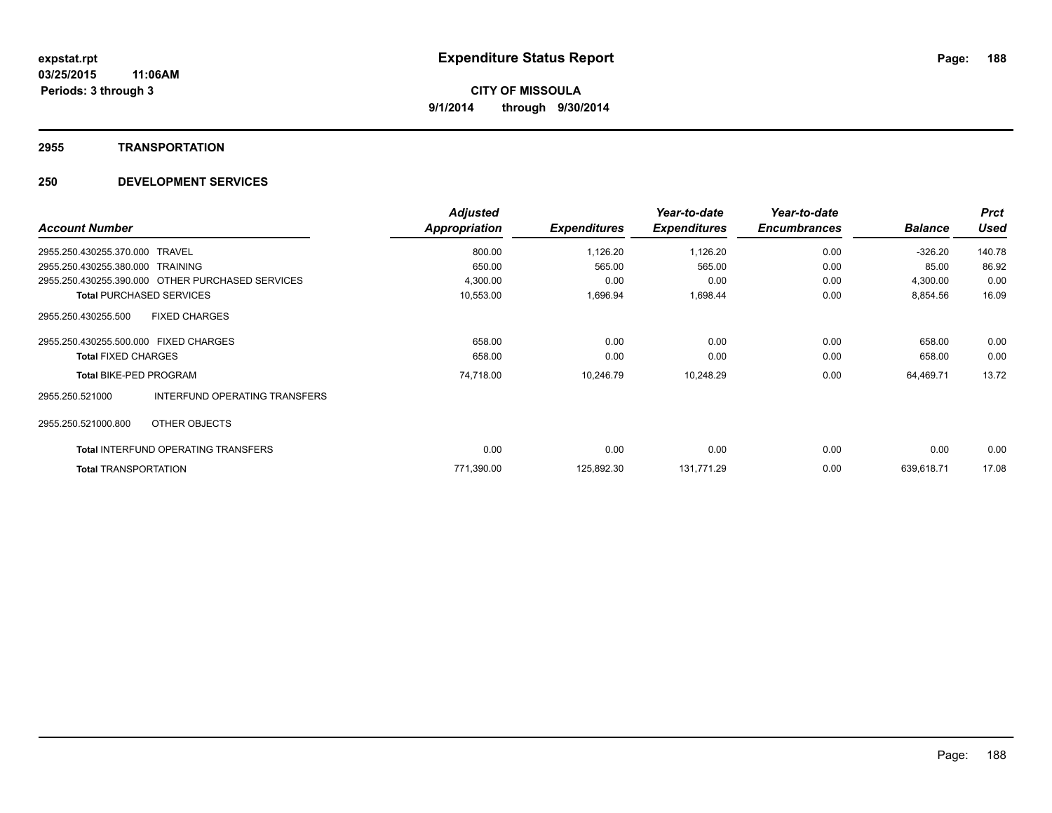## **2955 TRANSPORTATION**

|                                                  |                               | <b>Adjusted</b>      |                     | Year-to-date        | Year-to-date        |                | <b>Prct</b> |
|--------------------------------------------------|-------------------------------|----------------------|---------------------|---------------------|---------------------|----------------|-------------|
| <b>Account Number</b>                            |                               | <b>Appropriation</b> | <b>Expenditures</b> | <b>Expenditures</b> | <b>Encumbrances</b> | <b>Balance</b> | <b>Used</b> |
| 2955.250.430255.370.000<br><b>TRAVEL</b>         |                               | 800.00               | 1,126.20            | 1,126.20            | 0.00                | $-326.20$      | 140.78      |
| 2955.250.430255.380.000 TRAINING                 |                               | 650.00               | 565.00              | 565.00              | 0.00                | 85.00          | 86.92       |
| 2955 250 430255 390 000 OTHER PURCHASED SERVICES |                               | 4,300.00             | 0.00                | 0.00                | 0.00                | 4,300.00       | 0.00        |
| <b>Total PURCHASED SERVICES</b>                  |                               | 10,553.00            | 1,696.94            | 1,698.44            | 0.00                | 8,854.56       | 16.09       |
| <b>FIXED CHARGES</b><br>2955.250.430255.500      |                               |                      |                     |                     |                     |                |             |
| 2955.250.430255.500.000 FIXED CHARGES            |                               | 658.00               | 0.00                | 0.00                | 0.00                | 658.00         | 0.00        |
| <b>Total FIXED CHARGES</b>                       |                               | 658.00               | 0.00                | 0.00                | 0.00                | 658.00         | 0.00        |
| <b>Total BIKE-PED PROGRAM</b>                    |                               | 74,718.00            | 10,246.79           | 10,248.29           | 0.00                | 64,469.71      | 13.72       |
| 2955.250.521000                                  | INTERFUND OPERATING TRANSFERS |                      |                     |                     |                     |                |             |
| 2955.250.521000.800<br>OTHER OBJECTS             |                               |                      |                     |                     |                     |                |             |
| <b>Total INTERFUND OPERATING TRANSFERS</b>       |                               | 0.00                 | 0.00                | 0.00                | 0.00                | 0.00           | 0.00        |
| <b>Total TRANSPORTATION</b>                      |                               | 771,390.00           | 125,892.30          | 131,771.29          | 0.00                | 639.618.71     | 17.08       |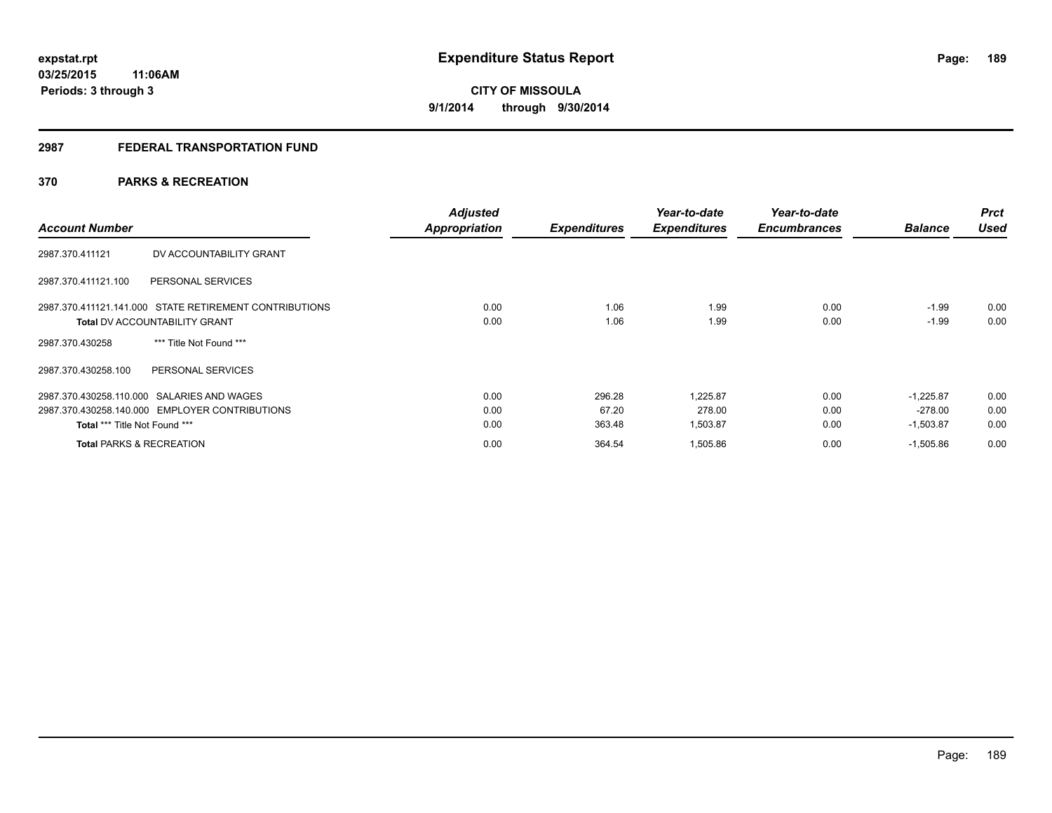# **2987 FEDERAL TRANSPORTATION FUND**

# **370 PARKS & RECREATION**

| <b>Account Number</b>                                  | <b>Adjusted</b><br><b>Appropriation</b> | <b>Expenditures</b> | Year-to-date<br><b>Expenditures</b> | Year-to-date<br><b>Encumbrances</b> | <b>Balance</b> | <b>Prct</b><br><b>Used</b> |
|--------------------------------------------------------|-----------------------------------------|---------------------|-------------------------------------|-------------------------------------|----------------|----------------------------|
| DV ACCOUNTABILITY GRANT<br>2987.370.411121             |                                         |                     |                                     |                                     |                |                            |
| PERSONAL SERVICES<br>2987.370.411121.100               |                                         |                     |                                     |                                     |                |                            |
| 2987.370.411121.141.000 STATE RETIREMENT CONTRIBUTIONS | 0.00                                    | 1.06                | 1.99                                | 0.00                                | $-1.99$        | 0.00                       |
| <b>Total DV ACCOUNTABILITY GRANT</b>                   | 0.00                                    | 1.06                | 1.99                                | 0.00                                | $-1.99$        | 0.00                       |
| *** Title Not Found ***<br>2987.370.430258             |                                         |                     |                                     |                                     |                |                            |
| PERSONAL SERVICES<br>2987.370.430258.100               |                                         |                     |                                     |                                     |                |                            |
| 2987.370.430258.110.000 SALARIES AND WAGES             | 0.00                                    | 296.28              | 1.225.87                            | 0.00                                | $-1.225.87$    | 0.00                       |
| 2987.370.430258.140.000 EMPLOYER CONTRIBUTIONS         | 0.00                                    | 67.20               | 278.00                              | 0.00                                | $-278.00$      | 0.00                       |
| Total *** Title Not Found ***                          | 0.00                                    | 363.48              | 1,503.87                            | 0.00                                | $-1,503.87$    | 0.00                       |
| <b>Total PARKS &amp; RECREATION</b>                    | 0.00                                    | 364.54              | 1,505.86                            | 0.00                                | $-1,505.86$    | 0.00                       |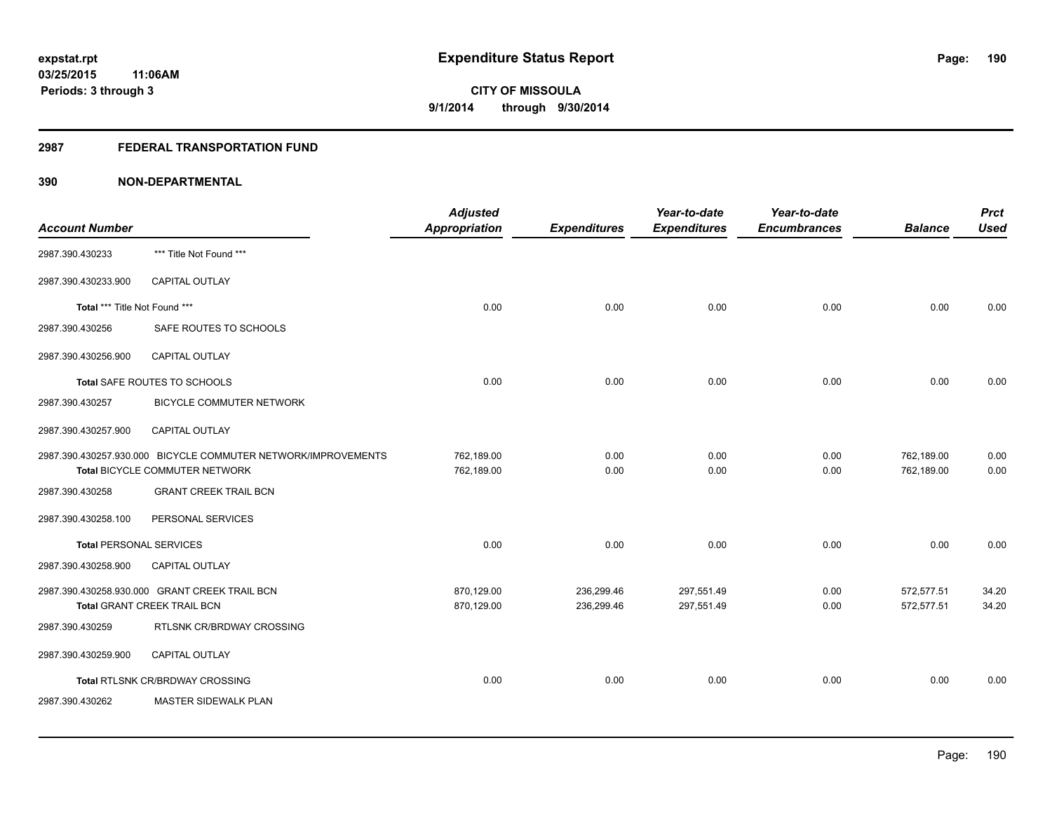# **2987 FEDERAL TRANSPORTATION FUND**

| <b>Account Number</b>          |                                                                                                 | <b>Adjusted</b><br>Appropriation | <b>Expenditures</b>      | Year-to-date<br><b>Expenditures</b> | Year-to-date<br><b>Encumbrances</b> | <b>Balance</b>           | <b>Prct</b><br><b>Used</b> |
|--------------------------------|-------------------------------------------------------------------------------------------------|----------------------------------|--------------------------|-------------------------------------|-------------------------------------|--------------------------|----------------------------|
| 2987.390.430233                | *** Title Not Found ***                                                                         |                                  |                          |                                     |                                     |                          |                            |
| 2987.390.430233.900            | <b>CAPITAL OUTLAY</b>                                                                           |                                  |                          |                                     |                                     |                          |                            |
| Total *** Title Not Found ***  |                                                                                                 | 0.00                             | 0.00                     | 0.00                                | 0.00                                | 0.00                     | 0.00                       |
| 2987.390.430256                | SAFE ROUTES TO SCHOOLS                                                                          |                                  |                          |                                     |                                     |                          |                            |
| 2987.390.430256.900            | CAPITAL OUTLAY                                                                                  |                                  |                          |                                     |                                     |                          |                            |
|                                | Total SAFE ROUTES TO SCHOOLS                                                                    | 0.00                             | 0.00                     | 0.00                                | 0.00                                | 0.00                     | 0.00                       |
| 2987.390.430257                | <b>BICYCLE COMMUTER NETWORK</b>                                                                 |                                  |                          |                                     |                                     |                          |                            |
| 2987.390.430257.900            | <b>CAPITAL OUTLAY</b>                                                                           |                                  |                          |                                     |                                     |                          |                            |
|                                | 2987.390.430257.930.000 BICYCLE COMMUTER NETWORK/IMPROVEMENTS<br>Total BICYCLE COMMUTER NETWORK | 762,189.00<br>762,189.00         | 0.00<br>0.00             | 0.00<br>0.00                        | 0.00<br>0.00                        | 762,189.00<br>762,189.00 | 0.00<br>0.00               |
| 2987.390.430258                | <b>GRANT CREEK TRAIL BCN</b>                                                                    |                                  |                          |                                     |                                     |                          |                            |
| 2987.390.430258.100            | PERSONAL SERVICES                                                                               |                                  |                          |                                     |                                     |                          |                            |
| <b>Total PERSONAL SERVICES</b> |                                                                                                 | 0.00                             | 0.00                     | 0.00                                | 0.00                                | 0.00                     | 0.00                       |
| 2987.390.430258.900            | <b>CAPITAL OUTLAY</b>                                                                           |                                  |                          |                                     |                                     |                          |                            |
|                                | 2987.390.430258.930.000 GRANT CREEK TRAIL BCN<br>Total GRANT CREEK TRAIL BCN                    | 870,129.00<br>870,129.00         | 236,299.46<br>236,299.46 | 297,551.49<br>297,551.49            | 0.00<br>0.00                        | 572,577.51<br>572,577.51 | 34.20<br>34.20             |
| 2987.390.430259                | RTLSNK CR/BRDWAY CROSSING                                                                       |                                  |                          |                                     |                                     |                          |                            |
| 2987.390.430259.900            | <b>CAPITAL OUTLAY</b>                                                                           |                                  |                          |                                     |                                     |                          |                            |
|                                | Total RTLSNK CR/BRDWAY CROSSING                                                                 | 0.00                             | 0.00                     | 0.00                                | 0.00                                | 0.00                     | 0.00                       |
| 2987.390.430262                | <b>MASTER SIDEWALK PLAN</b>                                                                     |                                  |                          |                                     |                                     |                          |                            |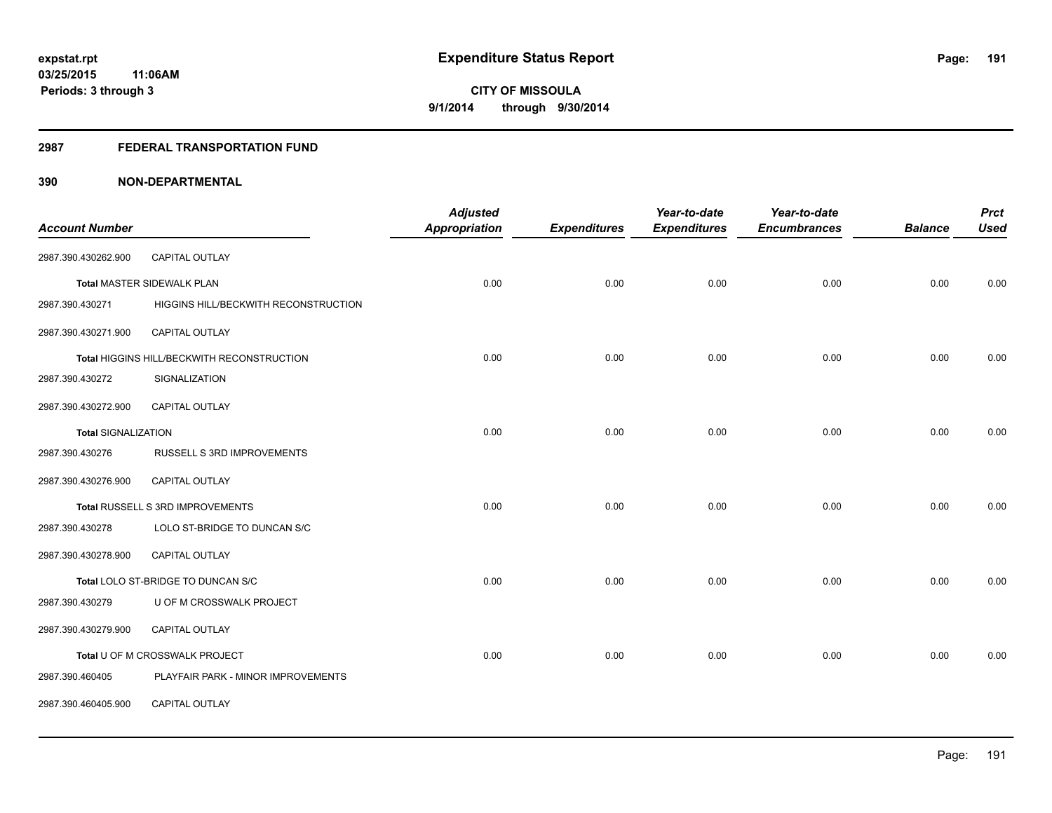## **2987 FEDERAL TRANSPORTATION FUND**

| <b>Account Number</b>      |                                            | <b>Adjusted</b><br><b>Appropriation</b> | <b>Expenditures</b> | Year-to-date<br><b>Expenditures</b> | Year-to-date<br><b>Encumbrances</b> | <b>Balance</b> | <b>Prct</b><br><b>Used</b> |
|----------------------------|--------------------------------------------|-----------------------------------------|---------------------|-------------------------------------|-------------------------------------|----------------|----------------------------|
|                            |                                            |                                         |                     |                                     |                                     |                |                            |
| 2987.390.430262.900        | CAPITAL OUTLAY                             |                                         |                     |                                     |                                     |                |                            |
|                            | <b>Total MASTER SIDEWALK PLAN</b>          | 0.00                                    | 0.00                | 0.00                                | 0.00                                | 0.00           | 0.00                       |
| 2987.390.430271            | HIGGINS HILL/BECKWITH RECONSTRUCTION       |                                         |                     |                                     |                                     |                |                            |
| 2987.390.430271.900        | <b>CAPITAL OUTLAY</b>                      |                                         |                     |                                     |                                     |                |                            |
|                            | Total HIGGINS HILL/BECKWITH RECONSTRUCTION | 0.00                                    | 0.00                | 0.00                                | 0.00                                | 0.00           | 0.00                       |
| 2987.390.430272            | SIGNALIZATION                              |                                         |                     |                                     |                                     |                |                            |
| 2987.390.430272.900        | <b>CAPITAL OUTLAY</b>                      |                                         |                     |                                     |                                     |                |                            |
| <b>Total SIGNALIZATION</b> |                                            | 0.00                                    | 0.00                | 0.00                                | 0.00                                | 0.00           | 0.00                       |
| 2987.390.430276            | RUSSELL S 3RD IMPROVEMENTS                 |                                         |                     |                                     |                                     |                |                            |
| 2987.390.430276.900        | <b>CAPITAL OUTLAY</b>                      |                                         |                     |                                     |                                     |                |                            |
|                            | Total RUSSELL S 3RD IMPROVEMENTS           | 0.00                                    | 0.00                | 0.00                                | 0.00                                | 0.00           | 0.00                       |
| 2987.390.430278            | LOLO ST-BRIDGE TO DUNCAN S/C               |                                         |                     |                                     |                                     |                |                            |
| 2987.390.430278.900        | CAPITAL OUTLAY                             |                                         |                     |                                     |                                     |                |                            |
|                            | Total LOLO ST-BRIDGE TO DUNCAN S/C         | 0.00                                    | 0.00                | 0.00                                | 0.00                                | 0.00           | 0.00                       |
| 2987.390.430279            | U OF M CROSSWALK PROJECT                   |                                         |                     |                                     |                                     |                |                            |
| 2987.390.430279.900        | CAPITAL OUTLAY                             |                                         |                     |                                     |                                     |                |                            |
|                            | Total U OF M CROSSWALK PROJECT             | 0.00                                    | 0.00                | 0.00                                | 0.00                                | 0.00           | 0.00                       |
| 2987.390.460405            | PLAYFAIR PARK - MINOR IMPROVEMENTS         |                                         |                     |                                     |                                     |                |                            |
| 2987.390.460405.900        | CAPITAL OUTLAY                             |                                         |                     |                                     |                                     |                |                            |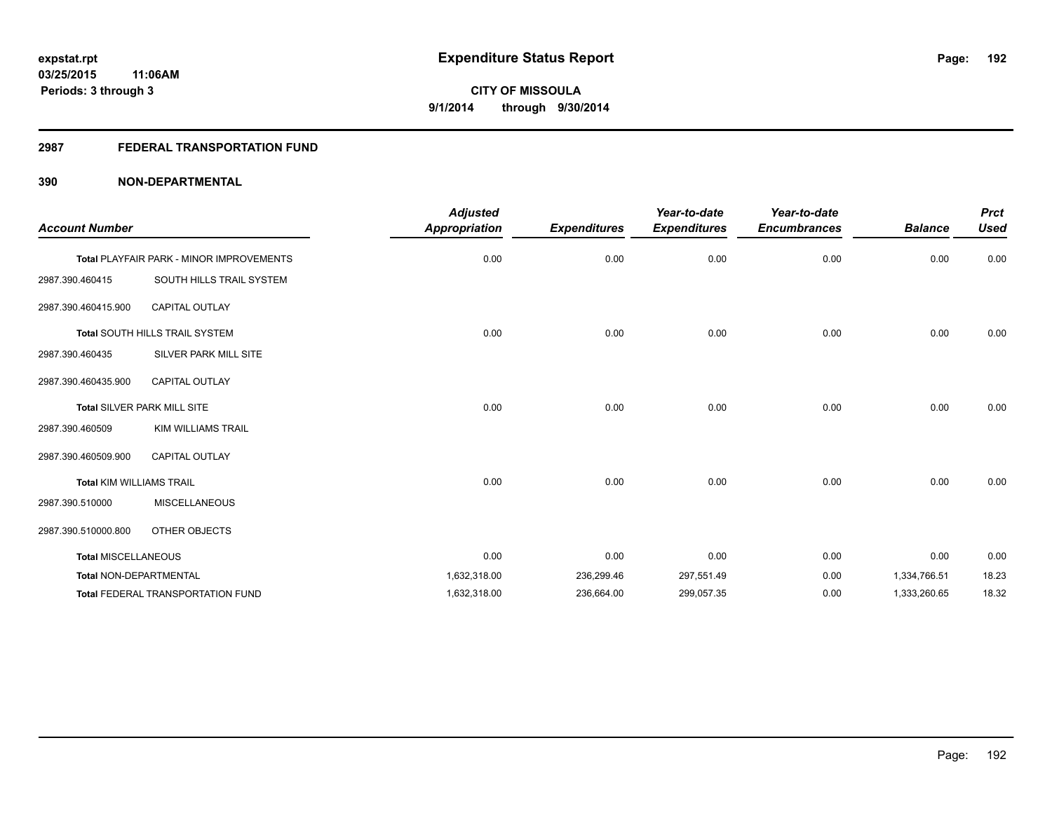# **2987 FEDERAL TRANSPORTATION FUND**

| <b>Account Number</b>           |                                                 | <b>Adjusted</b><br>Appropriation | <b>Expenditures</b> | Year-to-date<br><b>Expenditures</b> | Year-to-date<br><b>Encumbrances</b> | <b>Balance</b> | <b>Prct</b><br><b>Used</b> |
|---------------------------------|-------------------------------------------------|----------------------------------|---------------------|-------------------------------------|-------------------------------------|----------------|----------------------------|
|                                 | <b>Total PLAYFAIR PARK - MINOR IMPROVEMENTS</b> | 0.00                             | 0.00                | 0.00                                | 0.00                                | 0.00           | 0.00                       |
| 2987.390.460415                 | SOUTH HILLS TRAIL SYSTEM                        |                                  |                     |                                     |                                     |                |                            |
| 2987.390.460415.900             | <b>CAPITAL OUTLAY</b>                           |                                  |                     |                                     |                                     |                |                            |
|                                 | Total SOUTH HILLS TRAIL SYSTEM                  | 0.00                             | 0.00                | 0.00                                | 0.00                                | 0.00           | 0.00                       |
| 2987.390.460435                 | SILVER PARK MILL SITE                           |                                  |                     |                                     |                                     |                |                            |
| 2987.390.460435.900             | <b>CAPITAL OUTLAY</b>                           |                                  |                     |                                     |                                     |                |                            |
|                                 | Total SILVER PARK MILL SITE                     | 0.00                             | 0.00                | 0.00                                | 0.00                                | 0.00           | 0.00                       |
| 2987.390.460509                 | <b>KIM WILLIAMS TRAIL</b>                       |                                  |                     |                                     |                                     |                |                            |
| 2987.390.460509.900             | <b>CAPITAL OUTLAY</b>                           |                                  |                     |                                     |                                     |                |                            |
| <b>Total KIM WILLIAMS TRAIL</b> |                                                 | 0.00                             | 0.00                | 0.00                                | 0.00                                | 0.00           | 0.00                       |
| 2987.390.510000                 | <b>MISCELLANEOUS</b>                            |                                  |                     |                                     |                                     |                |                            |
| 2987.390.510000.800             | OTHER OBJECTS                                   |                                  |                     |                                     |                                     |                |                            |
| <b>Total MISCELLANEOUS</b>      |                                                 | 0.00                             | 0.00                | 0.00                                | 0.00                                | 0.00           | 0.00                       |
| <b>Total NON-DEPARTMENTAL</b>   |                                                 | 1,632,318.00                     | 236,299.46          | 297,551.49                          | 0.00                                | 1,334,766.51   | 18.23                      |
|                                 | <b>Total FEDERAL TRANSPORTATION FUND</b>        | 1,632,318.00                     | 236,664.00          | 299,057.35                          | 0.00                                | 1,333,260.65   | 18.32                      |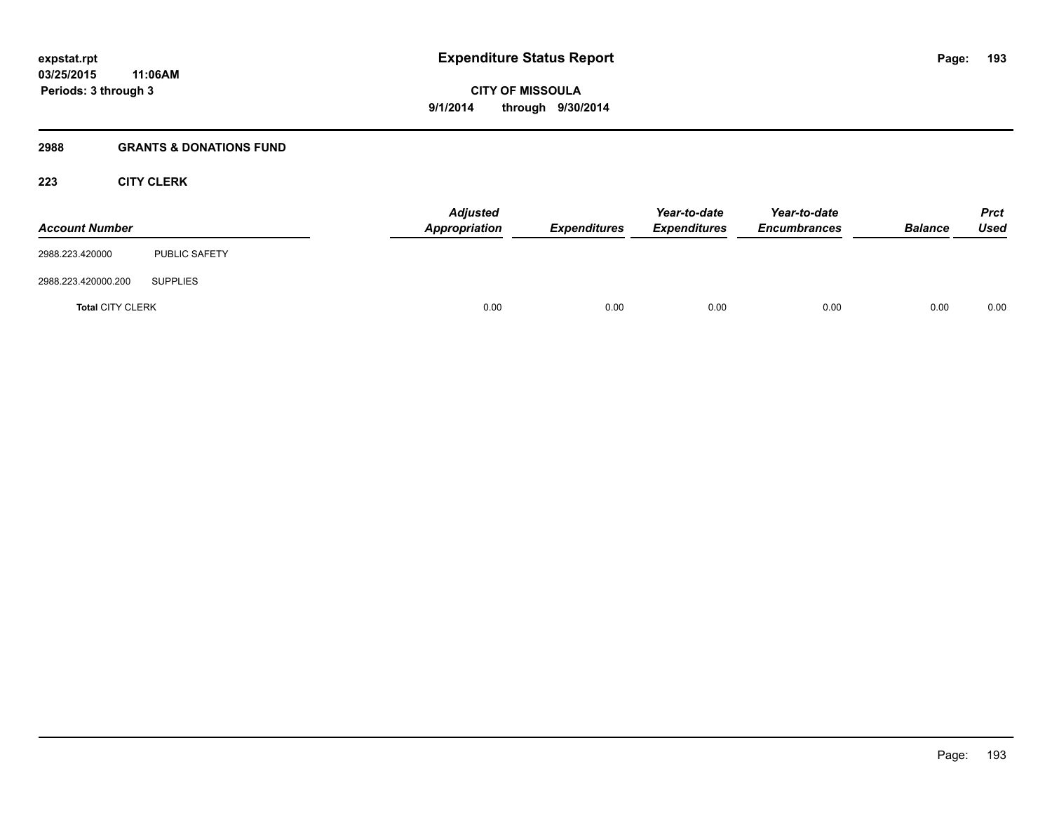## **2988 GRANTS & DONATIONS FUND**

# **223 CITY CLERK**

| <b>Account Number</b>   |                      | <b>Adjusted</b><br>Appropriation | <b>Expenditures</b> | Year-to-date<br><b>Expenditures</b> | Year-to-date<br><b>Encumbrances</b> | <b>Balance</b> | <b>Prct</b><br>Used |
|-------------------------|----------------------|----------------------------------|---------------------|-------------------------------------|-------------------------------------|----------------|---------------------|
| 2988.223.420000         | <b>PUBLIC SAFETY</b> |                                  |                     |                                     |                                     |                |                     |
| 2988.223.420000.200     | <b>SUPPLIES</b>      |                                  |                     |                                     |                                     |                |                     |
| <b>Total CITY CLERK</b> |                      | 0.00                             | 0.00                | 0.00                                | 0.00                                | 0.00           | 0.00                |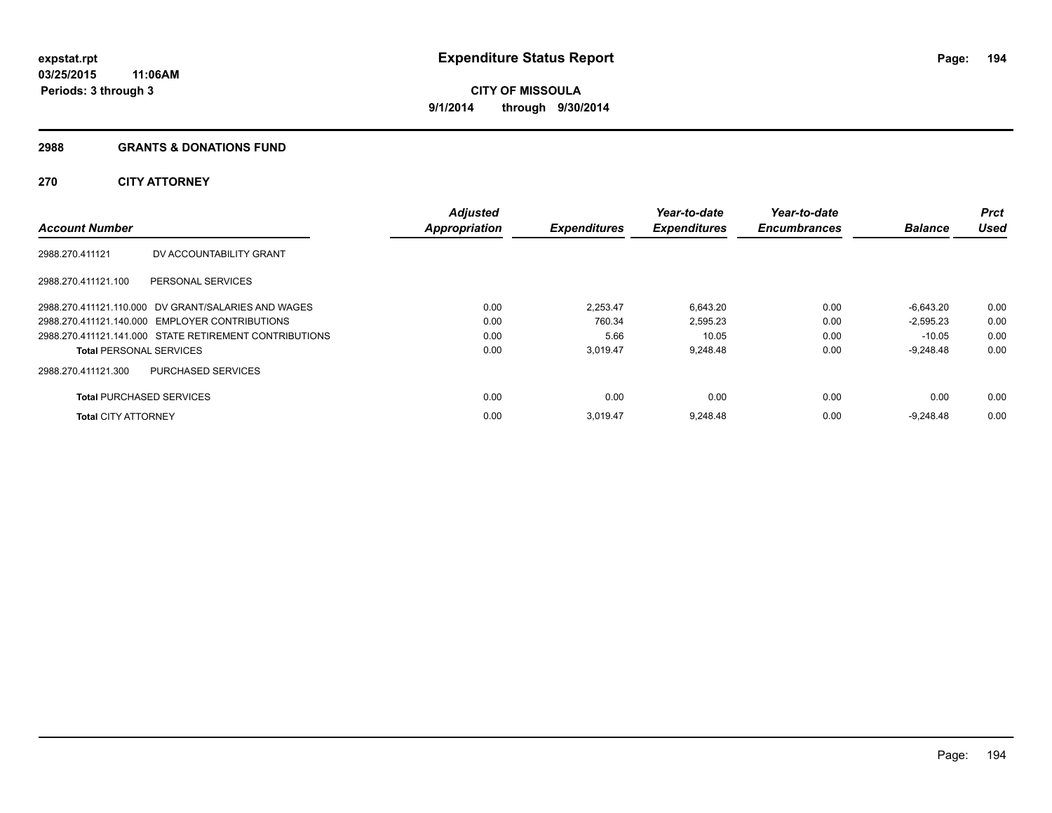## **2988 GRANTS & DONATIONS FUND**

# **270 CITY ATTORNEY**

| <b>Account Number</b>           |                                                        | <b>Adjusted</b><br><b>Appropriation</b> | <b>Expenditures</b> | Year-to-date<br><b>Expenditures</b> | Year-to-date<br><b>Encumbrances</b> | <b>Balance</b> | <b>Prct</b><br><b>Used</b> |
|---------------------------------|--------------------------------------------------------|-----------------------------------------|---------------------|-------------------------------------|-------------------------------------|----------------|----------------------------|
| 2988.270.411121                 | DV ACCOUNTABILITY GRANT                                |                                         |                     |                                     |                                     |                |                            |
| 2988.270.411121.100             | PERSONAL SERVICES                                      |                                         |                     |                                     |                                     |                |                            |
|                                 | 2988.270.411121.110.000 DV GRANT/SALARIES AND WAGES    | 0.00                                    | 2.253.47            | 6,643.20                            | 0.00                                | $-6.643.20$    | 0.00                       |
|                                 | 2988.270.411121.140.000 EMPLOYER CONTRIBUTIONS         | 0.00                                    | 760.34              | 2,595.23                            | 0.00                                | $-2,595.23$    | 0.00                       |
|                                 | 2988.270.411121.141.000 STATE RETIREMENT CONTRIBUTIONS | 0.00                                    | 5.66                | 10.05                               | 0.00                                | $-10.05$       | 0.00                       |
| <b>Total PERSONAL SERVICES</b>  |                                                        | 0.00                                    | 3,019.47            | 9,248.48                            | 0.00                                | $-9,248.48$    | 0.00                       |
| 2988.270.411121.300             | <b>PURCHASED SERVICES</b>                              |                                         |                     |                                     |                                     |                |                            |
| <b>Total PURCHASED SERVICES</b> |                                                        | 0.00                                    | 0.00                | 0.00                                | 0.00                                | 0.00           | 0.00                       |
| <b>Total CITY ATTORNEY</b>      |                                                        | 0.00                                    | 3.019.47            | 9,248.48                            | 0.00                                | $-9.248.48$    | 0.00                       |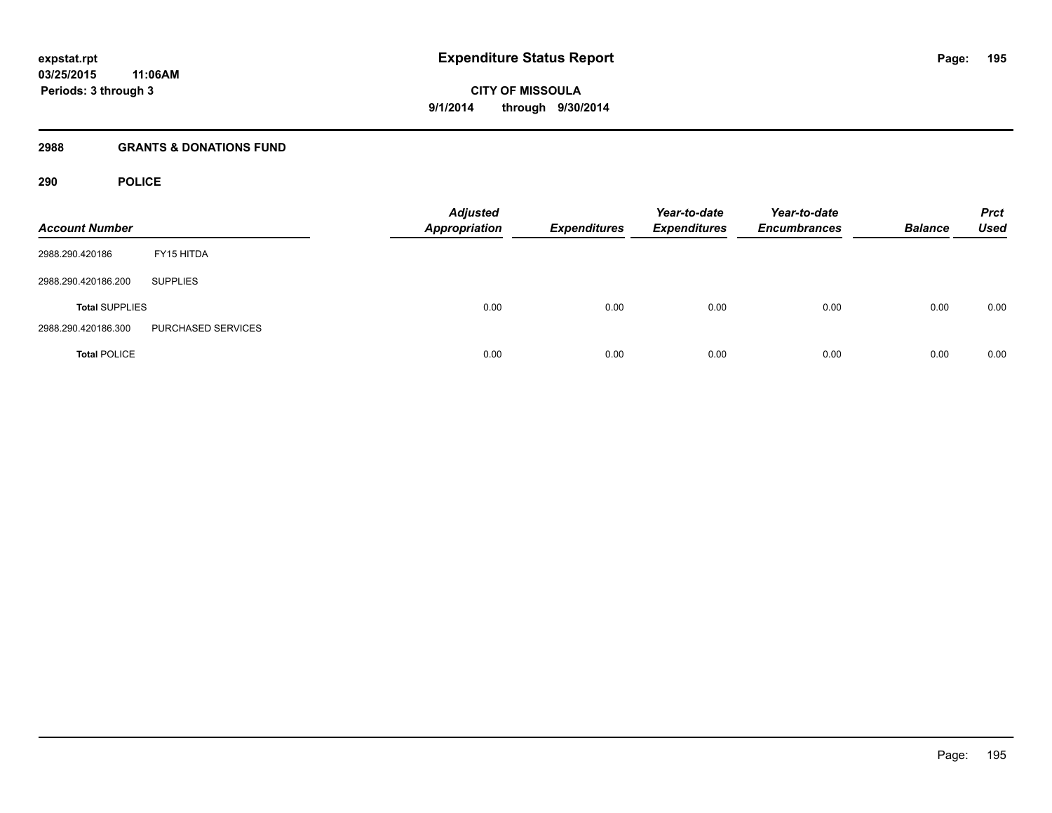## **2988 GRANTS & DONATIONS FUND**

# **290 POLICE**

| <b>Account Number</b> |                    | <b>Adjusted</b><br><b>Appropriation</b> | <b>Expenditures</b> | Year-to-date<br><b>Expenditures</b> | Year-to-date<br><b>Encumbrances</b> | <b>Balance</b> | <b>Prct</b><br><b>Used</b> |
|-----------------------|--------------------|-----------------------------------------|---------------------|-------------------------------------|-------------------------------------|----------------|----------------------------|
| 2988.290.420186       | FY15 HITDA         |                                         |                     |                                     |                                     |                |                            |
| 2988.290.420186.200   | <b>SUPPLIES</b>    |                                         |                     |                                     |                                     |                |                            |
| <b>Total SUPPLIES</b> |                    | 0.00                                    | 0.00                | 0.00                                | 0.00                                | 0.00           | 0.00                       |
| 2988.290.420186.300   | PURCHASED SERVICES |                                         |                     |                                     |                                     |                |                            |
| <b>Total POLICE</b>   |                    | 0.00                                    | 0.00                | 0.00                                | 0.00                                | 0.00           | 0.00                       |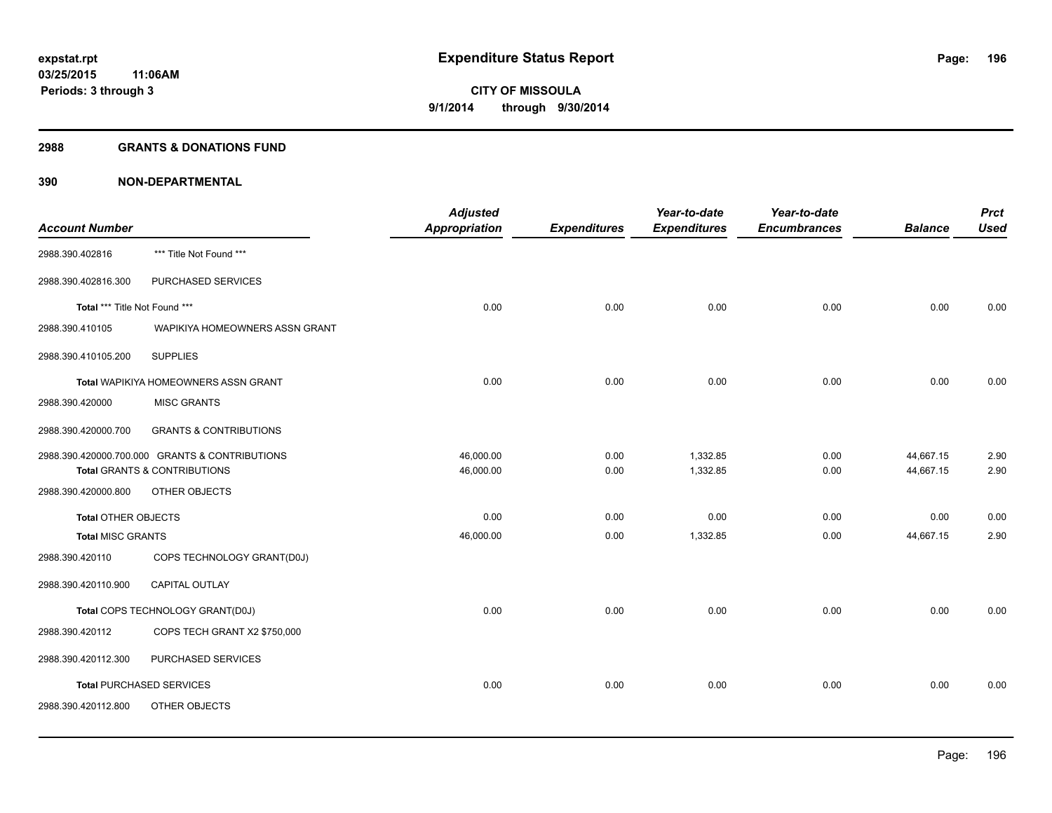## **2988 GRANTS & DONATIONS FUND**

|                               |                                                | <b>Adjusted</b> |                     | Year-to-date        | Year-to-date        |                | <b>Prct</b> |
|-------------------------------|------------------------------------------------|-----------------|---------------------|---------------------|---------------------|----------------|-------------|
| <b>Account Number</b>         |                                                | Appropriation   | <b>Expenditures</b> | <b>Expenditures</b> | <b>Encumbrances</b> | <b>Balance</b> | <b>Used</b> |
| 2988.390.402816               | *** Title Not Found ***                        |                 |                     |                     |                     |                |             |
| 2988.390.402816.300           | PURCHASED SERVICES                             |                 |                     |                     |                     |                |             |
| Total *** Title Not Found *** |                                                | 0.00            | 0.00                | 0.00                | 0.00                | 0.00           | 0.00        |
| 2988.390.410105               | WAPIKIYA HOMEOWNERS ASSN GRANT                 |                 |                     |                     |                     |                |             |
| 2988.390.410105.200           | <b>SUPPLIES</b>                                |                 |                     |                     |                     |                |             |
|                               | Total WAPIKIYA HOMEOWNERS ASSN GRANT           | 0.00            | 0.00                | 0.00                | 0.00                | 0.00           | 0.00        |
| 2988.390.420000               | <b>MISC GRANTS</b>                             |                 |                     |                     |                     |                |             |
| 2988.390.420000.700           | <b>GRANTS &amp; CONTRIBUTIONS</b>              |                 |                     |                     |                     |                |             |
|                               | 2988.390.420000.700.000 GRANTS & CONTRIBUTIONS | 46,000.00       | 0.00                | 1,332.85            | 0.00                | 44,667.15      | 2.90        |
|                               | Total GRANTS & CONTRIBUTIONS                   | 46,000.00       | 0.00                | 1,332.85            | 0.00                | 44,667.15      | 2.90        |
| 2988.390.420000.800           | OTHER OBJECTS                                  |                 |                     |                     |                     |                |             |
| <b>Total OTHER OBJECTS</b>    |                                                | 0.00            | 0.00                | 0.00                | 0.00                | 0.00           | 0.00        |
| <b>Total MISC GRANTS</b>      |                                                | 46,000.00       | 0.00                | 1,332.85            | 0.00                | 44,667.15      | 2.90        |
| 2988.390.420110               | COPS TECHNOLOGY GRANT(D0J)                     |                 |                     |                     |                     |                |             |
| 2988.390.420110.900           | <b>CAPITAL OUTLAY</b>                          |                 |                     |                     |                     |                |             |
|                               | Total COPS TECHNOLOGY GRANT(D0J)               | 0.00            | 0.00                | 0.00                | 0.00                | 0.00           | 0.00        |
| 2988.390.420112               | COPS TECH GRANT X2 \$750,000                   |                 |                     |                     |                     |                |             |
| 2988.390.420112.300           | PURCHASED SERVICES                             |                 |                     |                     |                     |                |             |
|                               | <b>Total PURCHASED SERVICES</b>                | 0.00            | 0.00                | 0.00                | 0.00                | 0.00           | 0.00        |
| 2988.390.420112.800           | OTHER OBJECTS                                  |                 |                     |                     |                     |                |             |
|                               |                                                |                 |                     |                     |                     |                |             |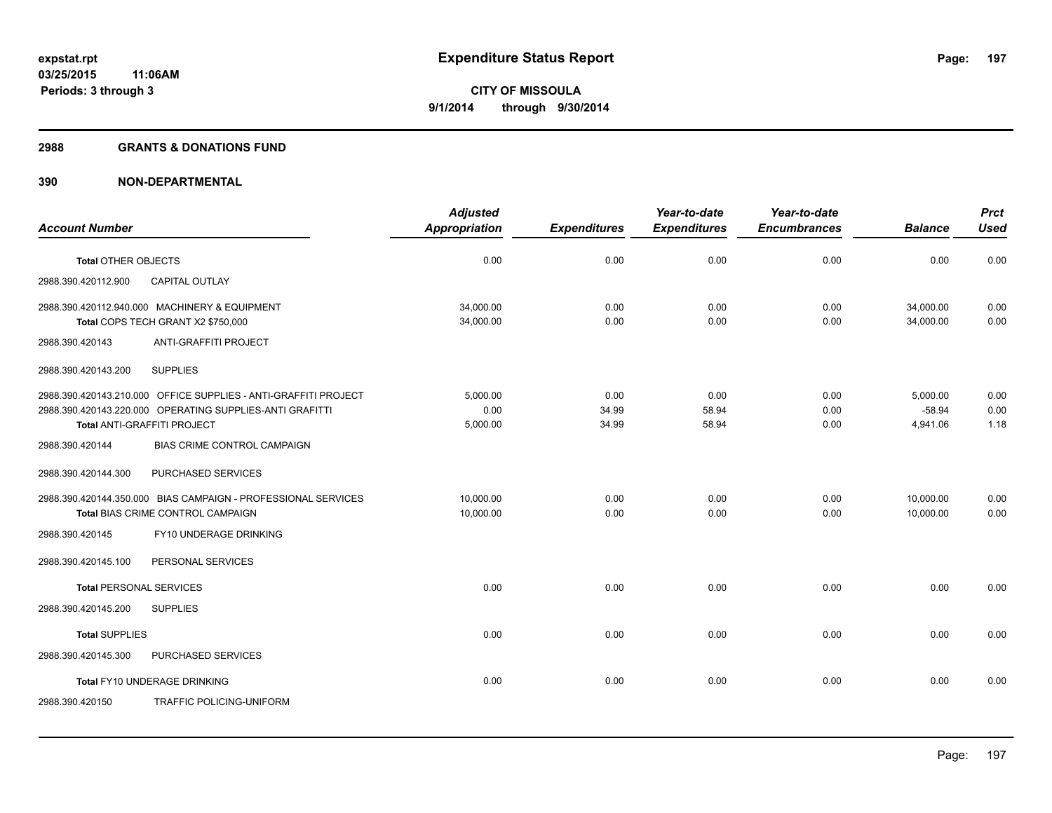## **2988 GRANTS & DONATIONS FUND**

|                                                                                     | <b>Adjusted</b>        |                     | Year-to-date        | Year-to-date        |                        | <b>Prct</b>  |
|-------------------------------------------------------------------------------------|------------------------|---------------------|---------------------|---------------------|------------------------|--------------|
| <b>Account Number</b>                                                               | <b>Appropriation</b>   | <b>Expenditures</b> | <b>Expenditures</b> | <b>Encumbrances</b> | <b>Balance</b>         | <b>Used</b>  |
| <b>Total OTHER OBJECTS</b>                                                          | 0.00                   | 0.00                | 0.00                | 0.00                | 0.00                   | 0.00         |
| <b>CAPITAL OUTLAY</b><br>2988.390.420112.900                                        |                        |                     |                     |                     |                        |              |
| 2988.390.420112.940.000 MACHINERY & EQUIPMENT<br>Total COPS TECH GRANT X2 \$750,000 | 34,000.00<br>34,000.00 | 0.00<br>0.00        | 0.00<br>0.00        | 0.00<br>0.00        | 34,000.00<br>34.000.00 | 0.00<br>0.00 |
| ANTI-GRAFFITI PROJECT<br>2988.390.420143                                            |                        |                     |                     |                     |                        |              |
|                                                                                     |                        |                     |                     |                     |                        |              |
| 2988.390.420143.200<br><b>SUPPLIES</b>                                              |                        |                     |                     |                     |                        |              |
| 2988.390.420143.210.000 OFFICE SUPPLIES - ANTI-GRAFFITI PROJECT                     | 5.000.00               | 0.00                | 0.00                | 0.00                | 5.000.00               | 0.00         |
| 2988.390.420143.220.000 OPERATING SUPPLIES-ANTI GRAFITTI                            | 0.00                   | 34.99               | 58.94               | 0.00                | $-58.94$               | 0.00         |
| Total ANTI-GRAFFITI PROJECT                                                         | 5,000.00               | 34.99               | 58.94               | 0.00                | 4,941.06               | 1.18         |
| <b>BIAS CRIME CONTROL CAMPAIGN</b><br>2988.390.420144                               |                        |                     |                     |                     |                        |              |
| 2988.390.420144.300<br>PURCHASED SERVICES                                           |                        |                     |                     |                     |                        |              |
| 2988.390.420144.350.000 BIAS CAMPAIGN - PROFESSIONAL SERVICES                       | 10.000.00              | 0.00                | 0.00                | 0.00                | 10,000.00              | 0.00         |
| Total BIAS CRIME CONTROL CAMPAIGN                                                   | 10,000.00              | 0.00                | 0.00                | 0.00                | 10,000.00              | 0.00         |
| FY10 UNDERAGE DRINKING<br>2988.390.420145                                           |                        |                     |                     |                     |                        |              |
| 2988.390.420145.100<br>PERSONAL SERVICES                                            |                        |                     |                     |                     |                        |              |
| <b>Total PERSONAL SERVICES</b>                                                      | 0.00                   | 0.00                | 0.00                | 0.00                | 0.00                   | 0.00         |
| 2988.390.420145.200<br><b>SUPPLIES</b>                                              |                        |                     |                     |                     |                        |              |
| <b>Total SUPPLIES</b>                                                               | 0.00                   | 0.00                | 0.00                | 0.00                | 0.00                   | 0.00         |
| PURCHASED SERVICES<br>2988.390.420145.300                                           |                        |                     |                     |                     |                        |              |
| Total FY10 UNDERAGE DRINKING                                                        | 0.00                   | 0.00                | 0.00                | 0.00                | 0.00                   | 0.00         |
| 2988.390.420150<br>TRAFFIC POLICING-UNIFORM                                         |                        |                     |                     |                     |                        |              |
|                                                                                     |                        |                     |                     |                     |                        |              |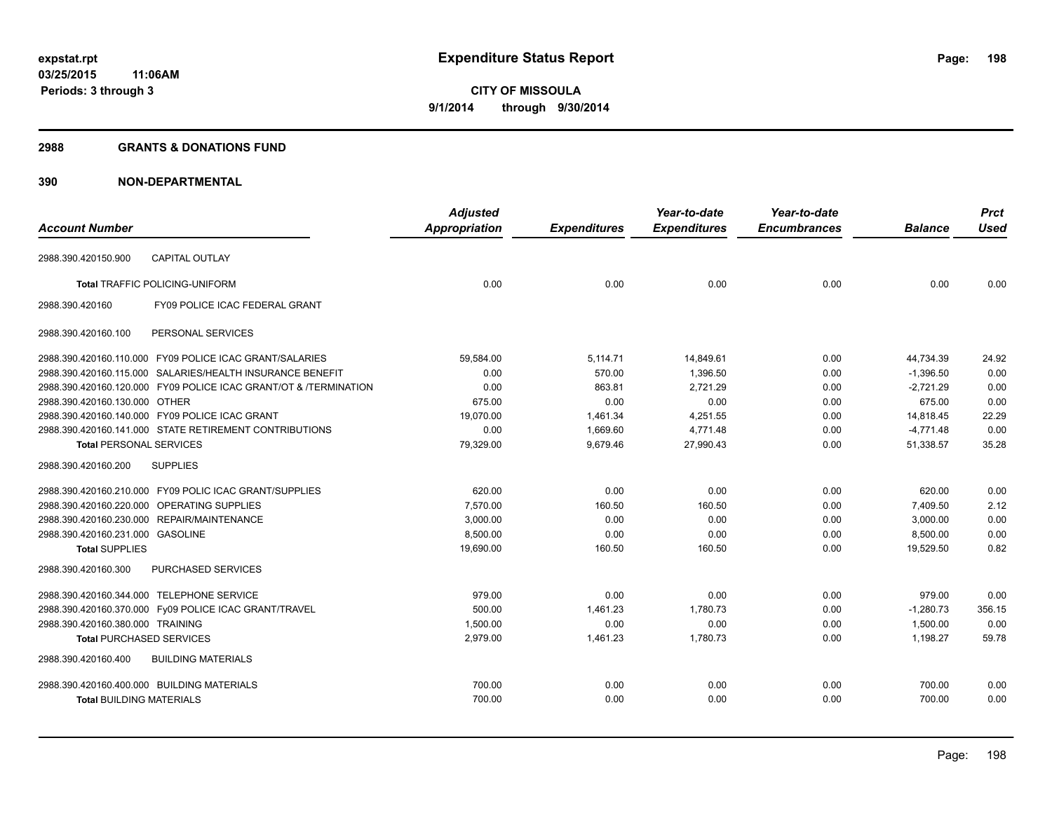## **2988 GRANTS & DONATIONS FUND**

|                                            |                                                                  | <b>Adjusted</b>      |                     | Year-to-date        | Year-to-date        |                | <b>Prct</b> |
|--------------------------------------------|------------------------------------------------------------------|----------------------|---------------------|---------------------|---------------------|----------------|-------------|
| <b>Account Number</b>                      |                                                                  | <b>Appropriation</b> | <b>Expenditures</b> | <b>Expenditures</b> | <b>Encumbrances</b> | <b>Balance</b> | <b>Used</b> |
| 2988.390.420150.900                        | <b>CAPITAL OUTLAY</b>                                            |                      |                     |                     |                     |                |             |
|                                            | <b>Total TRAFFIC POLICING-UNIFORM</b>                            | 0.00                 | 0.00                | 0.00                | 0.00                | 0.00           | 0.00        |
| 2988.390.420160                            | FY09 POLICE ICAC FEDERAL GRANT                                   |                      |                     |                     |                     |                |             |
| 2988.390.420160.100                        | PERSONAL SERVICES                                                |                      |                     |                     |                     |                |             |
|                                            | 2988.390.420160.110.000 FY09 POLICE ICAC GRANT/SALARIES          | 59,584.00            | 5,114.71            | 14,849.61           | 0.00                | 44,734.39      | 24.92       |
|                                            | 2988.390.420160.115.000 SALARIES/HEALTH INSURANCE BENEFIT        | 0.00                 | 570.00              | 1.396.50            | 0.00                | $-1,396.50$    | 0.00        |
|                                            | 2988.390.420160.120.000 FY09 POLICE ICAC GRANT/OT & /TERMINATION | 0.00                 | 863.81              | 2,721.29            | 0.00                | $-2,721.29$    | 0.00        |
| 2988.390.420160.130.000 OTHER              |                                                                  | 675.00               | 0.00                | 0.00                | 0.00                | 675.00         | 0.00        |
|                                            | 2988.390.420160.140.000 FY09 POLICE ICAC GRANT                   | 19,070.00            | 1,461.34            | 4,251.55            | 0.00                | 14,818.45      | 22.29       |
|                                            | 2988.390.420160.141.000 STATE RETIREMENT CONTRIBUTIONS           | 0.00                 | 1,669.60            | 4,771.48            | 0.00                | $-4,771.48$    | 0.00        |
| <b>Total PERSONAL SERVICES</b>             |                                                                  | 79,329.00            | 9,679.46            | 27,990.43           | 0.00                | 51,338.57      | 35.28       |
| 2988.390.420160.200                        | <b>SUPPLIES</b>                                                  |                      |                     |                     |                     |                |             |
|                                            | 2988.390.420160.210.000 FY09 POLIC ICAC GRANT/SUPPLIES           | 620.00               | 0.00                | 0.00                | 0.00                | 620.00         | 0.00        |
|                                            | 2988.390.420160.220.000 OPERATING SUPPLIES                       | 7,570.00             | 160.50              | 160.50              | 0.00                | 7,409.50       | 2.12        |
|                                            | 2988.390.420160.230.000 REPAIR/MAINTENANCE                       | 3,000.00             | 0.00                | 0.00                | 0.00                | 3,000.00       | 0.00        |
| 2988.390.420160.231.000 GASOLINE           |                                                                  | 8,500.00             | 0.00                | 0.00                | 0.00                | 8.500.00       | 0.00        |
| <b>Total SUPPLIES</b>                      |                                                                  | 19,690.00            | 160.50              | 160.50              | 0.00                | 19,529.50      | 0.82        |
| 2988.390.420160.300                        | PURCHASED SERVICES                                               |                      |                     |                     |                     |                |             |
| 2988.390.420160.344.000 TELEPHONE SERVICE  |                                                                  | 979.00               | 0.00                | 0.00                | 0.00                | 979.00         | 0.00        |
|                                            | 2988.390.420160.370.000 Fy09 POLICE ICAC GRANT/TRAVEL            | 500.00               | 1,461.23            | 1,780.73            | 0.00                | $-1,280.73$    | 356.15      |
| 2988.390.420160.380.000 TRAINING           |                                                                  | 1.500.00             | 0.00                | 0.00                | 0.00                | 1.500.00       | 0.00        |
| <b>Total PURCHASED SERVICES</b>            |                                                                  | 2,979.00             | 1,461.23            | 1,780.73            | 0.00                | 1,198.27       | 59.78       |
| 2988.390.420160.400                        | <b>BUILDING MATERIALS</b>                                        |                      |                     |                     |                     |                |             |
| 2988.390.420160.400.000 BUILDING MATERIALS |                                                                  | 700.00               | 0.00                | 0.00                | 0.00                | 700.00         | 0.00        |
| <b>Total BUILDING MATERIALS</b>            |                                                                  | 700.00               | 0.00                | 0.00                | 0.00                | 700.00         | 0.00        |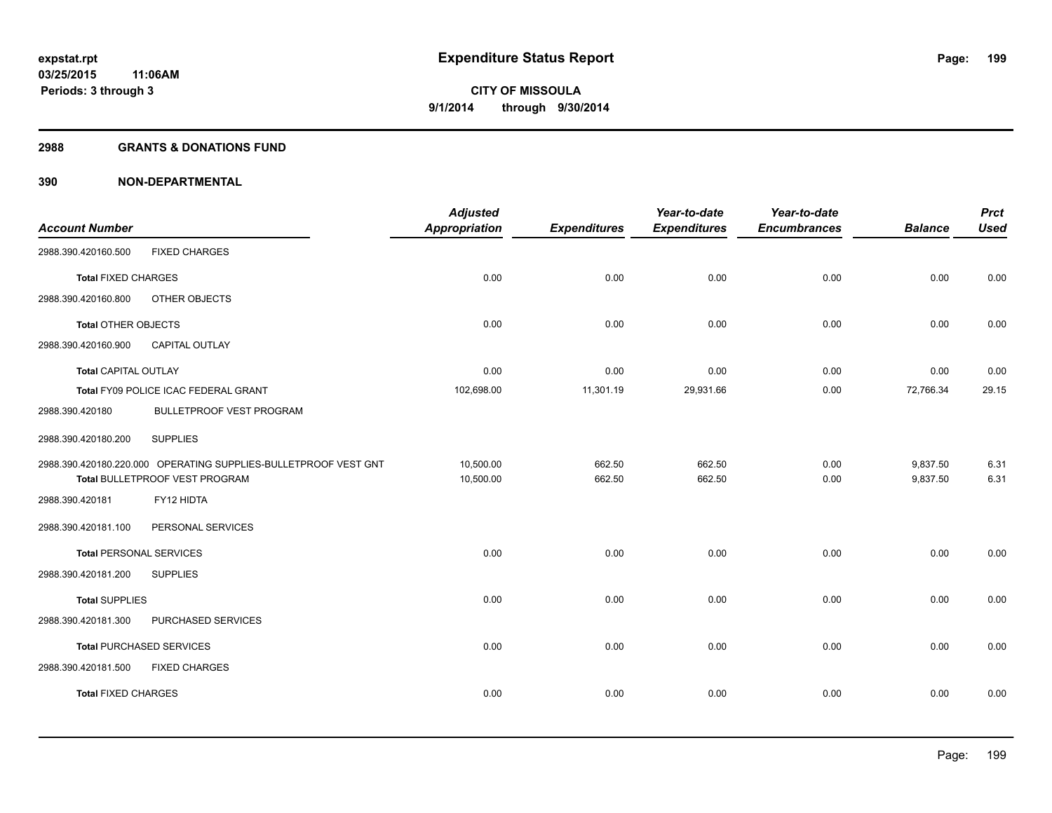## **2988 GRANTS & DONATIONS FUND**

|                                |                                                                 | <b>Adjusted</b>      |                     | Year-to-date        | Year-to-date        |                | <b>Prct</b> |
|--------------------------------|-----------------------------------------------------------------|----------------------|---------------------|---------------------|---------------------|----------------|-------------|
| <b>Account Number</b>          |                                                                 | <b>Appropriation</b> | <b>Expenditures</b> | <b>Expenditures</b> | <b>Encumbrances</b> | <b>Balance</b> | <b>Used</b> |
| 2988.390.420160.500            | <b>FIXED CHARGES</b>                                            |                      |                     |                     |                     |                |             |
| <b>Total FIXED CHARGES</b>     |                                                                 | 0.00                 | 0.00                | 0.00                | 0.00                | 0.00           | 0.00        |
| 2988.390.420160.800            | OTHER OBJECTS                                                   |                      |                     |                     |                     |                |             |
| <b>Total OTHER OBJECTS</b>     |                                                                 | 0.00                 | 0.00                | 0.00                | 0.00                | 0.00           | 0.00        |
| 2988.390.420160.900            | <b>CAPITAL OUTLAY</b>                                           |                      |                     |                     |                     |                |             |
| <b>Total CAPITAL OUTLAY</b>    |                                                                 | 0.00                 | 0.00                | 0.00                | 0.00                | 0.00           | 0.00        |
|                                | Total FY09 POLICE ICAC FEDERAL GRANT                            | 102,698.00           | 11,301.19           | 29,931.66           | 0.00                | 72,766.34      | 29.15       |
| 2988.390.420180                | <b>BULLETPROOF VEST PROGRAM</b>                                 |                      |                     |                     |                     |                |             |
| 2988.390.420180.200            | <b>SUPPLIES</b>                                                 |                      |                     |                     |                     |                |             |
|                                | 2988.390.420180.220.000 OPERATING SUPPLIES-BULLETPROOF VEST GNT | 10,500.00            | 662.50              | 662.50              | 0.00                | 9,837.50       | 6.31        |
|                                | Total BULLETPROOF VEST PROGRAM                                  | 10,500.00            | 662.50              | 662.50              | 0.00                | 9,837.50       | 6.31        |
| 2988.390.420181                | FY12 HIDTA                                                      |                      |                     |                     |                     |                |             |
| 2988.390.420181.100            | PERSONAL SERVICES                                               |                      |                     |                     |                     |                |             |
| <b>Total PERSONAL SERVICES</b> |                                                                 | 0.00                 | 0.00                | 0.00                | 0.00                | 0.00           | 0.00        |
| 2988.390.420181.200            | <b>SUPPLIES</b>                                                 |                      |                     |                     |                     |                |             |
| <b>Total SUPPLIES</b>          |                                                                 | 0.00                 | 0.00                | 0.00                | 0.00                | 0.00           | 0.00        |
| 2988.390.420181.300            | PURCHASED SERVICES                                              |                      |                     |                     |                     |                |             |
|                                | <b>Total PURCHASED SERVICES</b>                                 | 0.00                 | 0.00                | 0.00                | 0.00                | 0.00           | 0.00        |
| 2988.390.420181.500            | <b>FIXED CHARGES</b>                                            |                      |                     |                     |                     |                |             |
| <b>Total FIXED CHARGES</b>     |                                                                 | 0.00                 | 0.00                | 0.00                | 0.00                | 0.00           | 0.00        |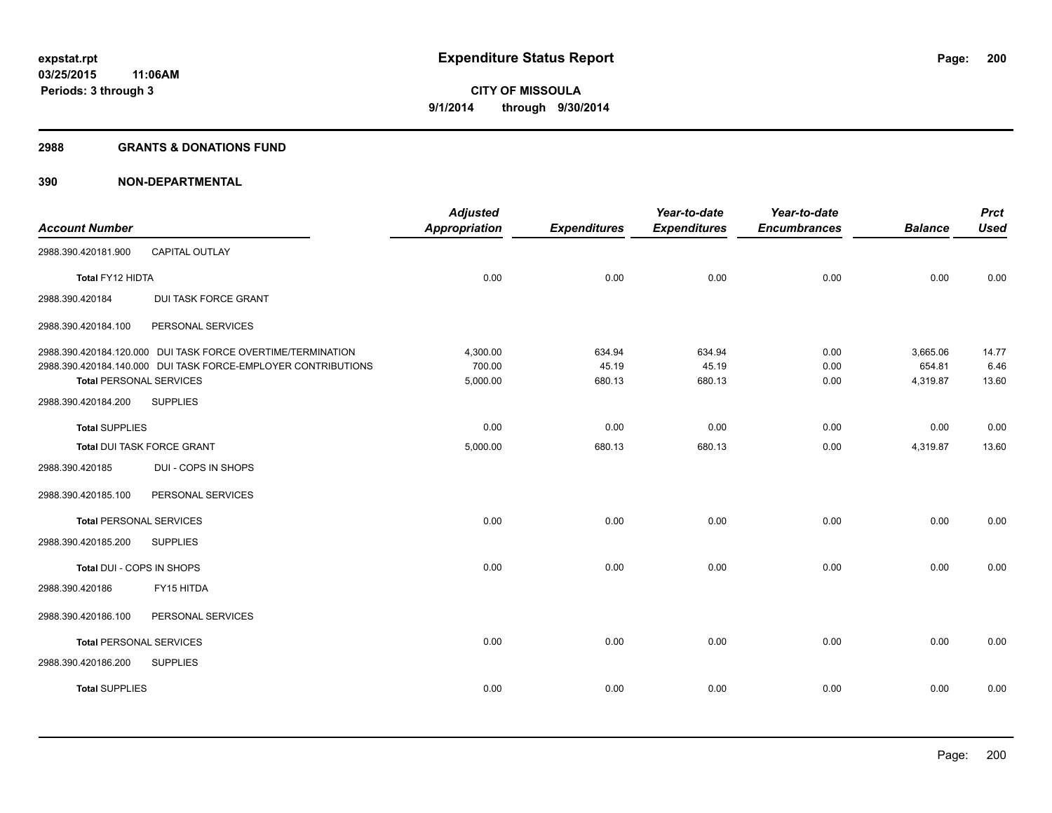## **2988 GRANTS & DONATIONS FUND**

|                                |                                                               | <b>Adjusted</b>      |                     | Year-to-date        | Year-to-date        |                    | <b>Prct</b>   |
|--------------------------------|---------------------------------------------------------------|----------------------|---------------------|---------------------|---------------------|--------------------|---------------|
| <b>Account Number</b>          |                                                               | <b>Appropriation</b> | <b>Expenditures</b> | <b>Expenditures</b> | <b>Encumbrances</b> | <b>Balance</b>     | <b>Used</b>   |
| 2988.390.420181.900            | CAPITAL OUTLAY                                                |                      |                     |                     |                     |                    |               |
| Total FY12 HIDTA               |                                                               | 0.00                 | 0.00                | 0.00                | 0.00                | 0.00               | 0.00          |
| 2988.390.420184                | <b>DUI TASK FORCE GRANT</b>                                   |                      |                     |                     |                     |                    |               |
| 2988.390.420184.100            | PERSONAL SERVICES                                             |                      |                     |                     |                     |                    |               |
|                                | 2988.390.420184.120.000 DUI TASK FORCE OVERTIME/TERMINATION   | 4,300.00             | 634.94              | 634.94              | 0.00                | 3,665.06           | 14.77         |
| <b>Total PERSONAL SERVICES</b> | 2988.390.420184.140.000 DUI TASK FORCE-EMPLOYER CONTRIBUTIONS | 700.00<br>5,000.00   | 45.19<br>680.13     | 45.19<br>680.13     | 0.00<br>0.00        | 654.81<br>4,319.87 | 6.46<br>13.60 |
| 2988.390.420184.200            | <b>SUPPLIES</b>                                               |                      |                     |                     |                     |                    |               |
| <b>Total SUPPLIES</b>          |                                                               | 0.00                 | 0.00                | 0.00                | 0.00                | 0.00               | 0.00          |
| Total DUI TASK FORCE GRANT     |                                                               | 5,000.00             | 680.13              | 680.13              | 0.00                | 4,319.87           | 13.60         |
| 2988.390.420185                | DUI - COPS IN SHOPS                                           |                      |                     |                     |                     |                    |               |
| 2988.390.420185.100            | PERSONAL SERVICES                                             |                      |                     |                     |                     |                    |               |
| <b>Total PERSONAL SERVICES</b> |                                                               | 0.00                 | 0.00                | 0.00                | 0.00                | 0.00               | 0.00          |
| 2988.390.420185.200            | <b>SUPPLIES</b>                                               |                      |                     |                     |                     |                    |               |
| Total DUI - COPS IN SHOPS      |                                                               | 0.00                 | 0.00                | 0.00                | 0.00                | 0.00               | 0.00          |
| 2988.390.420186                | FY15 HITDA                                                    |                      |                     |                     |                     |                    |               |
| 2988.390.420186.100            | PERSONAL SERVICES                                             |                      |                     |                     |                     |                    |               |
| <b>Total PERSONAL SERVICES</b> |                                                               | 0.00                 | 0.00                | 0.00                | 0.00                | 0.00               | 0.00          |
| 2988.390.420186.200            | <b>SUPPLIES</b>                                               |                      |                     |                     |                     |                    |               |
| <b>Total SUPPLIES</b>          |                                                               | 0.00                 | 0.00                | 0.00                | 0.00                | 0.00               | 0.00          |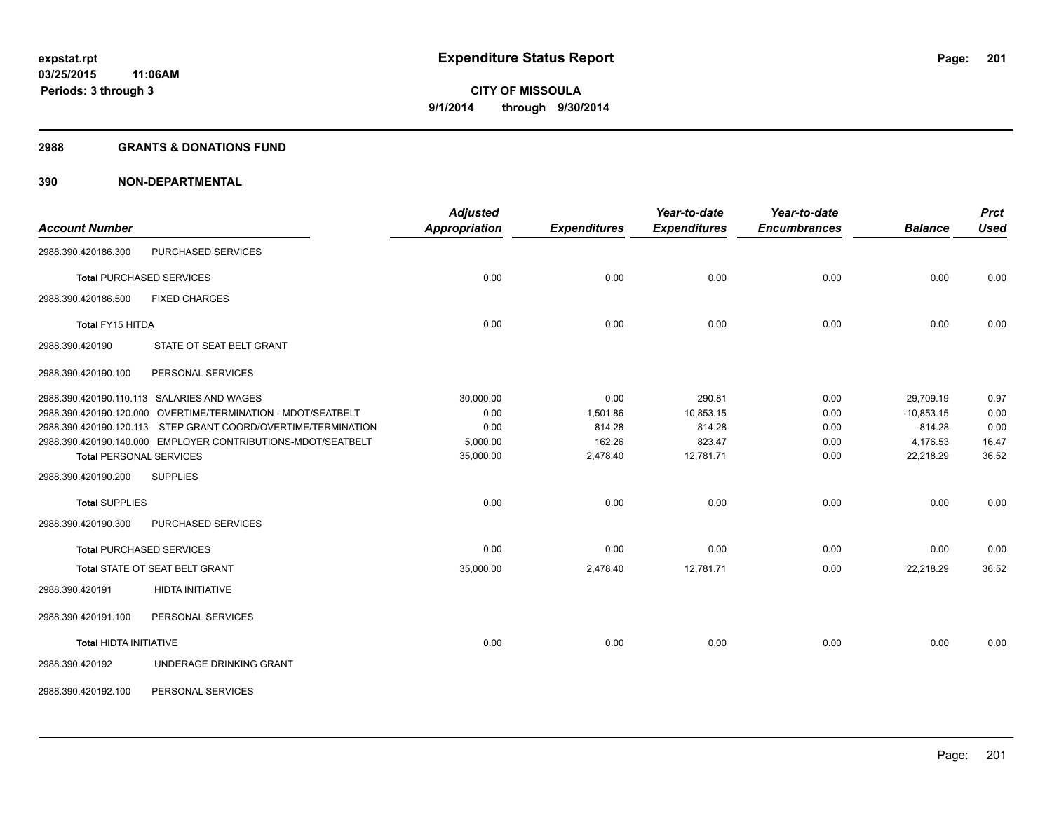### **2988 GRANTS & DONATIONS FUND**

| <b>Account Number</b>           |                                                               | <b>Adjusted</b><br><b>Appropriation</b> | <b>Expenditures</b> | Year-to-date<br><b>Expenditures</b> | Year-to-date<br><b>Encumbrances</b> | <b>Balance</b> | <b>Prct</b><br><b>Used</b> |
|---------------------------------|---------------------------------------------------------------|-----------------------------------------|---------------------|-------------------------------------|-------------------------------------|----------------|----------------------------|
| 2988.390.420186.300             | PURCHASED SERVICES                                            |                                         |                     |                                     |                                     |                |                            |
| <b>Total PURCHASED SERVICES</b> |                                                               | 0.00                                    | 0.00                | 0.00                                | 0.00                                | 0.00           | 0.00                       |
| 2988.390.420186.500             | <b>FIXED CHARGES</b>                                          |                                         |                     |                                     |                                     |                |                            |
| Total FY15 HITDA                |                                                               | 0.00                                    | 0.00                | 0.00                                | 0.00                                | 0.00           | 0.00                       |
| 2988.390.420190                 | STATE OT SEAT BELT GRANT                                      |                                         |                     |                                     |                                     |                |                            |
| 2988.390.420190.100             | PERSONAL SERVICES                                             |                                         |                     |                                     |                                     |                |                            |
|                                 | 2988.390.420190.110.113 SALARIES AND WAGES                    | 30,000.00                               | 0.00                | 290.81                              | 0.00                                | 29,709.19      | 0.97                       |
|                                 | 2988.390.420190.120.000 OVERTIME/TERMINATION - MDOT/SEATBELT  | 0.00                                    | 1,501.86            | 10,853.15                           | 0.00                                | $-10,853.15$   | 0.00                       |
|                                 | 2988.390.420190.120.113 STEP GRANT COORD/OVERTIME/TERMINATION | 0.00                                    | 814.28              | 814.28                              | 0.00                                | $-814.28$      | 0.00                       |
|                                 | 2988.390.420190.140.000 EMPLOYER CONTRIBUTIONS-MDOT/SEATBELT  | 5,000.00                                | 162.26              | 823.47                              | 0.00                                | 4,176.53       | 16.47                      |
| <b>Total PERSONAL SERVICES</b>  |                                                               | 35,000.00                               | 2,478.40            | 12,781.71                           | 0.00                                | 22,218.29      | 36.52                      |
| 2988.390.420190.200             | <b>SUPPLIES</b>                                               |                                         |                     |                                     |                                     |                |                            |
| <b>Total SUPPLIES</b>           |                                                               | 0.00                                    | 0.00                | 0.00                                | 0.00                                | 0.00           | 0.00                       |
| 2988.390.420190.300             | PURCHASED SERVICES                                            |                                         |                     |                                     |                                     |                |                            |
| <b>Total PURCHASED SERVICES</b> |                                                               | 0.00                                    | 0.00                | 0.00                                | 0.00                                | 0.00           | 0.00                       |
|                                 | Total STATE OT SEAT BELT GRANT                                | 35,000.00                               | 2,478.40            | 12,781.71                           | 0.00                                | 22,218.29      | 36.52                      |
| 2988.390.420191                 | <b>HIDTA INITIATIVE</b>                                       |                                         |                     |                                     |                                     |                |                            |
| 2988.390.420191.100             | PERSONAL SERVICES                                             |                                         |                     |                                     |                                     |                |                            |
| <b>Total HIDTA INITIATIVE</b>   |                                                               | 0.00                                    | 0.00                | 0.00                                | 0.00                                | 0.00           | 0.00                       |
| 2988.390.420192                 | UNDERAGE DRINKING GRANT                                       |                                         |                     |                                     |                                     |                |                            |
| 2988.390.420192.100             | PERSONAL SERVICES                                             |                                         |                     |                                     |                                     |                |                            |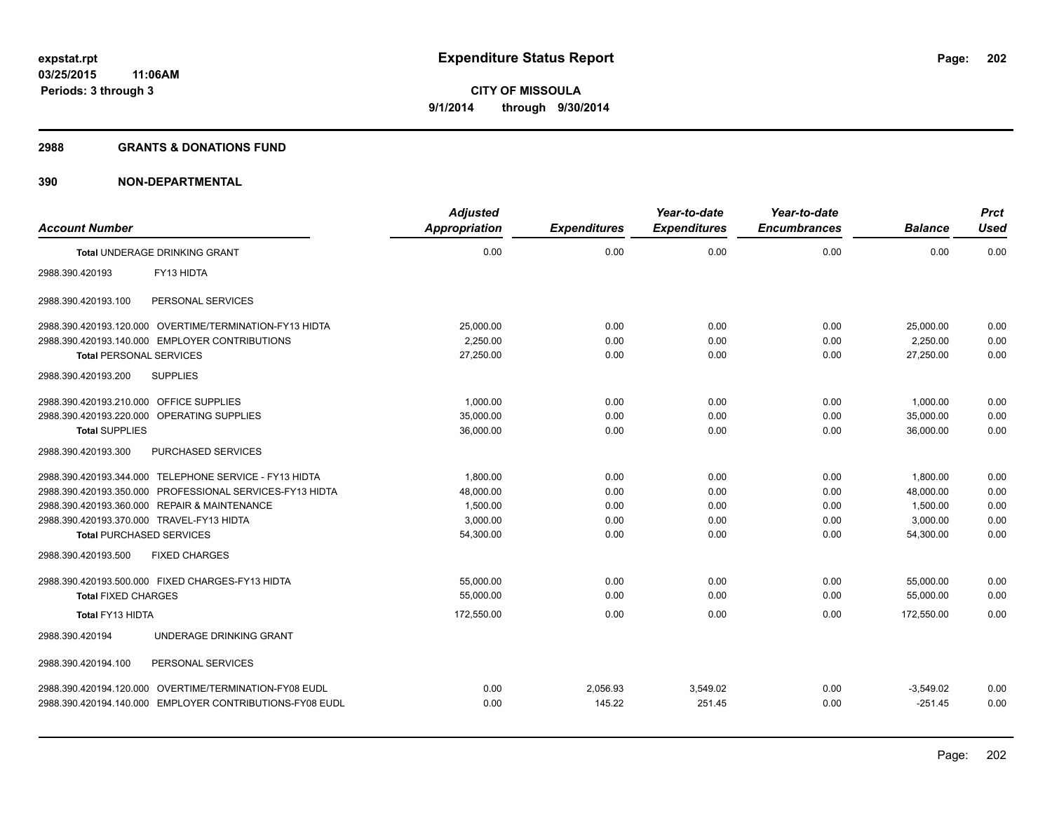### **2988 GRANTS & DONATIONS FUND**

|                                           |                                                          | <b>Adjusted</b>      |                     | Year-to-date        | Year-to-date        |                | <b>Prct</b> |
|-------------------------------------------|----------------------------------------------------------|----------------------|---------------------|---------------------|---------------------|----------------|-------------|
| <b>Account Number</b>                     |                                                          | <b>Appropriation</b> | <b>Expenditures</b> | <b>Expenditures</b> | <b>Encumbrances</b> | <b>Balance</b> | <b>Used</b> |
|                                           | <b>Total UNDERAGE DRINKING GRANT</b>                     | 0.00                 | 0.00                | 0.00                | 0.00                | 0.00           | 0.00        |
| 2988.390.420193                           | FY13 HIDTA                                               |                      |                     |                     |                     |                |             |
| 2988.390.420193.100                       | PERSONAL SERVICES                                        |                      |                     |                     |                     |                |             |
|                                           | 2988.390.420193.120.000 OVERTIME/TERMINATION-FY13 HIDTA  | 25,000.00            | 0.00                | 0.00                | 0.00                | 25,000.00      | 0.00        |
|                                           | 2988.390.420193.140.000 EMPLOYER CONTRIBUTIONS           | 2.250.00             | 0.00                | 0.00                | 0.00                | 2.250.00       | 0.00        |
| <b>Total PERSONAL SERVICES</b>            |                                                          | 27,250.00            | 0.00                | 0.00                | 0.00                | 27,250.00      | 0.00        |
| 2988.390.420193.200                       | <b>SUPPLIES</b>                                          |                      |                     |                     |                     |                |             |
| 2988.390.420193.210.000                   | <b>OFFICE SUPPLIES</b>                                   | 1,000.00             | 0.00                | 0.00                | 0.00                | 1,000.00       | 0.00        |
| 2988.390.420193.220.000                   | <b>OPERATING SUPPLIES</b>                                | 35,000.00            | 0.00                | 0.00                | 0.00                | 35.000.00      | 0.00        |
| <b>Total SUPPLIES</b>                     |                                                          | 36,000.00            | 0.00                | 0.00                | 0.00                | 36.000.00      | 0.00        |
| 2988.390.420193.300                       | PURCHASED SERVICES                                       |                      |                     |                     |                     |                |             |
|                                           | 2988.390.420193.344.000 TELEPHONE SERVICE - FY13 HIDTA   | 1,800.00             | 0.00                | 0.00                | 0.00                | 1,800.00       | 0.00        |
|                                           | 2988.390.420193.350.000 PROFESSIONAL SERVICES-FY13 HIDTA | 48,000.00            | 0.00                | 0.00                | 0.00                | 48,000.00      | 0.00        |
|                                           | 2988.390.420193.360.000 REPAIR & MAINTENANCE             | 1,500.00             | 0.00                | 0.00                | 0.00                | 1.500.00       | 0.00        |
| 2988.390.420193.370.000 TRAVEL-FY13 HIDTA |                                                          | 3,000.00             | 0.00                | 0.00                | 0.00                | 3,000.00       | 0.00        |
| <b>Total PURCHASED SERVICES</b>           |                                                          | 54,300.00            | 0.00                | 0.00                | 0.00                | 54,300.00      | 0.00        |
| 2988.390.420193.500                       | <b>FIXED CHARGES</b>                                     |                      |                     |                     |                     |                |             |
|                                           | 2988.390.420193.500.000 FIXED CHARGES-FY13 HIDTA         | 55.000.00            | 0.00                | 0.00                | 0.00                | 55.000.00      | 0.00        |
| <b>Total FIXED CHARGES</b>                |                                                          | 55,000.00            | 0.00                | 0.00                | 0.00                | 55,000.00      | 0.00        |
| Total FY13 HIDTA                          |                                                          | 172,550.00           | 0.00                | 0.00                | 0.00                | 172.550.00     | 0.00        |
| 2988.390.420194                           | UNDERAGE DRINKING GRANT                                  |                      |                     |                     |                     |                |             |
| 2988.390.420194.100                       | PERSONAL SERVICES                                        |                      |                     |                     |                     |                |             |
|                                           | 2988.390.420194.120.000 OVERTIME/TERMINATION-FY08 EUDL   | 0.00                 | 2,056.93            | 3,549.02            | 0.00                | $-3,549.02$    | 0.00        |
|                                           | 2988.390.420194.140.000 EMPLOYER CONTRIBUTIONS-FY08 EUDL | 0.00                 | 145.22              | 251.45              | 0.00                | $-251.45$      | 0.00        |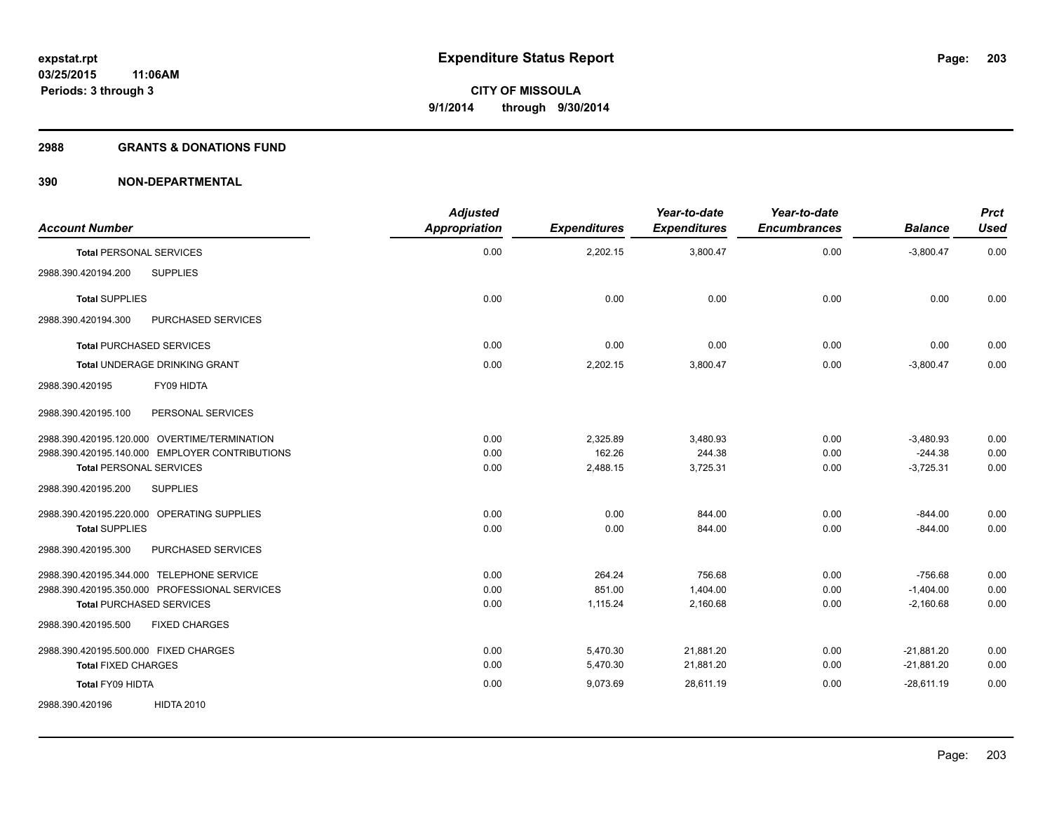## **2988 GRANTS & DONATIONS FUND**

| <b>Account Number</b>                          | <b>Adjusted</b><br><b>Appropriation</b> | <b>Expenditures</b> | Year-to-date<br><b>Expenditures</b> | Year-to-date<br><b>Encumbrances</b> | <b>Balance</b> | <b>Prct</b><br><b>Used</b> |
|------------------------------------------------|-----------------------------------------|---------------------|-------------------------------------|-------------------------------------|----------------|----------------------------|
| <b>Total PERSONAL SERVICES</b>                 | 0.00                                    | 2,202.15            | 3,800.47                            | 0.00                                | $-3,800.47$    | 0.00                       |
| 2988.390.420194.200<br><b>SUPPLIES</b>         |                                         |                     |                                     |                                     |                |                            |
| <b>Total SUPPLIES</b>                          | 0.00                                    | 0.00                | 0.00                                | 0.00                                | 0.00           | 0.00                       |
| 2988.390.420194.300<br>PURCHASED SERVICES      |                                         |                     |                                     |                                     |                |                            |
| <b>Total PURCHASED SERVICES</b>                | 0.00                                    | 0.00                | 0.00                                | 0.00                                | 0.00           | 0.00                       |
| <b>Total UNDERAGE DRINKING GRANT</b>           | 0.00                                    | 2,202.15            | 3,800.47                            | 0.00                                | $-3,800.47$    | 0.00                       |
| FY09 HIDTA<br>2988.390.420195                  |                                         |                     |                                     |                                     |                |                            |
| PERSONAL SERVICES<br>2988.390.420195.100       |                                         |                     |                                     |                                     |                |                            |
| 2988.390.420195.120.000 OVERTIME/TERMINATION   | 0.00                                    | 2,325.89            | 3,480.93                            | 0.00                                | $-3,480.93$    | 0.00                       |
| 2988.390.420195.140.000 EMPLOYER CONTRIBUTIONS | 0.00                                    | 162.26              | 244.38                              | 0.00                                | $-244.38$      | 0.00                       |
| <b>Total PERSONAL SERVICES</b>                 | 0.00                                    | 2,488.15            | 3,725.31                            | 0.00                                | $-3,725.31$    | 0.00                       |
| 2988.390.420195.200<br><b>SUPPLIES</b>         |                                         |                     |                                     |                                     |                |                            |
| 2988.390.420195.220.000 OPERATING SUPPLIES     | 0.00                                    | 0.00                | 844.00                              | 0.00                                | $-844.00$      | 0.00                       |
| <b>Total SUPPLIES</b>                          | 0.00                                    | 0.00                | 844.00                              | 0.00                                | $-844.00$      | 0.00                       |
| 2988.390.420195.300<br>PURCHASED SERVICES      |                                         |                     |                                     |                                     |                |                            |
| 2988.390.420195.344.000 TELEPHONE SERVICE      | 0.00                                    | 264.24              | 756.68                              | 0.00                                | $-756.68$      | 0.00                       |
| 2988.390.420195.350.000 PROFESSIONAL SERVICES  | 0.00                                    | 851.00              | 1,404.00                            | 0.00                                | $-1,404.00$    | 0.00                       |
| Total PURCHASED SERVICES                       | 0.00                                    | 1,115.24            | 2,160.68                            | 0.00                                | $-2,160.68$    | 0.00                       |
| 2988.390.420195.500<br><b>FIXED CHARGES</b>    |                                         |                     |                                     |                                     |                |                            |
| 2988.390.420195.500.000 FIXED CHARGES          | 0.00                                    | 5,470.30            | 21,881.20                           | 0.00                                | $-21,881.20$   | 0.00                       |
| <b>Total FIXED CHARGES</b>                     | 0.00                                    | 5,470.30            | 21,881.20                           | 0.00                                | $-21,881.20$   | 0.00                       |
| Total FY09 HIDTA                               | 0.00                                    | 9,073.69            | 28.611.19                           | 0.00                                | $-28.611.19$   | 0.00                       |
| 2988.390.420196<br><b>HIDTA 2010</b>           |                                         |                     |                                     |                                     |                |                            |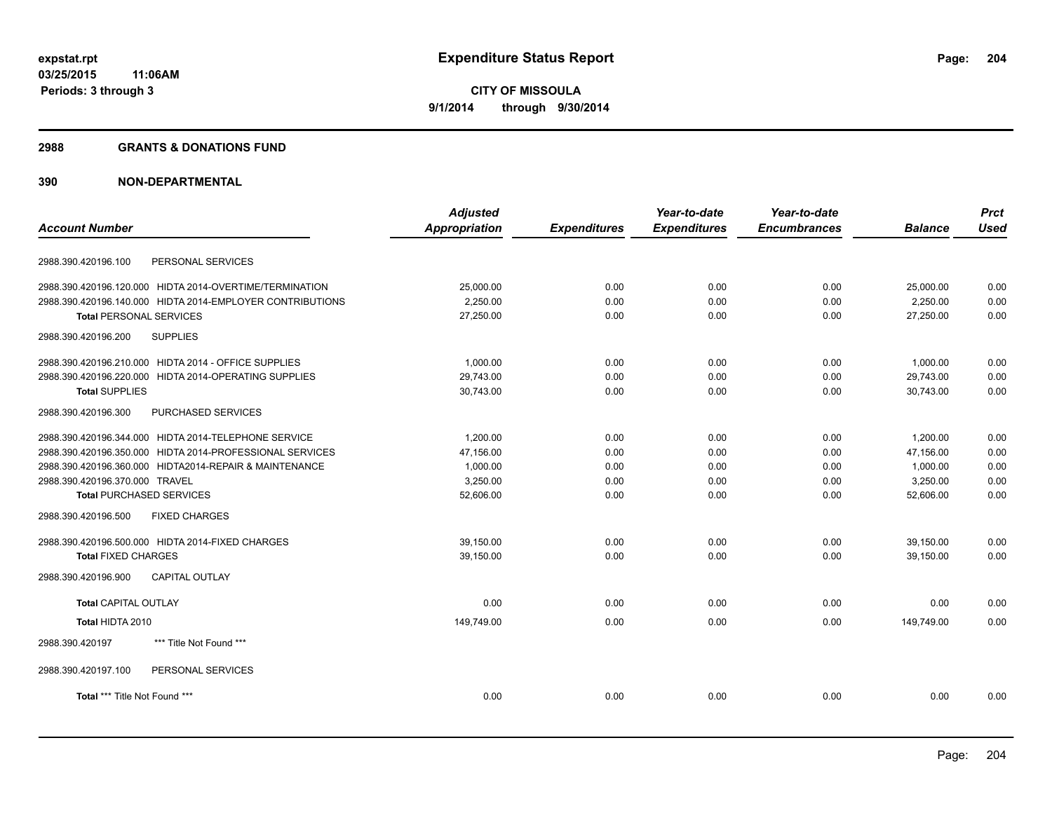### **2988 GRANTS & DONATIONS FUND**

|                                                           | <b>Adjusted</b>      |                     | Year-to-date        | Year-to-date        |                | <b>Prct</b> |
|-----------------------------------------------------------|----------------------|---------------------|---------------------|---------------------|----------------|-------------|
| <b>Account Number</b>                                     | <b>Appropriation</b> | <b>Expenditures</b> | <b>Expenditures</b> | <b>Encumbrances</b> | <b>Balance</b> | <b>Used</b> |
| PERSONAL SERVICES<br>2988.390.420196.100                  |                      |                     |                     |                     |                |             |
| 2988.390.420196.120.000 HIDTA 2014-OVERTIME/TERMINATION   | 25.000.00            | 0.00                | 0.00                | 0.00                | 25.000.00      | 0.00        |
| 2988.390.420196.140.000 HIDTA 2014-EMPLOYER CONTRIBUTIONS | 2,250.00             | 0.00                | 0.00                | 0.00                | 2,250.00       | 0.00        |
| <b>Total PERSONAL SERVICES</b>                            | 27,250.00            | 0.00                | 0.00                | 0.00                | 27,250.00      | 0.00        |
| 2988.390.420196.200<br><b>SUPPLIES</b>                    |                      |                     |                     |                     |                |             |
| 2988.390.420196.210.000 HIDTA 2014 - OFFICE SUPPLIES      | 1,000.00             | 0.00                | 0.00                | 0.00                | 1,000.00       | 0.00        |
| 2988.390.420196.220.000 HIDTA 2014-OPERATING SUPPLIES     | 29,743.00            | 0.00                | 0.00                | 0.00                | 29,743.00      | 0.00        |
| <b>Total SUPPLIES</b>                                     | 30,743.00            | 0.00                | 0.00                | 0.00                | 30,743.00      | 0.00        |
| 2988.390.420196.300<br>PURCHASED SERVICES                 |                      |                     |                     |                     |                |             |
| 2988.390.420196.344.000 HIDTA 2014-TELEPHONE SERVICE      | 1,200.00             | 0.00                | 0.00                | 0.00                | 1,200.00       | 0.00        |
| 2988.390.420196.350.000 HIDTA 2014-PROFESSIONAL SERVICES  | 47,156.00            | 0.00                | 0.00                | 0.00                | 47,156.00      | 0.00        |
| 2988.390.420196.360.000 HIDTA2014-REPAIR & MAINTENANCE    | 1,000.00             | 0.00                | 0.00                | 0.00                | 1,000.00       | 0.00        |
| 2988.390.420196.370.000 TRAVEL                            | 3,250.00             | 0.00                | 0.00                | 0.00                | 3,250.00       | 0.00        |
| <b>Total PURCHASED SERVICES</b>                           | 52,606.00            | 0.00                | 0.00                | 0.00                | 52,606.00      | 0.00        |
| <b>FIXED CHARGES</b><br>2988.390.420196.500               |                      |                     |                     |                     |                |             |
| 2988.390.420196.500.000 HIDTA 2014-FIXED CHARGES          | 39.150.00            | 0.00                | 0.00                | 0.00                | 39.150.00      | 0.00        |
| <b>Total FIXED CHARGES</b>                                | 39,150.00            | 0.00                | 0.00                | 0.00                | 39.150.00      | 0.00        |
| 2988.390.420196.900<br><b>CAPITAL OUTLAY</b>              |                      |                     |                     |                     |                |             |
| <b>Total CAPITAL OUTLAY</b>                               | 0.00                 | 0.00                | 0.00                | 0.00                | 0.00           | 0.00        |
| Total HIDTA 2010                                          | 149,749.00           | 0.00                | 0.00                | 0.00                | 149.749.00     | 0.00        |
| 2988.390.420197<br>*** Title Not Found ***                |                      |                     |                     |                     |                |             |
| 2988.390.420197.100<br>PERSONAL SERVICES                  |                      |                     |                     |                     |                |             |
| Total *** Title Not Found ***                             | 0.00                 | 0.00                | 0.00                | 0.00                | 0.00           | 0.00        |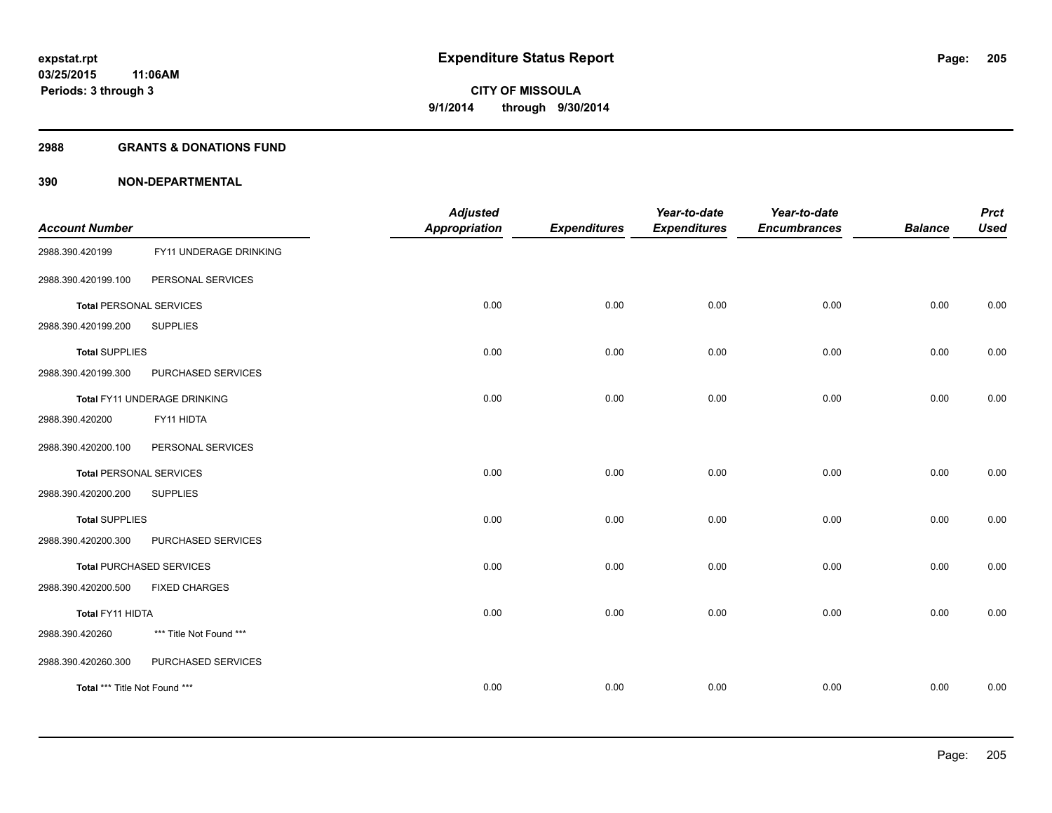### **2988 GRANTS & DONATIONS FUND**

| <b>Account Number</b>          |                                 | <b>Adjusted</b><br><b>Appropriation</b> | <b>Expenditures</b> | Year-to-date<br><b>Expenditures</b> | Year-to-date<br><b>Encumbrances</b> | <b>Balance</b> | <b>Prct</b><br><b>Used</b> |
|--------------------------------|---------------------------------|-----------------------------------------|---------------------|-------------------------------------|-------------------------------------|----------------|----------------------------|
| 2988.390.420199                | FY11 UNDERAGE DRINKING          |                                         |                     |                                     |                                     |                |                            |
| 2988.390.420199.100            | PERSONAL SERVICES               |                                         |                     |                                     |                                     |                |                            |
| <b>Total PERSONAL SERVICES</b> |                                 | 0.00                                    | 0.00                | 0.00                                | 0.00                                | 0.00           | 0.00                       |
| 2988.390.420199.200            | <b>SUPPLIES</b>                 |                                         |                     |                                     |                                     |                |                            |
| <b>Total SUPPLIES</b>          |                                 | 0.00                                    | 0.00                | 0.00                                | 0.00                                | 0.00           | 0.00                       |
| 2988.390.420199.300            | PURCHASED SERVICES              |                                         |                     |                                     |                                     |                |                            |
|                                | Total FY11 UNDERAGE DRINKING    | 0.00                                    | 0.00                | 0.00                                | 0.00                                | 0.00           | 0.00                       |
| 2988.390.420200                | FY11 HIDTA                      |                                         |                     |                                     |                                     |                |                            |
| 2988.390.420200.100            | PERSONAL SERVICES               |                                         |                     |                                     |                                     |                |                            |
| <b>Total PERSONAL SERVICES</b> |                                 | 0.00                                    | 0.00                | 0.00                                | 0.00                                | 0.00           | 0.00                       |
| 2988.390.420200.200            | <b>SUPPLIES</b>                 |                                         |                     |                                     |                                     |                |                            |
| <b>Total SUPPLIES</b>          |                                 | 0.00                                    | 0.00                | 0.00                                | 0.00                                | 0.00           | 0.00                       |
| 2988.390.420200.300            | PURCHASED SERVICES              |                                         |                     |                                     |                                     |                |                            |
|                                | <b>Total PURCHASED SERVICES</b> | 0.00                                    | 0.00                | 0.00                                | 0.00                                | 0.00           | 0.00                       |
| 2988.390.420200.500            | <b>FIXED CHARGES</b>            |                                         |                     |                                     |                                     |                |                            |
| Total FY11 HIDTA               |                                 | 0.00                                    | 0.00                | 0.00                                | 0.00                                | 0.00           | 0.00                       |
| 2988.390.420260                | *** Title Not Found ***         |                                         |                     |                                     |                                     |                |                            |
| 2988.390.420260.300            | PURCHASED SERVICES              |                                         |                     |                                     |                                     |                |                            |
| Total *** Title Not Found ***  |                                 | 0.00                                    | 0.00                | 0.00                                | 0.00                                | 0.00           | 0.00                       |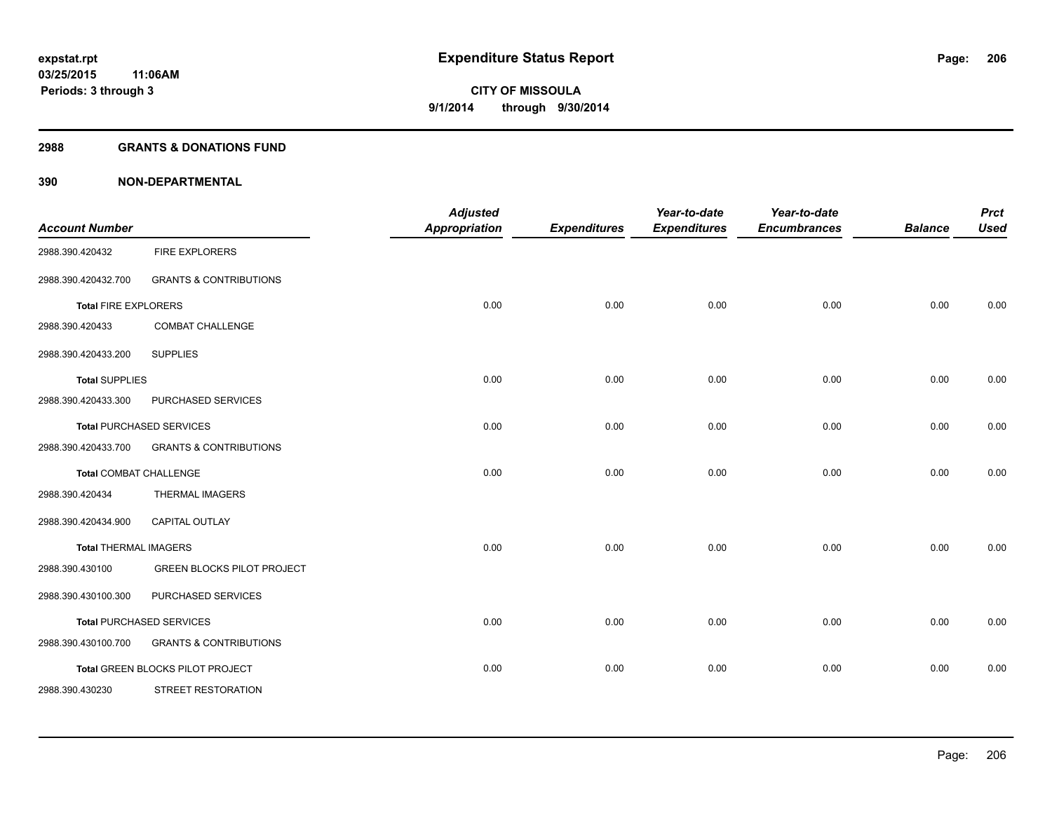## **2988 GRANTS & DONATIONS FUND**

| <b>Account Number</b>         |                                   | <b>Adjusted</b><br><b>Appropriation</b> | <b>Expenditures</b> | Year-to-date<br><b>Expenditures</b> | Year-to-date<br><b>Encumbrances</b> | <b>Balance</b> | <b>Prct</b><br><b>Used</b> |
|-------------------------------|-----------------------------------|-----------------------------------------|---------------------|-------------------------------------|-------------------------------------|----------------|----------------------------|
| 2988.390.420432               | FIRE EXPLORERS                    |                                         |                     |                                     |                                     |                |                            |
| 2988.390.420432.700           | <b>GRANTS &amp; CONTRIBUTIONS</b> |                                         |                     |                                     |                                     |                |                            |
| <b>Total FIRE EXPLORERS</b>   |                                   | 0.00                                    | 0.00                | 0.00                                | 0.00                                | 0.00           | 0.00                       |
| 2988.390.420433               | <b>COMBAT CHALLENGE</b>           |                                         |                     |                                     |                                     |                |                            |
| 2988.390.420433.200           | <b>SUPPLIES</b>                   |                                         |                     |                                     |                                     |                |                            |
| <b>Total SUPPLIES</b>         |                                   | 0.00                                    | 0.00                | 0.00                                | 0.00                                | 0.00           | 0.00                       |
| 2988.390.420433.300           | PURCHASED SERVICES                |                                         |                     |                                     |                                     |                |                            |
|                               | <b>Total PURCHASED SERVICES</b>   | 0.00                                    | 0.00                | 0.00                                | 0.00                                | 0.00           | 0.00                       |
| 2988.390.420433.700           | <b>GRANTS &amp; CONTRIBUTIONS</b> |                                         |                     |                                     |                                     |                |                            |
| <b>Total COMBAT CHALLENGE</b> |                                   | 0.00                                    | 0.00                | 0.00                                | 0.00                                | 0.00           | 0.00                       |
| 2988.390.420434               | <b>THERMAL IMAGERS</b>            |                                         |                     |                                     |                                     |                |                            |
| 2988.390.420434.900           | CAPITAL OUTLAY                    |                                         |                     |                                     |                                     |                |                            |
| <b>Total THERMAL IMAGERS</b>  |                                   | 0.00                                    | 0.00                | 0.00                                | 0.00                                | 0.00           | 0.00                       |
| 2988.390.430100               | <b>GREEN BLOCKS PILOT PROJECT</b> |                                         |                     |                                     |                                     |                |                            |
| 2988.390.430100.300           | PURCHASED SERVICES                |                                         |                     |                                     |                                     |                |                            |
|                               | <b>Total PURCHASED SERVICES</b>   | 0.00                                    | 0.00                | 0.00                                | 0.00                                | 0.00           | 0.00                       |
| 2988.390.430100.700           | <b>GRANTS &amp; CONTRIBUTIONS</b> |                                         |                     |                                     |                                     |                |                            |
|                               | Total GREEN BLOCKS PILOT PROJECT  | 0.00                                    | 0.00                | 0.00                                | 0.00                                | 0.00           | 0.00                       |
| 2988.390.430230               | STREET RESTORATION                |                                         |                     |                                     |                                     |                |                            |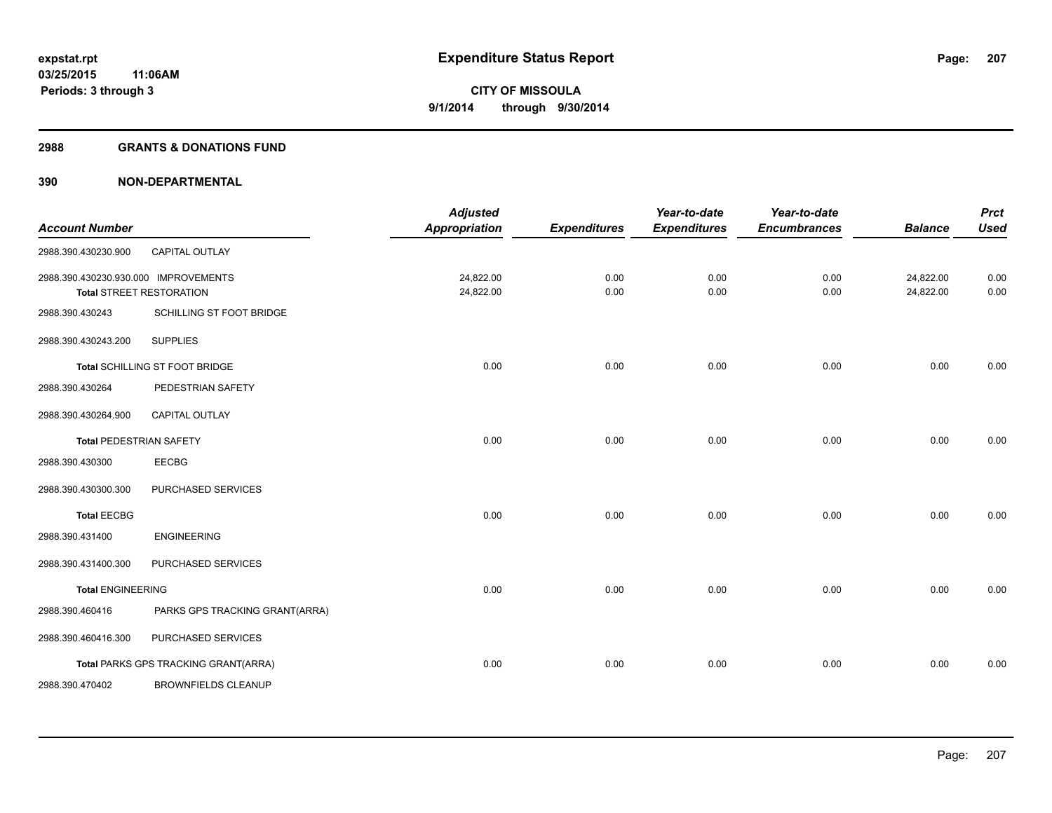## **2988 GRANTS & DONATIONS FUND**

| <b>Account Number</b>                |                                      | <b>Adjusted</b><br><b>Appropriation</b> | <b>Expenditures</b> | Year-to-date<br><b>Expenditures</b> | Year-to-date<br><b>Encumbrances</b> | <b>Balance</b>         | <b>Prct</b><br><b>Used</b> |
|--------------------------------------|--------------------------------------|-----------------------------------------|---------------------|-------------------------------------|-------------------------------------|------------------------|----------------------------|
| 2988.390.430230.900                  | CAPITAL OUTLAY                       |                                         |                     |                                     |                                     |                        |                            |
| 2988.390.430230.930.000 IMPROVEMENTS | <b>Total STREET RESTORATION</b>      | 24,822.00<br>24,822.00                  | 0.00<br>0.00        | 0.00<br>0.00                        | 0.00<br>0.00                        | 24,822.00<br>24,822.00 | 0.00<br>0.00               |
| 2988.390.430243                      | SCHILLING ST FOOT BRIDGE             |                                         |                     |                                     |                                     |                        |                            |
| 2988.390.430243.200                  | <b>SUPPLIES</b>                      |                                         |                     |                                     |                                     |                        |                            |
|                                      | Total SCHILLING ST FOOT BRIDGE       | 0.00                                    | 0.00                | 0.00                                | 0.00                                | 0.00                   | 0.00                       |
| 2988.390.430264                      | PEDESTRIAN SAFETY                    |                                         |                     |                                     |                                     |                        |                            |
| 2988.390.430264.900                  | <b>CAPITAL OUTLAY</b>                |                                         |                     |                                     |                                     |                        |                            |
| <b>Total PEDESTRIAN SAFETY</b>       |                                      | 0.00                                    | 0.00                | 0.00                                | 0.00                                | 0.00                   | 0.00                       |
| 2988.390.430300                      | <b>EECBG</b>                         |                                         |                     |                                     |                                     |                        |                            |
| 2988.390.430300.300                  | PURCHASED SERVICES                   |                                         |                     |                                     |                                     |                        |                            |
| <b>Total EECBG</b>                   |                                      | 0.00                                    | 0.00                | 0.00                                | 0.00                                | 0.00                   | 0.00                       |
| 2988.390.431400                      | <b>ENGINEERING</b>                   |                                         |                     |                                     |                                     |                        |                            |
| 2988.390.431400.300                  | PURCHASED SERVICES                   |                                         |                     |                                     |                                     |                        |                            |
| <b>Total ENGINEERING</b>             |                                      | 0.00                                    | 0.00                | 0.00                                | 0.00                                | 0.00                   | 0.00                       |
| 2988.390.460416                      | PARKS GPS TRACKING GRANT(ARRA)       |                                         |                     |                                     |                                     |                        |                            |
| 2988.390.460416.300                  | PURCHASED SERVICES                   |                                         |                     |                                     |                                     |                        |                            |
|                                      | Total PARKS GPS TRACKING GRANT(ARRA) | 0.00                                    | 0.00                | 0.00                                | 0.00                                | 0.00                   | 0.00                       |
| 2988.390.470402                      | <b>BROWNFIELDS CLEANUP</b>           |                                         |                     |                                     |                                     |                        |                            |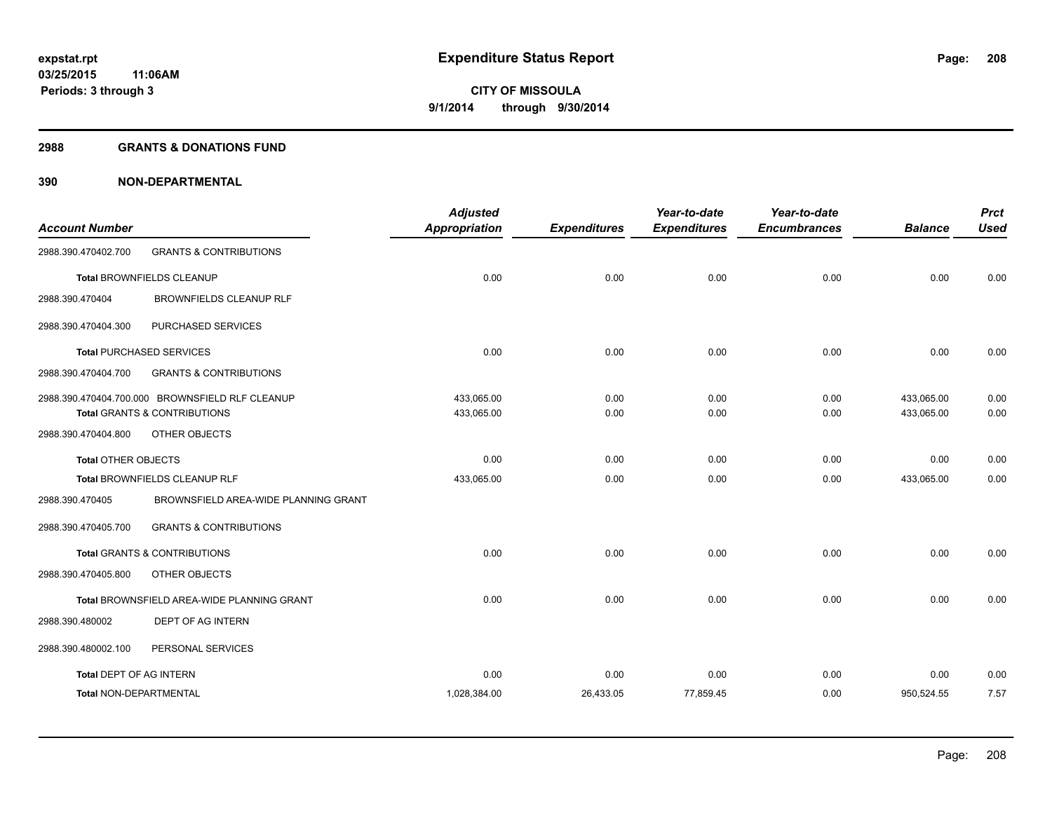## **2988 GRANTS & DONATIONS FUND**

|                                |                                                 | <b>Adjusted</b>      |                     | Year-to-date        | Year-to-date        |                | <b>Prct</b> |
|--------------------------------|-------------------------------------------------|----------------------|---------------------|---------------------|---------------------|----------------|-------------|
| <b>Account Number</b>          |                                                 | <b>Appropriation</b> | <b>Expenditures</b> | <b>Expenditures</b> | <b>Encumbrances</b> | <b>Balance</b> | <b>Used</b> |
| 2988.390.470402.700            | <b>GRANTS &amp; CONTRIBUTIONS</b>               |                      |                     |                     |                     |                |             |
|                                | Total BROWNFIELDS CLEANUP                       | 0.00                 | 0.00                | 0.00                | 0.00                | 0.00           | 0.00        |
| 2988.390.470404                | BROWNFIELDS CLEANUP RLF                         |                      |                     |                     |                     |                |             |
| 2988.390.470404.300            | PURCHASED SERVICES                              |                      |                     |                     |                     |                |             |
|                                | <b>Total PURCHASED SERVICES</b>                 | 0.00                 | 0.00                | 0.00                | 0.00                | 0.00           | 0.00        |
| 2988.390.470404.700            | <b>GRANTS &amp; CONTRIBUTIONS</b>               |                      |                     |                     |                     |                |             |
|                                | 2988.390.470404.700.000 BROWNSFIELD RLF CLEANUP | 433,065.00           | 0.00                | 0.00                | 0.00                | 433,065.00     | 0.00        |
|                                | Total GRANTS & CONTRIBUTIONS                    | 433,065.00           | 0.00                | 0.00                | 0.00                | 433,065.00     | 0.00        |
| 2988.390.470404.800            | OTHER OBJECTS                                   |                      |                     |                     |                     |                |             |
| <b>Total OTHER OBJECTS</b>     |                                                 | 0.00                 | 0.00                | 0.00                | 0.00                | 0.00           | 0.00        |
|                                | Total BROWNFIELDS CLEANUP RLF                   | 433,065.00           | 0.00                | 0.00                | 0.00                | 433,065.00     | 0.00        |
| 2988.390.470405                | BROWNSFIELD AREA-WIDE PLANNING GRANT            |                      |                     |                     |                     |                |             |
| 2988.390.470405.700            | <b>GRANTS &amp; CONTRIBUTIONS</b>               |                      |                     |                     |                     |                |             |
|                                | <b>Total GRANTS &amp; CONTRIBUTIONS</b>         | 0.00                 | 0.00                | 0.00                | 0.00                | 0.00           | 0.00        |
| 2988.390.470405.800            | OTHER OBJECTS                                   |                      |                     |                     |                     |                |             |
|                                | Total BROWNSFIELD AREA-WIDE PLANNING GRANT      | 0.00                 | 0.00                | 0.00                | 0.00                | 0.00           | 0.00        |
| 2988.390.480002                | DEPT OF AG INTERN                               |                      |                     |                     |                     |                |             |
| 2988.390.480002.100            | PERSONAL SERVICES                               |                      |                     |                     |                     |                |             |
| <b>Total DEPT OF AG INTERN</b> |                                                 | 0.00                 | 0.00                | 0.00                | 0.00                | 0.00           | 0.00        |
| Total NON-DEPARTMENTAL         |                                                 | 1,028,384.00         | 26,433.05           | 77,859.45           | 0.00                | 950,524.55     | 7.57        |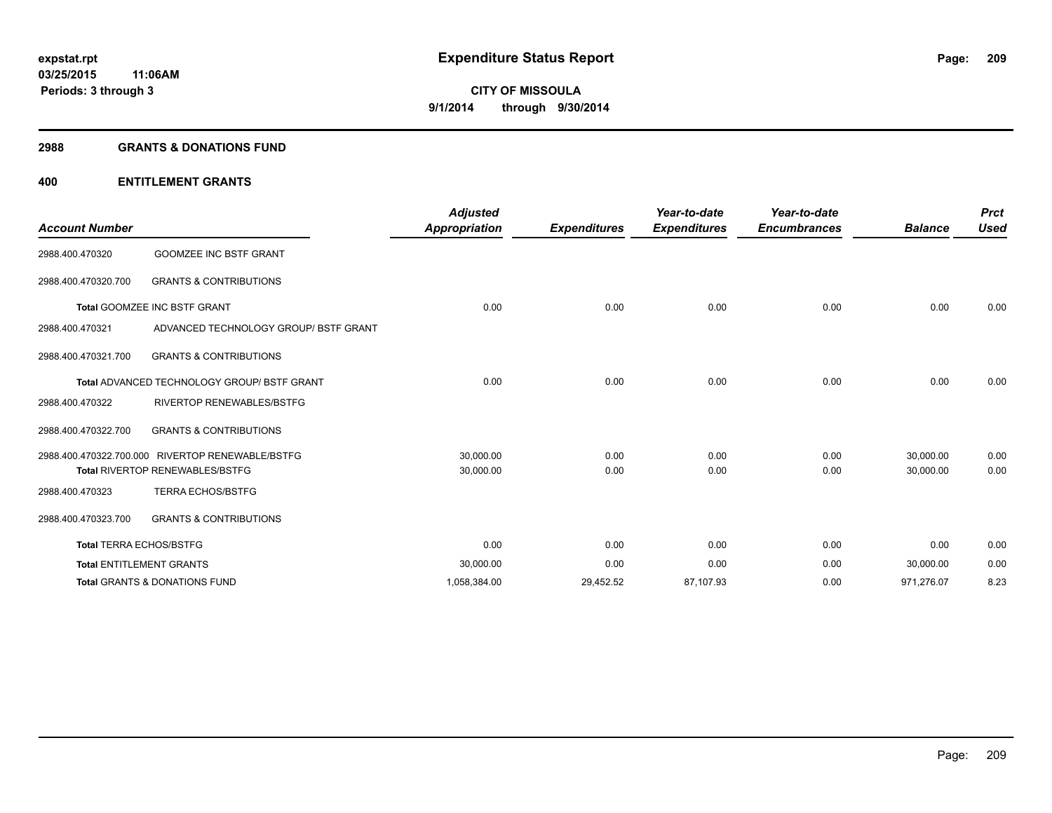## **2988 GRANTS & DONATIONS FUND**

# **400 ENTITLEMENT GRANTS**

| <b>Account Number</b>          |                                                    | <b>Adjusted</b><br>Appropriation | <b>Expenditures</b> | Year-to-date<br><b>Expenditures</b> | Year-to-date<br><b>Encumbrances</b> | <b>Balance</b> | <b>Prct</b><br><b>Used</b> |
|--------------------------------|----------------------------------------------------|----------------------------------|---------------------|-------------------------------------|-------------------------------------|----------------|----------------------------|
| 2988.400.470320                | <b>GOOMZEE INC BSTF GRANT</b>                      |                                  |                     |                                     |                                     |                |                            |
| 2988.400.470320.700            | <b>GRANTS &amp; CONTRIBUTIONS</b>                  |                                  |                     |                                     |                                     |                |                            |
|                                | <b>Total GOOMZEE INC BSTF GRANT</b>                | 0.00                             | 0.00                | 0.00                                | 0.00                                | 0.00           | 0.00                       |
| 2988.400.470321                | ADVANCED TECHNOLOGY GROUP/ BSTF GRANT              |                                  |                     |                                     |                                     |                |                            |
| 2988.400.470321.700            | <b>GRANTS &amp; CONTRIBUTIONS</b>                  |                                  |                     |                                     |                                     |                |                            |
|                                | <b>Total ADVANCED TECHNOLOGY GROUP/ BSTF GRANT</b> | 0.00                             | 0.00                | 0.00                                | 0.00                                | 0.00           | 0.00                       |
| 2988.400.470322                | <b>RIVERTOP RENEWABLES/BSTFG</b>                   |                                  |                     |                                     |                                     |                |                            |
| 2988.400.470322.700            | <b>GRANTS &amp; CONTRIBUTIONS</b>                  |                                  |                     |                                     |                                     |                |                            |
|                                | 2988.400.470322.700.000 RIVERTOP RENEWABLE/BSTFG   | 30,000.00                        | 0.00                | 0.00                                | 0.00                                | 30,000.00      | 0.00                       |
|                                | <b>Total RIVERTOP RENEWABLES/BSTFG</b>             | 30,000.00                        | 0.00                | 0.00                                | 0.00                                | 30,000.00      | 0.00                       |
| 2988.400.470323                | <b>TERRA ECHOS/BSTFG</b>                           |                                  |                     |                                     |                                     |                |                            |
| 2988.400.470323.700            | <b>GRANTS &amp; CONTRIBUTIONS</b>                  |                                  |                     |                                     |                                     |                |                            |
| <b>Total TERRA ECHOS/BSTFG</b> |                                                    | 0.00                             | 0.00                | 0.00                                | 0.00                                | 0.00           | 0.00                       |
|                                | <b>Total ENTITLEMENT GRANTS</b>                    | 30,000.00                        | 0.00                | 0.00                                | 0.00                                | 30,000.00      | 0.00                       |
|                                | <b>Total GRANTS &amp; DONATIONS FUND</b>           | 1,058,384.00                     | 29,452.52           | 87,107.93                           | 0.00                                | 971,276.07     | 8.23                       |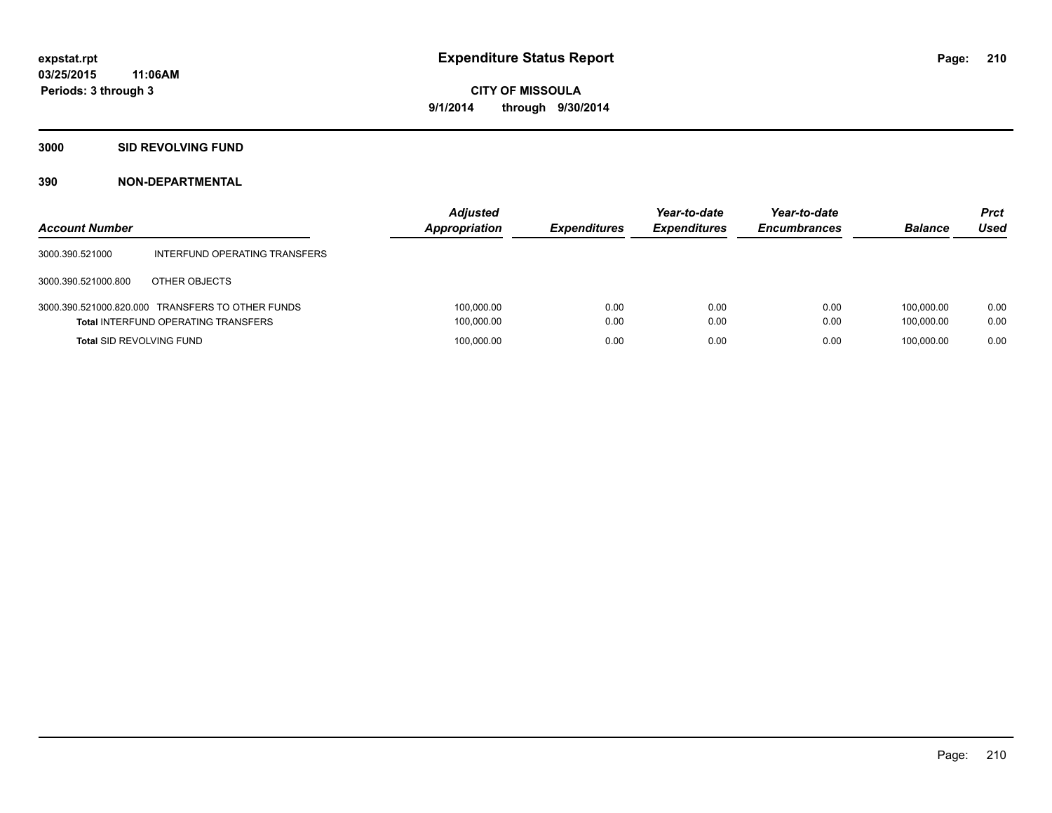## **3000 SID REVOLVING FUND**

| <b>Account Number</b>           |                                                                                                | <b>Adjusted</b><br><b>Appropriation</b> | <b>Expenditures</b> | Year-to-date<br><b>Expenditures</b> | Year-to-date<br><b>Encumbrances</b> | <b>Balance</b>           | <b>Prct</b><br>Used |
|---------------------------------|------------------------------------------------------------------------------------------------|-----------------------------------------|---------------------|-------------------------------------|-------------------------------------|--------------------------|---------------------|
| 3000.390.521000                 | INTERFUND OPERATING TRANSFERS                                                                  |                                         |                     |                                     |                                     |                          |                     |
| 3000.390.521000.800             | OTHER OBJECTS                                                                                  |                                         |                     |                                     |                                     |                          |                     |
|                                 | 3000.390.521000.820.000 TRANSFERS TO OTHER FUNDS<br><b>Total INTERFUND OPERATING TRANSFERS</b> | 100,000.00<br>100,000.00                | 0.00<br>0.00        | 0.00<br>0.00                        | 0.00<br>0.00                        | 100.000.00<br>100.000.00 | 0.00<br>0.00        |
| <b>Total SID REVOLVING FUND</b> |                                                                                                | 100,000.00                              | 0.00                | 0.00                                | 0.00                                | 100.000.00               | 0.00                |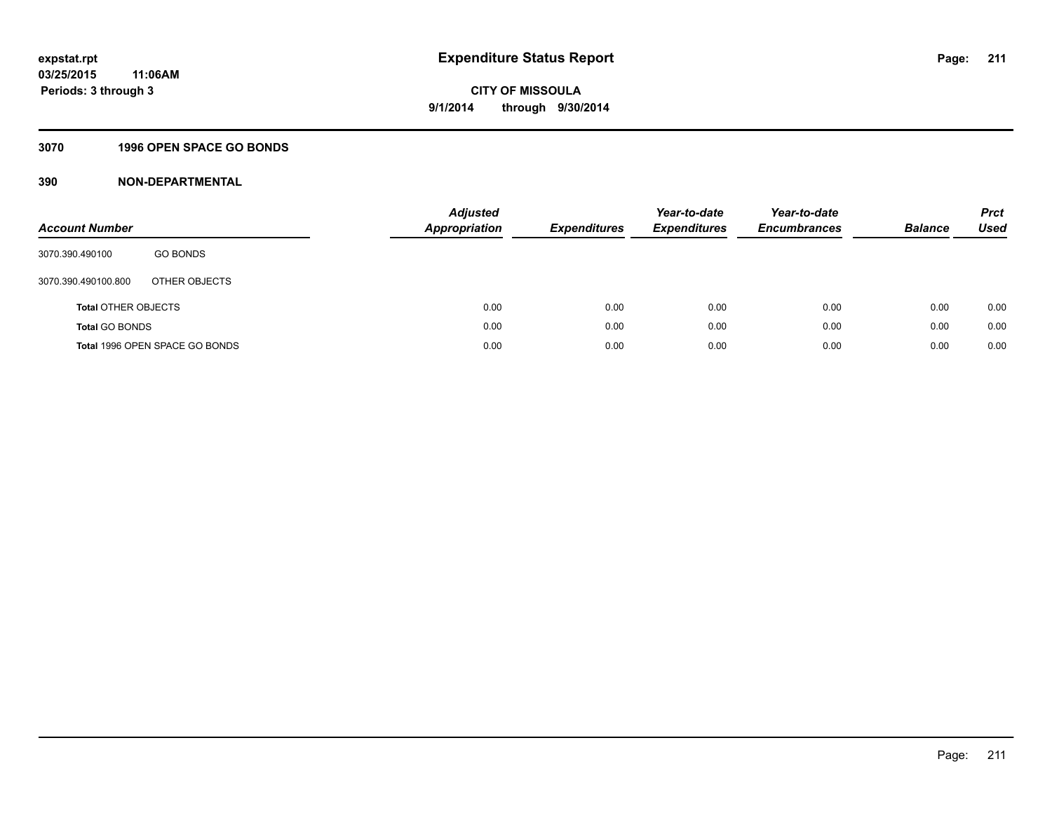# **3070 1996 OPEN SPACE GO BONDS**

| <b>Account Number</b>      |                                | Adjusted<br><b>Appropriation</b> | <b>Expenditures</b> | Year-to-date<br><b>Expenditures</b> | Year-to-date<br><b>Encumbrances</b> | <b>Balance</b> | <b>Prct</b><br>Used |
|----------------------------|--------------------------------|----------------------------------|---------------------|-------------------------------------|-------------------------------------|----------------|---------------------|
| 3070.390.490100            | <b>GO BONDS</b>                |                                  |                     |                                     |                                     |                |                     |
| 3070.390.490100.800        | OTHER OBJECTS                  |                                  |                     |                                     |                                     |                |                     |
| <b>Total OTHER OBJECTS</b> |                                | 0.00                             | 0.00                | 0.00                                | 0.00                                | 0.00           | 0.00                |
| <b>Total GO BONDS</b>      |                                | 0.00                             | 0.00                | 0.00                                | 0.00                                | 0.00           | 0.00                |
|                            | Total 1996 OPEN SPACE GO BONDS | 0.00                             | 0.00                | 0.00                                | 0.00                                | 0.00           | 0.00                |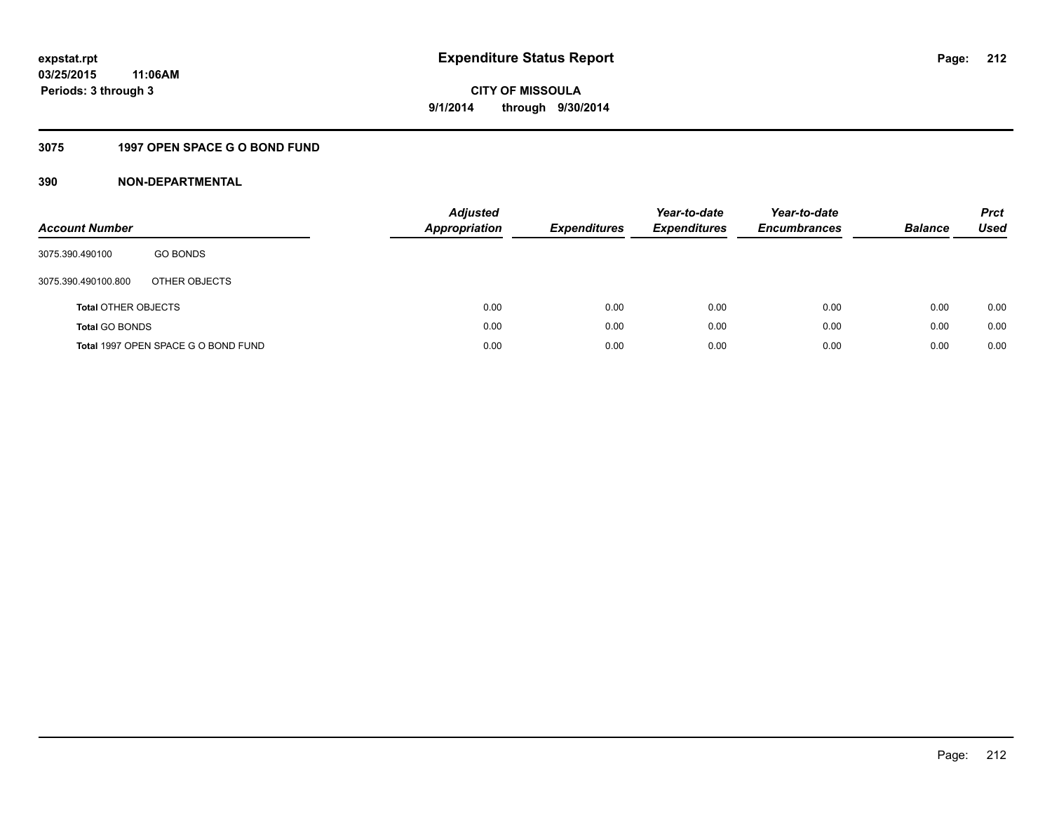# **3075 1997 OPEN SPACE G O BOND FUND**

| <b>Account Number</b>      |                                     | <b>Adjusted</b><br>Appropriation | <b>Expenditures</b> | Year-to-date<br><b>Expenditures</b> | Year-to-date<br><b>Encumbrances</b> | <b>Balance</b> | <b>Prct</b><br>Used |
|----------------------------|-------------------------------------|----------------------------------|---------------------|-------------------------------------|-------------------------------------|----------------|---------------------|
| 3075.390.490100            | <b>GO BONDS</b>                     |                                  |                     |                                     |                                     |                |                     |
| 3075.390.490100.800        | OTHER OBJECTS                       |                                  |                     |                                     |                                     |                |                     |
| <b>Total OTHER OBJECTS</b> |                                     | 0.00                             | 0.00                | 0.00                                | 0.00                                | 0.00           | 0.00                |
| <b>Total GO BONDS</b>      |                                     | 0.00                             | 0.00                | 0.00                                | 0.00                                | 0.00           | 0.00                |
|                            | Total 1997 OPEN SPACE G O BOND FUND | 0.00                             | 0.00                | 0.00                                | 0.00                                | 0.00           | 0.00                |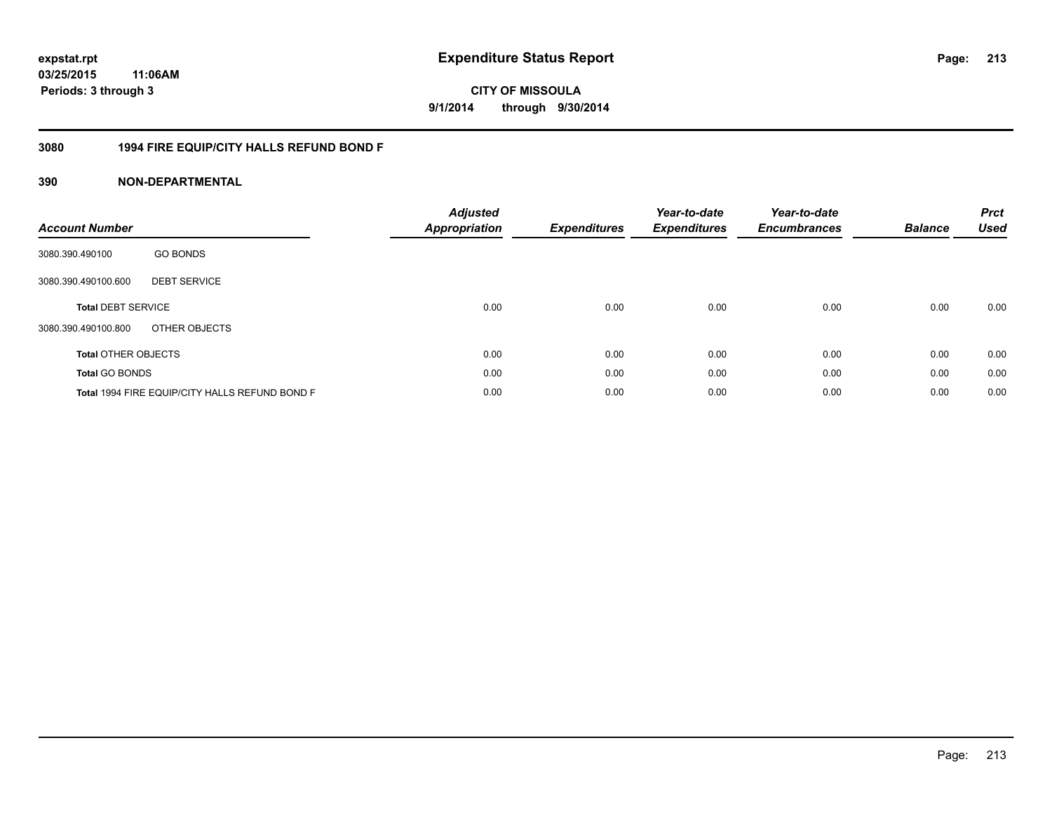**CITY OF MISSOULA 9/1/2014 through 9/30/2014**

# **3080 1994 FIRE EQUIP/CITY HALLS REFUND BOND F**

| <b>Account Number</b>      |                                                | <b>Adjusted</b><br><b>Appropriation</b> | <b>Expenditures</b> | Year-to-date<br><b>Expenditures</b> | Year-to-date<br><b>Encumbrances</b> | <b>Balance</b> | <b>Prct</b><br><b>Used</b> |
|----------------------------|------------------------------------------------|-----------------------------------------|---------------------|-------------------------------------|-------------------------------------|----------------|----------------------------|
| 3080.390.490100            | <b>GO BONDS</b>                                |                                         |                     |                                     |                                     |                |                            |
| 3080.390.490100.600        | <b>DEBT SERVICE</b>                            |                                         |                     |                                     |                                     |                |                            |
| <b>Total DEBT SERVICE</b>  |                                                | 0.00                                    | 0.00                | 0.00                                | 0.00                                | 0.00           | 0.00                       |
| 3080.390.490100.800        | OTHER OBJECTS                                  |                                         |                     |                                     |                                     |                |                            |
| <b>Total OTHER OBJECTS</b> |                                                | 0.00                                    | 0.00                | 0.00                                | 0.00                                | 0.00           | 0.00                       |
| <b>Total GO BONDS</b>      |                                                | 0.00                                    | 0.00                | 0.00                                | 0.00                                | 0.00           | 0.00                       |
|                            | Total 1994 FIRE EQUIP/CITY HALLS REFUND BOND F | 0.00                                    | 0.00                | 0.00                                | 0.00                                | 0.00           | 0.00                       |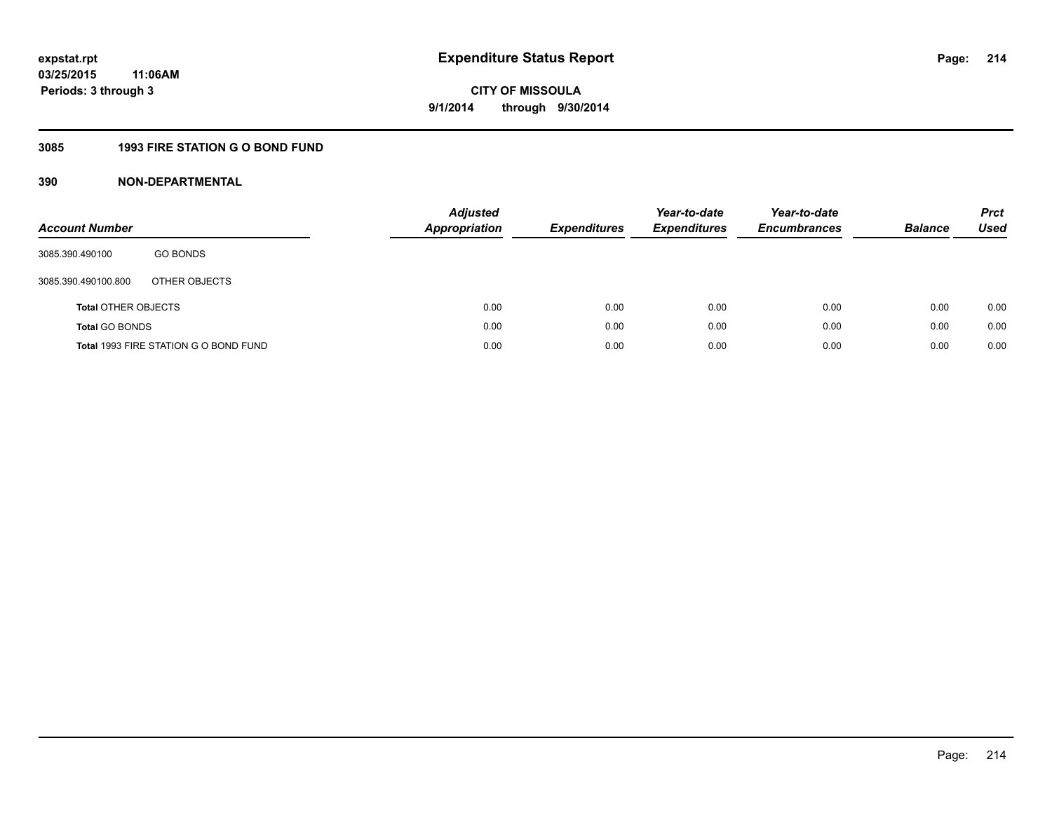# **3085 1993 FIRE STATION G O BOND FUND**

| <b>Account Number</b>      |                                       | <b>Adjusted</b><br><b>Appropriation</b> | <b>Expenditures</b> | Year-to-date<br><b>Expenditures</b> | Year-to-date<br><b>Encumbrances</b> | <b>Balance</b> | <b>Prct</b><br>Used |
|----------------------------|---------------------------------------|-----------------------------------------|---------------------|-------------------------------------|-------------------------------------|----------------|---------------------|
| 3085.390.490100            | <b>GO BONDS</b>                       |                                         |                     |                                     |                                     |                |                     |
| 3085.390.490100.800        | OTHER OBJECTS                         |                                         |                     |                                     |                                     |                |                     |
| <b>Total OTHER OBJECTS</b> |                                       | 0.00                                    | 0.00                | 0.00                                | 0.00                                | 0.00           | 0.00                |
| <b>Total GO BONDS</b>      |                                       | 0.00                                    | 0.00                | 0.00                                | 0.00                                | 0.00           | 0.00                |
|                            | Total 1993 FIRE STATION G O BOND FUND | 0.00                                    | 0.00                | 0.00                                | 0.00                                | 0.00           | 0.00                |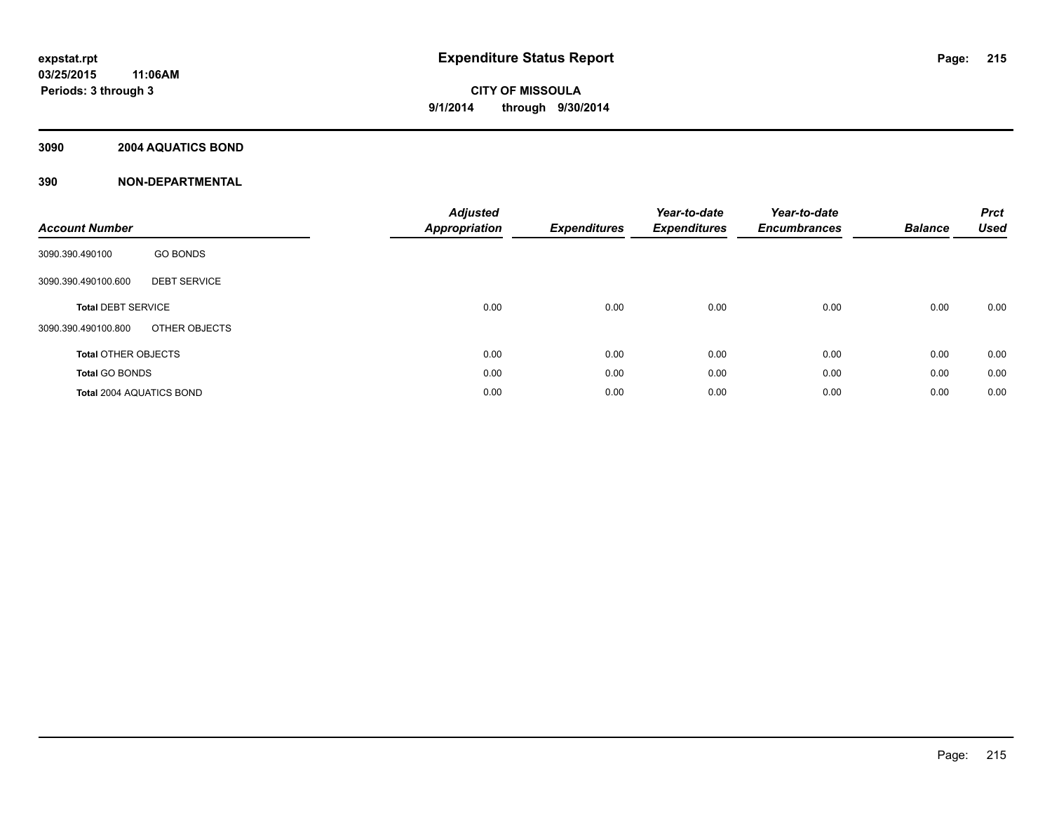# **3090 2004 AQUATICS BOND**

| <b>Account Number</b>                      | <b>Adjusted</b><br><b>Appropriation</b> | <b>Expenditures</b> | Year-to-date<br><b>Expenditures</b> | Year-to-date<br><b>Encumbrances</b> | <b>Balance</b> | <b>Prct</b><br><b>Used</b> |
|--------------------------------------------|-----------------------------------------|---------------------|-------------------------------------|-------------------------------------|----------------|----------------------------|
| <b>GO BONDS</b><br>3090.390.490100         |                                         |                     |                                     |                                     |                |                            |
| <b>DEBT SERVICE</b><br>3090.390.490100.600 |                                         |                     |                                     |                                     |                |                            |
| <b>Total DEBT SERVICE</b>                  | 0.00                                    | 0.00                | 0.00                                | 0.00                                | 0.00           | 0.00                       |
| OTHER OBJECTS<br>3090.390.490100.800       |                                         |                     |                                     |                                     |                |                            |
| <b>Total OTHER OBJECTS</b>                 | 0.00                                    | 0.00                | 0.00                                | 0.00                                | 0.00           | 0.00                       |
| <b>Total GO BONDS</b>                      | 0.00                                    | 0.00                | 0.00                                | 0.00                                | 0.00           | 0.00                       |
| <b>Total 2004 AQUATICS BOND</b>            | 0.00                                    | 0.00                | 0.00                                | 0.00                                | 0.00           | 0.00                       |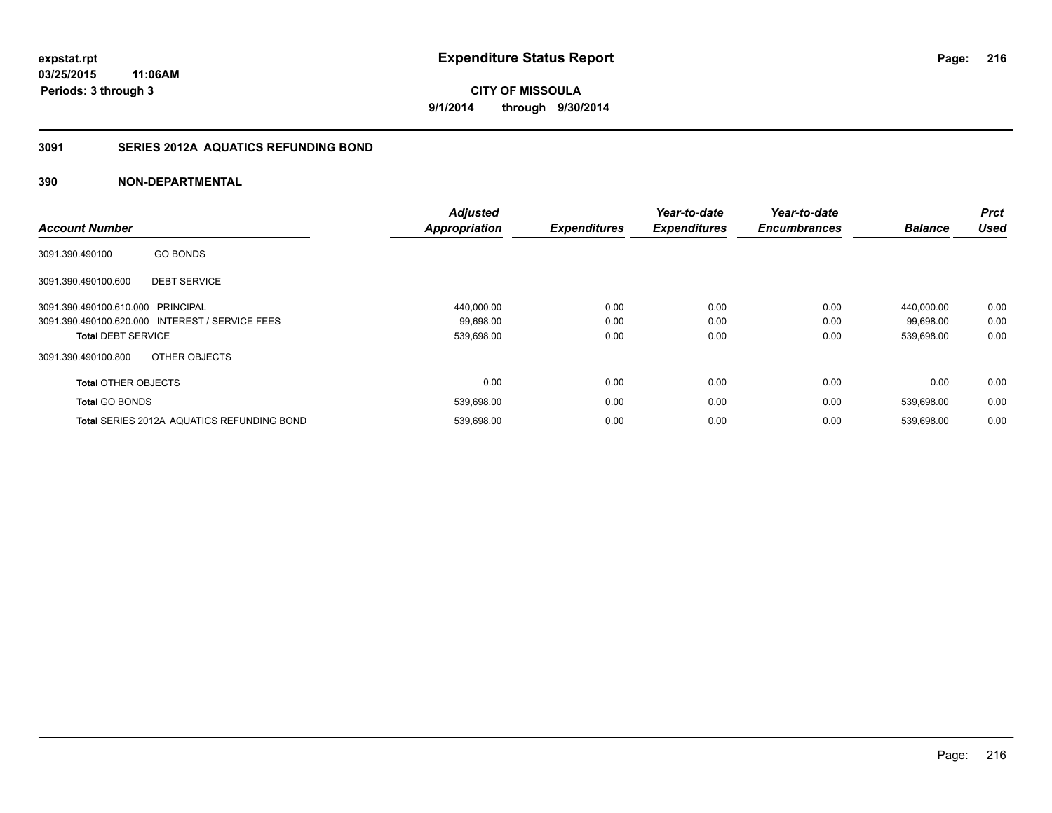# **3091 SERIES 2012A AQUATICS REFUNDING BOND**

|                                   |                                                   | <b>Adjusted</b>      |                     | Year-to-date        | Year-to-date        |                | Prct        |
|-----------------------------------|---------------------------------------------------|----------------------|---------------------|---------------------|---------------------|----------------|-------------|
| <b>Account Number</b>             |                                                   | <b>Appropriation</b> | <b>Expenditures</b> | <b>Expenditures</b> | <b>Encumbrances</b> | <b>Balance</b> | <b>Used</b> |
| 3091.390.490100                   | <b>GO BONDS</b>                                   |                      |                     |                     |                     |                |             |
| 3091.390.490100.600               | <b>DEBT SERVICE</b>                               |                      |                     |                     |                     |                |             |
| 3091.390.490100.610.000 PRINCIPAL |                                                   | 440,000.00           | 0.00                | 0.00                | 0.00                | 440.000.00     | 0.00        |
|                                   | 3091.390.490100.620.000 INTEREST / SERVICE FEES   | 99,698.00            | 0.00                | 0.00                | 0.00                | 99,698.00      | 0.00        |
| <b>Total DEBT SERVICE</b>         |                                                   | 539,698.00           | 0.00                | 0.00                | 0.00                | 539,698.00     | 0.00        |
| 3091.390.490100.800               | OTHER OBJECTS                                     |                      |                     |                     |                     |                |             |
| <b>Total OTHER OBJECTS</b>        |                                                   | 0.00                 | 0.00                | 0.00                | 0.00                | 0.00           | 0.00        |
| <b>Total GO BONDS</b>             |                                                   | 539,698.00           | 0.00                | 0.00                | 0.00                | 539,698.00     | 0.00        |
|                                   | <b>Total SERIES 2012A AQUATICS REFUNDING BOND</b> | 539.698.00           | 0.00                | 0.00                | 0.00                | 539.698.00     | 0.00        |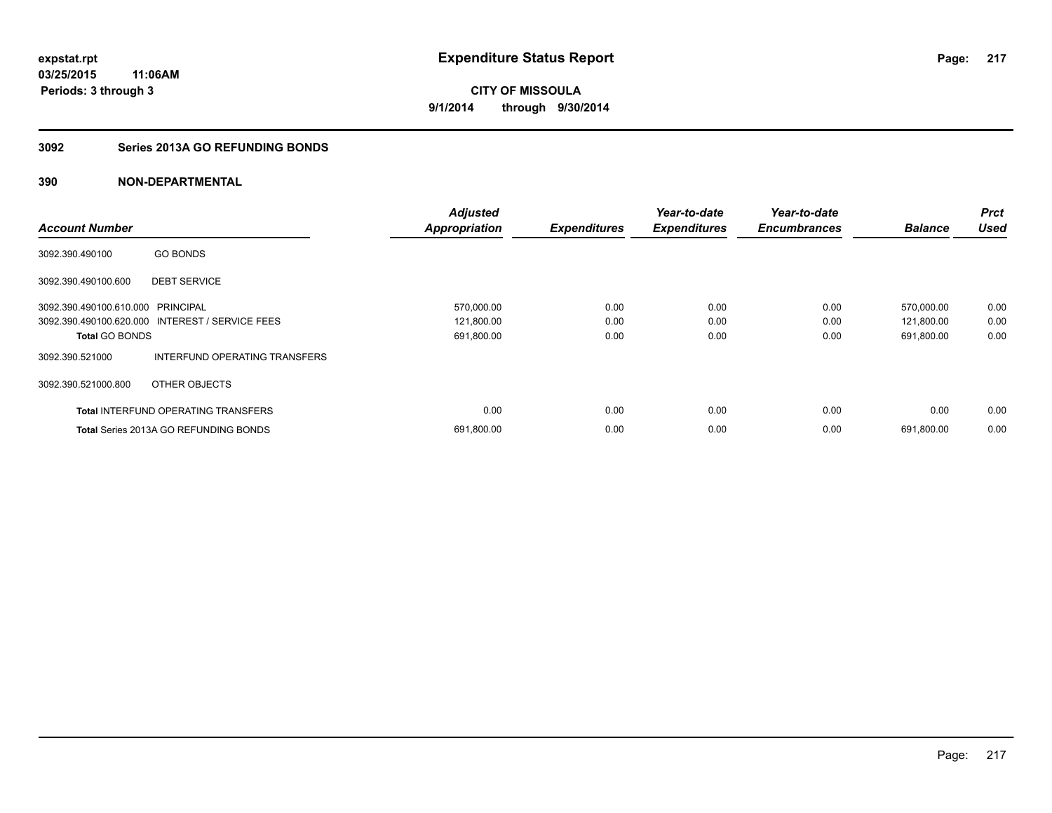### **3092 Series 2013A GO REFUNDING BONDS**

|                                   |                                                 | <b>Adjusted</b>      |                     | Year-to-date        | Year-to-date        |                | <b>Prct</b> |
|-----------------------------------|-------------------------------------------------|----------------------|---------------------|---------------------|---------------------|----------------|-------------|
| <b>Account Number</b>             |                                                 | <b>Appropriation</b> | <b>Expenditures</b> | <b>Expenditures</b> | <b>Encumbrances</b> | <b>Balance</b> | <b>Used</b> |
| 3092.390.490100                   | <b>GO BONDS</b>                                 |                      |                     |                     |                     |                |             |
| 3092.390.490100.600               | <b>DEBT SERVICE</b>                             |                      |                     |                     |                     |                |             |
| 3092.390.490100.610.000 PRINCIPAL |                                                 | 570,000.00           | 0.00                | 0.00                | 0.00                | 570,000.00     | 0.00        |
|                                   | 3092.390.490100.620.000 INTEREST / SERVICE FEES | 121,800.00           | 0.00                | 0.00                | 0.00                | 121,800.00     | 0.00        |
| <b>Total GO BONDS</b>             |                                                 | 691,800.00           | 0.00                | 0.00                | 0.00                | 691,800.00     | 0.00        |
| 3092.390.521000                   | INTERFUND OPERATING TRANSFERS                   |                      |                     |                     |                     |                |             |
| 3092.390.521000.800               | OTHER OBJECTS                                   |                      |                     |                     |                     |                |             |
|                                   | <b>Total INTERFUND OPERATING TRANSFERS</b>      | 0.00                 | 0.00                | 0.00                | 0.00                | 0.00           | 0.00        |
|                                   | <b>Total Series 2013A GO REFUNDING BONDS</b>    | 691,800.00           | 0.00                | 0.00                | 0.00                | 691,800.00     | 0.00        |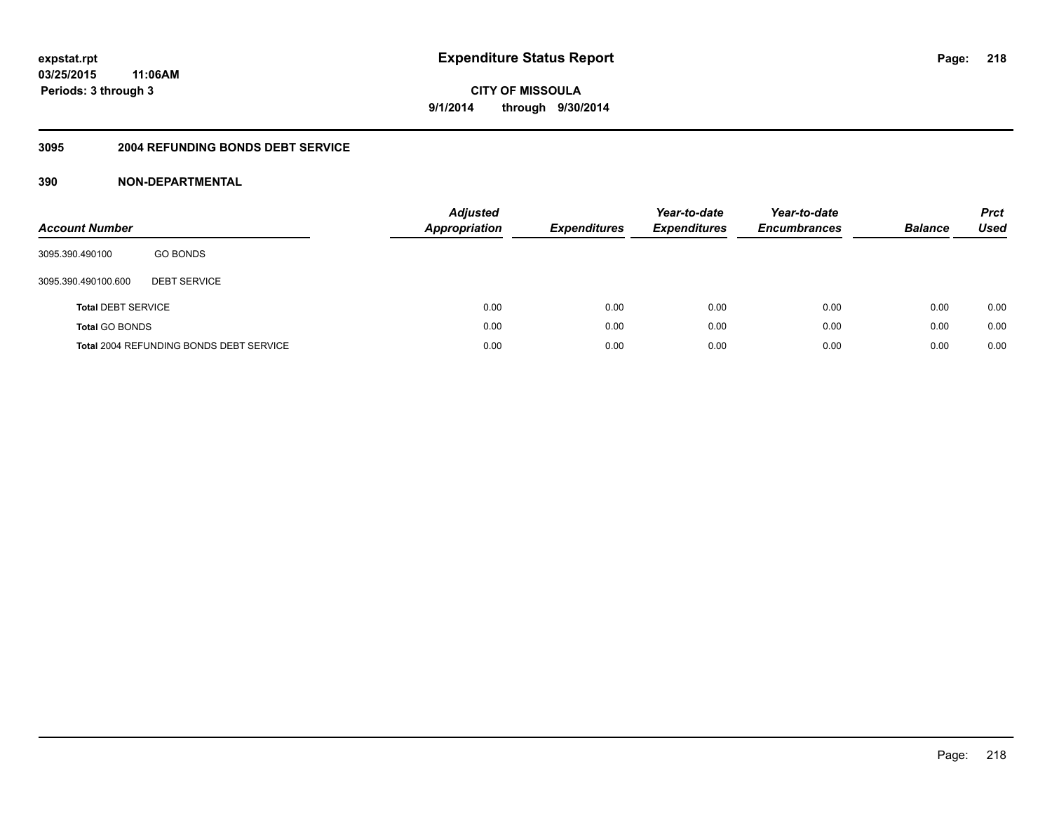### **03/25/2015 11:06AM Periods: 3 through 3**

**CITY OF MISSOULA 9/1/2014 through 9/30/2014**

#### **3095 2004 REFUNDING BONDS DEBT SERVICE**

| <b>Account Number</b>     |                                                | <b>Adjusted</b><br>Appropriation | <b>Expenditures</b> | Year-to-date<br><b>Expenditures</b> | Year-to-date<br><b>Encumbrances</b> | <b>Balance</b> | <b>Prct</b><br>Used |
|---------------------------|------------------------------------------------|----------------------------------|---------------------|-------------------------------------|-------------------------------------|----------------|---------------------|
| 3095.390.490100           | <b>GO BONDS</b>                                |                                  |                     |                                     |                                     |                |                     |
| 3095.390.490100.600       | <b>DEBT SERVICE</b>                            |                                  |                     |                                     |                                     |                |                     |
| <b>Total DEBT SERVICE</b> |                                                | 0.00                             | 0.00                | 0.00                                | 0.00                                | 0.00           | 0.00                |
| <b>Total GO BONDS</b>     |                                                | 0.00                             | 0.00                | 0.00                                | 0.00                                | 0.00           | 0.00                |
|                           | <b>Total 2004 REFUNDING BONDS DEBT SERVICE</b> | 0.00                             | 0.00                | 0.00                                | 0.00                                | 0.00           | 0.00                |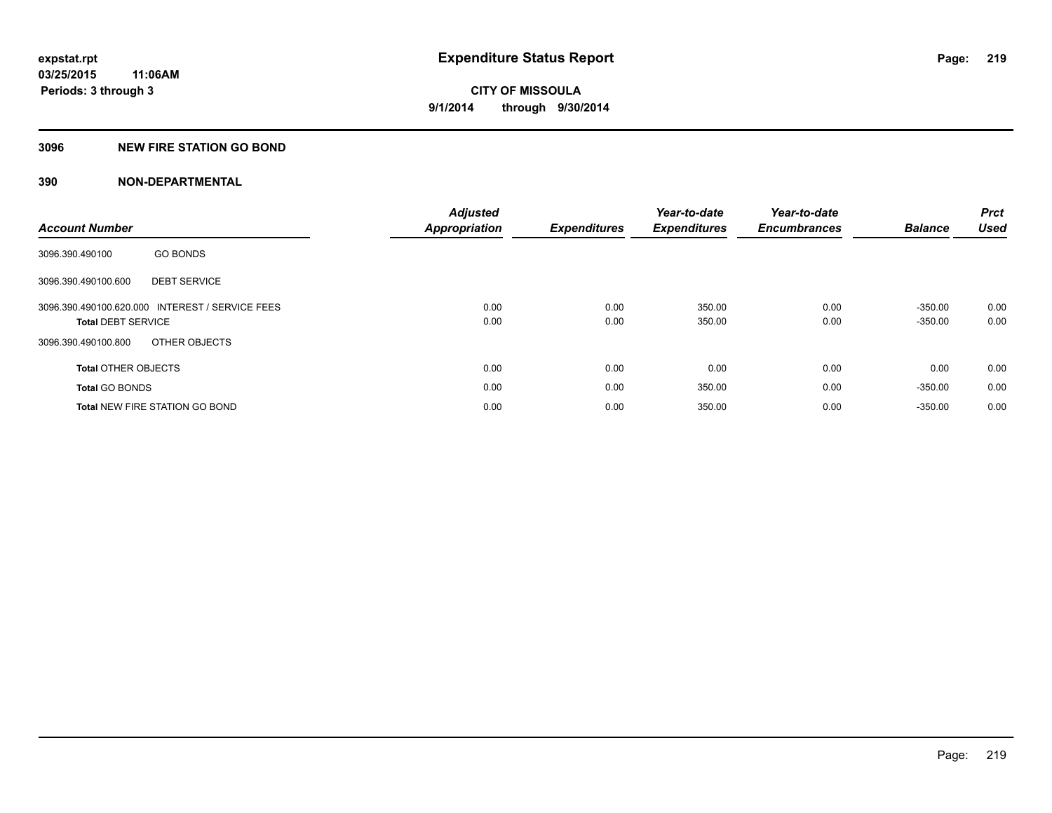#### **3096 NEW FIRE STATION GO BOND**

| <b>Account Number</b>      |                                                 | <b>Adjusted</b>      | <b>Expenditures</b> | Year-to-date        | Year-to-date<br><b>Encumbrances</b> | <b>Balance</b> | <b>Prct</b><br><b>Used</b> |
|----------------------------|-------------------------------------------------|----------------------|---------------------|---------------------|-------------------------------------|----------------|----------------------------|
|                            |                                                 | <b>Appropriation</b> |                     | <b>Expenditures</b> |                                     |                |                            |
| 3096.390.490100            | <b>GO BONDS</b>                                 |                      |                     |                     |                                     |                |                            |
| 3096.390.490100.600        | <b>DEBT SERVICE</b>                             |                      |                     |                     |                                     |                |                            |
|                            | 3096.390.490100.620.000 INTEREST / SERVICE FEES | 0.00                 | 0.00                | 350.00              | 0.00                                | $-350.00$      | 0.00                       |
| <b>Total DEBT SERVICE</b>  |                                                 | 0.00                 | 0.00                | 350.00              | 0.00                                | $-350.00$      | 0.00                       |
| 3096.390.490100.800        | OTHER OBJECTS                                   |                      |                     |                     |                                     |                |                            |
| <b>Total OTHER OBJECTS</b> |                                                 | 0.00                 | 0.00                | 0.00                | 0.00                                | 0.00           | 0.00                       |
| <b>Total GO BONDS</b>      |                                                 | 0.00                 | 0.00                | 350.00              | 0.00                                | $-350.00$      | 0.00                       |
|                            | <b>Total NEW FIRE STATION GO BOND</b>           | 0.00                 | 0.00                | 350.00              | 0.00                                | $-350.00$      | 0.00                       |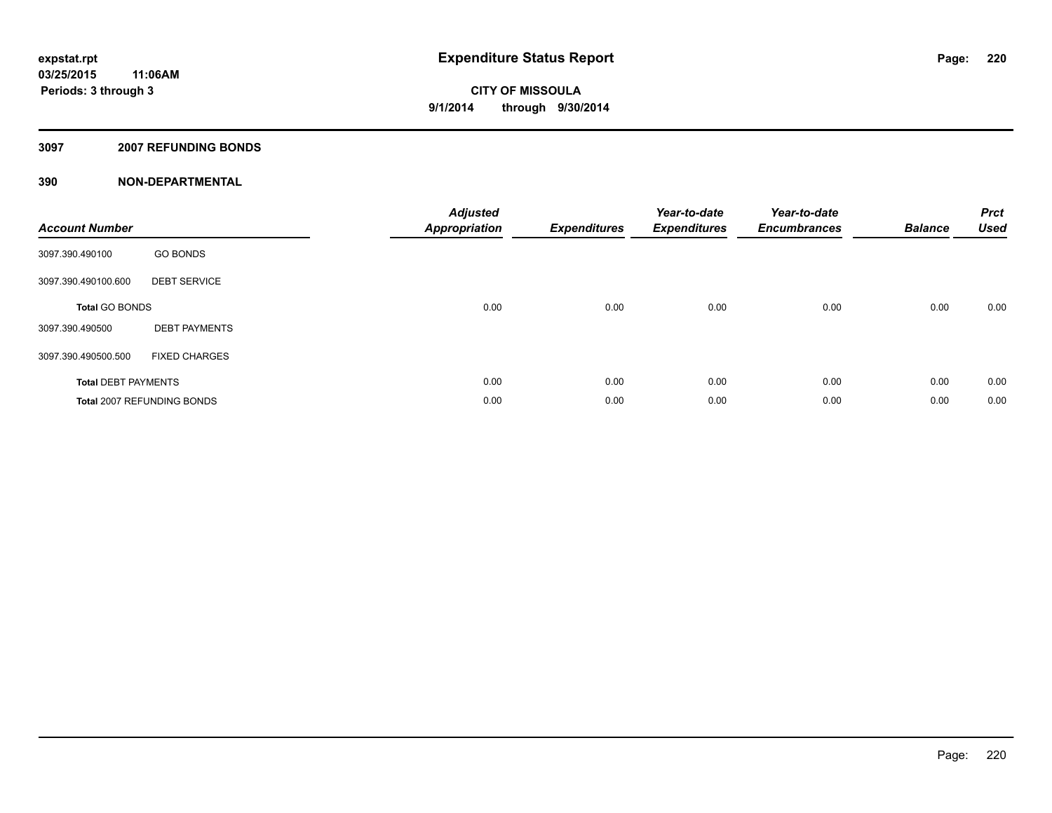#### **3097 2007 REFUNDING BONDS**

| <b>Account Number</b>      |                            | <b>Adjusted</b><br><b>Appropriation</b> | <b>Expenditures</b> | Year-to-date<br><b>Expenditures</b> | Year-to-date<br><b>Encumbrances</b> | <b>Balance</b> | <b>Prct</b><br><b>Used</b> |
|----------------------------|----------------------------|-----------------------------------------|---------------------|-------------------------------------|-------------------------------------|----------------|----------------------------|
| 3097.390.490100            | <b>GO BONDS</b>            |                                         |                     |                                     |                                     |                |                            |
| 3097.390.490100.600        | <b>DEBT SERVICE</b>        |                                         |                     |                                     |                                     |                |                            |
| <b>Total GO BONDS</b>      |                            | 0.00                                    | 0.00                | 0.00                                | 0.00                                | 0.00           | 0.00                       |
| 3097.390.490500            | <b>DEBT PAYMENTS</b>       |                                         |                     |                                     |                                     |                |                            |
| 3097.390.490500.500        | <b>FIXED CHARGES</b>       |                                         |                     |                                     |                                     |                |                            |
| <b>Total DEBT PAYMENTS</b> |                            | 0.00                                    | 0.00                | 0.00                                | 0.00                                | 0.00           | 0.00                       |
|                            | Total 2007 REFUNDING BONDS | 0.00                                    | 0.00                | 0.00                                | 0.00                                | 0.00           | 0.00                       |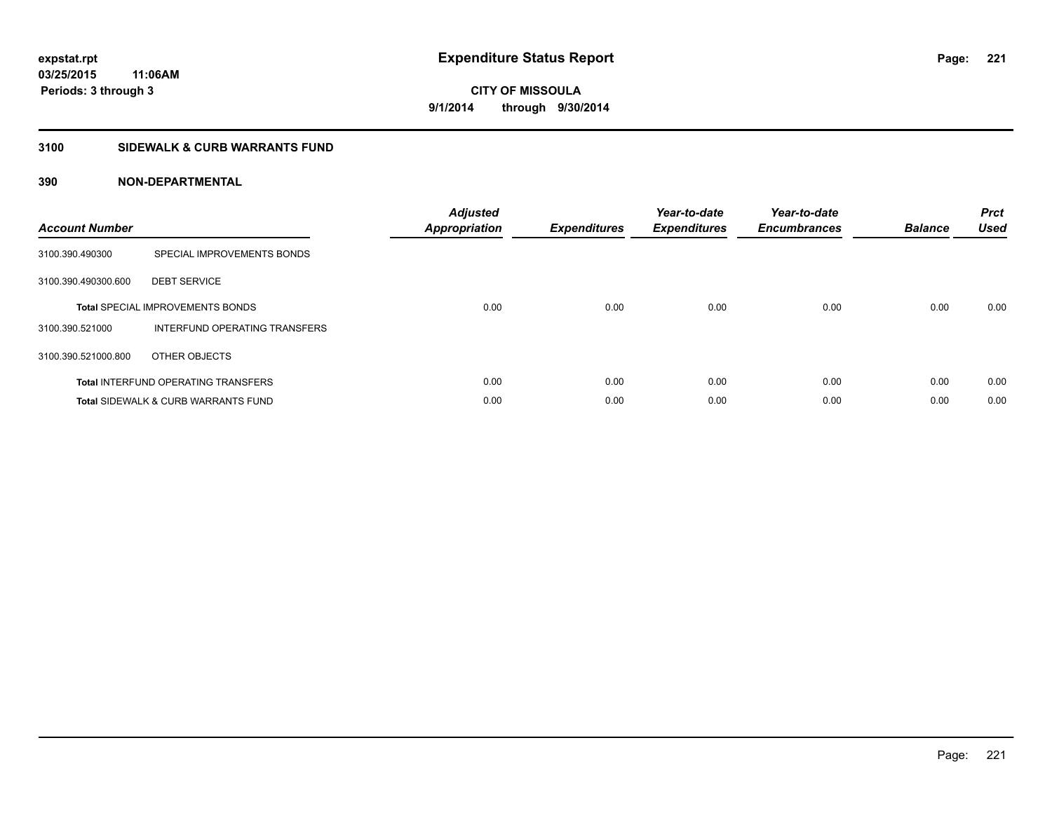### **3100 SIDEWALK & CURB WARRANTS FUND**

| <b>Account Number</b> |                                                | <b>Adjusted</b><br>Appropriation | <b>Expenditures</b> | Year-to-date<br><b>Expenditures</b> | Year-to-date<br><b>Encumbrances</b> | <b>Balance</b> | <b>Prct</b><br><b>Used</b> |
|-----------------------|------------------------------------------------|----------------------------------|---------------------|-------------------------------------|-------------------------------------|----------------|----------------------------|
| 3100.390.490300       | SPECIAL IMPROVEMENTS BONDS                     |                                  |                     |                                     |                                     |                |                            |
| 3100.390.490300.600   | <b>DEBT SERVICE</b>                            |                                  |                     |                                     |                                     |                |                            |
|                       | <b>Total SPECIAL IMPROVEMENTS BONDS</b>        | 0.00                             | 0.00                | 0.00                                | 0.00                                | 0.00           | 0.00                       |
| 3100.390.521000       | INTERFUND OPERATING TRANSFERS                  |                                  |                     |                                     |                                     |                |                            |
| 3100.390.521000.800   | OTHER OBJECTS                                  |                                  |                     |                                     |                                     |                |                            |
|                       | <b>Total INTERFUND OPERATING TRANSFERS</b>     | 0.00                             | 0.00                | 0.00                                | 0.00                                | 0.00           | 0.00                       |
|                       | <b>Total SIDEWALK &amp; CURB WARRANTS FUND</b> | 0.00                             | 0.00                | 0.00                                | 0.00                                | 0.00           | 0.00                       |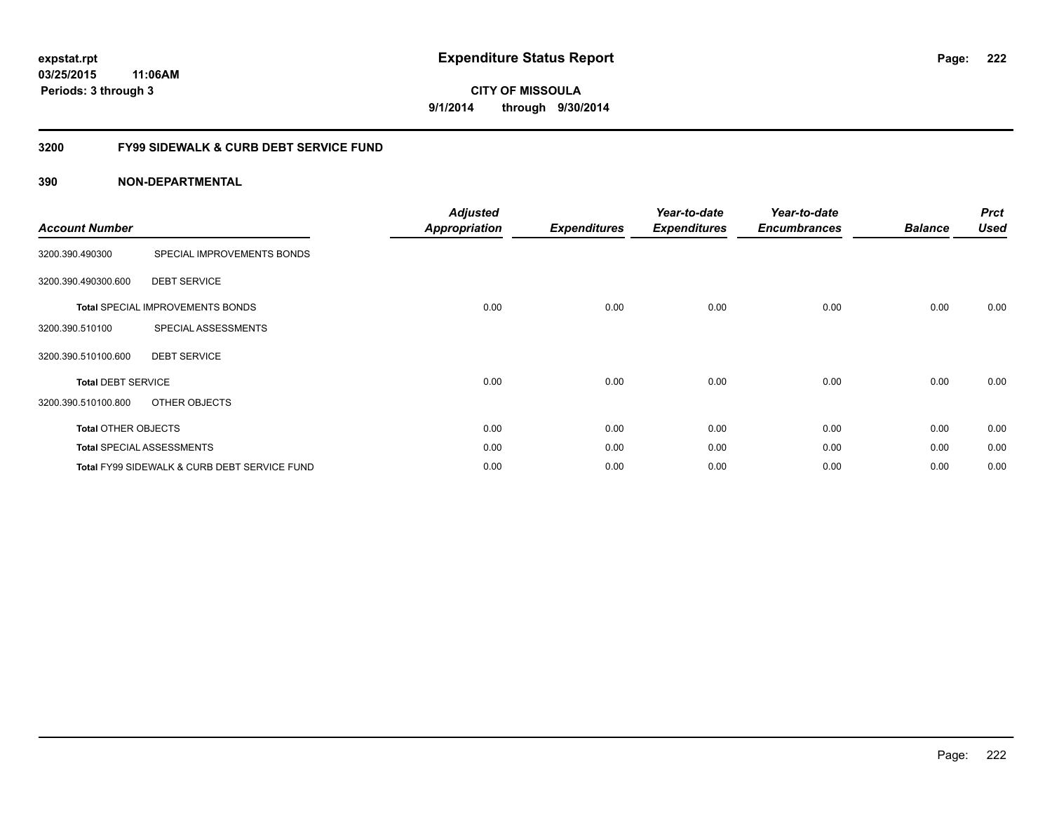### **03/25/2015 11:06AM Periods: 3 through 3**

**CITY OF MISSOULA 9/1/2014 through 9/30/2014**

### **3200 FY99 SIDEWALK & CURB DEBT SERVICE FUND**

| <b>Account Number</b>      |                                              | <b>Adjusted</b><br><b>Appropriation</b> | <b>Expenditures</b> | Year-to-date<br><b>Expenditures</b> | Year-to-date<br><b>Encumbrances</b> | <b>Balance</b> | <b>Prct</b><br><b>Used</b> |
|----------------------------|----------------------------------------------|-----------------------------------------|---------------------|-------------------------------------|-------------------------------------|----------------|----------------------------|
| 3200.390.490300            | SPECIAL IMPROVEMENTS BONDS                   |                                         |                     |                                     |                                     |                |                            |
| 3200.390.490300.600        | <b>DEBT SERVICE</b>                          |                                         |                     |                                     |                                     |                |                            |
|                            | <b>Total SPECIAL IMPROVEMENTS BONDS</b>      | 0.00                                    | 0.00                | 0.00                                | 0.00                                | 0.00           | 0.00                       |
| 3200.390.510100            | SPECIAL ASSESSMENTS                          |                                         |                     |                                     |                                     |                |                            |
| 3200.390.510100.600        | <b>DEBT SERVICE</b>                          |                                         |                     |                                     |                                     |                |                            |
| <b>Total DEBT SERVICE</b>  |                                              | 0.00                                    | 0.00                | 0.00                                | 0.00                                | 0.00           | 0.00                       |
| 3200.390.510100.800        | OTHER OBJECTS                                |                                         |                     |                                     |                                     |                |                            |
| <b>Total OTHER OBJECTS</b> |                                              | 0.00                                    | 0.00                | 0.00                                | 0.00                                | 0.00           | 0.00                       |
|                            | <b>Total SPECIAL ASSESSMENTS</b>             | 0.00                                    | 0.00                | 0.00                                | 0.00                                | 0.00           | 0.00                       |
|                            | Total FY99 SIDEWALK & CURB DEBT SERVICE FUND | 0.00                                    | 0.00                | 0.00                                | 0.00                                | 0.00           | 0.00                       |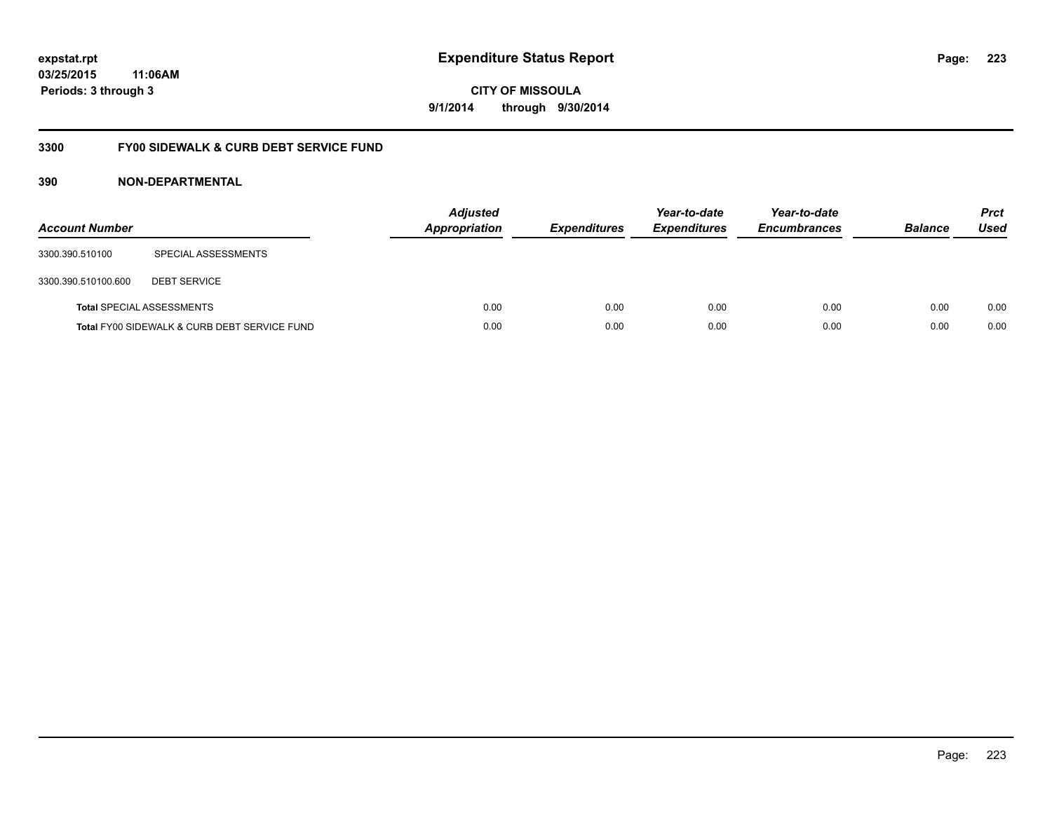### **03/25/2015 11:06AM Periods: 3 through 3**

**CITY OF MISSOULA 9/1/2014 through 9/30/2014**

### **3300 FY00 SIDEWALK & CURB DEBT SERVICE FUND**

| <b>Account Number</b> |                                              | <b>Adjusted</b><br>Appropriation | <b>Expenditures</b> | Year-to-date<br><b>Expenditures</b> | Year-to-date<br><b>Encumbrances</b> | <b>Balance</b> | <b>Prct</b><br><b>Used</b> |
|-----------------------|----------------------------------------------|----------------------------------|---------------------|-------------------------------------|-------------------------------------|----------------|----------------------------|
| 3300.390.510100       | SPECIAL ASSESSMENTS                          |                                  |                     |                                     |                                     |                |                            |
| 3300.390.510100.600   | <b>DEBT SERVICE</b>                          |                                  |                     |                                     |                                     |                |                            |
|                       | <b>Total SPECIAL ASSESSMENTS</b>             | 0.00                             | 0.00                | 0.00                                | 0.00                                | 0.00           | 0.00                       |
|                       | Total FY00 SIDEWALK & CURB DEBT SERVICE FUND | 0.00                             | 0.00                | 0.00                                | 0.00                                | 0.00           | 0.00                       |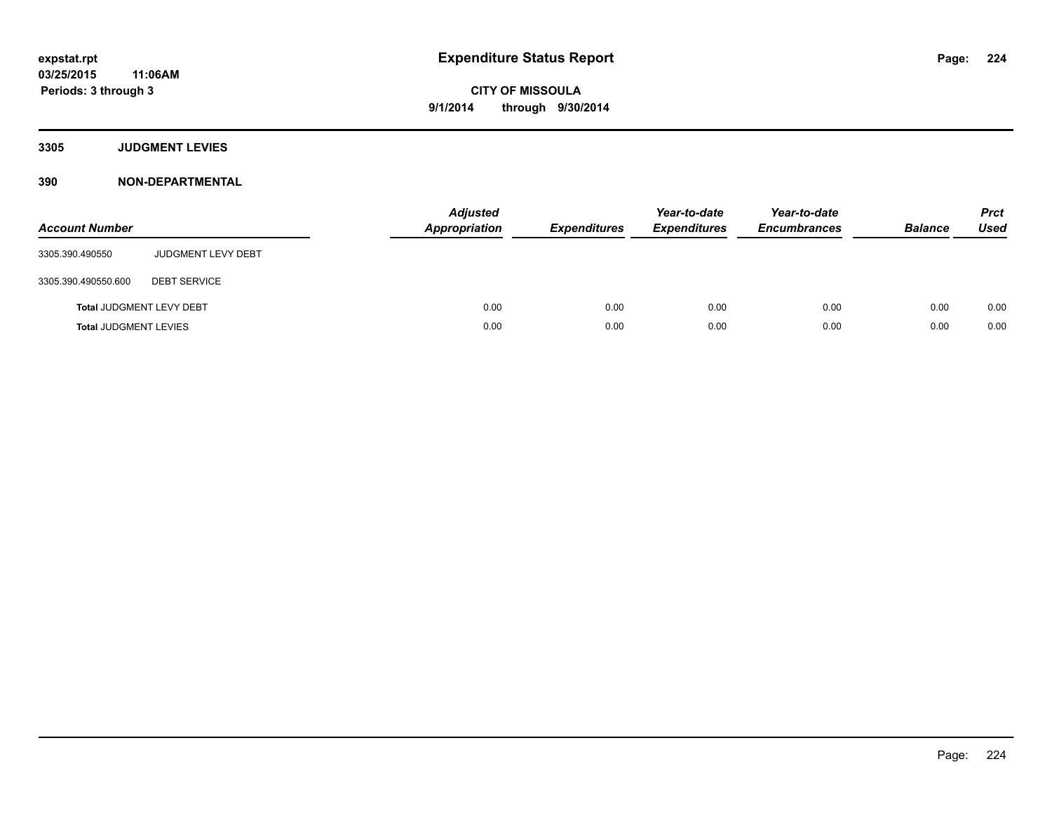**3305 JUDGMENT LEVIES**

| <b>Account Number</b>           |                           | <b>Adjusted</b><br><b>Appropriation</b> | <b>Expenditures</b> | Year-to-date<br><b>Expenditures</b> | Year-to-date<br><b>Encumbrances</b> | <b>Balance</b> | <b>Prct</b><br><b>Used</b> |
|---------------------------------|---------------------------|-----------------------------------------|---------------------|-------------------------------------|-------------------------------------|----------------|----------------------------|
| 3305.390.490550                 | <b>JUDGMENT LEVY DEBT</b> |                                         |                     |                                     |                                     |                |                            |
| 3305.390.490550.600             | <b>DEBT SERVICE</b>       |                                         |                     |                                     |                                     |                |                            |
| <b>Total JUDGMENT LEVY DEBT</b> |                           | 0.00                                    | 0.00                | 0.00                                | 0.00                                | 0.00           | 0.00                       |
| <b>Total JUDGMENT LEVIES</b>    |                           | 0.00                                    | 0.00                | 0.00                                | 0.00                                | 0.00           | 0.00                       |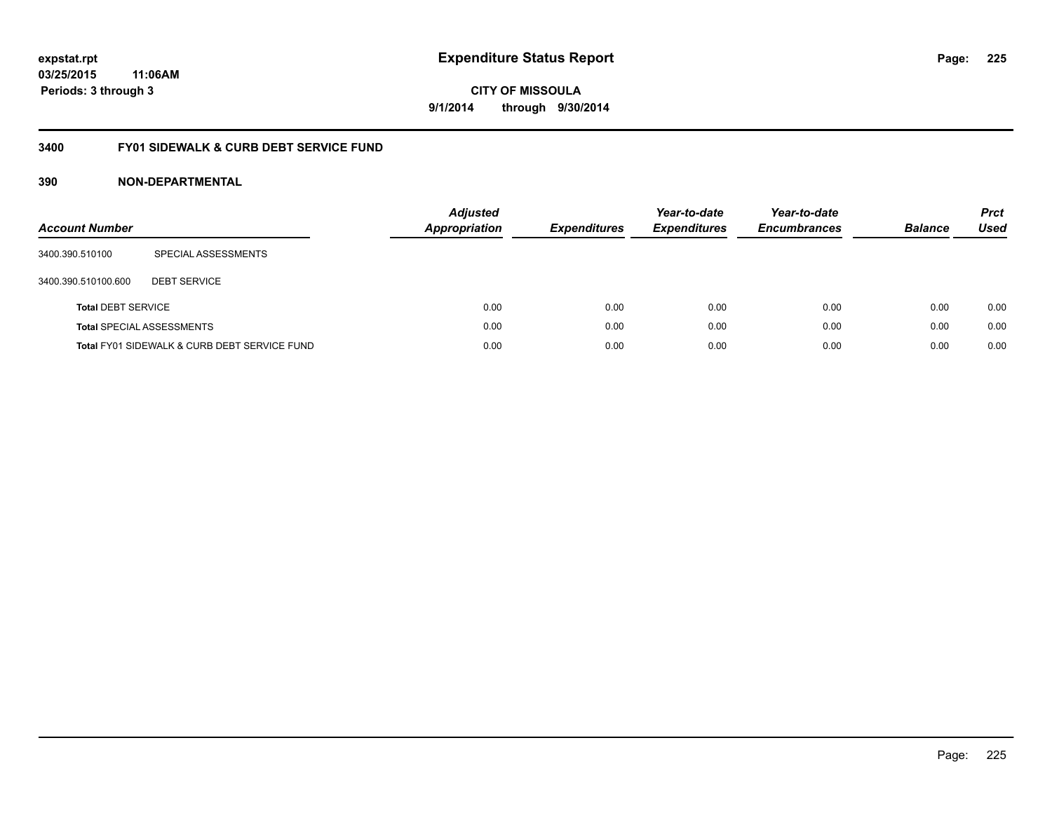### **03/25/2015 11:06AM Periods: 3 through 3**

**CITY OF MISSOULA 9/1/2014 through 9/30/2014**

### **3400 FY01 SIDEWALK & CURB DEBT SERVICE FUND**

| <b>Account Number</b>     |                                              | <b>Adjusted</b><br>Appropriation | <b>Expenditures</b> | Year-to-date<br><b>Expenditures</b> | Year-to-date<br><b>Encumbrances</b> | <b>Balance</b> | <b>Prct</b><br><b>Used</b> |
|---------------------------|----------------------------------------------|----------------------------------|---------------------|-------------------------------------|-------------------------------------|----------------|----------------------------|
| 3400.390.510100           | SPECIAL ASSESSMENTS                          |                                  |                     |                                     |                                     |                |                            |
| 3400.390.510100.600       | <b>DEBT SERVICE</b>                          |                                  |                     |                                     |                                     |                |                            |
| <b>Total DEBT SERVICE</b> |                                              | 0.00                             | 0.00                | 0.00                                | 0.00                                | 0.00           | 0.00                       |
|                           | <b>Total SPECIAL ASSESSMENTS</b>             | 0.00                             | 0.00                | 0.00                                | 0.00                                | 0.00           | 0.00                       |
|                           | Total FY01 SIDEWALK & CURB DEBT SERVICE FUND | 0.00                             | 0.00                | 0.00                                | 0.00                                | 0.00           | 0.00                       |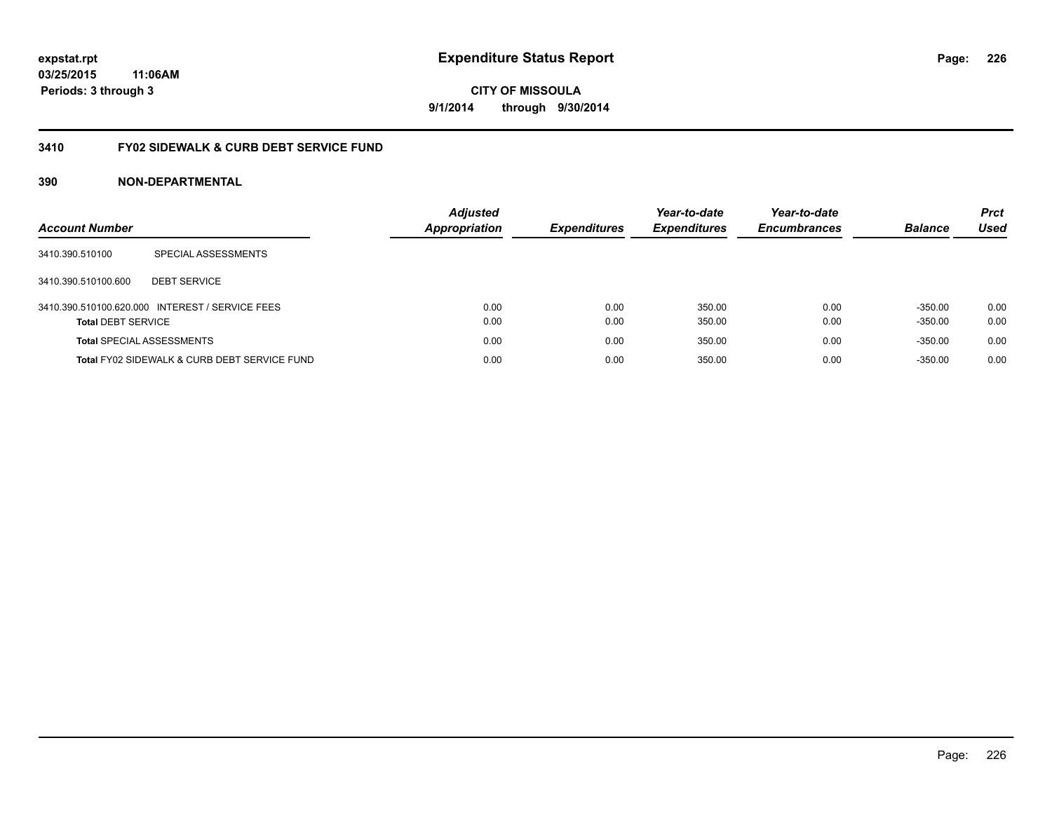### **03/25/2015 11:06AM Periods: 3 through 3**

**CITY OF MISSOULA 9/1/2014 through 9/30/2014**

### **3410 FY02 SIDEWALK & CURB DEBT SERVICE FUND**

| <b>Account Number</b>            |                                                 | <b>Adjusted</b><br><b>Appropriation</b> | <b>Expenditures</b> | Year-to-date<br><b>Expenditures</b> | Year-to-date<br><b>Encumbrances</b> | <b>Balance</b> | <b>Prct</b><br>Used |
|----------------------------------|-------------------------------------------------|-----------------------------------------|---------------------|-------------------------------------|-------------------------------------|----------------|---------------------|
| 3410.390.510100                  | SPECIAL ASSESSMENTS                             |                                         |                     |                                     |                                     |                |                     |
| 3410.390.510100.600              | <b>DEBT SERVICE</b>                             |                                         |                     |                                     |                                     |                |                     |
|                                  | 3410.390.510100.620.000 INTEREST / SERVICE FEES | 0.00                                    | 0.00                | 350.00                              | 0.00                                | $-350.00$      | 0.00                |
| <b>Total DEBT SERVICE</b>        |                                                 | 0.00                                    | 0.00                | 350.00                              | 0.00                                | $-350.00$      | 0.00                |
| <b>Total SPECIAL ASSESSMENTS</b> |                                                 | 0.00                                    | 0.00                | 350.00                              | 0.00                                | $-350.00$      | 0.00                |
|                                  | Total FY02 SIDEWALK & CURB DEBT SERVICE FUND    | 0.00                                    | 0.00                | 350.00                              | 0.00                                | $-350.00$      | 0.00                |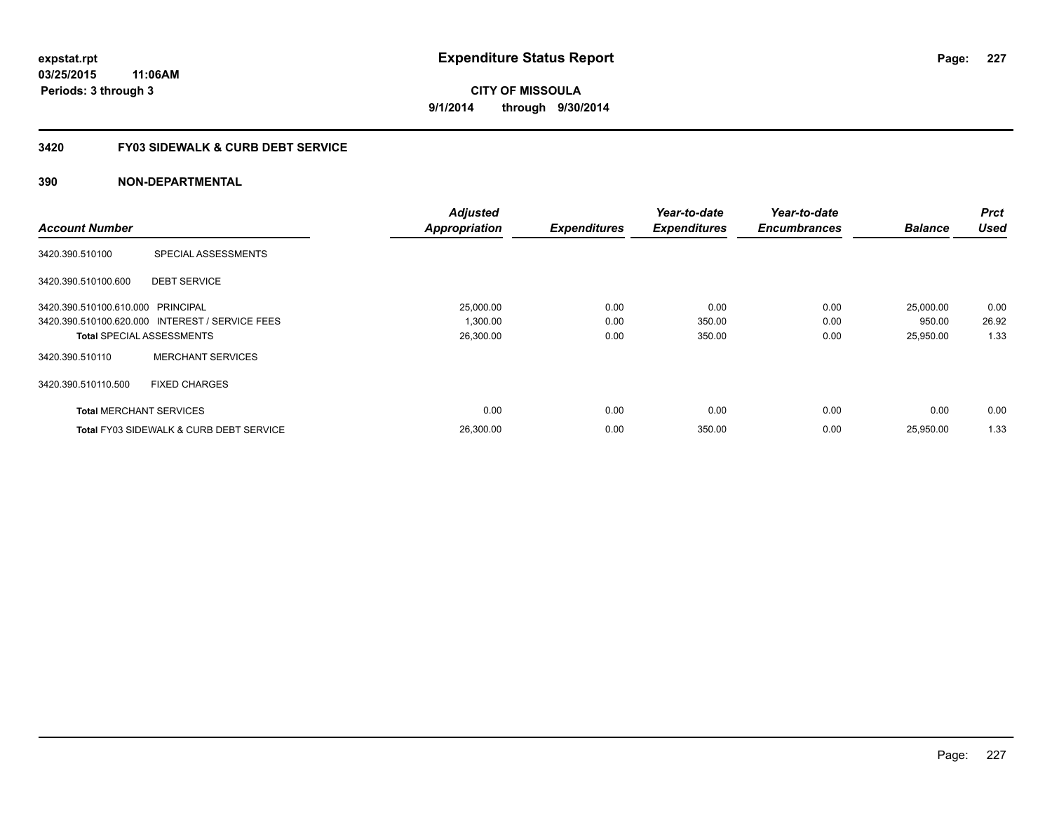### **3420 FY03 SIDEWALK & CURB DEBT SERVICE**

|                                   |                                                    | <b>Adjusted</b>      |                     | Year-to-date        | Year-to-date        |                | <b>Prct</b> |
|-----------------------------------|----------------------------------------------------|----------------------|---------------------|---------------------|---------------------|----------------|-------------|
| <b>Account Number</b>             |                                                    | <b>Appropriation</b> | <b>Expenditures</b> | <b>Expenditures</b> | <b>Encumbrances</b> | <b>Balance</b> | <b>Used</b> |
| 3420.390.510100                   | SPECIAL ASSESSMENTS                                |                      |                     |                     |                     |                |             |
| 3420.390.510100.600               | <b>DEBT SERVICE</b>                                |                      |                     |                     |                     |                |             |
| 3420.390.510100.610.000 PRINCIPAL |                                                    | 25,000.00            | 0.00                | 0.00                | 0.00                | 25,000.00      | 0.00        |
|                                   | 3420.390.510100.620.000 INTEREST / SERVICE FEES    | 1,300.00             | 0.00                | 350.00              | 0.00                | 950.00         | 26.92       |
|                                   | <b>Total SPECIAL ASSESSMENTS</b>                   | 26,300.00            | 0.00                | 350.00              | 0.00                | 25,950.00      | 1.33        |
| 3420.390.510110                   | <b>MERCHANT SERVICES</b>                           |                      |                     |                     |                     |                |             |
| 3420.390.510110.500               | <b>FIXED CHARGES</b>                               |                      |                     |                     |                     |                |             |
| <b>Total MERCHANT SERVICES</b>    |                                                    | 0.00                 | 0.00                | 0.00                | 0.00                | 0.00           | 0.00        |
|                                   | <b>Total FY03 SIDEWALK &amp; CURB DEBT SERVICE</b> | 26.300.00            | 0.00                | 350.00              | 0.00                | 25.950.00      | 1.33        |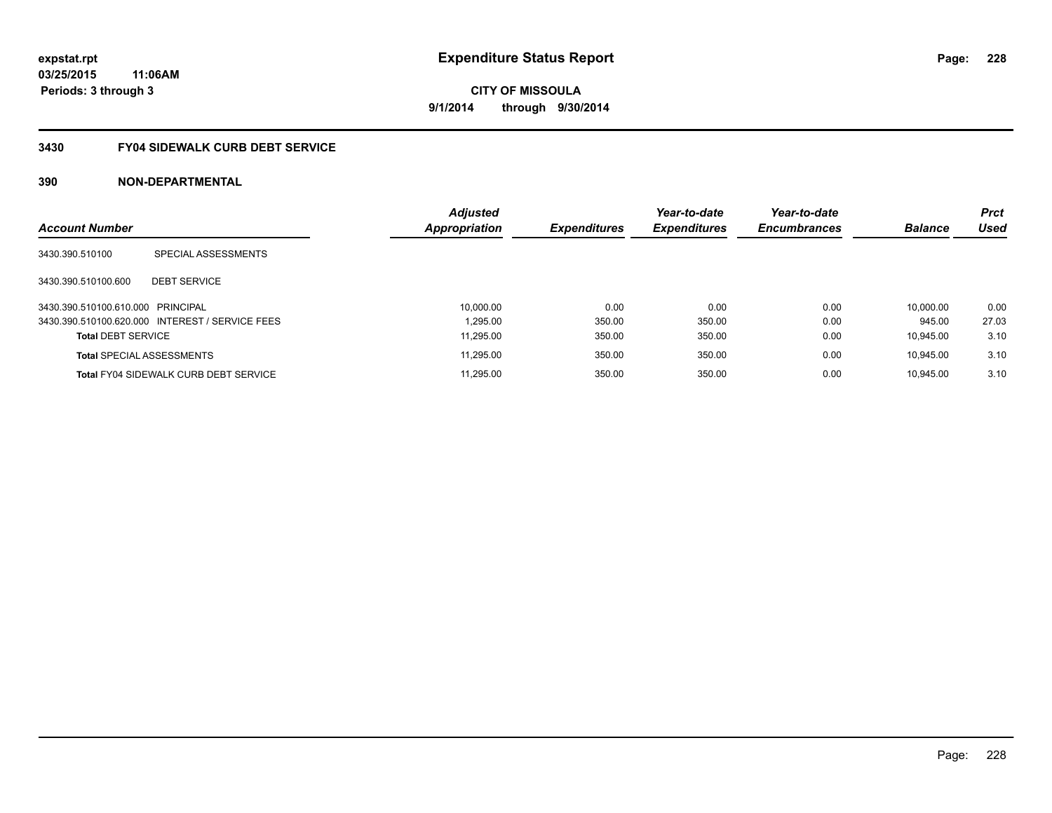### **3430 FY04 SIDEWALK CURB DEBT SERVICE**

|                                   |                                                 | <b>Adjusted</b> |                     | Year-to-date        | Year-to-date        |                | <b>Prct</b> |
|-----------------------------------|-------------------------------------------------|-----------------|---------------------|---------------------|---------------------|----------------|-------------|
| <b>Account Number</b>             |                                                 | Appropriation   | <b>Expenditures</b> | <b>Expenditures</b> | <b>Encumbrances</b> | <b>Balance</b> | <b>Used</b> |
| 3430.390.510100                   | SPECIAL ASSESSMENTS                             |                 |                     |                     |                     |                |             |
| 3430.390.510100.600               | <b>DEBT SERVICE</b>                             |                 |                     |                     |                     |                |             |
| 3430.390.510100.610.000 PRINCIPAL |                                                 | 10.000.00       | 0.00                | 0.00                | 0.00                | 10.000.00      | 0.00        |
|                                   | 3430.390.510100.620.000 INTEREST / SERVICE FEES | 1.295.00        | 350.00              | 350.00              | 0.00                | 945.00         | 27.03       |
| <b>Total DEBT SERVICE</b>         |                                                 | 11.295.00       | 350.00              | 350.00              | 0.00                | 10.945.00      | 3.10        |
|                                   | <b>Total SPECIAL ASSESSMENTS</b>                | 11.295.00       | 350.00              | 350.00              | 0.00                | 10.945.00      | 3.10        |
|                                   | <b>Total FY04 SIDEWALK CURB DEBT SERVICE</b>    | 11.295.00       | 350.00              | 350.00              | 0.00                | 10.945.00      | 3.10        |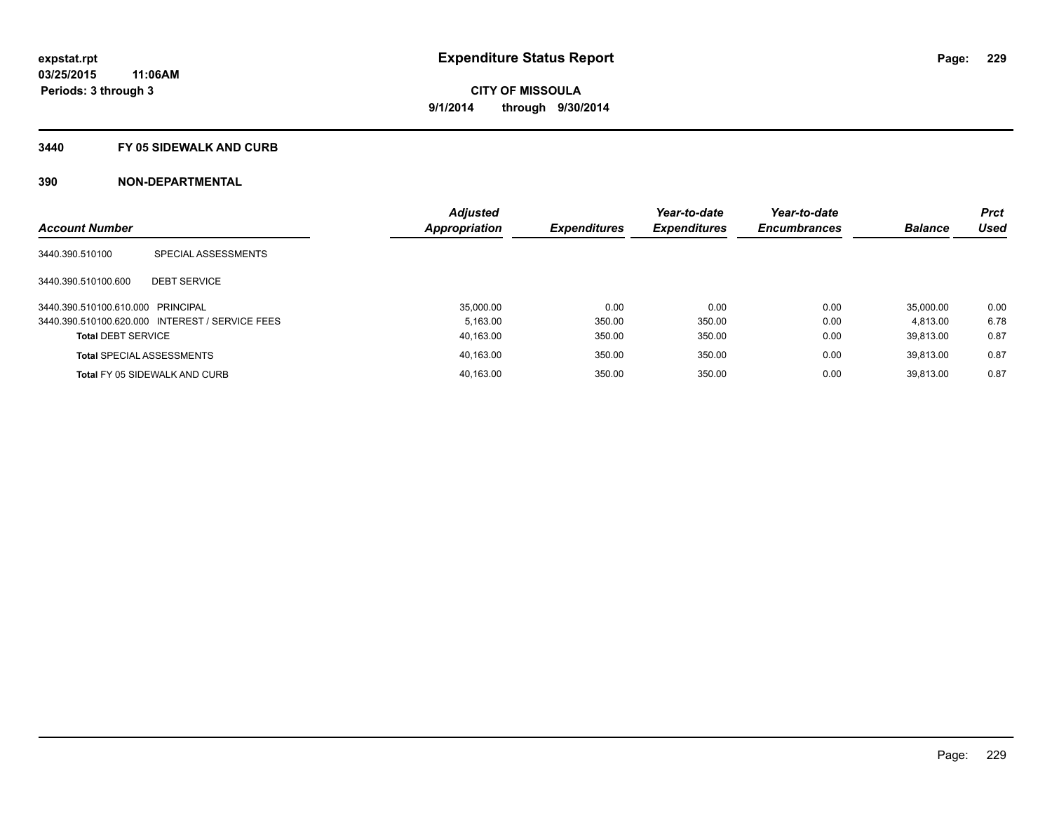#### **3440 FY 05 SIDEWALK AND CURB**

|                                   |                                                 | <b>Adjusted</b> |                     | Year-to-date        | Year-to-date        |                | <b>Prct</b> |
|-----------------------------------|-------------------------------------------------|-----------------|---------------------|---------------------|---------------------|----------------|-------------|
| <b>Account Number</b>             |                                                 | Appropriation   | <b>Expenditures</b> | <b>Expenditures</b> | <b>Encumbrances</b> | <b>Balance</b> | <b>Used</b> |
| 3440.390.510100                   | SPECIAL ASSESSMENTS                             |                 |                     |                     |                     |                |             |
| 3440.390.510100.600               | <b>DEBT SERVICE</b>                             |                 |                     |                     |                     |                |             |
| 3440.390.510100.610.000 PRINCIPAL |                                                 | 35,000.00       | 0.00                | 0.00                | 0.00                | 35.000.00      | 0.00        |
|                                   | 3440.390.510100.620.000 INTEREST / SERVICE FEES | 5.163.00        | 350.00              | 350.00              | 0.00                | 4.813.00       | 6.78        |
| <b>Total DEBT SERVICE</b>         |                                                 | 40,163.00       | 350.00              | 350.00              | 0.00                | 39.813.00      | 0.87        |
|                                   | <b>Total SPECIAL ASSESSMENTS</b>                | 40,163.00       | 350.00              | 350.00              | 0.00                | 39.813.00      | 0.87        |
|                                   | Total FY 05 SIDEWALK AND CURB                   | 40.163.00       | 350.00              | 350.00              | 0.00                | 39.813.00      | 0.87        |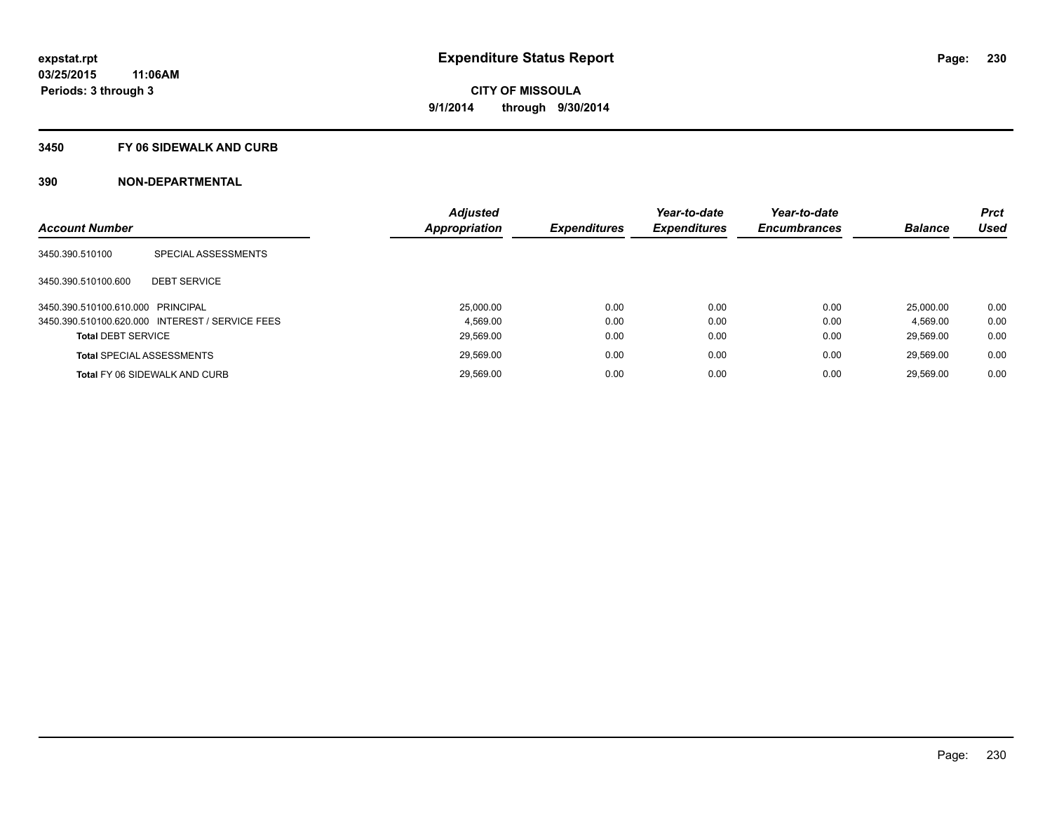#### **3450 FY 06 SIDEWALK AND CURB**

| <b>Account Number</b>             |                                                 | <b>Adjusted</b><br>Appropriation | <b>Expenditures</b> | Year-to-date<br><b>Expenditures</b> | Year-to-date<br><b>Encumbrances</b> | <b>Balance</b> | <b>Prct</b><br><b>Used</b> |
|-----------------------------------|-------------------------------------------------|----------------------------------|---------------------|-------------------------------------|-------------------------------------|----------------|----------------------------|
|                                   |                                                 |                                  |                     |                                     |                                     |                |                            |
| 3450.390.510100                   | SPECIAL ASSESSMENTS                             |                                  |                     |                                     |                                     |                |                            |
| 3450.390.510100.600               | <b>DEBT SERVICE</b>                             |                                  |                     |                                     |                                     |                |                            |
| 3450.390.510100.610.000 PRINCIPAL |                                                 | 25.000.00                        | 0.00                | 0.00                                | 0.00                                | 25.000.00      | 0.00                       |
|                                   | 3450.390.510100.620.000 INTEREST / SERVICE FEES | 4.569.00                         | 0.00                | 0.00                                | 0.00                                | 4.569.00       | 0.00                       |
| <b>Total DEBT SERVICE</b>         |                                                 | 29,569.00                        | 0.00                | 0.00                                | 0.00                                | 29.569.00      | 0.00                       |
|                                   | <b>Total SPECIAL ASSESSMENTS</b>                | 29.569.00                        | 0.00                | 0.00                                | 0.00                                | 29.569.00      | 0.00                       |
|                                   | <b>Total FY 06 SIDEWALK AND CURB</b>            | 29.569.00                        | 0.00                | 0.00                                | 0.00                                | 29.569.00      | 0.00                       |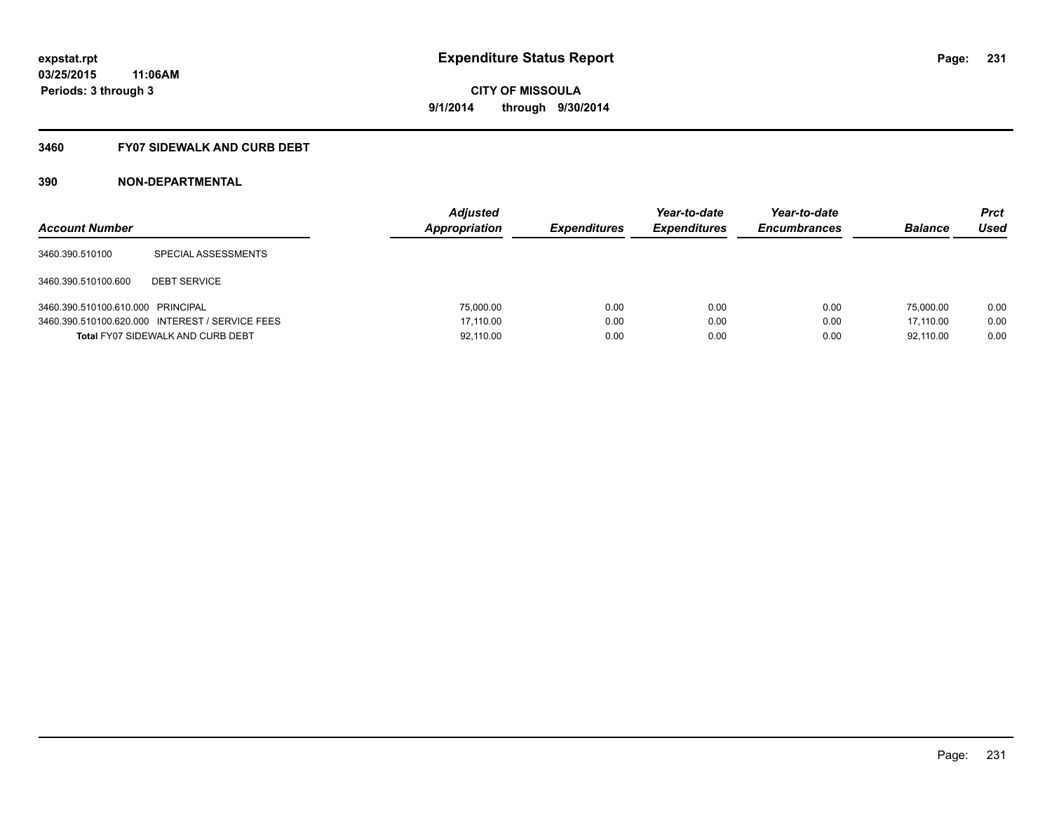### **3460 FY07 SIDEWALK AND CURB DEBT**

| <b>Account Number</b>             |                                                 | <b>Adjusted</b><br>Appropriation | <b>Expenditures</b> | Year-to-date<br><b>Expenditures</b> | Year-to-date<br><b>Encumbrances</b> | <b>Balance</b> | Prct<br><b>Used</b> |
|-----------------------------------|-------------------------------------------------|----------------------------------|---------------------|-------------------------------------|-------------------------------------|----------------|---------------------|
| 3460.390.510100                   | SPECIAL ASSESSMENTS                             |                                  |                     |                                     |                                     |                |                     |
| 3460.390.510100.600               | <b>DEBT SERVICE</b>                             |                                  |                     |                                     |                                     |                |                     |
| 3460.390.510100.610.000 PRINCIPAL |                                                 | 75,000.00                        | 0.00                | 0.00                                | 0.00                                | 75,000.00      | 0.00                |
|                                   | 3460.390.510100.620.000 INTEREST / SERVICE FEES | 17.110.00                        | 0.00                | 0.00                                | 0.00                                | 17.110.00      | 0.00                |
|                                   | <b>Total FY07 SIDEWALK AND CURB DEBT</b>        | 92,110.00                        | 0.00                | 0.00                                | 0.00                                | 92.110.00      | 0.00                |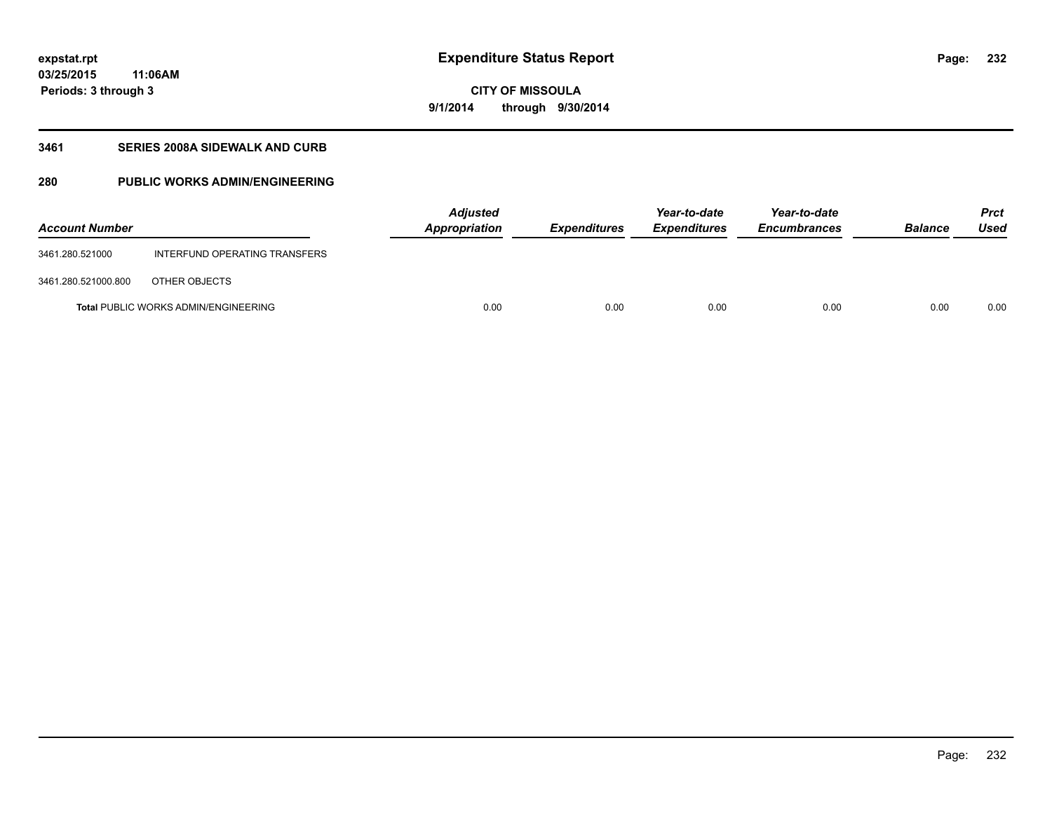**03/25/2015 11:06AM Periods: 3 through 3**

### **CITY OF MISSOULA 9/1/2014 through 9/30/2014**

### **3461 SERIES 2008A SIDEWALK AND CURB**

### **280 PUBLIC WORKS ADMIN/ENGINEERING**

| <b>Account Number</b> |                                             | <b>Adjusted</b><br>Appropriation | <b>Expenditures</b> | Year-to-date<br><b>Expenditures</b> | Year-to-date<br><b>Encumbrances</b> | <b>Balance</b> | <b>Prct</b><br>Used |
|-----------------------|---------------------------------------------|----------------------------------|---------------------|-------------------------------------|-------------------------------------|----------------|---------------------|
| 3461.280.521000       | INTERFUND OPERATING TRANSFERS               |                                  |                     |                                     |                                     |                |                     |
| 3461.280.521000.800   | OTHER OBJECTS                               |                                  |                     |                                     |                                     |                |                     |
|                       | <b>Total PUBLIC WORKS ADMIN/ENGINEERING</b> | 0.00                             | 0.00                | 0.00                                | 0.00                                | 0.00           | 0.00                |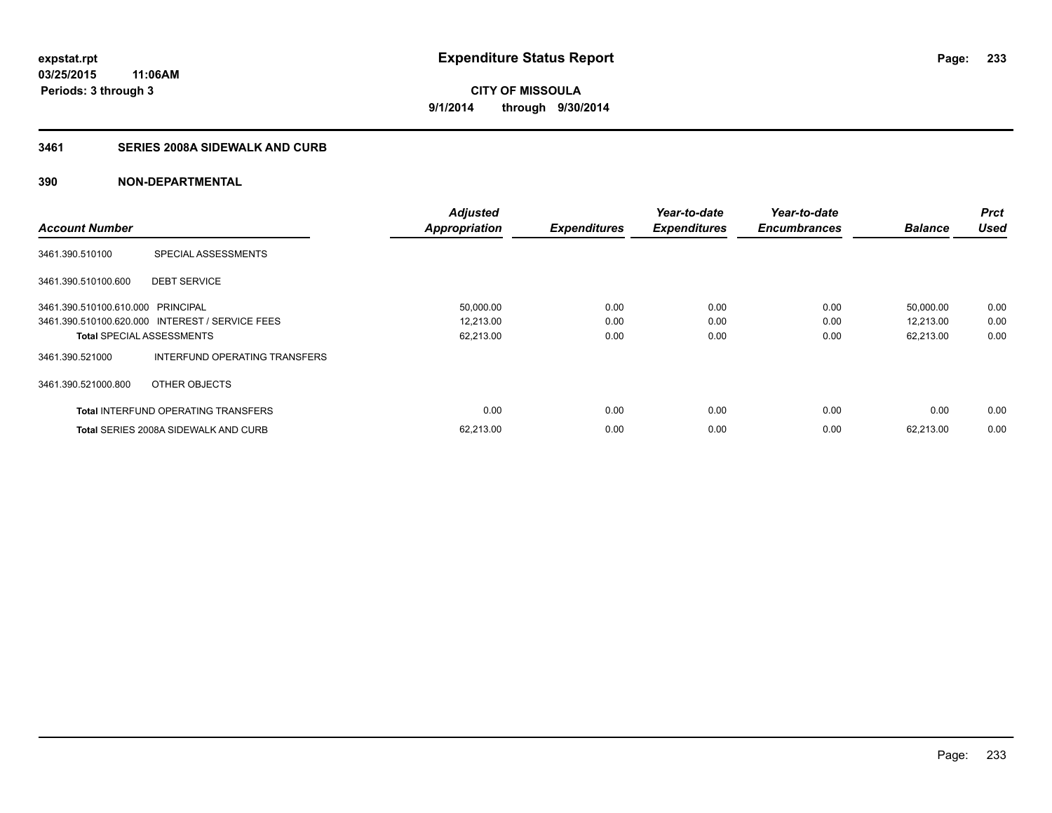### **3461 SERIES 2008A SIDEWALK AND CURB**

|                                   |                                                 | <b>Adjusted</b>      |                     | Year-to-date        | Year-to-date        |                | <b>Prct</b> |
|-----------------------------------|-------------------------------------------------|----------------------|---------------------|---------------------|---------------------|----------------|-------------|
| <b>Account Number</b>             |                                                 | <b>Appropriation</b> | <b>Expenditures</b> | <b>Expenditures</b> | <b>Encumbrances</b> | <b>Balance</b> | <b>Used</b> |
| 3461.390.510100                   | SPECIAL ASSESSMENTS                             |                      |                     |                     |                     |                |             |
| 3461.390.510100.600               | <b>DEBT SERVICE</b>                             |                      |                     |                     |                     |                |             |
| 3461.390.510100.610.000 PRINCIPAL |                                                 | 50,000.00            | 0.00                | 0.00                | 0.00                | 50,000.00      | 0.00        |
|                                   | 3461.390.510100.620.000 INTEREST / SERVICE FEES | 12,213.00            | 0.00                | 0.00                | 0.00                | 12,213.00      | 0.00        |
| <b>Total SPECIAL ASSESSMENTS</b>  |                                                 | 62,213.00            | 0.00                | 0.00                | 0.00                | 62,213.00      | 0.00        |
| 3461.390.521000                   | INTERFUND OPERATING TRANSFERS                   |                      |                     |                     |                     |                |             |
| 3461.390.521000.800               | OTHER OBJECTS                                   |                      |                     |                     |                     |                |             |
|                                   | <b>Total INTERFUND OPERATING TRANSFERS</b>      | 0.00                 | 0.00                | 0.00                | 0.00                | 0.00           | 0.00        |
|                                   | <b>Total SERIES 2008A SIDEWALK AND CURB</b>     | 62,213.00            | 0.00                | 0.00                | 0.00                | 62.213.00      | 0.00        |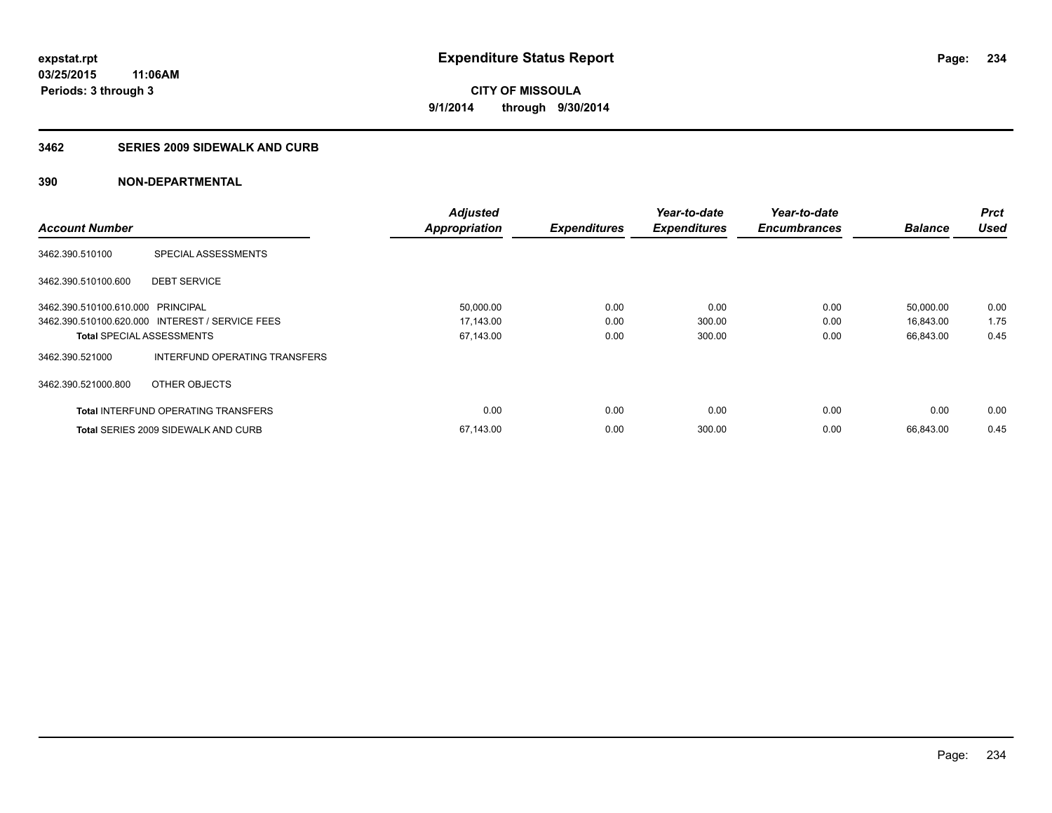#### **3462 SERIES 2009 SIDEWALK AND CURB**

|                                   |                                                 | <b>Adjusted</b>      |                     | Year-to-date        | Year-to-date        |                | <b>Prct</b> |
|-----------------------------------|-------------------------------------------------|----------------------|---------------------|---------------------|---------------------|----------------|-------------|
| <b>Account Number</b>             |                                                 | <b>Appropriation</b> | <b>Expenditures</b> | <b>Expenditures</b> | <b>Encumbrances</b> | <b>Balance</b> | <b>Used</b> |
| 3462.390.510100                   | SPECIAL ASSESSMENTS                             |                      |                     |                     |                     |                |             |
| 3462.390.510100.600               | <b>DEBT SERVICE</b>                             |                      |                     |                     |                     |                |             |
| 3462.390.510100.610.000 PRINCIPAL |                                                 | 50,000.00            | 0.00                | 0.00                | 0.00                | 50,000.00      | 0.00        |
|                                   | 3462.390.510100.620.000 INTEREST / SERVICE FEES | 17,143.00            | 0.00                | 300.00              | 0.00                | 16,843.00      | 1.75        |
| <b>Total SPECIAL ASSESSMENTS</b>  |                                                 | 67,143.00            | 0.00                | 300.00              | 0.00                | 66,843.00      | 0.45        |
| 3462.390.521000                   | INTERFUND OPERATING TRANSFERS                   |                      |                     |                     |                     |                |             |
| 3462.390.521000.800               | OTHER OBJECTS                                   |                      |                     |                     |                     |                |             |
|                                   | <b>Total INTERFUND OPERATING TRANSFERS</b>      | 0.00                 | 0.00                | 0.00                | 0.00                | 0.00           | 0.00        |
|                                   | <b>Total SERIES 2009 SIDEWALK AND CURB</b>      | 67,143.00            | 0.00                | 300.00              | 0.00                | 66.843.00      | 0.45        |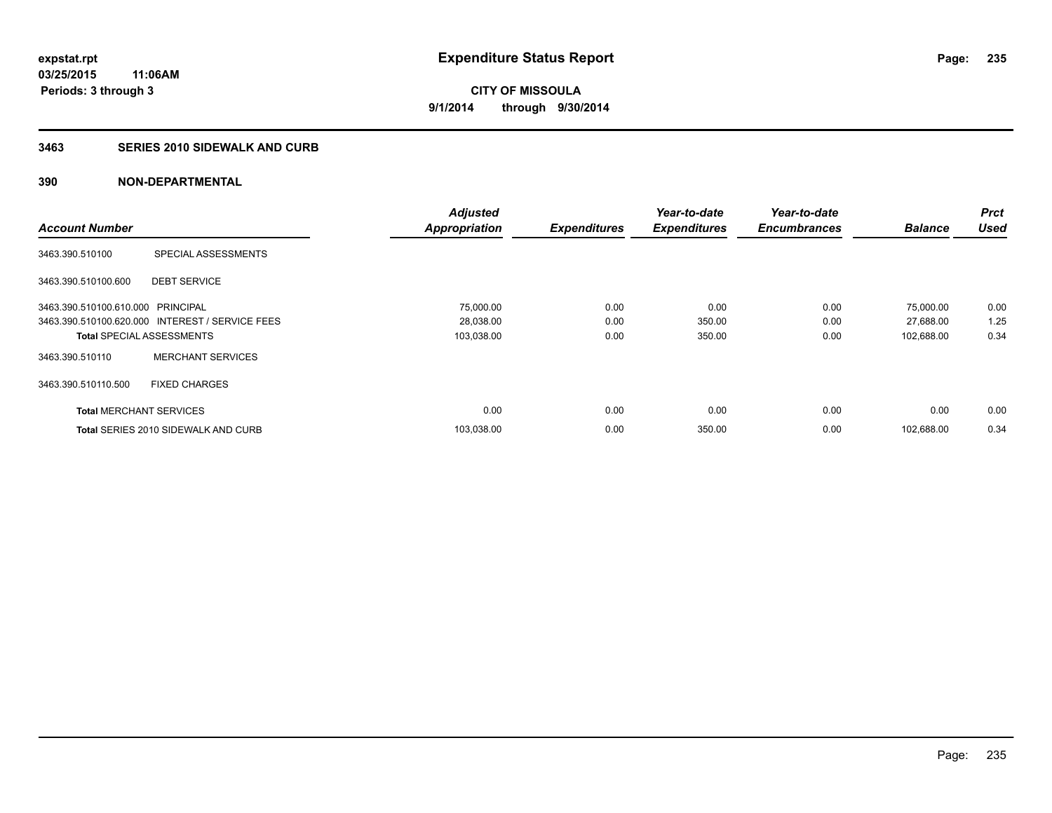#### **3463 SERIES 2010 SIDEWALK AND CURB**

|                                   |                                                 | <b>Adjusted</b>      |                     | Year-to-date        | Year-to-date        |                | <b>Prct</b> |
|-----------------------------------|-------------------------------------------------|----------------------|---------------------|---------------------|---------------------|----------------|-------------|
| <b>Account Number</b>             |                                                 | <b>Appropriation</b> | <b>Expenditures</b> | <b>Expenditures</b> | <b>Encumbrances</b> | <b>Balance</b> | <b>Used</b> |
| 3463.390.510100                   | SPECIAL ASSESSMENTS                             |                      |                     |                     |                     |                |             |
| 3463.390.510100.600               | <b>DEBT SERVICE</b>                             |                      |                     |                     |                     |                |             |
| 3463.390.510100.610.000 PRINCIPAL |                                                 | 75,000.00            | 0.00                | 0.00                | 0.00                | 75,000.00      | 0.00        |
|                                   | 3463.390.510100.620.000 INTEREST / SERVICE FEES | 28,038.00            | 0.00                | 350.00              | 0.00                | 27,688.00      | 1.25        |
| <b>Total SPECIAL ASSESSMENTS</b>  |                                                 | 103,038.00           | 0.00                | 350.00              | 0.00                | 102,688.00     | 0.34        |
| 3463.390.510110                   | <b>MERCHANT SERVICES</b>                        |                      |                     |                     |                     |                |             |
| 3463.390.510110.500               | <b>FIXED CHARGES</b>                            |                      |                     |                     |                     |                |             |
| <b>Total MERCHANT SERVICES</b>    |                                                 | 0.00                 | 0.00                | 0.00                | 0.00                | 0.00           | 0.00        |
|                                   | <b>Total SERIES 2010 SIDEWALK AND CURB</b>      | 103.038.00           | 0.00                | 350.00              | 0.00                | 102.688.00     | 0.34        |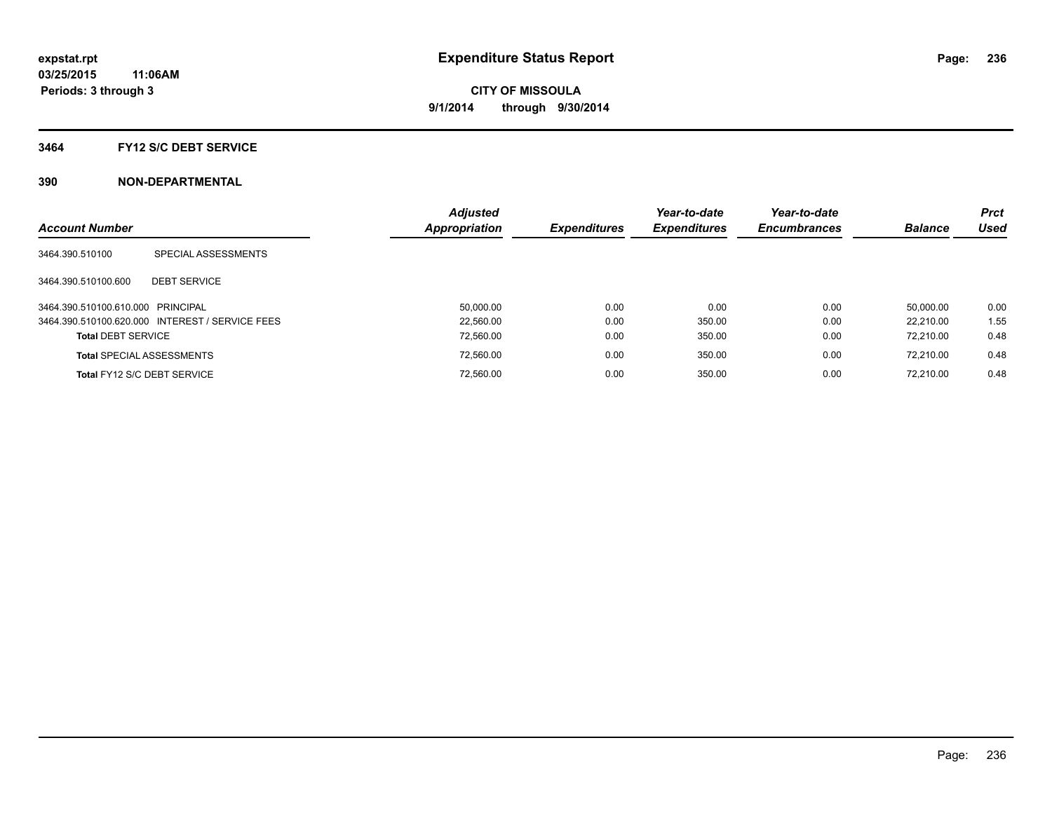#### **3464 FY12 S/C DEBT SERVICE**

| <b>Account Number</b>             |                                                 | <b>Adjusted</b><br><b>Appropriation</b> | <b>Expenditures</b> | Year-to-date<br><b>Expenditures</b> | Year-to-date<br><b>Encumbrances</b> | <b>Balance</b> | <b>Prct</b><br><b>Used</b> |
|-----------------------------------|-------------------------------------------------|-----------------------------------------|---------------------|-------------------------------------|-------------------------------------|----------------|----------------------------|
| 3464.390.510100                   | SPECIAL ASSESSMENTS                             |                                         |                     |                                     |                                     |                |                            |
| 3464.390.510100.600               | <b>DEBT SERVICE</b>                             |                                         |                     |                                     |                                     |                |                            |
| 3464.390.510100.610.000 PRINCIPAL |                                                 | 50.000.00                               | 0.00                | 0.00                                | 0.00                                | 50.000.00      | 0.00                       |
|                                   | 3464.390.510100.620.000 INTEREST / SERVICE FEES | 22.560.00                               | 0.00                | 350.00                              | 0.00                                | 22.210.00      | 1.55                       |
| <b>Total DEBT SERVICE</b>         |                                                 | 72.560.00                               | 0.00                | 350.00                              | 0.00                                | 72.210.00      | 0.48                       |
|                                   | <b>Total SPECIAL ASSESSMENTS</b>                | 72.560.00                               | 0.00                | 350.00                              | 0.00                                | 72.210.00      | 0.48                       |
|                                   | Total FY12 S/C DEBT SERVICE                     | 72.560.00                               | 0.00                | 350.00                              | 0.00                                | 72.210.00      | 0.48                       |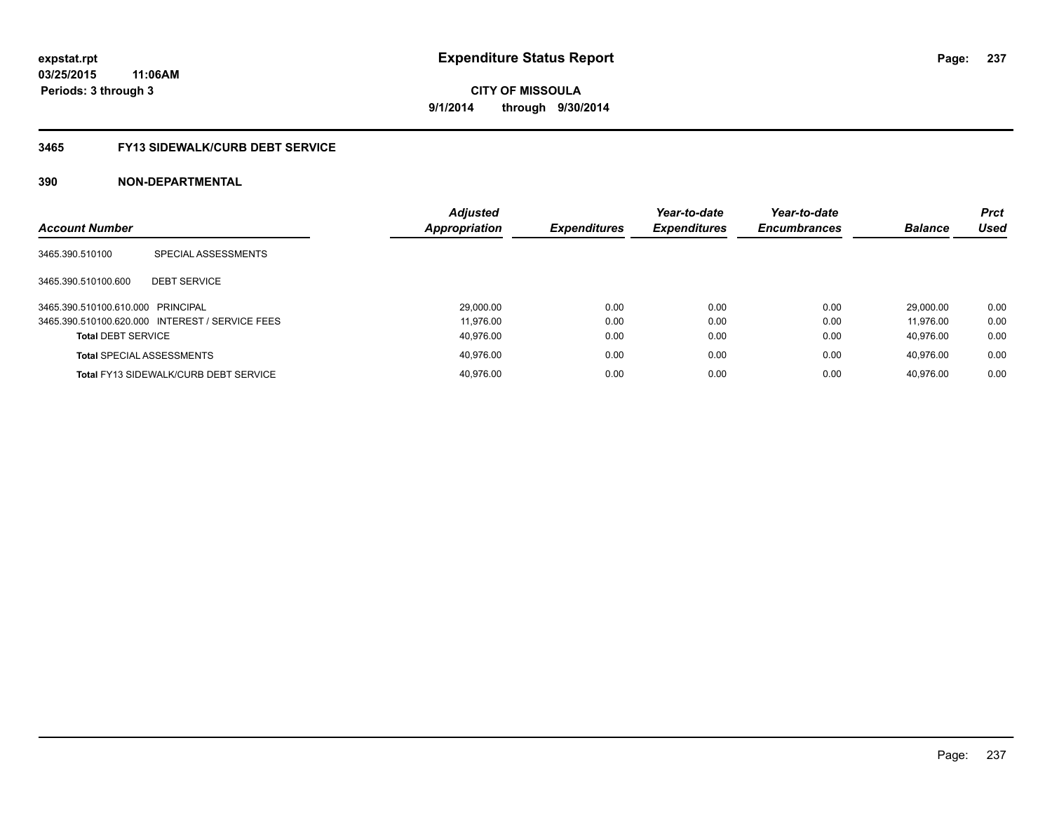### **3465 FY13 SIDEWALK/CURB DEBT SERVICE**

|                                   |                                                 | <b>Adjusted</b> |                     | Year-to-date        | Year-to-date        |                | <b>Prct</b> |
|-----------------------------------|-------------------------------------------------|-----------------|---------------------|---------------------|---------------------|----------------|-------------|
| <b>Account Number</b>             |                                                 | Appropriation   | <b>Expenditures</b> | <b>Expenditures</b> | <b>Encumbrances</b> | <b>Balance</b> | <b>Used</b> |
| 3465.390.510100                   | SPECIAL ASSESSMENTS                             |                 |                     |                     |                     |                |             |
| 3465.390.510100.600               | <b>DEBT SERVICE</b>                             |                 |                     |                     |                     |                |             |
| 3465.390.510100.610.000 PRINCIPAL |                                                 | 29,000.00       | 0.00                | 0.00                | 0.00                | 29.000.00      | 0.00        |
|                                   | 3465.390.510100.620.000 INTEREST / SERVICE FEES | 11.976.00       | 0.00                | 0.00                | 0.00                | 11.976.00      | 0.00        |
| <b>Total DEBT SERVICE</b>         |                                                 | 40.976.00       | 0.00                | 0.00                | 0.00                | 40.976.00      | 0.00        |
|                                   | <b>Total SPECIAL ASSESSMENTS</b>                | 40.976.00       | 0.00                | 0.00                | 0.00                | 40.976.00      | 0.00        |
|                                   | <b>Total FY13 SIDEWALK/CURB DEBT SERVICE</b>    | 40.976.00       | 0.00                | 0.00                | 0.00                | 40.976.00      | 0.00        |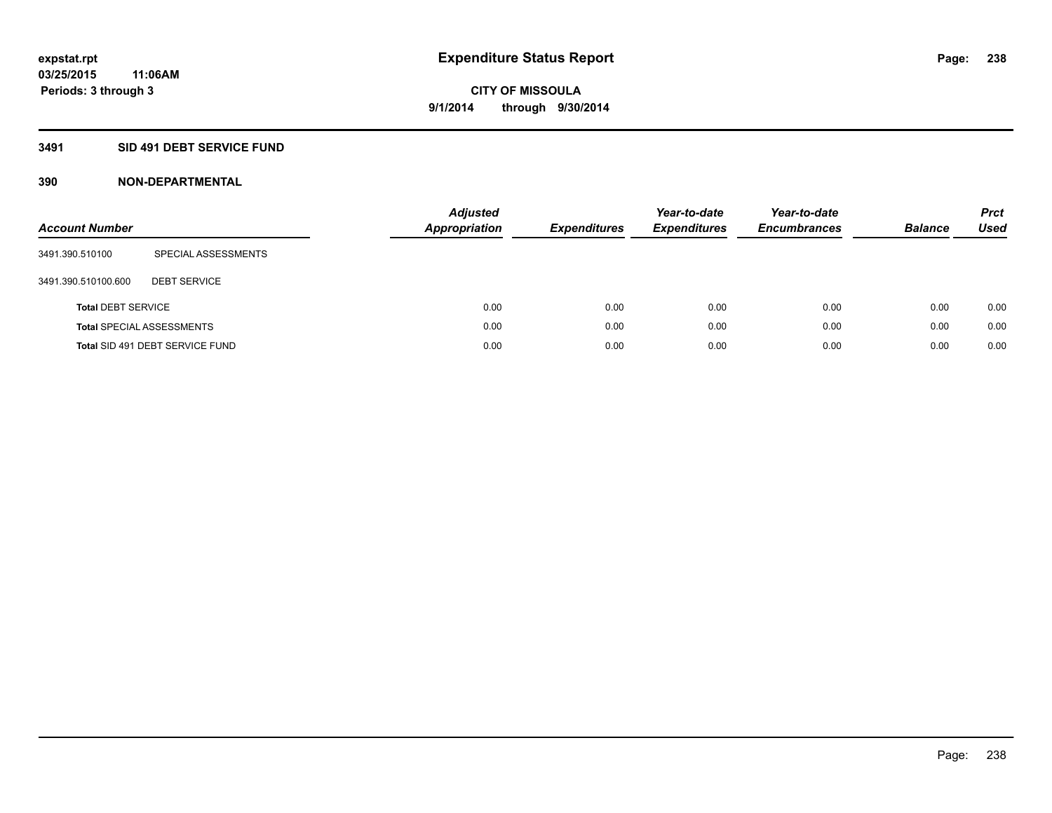### **3491 SID 491 DEBT SERVICE FUND**

| <b>Account Number</b>     |                                  | <b>Adjusted</b><br><b>Appropriation</b> | <b>Expenditures</b> | Year-to-date<br><b>Expenditures</b> | Year-to-date<br><b>Encumbrances</b> | <b>Balance</b> | <b>Prct</b><br>Used |
|---------------------------|----------------------------------|-----------------------------------------|---------------------|-------------------------------------|-------------------------------------|----------------|---------------------|
| 3491.390.510100           | SPECIAL ASSESSMENTS              |                                         |                     |                                     |                                     |                |                     |
| 3491.390.510100.600       | <b>DEBT SERVICE</b>              |                                         |                     |                                     |                                     |                |                     |
| <b>Total DEBT SERVICE</b> |                                  | 0.00                                    | 0.00                | 0.00                                | 0.00                                | 0.00           | 0.00                |
|                           | <b>Total SPECIAL ASSESSMENTS</b> | 0.00                                    | 0.00                | 0.00                                | 0.00                                | 0.00           | 0.00                |
|                           | Total SID 491 DEBT SERVICE FUND  | 0.00                                    | 0.00                | 0.00                                | 0.00                                | 0.00           | 0.00                |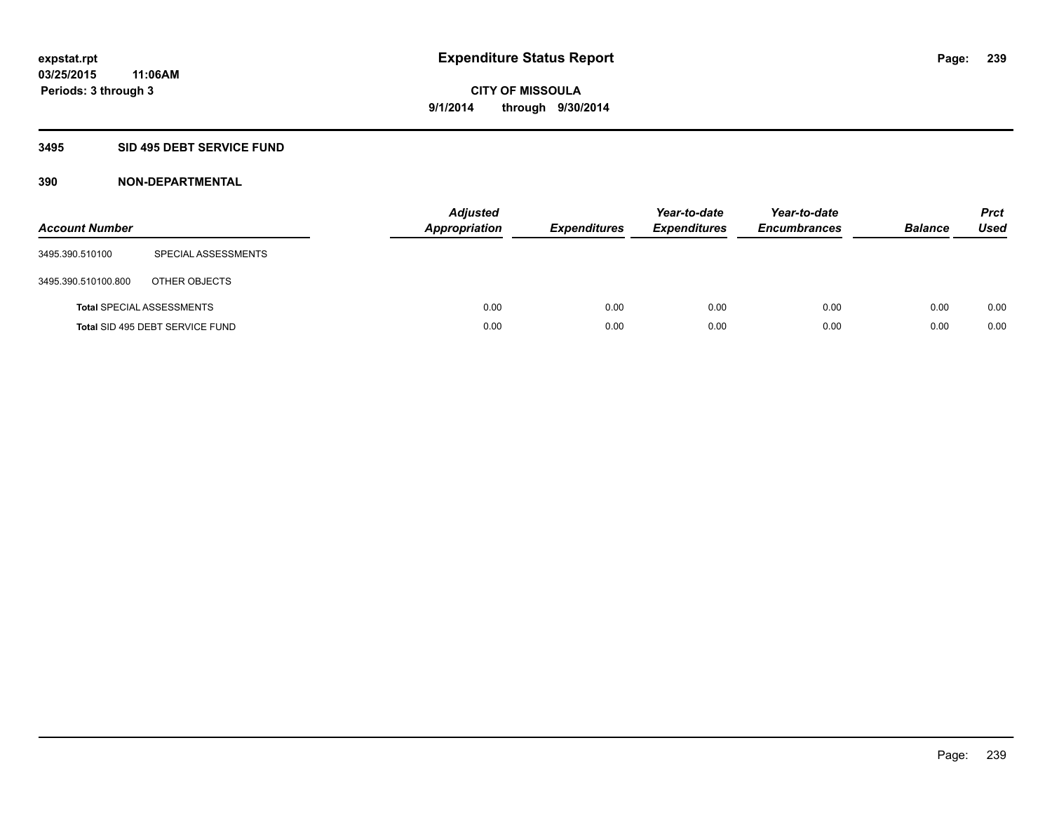### **3495 SID 495 DEBT SERVICE FUND**

| <b>Account Number</b> |                                  | <b>Adjusted</b><br><b>Appropriation</b> | <b>Expenditures</b> | Year-to-date<br><b>Expenditures</b> | Year-to-date<br><b>Encumbrances</b> | <b>Balance</b> | <b>Prct</b><br><b>Used</b> |
|-----------------------|----------------------------------|-----------------------------------------|---------------------|-------------------------------------|-------------------------------------|----------------|----------------------------|
| 3495.390.510100       | SPECIAL ASSESSMENTS              |                                         |                     |                                     |                                     |                |                            |
| 3495.390.510100.800   | OTHER OBJECTS                    |                                         |                     |                                     |                                     |                |                            |
|                       | <b>Total SPECIAL ASSESSMENTS</b> | 0.00                                    | 0.00                | 0.00                                | 0.00                                | 0.00           | 0.00                       |
|                       | Total SID 495 DEBT SERVICE FUND  | 0.00                                    | 0.00                | 0.00                                | 0.00                                | 0.00           | 0.00                       |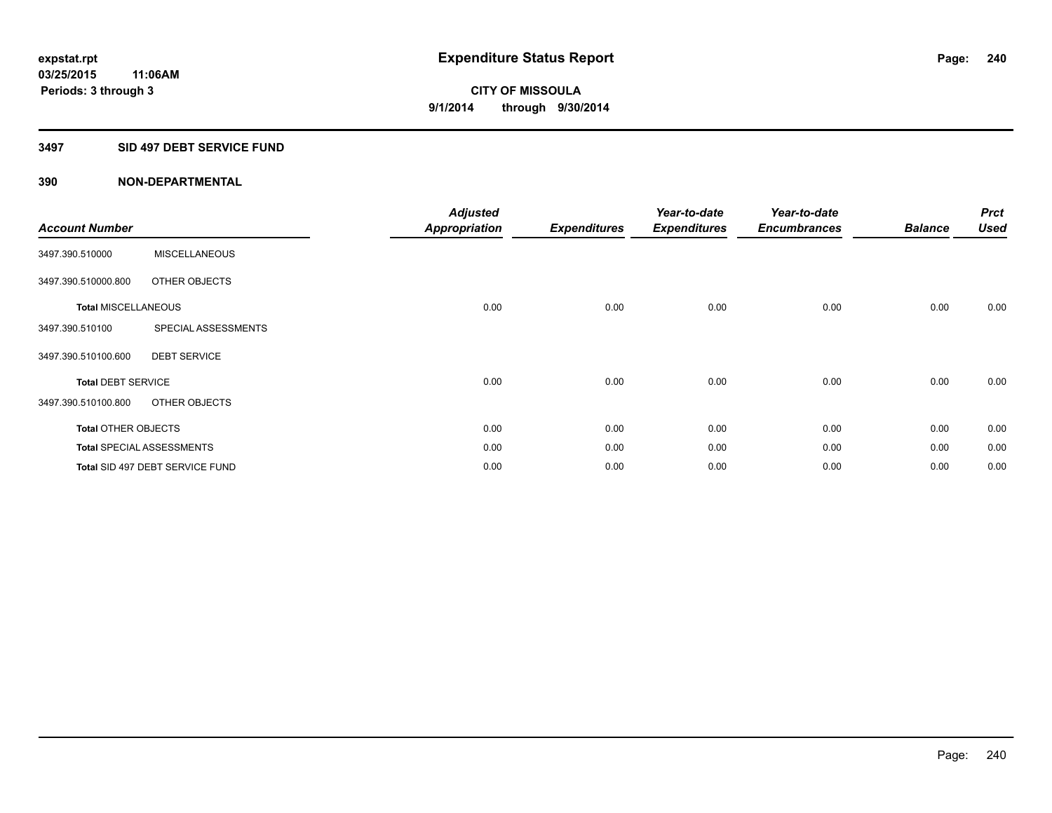#### **3497 SID 497 DEBT SERVICE FUND**

| <b>Account Number</b>      |                                  | <b>Adjusted</b><br><b>Appropriation</b> | <b>Expenditures</b> | Year-to-date<br><b>Expenditures</b> | Year-to-date<br><b>Encumbrances</b> | <b>Balance</b> | <b>Prct</b><br><b>Used</b> |
|----------------------------|----------------------------------|-----------------------------------------|---------------------|-------------------------------------|-------------------------------------|----------------|----------------------------|
| 3497.390.510000            | <b>MISCELLANEOUS</b>             |                                         |                     |                                     |                                     |                |                            |
| 3497.390.510000.800        | OTHER OBJECTS                    |                                         |                     |                                     |                                     |                |                            |
| <b>Total MISCELLANEOUS</b> |                                  | 0.00                                    | 0.00                | 0.00                                | 0.00                                | 0.00           | 0.00                       |
| 3497.390.510100            | SPECIAL ASSESSMENTS              |                                         |                     |                                     |                                     |                |                            |
| 3497.390.510100.600        | <b>DEBT SERVICE</b>              |                                         |                     |                                     |                                     |                |                            |
| <b>Total DEBT SERVICE</b>  |                                  | 0.00                                    | 0.00                | 0.00                                | 0.00                                | 0.00           | 0.00                       |
| 3497.390.510100.800        | OTHER OBJECTS                    |                                         |                     |                                     |                                     |                |                            |
| <b>Total OTHER OBJECTS</b> |                                  | 0.00                                    | 0.00                | 0.00                                | 0.00                                | 0.00           | 0.00                       |
|                            | <b>Total SPECIAL ASSESSMENTS</b> | 0.00                                    | 0.00                | 0.00                                | 0.00                                | 0.00           | 0.00                       |
|                            | Total SID 497 DEBT SERVICE FUND  | 0.00                                    | 0.00                | 0.00                                | 0.00                                | 0.00           | 0.00                       |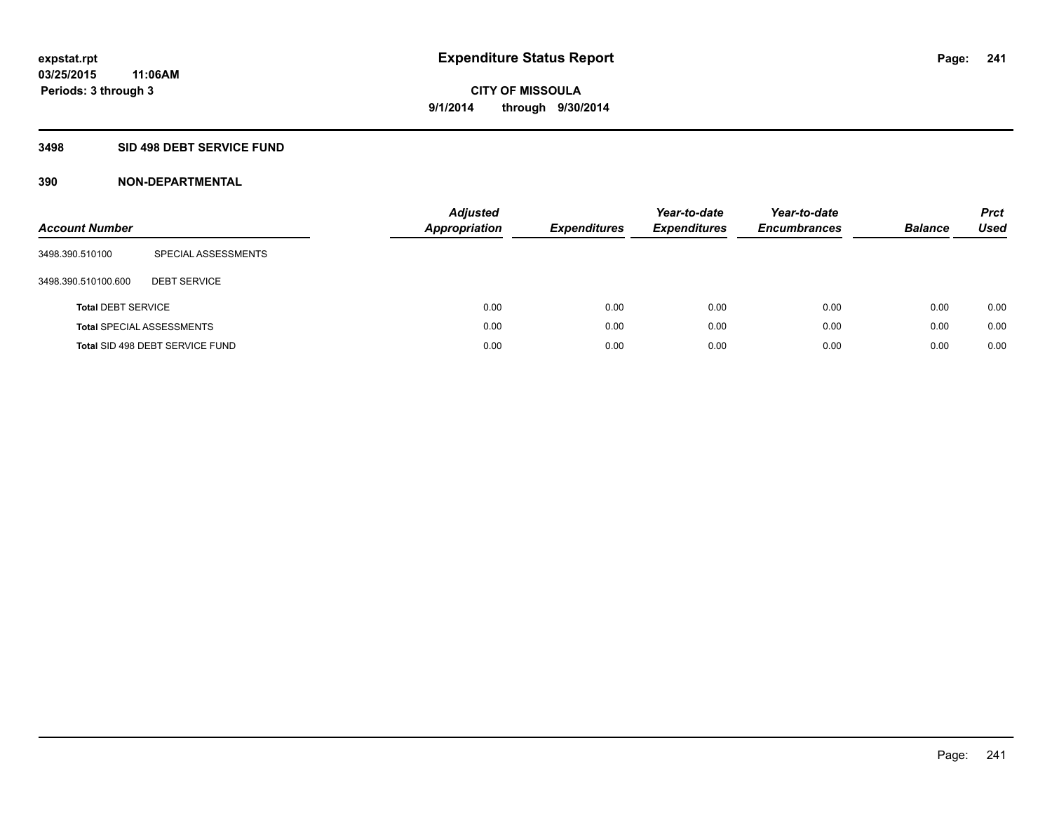### **3498 SID 498 DEBT SERVICE FUND**

| <b>Account Number</b>     |                                  | <b>Adjusted</b><br><b>Appropriation</b> | <b>Expenditures</b> | Year-to-date<br><b>Expenditures</b> | Year-to-date<br><b>Encumbrances</b> | <b>Balance</b> | <b>Prct</b><br><b>Used</b> |
|---------------------------|----------------------------------|-----------------------------------------|---------------------|-------------------------------------|-------------------------------------|----------------|----------------------------|
| 3498.390.510100           | SPECIAL ASSESSMENTS              |                                         |                     |                                     |                                     |                |                            |
| 3498.390.510100.600       | <b>DEBT SERVICE</b>              |                                         |                     |                                     |                                     |                |                            |
| <b>Total DEBT SERVICE</b> |                                  | 0.00                                    | 0.00                | 0.00                                | 0.00                                | 0.00           | 0.00                       |
|                           | <b>Total SPECIAL ASSESSMENTS</b> | 0.00                                    | 0.00                | 0.00                                | 0.00                                | 0.00           | 0.00                       |
|                           | Total SID 498 DEBT SERVICE FUND  | 0.00                                    | 0.00                | 0.00                                | 0.00                                | 0.00           | 0.00                       |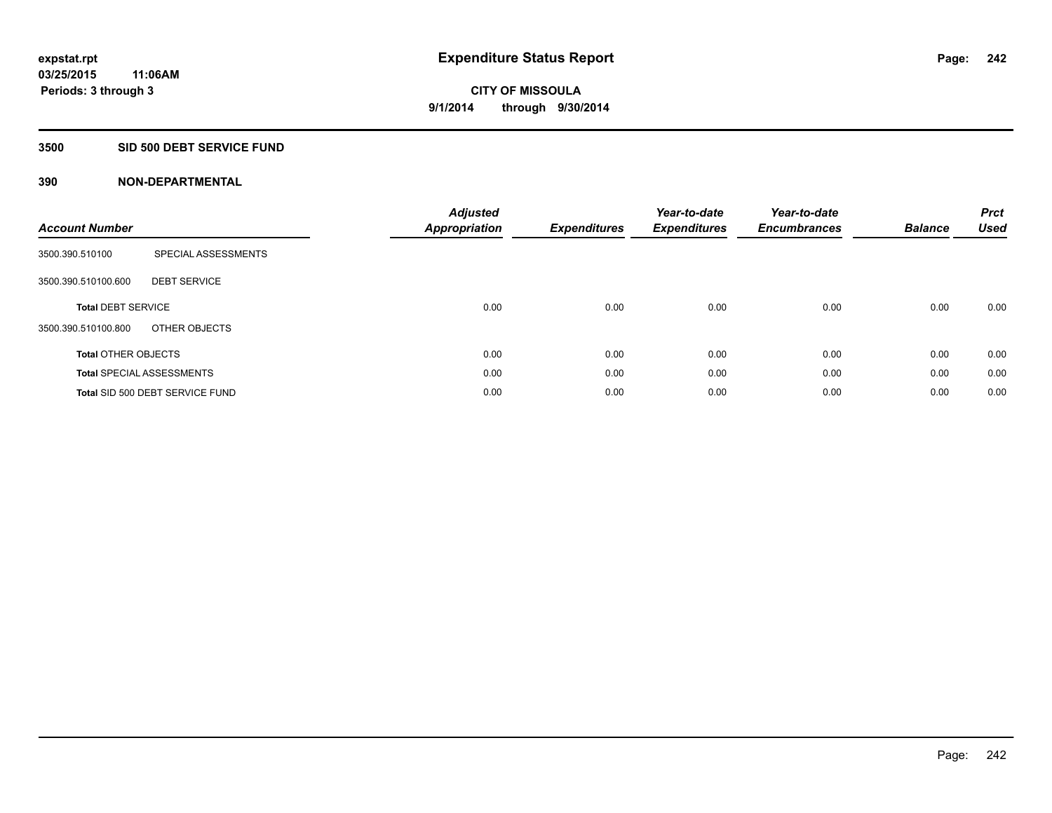#### **3500 SID 500 DEBT SERVICE FUND**

| <b>Account Number</b>      |                                  | <b>Adjusted</b><br>Appropriation | <b>Expenditures</b> | Year-to-date<br><b>Expenditures</b> | Year-to-date<br><b>Encumbrances</b> | <b>Balance</b> | <b>Prct</b><br><b>Used</b> |
|----------------------------|----------------------------------|----------------------------------|---------------------|-------------------------------------|-------------------------------------|----------------|----------------------------|
| 3500.390.510100            | SPECIAL ASSESSMENTS              |                                  |                     |                                     |                                     |                |                            |
| 3500.390.510100.600        | <b>DEBT SERVICE</b>              |                                  |                     |                                     |                                     |                |                            |
| <b>Total DEBT SERVICE</b>  |                                  | 0.00                             | 0.00                | 0.00                                | 0.00                                | 0.00           | 0.00                       |
| 3500.390.510100.800        | OTHER OBJECTS                    |                                  |                     |                                     |                                     |                |                            |
| <b>Total OTHER OBJECTS</b> |                                  | 0.00                             | 0.00                | 0.00                                | 0.00                                | 0.00           | 0.00                       |
|                            | <b>Total SPECIAL ASSESSMENTS</b> | 0.00                             | 0.00                | 0.00                                | 0.00                                | 0.00           | 0.00                       |
|                            | Total SID 500 DEBT SERVICE FUND  | 0.00                             | 0.00                | 0.00                                | 0.00                                | 0.00           | 0.00                       |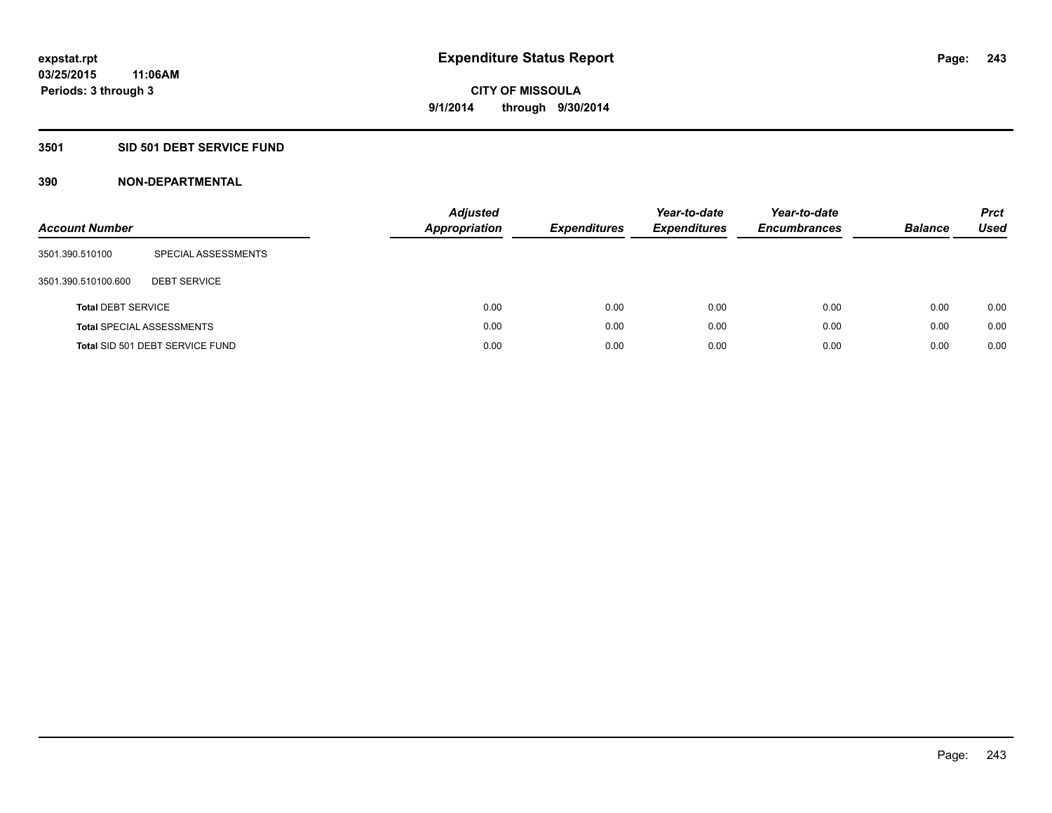### **3501 SID 501 DEBT SERVICE FUND**

| <b>Account Number</b>     |                                  | Adjusted<br><b>Appropriation</b> | <b>Expenditures</b> | Year-to-date<br><b>Expenditures</b> | Year-to-date<br><b>Encumbrances</b> | <b>Balance</b> | <b>Prct</b><br>Used |
|---------------------------|----------------------------------|----------------------------------|---------------------|-------------------------------------|-------------------------------------|----------------|---------------------|
| 3501.390.510100           | SPECIAL ASSESSMENTS              |                                  |                     |                                     |                                     |                |                     |
| 3501.390.510100.600       | <b>DEBT SERVICE</b>              |                                  |                     |                                     |                                     |                |                     |
| <b>Total DEBT SERVICE</b> |                                  | 0.00                             | 0.00                | 0.00                                | 0.00                                | 0.00           | 0.00                |
|                           | <b>Total SPECIAL ASSESSMENTS</b> | 0.00                             | 0.00                | 0.00                                | 0.00                                | 0.00           | 0.00                |
|                           | Total SID 501 DEBT SERVICE FUND  | 0.00                             | 0.00                | 0.00                                | 0.00                                | 0.00           | 0.00                |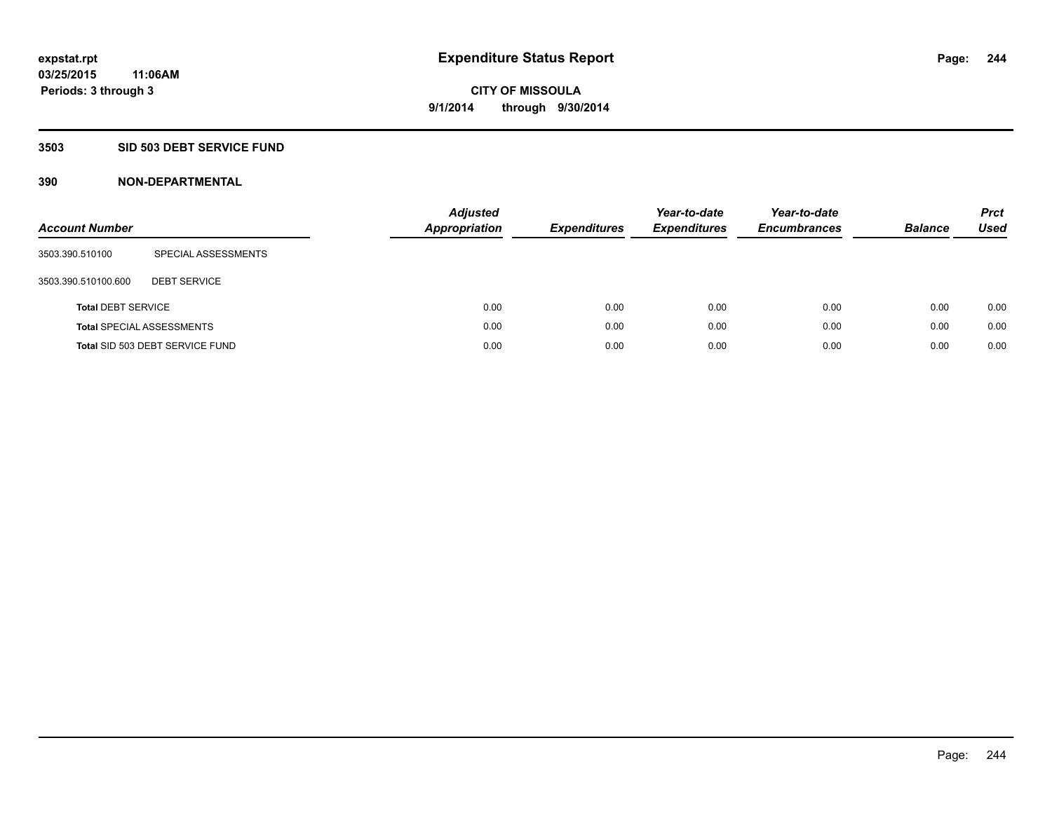### **3503 SID 503 DEBT SERVICE FUND**

| <b>Account Number</b>     |                                  | Adjusted<br><b>Appropriation</b> | <b>Expenditures</b> | Year-to-date<br><b>Expenditures</b> | Year-to-date<br><b>Encumbrances</b> | <b>Balance</b> | <b>Prct</b><br>Used |
|---------------------------|----------------------------------|----------------------------------|---------------------|-------------------------------------|-------------------------------------|----------------|---------------------|
| 3503.390.510100           | SPECIAL ASSESSMENTS              |                                  |                     |                                     |                                     |                |                     |
| 3503.390.510100.600       | <b>DEBT SERVICE</b>              |                                  |                     |                                     |                                     |                |                     |
| <b>Total DEBT SERVICE</b> |                                  |                                  | 0.00<br>0.00        | 0.00                                | 0.00                                | 0.00           | 0.00                |
|                           | <b>Total SPECIAL ASSESSMENTS</b> |                                  | 0.00<br>0.00        | 0.00                                | 0.00                                | 0.00           | 0.00                |
|                           | Total SID 503 DEBT SERVICE FUND  |                                  | 0.00<br>0.00        | 0.00                                | 0.00                                | 0.00           | 0.00                |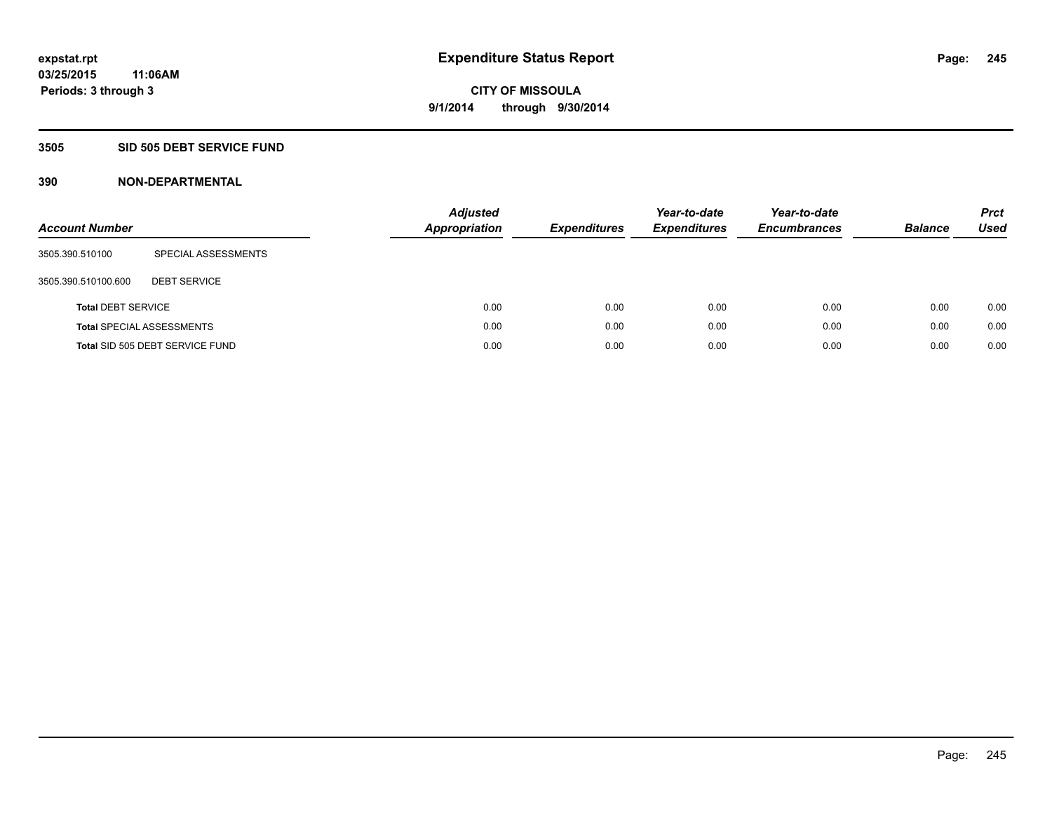#### **3505 SID 505 DEBT SERVICE FUND**

| <b>Account Number</b>     |                                  | <b>Adjusted</b><br><b>Appropriation</b> | <b>Expenditures</b> | Year-to-date<br><b>Expenditures</b> | Year-to-date<br><b>Encumbrances</b> | <b>Balance</b> | <b>Prct</b><br>Used |
|---------------------------|----------------------------------|-----------------------------------------|---------------------|-------------------------------------|-------------------------------------|----------------|---------------------|
| 3505.390.510100           | SPECIAL ASSESSMENTS              |                                         |                     |                                     |                                     |                |                     |
| 3505.390.510100.600       | <b>DEBT SERVICE</b>              |                                         |                     |                                     |                                     |                |                     |
| <b>Total DEBT SERVICE</b> |                                  | 0.00                                    | 0.00                | 0.00                                | 0.00                                | 0.00           | 0.00                |
|                           | <b>Total SPECIAL ASSESSMENTS</b> | 0.00                                    | 0.00                | 0.00                                | 0.00                                | 0.00           | 0.00                |
|                           | Total SID 505 DEBT SERVICE FUND  | 0.00                                    | 0.00                | 0.00                                | 0.00                                | 0.00           | 0.00                |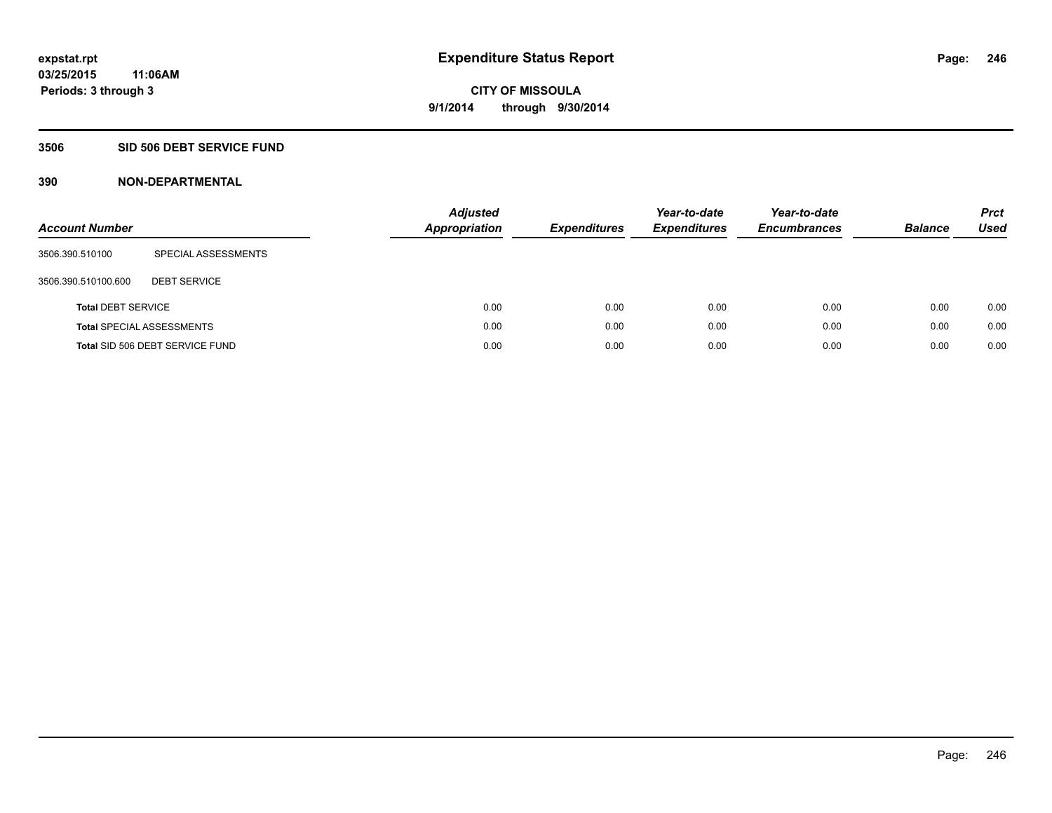#### **3506 SID 506 DEBT SERVICE FUND**

| <b>Account Number</b>     |                                  | Adjusted<br><b>Appropriation</b> | <b>Expenditures</b> | Year-to-date<br><b>Expenditures</b> | Year-to-date<br><b>Encumbrances</b> | <b>Balance</b> | <b>Prct</b><br>Used |
|---------------------------|----------------------------------|----------------------------------|---------------------|-------------------------------------|-------------------------------------|----------------|---------------------|
| 3506.390.510100           | SPECIAL ASSESSMENTS              |                                  |                     |                                     |                                     |                |                     |
| 3506.390.510100.600       | <b>DEBT SERVICE</b>              |                                  |                     |                                     |                                     |                |                     |
| <b>Total DEBT SERVICE</b> |                                  | 0.00                             | 0.00                | 0.00                                | 0.00                                | 0.00           | 0.00                |
|                           | <b>Total SPECIAL ASSESSMENTS</b> | 0.00                             | 0.00                | 0.00                                | 0.00                                | 0.00           | 0.00                |
|                           | Total SID 506 DEBT SERVICE FUND  | 0.00                             | 0.00                | 0.00                                | 0.00                                | 0.00           | 0.00                |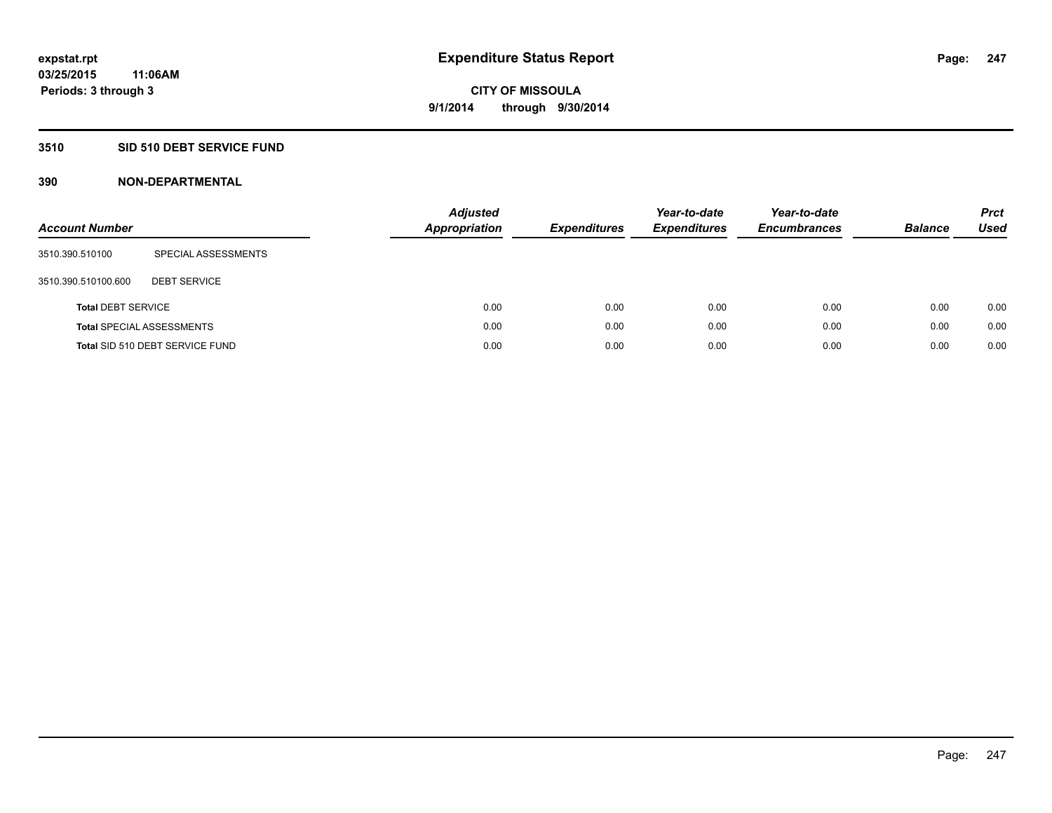### **3510 SID 510 DEBT SERVICE FUND**

| <b>Account Number</b>     |                                  | <b>Adjusted</b><br><b>Appropriation</b> | <b>Expenditures</b> | Year-to-date<br><b>Expenditures</b> | Year-to-date<br><b>Encumbrances</b> | <b>Balance</b> | <b>Prct</b><br>Used |
|---------------------------|----------------------------------|-----------------------------------------|---------------------|-------------------------------------|-------------------------------------|----------------|---------------------|
| 3510.390.510100           | SPECIAL ASSESSMENTS              |                                         |                     |                                     |                                     |                |                     |
| 3510.390.510100.600       | <b>DEBT SERVICE</b>              |                                         |                     |                                     |                                     |                |                     |
| <b>Total DEBT SERVICE</b> |                                  | 0.00                                    | 0.00                | 0.00                                | 0.00                                | 0.00           | 0.00                |
|                           | <b>Total SPECIAL ASSESSMENTS</b> | 0.00                                    | 0.00                | 0.00                                | 0.00                                | 0.00           | 0.00                |
|                           | Total SID 510 DEBT SERVICE FUND  | 0.00                                    | 0.00                | 0.00                                | 0.00                                | 0.00           | 0.00                |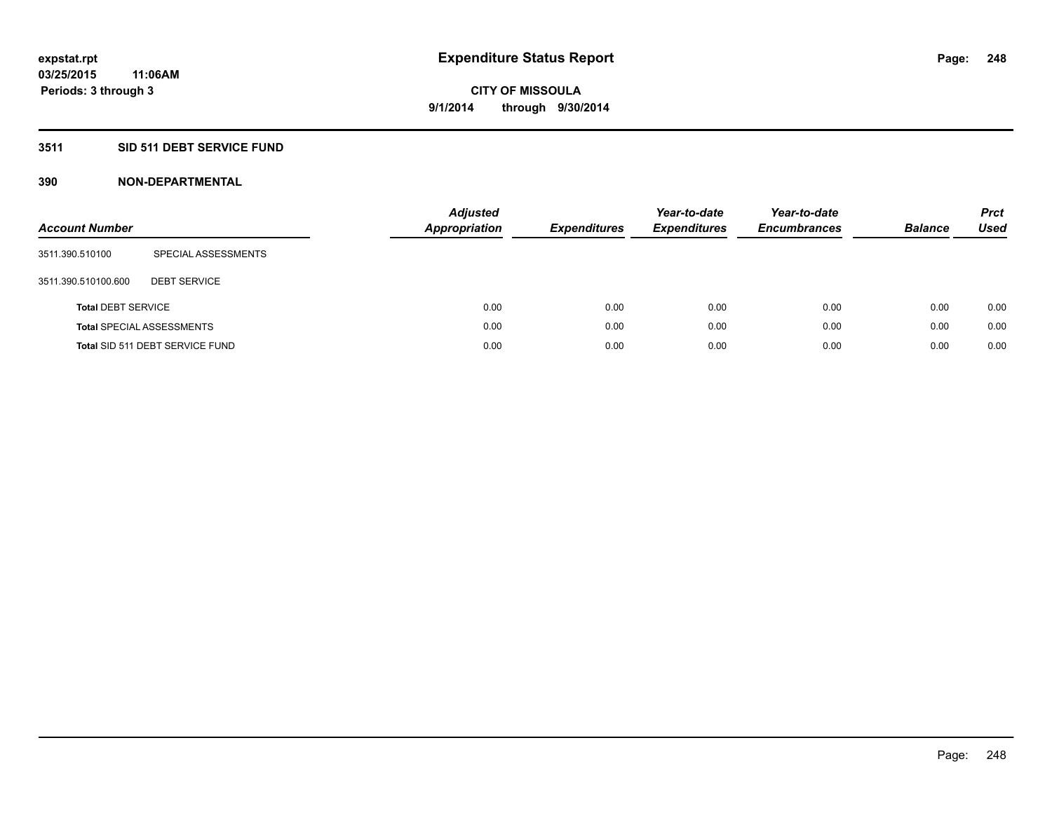### **3511 SID 511 DEBT SERVICE FUND**

| <b>Account Number</b>     |                                  | <b>Adjusted</b><br><b>Appropriation</b> | <b>Expenditures</b> | Year-to-date<br><b>Expenditures</b> | Year-to-date<br><b>Encumbrances</b> | <b>Balance</b> | <b>Prct</b><br>Used |
|---------------------------|----------------------------------|-----------------------------------------|---------------------|-------------------------------------|-------------------------------------|----------------|---------------------|
| 3511.390.510100           | SPECIAL ASSESSMENTS              |                                         |                     |                                     |                                     |                |                     |
| 3511.390.510100.600       | <b>DEBT SERVICE</b>              |                                         |                     |                                     |                                     |                |                     |
| <b>Total DEBT SERVICE</b> |                                  | 0.00                                    | 0.00                | 0.00                                | 0.00                                | 0.00           | 0.00                |
|                           | <b>Total SPECIAL ASSESSMENTS</b> | 0.00                                    | 0.00                | 0.00                                | 0.00                                | 0.00           | 0.00                |
|                           | Total SID 511 DEBT SERVICE FUND  | 0.00                                    | 0.00                | 0.00                                | 0.00                                | 0.00           | 0.00                |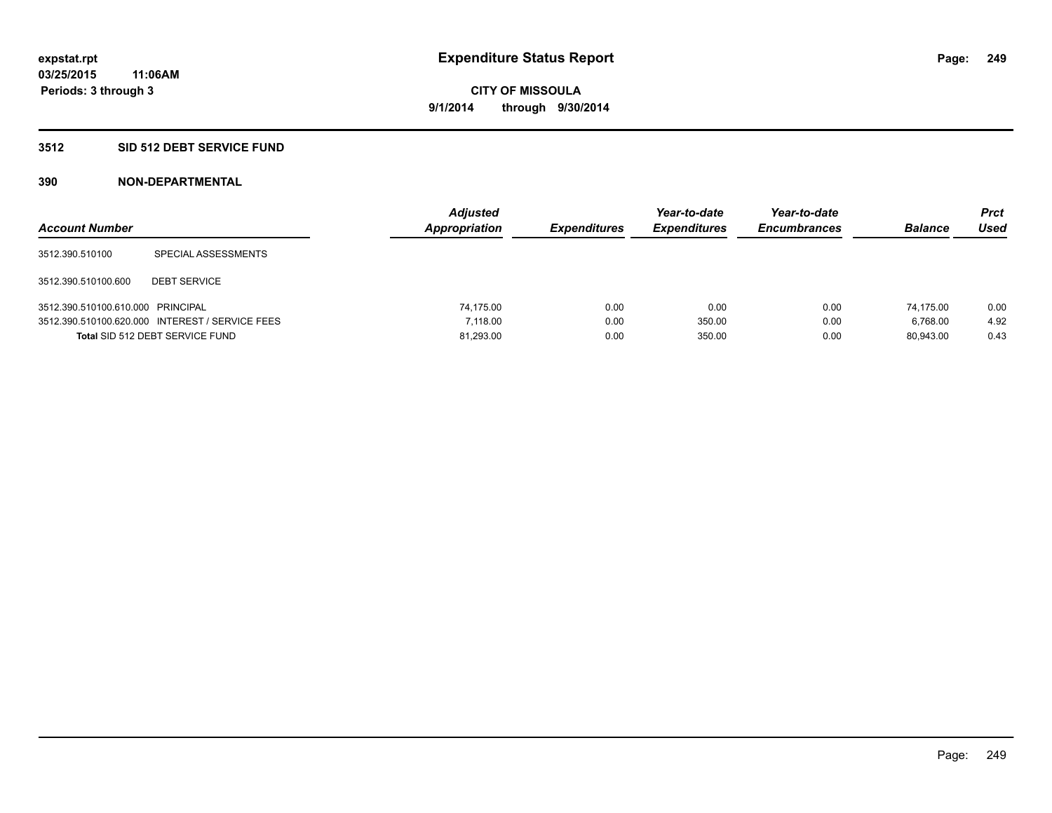#### **3512 SID 512 DEBT SERVICE FUND**

| <b>Account Number</b>             |                                                 | <b>Adjusted</b><br>Appropriation | <b>Expenditures</b> | Year-to-date<br><b>Expenditures</b> | Year-to-date<br><b>Encumbrances</b> | <b>Balance</b> | Prct<br><b>Used</b> |
|-----------------------------------|-------------------------------------------------|----------------------------------|---------------------|-------------------------------------|-------------------------------------|----------------|---------------------|
| 3512.390.510100                   | SPECIAL ASSESSMENTS                             |                                  |                     |                                     |                                     |                |                     |
| 3512.390.510100.600               | <b>DEBT SERVICE</b>                             |                                  |                     |                                     |                                     |                |                     |
| 3512.390.510100.610.000 PRINCIPAL |                                                 | 74.175.00                        | 0.00                | 0.00                                | 0.00                                | 74.175.00      | 0.00                |
|                                   | 3512.390.510100.620.000 INTEREST / SERVICE FEES | 7.118.00                         | 0.00                | 350.00                              | 0.00                                | 6.768.00       | 4.92                |
|                                   | Total SID 512 DEBT SERVICE FUND                 | 81,293.00                        | 0.00                | 350.00                              | 0.00                                | 80.943.00      | 0.43                |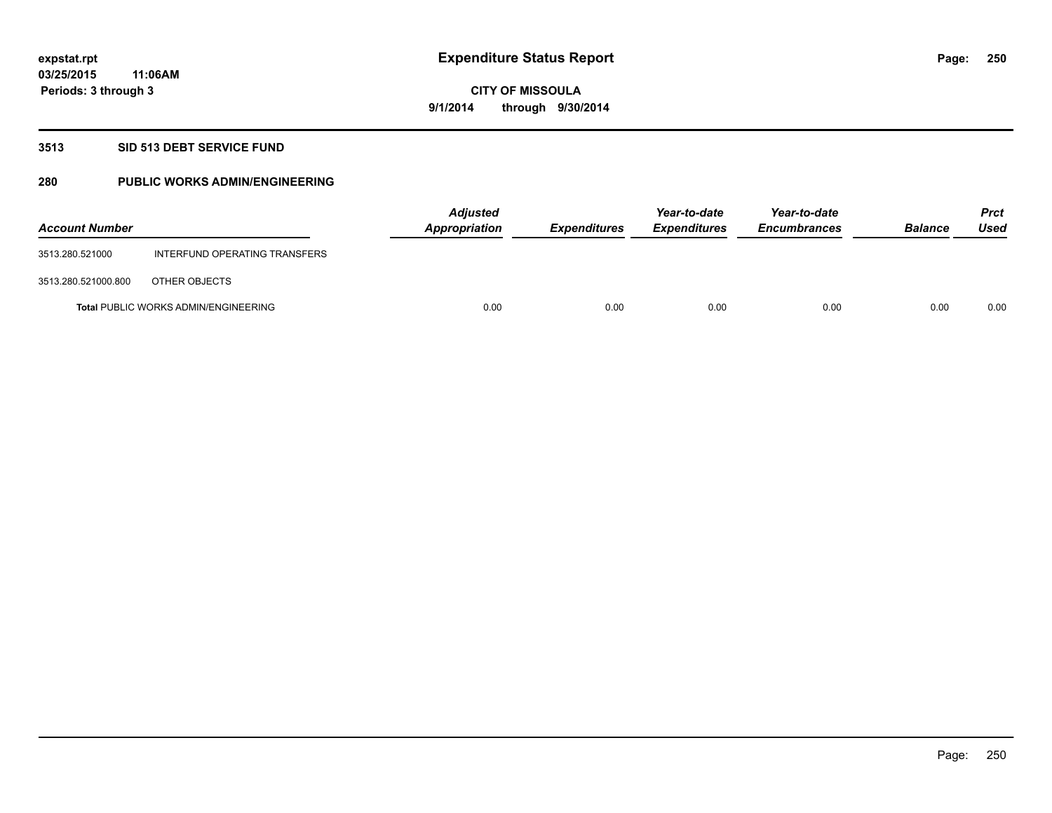#### **3513 SID 513 DEBT SERVICE FUND**

### **280 PUBLIC WORKS ADMIN/ENGINEERING**

| <b>Account Number</b> |                                             | <b>Adjusted</b><br>Appropriation | <b>Expenditures</b> | Year-to-date<br><b>Expenditures</b> | Year-to-date<br><b>Encumbrances</b> | <b>Balance</b> | <b>Prct</b><br>Used |
|-----------------------|---------------------------------------------|----------------------------------|---------------------|-------------------------------------|-------------------------------------|----------------|---------------------|
| 3513.280.521000       | INTERFUND OPERATING TRANSFERS               |                                  |                     |                                     |                                     |                |                     |
| 3513.280.521000.800   | OTHER OBJECTS                               |                                  |                     |                                     |                                     |                |                     |
|                       | <b>Total PUBLIC WORKS ADMIN/ENGINEERING</b> | 0.00                             | 0.00                | 0.00                                | 0.00                                | 0.00           | 0.00                |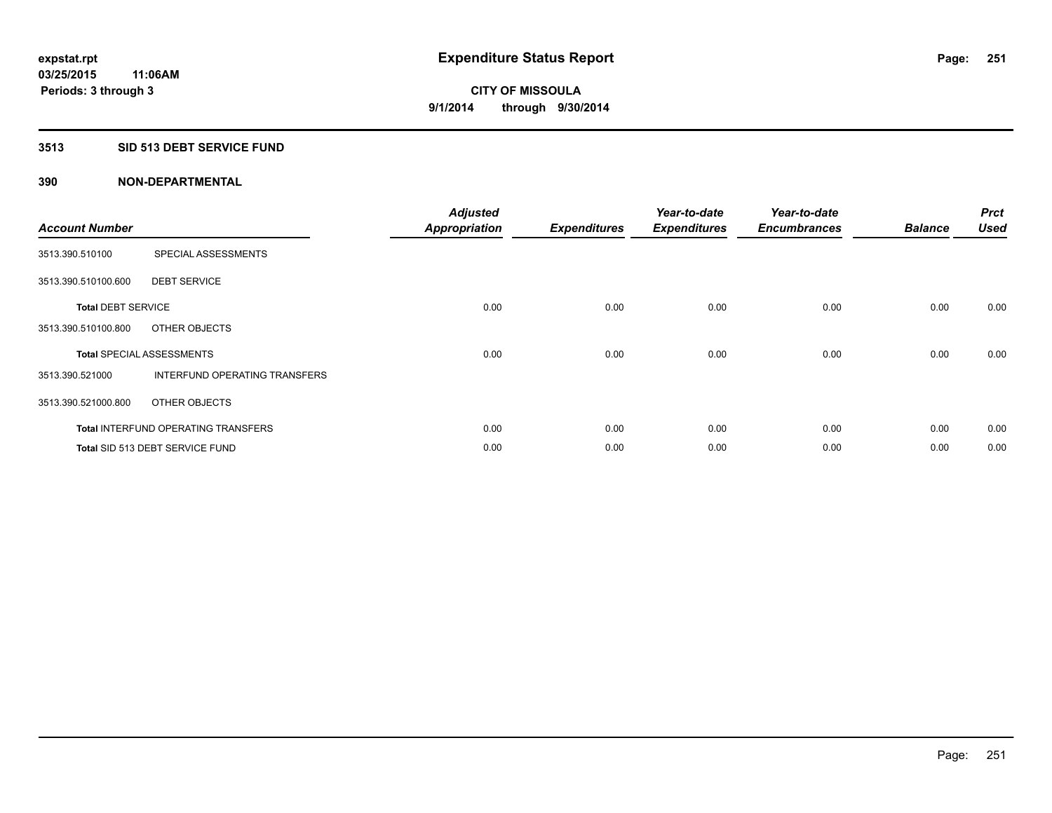### **3513 SID 513 DEBT SERVICE FUND**

| <b>Account Number</b>     |                                            | <b>Adjusted</b><br><b>Appropriation</b> | <b>Expenditures</b> | Year-to-date<br><b>Expenditures</b> | Year-to-date<br><b>Encumbrances</b> | <b>Balance</b> | <b>Prct</b><br><b>Used</b> |
|---------------------------|--------------------------------------------|-----------------------------------------|---------------------|-------------------------------------|-------------------------------------|----------------|----------------------------|
| 3513.390.510100           | SPECIAL ASSESSMENTS                        |                                         |                     |                                     |                                     |                |                            |
| 3513.390.510100.600       | <b>DEBT SERVICE</b>                        |                                         |                     |                                     |                                     |                |                            |
| <b>Total DEBT SERVICE</b> |                                            | 0.00                                    | 0.00                | 0.00                                | 0.00                                | 0.00           | 0.00                       |
| 3513.390.510100.800       | OTHER OBJECTS                              |                                         |                     |                                     |                                     |                |                            |
|                           | <b>Total SPECIAL ASSESSMENTS</b>           | 0.00                                    | 0.00                | 0.00                                | 0.00                                | 0.00           | 0.00                       |
| 3513.390.521000           | INTERFUND OPERATING TRANSFERS              |                                         |                     |                                     |                                     |                |                            |
| 3513.390.521000.800       | OTHER OBJECTS                              |                                         |                     |                                     |                                     |                |                            |
|                           | <b>Total INTERFUND OPERATING TRANSFERS</b> | 0.00                                    | 0.00                | 0.00                                | 0.00                                | 0.00           | 0.00                       |
|                           | <b>Total SID 513 DEBT SERVICE FUND</b>     | 0.00                                    | 0.00                | 0.00                                | 0.00                                | 0.00           | 0.00                       |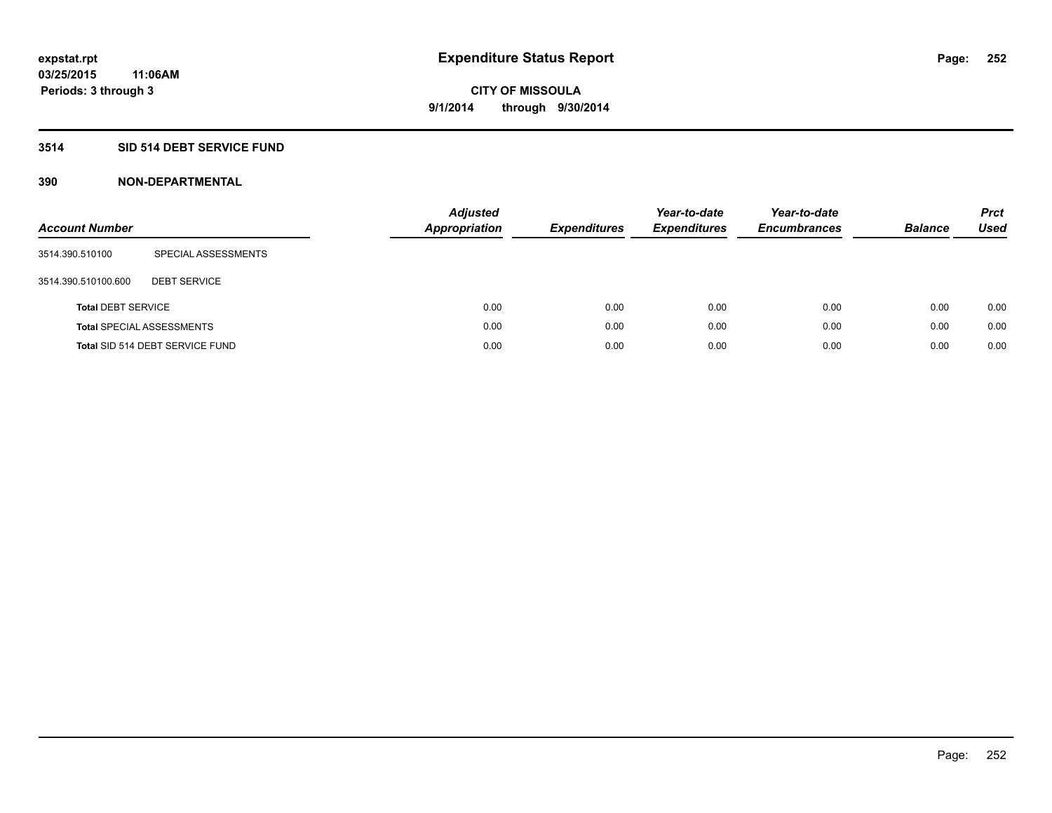### **3514 SID 514 DEBT SERVICE FUND**

| <b>Account Number</b>     |                                  | <b>Adjusted</b><br><b>Appropriation</b> | <b>Expenditures</b> | Year-to-date<br><b>Expenditures</b> | Year-to-date<br><b>Encumbrances</b> | <b>Balance</b> | <b>Prct</b><br>Used |
|---------------------------|----------------------------------|-----------------------------------------|---------------------|-------------------------------------|-------------------------------------|----------------|---------------------|
| 3514.390.510100           | SPECIAL ASSESSMENTS              |                                         |                     |                                     |                                     |                |                     |
| 3514.390.510100.600       | <b>DEBT SERVICE</b>              |                                         |                     |                                     |                                     |                |                     |
| <b>Total DEBT SERVICE</b> |                                  | 0.00                                    | 0.00                | 0.00                                | 0.00                                | 0.00           | 0.00                |
|                           | <b>Total SPECIAL ASSESSMENTS</b> | 0.00                                    | 0.00                | 0.00                                | 0.00                                | 0.00           | 0.00                |
|                           | Total SID 514 DEBT SERVICE FUND  | 0.00                                    | 0.00                | 0.00                                | 0.00                                | 0.00           | 0.00                |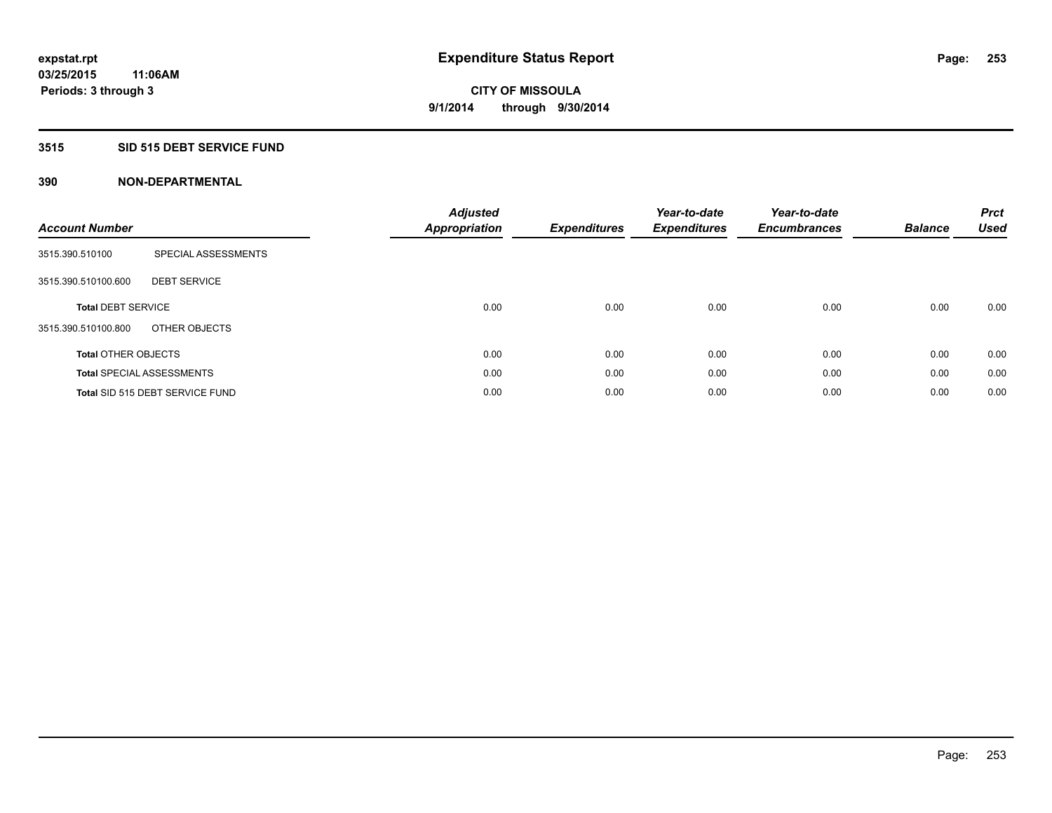### **3515 SID 515 DEBT SERVICE FUND**

| <b>Account Number</b>      |                                  | <b>Adjusted</b><br><b>Appropriation</b> | <b>Expenditures</b> | Year-to-date<br><b>Expenditures</b> | Year-to-date<br><b>Encumbrances</b> | <b>Balance</b> | <b>Prct</b><br><b>Used</b> |
|----------------------------|----------------------------------|-----------------------------------------|---------------------|-------------------------------------|-------------------------------------|----------------|----------------------------|
| 3515.390.510100            | SPECIAL ASSESSMENTS              |                                         |                     |                                     |                                     |                |                            |
| 3515.390.510100.600        | <b>DEBT SERVICE</b>              |                                         |                     |                                     |                                     |                |                            |
| <b>Total DEBT SERVICE</b>  |                                  | 0.00                                    | 0.00                | 0.00                                | 0.00                                | 0.00           | 0.00                       |
| 3515.390.510100.800        | OTHER OBJECTS                    |                                         |                     |                                     |                                     |                |                            |
| <b>Total OTHER OBJECTS</b> |                                  | 0.00                                    | 0.00                | 0.00                                | 0.00                                | 0.00           | 0.00                       |
|                            | <b>Total SPECIAL ASSESSMENTS</b> | 0.00                                    | 0.00                | 0.00                                | 0.00                                | 0.00           | 0.00                       |
|                            | Total SID 515 DEBT SERVICE FUND  | 0.00                                    | 0.00                | 0.00                                | 0.00                                | 0.00           | 0.00                       |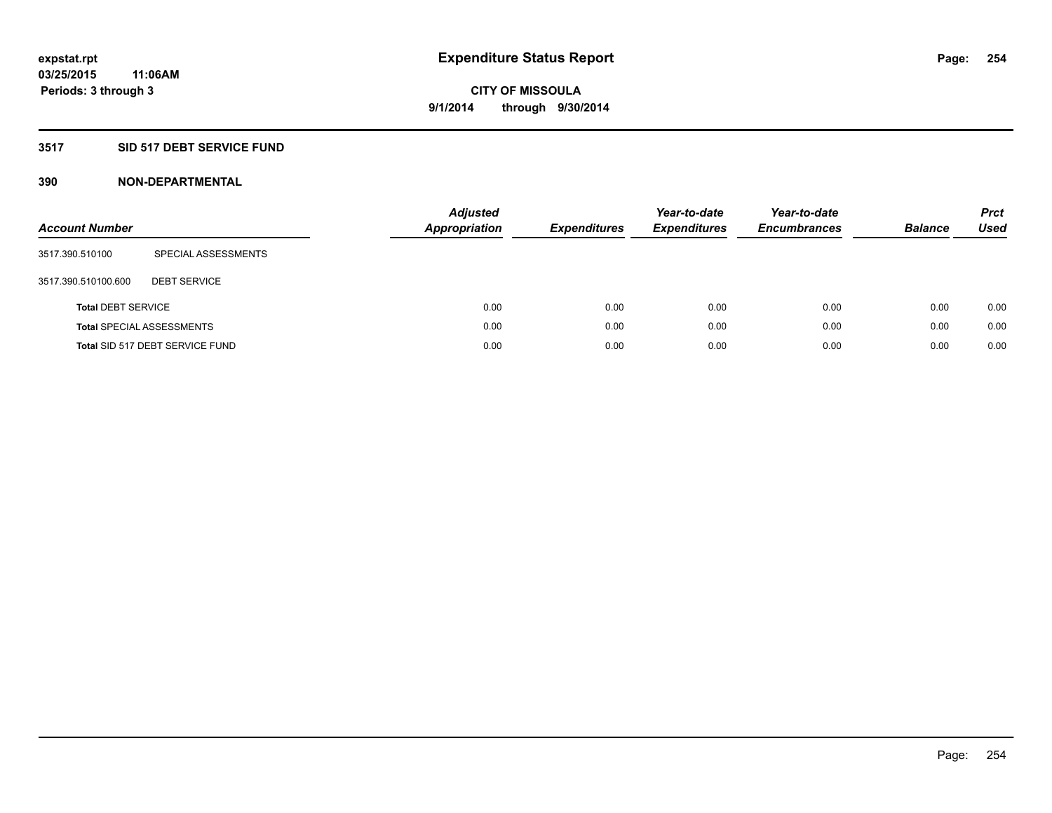### **3517 SID 517 DEBT SERVICE FUND**

| <b>Account Number</b>     |                                  | <b>Adjusted</b><br><b>Appropriation</b> |      | <b>Expenditures</b> | Year-to-date<br><b>Expenditures</b> | Year-to-date<br><b>Encumbrances</b> | <b>Balance</b> | <b>Prct</b><br>Used |
|---------------------------|----------------------------------|-----------------------------------------|------|---------------------|-------------------------------------|-------------------------------------|----------------|---------------------|
| 3517.390.510100           | SPECIAL ASSESSMENTS              |                                         |      |                     |                                     |                                     |                |                     |
| 3517.390.510100.600       | <b>DEBT SERVICE</b>              |                                         |      |                     |                                     |                                     |                |                     |
| <b>Total DEBT SERVICE</b> |                                  |                                         | 0.00 | 0.00                | 0.00                                | 0.00                                | 0.00           | 0.00                |
|                           | <b>Total SPECIAL ASSESSMENTS</b> |                                         | 0.00 | 0.00                | 0.00                                | 0.00                                | 0.00           | 0.00                |
|                           | Total SID 517 DEBT SERVICE FUND  |                                         | 0.00 | 0.00                | 0.00                                | 0.00                                | 0.00           | 0.00                |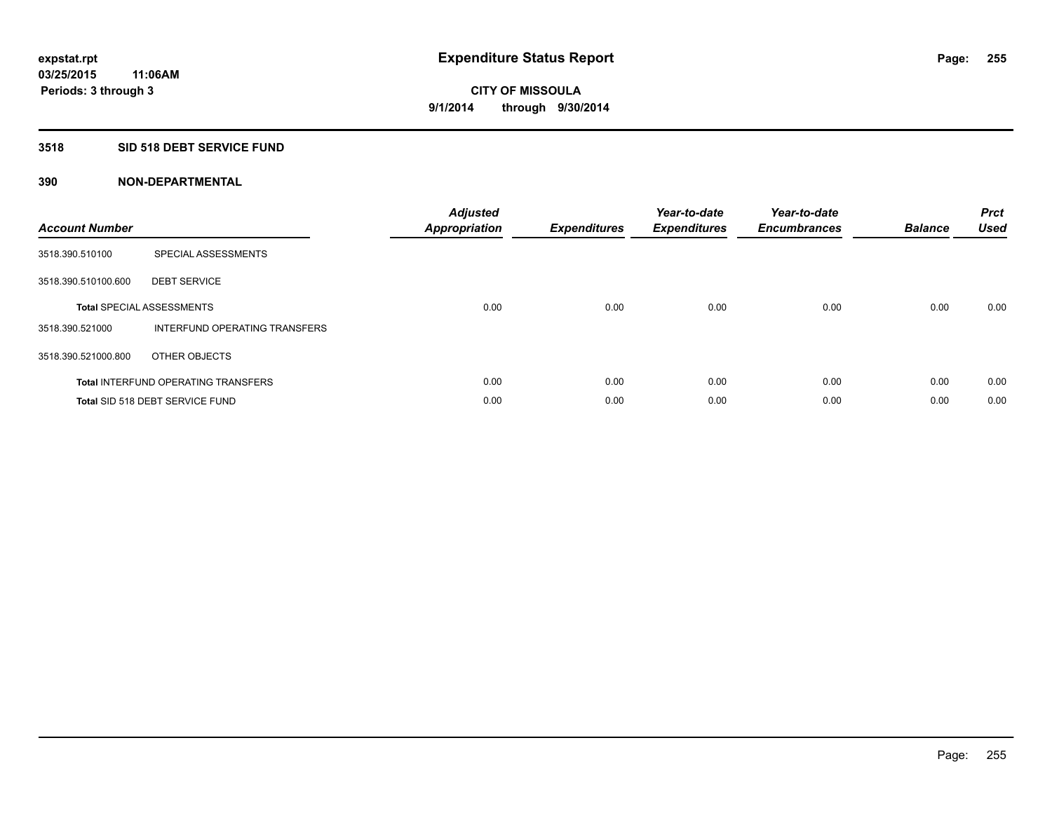### **3518 SID 518 DEBT SERVICE FUND**

| <b>Account Number</b> |                                            | <b>Adjusted</b><br><b>Appropriation</b> | <b>Expenditures</b> | Year-to-date<br><b>Expenditures</b> | Year-to-date<br><b>Encumbrances</b> | <b>Balance</b> | <b>Prct</b><br><b>Used</b> |
|-----------------------|--------------------------------------------|-----------------------------------------|---------------------|-------------------------------------|-------------------------------------|----------------|----------------------------|
| 3518.390.510100       | SPECIAL ASSESSMENTS                        |                                         |                     |                                     |                                     |                |                            |
| 3518.390.510100.600   | <b>DEBT SERVICE</b>                        |                                         |                     |                                     |                                     |                |                            |
|                       | <b>Total SPECIAL ASSESSMENTS</b>           | 0.00                                    | 0.00                | 0.00                                | 0.00                                | 0.00           | 0.00                       |
| 3518.390.521000       | INTERFUND OPERATING TRANSFERS              |                                         |                     |                                     |                                     |                |                            |
| 3518.390.521000.800   | OTHER OBJECTS                              |                                         |                     |                                     |                                     |                |                            |
|                       | <b>Total INTERFUND OPERATING TRANSFERS</b> | 0.00                                    | 0.00                | 0.00                                | 0.00                                | 0.00           | 0.00                       |
|                       | Total SID 518 DEBT SERVICE FUND            | 0.00                                    | 0.00                | 0.00                                | 0.00                                | 0.00           | 0.00                       |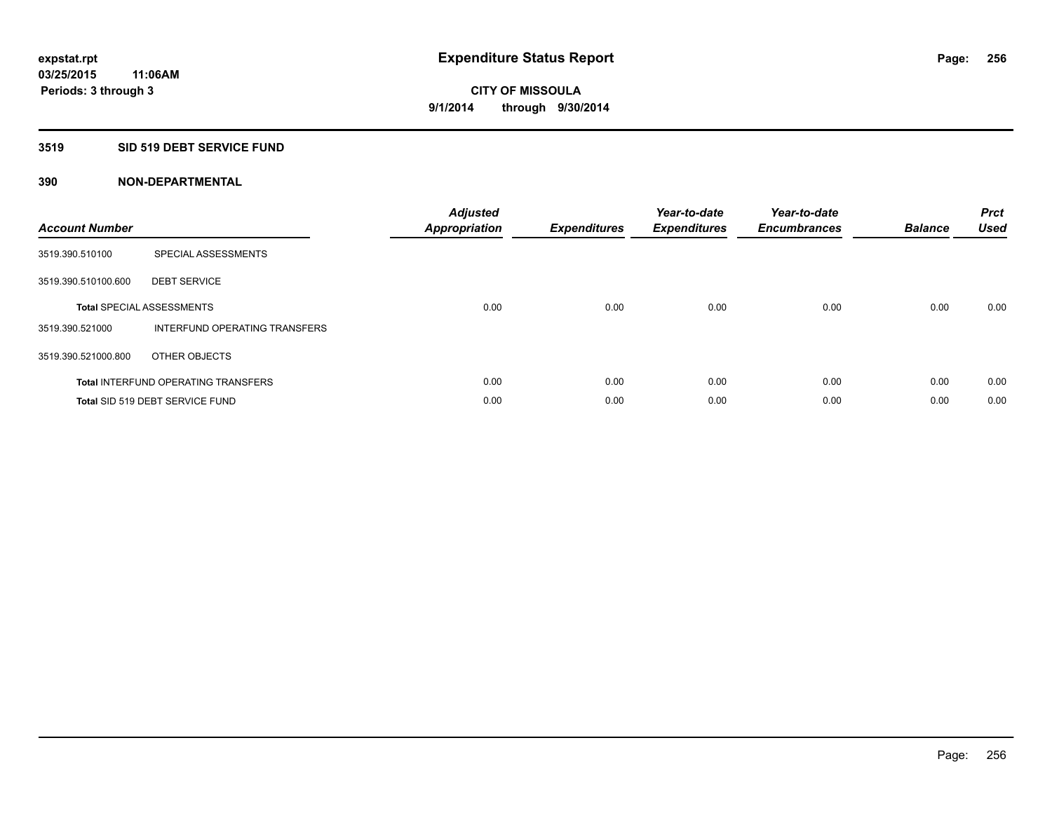### **3519 SID 519 DEBT SERVICE FUND**

| <b>Account Number</b> |                                            | <b>Adjusted</b><br>Appropriation | <b>Expenditures</b> | Year-to-date<br><b>Expenditures</b> | Year-to-date<br><b>Encumbrances</b> | <b>Balance</b> | <b>Prct</b><br><b>Used</b> |
|-----------------------|--------------------------------------------|----------------------------------|---------------------|-------------------------------------|-------------------------------------|----------------|----------------------------|
| 3519.390.510100       | SPECIAL ASSESSMENTS                        |                                  |                     |                                     |                                     |                |                            |
| 3519.390.510100.600   | <b>DEBT SERVICE</b>                        |                                  |                     |                                     |                                     |                |                            |
|                       | <b>Total SPECIAL ASSESSMENTS</b>           | 0.00                             | 0.00                | 0.00                                | 0.00                                | 0.00           | 0.00                       |
| 3519.390.521000       | INTERFUND OPERATING TRANSFERS              |                                  |                     |                                     |                                     |                |                            |
| 3519.390.521000.800   | OTHER OBJECTS                              |                                  |                     |                                     |                                     |                |                            |
|                       | <b>Total INTERFUND OPERATING TRANSFERS</b> | 0.00                             | 0.00                | 0.00                                | 0.00                                | 0.00           | 0.00                       |
|                       | Total SID 519 DEBT SERVICE FUND            | 0.00                             | 0.00                | 0.00                                | 0.00                                | 0.00           | 0.00                       |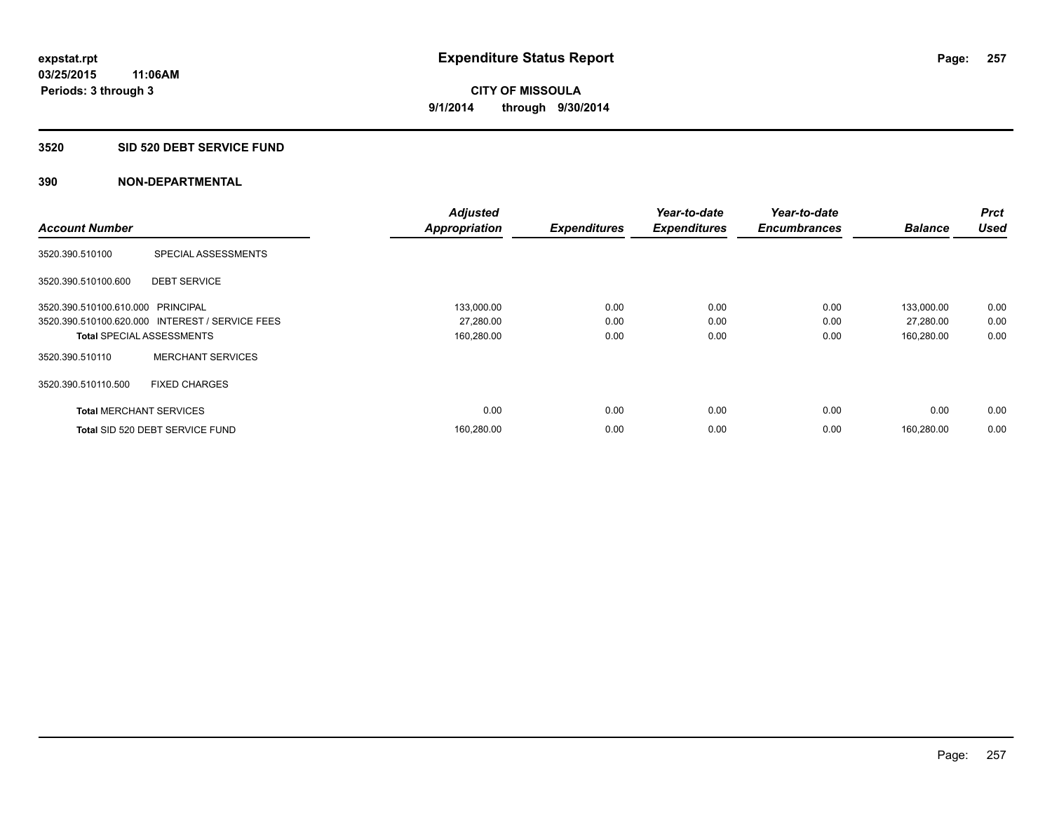#### **3520 SID 520 DEBT SERVICE FUND**

| <b>Account Number</b>             |                                                 | <b>Adjusted</b>      |                     | Year-to-date        | Year-to-date<br><b>Encumbrances</b> | <b>Balance</b> | <b>Prct</b><br><b>Used</b> |
|-----------------------------------|-------------------------------------------------|----------------------|---------------------|---------------------|-------------------------------------|----------------|----------------------------|
|                                   |                                                 | <b>Appropriation</b> | <b>Expenditures</b> | <b>Expenditures</b> |                                     |                |                            |
| 3520.390.510100                   | SPECIAL ASSESSMENTS                             |                      |                     |                     |                                     |                |                            |
| 3520.390.510100.600               | <b>DEBT SERVICE</b>                             |                      |                     |                     |                                     |                |                            |
| 3520.390.510100.610.000 PRINCIPAL |                                                 | 133,000.00           | 0.00                | 0.00                | 0.00                                | 133,000.00     | 0.00                       |
|                                   | 3520.390.510100.620.000 INTEREST / SERVICE FEES | 27,280.00            | 0.00                | 0.00                | 0.00                                | 27,280.00      | 0.00                       |
| <b>Total SPECIAL ASSESSMENTS</b>  |                                                 | 160,280.00           | 0.00                | 0.00                | 0.00                                | 160,280.00     | 0.00                       |
| 3520.390.510110                   | <b>MERCHANT SERVICES</b>                        |                      |                     |                     |                                     |                |                            |
| 3520.390.510110.500               | <b>FIXED CHARGES</b>                            |                      |                     |                     |                                     |                |                            |
| <b>Total MERCHANT SERVICES</b>    |                                                 | 0.00                 | 0.00                | 0.00                | 0.00                                | 0.00           | 0.00                       |
|                                   | Total SID 520 DEBT SERVICE FUND                 | 160,280.00           | 0.00                | 0.00                | 0.00                                | 160.280.00     | 0.00                       |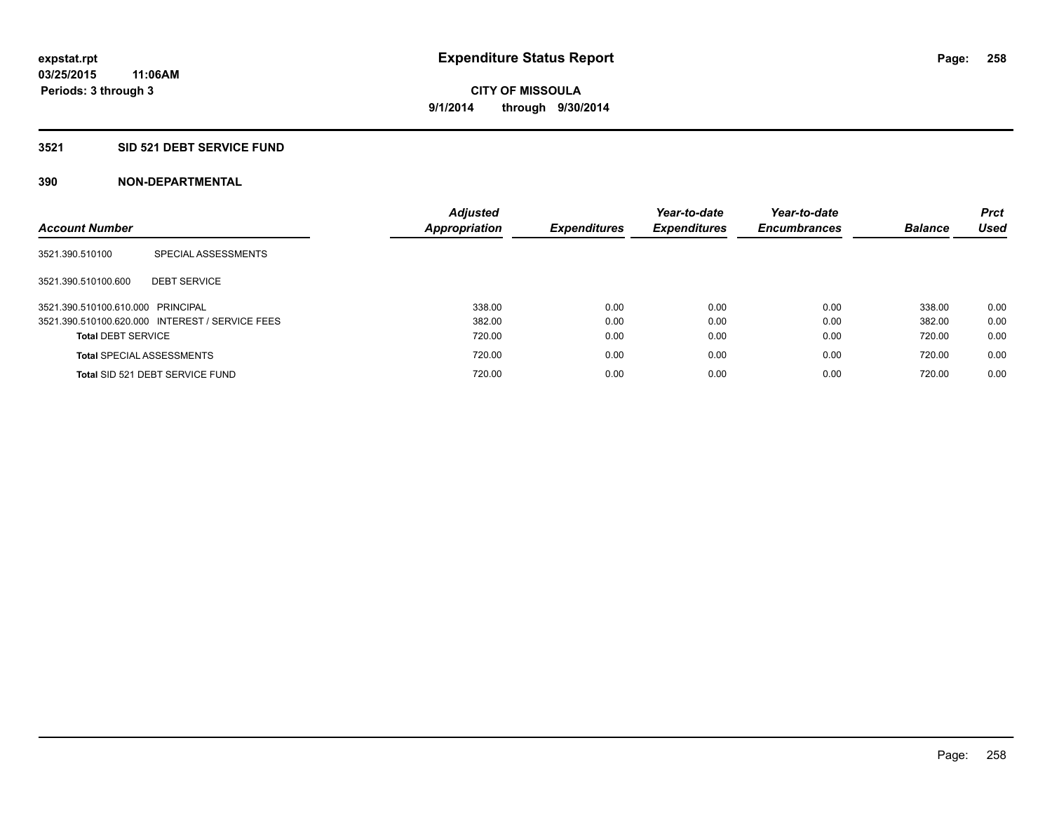#### **3521 SID 521 DEBT SERVICE FUND**

| <b>Account Number</b>             |                                                 | <b>Adjusted</b><br>Appropriation | <b>Expenditures</b> | Year-to-date<br><b>Expenditures</b> | Year-to-date<br><b>Encumbrances</b> | <b>Balance</b> | <b>Prct</b><br>Used |
|-----------------------------------|-------------------------------------------------|----------------------------------|---------------------|-------------------------------------|-------------------------------------|----------------|---------------------|
| 3521.390.510100                   | SPECIAL ASSESSMENTS                             |                                  |                     |                                     |                                     |                |                     |
| 3521.390.510100.600               | <b>DEBT SERVICE</b>                             |                                  |                     |                                     |                                     |                |                     |
| 3521.390.510100.610.000 PRINCIPAL |                                                 | 338.00                           | 0.00                | 0.00                                | 0.00                                | 338.00         | 0.00                |
|                                   | 3521.390.510100.620.000 INTEREST / SERVICE FEES | 382.00                           | 0.00                | 0.00                                | 0.00                                | 382.00         | 0.00                |
| <b>Total DEBT SERVICE</b>         |                                                 | 720.00                           | 0.00                | 0.00                                | 0.00                                | 720.00         | 0.00                |
|                                   | <b>Total SPECIAL ASSESSMENTS</b>                | 720.00                           | 0.00                | 0.00                                | 0.00                                | 720.00         | 0.00                |
|                                   | Total SID 521 DEBT SERVICE FUND                 | 720.00                           | 0.00                | 0.00                                | 0.00                                | 720.00         | 0.00                |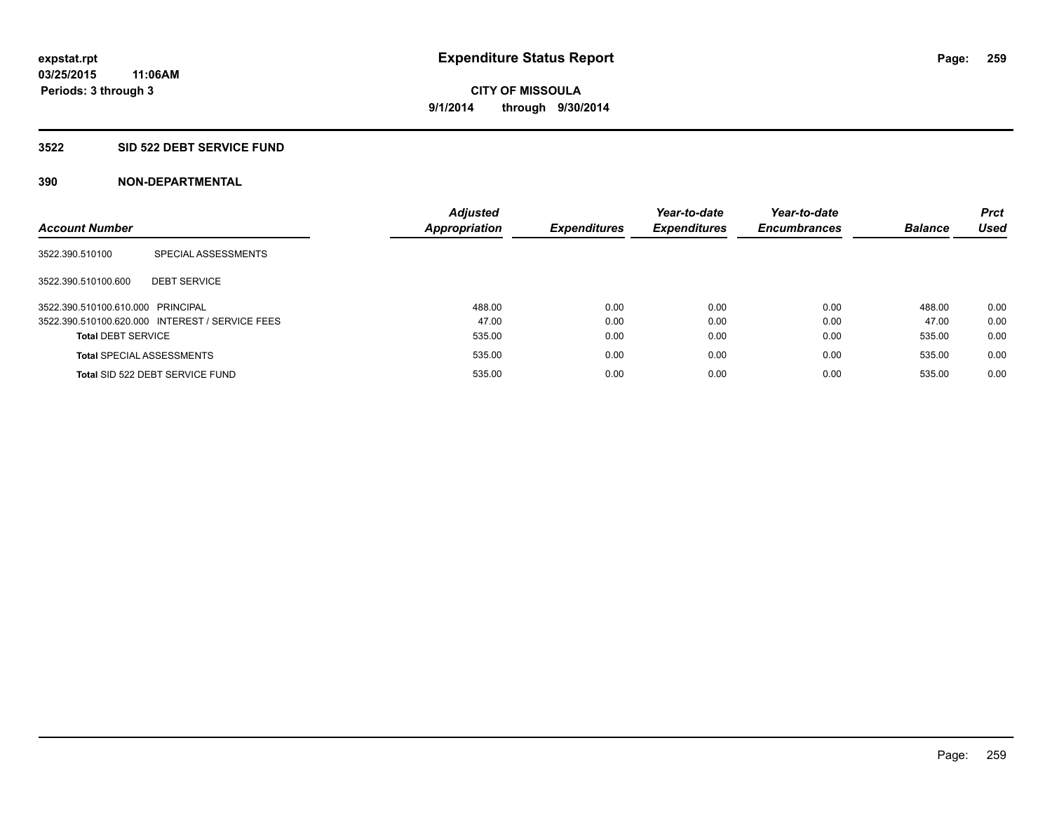#### **3522 SID 522 DEBT SERVICE FUND**

| <b>Account Number</b>             |                                                 | <b>Adjusted</b><br><b>Appropriation</b> | <b>Expenditures</b> | Year-to-date<br><b>Expenditures</b> | Year-to-date<br><b>Encumbrances</b> | <b>Balance</b> | <b>Prct</b><br><b>Used</b> |
|-----------------------------------|-------------------------------------------------|-----------------------------------------|---------------------|-------------------------------------|-------------------------------------|----------------|----------------------------|
|                                   |                                                 |                                         |                     |                                     |                                     |                |                            |
| 3522.390.510100                   | SPECIAL ASSESSMENTS                             |                                         |                     |                                     |                                     |                |                            |
| 3522.390.510100.600               | <b>DEBT SERVICE</b>                             |                                         |                     |                                     |                                     |                |                            |
| 3522.390.510100.610.000 PRINCIPAL |                                                 | 488.00                                  | 0.00                | 0.00                                | 0.00                                | 488.00         | 0.00                       |
|                                   | 3522.390.510100.620.000 INTEREST / SERVICE FEES | 47.00                                   | 0.00                | 0.00                                | 0.00                                | 47.00          | 0.00                       |
| <b>Total DEBT SERVICE</b>         |                                                 | 535.00                                  | 0.00                | 0.00                                | 0.00                                | 535.00         | 0.00                       |
|                                   | <b>Total SPECIAL ASSESSMENTS</b>                | 535.00                                  | 0.00                | 0.00                                | 0.00                                | 535.00         | 0.00                       |
|                                   | Total SID 522 DEBT SERVICE FUND                 | 535.00                                  | 0.00                | 0.00                                | 0.00                                | 535.00         | 0.00                       |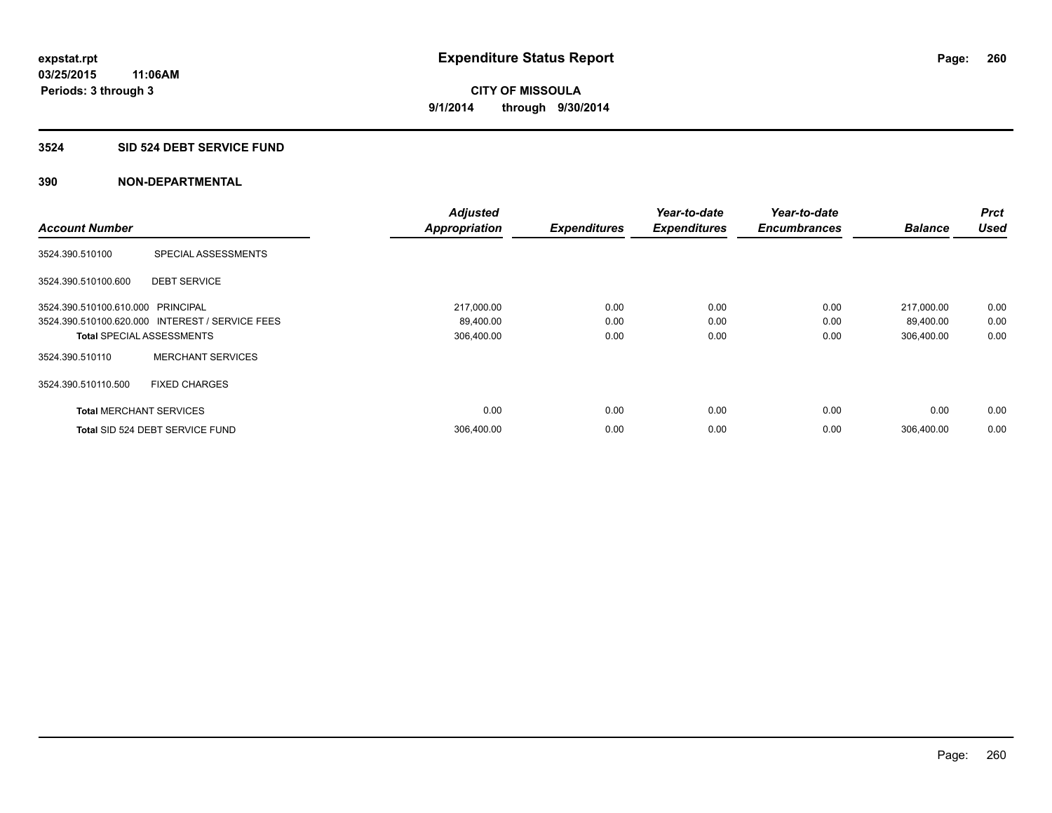#### **3524 SID 524 DEBT SERVICE FUND**

|                                   |                                                 | <b>Adjusted</b>      |                     | Year-to-date        | Year-to-date        |                | <b>Prct</b> |
|-----------------------------------|-------------------------------------------------|----------------------|---------------------|---------------------|---------------------|----------------|-------------|
| <b>Account Number</b>             |                                                 | <b>Appropriation</b> | <b>Expenditures</b> | <b>Expenditures</b> | <b>Encumbrances</b> | <b>Balance</b> | <b>Used</b> |
| 3524.390.510100                   | SPECIAL ASSESSMENTS                             |                      |                     |                     |                     |                |             |
| 3524.390.510100.600               | <b>DEBT SERVICE</b>                             |                      |                     |                     |                     |                |             |
| 3524.390.510100.610.000 PRINCIPAL |                                                 | 217,000.00           | 0.00                | 0.00                | 0.00                | 217,000.00     | 0.00        |
|                                   | 3524.390.510100.620.000 INTEREST / SERVICE FEES | 89,400.00            | 0.00                | 0.00                | 0.00                | 89,400.00      | 0.00        |
| <b>Total SPECIAL ASSESSMENTS</b>  |                                                 | 306,400.00           | 0.00                | 0.00                | 0.00                | 306,400.00     | 0.00        |
| 3524.390.510110                   | <b>MERCHANT SERVICES</b>                        |                      |                     |                     |                     |                |             |
| 3524.390.510110.500               | <b>FIXED CHARGES</b>                            |                      |                     |                     |                     |                |             |
| <b>Total MERCHANT SERVICES</b>    |                                                 | 0.00                 | 0.00                | 0.00                | 0.00                | 0.00           | 0.00        |
|                                   | Total SID 524 DEBT SERVICE FUND                 | 306,400.00           | 0.00                | 0.00                | 0.00                | 306.400.00     | 0.00        |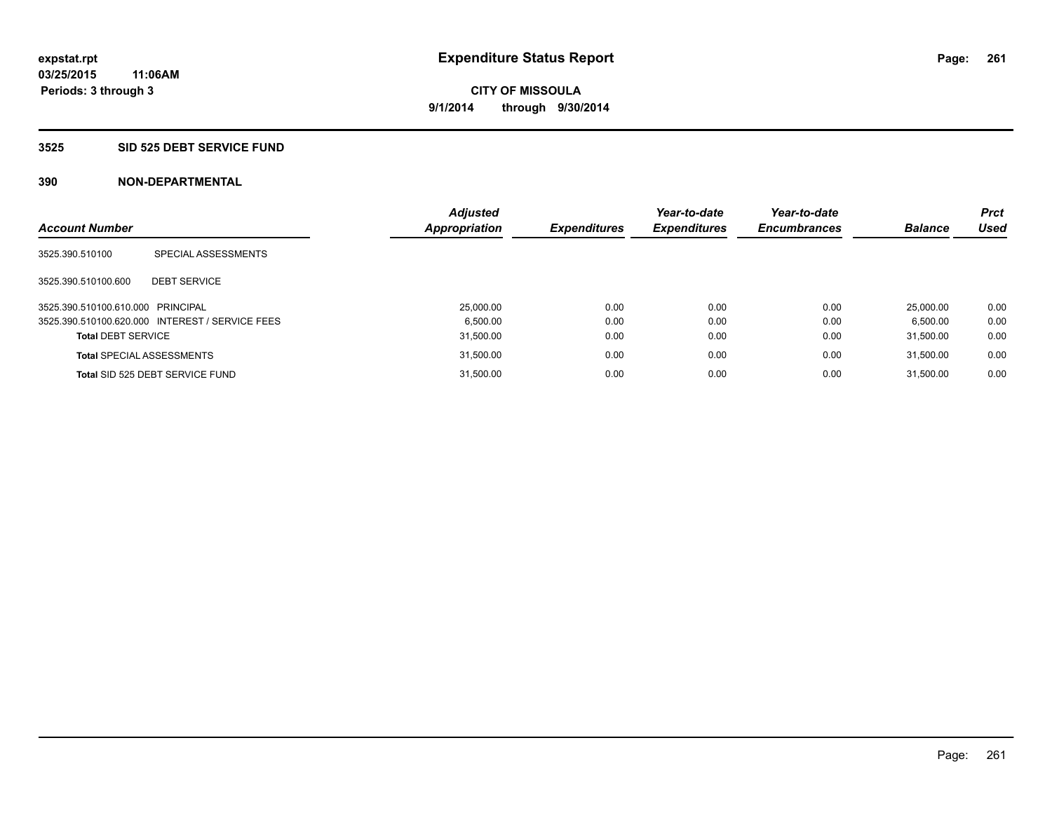#### **3525 SID 525 DEBT SERVICE FUND**

| <b>Account Number</b>             |                                                 | <b>Adjusted</b><br>Appropriation | <b>Expenditures</b> | Year-to-date<br><b>Expenditures</b> | Year-to-date<br><b>Encumbrances</b> | <b>Balance</b> | <b>Prct</b><br><b>Used</b> |
|-----------------------------------|-------------------------------------------------|----------------------------------|---------------------|-------------------------------------|-------------------------------------|----------------|----------------------------|
| 3525.390.510100                   | SPECIAL ASSESSMENTS                             |                                  |                     |                                     |                                     |                |                            |
| 3525.390.510100.600               | <b>DEBT SERVICE</b>                             |                                  |                     |                                     |                                     |                |                            |
| 3525.390.510100.610.000 PRINCIPAL |                                                 | 25,000.00                        | 0.00                | 0.00                                | 0.00                                | 25,000.00      | 0.00                       |
|                                   | 3525.390.510100.620.000 INTEREST / SERVICE FEES | 6.500.00                         | 0.00                | 0.00                                | 0.00                                | 6.500.00       | 0.00                       |
| <b>Total DEBT SERVICE</b>         |                                                 | 31,500.00                        | 0.00                | 0.00                                | 0.00                                | 31.500.00      | 0.00                       |
|                                   | <b>Total SPECIAL ASSESSMENTS</b>                | 31,500.00                        | 0.00                | 0.00                                | 0.00                                | 31.500.00      | 0.00                       |
|                                   | Total SID 525 DEBT SERVICE FUND                 | 31.500.00                        | 0.00                | 0.00                                | 0.00                                | 31.500.00      | 0.00                       |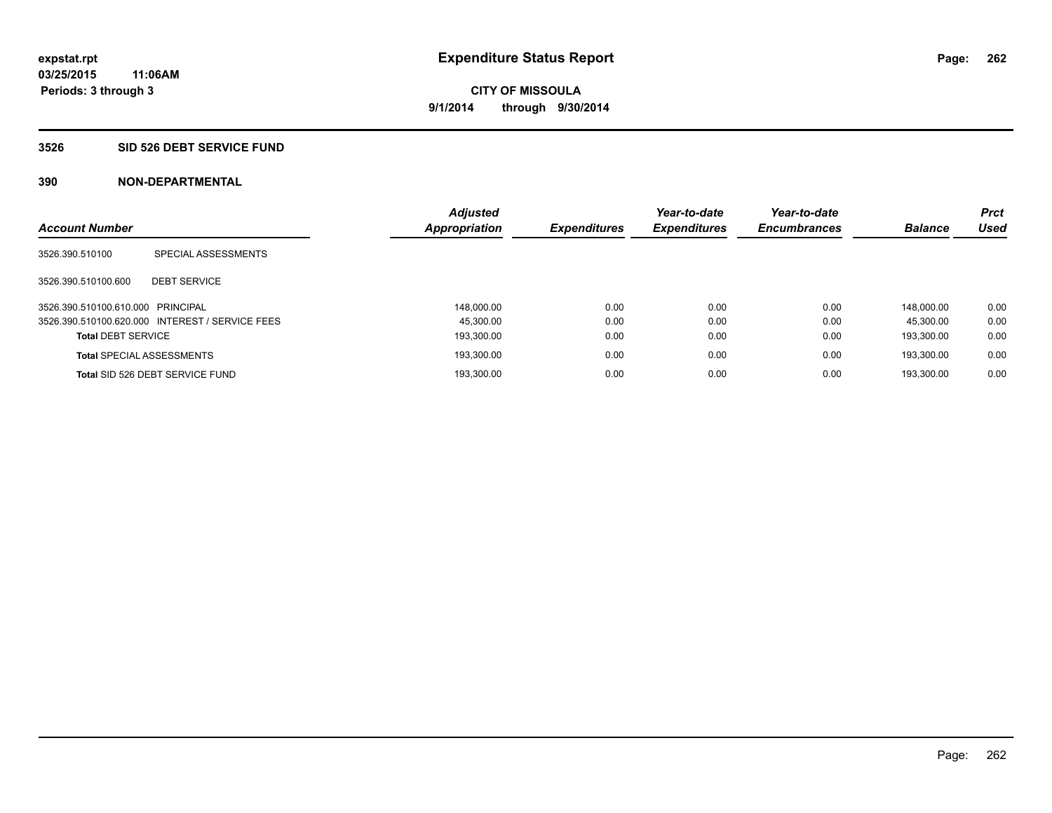#### **3526 SID 526 DEBT SERVICE FUND**

| <b>Account Number</b>             |                                                 | <b>Adjusted</b><br>Appropriation | <b>Expenditures</b> | Year-to-date<br><b>Expenditures</b> | Year-to-date<br><b>Encumbrances</b> | <b>Balance</b> | <b>Prct</b><br><b>Used</b> |
|-----------------------------------|-------------------------------------------------|----------------------------------|---------------------|-------------------------------------|-------------------------------------|----------------|----------------------------|
|                                   |                                                 |                                  |                     |                                     |                                     |                |                            |
| 3526.390.510100                   | SPECIAL ASSESSMENTS                             |                                  |                     |                                     |                                     |                |                            |
|                                   |                                                 |                                  |                     |                                     |                                     |                |                            |
| 3526.390.510100.600               | <b>DEBT SERVICE</b>                             |                                  |                     |                                     |                                     |                |                            |
| 3526.390.510100.610.000 PRINCIPAL |                                                 | 148.000.00                       | 0.00                | 0.00                                | 0.00                                | 148.000.00     | 0.00                       |
|                                   | 3526.390.510100.620.000 INTEREST / SERVICE FEES | 45.300.00                        | 0.00                | 0.00                                | 0.00                                | 45.300.00      | 0.00                       |
| <b>Total DEBT SERVICE</b>         |                                                 | 193.300.00                       | 0.00                | 0.00                                | 0.00                                | 193.300.00     | 0.00                       |
|                                   | <b>Total SPECIAL ASSESSMENTS</b>                | 193,300.00                       | 0.00                | 0.00                                | 0.00                                | 193.300.00     | 0.00                       |
|                                   | Total SID 526 DEBT SERVICE FUND                 | 193.300.00                       | 0.00                | 0.00                                | 0.00                                | 193.300.00     | 0.00                       |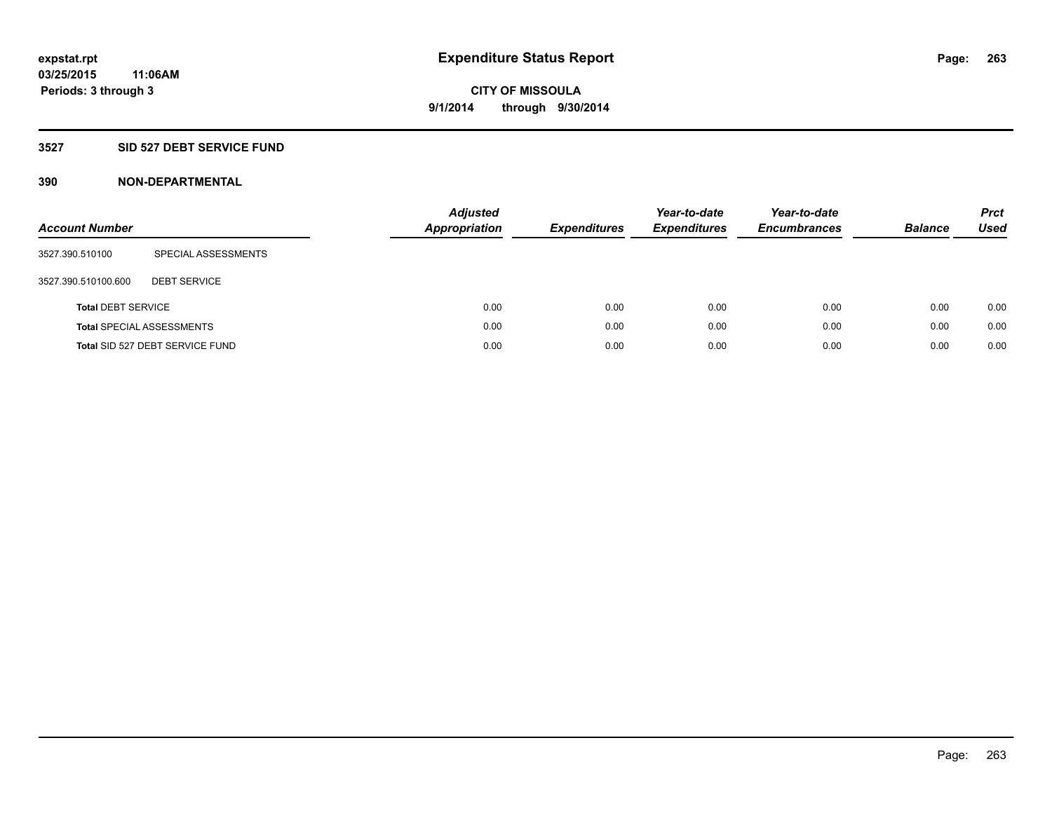### **3527 SID 527 DEBT SERVICE FUND**

| <b>Account Number</b>     |                                  | Adjusted<br><b>Appropriation</b> | <b>Expenditures</b> | Year-to-date<br><b>Expenditures</b> | Year-to-date<br><b>Encumbrances</b> | <b>Balance</b> | <b>Prct</b><br>Used |
|---------------------------|----------------------------------|----------------------------------|---------------------|-------------------------------------|-------------------------------------|----------------|---------------------|
| 3527.390.510100           | SPECIAL ASSESSMENTS              |                                  |                     |                                     |                                     |                |                     |
| 3527.390.510100.600       | <b>DEBT SERVICE</b>              |                                  |                     |                                     |                                     |                |                     |
| <b>Total DEBT SERVICE</b> |                                  | 0.00                             | 0.00                | 0.00                                | 0.00                                | 0.00           | 0.00                |
|                           | <b>Total SPECIAL ASSESSMENTS</b> | 0.00                             | 0.00                | 0.00                                | 0.00                                | 0.00           | 0.00                |
|                           | Total SID 527 DEBT SERVICE FUND  | 0.00                             | 0.00                | 0.00                                | 0.00                                | 0.00           | 0.00                |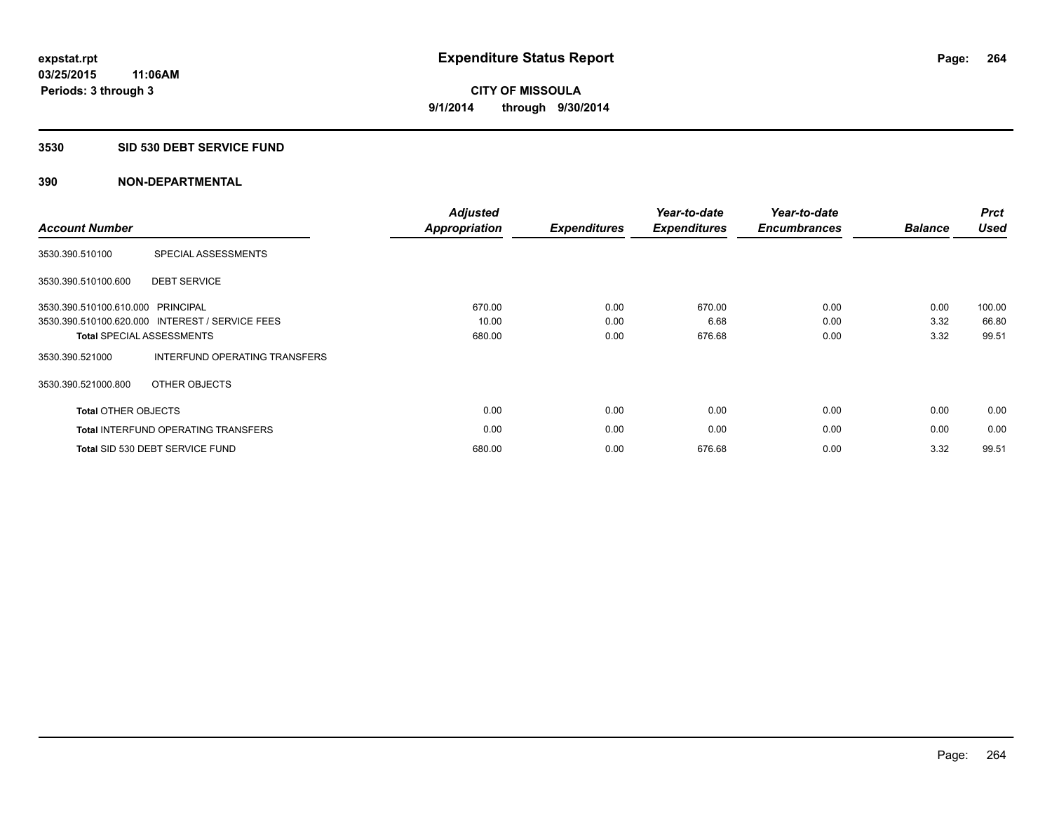#### **3530 SID 530 DEBT SERVICE FUND**

| <b>Account Number</b>      |                                                 | <b>Adjusted</b><br>Appropriation | <b>Expenditures</b> | Year-to-date<br><b>Expenditures</b> | Year-to-date<br><b>Encumbrances</b> | <b>Balance</b> | <b>Prct</b><br><b>Used</b> |
|----------------------------|-------------------------------------------------|----------------------------------|---------------------|-------------------------------------|-------------------------------------|----------------|----------------------------|
| 3530.390.510100            | SPECIAL ASSESSMENTS                             |                                  |                     |                                     |                                     |                |                            |
| 3530.390.510100.600        | <b>DEBT SERVICE</b>                             |                                  |                     |                                     |                                     |                |                            |
| 3530.390.510100.610.000    | PRINCIPAL                                       | 670.00                           | 0.00                | 670.00                              | 0.00                                | 0.00           | 100.00                     |
|                            | 3530.390.510100.620.000 INTEREST / SERVICE FEES | 10.00                            | 0.00                | 6.68                                | 0.00                                | 3.32           | 66.80                      |
|                            | <b>Total SPECIAL ASSESSMENTS</b>                | 680.00                           | 0.00                | 676.68                              | 0.00                                | 3.32           | 99.51                      |
| 3530.390.521000            | INTERFUND OPERATING TRANSFERS                   |                                  |                     |                                     |                                     |                |                            |
| 3530.390.521000.800        | OTHER OBJECTS                                   |                                  |                     |                                     |                                     |                |                            |
| <b>Total OTHER OBJECTS</b> |                                                 | 0.00                             | 0.00                | 0.00                                | 0.00                                | 0.00           | 0.00                       |
|                            | <b>Total INTERFUND OPERATING TRANSFERS</b>      | 0.00                             | 0.00                | 0.00                                | 0.00                                | 0.00           | 0.00                       |
|                            | Total SID 530 DEBT SERVICE FUND                 | 680.00                           | 0.00                | 676.68                              | 0.00                                | 3.32           | 99.51                      |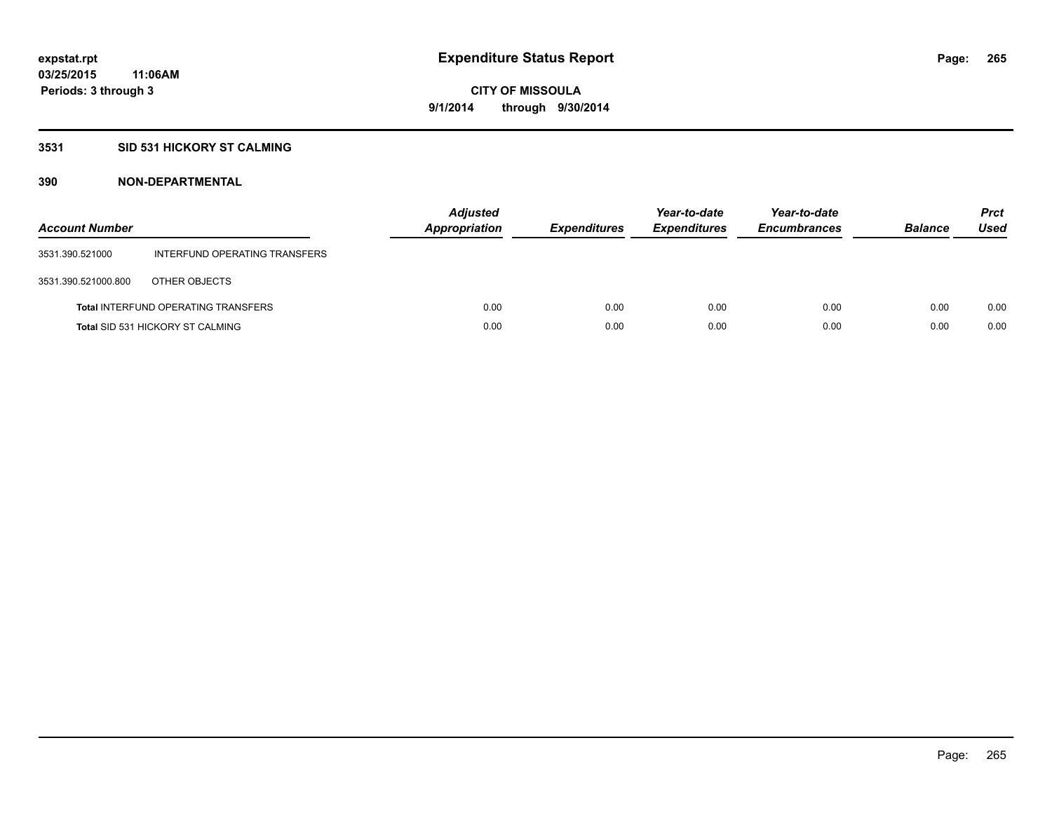### **3531 SID 531 HICKORY ST CALMING**

| <b>Account Number</b> |                                            | <b>Adjusted</b><br>Appropriation | <b>Expenditures</b> | Year-to-date<br><b>Expenditures</b> | Year-to-date<br><b>Encumbrances</b> | <b>Balance</b> | <b>Prct</b><br>Used |
|-----------------------|--------------------------------------------|----------------------------------|---------------------|-------------------------------------|-------------------------------------|----------------|---------------------|
| 3531.390.521000       | INTERFUND OPERATING TRANSFERS              |                                  |                     |                                     |                                     |                |                     |
| 3531.390.521000.800   | OTHER OBJECTS                              |                                  |                     |                                     |                                     |                |                     |
|                       | <b>Total INTERFUND OPERATING TRANSFERS</b> | 0.00                             | 0.00                | 0.00                                | 0.00                                | 0.00           | 0.00                |
|                       | <b>Total SID 531 HICKORY ST CALMING</b>    | 0.00                             | 0.00                | 0.00                                | 0.00                                | 0.00           | 0.00                |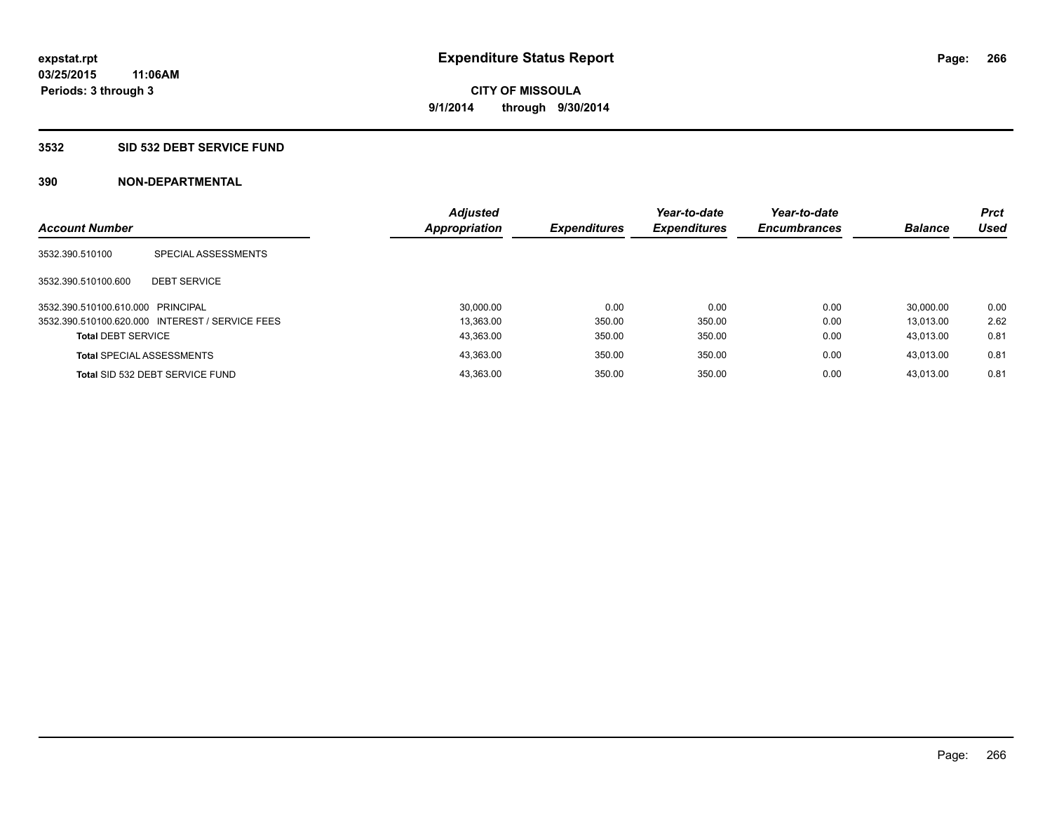#### **3532 SID 532 DEBT SERVICE FUND**

| <b>Account Number</b>             |                                                 | <b>Adjusted</b><br><b>Appropriation</b> | <b>Expenditures</b> | Year-to-date<br><b>Expenditures</b> | Year-to-date<br><b>Encumbrances</b> | <b>Balance</b> | <b>Prct</b><br>Used |
|-----------------------------------|-------------------------------------------------|-----------------------------------------|---------------------|-------------------------------------|-------------------------------------|----------------|---------------------|
| 3532.390.510100                   | SPECIAL ASSESSMENTS                             |                                         |                     |                                     |                                     |                |                     |
| 3532.390.510100.600               | <b>DEBT SERVICE</b>                             |                                         |                     |                                     |                                     |                |                     |
| 3532.390.510100.610.000 PRINCIPAL |                                                 | 30.000.00                               | 0.00                | 0.00                                | 0.00                                | 30.000.00      | 0.00                |
|                                   | 3532.390.510100.620.000 INTEREST / SERVICE FEES | 13.363.00                               | 350.00              | 350.00                              | 0.00                                | 13.013.00      | 2.62                |
| <b>Total DEBT SERVICE</b>         |                                                 | 43,363.00                               | 350.00              | 350.00                              | 0.00                                | 43.013.00      | 0.81                |
|                                   | <b>Total SPECIAL ASSESSMENTS</b>                | 43,363.00                               | 350.00              | 350.00                              | 0.00                                | 43.013.00      | 0.81                |
|                                   | Total SID 532 DEBT SERVICE FUND                 | 43.363.00                               | 350.00              | 350.00                              | 0.00                                | 43.013.00      | 0.81                |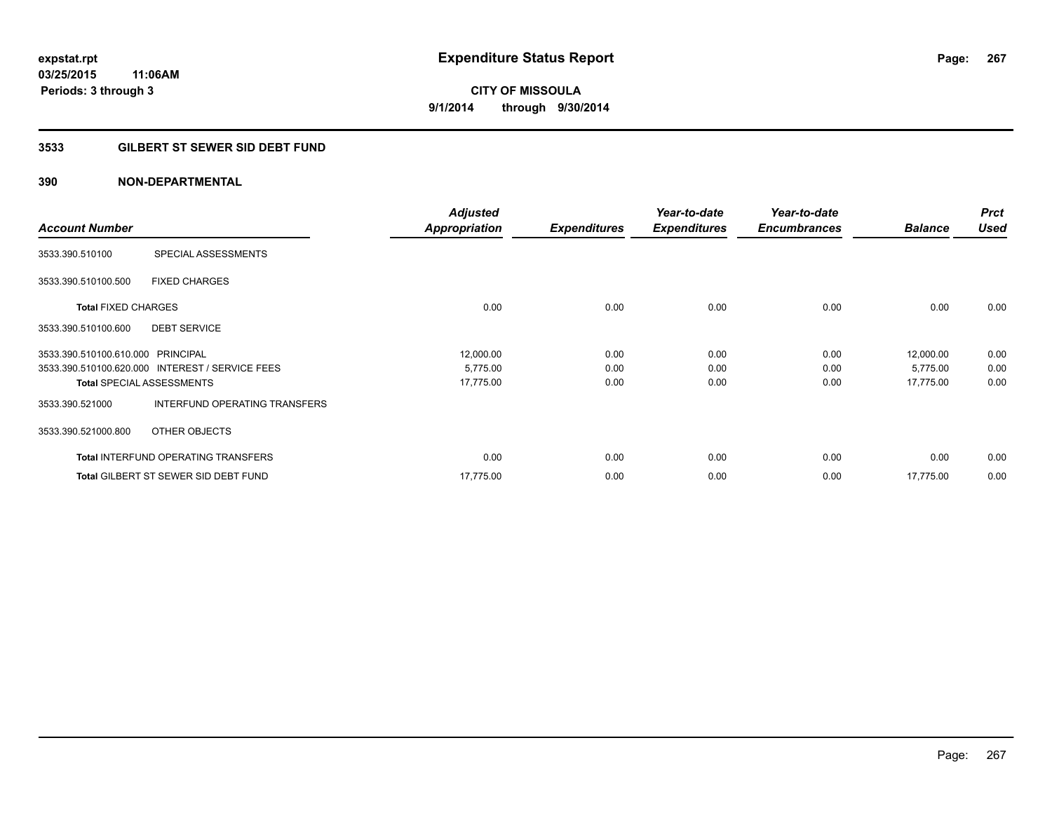### **3533 GILBERT ST SEWER SID DEBT FUND**

|                                   |                                                 | <b>Adjusted</b>      |                     | Year-to-date        | Year-to-date        |                | <b>Prct</b> |
|-----------------------------------|-------------------------------------------------|----------------------|---------------------|---------------------|---------------------|----------------|-------------|
| <b>Account Number</b>             |                                                 | <b>Appropriation</b> | <b>Expenditures</b> | <b>Expenditures</b> | <b>Encumbrances</b> | <b>Balance</b> | <b>Used</b> |
| 3533.390.510100                   | SPECIAL ASSESSMENTS                             |                      |                     |                     |                     |                |             |
| 3533.390.510100.500               | <b>FIXED CHARGES</b>                            |                      |                     |                     |                     |                |             |
| <b>Total FIXED CHARGES</b>        |                                                 | 0.00                 | 0.00                | 0.00                | 0.00                | 0.00           | 0.00        |
| 3533.390.510100.600               | <b>DEBT SERVICE</b>                             |                      |                     |                     |                     |                |             |
| 3533.390.510100.610.000 PRINCIPAL |                                                 | 12,000.00            | 0.00                | 0.00                | 0.00                | 12,000.00      | 0.00        |
|                                   | 3533.390.510100.620.000 INTEREST / SERVICE FEES | 5,775.00             | 0.00                | 0.00                | 0.00                | 5,775.00       | 0.00        |
|                                   | <b>Total SPECIAL ASSESSMENTS</b>                | 17,775.00            | 0.00                | 0.00                | 0.00                | 17,775.00      | 0.00        |
| 3533.390.521000                   | INTERFUND OPERATING TRANSFERS                   |                      |                     |                     |                     |                |             |
| 3533.390.521000.800               | OTHER OBJECTS                                   |                      |                     |                     |                     |                |             |
|                                   | <b>Total INTERFUND OPERATING TRANSFERS</b>      | 0.00                 | 0.00                | 0.00                | 0.00                | 0.00           | 0.00        |
|                                   | <b>Total GILBERT ST SEWER SID DEBT FUND</b>     | 17.775.00            | 0.00                | 0.00                | 0.00                | 17,775.00      | 0.00        |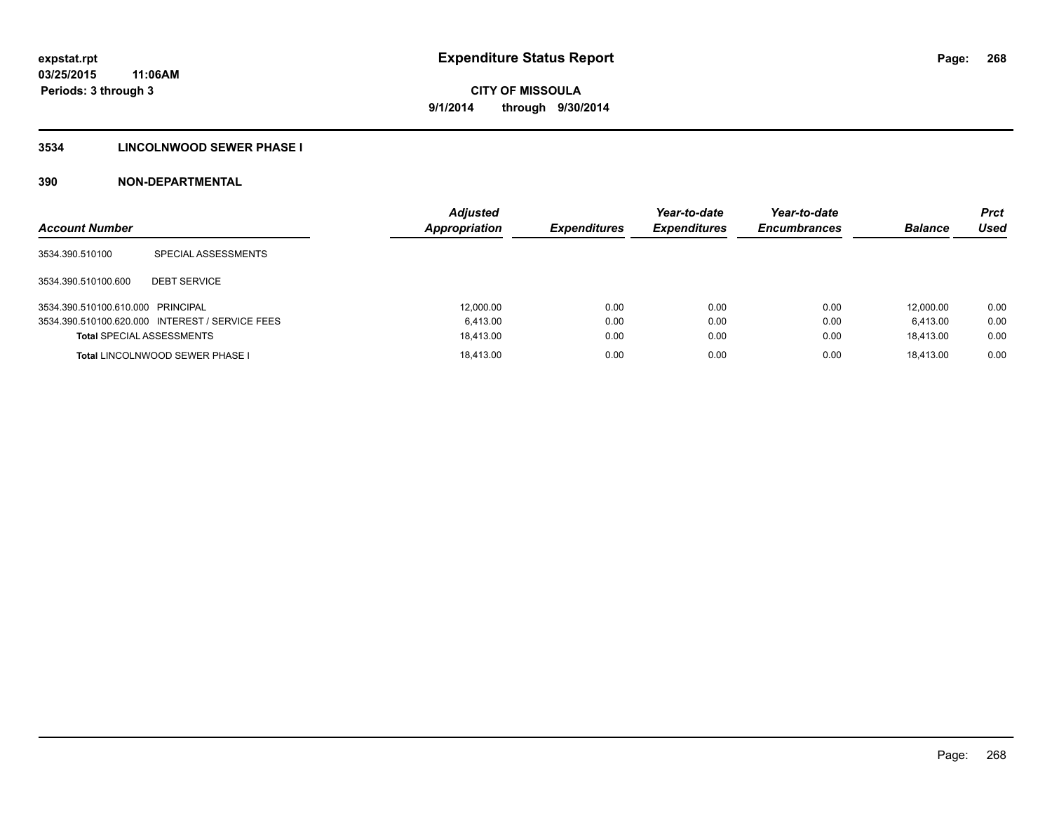### **3534 LINCOLNWOOD SEWER PHASE I**

| <b>Account Number</b>             |                                                 | <b>Adjusted</b><br><b>Appropriation</b> | <b>Expenditures</b> | Year-to-date<br><b>Expenditures</b> | Year-to-date<br><b>Encumbrances</b> | <b>Balance</b> | Prct<br>Used |
|-----------------------------------|-------------------------------------------------|-----------------------------------------|---------------------|-------------------------------------|-------------------------------------|----------------|--------------|
| 3534.390.510100                   | SPECIAL ASSESSMENTS                             |                                         |                     |                                     |                                     |                |              |
| 3534.390.510100.600               | <b>DEBT SERVICE</b>                             |                                         |                     |                                     |                                     |                |              |
| 3534.390.510100.610.000 PRINCIPAL |                                                 | 12.000.00                               | 0.00                | 0.00                                | 0.00                                | 12.000.00      | 0.00         |
|                                   | 3534.390.510100.620.000 INTEREST / SERVICE FEES | 6.413.00                                | 0.00                | 0.00                                | 0.00                                | 6.413.00       | 0.00         |
| <b>Total SPECIAL ASSESSMENTS</b>  |                                                 | 18.413.00                               | 0.00                | 0.00                                | 0.00                                | 18.413.00      | 0.00         |
|                                   | Total LINCOLNWOOD SEWER PHASE I                 | 18.413.00                               | 0.00                | 0.00                                | 0.00                                | 18.413.00      | 0.00         |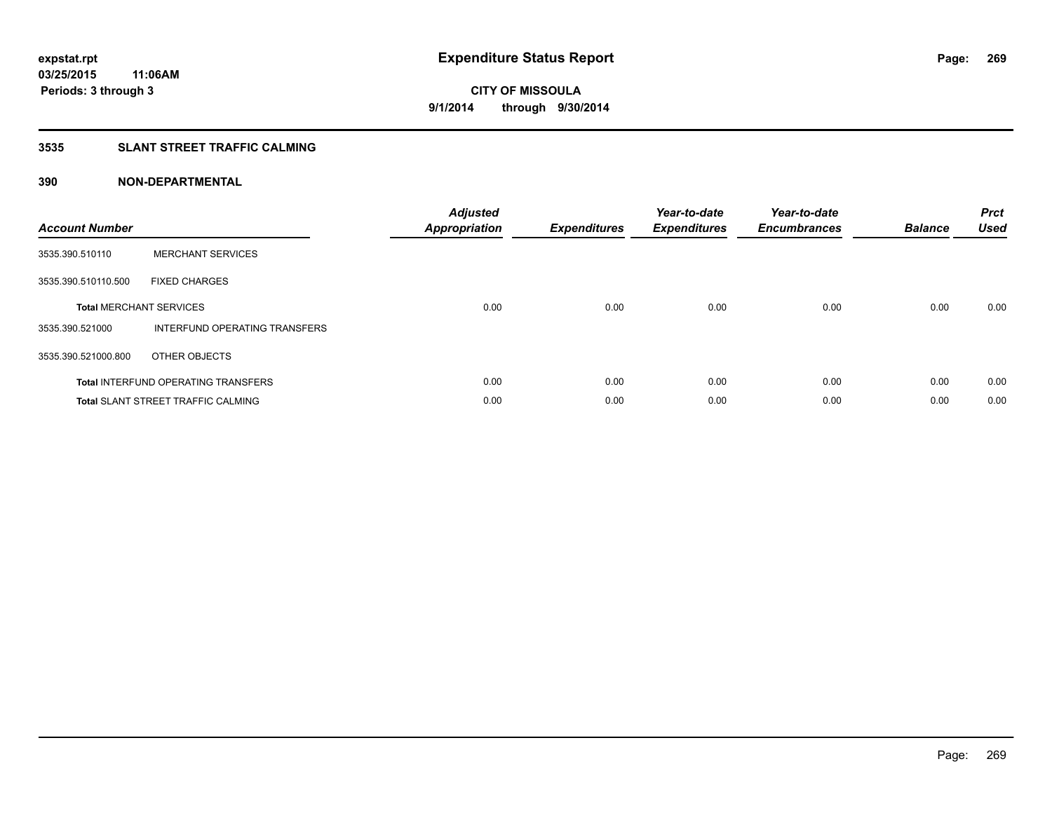### **3535 SLANT STREET TRAFFIC CALMING**

| <b>Account Number</b> |                                            | <b>Adjusted</b><br><b>Appropriation</b> | <b>Expenditures</b> | Year-to-date<br><b>Expenditures</b> | Year-to-date<br><b>Encumbrances</b> | <b>Balance</b> | <b>Prct</b><br>Used |
|-----------------------|--------------------------------------------|-----------------------------------------|---------------------|-------------------------------------|-------------------------------------|----------------|---------------------|
| 3535.390.510110       | <b>MERCHANT SERVICES</b>                   |                                         |                     |                                     |                                     |                |                     |
| 3535.390.510110.500   | <b>FIXED CHARGES</b>                       |                                         |                     |                                     |                                     |                |                     |
|                       | <b>Total MERCHANT SERVICES</b>             | 0.00                                    | 0.00                | 0.00                                | 0.00                                | 0.00           | 0.00                |
| 3535.390.521000       | INTERFUND OPERATING TRANSFERS              |                                         |                     |                                     |                                     |                |                     |
| 3535.390.521000.800   | OTHER OBJECTS                              |                                         |                     |                                     |                                     |                |                     |
|                       | <b>Total INTERFUND OPERATING TRANSFERS</b> | 0.00                                    | 0.00                | 0.00                                | 0.00                                | 0.00           | 0.00                |
|                       | <b>Total SLANT STREET TRAFFIC CALMING</b>  | 0.00                                    | 0.00                | 0.00                                | 0.00                                | 0.00           | 0.00                |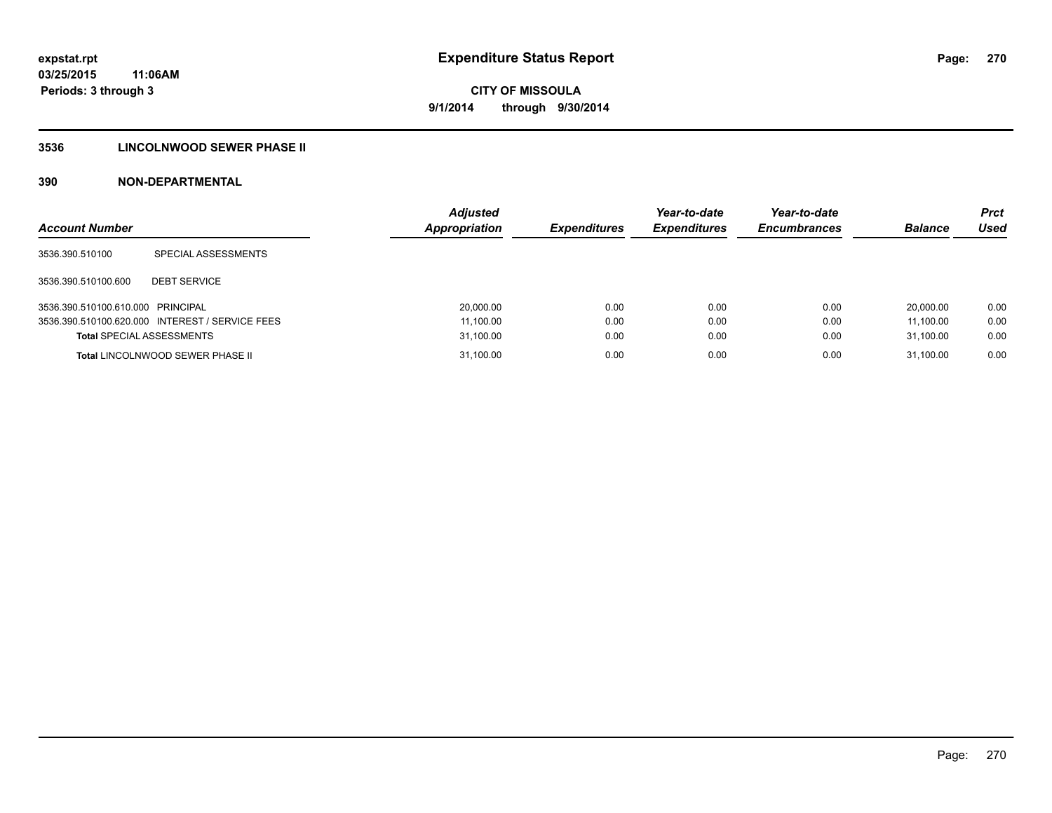### **3536 LINCOLNWOOD SEWER PHASE II**

| <b>Account Number</b>             |                                                 | <b>Adjusted</b><br><b>Appropriation</b> | <b>Expenditures</b> | Year-to-date<br><b>Expenditures</b> | Year-to-date<br><b>Encumbrances</b> | <b>Balance</b> | <b>Prct</b><br>Used |
|-----------------------------------|-------------------------------------------------|-----------------------------------------|---------------------|-------------------------------------|-------------------------------------|----------------|---------------------|
| 3536.390.510100                   | SPECIAL ASSESSMENTS                             |                                         |                     |                                     |                                     |                |                     |
| 3536.390.510100.600               | <b>DEBT SERVICE</b>                             |                                         |                     |                                     |                                     |                |                     |
| 3536.390.510100.610.000 PRINCIPAL |                                                 | 20,000.00                               | 0.00                | 0.00                                | 0.00                                | 20.000.00      | 0.00                |
|                                   | 3536.390.510100.620.000 INTEREST / SERVICE FEES | 11,100.00                               | 0.00                | 0.00                                | 0.00                                | 11.100.00      | 0.00                |
| <b>Total SPECIAL ASSESSMENTS</b>  |                                                 | 31,100.00                               | 0.00                | 0.00                                | 0.00                                | 31.100.00      | 0.00                |
|                                   | <b>Total LINCOLNWOOD SEWER PHASE II</b>         | 31,100.00                               | 0.00                | 0.00                                | 0.00                                | 31.100.00      | 0.00                |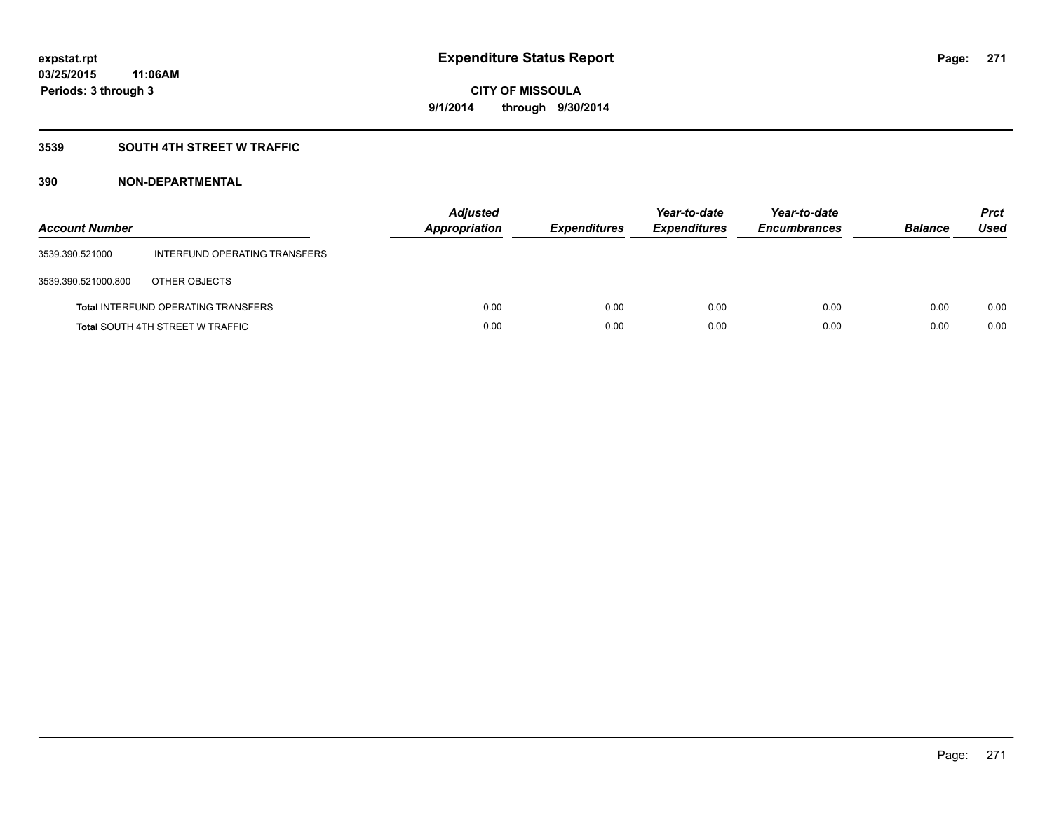### **3539 SOUTH 4TH STREET W TRAFFIC**

| <b>Account Number</b> |                                            | <b>Adjusted</b><br>Appropriation | <b>Expenditures</b> | Year-to-date<br><b>Expenditures</b> | Year-to-date<br><b>Encumbrances</b> | <b>Balance</b> | <b>Prct</b><br>Used |
|-----------------------|--------------------------------------------|----------------------------------|---------------------|-------------------------------------|-------------------------------------|----------------|---------------------|
| 3539.390.521000       | INTERFUND OPERATING TRANSFERS              |                                  |                     |                                     |                                     |                |                     |
| 3539.390.521000.800   | OTHER OBJECTS                              |                                  |                     |                                     |                                     |                |                     |
|                       | <b>Total INTERFUND OPERATING TRANSFERS</b> | 0.00                             | 0.00                | 0.00                                | 0.00                                | 0.00           | 0.00                |
|                       | <b>Total SOUTH 4TH STREET W TRAFFIC</b>    | 0.00                             | 0.00                | 0.00                                | 0.00                                | 0.00           | 0.00                |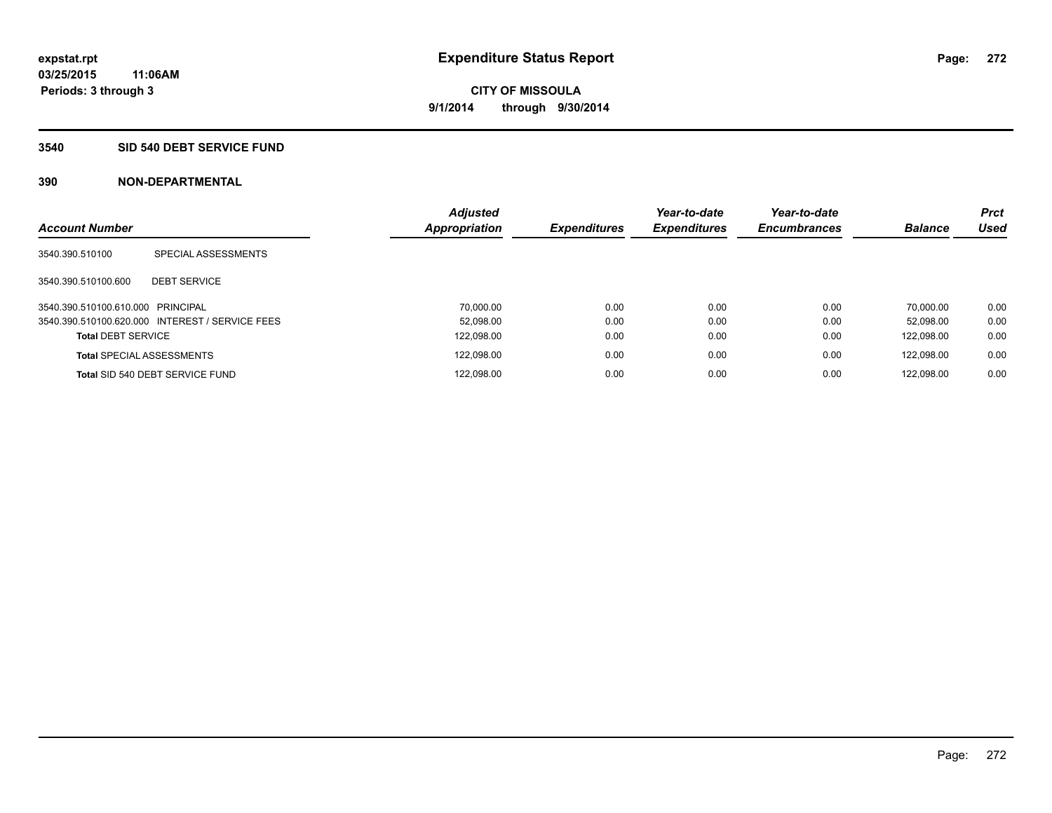#### **3540 SID 540 DEBT SERVICE FUND**

| <b>Account Number</b>             |                                                 | <b>Adjusted</b><br><b>Appropriation</b> | <b>Expenditures</b> | Year-to-date<br><b>Expenditures</b> | Year-to-date<br><b>Encumbrances</b> | <b>Balance</b> | <b>Prct</b><br><b>Used</b> |
|-----------------------------------|-------------------------------------------------|-----------------------------------------|---------------------|-------------------------------------|-------------------------------------|----------------|----------------------------|
| 3540.390.510100                   | SPECIAL ASSESSMENTS                             |                                         |                     |                                     |                                     |                |                            |
| 3540.390.510100.600               | <b>DEBT SERVICE</b>                             |                                         |                     |                                     |                                     |                |                            |
| 3540.390.510100.610.000 PRINCIPAL |                                                 | 70.000.00                               | 0.00                | 0.00                                | 0.00                                | 70.000.00      | 0.00                       |
|                                   | 3540.390.510100.620.000 INTEREST / SERVICE FEES | 52.098.00                               | 0.00                | 0.00                                | 0.00                                | 52.098.00      | 0.00                       |
| <b>Total DEBT SERVICE</b>         |                                                 | 122,098.00                              | 0.00                | 0.00                                | 0.00                                | 122.098.00     | 0.00                       |
|                                   | <b>Total SPECIAL ASSESSMENTS</b>                | 122.098.00                              | 0.00                | 0.00                                | 0.00                                | 122.098.00     | 0.00                       |
|                                   | Total SID 540 DEBT SERVICE FUND                 | 122,098.00                              | 0.00                | 0.00                                | 0.00                                | 122.098.00     | 0.00                       |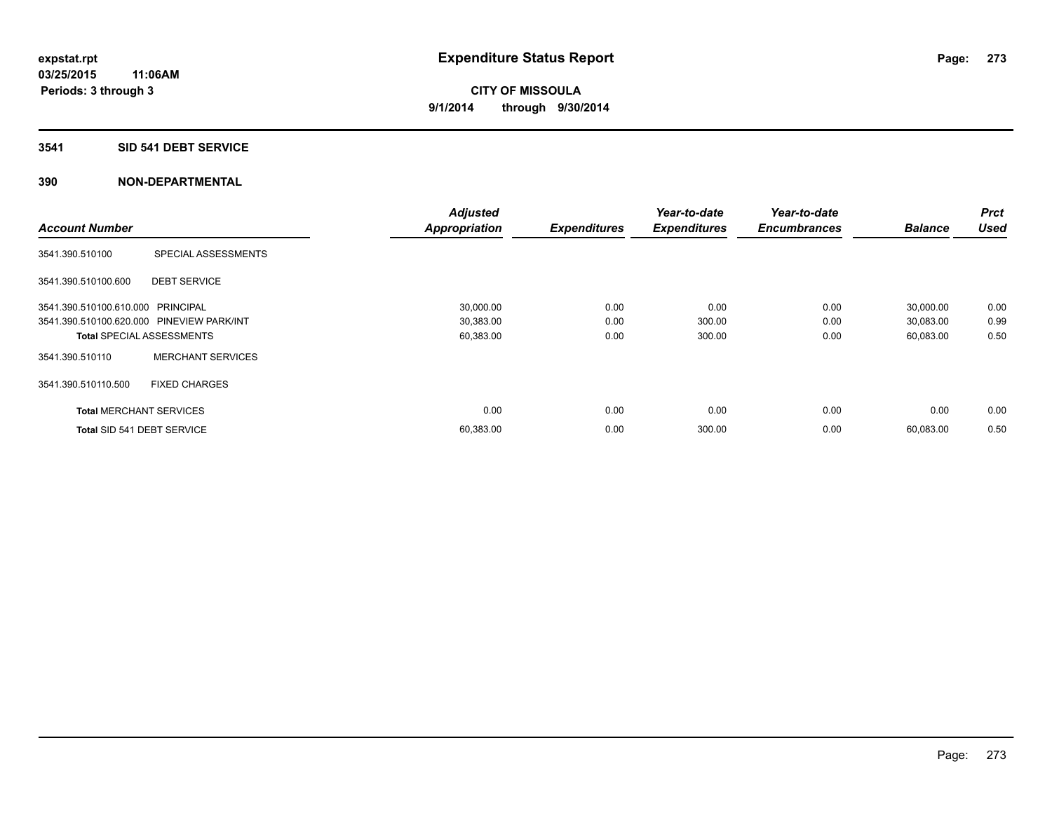### **3541 SID 541 DEBT SERVICE**

|                                           |                                  | <b>Adjusted</b> |                     | Year-to-date        | Year-to-date        |                | <b>Prct</b> |
|-------------------------------------------|----------------------------------|-----------------|---------------------|---------------------|---------------------|----------------|-------------|
| <b>Account Number</b>                     |                                  | Appropriation   | <b>Expenditures</b> | <b>Expenditures</b> | <b>Encumbrances</b> | <b>Balance</b> | <b>Used</b> |
| 3541.390.510100                           | SPECIAL ASSESSMENTS              |                 |                     |                     |                     |                |             |
| 3541.390.510100.600                       | <b>DEBT SERVICE</b>              |                 |                     |                     |                     |                |             |
| 3541.390.510100.610.000 PRINCIPAL         |                                  | 30,000.00       | 0.00                | 0.00                | 0.00                | 30,000.00      | 0.00        |
| 3541.390.510100.620.000 PINEVIEW PARK/INT |                                  | 30,383.00       | 0.00                | 300.00              | 0.00                | 30,083.00      | 0.99        |
|                                           | <b>Total SPECIAL ASSESSMENTS</b> | 60,383.00       | 0.00                | 300.00              | 0.00                | 60,083.00      | 0.50        |
| 3541.390.510110                           | <b>MERCHANT SERVICES</b>         |                 |                     |                     |                     |                |             |
| 3541.390.510110.500                       | <b>FIXED CHARGES</b>             |                 |                     |                     |                     |                |             |
| <b>Total MERCHANT SERVICES</b>            |                                  | 0.00            | 0.00                | 0.00                | 0.00                | 0.00           | 0.00        |
| Total SID 541 DEBT SERVICE                |                                  | 60,383.00       | 0.00                | 300.00              | 0.00                | 60,083.00      | 0.50        |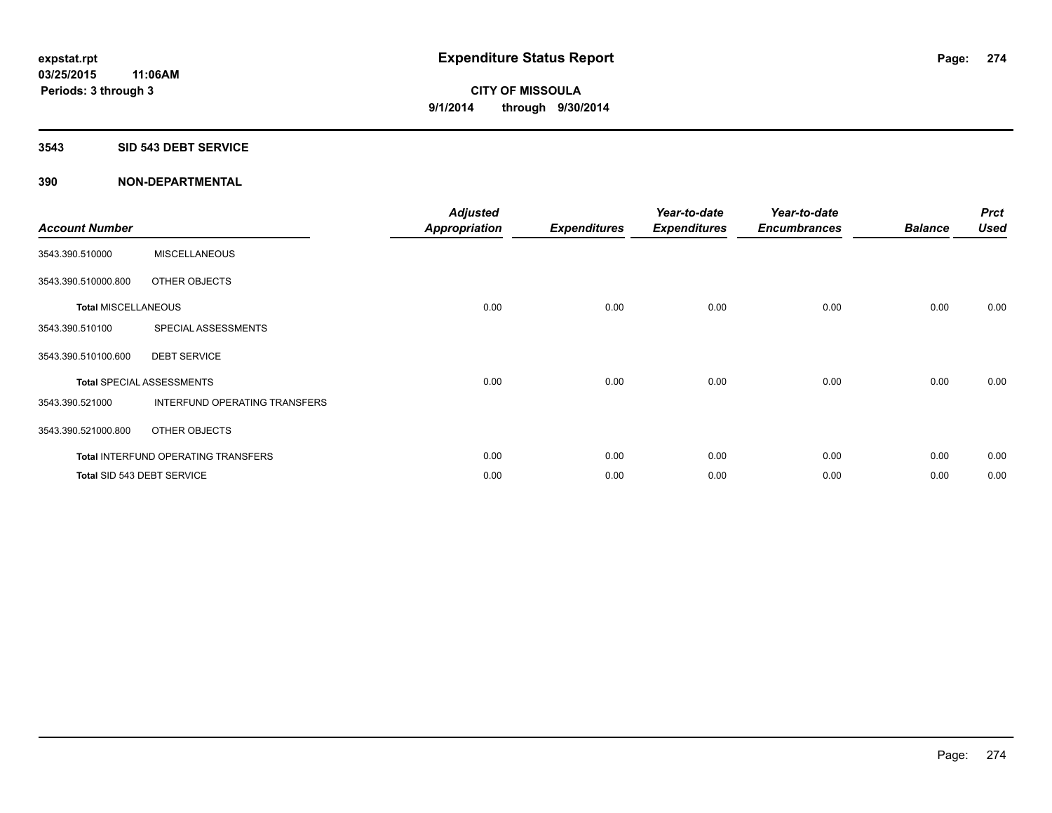#### **3543 SID 543 DEBT SERVICE**

| <b>Account Number</b>      |                                            | <b>Adjusted</b><br><b>Appropriation</b> | <b>Expenditures</b> | Year-to-date<br><b>Expenditures</b> | Year-to-date<br><b>Encumbrances</b> | <b>Balance</b> | <b>Prct</b><br><b>Used</b> |
|----------------------------|--------------------------------------------|-----------------------------------------|---------------------|-------------------------------------|-------------------------------------|----------------|----------------------------|
| 3543.390.510000            | <b>MISCELLANEOUS</b>                       |                                         |                     |                                     |                                     |                |                            |
| 3543.390.510000.800        | OTHER OBJECTS                              |                                         |                     |                                     |                                     |                |                            |
| <b>Total MISCELLANEOUS</b> |                                            | 0.00                                    | 0.00                | 0.00                                | 0.00                                | 0.00           | 0.00                       |
| 3543.390.510100            | SPECIAL ASSESSMENTS                        |                                         |                     |                                     |                                     |                |                            |
| 3543.390.510100.600        | <b>DEBT SERVICE</b>                        |                                         |                     |                                     |                                     |                |                            |
|                            | <b>Total SPECIAL ASSESSMENTS</b>           | 0.00                                    | 0.00                | 0.00                                | 0.00                                | 0.00           | 0.00                       |
| 3543.390.521000            | INTERFUND OPERATING TRANSFERS              |                                         |                     |                                     |                                     |                |                            |
| 3543.390.521000.800        | OTHER OBJECTS                              |                                         |                     |                                     |                                     |                |                            |
|                            | <b>Total INTERFUND OPERATING TRANSFERS</b> | 0.00                                    | 0.00                | 0.00                                | 0.00                                | 0.00           | 0.00                       |
|                            | Total SID 543 DEBT SERVICE                 | 0.00                                    | 0.00                | 0.00                                | 0.00                                | 0.00           | 0.00                       |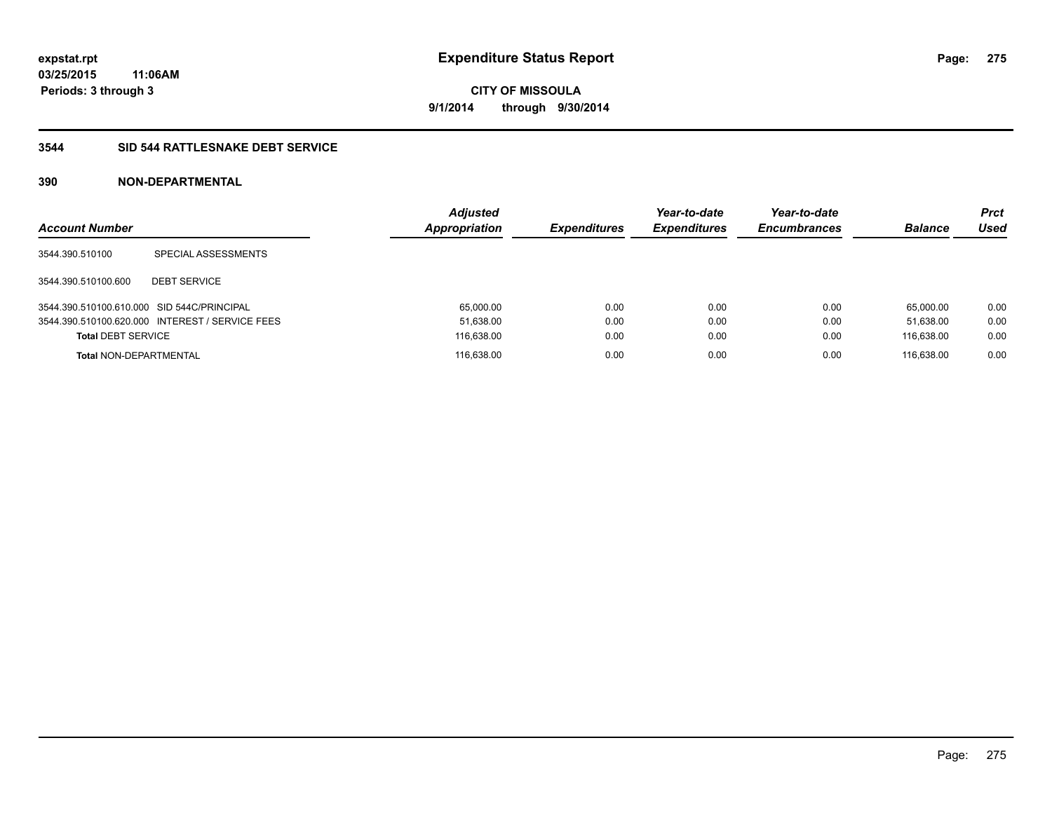### **3544 SID 544 RATTLESNAKE DEBT SERVICE**

| <b>Account Number</b>                      |                                                 | <b>Adjusted</b><br><b>Appropriation</b> | <b>Expenditures</b> | Year-to-date<br><b>Expenditures</b> | Year-to-date<br><b>Encumbrances</b> | <b>Balance</b> | Prct<br><b>Used</b> |
|--------------------------------------------|-------------------------------------------------|-----------------------------------------|---------------------|-------------------------------------|-------------------------------------|----------------|---------------------|
| 3544.390.510100                            | SPECIAL ASSESSMENTS                             |                                         |                     |                                     |                                     |                |                     |
| 3544.390.510100.600                        | <b>DEBT SERVICE</b>                             |                                         |                     |                                     |                                     |                |                     |
| 3544.390.510100.610.000 SID 544C/PRINCIPAL |                                                 | 65.000.00                               | 0.00                | 0.00                                | 0.00                                | 65.000.00      | 0.00                |
|                                            | 3544.390.510100.620.000 INTEREST / SERVICE FEES | 51,638.00                               | 0.00                | 0.00                                | 0.00                                | 51.638.00      | 0.00                |
| <b>Total DEBT SERVICE</b>                  |                                                 | 116,638.00                              | 0.00                | 0.00                                | 0.00                                | 116.638.00     | 0.00                |
| <b>Total NON-DEPARTMENTAL</b>              |                                                 | 116.638.00                              | 0.00                | 0.00                                | 0.00                                | 116.638.00     | 0.00                |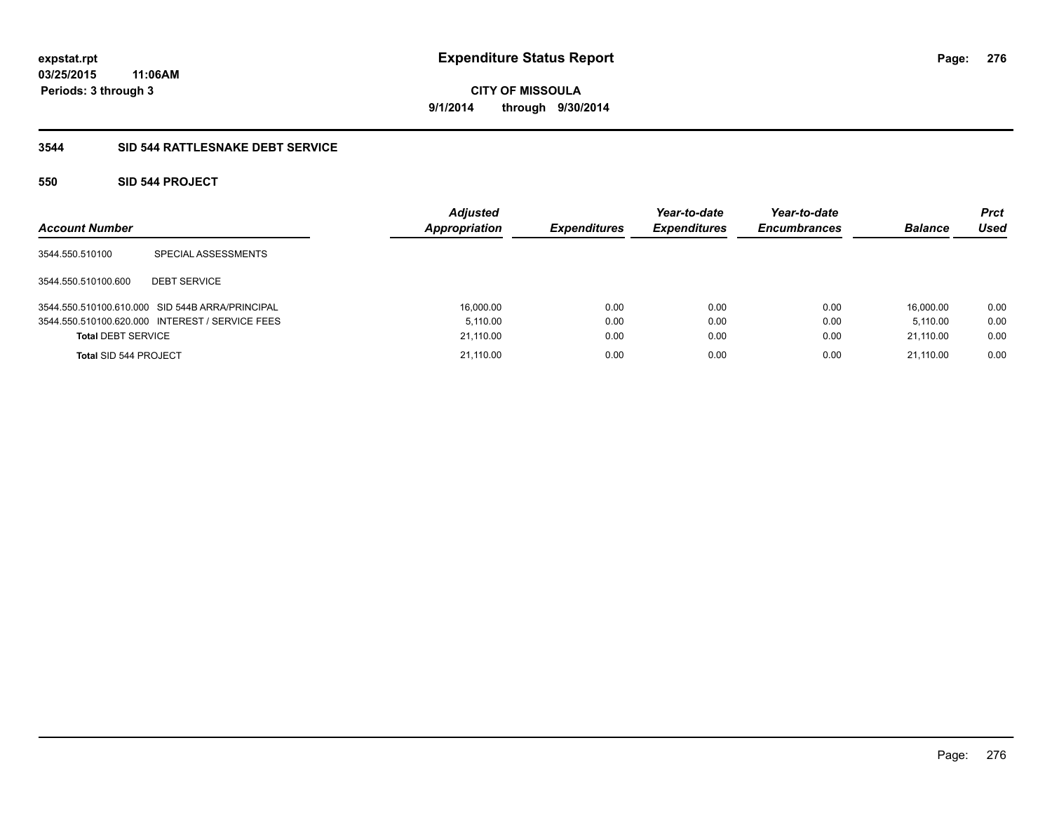### **3544 SID 544 RATTLESNAKE DEBT SERVICE**

### **550 SID 544 PROJECT**

| <b>Account Number</b>     |                                                 | <b>Adjusted</b><br>Appropriation | <b>Expenditures</b> | Year-to-date<br><b>Expenditures</b> | Year-to-date<br><b>Encumbrances</b> | <b>Balance</b> | <b>Prct</b><br>Used |
|---------------------------|-------------------------------------------------|----------------------------------|---------------------|-------------------------------------|-------------------------------------|----------------|---------------------|
| 3544.550.510100           | SPECIAL ASSESSMENTS                             |                                  |                     |                                     |                                     |                |                     |
| 3544.550.510100.600       | <b>DEBT SERVICE</b>                             |                                  |                     |                                     |                                     |                |                     |
|                           | 3544.550.510100.610.000 SID 544B ARRA/PRINCIPAL | 16,000.00                        | 0.00                | 0.00                                | 0.00                                | 16.000.00      | 0.00                |
|                           | 3544.550.510100.620.000 INTEREST / SERVICE FEES | 5.110.00                         | 0.00                | 0.00                                | 0.00                                | 5.110.00       | 0.00                |
| <b>Total DEBT SERVICE</b> |                                                 | 21,110.00                        | 0.00                | 0.00                                | 0.00                                | 21,110.00      | 0.00                |
| Total SID 544 PROJECT     |                                                 | 21.110.00                        | 0.00                | 0.00                                | 0.00                                | 21.110.00      | 0.00                |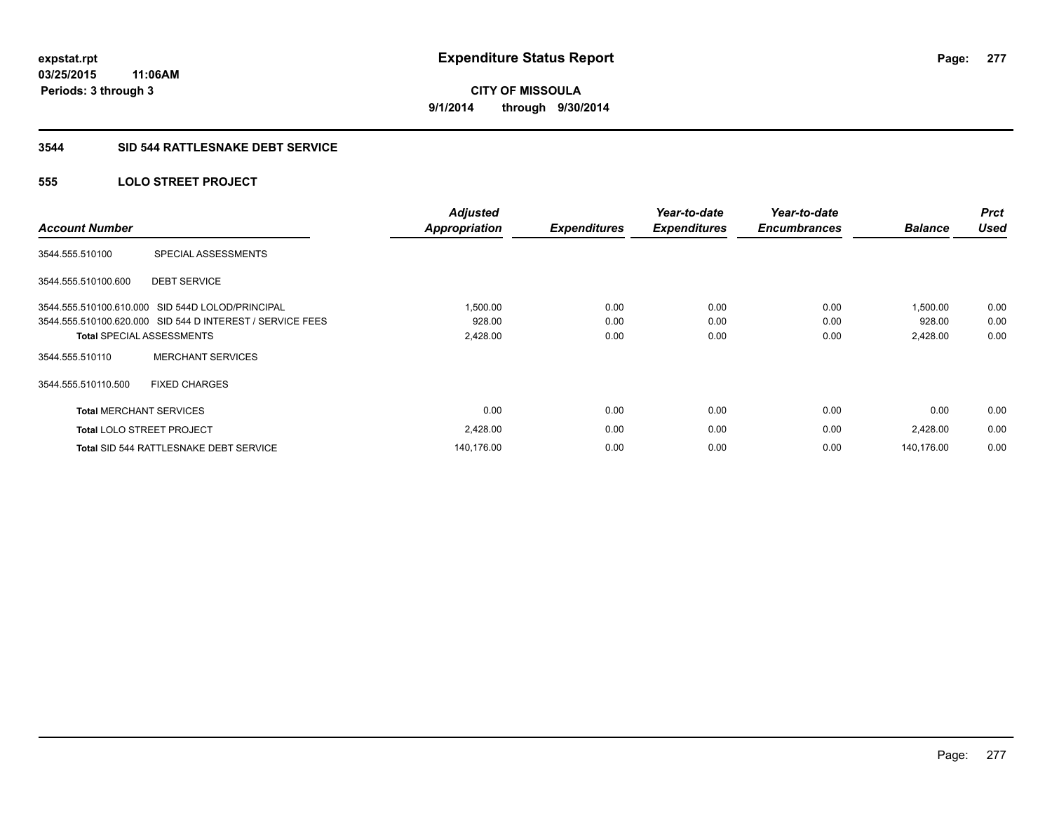### **3544 SID 544 RATTLESNAKE DEBT SERVICE**

### **555 LOLO STREET PROJECT**

| <b>Account Number</b>          |                                                           | <b>Adjusted</b><br><b>Appropriation</b> | <b>Expenditures</b> | Year-to-date<br><b>Expenditures</b> | Year-to-date<br><b>Encumbrances</b> | <b>Balance</b> | <b>Prct</b><br><b>Used</b> |
|--------------------------------|-----------------------------------------------------------|-----------------------------------------|---------------------|-------------------------------------|-------------------------------------|----------------|----------------------------|
| 3544.555.510100                | SPECIAL ASSESSMENTS                                       |                                         |                     |                                     |                                     |                |                            |
| 3544.555.510100.600            | <b>DEBT SERVICE</b>                                       |                                         |                     |                                     |                                     |                |                            |
| 3544.555.510100.610.000        | SID 544D LOLOD/PRINCIPAL                                  | 1,500.00                                | 0.00                | 0.00                                | 0.00                                | 1.500.00       | 0.00                       |
|                                | 3544.555.510100.620.000 SID 544 D INTEREST / SERVICE FEES | 928.00                                  | 0.00                | 0.00                                | 0.00                                | 928.00         | 0.00                       |
|                                | <b>Total SPECIAL ASSESSMENTS</b>                          | 2,428.00                                | 0.00                | 0.00                                | 0.00                                | 2,428.00       | 0.00                       |
| 3544.555.510110                | <b>MERCHANT SERVICES</b>                                  |                                         |                     |                                     |                                     |                |                            |
| 3544.555.510110.500            | <b>FIXED CHARGES</b>                                      |                                         |                     |                                     |                                     |                |                            |
| <b>Total MERCHANT SERVICES</b> |                                                           | 0.00                                    | 0.00                | 0.00                                | 0.00                                | 0.00           | 0.00                       |
|                                | <b>Total LOLO STREET PROJECT</b>                          | 2,428.00                                | 0.00                | 0.00                                | 0.00                                | 2,428.00       | 0.00                       |
|                                | Total SID 544 RATTLESNAKE DEBT SERVICE                    | 140,176.00                              | 0.00                | 0.00                                | 0.00                                | 140.176.00     | 0.00                       |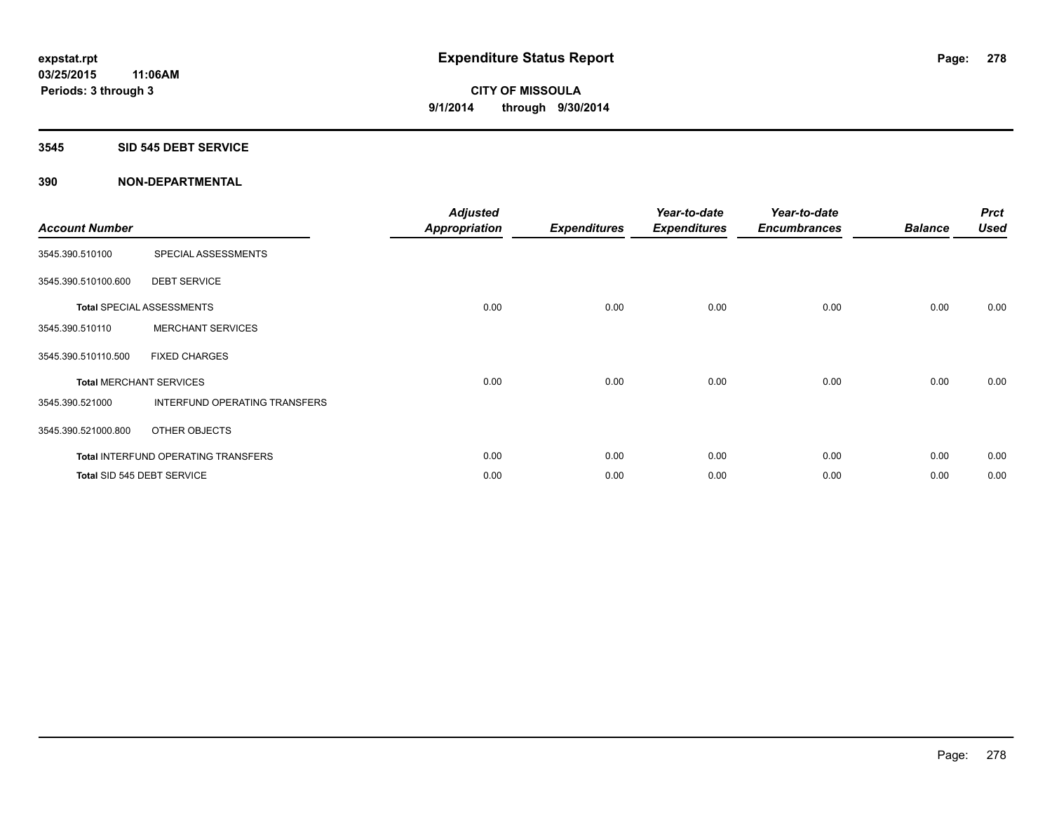#### **3545 SID 545 DEBT SERVICE**

| <b>Account Number</b> |                                            | <b>Adjusted</b><br><b>Appropriation</b> | <b>Expenditures</b> | Year-to-date<br><b>Expenditures</b> | Year-to-date<br><b>Encumbrances</b> | <b>Balance</b> | <b>Prct</b><br><b>Used</b> |
|-----------------------|--------------------------------------------|-----------------------------------------|---------------------|-------------------------------------|-------------------------------------|----------------|----------------------------|
| 3545.390.510100       | SPECIAL ASSESSMENTS                        |                                         |                     |                                     |                                     |                |                            |
| 3545.390.510100.600   | <b>DEBT SERVICE</b>                        |                                         |                     |                                     |                                     |                |                            |
|                       | <b>Total SPECIAL ASSESSMENTS</b>           | 0.00                                    | 0.00                | 0.00                                | 0.00                                | 0.00           | 0.00                       |
| 3545.390.510110       | <b>MERCHANT SERVICES</b>                   |                                         |                     |                                     |                                     |                |                            |
| 3545.390.510110.500   | <b>FIXED CHARGES</b>                       |                                         |                     |                                     |                                     |                |                            |
|                       | <b>Total MERCHANT SERVICES</b>             | 0.00                                    | 0.00                | 0.00                                | 0.00                                | 0.00           | 0.00                       |
| 3545.390.521000       | INTERFUND OPERATING TRANSFERS              |                                         |                     |                                     |                                     |                |                            |
| 3545.390.521000.800   | OTHER OBJECTS                              |                                         |                     |                                     |                                     |                |                            |
|                       | <b>Total INTERFUND OPERATING TRANSFERS</b> | 0.00                                    | 0.00                | 0.00                                | 0.00                                | 0.00           | 0.00                       |
|                       | Total SID 545 DEBT SERVICE                 | 0.00                                    | 0.00                | 0.00                                | 0.00                                | 0.00           | 0.00                       |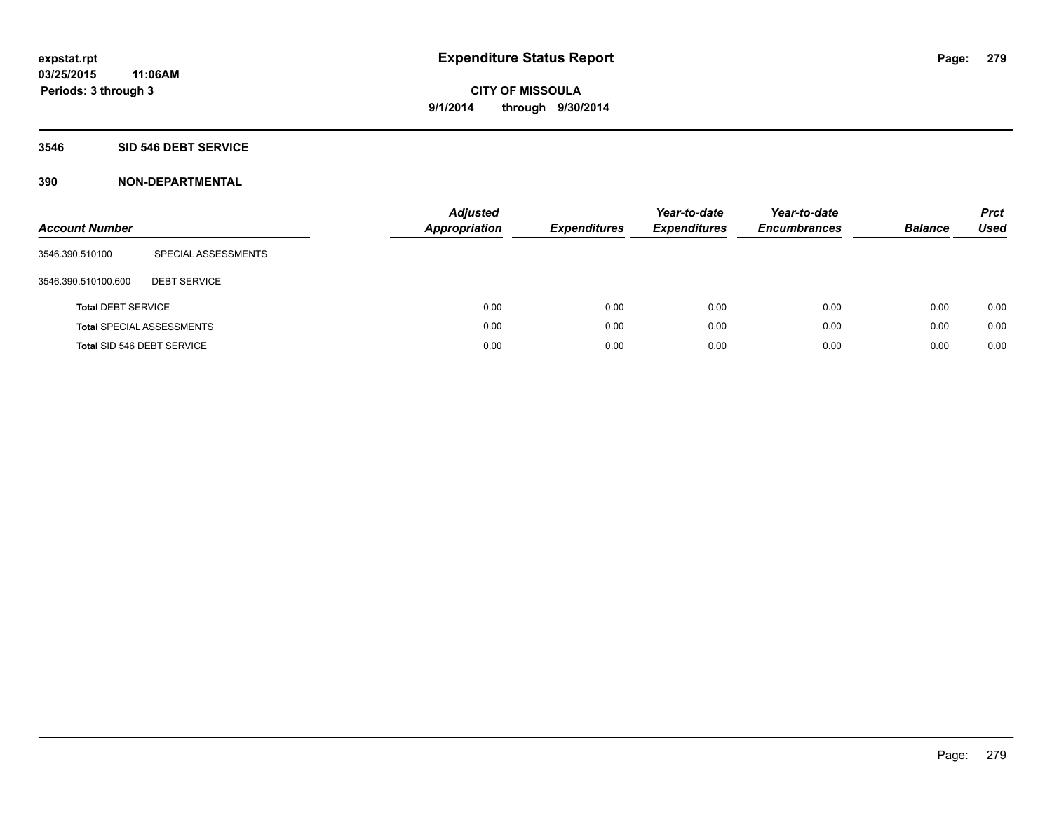### **3546 SID 546 DEBT SERVICE**

| <b>Account Number</b>     |                                  | <b>Adjusted</b><br><b>Appropriation</b> | <b>Expenditures</b> | Year-to-date<br><b>Expenditures</b> | Year-to-date<br><b>Encumbrances</b> | <b>Balance</b> | <b>Prct</b><br>Used |
|---------------------------|----------------------------------|-----------------------------------------|---------------------|-------------------------------------|-------------------------------------|----------------|---------------------|
| 3546.390.510100           | SPECIAL ASSESSMENTS              |                                         |                     |                                     |                                     |                |                     |
| 3546.390.510100.600       | <b>DEBT SERVICE</b>              |                                         |                     |                                     |                                     |                |                     |
| <b>Total DEBT SERVICE</b> |                                  | 0.00                                    | 0.00                | 0.00                                | 0.00                                | 0.00           | 0.00                |
|                           | <b>Total SPECIAL ASSESSMENTS</b> | 0.00                                    | 0.00                | 0.00                                | 0.00                                | 0.00           | 0.00                |
|                           | Total SID 546 DEBT SERVICE       | 0.00                                    | 0.00                | 0.00                                | 0.00                                | 0.00           | 0.00                |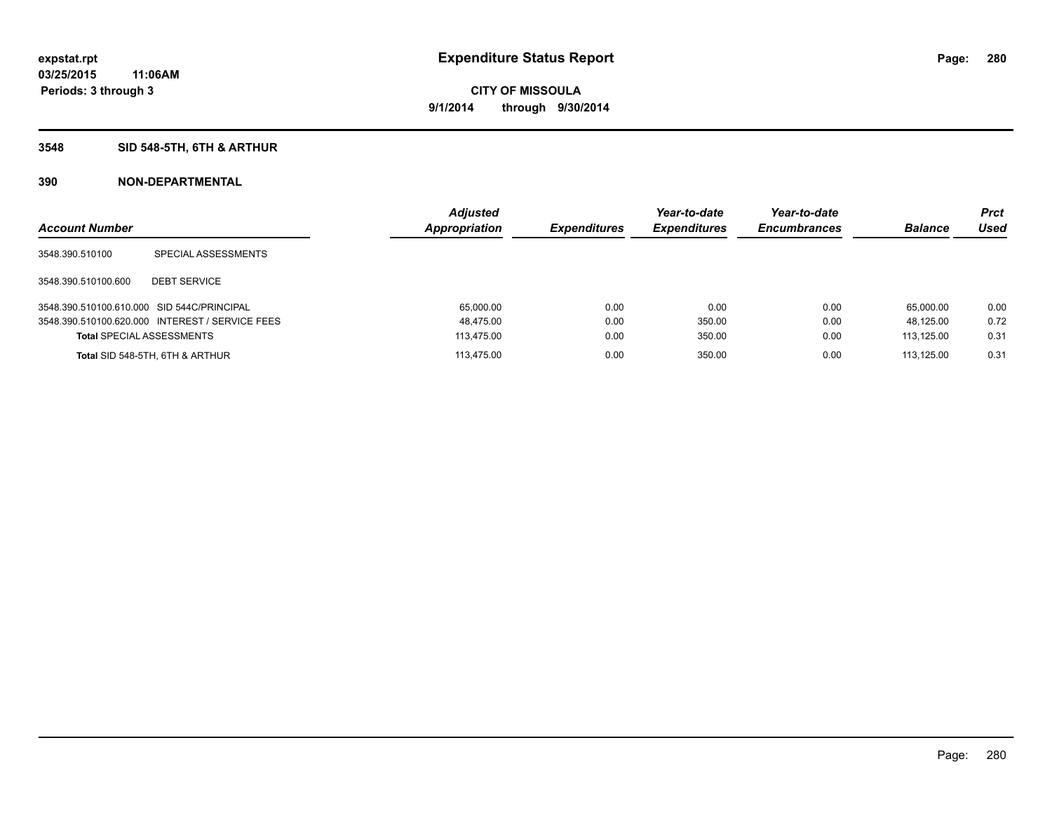### **3548 SID 548-5TH, 6TH & ARTHUR**

| <b>Account Number</b>                      |                                                 | <b>Adjusted</b><br><b>Appropriation</b> | <b>Expenditures</b> | Year-to-date<br><b>Expenditures</b> | Year-to-date<br><b>Encumbrances</b> | <b>Balance</b> | <b>Prct</b><br>Used |
|--------------------------------------------|-------------------------------------------------|-----------------------------------------|---------------------|-------------------------------------|-------------------------------------|----------------|---------------------|
| 3548.390.510100                            | SPECIAL ASSESSMENTS                             |                                         |                     |                                     |                                     |                |                     |
| 3548.390.510100.600                        | <b>DEBT SERVICE</b>                             |                                         |                     |                                     |                                     |                |                     |
| 3548.390.510100.610.000 SID 544C/PRINCIPAL |                                                 | 65.000.00                               | 0.00                | 0.00                                | 0.00                                | 65.000.00      | 0.00                |
|                                            | 3548.390.510100.620.000 INTEREST / SERVICE FEES | 48,475.00                               | 0.00                | 350.00                              | 0.00                                | 48.125.00      | 0.72                |
| <b>Total SPECIAL ASSESSMENTS</b>           |                                                 | 113.475.00                              | 0.00                | 350.00                              | 0.00                                | 113.125.00     | 0.31                |
|                                            | Total SID 548-5TH, 6TH & ARTHUR                 | 113.475.00                              | 0.00                | 350.00                              | 0.00                                | 113.125.00     | 0.31                |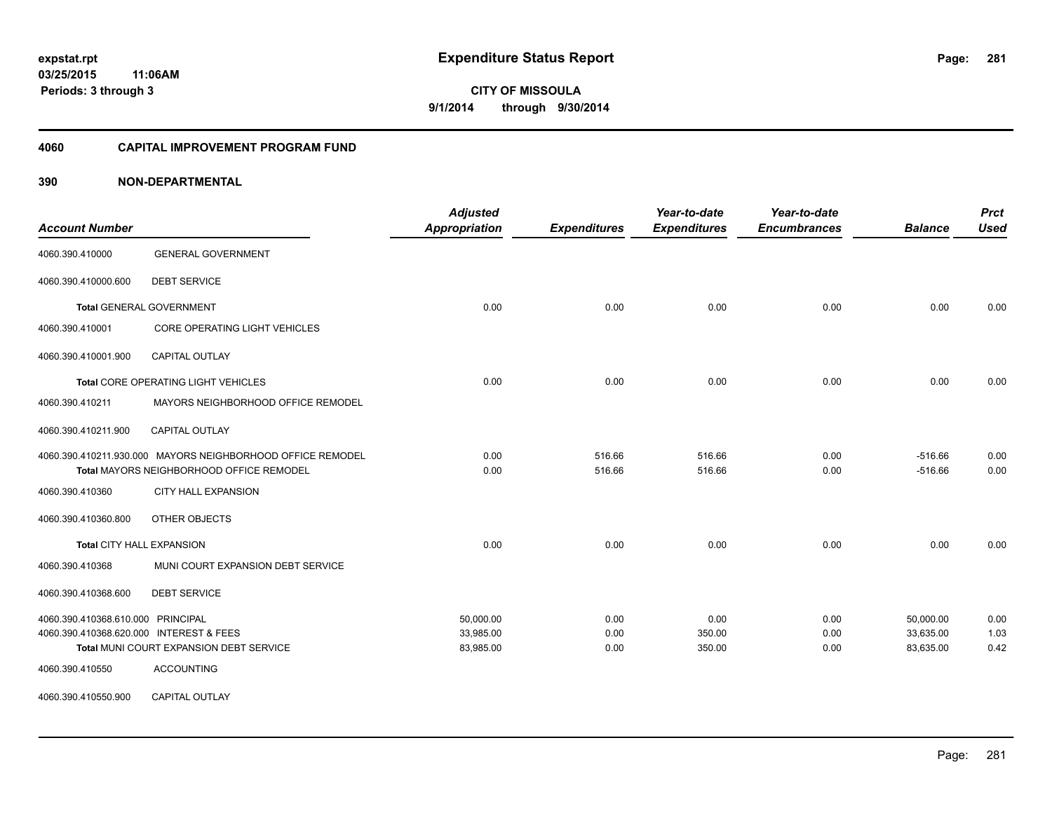#### **4060 CAPITAL IMPROVEMENT PROGRAM FUND**

| <b>Account Number</b>                   |                                                            | <b>Adjusted</b><br><b>Appropriation</b> | <b>Expenditures</b> | Year-to-date<br><b>Expenditures</b> | Year-to-date<br><b>Encumbrances</b> | <b>Balance</b> | <b>Prct</b><br><b>Used</b> |
|-----------------------------------------|------------------------------------------------------------|-----------------------------------------|---------------------|-------------------------------------|-------------------------------------|----------------|----------------------------|
| 4060.390.410000                         | <b>GENERAL GOVERNMENT</b>                                  |                                         |                     |                                     |                                     |                |                            |
| 4060.390.410000.600                     | <b>DEBT SERVICE</b>                                        |                                         |                     |                                     |                                     |                |                            |
|                                         | <b>Total GENERAL GOVERNMENT</b>                            | 0.00                                    | 0.00                | 0.00                                | 0.00                                | 0.00           | 0.00                       |
| 4060.390.410001                         | CORE OPERATING LIGHT VEHICLES                              |                                         |                     |                                     |                                     |                |                            |
| 4060.390.410001.900                     | CAPITAL OUTLAY                                             |                                         |                     |                                     |                                     |                |                            |
|                                         | Total CORE OPERATING LIGHT VEHICLES                        | 0.00                                    | 0.00                | 0.00                                | 0.00                                | 0.00           | 0.00                       |
| 4060.390.410211                         | MAYORS NEIGHBORHOOD OFFICE REMODEL                         |                                         |                     |                                     |                                     |                |                            |
| 4060.390.410211.900                     | <b>CAPITAL OUTLAY</b>                                      |                                         |                     |                                     |                                     |                |                            |
|                                         | 4060.390.410211.930.000 MAYORS NEIGHBORHOOD OFFICE REMODEL | 0.00                                    | 516.66              | 516.66                              | 0.00                                | $-516.66$      | 0.00                       |
|                                         | Total MAYORS NEIGHBORHOOD OFFICE REMODEL                   | 0.00                                    | 516.66              | 516.66                              | 0.00                                | $-516.66$      | 0.00                       |
| 4060.390.410360                         | <b>CITY HALL EXPANSION</b>                                 |                                         |                     |                                     |                                     |                |                            |
| 4060.390.410360.800                     | OTHER OBJECTS                                              |                                         |                     |                                     |                                     |                |                            |
| Total CITY HALL EXPANSION               |                                                            | 0.00                                    | 0.00                | 0.00                                | 0.00                                | 0.00           | 0.00                       |
| 4060.390.410368                         | MUNI COURT EXPANSION DEBT SERVICE                          |                                         |                     |                                     |                                     |                |                            |
| 4060.390.410368.600                     | <b>DEBT SERVICE</b>                                        |                                         |                     |                                     |                                     |                |                            |
| 4060.390.410368.610.000 PRINCIPAL       |                                                            | 50.000.00                               | 0.00                | 0.00                                | 0.00                                | 50.000.00      | 0.00                       |
| 4060.390.410368.620.000 INTEREST & FEES |                                                            | 33,985.00                               | 0.00                | 350.00                              | 0.00                                | 33,635.00      | 1.03                       |
|                                         | Total MUNI COURT EXPANSION DEBT SERVICE                    | 83,985.00                               | 0.00                | 350.00                              | 0.00                                | 83,635.00      | 0.42                       |
| 4060.390.410550                         | <b>ACCOUNTING</b>                                          |                                         |                     |                                     |                                     |                |                            |
| 4060.390.410550.900                     | CAPITAL OUTLAY                                             |                                         |                     |                                     |                                     |                |                            |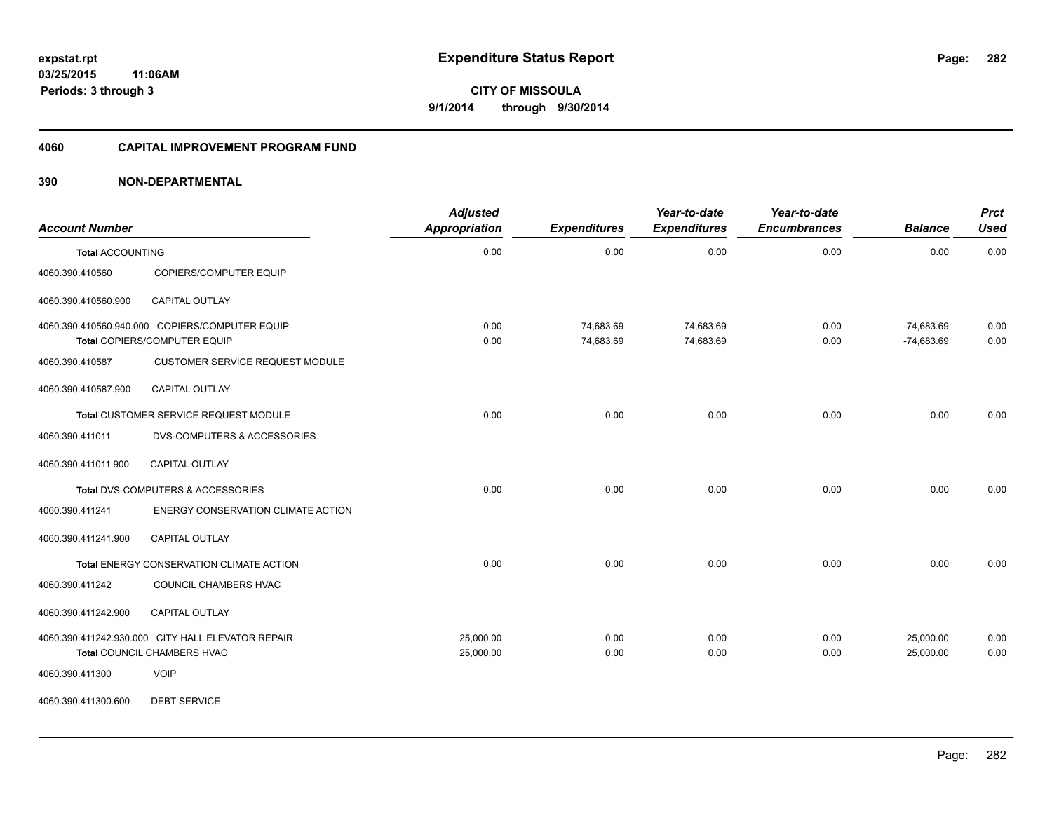#### **4060 CAPITAL IMPROVEMENT PROGRAM FUND**

### **390 NON-DEPARTMENTAL**

| <b>Account Number</b>   |                                                                                  | <b>Adjusted</b><br>Appropriation | <b>Expenditures</b>    | Year-to-date<br><b>Expenditures</b> | Year-to-date<br><b>Encumbrances</b> | <b>Balance</b>               | <b>Prct</b><br><b>Used</b> |
|-------------------------|----------------------------------------------------------------------------------|----------------------------------|------------------------|-------------------------------------|-------------------------------------|------------------------------|----------------------------|
| <b>Total ACCOUNTING</b> |                                                                                  | 0.00                             | 0.00                   | 0.00                                | 0.00                                | 0.00                         | 0.00                       |
| 4060.390.410560         | COPIERS/COMPUTER EQUIP                                                           |                                  |                        |                                     |                                     |                              |                            |
| 4060.390.410560.900     | CAPITAL OUTLAY                                                                   |                                  |                        |                                     |                                     |                              |                            |
|                         | 4060.390.410560.940.000 COPIERS/COMPUTER EQUIP<br>Total COPIERS/COMPUTER EQUIP   | 0.00<br>0.00                     | 74,683.69<br>74,683.69 | 74,683.69<br>74,683.69              | 0.00<br>0.00                        | $-74,683.69$<br>$-74,683.69$ | 0.00<br>0.00               |
| 4060.390.410587         | <b>CUSTOMER SERVICE REQUEST MODULE</b>                                           |                                  |                        |                                     |                                     |                              |                            |
| 4060.390.410587.900     | <b>CAPITAL OUTLAY</b>                                                            |                                  |                        |                                     |                                     |                              |                            |
|                         | Total CUSTOMER SERVICE REQUEST MODULE                                            | 0.00                             | 0.00                   | 0.00                                | 0.00                                | 0.00                         | 0.00                       |
| 4060.390.411011         | <b>DVS-COMPUTERS &amp; ACCESSORIES</b>                                           |                                  |                        |                                     |                                     |                              |                            |
| 4060.390.411011.900     | <b>CAPITAL OUTLAY</b>                                                            |                                  |                        |                                     |                                     |                              |                            |
|                         | Total DVS-COMPUTERS & ACCESSORIES                                                | 0.00                             | 0.00                   | 0.00                                | 0.00                                | 0.00                         | 0.00                       |
| 4060.390.411241         | ENERGY CONSERVATION CLIMATE ACTION                                               |                                  |                        |                                     |                                     |                              |                            |
| 4060.390.411241.900     | <b>CAPITAL OUTLAY</b>                                                            |                                  |                        |                                     |                                     |                              |                            |
|                         | Total ENERGY CONSERVATION CLIMATE ACTION                                         | 0.00                             | 0.00                   | 0.00                                | 0.00                                | 0.00                         | 0.00                       |
| 4060.390.411242         | COUNCIL CHAMBERS HVAC                                                            |                                  |                        |                                     |                                     |                              |                            |
| 4060.390.411242.900     | <b>CAPITAL OUTLAY</b>                                                            |                                  |                        |                                     |                                     |                              |                            |
|                         | 4060.390.411242.930.000 CITY HALL ELEVATOR REPAIR<br>Total COUNCIL CHAMBERS HVAC | 25,000.00<br>25,000.00           | 0.00<br>0.00           | 0.00<br>0.00                        | 0.00<br>0.00                        | 25,000.00<br>25,000.00       | 0.00<br>0.00               |
| 4060.390.411300         | <b>VOIP</b>                                                                      |                                  |                        |                                     |                                     |                              |                            |

4060.390.411300.600 DEBT SERVICE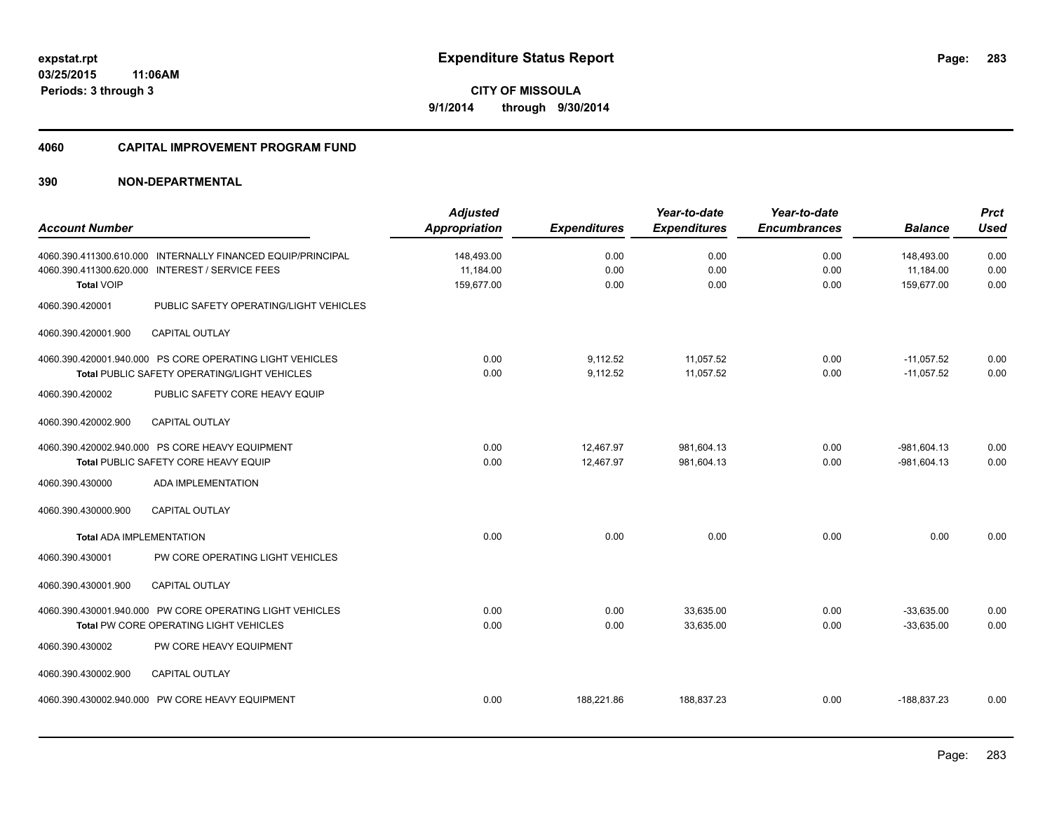#### **4060 CAPITAL IMPROVEMENT PROGRAM FUND**

|                                                             | <b>Adjusted</b>      |                     | Year-to-date        | Year-to-date        |                | <b>Prct</b> |
|-------------------------------------------------------------|----------------------|---------------------|---------------------|---------------------|----------------|-------------|
| <b>Account Number</b>                                       | <b>Appropriation</b> | <b>Expenditures</b> | <b>Expenditures</b> | <b>Encumbrances</b> | <b>Balance</b> | <b>Used</b> |
| 4060.390.411300.610.000 INTERNALLY FINANCED EQUIP/PRINCIPAL | 148,493.00           | 0.00                | 0.00                | 0.00                | 148,493.00     | 0.00        |
| 4060.390.411300.620.000 INTEREST / SERVICE FEES             | 11.184.00            | 0.00                | 0.00                | 0.00                | 11,184.00      | 0.00        |
| <b>Total VOIP</b>                                           | 159,677.00           | 0.00                | 0.00                | 0.00                | 159,677.00     | 0.00        |
| 4060.390.420001<br>PUBLIC SAFETY OPERATING/LIGHT VEHICLES   |                      |                     |                     |                     |                |             |
| 4060.390.420001.900<br><b>CAPITAL OUTLAY</b>                |                      |                     |                     |                     |                |             |
| 4060.390.420001.940.000 PS CORE OPERATING LIGHT VEHICLES    | 0.00                 | 9,112.52            | 11,057.52           | 0.00                | $-11,057.52$   | 0.00        |
| Total PUBLIC SAFETY OPERATING/LIGHT VEHICLES                | 0.00                 | 9,112.52            | 11.057.52           | 0.00                | $-11.057.52$   | 0.00        |
| PUBLIC SAFETY CORE HEAVY EQUIP<br>4060.390.420002           |                      |                     |                     |                     |                |             |
| 4060.390.420002.900<br><b>CAPITAL OUTLAY</b>                |                      |                     |                     |                     |                |             |
| 4060.390.420002.940.000 PS CORE HEAVY EQUIPMENT             | 0.00                 | 12.467.97           | 981,604.13          | 0.00                | $-981,604.13$  | 0.00        |
| Total PUBLIC SAFETY CORE HEAVY EQUIP                        | 0.00                 | 12.467.97           | 981.604.13          | 0.00                | $-981.604.13$  | 0.00        |
| ADA IMPLEMENTATION<br>4060.390.430000                       |                      |                     |                     |                     |                |             |
| 4060.390.430000.900<br><b>CAPITAL OUTLAY</b>                |                      |                     |                     |                     |                |             |
| <b>Total ADA IMPLEMENTATION</b>                             | 0.00                 | 0.00                | 0.00                | 0.00                | 0.00           | 0.00        |
| PW CORE OPERATING LIGHT VEHICLES<br>4060.390.430001         |                      |                     |                     |                     |                |             |
| 4060.390.430001.900<br><b>CAPITAL OUTLAY</b>                |                      |                     |                     |                     |                |             |
| 4060.390.430001.940.000 PW CORE OPERATING LIGHT VEHICLES    | 0.00                 | 0.00                | 33,635.00           | 0.00                | $-33,635.00$   | 0.00        |
| Total PW CORE OPERATING LIGHT VEHICLES                      | 0.00                 | 0.00                | 33,635.00           | 0.00                | $-33,635.00$   | 0.00        |
| 4060.390.430002<br>PW CORE HEAVY EQUIPMENT                  |                      |                     |                     |                     |                |             |
| <b>CAPITAL OUTLAY</b><br>4060.390.430002.900                |                      |                     |                     |                     |                |             |
| 4060.390.430002.940.000 PW CORE HEAVY EQUIPMENT             | 0.00                 | 188,221.86          | 188,837.23          | 0.00                | $-188,837.23$  | 0.00        |
|                                                             |                      |                     |                     |                     |                |             |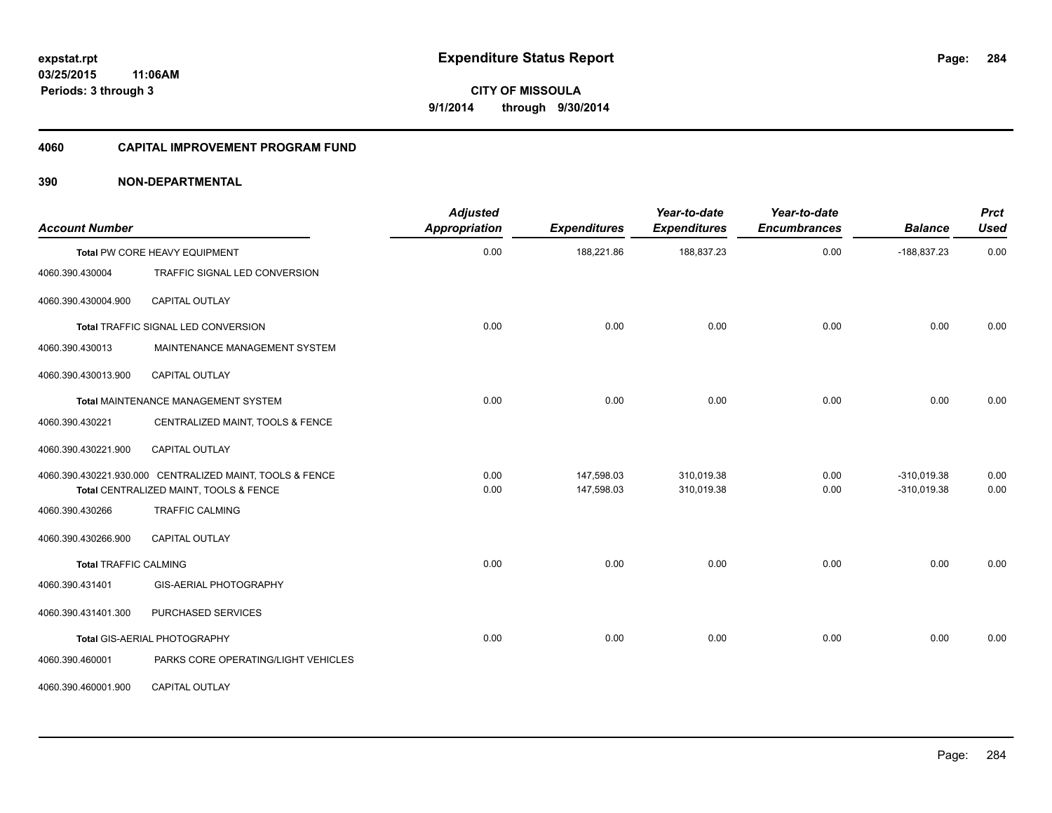#### **4060 CAPITAL IMPROVEMENT PROGRAM FUND**

| <b>Account Number</b>        |                                                                                                    | <b>Adjusted</b><br><b>Appropriation</b> | <b>Expenditures</b>      | Year-to-date<br><b>Expenditures</b> | Year-to-date<br><b>Encumbrances</b> | <b>Balance</b>                 | <b>Prct</b><br><b>Used</b> |
|------------------------------|----------------------------------------------------------------------------------------------------|-----------------------------------------|--------------------------|-------------------------------------|-------------------------------------|--------------------------------|----------------------------|
|                              | Total PW CORE HEAVY EQUIPMENT                                                                      | 0.00                                    | 188,221.86               | 188,837.23                          | 0.00                                | $-188,837.23$                  | 0.00                       |
| 4060.390.430004              | TRAFFIC SIGNAL LED CONVERSION                                                                      |                                         |                          |                                     |                                     |                                |                            |
| 4060.390.430004.900          | <b>CAPITAL OUTLAY</b>                                                                              |                                         |                          |                                     |                                     |                                |                            |
|                              | <b>Total TRAFFIC SIGNAL LED CONVERSION</b>                                                         | 0.00                                    | 0.00                     | 0.00                                | 0.00                                | 0.00                           | 0.00                       |
| 4060.390.430013              | MAINTENANCE MANAGEMENT SYSTEM                                                                      |                                         |                          |                                     |                                     |                                |                            |
| 4060.390.430013.900          | <b>CAPITAL OUTLAY</b>                                                                              |                                         |                          |                                     |                                     |                                |                            |
|                              | Total MAINTENANCE MANAGEMENT SYSTEM                                                                | 0.00                                    | 0.00                     | 0.00                                | 0.00                                | 0.00                           | 0.00                       |
| 4060.390.430221              | CENTRALIZED MAINT, TOOLS & FENCE                                                                   |                                         |                          |                                     |                                     |                                |                            |
| 4060.390.430221.900          | CAPITAL OUTLAY                                                                                     |                                         |                          |                                     |                                     |                                |                            |
|                              | 4060.390.430221.930.000 CENTRALIZED MAINT, TOOLS & FENCE<br>Total CENTRALIZED MAINT, TOOLS & FENCE | 0.00<br>0.00                            | 147,598.03<br>147,598.03 | 310,019.38<br>310,019.38            | 0.00<br>0.00                        | $-310,019.38$<br>$-310,019.38$ | 0.00<br>0.00               |
| 4060.390.430266              | <b>TRAFFIC CALMING</b>                                                                             |                                         |                          |                                     |                                     |                                |                            |
| 4060.390.430266.900          | <b>CAPITAL OUTLAY</b>                                                                              |                                         |                          |                                     |                                     |                                |                            |
| <b>Total TRAFFIC CALMING</b> |                                                                                                    | 0.00                                    | 0.00                     | 0.00                                | 0.00                                | 0.00                           | 0.00                       |
| 4060.390.431401              | GIS-AERIAL PHOTOGRAPHY                                                                             |                                         |                          |                                     |                                     |                                |                            |
| 4060.390.431401.300          | PURCHASED SERVICES                                                                                 |                                         |                          |                                     |                                     |                                |                            |
|                              | Total GIS-AERIAL PHOTOGRAPHY                                                                       | 0.00                                    | 0.00                     | 0.00                                | 0.00                                | 0.00                           | 0.00                       |
| 4060.390.460001              | PARKS CORE OPERATING/LIGHT VEHICLES                                                                |                                         |                          |                                     |                                     |                                |                            |
| 4060.390.460001.900          | <b>CAPITAL OUTLAY</b>                                                                              |                                         |                          |                                     |                                     |                                |                            |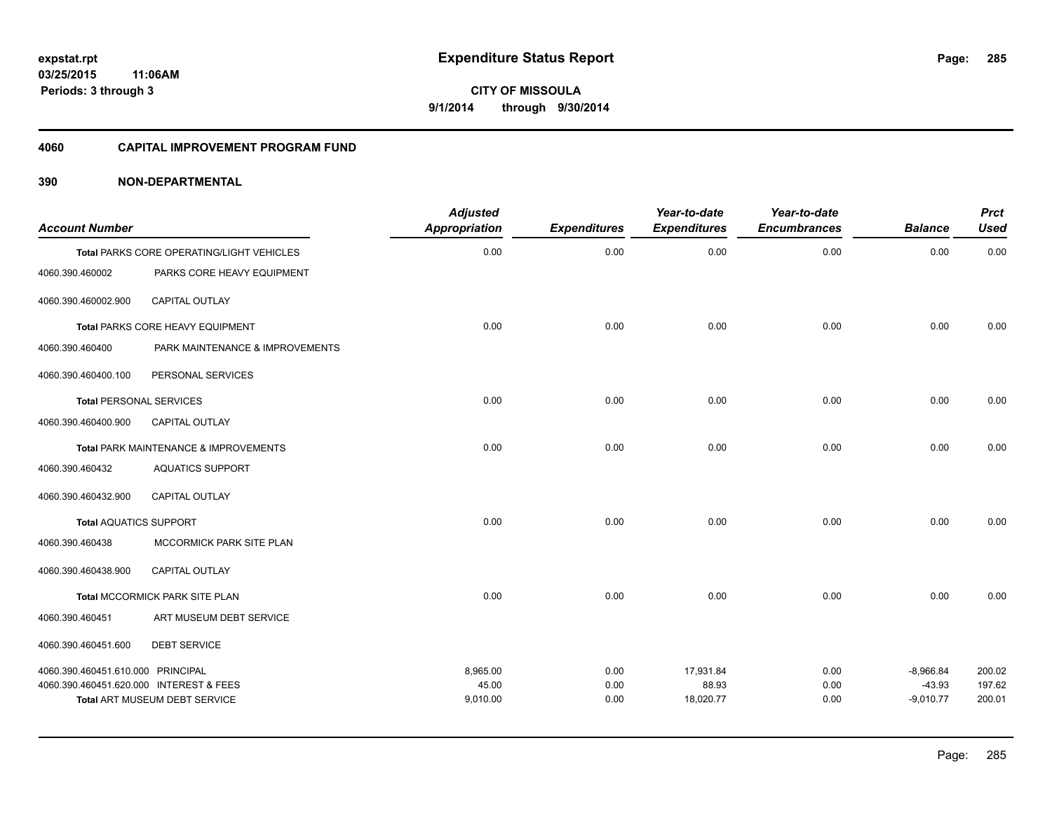#### **4060 CAPITAL IMPROVEMENT PROGRAM FUND**

| <b>Account Number</b>                   |                                           | <b>Adjusted</b><br>Appropriation | <b>Expenditures</b> | Year-to-date<br><b>Expenditures</b> | Year-to-date<br><b>Encumbrances</b> | <b>Balance</b>          | <b>Prct</b><br><b>Used</b> |
|-----------------------------------------|-------------------------------------------|----------------------------------|---------------------|-------------------------------------|-------------------------------------|-------------------------|----------------------------|
|                                         | Total PARKS CORE OPERATING/LIGHT VEHICLES | 0.00                             | 0.00                | 0.00                                | 0.00                                | 0.00                    | 0.00                       |
| 4060.390.460002                         | PARKS CORE HEAVY EQUIPMENT                |                                  |                     |                                     |                                     |                         |                            |
| 4060.390.460002.900                     | <b>CAPITAL OUTLAY</b>                     |                                  |                     |                                     |                                     |                         |                            |
|                                         | Total PARKS CORE HEAVY EQUIPMENT          | 0.00                             | 0.00                | 0.00                                | 0.00                                | 0.00                    | 0.00                       |
| 4060.390.460400                         | PARK MAINTENANCE & IMPROVEMENTS           |                                  |                     |                                     |                                     |                         |                            |
| 4060.390.460400.100                     | PERSONAL SERVICES                         |                                  |                     |                                     |                                     |                         |                            |
| <b>Total PERSONAL SERVICES</b>          |                                           | 0.00                             | 0.00                | 0.00                                | 0.00                                | 0.00                    | 0.00                       |
| 4060.390.460400.900                     | <b>CAPITAL OUTLAY</b>                     |                                  |                     |                                     |                                     |                         |                            |
|                                         | Total PARK MAINTENANCE & IMPROVEMENTS     | 0.00                             | 0.00                | 0.00                                | 0.00                                | 0.00                    | 0.00                       |
| 4060.390.460432                         | <b>AQUATICS SUPPORT</b>                   |                                  |                     |                                     |                                     |                         |                            |
| 4060.390.460432.900                     | <b>CAPITAL OUTLAY</b>                     |                                  |                     |                                     |                                     |                         |                            |
| <b>Total AQUATICS SUPPORT</b>           |                                           | 0.00                             | 0.00                | 0.00                                | 0.00                                | 0.00                    | 0.00                       |
| 4060.390.460438                         | MCCORMICK PARK SITE PLAN                  |                                  |                     |                                     |                                     |                         |                            |
| 4060.390.460438.900                     | <b>CAPITAL OUTLAY</b>                     |                                  |                     |                                     |                                     |                         |                            |
|                                         | Total MCCORMICK PARK SITE PLAN            | 0.00                             | 0.00                | 0.00                                | 0.00                                | 0.00                    | 0.00                       |
| 4060.390.460451                         | ART MUSEUM DEBT SERVICE                   |                                  |                     |                                     |                                     |                         |                            |
| 4060.390.460451.600                     | <b>DEBT SERVICE</b>                       |                                  |                     |                                     |                                     |                         |                            |
| 4060.390.460451.610.000 PRINCIPAL       |                                           | 8,965.00                         | 0.00                | 17,931.84                           | 0.00                                | $-8,966.84$             | 200.02                     |
| 4060.390.460451.620.000 INTEREST & FEES | <b>Total ART MUSEUM DEBT SERVICE</b>      | 45.00<br>9,010.00                | 0.00<br>0.00        | 88.93<br>18,020.77                  | 0.00<br>0.00                        | $-43.93$<br>$-9,010.77$ | 197.62<br>200.01           |
|                                         |                                           |                                  |                     |                                     |                                     |                         |                            |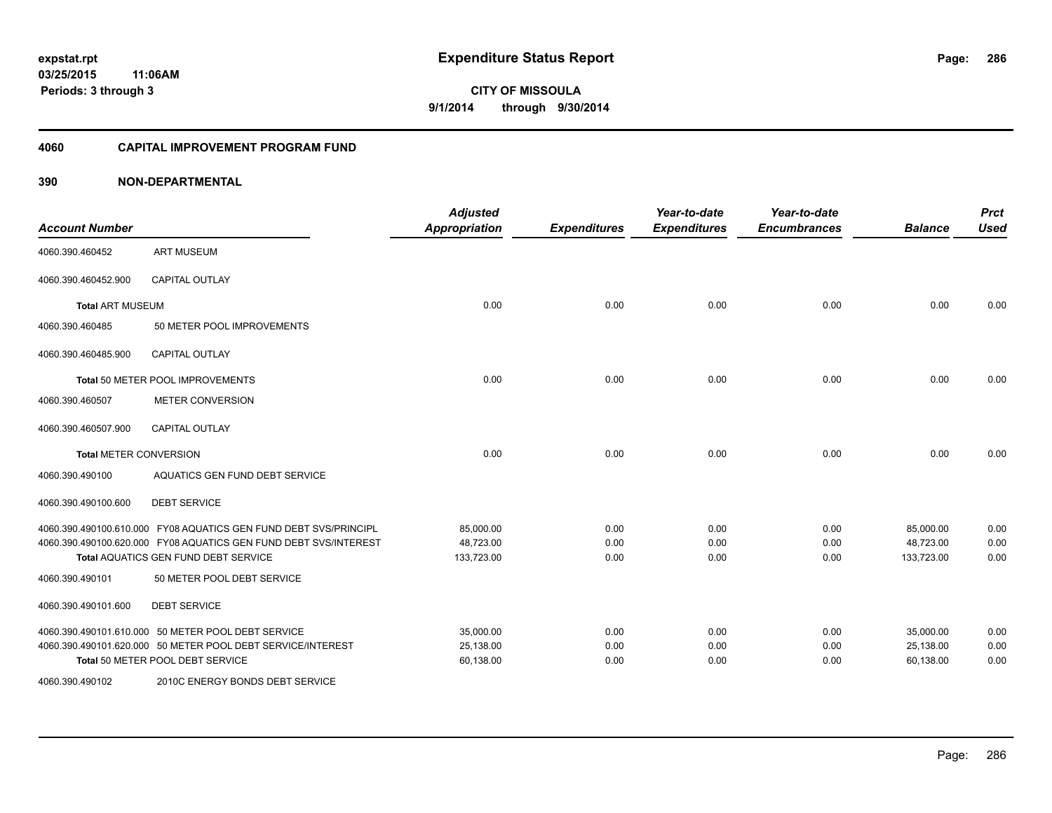#### **4060 CAPITAL IMPROVEMENT PROGRAM FUND**

| <b>Account Number</b>         |                                                                  | <b>Adjusted</b><br><b>Appropriation</b> | <b>Expenditures</b> | Year-to-date<br><b>Expenditures</b> | Year-to-date<br><b>Encumbrances</b> | <b>Balance</b> | <b>Prct</b><br><b>Used</b> |
|-------------------------------|------------------------------------------------------------------|-----------------------------------------|---------------------|-------------------------------------|-------------------------------------|----------------|----------------------------|
| 4060.390.460452               | <b>ART MUSEUM</b>                                                |                                         |                     |                                     |                                     |                |                            |
| 4060.390.460452.900           | <b>CAPITAL OUTLAY</b>                                            |                                         |                     |                                     |                                     |                |                            |
| <b>Total ART MUSEUM</b>       |                                                                  | 0.00                                    | 0.00                | 0.00                                | 0.00                                | 0.00           | 0.00                       |
| 4060.390.460485               | 50 METER POOL IMPROVEMENTS                                       |                                         |                     |                                     |                                     |                |                            |
| 4060.390.460485.900           | <b>CAPITAL OUTLAY</b>                                            |                                         |                     |                                     |                                     |                |                            |
|                               | Total 50 METER POOL IMPROVEMENTS                                 | 0.00                                    | 0.00                | 0.00                                | 0.00                                | 0.00           | 0.00                       |
| 4060.390.460507               | <b>METER CONVERSION</b>                                          |                                         |                     |                                     |                                     |                |                            |
| 4060.390.460507.900           | <b>CAPITAL OUTLAY</b>                                            |                                         |                     |                                     |                                     |                |                            |
| <b>Total METER CONVERSION</b> |                                                                  | 0.00                                    | 0.00                | 0.00                                | 0.00                                | 0.00           | 0.00                       |
| 4060.390.490100               | AQUATICS GEN FUND DEBT SERVICE                                   |                                         |                     |                                     |                                     |                |                            |
| 4060.390.490100.600           | <b>DEBT SERVICE</b>                                              |                                         |                     |                                     |                                     |                |                            |
|                               | 4060.390.490100.610.000 FY08 AQUATICS GEN FUND DEBT SVS/PRINCIPL | 85,000.00                               | 0.00                | 0.00                                | 0.00                                | 85,000.00      | 0.00                       |
|                               | 4060.390.490100.620.000 FY08 AQUATICS GEN FUND DEBT SVS/INTEREST | 48.723.00                               | 0.00                | 0.00                                | 0.00                                | 48,723.00      | 0.00                       |
|                               | <b>Total AQUATICS GEN FUND DEBT SERVICE</b>                      | 133,723.00                              | 0.00                | 0.00                                | 0.00                                | 133,723.00     | 0.00                       |
| 4060.390.490101               | 50 METER POOL DEBT SERVICE                                       |                                         |                     |                                     |                                     |                |                            |
| 4060.390.490101.600           | <b>DEBT SERVICE</b>                                              |                                         |                     |                                     |                                     |                |                            |
|                               | 4060.390.490101.610.000 50 METER POOL DEBT SERVICE               | 35,000.00                               | 0.00                | 0.00                                | 0.00                                | 35,000.00      | 0.00                       |
|                               | 4060.390.490101.620.000 50 METER POOL DEBT SERVICE/INTEREST      | 25,138.00                               | 0.00                | 0.00                                | 0.00                                | 25,138.00      | 0.00                       |
|                               | Total 50 METER POOL DEBT SERVICE                                 | 60,138.00                               | 0.00                | 0.00                                | 0.00                                | 60,138.00      | 0.00                       |
| 4060.390.490102               | 2010C ENERGY BONDS DEBT SERVICE                                  |                                         |                     |                                     |                                     |                |                            |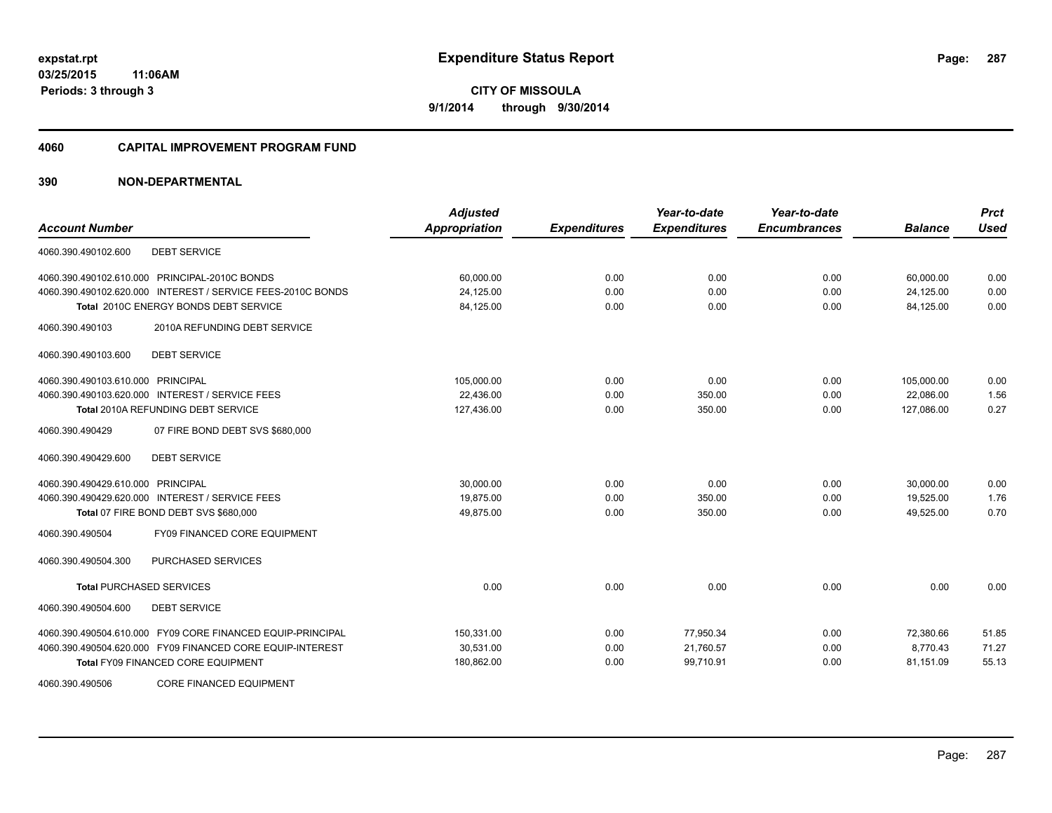#### **4060 CAPITAL IMPROVEMENT PROGRAM FUND**

| <b>Account Number</b>                                       | <b>Adjusted</b><br><b>Appropriation</b> | <b>Expenditures</b> | Year-to-date<br><b>Expenditures</b> | Year-to-date<br><b>Encumbrances</b> | <b>Balance</b> | <b>Prct</b><br><b>Used</b> |
|-------------------------------------------------------------|-----------------------------------------|---------------------|-------------------------------------|-------------------------------------|----------------|----------------------------|
|                                                             |                                         |                     |                                     |                                     |                |                            |
| <b>DEBT SERVICE</b><br>4060.390.490102.600                  |                                         |                     |                                     |                                     |                |                            |
| 4060.390.490102.610.000 PRINCIPAL-2010C BONDS               | 60,000.00                               | 0.00                | 0.00                                | 0.00                                | 60,000.00      | 0.00                       |
| 4060.390.490102.620.000 INTEREST / SERVICE FEES-2010C BONDS | 24,125.00                               | 0.00                | 0.00                                | 0.00                                | 24,125.00      | 0.00                       |
| Total 2010C ENERGY BONDS DEBT SERVICE                       | 84,125.00                               | 0.00                | 0.00                                | 0.00                                | 84,125.00      | 0.00                       |
| 2010A REFUNDING DEBT SERVICE<br>4060.390.490103             |                                         |                     |                                     |                                     |                |                            |
| 4060.390.490103.600<br><b>DEBT SERVICE</b>                  |                                         |                     |                                     |                                     |                |                            |
| 4060.390.490103.610.000 PRINCIPAL                           | 105,000.00                              | 0.00                | 0.00                                | 0.00                                | 105,000.00     | 0.00                       |
| 4060.390.490103.620.000 INTEREST / SERVICE FEES             | 22,436.00                               | 0.00                | 350.00                              | 0.00                                | 22,086.00      | 1.56                       |
| Total 2010A REFUNDING DEBT SERVICE                          | 127,436.00                              | 0.00                | 350.00                              | 0.00                                | 127,086.00     | 0.27                       |
| 07 FIRE BOND DEBT SVS \$680,000<br>4060.390.490429          |                                         |                     |                                     |                                     |                |                            |
| <b>DEBT SERVICE</b><br>4060.390.490429.600                  |                                         |                     |                                     |                                     |                |                            |
| 4060.390.490429.610.000 PRINCIPAL                           | 30,000.00                               | 0.00                | 0.00                                | 0.00                                | 30,000.00      | 0.00                       |
| 4060.390.490429.620.000 INTEREST / SERVICE FEES             | 19,875.00                               | 0.00                | 350.00                              | 0.00                                | 19,525.00      | 1.76                       |
| Total 07 FIRE BOND DEBT SVS \$680,000                       | 49,875.00                               | 0.00                | 350.00                              | 0.00                                | 49,525.00      | 0.70                       |
| FY09 FINANCED CORE EQUIPMENT<br>4060.390.490504             |                                         |                     |                                     |                                     |                |                            |
| PURCHASED SERVICES<br>4060.390.490504.300                   |                                         |                     |                                     |                                     |                |                            |
| <b>Total PURCHASED SERVICES</b>                             | 0.00                                    | 0.00                | 0.00                                | 0.00                                | 0.00           | 0.00                       |
| 4060.390.490504.600<br><b>DEBT SERVICE</b>                  |                                         |                     |                                     |                                     |                |                            |
| 4060.390.490504.610.000 FY09 CORE FINANCED EQUIP-PRINCIPAL  | 150,331.00                              | 0.00                | 77,950.34                           | 0.00                                | 72,380.66      | 51.85                      |
| 4060.390.490504.620.000 FY09 FINANCED CORE EQUIP-INTEREST   | 30,531.00                               | 0.00                | 21,760.57                           | 0.00                                | 8,770.43       | 71.27                      |
| <b>Total FY09 FINANCED CORE EQUIPMENT</b>                   | 180,862.00                              | 0.00                | 99,710.91                           | 0.00                                | 81,151.09      | 55.13                      |
| 4060.390.490506<br><b>CORE FINANCED EQUIPMENT</b>           |                                         |                     |                                     |                                     |                |                            |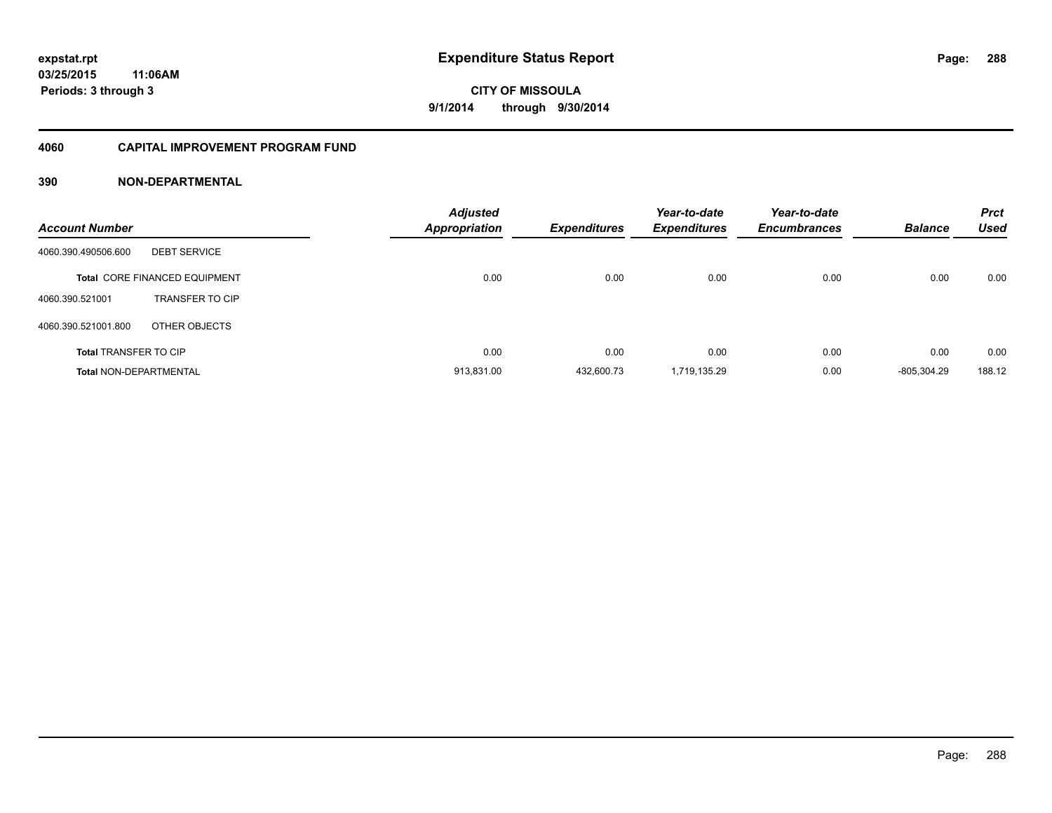### **4060 CAPITAL IMPROVEMENT PROGRAM FUND**

| <b>Account Number</b>         |                                      | <b>Adjusted</b><br><b>Appropriation</b> | <b>Expenditures</b> | Year-to-date<br><b>Expenditures</b> | Year-to-date<br><b>Encumbrances</b> | <b>Balance</b> | <b>Prct</b><br>Used |
|-------------------------------|--------------------------------------|-----------------------------------------|---------------------|-------------------------------------|-------------------------------------|----------------|---------------------|
| 4060.390.490506.600           | <b>DEBT SERVICE</b>                  |                                         |                     |                                     |                                     |                |                     |
|                               | <b>Total CORE FINANCED EQUIPMENT</b> | 0.00                                    | 0.00                | 0.00                                | 0.00                                | 0.00           | 0.00                |
| 4060.390.521001               | <b>TRANSFER TO CIP</b>               |                                         |                     |                                     |                                     |                |                     |
| 4060.390.521001.800           | OTHER OBJECTS                        |                                         |                     |                                     |                                     |                |                     |
| <b>Total TRANSFER TO CIP</b>  |                                      | 0.00                                    | 0.00                | 0.00                                | 0.00                                | 0.00           | 0.00                |
| <b>Total NON-DEPARTMENTAL</b> |                                      | 913.831.00                              | 432.600.73          | 1.719.135.29                        | 0.00                                | -805.304.29    | 188.12              |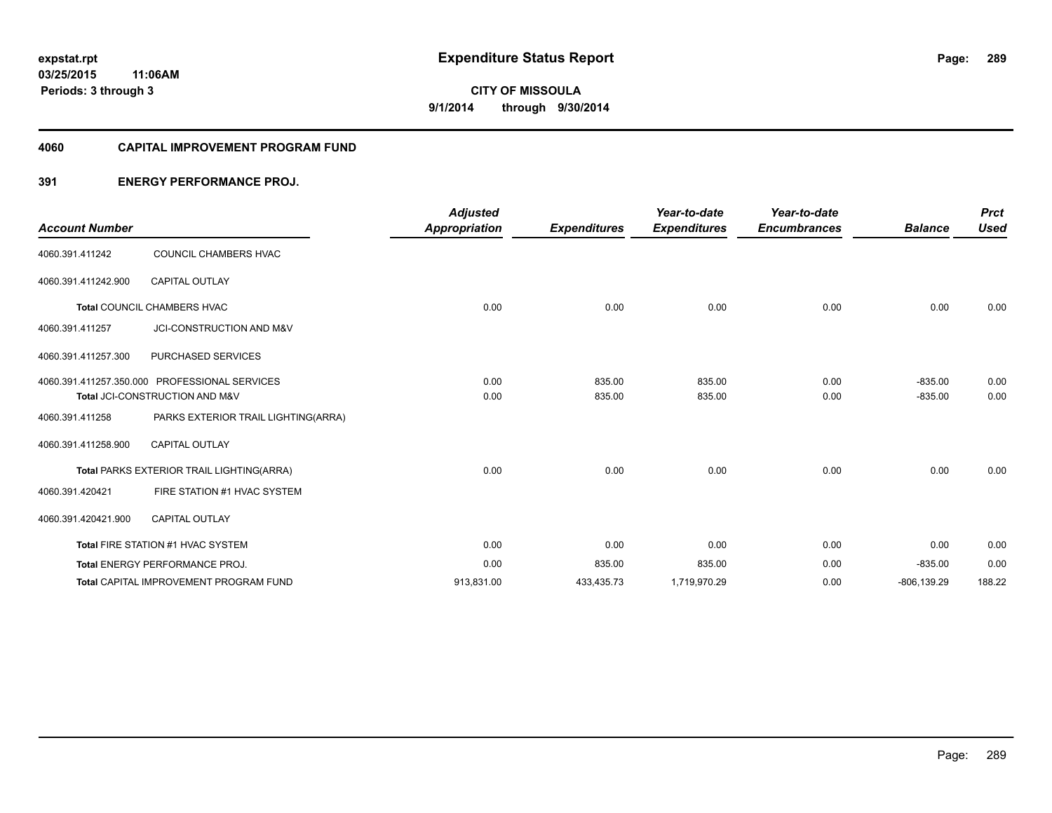#### **4060 CAPITAL IMPROVEMENT PROGRAM FUND**

#### **391 ENERGY PERFORMANCE PROJ.**

|                       |                                               | <b>Adjusted</b>      |                     | Year-to-date        | Year-to-date        |                | <b>Prct</b> |
|-----------------------|-----------------------------------------------|----------------------|---------------------|---------------------|---------------------|----------------|-------------|
| <b>Account Number</b> |                                               | <b>Appropriation</b> | <b>Expenditures</b> | <b>Expenditures</b> | <b>Encumbrances</b> | <b>Balance</b> | <b>Used</b> |
| 4060.391.411242       | COUNCIL CHAMBERS HVAC                         |                      |                     |                     |                     |                |             |
| 4060.391.411242.900   | <b>CAPITAL OUTLAY</b>                         |                      |                     |                     |                     |                |             |
|                       | Total COUNCIL CHAMBERS HVAC                   | 0.00                 | 0.00                | 0.00                | 0.00                | 0.00           | 0.00        |
| 4060.391.411257       | JCI-CONSTRUCTION AND M&V                      |                      |                     |                     |                     |                |             |
| 4060.391.411257.300   | PURCHASED SERVICES                            |                      |                     |                     |                     |                |             |
|                       | 4060.391.411257.350.000 PROFESSIONAL SERVICES | 0.00                 | 835.00              | 835.00              | 0.00                | $-835.00$      | 0.00        |
|                       | Total JCI-CONSTRUCTION AND M&V                | 0.00                 | 835.00              | 835.00              | 0.00                | $-835.00$      | 0.00        |
| 4060.391.411258       | PARKS EXTERIOR TRAIL LIGHTING(ARRA)           |                      |                     |                     |                     |                |             |
| 4060.391.411258.900   | <b>CAPITAL OUTLAY</b>                         |                      |                     |                     |                     |                |             |
|                       | Total PARKS EXTERIOR TRAIL LIGHTING(ARRA)     | 0.00                 | 0.00                | 0.00                | 0.00                | 0.00           | 0.00        |
| 4060.391.420421       | FIRE STATION #1 HVAC SYSTEM                   |                      |                     |                     |                     |                |             |
| 4060.391.420421.900   | <b>CAPITAL OUTLAY</b>                         |                      |                     |                     |                     |                |             |
|                       | Total FIRE STATION #1 HVAC SYSTEM             | 0.00                 | 0.00                | 0.00                | 0.00                | 0.00           | 0.00        |
|                       | Total ENERGY PERFORMANCE PROJ.                | 0.00                 | 835.00              | 835.00              | 0.00                | $-835.00$      | 0.00        |
|                       | <b>Total CAPITAL IMPROVEMENT PROGRAM FUND</b> | 913,831.00           | 433,435.73          | 1,719,970.29        | 0.00                | $-806, 139.29$ | 188.22      |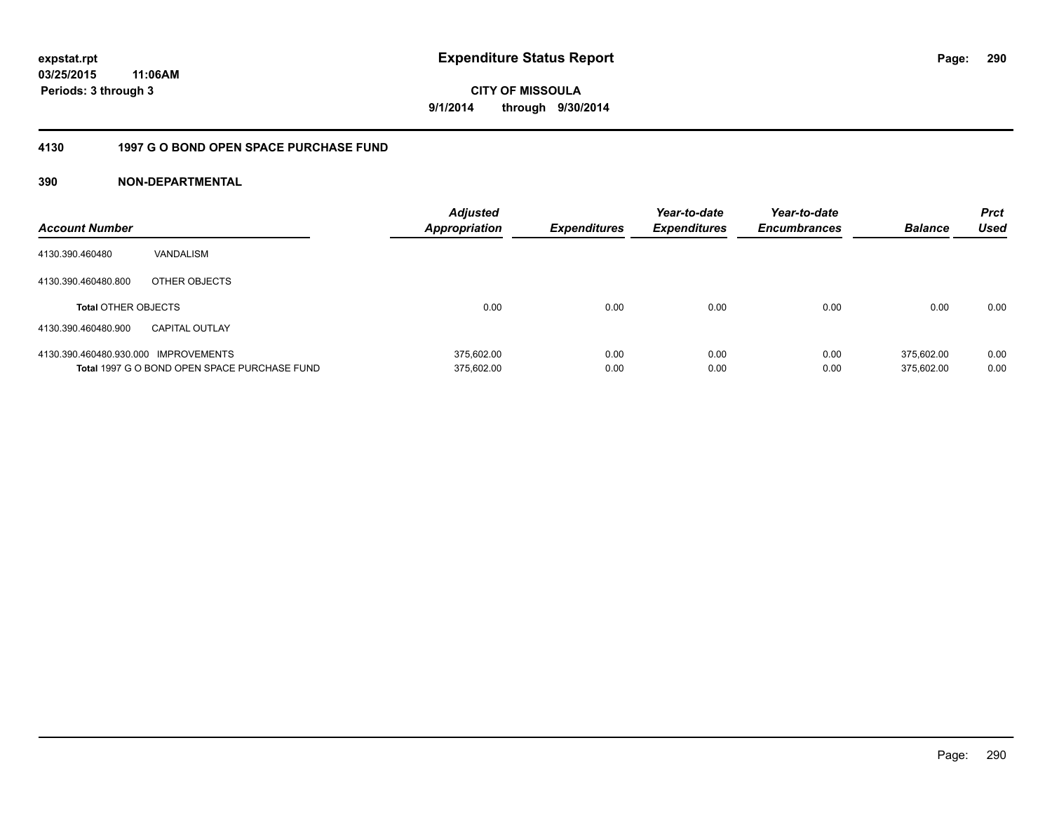**CITY OF MISSOULA 9/1/2014 through 9/30/2014**

#### **4130 1997 G O BOND OPEN SPACE PURCHASE FUND**

| <b>Account Number</b>                |                                              | <b>Adjusted</b><br>Appropriation | <b>Expenditures</b> | Year-to-date<br><b>Expenditures</b> | Year-to-date<br><b>Encumbrances</b> | <b>Balance</b> | <b>Prct</b><br>Used |
|--------------------------------------|----------------------------------------------|----------------------------------|---------------------|-------------------------------------|-------------------------------------|----------------|---------------------|
| 4130.390.460480                      | VANDALISM                                    |                                  |                     |                                     |                                     |                |                     |
| 4130.390.460480.800                  | OTHER OBJECTS                                |                                  |                     |                                     |                                     |                |                     |
| <b>Total OTHER OBJECTS</b>           |                                              | 0.00                             | 0.00                | 0.00                                | 0.00                                | 0.00           | 0.00                |
| 4130.390.460480.900                  | <b>CAPITAL OUTLAY</b>                        |                                  |                     |                                     |                                     |                |                     |
| 4130.390.460480.930.000 IMPROVEMENTS |                                              | 375.602.00                       | 0.00                | 0.00                                | 0.00                                | 375.602.00     | 0.00                |
|                                      | Total 1997 G O BOND OPEN SPACE PURCHASE FUND | 375,602.00                       | 0.00                | 0.00                                | 0.00                                | 375.602.00     | 0.00                |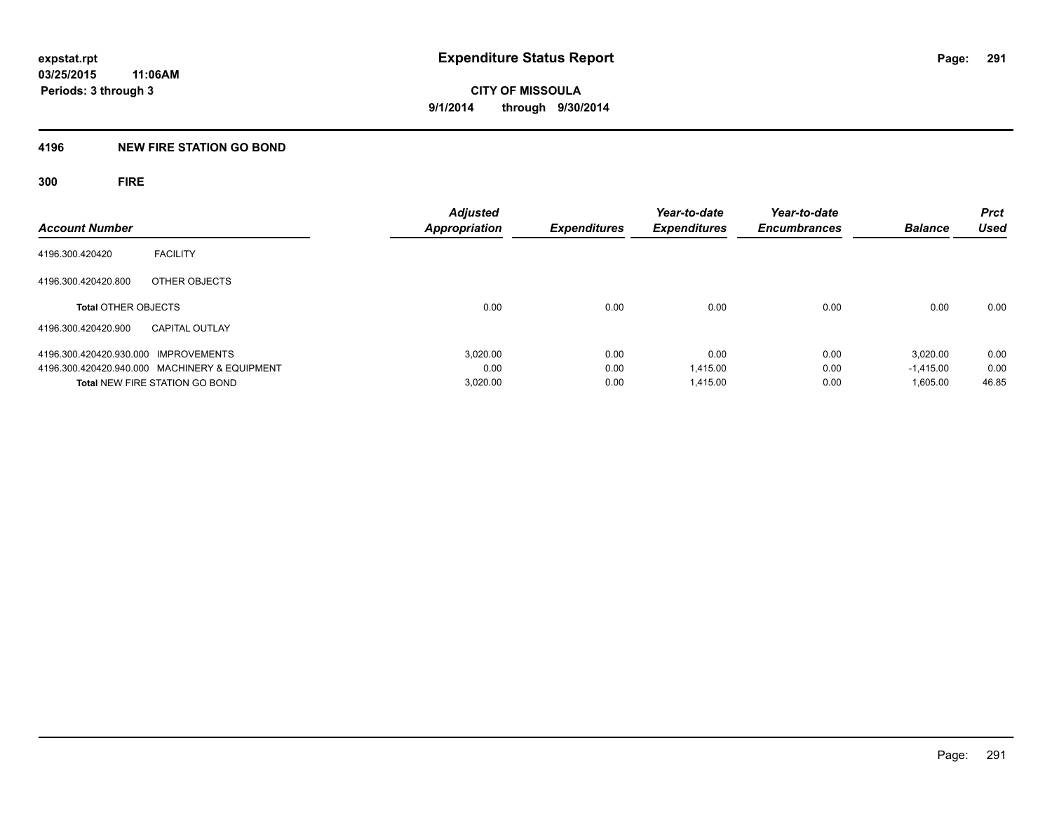#### **4196 NEW FIRE STATION GO BOND**

**300 FIRE**

| <b>Account Number</b>                         | <b>Adjusted</b><br><b>Appropriation</b> | <b>Expenditures</b> | Year-to-date<br><b>Expenditures</b> | Year-to-date<br><b>Encumbrances</b> | <b>Balance</b> | <b>Prct</b><br><b>Used</b> |
|-----------------------------------------------|-----------------------------------------|---------------------|-------------------------------------|-------------------------------------|----------------|----------------------------|
| <b>FACILITY</b><br>4196.300.420420            |                                         |                     |                                     |                                     |                |                            |
| 4196.300.420420.800<br>OTHER OBJECTS          |                                         |                     |                                     |                                     |                |                            |
| <b>Total OTHER OBJECTS</b>                    | 0.00                                    | 0.00                | 0.00                                | 0.00                                | 0.00           | 0.00                       |
| 4196.300.420420.900<br><b>CAPITAL OUTLAY</b>  |                                         |                     |                                     |                                     |                |                            |
| 4196.300.420420.930.000 IMPROVEMENTS          | 3.020.00                                | 0.00                | 0.00                                | 0.00                                | 3.020.00       | 0.00                       |
| 4196.300.420420.940.000 MACHINERY & EQUIPMENT | 0.00                                    | 0.00                | 1.415.00                            | 0.00                                | $-1.415.00$    | 0.00                       |
| <b>Total NEW FIRE STATION GO BOND</b>         | 3,020.00                                | 0.00                | 1.415.00                            | 0.00                                | 1,605.00       | 46.85                      |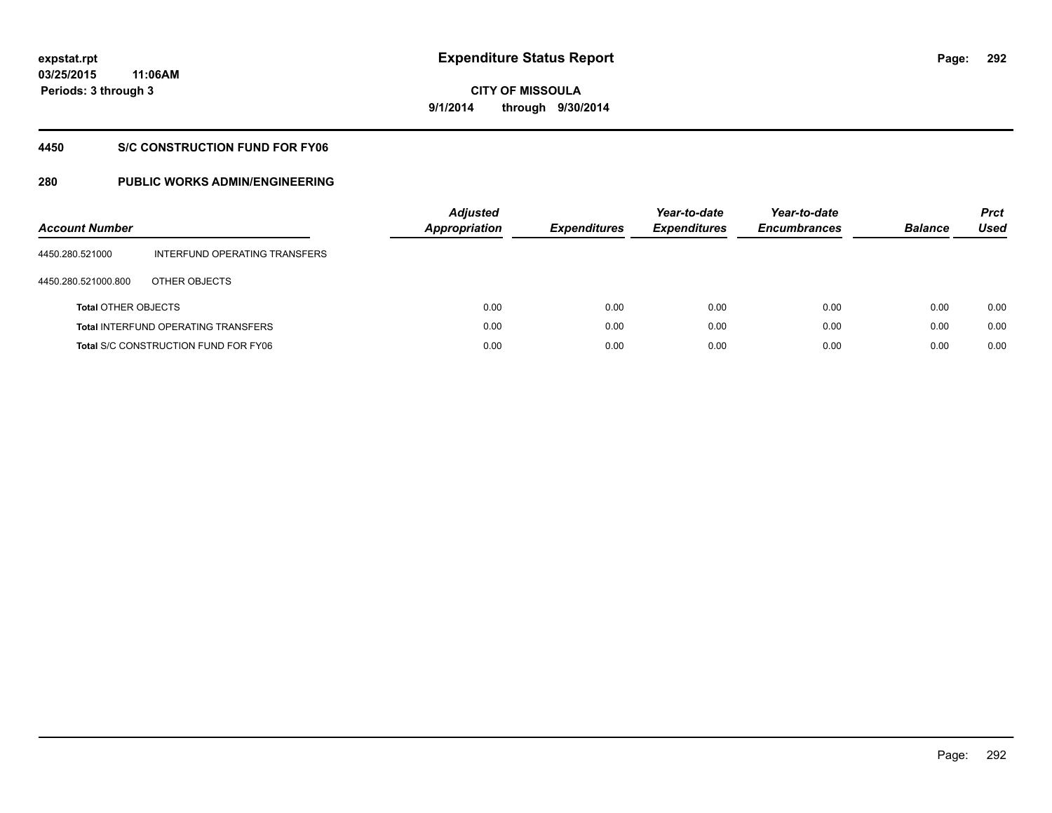**292**

**03/25/2015 11:06AM Periods: 3 through 3**

**CITY OF MISSOULA 9/1/2014 through 9/30/2014**

#### **4450 S/C CONSTRUCTION FUND FOR FY06**

| <b>Account Number</b>      |                                             | <b>Adjusted</b><br>Appropriation | <b>Expenditures</b> | Year-to-date<br><b>Expenditures</b> | Year-to-date<br><b>Encumbrances</b> | <b>Balance</b> | <b>Prct</b><br>Used |
|----------------------------|---------------------------------------------|----------------------------------|---------------------|-------------------------------------|-------------------------------------|----------------|---------------------|
| 4450.280.521000            | INTERFUND OPERATING TRANSFERS               |                                  |                     |                                     |                                     |                |                     |
| 4450.280.521000.800        | OTHER OBJECTS                               |                                  |                     |                                     |                                     |                |                     |
| <b>Total OTHER OBJECTS</b> |                                             | 0.00                             | 0.00                | 0.00                                | 0.00                                | 0.00           | 0.00                |
|                            | <b>Total INTERFUND OPERATING TRANSFERS</b>  | 0.00                             | 0.00                | 0.00                                | 0.00                                | 0.00           | 0.00                |
|                            | <b>Total S/C CONSTRUCTION FUND FOR FY06</b> | 0.00                             | 0.00                | 0.00                                | 0.00                                | 0.00           | 0.00                |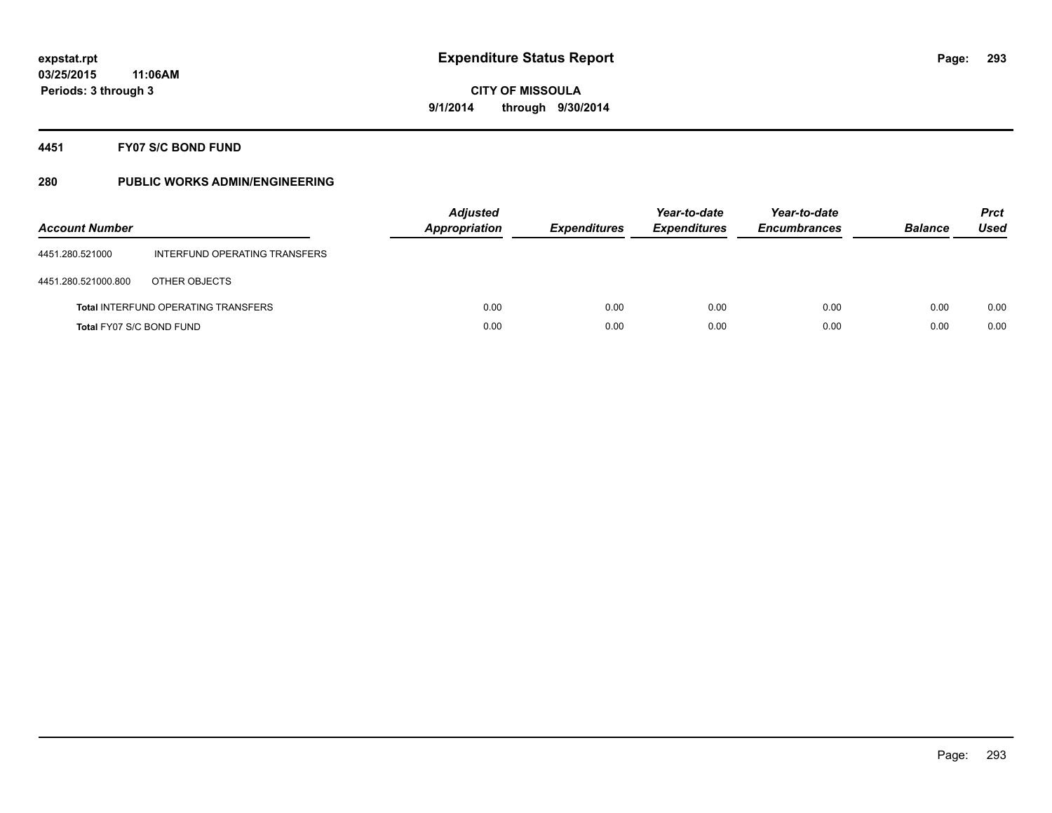#### **4451 FY07 S/C BOND FUND**

| <b>Account Number</b>    |                                            | <b>Adjusted</b><br><b>Appropriation</b> | <b>Expenditures</b> | Year-to-date<br><b>Expenditures</b> | Year-to-date<br><b>Encumbrances</b> | <b>Balance</b> | <b>Prct</b><br>Used |
|--------------------------|--------------------------------------------|-----------------------------------------|---------------------|-------------------------------------|-------------------------------------|----------------|---------------------|
| 4451.280.521000          | INTERFUND OPERATING TRANSFERS              |                                         |                     |                                     |                                     |                |                     |
| 4451.280.521000.800      | OTHER OBJECTS                              |                                         |                     |                                     |                                     |                |                     |
|                          | <b>Total INTERFUND OPERATING TRANSFERS</b> | 0.00                                    | 0.00                | 0.00                                | 0.00                                | 0.00           | 0.00                |
| Total FY07 S/C BOND FUND |                                            | 0.00                                    | 0.00                | 0.00                                | 0.00                                | 0.00           | 0.00                |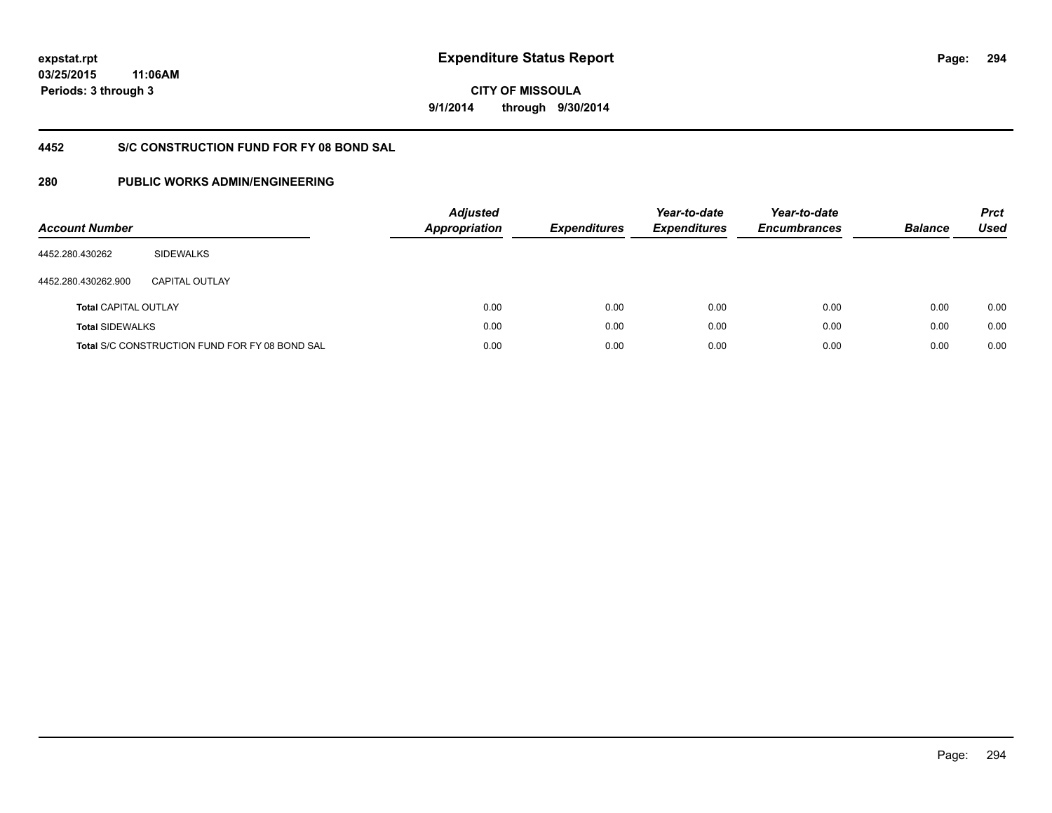**294**

**03/25/2015 11:06AM Periods: 3 through 3**

**CITY OF MISSOULA 9/1/2014 through 9/30/2014**

## **4452 S/C CONSTRUCTION FUND FOR FY 08 BOND SAL**

| <b>Account Number</b>       |                                                | <b>Adjusted</b><br>Appropriation | <b>Expenditures</b> | Year-to-date<br><b>Expenditures</b> | Year-to-date<br><b>Encumbrances</b> | <b>Balance</b> | <b>Prct</b><br><b>Used</b> |
|-----------------------------|------------------------------------------------|----------------------------------|---------------------|-------------------------------------|-------------------------------------|----------------|----------------------------|
| 4452.280.430262             | <b>SIDEWALKS</b>                               |                                  |                     |                                     |                                     |                |                            |
| 4452.280.430262.900         | CAPITAL OUTLAY                                 |                                  |                     |                                     |                                     |                |                            |
| <b>Total CAPITAL OUTLAY</b> |                                                | 0.00                             | 0.00                | 0.00                                | 0.00                                | 0.00           | 0.00                       |
| <b>Total SIDEWALKS</b>      |                                                | 0.00                             | 0.00                | 0.00                                | 0.00                                | 0.00           | 0.00                       |
|                             | Total S/C CONSTRUCTION FUND FOR FY 08 BOND SAL | 0.00                             | 0.00                | 0.00                                | 0.00                                | 0.00           | 0.00                       |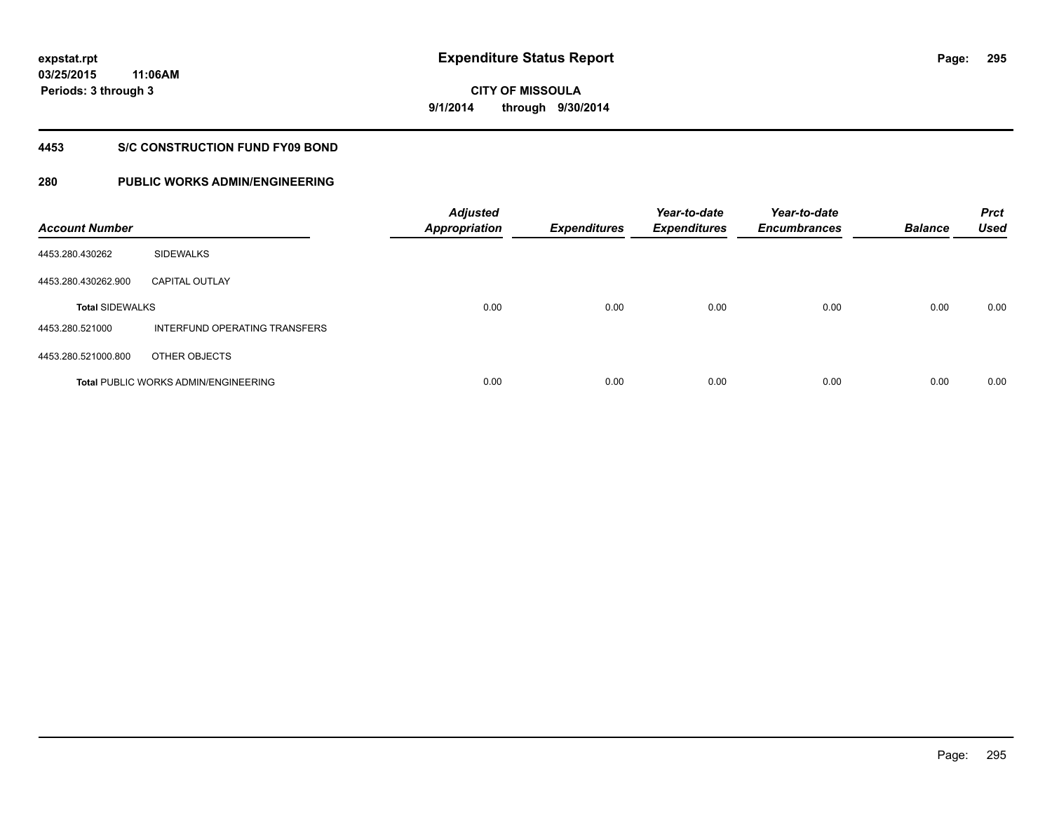**295**

**CITY OF MISSOULA 9/1/2014 through 9/30/2014**

#### **4453 S/C CONSTRUCTION FUND FY09 BOND**

| <b>Account Number</b>  |                                             | <b>Adjusted</b><br><b>Appropriation</b> | <b>Expenditures</b> | Year-to-date<br><b>Expenditures</b> | Year-to-date<br><b>Encumbrances</b> | <b>Balance</b> | <b>Prct</b><br><b>Used</b> |
|------------------------|---------------------------------------------|-----------------------------------------|---------------------|-------------------------------------|-------------------------------------|----------------|----------------------------|
| 4453.280.430262        | <b>SIDEWALKS</b>                            |                                         |                     |                                     |                                     |                |                            |
| 4453.280.430262.900    | <b>CAPITAL OUTLAY</b>                       |                                         |                     |                                     |                                     |                |                            |
| <b>Total SIDEWALKS</b> |                                             | 0.00                                    | 0.00                | 0.00                                | 0.00                                | 0.00           | 0.00                       |
| 4453.280.521000        | INTERFUND OPERATING TRANSFERS               |                                         |                     |                                     |                                     |                |                            |
| 4453.280.521000.800    | OTHER OBJECTS                               |                                         |                     |                                     |                                     |                |                            |
|                        | <b>Total PUBLIC WORKS ADMIN/ENGINEERING</b> | 0.00                                    | 0.00                | 0.00                                | 0.00                                | 0.00           | 0.00                       |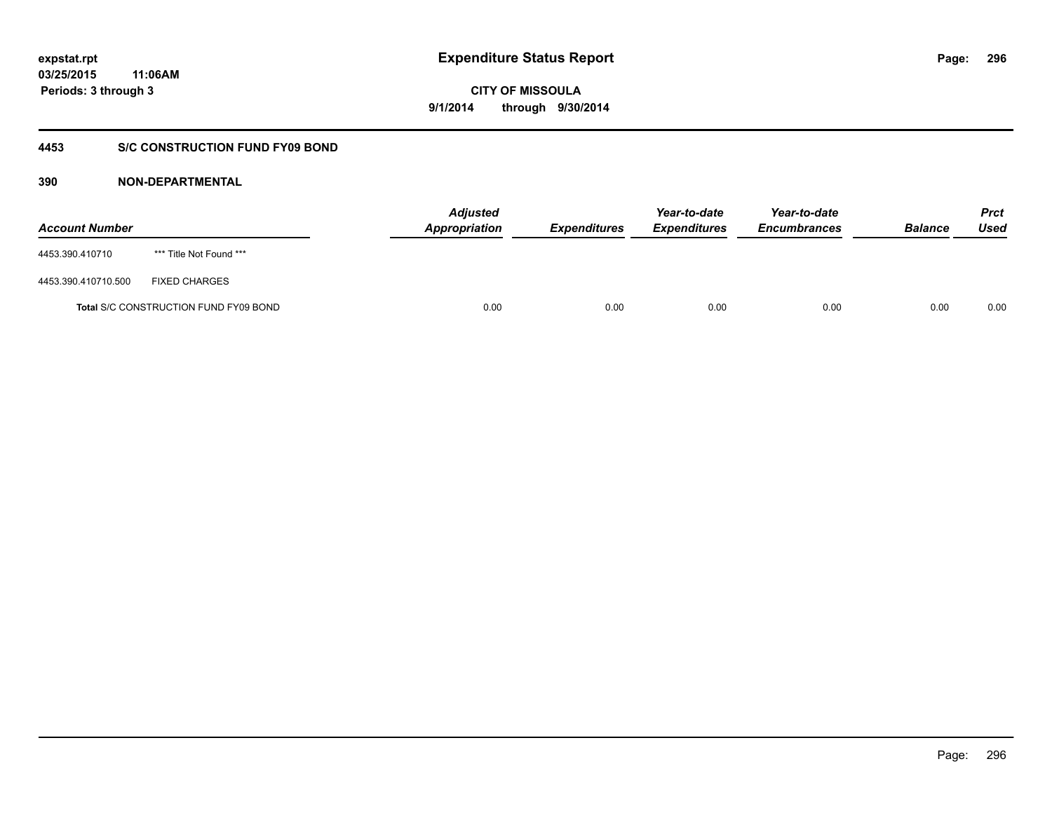**CITY OF MISSOULA 9/1/2014 through 9/30/2014**

#### **4453 S/C CONSTRUCTION FUND FY09 BOND**

| <b>Account Number</b> |                                       | <b>Adjusted</b><br>Appropriation | <b>Expenditures</b> | Year-to-date<br><b>Expenditures</b> | Year-to-date<br><b>Encumbrances</b> | <b>Balance</b> | <b>Prct</b><br>Used |
|-----------------------|---------------------------------------|----------------------------------|---------------------|-------------------------------------|-------------------------------------|----------------|---------------------|
| 4453.390.410710       | *** Title Not Found ***               |                                  |                     |                                     |                                     |                |                     |
| 4453.390.410710.500   | <b>FIXED CHARGES</b>                  |                                  |                     |                                     |                                     |                |                     |
|                       | Total S/C CONSTRUCTION FUND FY09 BOND | 0.00                             | 0.00                | 0.00                                | 0.00                                | 0.00           | 0.00                |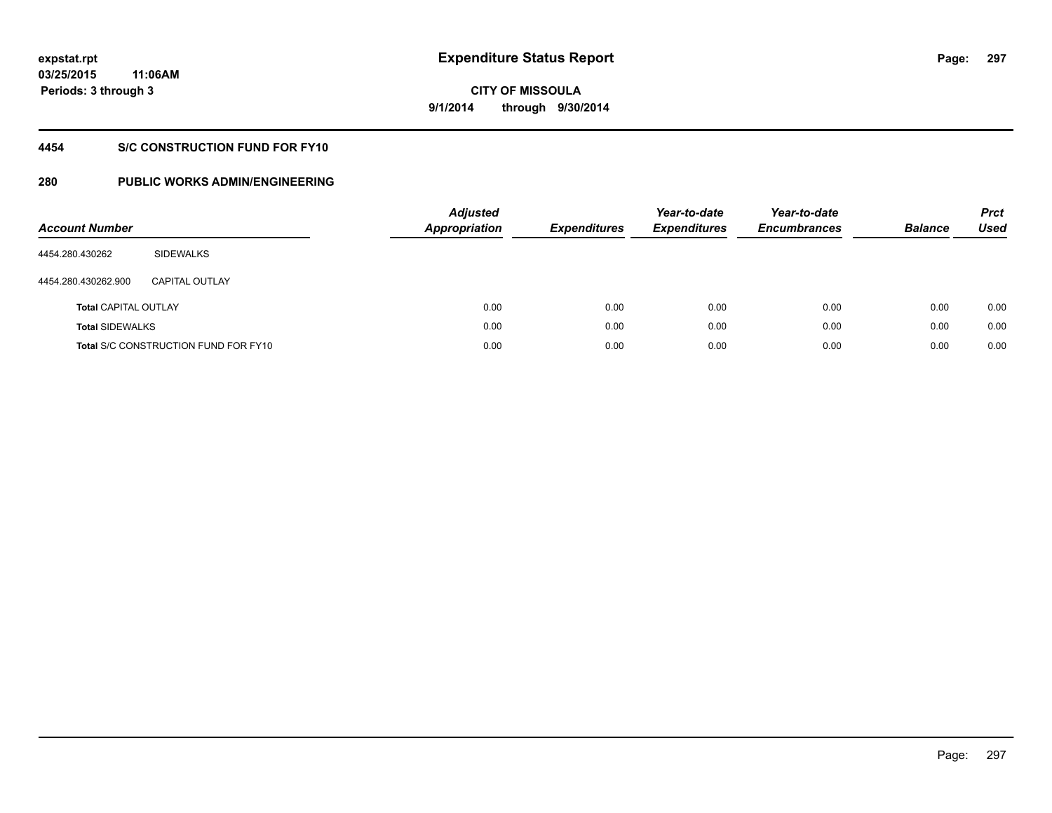## **CITY OF MISSOULA 9/1/2014 through 9/30/2014**

## **4454 S/C CONSTRUCTION FUND FOR FY10**

| <b>Account Number</b>       |                                             | <b>Adjusted</b><br><b>Appropriation</b> | <b>Expenditures</b> | Year-to-date<br><b>Expenditures</b> | Year-to-date<br><b>Encumbrances</b> | <b>Balance</b> | <b>Prct</b><br><b>Used</b> |
|-----------------------------|---------------------------------------------|-----------------------------------------|---------------------|-------------------------------------|-------------------------------------|----------------|----------------------------|
| 4454.280.430262             | SIDEWALKS                                   |                                         |                     |                                     |                                     |                |                            |
| 4454.280.430262.900         | <b>CAPITAL OUTLAY</b>                       |                                         |                     |                                     |                                     |                |                            |
| <b>Total CAPITAL OUTLAY</b> |                                             | 0.00                                    | 0.00                | 0.00                                | 0.00                                | 0.00           | 0.00                       |
| <b>Total SIDEWALKS</b>      |                                             | 0.00                                    | 0.00                | 0.00                                | 0.00                                | 0.00           | 0.00                       |
|                             | <b>Total S/C CONSTRUCTION FUND FOR FY10</b> | 0.00                                    | 0.00                | 0.00                                | 0.00                                | 0.00           | 0.00                       |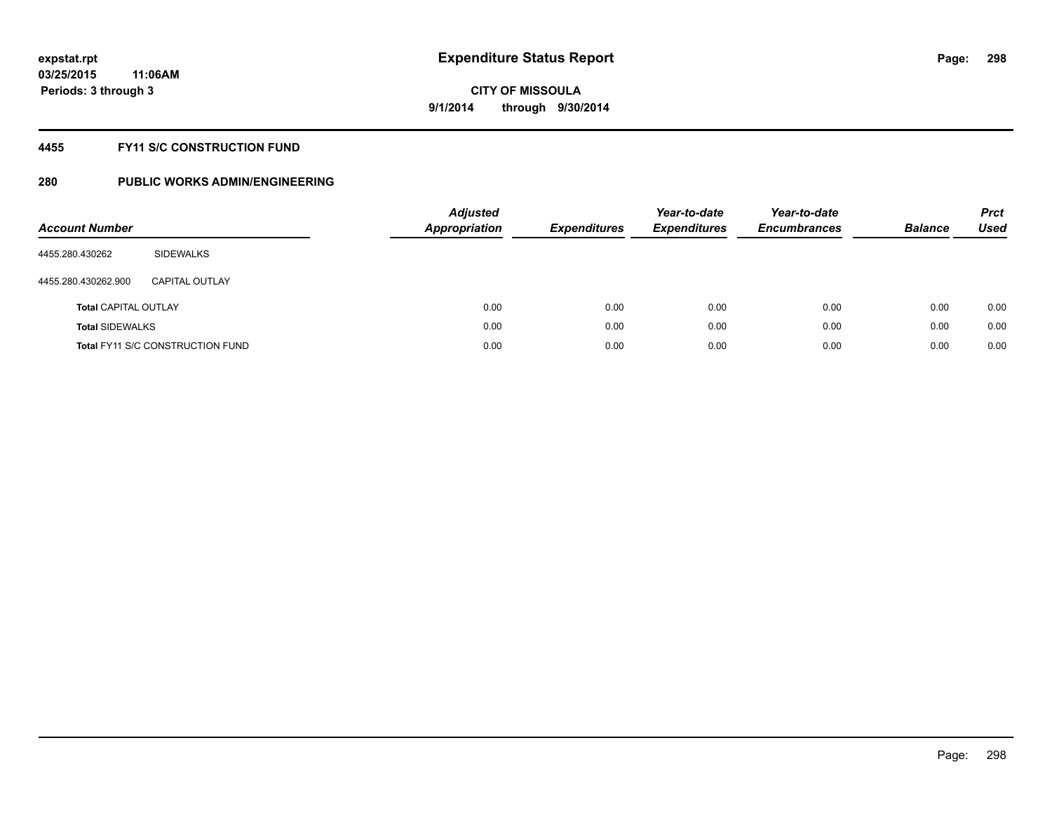#### **4455 FY11 S/C CONSTRUCTION FUND**

| <b>Account Number</b>       |                                         | <b>Adjusted</b><br><b>Appropriation</b> | <b>Expenditures</b> | Year-to-date<br><b>Expenditures</b> | Year-to-date<br><b>Encumbrances</b> | <b>Balance</b> | <b>Prct</b><br>Used |
|-----------------------------|-----------------------------------------|-----------------------------------------|---------------------|-------------------------------------|-------------------------------------|----------------|---------------------|
| 4455.280.430262             | SIDEWALKS                               |                                         |                     |                                     |                                     |                |                     |
| 4455.280.430262.900         | CAPITAL OUTLAY                          |                                         |                     |                                     |                                     |                |                     |
| <b>Total CAPITAL OUTLAY</b> |                                         | 0.00                                    | 0.00                | 0.00                                | 0.00                                | 0.00           | 0.00                |
| <b>Total SIDEWALKS</b>      |                                         | 0.00                                    | 0.00                | 0.00                                | 0.00                                | 0.00           | 0.00                |
|                             | <b>Total FY11 S/C CONSTRUCTION FUND</b> | 0.00                                    | 0.00                | 0.00                                | 0.00                                | 0.00           | 0.00                |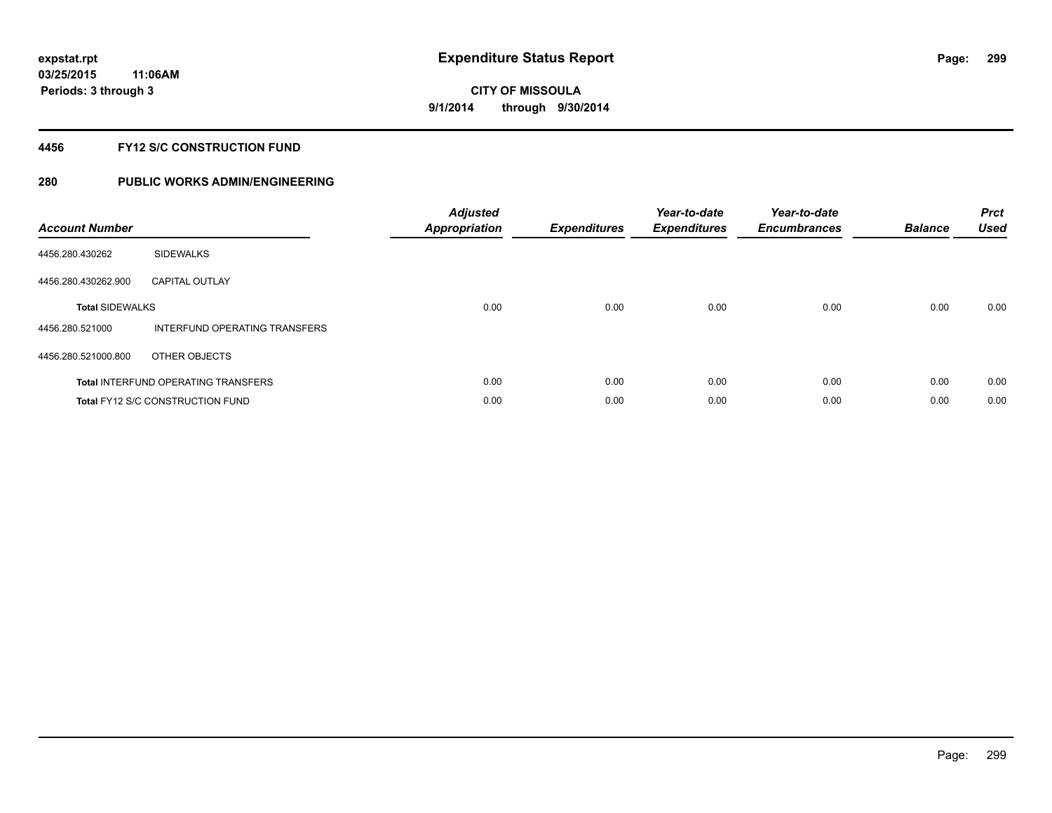#### **4456 FY12 S/C CONSTRUCTION FUND**

| <b>Account Number</b>  |                                            | <b>Adjusted</b><br><b>Appropriation</b> | <b>Expenditures</b> | Year-to-date<br><b>Expenditures</b> | Year-to-date<br><b>Encumbrances</b> | <b>Balance</b> | <b>Prct</b><br><b>Used</b> |
|------------------------|--------------------------------------------|-----------------------------------------|---------------------|-------------------------------------|-------------------------------------|----------------|----------------------------|
| 4456.280.430262        | <b>SIDEWALKS</b>                           |                                         |                     |                                     |                                     |                |                            |
| 4456.280.430262.900    | <b>CAPITAL OUTLAY</b>                      |                                         |                     |                                     |                                     |                |                            |
| <b>Total SIDEWALKS</b> |                                            | 0.00                                    | 0.00                | 0.00                                | 0.00                                | 0.00           | 0.00                       |
| 4456.280.521000        | INTERFUND OPERATING TRANSFERS              |                                         |                     |                                     |                                     |                |                            |
| 4456.280.521000.800    | OTHER OBJECTS                              |                                         |                     |                                     |                                     |                |                            |
|                        | <b>Total INTERFUND OPERATING TRANSFERS</b> | 0.00                                    | 0.00                | 0.00                                | 0.00                                | 0.00           | 0.00                       |
|                        | <b>Total FY12 S/C CONSTRUCTION FUND</b>    | 0.00                                    | 0.00                | 0.00                                | 0.00                                | 0.00           | 0.00                       |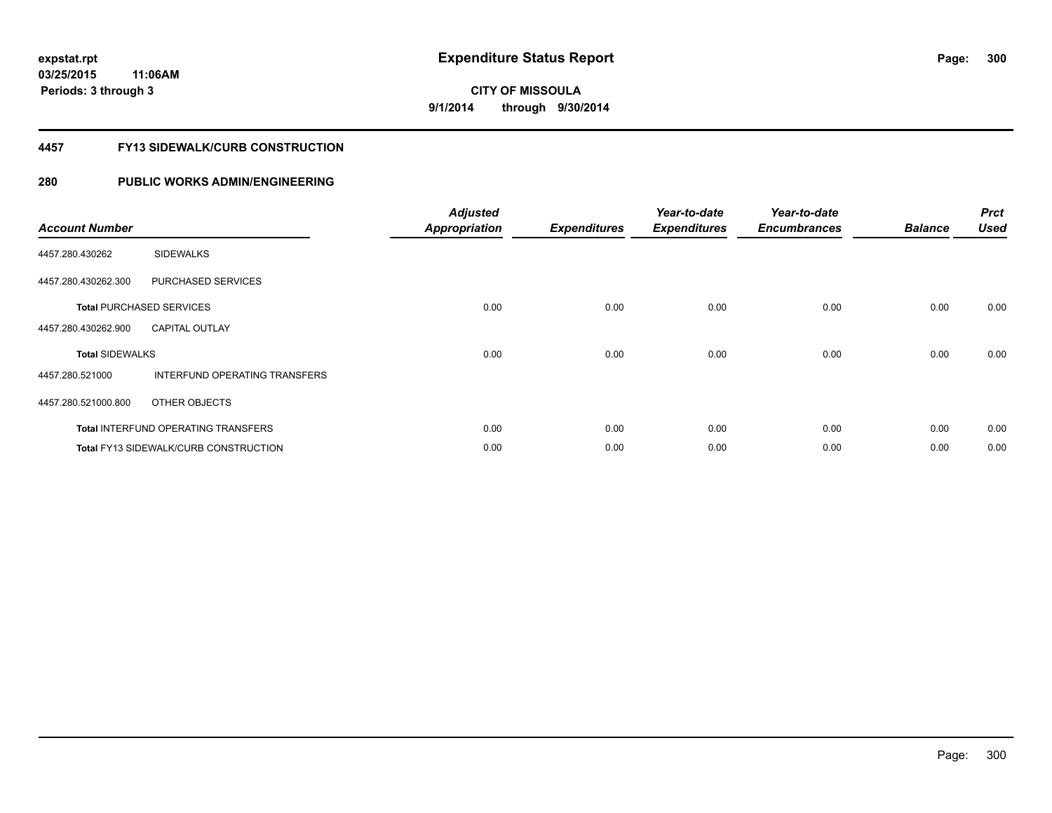# **CITY OF MISSOULA 9/1/2014 through 9/30/2014**

#### **4457 FY13 SIDEWALK/CURB CONSTRUCTION**

| <b>Account Number</b>  |                                              | <b>Adjusted</b><br><b>Appropriation</b> | <b>Expenditures</b> | Year-to-date<br><b>Expenditures</b> | Year-to-date<br><b>Encumbrances</b> | <b>Balance</b> | <b>Prct</b><br><b>Used</b> |
|------------------------|----------------------------------------------|-----------------------------------------|---------------------|-------------------------------------|-------------------------------------|----------------|----------------------------|
| 4457.280.430262        | <b>SIDEWALKS</b>                             |                                         |                     |                                     |                                     |                |                            |
| 4457.280.430262.300    | PURCHASED SERVICES                           |                                         |                     |                                     |                                     |                |                            |
|                        | <b>Total PURCHASED SERVICES</b>              | 0.00                                    | 0.00                | 0.00                                | 0.00                                | 0.00           | 0.00                       |
| 4457.280.430262.900    | <b>CAPITAL OUTLAY</b>                        |                                         |                     |                                     |                                     |                |                            |
| <b>Total SIDEWALKS</b> |                                              | 0.00                                    | 0.00                | 0.00                                | 0.00                                | 0.00           | 0.00                       |
| 4457.280.521000        | <b>INTERFUND OPERATING TRANSFERS</b>         |                                         |                     |                                     |                                     |                |                            |
| 4457.280.521000.800    | OTHER OBJECTS                                |                                         |                     |                                     |                                     |                |                            |
|                        | <b>Total INTERFUND OPERATING TRANSFERS</b>   | 0.00                                    | 0.00                | 0.00                                | 0.00                                | 0.00           | 0.00                       |
|                        | <b>Total FY13 SIDEWALK/CURB CONSTRUCTION</b> | 0.00                                    | 0.00                | 0.00                                | 0.00                                | 0.00           | 0.00                       |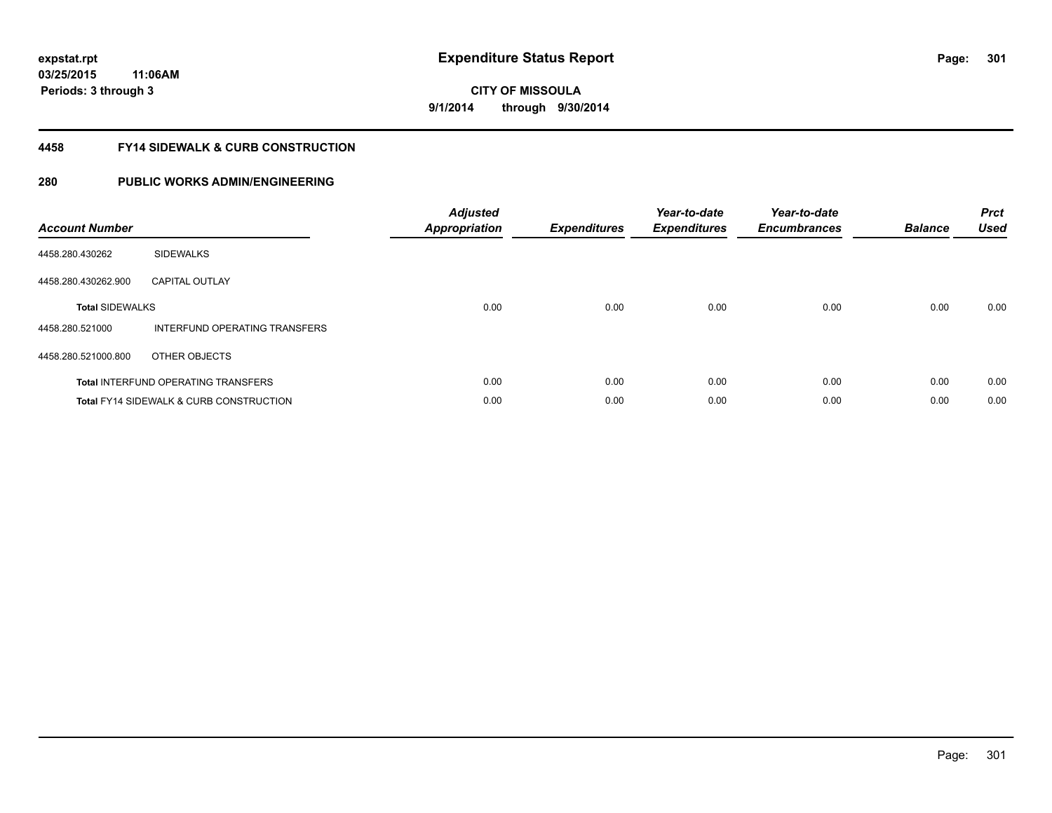**301**

**CITY OF MISSOULA 9/1/2014 through 9/30/2014**

#### **4458 FY14 SIDEWALK & CURB CONSTRUCTION**

| <b>Account Number</b>  |                                            | <b>Adjusted</b><br><b>Appropriation</b> | <b>Expenditures</b> | Year-to-date<br><b>Expenditures</b> | Year-to-date<br><b>Encumbrances</b> | <b>Balance</b> | <b>Prct</b><br><b>Used</b> |
|------------------------|--------------------------------------------|-----------------------------------------|---------------------|-------------------------------------|-------------------------------------|----------------|----------------------------|
| 4458.280.430262        | <b>SIDEWALKS</b>                           |                                         |                     |                                     |                                     |                |                            |
| 4458.280.430262.900    | <b>CAPITAL OUTLAY</b>                      |                                         |                     |                                     |                                     |                |                            |
| <b>Total SIDEWALKS</b> |                                            | 0.00                                    | 0.00                | 0.00                                | 0.00                                | 0.00           | 0.00                       |
| 4458.280.521000        | INTERFUND OPERATING TRANSFERS              |                                         |                     |                                     |                                     |                |                            |
| 4458.280.521000.800    | OTHER OBJECTS                              |                                         |                     |                                     |                                     |                |                            |
|                        | <b>Total INTERFUND OPERATING TRANSFERS</b> | 0.00                                    | 0.00                | 0.00                                | 0.00                                | 0.00           | 0.00                       |
|                        | Total FY14 SIDEWALK & CURB CONSTRUCTION    | 0.00                                    | 0.00                | 0.00                                | 0.00                                | 0.00           | 0.00                       |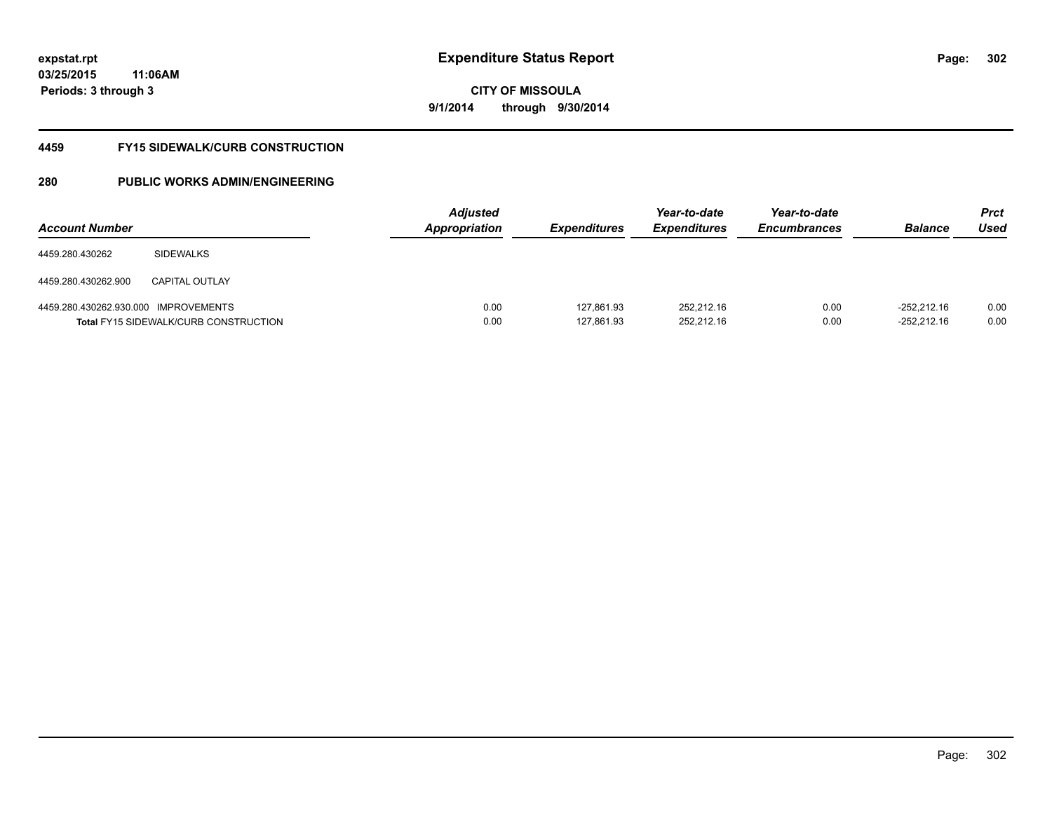**CITY OF MISSOULA 9/1/2014 through 9/30/2014**

#### **4459 FY15 SIDEWALK/CURB CONSTRUCTION**

| <b>Account Number</b>                |                                              | <b>Adjusted</b><br>Appropriation | <b>Expenditures</b>      | Year-to-date<br><i><b>Expenditures</b></i> | Year-to-date<br><b>Encumbrances</b> | <b>Balance</b>                 | <b>Prct</b><br>Used |
|--------------------------------------|----------------------------------------------|----------------------------------|--------------------------|--------------------------------------------|-------------------------------------|--------------------------------|---------------------|
| 4459.280.430262                      | <b>SIDEWALKS</b>                             |                                  |                          |                                            |                                     |                                |                     |
| 4459.280.430262.900                  | <b>CAPITAL OUTLAY</b>                        |                                  |                          |                                            |                                     |                                |                     |
| 4459.280.430262.930.000 IMPROVEMENTS | <b>Total FY15 SIDEWALK/CURB CONSTRUCTION</b> | 0.00<br>0.00                     | 127,861.93<br>127,861.93 | 252.212.16<br>252.212.16                   | 0.00<br>0.00                        | $-252.212.16$<br>$-252.212.16$ | 0.00<br>0.00        |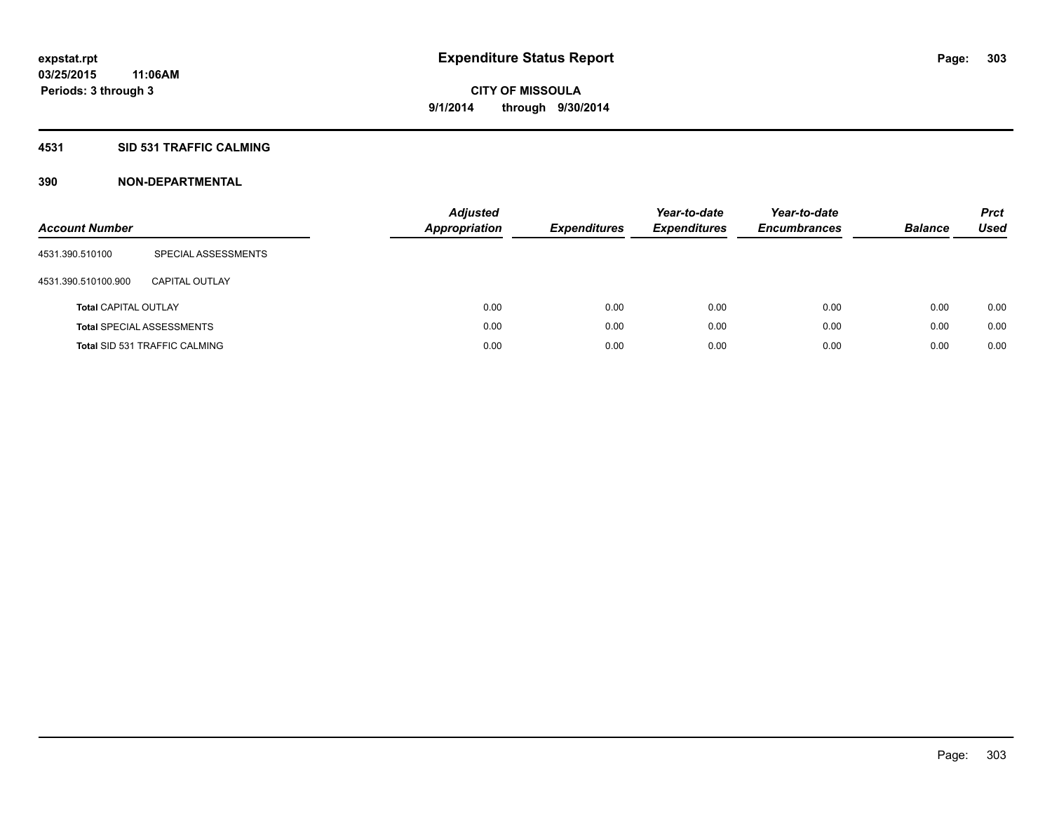#### **4531 SID 531 TRAFFIC CALMING**

| <b>Account Number</b>       |                                      | <b>Adjusted</b><br><b>Appropriation</b> | <b>Expenditures</b> | Year-to-date<br><b>Expenditures</b> | Year-to-date<br><b>Encumbrances</b> | <b>Balance</b> | <b>Prct</b><br>Used |
|-----------------------------|--------------------------------------|-----------------------------------------|---------------------|-------------------------------------|-------------------------------------|----------------|---------------------|
| 4531.390.510100             | SPECIAL ASSESSMENTS                  |                                         |                     |                                     |                                     |                |                     |
| 4531.390.510100.900         | CAPITAL OUTLAY                       |                                         |                     |                                     |                                     |                |                     |
| <b>Total CAPITAL OUTLAY</b> |                                      | 0.00                                    | 0.00                | 0.00                                | 0.00                                | 0.00           | 0.00                |
|                             | <b>Total SPECIAL ASSESSMENTS</b>     | 0.00                                    | 0.00                | 0.00                                | 0.00                                | 0.00           | 0.00                |
|                             | <b>Total SID 531 TRAFFIC CALMING</b> | 0.00                                    | 0.00                | 0.00                                | 0.00                                | 0.00           | 0.00                |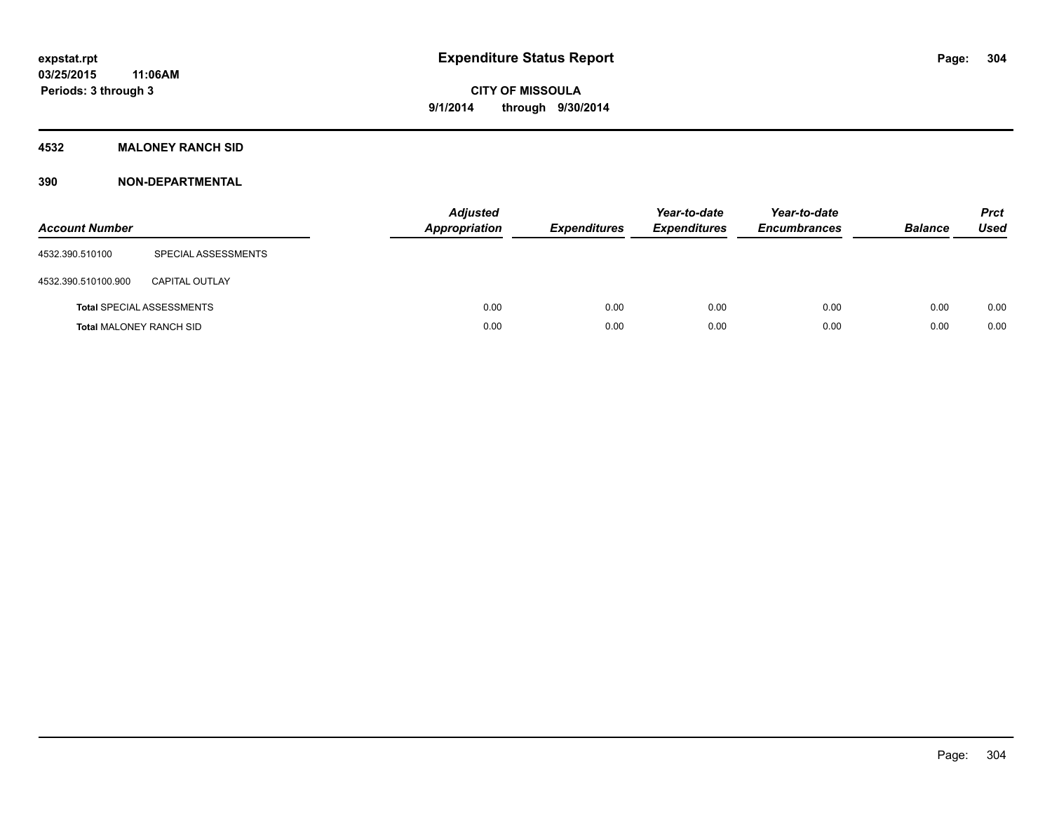#### **4532 MALONEY RANCH SID**

| <b>Account Number</b>          |                                  | <b>Adjusted</b><br>Appropriation | <b>Expenditures</b> | Year-to-date<br><b>Expenditures</b> | Year-to-date<br><b>Encumbrances</b> | <b>Balance</b> | <b>Prct</b><br><b>Used</b> |
|--------------------------------|----------------------------------|----------------------------------|---------------------|-------------------------------------|-------------------------------------|----------------|----------------------------|
| 4532.390.510100                | SPECIAL ASSESSMENTS              |                                  |                     |                                     |                                     |                |                            |
| 4532.390.510100.900            | <b>CAPITAL OUTLAY</b>            |                                  |                     |                                     |                                     |                |                            |
|                                | <b>Total SPECIAL ASSESSMENTS</b> | 0.00                             | 0.00                | 0.00                                | 0.00                                | 0.00           | 0.00                       |
| <b>Total MALONEY RANCH SID</b> |                                  | 0.00                             | 0.00                | 0.00                                | 0.00                                | 0.00           | 0.00                       |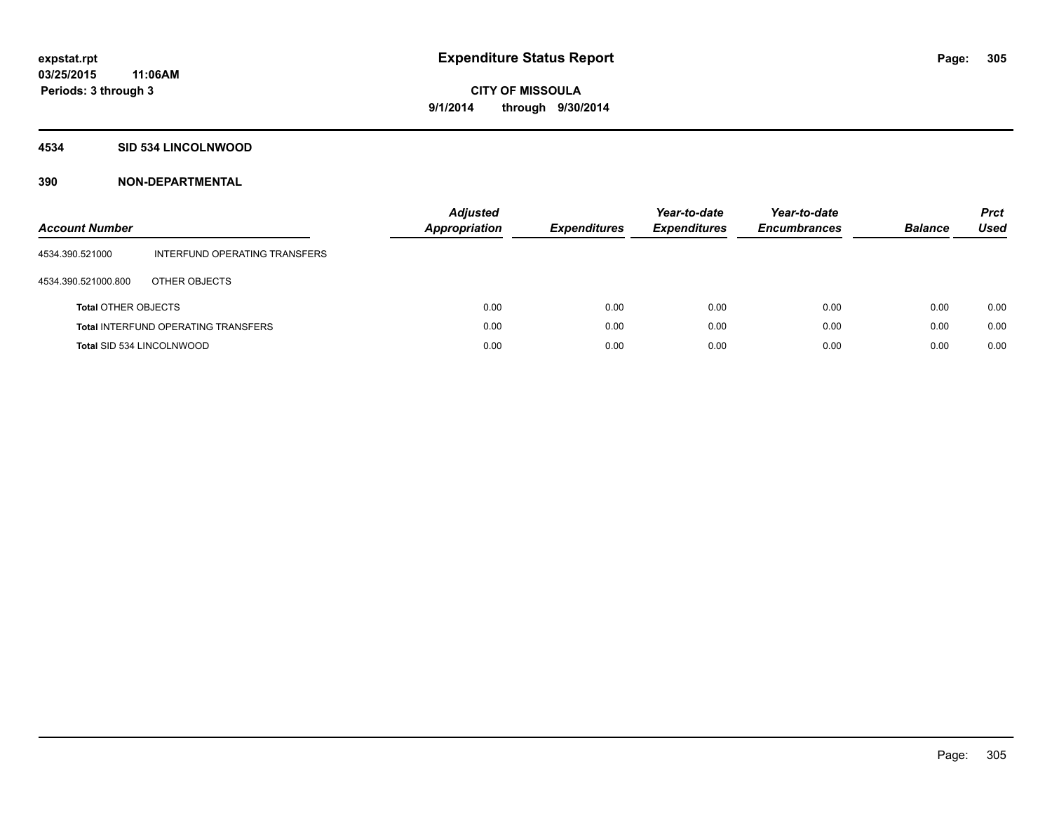#### **4534 SID 534 LINCOLNWOOD**

| <b>Account Number</b>      |                                            | <b>Adjusted</b><br><b>Appropriation</b> | <b>Expenditures</b> | Year-to-date<br><b>Expenditures</b> | Year-to-date<br><b>Encumbrances</b> | <b>Balance</b> | <b>Prct</b><br><b>Used</b> |
|----------------------------|--------------------------------------------|-----------------------------------------|---------------------|-------------------------------------|-------------------------------------|----------------|----------------------------|
| 4534.390.521000            | INTERFUND OPERATING TRANSFERS              |                                         |                     |                                     |                                     |                |                            |
| 4534.390.521000.800        | OTHER OBJECTS                              |                                         |                     |                                     |                                     |                |                            |
| <b>Total OTHER OBJECTS</b> |                                            | 0.00                                    | 0.00                | 0.00                                | 0.00                                | 0.00           | 0.00                       |
|                            | <b>Total INTERFUND OPERATING TRANSFERS</b> | 0.00                                    | 0.00                | 0.00                                | 0.00                                | 0.00           | 0.00                       |
| Total SID 534 LINCOLNWOOD  |                                            | 0.00                                    | 0.00                | 0.00                                | 0.00                                | 0.00           | 0.00                       |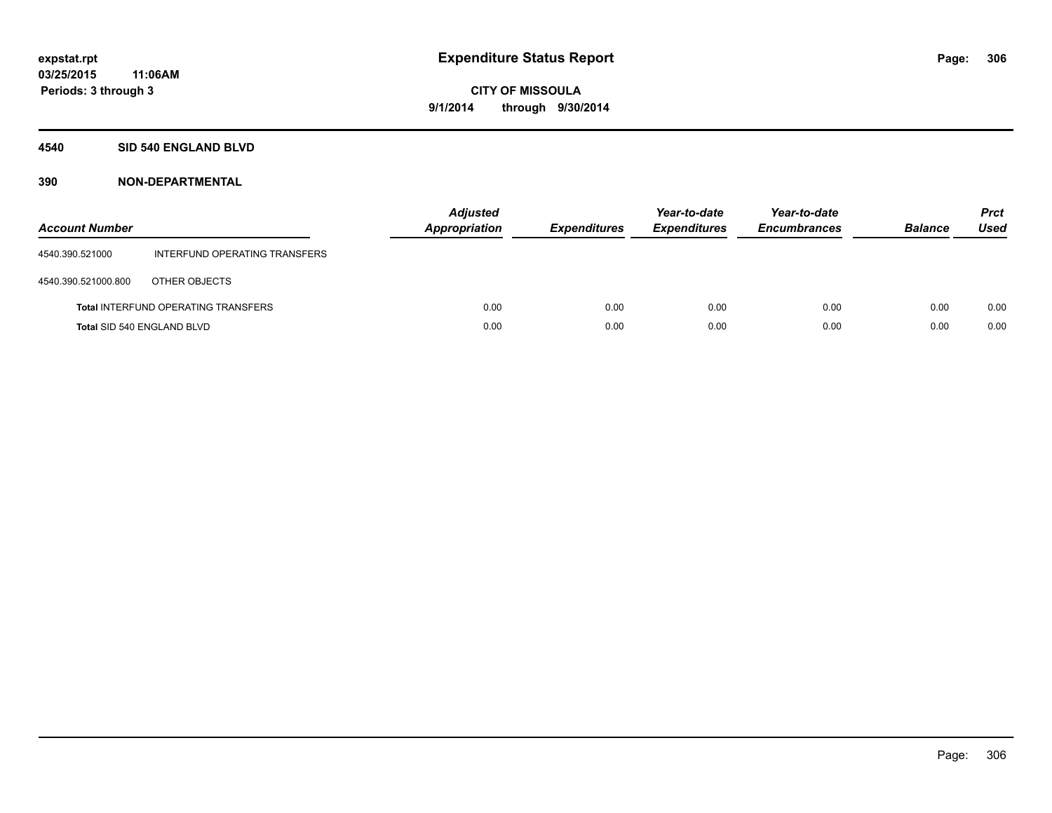#### **4540 SID 540 ENGLAND BLVD**

| <b>Account Number</b> |                                            | <b>Adjusted</b><br><b>Appropriation</b> | <b>Expenditures</b> | Year-to-date<br><b>Expenditures</b> | Year-to-date<br><b>Encumbrances</b> | <b>Balance</b> | <b>Prct</b><br><b>Used</b> |
|-----------------------|--------------------------------------------|-----------------------------------------|---------------------|-------------------------------------|-------------------------------------|----------------|----------------------------|
| 4540.390.521000       | INTERFUND OPERATING TRANSFERS              |                                         |                     |                                     |                                     |                |                            |
| 4540.390.521000.800   | OTHER OBJECTS                              |                                         |                     |                                     |                                     |                |                            |
|                       | <b>Total INTERFUND OPERATING TRANSFERS</b> | 0.00                                    | 0.00                | 0.00                                | 0.00                                | 0.00           | 0.00                       |
|                       | <b>Total SID 540 ENGLAND BLVD</b>          | 0.00                                    | 0.00                | 0.00                                | 0.00                                | 0.00           | 0.00                       |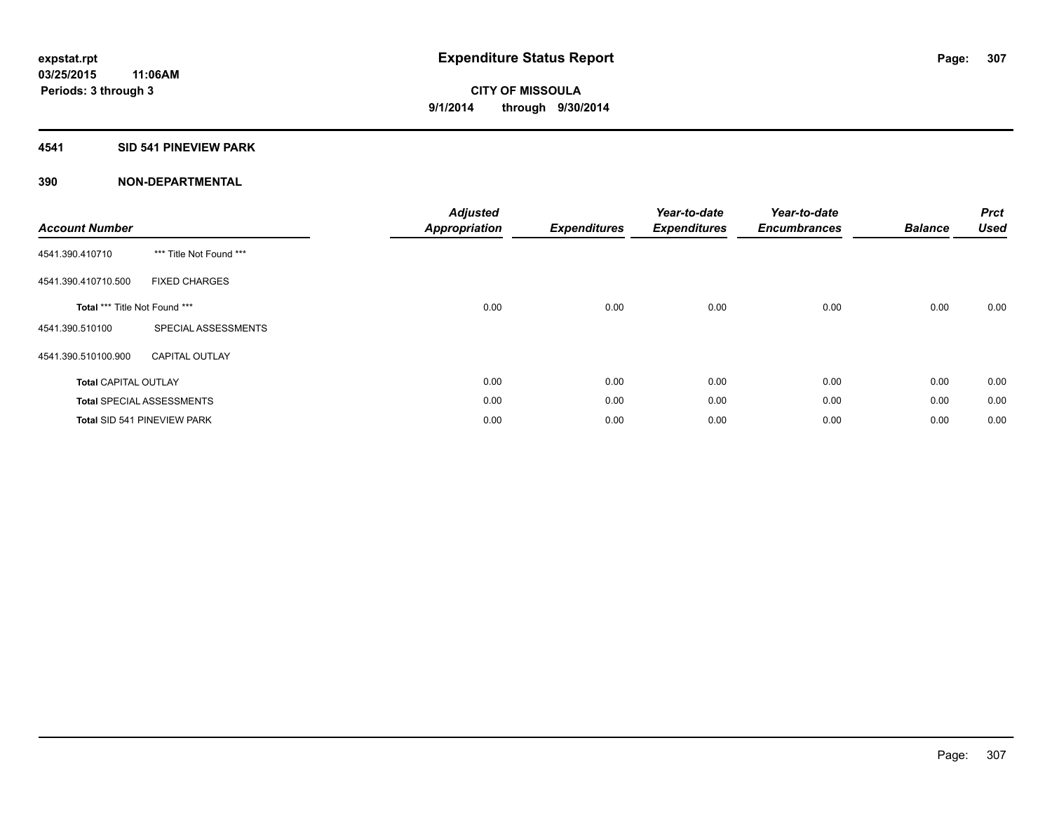#### **4541 SID 541 PINEVIEW PARK**

| <b>Account Number</b>         |                                  | <b>Adjusted</b><br><b>Appropriation</b> | <b>Expenditures</b> | Year-to-date<br><b>Expenditures</b> | Year-to-date<br><b>Encumbrances</b> | <b>Balance</b> | <b>Prct</b><br><b>Used</b> |
|-------------------------------|----------------------------------|-----------------------------------------|---------------------|-------------------------------------|-------------------------------------|----------------|----------------------------|
| 4541.390.410710               | *** Title Not Found ***          |                                         |                     |                                     |                                     |                |                            |
| 4541.390.410710.500           | <b>FIXED CHARGES</b>             |                                         |                     |                                     |                                     |                |                            |
| Total *** Title Not Found *** |                                  | 0.00                                    | 0.00                | 0.00                                | 0.00                                | 0.00           | 0.00                       |
| 4541.390.510100               | SPECIAL ASSESSMENTS              |                                         |                     |                                     |                                     |                |                            |
| 4541.390.510100.900           | <b>CAPITAL OUTLAY</b>            |                                         |                     |                                     |                                     |                |                            |
| <b>Total CAPITAL OUTLAY</b>   |                                  | 0.00                                    | 0.00                | 0.00                                | 0.00                                | 0.00           | 0.00                       |
|                               | <b>Total SPECIAL ASSESSMENTS</b> | 0.00                                    | 0.00                | 0.00                                | 0.00                                | 0.00           | 0.00                       |
|                               | Total SID 541 PINEVIEW PARK      | 0.00                                    | 0.00                | 0.00                                | 0.00                                | 0.00           | 0.00                       |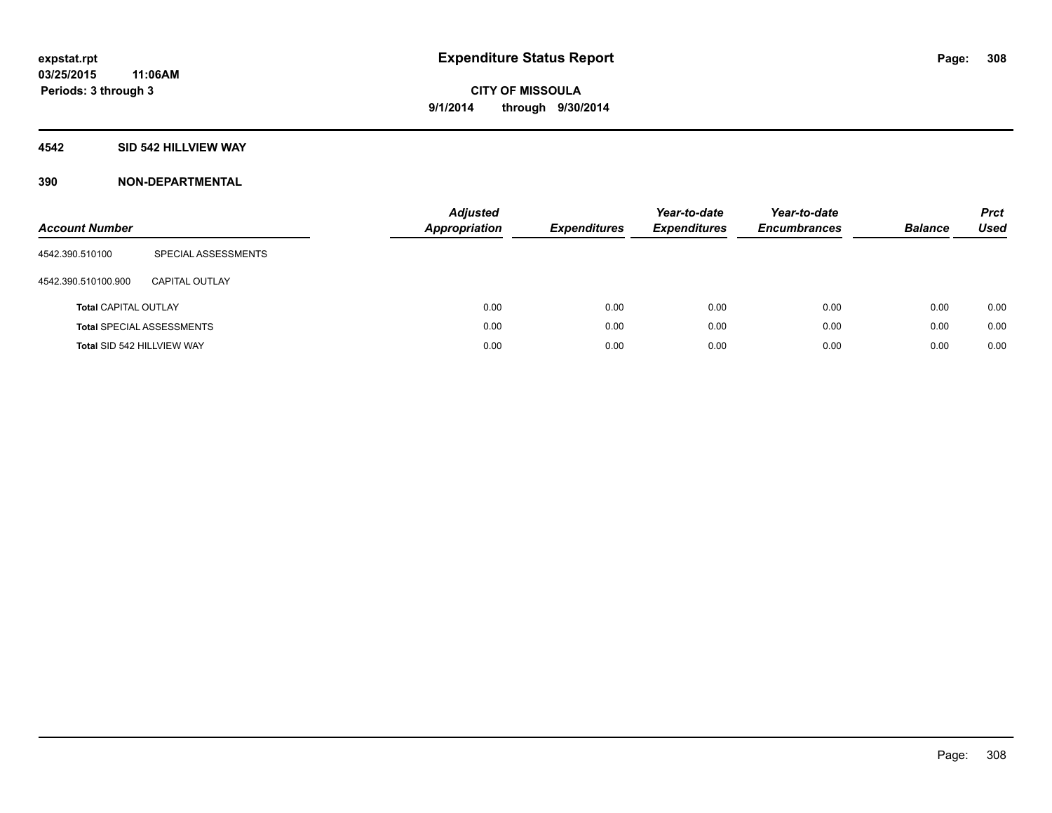#### **4542 SID 542 HILLVIEW WAY**

| <b>Account Number</b>       |                                  | <b>Adjusted</b><br><b>Appropriation</b> | <b>Expenditures</b> | Year-to-date<br><b>Expenditures</b> | Year-to-date<br><b>Encumbrances</b> | <b>Balance</b> | <b>Prct</b><br><b>Used</b> |
|-----------------------------|----------------------------------|-----------------------------------------|---------------------|-------------------------------------|-------------------------------------|----------------|----------------------------|
| 4542.390.510100             | SPECIAL ASSESSMENTS              |                                         |                     |                                     |                                     |                |                            |
| 4542.390.510100.900         | CAPITAL OUTLAY                   |                                         |                     |                                     |                                     |                |                            |
| <b>Total CAPITAL OUTLAY</b> |                                  | 0.00                                    | 0.00                | 0.00                                | 0.00                                | 0.00           | 0.00                       |
|                             | <b>Total SPECIAL ASSESSMENTS</b> | 0.00                                    | 0.00                | 0.00                                | 0.00                                | 0.00           | 0.00                       |
| Total SID 542 HILLVIEW WAY  |                                  | 0.00                                    | 0.00                | 0.00                                | 0.00                                | 0.00           | 0.00                       |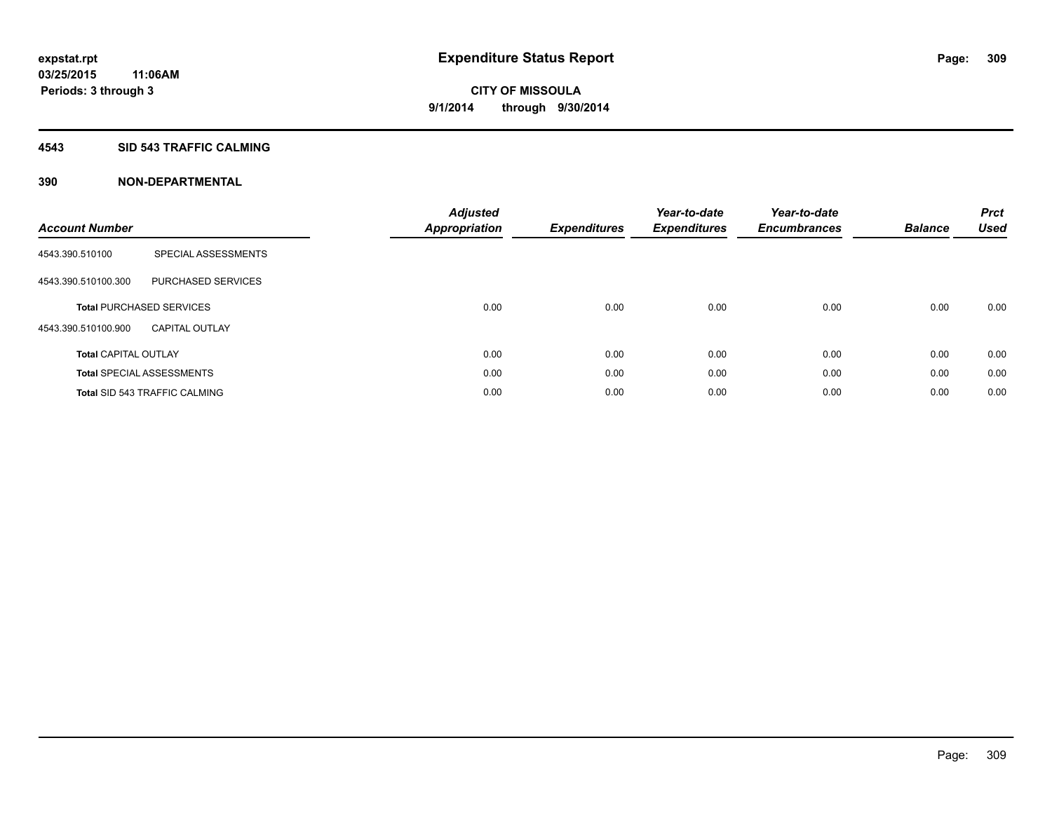#### **4543 SID 543 TRAFFIC CALMING**

| <b>Account Number</b>       |                                      | <b>Adjusted</b><br>Appropriation | <b>Expenditures</b> | Year-to-date<br><b>Expenditures</b> | Year-to-date<br><b>Encumbrances</b> | <b>Balance</b> | <b>Prct</b><br><b>Used</b> |
|-----------------------------|--------------------------------------|----------------------------------|---------------------|-------------------------------------|-------------------------------------|----------------|----------------------------|
| 4543.390.510100             | SPECIAL ASSESSMENTS                  |                                  |                     |                                     |                                     |                |                            |
| 4543.390.510100.300         | PURCHASED SERVICES                   |                                  |                     |                                     |                                     |                |                            |
|                             | <b>Total PURCHASED SERVICES</b>      | 0.00                             | 0.00                | 0.00                                | 0.00                                | 0.00           | 0.00                       |
| 4543.390.510100.900         | <b>CAPITAL OUTLAY</b>                |                                  |                     |                                     |                                     |                |                            |
| <b>Total CAPITAL OUTLAY</b> |                                      | 0.00                             | 0.00                | 0.00                                | 0.00                                | 0.00           | 0.00                       |
|                             | <b>Total SPECIAL ASSESSMENTS</b>     | 0.00                             | 0.00                | 0.00                                | 0.00                                | 0.00           | 0.00                       |
|                             | <b>Total SID 543 TRAFFIC CALMING</b> | 0.00                             | 0.00                | 0.00                                | 0.00                                | 0.00           | 0.00                       |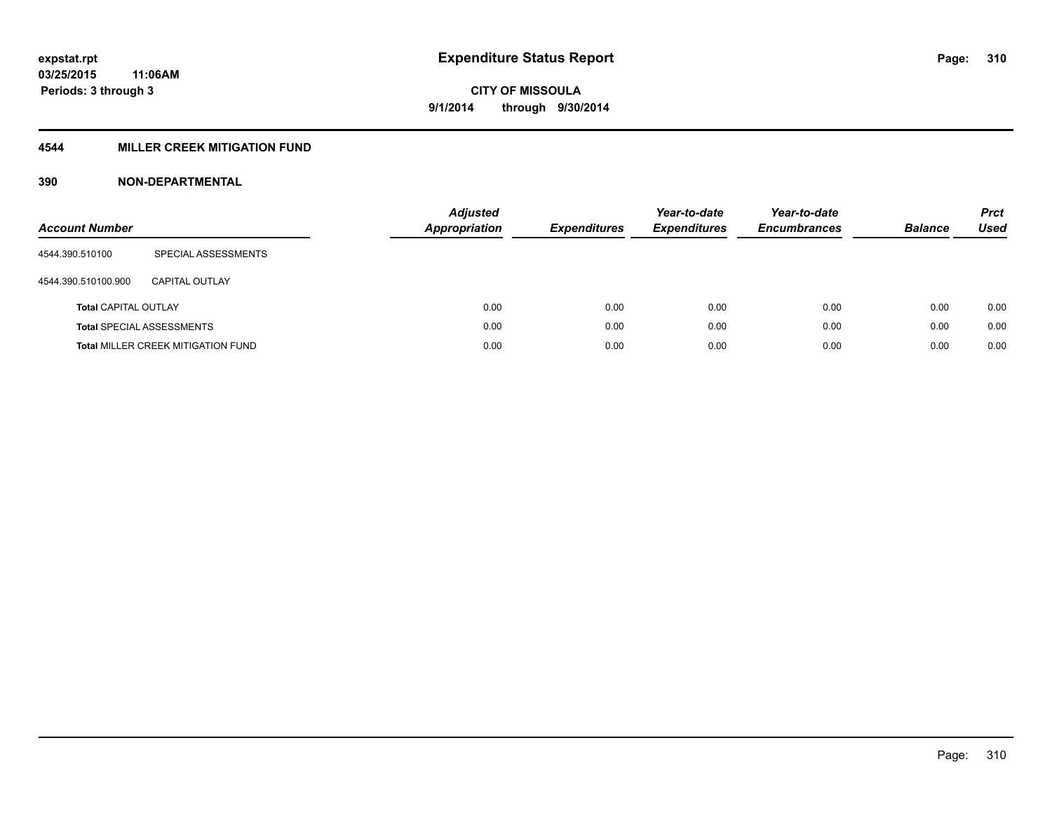## **4544 MILLER CREEK MITIGATION FUND**

| <b>Account Number</b>       |                                           | <b>Adjusted</b><br><b>Appropriation</b> | <b>Expenditures</b> | Year-to-date<br><b>Expenditures</b> | Year-to-date<br><b>Encumbrances</b> | <b>Balance</b> | <b>Prct</b><br>Used |
|-----------------------------|-------------------------------------------|-----------------------------------------|---------------------|-------------------------------------|-------------------------------------|----------------|---------------------|
| 4544.390.510100             | SPECIAL ASSESSMENTS                       |                                         |                     |                                     |                                     |                |                     |
| 4544.390.510100.900         | CAPITAL OUTLAY                            |                                         |                     |                                     |                                     |                |                     |
| <b>Total CAPITAL OUTLAY</b> |                                           | 0.00                                    | 0.00                | 0.00                                | 0.00                                | 0.00           | 0.00                |
|                             | <b>Total SPECIAL ASSESSMENTS</b>          | 0.00                                    | 0.00                | 0.00                                | 0.00                                | 0.00           | 0.00                |
|                             | <b>Total MILLER CREEK MITIGATION FUND</b> | 0.00                                    | 0.00                | 0.00                                | 0.00                                | 0.00           | 0.00                |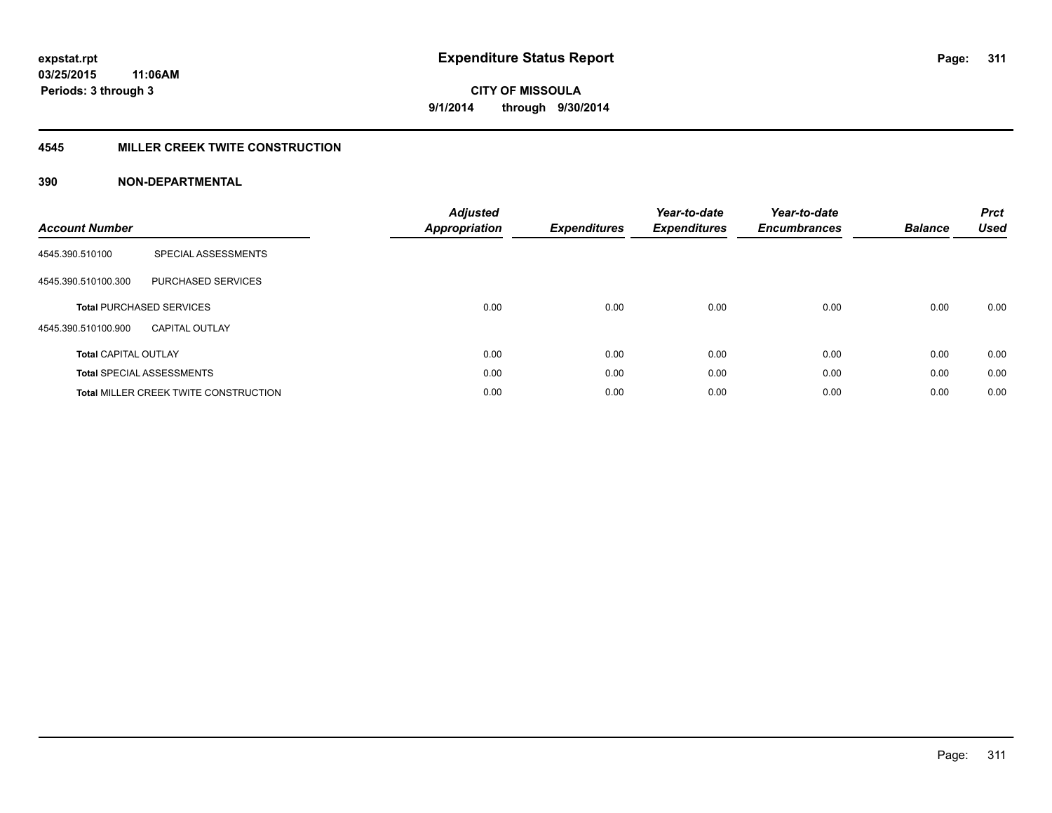#### **4545 MILLER CREEK TWITE CONSTRUCTION**

| <b>Account Number</b>       |                                              | <b>Adjusted</b><br>Appropriation | <b>Expenditures</b> | Year-to-date<br><b>Expenditures</b> | Year-to-date<br><b>Encumbrances</b> | <b>Balance</b> | <b>Prct</b><br>Used |
|-----------------------------|----------------------------------------------|----------------------------------|---------------------|-------------------------------------|-------------------------------------|----------------|---------------------|
| 4545.390.510100             | SPECIAL ASSESSMENTS                          |                                  |                     |                                     |                                     |                |                     |
| 4545.390.510100.300         | <b>PURCHASED SERVICES</b>                    |                                  |                     |                                     |                                     |                |                     |
|                             | <b>Total PURCHASED SERVICES</b>              | 0.00                             | 0.00                | 0.00                                | 0.00                                | 0.00           | 0.00                |
| 4545.390.510100.900         | <b>CAPITAL OUTLAY</b>                        |                                  |                     |                                     |                                     |                |                     |
| <b>Total CAPITAL OUTLAY</b> |                                              | 0.00                             | 0.00                | 0.00                                | 0.00                                | 0.00           | 0.00                |
|                             | <b>Total SPECIAL ASSESSMENTS</b>             | 0.00                             | 0.00                | 0.00                                | 0.00                                | 0.00           | 0.00                |
|                             | <b>Total MILLER CREEK TWITE CONSTRUCTION</b> | 0.00                             | 0.00                | 0.00                                | 0.00                                | 0.00           | 0.00                |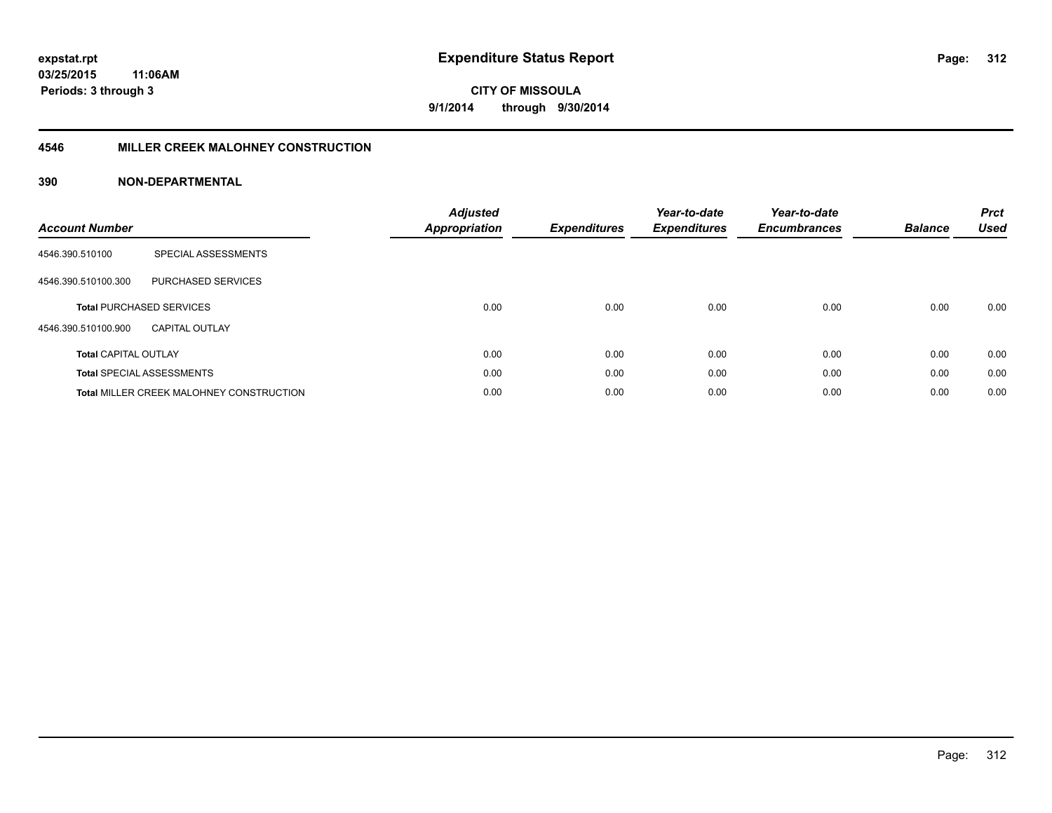#### **4546 MILLER CREEK MALOHNEY CONSTRUCTION**

| <b>Account Number</b>       |                                                 | <b>Adjusted</b><br>Appropriation | <b>Expenditures</b> | Year-to-date<br><b>Expenditures</b> | Year-to-date<br><b>Encumbrances</b> | <b>Balance</b> | <b>Prct</b><br><b>Used</b> |
|-----------------------------|-------------------------------------------------|----------------------------------|---------------------|-------------------------------------|-------------------------------------|----------------|----------------------------|
| 4546.390.510100             | SPECIAL ASSESSMENTS                             |                                  |                     |                                     |                                     |                |                            |
| 4546.390.510100.300         | <b>PURCHASED SERVICES</b>                       |                                  |                     |                                     |                                     |                |                            |
|                             | <b>Total PURCHASED SERVICES</b>                 | 0.00                             | 0.00                | 0.00                                | 0.00                                | 0.00           | 0.00                       |
| 4546.390.510100.900         | <b>CAPITAL OUTLAY</b>                           |                                  |                     |                                     |                                     |                |                            |
| <b>Total CAPITAL OUTLAY</b> |                                                 | 0.00                             | 0.00                | 0.00                                | 0.00                                | 0.00           | 0.00                       |
|                             | <b>Total SPECIAL ASSESSMENTS</b>                | 0.00                             | 0.00                | 0.00                                | 0.00                                | 0.00           | 0.00                       |
|                             | <b>Total MILLER CREEK MALOHNEY CONSTRUCTION</b> | 0.00                             | 0.00                | 0.00                                | 0.00                                | 0.00           | 0.00                       |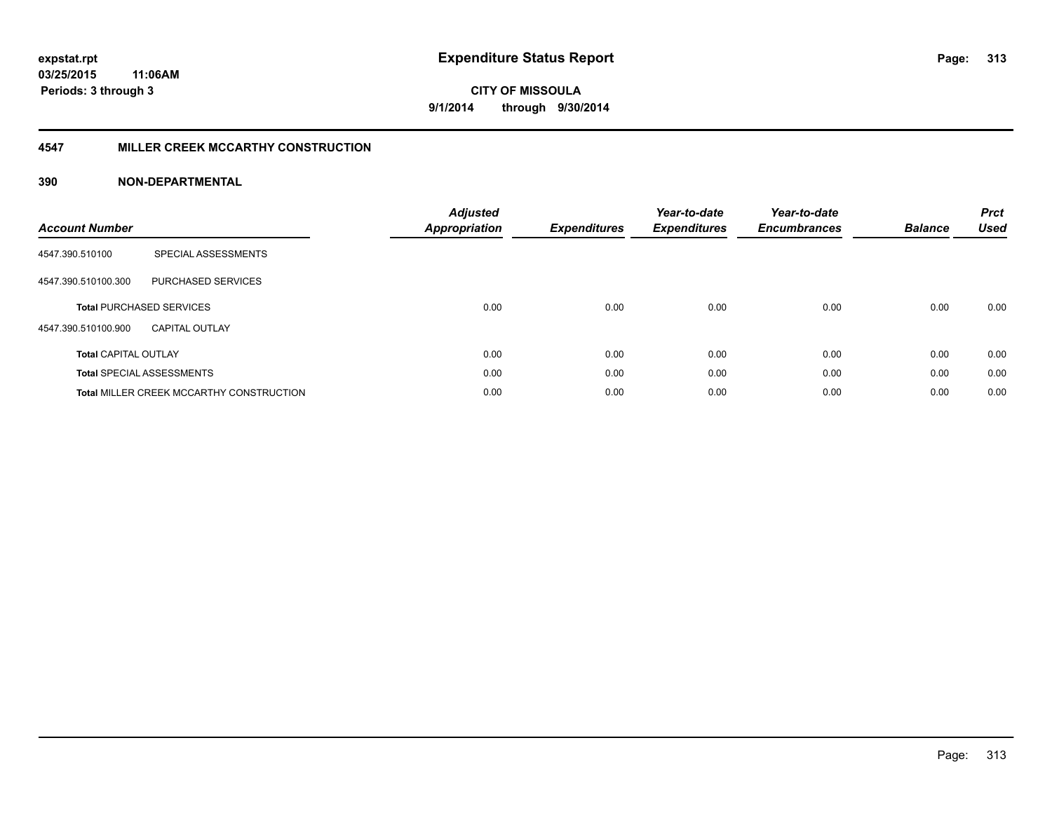#### **4547 MILLER CREEK MCCARTHY CONSTRUCTION**

| <b>Account Number</b>       |                                                 | <b>Adjusted</b><br><b>Appropriation</b> | <b>Expenditures</b> | Year-to-date<br><b>Expenditures</b> | Year-to-date<br><b>Encumbrances</b> | <b>Balance</b> | <b>Prct</b><br><b>Used</b> |
|-----------------------------|-------------------------------------------------|-----------------------------------------|---------------------|-------------------------------------|-------------------------------------|----------------|----------------------------|
| 4547.390.510100             | SPECIAL ASSESSMENTS                             |                                         |                     |                                     |                                     |                |                            |
| 4547.390.510100.300         | PURCHASED SERVICES                              |                                         |                     |                                     |                                     |                |                            |
|                             | <b>Total PURCHASED SERVICES</b>                 | 0.00                                    | 0.00                | 0.00                                | 0.00                                | 0.00           | 0.00                       |
| 4547.390.510100.900         | CAPITAL OUTLAY                                  |                                         |                     |                                     |                                     |                |                            |
| <b>Total CAPITAL OUTLAY</b> |                                                 | 0.00                                    | 0.00                | 0.00                                | 0.00                                | 0.00           | 0.00                       |
|                             | <b>Total SPECIAL ASSESSMENTS</b>                | 0.00                                    | 0.00                | 0.00                                | 0.00                                | 0.00           | 0.00                       |
|                             | <b>Total MILLER CREEK MCCARTHY CONSTRUCTION</b> | 0.00                                    | 0.00                | 0.00                                | 0.00                                | 0.00           | 0.00                       |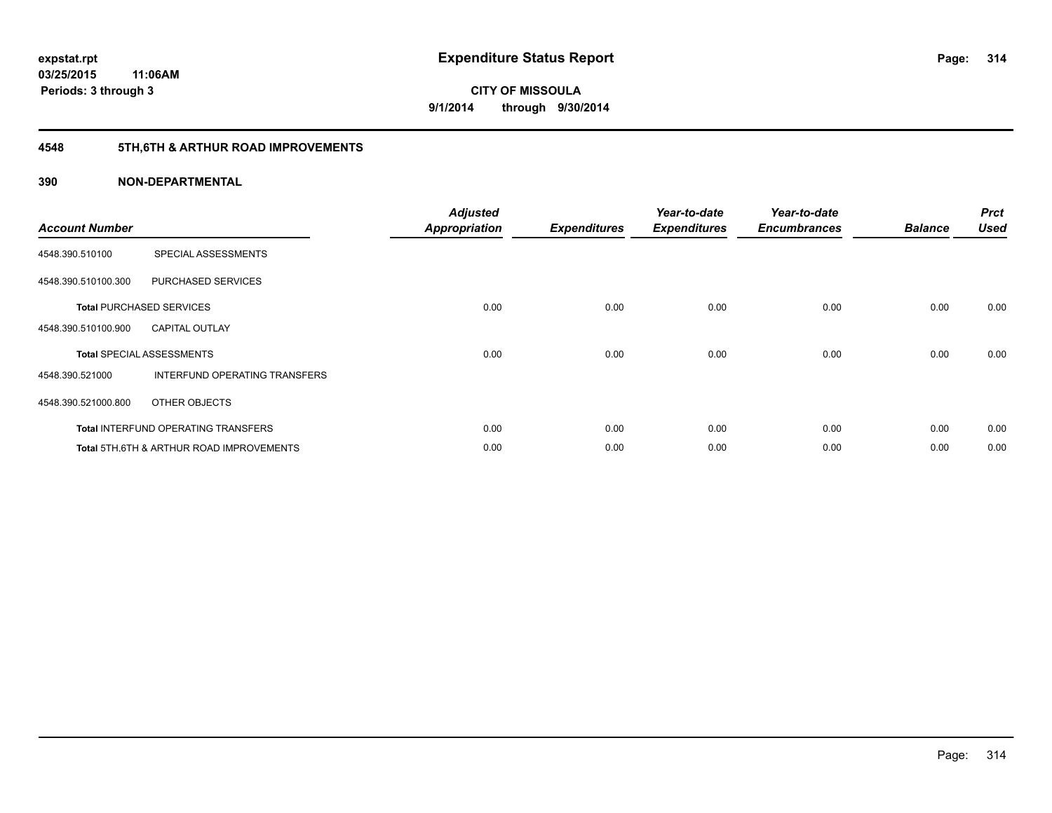## **4548 5TH,6TH & ARTHUR ROAD IMPROVEMENTS**

| <b>Account Number</b> |                                            | <b>Adjusted</b><br><b>Appropriation</b> | <b>Expenditures</b> | Year-to-date<br><b>Expenditures</b> | Year-to-date<br><b>Encumbrances</b> | <b>Balance</b> | <b>Prct</b><br><b>Used</b> |
|-----------------------|--------------------------------------------|-----------------------------------------|---------------------|-------------------------------------|-------------------------------------|----------------|----------------------------|
| 4548.390.510100       | SPECIAL ASSESSMENTS                        |                                         |                     |                                     |                                     |                |                            |
| 4548.390.510100.300   | PURCHASED SERVICES                         |                                         |                     |                                     |                                     |                |                            |
|                       | <b>Total PURCHASED SERVICES</b>            | 0.00                                    | 0.00                | 0.00                                | 0.00                                | 0.00           | 0.00                       |
| 4548.390.510100.900   | <b>CAPITAL OUTLAY</b>                      |                                         |                     |                                     |                                     |                |                            |
|                       | <b>Total SPECIAL ASSESSMENTS</b>           | 0.00                                    | 0.00                | 0.00                                | 0.00                                | 0.00           | 0.00                       |
| 4548.390.521000       | INTERFUND OPERATING TRANSFERS              |                                         |                     |                                     |                                     |                |                            |
| 4548.390.521000.800   | OTHER OBJECTS                              |                                         |                     |                                     |                                     |                |                            |
|                       | <b>Total INTERFUND OPERATING TRANSFERS</b> | 0.00                                    | 0.00                | 0.00                                | 0.00                                | 0.00           | 0.00                       |
|                       | Total 5TH.6TH & ARTHUR ROAD IMPROVEMENTS   | 0.00                                    | 0.00                | 0.00                                | 0.00                                | 0.00           | 0.00                       |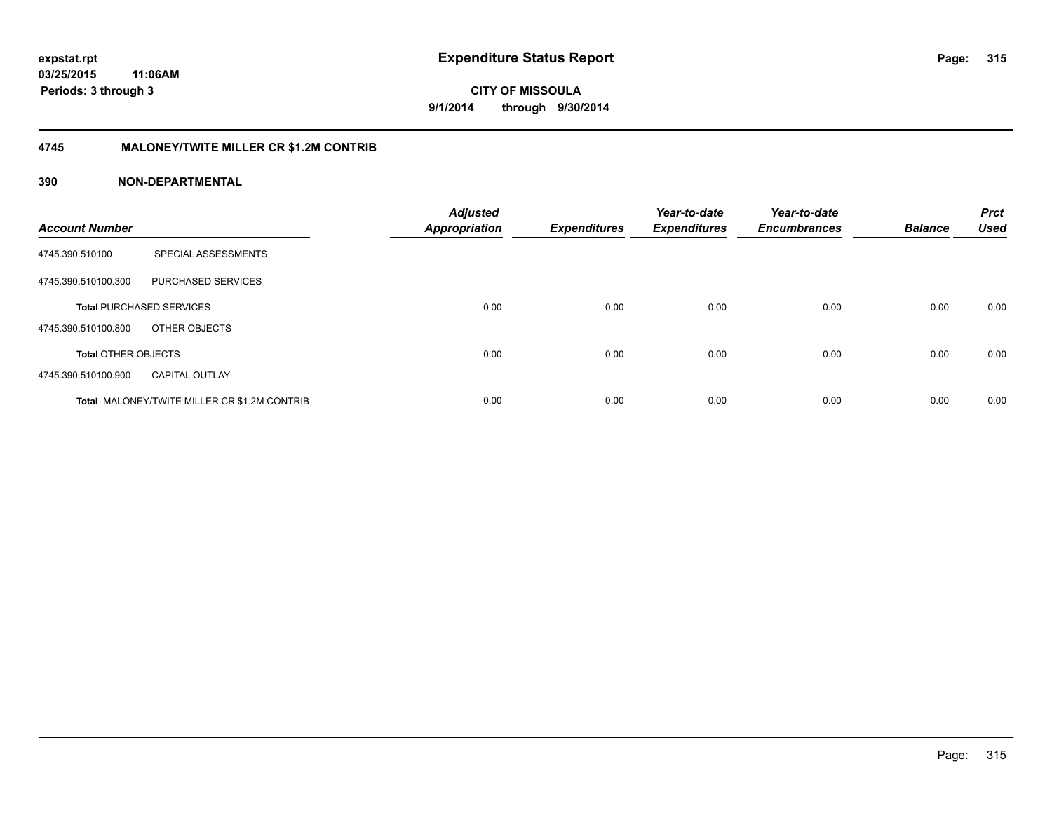#### **4745 MALONEY/TWITE MILLER CR \$1.2M CONTRIB**

| <b>Account Number</b>      |                                                     | <b>Adjusted</b><br><b>Appropriation</b> | <b>Expenditures</b> | Year-to-date<br><b>Expenditures</b> | Year-to-date<br><b>Encumbrances</b> | <b>Balance</b> | <b>Prct</b><br><b>Used</b> |
|----------------------------|-----------------------------------------------------|-----------------------------------------|---------------------|-------------------------------------|-------------------------------------|----------------|----------------------------|
| 4745.390.510100            | SPECIAL ASSESSMENTS                                 |                                         |                     |                                     |                                     |                |                            |
| 4745.390.510100.300        | PURCHASED SERVICES                                  |                                         |                     |                                     |                                     |                |                            |
|                            | <b>Total PURCHASED SERVICES</b>                     | 0.00                                    | 0.00                | 0.00                                | 0.00                                | 0.00           | 0.00                       |
| 4745.390.510100.800        | OTHER OBJECTS                                       |                                         |                     |                                     |                                     |                |                            |
| <b>Total OTHER OBJECTS</b> |                                                     | 0.00                                    | 0.00                | 0.00                                | 0.00                                | 0.00           | 0.00                       |
| 4745.390.510100.900        | <b>CAPITAL OUTLAY</b>                               |                                         |                     |                                     |                                     |                |                            |
|                            | <b>Total MALONEY/TWITE MILLER CR \$1.2M CONTRIB</b> | 0.00                                    | 0.00                | 0.00                                | 0.00                                | 0.00           | 0.00                       |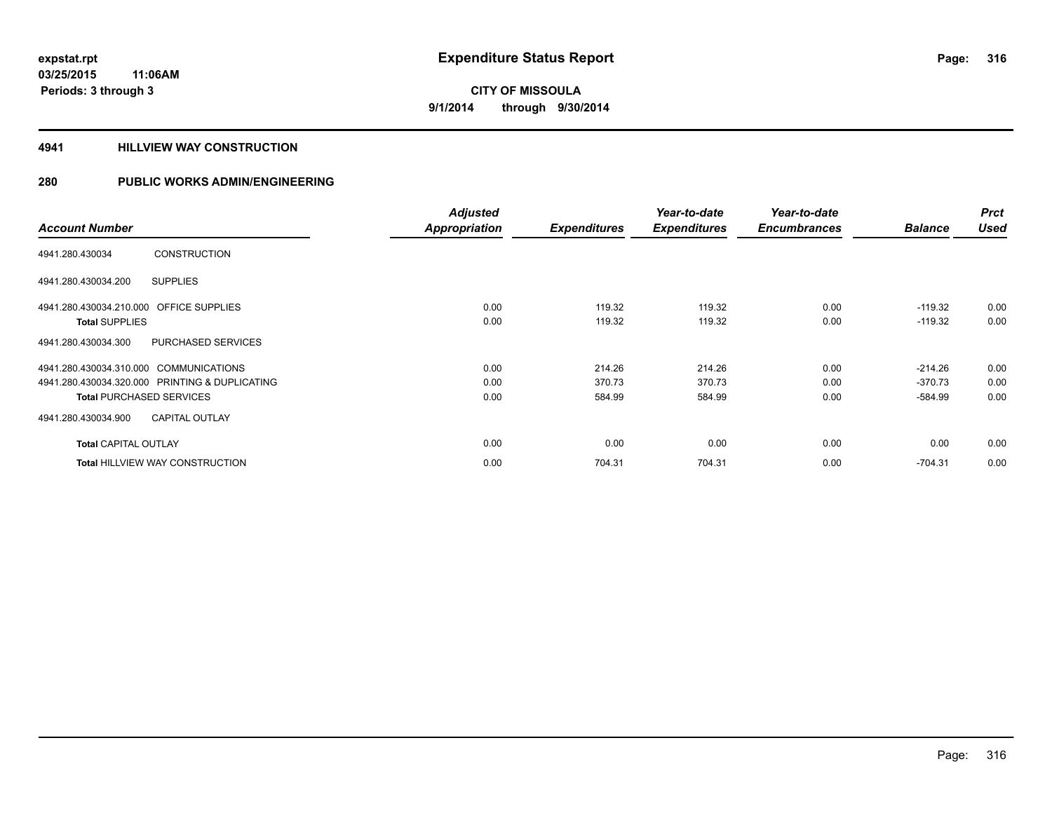#### **4941 HILLVIEW WAY CONSTRUCTION**

|                                                   | <b>Adjusted</b>      |                     | Year-to-date        | Year-to-date        |                | <b>Prct</b> |
|---------------------------------------------------|----------------------|---------------------|---------------------|---------------------|----------------|-------------|
| <b>Account Number</b>                             | <b>Appropriation</b> | <b>Expenditures</b> | <b>Expenditures</b> | <b>Encumbrances</b> | <b>Balance</b> | <b>Used</b> |
| <b>CONSTRUCTION</b><br>4941.280.430034            |                      |                     |                     |                     |                |             |
| <b>SUPPLIES</b><br>4941.280.430034.200            |                      |                     |                     |                     |                |             |
| <b>OFFICE SUPPLIES</b><br>4941.280.430034.210.000 | 0.00                 | 119.32              | 119.32              | 0.00                | $-119.32$      | 0.00        |
| <b>Total SUPPLIES</b>                             | 0.00                 | 119.32              | 119.32              | 0.00                | $-119.32$      | 0.00        |
| PURCHASED SERVICES<br>4941.280.430034.300         |                      |                     |                     |                     |                |             |
| 4941.280.430034.310.000 COMMUNICATIONS            | 0.00                 | 214.26              | 214.26              | 0.00                | $-214.26$      | 0.00        |
| 4941.280.430034.320.000 PRINTING & DUPLICATING    | 0.00                 | 370.73              | 370.73              | 0.00                | $-370.73$      | 0.00        |
| <b>Total PURCHASED SERVICES</b>                   | 0.00                 | 584.99              | 584.99              | 0.00                | $-584.99$      | 0.00        |
| <b>CAPITAL OUTLAY</b><br>4941.280.430034.900      |                      |                     |                     |                     |                |             |
| <b>Total CAPITAL OUTLAY</b>                       | 0.00                 | 0.00                | 0.00                | 0.00                | 0.00           | 0.00        |
| <b>Total HILLVIEW WAY CONSTRUCTION</b>            | 0.00                 | 704.31              | 704.31              | 0.00                | $-704.31$      | 0.00        |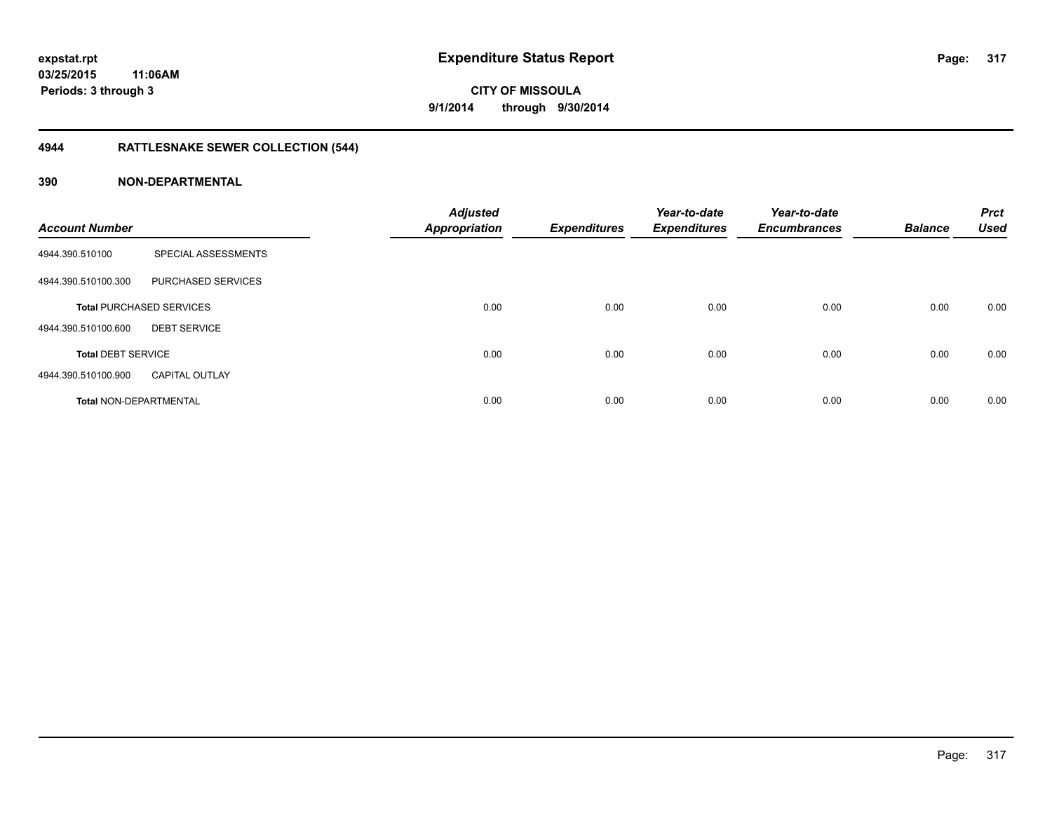## **4944 RATTLESNAKE SEWER COLLECTION (544)**

| <b>Account Number</b>         |                                 | <b>Adjusted</b><br><b>Appropriation</b> | <b>Expenditures</b> | Year-to-date<br><b>Expenditures</b> | Year-to-date<br><b>Encumbrances</b> | <b>Balance</b> | <b>Prct</b><br><b>Used</b> |
|-------------------------------|---------------------------------|-----------------------------------------|---------------------|-------------------------------------|-------------------------------------|----------------|----------------------------|
| 4944.390.510100               | SPECIAL ASSESSMENTS             |                                         |                     |                                     |                                     |                |                            |
| 4944.390.510100.300           | PURCHASED SERVICES              |                                         |                     |                                     |                                     |                |                            |
|                               | <b>Total PURCHASED SERVICES</b> | 0.00                                    | 0.00                | 0.00                                | 0.00                                | 0.00           | 0.00                       |
| 4944.390.510100.600           | <b>DEBT SERVICE</b>             |                                         |                     |                                     |                                     |                |                            |
| <b>Total DEBT SERVICE</b>     |                                 | 0.00                                    | 0.00                | 0.00                                | 0.00                                | 0.00           | 0.00                       |
| 4944.390.510100.900           | <b>CAPITAL OUTLAY</b>           |                                         |                     |                                     |                                     |                |                            |
| <b>Total NON-DEPARTMENTAL</b> |                                 | 0.00                                    | 0.00                | 0.00                                | 0.00                                | 0.00           | 0.00                       |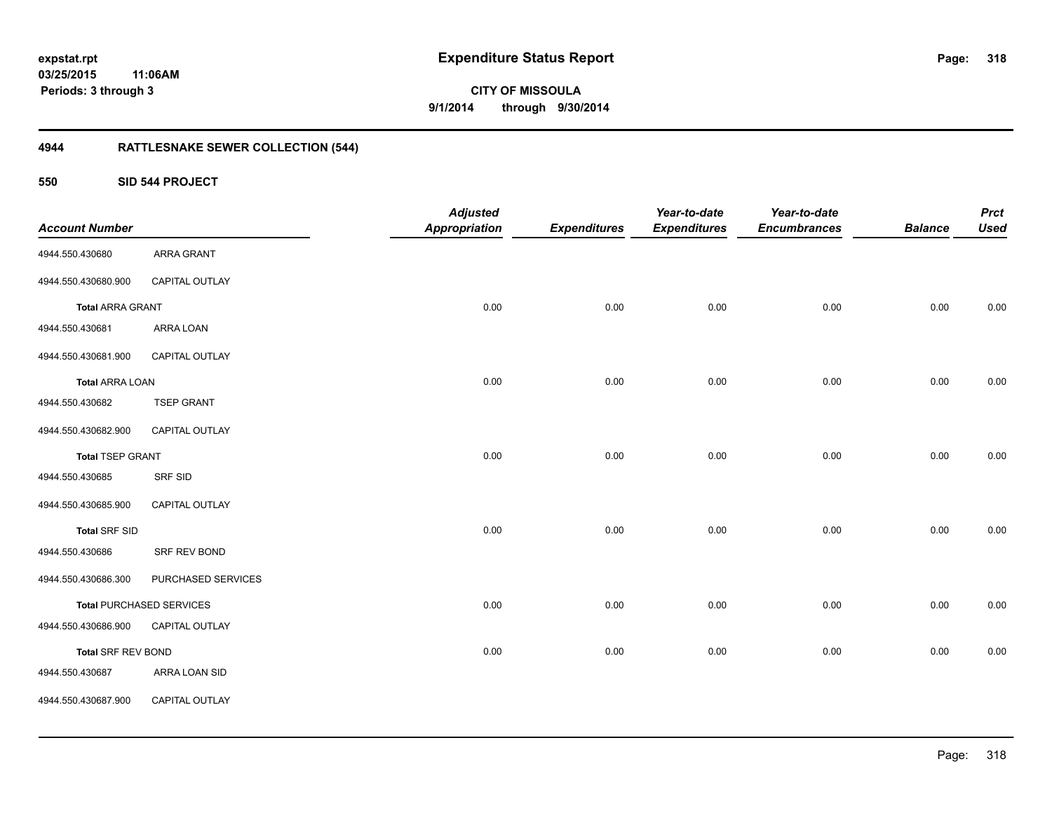**318**

**CITY OF MISSOULA 9/1/2014 through 9/30/2014**

## **4944 RATTLESNAKE SEWER COLLECTION (544)**

**550 SID 544 PROJECT**

| <b>Account Number</b>     |                                 | <b>Adjusted</b><br><b>Appropriation</b> | <b>Expenditures</b> | Year-to-date<br><b>Expenditures</b> | Year-to-date<br><b>Encumbrances</b> | <b>Balance</b> | <b>Prct</b><br><b>Used</b> |
|---------------------------|---------------------------------|-----------------------------------------|---------------------|-------------------------------------|-------------------------------------|----------------|----------------------------|
| 4944.550.430680           | <b>ARRA GRANT</b>               |                                         |                     |                                     |                                     |                |                            |
| 4944.550.430680.900       | CAPITAL OUTLAY                  |                                         |                     |                                     |                                     |                |                            |
|                           |                                 |                                         |                     |                                     |                                     |                |                            |
| <b>Total ARRA GRANT</b>   |                                 | 0.00                                    | 0.00                | 0.00                                | 0.00                                | 0.00           | 0.00                       |
| 4944.550.430681           | ARRA LOAN                       |                                         |                     |                                     |                                     |                |                            |
| 4944.550.430681.900       | CAPITAL OUTLAY                  |                                         |                     |                                     |                                     |                |                            |
| <b>Total ARRA LOAN</b>    |                                 | 0.00                                    | 0.00                | 0.00                                | 0.00                                | 0.00           | 0.00                       |
| 4944.550.430682           | <b>TSEP GRANT</b>               |                                         |                     |                                     |                                     |                |                            |
| 4944.550.430682.900       | CAPITAL OUTLAY                  |                                         |                     |                                     |                                     |                |                            |
| <b>Total TSEP GRANT</b>   |                                 | 0.00                                    | 0.00                | 0.00                                | 0.00                                | 0.00           | 0.00                       |
| 4944.550.430685           | SRF SID                         |                                         |                     |                                     |                                     |                |                            |
| 4944.550.430685.900       | CAPITAL OUTLAY                  |                                         |                     |                                     |                                     |                |                            |
| <b>Total SRF SID</b>      |                                 | 0.00                                    | 0.00                | 0.00                                | 0.00                                | 0.00           | 0.00                       |
| 4944.550.430686           | SRF REV BOND                    |                                         |                     |                                     |                                     |                |                            |
| 4944.550.430686.300       | PURCHASED SERVICES              |                                         |                     |                                     |                                     |                |                            |
|                           | <b>Total PURCHASED SERVICES</b> | 0.00                                    | 0.00                | 0.00                                | 0.00                                | 0.00           | $0.00\,$                   |
| 4944.550.430686.900       | CAPITAL OUTLAY                  |                                         |                     |                                     |                                     |                |                            |
| <b>Total SRF REV BOND</b> |                                 | 0.00                                    | 0.00                | 0.00                                | 0.00                                | 0.00           | 0.00                       |
| 4944.550.430687           | ARRA LOAN SID                   |                                         |                     |                                     |                                     |                |                            |
| 4944.550.430687.900       | CAPITAL OUTLAY                  |                                         |                     |                                     |                                     |                |                            |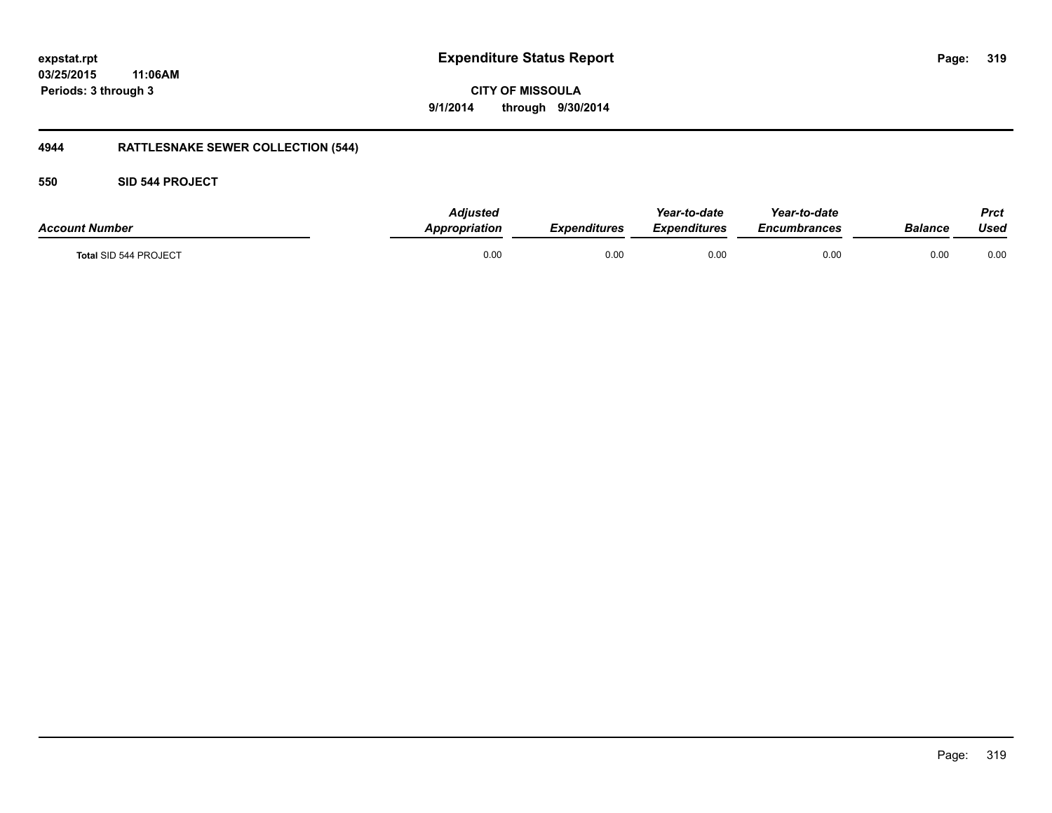**CITY OF MISSOULA 9/1/2014 through 9/30/2014**

## **4944 RATTLESNAKE SEWER COLLECTION (544)**

#### **550 SID 544 PROJECT**

| <b>Account Number</b> | <b>Adjusted</b><br>Appropriation | <b>Expenditures</b> | Year-to-date<br>Expenditures | Year-to-date<br>Encumbrances | Balance | <b>Prct</b><br>Used |
|-----------------------|----------------------------------|---------------------|------------------------------|------------------------------|---------|---------------------|
| Total SID 544 PROJECT | 0.00                             | 0.00                | 0.00                         | 0.00                         | 0.00    | 0.00                |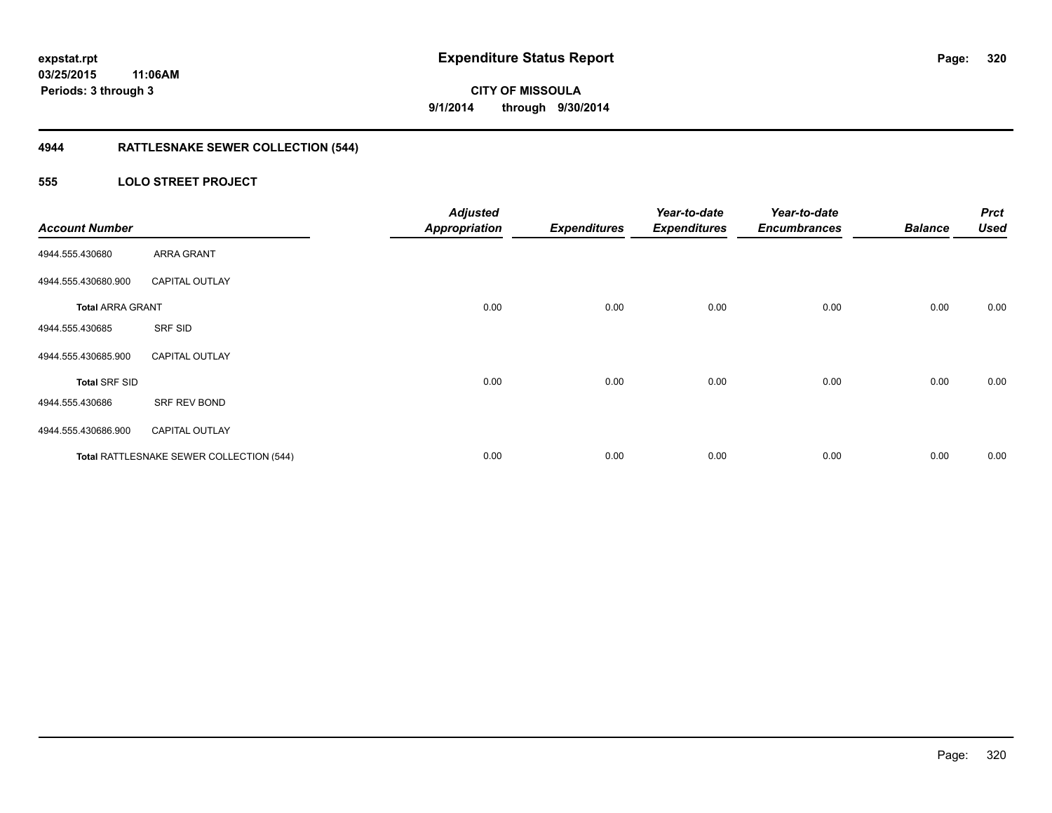## **4944 RATTLESNAKE SEWER COLLECTION (544)**

#### **555 LOLO STREET PROJECT**

| <b>Account Number</b>   |                                          | <b>Adjusted</b><br><b>Appropriation</b> | <b>Expenditures</b> | Year-to-date<br><b>Expenditures</b> | Year-to-date<br><b>Encumbrances</b> | <b>Balance</b> | <b>Prct</b><br><b>Used</b> |
|-------------------------|------------------------------------------|-----------------------------------------|---------------------|-------------------------------------|-------------------------------------|----------------|----------------------------|
| 4944.555.430680         | ARRA GRANT                               |                                         |                     |                                     |                                     |                |                            |
| 4944.555.430680.900     | <b>CAPITAL OUTLAY</b>                    |                                         |                     |                                     |                                     |                |                            |
| <b>Total ARRA GRANT</b> |                                          | 0.00                                    | 0.00                | 0.00                                | 0.00                                | 0.00           | 0.00                       |
| 4944.555.430685         | SRF SID                                  |                                         |                     |                                     |                                     |                |                            |
| 4944.555.430685.900     | <b>CAPITAL OUTLAY</b>                    |                                         |                     |                                     |                                     |                |                            |
| <b>Total SRF SID</b>    |                                          | 0.00                                    | 0.00                | 0.00                                | 0.00                                | 0.00           | 0.00                       |
| 4944.555.430686         | SRF REV BOND                             |                                         |                     |                                     |                                     |                |                            |
| 4944.555.430686.900     | <b>CAPITAL OUTLAY</b>                    |                                         |                     |                                     |                                     |                |                            |
|                         | Total RATTLESNAKE SEWER COLLECTION (544) | 0.00                                    | 0.00                | 0.00                                | 0.00                                | 0.00           | 0.00                       |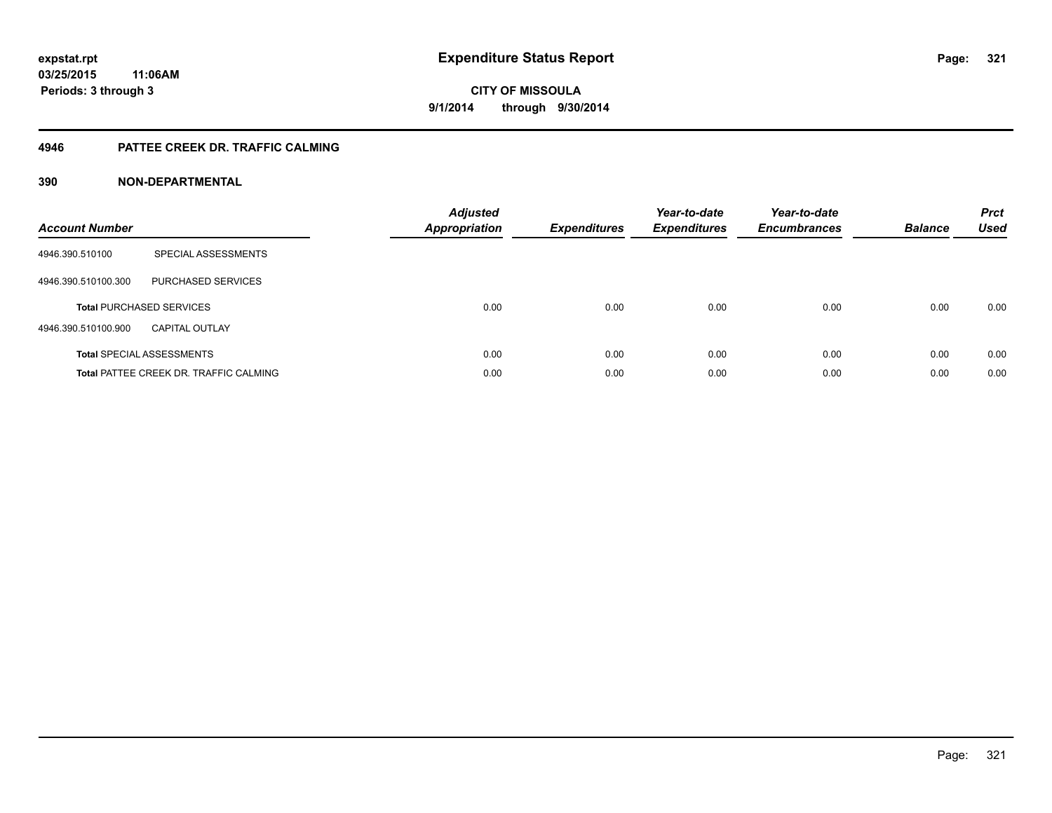#### **4946 PATTEE CREEK DR. TRAFFIC CALMING**

| <b>Account Number</b> |                                               | <b>Adjusted</b><br>Appropriation | <b>Expenditures</b> | Year-to-date<br><b>Expenditures</b> | Year-to-date<br><b>Encumbrances</b> | <b>Balance</b> | <b>Prct</b><br><b>Used</b> |
|-----------------------|-----------------------------------------------|----------------------------------|---------------------|-------------------------------------|-------------------------------------|----------------|----------------------------|
| 4946.390.510100       | SPECIAL ASSESSMENTS                           |                                  |                     |                                     |                                     |                |                            |
| 4946.390.510100.300   | <b>PURCHASED SERVICES</b>                     |                                  |                     |                                     |                                     |                |                            |
|                       | <b>Total PURCHASED SERVICES</b>               | 0.00                             | 0.00                | 0.00                                | 0.00                                | 0.00           | 0.00                       |
| 4946.390.510100.900   | CAPITAL OUTLAY                                |                                  |                     |                                     |                                     |                |                            |
|                       | <b>Total SPECIAL ASSESSMENTS</b>              | 0.00                             | 0.00                | 0.00                                | 0.00                                | 0.00           | 0.00                       |
|                       | <b>Total PATTEE CREEK DR. TRAFFIC CALMING</b> | 0.00                             | 0.00                | 0.00                                | 0.00                                | 0.00           | 0.00                       |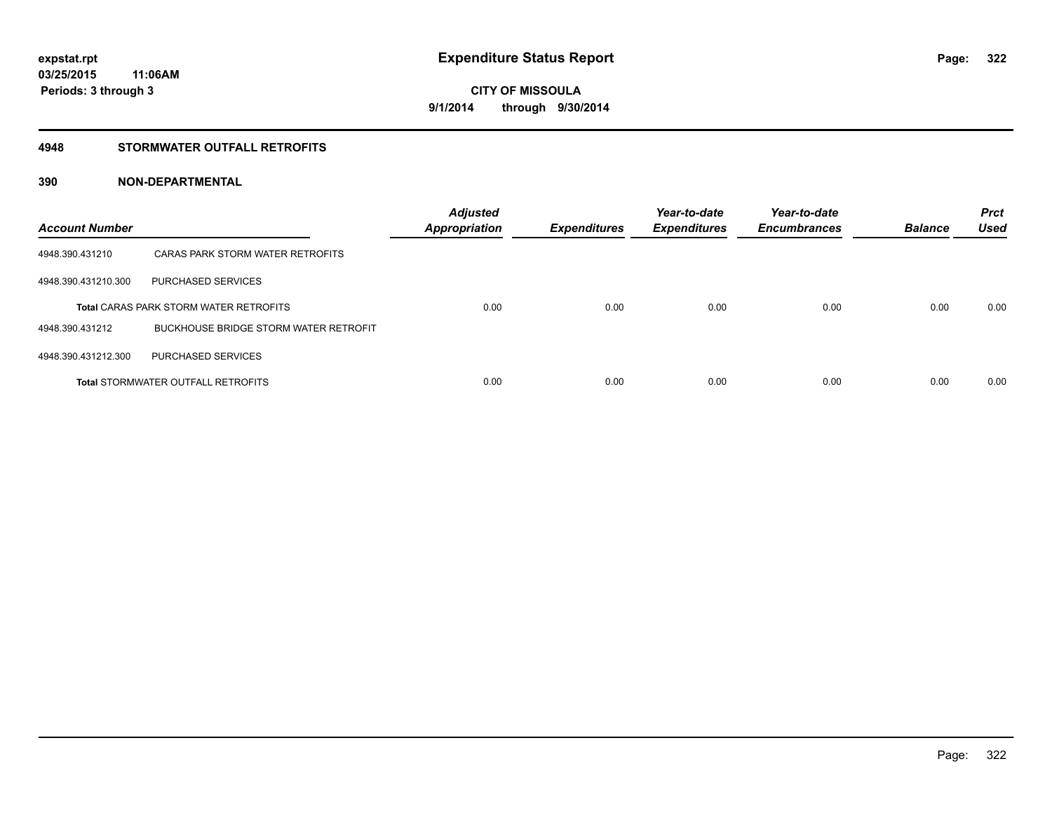#### **4948 STORMWATER OUTFALL RETROFITS**

| <b>Account Number</b> |                                               | <b>Adjusted</b><br><b>Appropriation</b> | <b>Expenditures</b> | Year-to-date<br><b>Expenditures</b> | Year-to-date<br><b>Encumbrances</b> | <b>Balance</b> | <b>Prct</b><br><b>Used</b> |
|-----------------------|-----------------------------------------------|-----------------------------------------|---------------------|-------------------------------------|-------------------------------------|----------------|----------------------------|
| 4948.390.431210       | CARAS PARK STORM WATER RETROFITS              |                                         |                     |                                     |                                     |                |                            |
| 4948.390.431210.300   | PURCHASED SERVICES                            |                                         |                     |                                     |                                     |                |                            |
|                       | <b>Total CARAS PARK STORM WATER RETROFITS</b> | 0.00                                    | 0.00                | 0.00                                | 0.00                                | 0.00           | 0.00                       |
| 4948.390.431212       | BUCKHOUSE BRIDGE STORM WATER RETROFIT         |                                         |                     |                                     |                                     |                |                            |
| 4948.390.431212.300   | PURCHASED SERVICES                            |                                         |                     |                                     |                                     |                |                            |
|                       | <b>Total STORMWATER OUTFALL RETROFITS</b>     | 0.00                                    | 0.00                | 0.00                                | 0.00                                | 0.00           | 0.00                       |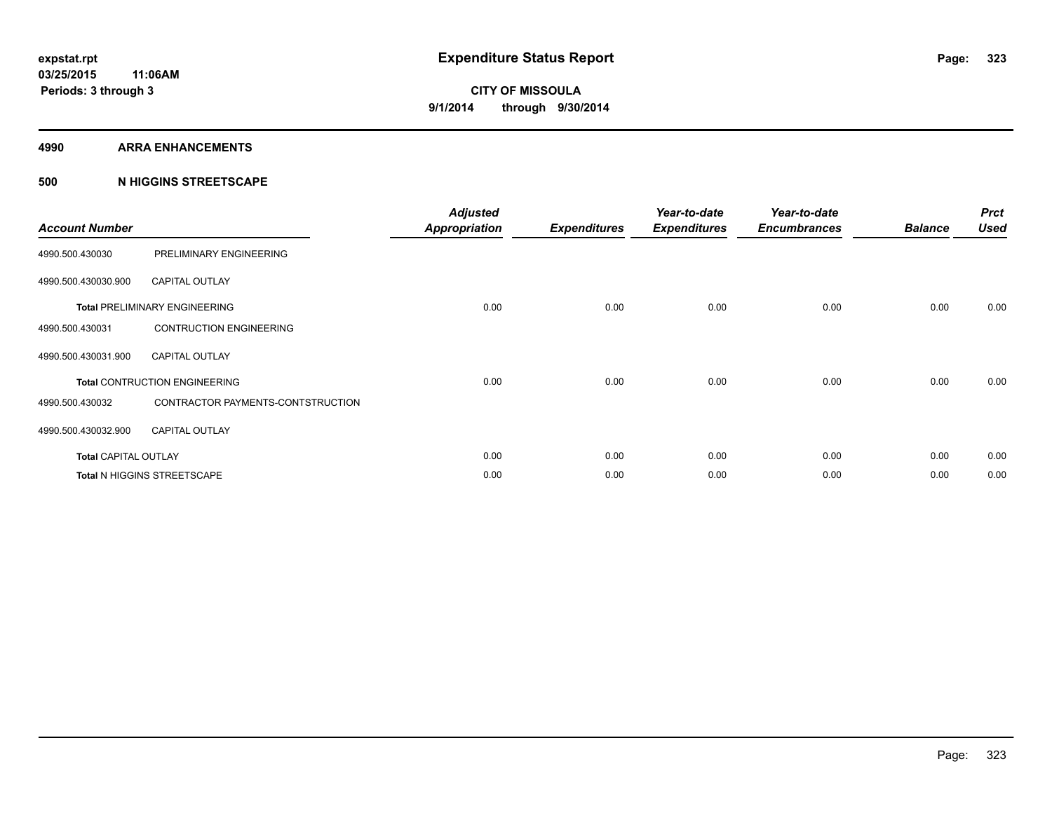#### **4990 ARRA ENHANCEMENTS**

#### **500 N HIGGINS STREETSCAPE**

| <b>Account Number</b>       |                                      | <b>Adjusted</b><br><b>Appropriation</b> | <b>Expenditures</b> | Year-to-date<br><b>Expenditures</b> | Year-to-date<br><b>Encumbrances</b> | <b>Balance</b> | <b>Prct</b><br><b>Used</b> |
|-----------------------------|--------------------------------------|-----------------------------------------|---------------------|-------------------------------------|-------------------------------------|----------------|----------------------------|
| 4990.500.430030             | PRELIMINARY ENGINEERING              |                                         |                     |                                     |                                     |                |                            |
| 4990.500.430030.900         | <b>CAPITAL OUTLAY</b>                |                                         |                     |                                     |                                     |                |                            |
|                             | <b>Total PRELIMINARY ENGINEERING</b> | 0.00                                    | 0.00                | 0.00                                | 0.00                                | 0.00           | 0.00                       |
| 4990.500.430031             | <b>CONTRUCTION ENGINEERING</b>       |                                         |                     |                                     |                                     |                |                            |
| 4990.500.430031.900         | <b>CAPITAL OUTLAY</b>                |                                         |                     |                                     |                                     |                |                            |
|                             | <b>Total CONTRUCTION ENGINEERING</b> | 0.00                                    | 0.00                | 0.00                                | 0.00                                | 0.00           | 0.00                       |
| 4990.500.430032             | CONTRACTOR PAYMENTS-CONTSTRUCTION    |                                         |                     |                                     |                                     |                |                            |
| 4990.500.430032.900         | <b>CAPITAL OUTLAY</b>                |                                         |                     |                                     |                                     |                |                            |
| <b>Total CAPITAL OUTLAY</b> |                                      | 0.00                                    | 0.00                | 0.00                                | 0.00                                | 0.00           | 0.00                       |
|                             | Total N HIGGINS STREETSCAPE          | 0.00                                    | 0.00                | 0.00                                | 0.00                                | 0.00           | 0.00                       |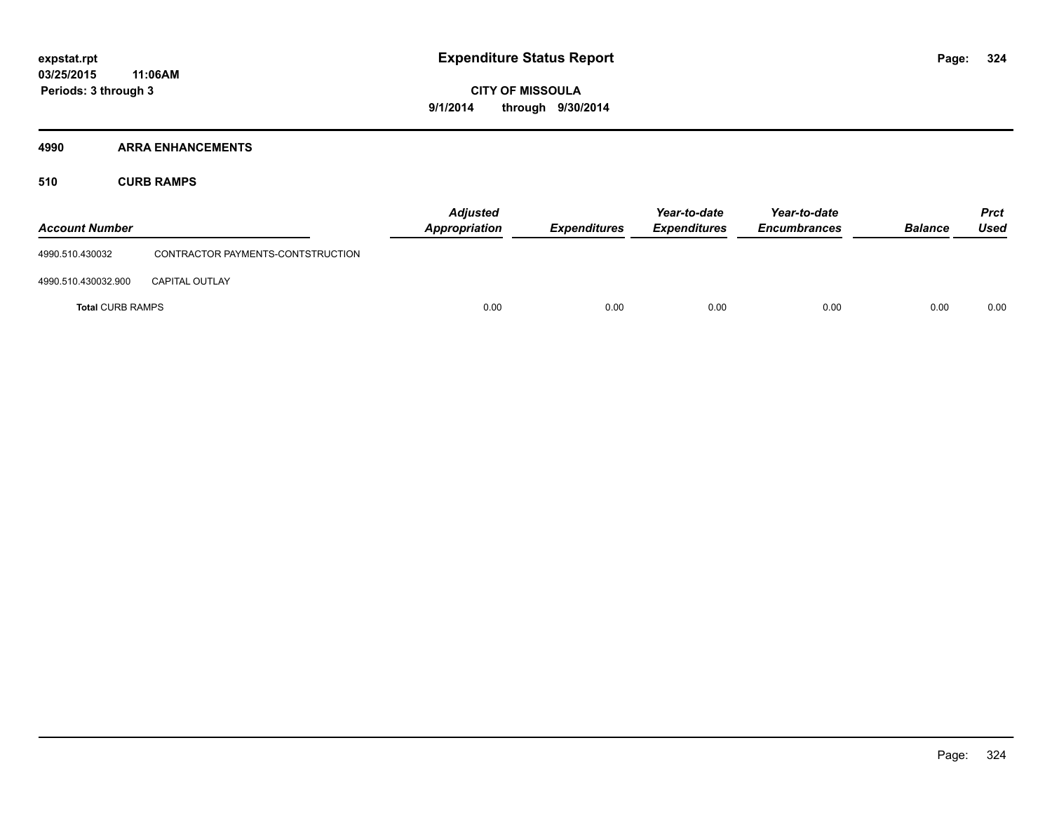#### **4990 ARRA ENHANCEMENTS**

**510 CURB RAMPS**

| <b>Account Number</b>   |                                   | <b>Adjusted</b><br>Appropriation | <b>Expenditures</b> | Year-to-date<br><b>Expenditures</b> | Year-to-date<br><b>Encumbrances</b> | <b>Balance</b> | <b>Prct</b><br>Used |
|-------------------------|-----------------------------------|----------------------------------|---------------------|-------------------------------------|-------------------------------------|----------------|---------------------|
| 4990.510.430032         | CONTRACTOR PAYMENTS-CONTSTRUCTION |                                  |                     |                                     |                                     |                |                     |
| 4990.510.430032.900     | <b>CAPITAL OUTLAY</b>             |                                  |                     |                                     |                                     |                |                     |
| <b>Total CURB RAMPS</b> |                                   | 0.00                             | 0.00                | 0.00                                | 0.00                                | 0.00           | 0.00                |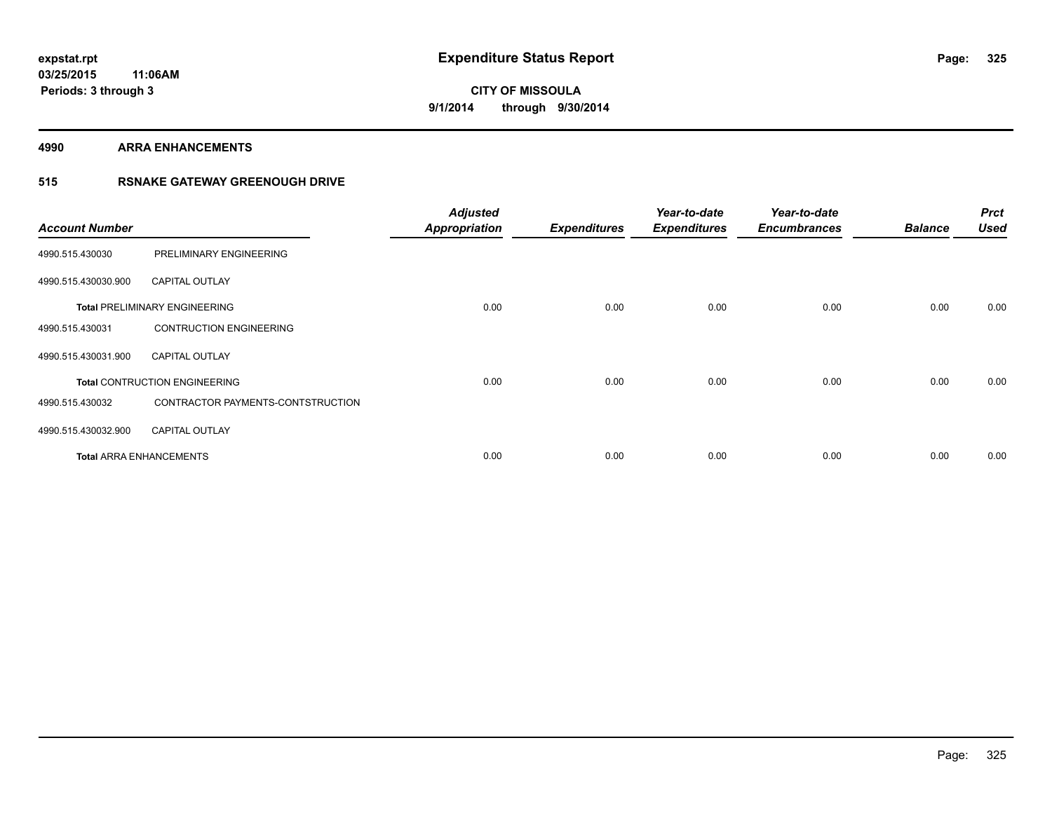**4990 ARRA ENHANCEMENTS**

## **515 RSNAKE GATEWAY GREENOUGH DRIVE**

| <b>Account Number</b> |                                      | <b>Adjusted</b><br><b>Appropriation</b> | <b>Expenditures</b> | Year-to-date<br><b>Expenditures</b> | Year-to-date<br><b>Encumbrances</b> | <b>Balance</b> | <b>Prct</b><br><b>Used</b> |
|-----------------------|--------------------------------------|-----------------------------------------|---------------------|-------------------------------------|-------------------------------------|----------------|----------------------------|
| 4990.515.430030       | PRELIMINARY ENGINEERING              |                                         |                     |                                     |                                     |                |                            |
| 4990.515.430030.900   | <b>CAPITAL OUTLAY</b>                |                                         |                     |                                     |                                     |                |                            |
|                       | <b>Total PRELIMINARY ENGINEERING</b> | 0.00                                    | 0.00                | 0.00                                | 0.00                                | 0.00           | 0.00                       |
| 4990.515.430031       | <b>CONTRUCTION ENGINEERING</b>       |                                         |                     |                                     |                                     |                |                            |
| 4990.515.430031.900   | <b>CAPITAL OUTLAY</b>                |                                         |                     |                                     |                                     |                |                            |
|                       | <b>Total CONTRUCTION ENGINEERING</b> | 0.00                                    | 0.00                | 0.00                                | 0.00                                | 0.00           | 0.00                       |
| 4990.515.430032       | CONTRACTOR PAYMENTS-CONTSTRUCTION    |                                         |                     |                                     |                                     |                |                            |
| 4990.515.430032.900   | <b>CAPITAL OUTLAY</b>                |                                         |                     |                                     |                                     |                |                            |
|                       | <b>Total ARRA ENHANCEMENTS</b>       | 0.00                                    | 0.00                | 0.00                                | 0.00                                | 0.00           | 0.00                       |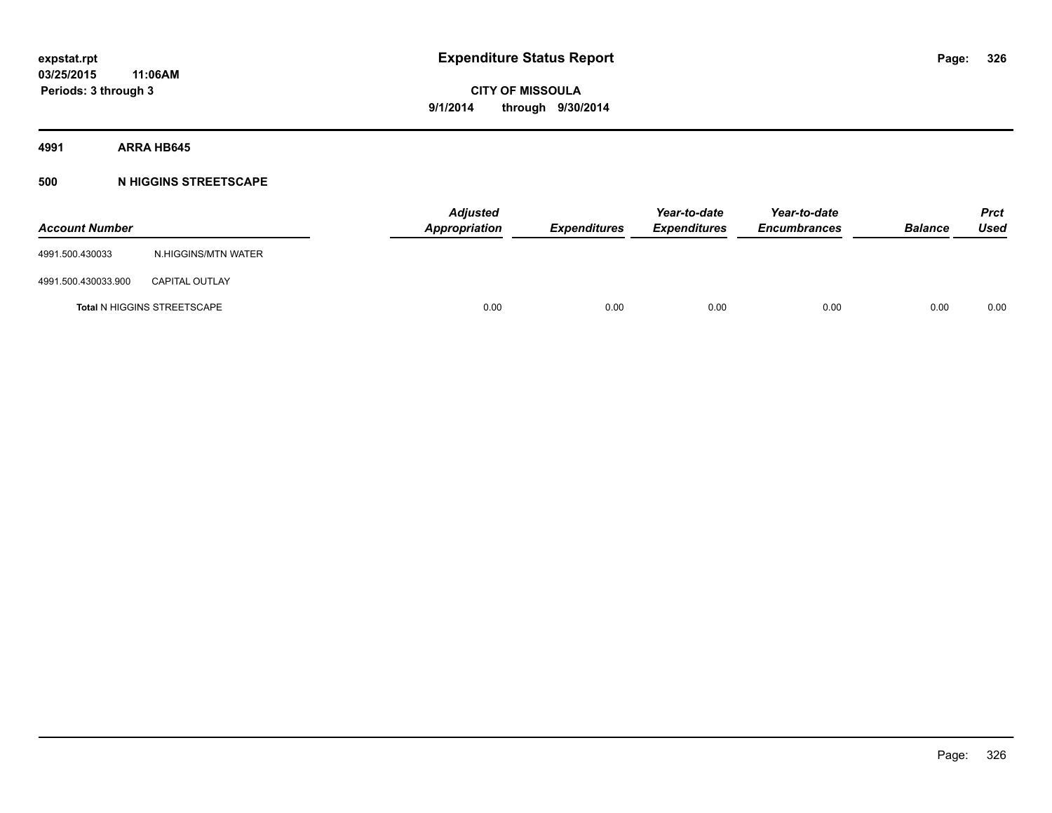## **4991 ARRA HB645**

## **500 N HIGGINS STREETSCAPE**

| <b>Account Number</b> |                                    | <b>Adjusted</b><br>Appropriation | <b>Expenditures</b> | Year-to-date<br><b>Expenditures</b> | Year-to-date<br><b>Encumbrances</b> | <b>Balance</b> | <b>Prct</b><br>Used |
|-----------------------|------------------------------------|----------------------------------|---------------------|-------------------------------------|-------------------------------------|----------------|---------------------|
| 4991.500.430033       | N.HIGGINS/MTN WATER                |                                  |                     |                                     |                                     |                |                     |
| 4991.500.430033.900   | <b>CAPITAL OUTLAY</b>              |                                  |                     |                                     |                                     |                |                     |
|                       | <b>Total N HIGGINS STREETSCAPE</b> | 0.00                             | 0.00                | 0.00                                | 0.00                                | 0.00           | 0.00                |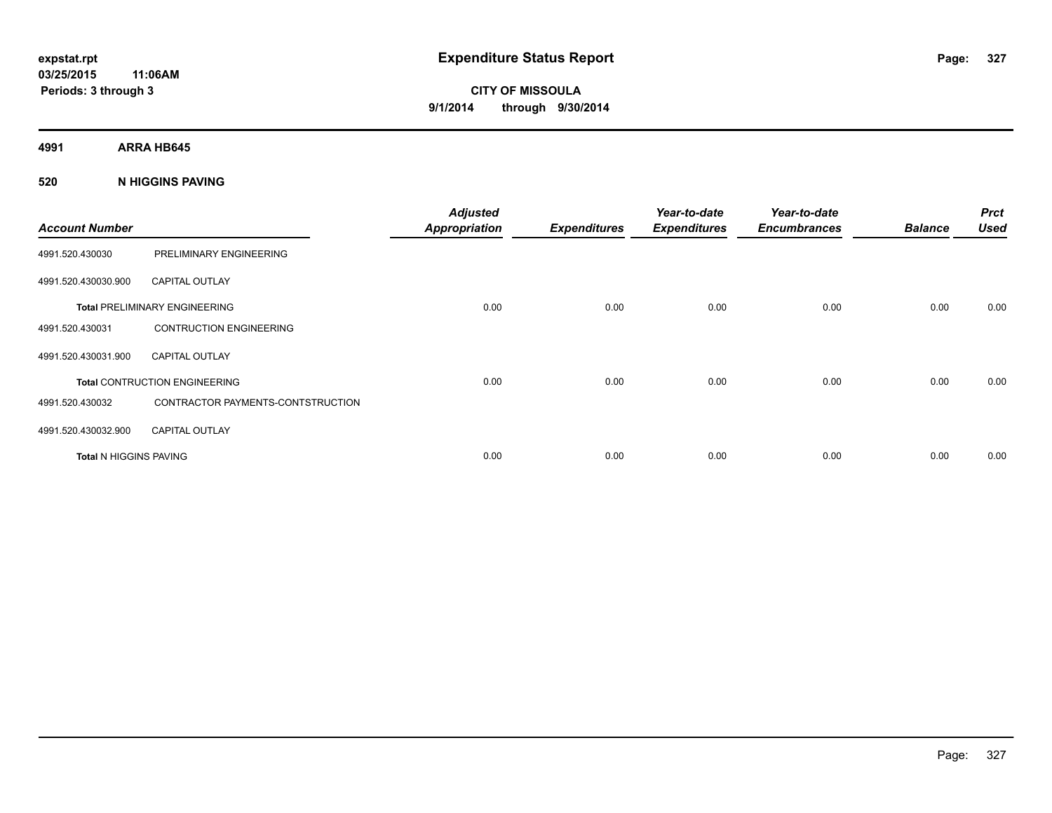**4991 ARRA HB645**

## **520 N HIGGINS PAVING**

| <b>Account Number</b>  |                                      | <b>Adjusted</b><br><b>Appropriation</b> | <b>Expenditures</b> | Year-to-date<br><b>Expenditures</b> | Year-to-date<br><b>Encumbrances</b> | <b>Balance</b> | <b>Prct</b><br><b>Used</b> |
|------------------------|--------------------------------------|-----------------------------------------|---------------------|-------------------------------------|-------------------------------------|----------------|----------------------------|
| 4991.520.430030        | PRELIMINARY ENGINEERING              |                                         |                     |                                     |                                     |                |                            |
| 4991.520.430030.900    | <b>CAPITAL OUTLAY</b>                |                                         |                     |                                     |                                     |                |                            |
|                        | <b>Total PRELIMINARY ENGINEERING</b> | 0.00                                    | 0.00                | 0.00                                | 0.00                                | 0.00           | 0.00                       |
| 4991.520.430031        | <b>CONTRUCTION ENGINEERING</b>       |                                         |                     |                                     |                                     |                |                            |
| 4991.520.430031.900    | <b>CAPITAL OUTLAY</b>                |                                         |                     |                                     |                                     |                |                            |
|                        | <b>Total CONTRUCTION ENGINEERING</b> | 0.00                                    | 0.00                | 0.00                                | 0.00                                | 0.00           | 0.00                       |
| 4991.520.430032        | CONTRACTOR PAYMENTS-CONTSTRUCTION    |                                         |                     |                                     |                                     |                |                            |
| 4991.520.430032.900    | <b>CAPITAL OUTLAY</b>                |                                         |                     |                                     |                                     |                |                            |
| Total N HIGGINS PAVING |                                      | 0.00                                    | 0.00                | 0.00                                | 0.00                                | 0.00           | 0.00                       |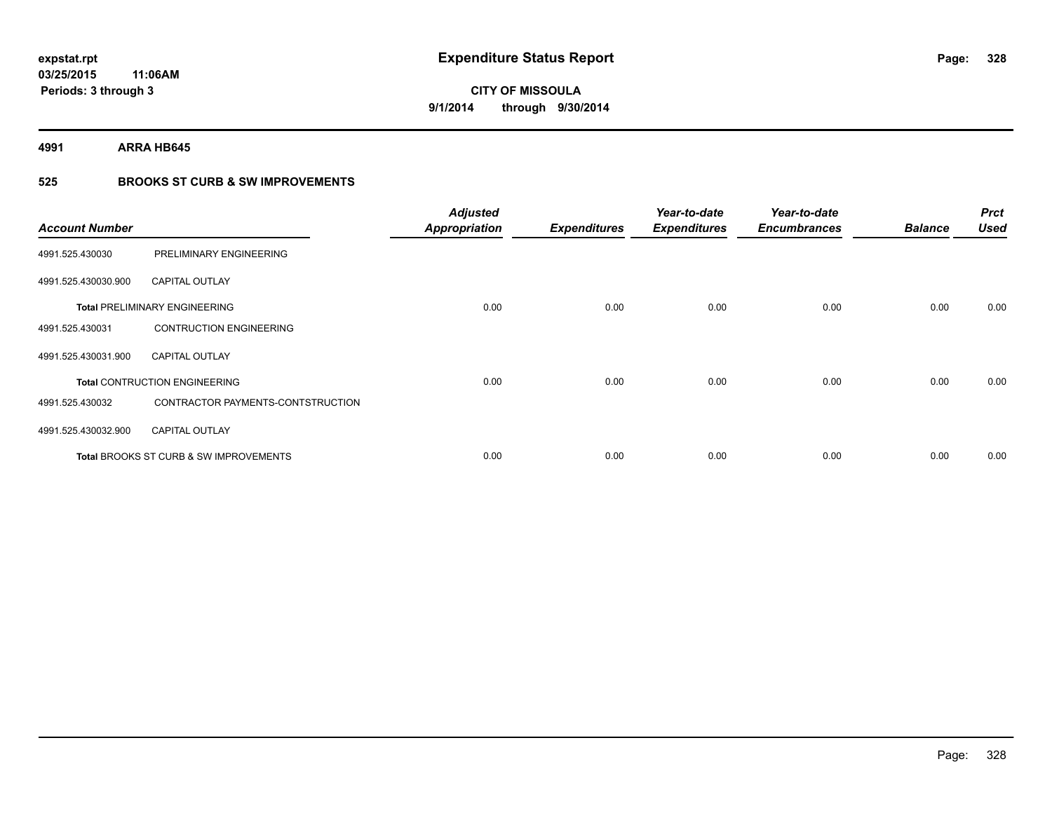**4991 ARRA HB645**

## **525 BROOKS ST CURB & SW IMPROVEMENTS**

| <b>Account Number</b> |                                                   | <b>Adjusted</b><br><b>Appropriation</b> | <b>Expenditures</b> | Year-to-date<br><b>Expenditures</b> | Year-to-date<br><b>Encumbrances</b> | <b>Balance</b> | <b>Prct</b><br><b>Used</b> |
|-----------------------|---------------------------------------------------|-----------------------------------------|---------------------|-------------------------------------|-------------------------------------|----------------|----------------------------|
| 4991.525.430030       | PRELIMINARY ENGINEERING                           |                                         |                     |                                     |                                     |                |                            |
| 4991.525.430030.900   | <b>CAPITAL OUTLAY</b>                             |                                         |                     |                                     |                                     |                |                            |
|                       | <b>Total PRELIMINARY ENGINEERING</b>              | 0.00                                    | 0.00                | 0.00                                | 0.00                                | 0.00           | 0.00                       |
| 4991.525.430031       | <b>CONTRUCTION ENGINEERING</b>                    |                                         |                     |                                     |                                     |                |                            |
| 4991.525.430031.900   | <b>CAPITAL OUTLAY</b>                             |                                         |                     |                                     |                                     |                |                            |
|                       | <b>Total CONTRUCTION ENGINEERING</b>              | 0.00                                    | 0.00                | 0.00                                | 0.00                                | 0.00           | 0.00                       |
| 4991.525.430032       | CONTRACTOR PAYMENTS-CONTSTRUCTION                 |                                         |                     |                                     |                                     |                |                            |
| 4991.525.430032.900   | <b>CAPITAL OUTLAY</b>                             |                                         |                     |                                     |                                     |                |                            |
|                       | <b>Total BROOKS ST CURB &amp; SW IMPROVEMENTS</b> | 0.00                                    | 0.00                | 0.00                                | 0.00                                | 0.00           | 0.00                       |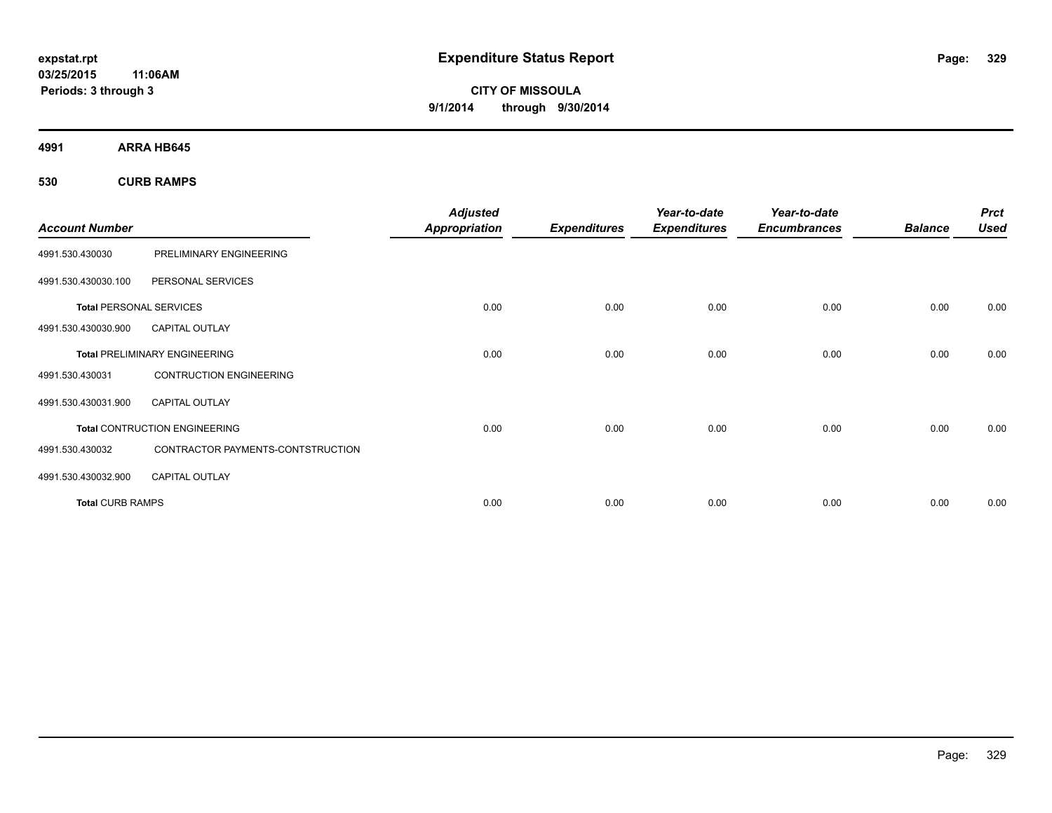**CITY OF MISSOULA 9/1/2014 through 9/30/2014**

**4991 ARRA HB645**

**530 CURB RAMPS**

| <b>Account Number</b>          |                                      | <b>Adjusted</b><br><b>Appropriation</b> | <b>Expenditures</b> | Year-to-date<br><b>Expenditures</b> | Year-to-date<br><b>Encumbrances</b> | <b>Balance</b> | <b>Prct</b><br><b>Used</b> |
|--------------------------------|--------------------------------------|-----------------------------------------|---------------------|-------------------------------------|-------------------------------------|----------------|----------------------------|
|                                |                                      |                                         |                     |                                     |                                     |                |                            |
| 4991.530.430030                | PRELIMINARY ENGINEERING              |                                         |                     |                                     |                                     |                |                            |
| 4991.530.430030.100            | PERSONAL SERVICES                    |                                         |                     |                                     |                                     |                |                            |
| <b>Total PERSONAL SERVICES</b> |                                      | 0.00                                    | 0.00                | 0.00                                | 0.00                                | 0.00           | 0.00                       |
| 4991.530.430030.900            | <b>CAPITAL OUTLAY</b>                |                                         |                     |                                     |                                     |                |                            |
|                                | <b>Total PRELIMINARY ENGINEERING</b> | 0.00                                    | 0.00                | 0.00                                | 0.00                                | 0.00           | 0.00                       |
| 4991.530.430031                | <b>CONTRUCTION ENGINEERING</b>       |                                         |                     |                                     |                                     |                |                            |
| 4991.530.430031.900            | <b>CAPITAL OUTLAY</b>                |                                         |                     |                                     |                                     |                |                            |
|                                | <b>Total CONTRUCTION ENGINEERING</b> | 0.00                                    | 0.00                | 0.00                                | 0.00                                | 0.00           | 0.00                       |
| 4991.530.430032                | CONTRACTOR PAYMENTS-CONTSTRUCTION    |                                         |                     |                                     |                                     |                |                            |
| 4991.530.430032.900            | <b>CAPITAL OUTLAY</b>                |                                         |                     |                                     |                                     |                |                            |
| <b>Total CURB RAMPS</b>        |                                      | 0.00                                    | 0.00                | 0.00                                | 0.00                                | 0.00           | 0.00                       |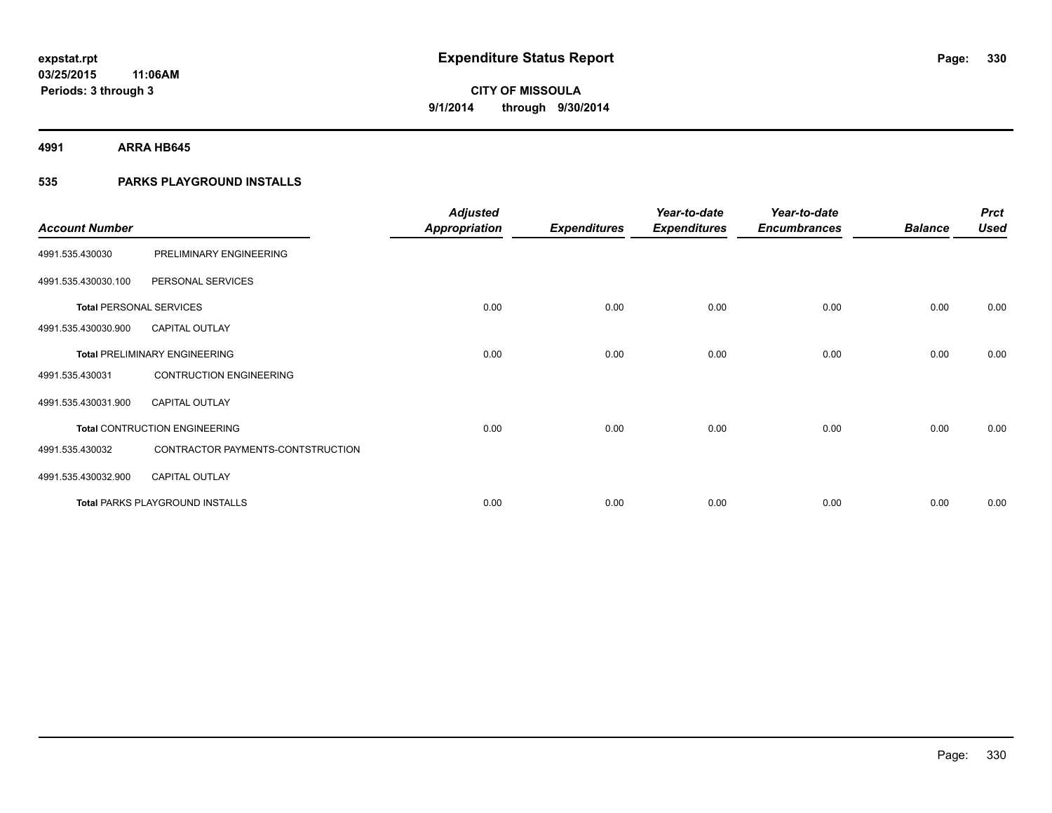**4991 ARRA HB645**

## **535 PARKS PLAYGROUND INSTALLS**

| <b>Account Number</b>          |                                        | <b>Adjusted</b><br><b>Appropriation</b> | <b>Expenditures</b> | Year-to-date<br><b>Expenditures</b> | Year-to-date<br><b>Encumbrances</b> | <b>Balance</b> | <b>Prct</b><br><b>Used</b> |
|--------------------------------|----------------------------------------|-----------------------------------------|---------------------|-------------------------------------|-------------------------------------|----------------|----------------------------|
| 4991.535.430030                | PRELIMINARY ENGINEERING                |                                         |                     |                                     |                                     |                |                            |
| 4991.535.430030.100            | PERSONAL SERVICES                      |                                         |                     |                                     |                                     |                |                            |
| <b>Total PERSONAL SERVICES</b> |                                        | 0.00                                    | 0.00                | 0.00                                | 0.00                                | 0.00           | 0.00                       |
| 4991.535.430030.900            | <b>CAPITAL OUTLAY</b>                  |                                         |                     |                                     |                                     |                |                            |
|                                | <b>Total PRELIMINARY ENGINEERING</b>   | 0.00                                    | 0.00                | 0.00                                | 0.00                                | 0.00           | 0.00                       |
| 4991.535.430031                | <b>CONTRUCTION ENGINEERING</b>         |                                         |                     |                                     |                                     |                |                            |
| 4991.535.430031.900            | <b>CAPITAL OUTLAY</b>                  |                                         |                     |                                     |                                     |                |                            |
|                                | <b>Total CONTRUCTION ENGINEERING</b>   | 0.00                                    | 0.00                | 0.00                                | 0.00                                | 0.00           | 0.00                       |
| 4991.535.430032                | CONTRACTOR PAYMENTS-CONTSTRUCTION      |                                         |                     |                                     |                                     |                |                            |
| 4991.535.430032.900            | <b>CAPITAL OUTLAY</b>                  |                                         |                     |                                     |                                     |                |                            |
|                                | <b>Total PARKS PLAYGROUND INSTALLS</b> | 0.00                                    | 0.00                | 0.00                                | 0.00                                | 0.00           | 0.00                       |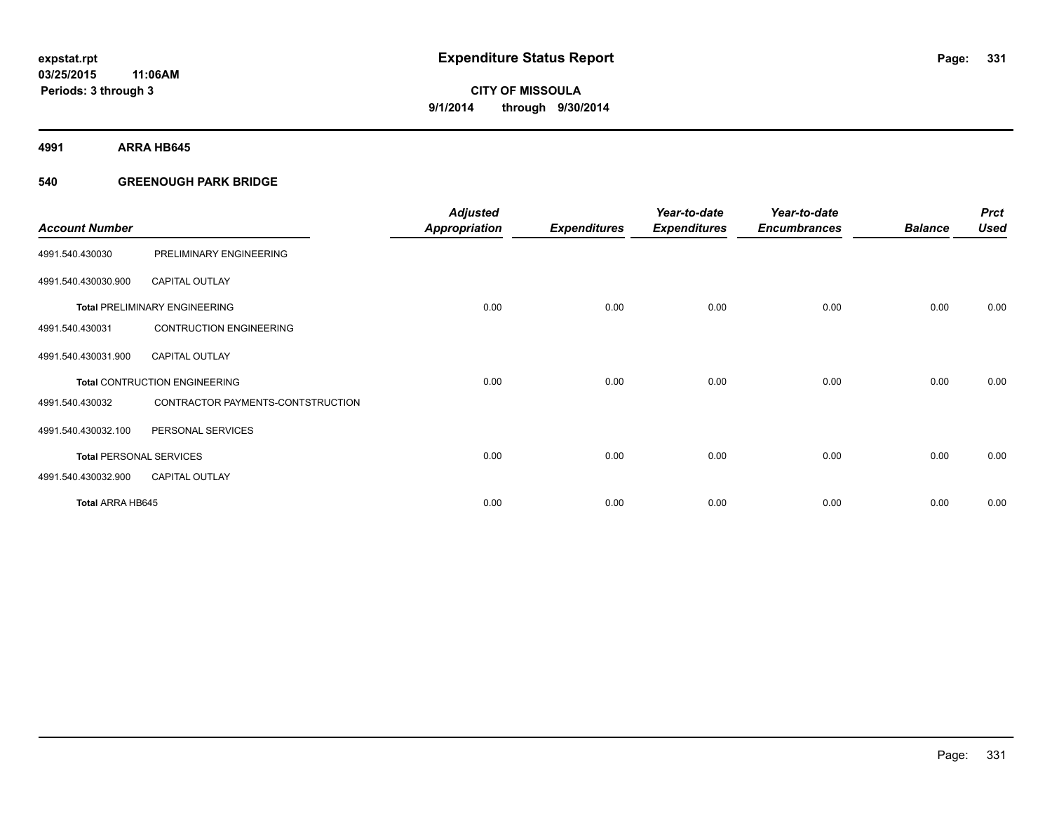**4991 ARRA HB645**

## **540 GREENOUGH PARK BRIDGE**

| <b>Account Number</b>          |                                      | <b>Adjusted</b><br><b>Appropriation</b> | <b>Expenditures</b> | Year-to-date<br><b>Expenditures</b> | Year-to-date<br><b>Encumbrances</b> | <b>Balance</b> | <b>Prct</b><br><b>Used</b> |
|--------------------------------|--------------------------------------|-----------------------------------------|---------------------|-------------------------------------|-------------------------------------|----------------|----------------------------|
| 4991.540.430030                | PRELIMINARY ENGINEERING              |                                         |                     |                                     |                                     |                |                            |
| 4991.540.430030.900            | <b>CAPITAL OUTLAY</b>                |                                         |                     |                                     |                                     |                |                            |
|                                | <b>Total PRELIMINARY ENGINEERING</b> | 0.00                                    | 0.00                | 0.00                                | 0.00                                | 0.00           | 0.00                       |
| 4991.540.430031                | <b>CONTRUCTION ENGINEERING</b>       |                                         |                     |                                     |                                     |                |                            |
| 4991.540.430031.900            | <b>CAPITAL OUTLAY</b>                |                                         |                     |                                     |                                     |                |                            |
|                                | <b>Total CONTRUCTION ENGINEERING</b> | 0.00                                    | 0.00                | 0.00                                | 0.00                                | 0.00           | 0.00                       |
| 4991.540.430032                | CONTRACTOR PAYMENTS-CONTSTRUCTION    |                                         |                     |                                     |                                     |                |                            |
| 4991.540.430032.100            | PERSONAL SERVICES                    |                                         |                     |                                     |                                     |                |                            |
| <b>Total PERSONAL SERVICES</b> |                                      | 0.00                                    | 0.00                | 0.00                                | 0.00                                | 0.00           | 0.00                       |
| 4991.540.430032.900            | <b>CAPITAL OUTLAY</b>                |                                         |                     |                                     |                                     |                |                            |
| Total ARRA HB645               |                                      | 0.00                                    | 0.00                | 0.00                                | 0.00                                | 0.00           | 0.00                       |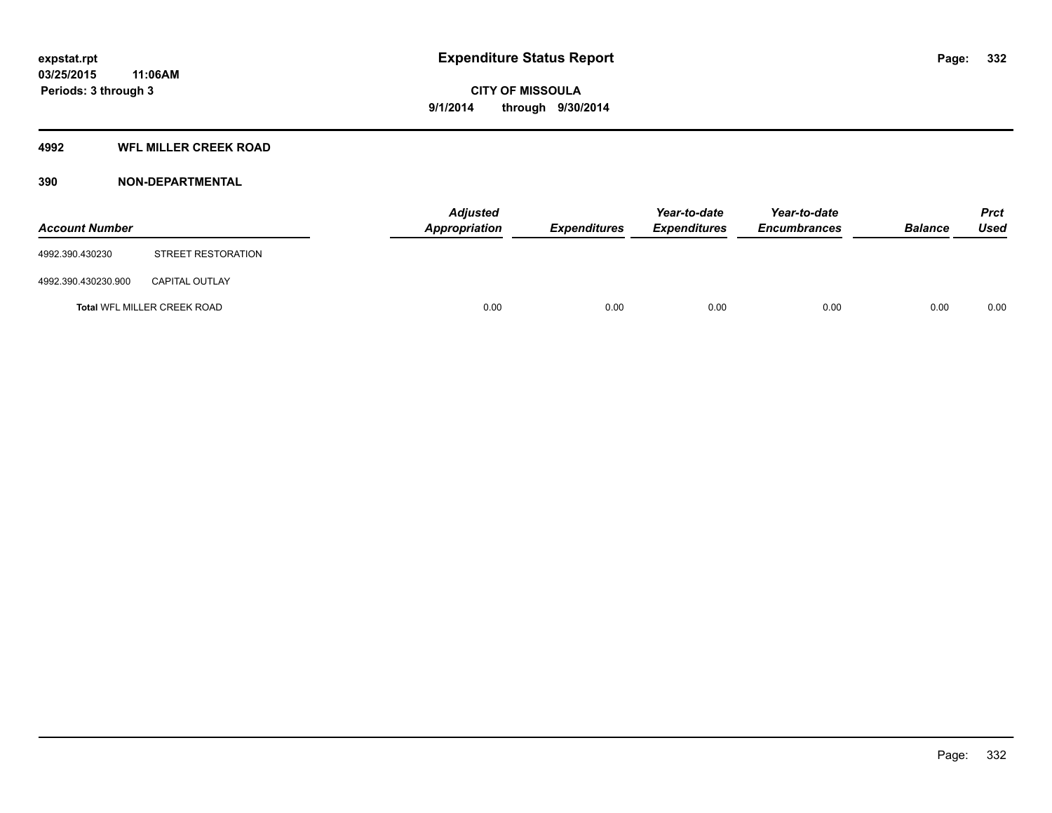### **4992 WFL MILLER CREEK ROAD**

## **390 NON-DEPARTMENTAL**

| <b>Account Number</b> |                             | Adjusted<br><b>Appropriation</b> | <b>Expenditures</b> | Year-to-date<br><b>Expenditures</b> | Year-to-date<br><b>Encumbrances</b> | <b>Balance</b> | <b>Prct</b><br><b>Used</b> |
|-----------------------|-----------------------------|----------------------------------|---------------------|-------------------------------------|-------------------------------------|----------------|----------------------------|
| 4992.390.430230       | STREET RESTORATION          |                                  |                     |                                     |                                     |                |                            |
| 4992.390.430230.900   | <b>CAPITAL OUTLAY</b>       |                                  |                     |                                     |                                     |                |                            |
|                       | Total WFL MILLER CREEK ROAD | 0.00                             | 0.00                | 0.00                                | 0.00                                | 0.00           | 0.00                       |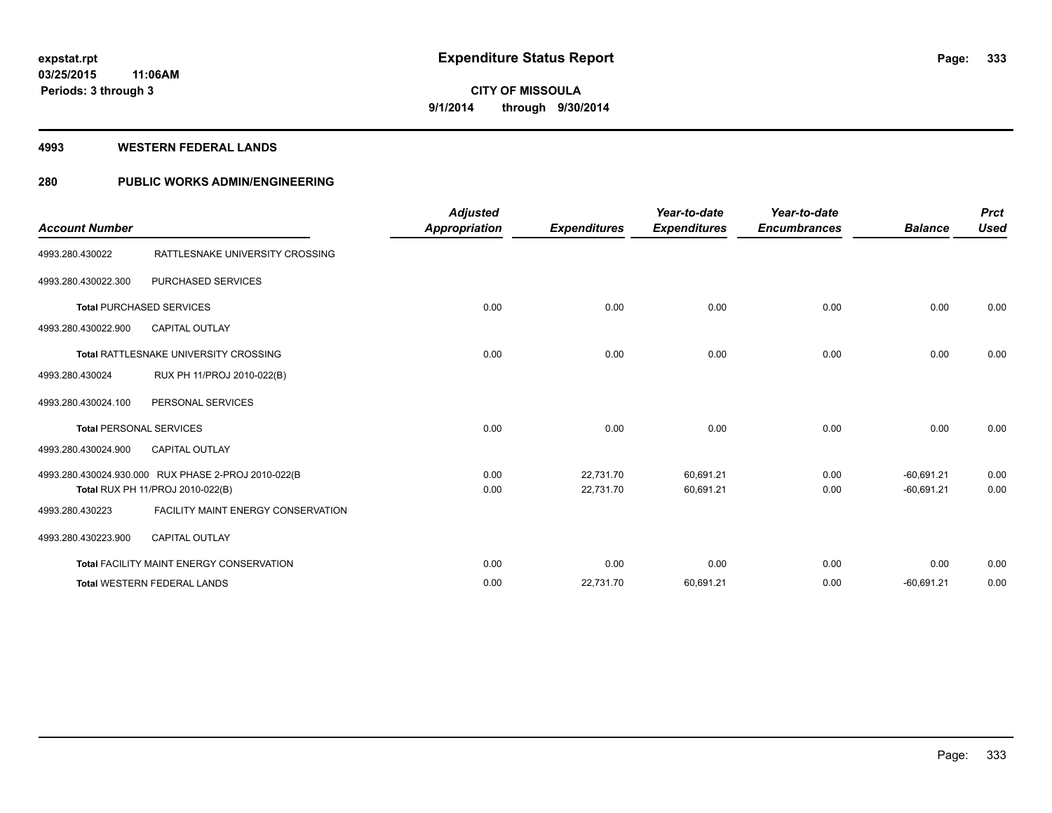### **4993 WESTERN FEDERAL LANDS**

## **280 PUBLIC WORKS ADMIN/ENGINEERING**

| <b>Account Number</b>          |                                                                                         | <b>Adjusted</b><br><b>Appropriation</b> | <b>Expenditures</b>    | Year-to-date<br><b>Expenditures</b> | Year-to-date<br><b>Encumbrances</b> | <b>Balance</b>               | <b>Prct</b><br><b>Used</b> |
|--------------------------------|-----------------------------------------------------------------------------------------|-----------------------------------------|------------------------|-------------------------------------|-------------------------------------|------------------------------|----------------------------|
| 4993.280.430022                | RATTLESNAKE UNIVERSITY CROSSING                                                         |                                         |                        |                                     |                                     |                              |                            |
| 4993.280.430022.300            | <b>PURCHASED SERVICES</b>                                                               |                                         |                        |                                     |                                     |                              |                            |
|                                | <b>Total PURCHASED SERVICES</b>                                                         | 0.00                                    | 0.00                   | 0.00                                | 0.00                                | 0.00                         | 0.00                       |
| 4993.280.430022.900            | <b>CAPITAL OUTLAY</b>                                                                   |                                         |                        |                                     |                                     |                              |                            |
|                                | Total RATTLESNAKE UNIVERSITY CROSSING                                                   | 0.00                                    | 0.00                   | 0.00                                | 0.00                                | 0.00                         | 0.00                       |
| 4993.280.430024                | RUX PH 11/PROJ 2010-022(B)                                                              |                                         |                        |                                     |                                     |                              |                            |
| 4993.280.430024.100            | PERSONAL SERVICES                                                                       |                                         |                        |                                     |                                     |                              |                            |
| <b>Total PERSONAL SERVICES</b> |                                                                                         | 0.00                                    | 0.00                   | 0.00                                | 0.00                                | 0.00                         | 0.00                       |
| 4993.280.430024.900            | <b>CAPITAL OUTLAY</b>                                                                   |                                         |                        |                                     |                                     |                              |                            |
|                                | 4993.280.430024.930.000 RUX PHASE 2-PROJ 2010-022(B<br>Total RUX PH 11/PROJ 2010-022(B) | 0.00<br>0.00                            | 22,731.70<br>22,731.70 | 60,691.21<br>60,691.21              | 0.00<br>0.00                        | $-60,691.21$<br>$-60,691.21$ | 0.00<br>0.00               |
| 4993.280.430223                | <b>FACILITY MAINT ENERGY CONSERVATION</b>                                               |                                         |                        |                                     |                                     |                              |                            |
| 4993.280.430223.900            | <b>CAPITAL OUTLAY</b>                                                                   |                                         |                        |                                     |                                     |                              |                            |
|                                | <b>Total FACILITY MAINT ENERGY CONSERVATION</b>                                         | 0.00                                    | 0.00                   | 0.00                                | 0.00                                | 0.00                         | 0.00                       |
|                                | <b>Total WESTERN FEDERAL LANDS</b>                                                      | 0.00                                    | 22,731.70              | 60,691.21                           | 0.00                                | $-60,691.21$                 | 0.00                       |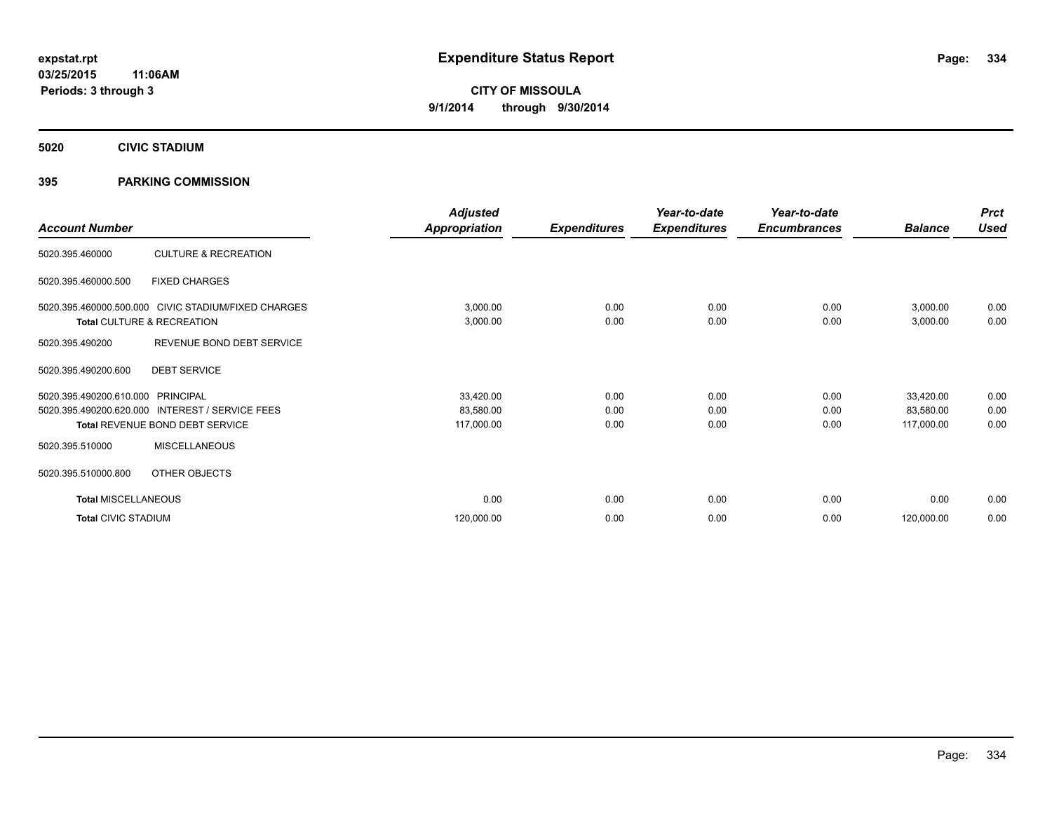**5020 CIVIC STADIUM**

## **395 PARKING COMMISSION**

| <b>Account Number</b>      |                                                     | <b>Adjusted</b><br><b>Appropriation</b> | <b>Expenditures</b> | Year-to-date<br><b>Expenditures</b> | Year-to-date<br><b>Encumbrances</b> | <b>Balance</b> | <b>Prct</b><br><b>Used</b> |
|----------------------------|-----------------------------------------------------|-----------------------------------------|---------------------|-------------------------------------|-------------------------------------|----------------|----------------------------|
|                            |                                                     |                                         |                     |                                     |                                     |                |                            |
| 5020.395.460000            | <b>CULTURE &amp; RECREATION</b>                     |                                         |                     |                                     |                                     |                |                            |
| 5020.395.460000.500        | <b>FIXED CHARGES</b>                                |                                         |                     |                                     |                                     |                |                            |
|                            | 5020.395.460000.500.000 CIVIC STADIUM/FIXED CHARGES | 3,000.00                                | 0.00                | 0.00                                | 0.00                                | 3,000.00       | 0.00                       |
|                            | Total CULTURE & RECREATION                          | 3,000.00                                | 0.00                | 0.00                                | 0.00                                | 3,000.00       | 0.00                       |
| 5020.395.490200            | REVENUE BOND DEBT SERVICE                           |                                         |                     |                                     |                                     |                |                            |
| 5020.395.490200.600        | <b>DEBT SERVICE</b>                                 |                                         |                     |                                     |                                     |                |                            |
| 5020.395.490200.610.000    | PRINCIPAL                                           | 33,420.00                               | 0.00                | 0.00                                | 0.00                                | 33,420.00      | 0.00                       |
| 5020.395.490200.620.000    | <b>INTEREST / SERVICE FEES</b>                      | 83,580.00                               | 0.00                | 0.00                                | 0.00                                | 83,580.00      | 0.00                       |
|                            | Total REVENUE BOND DEBT SERVICE                     | 117,000.00                              | 0.00                | 0.00                                | 0.00                                | 117,000.00     | 0.00                       |
| 5020.395.510000            | <b>MISCELLANEOUS</b>                                |                                         |                     |                                     |                                     |                |                            |
| 5020.395.510000.800        | OTHER OBJECTS                                       |                                         |                     |                                     |                                     |                |                            |
| <b>Total MISCELLANEOUS</b> |                                                     | 0.00                                    | 0.00                | 0.00                                | 0.00                                | 0.00           | 0.00                       |
| <b>Total CIVIC STADIUM</b> |                                                     | 120,000.00                              | 0.00                | 0.00                                | 0.00                                | 120,000.00     | 0.00                       |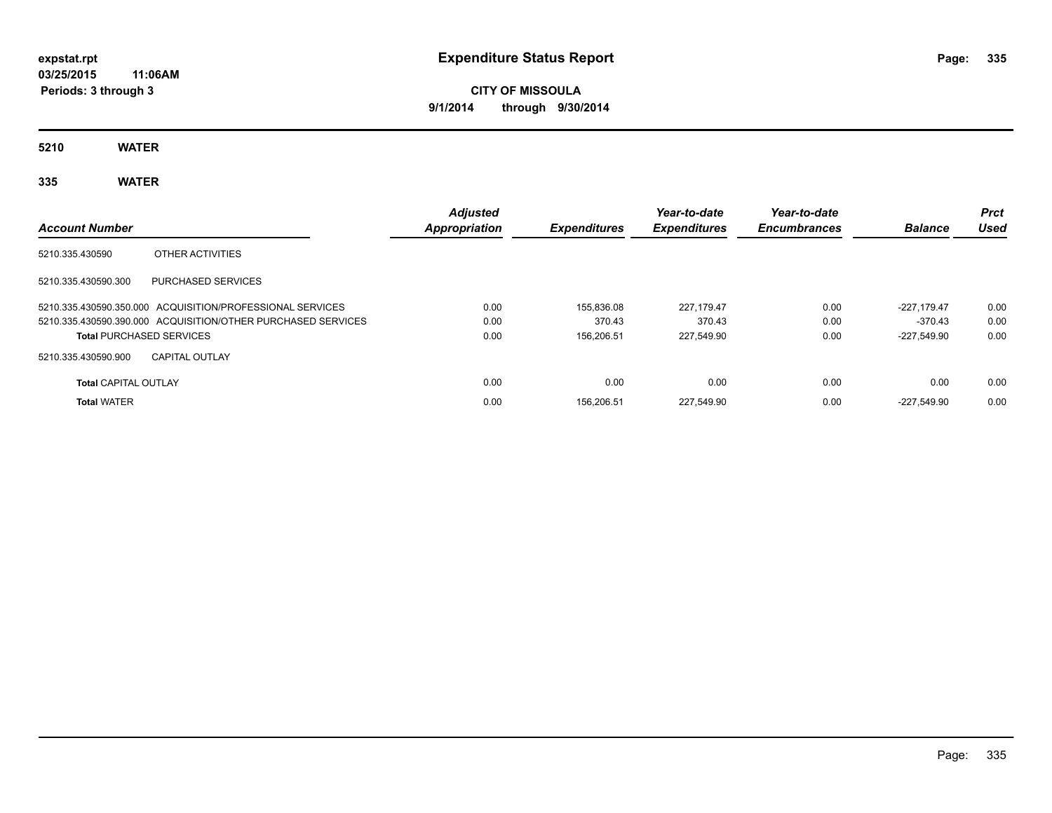**CITY OF MISSOULA 9/1/2014 through 9/30/2014**

**5210 WATER**

**335 WATER**

| <b>Account Number</b>       |                                                              | <b>Adjusted</b><br><b>Appropriation</b> | <b>Expenditures</b> | Year-to-date<br><b>Expenditures</b> | Year-to-date<br><b>Encumbrances</b> | <b>Balance</b> | <b>Prct</b><br>Used |
|-----------------------------|--------------------------------------------------------------|-----------------------------------------|---------------------|-------------------------------------|-------------------------------------|----------------|---------------------|
| 5210.335.430590             | OTHER ACTIVITIES                                             |                                         |                     |                                     |                                     |                |                     |
| 5210.335.430590.300         | PURCHASED SERVICES                                           |                                         |                     |                                     |                                     |                |                     |
|                             | 5210.335.430590.350.000 ACQUISITION/PROFESSIONAL SERVICES    | 0.00                                    | 155,836.08          | 227.179.47                          | 0.00                                | $-227.179.47$  | 0.00                |
|                             | 5210.335.430590.390.000 ACQUISITION/OTHER PURCHASED SERVICES | 0.00                                    | 370.43              | 370.43                              | 0.00                                | $-370.43$      | 0.00                |
|                             | <b>Total PURCHASED SERVICES</b>                              | 0.00                                    | 156.206.51          | 227.549.90                          | 0.00                                | -227.549.90    | 0.00                |
| 5210.335.430590.900         | <b>CAPITAL OUTLAY</b>                                        |                                         |                     |                                     |                                     |                |                     |
| <b>Total CAPITAL OUTLAY</b> |                                                              | 0.00                                    | 0.00                | 0.00                                | 0.00                                | 0.00           | 0.00                |
| <b>Total WATER</b>          |                                                              | 0.00                                    | 156.206.51          | 227.549.90                          | 0.00                                | -227.549.90    | 0.00                |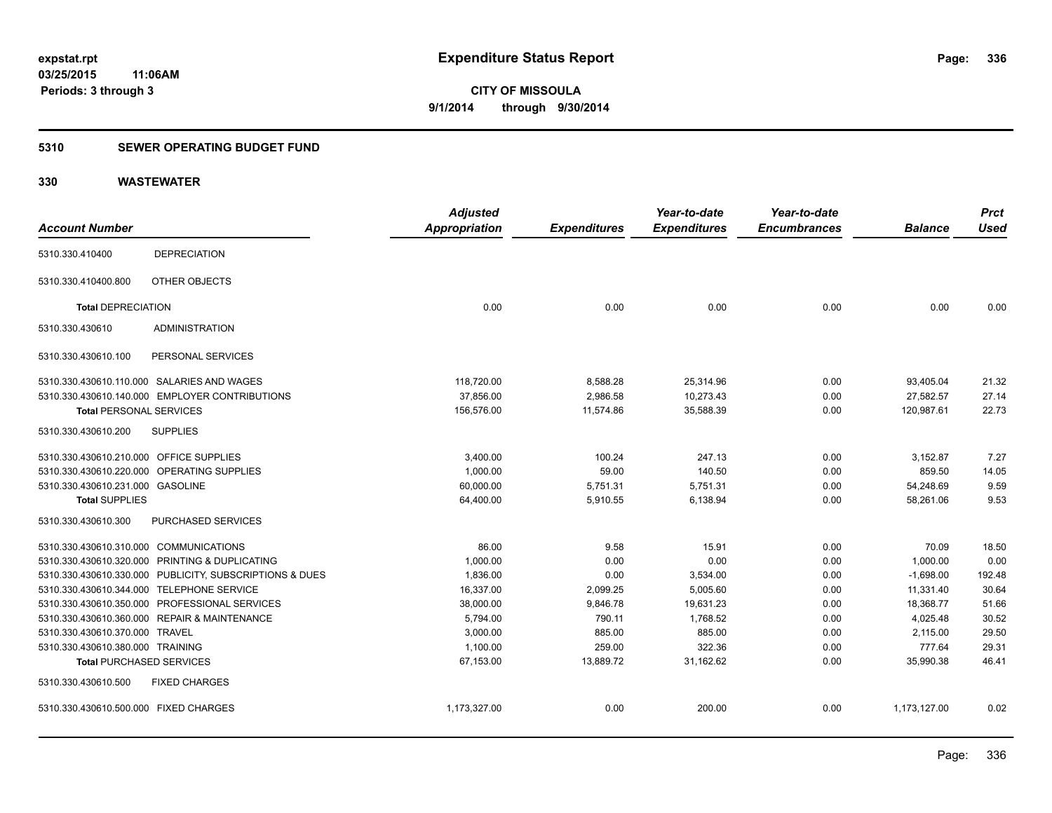## **5310 SEWER OPERATING BUDGET FUND**

|                                         |                                                         | <b>Adjusted</b> |                     | Year-to-date        | Year-to-date        |                | <b>Prct</b> |
|-----------------------------------------|---------------------------------------------------------|-----------------|---------------------|---------------------|---------------------|----------------|-------------|
| <b>Account Number</b>                   |                                                         | Appropriation   | <b>Expenditures</b> | <b>Expenditures</b> | <b>Encumbrances</b> | <b>Balance</b> | <b>Used</b> |
| 5310.330.410400                         | <b>DEPRECIATION</b>                                     |                 |                     |                     |                     |                |             |
| 5310.330.410400.800                     | OTHER OBJECTS                                           |                 |                     |                     |                     |                |             |
| <b>Total DEPRECIATION</b>               |                                                         | 0.00            | 0.00                | 0.00                | 0.00                | 0.00           | 0.00        |
| 5310.330.430610                         | <b>ADMINISTRATION</b>                                   |                 |                     |                     |                     |                |             |
| 5310.330.430610.100                     | PERSONAL SERVICES                                       |                 |                     |                     |                     |                |             |
|                                         | 5310.330.430610.110.000 SALARIES AND WAGES              | 118,720.00      | 8,588.28            | 25,314.96           | 0.00                | 93,405.04      | 21.32       |
|                                         | 5310.330.430610.140.000 EMPLOYER CONTRIBUTIONS          | 37,856.00       | 2,986.58            | 10,273.43           | 0.00                | 27,582.57      | 27.14       |
| <b>Total PERSONAL SERVICES</b>          |                                                         | 156,576.00      | 11,574.86           | 35,588.39           | 0.00                | 120,987.61     | 22.73       |
| 5310.330.430610.200                     | <b>SUPPLIES</b>                                         |                 |                     |                     |                     |                |             |
| 5310.330.430610.210.000 OFFICE SUPPLIES |                                                         | 3,400.00        | 100.24              | 247.13              | 0.00                | 3,152.87       | 7.27        |
|                                         | 5310.330.430610.220.000 OPERATING SUPPLIES              | 1,000.00        | 59.00               | 140.50              | 0.00                | 859.50         | 14.05       |
| 5310.330.430610.231.000 GASOLINE        |                                                         | 60,000.00       | 5,751.31            | 5,751.31            | 0.00                | 54,248.69      | 9.59        |
| <b>Total SUPPLIES</b>                   |                                                         | 64,400.00       | 5,910.55            | 6,138.94            | 0.00                | 58,261.06      | 9.53        |
| 5310.330.430610.300                     | PURCHASED SERVICES                                      |                 |                     |                     |                     |                |             |
| 5310.330.430610.310.000 COMMUNICATIONS  |                                                         | 86.00           | 9.58                | 15.91               | 0.00                | 70.09          | 18.50       |
|                                         | 5310.330.430610.320.000 PRINTING & DUPLICATING          | 1,000.00        | 0.00                | 0.00                | 0.00                | 1,000.00       | 0.00        |
|                                         | 5310.330.430610.330.000 PUBLICITY, SUBSCRIPTIONS & DUES | 1,836.00        | 0.00                | 3,534.00            | 0.00                | $-1,698.00$    | 192.48      |
|                                         | 5310.330.430610.344.000 TELEPHONE SERVICE               | 16,337.00       | 2,099.25            | 5,005.60            | 0.00                | 11,331.40      | 30.64       |
|                                         | 5310.330.430610.350.000 PROFESSIONAL SERVICES           | 38,000.00       | 9,846.78            | 19,631.23           | 0.00                | 18,368.77      | 51.66       |
|                                         | 5310.330.430610.360.000 REPAIR & MAINTENANCE            | 5,794.00        | 790.11              | 1,768.52            | 0.00                | 4,025.48       | 30.52       |
| 5310.330.430610.370.000 TRAVEL          |                                                         | 3.000.00        | 885.00              | 885.00              | 0.00                | 2,115.00       | 29.50       |
| 5310.330.430610.380.000 TRAINING        |                                                         | 1,100.00        | 259.00              | 322.36              | 0.00                | 777.64         | 29.31       |
| <b>Total PURCHASED SERVICES</b>         |                                                         | 67,153.00       | 13,889.72           | 31,162.62           | 0.00                | 35,990.38      | 46.41       |
| 5310.330.430610.500                     | <b>FIXED CHARGES</b>                                    |                 |                     |                     |                     |                |             |
| 5310.330.430610.500.000 FIXED CHARGES   |                                                         | 1,173,327.00    | 0.00                | 200.00              | 0.00                | 1,173,127.00   | 0.02        |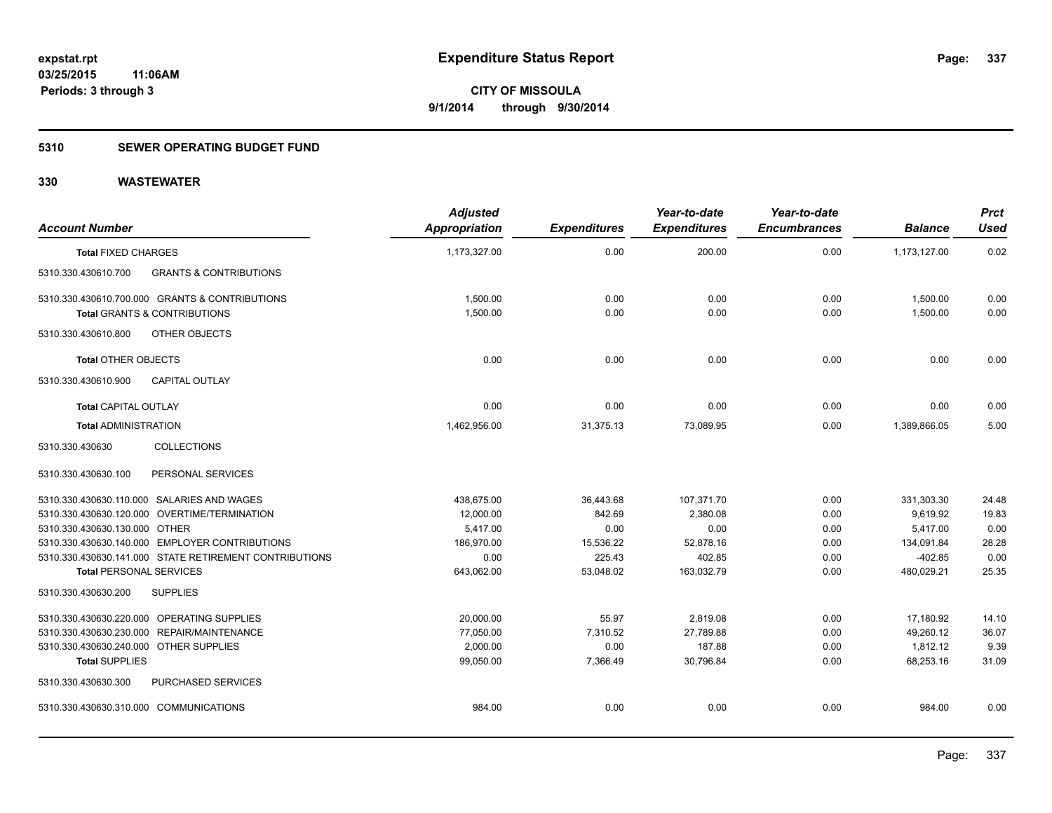## **5310 SEWER OPERATING BUDGET FUND**

| <b>Account Number</b>                  |                                                        | <b>Adjusted</b><br><b>Appropriation</b> | <b>Expenditures</b> | Year-to-date<br><b>Expenditures</b> | Year-to-date<br><b>Encumbrances</b> | <b>Balance</b> | <b>Prct</b><br><b>Used</b> |
|----------------------------------------|--------------------------------------------------------|-----------------------------------------|---------------------|-------------------------------------|-------------------------------------|----------------|----------------------------|
| <b>Total FIXED CHARGES</b>             |                                                        | 1,173,327.00                            | 0.00                | 200.00                              | 0.00                                | 1,173,127.00   | 0.02                       |
| 5310.330.430610.700                    | <b>GRANTS &amp; CONTRIBUTIONS</b>                      |                                         |                     |                                     |                                     |                |                            |
|                                        | 5310.330.430610.700.000 GRANTS & CONTRIBUTIONS         | 1,500.00                                | 0.00                | 0.00                                | 0.00                                | 1,500.00       | 0.00                       |
|                                        | <b>Total GRANTS &amp; CONTRIBUTIONS</b>                | 1,500.00                                | 0.00                | 0.00                                | 0.00                                | 1,500.00       | 0.00                       |
| 5310.330.430610.800                    | OTHER OBJECTS                                          |                                         |                     |                                     |                                     |                |                            |
| <b>Total OTHER OBJECTS</b>             |                                                        | 0.00                                    | 0.00                | 0.00                                | 0.00                                | 0.00           | 0.00                       |
| 5310.330.430610.900                    | <b>CAPITAL OUTLAY</b>                                  |                                         |                     |                                     |                                     |                |                            |
| <b>Total CAPITAL OUTLAY</b>            |                                                        | 0.00                                    | 0.00                | 0.00                                | 0.00                                | 0.00           | 0.00                       |
| <b>Total ADMINISTRATION</b>            |                                                        | 1,462,956.00                            | 31,375.13           | 73,089.95                           | 0.00                                | 1,389,866.05   | 5.00                       |
| 5310.330.430630                        | <b>COLLECTIONS</b>                                     |                                         |                     |                                     |                                     |                |                            |
| 5310.330.430630.100                    | PERSONAL SERVICES                                      |                                         |                     |                                     |                                     |                |                            |
|                                        | 5310.330.430630.110.000 SALARIES AND WAGES             | 438.675.00                              | 36,443.68           | 107,371.70                          | 0.00                                | 331,303.30     | 24.48                      |
|                                        | 5310.330.430630.120.000 OVERTIME/TERMINATION           | 12,000.00                               | 842.69              | 2,380.08                            | 0.00                                | 9.619.92       | 19.83                      |
| 5310.330.430630.130.000 OTHER          |                                                        | 5,417.00                                | 0.00                | 0.00                                | 0.00                                | 5,417.00       | 0.00                       |
|                                        | 5310.330.430630.140.000 EMPLOYER CONTRIBUTIONS         | 186,970.00                              | 15,536.22           | 52,878.16                           | 0.00                                | 134,091.84     | 28.28                      |
|                                        | 5310.330.430630.141.000 STATE RETIREMENT CONTRIBUTIONS | 0.00                                    | 225.43              | 402.85                              | 0.00                                | $-402.85$      | 0.00                       |
| <b>Total PERSONAL SERVICES</b>         |                                                        | 643,062.00                              | 53,048.02           | 163,032.79                          | 0.00                                | 480,029.21     | 25.35                      |
| 5310.330.430630.200                    | <b>SUPPLIES</b>                                        |                                         |                     |                                     |                                     |                |                            |
|                                        | 5310.330.430630.220.000 OPERATING SUPPLIES             | 20,000.00                               | 55.97               | 2,819.08                            | 0.00                                | 17,180.92      | 14.10                      |
|                                        | 5310.330.430630.230.000 REPAIR/MAINTENANCE             | 77,050.00                               | 7,310.52            | 27,789.88                           | 0.00                                | 49,260.12      | 36.07                      |
| 5310.330.430630.240.000 OTHER SUPPLIES |                                                        | 2,000.00                                | 0.00                | 187.88                              | 0.00                                | 1,812.12       | 9.39                       |
| <b>Total SUPPLIES</b>                  |                                                        | 99,050.00                               | 7,366.49            | 30,796.84                           | 0.00                                | 68,253.16      | 31.09                      |
| 5310.330.430630.300                    | PURCHASED SERVICES                                     |                                         |                     |                                     |                                     |                |                            |
| 5310.330.430630.310.000 COMMUNICATIONS |                                                        | 984.00                                  | 0.00                | 0.00                                | 0.00                                | 984.00         | 0.00                       |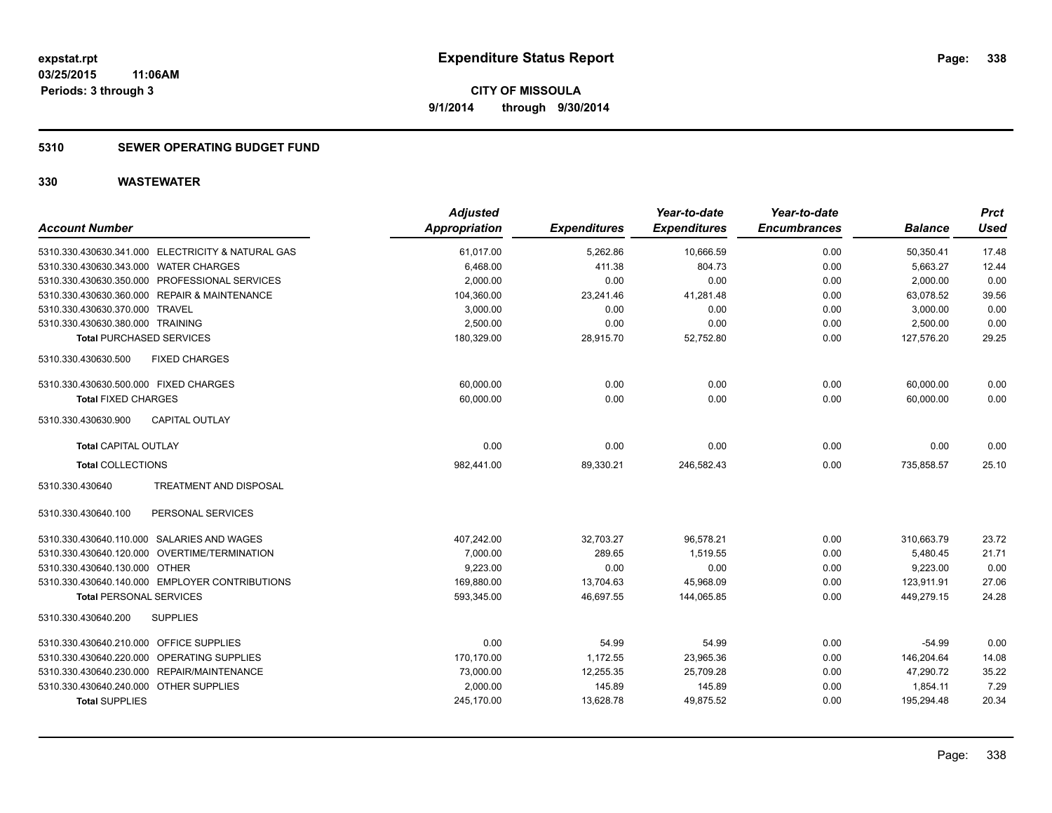## **5310 SEWER OPERATING BUDGET FUND**

| <b>Account Number</b>                             | <b>Adjusted</b><br><b>Appropriation</b> | <b>Expenditures</b> | Year-to-date<br><b>Expenditures</b> | Year-to-date<br><b>Encumbrances</b> | <b>Balance</b> | <b>Prct</b><br><b>Used</b> |
|---------------------------------------------------|-----------------------------------------|---------------------|-------------------------------------|-------------------------------------|----------------|----------------------------|
| 5310.330.430630.341.000 ELECTRICITY & NATURAL GAS | 61,017.00                               | 5,262.86            | 10,666.59                           | 0.00                                | 50,350.41      | 17.48                      |
| 5310.330.430630.343.000 WATER CHARGES             | 6,468.00                                | 411.38              | 804.73                              | 0.00                                | 5,663.27       | 12.44                      |
| 5310.330.430630.350.000 PROFESSIONAL SERVICES     | 2,000.00                                | 0.00                | 0.00                                | 0.00                                | 2,000.00       | 0.00                       |
| 5310.330.430630.360.000 REPAIR & MAINTENANCE      | 104,360.00                              | 23,241.46           | 41,281.48                           | 0.00                                | 63,078.52      | 39.56                      |
| 5310.330.430630.370.000 TRAVEL                    | 3,000.00                                | 0.00                | 0.00                                | 0.00                                | 3,000.00       | 0.00                       |
| 5310.330.430630.380.000 TRAINING                  | 2,500.00                                | 0.00                | 0.00                                | 0.00                                | 2,500.00       | 0.00                       |
| <b>Total PURCHASED SERVICES</b>                   | 180,329.00                              | 28,915.70           | 52,752.80                           | 0.00                                | 127,576.20     | 29.25                      |
| 5310.330.430630.500<br><b>FIXED CHARGES</b>       |                                         |                     |                                     |                                     |                |                            |
| 5310.330.430630.500.000 FIXED CHARGES             | 60,000.00                               | 0.00                | 0.00                                | 0.00                                | 60,000.00      | 0.00                       |
| <b>Total FIXED CHARGES</b>                        | 60,000.00                               | 0.00                | 0.00                                | 0.00                                | 60,000.00      | 0.00                       |
| <b>CAPITAL OUTLAY</b><br>5310.330.430630.900      |                                         |                     |                                     |                                     |                |                            |
| <b>Total CAPITAL OUTLAY</b>                       | 0.00                                    | 0.00                | 0.00                                | 0.00                                | 0.00           | 0.00                       |
| <b>Total COLLECTIONS</b>                          | 982,441.00                              | 89,330.21           | 246,582.43                          | 0.00                                | 735,858.57     | 25.10                      |
| <b>TREATMENT AND DISPOSAL</b><br>5310.330.430640  |                                         |                     |                                     |                                     |                |                            |
| PERSONAL SERVICES<br>5310.330.430640.100          |                                         |                     |                                     |                                     |                |                            |
| 5310.330.430640.110.000 SALARIES AND WAGES        | 407,242.00                              | 32,703.27           | 96.578.21                           | 0.00                                | 310,663.79     | 23.72                      |
| 5310.330.430640.120.000 OVERTIME/TERMINATION      | 7,000.00                                | 289.65              | 1,519.55                            | 0.00                                | 5,480.45       | 21.71                      |
| 5310.330.430640.130.000 OTHER                     | 9,223.00                                | 0.00                | 0.00                                | 0.00                                | 9,223.00       | 0.00                       |
| 5310.330.430640.140.000 EMPLOYER CONTRIBUTIONS    | 169,880.00                              | 13,704.63           | 45,968.09                           | 0.00                                | 123,911.91     | 27.06                      |
| <b>Total PERSONAL SERVICES</b>                    | 593,345.00                              | 46,697.55           | 144,065.85                          | 0.00                                | 449,279.15     | 24.28                      |
| 5310.330.430640.200<br><b>SUPPLIES</b>            |                                         |                     |                                     |                                     |                |                            |
| OFFICE SUPPLIES<br>5310.330.430640.210.000        | 0.00                                    | 54.99               | 54.99                               | 0.00                                | $-54.99$       | 0.00                       |
| 5310.330.430640.220.000 OPERATING SUPPLIES        | 170,170.00                              | 1,172.55            | 23,965.36                           | 0.00                                | 146,204.64     | 14.08                      |
| 5310.330.430640.230.000 REPAIR/MAINTENANCE        | 73,000.00                               | 12,255.35           | 25,709.28                           | 0.00                                | 47,290.72      | 35.22                      |
| 5310.330.430640.240.000<br><b>OTHER SUPPLIES</b>  | 2,000.00                                | 145.89              | 145.89                              | 0.00                                | 1,854.11       | 7.29                       |
| <b>Total SUPPLIES</b>                             | 245,170.00                              | 13,628.78           | 49,875.52                           | 0.00                                | 195,294.48     | 20.34                      |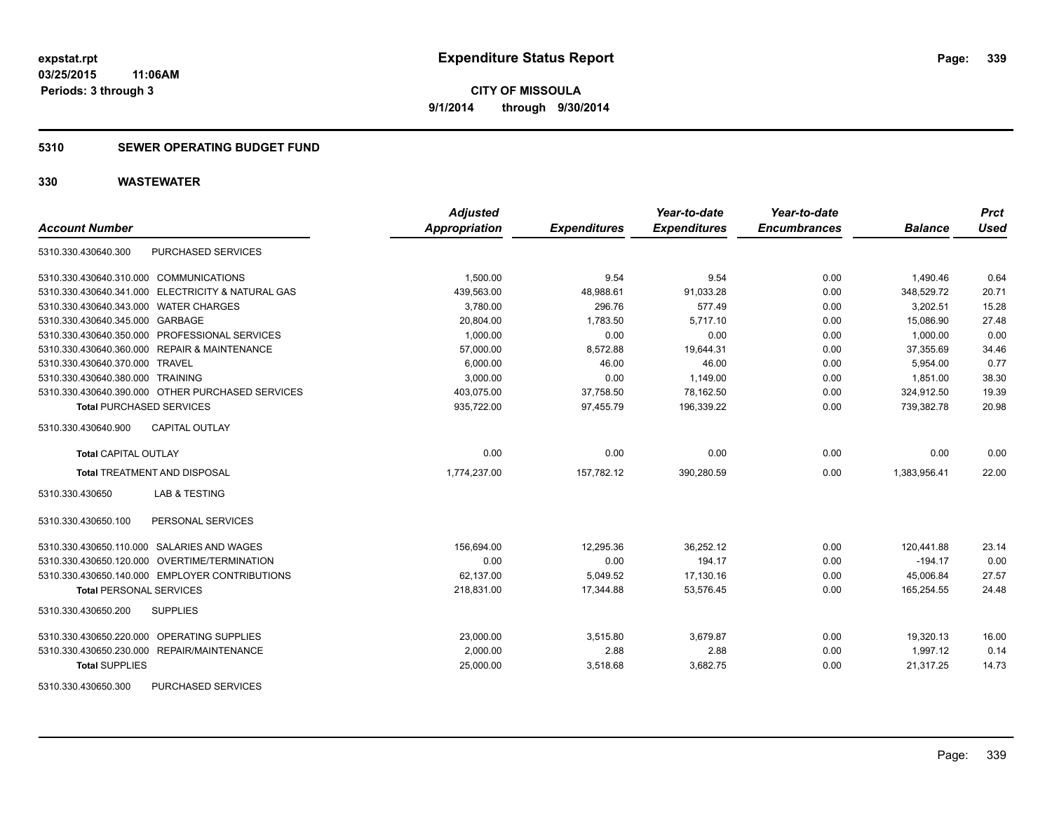## **5310 SEWER OPERATING BUDGET FUND**

| <b>Account Number</b>                             | <b>Adjusted</b><br><b>Appropriation</b> | <b>Expenditures</b> | Year-to-date<br><b>Expenditures</b> | Year-to-date<br><b>Encumbrances</b> | <b>Balance</b> | <b>Prct</b><br><b>Used</b> |
|---------------------------------------------------|-----------------------------------------|---------------------|-------------------------------------|-------------------------------------|----------------|----------------------------|
|                                                   |                                         |                     |                                     |                                     |                |                            |
| <b>PURCHASED SERVICES</b><br>5310.330.430640.300  |                                         |                     |                                     |                                     |                |                            |
| 5310.330.430640.310.000 COMMUNICATIONS            | 1,500.00                                | 9.54                | 9.54                                | 0.00                                | 1,490.46       | 0.64                       |
| 5310.330.430640.341.000 ELECTRICITY & NATURAL GAS | 439.563.00                              | 48.988.61           | 91.033.28                           | 0.00                                | 348.529.72     | 20.71                      |
| 5310.330.430640.343.000 WATER CHARGES             | 3,780.00                                | 296.76              | 577.49                              | 0.00                                | 3,202.51       | 15.28                      |
| 5310.330.430640.345.000 GARBAGE                   | 20,804.00                               | 1,783.50            | 5,717.10                            | 0.00                                | 15,086.90      | 27.48                      |
| 5310.330.430640.350.000 PROFESSIONAL SERVICES     | 1,000.00                                | 0.00                | 0.00                                | 0.00                                | 1.000.00       | 0.00                       |
| 5310.330.430640.360.000 REPAIR & MAINTENANCE      | 57,000.00                               | 8,572.88            | 19,644.31                           | 0.00                                | 37,355.69      | 34.46                      |
| 5310.330.430640.370.000 TRAVEL                    | 6.000.00                                | 46.00               | 46.00                               | 0.00                                | 5.954.00       | 0.77                       |
| 5310.330.430640.380.000 TRAINING                  | 3,000.00                                | 0.00                | 1,149.00                            | 0.00                                | 1.851.00       | 38.30                      |
| 5310.330.430640.390.000 OTHER PURCHASED SERVICES  | 403,075.00                              | 37,758.50           | 78,162.50                           | 0.00                                | 324,912.50     | 19.39                      |
| <b>Total PURCHASED SERVICES</b>                   | 935,722.00                              | 97,455.79           | 196,339.22                          | 0.00                                | 739,382.78     | 20.98                      |
| <b>CAPITAL OUTLAY</b><br>5310.330.430640.900      |                                         |                     |                                     |                                     |                |                            |
| <b>Total CAPITAL OUTLAY</b>                       | 0.00                                    | 0.00                | 0.00                                | 0.00                                | 0.00           | 0.00                       |
| <b>Total TREATMENT AND DISPOSAL</b>               | 1,774,237.00                            | 157,782.12          | 390,280.59                          | 0.00                                | 1,383,956.41   | 22.00                      |
| <b>LAB &amp; TESTING</b><br>5310.330.430650       |                                         |                     |                                     |                                     |                |                            |
| PERSONAL SERVICES<br>5310.330.430650.100          |                                         |                     |                                     |                                     |                |                            |
| 5310.330.430650.110.000 SALARIES AND WAGES        | 156,694.00                              | 12,295.36           | 36,252.12                           | 0.00                                | 120,441.88     | 23.14                      |
| 5310.330.430650.120.000 OVERTIME/TERMINATION      | 0.00                                    | 0.00                | 194.17                              | 0.00                                | $-194.17$      | 0.00                       |
| 5310.330.430650.140.000 EMPLOYER CONTRIBUTIONS    | 62,137.00                               | 5,049.52            | 17,130.16                           | 0.00                                | 45,006.84      | 27.57                      |
| <b>Total PERSONAL SERVICES</b>                    | 218,831.00                              | 17,344.88           | 53,576.45                           | 0.00                                | 165,254.55     | 24.48                      |
| <b>SUPPLIES</b><br>5310.330.430650.200            |                                         |                     |                                     |                                     |                |                            |
| 5310.330.430650.220.000 OPERATING SUPPLIES        | 23,000.00                               | 3,515.80            | 3,679.87                            | 0.00                                | 19,320.13      | 16.00                      |
| 5310.330.430650.230.000 REPAIR/MAINTENANCE        | 2.000.00                                | 2.88                | 2.88                                | 0.00                                | 1.997.12       | 0.14                       |
| <b>Total SUPPLIES</b>                             | 25,000.00                               | 3,518.68            | 3,682.75                            | 0.00                                | 21,317.25      | 14.73                      |
| 5310.330.430650.300<br><b>PURCHASED SERVICES</b>  |                                         |                     |                                     |                                     |                |                            |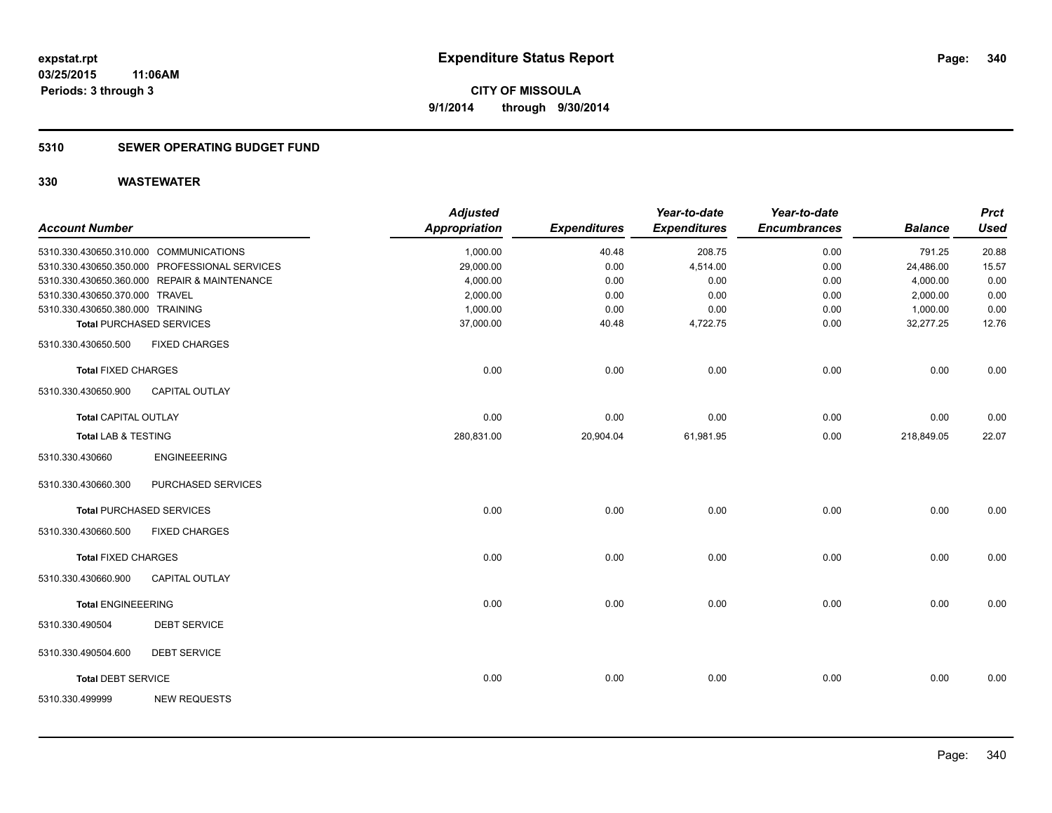## **5310 SEWER OPERATING BUDGET FUND**

| <b>Account Number</b>            |                                               | <b>Adjusted</b><br><b>Appropriation</b> | <b>Expenditures</b> | Year-to-date<br><b>Expenditures</b> | Year-to-date<br><b>Encumbrances</b> | <b>Balance</b> | <b>Prct</b><br><b>Used</b> |
|----------------------------------|-----------------------------------------------|-----------------------------------------|---------------------|-------------------------------------|-------------------------------------|----------------|----------------------------|
|                                  | 5310.330.430650.310.000 COMMUNICATIONS        | 1,000.00                                | 40.48               | 208.75                              | 0.00                                | 791.25         | 20.88                      |
|                                  | 5310.330.430650.350.000 PROFESSIONAL SERVICES | 29,000.00                               | 0.00                | 4,514.00                            | 0.00                                | 24,486.00      | 15.57                      |
|                                  | 5310.330.430650.360.000 REPAIR & MAINTENANCE  | 4,000.00                                | 0.00                | 0.00                                | 0.00                                | 4,000.00       | 0.00                       |
| 5310.330.430650.370.000 TRAVEL   |                                               | 2,000.00                                | 0.00                | 0.00                                | 0.00                                | 2,000.00       | 0.00                       |
| 5310.330.430650.380.000 TRAINING |                                               | 1,000.00                                | 0.00                | 0.00                                | 0.00                                | 1,000.00       | 0.00                       |
|                                  | <b>Total PURCHASED SERVICES</b>               | 37,000.00                               | 40.48               | 4,722.75                            | 0.00                                | 32,277.25      | 12.76                      |
| 5310.330.430650.500              | <b>FIXED CHARGES</b>                          |                                         |                     |                                     |                                     |                |                            |
| <b>Total FIXED CHARGES</b>       |                                               | 0.00                                    | 0.00                | 0.00                                | 0.00                                | 0.00           | 0.00                       |
| 5310.330.430650.900              | <b>CAPITAL OUTLAY</b>                         |                                         |                     |                                     |                                     |                |                            |
| <b>Total CAPITAL OUTLAY</b>      |                                               | 0.00                                    | 0.00                | 0.00                                | 0.00                                | 0.00           | 0.00                       |
| <b>Total LAB &amp; TESTING</b>   |                                               | 280,831.00                              | 20,904.04           | 61,981.95                           | 0.00                                | 218,849.05     | 22.07                      |
| 5310.330.430660                  | <b>ENGINEEERING</b>                           |                                         |                     |                                     |                                     |                |                            |
| 5310.330.430660.300              | PURCHASED SERVICES                            |                                         |                     |                                     |                                     |                |                            |
|                                  | <b>Total PURCHASED SERVICES</b>               | 0.00                                    | 0.00                | 0.00                                | 0.00                                | 0.00           | 0.00                       |
| 5310.330.430660.500              | <b>FIXED CHARGES</b>                          |                                         |                     |                                     |                                     |                |                            |
| <b>Total FIXED CHARGES</b>       |                                               | 0.00                                    | 0.00                | 0.00                                | 0.00                                | 0.00           | 0.00                       |
| 5310.330.430660.900              | <b>CAPITAL OUTLAY</b>                         |                                         |                     |                                     |                                     |                |                            |
| <b>Total ENGINEEERING</b>        |                                               | 0.00                                    | 0.00                | 0.00                                | 0.00                                | 0.00           | 0.00                       |
| 5310.330.490504                  | <b>DEBT SERVICE</b>                           |                                         |                     |                                     |                                     |                |                            |
| 5310.330.490504.600              | <b>DEBT SERVICE</b>                           |                                         |                     |                                     |                                     |                |                            |
| <b>Total DEBT SERVICE</b>        |                                               | 0.00                                    | 0.00                | 0.00                                | 0.00                                | 0.00           | 0.00                       |
| 5310.330.499999                  | <b>NEW REQUESTS</b>                           |                                         |                     |                                     |                                     |                |                            |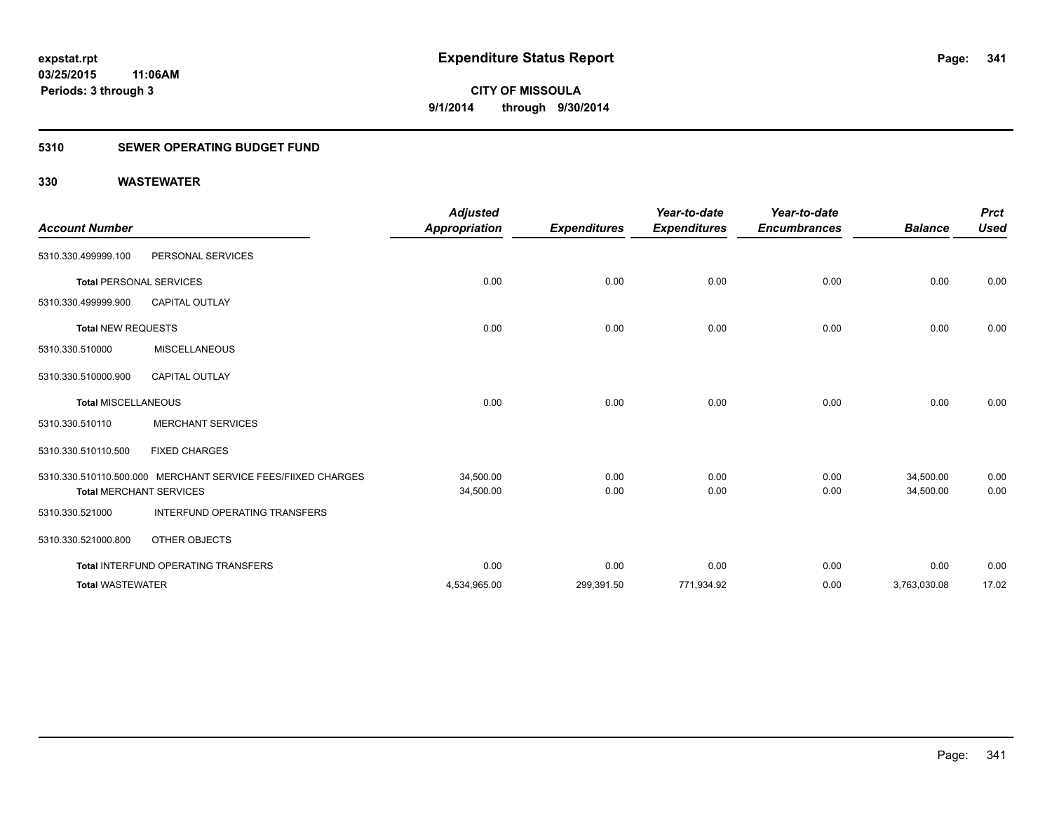## **5310 SEWER OPERATING BUDGET FUND**

| <b>Account Number</b>          |                                                              | <b>Adjusted</b><br><b>Appropriation</b> | <b>Expenditures</b> | Year-to-date<br><b>Expenditures</b> | Year-to-date<br><b>Encumbrances</b> | <b>Balance</b> | <b>Prct</b><br><b>Used</b> |
|--------------------------------|--------------------------------------------------------------|-----------------------------------------|---------------------|-------------------------------------|-------------------------------------|----------------|----------------------------|
| 5310.330.499999.100            | PERSONAL SERVICES                                            |                                         |                     |                                     |                                     |                |                            |
| <b>Total PERSONAL SERVICES</b> |                                                              | 0.00                                    | 0.00                | 0.00                                | 0.00                                | 0.00           | 0.00                       |
| 5310.330.499999.900            | <b>CAPITAL OUTLAY</b>                                        |                                         |                     |                                     |                                     |                |                            |
| <b>Total NEW REQUESTS</b>      |                                                              | 0.00                                    | 0.00                | 0.00                                | 0.00                                | 0.00           | 0.00                       |
| 5310.330.510000                | <b>MISCELLANEOUS</b>                                         |                                         |                     |                                     |                                     |                |                            |
| 5310.330.510000.900            | <b>CAPITAL OUTLAY</b>                                        |                                         |                     |                                     |                                     |                |                            |
| <b>Total MISCELLANEOUS</b>     |                                                              | 0.00                                    | 0.00                | 0.00                                | 0.00                                | 0.00           | 0.00                       |
| 5310.330.510110                | <b>MERCHANT SERVICES</b>                                     |                                         |                     |                                     |                                     |                |                            |
| 5310.330.510110.500            | <b>FIXED CHARGES</b>                                         |                                         |                     |                                     |                                     |                |                            |
|                                | 5310.330.510110.500.000 MERCHANT SERVICE FEES/FIIXED CHARGES | 34,500.00                               | 0.00                | 0.00                                | 0.00                                | 34.500.00      | 0.00                       |
| <b>Total MERCHANT SERVICES</b> |                                                              | 34,500.00                               | 0.00                | 0.00                                | 0.00                                | 34,500.00      | 0.00                       |
| 5310.330.521000                | INTERFUND OPERATING TRANSFERS                                |                                         |                     |                                     |                                     |                |                            |
| 5310.330.521000.800            | OTHER OBJECTS                                                |                                         |                     |                                     |                                     |                |                            |
|                                | <b>Total INTERFUND OPERATING TRANSFERS</b>                   | 0.00                                    | 0.00                | 0.00                                | 0.00                                | 0.00           | 0.00                       |
| <b>Total WASTEWATER</b>        |                                                              | 4,534,965.00                            | 299,391.50          | 771,934.92                          | 0.00                                | 3,763,030.08   | 17.02                      |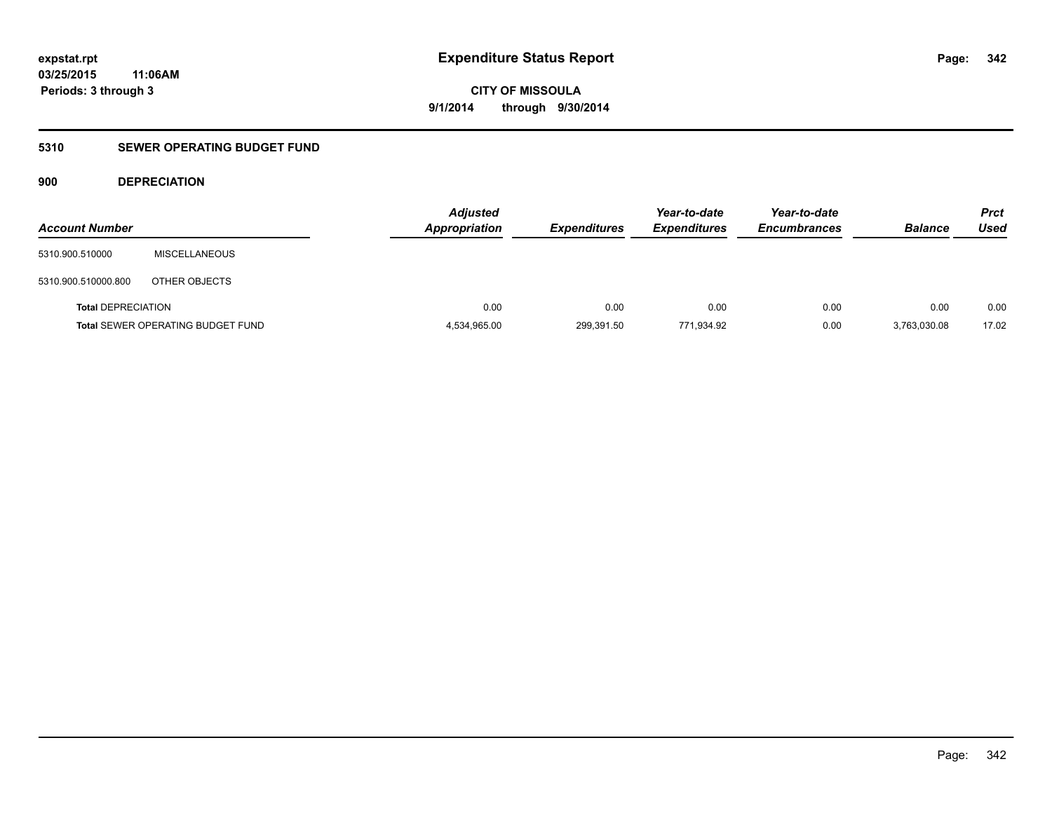**CITY OF MISSOULA 9/1/2014 through 9/30/2014**

## **5310 SEWER OPERATING BUDGET FUND**

## **900 DEPRECIATION**

| <b>Account Number</b>     |                                          | <b>Adjusted</b><br><b>Appropriation</b> | <b>Expenditures</b> | Year-to-date<br><b>Expenditures</b> | Year-to-date<br><b>Encumbrances</b> | <b>Balance</b> | <b>Prct</b><br>Used |
|---------------------------|------------------------------------------|-----------------------------------------|---------------------|-------------------------------------|-------------------------------------|----------------|---------------------|
| 5310.900.510000           | MISCELLANEOUS                            |                                         |                     |                                     |                                     |                |                     |
| 5310.900.510000.800       | OTHER OBJECTS                            |                                         |                     |                                     |                                     |                |                     |
| <b>Total DEPRECIATION</b> |                                          | 0.00                                    | 0.00                | 0.00                                | 0.00                                | 0.00           | 0.00                |
|                           | <b>Total SEWER OPERATING BUDGET FUND</b> | 4,534,965.00                            | 299,391.50          | 771.934.92                          | 0.00                                | 3.763.030.08   | 17.02               |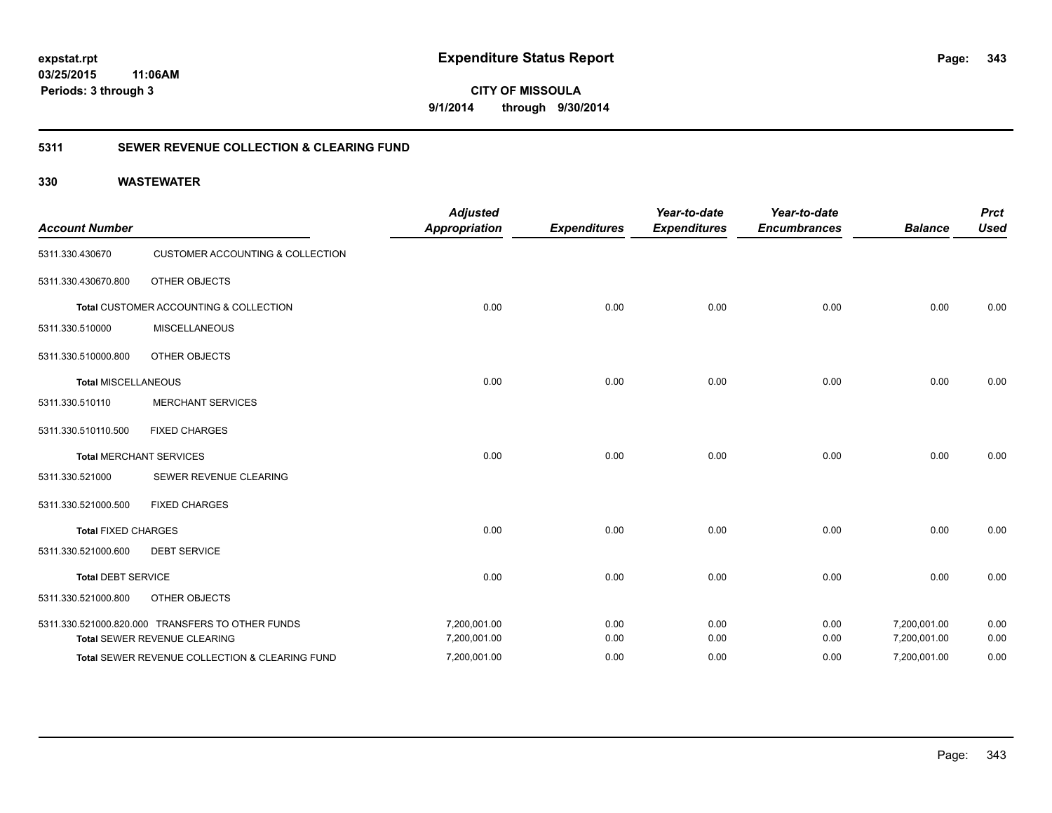**343**

**CITY OF MISSOULA 9/1/2014 through 9/30/2014**

## **5311 SEWER REVENUE COLLECTION & CLEARING FUND**

| <b>Account Number</b>      |                                                  | <b>Adjusted</b><br><b>Appropriation</b> | <b>Expenditures</b> | Year-to-date<br><b>Expenditures</b> | Year-to-date<br><b>Encumbrances</b> | <b>Balance</b> | <b>Prct</b><br><b>Used</b> |
|----------------------------|--------------------------------------------------|-----------------------------------------|---------------------|-------------------------------------|-------------------------------------|----------------|----------------------------|
| 5311.330.430670            | <b>CUSTOMER ACCOUNTING &amp; COLLECTION</b>      |                                         |                     |                                     |                                     |                |                            |
| 5311.330.430670.800        | <b>OTHER OBJECTS</b>                             |                                         |                     |                                     |                                     |                |                            |
|                            | Total CUSTOMER ACCOUNTING & COLLECTION           | 0.00                                    | 0.00                | 0.00                                | 0.00                                | 0.00           | 0.00                       |
| 5311.330.510000            | <b>MISCELLANEOUS</b>                             |                                         |                     |                                     |                                     |                |                            |
| 5311.330.510000.800        | <b>OTHER OBJECTS</b>                             |                                         |                     |                                     |                                     |                |                            |
| <b>Total MISCELLANEOUS</b> |                                                  | 0.00                                    | 0.00                | 0.00                                | 0.00                                | 0.00           | 0.00                       |
| 5311.330.510110            | <b>MERCHANT SERVICES</b>                         |                                         |                     |                                     |                                     |                |                            |
| 5311.330.510110.500        | <b>FIXED CHARGES</b>                             |                                         |                     |                                     |                                     |                |                            |
|                            | <b>Total MERCHANT SERVICES</b>                   | 0.00                                    | 0.00                | 0.00                                | 0.00                                | 0.00           | 0.00                       |
| 5311.330.521000            | SEWER REVENUE CLEARING                           |                                         |                     |                                     |                                     |                |                            |
| 5311.330.521000.500        | <b>FIXED CHARGES</b>                             |                                         |                     |                                     |                                     |                |                            |
| <b>Total FIXED CHARGES</b> |                                                  | 0.00                                    | 0.00                | 0.00                                | 0.00                                | 0.00           | 0.00                       |
| 5311.330.521000.600        | <b>DEBT SERVICE</b>                              |                                         |                     |                                     |                                     |                |                            |
| <b>Total DEBT SERVICE</b>  |                                                  | 0.00                                    | 0.00                | 0.00                                | 0.00                                | 0.00           | 0.00                       |
| 5311.330.521000.800        | <b>OTHER OBJECTS</b>                             |                                         |                     |                                     |                                     |                |                            |
|                            | 5311.330.521000.820.000 TRANSFERS TO OTHER FUNDS | 7,200,001.00                            | 0.00                | 0.00                                | 0.00                                | 7,200,001.00   | 0.00                       |
|                            | Total SEWER REVENUE CLEARING                     | 7,200,001.00                            | 0.00                | 0.00                                | 0.00                                | 7,200,001.00   | 0.00                       |
|                            | Total SEWER REVENUE COLLECTION & CLEARING FUND   | 7,200,001.00                            | 0.00                | 0.00                                | 0.00                                | 7,200,001.00   | 0.00                       |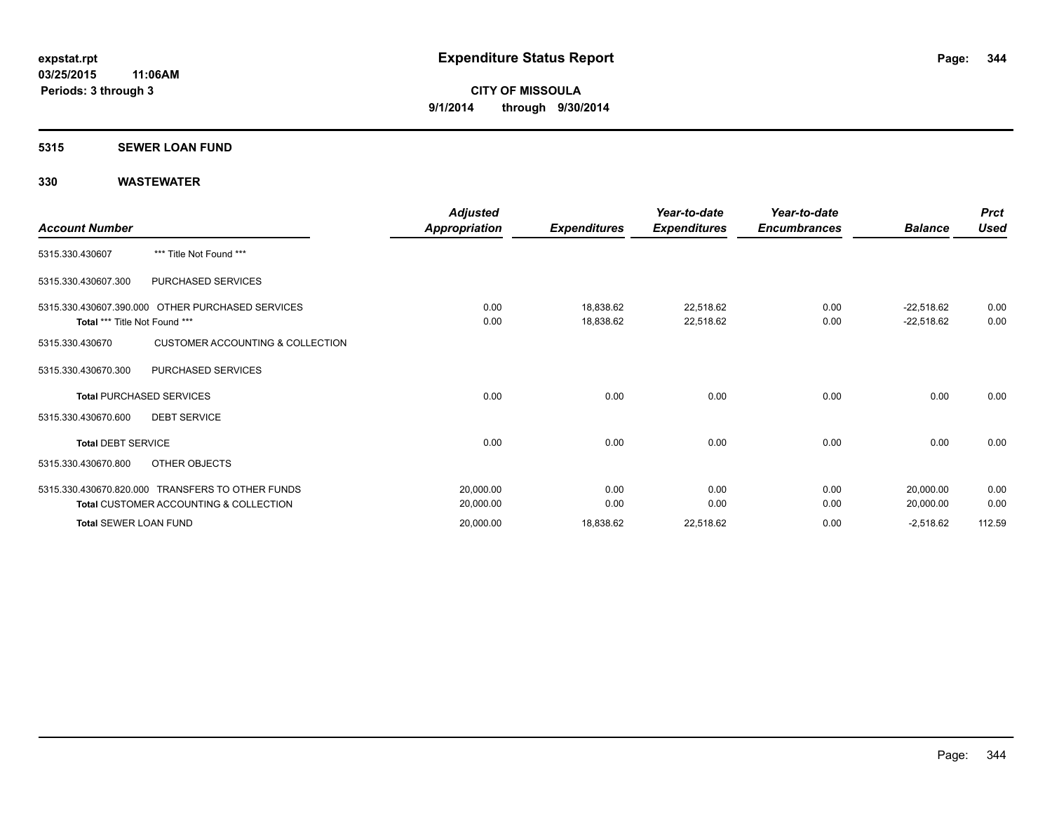### **5315 SEWER LOAN FUND**

| <b>Account Number</b>         |                                                                                                       | <b>Adjusted</b><br>Appropriation | <b>Expenditures</b>    | Year-to-date<br><b>Expenditures</b> | Year-to-date<br><b>Encumbrances</b> | <b>Balance</b>               | <b>Prct</b><br><b>Used</b> |
|-------------------------------|-------------------------------------------------------------------------------------------------------|----------------------------------|------------------------|-------------------------------------|-------------------------------------|------------------------------|----------------------------|
| 5315.330.430607               | *** Title Not Found ***                                                                               |                                  |                        |                                     |                                     |                              |                            |
| 5315.330.430607.300           | PURCHASED SERVICES                                                                                    |                                  |                        |                                     |                                     |                              |                            |
| Total *** Title Not Found *** | 5315.330.430607.390.000 OTHER PURCHASED SERVICES                                                      | 0.00<br>0.00                     | 18,838.62<br>18,838.62 | 22,518.62<br>22,518.62              | 0.00<br>0.00                        | $-22,518.62$<br>$-22,518.62$ | 0.00<br>0.00               |
| 5315.330.430670               | <b>CUSTOMER ACCOUNTING &amp; COLLECTION</b>                                                           |                                  |                        |                                     |                                     |                              |                            |
| 5315.330.430670.300           | PURCHASED SERVICES                                                                                    |                                  |                        |                                     |                                     |                              |                            |
|                               | <b>Total PURCHASED SERVICES</b>                                                                       | 0.00                             | 0.00                   | 0.00                                | 0.00                                | 0.00                         | 0.00                       |
| 5315.330.430670.600           | <b>DEBT SERVICE</b>                                                                                   |                                  |                        |                                     |                                     |                              |                            |
| <b>Total DEBT SERVICE</b>     |                                                                                                       | 0.00                             | 0.00                   | 0.00                                | 0.00                                | 0.00                         | 0.00                       |
| 5315.330.430670.800           | OTHER OBJECTS                                                                                         |                                  |                        |                                     |                                     |                              |                            |
|                               | 5315.330.430670.820.000 TRANSFERS TO OTHER FUNDS<br><b>Total CUSTOMER ACCOUNTING &amp; COLLECTION</b> | 20,000.00<br>20,000.00           | 0.00<br>0.00           | 0.00<br>0.00                        | 0.00<br>0.00                        | 20,000.00<br>20,000.00       | 0.00<br>0.00               |
| <b>Total SEWER LOAN FUND</b>  |                                                                                                       | 20,000.00                        | 18,838.62              | 22,518.62                           | 0.00                                | $-2,518.62$                  | 112.59                     |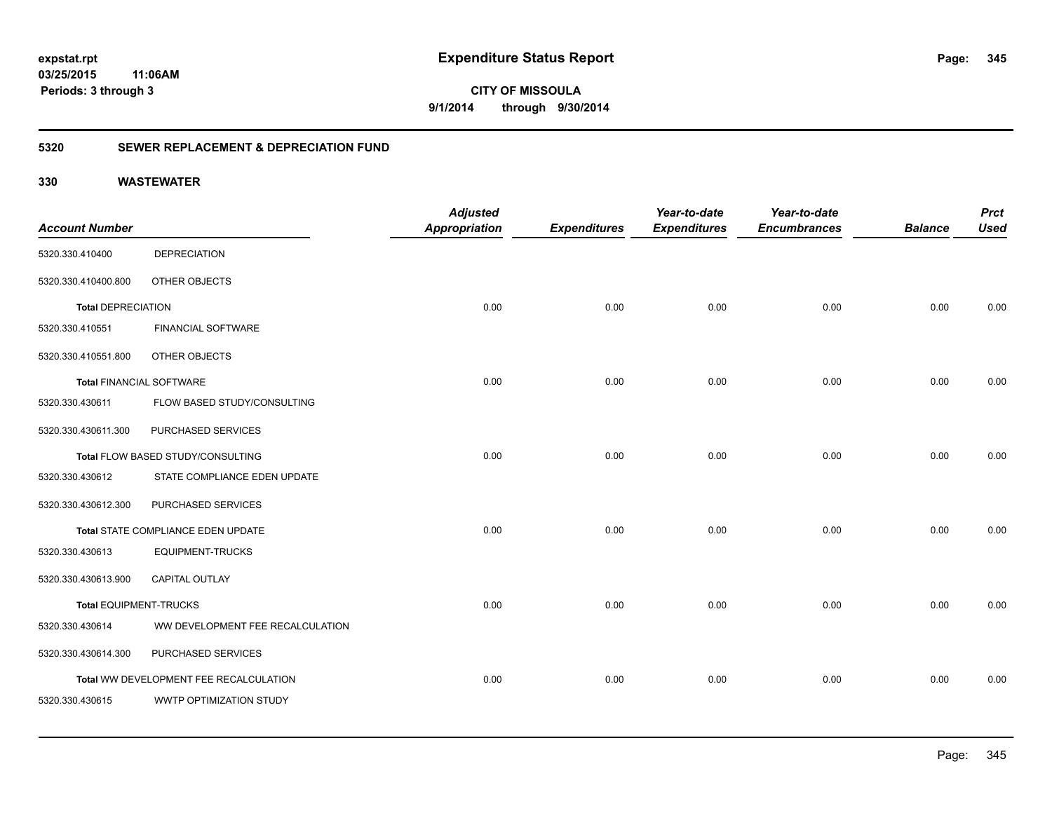# **03/25/2015**

**345**

**11:06AM Periods: 3 through 3**

**CITY OF MISSOULA 9/1/2014 through 9/30/2014**

## **5320 SEWER REPLACEMENT & DEPRECIATION FUND**

| <b>Account Number</b>           |                                        | <b>Adjusted</b><br><b>Appropriation</b> | <b>Expenditures</b> | Year-to-date<br><b>Expenditures</b> | Year-to-date<br><b>Encumbrances</b> | <b>Balance</b> | <b>Prct</b><br><b>Used</b> |
|---------------------------------|----------------------------------------|-----------------------------------------|---------------------|-------------------------------------|-------------------------------------|----------------|----------------------------|
| 5320.330.410400                 | <b>DEPRECIATION</b>                    |                                         |                     |                                     |                                     |                |                            |
| 5320.330.410400.800             | OTHER OBJECTS                          |                                         |                     |                                     |                                     |                |                            |
| <b>Total DEPRECIATION</b>       |                                        | 0.00                                    | 0.00                | 0.00                                | 0.00                                | 0.00           | 0.00                       |
| 5320.330.410551                 | <b>FINANCIAL SOFTWARE</b>              |                                         |                     |                                     |                                     |                |                            |
| 5320.330.410551.800             | OTHER OBJECTS                          |                                         |                     |                                     |                                     |                |                            |
| <b>Total FINANCIAL SOFTWARE</b> |                                        | 0.00                                    | 0.00                | 0.00                                | 0.00                                | 0.00           | 0.00                       |
| 5320.330.430611                 | FLOW BASED STUDY/CONSULTING            |                                         |                     |                                     |                                     |                |                            |
| 5320.330.430611.300             | PURCHASED SERVICES                     |                                         |                     |                                     |                                     |                |                            |
|                                 | Total FLOW BASED STUDY/CONSULTING      | 0.00                                    | 0.00                | 0.00                                | 0.00                                | 0.00           | 0.00                       |
| 5320.330.430612                 | STATE COMPLIANCE EDEN UPDATE           |                                         |                     |                                     |                                     |                |                            |
| 5320.330.430612.300             | PURCHASED SERVICES                     |                                         |                     |                                     |                                     |                |                            |
|                                 | Total STATE COMPLIANCE EDEN UPDATE     | 0.00                                    | 0.00                | 0.00                                | 0.00                                | 0.00           | 0.00                       |
| 5320.330.430613                 | <b>EQUIPMENT-TRUCKS</b>                |                                         |                     |                                     |                                     |                |                            |
| 5320.330.430613.900             | CAPITAL OUTLAY                         |                                         |                     |                                     |                                     |                |                            |
| <b>Total EQUIPMENT-TRUCKS</b>   |                                        | 0.00                                    | 0.00                | 0.00                                | 0.00                                | 0.00           | 0.00                       |
| 5320.330.430614                 | WW DEVELOPMENT FEE RECALCULATION       |                                         |                     |                                     |                                     |                |                            |
| 5320.330.430614.300             | PURCHASED SERVICES                     |                                         |                     |                                     |                                     |                |                            |
|                                 | Total WW DEVELOPMENT FEE RECALCULATION | 0.00                                    | 0.00                | 0.00                                | 0.00                                | 0.00           | 0.00                       |
| 5320.330.430615                 | WWTP OPTIMIZATION STUDY                |                                         |                     |                                     |                                     |                |                            |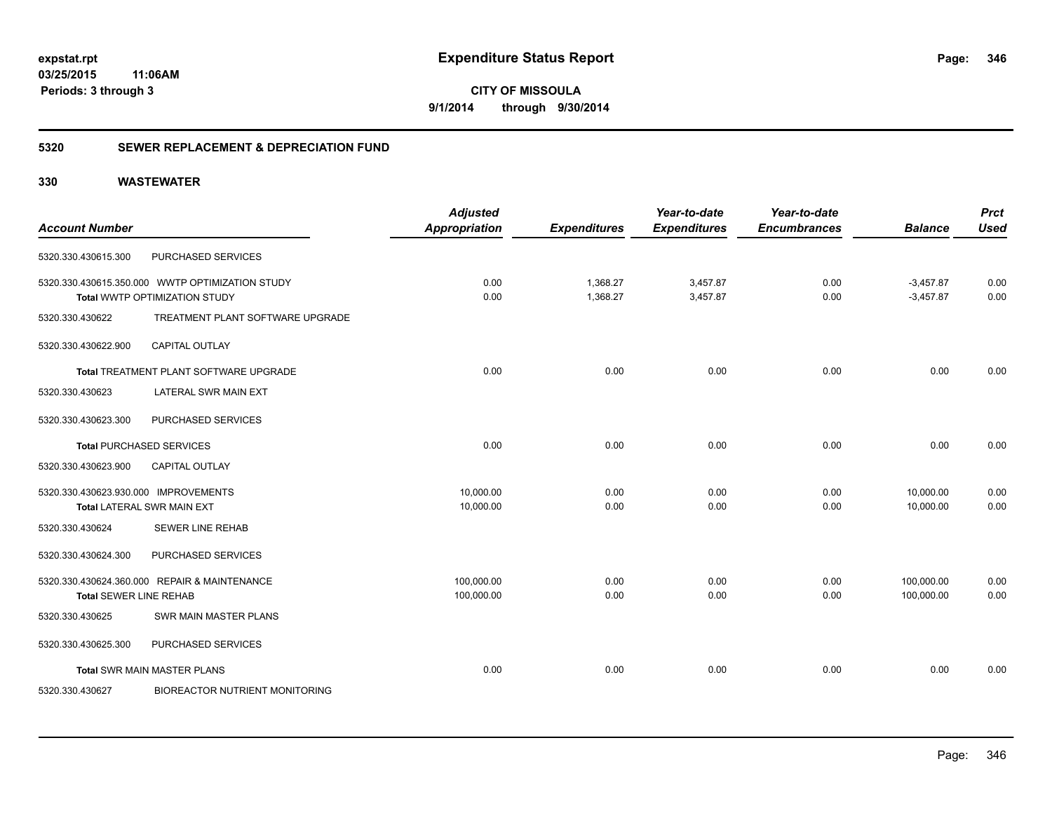**CITY OF MISSOULA 9/1/2014 through 9/30/2014**

## **5320 SEWER REPLACEMENT & DEPRECIATION FUND**

| <b>Account Number</b>                |                                                 | <b>Adjusted</b><br><b>Appropriation</b> | <b>Expenditures</b> | Year-to-date<br><b>Expenditures</b> | Year-to-date<br><b>Encumbrances</b> | <b>Balance</b> | <b>Prct</b><br><b>Used</b> |
|--------------------------------------|-------------------------------------------------|-----------------------------------------|---------------------|-------------------------------------|-------------------------------------|----------------|----------------------------|
|                                      |                                                 |                                         |                     |                                     |                                     |                |                            |
| 5320.330.430615.300                  | PURCHASED SERVICES                              |                                         |                     |                                     |                                     |                |                            |
|                                      | 5320.330.430615.350.000 WWTP OPTIMIZATION STUDY | 0.00                                    | 1,368.27            | 3,457.87                            | 0.00                                | $-3,457.87$    | 0.00                       |
|                                      | Total WWTP OPTIMIZATION STUDY                   | 0.00                                    | 1,368.27            | 3,457.87                            | 0.00                                | $-3,457.87$    | 0.00                       |
| 5320.330.430622                      | TREATMENT PLANT SOFTWARE UPGRADE                |                                         |                     |                                     |                                     |                |                            |
| 5320.330.430622.900                  | <b>CAPITAL OUTLAY</b>                           |                                         |                     |                                     |                                     |                |                            |
|                                      | Total TREATMENT PLANT SOFTWARE UPGRADE          | 0.00                                    | 0.00                | 0.00                                | 0.00                                | 0.00           | 0.00                       |
| 5320.330.430623                      | LATERAL SWR MAIN EXT                            |                                         |                     |                                     |                                     |                |                            |
| 5320.330.430623.300                  | PURCHASED SERVICES                              |                                         |                     |                                     |                                     |                |                            |
|                                      | <b>Total PURCHASED SERVICES</b>                 | 0.00                                    | 0.00                | 0.00                                | 0.00                                | 0.00           | 0.00                       |
| 5320.330.430623.900                  | <b>CAPITAL OUTLAY</b>                           |                                         |                     |                                     |                                     |                |                            |
| 5320.330.430623.930.000 IMPROVEMENTS |                                                 | 10,000.00                               | 0.00                | 0.00                                | 0.00                                | 10,000.00      | 0.00                       |
|                                      | <b>Total LATERAL SWR MAIN EXT</b>               | 10,000.00                               | 0.00                | 0.00                                | 0.00                                | 10,000.00      | 0.00                       |
| 5320.330.430624                      | <b>SEWER LINE REHAB</b>                         |                                         |                     |                                     |                                     |                |                            |
| 5320.330.430624.300                  | PURCHASED SERVICES                              |                                         |                     |                                     |                                     |                |                            |
|                                      | 5320.330.430624.360.000 REPAIR & MAINTENANCE    | 100,000.00                              | 0.00                | 0.00                                | 0.00                                | 100,000.00     | 0.00                       |
| <b>Total SEWER LINE REHAB</b>        |                                                 | 100,000.00                              | 0.00                | 0.00                                | 0.00                                | 100,000.00     | 0.00                       |
| 5320.330.430625                      | SWR MAIN MASTER PLANS                           |                                         |                     |                                     |                                     |                |                            |
| 5320.330.430625.300                  | PURCHASED SERVICES                              |                                         |                     |                                     |                                     |                |                            |
|                                      | <b>Total SWR MAIN MASTER PLANS</b>              | 0.00                                    | 0.00                | 0.00                                | 0.00                                | 0.00           | 0.00                       |
| 5320.330.430627                      | <b>BIOREACTOR NUTRIENT MONITORING</b>           |                                         |                     |                                     |                                     |                |                            |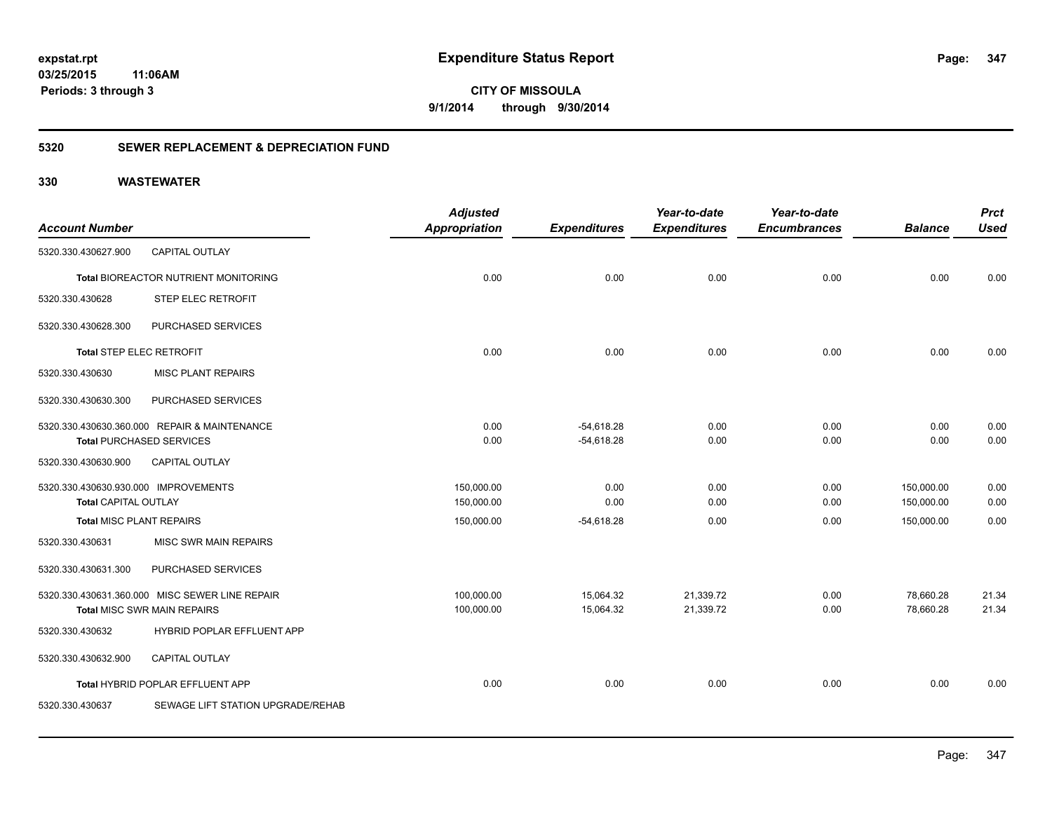# **03/25/2015**

**347**

**11:06AM Periods: 3 through 3**

**CITY OF MISSOULA 9/1/2014 through 9/30/2014**

## **5320 SEWER REPLACEMENT & DEPRECIATION FUND**

|                                      |                                                | <b>Adjusted</b>      |                     | Year-to-date        | Year-to-date        |                | <b>Prct</b> |
|--------------------------------------|------------------------------------------------|----------------------|---------------------|---------------------|---------------------|----------------|-------------|
| <b>Account Number</b>                |                                                | <b>Appropriation</b> | <b>Expenditures</b> | <b>Expenditures</b> | <b>Encumbrances</b> | <b>Balance</b> | <b>Used</b> |
| 5320.330.430627.900                  | <b>CAPITAL OUTLAY</b>                          |                      |                     |                     |                     |                |             |
|                                      | <b>Total BIOREACTOR NUTRIENT MONITORING</b>    | 0.00                 | 0.00                | 0.00                | 0.00                | 0.00           | 0.00        |
| 5320.330.430628                      | STEP ELEC RETROFIT                             |                      |                     |                     |                     |                |             |
| 5320.330.430628.300                  | PURCHASED SERVICES                             |                      |                     |                     |                     |                |             |
| Total STEP ELEC RETROFIT             |                                                | 0.00                 | 0.00                | 0.00                | 0.00                | 0.00           | 0.00        |
| 5320.330.430630                      | <b>MISC PLANT REPAIRS</b>                      |                      |                     |                     |                     |                |             |
| 5320.330.430630.300                  | PURCHASED SERVICES                             |                      |                     |                     |                     |                |             |
|                                      | 5320.330.430630.360.000 REPAIR & MAINTENANCE   | 0.00                 | $-54.618.28$        | 0.00                | 0.00                | 0.00           | 0.00        |
|                                      | <b>Total PURCHASED SERVICES</b>                | 0.00                 | $-54,618.28$        | 0.00                | 0.00                | 0.00           | 0.00        |
| 5320.330.430630.900                  | <b>CAPITAL OUTLAY</b>                          |                      |                     |                     |                     |                |             |
| 5320.330.430630.930.000 IMPROVEMENTS |                                                | 150,000.00           | 0.00                | 0.00                | 0.00                | 150,000.00     | 0.00        |
| <b>Total CAPITAL OUTLAY</b>          |                                                | 150,000.00           | 0.00                | 0.00                | 0.00                | 150,000.00     | 0.00        |
| <b>Total MISC PLANT REPAIRS</b>      |                                                | 150,000.00           | $-54,618.28$        | 0.00                | 0.00                | 150,000.00     | 0.00        |
| 5320.330.430631                      | MISC SWR MAIN REPAIRS                          |                      |                     |                     |                     |                |             |
| 5320.330.430631.300                  | PURCHASED SERVICES                             |                      |                     |                     |                     |                |             |
|                                      | 5320.330.430631.360.000 MISC SEWER LINE REPAIR | 100,000.00           | 15,064.32           | 21,339.72           | 0.00                | 78,660.28      | 21.34       |
|                                      | <b>Total MISC SWR MAIN REPAIRS</b>             | 100,000.00           | 15,064.32           | 21,339.72           | 0.00                | 78,660.28      | 21.34       |
| 5320.330.430632                      | HYBRID POPLAR EFFLUENT APP                     |                      |                     |                     |                     |                |             |
| 5320.330.430632.900                  | <b>CAPITAL OUTLAY</b>                          |                      |                     |                     |                     |                |             |
|                                      | Total HYBRID POPLAR EFFLUENT APP               | 0.00                 | 0.00                | 0.00                | 0.00                | 0.00           | 0.00        |
| 5320.330.430637                      | SEWAGE LIFT STATION UPGRADE/REHAB              |                      |                     |                     |                     |                |             |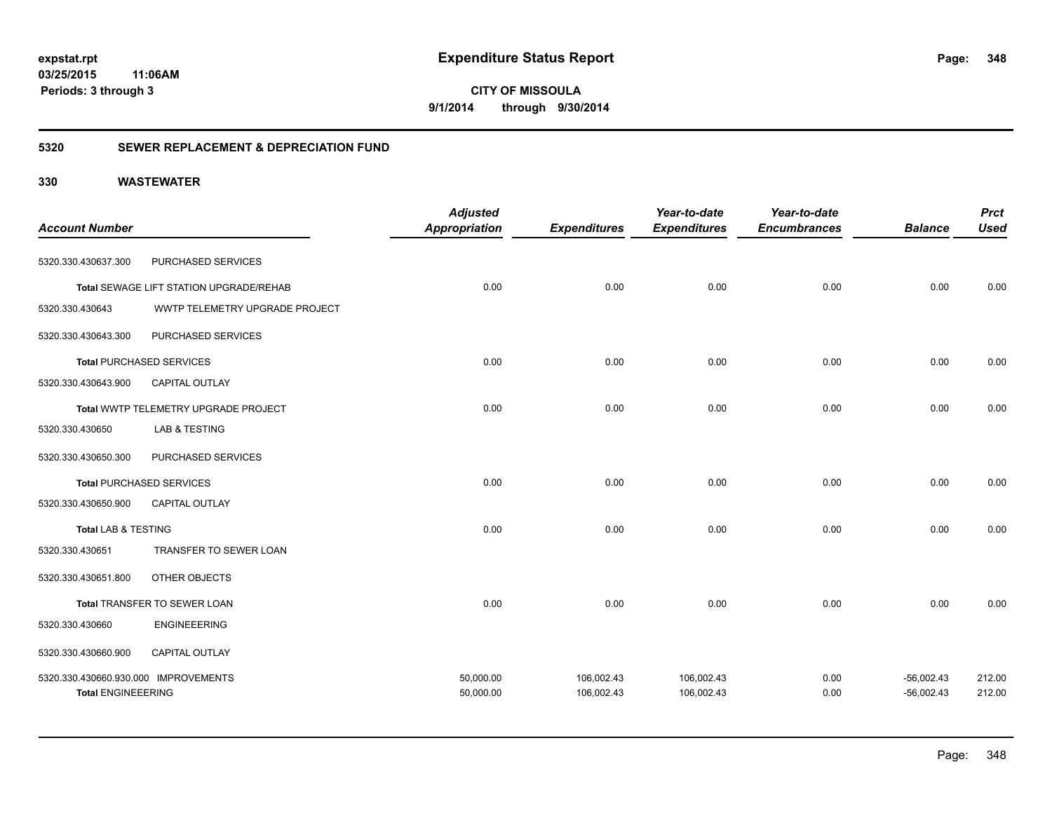**CITY OF MISSOULA 9/1/2014 through 9/30/2014**

## **5320 SEWER REPLACEMENT & DEPRECIATION FUND**

| <b>Account Number</b>                                             |                                         | <b>Adjusted</b><br><b>Appropriation</b> | <b>Expenditures</b>      | Year-to-date<br><b>Expenditures</b> | Year-to-date<br><b>Encumbrances</b> | <b>Balance</b>               | <b>Prct</b><br><b>Used</b> |
|-------------------------------------------------------------------|-----------------------------------------|-----------------------------------------|--------------------------|-------------------------------------|-------------------------------------|------------------------------|----------------------------|
| 5320.330.430637.300                                               | PURCHASED SERVICES                      |                                         |                          |                                     |                                     |                              |                            |
|                                                                   | Total SEWAGE LIFT STATION UPGRADE/REHAB | 0.00                                    | 0.00                     | 0.00                                | 0.00                                | 0.00                         | 0.00                       |
| 5320.330.430643                                                   | WWTP TELEMETRY UPGRADE PROJECT          |                                         |                          |                                     |                                     |                              |                            |
| 5320.330.430643.300                                               | PURCHASED SERVICES                      |                                         |                          |                                     |                                     |                              |                            |
|                                                                   | <b>Total PURCHASED SERVICES</b>         | 0.00                                    | 0.00                     | 0.00                                | 0.00                                | 0.00                         | 0.00                       |
| 5320.330.430643.900                                               | CAPITAL OUTLAY                          |                                         |                          |                                     |                                     |                              |                            |
|                                                                   | Total WWTP TELEMETRY UPGRADE PROJECT    | 0.00                                    | 0.00                     | 0.00                                | 0.00                                | 0.00                         | 0.00                       |
| 5320.330.430650                                                   | <b>LAB &amp; TESTING</b>                |                                         |                          |                                     |                                     |                              |                            |
| 5320.330.430650.300                                               | PURCHASED SERVICES                      |                                         |                          |                                     |                                     |                              |                            |
|                                                                   | <b>Total PURCHASED SERVICES</b>         | 0.00                                    | 0.00                     | 0.00                                | 0.00                                | 0.00                         | 0.00                       |
| 5320.330.430650.900                                               | CAPITAL OUTLAY                          |                                         |                          |                                     |                                     |                              |                            |
| Total LAB & TESTING                                               |                                         | 0.00                                    | 0.00                     | 0.00                                | 0.00                                | 0.00                         | 0.00                       |
| 5320.330.430651                                                   | TRANSFER TO SEWER LOAN                  |                                         |                          |                                     |                                     |                              |                            |
| 5320.330.430651.800                                               | OTHER OBJECTS                           |                                         |                          |                                     |                                     |                              |                            |
|                                                                   | Total TRANSFER TO SEWER LOAN            | 0.00                                    | 0.00                     | 0.00                                | 0.00                                | 0.00                         | 0.00                       |
| 5320.330.430660                                                   | <b>ENGINEEERING</b>                     |                                         |                          |                                     |                                     |                              |                            |
| 5320.330.430660.900                                               | <b>CAPITAL OUTLAY</b>                   |                                         |                          |                                     |                                     |                              |                            |
| 5320.330.430660.930.000 IMPROVEMENTS<br><b>Total ENGINEEERING</b> |                                         | 50,000.00<br>50,000.00                  | 106,002.43<br>106,002.43 | 106,002.43<br>106,002.43            | 0.00<br>0.00                        | $-56,002.43$<br>$-56,002.43$ | 212.00<br>212.00           |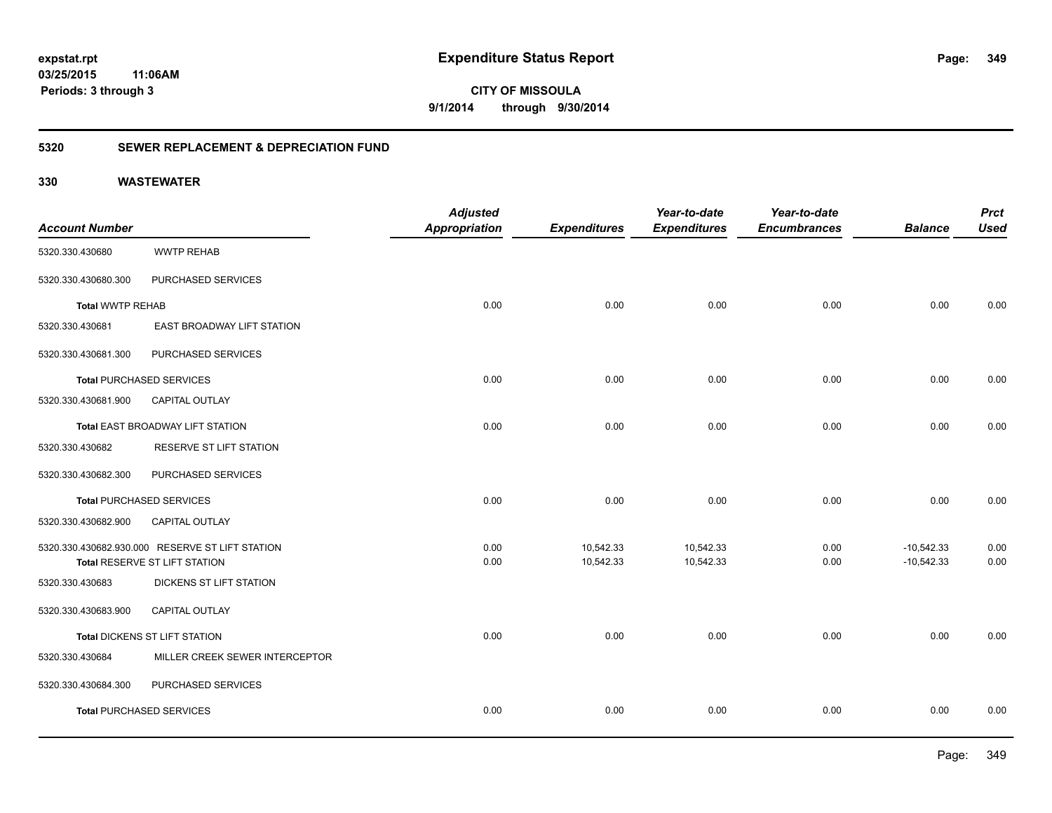**349**

**03/25/2015 11:06AM Periods: 3 through 3**

**CITY OF MISSOULA 9/1/2014 through 9/30/2014**

## **5320 SEWER REPLACEMENT & DEPRECIATION FUND**

| <b>Balance</b> | <b>Used</b>                  |
|----------------|------------------------------|
|                |                              |
|                |                              |
|                |                              |
| 0.00           | 0.00                         |
|                |                              |
|                |                              |
| 0.00           | 0.00                         |
|                |                              |
| 0.00           | 0.00                         |
|                |                              |
|                |                              |
| 0.00           | 0.00                         |
|                |                              |
|                | 0.00                         |
|                | 0.00                         |
|                |                              |
|                |                              |
| 0.00           | 0.00                         |
|                |                              |
|                |                              |
| 0.00           | 0.00                         |
|                | $-10,542.33$<br>$-10,542.33$ |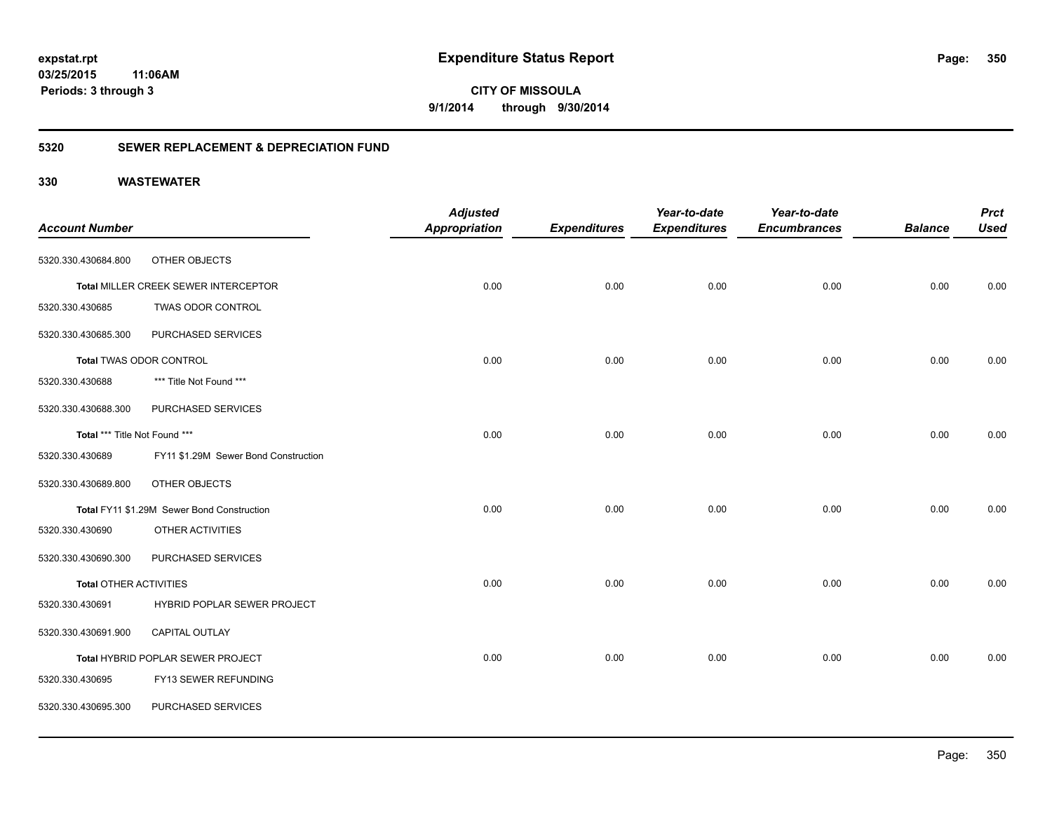**350**

**03/25/2015 11:06AM Periods: 3 through 3**

**CITY OF MISSOULA 9/1/2014 through 9/30/2014**

## **5320 SEWER REPLACEMENT & DEPRECIATION FUND**

|                               |                                            | <b>Adjusted</b>      |                     | Year-to-date        | Year-to-date        |                | <b>Prct</b> |
|-------------------------------|--------------------------------------------|----------------------|---------------------|---------------------|---------------------|----------------|-------------|
| <b>Account Number</b>         |                                            | <b>Appropriation</b> | <b>Expenditures</b> | <b>Expenditures</b> | <b>Encumbrances</b> | <b>Balance</b> | <b>Used</b> |
| 5320.330.430684.800           | OTHER OBJECTS                              |                      |                     |                     |                     |                |             |
|                               | Total MILLER CREEK SEWER INTERCEPTOR       | 0.00                 | 0.00                | 0.00                | 0.00                | 0.00           | 0.00        |
| 5320.330.430685               | TWAS ODOR CONTROL                          |                      |                     |                     |                     |                |             |
| 5320.330.430685.300           | PURCHASED SERVICES                         |                      |                     |                     |                     |                |             |
|                               | Total TWAS ODOR CONTROL                    | 0.00                 | 0.00                | 0.00                | 0.00                | 0.00           | 0.00        |
| 5320.330.430688               | *** Title Not Found ***                    |                      |                     |                     |                     |                |             |
| 5320.330.430688.300           | PURCHASED SERVICES                         |                      |                     |                     |                     |                |             |
| Total *** Title Not Found *** |                                            | 0.00                 | 0.00                | 0.00                | 0.00                | 0.00           | 0.00        |
| 5320.330.430689               | FY11 \$1.29M Sewer Bond Construction       |                      |                     |                     |                     |                |             |
| 5320.330.430689.800           | OTHER OBJECTS                              |                      |                     |                     |                     |                |             |
|                               | Total FY11 \$1.29M Sewer Bond Construction | 0.00                 | 0.00                | 0.00                | 0.00                | 0.00           | 0.00        |
| 5320.330.430690               | OTHER ACTIVITIES                           |                      |                     |                     |                     |                |             |
| 5320.330.430690.300           | PURCHASED SERVICES                         |                      |                     |                     |                     |                |             |
| <b>Total OTHER ACTIVITIES</b> |                                            | 0.00                 | 0.00                | 0.00                | 0.00                | 0.00           | 0.00        |
| 5320.330.430691               | HYBRID POPLAR SEWER PROJECT                |                      |                     |                     |                     |                |             |
| 5320.330.430691.900           | <b>CAPITAL OUTLAY</b>                      |                      |                     |                     |                     |                |             |
|                               | Total HYBRID POPLAR SEWER PROJECT          | 0.00                 | 0.00                | 0.00                | 0.00                | 0.00           | 0.00        |
| 5320.330.430695               | FY13 SEWER REFUNDING                       |                      |                     |                     |                     |                |             |
| 5320.330.430695.300           | PURCHASED SERVICES                         |                      |                     |                     |                     |                |             |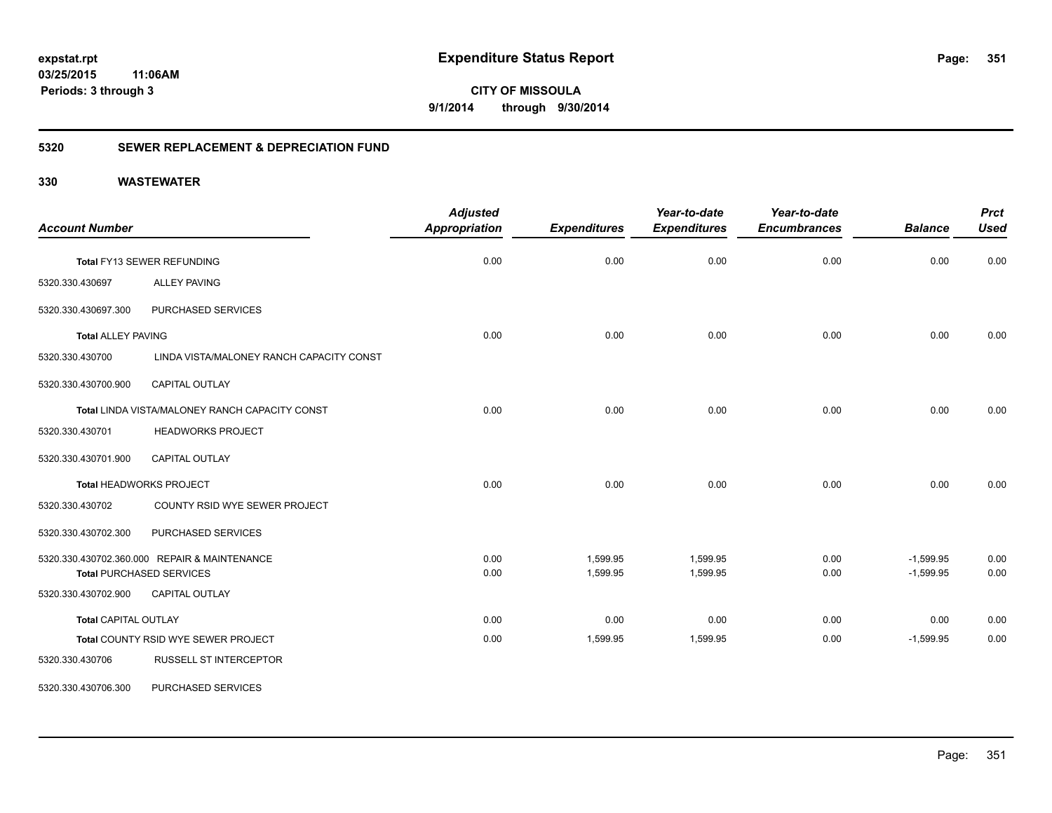**CITY OF MISSOULA 9/1/2014 through 9/30/2014**

## **5320 SEWER REPLACEMENT & DEPRECIATION FUND**

| <b>Account Number</b>       |                                                | <b>Adjusted</b><br><b>Appropriation</b> | <b>Expenditures</b> | Year-to-date<br><b>Expenditures</b> | Year-to-date<br><b>Encumbrances</b> | <b>Balance</b> | <b>Prct</b><br><b>Used</b> |
|-----------------------------|------------------------------------------------|-----------------------------------------|---------------------|-------------------------------------|-------------------------------------|----------------|----------------------------|
|                             | <b>Total FY13 SEWER REFUNDING</b>              | 0.00                                    | 0.00                | 0.00                                | 0.00                                | 0.00           | 0.00                       |
| 5320.330.430697             | <b>ALLEY PAVING</b>                            |                                         |                     |                                     |                                     |                |                            |
| 5320.330.430697.300         | PURCHASED SERVICES                             |                                         |                     |                                     |                                     |                |                            |
| <b>Total ALLEY PAVING</b>   |                                                | 0.00                                    | 0.00                | 0.00                                | 0.00                                | 0.00           | 0.00                       |
| 5320.330.430700             | LINDA VISTA/MALONEY RANCH CAPACITY CONST       |                                         |                     |                                     |                                     |                |                            |
| 5320.330.430700.900         | <b>CAPITAL OUTLAY</b>                          |                                         |                     |                                     |                                     |                |                            |
|                             | Total LINDA VISTA/MALONEY RANCH CAPACITY CONST | 0.00                                    | 0.00                | 0.00                                | 0.00                                | 0.00           | 0.00                       |
| 5320.330.430701             | <b>HEADWORKS PROJECT</b>                       |                                         |                     |                                     |                                     |                |                            |
| 5320.330.430701.900         | <b>CAPITAL OUTLAY</b>                          |                                         |                     |                                     |                                     |                |                            |
|                             | Total HEADWORKS PROJECT                        | 0.00                                    | 0.00                | 0.00                                | 0.00                                | 0.00           | 0.00                       |
| 5320.330.430702             | COUNTY RSID WYE SEWER PROJECT                  |                                         |                     |                                     |                                     |                |                            |
| 5320.330.430702.300         | PURCHASED SERVICES                             |                                         |                     |                                     |                                     |                |                            |
|                             | 5320.330.430702.360.000 REPAIR & MAINTENANCE   | 0.00                                    | 1,599.95            | 1,599.95                            | 0.00                                | $-1,599.95$    | 0.00                       |
|                             | <b>Total PURCHASED SERVICES</b>                | 0.00                                    | 1,599.95            | 1,599.95                            | 0.00                                | $-1,599.95$    | 0.00                       |
| 5320.330.430702.900         | <b>CAPITAL OUTLAY</b>                          |                                         |                     |                                     |                                     |                |                            |
| <b>Total CAPITAL OUTLAY</b> |                                                | 0.00                                    | 0.00                | 0.00                                | 0.00                                | 0.00           | 0.00                       |
|                             | Total COUNTY RSID WYE SEWER PROJECT            | 0.00                                    | 1,599.95            | 1,599.95                            | 0.00                                | $-1,599.95$    | 0.00                       |
| 5320.330.430706             | <b>RUSSELL ST INTERCEPTOR</b>                  |                                         |                     |                                     |                                     |                |                            |
| 5320.330.430706.300         | PURCHASED SERVICES                             |                                         |                     |                                     |                                     |                |                            |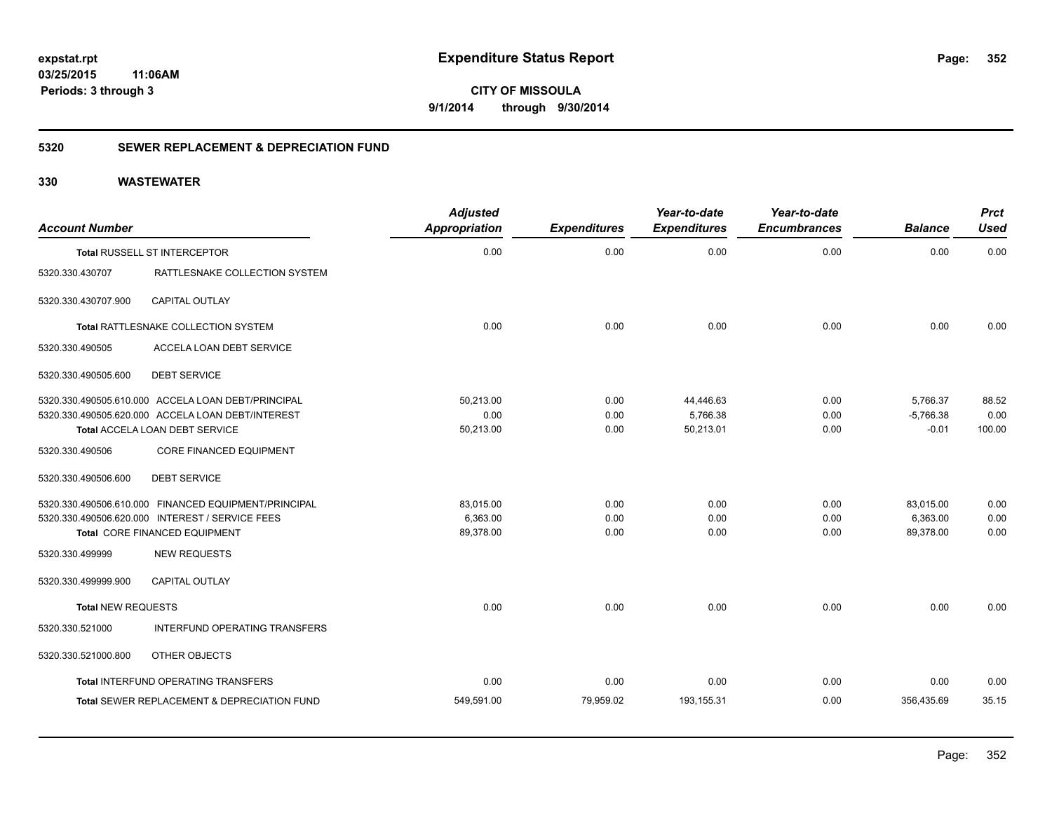**352**

**03/25/2015 11:06AM Periods: 3 through 3**

**CITY OF MISSOULA 9/1/2014 through 9/30/2014**

## **5320 SEWER REPLACEMENT & DEPRECIATION FUND**

| <b>Account Number</b>     |                                                      | <b>Adjusted</b>      |                     | Year-to-date        | Year-to-date<br><b>Encumbrances</b> | <b>Balance</b> | <b>Prct</b><br><b>Used</b> |
|---------------------------|------------------------------------------------------|----------------------|---------------------|---------------------|-------------------------------------|----------------|----------------------------|
|                           |                                                      | <b>Appropriation</b> | <b>Expenditures</b> | <b>Expenditures</b> |                                     |                |                            |
|                           | Total RUSSELL ST INTERCEPTOR                         | 0.00                 | 0.00                | 0.00                | 0.00                                | 0.00           | 0.00                       |
| 5320.330.430707           | RATTLESNAKE COLLECTION SYSTEM                        |                      |                     |                     |                                     |                |                            |
| 5320.330.430707.900       | <b>CAPITAL OUTLAY</b>                                |                      |                     |                     |                                     |                |                            |
|                           | Total RATTLESNAKE COLLECTION SYSTEM                  | 0.00                 | 0.00                | 0.00                | 0.00                                | 0.00           | 0.00                       |
| 5320.330.490505           | <b>ACCELA LOAN DEBT SERVICE</b>                      |                      |                     |                     |                                     |                |                            |
| 5320.330.490505.600       | <b>DEBT SERVICE</b>                                  |                      |                     |                     |                                     |                |                            |
|                           | 5320.330.490505.610.000 ACCELA LOAN DEBT/PRINCIPAL   | 50.213.00            | 0.00                | 44,446.63           | 0.00                                | 5.766.37       | 88.52                      |
|                           | 5320.330.490505.620.000 ACCELA LOAN DEBT/INTEREST    | 0.00                 | 0.00                | 5,766.38            | 0.00                                | $-5,766.38$    | 0.00                       |
|                           | Total ACCELA LOAN DEBT SERVICE                       | 50,213.00            | 0.00                | 50,213.01           | 0.00                                | $-0.01$        | 100.00                     |
| 5320.330.490506           | <b>CORE FINANCED EQUIPMENT</b>                       |                      |                     |                     |                                     |                |                            |
| 5320.330.490506.600       | <b>DEBT SERVICE</b>                                  |                      |                     |                     |                                     |                |                            |
|                           | 5320.330.490506.610.000 FINANCED EQUIPMENT/PRINCIPAL | 83,015.00            | 0.00                | 0.00                | 0.00                                | 83,015.00      | 0.00                       |
|                           | 5320.330.490506.620.000 INTEREST / SERVICE FEES      | 6,363.00             | 0.00                | 0.00                | 0.00                                | 6,363.00       | 0.00                       |
|                           | Total CORE FINANCED EQUIPMENT                        | 89,378.00            | 0.00                | 0.00                | 0.00                                | 89,378.00      | 0.00                       |
| 5320.330.499999           | <b>NEW REQUESTS</b>                                  |                      |                     |                     |                                     |                |                            |
| 5320.330.499999.900       | CAPITAL OUTLAY                                       |                      |                     |                     |                                     |                |                            |
| <b>Total NEW REQUESTS</b> |                                                      | 0.00                 | 0.00                | 0.00                | 0.00                                | 0.00           | 0.00                       |
| 5320.330.521000           | INTERFUND OPERATING TRANSFERS                        |                      |                     |                     |                                     |                |                            |
| 5320.330.521000.800       | OTHER OBJECTS                                        |                      |                     |                     |                                     |                |                            |
|                           | Total INTERFUND OPERATING TRANSFERS                  | 0.00                 | 0.00                | 0.00                | 0.00                                | 0.00           | 0.00                       |
|                           | Total SEWER REPLACEMENT & DEPRECIATION FUND          | 549,591.00           | 79,959.02           | 193,155.31          | 0.00                                | 356,435.69     | 35.15                      |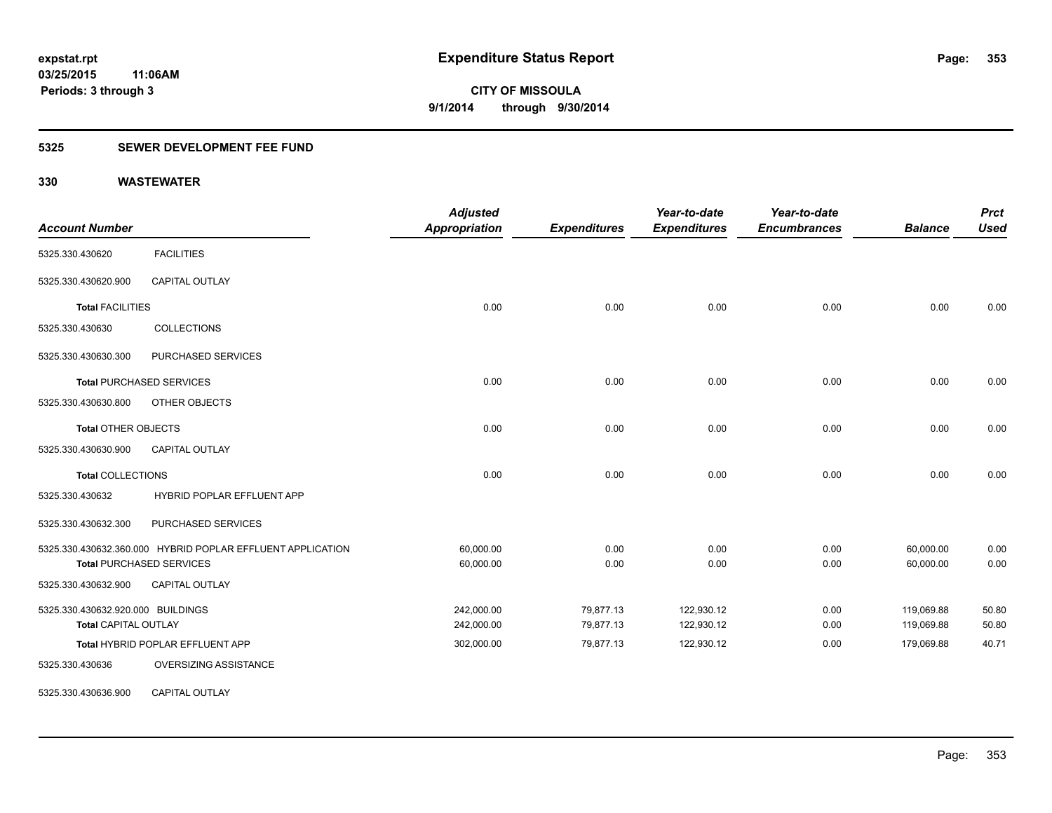## **5325 SEWER DEVELOPMENT FEE FUND**

| <b>Account Number</b>             |                                                            | <b>Adjusted</b><br>Appropriation | <b>Expenditures</b> | Year-to-date<br><b>Expenditures</b> | Year-to-date<br><b>Encumbrances</b> | <b>Balance</b> | <b>Prct</b><br><b>Used</b> |
|-----------------------------------|------------------------------------------------------------|----------------------------------|---------------------|-------------------------------------|-------------------------------------|----------------|----------------------------|
| 5325.330.430620                   | <b>FACILITIES</b>                                          |                                  |                     |                                     |                                     |                |                            |
| 5325.330.430620.900               | <b>CAPITAL OUTLAY</b>                                      |                                  |                     |                                     |                                     |                |                            |
| <b>Total FACILITIES</b>           |                                                            | 0.00                             | 0.00                | 0.00                                | 0.00                                | 0.00           | 0.00                       |
| 5325.330.430630                   | <b>COLLECTIONS</b>                                         |                                  |                     |                                     |                                     |                |                            |
| 5325.330.430630.300               | PURCHASED SERVICES                                         |                                  |                     |                                     |                                     |                |                            |
|                                   | <b>Total PURCHASED SERVICES</b>                            | 0.00                             | 0.00                | 0.00                                | 0.00                                | 0.00           | 0.00                       |
| 5325.330.430630.800               | OTHER OBJECTS                                              |                                  |                     |                                     |                                     |                |                            |
| <b>Total OTHER OBJECTS</b>        |                                                            | 0.00                             | 0.00                | 0.00                                | 0.00                                | 0.00           | 0.00                       |
| 5325.330.430630.900               | <b>CAPITAL OUTLAY</b>                                      |                                  |                     |                                     |                                     |                |                            |
| <b>Total COLLECTIONS</b>          |                                                            | 0.00                             | 0.00                | 0.00                                | 0.00                                | 0.00           | 0.00                       |
| 5325.330.430632                   | HYBRID POPLAR EFFLUENT APP                                 |                                  |                     |                                     |                                     |                |                            |
| 5325.330.430632.300               | PURCHASED SERVICES                                         |                                  |                     |                                     |                                     |                |                            |
|                                   | 5325.330.430632.360.000 HYBRID POPLAR EFFLUENT APPLICATION | 60,000.00                        | 0.00                | 0.00                                | 0.00                                | 60,000.00      | 0.00                       |
|                                   | <b>Total PURCHASED SERVICES</b>                            | 60,000.00                        | 0.00                | 0.00                                | 0.00                                | 60,000.00      | 0.00                       |
| 5325.330.430632.900               | <b>CAPITAL OUTLAY</b>                                      |                                  |                     |                                     |                                     |                |                            |
| 5325.330.430632.920.000 BUILDINGS |                                                            | 242,000.00                       | 79,877.13           | 122,930.12                          | 0.00                                | 119,069.88     | 50.80                      |
| <b>Total CAPITAL OUTLAY</b>       |                                                            | 242,000.00                       | 79,877.13           | 122,930.12                          | 0.00                                | 119,069.88     | 50.80                      |
|                                   | Total HYBRID POPLAR EFFLUENT APP                           | 302,000.00                       | 79,877.13           | 122,930.12                          | 0.00                                | 179,069.88     | 40.71                      |
| 5325.330.430636                   | OVERSIZING ASSISTANCE                                      |                                  |                     |                                     |                                     |                |                            |
| 5325.330.430636.900               | CAPITAL OUTLAY                                             |                                  |                     |                                     |                                     |                |                            |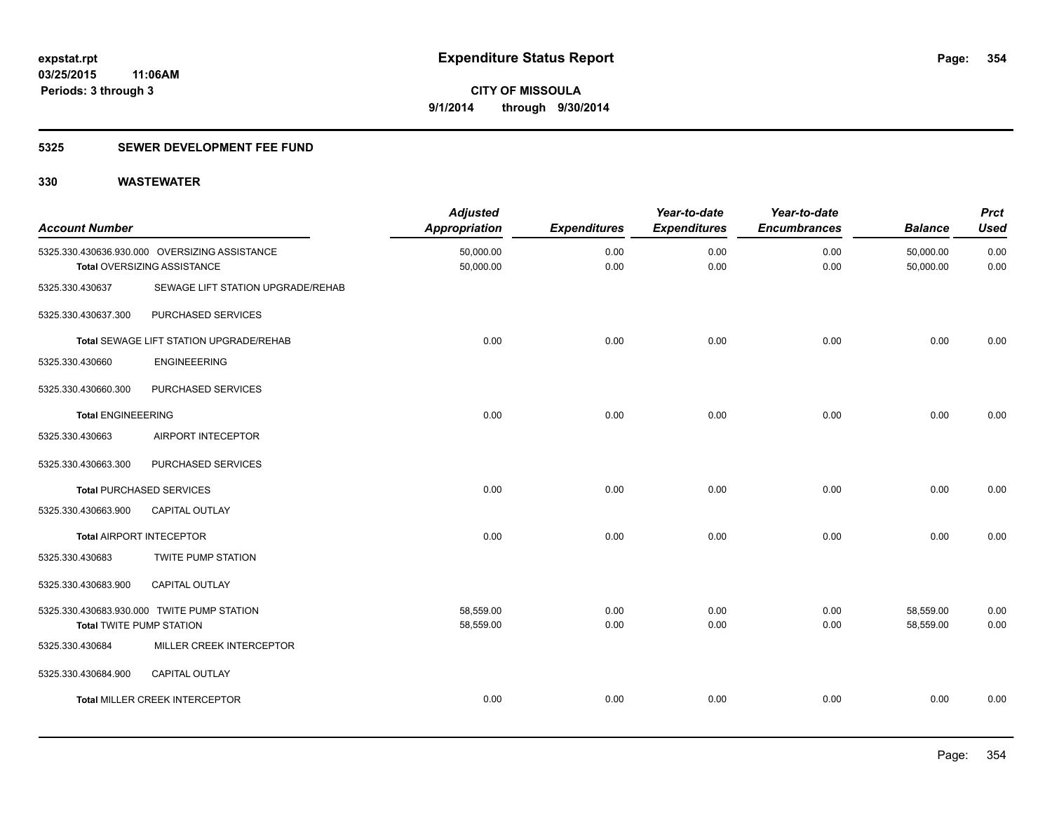## **5325 SEWER DEVELOPMENT FEE FUND**

| <b>Account Number</b>           |                                                                              | <b>Adjusted</b><br><b>Appropriation</b> | <b>Expenditures</b> | Year-to-date<br><b>Expenditures</b> | Year-to-date<br><b>Encumbrances</b> | <b>Balance</b>         | <b>Prct</b><br><b>Used</b> |
|---------------------------------|------------------------------------------------------------------------------|-----------------------------------------|---------------------|-------------------------------------|-------------------------------------|------------------------|----------------------------|
|                                 | 5325.330.430636.930.000 OVERSIZING ASSISTANCE<br>Total OVERSIZING ASSISTANCE | 50,000.00<br>50,000.00                  | 0.00<br>0.00        | 0.00<br>0.00                        | 0.00<br>0.00                        | 50,000.00<br>50,000.00 | 0.00<br>0.00               |
| 5325.330.430637                 | SEWAGE LIFT STATION UPGRADE/REHAB                                            |                                         |                     |                                     |                                     |                        |                            |
| 5325.330.430637.300             | PURCHASED SERVICES                                                           |                                         |                     |                                     |                                     |                        |                            |
|                                 | Total SEWAGE LIFT STATION UPGRADE/REHAB                                      | 0.00                                    | 0.00                | 0.00                                | 0.00                                | 0.00                   | 0.00                       |
| 5325.330.430660                 | <b>ENGINEEERING</b>                                                          |                                         |                     |                                     |                                     |                        |                            |
| 5325.330.430660.300             | PURCHASED SERVICES                                                           |                                         |                     |                                     |                                     |                        |                            |
| <b>Total ENGINEEERING</b>       |                                                                              | 0.00                                    | 0.00                | 0.00                                | 0.00                                | 0.00                   | 0.00                       |
| 5325.330.430663                 | AIRPORT INTECEPTOR                                                           |                                         |                     |                                     |                                     |                        |                            |
| 5325.330.430663.300             | PURCHASED SERVICES                                                           |                                         |                     |                                     |                                     |                        |                            |
|                                 | <b>Total PURCHASED SERVICES</b>                                              | 0.00                                    | 0.00                | 0.00                                | 0.00                                | 0.00                   | 0.00                       |
| 5325.330.430663.900             | CAPITAL OUTLAY                                                               |                                         |                     |                                     |                                     |                        |                            |
|                                 | <b>Total AIRPORT INTECEPTOR</b>                                              | 0.00                                    | 0.00                | 0.00                                | 0.00                                | 0.00                   | 0.00                       |
| 5325.330.430683                 | TWITE PUMP STATION                                                           |                                         |                     |                                     |                                     |                        |                            |
| 5325.330.430683.900             | <b>CAPITAL OUTLAY</b>                                                        |                                         |                     |                                     |                                     |                        |                            |
| <b>Total TWITE PUMP STATION</b> | 5325.330.430683.930.000 TWITE PUMP STATION                                   | 58,559.00<br>58,559.00                  | 0.00<br>0.00        | 0.00<br>0.00                        | 0.00<br>0.00                        | 58,559.00<br>58,559.00 | 0.00<br>0.00               |
| 5325.330.430684                 | MILLER CREEK INTERCEPTOR                                                     |                                         |                     |                                     |                                     |                        |                            |
| 5325.330.430684.900             | CAPITAL OUTLAY                                                               |                                         |                     |                                     |                                     |                        |                            |
|                                 | <b>Total MILLER CREEK INTERCEPTOR</b>                                        | 0.00                                    | 0.00                | 0.00                                | 0.00                                | 0.00                   | 0.00                       |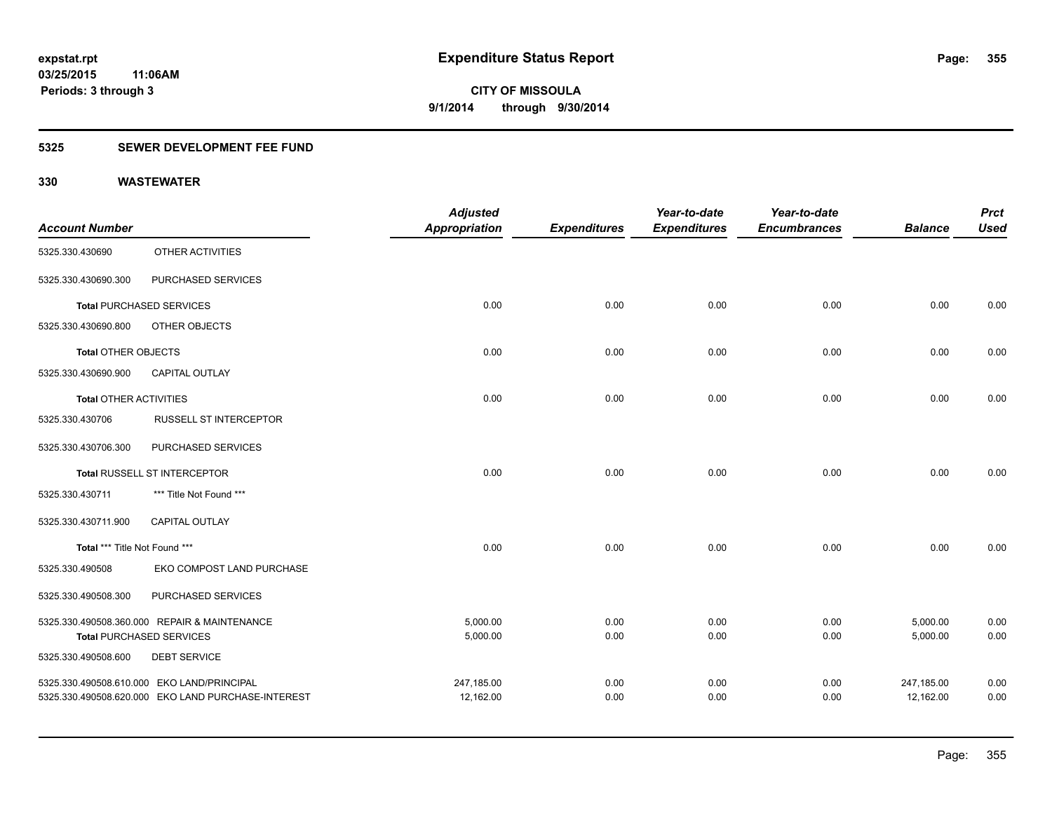## **5325 SEWER DEVELOPMENT FEE FUND**

|                               |                                                    | <b>Adjusted</b>      |                     | Year-to-date        | Year-to-date        |                | <b>Prct</b> |
|-------------------------------|----------------------------------------------------|----------------------|---------------------|---------------------|---------------------|----------------|-------------|
| <b>Account Number</b>         |                                                    | <b>Appropriation</b> | <b>Expenditures</b> | <b>Expenditures</b> | <b>Encumbrances</b> | <b>Balance</b> | <b>Used</b> |
| 5325.330.430690               | OTHER ACTIVITIES                                   |                      |                     |                     |                     |                |             |
| 5325.330.430690.300           | PURCHASED SERVICES                                 |                      |                     |                     |                     |                |             |
|                               | <b>Total PURCHASED SERVICES</b>                    | 0.00                 | 0.00                | 0.00                | 0.00                | 0.00           | 0.00        |
| 5325.330.430690.800           | OTHER OBJECTS                                      |                      |                     |                     |                     |                |             |
| Total OTHER OBJECTS           |                                                    | 0.00                 | 0.00                | 0.00                | 0.00                | 0.00           | 0.00        |
| 5325.330.430690.900           | <b>CAPITAL OUTLAY</b>                              |                      |                     |                     |                     |                |             |
| <b>Total OTHER ACTIVITIES</b> |                                                    | 0.00                 | 0.00                | 0.00                | 0.00                | 0.00           | 0.00        |
| 5325.330.430706               | <b>RUSSELL ST INTERCEPTOR</b>                      |                      |                     |                     |                     |                |             |
| 5325.330.430706.300           | PURCHASED SERVICES                                 |                      |                     |                     |                     |                |             |
|                               | Total RUSSELL ST INTERCEPTOR                       | 0.00                 | 0.00                | 0.00                | 0.00                | 0.00           | 0.00        |
| 5325.330.430711               | *** Title Not Found ***                            |                      |                     |                     |                     |                |             |
| 5325.330.430711.900           | <b>CAPITAL OUTLAY</b>                              |                      |                     |                     |                     |                |             |
| Total *** Title Not Found *** |                                                    | 0.00                 | 0.00                | 0.00                | 0.00                | 0.00           | 0.00        |
| 5325.330.490508               | EKO COMPOST LAND PURCHASE                          |                      |                     |                     |                     |                |             |
| 5325.330.490508.300           | PURCHASED SERVICES                                 |                      |                     |                     |                     |                |             |
|                               | 5325.330.490508.360.000 REPAIR & MAINTENANCE       | 5,000.00             | 0.00                | 0.00                | 0.00                | 5,000.00       | 0.00        |
|                               | <b>Total PURCHASED SERVICES</b>                    | 5,000.00             | 0.00                | 0.00                | 0.00                | 5,000.00       | 0.00        |
| 5325.330.490508.600           | <b>DEBT SERVICE</b>                                |                      |                     |                     |                     |                |             |
|                               | 5325.330.490508.610.000 EKO LAND/PRINCIPAL         | 247,185.00           | 0.00                | 0.00                | 0.00                | 247,185.00     | 0.00        |
|                               | 5325.330.490508.620.000 EKO LAND PURCHASE-INTEREST | 12,162.00            | 0.00                | 0.00                | 0.00                | 12,162.00      | 0.00        |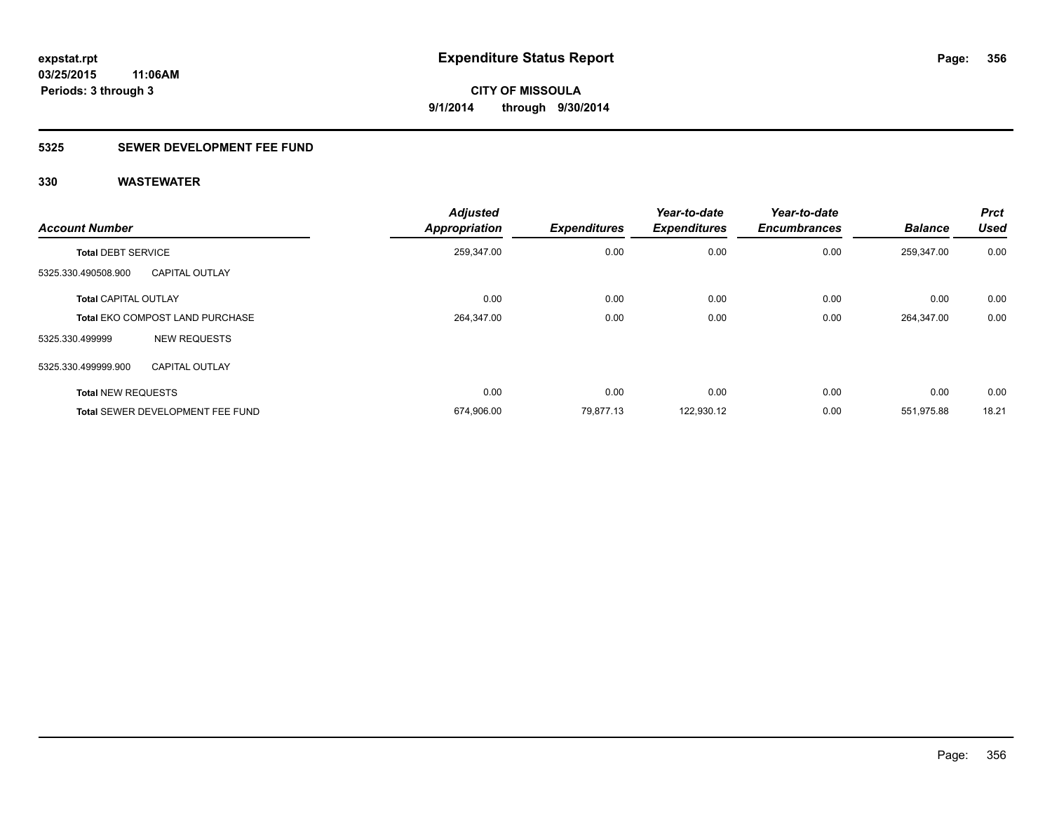## **5325 SEWER DEVELOPMENT FEE FUND**

| <b>Account Number</b>       |                                        | <b>Adjusted</b><br><b>Appropriation</b> | <b>Expenditures</b> | Year-to-date<br><b>Expenditures</b> | Year-to-date<br><b>Encumbrances</b> | <b>Balance</b> | <b>Prct</b><br><b>Used</b> |
|-----------------------------|----------------------------------------|-----------------------------------------|---------------------|-------------------------------------|-------------------------------------|----------------|----------------------------|
| <b>Total DEBT SERVICE</b>   |                                        | 259,347.00                              | 0.00                | 0.00                                | 0.00                                | 259,347.00     | 0.00                       |
| 5325.330.490508.900         | <b>CAPITAL OUTLAY</b>                  |                                         |                     |                                     |                                     |                |                            |
| <b>Total CAPITAL OUTLAY</b> |                                        | 0.00                                    | 0.00                | 0.00                                | 0.00                                | 0.00           | 0.00                       |
|                             | <b>Total EKO COMPOST LAND PURCHASE</b> | 264,347.00                              | 0.00                | 0.00                                | 0.00                                | 264,347.00     | 0.00                       |
| 5325.330.499999             | <b>NEW REQUESTS</b>                    |                                         |                     |                                     |                                     |                |                            |
| 5325.330.499999.900         | <b>CAPITAL OUTLAY</b>                  |                                         |                     |                                     |                                     |                |                            |
| <b>Total NEW REQUESTS</b>   |                                        | 0.00                                    | 0.00                | 0.00                                | 0.00                                | 0.00           | 0.00                       |
|                             | Total SEWER DEVELOPMENT FEE FUND       | 674,906.00                              | 79.877.13           | 122,930.12                          | 0.00                                | 551.975.88     | 18.21                      |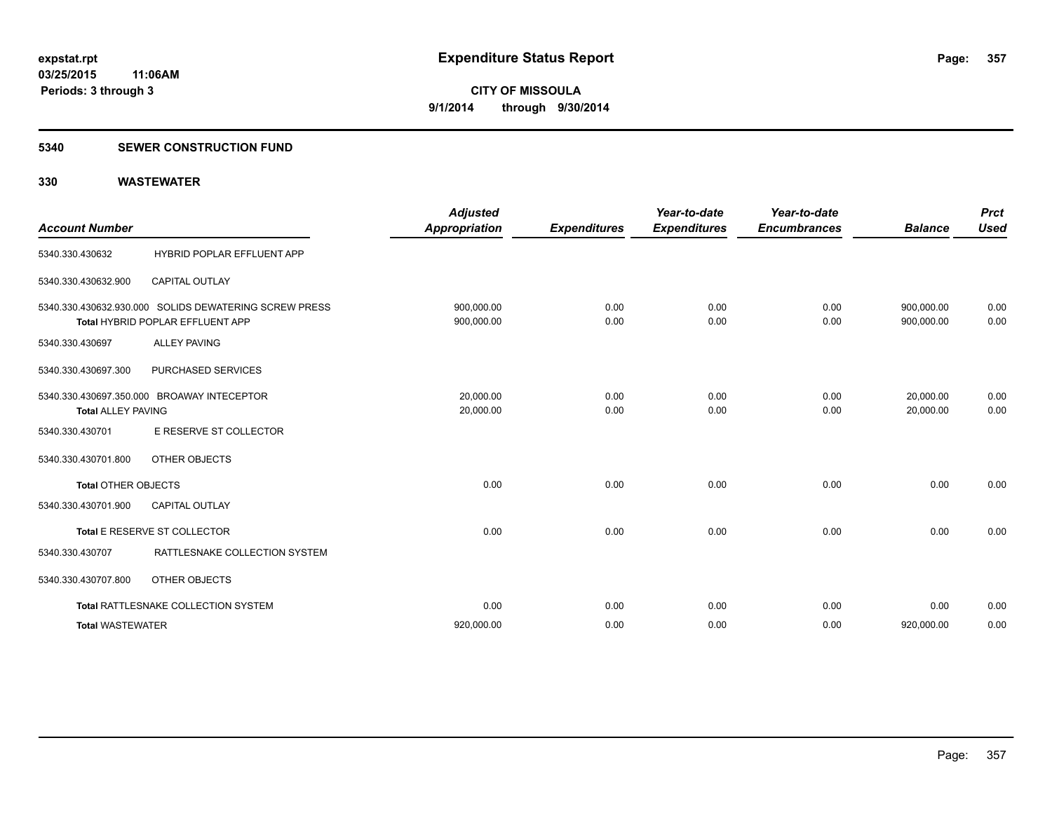### **5340 SEWER CONSTRUCTION FUND**

| <b>Account Number</b>      |                                                                                           | <b>Adjusted</b><br><b>Appropriation</b> | <b>Expenditures</b> | Year-to-date<br><b>Expenditures</b> | Year-to-date<br><b>Encumbrances</b> | <b>Balance</b>           | <b>Prct</b><br><b>Used</b> |
|----------------------------|-------------------------------------------------------------------------------------------|-----------------------------------------|---------------------|-------------------------------------|-------------------------------------|--------------------------|----------------------------|
| 5340.330.430632            | HYBRID POPLAR EFFLUENT APP                                                                |                                         |                     |                                     |                                     |                          |                            |
| 5340.330.430632.900        | <b>CAPITAL OUTLAY</b>                                                                     |                                         |                     |                                     |                                     |                          |                            |
|                            | 5340.330.430632.930.000 SOLIDS DEWATERING SCREW PRESS<br>Total HYBRID POPLAR EFFLUENT APP | 900,000.00<br>900,000.00                | 0.00<br>0.00        | 0.00<br>0.00                        | 0.00<br>0.00                        | 900,000.00<br>900,000.00 | 0.00<br>0.00               |
| 5340.330.430697            | <b>ALLEY PAVING</b>                                                                       |                                         |                     |                                     |                                     |                          |                            |
| 5340.330.430697.300        | PURCHASED SERVICES                                                                        |                                         |                     |                                     |                                     |                          |                            |
| <b>Total ALLEY PAVING</b>  | 5340.330.430697.350.000 BROAWAY INTECEPTOR                                                | 20.000.00<br>20,000.00                  | 0.00<br>0.00        | 0.00<br>0.00                        | 0.00<br>0.00                        | 20,000.00<br>20.000.00   | 0.00<br>0.00               |
| 5340.330.430701            | E RESERVE ST COLLECTOR                                                                    |                                         |                     |                                     |                                     |                          |                            |
| 5340.330.430701.800        | OTHER OBJECTS                                                                             |                                         |                     |                                     |                                     |                          |                            |
| <b>Total OTHER OBJECTS</b> |                                                                                           | 0.00                                    | 0.00                | 0.00                                | 0.00                                | 0.00                     | 0.00                       |
| 5340.330.430701.900        | <b>CAPITAL OUTLAY</b>                                                                     |                                         |                     |                                     |                                     |                          |                            |
|                            | Total E RESERVE ST COLLECTOR                                                              | 0.00                                    | 0.00                | 0.00                                | 0.00                                | 0.00                     | 0.00                       |
| 5340.330.430707            | RATTLESNAKE COLLECTION SYSTEM                                                             |                                         |                     |                                     |                                     |                          |                            |
| 5340.330.430707.800        | OTHER OBJECTS                                                                             |                                         |                     |                                     |                                     |                          |                            |
|                            | Total RATTLESNAKE COLLECTION SYSTEM                                                       | 0.00                                    | 0.00                | 0.00                                | 0.00                                | 0.00                     | 0.00                       |
| <b>Total WASTEWATER</b>    |                                                                                           | 920,000.00                              | 0.00                | 0.00                                | 0.00                                | 920,000.00               | 0.00                       |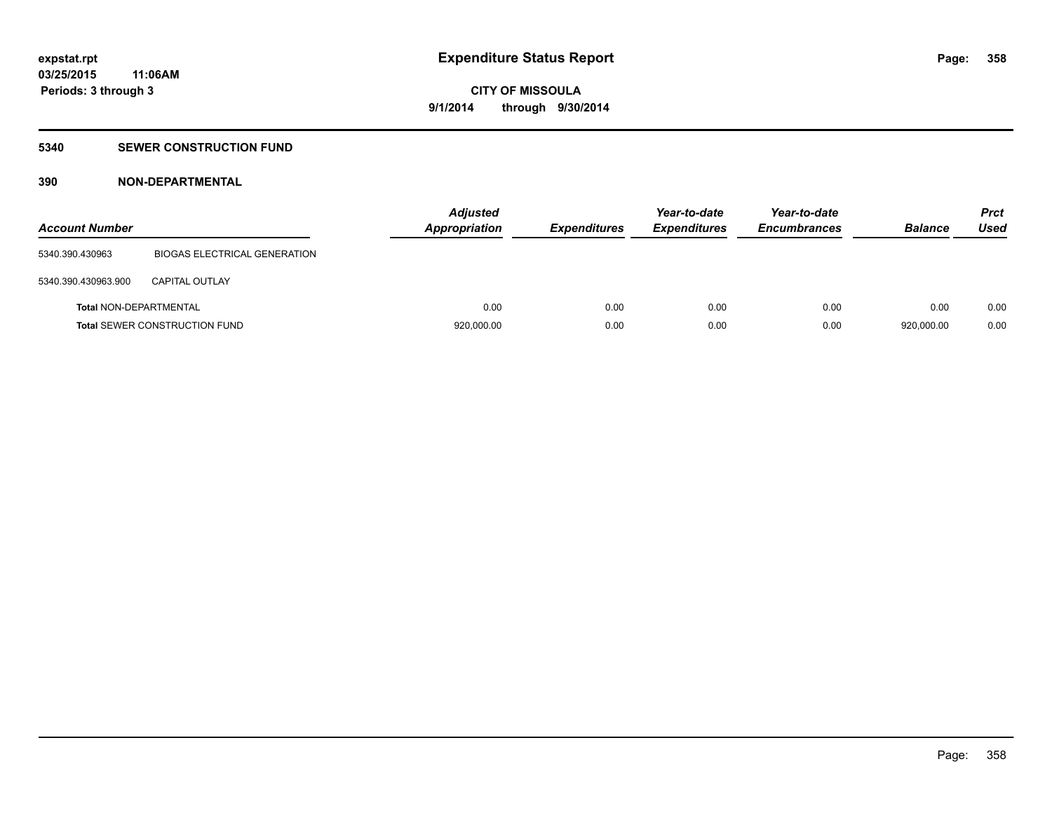## **5340 SEWER CONSTRUCTION FUND**

## **390 NON-DEPARTMENTAL**

| <b>Account Number</b>         |                                      | <b>Adjusted</b><br><b>Appropriation</b> | <b>Expenditures</b> | Year-to-date<br><b>Expenditures</b> | Year-to-date<br><b>Encumbrances</b> | <b>Balance</b> | <b>Prct</b><br><b>Used</b> |
|-------------------------------|--------------------------------------|-----------------------------------------|---------------------|-------------------------------------|-------------------------------------|----------------|----------------------------|
| 5340.390.430963               | BIOGAS ELECTRICAL GENERATION         |                                         |                     |                                     |                                     |                |                            |
| 5340.390.430963.900           | <b>CAPITAL OUTLAY</b>                |                                         |                     |                                     |                                     |                |                            |
| <b>Total NON-DEPARTMENTAL</b> |                                      | 0.00                                    | 0.00                | 0.00                                | 0.00                                | 0.00           | 0.00                       |
|                               | <b>Total SEWER CONSTRUCTION FUND</b> | 920,000.00                              | 0.00                | 0.00                                | 0.00                                | 920,000.00     | 0.00                       |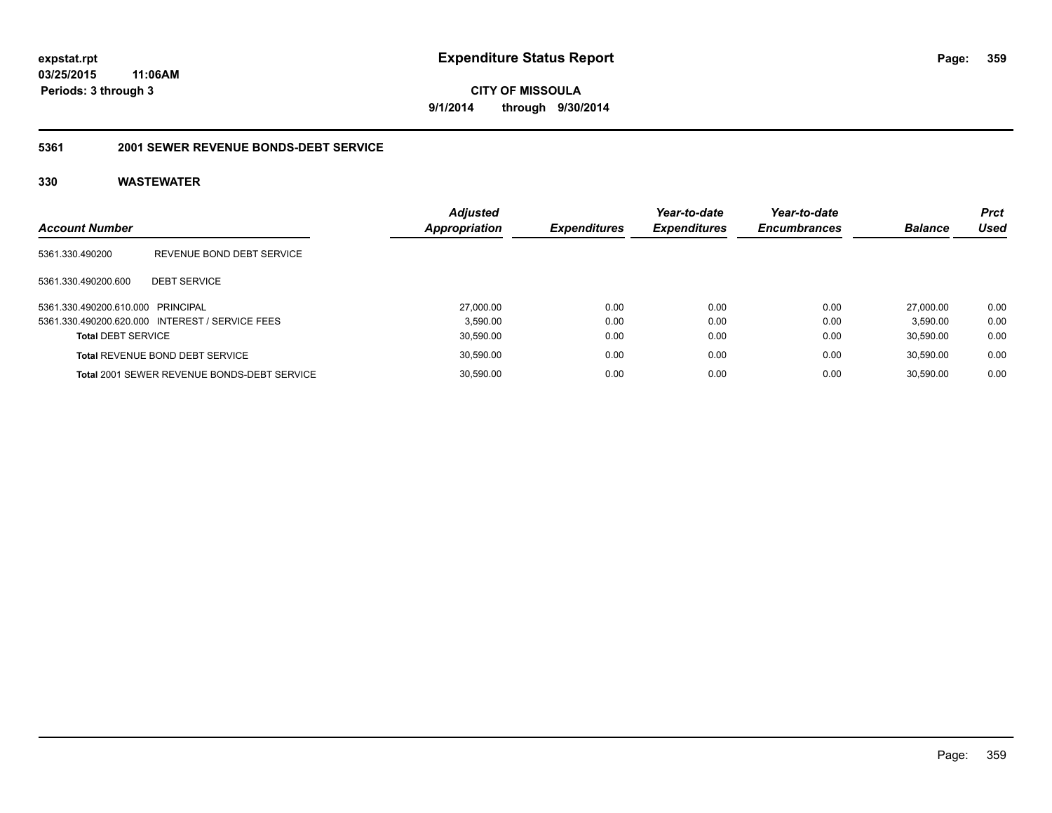### **03/25/2015 11:06AM**

**Periods: 3 through 3**

**CITY OF MISSOULA 9/1/2014 through 9/30/2014**

### **5361 2001 SEWER REVENUE BONDS-DEBT SERVICE**

| <b>Account Number</b>             |                                                    | <b>Adjusted</b><br>Appropriation | <b>Expenditures</b> | Year-to-date<br><b>Expenditures</b> | Year-to-date<br><b>Encumbrances</b> | <b>Balance</b> | <b>Prct</b><br>Used |
|-----------------------------------|----------------------------------------------------|----------------------------------|---------------------|-------------------------------------|-------------------------------------|----------------|---------------------|
| 5361.330.490200                   | REVENUE BOND DEBT SERVICE                          |                                  |                     |                                     |                                     |                |                     |
| 5361.330.490200.600               | <b>DEBT SERVICE</b>                                |                                  |                     |                                     |                                     |                |                     |
| 5361.330.490200.610.000 PRINCIPAL |                                                    |                                  | 0.00<br>27,000.00   | 0.00                                | 0.00                                | 27,000.00      | 0.00                |
|                                   | 5361.330.490200.620.000 INTEREST / SERVICE FEES    |                                  | 0.00<br>3.590.00    | 0.00                                | 0.00                                | 3.590.00       | 0.00                |
| <b>Total DEBT SERVICE</b>         |                                                    |                                  | 0.00<br>30,590.00   | 0.00                                | 0.00                                | 30.590.00      | 0.00                |
|                                   | <b>Total REVENUE BOND DEBT SERVICE</b>             |                                  | 0.00<br>30,590.00   | 0.00                                | 0.00                                | 30.590.00      | 0.00                |
|                                   | <b>Total 2001 SEWER REVENUE BONDS-DEBT SERVICE</b> |                                  | 30,590.00<br>0.00   | 0.00                                | 0.00                                | 30.590.00      | 0.00                |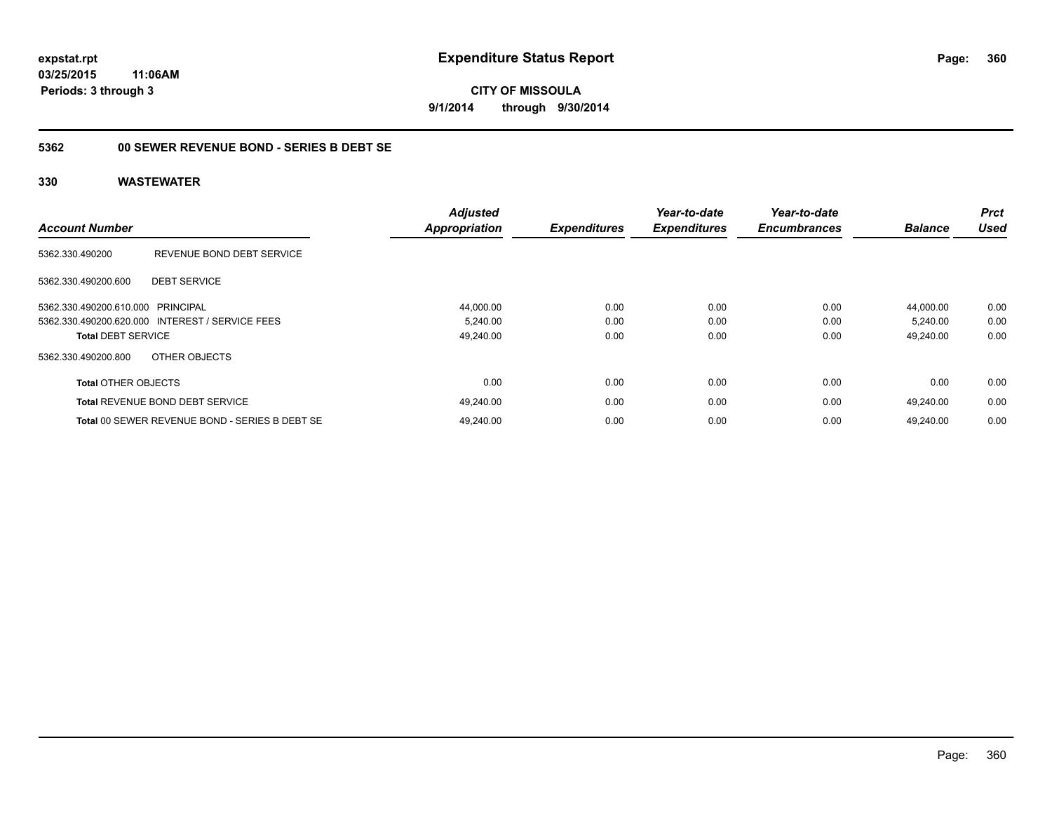**CITY OF MISSOULA 9/1/2014 through 9/30/2014**

## **5362 00 SEWER REVENUE BOND - SERIES B DEBT SE**

| <b>Account Number</b>      |                                                 | <b>Adjusted</b><br><b>Appropriation</b> | <b>Expenditures</b> | Year-to-date<br><b>Expenditures</b> | Year-to-date<br><b>Encumbrances</b> | <b>Balance</b> | <b>Prct</b><br><b>Used</b> |
|----------------------------|-------------------------------------------------|-----------------------------------------|---------------------|-------------------------------------|-------------------------------------|----------------|----------------------------|
| 5362.330.490200            | REVENUE BOND DEBT SERVICE                       |                                         |                     |                                     |                                     |                |                            |
| 5362.330.490200.600        | <b>DEBT SERVICE</b>                             |                                         |                     |                                     |                                     |                |                            |
| 5362.330.490200.610.000    | PRINCIPAL                                       | 44,000.00                               | 0.00                | 0.00                                | 0.00                                | 44.000.00      | 0.00                       |
|                            | 5362.330.490200.620.000 INTEREST / SERVICE FEES | 5,240.00                                | 0.00                | 0.00                                | 0.00                                | 5,240.00       | 0.00                       |
| <b>Total DEBT SERVICE</b>  |                                                 | 49,240.00                               | 0.00                | 0.00                                | 0.00                                | 49,240.00      | 0.00                       |
| 5362.330.490200.800        | OTHER OBJECTS                                   |                                         |                     |                                     |                                     |                |                            |
| <b>Total OTHER OBJECTS</b> |                                                 | 0.00                                    | 0.00                | 0.00                                | 0.00                                | 0.00           | 0.00                       |
|                            | <b>Total REVENUE BOND DEBT SERVICE</b>          | 49,240.00                               | 0.00                | 0.00                                | 0.00                                | 49.240.00      | 0.00                       |
|                            | Total 00 SEWER REVENUE BOND - SERIES B DEBT SE  | 49.240.00                               | 0.00                | 0.00                                | 0.00                                | 49.240.00      | 0.00                       |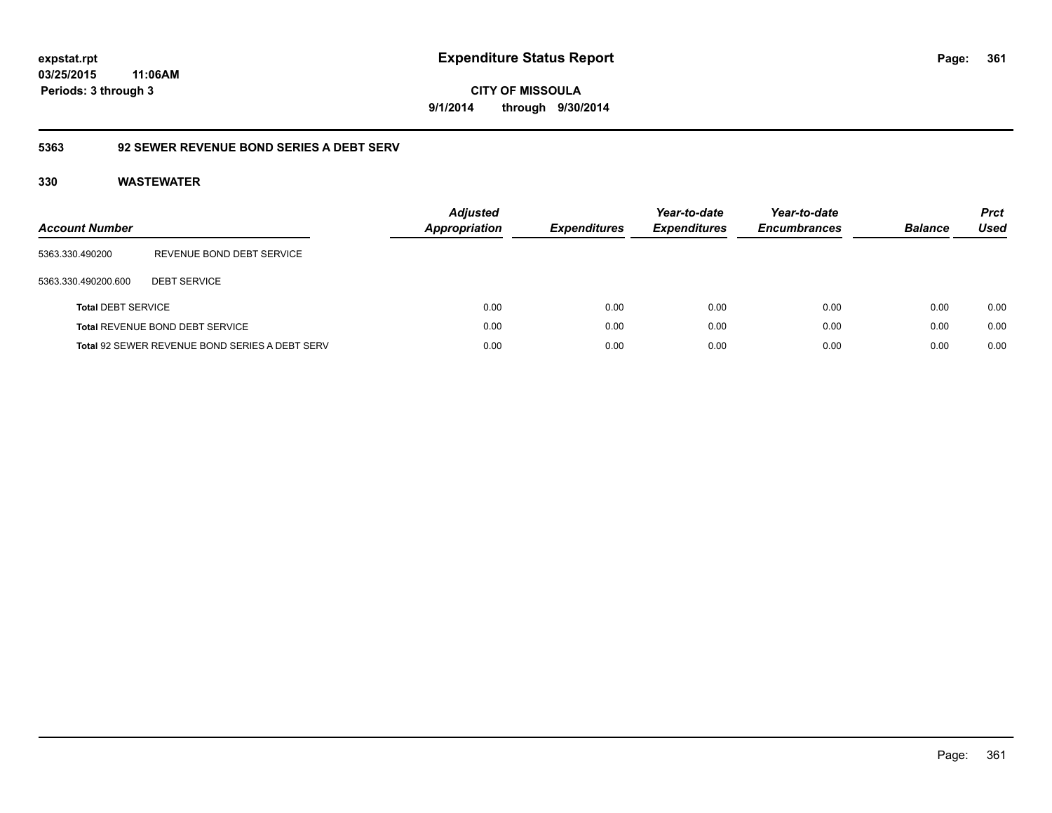**03/25/2015 11:06AM Periods: 3 through 3**

**CITY OF MISSOULA 9/1/2014 through 9/30/2014**

# **5363 92 SEWER REVENUE BOND SERIES A DEBT SERV**

| Account Number            |                                                | <b>Adjusted</b><br><b>Appropriation</b> | <b>Expenditures</b> | Year-to-date<br><b>Expenditures</b> | Year-to-date<br><b>Encumbrances</b> | <b>Balance</b> | <b>Prct</b><br>Used |
|---------------------------|------------------------------------------------|-----------------------------------------|---------------------|-------------------------------------|-------------------------------------|----------------|---------------------|
| 5363.330.490200           | REVENUE BOND DEBT SERVICE                      |                                         |                     |                                     |                                     |                |                     |
| 5363.330.490200.600       | <b>DEBT SERVICE</b>                            |                                         |                     |                                     |                                     |                |                     |
| <b>Total DEBT SERVICE</b> |                                                | 0.00                                    | 0.00                | 0.00                                | 0.00                                | 0.00           | 0.00                |
|                           | Total REVENUE BOND DEBT SERVICE                | 0.00                                    | 0.00                | 0.00                                | 0.00                                | 0.00           | 0.00                |
|                           | Total 92 SEWER REVENUE BOND SERIES A DEBT SERV | 0.00                                    | 0.00                | 0.00                                | 0.00                                | 0.00           | 0.00                |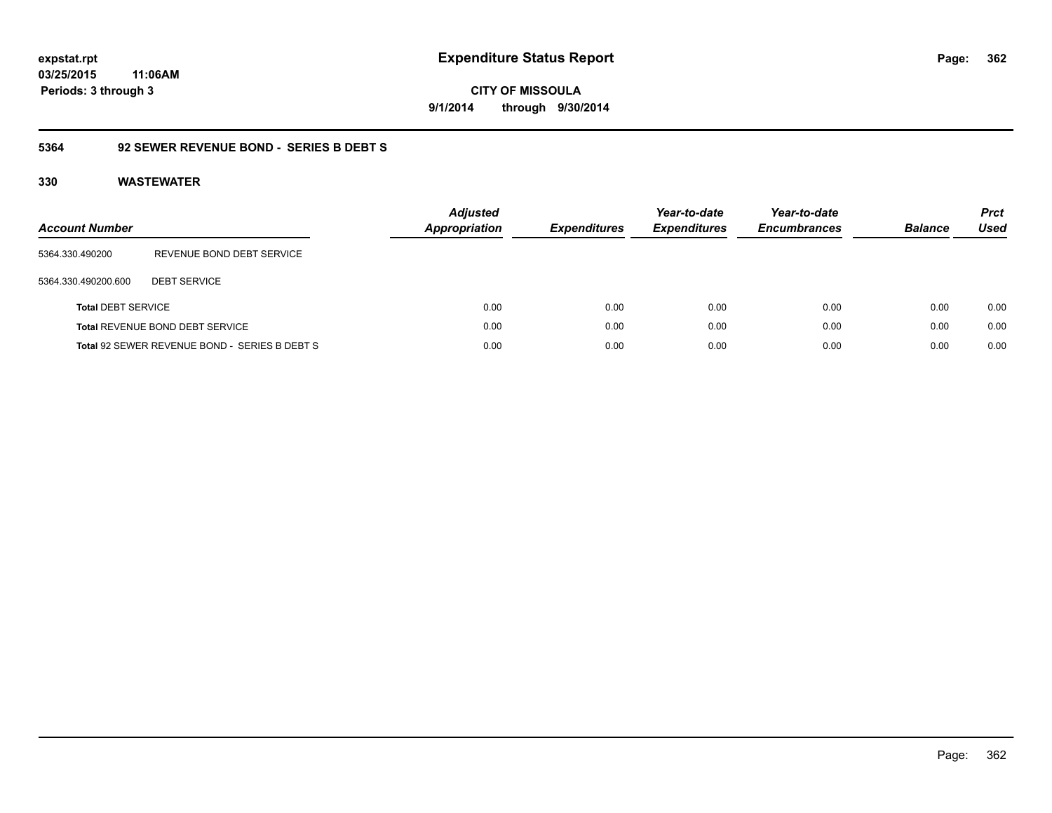# **03/25/2015 11:06AM Periods: 3 through 3**

**CITY OF MISSOULA 9/1/2014 through 9/30/2014**

# **5364 92 SEWER REVENUE BOND - SERIES B DEBT S**

| <b>Account Number</b>     |                                               | <b>Adjusted</b><br><b>Appropriation</b> | <b>Expenditures</b> | Year-to-date<br><b>Expenditures</b> | Year-to-date<br><b>Encumbrances</b> | <b>Balance</b> | <b>Prct</b><br><b>Used</b> |
|---------------------------|-----------------------------------------------|-----------------------------------------|---------------------|-------------------------------------|-------------------------------------|----------------|----------------------------|
| 5364.330.490200           | REVENUE BOND DEBT SERVICE                     |                                         |                     |                                     |                                     |                |                            |
| 5364.330.490200.600       | <b>DEBT SERVICE</b>                           |                                         |                     |                                     |                                     |                |                            |
| <b>Total DEBT SERVICE</b> |                                               | 0.00                                    | 0.00                | 0.00                                | 0.00                                | 0.00           | 0.00                       |
|                           | Total REVENUE BOND DEBT SERVICE               | 0.00                                    | 0.00                | 0.00                                | 0.00                                | 0.00           | 0.00                       |
|                           | Total 92 SEWER REVENUE BOND - SERIES B DEBT S | 0.00                                    | 0.00                | 0.00                                | 0.00                                | 0.00           | 0.00                       |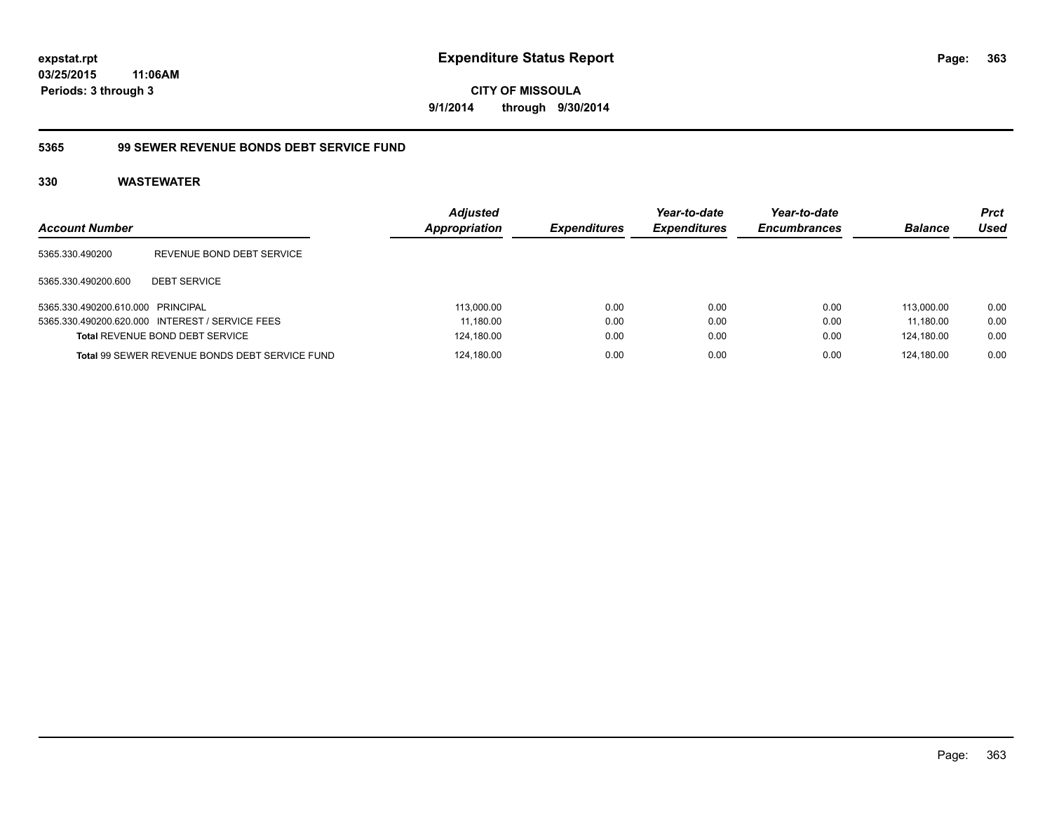# **5365 99 SEWER REVENUE BONDS DEBT SERVICE FUND**

| <b>Account Number</b>             |                                                       | <b>Adjusted</b><br>Appropriation | <b>Expenditures</b> | Year-to-date<br><b>Expenditures</b> | Year-to-date<br><b>Encumbrances</b> | <b>Balance</b> | <b>Prct</b><br>Used |
|-----------------------------------|-------------------------------------------------------|----------------------------------|---------------------|-------------------------------------|-------------------------------------|----------------|---------------------|
| 5365.330.490200                   | REVENUE BOND DEBT SERVICE                             |                                  |                     |                                     |                                     |                |                     |
| 5365.330.490200.600               | <b>DEBT SERVICE</b>                                   |                                  |                     |                                     |                                     |                |                     |
| 5365.330.490200.610.000 PRINCIPAL |                                                       | 113,000.00                       | 0.00                | 0.00                                | 0.00                                | 113.000.00     | 0.00                |
|                                   | 5365.330.490200.620.000 INTEREST / SERVICE FEES       | 11,180.00                        | 0.00                | 0.00                                | 0.00                                | 11.180.00      | 0.00                |
|                                   | <b>Total REVENUE BOND DEBT SERVICE</b>                | 124,180.00                       | 0.00                | 0.00                                | 0.00                                | 124.180.00     | 0.00                |
|                                   | <b>Total 99 SEWER REVENUE BONDS DEBT SERVICE FUND</b> | 124,180.00                       | 0.00                | 0.00                                | 0.00                                | 124.180.00     | 0.00                |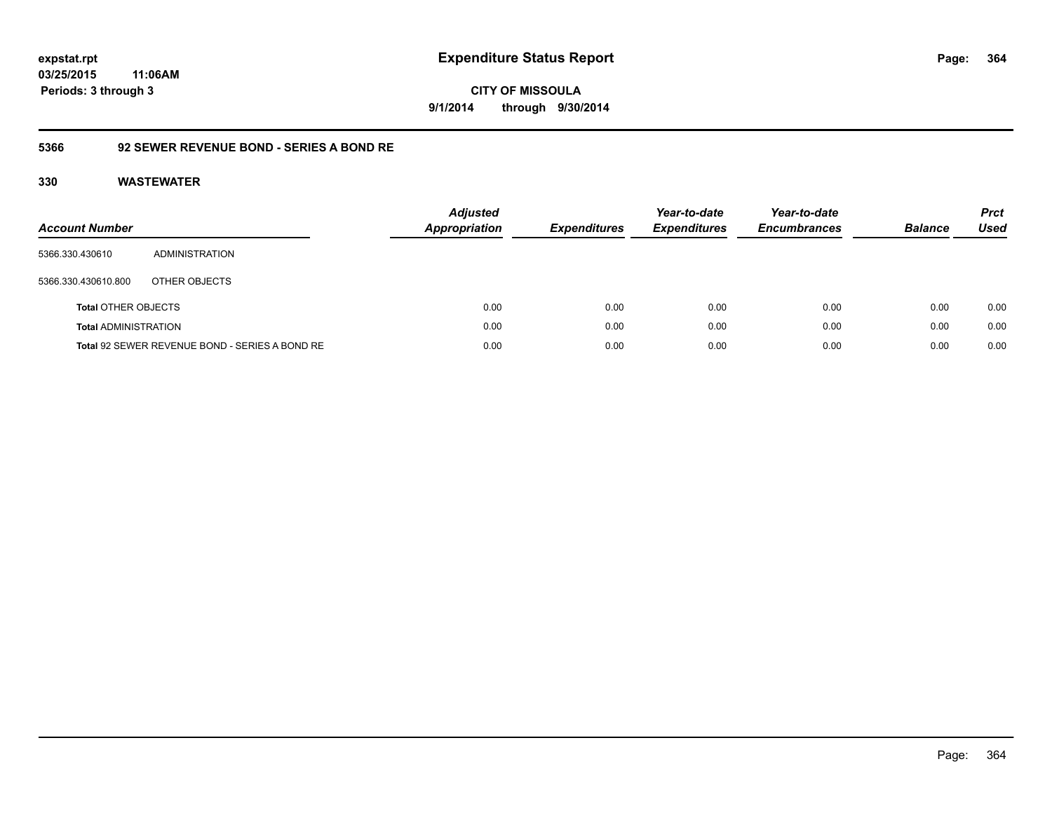**364**

**03/25/2015 11:06AM Periods: 3 through 3**

**CITY OF MISSOULA 9/1/2014 through 9/30/2014**

# **5366 92 SEWER REVENUE BOND - SERIES A BOND RE**

| <b>Account Number</b>       |                                                | <b>Adjusted</b><br>Appropriation | <b>Expenditures</b> | Year-to-date<br><b>Expenditures</b> | Year-to-date<br><b>Encumbrances</b> | <b>Balance</b> | <b>Prct</b><br><b>Used</b> |
|-----------------------------|------------------------------------------------|----------------------------------|---------------------|-------------------------------------|-------------------------------------|----------------|----------------------------|
| 5366.330.430610             | ADMINISTRATION                                 |                                  |                     |                                     |                                     |                |                            |
| 5366.330.430610.800         | OTHER OBJECTS                                  |                                  |                     |                                     |                                     |                |                            |
| <b>Total OTHER OBJECTS</b>  |                                                | 0.00                             | 0.00                | 0.00                                | 0.00                                | 0.00           | 0.00                       |
| <b>Total ADMINISTRATION</b> |                                                | 0.00                             | 0.00                | 0.00                                | 0.00                                | 0.00           | 0.00                       |
|                             | Total 92 SEWER REVENUE BOND - SERIES A BOND RE | 0.00                             | 0.00                | 0.00                                | 0.00                                | 0.00           | 0.00                       |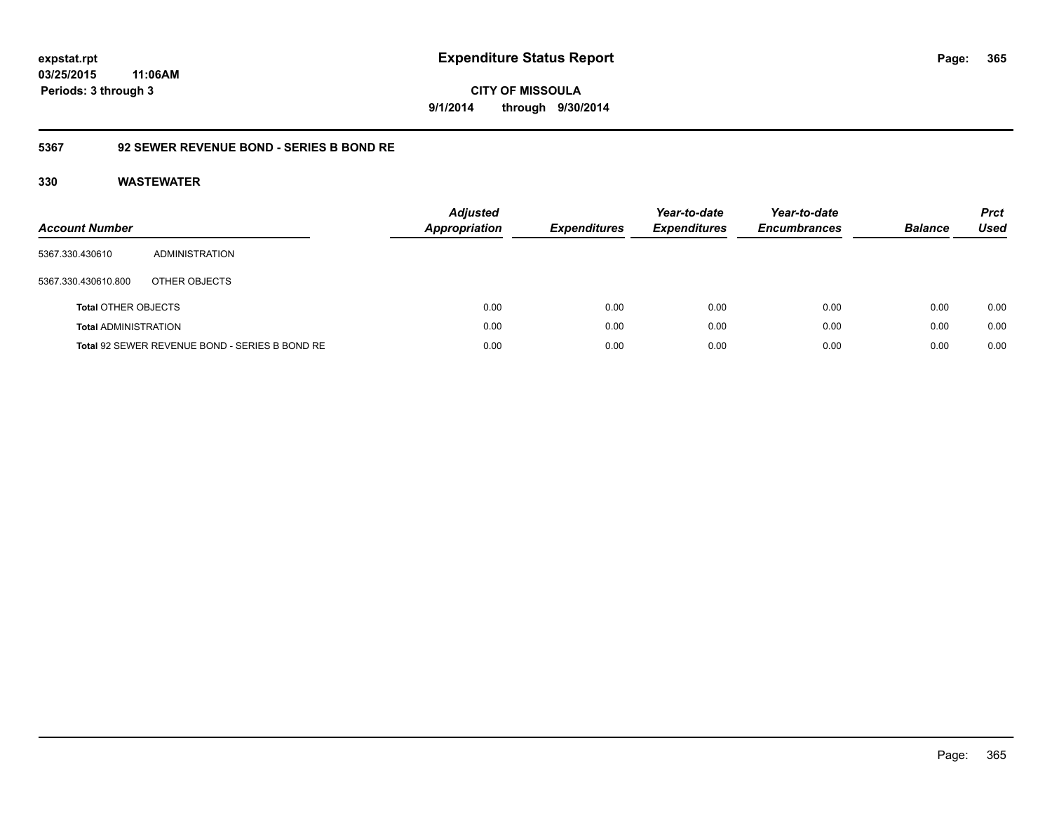**365**

**03/25/2015 11:06AM Periods: 3 through 3**

**CITY OF MISSOULA 9/1/2014 through 9/30/2014**

# **5367 92 SEWER REVENUE BOND - SERIES B BOND RE**

| <b>Account Number</b>       |                                                | <b>Adjusted</b><br><b>Appropriation</b> | <b>Expenditures</b> | Year-to-date<br><b>Expenditures</b> | Year-to-date<br><b>Encumbrances</b> | <b>Balance</b> | <b>Prct</b><br>Used |
|-----------------------------|------------------------------------------------|-----------------------------------------|---------------------|-------------------------------------|-------------------------------------|----------------|---------------------|
| 5367.330.430610             | ADMINISTRATION                                 |                                         |                     |                                     |                                     |                |                     |
| 5367.330.430610.800         | OTHER OBJECTS                                  |                                         |                     |                                     |                                     |                |                     |
| <b>Total OTHER OBJECTS</b>  |                                                | 0.00                                    | 0.00                | 0.00                                | 0.00                                | 0.00           | 0.00                |
| <b>Total ADMINISTRATION</b> |                                                | 0.00                                    | 0.00                | 0.00                                | 0.00                                | 0.00           | 0.00                |
|                             | Total 92 SEWER REVENUE BOND - SERIES B BOND RE | 0.00                                    | 0.00                | 0.00                                | 0.00                                | 0.00           | 0.00                |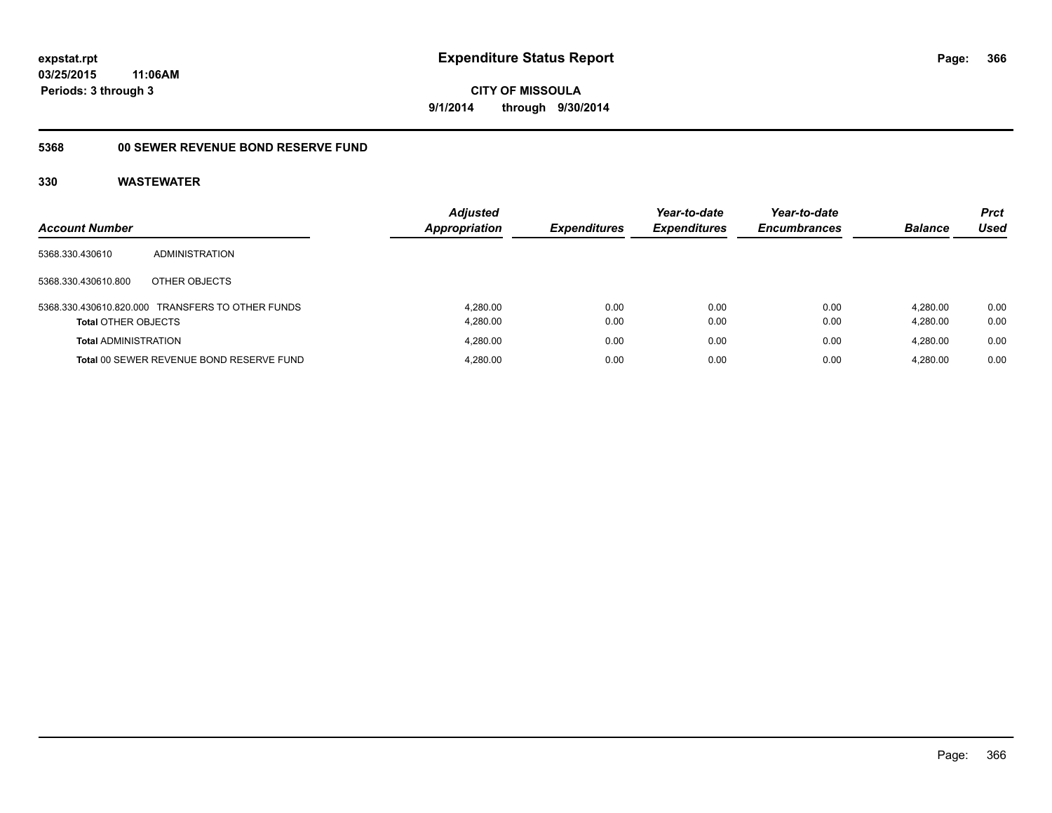# **03/25/2015 11:06AM Periods: 3 through 3**

**CITY OF MISSOULA 9/1/2014 through 9/30/2014**

# **5368 00 SEWER REVENUE BOND RESERVE FUND**

| <b>Account Number</b>       |                                                  | <b>Adjusted</b><br><b>Appropriation</b> | <b>Expenditures</b> | Year-to-date<br><b>Expenditures</b> | Year-to-date<br><b>Encumbrances</b> | <b>Balance</b>       | <b>Prct</b><br>Used |
|-----------------------------|--------------------------------------------------|-----------------------------------------|---------------------|-------------------------------------|-------------------------------------|----------------------|---------------------|
| 5368.330.430610             | ADMINISTRATION                                   |                                         |                     |                                     |                                     |                      |                     |
| 5368.330.430610.800         | OTHER OBJECTS                                    |                                         |                     |                                     |                                     |                      |                     |
| <b>Total OTHER OBJECTS</b>  | 5368.330.430610.820.000 TRANSFERS TO OTHER FUNDS | 4.280.00<br>4,280.00                    | 0.00<br>0.00        | 0.00<br>0.00                        | 0.00<br>0.00                        | 4.280.00<br>4.280.00 | 0.00<br>0.00        |
| <b>Total ADMINISTRATION</b> |                                                  | 4.280.00                                | 0.00                | 0.00                                | 0.00                                | 4.280.00             | 0.00                |
|                             | Total 00 SEWER REVENUE BOND RESERVE FUND         | 4.280.00                                | 0.00                | 0.00                                | 0.00                                | 4.280.00             | 0.00                |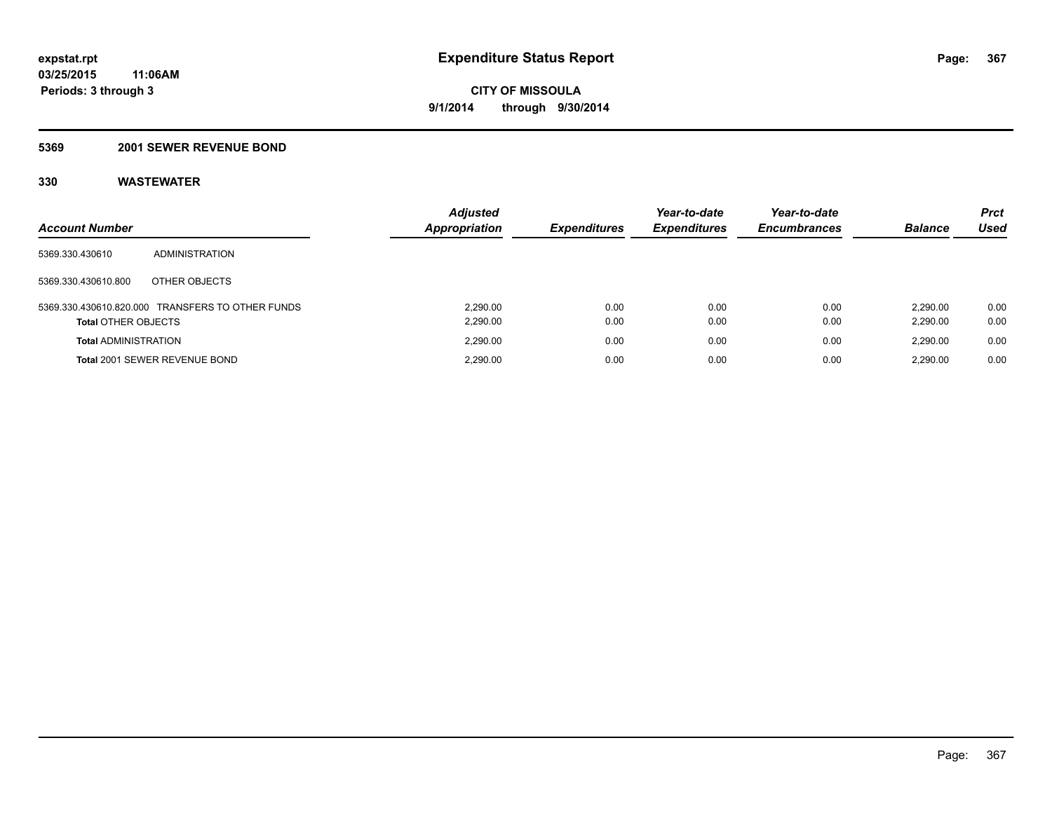# **5369 2001 SEWER REVENUE BOND**

| <b>Account Number</b>       |                                                  | <b>Adjusted</b><br>Appropriation | <b>Expenditures</b> | Year-to-date<br><b>Expenditures</b> | Year-to-date<br><b>Encumbrances</b> | <b>Balance</b>       | <b>Prct</b><br>Used |
|-----------------------------|--------------------------------------------------|----------------------------------|---------------------|-------------------------------------|-------------------------------------|----------------------|---------------------|
| 5369.330.430610             | ADMINISTRATION                                   |                                  |                     |                                     |                                     |                      |                     |
| 5369.330.430610.800         | OTHER OBJECTS                                    |                                  |                     |                                     |                                     |                      |                     |
| <b>Total OTHER OBJECTS</b>  | 5369.330.430610.820.000 TRANSFERS TO OTHER FUNDS | 2.290.00<br>2,290.00             | 0.00<br>0.00        | 0.00<br>0.00                        | 0.00<br>0.00                        | 2.290.00<br>2,290.00 | 0.00<br>0.00        |
| <b>Total ADMINISTRATION</b> |                                                  | 2.290.00                         | 0.00                | 0.00                                | 0.00                                | 2.290.00             | 0.00                |
|                             | Total 2001 SEWER REVENUE BOND                    | 2.290.00                         | 0.00                | 0.00                                | 0.00                                | 2.290.00             | 0.00                |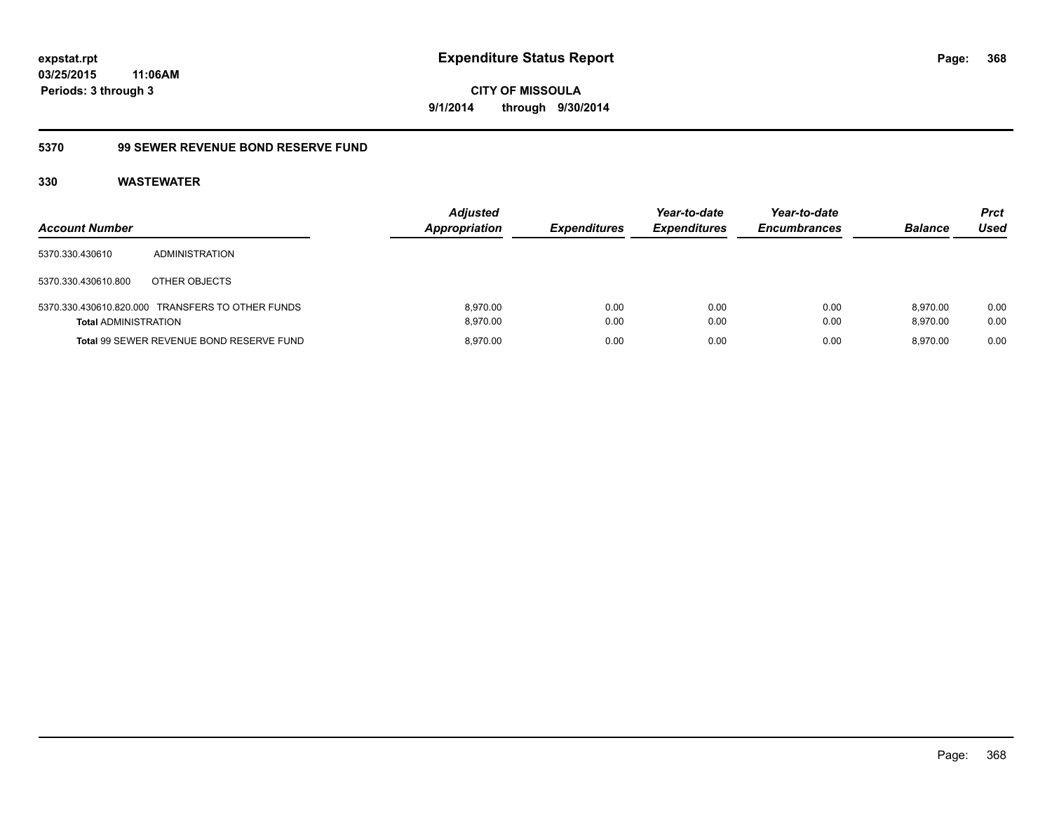# **03/25/2015 11:06AM Periods: 3 through 3**

**CITY OF MISSOULA 9/1/2014 through 9/30/2014**

# **5370 99 SEWER REVENUE BOND RESERVE FUND**

| <b>Account Number</b>       |                                                  | <b>Adjusted</b><br><b>Appropriation</b> | <b>Expenditures</b> | Year-to-date<br><b>Expenditures</b> | Year-to-date<br><b>Encumbrances</b> | <b>Balance</b>       | <b>Prct</b><br>Used |
|-----------------------------|--------------------------------------------------|-----------------------------------------|---------------------|-------------------------------------|-------------------------------------|----------------------|---------------------|
| 5370.330.430610             | <b>ADMINISTRATION</b>                            |                                         |                     |                                     |                                     |                      |                     |
| 5370.330.430610.800         | OTHER OBJECTS                                    |                                         |                     |                                     |                                     |                      |                     |
| <b>Total ADMINISTRATION</b> | 5370.330.430610.820.000 TRANSFERS TO OTHER FUNDS | 8.970.00<br>8.970.00                    | 0.00<br>0.00        | 0.00<br>0.00                        | 0.00<br>0.00                        | 8.970.00<br>8.970.00 | 0.00<br>0.00        |
|                             | Total 99 SEWER REVENUE BOND RESERVE FUND         | 8.970.00                                | 0.00                | 0.00                                | 0.00                                | 8.970.00             | 0.00                |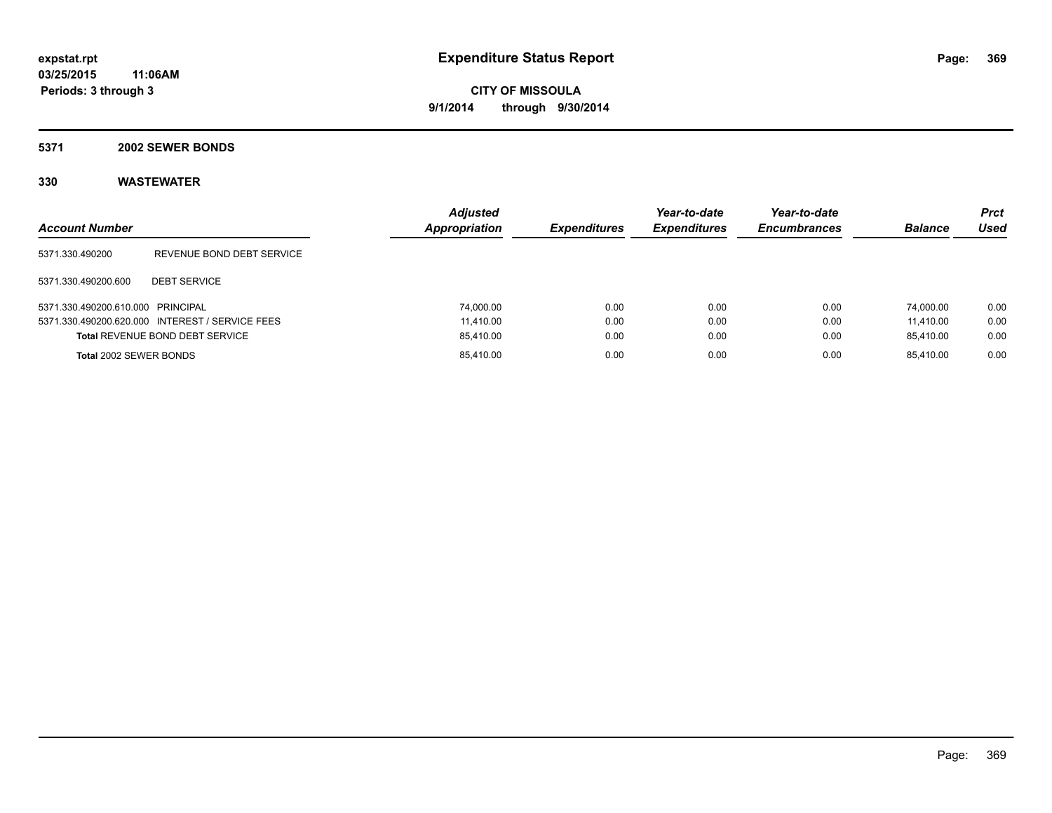#### **5371 2002 SEWER BONDS**

| <b>Account Number</b>             |                                                 | <b>Adjusted</b><br>Appropriation | <b>Expenditures</b> | Year-to-date<br><b>Expenditures</b> | Year-to-date<br><b>Encumbrances</b> | <b>Balance</b> | <b>Prct</b><br><b>Used</b> |
|-----------------------------------|-------------------------------------------------|----------------------------------|---------------------|-------------------------------------|-------------------------------------|----------------|----------------------------|
| 5371.330.490200                   | REVENUE BOND DEBT SERVICE                       |                                  |                     |                                     |                                     |                |                            |
| 5371.330.490200.600               | <b>DEBT SERVICE</b>                             |                                  |                     |                                     |                                     |                |                            |
| 5371.330.490200.610.000 PRINCIPAL |                                                 | 74.000.00                        | 0.00                | 0.00                                | 0.00                                | 74.000.00      | 0.00                       |
|                                   | 5371.330.490200.620.000 INTEREST / SERVICE FEES | 11.410.00                        | 0.00                | 0.00                                | 0.00                                | 11.410.00      | 0.00                       |
|                                   | <b>Total REVENUE BOND DEBT SERVICE</b>          | 85,410.00                        | 0.00                | 0.00                                | 0.00                                | 85.410.00      | 0.00                       |
| Total 2002 SEWER BONDS            |                                                 | 85,410.00                        | 0.00                | 0.00                                | 0.00                                | 85.410.00      | 0.00                       |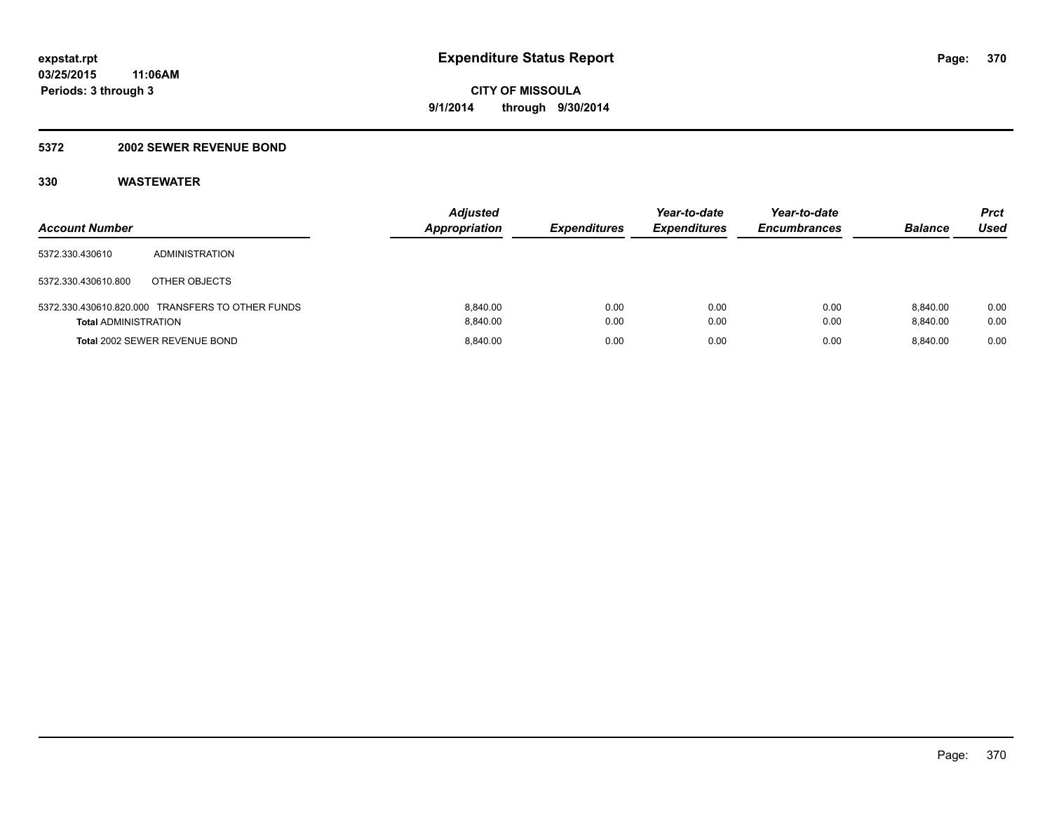# **5372 2002 SEWER REVENUE BOND**

| <b>Account Number</b>       |                                                  | <b>Adjusted</b><br><b>Appropriation</b> | <b>Expenditures</b> | Year-to-date<br><b>Expenditures</b> | Year-to-date<br><b>Encumbrances</b> | <b>Balance</b>       | Prct<br>Used |
|-----------------------------|--------------------------------------------------|-----------------------------------------|---------------------|-------------------------------------|-------------------------------------|----------------------|--------------|
| 5372.330.430610             | ADMINISTRATION                                   |                                         |                     |                                     |                                     |                      |              |
| 5372.330.430610.800         | OTHER OBJECTS                                    |                                         |                     |                                     |                                     |                      |              |
| <b>Total ADMINISTRATION</b> | 5372.330.430610.820.000 TRANSFERS TO OTHER FUNDS | 8.840.00<br>8.840.00                    | 0.00<br>0.00        | 0.00<br>0.00                        | 0.00<br>0.00                        | 8.840.00<br>8.840.00 | 0.00<br>0.00 |
|                             | <b>Total 2002 SEWER REVENUE BOND</b>             | 8.840.00                                | 0.00                | 0.00                                | 0.00                                | 8.840.00             | 0.00         |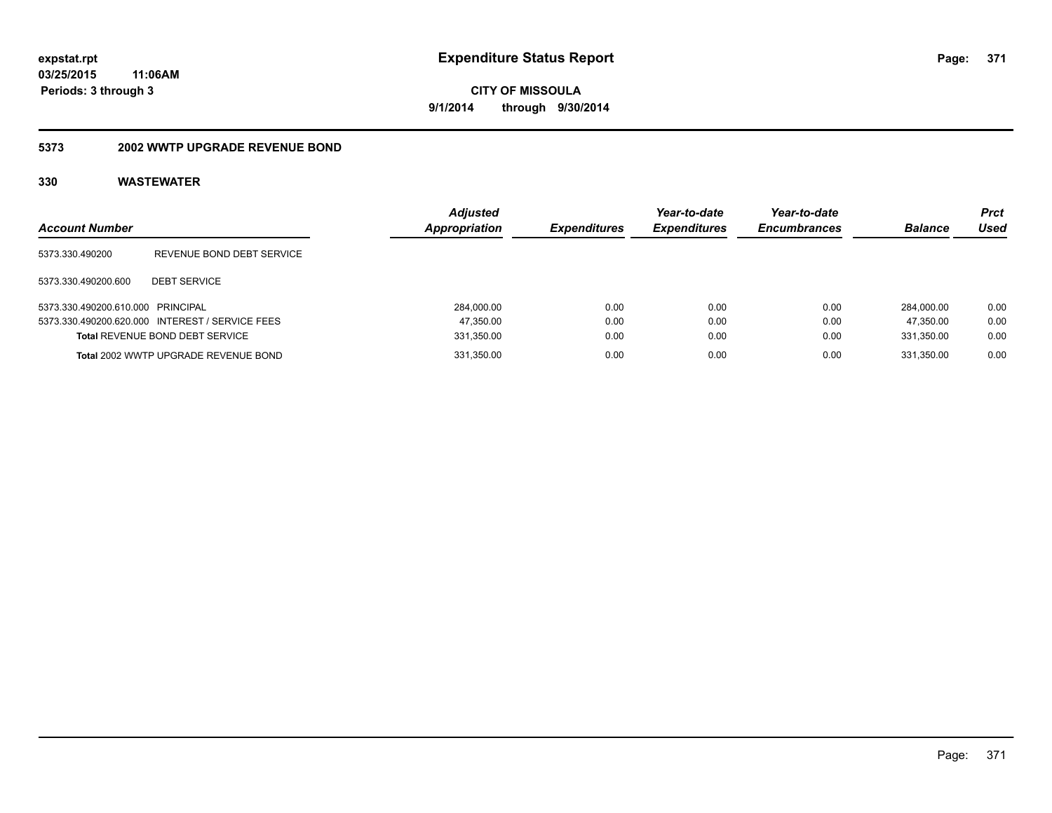#### **5373 2002 WWTP UPGRADE REVENUE BOND**

| <b>Account Number</b>             |                                                 | <b>Adjusted</b><br>Appropriation | <b>Expenditures</b> | Year-to-date<br><b>Expenditures</b> | Year-to-date<br><b>Encumbrances</b> | <b>Balance</b> | <b>Prct</b><br>Used |
|-----------------------------------|-------------------------------------------------|----------------------------------|---------------------|-------------------------------------|-------------------------------------|----------------|---------------------|
| 5373.330.490200                   | REVENUE BOND DEBT SERVICE                       |                                  |                     |                                     |                                     |                |                     |
| 5373.330.490200.600               | <b>DEBT SERVICE</b>                             |                                  |                     |                                     |                                     |                |                     |
| 5373.330.490200.610.000 PRINCIPAL |                                                 | 284.000.00                       | 0.00                | 0.00                                | 0.00                                | 284.000.00     | 0.00                |
|                                   | 5373.330.490200.620.000 INTEREST / SERVICE FEES | 47,350.00                        | 0.00                | 0.00                                | 0.00                                | 47.350.00      | 0.00                |
|                                   | <b>Total REVENUE BOND DEBT SERVICE</b>          | 331,350.00                       | 0.00                | 0.00                                | 0.00                                | 331,350.00     | 0.00                |
|                                   | Total 2002 WWTP UPGRADE REVENUE BOND            | 331,350.00                       | 0.00                | 0.00                                | 0.00                                | 331.350.00     | 0.00                |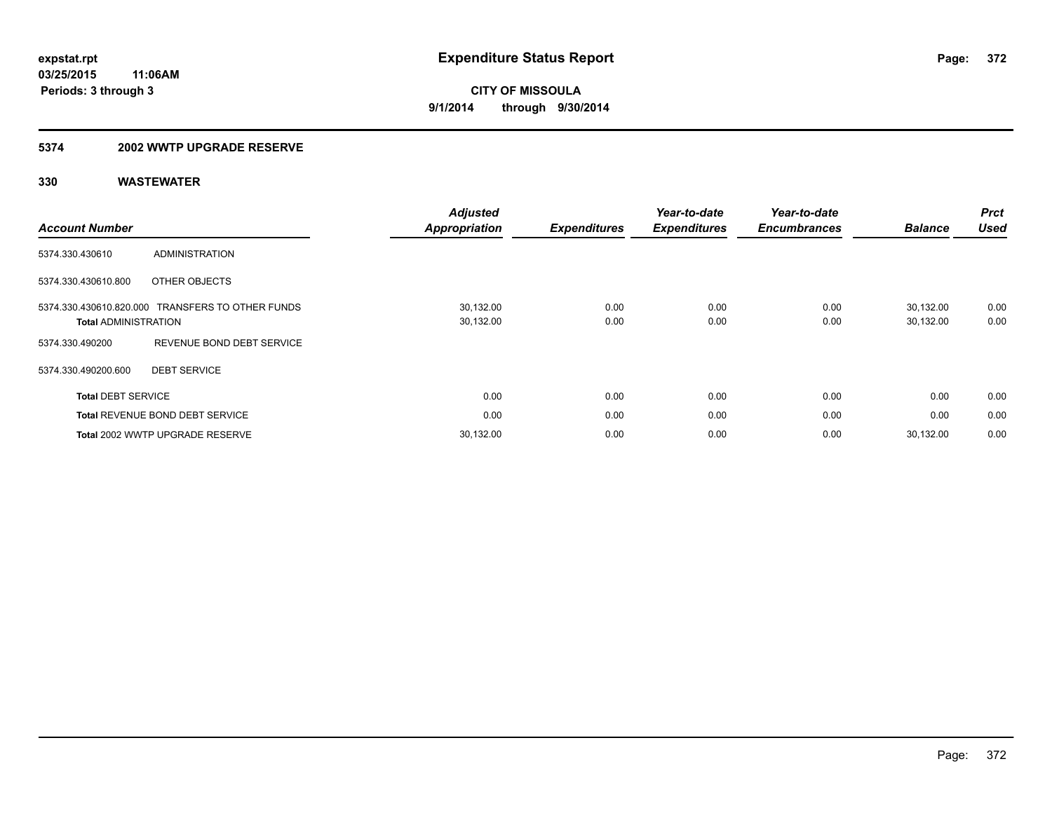# **5374 2002 WWTP UPGRADE RESERVE**

| <b>Account Number</b>       |                                                  | <b>Adjusted</b><br>Appropriation | <b>Expenditures</b> | Year-to-date<br><b>Expenditures</b> | Year-to-date<br><b>Encumbrances</b> | <b>Balance</b>         | <b>Prct</b><br><b>Used</b> |
|-----------------------------|--------------------------------------------------|----------------------------------|---------------------|-------------------------------------|-------------------------------------|------------------------|----------------------------|
| 5374.330.430610             | <b>ADMINISTRATION</b>                            |                                  |                     |                                     |                                     |                        |                            |
| 5374.330.430610.800         | OTHER OBJECTS                                    |                                  |                     |                                     |                                     |                        |                            |
| <b>Total ADMINISTRATION</b> | 5374.330.430610.820.000 TRANSFERS TO OTHER FUNDS | 30,132.00<br>30,132.00           | 0.00<br>0.00        | 0.00<br>0.00                        | 0.00<br>0.00                        | 30,132.00<br>30,132.00 | 0.00<br>0.00               |
| 5374.330.490200             | REVENUE BOND DEBT SERVICE                        |                                  |                     |                                     |                                     |                        |                            |
| 5374.330.490200.600         | <b>DEBT SERVICE</b>                              |                                  |                     |                                     |                                     |                        |                            |
| <b>Total DEBT SERVICE</b>   |                                                  | 0.00                             | 0.00                | 0.00                                | 0.00                                | 0.00                   | 0.00                       |
|                             | <b>Total REVENUE BOND DEBT SERVICE</b>           | 0.00                             | 0.00                | 0.00                                | 0.00                                | 0.00                   | 0.00                       |
|                             | Total 2002 WWTP UPGRADE RESERVE                  | 30,132.00                        | 0.00                | 0.00                                | 0.00                                | 30,132.00              | 0.00                       |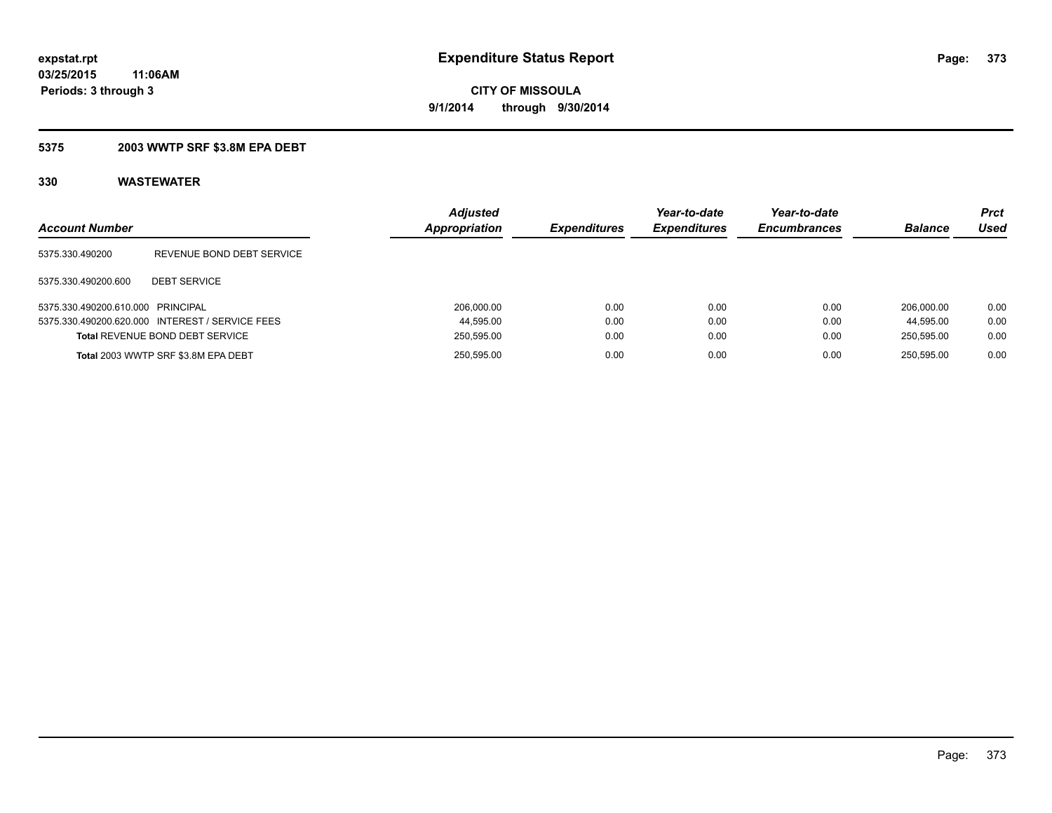# **5375 2003 WWTP SRF \$3.8M EPA DEBT**

| <b>Account Number</b>             |                                                 | <b>Adjusted</b><br>Appropriation | <b>Expenditures</b> | Year-to-date<br><b>Expenditures</b> | Year-to-date<br><b>Encumbrances</b> | <b>Balance</b> | Prct<br>Used |
|-----------------------------------|-------------------------------------------------|----------------------------------|---------------------|-------------------------------------|-------------------------------------|----------------|--------------|
| 5375.330.490200                   | REVENUE BOND DEBT SERVICE                       |                                  |                     |                                     |                                     |                |              |
| 5375.330.490200.600               | <b>DEBT SERVICE</b>                             |                                  |                     |                                     |                                     |                |              |
| 5375.330.490200.610.000 PRINCIPAL |                                                 | 206.000.00                       | 0.00                | 0.00                                | 0.00                                | 206.000.00     | 0.00         |
|                                   | 5375.330.490200.620.000 INTEREST / SERVICE FEES | 44,595.00                        | 0.00                | 0.00                                | 0.00                                | 44.595.00      | 0.00         |
|                                   | Total REVENUE BOND DEBT SERVICE                 | 250,595.00                       | 0.00                | 0.00                                | 0.00                                | 250.595.00     | 0.00         |
|                                   | Total 2003 WWTP SRF \$3.8M EPA DEBT             | 250,595.00                       | 0.00                | 0.00                                | 0.00                                | 250.595.00     | 0.00         |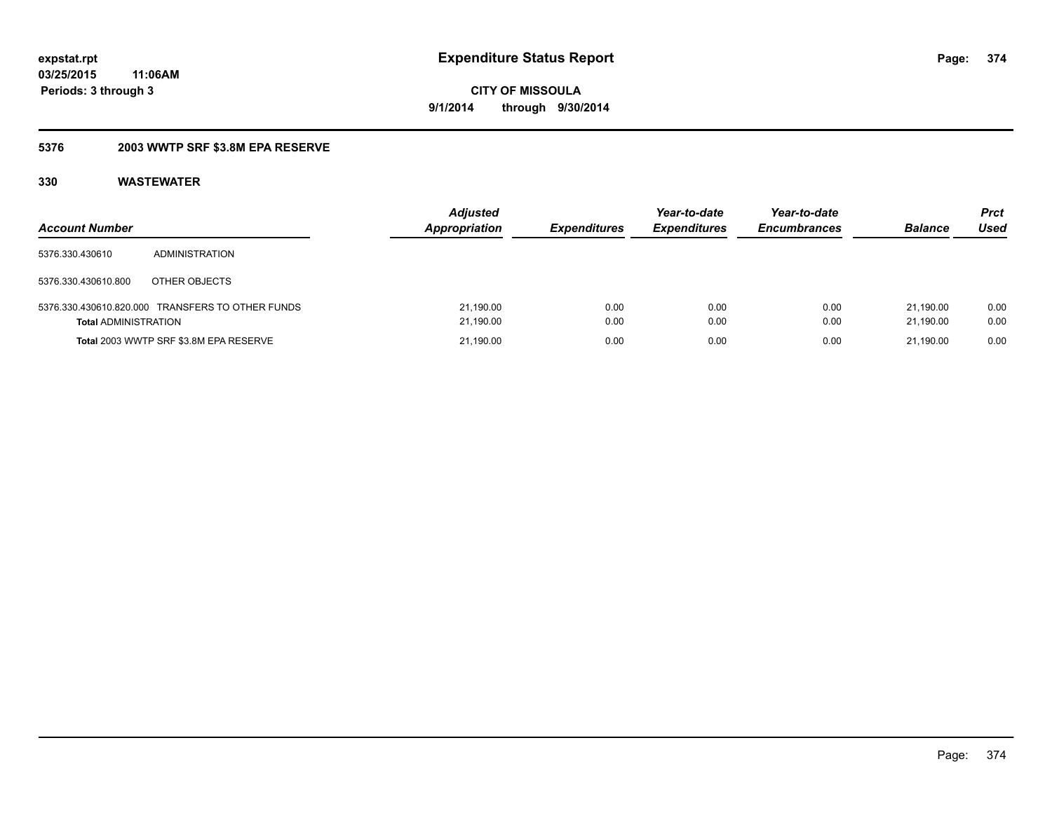# **5376 2003 WWTP SRF \$3.8M EPA RESERVE**

| <b>Account Number</b>       |                                                  | <b>Adjusted</b><br><b>Appropriation</b> | <b>Expenditures</b> | Year-to-date<br><b>Expenditures</b> | Year-to-date<br><b>Encumbrances</b> | <b>Balance</b>         | <b>Prct</b><br>Used |
|-----------------------------|--------------------------------------------------|-----------------------------------------|---------------------|-------------------------------------|-------------------------------------|------------------------|---------------------|
| 5376.330.430610             | ADMINISTRATION                                   |                                         |                     |                                     |                                     |                        |                     |
| 5376.330.430610.800         | OTHER OBJECTS                                    |                                         |                     |                                     |                                     |                        |                     |
| <b>Total ADMINISTRATION</b> | 5376.330.430610.820.000 TRANSFERS TO OTHER FUNDS | 21,190.00<br>21,190.00                  | 0.00<br>0.00        | 0.00<br>0.00                        | 0.00<br>0.00                        | 21.190.00<br>21.190.00 | 0.00<br>0.00        |
|                             | Total 2003 WWTP SRF \$3.8M EPA RESERVE           | 21,190.00                               | 0.00                | 0.00                                | 0.00                                | 21.190.00              | 0.00                |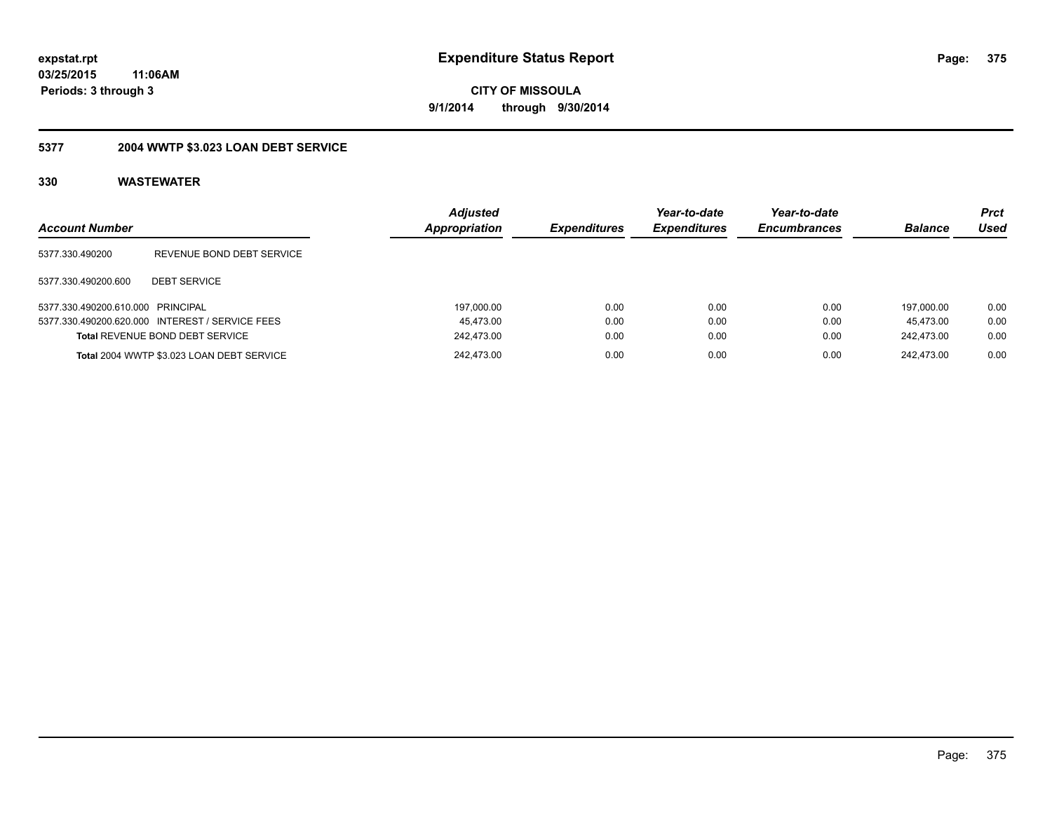# **03/25/2015 11:06AM Periods: 3 through 3**

**CITY OF MISSOULA 9/1/2014 through 9/30/2014**

# **5377 2004 WWTP \$3.023 LOAN DEBT SERVICE**

| <b>Account Number</b>             |                                                 | <b>Adjusted</b><br>Appropriation | <b>Expenditures</b> | Year-to-date<br><b>Expenditures</b> | Year-to-date<br><b>Encumbrances</b> | <b>Balance</b> | <b>Prct</b><br>Used |
|-----------------------------------|-------------------------------------------------|----------------------------------|---------------------|-------------------------------------|-------------------------------------|----------------|---------------------|
| 5377.330.490200                   | REVENUE BOND DEBT SERVICE                       |                                  |                     |                                     |                                     |                |                     |
| 5377.330.490200.600               | <b>DEBT SERVICE</b>                             |                                  |                     |                                     |                                     |                |                     |
| 5377.330.490200.610.000 PRINCIPAL |                                                 | 197.000.00                       | 0.00                | 0.00                                | 0.00                                | 197.000.00     | 0.00                |
|                                   | 5377.330.490200.620.000 INTEREST / SERVICE FEES | 45.473.00                        | 0.00                | 0.00                                | 0.00                                | 45.473.00      | 0.00                |
|                                   | <b>Total REVENUE BOND DEBT SERVICE</b>          | 242.473.00                       | 0.00                | 0.00                                | 0.00                                | 242.473.00     | 0.00                |
|                                   | Total 2004 WWTP \$3.023 LOAN DEBT SERVICE       | 242.473.00                       | 0.00                | 0.00                                | 0.00                                | 242.473.00     | 0.00                |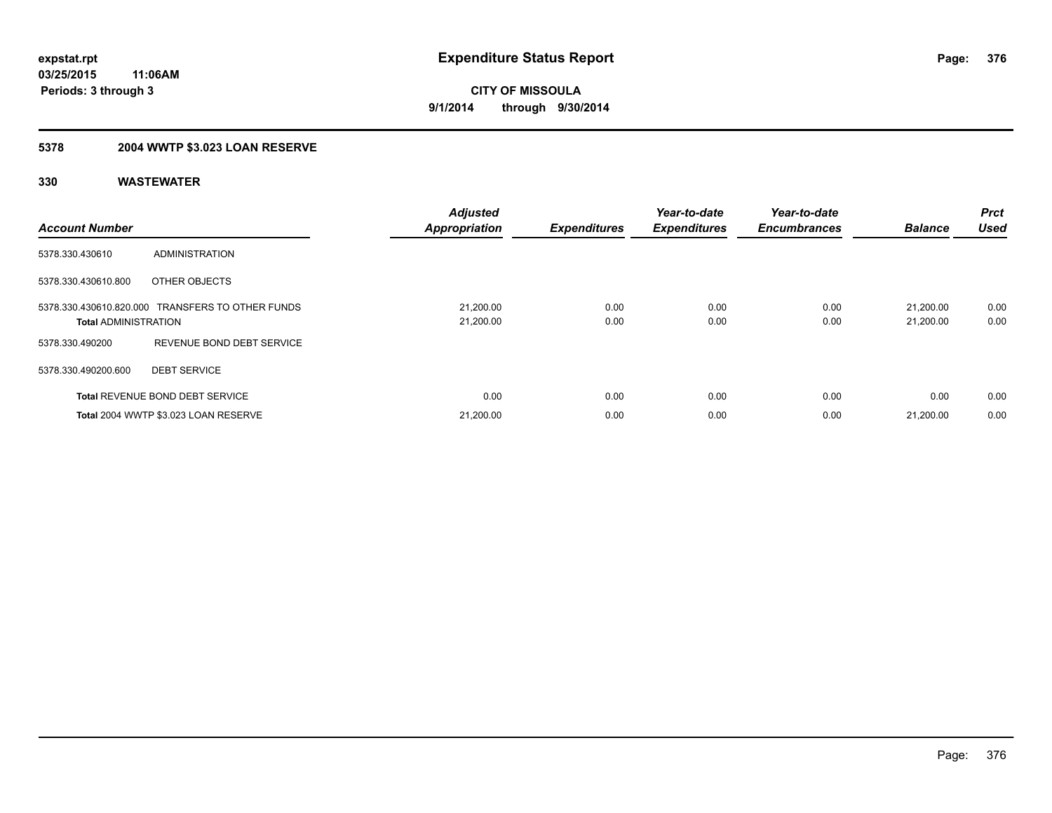# **5378 2004 WWTP \$3.023 LOAN RESERVE**

| <b>Account Number</b>       |                                                  | <b>Adjusted</b><br><b>Appropriation</b> | <b>Expenditures</b> | Year-to-date<br><b>Expenditures</b> | Year-to-date<br><b>Encumbrances</b> | <b>Balance</b>         | Prct<br><b>Used</b> |
|-----------------------------|--------------------------------------------------|-----------------------------------------|---------------------|-------------------------------------|-------------------------------------|------------------------|---------------------|
| 5378.330.430610             | ADMINISTRATION                                   |                                         |                     |                                     |                                     |                        |                     |
| 5378.330.430610.800         | OTHER OBJECTS                                    |                                         |                     |                                     |                                     |                        |                     |
| <b>Total ADMINISTRATION</b> | 5378.330.430610.820.000 TRANSFERS TO OTHER FUNDS | 21,200.00<br>21,200.00                  | 0.00<br>0.00        | 0.00<br>0.00                        | 0.00<br>0.00                        | 21.200.00<br>21,200.00 | 0.00<br>0.00        |
| 5378.330.490200             | REVENUE BOND DEBT SERVICE                        |                                         |                     |                                     |                                     |                        |                     |
| 5378.330.490200.600         | <b>DEBT SERVICE</b>                              |                                         |                     |                                     |                                     |                        |                     |
|                             | <b>Total REVENUE BOND DEBT SERVICE</b>           | 0.00                                    | 0.00                | 0.00                                | 0.00                                | 0.00                   | 0.00                |
|                             | Total 2004 WWTP \$3.023 LOAN RESERVE             | 21,200.00                               | 0.00                | 0.00                                | 0.00                                | 21,200.00              | 0.00                |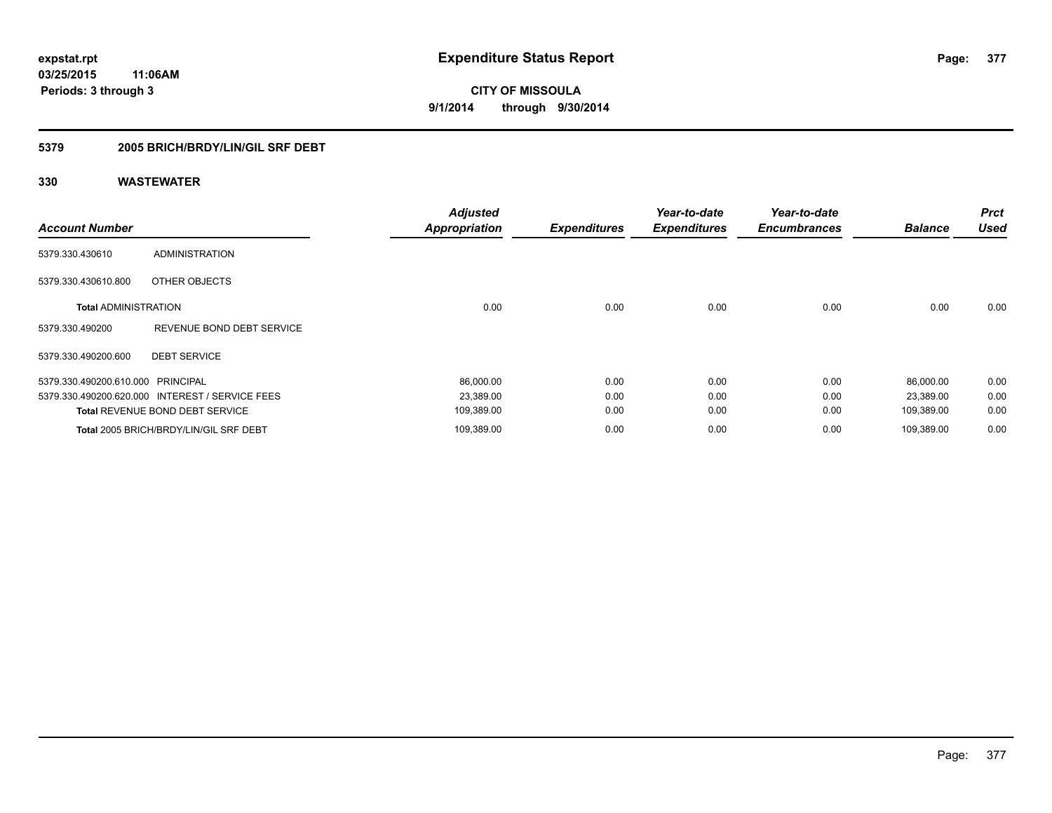# **5379 2005 BRICH/BRDY/LIN/GIL SRF DEBT**

| <b>Account Number</b>             |                                                 | <b>Adjusted</b><br><b>Appropriation</b> | <b>Expenditures</b> | Year-to-date<br><b>Expenditures</b> | Year-to-date<br><b>Encumbrances</b> | <b>Balance</b> | <b>Prct</b><br><b>Used</b> |
|-----------------------------------|-------------------------------------------------|-----------------------------------------|---------------------|-------------------------------------|-------------------------------------|----------------|----------------------------|
| 5379.330.430610                   | <b>ADMINISTRATION</b>                           |                                         |                     |                                     |                                     |                |                            |
| 5379.330.430610.800               | OTHER OBJECTS                                   |                                         |                     |                                     |                                     |                |                            |
| <b>Total ADMINISTRATION</b>       |                                                 | 0.00                                    | 0.00                | 0.00                                | 0.00                                | 0.00           | 0.00                       |
| 5379.330.490200                   | REVENUE BOND DEBT SERVICE                       |                                         |                     |                                     |                                     |                |                            |
| 5379.330.490200.600               | <b>DEBT SERVICE</b>                             |                                         |                     |                                     |                                     |                |                            |
| 5379.330.490200.610.000 PRINCIPAL |                                                 | 86,000.00                               | 0.00                | 0.00                                | 0.00                                | 86,000.00      | 0.00                       |
|                                   | 5379.330.490200.620.000 INTEREST / SERVICE FEES | 23,389.00                               | 0.00                | 0.00                                | 0.00                                | 23,389.00      | 0.00                       |
|                                   | <b>Total REVENUE BOND DEBT SERVICE</b>          | 109,389.00                              | 0.00                | 0.00                                | 0.00                                | 109,389.00     | 0.00                       |
|                                   | Total 2005 BRICH/BRDY/LIN/GIL SRF DEBT          | 109,389.00                              | 0.00                | 0.00                                | 0.00                                | 109,389.00     | 0.00                       |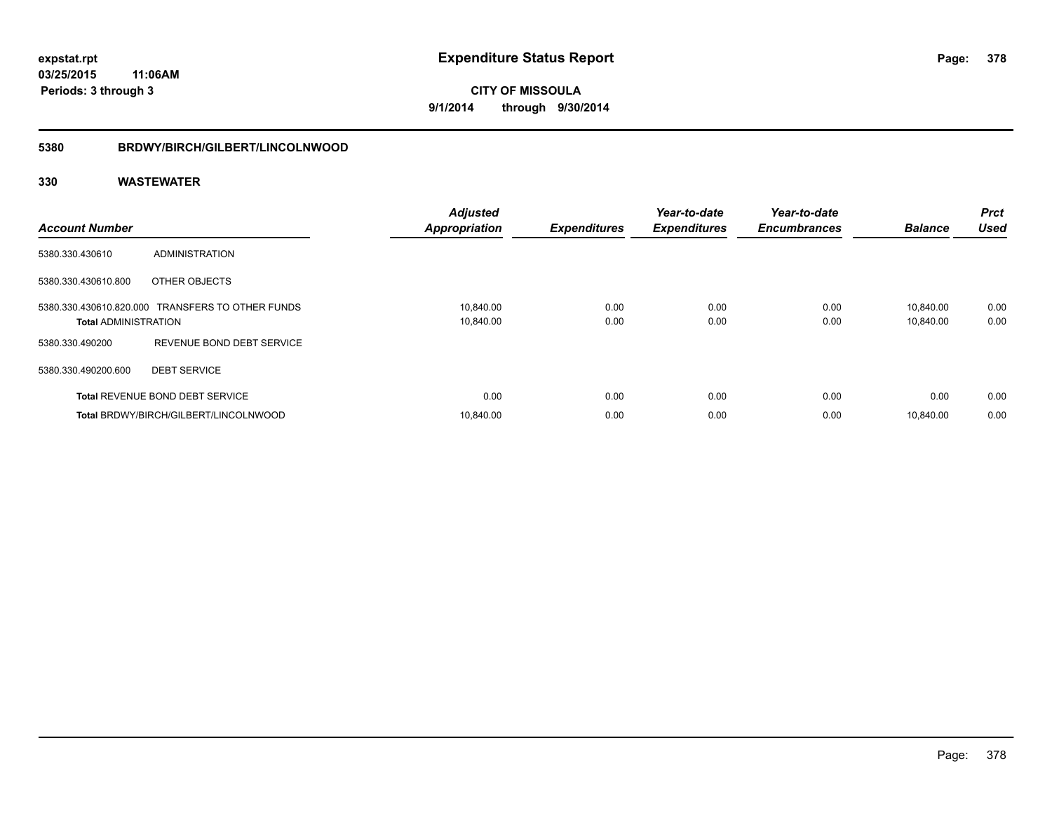#### **5380 BRDWY/BIRCH/GILBERT/LINCOLNWOOD**

| <b>Account Number</b>       |                                                  | <b>Adjusted</b><br><b>Appropriation</b> | <b>Expenditures</b> | Year-to-date<br><b>Expenditures</b> | Year-to-date<br><b>Encumbrances</b> | <b>Balance</b>         | <b>Prct</b><br><b>Used</b> |
|-----------------------------|--------------------------------------------------|-----------------------------------------|---------------------|-------------------------------------|-------------------------------------|------------------------|----------------------------|
| 5380.330.430610             | ADMINISTRATION                                   |                                         |                     |                                     |                                     |                        |                            |
| 5380.330.430610.800         | OTHER OBJECTS                                    |                                         |                     |                                     |                                     |                        |                            |
| <b>Total ADMINISTRATION</b> | 5380.330.430610.820.000 TRANSFERS TO OTHER FUNDS | 10,840.00<br>10,840.00                  | 0.00<br>0.00        | 0.00<br>0.00                        | 0.00<br>0.00                        | 10.840.00<br>10,840.00 | 0.00<br>0.00               |
| 5380.330.490200             | REVENUE BOND DEBT SERVICE                        |                                         |                     |                                     |                                     |                        |                            |
| 5380.330.490200.600         | <b>DEBT SERVICE</b>                              |                                         |                     |                                     |                                     |                        |                            |
|                             | <b>Total REVENUE BOND DEBT SERVICE</b>           | 0.00                                    | 0.00                | 0.00                                | 0.00                                | 0.00                   | 0.00                       |
|                             | Total BRDWY/BIRCH/GILBERT/LINCOLNWOOD            | 10.840.00                               | 0.00                | 0.00                                | 0.00                                | 10.840.00              | 0.00                       |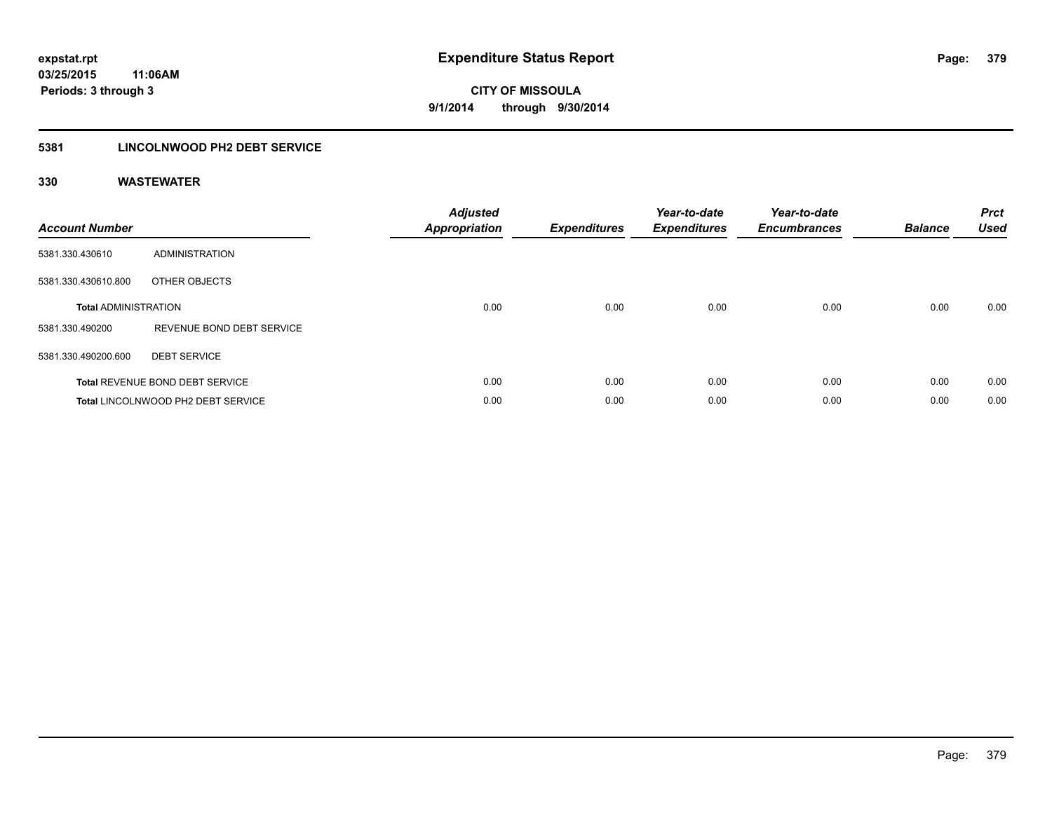# **5381 LINCOLNWOOD PH2 DEBT SERVICE**

| <b>Account Number</b>       |                                        | <b>Adjusted</b><br>Appropriation | <b>Expenditures</b> | Year-to-date<br><b>Expenditures</b> | Year-to-date<br><b>Encumbrances</b> | <b>Balance</b> | <b>Prct</b><br><b>Used</b> |
|-----------------------------|----------------------------------------|----------------------------------|---------------------|-------------------------------------|-------------------------------------|----------------|----------------------------|
| 5381.330.430610             | ADMINISTRATION                         |                                  |                     |                                     |                                     |                |                            |
| 5381.330.430610.800         | OTHER OBJECTS                          |                                  |                     |                                     |                                     |                |                            |
| <b>Total ADMINISTRATION</b> |                                        | 0.00                             | 0.00                | 0.00                                | 0.00                                | 0.00           | 0.00                       |
| 5381.330.490200             | REVENUE BOND DEBT SERVICE              |                                  |                     |                                     |                                     |                |                            |
| 5381.330.490200.600         | <b>DEBT SERVICE</b>                    |                                  |                     |                                     |                                     |                |                            |
|                             | <b>Total REVENUE BOND DEBT SERVICE</b> | 0.00                             | 0.00                | 0.00                                | 0.00                                | 0.00           | 0.00                       |
|                             | Total LINCOLNWOOD PH2 DEBT SERVICE     | 0.00                             | 0.00                | 0.00                                | 0.00                                | 0.00           | 0.00                       |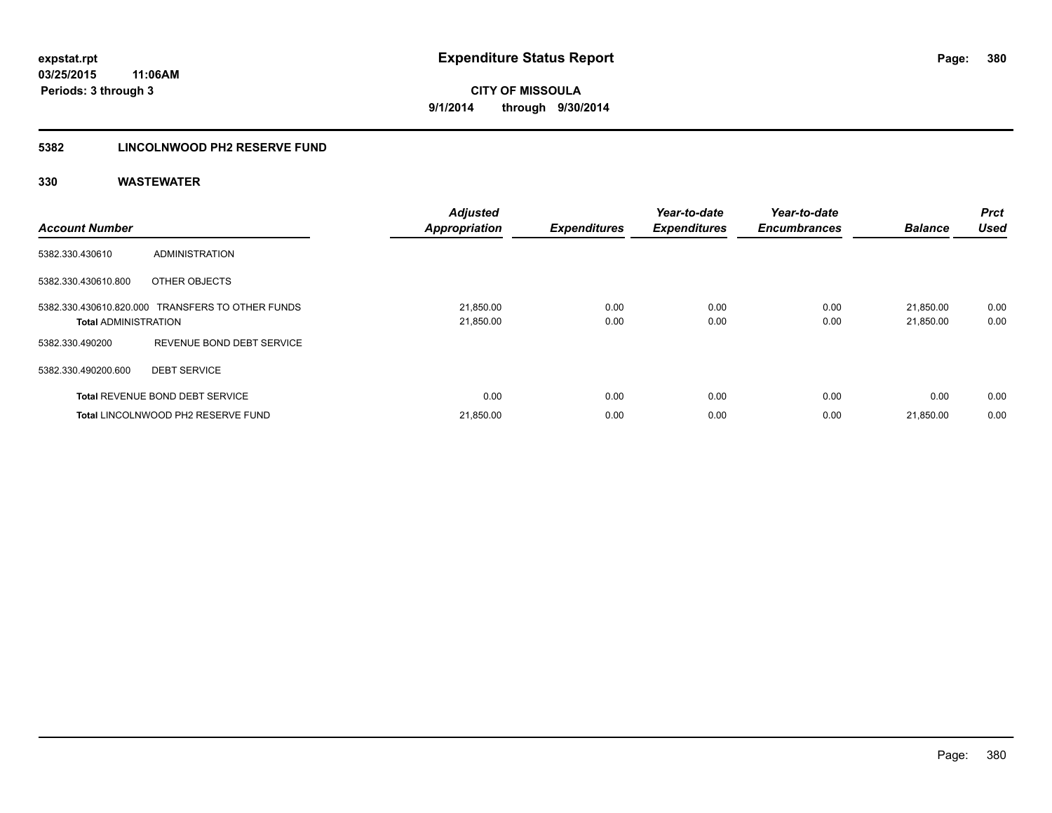# **5382 LINCOLNWOOD PH2 RESERVE FUND**

| <b>Account Number</b>       |                                                  | <b>Adjusted</b><br><b>Appropriation</b> | <b>Expenditures</b> | Year-to-date<br><b>Expenditures</b> | Year-to-date<br><b>Encumbrances</b> | <b>Balance</b>         | Prct<br><b>Used</b> |
|-----------------------------|--------------------------------------------------|-----------------------------------------|---------------------|-------------------------------------|-------------------------------------|------------------------|---------------------|
| 5382.330.430610             | ADMINISTRATION                                   |                                         |                     |                                     |                                     |                        |                     |
| 5382.330.430610.800         | OTHER OBJECTS                                    |                                         |                     |                                     |                                     |                        |                     |
| <b>Total ADMINISTRATION</b> | 5382.330.430610.820.000 TRANSFERS TO OTHER FUNDS | 21,850.00<br>21,850.00                  | 0.00<br>0.00        | 0.00<br>0.00                        | 0.00<br>0.00                        | 21,850.00<br>21,850.00 | 0.00<br>0.00        |
| 5382.330.490200             | REVENUE BOND DEBT SERVICE                        |                                         |                     |                                     |                                     |                        |                     |
| 5382.330.490200.600         | <b>DEBT SERVICE</b>                              |                                         |                     |                                     |                                     |                        |                     |
|                             | <b>Total REVENUE BOND DEBT SERVICE</b>           | 0.00                                    | 0.00                | 0.00                                | 0.00                                | 0.00                   | 0.00                |
|                             | Total LINCOLNWOOD PH2 RESERVE FUND               | 21,850.00                               | 0.00                | 0.00                                | 0.00                                | 21,850.00              | 0.00                |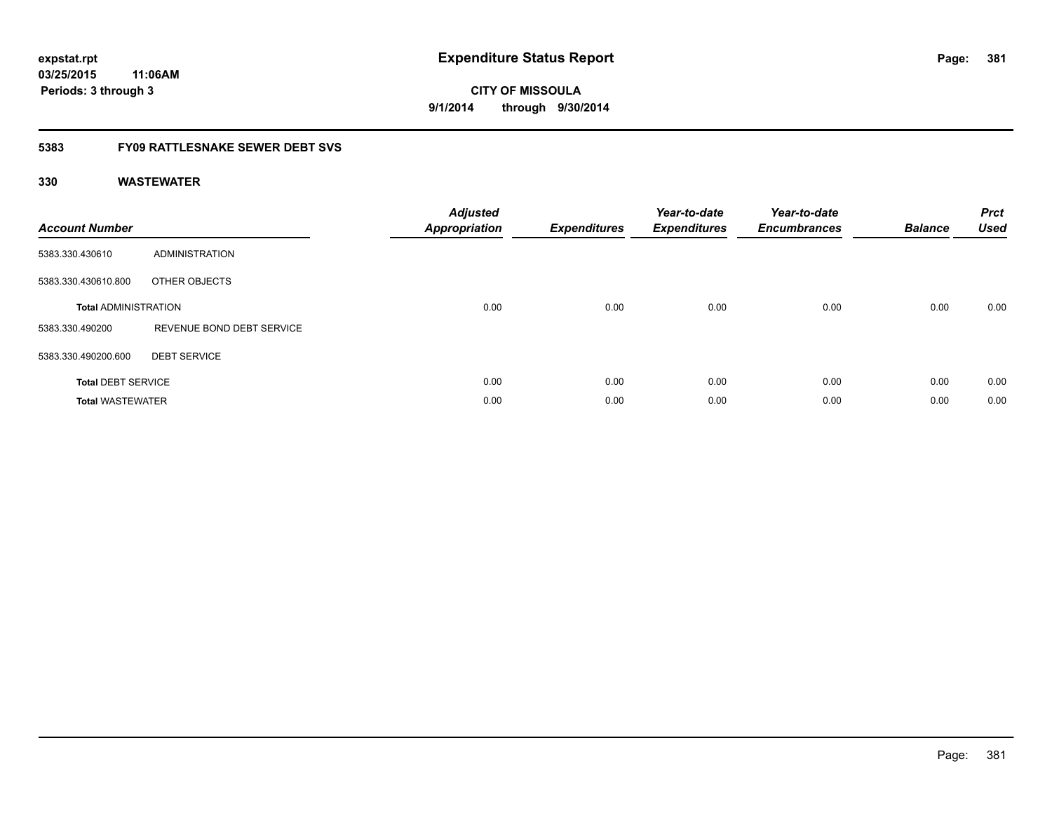# **03/25/2015 11:06AM Periods: 3 through 3**

**CITY OF MISSOULA 9/1/2014 through 9/30/2014**

# **5383 FY09 RATTLESNAKE SEWER DEBT SVS**

| <b>Account Number</b>       |                           | <b>Adjusted</b><br>Appropriation | <b>Expenditures</b> | Year-to-date<br><b>Expenditures</b> | Year-to-date<br><b>Encumbrances</b> | <b>Balance</b> | <b>Prct</b><br><b>Used</b> |
|-----------------------------|---------------------------|----------------------------------|---------------------|-------------------------------------|-------------------------------------|----------------|----------------------------|
| 5383.330.430610             | ADMINISTRATION            |                                  |                     |                                     |                                     |                |                            |
| 5383.330.430610.800         | OTHER OBJECTS             |                                  |                     |                                     |                                     |                |                            |
| <b>Total ADMINISTRATION</b> |                           | 0.00                             | 0.00                | 0.00                                | 0.00                                | 0.00           | 0.00                       |
| 5383.330.490200             | REVENUE BOND DEBT SERVICE |                                  |                     |                                     |                                     |                |                            |
| 5383.330.490200.600         | <b>DEBT SERVICE</b>       |                                  |                     |                                     |                                     |                |                            |
| <b>Total DEBT SERVICE</b>   |                           | 0.00                             | 0.00                | 0.00                                | 0.00                                | 0.00           | 0.00                       |
| <b>Total WASTEWATER</b>     |                           | 0.00                             | 0.00                | 0.00                                | 0.00                                | 0.00           | 0.00                       |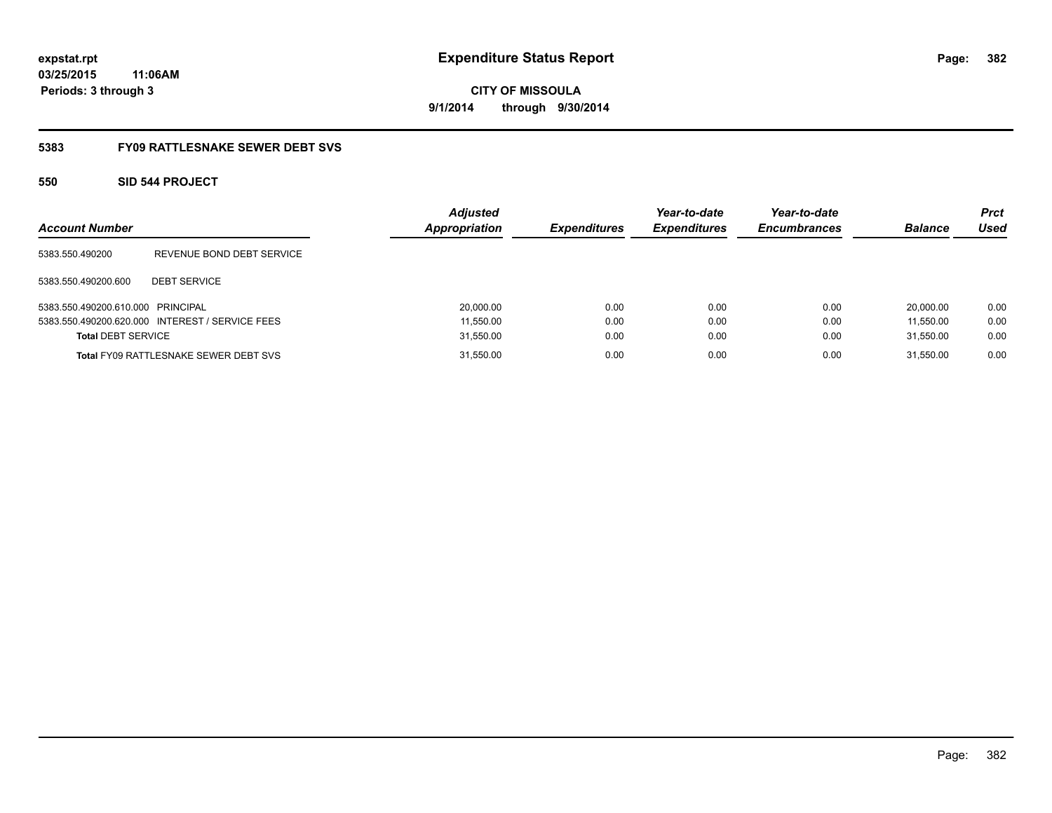**382**

**03/25/2015 11:06AM Periods: 3 through 3**

**CITY OF MISSOULA 9/1/2014 through 9/30/2014**

# **5383 FY09 RATTLESNAKE SEWER DEBT SVS**

# **550 SID 544 PROJECT**

| <b>Account Number</b>             |                                                 | <b>Adjusted</b><br>Appropriation | <b>Expenditures</b> | Year-to-date<br><b>Expenditures</b> | Year-to-date<br><b>Encumbrances</b> | <b>Balance</b> | <b>Prct</b><br>Used |
|-----------------------------------|-------------------------------------------------|----------------------------------|---------------------|-------------------------------------|-------------------------------------|----------------|---------------------|
| 5383.550.490200                   | REVENUE BOND DEBT SERVICE                       |                                  |                     |                                     |                                     |                |                     |
| 5383.550.490200.600               | <b>DEBT SERVICE</b>                             |                                  |                     |                                     |                                     |                |                     |
| 5383.550.490200.610.000 PRINCIPAL |                                                 | 20,000.00                        | 0.00                | 0.00                                | 0.00                                | 20.000.00      | 0.00                |
|                                   | 5383.550.490200.620.000 INTEREST / SERVICE FEES | 11,550.00                        | 0.00                | 0.00                                | 0.00                                | 11.550.00      | 0.00                |
| <b>Total DEBT SERVICE</b>         |                                                 | 31,550.00                        | 0.00                | 0.00                                | 0.00                                | 31.550.00      | 0.00                |
|                                   | <b>Total FY09 RATTLESNAKE SEWER DEBT SVS</b>    | 31,550.00                        | 0.00                | 0.00                                | 0.00                                | 31.550.00      | 0.00                |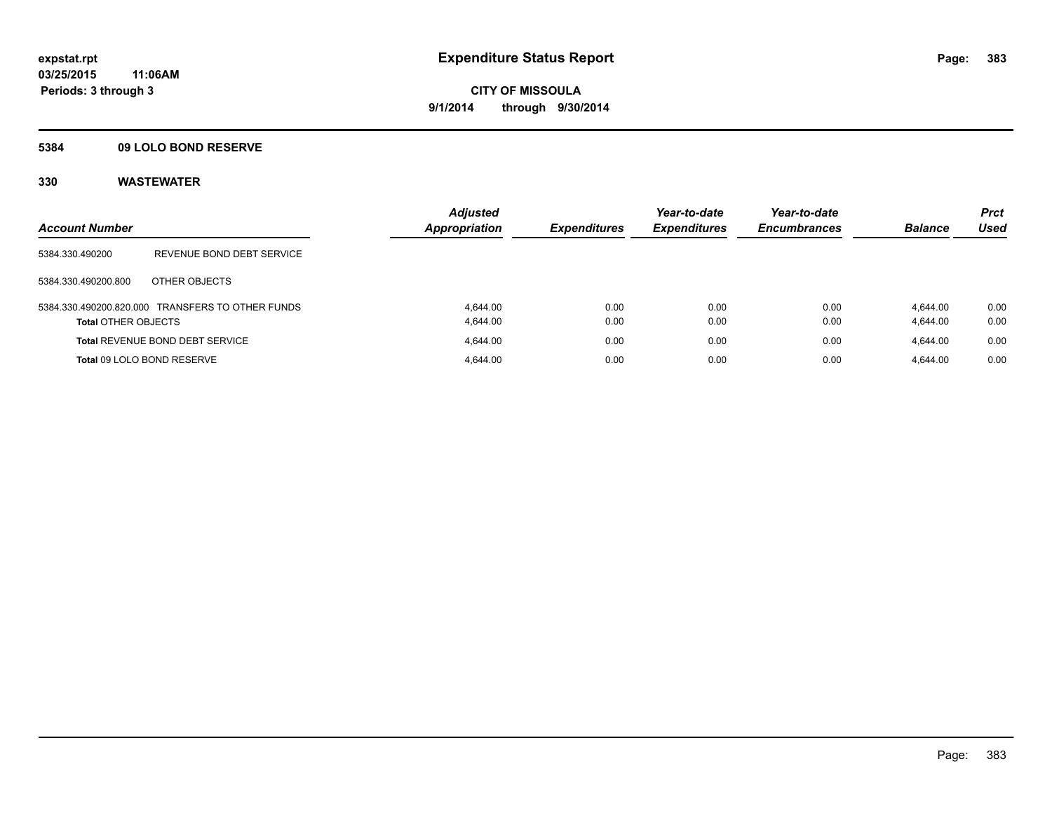# **5384 09 LOLO BOND RESERVE**

| <b>Account Number</b>      |                                                  | <b>Adjusted</b><br><b>Appropriation</b> | <b>Expenditures</b> | Year-to-date<br><b>Expenditures</b> | Year-to-date<br><b>Encumbrances</b> | <b>Balance</b>       | <b>Prct</b><br><b>Used</b> |
|----------------------------|--------------------------------------------------|-----------------------------------------|---------------------|-------------------------------------|-------------------------------------|----------------------|----------------------------|
| 5384.330.490200            | REVENUE BOND DEBT SERVICE                        |                                         |                     |                                     |                                     |                      |                            |
| 5384.330.490200.800        | OTHER OBJECTS                                    |                                         |                     |                                     |                                     |                      |                            |
| <b>Total OTHER OBJECTS</b> | 5384.330.490200.820.000 TRANSFERS TO OTHER FUNDS | 4.644.00<br>4.644.00                    | 0.00<br>0.00        | 0.00<br>0.00                        | 0.00<br>0.00                        | 4.644.00<br>4,644.00 | 0.00<br>0.00               |
|                            | <b>Total REVENUE BOND DEBT SERVICE</b>           | 4.644.00                                | 0.00                | 0.00                                | 0.00                                | 4.644.00             | 0.00                       |
|                            | Total 09 LOLO BOND RESERVE                       | 4.644.00                                | 0.00                | 0.00                                | 0.00                                | 4.644.00             | 0.00                       |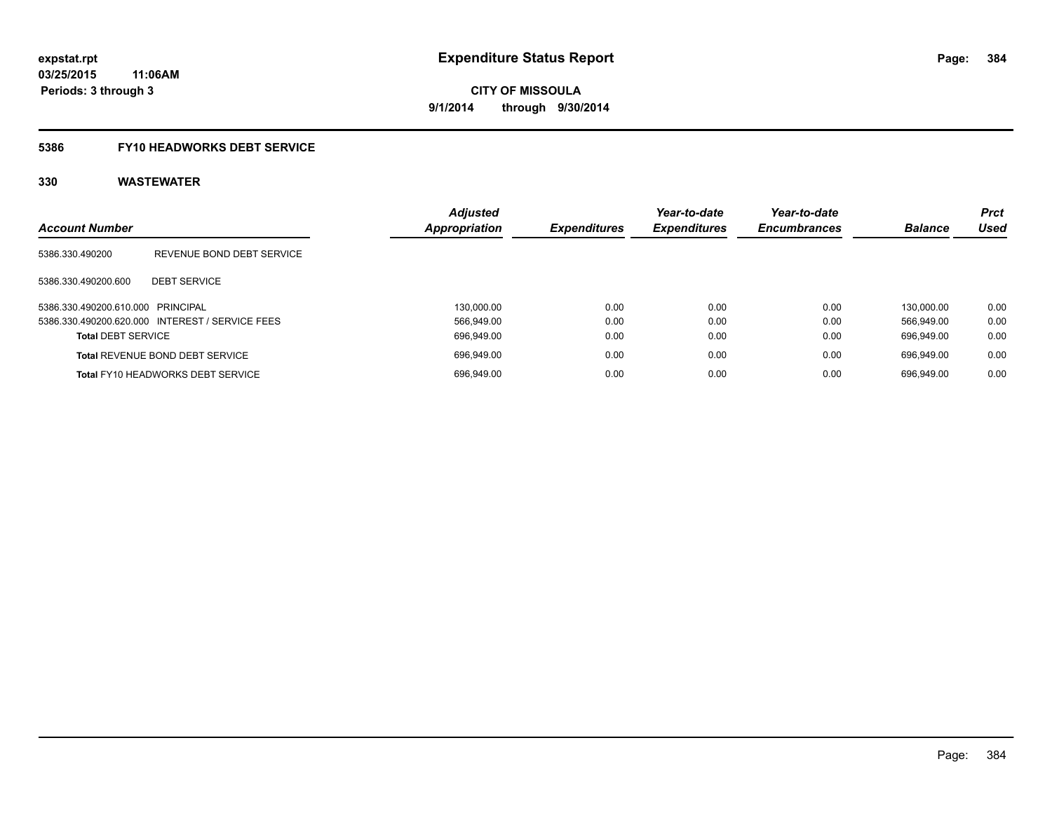# **5386 FY10 HEADWORKS DEBT SERVICE**

| <b>Account Number</b>             |                                                 | <b>Adjusted</b><br>Appropriation | <b>Expenditures</b> | Year-to-date<br><b>Expenditures</b> | Year-to-date<br><b>Encumbrances</b> | <b>Balance</b> | <b>Prct</b><br><b>Used</b> |
|-----------------------------------|-------------------------------------------------|----------------------------------|---------------------|-------------------------------------|-------------------------------------|----------------|----------------------------|
| 5386.330.490200                   | REVENUE BOND DEBT SERVICE                       |                                  |                     |                                     |                                     |                |                            |
| 5386.330.490200.600               | <b>DEBT SERVICE</b>                             |                                  |                     |                                     |                                     |                |                            |
| 5386.330.490200.610.000 PRINCIPAL |                                                 | 130.000.00                       | 0.00                | 0.00                                | 0.00                                | 130.000.00     | 0.00                       |
|                                   | 5386.330.490200.620.000 INTEREST / SERVICE FEES | 566.949.00                       | 0.00                | 0.00                                | 0.00                                | 566.949.00     | 0.00                       |
| <b>Total DEBT SERVICE</b>         |                                                 | 696.949.00                       | 0.00                | 0.00                                | 0.00                                | 696.949.00     | 0.00                       |
|                                   | <b>Total REVENUE BOND DEBT SERVICE</b>          | 696,949.00                       | 0.00                | 0.00                                | 0.00                                | 696.949.00     | 0.00                       |
|                                   | <b>Total FY10 HEADWORKS DEBT SERVICE</b>        | 696.949.00                       | 0.00                | 0.00                                | 0.00                                | 696.949.00     | 0.00                       |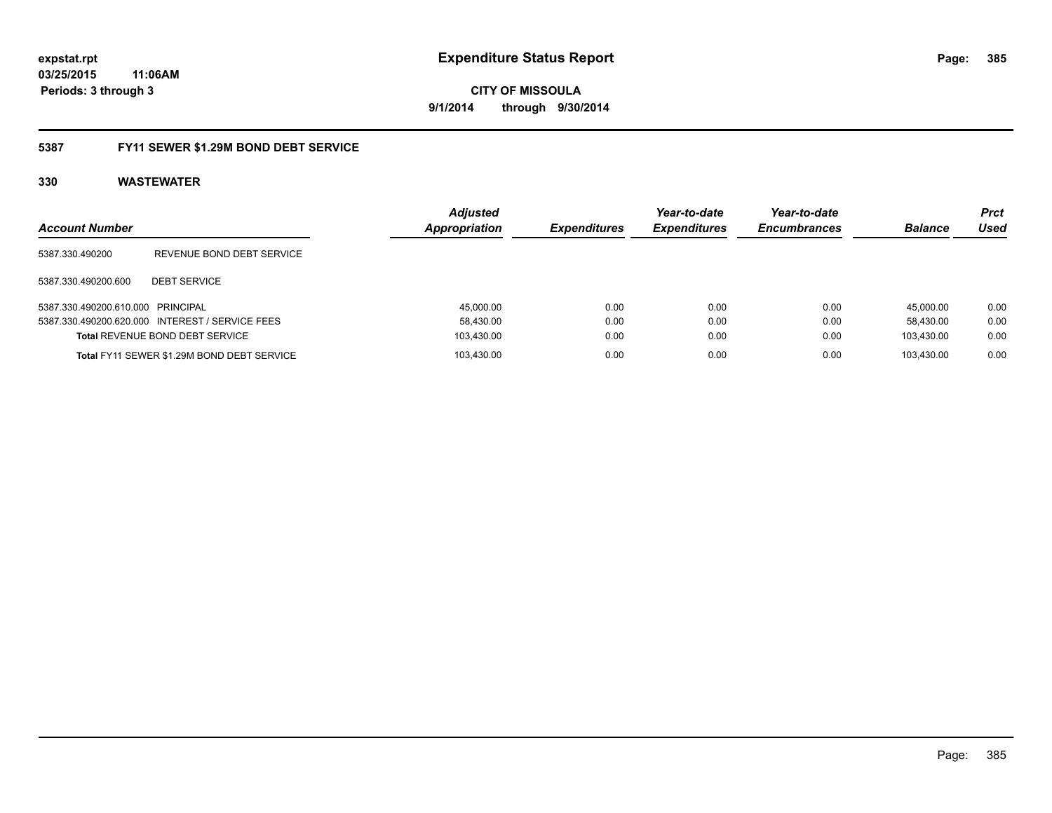# **03/25/2015 11:06AM Periods: 3 through 3**

**CITY OF MISSOULA 9/1/2014 through 9/30/2014**

# **5387 FY11 SEWER \$1.29M BOND DEBT SERVICE**

| <b>Account Number</b>             |                                                 | <b>Adiusted</b><br>Appropriation | <b>Expenditures</b> | Year-to-date<br><b>Expenditures</b> | Year-to-date<br><b>Encumbrances</b> | <b>Balance</b> | <b>Prct</b><br>Used |
|-----------------------------------|-------------------------------------------------|----------------------------------|---------------------|-------------------------------------|-------------------------------------|----------------|---------------------|
| 5387.330.490200                   | REVENUE BOND DEBT SERVICE                       |                                  |                     |                                     |                                     |                |                     |
| 5387.330.490200.600               | <b>DEBT SERVICE</b>                             |                                  |                     |                                     |                                     |                |                     |
| 5387.330.490200.610.000 PRINCIPAL |                                                 | 45,000.00                        | 0.00                | 0.00                                | 0.00                                | 45.000.00      | 0.00                |
|                                   | 5387.330.490200.620.000 INTEREST / SERVICE FEES | 58,430.00                        | 0.00                | 0.00                                | 0.00                                | 58.430.00      | 0.00                |
|                                   | <b>Total REVENUE BOND DEBT SERVICE</b>          | 103,430.00                       | 0.00                | 0.00                                | 0.00                                | 103.430.00     | 0.00                |
|                                   | Total FY11 SEWER \$1.29M BOND DEBT SERVICE      | 103.430.00                       | 0.00                | 0.00                                | 0.00                                | 103.430.00     | 0.00                |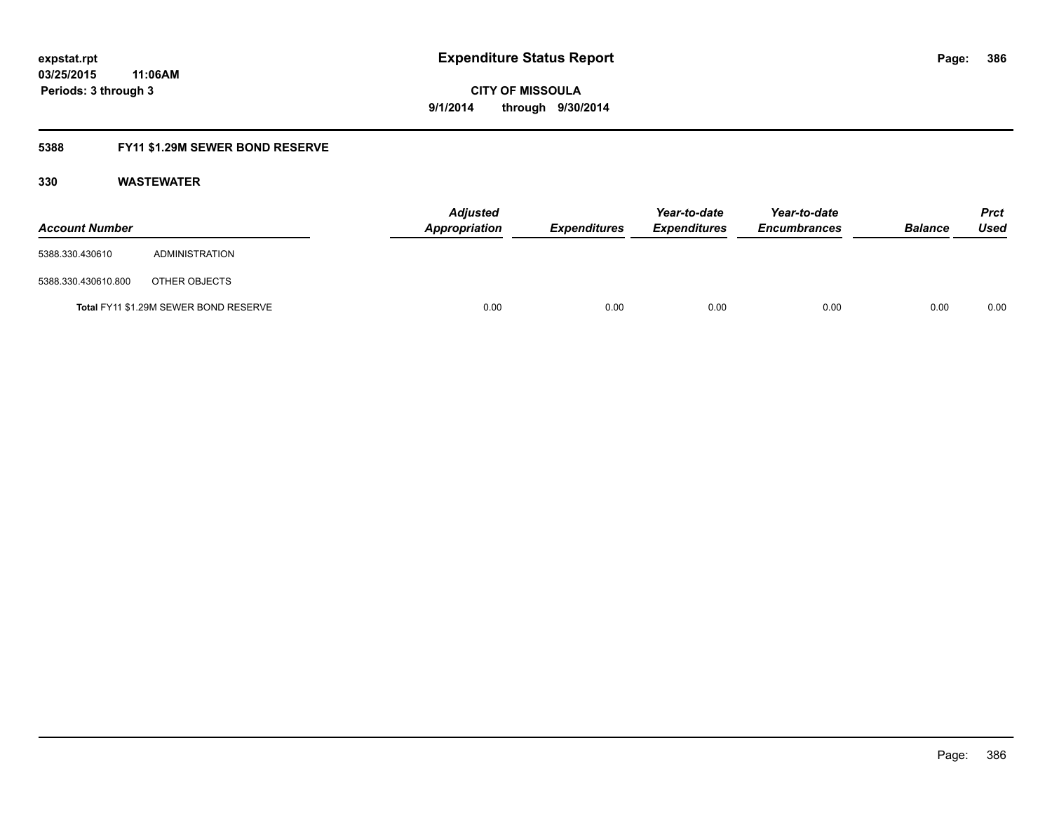# **5388 FY11 \$1.29M SEWER BOND RESERVE**

| <b>Account Number</b> |                                       | <b>Adjusted</b><br>Appropriation | <b>Expenditures</b> | Year-to-date<br><b>Expenditures</b> | Year-to-date<br><b>Encumbrances</b> | <b>Balance</b> | <b>Prct</b><br>Used |
|-----------------------|---------------------------------------|----------------------------------|---------------------|-------------------------------------|-------------------------------------|----------------|---------------------|
| 5388.330.430610       | ADMINISTRATION                        |                                  |                     |                                     |                                     |                |                     |
| 5388.330.430610.800   | OTHER OBJECTS                         |                                  |                     |                                     |                                     |                |                     |
|                       | Total FY11 \$1.29M SEWER BOND RESERVE | 0.00                             | 0.00                | 0.00                                | 0.00                                | 0.00           | 0.00                |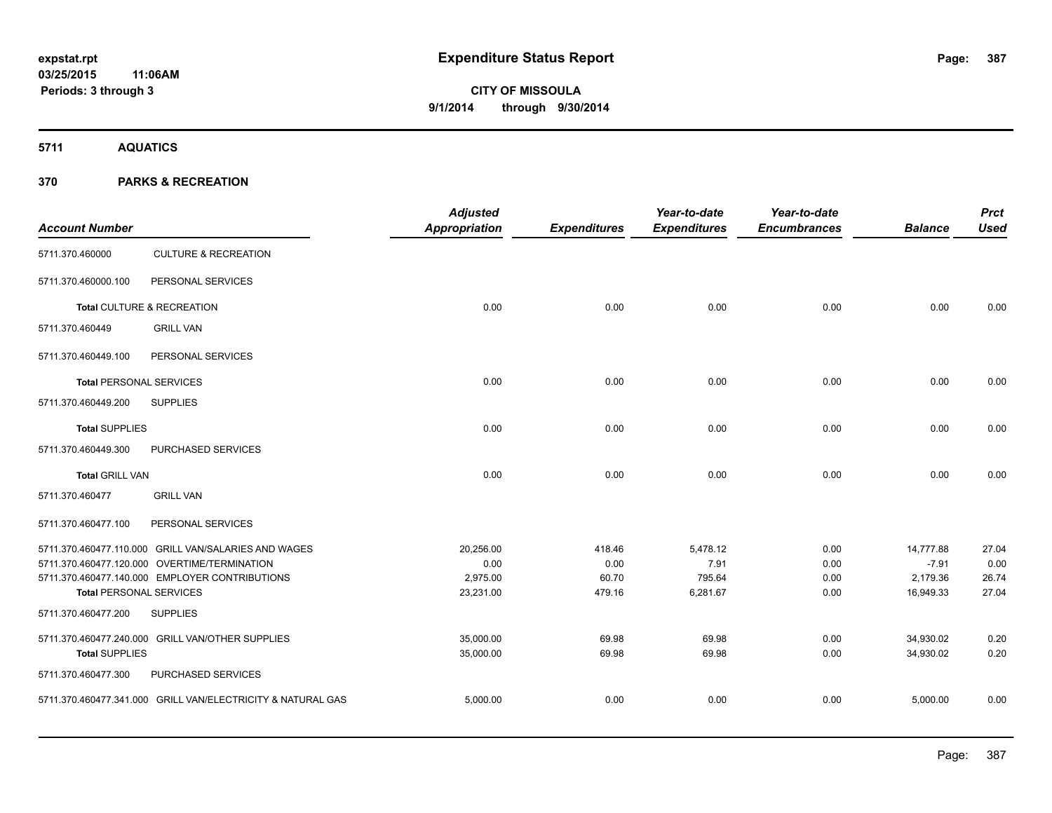**5711 AQUATICS**

| <b>Account Number</b>          |                                                             | <b>Adjusted</b><br><b>Appropriation</b> | <b>Expenditures</b> | Year-to-date<br><b>Expenditures</b> | Year-to-date<br><b>Encumbrances</b> | <b>Balance</b> | <b>Prct</b><br><b>Used</b> |
|--------------------------------|-------------------------------------------------------------|-----------------------------------------|---------------------|-------------------------------------|-------------------------------------|----------------|----------------------------|
| 5711.370.460000                | <b>CULTURE &amp; RECREATION</b>                             |                                         |                     |                                     |                                     |                |                            |
| 5711.370.460000.100            | PERSONAL SERVICES                                           |                                         |                     |                                     |                                     |                |                            |
|                                | Total CULTURE & RECREATION                                  | 0.00                                    | 0.00                | 0.00                                | 0.00                                | 0.00           | 0.00                       |
| 5711.370.460449                | <b>GRILL VAN</b>                                            |                                         |                     |                                     |                                     |                |                            |
| 5711.370.460449.100            | PERSONAL SERVICES                                           |                                         |                     |                                     |                                     |                |                            |
| <b>Total PERSONAL SERVICES</b> |                                                             | 0.00                                    | 0.00                | 0.00                                | 0.00                                | 0.00           | 0.00                       |
| 5711.370.460449.200            | <b>SUPPLIES</b>                                             |                                         |                     |                                     |                                     |                |                            |
| <b>Total SUPPLIES</b>          |                                                             | 0.00                                    | 0.00                | 0.00                                | 0.00                                | 0.00           | 0.00                       |
| 5711.370.460449.300            | PURCHASED SERVICES                                          |                                         |                     |                                     |                                     |                |                            |
| <b>Total GRILL VAN</b>         |                                                             | 0.00                                    | 0.00                | 0.00                                | 0.00                                | 0.00           | 0.00                       |
| 5711.370.460477                | <b>GRILL VAN</b>                                            |                                         |                     |                                     |                                     |                |                            |
| 5711.370.460477.100            | PERSONAL SERVICES                                           |                                         |                     |                                     |                                     |                |                            |
|                                | 5711.370.460477.110.000 GRILL VAN/SALARIES AND WAGES        | 20,256.00                               | 418.46              | 5,478.12                            | 0.00                                | 14,777.88      | 27.04                      |
|                                | 5711.370.460477.120.000 OVERTIME/TERMINATION                | 0.00                                    | 0.00                | 7.91                                | 0.00                                | $-7.91$        | 0.00                       |
|                                | 5711.370.460477.140.000 EMPLOYER CONTRIBUTIONS              | 2,975.00                                | 60.70               | 795.64                              | 0.00                                | 2,179.36       | 26.74                      |
| <b>Total PERSONAL SERVICES</b> |                                                             | 23,231.00                               | 479.16              | 6,281.67                            | 0.00                                | 16,949.33      | 27.04                      |
| 5711.370.460477.200            | <b>SUPPLIES</b>                                             |                                         |                     |                                     |                                     |                |                            |
|                                | 5711.370.460477.240.000 GRILL VAN/OTHER SUPPLIES            | 35,000.00                               | 69.98               | 69.98                               | 0.00                                | 34,930.02      | 0.20                       |
| <b>Total SUPPLIES</b>          |                                                             | 35,000.00                               | 69.98               | 69.98                               | 0.00                                | 34,930.02      | 0.20                       |
| 5711.370.460477.300            | PURCHASED SERVICES                                          |                                         |                     |                                     |                                     |                |                            |
|                                | 5711.370.460477.341.000 GRILL VAN/ELECTRICITY & NATURAL GAS | 5,000.00                                | 0.00                | 0.00                                | 0.00                                | 5,000.00       | 0.00                       |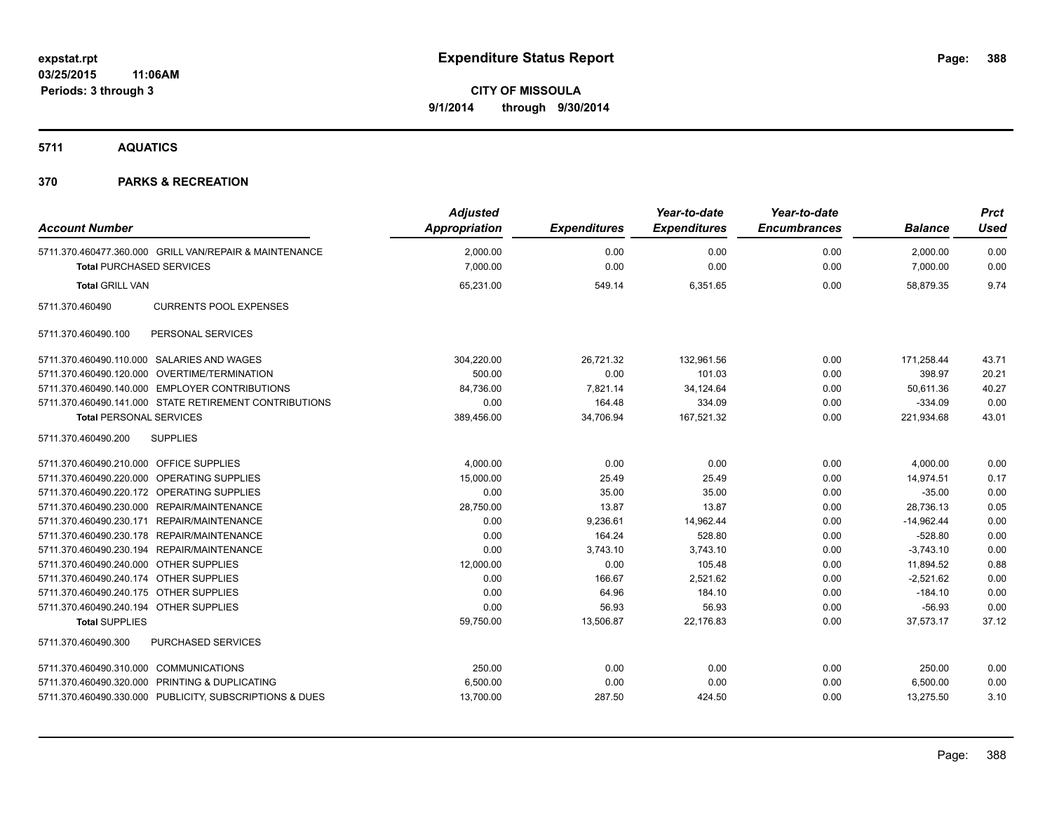**5711 AQUATICS**

| <b>Account Number</b>                   |                                                         | <b>Adjusted</b><br>Appropriation | <b>Expenditures</b> | Year-to-date<br><b>Expenditures</b> | Year-to-date<br><b>Encumbrances</b> | <b>Balance</b> | <b>Prct</b><br><b>Used</b> |
|-----------------------------------------|---------------------------------------------------------|----------------------------------|---------------------|-------------------------------------|-------------------------------------|----------------|----------------------------|
|                                         | 5711.370.460477.360.000 GRILL VAN/REPAIR & MAINTENANCE  | 2,000.00                         | 0.00                | 0.00                                | 0.00                                | 2,000.00       | 0.00                       |
| <b>Total PURCHASED SERVICES</b>         |                                                         | 7,000.00                         | 0.00                | 0.00                                | 0.00                                | 7,000.00       | 0.00                       |
| <b>Total GRILL VAN</b>                  |                                                         | 65,231.00                        | 549.14              | 6,351.65                            | 0.00                                | 58,879.35      | 9.74                       |
| 5711.370.460490                         | <b>CURRENTS POOL EXPENSES</b>                           |                                  |                     |                                     |                                     |                |                            |
| 5711.370.460490.100                     | PERSONAL SERVICES                                       |                                  |                     |                                     |                                     |                |                            |
|                                         | 5711.370.460490.110.000 SALARIES AND WAGES              | 304,220.00                       | 26,721.32           | 132,961.56                          | 0.00                                | 171,258.44     | 43.71                      |
|                                         | 5711.370.460490.120.000 OVERTIME/TERMINATION            | 500.00                           | 0.00                | 101.03                              | 0.00                                | 398.97         | 20.21                      |
|                                         | 5711.370.460490.140.000 EMPLOYER CONTRIBUTIONS          | 84,736.00                        | 7,821.14            | 34,124.64                           | 0.00                                | 50,611.36      | 40.27                      |
|                                         | 5711.370.460490.141.000 STATE RETIREMENT CONTRIBUTIONS  | 0.00                             | 164.48              | 334.09                              | 0.00                                | $-334.09$      | 0.00                       |
| <b>Total PERSONAL SERVICES</b>          |                                                         | 389,456.00                       | 34,706.94           | 167,521.32                          | 0.00                                | 221,934.68     | 43.01                      |
| 5711.370.460490.200                     | <b>SUPPLIES</b>                                         |                                  |                     |                                     |                                     |                |                            |
| 5711.370.460490.210.000 OFFICE SUPPLIES |                                                         | 4,000.00                         | 0.00                | 0.00                                | 0.00                                | 4,000.00       | 0.00                       |
|                                         | 5711.370.460490.220.000 OPERATING SUPPLIES              | 15,000.00                        | 25.49               | 25.49                               | 0.00                                | 14,974.51      | 0.17                       |
|                                         | 5711.370.460490.220.172 OPERATING SUPPLIES              | 0.00                             | 35.00               | 35.00                               | 0.00                                | $-35.00$       | 0.00                       |
|                                         | 5711.370.460490.230.000 REPAIR/MAINTENANCE              | 28,750.00                        | 13.87               | 13.87                               | 0.00                                | 28,736.13      | 0.05                       |
|                                         | 5711.370.460490.230.171 REPAIR/MAINTENANCE              | 0.00                             | 9,236.61            | 14,962.44                           | 0.00                                | $-14,962.44$   | 0.00                       |
|                                         | 5711.370.460490.230.178 REPAIR/MAINTENANCE              | 0.00                             | 164.24              | 528.80                              | 0.00                                | $-528.80$      | 0.00                       |
|                                         | 5711.370.460490.230.194 REPAIR/MAINTENANCE              | 0.00                             | 3,743.10            | 3,743.10                            | 0.00                                | $-3,743.10$    | 0.00                       |
| 5711.370.460490.240.000 OTHER SUPPLIES  |                                                         | 12,000.00                        | 0.00                | 105.48                              | 0.00                                | 11,894.52      | 0.88                       |
| 5711.370.460490.240.174 OTHER SUPPLIES  |                                                         | 0.00                             | 166.67              | 2,521.62                            | 0.00                                | $-2,521.62$    | 0.00                       |
| 5711.370.460490.240.175 OTHER SUPPLIES  |                                                         | 0.00                             | 64.96               | 184.10                              | 0.00                                | $-184.10$      | 0.00                       |
| 5711.370.460490.240.194 OTHER SUPPLIES  |                                                         | 0.00                             | 56.93               | 56.93                               | 0.00                                | $-56.93$       | 0.00                       |
| <b>Total SUPPLIES</b>                   |                                                         | 59,750.00                        | 13,506.87           | 22,176.83                           | 0.00                                | 37,573.17      | 37.12                      |
| 5711.370.460490.300                     | <b>PURCHASED SERVICES</b>                               |                                  |                     |                                     |                                     |                |                            |
| 5711.370.460490.310.000 COMMUNICATIONS  |                                                         | 250.00                           | 0.00                | 0.00                                | 0.00                                | 250.00         | 0.00                       |
|                                         | 5711.370.460490.320.000 PRINTING & DUPLICATING          | 6,500.00                         | 0.00                | 0.00                                | 0.00                                | 6,500.00       | 0.00                       |
|                                         | 5711.370.460490.330.000 PUBLICITY, SUBSCRIPTIONS & DUES | 13,700.00                        | 287.50              | 424.50                              | 0.00                                | 13,275.50      | 3.10                       |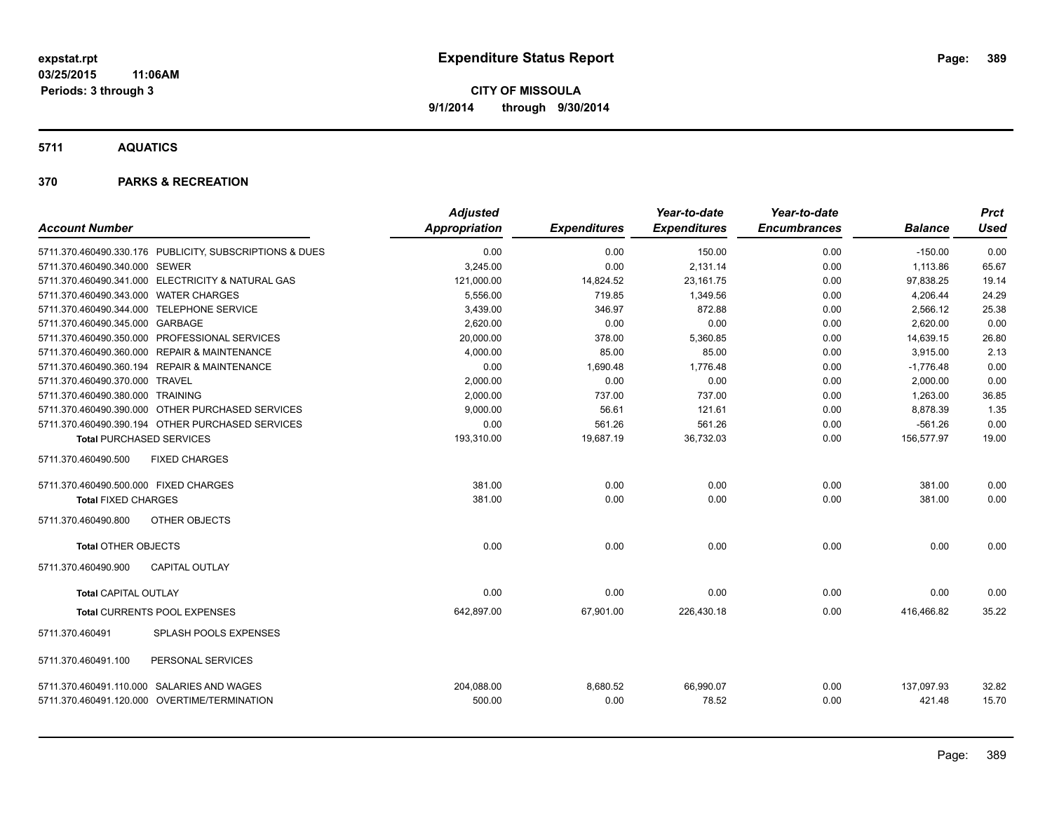**5711 AQUATICS**

| <b>Account Number</b>                 |                                                                                            | <b>Adjusted</b><br><b>Appropriation</b> | <b>Expenditures</b> | Year-to-date<br><b>Expenditures</b> | Year-to-date<br><b>Encumbrances</b> | <b>Balance</b>       | <b>Prct</b><br><b>Used</b> |
|---------------------------------------|--------------------------------------------------------------------------------------------|-----------------------------------------|---------------------|-------------------------------------|-------------------------------------|----------------------|----------------------------|
|                                       | 5711.370.460490.330.176 PUBLICITY, SUBSCRIPTIONS & DUES                                    | 0.00                                    | 0.00                | 150.00                              | 0.00                                | $-150.00$            | 0.00                       |
| 5711.370.460490.340.000 SEWER         |                                                                                            | 3,245.00                                | 0.00                | 2,131.14                            | 0.00                                | 1,113.86             | 65.67                      |
|                                       | 5711.370.460490.341.000 ELECTRICITY & NATURAL GAS                                          | 121,000.00                              | 14,824.52           | 23,161.75                           | 0.00                                | 97,838.25            | 19.14                      |
| 5711.370.460490.343.000 WATER CHARGES |                                                                                            | 5,556.00                                | 719.85              | 1,349.56                            | 0.00                                | 4,206.44             | 24.29                      |
|                                       | 5711.370.460490.344.000 TELEPHONE SERVICE                                                  | 3,439.00                                | 346.97              | 872.88                              | 0.00                                | 2,566.12             | 25.38                      |
| 5711.370.460490.345.000 GARBAGE       |                                                                                            | 2.620.00                                | 0.00                | 0.00                                | 0.00                                | 2,620.00             | 0.00                       |
|                                       | 5711.370.460490.350.000 PROFESSIONAL SERVICES                                              | 20,000.00                               | 378.00              | 5,360.85                            | 0.00                                | 14,639.15            | 26.80                      |
|                                       | 5711.370.460490.360.000 REPAIR & MAINTENANCE                                               | 4,000.00                                | 85.00               | 85.00                               | 0.00                                | 3,915.00             | 2.13                       |
|                                       | 5711.370.460490.360.194 REPAIR & MAINTENANCE                                               | 0.00                                    | 1,690.48            | 1,776.48                            | 0.00                                | $-1,776.48$          | 0.00                       |
| 5711.370.460490.370.000 TRAVEL        |                                                                                            | 2,000.00                                | 0.00                | 0.00                                | 0.00                                | 2,000.00             | 0.00                       |
| 5711.370.460490.380.000 TRAINING      |                                                                                            | 2,000.00                                | 737.00              | 737.00                              | 0.00                                | 1,263.00             | 36.85                      |
|                                       | 5711.370.460490.390.000 OTHER PURCHASED SERVICES                                           | 9,000.00                                | 56.61               | 121.61                              | 0.00                                | 8,878.39             | 1.35                       |
|                                       | 5711.370.460490.390.194 OTHER PURCHASED SERVICES                                           | 0.00                                    | 561.26              | 561.26                              | 0.00                                | $-561.26$            | 0.00                       |
| <b>Total PURCHASED SERVICES</b>       |                                                                                            | 193,310.00                              | 19,687.19           | 36,732.03                           | 0.00                                | 156,577.97           | 19.00                      |
| 5711.370.460490.500                   | <b>FIXED CHARGES</b>                                                                       |                                         |                     |                                     |                                     |                      |                            |
| 5711.370.460490.500.000 FIXED CHARGES |                                                                                            | 381.00                                  | 0.00                | 0.00                                | 0.00                                | 381.00               | 0.00                       |
| <b>Total FIXED CHARGES</b>            |                                                                                            | 381.00                                  | 0.00                | 0.00                                | 0.00                                | 381.00               | 0.00                       |
| 5711.370.460490.800                   | <b>OTHER OBJECTS</b>                                                                       |                                         |                     |                                     |                                     |                      |                            |
| <b>Total OTHER OBJECTS</b>            |                                                                                            | 0.00                                    | 0.00                | 0.00                                | 0.00                                | 0.00                 | 0.00                       |
| 5711.370.460490.900                   | <b>CAPITAL OUTLAY</b>                                                                      |                                         |                     |                                     |                                     |                      |                            |
| <b>Total CAPITAL OUTLAY</b>           |                                                                                            | 0.00                                    | 0.00                | 0.00                                | 0.00                                | 0.00                 | 0.00                       |
|                                       | Total CURRENTS POOL EXPENSES                                                               | 642,897.00                              | 67,901.00           | 226,430.18                          | 0.00                                | 416,466.82           | 35.22                      |
| 5711.370.460491                       | SPLASH POOLS EXPENSES                                                                      |                                         |                     |                                     |                                     |                      |                            |
| 5711.370.460491.100                   | PERSONAL SERVICES                                                                          |                                         |                     |                                     |                                     |                      |                            |
|                                       | 5711.370.460491.110.000 SALARIES AND WAGES<br>5711.370.460491.120.000 OVERTIME/TERMINATION | 204,088.00<br>500.00                    | 8,680.52<br>0.00    | 66,990.07<br>78.52                  | 0.00<br>0.00                        | 137,097.93<br>421.48 | 32.82<br>15.70             |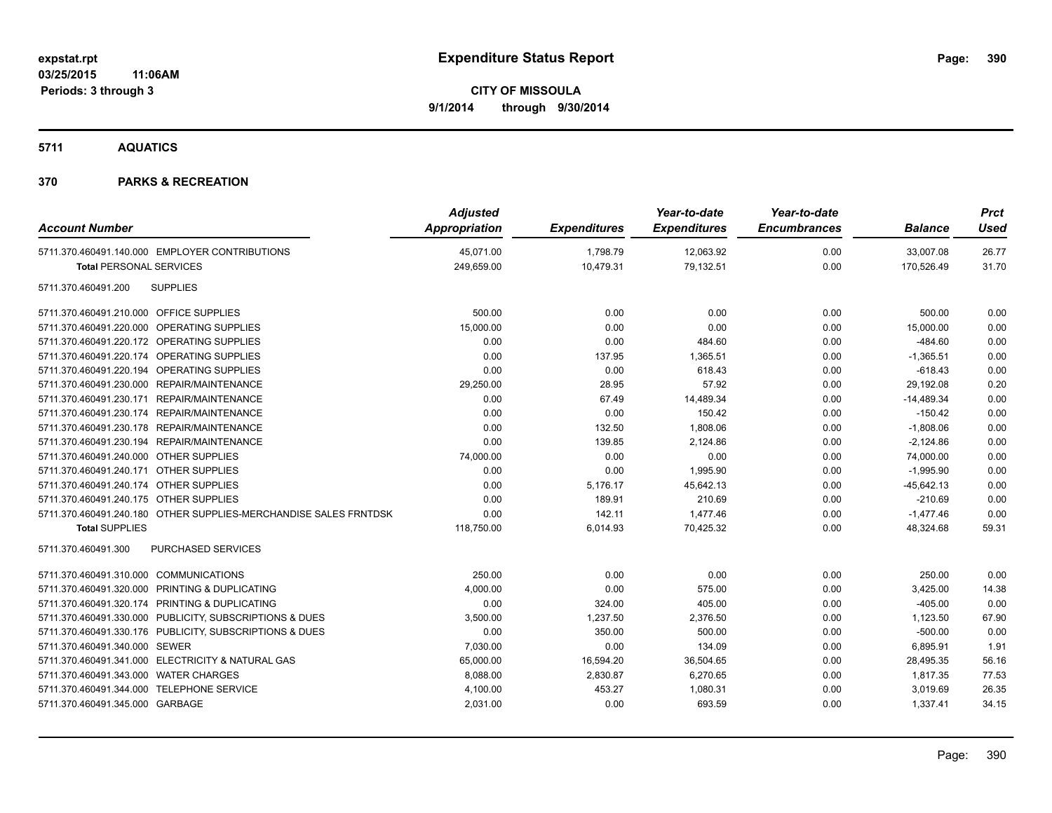**5711 AQUATICS**

| <b>Account Number</b>                                            | <b>Adjusted</b><br>Appropriation | <b>Expenditures</b> | Year-to-date<br><b>Expenditures</b> | Year-to-date<br><b>Encumbrances</b> | <b>Balance</b> | <b>Prct</b><br><b>Used</b> |
|------------------------------------------------------------------|----------------------------------|---------------------|-------------------------------------|-------------------------------------|----------------|----------------------------|
| 5711.370.460491.140.000 EMPLOYER CONTRIBUTIONS                   | 45,071.00                        | 1,798.79            | 12,063.92                           | 0.00                                | 33,007.08      | 26.77                      |
| <b>Total PERSONAL SERVICES</b>                                   | 249,659.00                       | 10,479.31           | 79,132.51                           | 0.00                                | 170,526.49     | 31.70                      |
| <b>SUPPLIES</b><br>5711.370.460491.200                           |                                  |                     |                                     |                                     |                |                            |
| 5711.370.460491.210.000 OFFICE SUPPLIES                          | 500.00                           | 0.00                | 0.00                                | 0.00                                | 500.00         | 0.00                       |
| 5711.370.460491.220.000 OPERATING SUPPLIES                       | 15,000.00                        | 0.00                | 0.00                                | 0.00                                | 15,000.00      | 0.00                       |
| 5711.370.460491.220.172 OPERATING SUPPLIES                       | 0.00                             | 0.00                | 484.60                              | 0.00                                | $-484.60$      | 0.00                       |
| 5711.370.460491.220.174 OPERATING SUPPLIES                       | 0.00                             | 137.95              | 1,365.51                            | 0.00                                | $-1,365.51$    | 0.00                       |
| 5711.370.460491.220.194 OPERATING SUPPLIES                       | 0.00                             | 0.00                | 618.43                              | 0.00                                | $-618.43$      | 0.00                       |
| 5711.370.460491.230.000 REPAIR/MAINTENANCE                       | 29,250.00                        | 28.95               | 57.92                               | 0.00                                | 29,192.08      | 0.20                       |
| 5711.370.460491.230.171 REPAIR/MAINTENANCE                       | 0.00                             | 67.49               | 14,489.34                           | 0.00                                | $-14,489.34$   | 0.00                       |
| 5711.370.460491.230.174 REPAIR/MAINTENANCE                       | 0.00                             | 0.00                | 150.42                              | 0.00                                | $-150.42$      | 0.00                       |
| 5711.370.460491.230.178 REPAIR/MAINTENANCE                       | 0.00                             | 132.50              | 1,808.06                            | 0.00                                | $-1,808.06$    | 0.00                       |
| 5711.370.460491.230.194 REPAIR/MAINTENANCE                       | 0.00                             | 139.85              | 2,124.86                            | 0.00                                | $-2,124.86$    | 0.00                       |
| 5711.370.460491.240.000 OTHER SUPPLIES                           | 74,000.00                        | 0.00                | 0.00                                | 0.00                                | 74,000.00      | 0.00                       |
| 5711.370.460491.240.171 OTHER SUPPLIES                           | 0.00                             | 0.00                | 1,995.90                            | 0.00                                | $-1,995.90$    | 0.00                       |
| 5711.370.460491.240.174 OTHER SUPPLIES                           | 0.00                             | 5,176.17            | 45,642.13                           | 0.00                                | $-45,642.13$   | 0.00                       |
| 5711.370.460491.240.175 OTHER SUPPLIES                           | 0.00                             | 189.91              | 210.69                              | 0.00                                | $-210.69$      | 0.00                       |
| 5711.370.460491.240.180 OTHER SUPPLIES-MERCHANDISE SALES FRNTDSK | 0.00                             | 142.11              | 1,477.46                            | 0.00                                | $-1,477.46$    | 0.00                       |
| <b>Total SUPPLIES</b>                                            | 118,750.00                       | 6,014.93            | 70,425.32                           | 0.00                                | 48,324.68      | 59.31                      |
| PURCHASED SERVICES<br>5711.370.460491.300                        |                                  |                     |                                     |                                     |                |                            |
| 5711.370.460491.310.000 COMMUNICATIONS                           | 250.00                           | 0.00                | 0.00                                | 0.00                                | 250.00         | 0.00                       |
| 5711.370.460491.320.000 PRINTING & DUPLICATING                   | 4,000.00                         | 0.00                | 575.00                              | 0.00                                | 3,425.00       | 14.38                      |
| 5711.370.460491.320.174 PRINTING & DUPLICATING                   | 0.00                             | 324.00              | 405.00                              | 0.00                                | $-405.00$      | 0.00                       |
| 5711.370.460491.330.000 PUBLICITY, SUBSCRIPTIONS & DUES          | 3,500.00                         | 1,237.50            | 2,376.50                            | 0.00                                | 1,123.50       | 67.90                      |
| 5711.370.460491.330.176 PUBLICITY, SUBSCRIPTIONS & DUES          | 0.00                             | 350.00              | 500.00                              | 0.00                                | $-500.00$      | 0.00                       |
| 5711.370.460491.340.000 SEWER                                    | 7,030.00                         | 0.00                | 134.09                              | 0.00                                | 6,895.91       | 1.91                       |
| 5711.370.460491.341.000 ELECTRICITY & NATURAL GAS                | 65,000.00                        | 16,594.20           | 36,504.65                           | 0.00                                | 28,495.35      | 56.16                      |
| 5711.370.460491.343.000 WATER CHARGES                            | 8,088.00                         | 2,830.87            | 6,270.65                            | 0.00                                | 1,817.35       | 77.53                      |
| 5711.370.460491.344.000 TELEPHONE SERVICE                        | 4,100.00                         | 453.27              | 1,080.31                            | 0.00                                | 3,019.69       | 26.35                      |
| 5711.370.460491.345.000 GARBAGE                                  | 2,031.00                         | 0.00                | 693.59                              | 0.00                                | 1,337.41       | 34.15                      |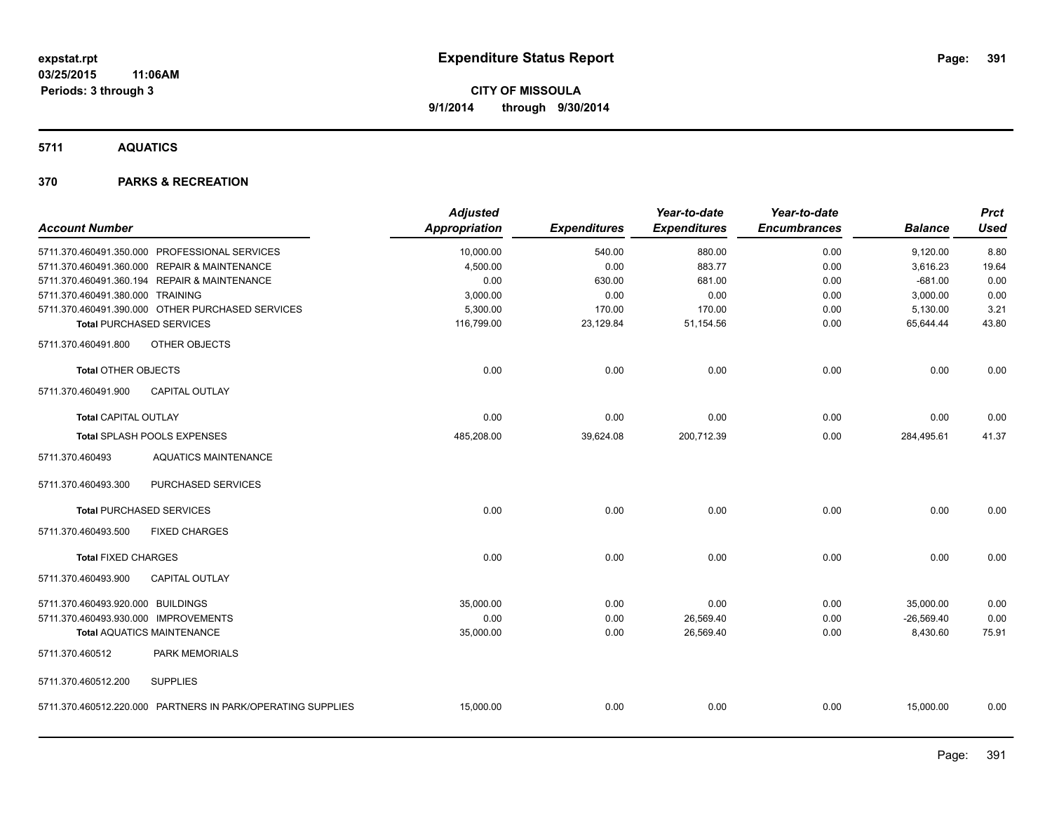**5711 AQUATICS**

|                                                             | <b>Adjusted</b>      |                     | Year-to-date        | Year-to-date        |                | <b>Prct</b> |
|-------------------------------------------------------------|----------------------|---------------------|---------------------|---------------------|----------------|-------------|
| <b>Account Number</b>                                       | <b>Appropriation</b> | <b>Expenditures</b> | <b>Expenditures</b> | <b>Encumbrances</b> | <b>Balance</b> | <b>Used</b> |
| 5711.370.460491.350.000 PROFESSIONAL SERVICES               | 10,000.00            | 540.00              | 880.00              | 0.00                | 9,120.00       | 8.80        |
| 5711.370.460491.360.000 REPAIR & MAINTENANCE                | 4,500.00             | 0.00                | 883.77              | 0.00                | 3,616.23       | 19.64       |
| 5711.370.460491.360.194 REPAIR & MAINTENANCE                | 0.00                 | 630.00              | 681.00              | 0.00                | $-681.00$      | 0.00        |
| 5711.370.460491.380.000 TRAINING                            | 3,000.00             | 0.00                | 0.00                | 0.00                | 3,000.00       | 0.00        |
| 5711.370.460491.390.000 OTHER PURCHASED SERVICES            | 5,300.00             | 170.00              | 170.00              | 0.00                | 5,130.00       | 3.21        |
| <b>Total PURCHASED SERVICES</b>                             | 116,799.00           | 23,129.84           | 51,154.56           | 0.00                | 65,644.44      | 43.80       |
| OTHER OBJECTS<br>5711.370.460491.800                        |                      |                     |                     |                     |                |             |
| <b>Total OTHER OBJECTS</b>                                  | 0.00                 | 0.00                | 0.00                | 0.00                | 0.00           | 0.00        |
| CAPITAL OUTLAY<br>5711.370.460491.900                       |                      |                     |                     |                     |                |             |
| <b>Total CAPITAL OUTLAY</b>                                 | 0.00                 | 0.00                | 0.00                | 0.00                | 0.00           | 0.00        |
| Total SPLASH POOLS EXPENSES                                 | 485,208.00           | 39,624.08           | 200,712.39          | 0.00                | 284,495.61     | 41.37       |
| 5711.370.460493<br><b>AQUATICS MAINTENANCE</b>              |                      |                     |                     |                     |                |             |
| PURCHASED SERVICES<br>5711.370.460493.300                   |                      |                     |                     |                     |                |             |
| <b>Total PURCHASED SERVICES</b>                             | 0.00                 | 0.00                | 0.00                | 0.00                | 0.00           | 0.00        |
| <b>FIXED CHARGES</b><br>5711.370.460493.500                 |                      |                     |                     |                     |                |             |
| <b>Total FIXED CHARGES</b>                                  | 0.00                 | 0.00                | 0.00                | 0.00                | 0.00           | 0.00        |
| <b>CAPITAL OUTLAY</b><br>5711.370.460493.900                |                      |                     |                     |                     |                |             |
| 5711.370.460493.920.000 BUILDINGS                           | 35,000.00            | 0.00                | 0.00                | 0.00                | 35,000.00      | 0.00        |
| 5711.370.460493.930.000 IMPROVEMENTS                        | 0.00                 | 0.00                | 26,569.40           | 0.00                | $-26.569.40$   | 0.00        |
| <b>Total AQUATICS MAINTENANCE</b>                           | 35,000.00            | 0.00                | 26,569.40           | 0.00                | 8,430.60       | 75.91       |
| 5711.370.460512<br>PARK MEMORIALS                           |                      |                     |                     |                     |                |             |
| 5711.370.460512.200<br><b>SUPPLIES</b>                      |                      |                     |                     |                     |                |             |
| 5711.370.460512.220.000 PARTNERS IN PARK/OPERATING SUPPLIES | 15,000.00            | 0.00                | 0.00                | 0.00                | 15,000.00      | 0.00        |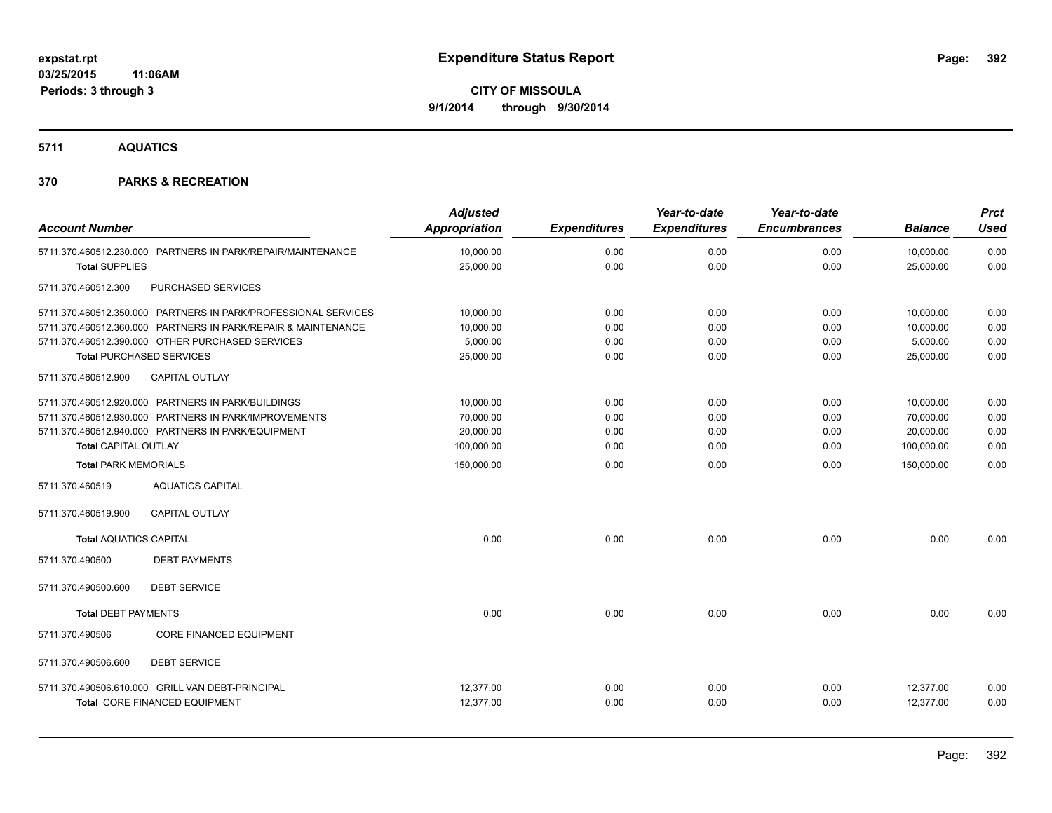**5711 AQUATICS**

| <b>Account Number</b>         |                                                                                                                                                                   | <b>Adjusted</b><br><b>Appropriation</b>           | <b>Expenditures</b>          | Year-to-date<br><b>Expenditures</b> | Year-to-date<br><b>Encumbrances</b> | <b>Balance</b>                                    | <b>Prct</b><br><b>Used</b>   |
|-------------------------------|-------------------------------------------------------------------------------------------------------------------------------------------------------------------|---------------------------------------------------|------------------------------|-------------------------------------|-------------------------------------|---------------------------------------------------|------------------------------|
| <b>Total SUPPLIES</b>         | 5711.370.460512.230.000 PARTNERS IN PARK/REPAIR/MAINTENANCE                                                                                                       | 10,000.00<br>25,000.00                            | 0.00<br>0.00                 | 0.00<br>0.00                        | 0.00<br>0.00                        | 10,000.00<br>25,000.00                            | 0.00<br>0.00                 |
| 5711.370.460512.300           | PURCHASED SERVICES                                                                                                                                                |                                                   |                              |                                     |                                     |                                                   |                              |
|                               | 5711.370.460512.350.000 PARTNERS IN PARK/PROFESSIONAL SERVICES                                                                                                    | 10,000.00                                         | 0.00                         | 0.00                                | 0.00                                | 10,000.00                                         | 0.00                         |
|                               | 5711.370.460512.360.000 PARTNERS IN PARK/REPAIR & MAINTENANCE<br>5711.370.460512.390.000 OTHER PURCHASED SERVICES<br><b>Total PURCHASED SERVICES</b>              | 10,000.00<br>5,000.00<br>25,000.00                | 0.00<br>0.00<br>0.00         | 0.00<br>0.00<br>0.00                | 0.00<br>0.00<br>0.00                | 10,000.00<br>5,000.00<br>25,000.00                | 0.00<br>0.00<br>0.00         |
| 5711.370.460512.900           | <b>CAPITAL OUTLAY</b>                                                                                                                                             |                                                   |                              |                                     |                                     |                                                   |                              |
| <b>Total CAPITAL OUTLAY</b>   | 5711.370.460512.920.000 PARTNERS IN PARK/BUILDINGS<br>5711.370.460512.930.000 PARTNERS IN PARK/IMPROVEMENTS<br>5711.370.460512.940.000 PARTNERS IN PARK/EQUIPMENT | 10,000.00<br>70,000.00<br>20,000.00<br>100,000.00 | 0.00<br>0.00<br>0.00<br>0.00 | 0.00<br>0.00<br>0.00<br>0.00        | 0.00<br>0.00<br>0.00<br>0.00        | 10,000.00<br>70,000.00<br>20,000.00<br>100,000.00 | 0.00<br>0.00<br>0.00<br>0.00 |
| <b>Total PARK MEMORIALS</b>   |                                                                                                                                                                   | 150,000.00                                        | 0.00                         | 0.00                                | 0.00                                | 150,000.00                                        | 0.00                         |
| 5711.370.460519               | <b>AQUATICS CAPITAL</b>                                                                                                                                           |                                                   |                              |                                     |                                     |                                                   |                              |
| 5711.370.460519.900           | <b>CAPITAL OUTLAY</b>                                                                                                                                             |                                                   |                              |                                     |                                     |                                                   |                              |
| <b>Total AQUATICS CAPITAL</b> |                                                                                                                                                                   | 0.00                                              | 0.00                         | 0.00                                | 0.00                                | 0.00                                              | 0.00                         |
| 5711.370.490500               | <b>DEBT PAYMENTS</b>                                                                                                                                              |                                                   |                              |                                     |                                     |                                                   |                              |
| 5711.370.490500.600           | <b>DEBT SERVICE</b>                                                                                                                                               |                                                   |                              |                                     |                                     |                                                   |                              |
| <b>Total DEBT PAYMENTS</b>    |                                                                                                                                                                   | 0.00                                              | 0.00                         | 0.00                                | 0.00                                | 0.00                                              | 0.00                         |
| 5711.370.490506               | <b>CORE FINANCED EQUIPMENT</b>                                                                                                                                    |                                                   |                              |                                     |                                     |                                                   |                              |
| 5711.370.490506.600           | <b>DEBT SERVICE</b>                                                                                                                                               |                                                   |                              |                                     |                                     |                                                   |                              |
|                               | 5711.370.490506.610.000 GRILL VAN DEBT-PRINCIPAL<br><b>Total CORE FINANCED EQUIPMENT</b>                                                                          | 12,377.00<br>12,377.00                            | 0.00<br>0.00                 | 0.00<br>0.00                        | 0.00<br>0.00                        | 12,377.00<br>12,377.00                            | 0.00<br>0.00                 |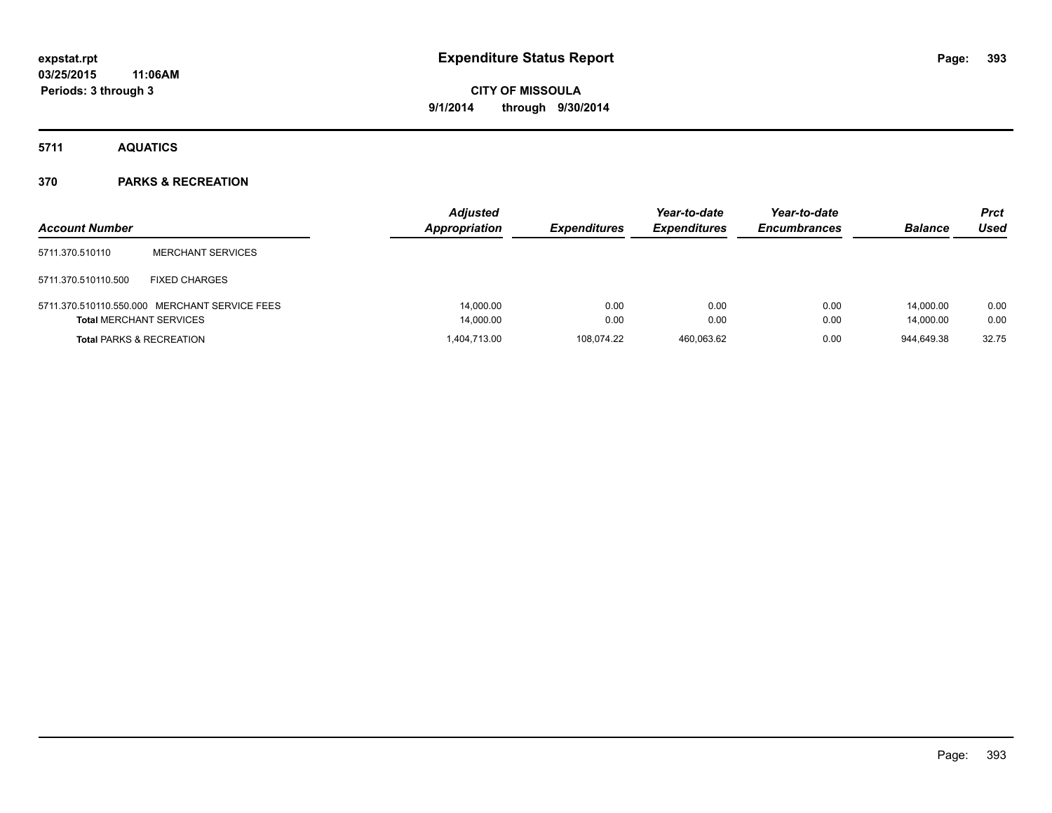**5711 AQUATICS**

| <b>Account Number</b>               |                                               | <b>Adjusted</b><br><b>Appropriation</b> | <b>Expenditures</b> | Year-to-date<br><b>Expenditures</b> | Year-to-date<br><b>Encumbrances</b> | <b>Balance</b>         | <b>Prct</b><br>Used |
|-------------------------------------|-----------------------------------------------|-----------------------------------------|---------------------|-------------------------------------|-------------------------------------|------------------------|---------------------|
| 5711.370.510110                     | <b>MERCHANT SERVICES</b>                      |                                         |                     |                                     |                                     |                        |                     |
| 5711.370.510110.500                 | <b>FIXED CHARGES</b>                          |                                         |                     |                                     |                                     |                        |                     |
| <b>Total MERCHANT SERVICES</b>      | 5711.370.510110.550.000 MERCHANT SERVICE FEES | 14,000.00<br>14,000.00                  | 0.00<br>0.00        | 0.00<br>0.00                        | 0.00<br>0.00                        | 14.000.00<br>14,000.00 | 0.00<br>0.00        |
| <b>Total PARKS &amp; RECREATION</b> |                                               | 1.404.713.00                            | 108.074.22          | 460.063.62                          | 0.00                                | 944.649.38             | 32.75               |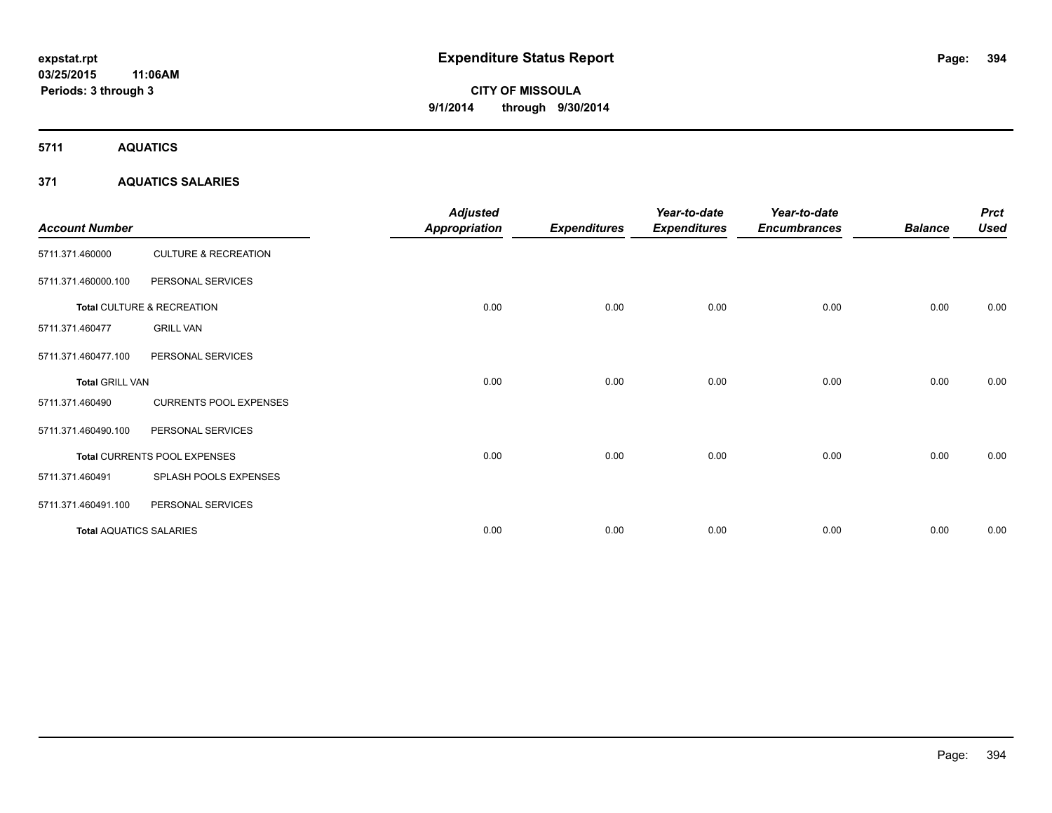**5711 AQUATICS**

# **371 AQUATICS SALARIES**

| <b>Account Number</b>          |                                 | <b>Adjusted</b><br><b>Appropriation</b> | <b>Expenditures</b> | Year-to-date<br><b>Expenditures</b> | Year-to-date<br><b>Encumbrances</b> | <b>Balance</b> | <b>Prct</b><br><b>Used</b> |
|--------------------------------|---------------------------------|-----------------------------------------|---------------------|-------------------------------------|-------------------------------------|----------------|----------------------------|
| 5711.371.460000                | <b>CULTURE &amp; RECREATION</b> |                                         |                     |                                     |                                     |                |                            |
| 5711.371.460000.100            | PERSONAL SERVICES               |                                         |                     |                                     |                                     |                |                            |
|                                | Total CULTURE & RECREATION      | 0.00                                    | 0.00                | 0.00                                | 0.00                                | 0.00           | 0.00                       |
| 5711.371.460477                | <b>GRILL VAN</b>                |                                         |                     |                                     |                                     |                |                            |
| 5711.371.460477.100            | PERSONAL SERVICES               |                                         |                     |                                     |                                     |                |                            |
| <b>Total GRILL VAN</b>         |                                 | 0.00                                    | 0.00                | 0.00                                | 0.00                                | 0.00           | 0.00                       |
| 5711.371.460490                | <b>CURRENTS POOL EXPENSES</b>   |                                         |                     |                                     |                                     |                |                            |
| 5711.371.460490.100            | PERSONAL SERVICES               |                                         |                     |                                     |                                     |                |                            |
|                                | Total CURRENTS POOL EXPENSES    | 0.00                                    | 0.00                | 0.00                                | 0.00                                | 0.00           | 0.00                       |
| 5711.371.460491                | SPLASH POOLS EXPENSES           |                                         |                     |                                     |                                     |                |                            |
| 5711.371.460491.100            | PERSONAL SERVICES               |                                         |                     |                                     |                                     |                |                            |
| <b>Total AQUATICS SALARIES</b> |                                 | 0.00                                    | 0.00                | 0.00                                | 0.00                                | 0.00           | 0.00                       |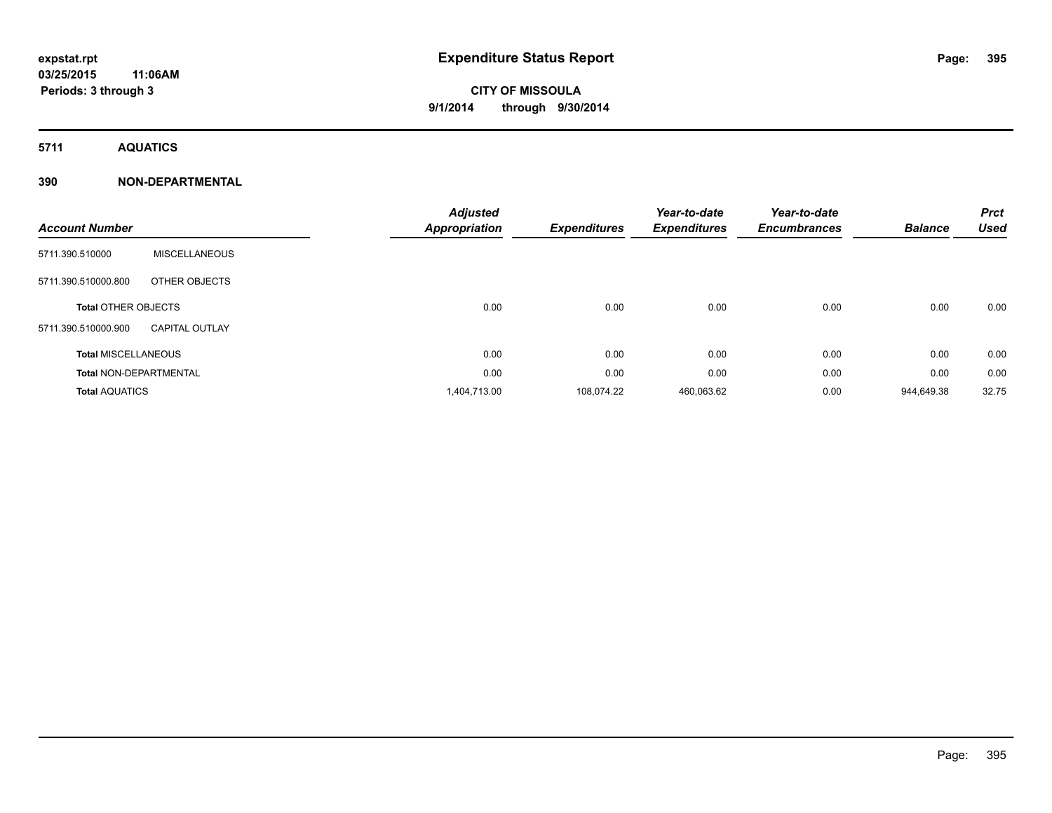**5711 AQUATICS**

# **390 NON-DEPARTMENTAL**

| <b>Account Number</b>         |                       | <b>Adjusted</b><br><b>Appropriation</b> | <b>Expenditures</b> | Year-to-date<br><b>Expenditures</b> | Year-to-date<br><b>Encumbrances</b> | <b>Balance</b> | <b>Prct</b><br><b>Used</b> |
|-------------------------------|-----------------------|-----------------------------------------|---------------------|-------------------------------------|-------------------------------------|----------------|----------------------------|
| 5711.390.510000               | <b>MISCELLANEOUS</b>  |                                         |                     |                                     |                                     |                |                            |
| 5711.390.510000.800           | OTHER OBJECTS         |                                         |                     |                                     |                                     |                |                            |
| <b>Total OTHER OBJECTS</b>    |                       | 0.00                                    | 0.00                | 0.00                                | 0.00                                | 0.00           | 0.00                       |
| 5711.390.510000.900           | <b>CAPITAL OUTLAY</b> |                                         |                     |                                     |                                     |                |                            |
| <b>Total MISCELLANEOUS</b>    |                       | 0.00                                    | 0.00                | 0.00                                | 0.00                                | 0.00           | 0.00                       |
| <b>Total NON-DEPARTMENTAL</b> |                       | 0.00                                    | 0.00                | 0.00                                | 0.00                                | 0.00           | 0.00                       |
| <b>Total AQUATICS</b>         |                       | 1,404,713.00                            | 108,074.22          | 460,063.62                          | 0.00                                | 944.649.38     | 32.75                      |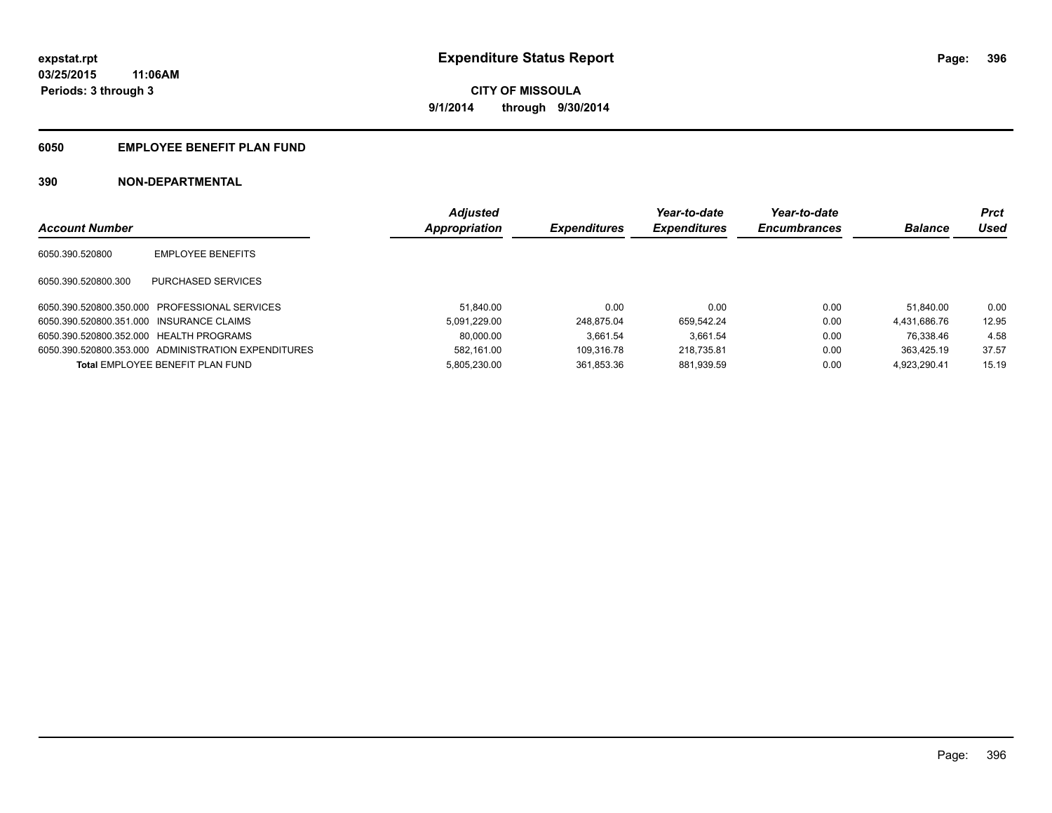# **6050 EMPLOYEE BENEFIT PLAN FUND**

# **390 NON-DEPARTMENTAL**

|                                          |                                                     | <b>Adjusted</b> |                     | Year-to-date        | Year-to-date        |                | Prct  |
|------------------------------------------|-----------------------------------------------------|-----------------|---------------------|---------------------|---------------------|----------------|-------|
| <b>Account Number</b>                    |                                                     | Appropriation   | <b>Expenditures</b> | <b>Expenditures</b> | <b>Encumbrances</b> | <b>Balance</b> | Used  |
| 6050.390.520800                          | <b>EMPLOYEE BENEFITS</b>                            |                 |                     |                     |                     |                |       |
| 6050.390.520800.300                      | PURCHASED SERVICES                                  |                 |                     |                     |                     |                |       |
|                                          | 6050.390.520800.350.000 PROFESSIONAL SERVICES       | 51.840.00       | 0.00                | 0.00                | 0.00                | 51.840.00      | 0.00  |
| 6050.390.520800.351.000 INSURANCE CLAIMS |                                                     | 5.091.229.00    | 248.875.04          | 659.542.24          | 0.00                | 4.431.686.76   | 12.95 |
| 6050.390.520800.352.000 HEALTH PROGRAMS  |                                                     | 80.000.00       | 3.661.54            | 3.661.54            | 0.00                | 76.338.46      | 4.58  |
|                                          | 6050.390.520800.353.000 ADMINISTRATION EXPENDITURES | 582.161.00      | 109.316.78          | 218.735.81          | 0.00                | 363.425.19     | 37.57 |
|                                          | Total EMPLOYEE BENEFIT PLAN FUND                    | 5.805.230.00    | 361.853.36          | 881.939.59          | 0.00                | 4.923.290.41   | 15.19 |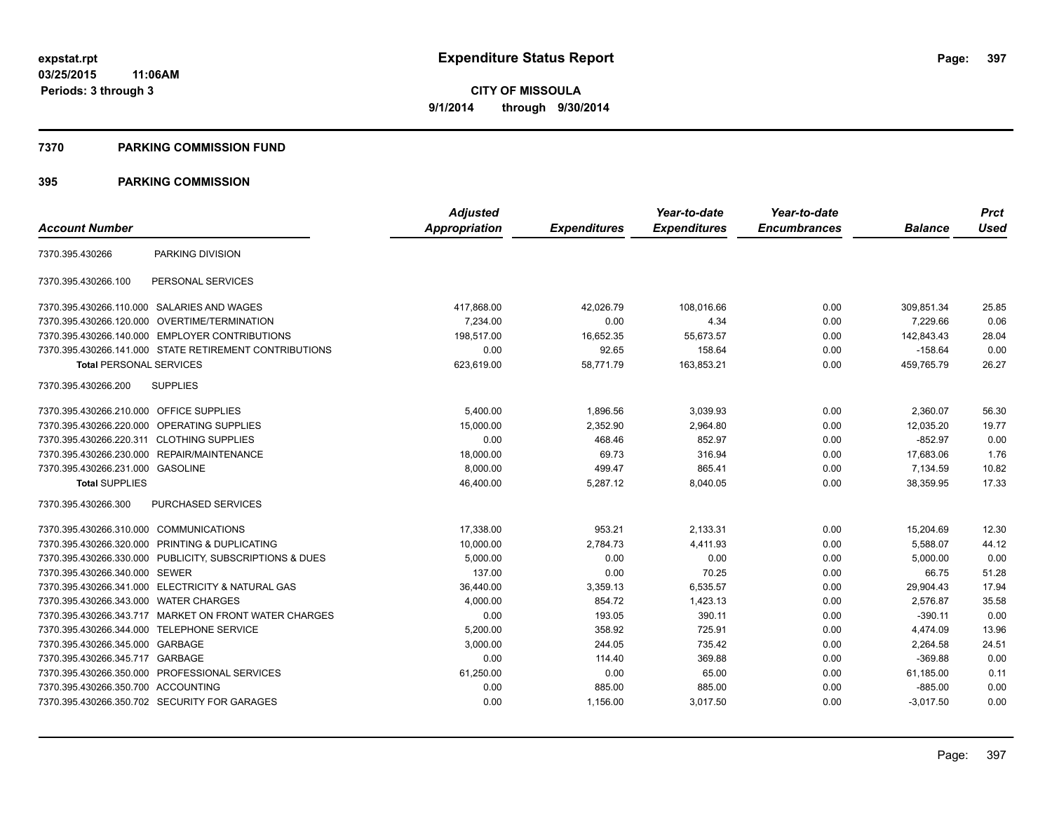#### **7370 PARKING COMMISSION FUND**

|                                           |                                                         | <b>Adjusted</b> |                     | Year-to-date        | Year-to-date        |                | <b>Prct</b> |
|-------------------------------------------|---------------------------------------------------------|-----------------|---------------------|---------------------|---------------------|----------------|-------------|
| <b>Account Number</b>                     |                                                         | Appropriation   | <b>Expenditures</b> | <b>Expenditures</b> | <b>Encumbrances</b> | <b>Balance</b> | <b>Used</b> |
| 7370.395.430266                           | PARKING DIVISION                                        |                 |                     |                     |                     |                |             |
| 7370.395.430266.100                       | PERSONAL SERVICES                                       |                 |                     |                     |                     |                |             |
|                                           | 7370.395.430266.110.000 SALARIES AND WAGES              | 417,868.00      | 42,026.79           | 108,016.66          | 0.00                | 309,851.34     | 25.85       |
| 7370.395.430266.120.000                   | OVERTIME/TERMINATION                                    | 7.234.00        | 0.00                | 4.34                | 0.00                | 7,229.66       | 0.06        |
|                                           | 7370.395.430266.140.000 EMPLOYER CONTRIBUTIONS          | 198.517.00      | 16,652.35           | 55.673.57           | 0.00                | 142,843.43     | 28.04       |
|                                           | 7370.395.430266.141.000 STATE RETIREMENT CONTRIBUTIONS  | 0.00            | 92.65               | 158.64              | 0.00                | $-158.64$      | 0.00        |
| <b>Total PERSONAL SERVICES</b>            |                                                         | 623,619.00      | 58,771.79           | 163,853.21          | 0.00                | 459,765.79     | 26.27       |
| 7370.395.430266.200                       | <b>SUPPLIES</b>                                         |                 |                     |                     |                     |                |             |
| 7370.395.430266.210.000 OFFICE SUPPLIES   |                                                         | 5,400.00        | 1,896.56            | 3,039.93            | 0.00                | 2,360.07       | 56.30       |
| 7370.395.430266.220.000                   | <b>OPERATING SUPPLIES</b>                               | 15,000.00       | 2,352.90            | 2.964.80            | 0.00                | 12.035.20      | 19.77       |
| 7370.395.430266.220.311 CLOTHING SUPPLIES |                                                         | 0.00            | 468.46              | 852.97              | 0.00                | $-852.97$      | 0.00        |
|                                           | 7370.395.430266.230.000 REPAIR/MAINTENANCE              | 18,000.00       | 69.73               | 316.94              | 0.00                | 17,683.06      | 1.76        |
| 7370.395.430266.231.000 GASOLINE          |                                                         | 8,000.00        | 499.47              | 865.41              | 0.00                | 7,134.59       | 10.82       |
| <b>Total SUPPLIES</b>                     |                                                         | 46,400.00       | 5,287.12            | 8,040.05            | 0.00                | 38,359.95      | 17.33       |
| 7370.395.430266.300                       | PURCHASED SERVICES                                      |                 |                     |                     |                     |                |             |
| 7370.395.430266.310.000 COMMUNICATIONS    |                                                         | 17,338.00       | 953.21              | 2,133.31            | 0.00                | 15,204.69      | 12.30       |
|                                           | 7370.395.430266.320.000 PRINTING & DUPLICATING          | 10,000.00       | 2,784.73            | 4.411.93            | 0.00                | 5,588.07       | 44.12       |
|                                           | 7370.395.430266.330.000 PUBLICITY, SUBSCRIPTIONS & DUES | 5,000.00        | 0.00                | 0.00                | 0.00                | 5,000.00       | 0.00        |
| 7370.395.430266.340.000 SEWER             |                                                         | 137.00          | 0.00                | 70.25               | 0.00                | 66.75          | 51.28       |
|                                           | 7370.395.430266.341.000 ELECTRICITY & NATURAL GAS       | 36,440.00       | 3,359.13            | 6,535.57            | 0.00                | 29,904.43      | 17.94       |
| 7370.395.430266.343.000 WATER CHARGES     |                                                         | 4,000.00        | 854.72              | 1,423.13            | 0.00                | 2,576.87       | 35.58       |
|                                           | 7370.395.430266.343.717 MARKET ON FRONT WATER CHARGES   | 0.00            | 193.05              | 390.11              | 0.00                | $-390.11$      | 0.00        |
|                                           | 7370.395.430266.344.000 TELEPHONE SERVICE               | 5.200.00        | 358.92              | 725.91              | 0.00                | 4,474.09       | 13.96       |
| 7370.395.430266.345.000 GARBAGE           |                                                         | 3,000.00        | 244.05              | 735.42              | 0.00                | 2,264.58       | 24.51       |
| 7370.395.430266.345.717 GARBAGE           |                                                         | 0.00            | 114.40              | 369.88              | 0.00                | $-369.88$      | 0.00        |
|                                           | 7370.395.430266.350.000 PROFESSIONAL SERVICES           | 61,250.00       | 0.00                | 65.00               | 0.00                | 61,185.00      | 0.11        |
| 7370.395.430266.350.700 ACCOUNTING        |                                                         | 0.00            | 885.00              | 885.00              | 0.00                | $-885.00$      | 0.00        |
|                                           | 7370.395.430266.350.702 SECURITY FOR GARAGES            | 0.00            | 1,156.00            | 3,017.50            | 0.00                | $-3,017.50$    | 0.00        |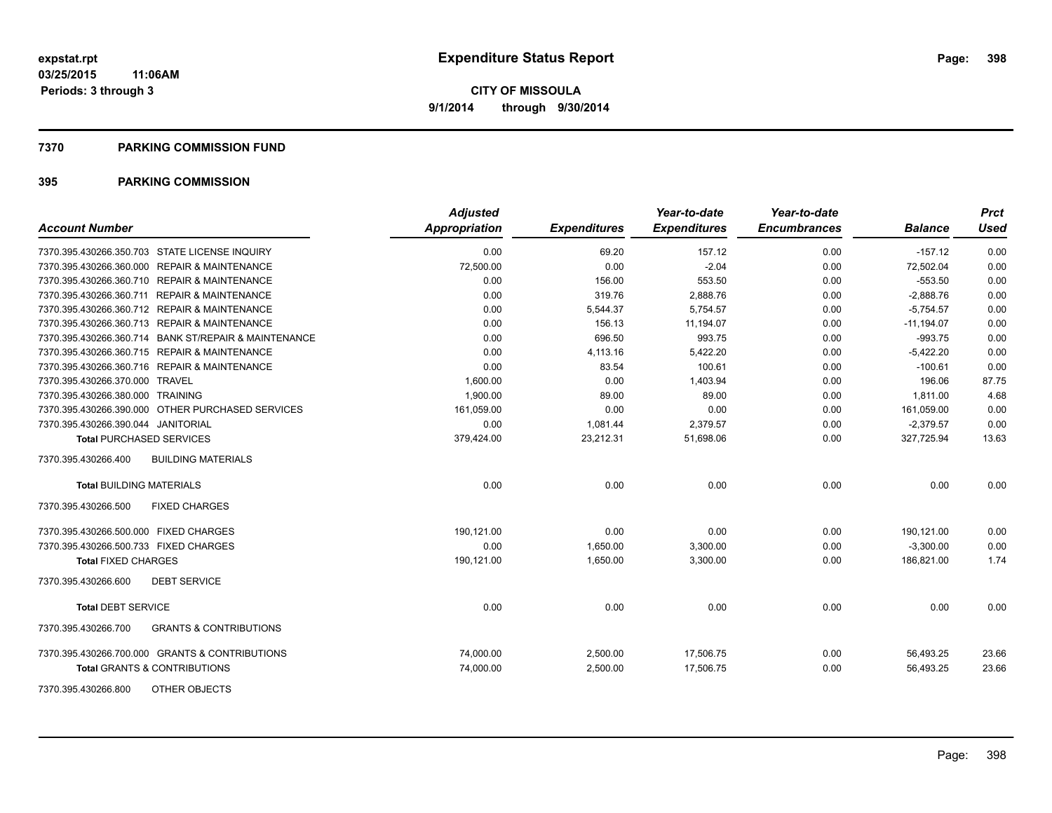#### **7370 PARKING COMMISSION FUND**

| <b>Account Number</b>                                    | Adjusted<br>Appropriation | <b>Expenditures</b> | Year-to-date<br><b>Expenditures</b> | Year-to-date<br><b>Encumbrances</b> | <b>Balance</b> | <b>Prct</b><br><b>Used</b> |
|----------------------------------------------------------|---------------------------|---------------------|-------------------------------------|-------------------------------------|----------------|----------------------------|
| 7370.395.430266.350.703 STATE LICENSE INQUIRY            | 0.00                      | 69.20               | 157.12                              | 0.00                                | $-157.12$      | 0.00                       |
| 7370.395.430266.360.000 REPAIR & MAINTENANCE             | 72,500.00                 | 0.00                | $-2.04$                             | 0.00                                | 72,502.04      | 0.00                       |
| 7370.395.430266.360.710 REPAIR & MAINTENANCE             | 0.00                      | 156.00              | 553.50                              | 0.00                                | $-553.50$      | 0.00                       |
| 7370.395.430266.360.711 REPAIR & MAINTENANCE             | 0.00                      | 319.76              | 2,888.76                            | 0.00                                | $-2,888.76$    | 0.00                       |
| 7370.395.430266.360.712 REPAIR & MAINTENANCE             | 0.00                      | 5,544.37            | 5,754.57                            | 0.00                                | $-5.754.57$    | 0.00                       |
| 7370.395.430266.360.713 REPAIR & MAINTENANCE             | 0.00                      | 156.13              | 11,194.07                           | 0.00                                | $-11,194.07$   | 0.00                       |
| 7370.395.430266.360.714 BANK ST/REPAIR & MAINTENANCE     | 0.00                      | 696.50              | 993.75                              | 0.00                                | $-993.75$      | 0.00                       |
| 7370.395.430266.360.715 REPAIR & MAINTENANCE             | 0.00                      | 4,113.16            | 5,422.20                            | 0.00                                | $-5,422.20$    | 0.00                       |
| 7370.395.430266.360.716 REPAIR & MAINTENANCE             | 0.00                      | 83.54               | 100.61                              | 0.00                                | $-100.61$      | 0.00                       |
| 7370.395.430266.370.000 TRAVEL                           | 1,600.00                  | 0.00                | 1,403.94                            | 0.00                                | 196.06         | 87.75                      |
| 7370.395.430266.380.000 TRAINING                         | 1,900.00                  | 89.00               | 89.00                               | 0.00                                | 1,811.00       | 4.68                       |
| 7370.395.430266.390.000 OTHER PURCHASED SERVICES         | 161,059.00                | 0.00                | 0.00                                | 0.00                                | 161,059.00     | 0.00                       |
| 7370.395.430266.390.044 JANITORIAL                       | 0.00                      | 1,081.44            | 2,379.57                            | 0.00                                | $-2,379.57$    | 0.00                       |
| <b>Total PURCHASED SERVICES</b>                          | 379,424.00                | 23,212.31           | 51,698.06                           | 0.00                                | 327,725.94     | 13.63                      |
| <b>BUILDING MATERIALS</b><br>7370.395.430266.400         |                           |                     |                                     |                                     |                |                            |
| <b>Total BUILDING MATERIALS</b>                          | 0.00                      | 0.00                | 0.00                                | 0.00                                | 0.00           | 0.00                       |
| <b>FIXED CHARGES</b><br>7370.395.430266.500              |                           |                     |                                     |                                     |                |                            |
| 7370.395.430266.500.000 FIXED CHARGES                    | 190,121.00                | 0.00                | 0.00                                | 0.00                                | 190,121.00     | 0.00                       |
| 7370.395.430266.500.733 FIXED CHARGES                    | 0.00                      | 1,650.00            | 3,300.00                            | 0.00                                | $-3,300.00$    | 0.00                       |
| <b>Total FIXED CHARGES</b>                               | 190,121.00                | 1,650.00            | 3,300.00                            | 0.00                                | 186,821.00     | 1.74                       |
| <b>DEBT SERVICE</b><br>7370.395.430266.600               |                           |                     |                                     |                                     |                |                            |
| <b>Total DEBT SERVICE</b>                                | 0.00                      | 0.00                | 0.00                                | 0.00                                | 0.00           | 0.00                       |
| 7370.395.430266.700<br><b>GRANTS &amp; CONTRIBUTIONS</b> |                           |                     |                                     |                                     |                |                            |
| 7370.395.430266.700.000 GRANTS & CONTRIBUTIONS           | 74,000.00                 | 2,500.00            | 17,506.75                           | 0.00                                | 56,493.25      | 23.66                      |
| <b>Total GRANTS &amp; CONTRIBUTIONS</b>                  | 74,000.00                 | 2,500.00            | 17,506.75                           | 0.00                                | 56,493.25      | 23.66                      |
| OTHER OBJECTS<br>7370.395.430266.800                     |                           |                     |                                     |                                     |                |                            |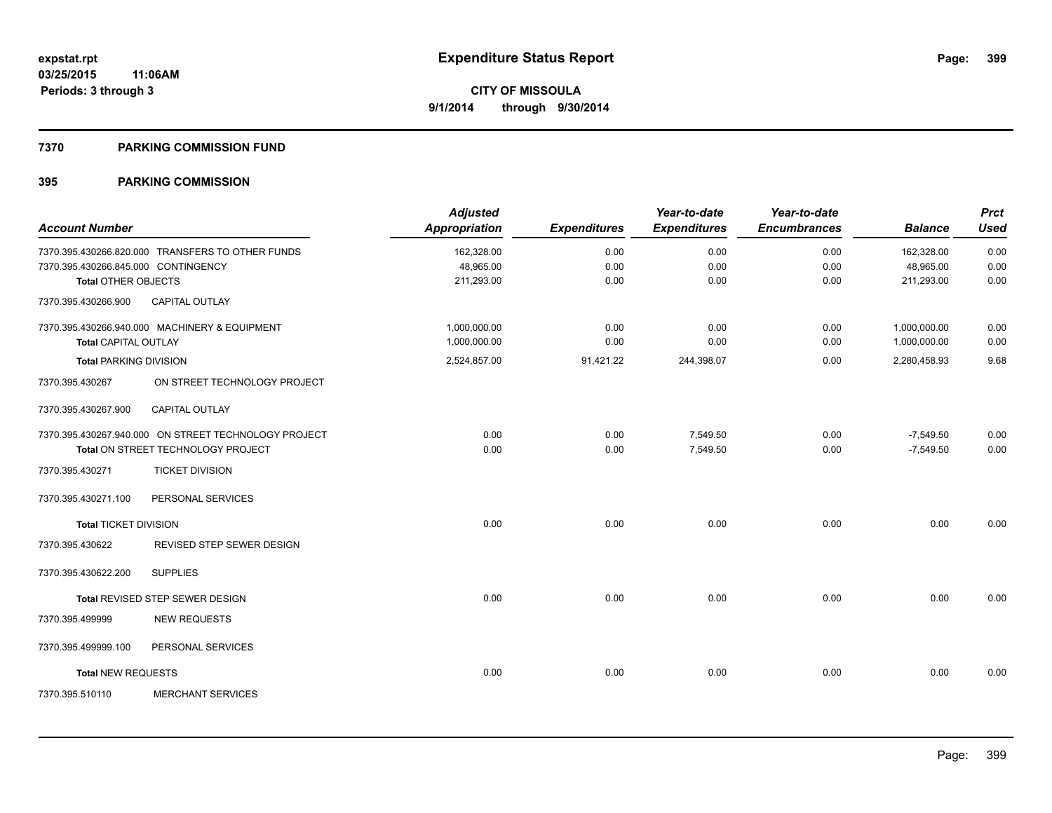#### **7370 PARKING COMMISSION FUND**

|                                     |                                                      | <b>Adjusted</b>      |                     | Year-to-date        | Year-to-date        |                | <b>Prct</b> |
|-------------------------------------|------------------------------------------------------|----------------------|---------------------|---------------------|---------------------|----------------|-------------|
| <b>Account Number</b>               |                                                      | <b>Appropriation</b> | <b>Expenditures</b> | <b>Expenditures</b> | <b>Encumbrances</b> | <b>Balance</b> | <b>Used</b> |
|                                     | 7370.395.430266.820.000 TRANSFERS TO OTHER FUNDS     | 162,328.00           | 0.00                | 0.00                | 0.00                | 162,328.00     | 0.00        |
| 7370.395.430266.845.000 CONTINGENCY |                                                      | 48,965.00            | 0.00                | 0.00                | 0.00                | 48,965.00      | 0.00        |
| <b>Total OTHER OBJECTS</b>          |                                                      | 211,293.00           | 0.00                | 0.00                | 0.00                | 211,293.00     | 0.00        |
| 7370.395.430266.900                 | CAPITAL OUTLAY                                       |                      |                     |                     |                     |                |             |
|                                     | 7370.395.430266.940.000 MACHINERY & EQUIPMENT        | 1,000,000.00         | 0.00                | 0.00                | 0.00                | 1,000,000.00   | 0.00        |
| <b>Total CAPITAL OUTLAY</b>         |                                                      | 1,000,000.00         | 0.00                | 0.00                | 0.00                | 1,000,000.00   | 0.00        |
| <b>Total PARKING DIVISION</b>       |                                                      | 2,524,857.00         | 91,421.22           | 244,398.07          | 0.00                | 2,280,458.93   | 9.68        |
| 7370.395.430267                     | ON STREET TECHNOLOGY PROJECT                         |                      |                     |                     |                     |                |             |
| 7370.395.430267.900                 | <b>CAPITAL OUTLAY</b>                                |                      |                     |                     |                     |                |             |
|                                     | 7370.395.430267.940.000 ON STREET TECHNOLOGY PROJECT | 0.00                 | 0.00                | 7,549.50            | 0.00                | $-7,549.50$    | 0.00        |
|                                     | Total ON STREET TECHNOLOGY PROJECT                   | 0.00                 | 0.00                | 7,549.50            | 0.00                | $-7,549.50$    | 0.00        |
| 7370.395.430271                     | <b>TICKET DIVISION</b>                               |                      |                     |                     |                     |                |             |
| 7370.395.430271.100                 | PERSONAL SERVICES                                    |                      |                     |                     |                     |                |             |
| <b>Total TICKET DIVISION</b>        |                                                      | 0.00                 | 0.00                | 0.00                | 0.00                | 0.00           | 0.00        |
| 7370.395.430622                     | <b>REVISED STEP SEWER DESIGN</b>                     |                      |                     |                     |                     |                |             |
| 7370.395.430622.200                 | <b>SUPPLIES</b>                                      |                      |                     |                     |                     |                |             |
|                                     | Total REVISED STEP SEWER DESIGN                      | 0.00                 | 0.00                | 0.00                | 0.00                | 0.00           | 0.00        |
| 7370.395.499999                     | <b>NEW REQUESTS</b>                                  |                      |                     |                     |                     |                |             |
| 7370.395.499999.100                 | PERSONAL SERVICES                                    |                      |                     |                     |                     |                |             |
| <b>Total NEW REQUESTS</b>           |                                                      | 0.00                 | 0.00                | 0.00                | 0.00                | 0.00           | 0.00        |
| 7370.395.510110                     | <b>MERCHANT SERVICES</b>                             |                      |                     |                     |                     |                |             |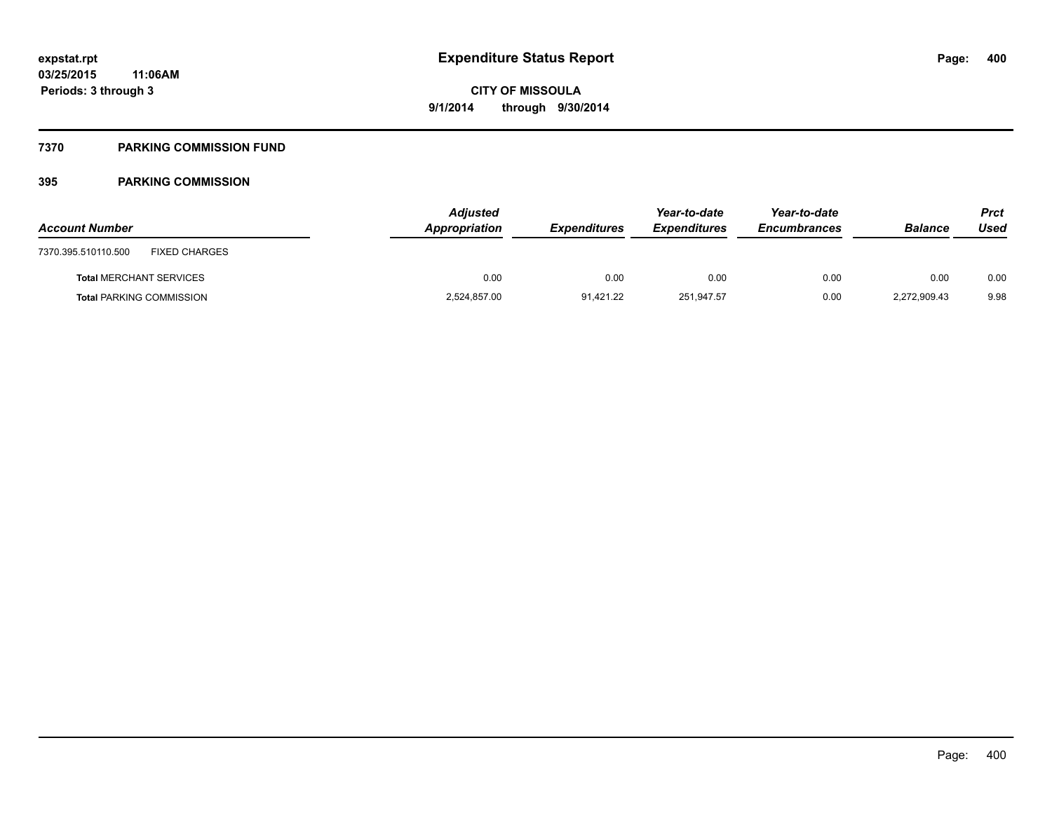#### **7370 PARKING COMMISSION FUND**

| <b>Account Number</b>                       | <b>Adjusted</b><br>Appropriation | <b>Expenditures</b> | Year-to-date<br><b>Expenditures</b> | Year-to-date<br><b>Encumbrances</b> | <b>Balance</b> | Prct<br>Used |
|---------------------------------------------|----------------------------------|---------------------|-------------------------------------|-------------------------------------|----------------|--------------|
| <b>FIXED CHARGES</b><br>7370.395.510110.500 |                                  |                     |                                     |                                     |                |              |
| <b>Total MERCHANT SERVICES</b>              | 0.00                             | 0.00                | 0.00                                | 0.00                                | 0.00           | 0.00         |
| <b>Total PARKING COMMISSION</b>             | 2,524,857.00                     | 91.421.22           | 251.947.57                          | 0.00                                | 2,272,909.43   | 9.98         |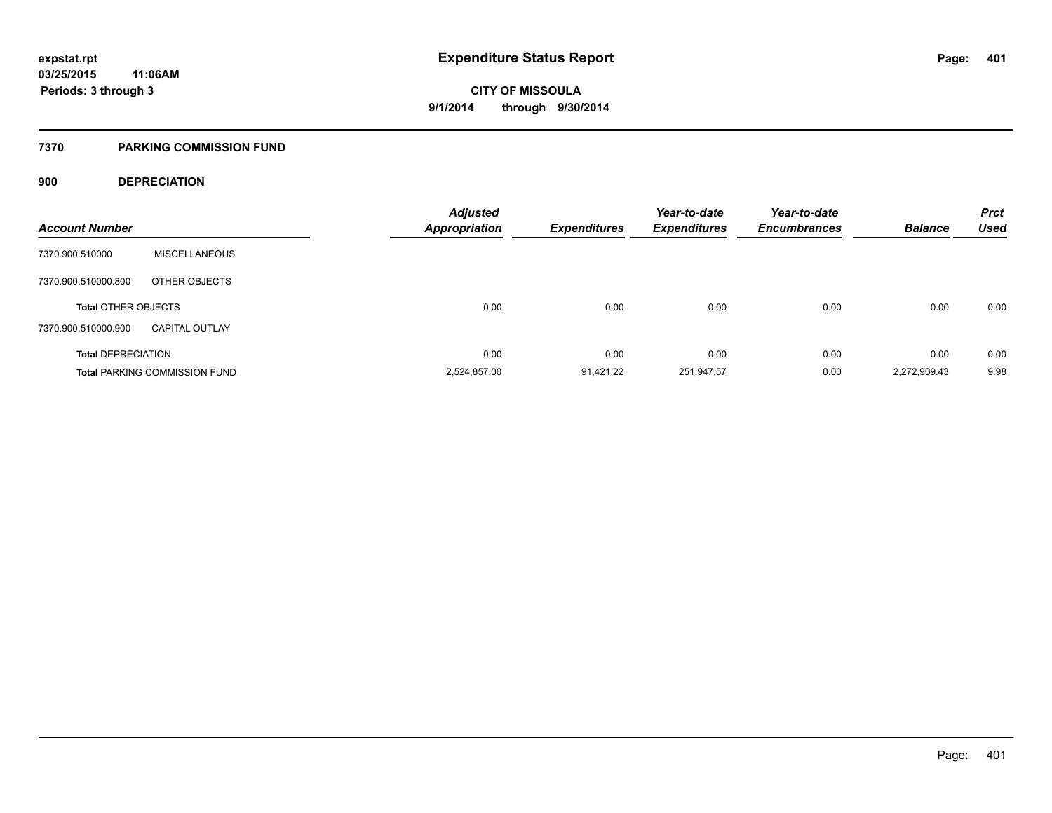#### **7370 PARKING COMMISSION FUND**

#### **900 DEPRECIATION**

| <b>Account Number</b>      |                                      | <b>Adjusted</b><br><b>Appropriation</b> | Expenditures | Year-to-date<br><b>Expenditures</b> | Year-to-date<br><b>Encumbrances</b> | <b>Balance</b> | <b>Prct</b><br><b>Used</b> |
|----------------------------|--------------------------------------|-----------------------------------------|--------------|-------------------------------------|-------------------------------------|----------------|----------------------------|
| 7370.900.510000            | <b>MISCELLANEOUS</b>                 |                                         |              |                                     |                                     |                |                            |
| 7370.900.510000.800        | OTHER OBJECTS                        |                                         |              |                                     |                                     |                |                            |
| <b>Total OTHER OBJECTS</b> |                                      | 0.00                                    | 0.00         | 0.00                                | 0.00                                | 0.00           | 0.00                       |
| 7370.900.510000.900        | <b>CAPITAL OUTLAY</b>                |                                         |              |                                     |                                     |                |                            |
| <b>Total DEPRECIATION</b>  |                                      | 0.00                                    | 0.00         | 0.00                                | 0.00                                | 0.00           | 0.00                       |
|                            | <b>Total PARKING COMMISSION FUND</b> | 2,524,857.00                            | 91,421.22    | 251,947.57                          | 0.00                                | 2,272,909.43   | 9.98                       |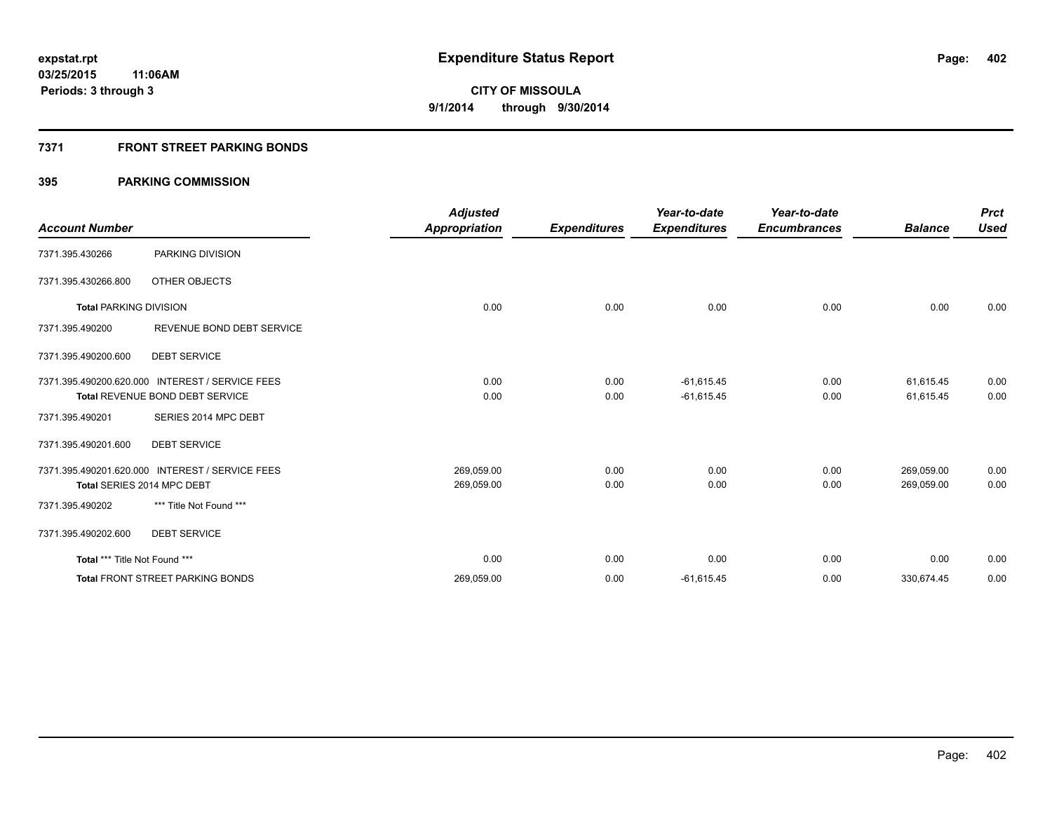#### **7371 FRONT STREET PARKING BONDS**

|                               |                                                 | <b>Adjusted</b>      |                     | Year-to-date        | Year-to-date        |                | <b>Prct</b> |
|-------------------------------|-------------------------------------------------|----------------------|---------------------|---------------------|---------------------|----------------|-------------|
| <b>Account Number</b>         |                                                 | <b>Appropriation</b> | <b>Expenditures</b> | <b>Expenditures</b> | <b>Encumbrances</b> | <b>Balance</b> | <b>Used</b> |
| 7371.395.430266               | PARKING DIVISION                                |                      |                     |                     |                     |                |             |
| 7371.395.430266.800           | OTHER OBJECTS                                   |                      |                     |                     |                     |                |             |
| <b>Total PARKING DIVISION</b> |                                                 | 0.00                 | 0.00                | 0.00                | 0.00                | 0.00           | 0.00        |
| 7371.395.490200               | REVENUE BOND DEBT SERVICE                       |                      |                     |                     |                     |                |             |
| 7371.395.490200.600           | <b>DEBT SERVICE</b>                             |                      |                     |                     |                     |                |             |
|                               | 7371.395.490200.620.000 INTEREST / SERVICE FEES | 0.00                 | 0.00                | $-61,615.45$        | 0.00                | 61,615.45      | 0.00        |
|                               | Total REVENUE BOND DEBT SERVICE                 | 0.00                 | 0.00                | $-61,615.45$        | 0.00                | 61,615.45      | 0.00        |
| 7371.395.490201               | SERIES 2014 MPC DEBT                            |                      |                     |                     |                     |                |             |
| 7371.395.490201.600           | <b>DEBT SERVICE</b>                             |                      |                     |                     |                     |                |             |
| 7371.395.490201.620.000       | <b>INTEREST / SERVICE FEES</b>                  | 269,059.00           | 0.00                | 0.00                | 0.00                | 269,059.00     | 0.00        |
|                               | Total SERIES 2014 MPC DEBT                      | 269,059.00           | 0.00                | 0.00                | 0.00                | 269,059.00     | 0.00        |
| 7371.395.490202               | *** Title Not Found ***                         |                      |                     |                     |                     |                |             |
| 7371.395.490202.600           | <b>DEBT SERVICE</b>                             |                      |                     |                     |                     |                |             |
| Total *** Title Not Found *** |                                                 | 0.00                 | 0.00                | 0.00                | 0.00                | 0.00           | 0.00        |
|                               | <b>Total FRONT STREET PARKING BONDS</b>         | 269,059.00           | 0.00                | $-61,615.45$        | 0.00                | 330,674.45     | 0.00        |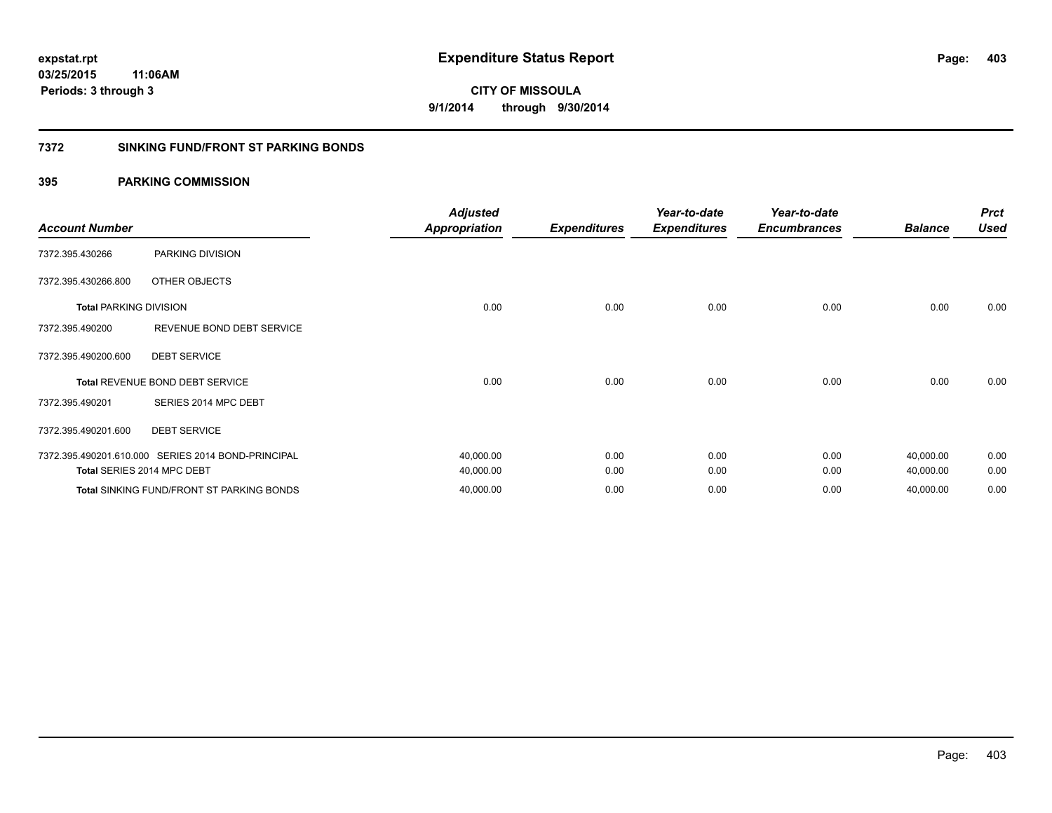#### **7372 SINKING FUND/FRONT ST PARKING BONDS**

|                                                    | <b>Adjusted</b><br><b>Appropriation</b>                                 | <b>Expenditures</b>    | Year-to-date<br><b>Expenditures</b> | Year-to-date<br><b>Encumbrances</b> | <b>Balance</b> | <b>Prct</b><br><b>Used</b> |
|----------------------------------------------------|-------------------------------------------------------------------------|------------------------|-------------------------------------|-------------------------------------|----------------|----------------------------|
| PARKING DIVISION                                   |                                                                         |                        |                                     |                                     |                |                            |
| OTHER OBJECTS                                      |                                                                         |                        |                                     |                                     |                |                            |
| <b>Total PARKING DIVISION</b>                      | 0.00                                                                    | 0.00                   | 0.00                                | 0.00                                | 0.00           | 0.00                       |
| REVENUE BOND DEBT SERVICE                          |                                                                         |                        |                                     |                                     |                |                            |
| <b>DEBT SERVICE</b>                                |                                                                         |                        |                                     |                                     |                |                            |
| Total REVENUE BOND DEBT SERVICE                    | 0.00                                                                    | 0.00                   | 0.00                                | 0.00                                | 0.00           | 0.00                       |
| SERIES 2014 MPC DEBT                               |                                                                         |                        |                                     |                                     |                |                            |
| <b>DEBT SERVICE</b>                                |                                                                         |                        |                                     |                                     |                |                            |
| 7372.395.490201.610.000 SERIES 2014 BOND-PRINCIPAL | 40,000.00                                                               | 0.00                   | 0.00                                | 0.00                                | 40,000.00      | 0.00                       |
|                                                    |                                                                         |                        |                                     |                                     |                | 0.00<br>0.00               |
|                                                    | Total SERIES 2014 MPC DEBT<br>Total SINKING FUND/FRONT ST PARKING BONDS | 40,000.00<br>40,000.00 | 0.00<br>0.00                        | 0.00<br>0.00                        | 0.00<br>0.00   | 40,000.00<br>40,000.00     |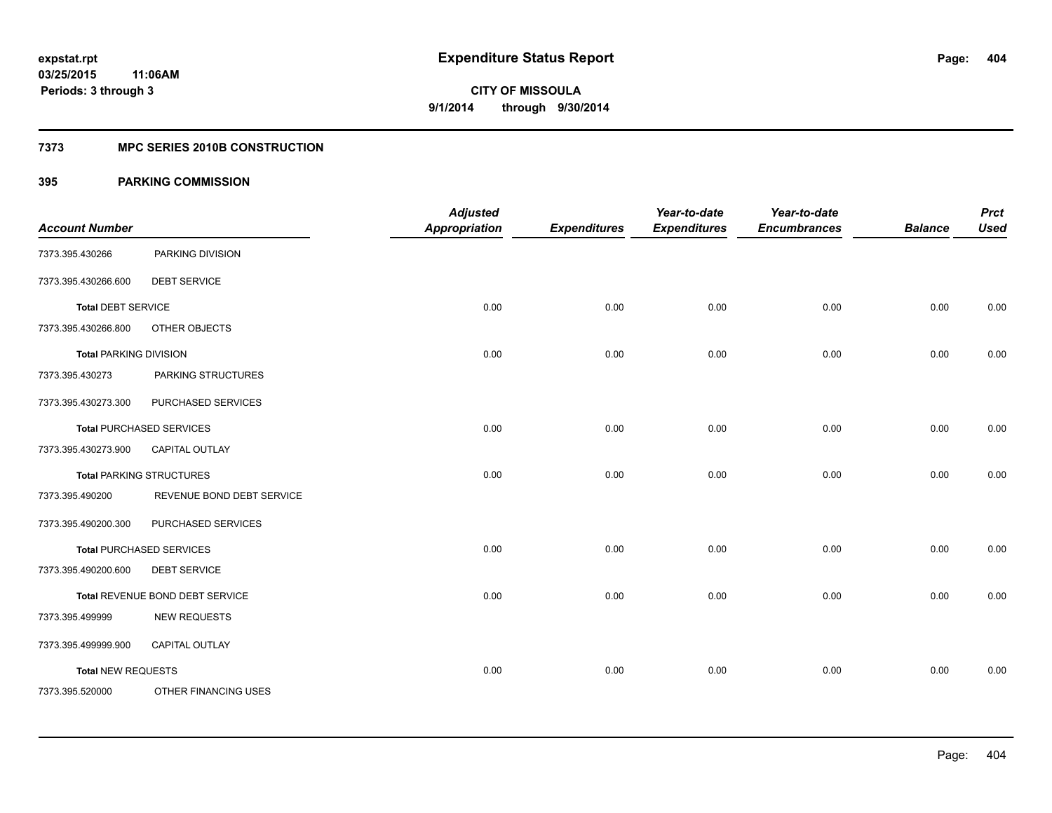#### **7373 MPC SERIES 2010B CONSTRUCTION**

| <b>Account Number</b>         |                                 | <b>Adjusted</b><br><b>Appropriation</b> | <b>Expenditures</b> | Year-to-date<br><b>Expenditures</b> | Year-to-date<br><b>Encumbrances</b> | <b>Balance</b> | <b>Prct</b><br><b>Used</b> |
|-------------------------------|---------------------------------|-----------------------------------------|---------------------|-------------------------------------|-------------------------------------|----------------|----------------------------|
| 7373.395.430266               | PARKING DIVISION                |                                         |                     |                                     |                                     |                |                            |
| 7373.395.430266.600           | <b>DEBT SERVICE</b>             |                                         |                     |                                     |                                     |                |                            |
| <b>Total DEBT SERVICE</b>     |                                 | 0.00                                    | 0.00                | 0.00                                | 0.00                                | 0.00           | 0.00                       |
| 7373.395.430266.800           | OTHER OBJECTS                   |                                         |                     |                                     |                                     |                |                            |
| <b>Total PARKING DIVISION</b> |                                 | 0.00                                    | 0.00                | 0.00                                | 0.00                                | 0.00           | 0.00                       |
| 7373.395.430273               | PARKING STRUCTURES              |                                         |                     |                                     |                                     |                |                            |
| 7373.395.430273.300           | PURCHASED SERVICES              |                                         |                     |                                     |                                     |                |                            |
|                               | <b>Total PURCHASED SERVICES</b> | 0.00                                    | 0.00                | 0.00                                | 0.00                                | 0.00           | 0.00                       |
| 7373.395.430273.900           | <b>CAPITAL OUTLAY</b>           |                                         |                     |                                     |                                     |                |                            |
|                               | <b>Total PARKING STRUCTURES</b> | 0.00                                    | 0.00                | 0.00                                | 0.00                                | 0.00           | 0.00                       |
| 7373.395.490200               | REVENUE BOND DEBT SERVICE       |                                         |                     |                                     |                                     |                |                            |
| 7373.395.490200.300           | PURCHASED SERVICES              |                                         |                     |                                     |                                     |                |                            |
|                               | <b>Total PURCHASED SERVICES</b> | 0.00                                    | 0.00                | 0.00                                | 0.00                                | 0.00           | 0.00                       |
| 7373.395.490200.600           | <b>DEBT SERVICE</b>             |                                         |                     |                                     |                                     |                |                            |
|                               | Total REVENUE BOND DEBT SERVICE | 0.00                                    | 0.00                | 0.00                                | 0.00                                | 0.00           | 0.00                       |
| 7373.395.499999               | <b>NEW REQUESTS</b>             |                                         |                     |                                     |                                     |                |                            |
| 7373.395.499999.900           | CAPITAL OUTLAY                  |                                         |                     |                                     |                                     |                |                            |
| <b>Total NEW REQUESTS</b>     |                                 | 0.00                                    | 0.00                | 0.00                                | 0.00                                | 0.00           | 0.00                       |
| 7373.395.520000               | OTHER FINANCING USES            |                                         |                     |                                     |                                     |                |                            |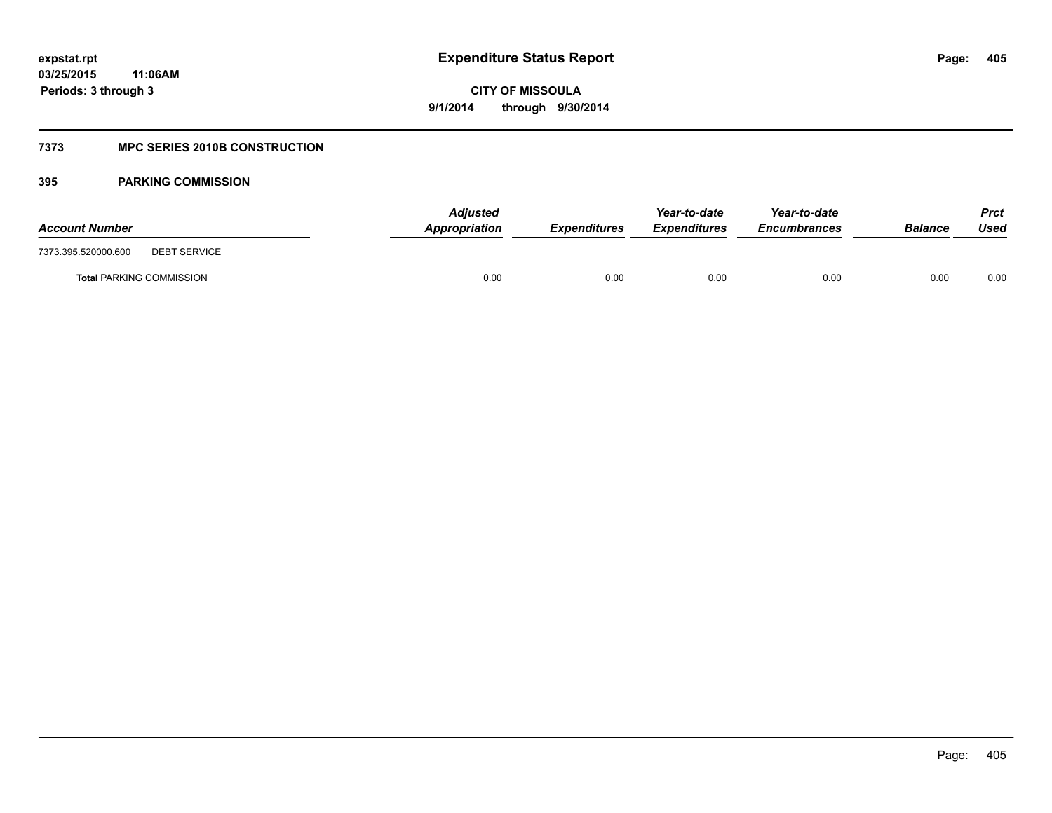#### **7373 MPC SERIES 2010B CONSTRUCTION**

| <b>Account Number</b>                      | <b>Adjusted</b><br>Appropriation | <b>Expenditures</b> | Year-to-date<br><b>Expenditures</b> | Year-to-date<br><b>Encumbrances</b> | <b>Balance</b> | Prct<br>Used |
|--------------------------------------------|----------------------------------|---------------------|-------------------------------------|-------------------------------------|----------------|--------------|
| 7373.395.520000.600<br><b>DEBT SERVICE</b> |                                  |                     |                                     |                                     |                |              |
| <b>Total PARKING COMMISSION</b>            | 0.00                             | 0.00                | 0.00                                | 0.00                                | 0.00           | 0.00         |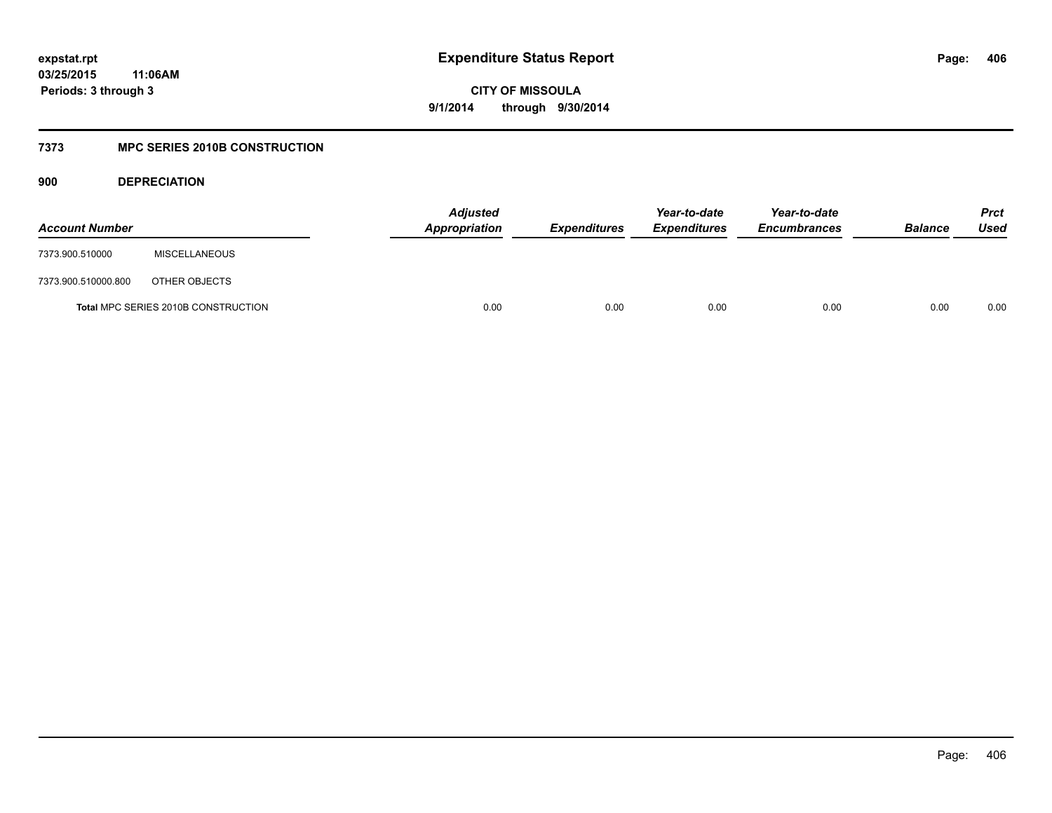## **03/25/2015 11:06AM Periods: 3 through 3**

**CITY OF MISSOULA 9/1/2014 through 9/30/2014**

#### **7373 MPC SERIES 2010B CONSTRUCTION**

**900 DEPRECIATION**

| <b>Account Number</b> |                                            | <b>Adjusted</b><br>Appropriation | <b>Expenditures</b> | Year-to-date<br><b>Expenditures</b> | Year-to-date<br><b>Encumbrances</b> | <b>Balance</b> | <b>Prct</b><br>Used |
|-----------------------|--------------------------------------------|----------------------------------|---------------------|-------------------------------------|-------------------------------------|----------------|---------------------|
| 7373.900.510000       | <b>MISCELLANEOUS</b>                       |                                  |                     |                                     |                                     |                |                     |
| 7373.900.510000.800   | OTHER OBJECTS                              |                                  |                     |                                     |                                     |                |                     |
|                       | <b>Total MPC SERIES 2010B CONSTRUCTION</b> | 0.00                             | 0.00                | 0.00                                | 0.00                                | 0.00           | 0.00                |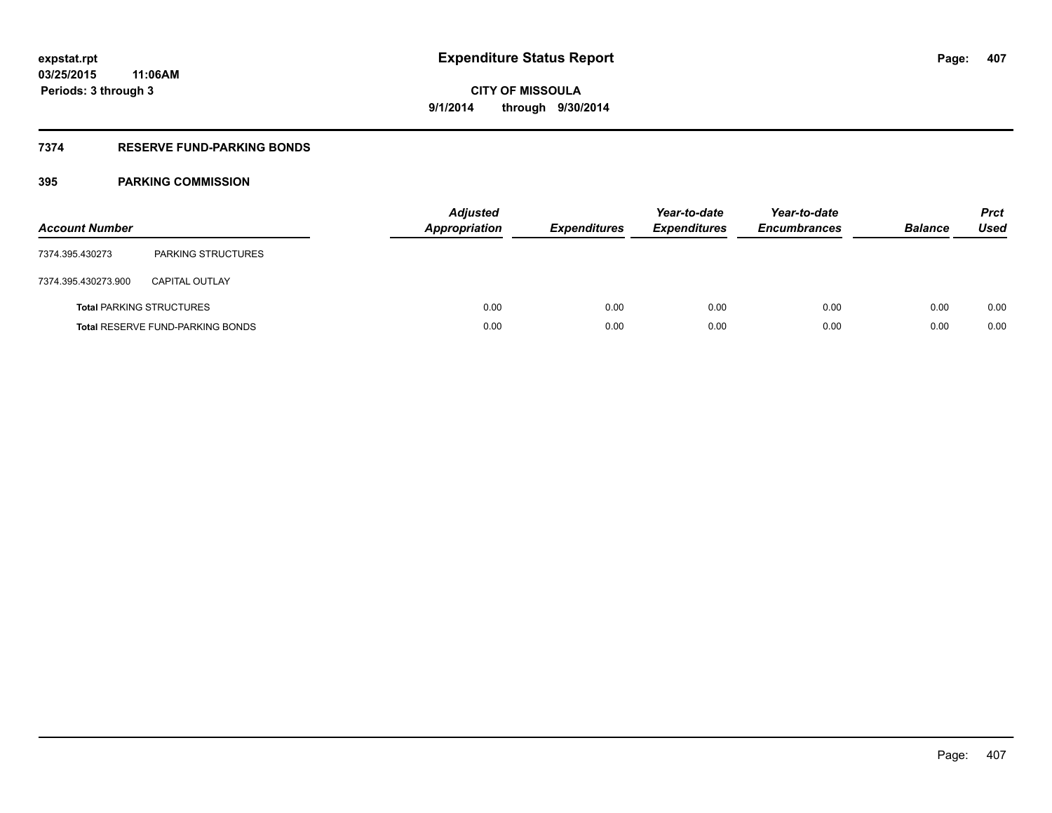## **7374 RESERVE FUND-PARKING BONDS**

| <b>Account Number</b> |                                         | <b>Adjusted</b><br><b>Appropriation</b> | <b>Expenditures</b> | Year-to-date<br><b>Expenditures</b> | Year-to-date<br><b>Encumbrances</b> | <b>Balance</b> | <b>Prct</b><br>Used |
|-----------------------|-----------------------------------------|-----------------------------------------|---------------------|-------------------------------------|-------------------------------------|----------------|---------------------|
| 7374.395.430273       | <b>PARKING STRUCTURES</b>               |                                         |                     |                                     |                                     |                |                     |
| 7374.395.430273.900   | <b>CAPITAL OUTLAY</b>                   |                                         |                     |                                     |                                     |                |                     |
|                       | <b>Total PARKING STRUCTURES</b>         | 0.00                                    | 0.00                | 0.00                                | 0.00                                | 0.00           | 0.00                |
|                       | <b>Total RESERVE FUND-PARKING BONDS</b> | 0.00                                    | 0.00                | 0.00                                | 0.00                                | 0.00           | 0.00                |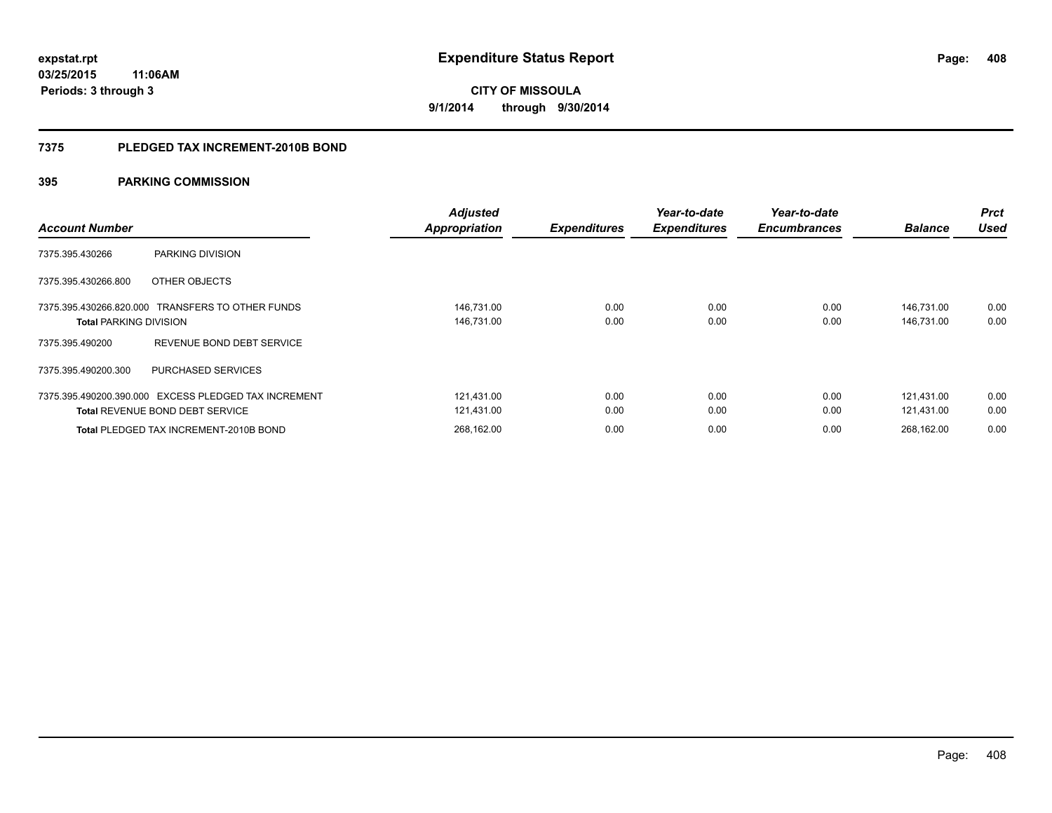#### **7375 PLEDGED TAX INCREMENT-2010B BOND**

| <b>Account Number</b>                                                                          | <b>Adjusted</b><br><b>Appropriation</b> | <b>Expenditures</b> | Year-to-date<br><b>Expenditures</b> | Year-to-date<br><b>Encumbrances</b> | <b>Balance</b>           | <b>Prct</b><br><b>Used</b> |
|------------------------------------------------------------------------------------------------|-----------------------------------------|---------------------|-------------------------------------|-------------------------------------|--------------------------|----------------------------|
| PARKING DIVISION<br>7375.395.430266                                                            |                                         |                     |                                     |                                     |                          |                            |
| 7375.395.430266.800<br>OTHER OBJECTS                                                           |                                         |                     |                                     |                                     |                          |                            |
| 7375.395.430266.820.000 TRANSFERS TO OTHER FUNDS<br><b>Total PARKING DIVISION</b>              | 146,731.00<br>146,731.00                | 0.00<br>0.00        | 0.00<br>0.00                        | 0.00<br>0.00                        | 146.731.00<br>146,731.00 | 0.00<br>0.00               |
| REVENUE BOND DEBT SERVICE<br>7375.395.490200                                                   |                                         |                     |                                     |                                     |                          |                            |
| 7375.395.490200.300<br>PURCHASED SERVICES                                                      |                                         |                     |                                     |                                     |                          |                            |
| 7375.395.490200.390.000 EXCESS PLEDGED TAX INCREMENT<br><b>Total REVENUE BOND DEBT SERVICE</b> | 121.431.00<br>121,431.00                | 0.00<br>0.00        | 0.00<br>0.00                        | 0.00<br>0.00                        | 121.431.00<br>121.431.00 | 0.00<br>0.00               |
| <b>Total PLEDGED TAX INCREMENT-2010B BOND</b>                                                  | 268.162.00                              | 0.00                | 0.00                                | 0.00                                | 268.162.00               | 0.00                       |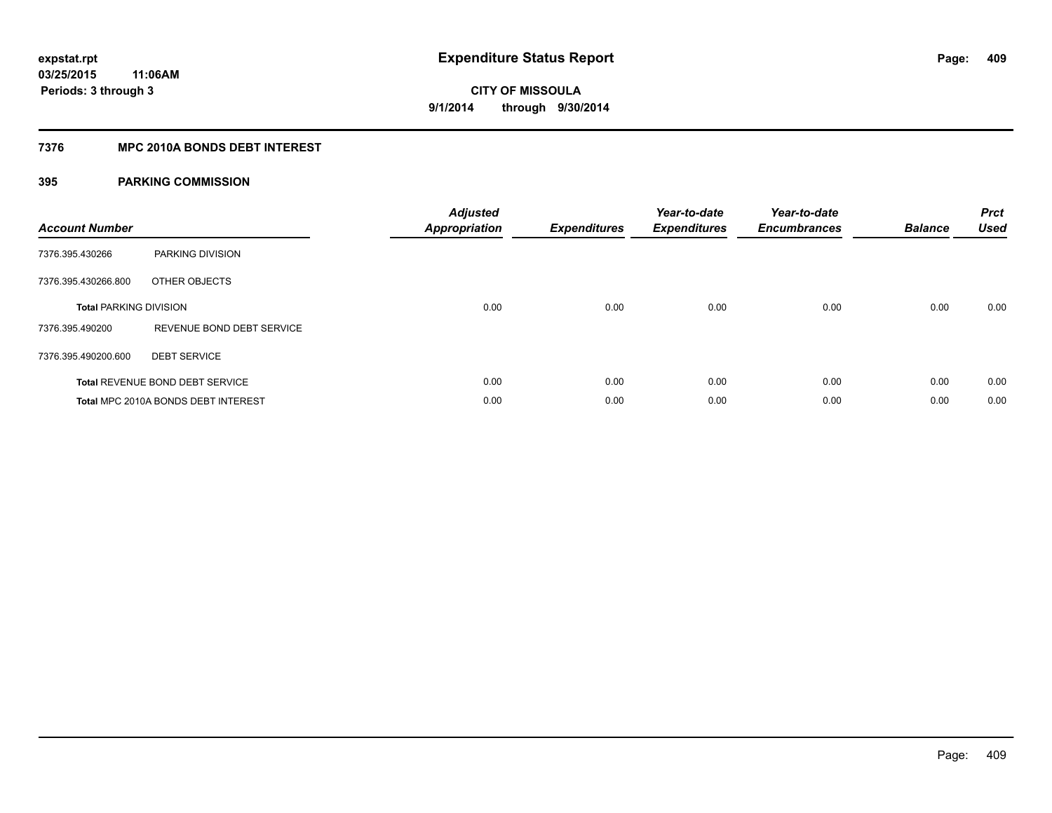#### **7376 MPC 2010A BONDS DEBT INTEREST**

| <b>Account Number</b>         |                                        | <b>Adjusted</b><br>Appropriation | <b>Expenditures</b> | Year-to-date<br><b>Expenditures</b> | Year-to-date<br><b>Encumbrances</b> | <b>Balance</b> | <b>Prct</b><br><b>Used</b> |
|-------------------------------|----------------------------------------|----------------------------------|---------------------|-------------------------------------|-------------------------------------|----------------|----------------------------|
| 7376.395.430266               | <b>PARKING DIVISION</b>                |                                  |                     |                                     |                                     |                |                            |
| 7376.395.430266.800           | OTHER OBJECTS                          |                                  |                     |                                     |                                     |                |                            |
| <b>Total PARKING DIVISION</b> |                                        | 0.00                             | 0.00                | 0.00                                | 0.00                                | 0.00           | 0.00                       |
| 7376.395.490200               | REVENUE BOND DEBT SERVICE              |                                  |                     |                                     |                                     |                |                            |
| 7376.395.490200.600           | <b>DEBT SERVICE</b>                    |                                  |                     |                                     |                                     |                |                            |
|                               | <b>Total REVENUE BOND DEBT SERVICE</b> | 0.00                             | 0.00                | 0.00                                | 0.00                                | 0.00           | 0.00                       |
|                               | Total MPC 2010A BONDS DEBT INTEREST    | 0.00                             | 0.00                | 0.00                                | 0.00                                | 0.00           | 0.00                       |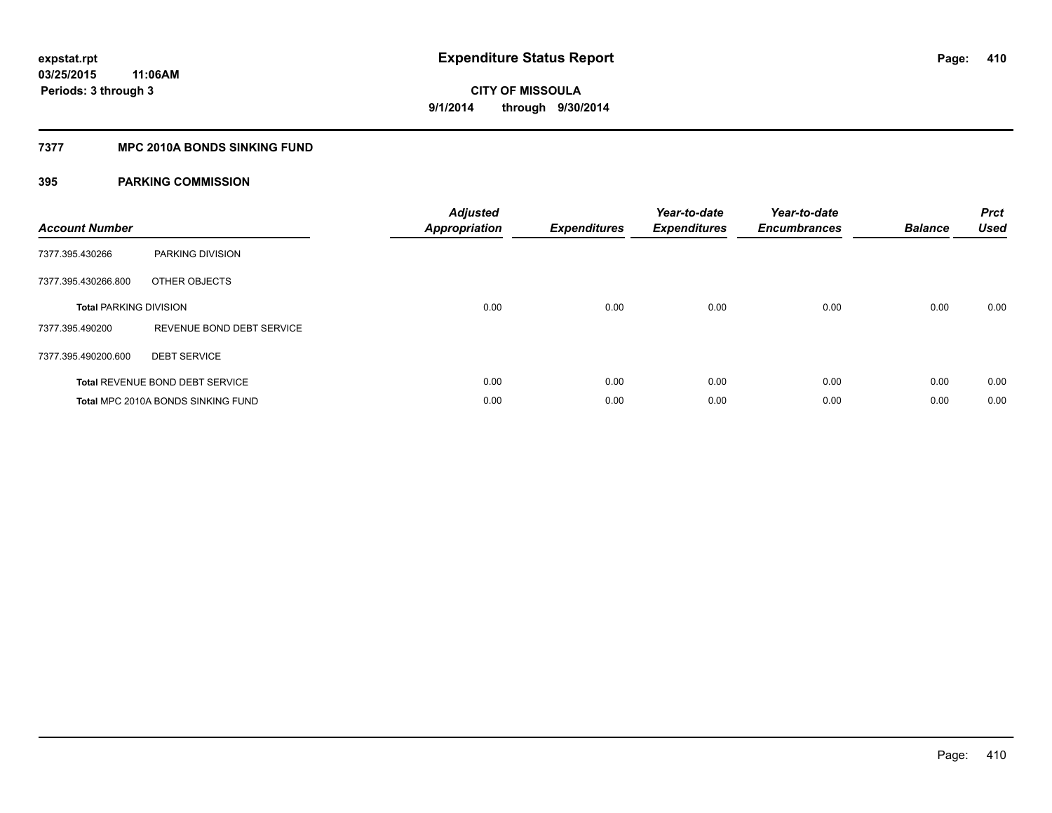#### **7377 MPC 2010A BONDS SINKING FUND**

| <b>Account Number</b>         |                                        | <b>Adjusted</b><br><b>Appropriation</b> | <b>Expenditures</b> | Year-to-date<br><b>Expenditures</b> | Year-to-date<br><b>Encumbrances</b> | <b>Balance</b> | <b>Prct</b><br><b>Used</b> |
|-------------------------------|----------------------------------------|-----------------------------------------|---------------------|-------------------------------------|-------------------------------------|----------------|----------------------------|
| 7377.395.430266               | PARKING DIVISION                       |                                         |                     |                                     |                                     |                |                            |
| 7377.395.430266.800           | OTHER OBJECTS                          |                                         |                     |                                     |                                     |                |                            |
| <b>Total PARKING DIVISION</b> |                                        | 0.00                                    | 0.00                | 0.00                                | 0.00                                | 0.00           | 0.00                       |
| 7377.395.490200               | REVENUE BOND DEBT SERVICE              |                                         |                     |                                     |                                     |                |                            |
| 7377.395.490200.600           | <b>DEBT SERVICE</b>                    |                                         |                     |                                     |                                     |                |                            |
|                               | <b>Total REVENUE BOND DEBT SERVICE</b> | 0.00                                    | 0.00                | 0.00                                | 0.00                                | 0.00           | 0.00                       |
|                               | Total MPC 2010A BONDS SINKING FUND     | 0.00                                    | 0.00                | 0.00                                | 0.00                                | 0.00           | 0.00                       |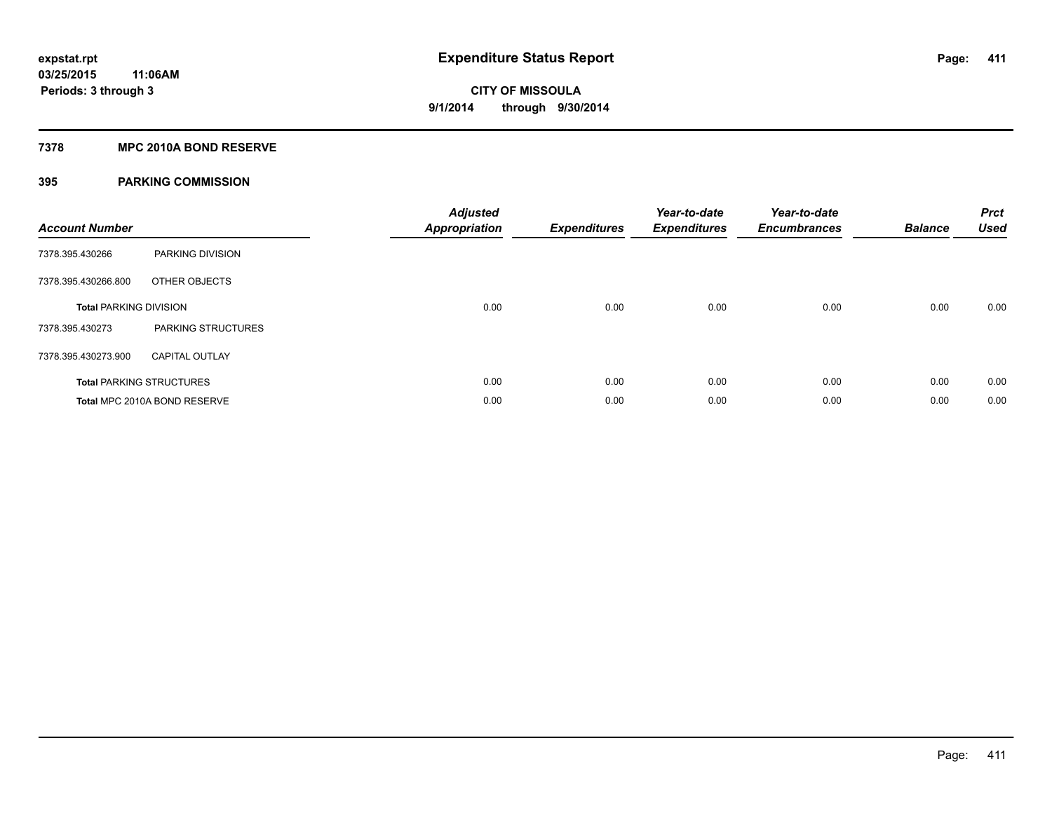#### **7378 MPC 2010A BOND RESERVE**

| <b>Account Number</b>         |                                 | <b>Adjusted</b><br><b>Appropriation</b> | <b>Expenditures</b> | Year-to-date<br><b>Expenditures</b> | Year-to-date<br><b>Encumbrances</b> | <b>Balance</b> | <b>Prct</b><br><b>Used</b> |
|-------------------------------|---------------------------------|-----------------------------------------|---------------------|-------------------------------------|-------------------------------------|----------------|----------------------------|
| 7378.395.430266               | PARKING DIVISION                |                                         |                     |                                     |                                     |                |                            |
| 7378.395.430266.800           | OTHER OBJECTS                   |                                         |                     |                                     |                                     |                |                            |
| <b>Total PARKING DIVISION</b> |                                 | 0.00                                    | 0.00                | 0.00                                | 0.00                                | 0.00           | 0.00                       |
| 7378.395.430273               | PARKING STRUCTURES              |                                         |                     |                                     |                                     |                |                            |
| 7378.395.430273.900           | <b>CAPITAL OUTLAY</b>           |                                         |                     |                                     |                                     |                |                            |
|                               | <b>Total PARKING STRUCTURES</b> | 0.00                                    | 0.00                | 0.00                                | 0.00                                | 0.00           | 0.00                       |
|                               | Total MPC 2010A BOND RESERVE    | 0.00                                    | 0.00                | 0.00                                | 0.00                                | 0.00           | 0.00                       |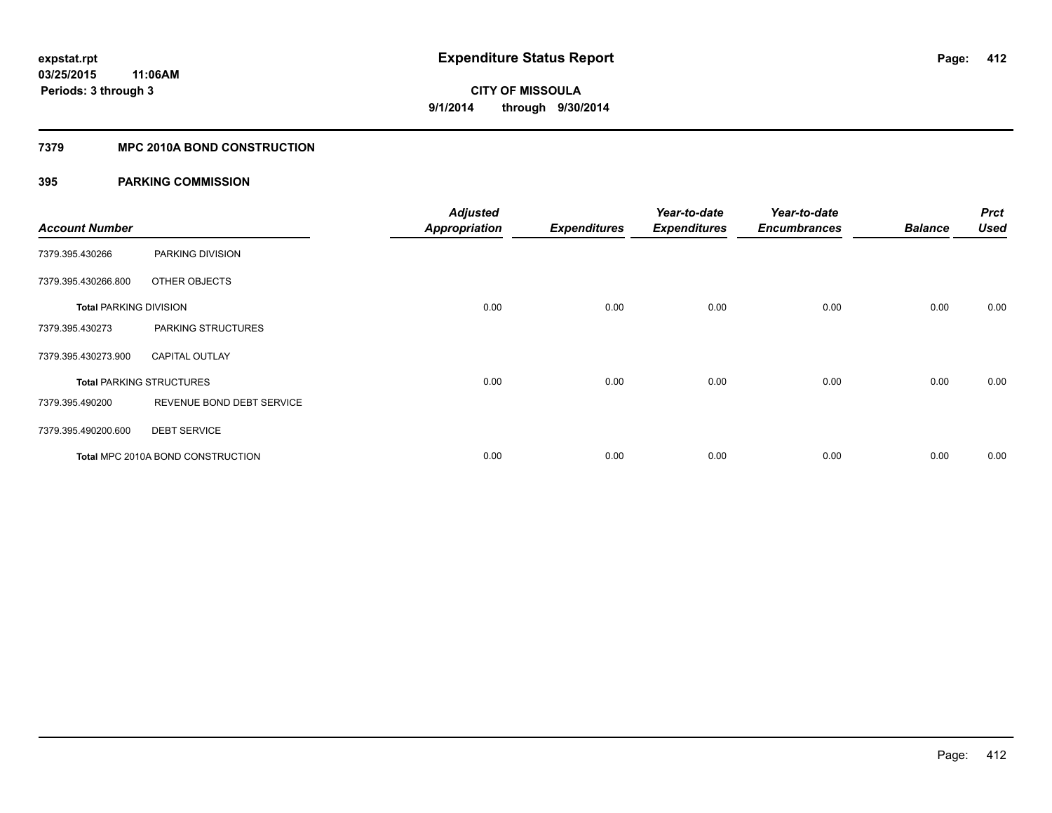#### **7379 MPC 2010A BOND CONSTRUCTION**

| <b>Account Number</b>         |                                   | <b>Adjusted</b><br><b>Appropriation</b> | <b>Expenditures</b> | Year-to-date<br><b>Expenditures</b> | Year-to-date<br><b>Encumbrances</b> | <b>Balance</b> | <b>Prct</b><br><b>Used</b> |
|-------------------------------|-----------------------------------|-----------------------------------------|---------------------|-------------------------------------|-------------------------------------|----------------|----------------------------|
| 7379.395.430266               | PARKING DIVISION                  |                                         |                     |                                     |                                     |                |                            |
| 7379.395.430266.800           | OTHER OBJECTS                     |                                         |                     |                                     |                                     |                |                            |
| <b>Total PARKING DIVISION</b> |                                   | 0.00                                    | 0.00                | 0.00                                | 0.00                                | 0.00           | 0.00                       |
| 7379.395.430273               | PARKING STRUCTURES                |                                         |                     |                                     |                                     |                |                            |
| 7379.395.430273.900           | <b>CAPITAL OUTLAY</b>             |                                         |                     |                                     |                                     |                |                            |
|                               | <b>Total PARKING STRUCTURES</b>   | 0.00                                    | 0.00                | 0.00                                | 0.00                                | 0.00           | 0.00                       |
| 7379.395.490200               | REVENUE BOND DEBT SERVICE         |                                         |                     |                                     |                                     |                |                            |
| 7379.395.490200.600           | <b>DEBT SERVICE</b>               |                                         |                     |                                     |                                     |                |                            |
|                               | Total MPC 2010A BOND CONSTRUCTION | 0.00                                    | 0.00                | 0.00                                | 0.00                                | 0.00           | 0.00                       |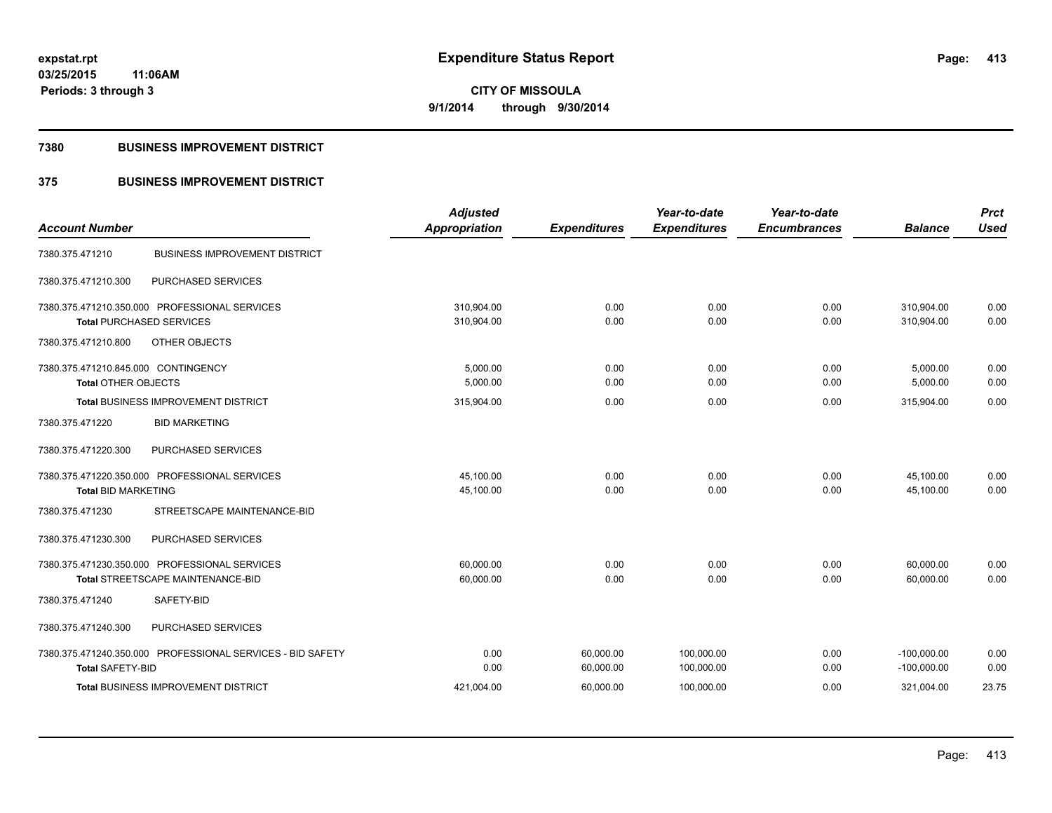**Periods: 3 through 3**

**CITY OF MISSOULA 9/1/2014 through 9/30/2014**

#### **7380 BUSINESS IMPROVEMENT DISTRICT**

### **375 BUSINESS IMPROVEMENT DISTRICT**

| <b>Account Number</b>                                      | <b>Adjusted</b><br>Appropriation | <b>Expenditures</b> | Year-to-date<br><b>Expenditures</b> | Year-to-date<br><b>Encumbrances</b> | <b>Balance</b> | <b>Prct</b><br><b>Used</b> |
|------------------------------------------------------------|----------------------------------|---------------------|-------------------------------------|-------------------------------------|----------------|----------------------------|
|                                                            |                                  |                     |                                     |                                     |                |                            |
| <b>BUSINESS IMPROVEMENT DISTRICT</b><br>7380.375.471210    |                                  |                     |                                     |                                     |                |                            |
| PURCHASED SERVICES<br>7380.375.471210.300                  |                                  |                     |                                     |                                     |                |                            |
| 7380.375.471210.350.000 PROFESSIONAL SERVICES              | 310.904.00                       | 0.00                | 0.00                                | 0.00                                | 310,904.00     | 0.00                       |
| <b>Total PURCHASED SERVICES</b>                            | 310,904.00                       | 0.00                | 0.00                                | 0.00                                | 310.904.00     | 0.00                       |
| 7380.375.471210.800<br>OTHER OBJECTS                       |                                  |                     |                                     |                                     |                |                            |
| 7380.375.471210.845.000 CONTINGENCY                        | 5,000.00                         | 0.00                | 0.00                                | 0.00                                | 5,000.00       | 0.00                       |
| <b>Total OTHER OBJECTS</b>                                 | 5,000.00                         | 0.00                | 0.00                                | 0.00                                | 5,000.00       | 0.00                       |
| <b>Total BUSINESS IMPROVEMENT DISTRICT</b>                 | 315,904.00                       | 0.00                | 0.00                                | 0.00                                | 315,904.00     | 0.00                       |
| <b>BID MARKETING</b><br>7380.375.471220                    |                                  |                     |                                     |                                     |                |                            |
| 7380.375.471220.300<br>PURCHASED SERVICES                  |                                  |                     |                                     |                                     |                |                            |
| 7380.375.471220.350.000 PROFESSIONAL SERVICES              | 45,100.00                        | 0.00                | 0.00                                | 0.00                                | 45,100.00      | 0.00                       |
| <b>Total BID MARKETING</b>                                 | 45,100.00                        | 0.00                | 0.00                                | 0.00                                | 45,100.00      | 0.00                       |
| 7380.375.471230<br>STREETSCAPE MAINTENANCE-BID             |                                  |                     |                                     |                                     |                |                            |
| PURCHASED SERVICES<br>7380.375.471230.300                  |                                  |                     |                                     |                                     |                |                            |
| 7380.375.471230.350.000 PROFESSIONAL SERVICES              | 60.000.00                        | 0.00                | 0.00                                | 0.00                                | 60,000.00      | 0.00                       |
| Total STREETSCAPE MAINTENANCE-BID                          | 60,000.00                        | 0.00                | 0.00                                | 0.00                                | 60,000.00      | 0.00                       |
| SAFETY-BID<br>7380.375.471240                              |                                  |                     |                                     |                                     |                |                            |
| 7380.375.471240.300<br>PURCHASED SERVICES                  |                                  |                     |                                     |                                     |                |                            |
| 7380.375.471240.350.000 PROFESSIONAL SERVICES - BID SAFETY | 0.00                             | 60,000.00           | 100,000.00                          | 0.00                                | $-100,000.00$  | 0.00                       |
| <b>Total SAFETY-BID</b>                                    | 0.00                             | 60,000.00           | 100,000.00                          | 0.00                                | $-100,000.00$  | 0.00                       |
| <b>Total BUSINESS IMPROVEMENT DISTRICT</b>                 | 421,004.00                       | 60,000.00           | 100,000.00                          | 0.00                                | 321,004.00     | 23.75                      |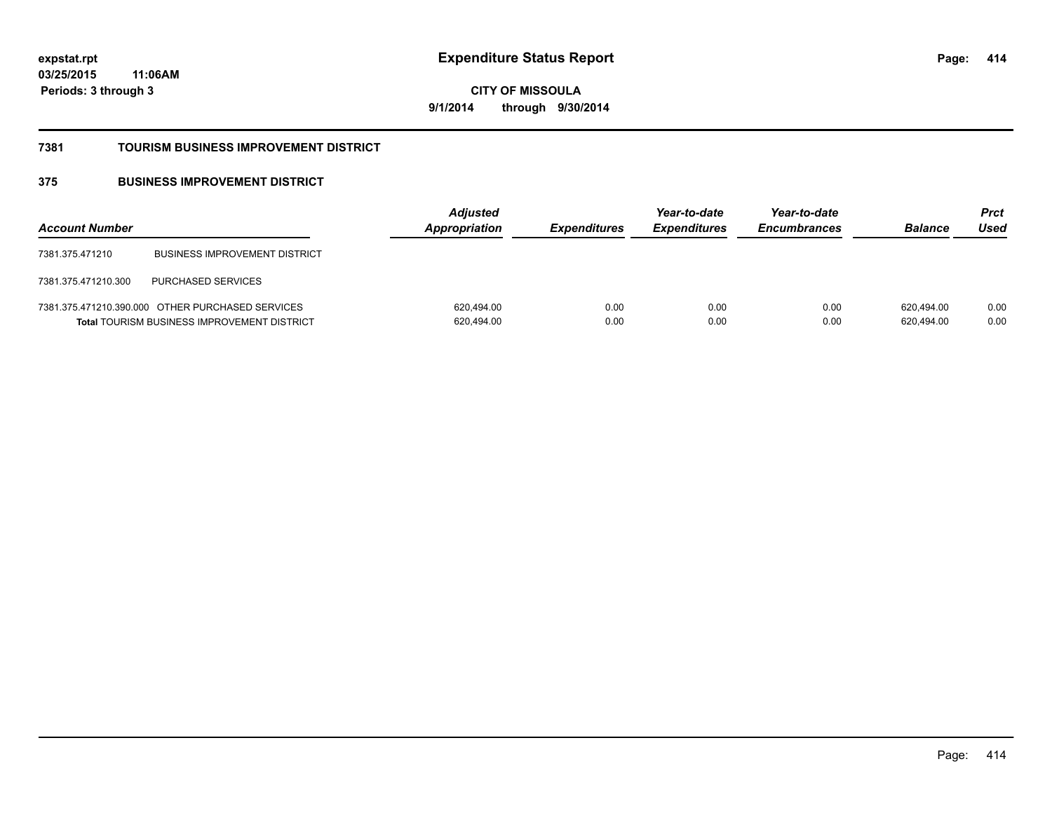**03/25/2015 11:06AM Periods: 3 through 3**

**CITY OF MISSOULA 9/1/2014 through 9/30/2014**

#### **7381 TOURISM BUSINESS IMPROVEMENT DISTRICT**

### **375 BUSINESS IMPROVEMENT DISTRICT**

| <b>Account Number</b> |                                                                                                        | <b>Adjusted</b><br>Appropriation | <b>Expenditures</b> | Year-to-date<br><b>Expenditures</b> | Year-to-date<br><b>Encumbrances</b> | <b>Balance</b>           | <b>Prct</b><br>Used |
|-----------------------|--------------------------------------------------------------------------------------------------------|----------------------------------|---------------------|-------------------------------------|-------------------------------------|--------------------------|---------------------|
| 7381.375.471210       | <b>BUSINESS IMPROVEMENT DISTRICT</b>                                                                   |                                  |                     |                                     |                                     |                          |                     |
| 7381.375.471210.300   | <b>PURCHASED SERVICES</b>                                                                              |                                  |                     |                                     |                                     |                          |                     |
|                       | 7381.375.471210.390.000 OTHER PURCHASED SERVICES<br><b>Total TOURISM BUSINESS IMPROVEMENT DISTRICT</b> | 620,494.00<br>620,494.00         | 0.00<br>0.00        | 0.00<br>0.00                        | 0.00<br>0.00                        | 620.494.00<br>620,494.00 | 0.00<br>0.00        |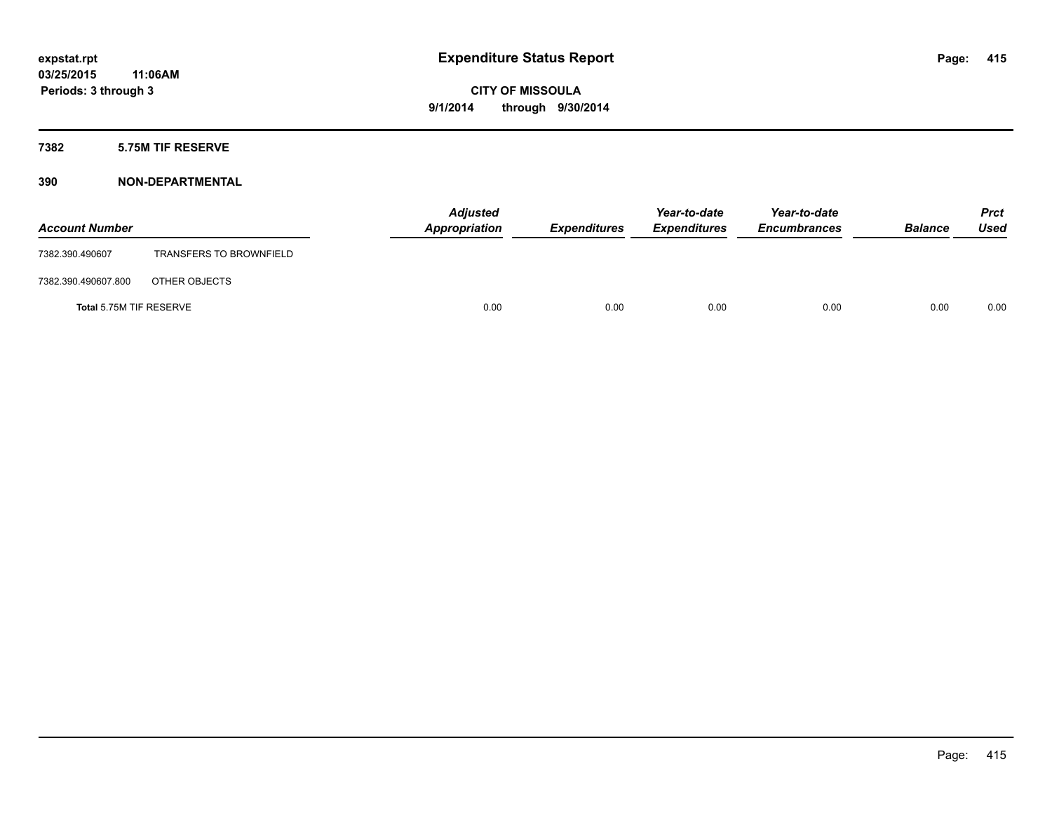#### **7382 5.75M TIF RESERVE**

| <b>Account Number</b>   |                                | <b>Adjusted</b><br>Appropriation | <b>Expenditures</b> | Year-to-date<br><b>Expenditures</b> | Year-to-date<br><b>Encumbrances</b> | <b>Balance</b> | <b>Prct</b><br><b>Used</b> |
|-------------------------|--------------------------------|----------------------------------|---------------------|-------------------------------------|-------------------------------------|----------------|----------------------------|
| 7382.390.490607         | <b>TRANSFERS TO BROWNFIELD</b> |                                  |                     |                                     |                                     |                |                            |
| 7382.390.490607.800     | OTHER OBJECTS                  |                                  |                     |                                     |                                     |                |                            |
| Total 5.75M TIF RESERVE |                                | 0.00                             | 0.00                | 0.00                                | 0.00                                | 0.00           | 0.00                       |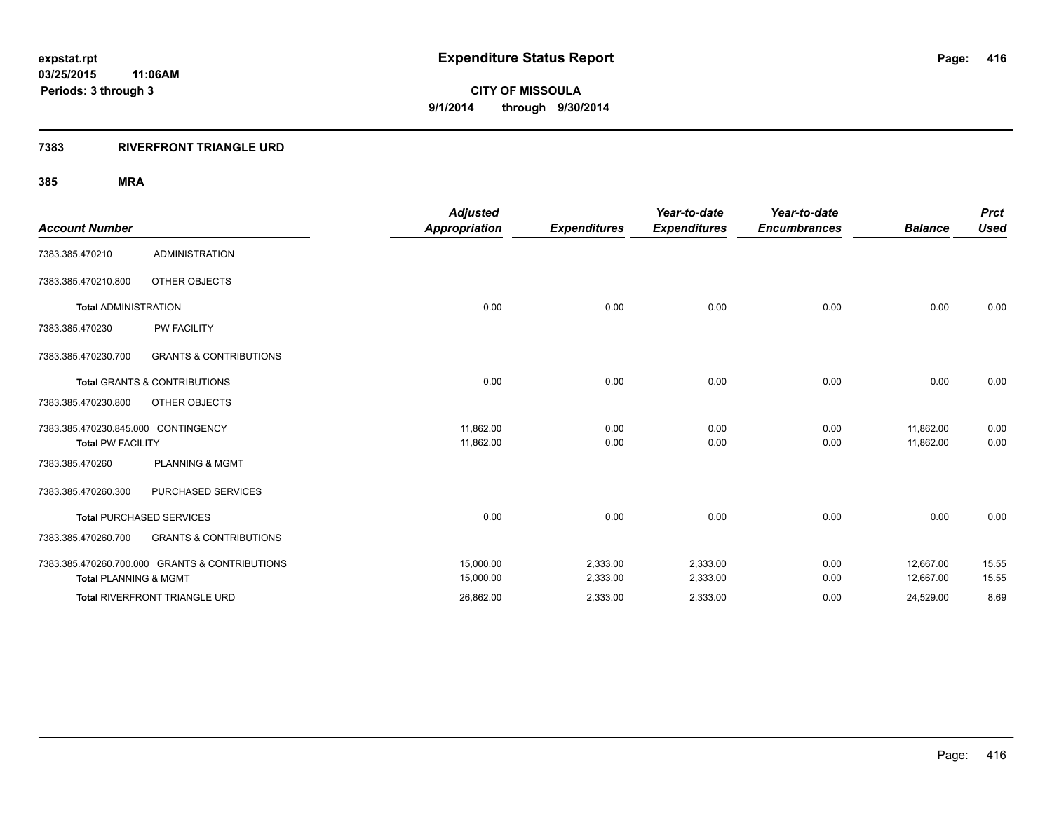#### **7383 RIVERFRONT TRIANGLE URD**

|                                     |                                                | <b>Adjusted</b>      |                     | Year-to-date        | Year-to-date        |                | <b>Prct</b> |
|-------------------------------------|------------------------------------------------|----------------------|---------------------|---------------------|---------------------|----------------|-------------|
| <b>Account Number</b>               |                                                | <b>Appropriation</b> | <b>Expenditures</b> | <b>Expenditures</b> | <b>Encumbrances</b> | <b>Balance</b> | <b>Used</b> |
| 7383.385.470210                     | <b>ADMINISTRATION</b>                          |                      |                     |                     |                     |                |             |
| 7383.385.470210.800                 | OTHER OBJECTS                                  |                      |                     |                     |                     |                |             |
| <b>Total ADMINISTRATION</b>         |                                                | 0.00                 | 0.00                | 0.00                | 0.00                | 0.00           | 0.00        |
| 7383.385.470230                     | <b>PW FACILITY</b>                             |                      |                     |                     |                     |                |             |
| 7383.385.470230.700                 | <b>GRANTS &amp; CONTRIBUTIONS</b>              |                      |                     |                     |                     |                |             |
|                                     | <b>Total GRANTS &amp; CONTRIBUTIONS</b>        | 0.00                 | 0.00                | 0.00                | 0.00                | 0.00           | 0.00        |
| 7383.385.470230.800                 | OTHER OBJECTS                                  |                      |                     |                     |                     |                |             |
| 7383.385.470230.845.000 CONTINGENCY |                                                | 11,862.00            | 0.00                | 0.00                | 0.00                | 11,862.00      | 0.00        |
| <b>Total PW FACILITY</b>            |                                                | 11,862.00            | 0.00                | 0.00                | 0.00                | 11.862.00      | 0.00        |
| 7383.385.470260                     | <b>PLANNING &amp; MGMT</b>                     |                      |                     |                     |                     |                |             |
| 7383.385.470260.300                 | PURCHASED SERVICES                             |                      |                     |                     |                     |                |             |
|                                     | <b>Total PURCHASED SERVICES</b>                | 0.00                 | 0.00                | 0.00                | 0.00                | 0.00           | 0.00        |
| 7383.385.470260.700                 | <b>GRANTS &amp; CONTRIBUTIONS</b>              |                      |                     |                     |                     |                |             |
|                                     | 7383.385.470260.700.000 GRANTS & CONTRIBUTIONS | 15,000.00            | 2,333.00            | 2,333.00            | 0.00                | 12,667.00      | 15.55       |
| <b>Total PLANNING &amp; MGMT</b>    |                                                | 15,000.00            | 2,333.00            | 2,333.00            | 0.00                | 12,667.00      | 15.55       |
|                                     | <b>Total RIVERFRONT TRIANGLE URD</b>           | 26,862.00            | 2,333.00            | 2,333.00            | 0.00                | 24,529.00      | 8.69        |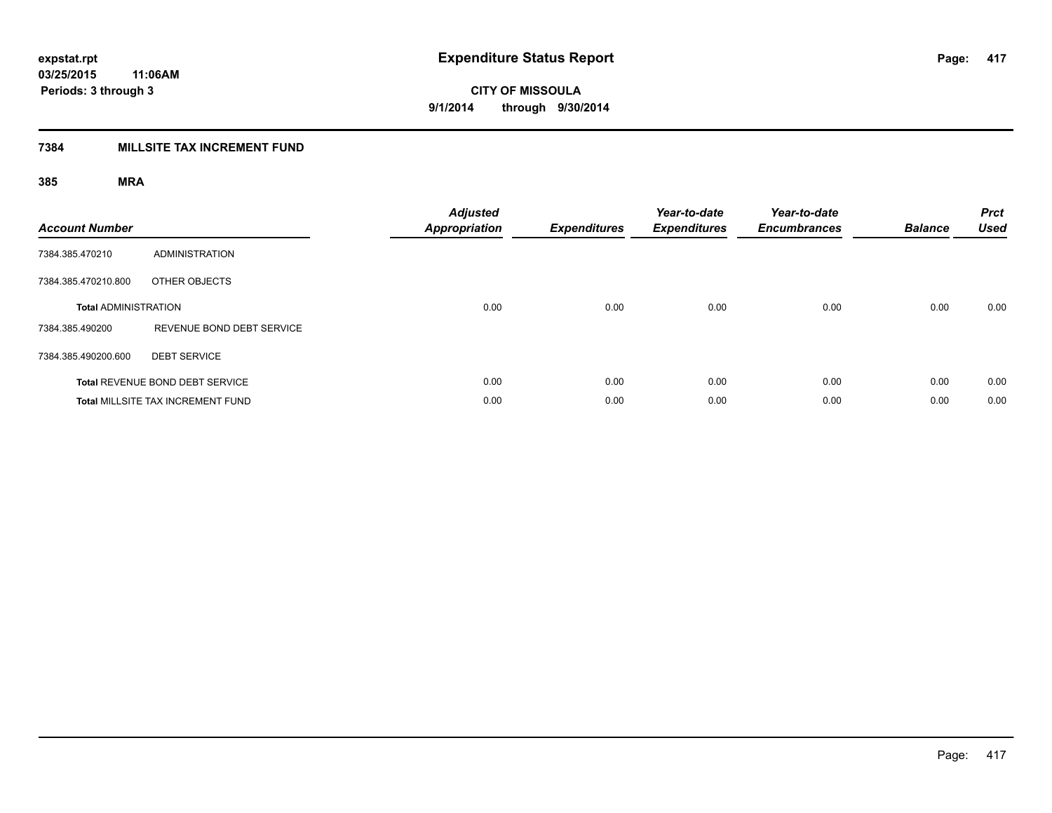### **7384 MILLSITE TAX INCREMENT FUND**

| <b>Account Number</b>       |                                          | <b>Adjusted</b><br><b>Appropriation</b> | <b>Expenditures</b> | Year-to-date<br><b>Expenditures</b> | Year-to-date<br><b>Encumbrances</b> | <b>Balance</b> | <b>Prct</b><br><b>Used</b> |
|-----------------------------|------------------------------------------|-----------------------------------------|---------------------|-------------------------------------|-------------------------------------|----------------|----------------------------|
| 7384.385.470210             | <b>ADMINISTRATION</b>                    |                                         |                     |                                     |                                     |                |                            |
| 7384.385.470210.800         | OTHER OBJECTS                            |                                         |                     |                                     |                                     |                |                            |
| <b>Total ADMINISTRATION</b> |                                          | 0.00                                    | 0.00                | 0.00                                | 0.00                                | 0.00           | 0.00                       |
| 7384.385.490200             | REVENUE BOND DEBT SERVICE                |                                         |                     |                                     |                                     |                |                            |
| 7384.385.490200.600         | <b>DEBT SERVICE</b>                      |                                         |                     |                                     |                                     |                |                            |
|                             | Total REVENUE BOND DEBT SERVICE          | 0.00                                    | 0.00                | 0.00                                | 0.00                                | 0.00           | 0.00                       |
|                             | <b>Total MILLSITE TAX INCREMENT FUND</b> | 0.00                                    | 0.00                | 0.00                                | 0.00                                | 0.00           | 0.00                       |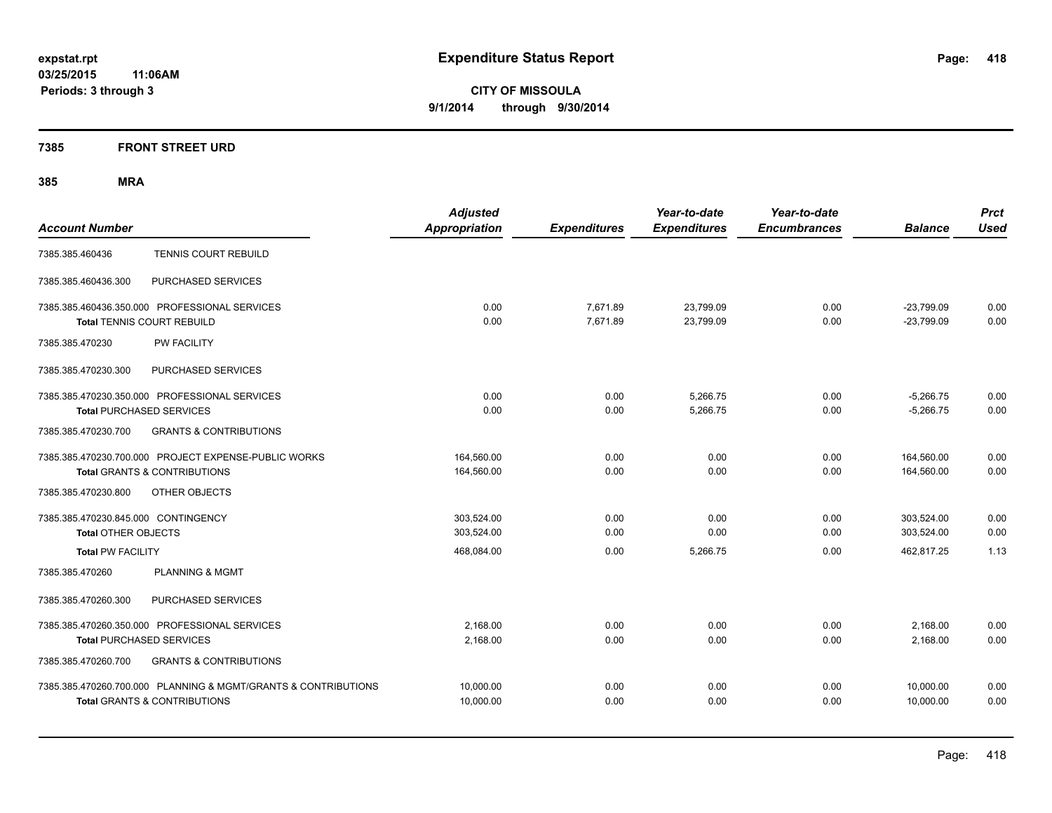#### **7385 FRONT STREET URD**

| <b>Account Number</b>                                                                                     | <b>Adjusted</b><br><b>Appropriation</b> | <b>Expenditures</b>  | Year-to-date<br><b>Expenditures</b> | Year-to-date<br><b>Encumbrances</b> | <b>Balance</b>               | <b>Prct</b><br><b>Used</b> |
|-----------------------------------------------------------------------------------------------------------|-----------------------------------------|----------------------|-------------------------------------|-------------------------------------|------------------------------|----------------------------|
| <b>TENNIS COURT REBUILD</b><br>7385.385.460436                                                            |                                         |                      |                                     |                                     |                              |                            |
| PURCHASED SERVICES<br>7385.385.460436.300                                                                 |                                         |                      |                                     |                                     |                              |                            |
| 7385.385.460436.350.000 PROFESSIONAL SERVICES<br><b>Total TENNIS COURT REBUILD</b>                        | 0.00<br>0.00                            | 7,671.89<br>7.671.89 | 23,799.09<br>23,799.09              | 0.00<br>0.00                        | $-23,799.09$<br>$-23.799.09$ | 0.00<br>0.00               |
| 7385.385.470230<br><b>PW FACILITY</b>                                                                     |                                         |                      |                                     |                                     |                              |                            |
| PURCHASED SERVICES<br>7385.385.470230.300                                                                 |                                         |                      |                                     |                                     |                              |                            |
| 7385.385.470230.350.000 PROFESSIONAL SERVICES<br><b>Total PURCHASED SERVICES</b>                          | 0.00<br>0.00                            | 0.00<br>0.00         | 5,266.75<br>5,266.75                | 0.00<br>0.00                        | $-5,266.75$<br>$-5,266.75$   | 0.00<br>0.00               |
| <b>GRANTS &amp; CONTRIBUTIONS</b><br>7385.385.470230.700                                                  |                                         |                      |                                     |                                     |                              |                            |
| 7385.385.470230.700.000 PROJECT EXPENSE-PUBLIC WORKS<br><b>Total GRANTS &amp; CONTRIBUTIONS</b>           | 164,560.00<br>164,560.00                | 0.00<br>0.00         | 0.00<br>0.00                        | 0.00<br>0.00                        | 164,560.00<br>164,560.00     | 0.00<br>0.00               |
| 7385.385.470230.800<br>OTHER OBJECTS                                                                      |                                         |                      |                                     |                                     |                              |                            |
| 7385.385.470230.845.000 CONTINGENCY<br><b>Total OTHER OBJECTS</b>                                         | 303,524.00<br>303,524.00                | 0.00<br>0.00         | 0.00<br>0.00                        | 0.00<br>0.00                        | 303,524.00<br>303,524.00     | 0.00<br>0.00               |
| <b>Total PW FACILITY</b>                                                                                  | 468,084.00                              | 0.00                 | 5,266.75                            | 0.00                                | 462,817.25                   | 1.13                       |
| <b>PLANNING &amp; MGMT</b><br>7385.385.470260                                                             |                                         |                      |                                     |                                     |                              |                            |
| PURCHASED SERVICES<br>7385.385.470260.300                                                                 |                                         |                      |                                     |                                     |                              |                            |
| 7385.385.470260.350.000 PROFESSIONAL SERVICES<br><b>Total PURCHASED SERVICES</b>                          | 2,168.00<br>2.168.00                    | 0.00<br>0.00         | 0.00<br>0.00                        | 0.00<br>0.00                        | 2,168.00<br>2.168.00         | 0.00<br>0.00               |
| 7385.385.470260.700<br><b>GRANTS &amp; CONTRIBUTIONS</b>                                                  |                                         |                      |                                     |                                     |                              |                            |
| 7385.385.470260.700.000 PLANNING & MGMT/GRANTS & CONTRIBUTIONS<br><b>Total GRANTS &amp; CONTRIBUTIONS</b> | 10,000.00<br>10,000.00                  | 0.00<br>0.00         | 0.00<br>0.00                        | 0.00<br>0.00                        | 10,000.00<br>10,000.00       | 0.00<br>0.00               |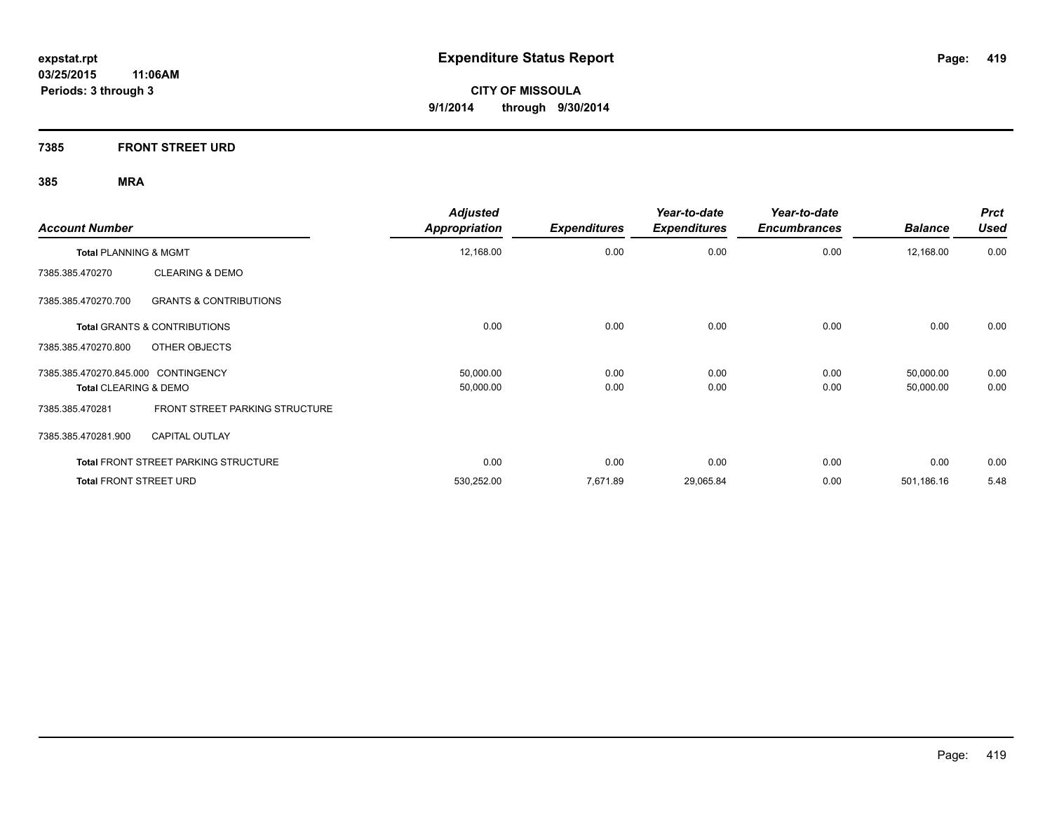**7385 FRONT STREET URD**

| <b>Account Number</b>                                    | <b>Adjusted</b><br><b>Appropriation</b> | <b>Expenditures</b> | Year-to-date<br><b>Expenditures</b> | Year-to-date<br><b>Encumbrances</b> | <b>Balance</b> | <b>Prct</b><br><b>Used</b> |
|----------------------------------------------------------|-----------------------------------------|---------------------|-------------------------------------|-------------------------------------|----------------|----------------------------|
| Total PLANNING & MGMT                                    | 12,168.00                               | 0.00                | 0.00                                | 0.00                                | 12,168.00      | 0.00                       |
| <b>CLEARING &amp; DEMO</b><br>7385.385.470270            |                                         |                     |                                     |                                     |                |                            |
| 7385.385.470270.700<br><b>GRANTS &amp; CONTRIBUTIONS</b> |                                         |                     |                                     |                                     |                |                            |
| <b>Total GRANTS &amp; CONTRIBUTIONS</b>                  | 0.00                                    | 0.00                | 0.00                                | 0.00                                | 0.00           | 0.00                       |
| OTHER OBJECTS<br>7385.385.470270.800                     |                                         |                     |                                     |                                     |                |                            |
| 7385.385.470270.845.000 CONTINGENCY                      | 50,000.00                               | 0.00                | 0.00                                | 0.00                                | 50,000.00      | 0.00                       |
| <b>Total CLEARING &amp; DEMO</b>                         | 50,000.00                               | 0.00                | 0.00                                | 0.00                                | 50,000.00      | 0.00                       |
| FRONT STREET PARKING STRUCTURE<br>7385.385.470281        |                                         |                     |                                     |                                     |                |                            |
| <b>CAPITAL OUTLAY</b><br>7385.385.470281.900             |                                         |                     |                                     |                                     |                |                            |
| <b>Total FRONT STREET PARKING STRUCTURE</b>              | 0.00                                    | 0.00                | 0.00                                | 0.00                                | 0.00           | 0.00                       |
| <b>Total FRONT STREET URD</b>                            | 530,252.00                              | 7,671.89            | 29,065.84                           | 0.00                                | 501,186.16     | 5.48                       |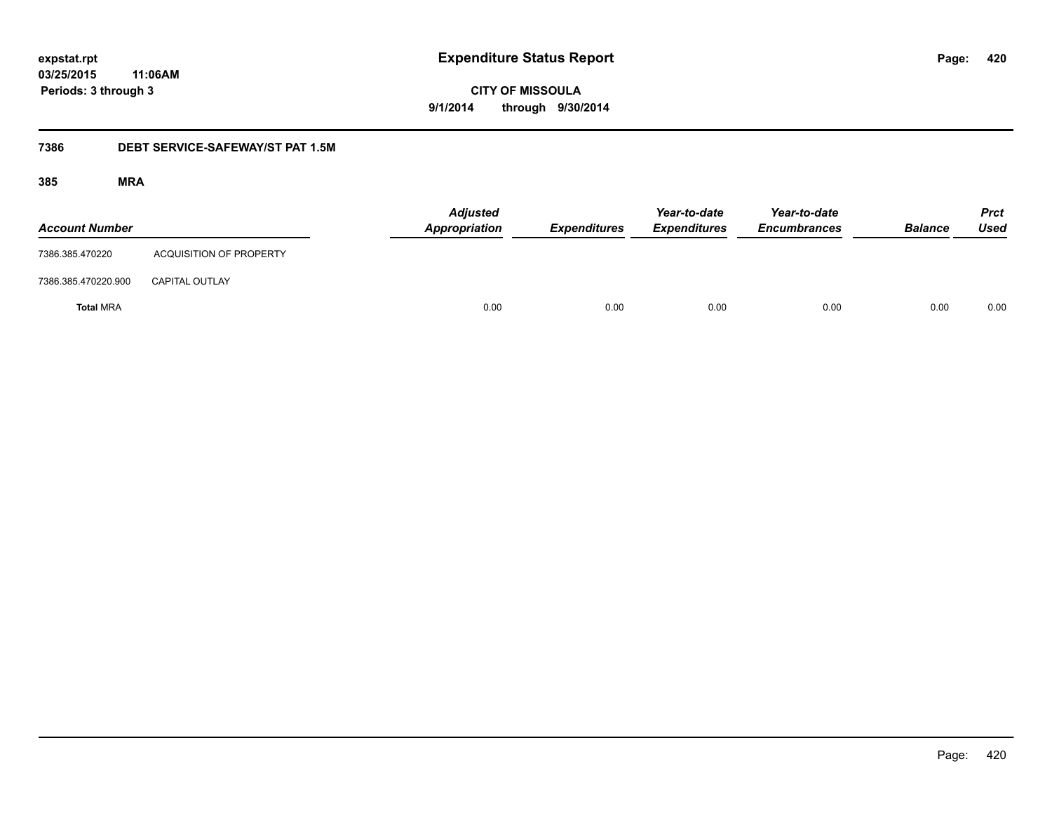**420**

**03/25/2015 11:06AM Periods: 3 through 3**

## **CITY OF MISSOULA 9/1/2014 through 9/30/2014**

#### **7386 DEBT SERVICE-SAFEWAY/ST PAT 1.5M**

| <b>Account Number</b> |                         | <b>Adjusted</b><br>Appropriation | <b>Expenditures</b> | Year-to-date<br><b>Expenditures</b> | Year-to-date<br><b>Encumbrances</b> | <b>Balance</b> | <b>Prct</b><br><b>Used</b> |
|-----------------------|-------------------------|----------------------------------|---------------------|-------------------------------------|-------------------------------------|----------------|----------------------------|
| 7386.385.470220       | ACQUISITION OF PROPERTY |                                  |                     |                                     |                                     |                |                            |
| 7386.385.470220.900   | <b>CAPITAL OUTLAY</b>   |                                  |                     |                                     |                                     |                |                            |
| <b>Total MRA</b>      |                         | 0.00                             | 0.00                | 0.00                                | 0.00                                | 0.00           | 0.00                       |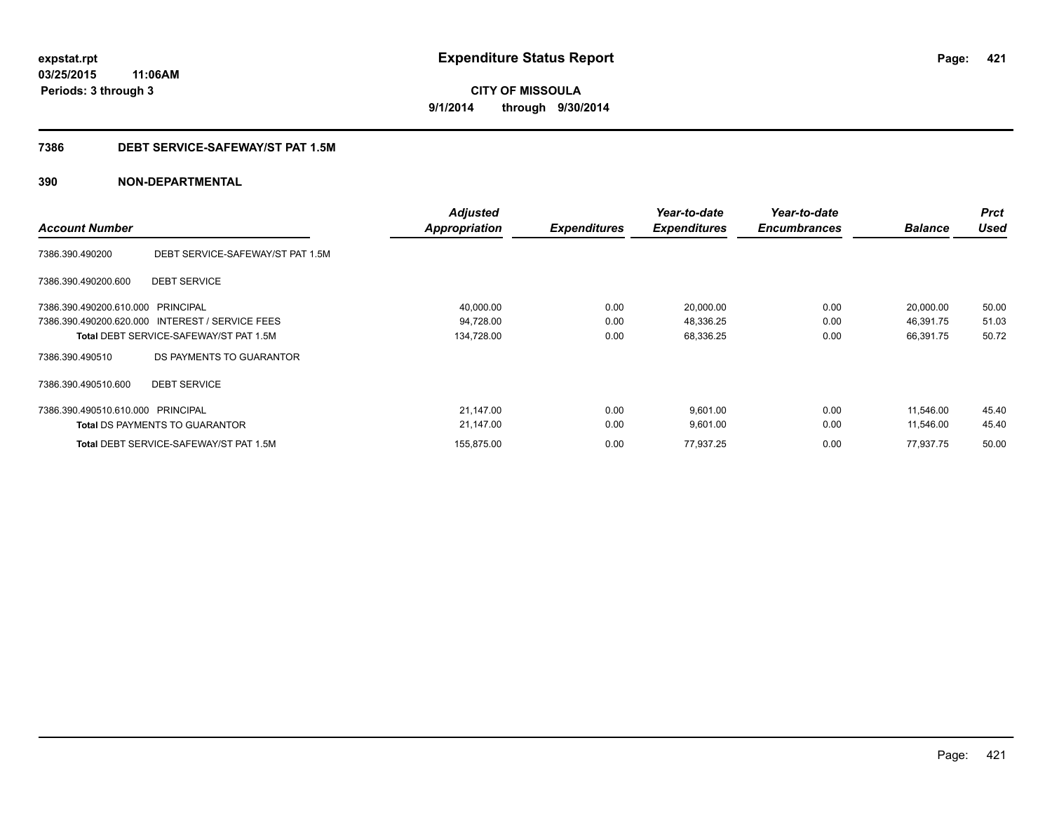## **03/25/2015 11:06AM Periods: 3 through 3**

**CITY OF MISSOULA 9/1/2014 through 9/30/2014**

#### **7386 DEBT SERVICE-SAFEWAY/ST PAT 1.5M**

| <b>Account Number</b>             |                                                 | <b>Adjusted</b><br>Appropriation | <b>Expenditures</b> | Year-to-date<br><b>Expenditures</b> | Year-to-date<br><b>Encumbrances</b> | <b>Balance</b> | <b>Prct</b><br><b>Used</b> |
|-----------------------------------|-------------------------------------------------|----------------------------------|---------------------|-------------------------------------|-------------------------------------|----------------|----------------------------|
| 7386.390.490200                   | DEBT SERVICE-SAFEWAY/ST PAT 1.5M                |                                  |                     |                                     |                                     |                |                            |
| 7386.390.490200.600               | <b>DEBT SERVICE</b>                             |                                  |                     |                                     |                                     |                |                            |
| 7386.390.490200.610.000 PRINCIPAL |                                                 | 40,000.00                        | 0.00                | 20,000.00                           | 0.00                                | 20,000.00      | 50.00                      |
|                                   | 7386.390.490200.620.000 INTEREST / SERVICE FEES | 94,728.00                        | 0.00                | 48,336.25                           | 0.00                                | 46,391.75      | 51.03                      |
|                                   | <b>Total DEBT SERVICE-SAFEWAY/ST PAT 1.5M</b>   | 134,728.00                       | 0.00                | 68,336.25                           | 0.00                                | 66,391.75      | 50.72                      |
| 7386.390.490510                   | DS PAYMENTS TO GUARANTOR                        |                                  |                     |                                     |                                     |                |                            |
| 7386.390.490510.600               | <b>DEBT SERVICE</b>                             |                                  |                     |                                     |                                     |                |                            |
| 7386.390.490510.610.000 PRINCIPAL |                                                 | 21,147.00                        | 0.00                | 9,601.00                            | 0.00                                | 11,546.00      | 45.40                      |
|                                   | <b>Total DS PAYMENTS TO GUARANTOR</b>           | 21,147.00                        | 0.00                | 9,601.00                            | 0.00                                | 11,546.00      | 45.40                      |
|                                   | <b>Total DEBT SERVICE-SAFEWAY/ST PAT 1.5M</b>   | 155,875.00                       | 0.00                | 77,937.25                           | 0.00                                | 77,937.75      | 50.00                      |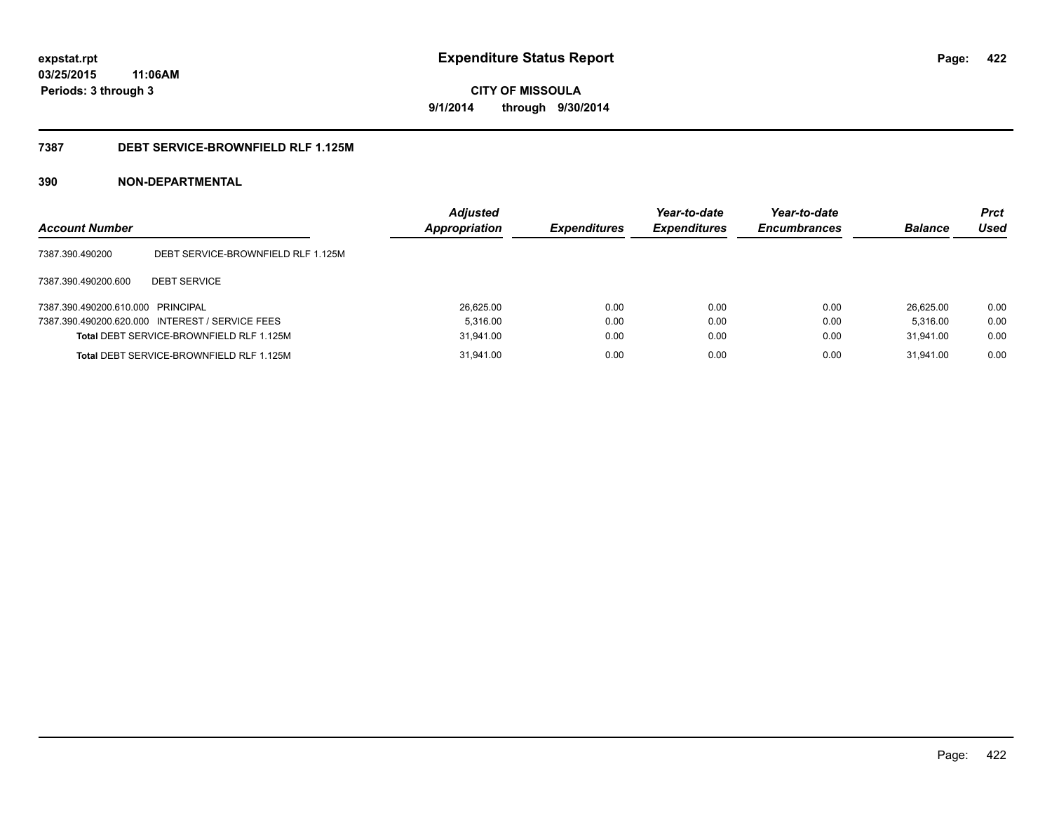### **03/25/2015 11:06AM Periods: 3 through 3**

**CITY OF MISSOULA 9/1/2014 through 9/30/2014**

#### **7387 DEBT SERVICE-BROWNFIELD RLF 1.125M**

| <b>Account Number</b>             |                                                 | <b>Adjusted</b><br><b>Appropriation</b> | <b>Expenditures</b> | Year-to-date<br><b>Expenditures</b> | Year-to-date<br><b>Encumbrances</b> | <b>Balance</b> | <b>Prct</b><br>Used |
|-----------------------------------|-------------------------------------------------|-----------------------------------------|---------------------|-------------------------------------|-------------------------------------|----------------|---------------------|
| 7387.390.490200                   | DEBT SERVICE-BROWNFIELD RLF 1.125M              |                                         |                     |                                     |                                     |                |                     |
| 7387.390.490200.600               | <b>DEBT SERVICE</b>                             |                                         |                     |                                     |                                     |                |                     |
| 7387.390.490200.610.000 PRINCIPAL |                                                 | 26.625.00                               | 0.00                | 0.00                                | 0.00                                | 26.625.00      | 0.00                |
|                                   | 7387.390.490200.620.000 INTEREST / SERVICE FEES | 5.316.00                                | 0.00                | 0.00                                | 0.00                                | 5.316.00       | 0.00                |
|                                   | Total DEBT SERVICE-BROWNFIELD RLF 1.125M        | 31.941.00                               | 0.00                | 0.00                                | 0.00                                | 31.941.00      | 0.00                |
|                                   | Total DEBT SERVICE-BROWNFIELD RLF 1.125M        | 31,941.00                               | 0.00                | 0.00                                | 0.00                                | 31.941.00      | 0.00                |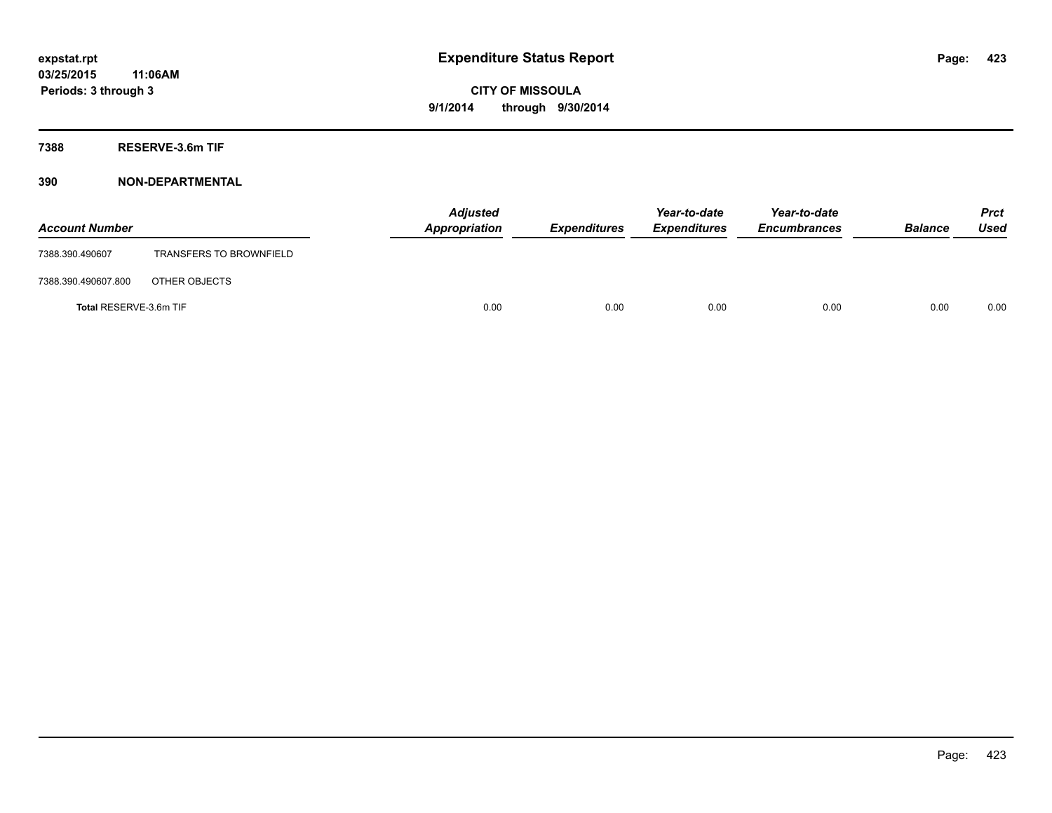**7388 RESERVE-3.6m TIF**

| <b>Account Number</b>  |                                | <b>Adjusted</b><br>Appropriation | <b>Expenditures</b> | Year-to-date<br><b>Expenditures</b> | Year-to-date<br><b>Encumbrances</b> | <b>Balance</b> | Prct<br><b>Used</b> |
|------------------------|--------------------------------|----------------------------------|---------------------|-------------------------------------|-------------------------------------|----------------|---------------------|
| 7388.390.490607        | <b>TRANSFERS TO BROWNFIELD</b> |                                  |                     |                                     |                                     |                |                     |
| 7388.390.490607.800    | OTHER OBJECTS                  |                                  |                     |                                     |                                     |                |                     |
| Total RESERVE-3.6m TIF |                                | 0.00                             | 0.00                | 0.00                                | 0.00                                | 0.00           | 0.00                |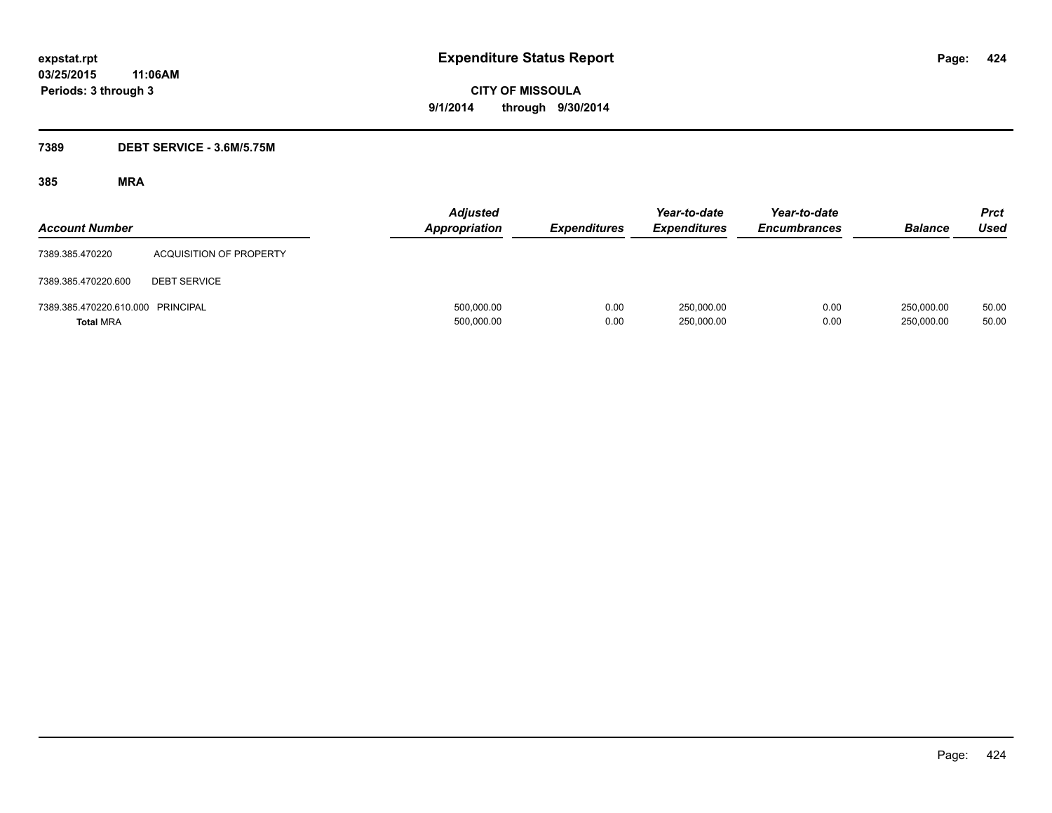#### **7389 DEBT SERVICE - 3.6M/5.75M**

| <b>Account Number</b>                                 |                                | <b>Adjusted</b><br><b>Appropriation</b> | <b>Expenditures</b> | Year-to-date<br><b>Expenditures</b> | Year-to-date<br><b>Encumbrances</b> | <b>Balance</b>           | Prct<br><b>Used</b> |
|-------------------------------------------------------|--------------------------------|-----------------------------------------|---------------------|-------------------------------------|-------------------------------------|--------------------------|---------------------|
| 7389.385.470220                                       | <b>ACQUISITION OF PROPERTY</b> |                                         |                     |                                     |                                     |                          |                     |
| 7389.385.470220.600                                   | <b>DEBT SERVICE</b>            |                                         |                     |                                     |                                     |                          |                     |
| 7389.385.470220.610.000 PRINCIPAL<br><b>Total MRA</b> |                                | 500,000.00<br>500,000.00                | 0.00<br>0.00        | 250,000.00<br>250,000.00            | 0.00<br>0.00                        | 250,000.00<br>250,000.00 | 50.00<br>50.00      |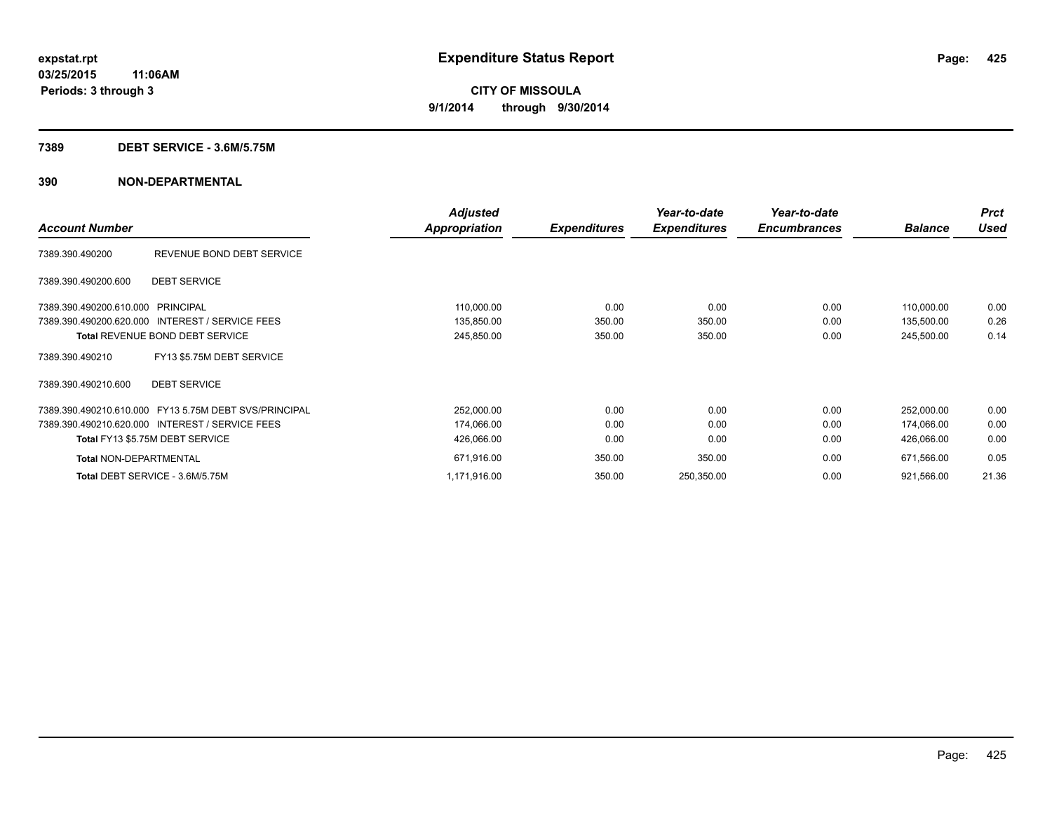#### **7389 DEBT SERVICE - 3.6M/5.75M**

|                                                       | <b>Adjusted</b>      |                     | Year-to-date        | Year-to-date        |                | <b>Prct</b> |
|-------------------------------------------------------|----------------------|---------------------|---------------------|---------------------|----------------|-------------|
| <b>Account Number</b>                                 | <b>Appropriation</b> | <b>Expenditures</b> | <b>Expenditures</b> | <b>Encumbrances</b> | <b>Balance</b> | <b>Used</b> |
| REVENUE BOND DEBT SERVICE<br>7389.390.490200          |                      |                     |                     |                     |                |             |
| <b>DEBT SERVICE</b><br>7389.390.490200.600            |                      |                     |                     |                     |                |             |
| 7389.390.490200.610.000 PRINCIPAL                     | 110,000.00           | 0.00                | 0.00                | 0.00                | 110,000.00     | 0.00        |
| 7389.390.490200.620.000 INTEREST / SERVICE FEES       | 135,850.00           | 350.00              | 350.00              | 0.00                | 135,500.00     | 0.26        |
| <b>Total REVENUE BOND DEBT SERVICE</b>                | 245,850.00           | 350.00              | 350.00              | 0.00                | 245,500.00     | 0.14        |
| FY13 \$5.75M DEBT SERVICE<br>7389.390.490210          |                      |                     |                     |                     |                |             |
| <b>DEBT SERVICE</b><br>7389.390.490210.600            |                      |                     |                     |                     |                |             |
| 7389.390.490210.610.000 FY13 5.75M DEBT SVS/PRINCIPAL | 252,000.00           | 0.00                | 0.00                | 0.00                | 252,000.00     | 0.00        |
| 7389.390.490210.620.000 INTEREST / SERVICE FEES       | 174,066.00           | 0.00                | 0.00                | 0.00                | 174,066.00     | 0.00        |
| Total FY13 \$5.75M DEBT SERVICE                       | 426,066.00           | 0.00                | 0.00                | 0.00                | 426,066.00     | 0.00        |
| <b>Total NON-DEPARTMENTAL</b>                         | 671,916.00           | 350.00              | 350.00              | 0.00                | 671,566.00     | 0.05        |
| Total DEBT SERVICE - 3.6M/5.75M                       | 1,171,916.00         | 350.00              | 250,350.00          | 0.00                | 921,566.00     | 21.36       |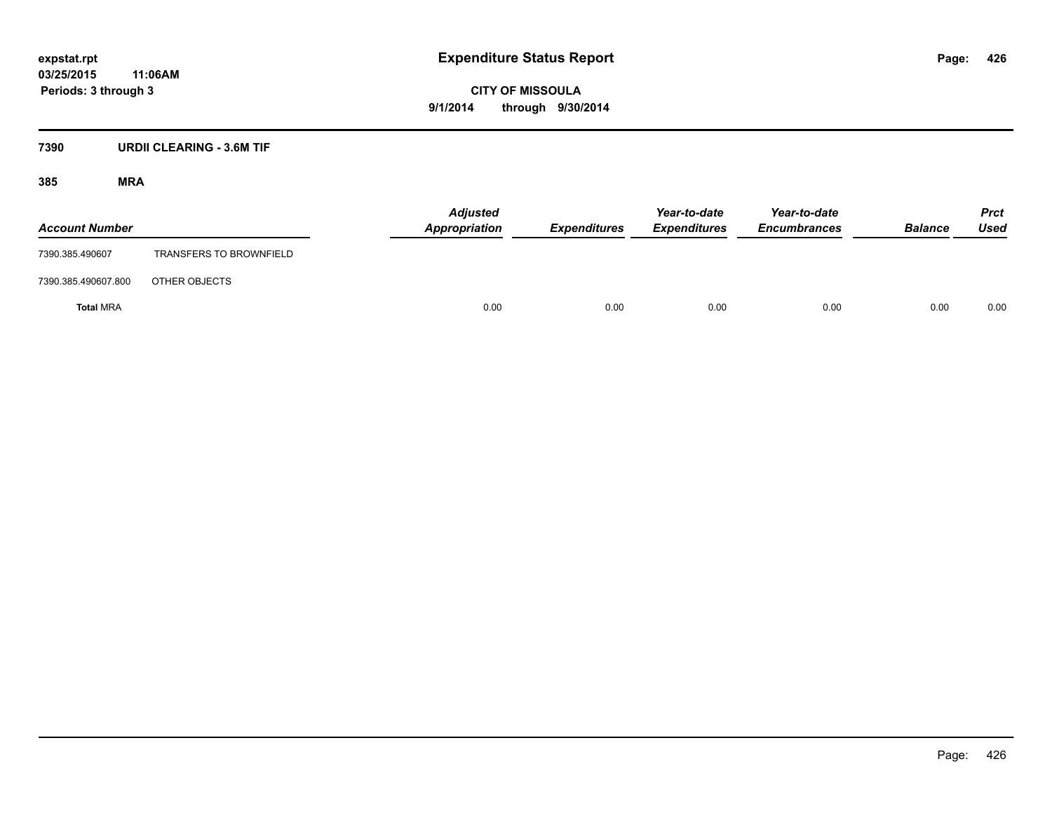## **03/25/2015 11:06AM Periods: 3 through 3**

**CITY OF MISSOULA 9/1/2014 through 9/30/2014**

#### **7390 URDII CLEARING - 3.6M TIF**

| <b>Account Number</b> |                                | <b>Adjusted</b><br>Appropriation | <b>Expenditures</b> | Year-to-date<br><b>Expenditures</b> | Year-to-date<br><b>Encumbrances</b> | <b>Balance</b> | <b>Prct</b><br>Used |
|-----------------------|--------------------------------|----------------------------------|---------------------|-------------------------------------|-------------------------------------|----------------|---------------------|
| 7390.385.490607       | <b>TRANSFERS TO BROWNFIELD</b> |                                  |                     |                                     |                                     |                |                     |
| 7390.385.490607.800   | OTHER OBJECTS                  |                                  |                     |                                     |                                     |                |                     |
| <b>Total MRA</b>      |                                | 0.00                             | 0.00                | 0.00                                | 0.00                                | 0.00           | 0.00                |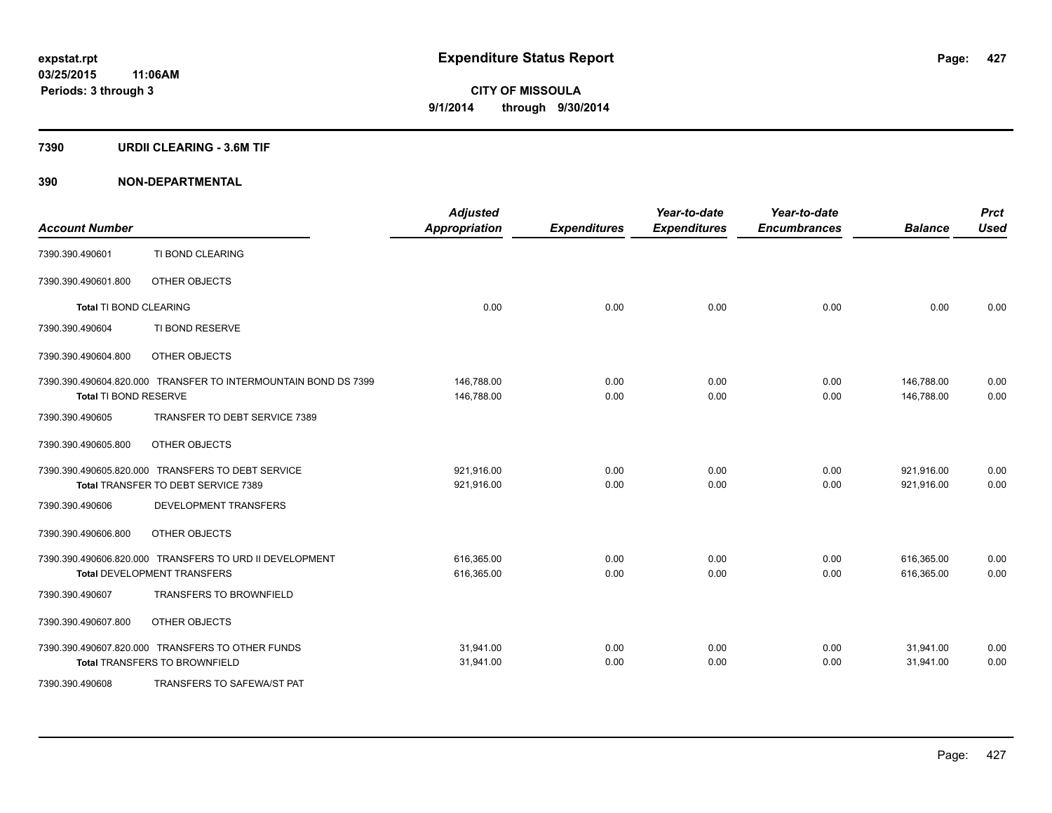#### **7390 URDII CLEARING - 3.6M TIF**

| <b>Account Number</b>  |                                                                                               | <b>Adjusted</b><br><b>Appropriation</b> | <b>Expenditures</b> | Year-to-date<br><b>Expenditures</b> | Year-to-date<br><b>Encumbrances</b> | <b>Balance</b>           | <b>Prct</b><br><b>Used</b> |
|------------------------|-----------------------------------------------------------------------------------------------|-----------------------------------------|---------------------|-------------------------------------|-------------------------------------|--------------------------|----------------------------|
| 7390.390.490601        | TI BOND CLEARING                                                                              |                                         |                     |                                     |                                     |                          |                            |
| 7390.390.490601.800    | OTHER OBJECTS                                                                                 |                                         |                     |                                     |                                     |                          |                            |
| Total TI BOND CLEARING |                                                                                               | 0.00                                    | 0.00                | 0.00                                | 0.00                                | 0.00                     | 0.00                       |
| 7390.390.490604        | TI BOND RESERVE                                                                               |                                         |                     |                                     |                                     |                          |                            |
| 7390.390.490604.800    | OTHER OBJECTS                                                                                 |                                         |                     |                                     |                                     |                          |                            |
|                        | 7390.390.490604.820.000 TRANSFER TO INTERMOUNTAIN BOND DS 7399                                | 146,788.00                              | 0.00                | 0.00                                | 0.00                                | 146,788.00               | 0.00                       |
| Total TI BOND RESERVE  |                                                                                               | 146,788.00                              | 0.00                | 0.00                                | 0.00                                | 146.788.00               | 0.00                       |
| 7390.390.490605        | TRANSFER TO DEBT SERVICE 7389                                                                 |                                         |                     |                                     |                                     |                          |                            |
| 7390.390.490605.800    | OTHER OBJECTS                                                                                 |                                         |                     |                                     |                                     |                          |                            |
|                        | 7390.390.490605.820.000 TRANSFERS TO DEBT SERVICE<br>Total TRANSFER TO DEBT SERVICE 7389      | 921,916.00<br>921,916.00                | 0.00<br>0.00        | 0.00<br>0.00                        | 0.00<br>0.00                        | 921,916.00<br>921,916.00 | 0.00<br>0.00               |
| 7390.390.490606        | <b>DEVELOPMENT TRANSFERS</b>                                                                  |                                         |                     |                                     |                                     |                          |                            |
|                        |                                                                                               |                                         |                     |                                     |                                     |                          |                            |
| 7390.390.490606.800    | OTHER OBJECTS                                                                                 |                                         |                     |                                     |                                     |                          |                            |
|                        | 7390.390.490606.820.000 TRANSFERS TO URD II DEVELOPMENT<br><b>Total DEVELOPMENT TRANSFERS</b> | 616,365.00<br>616,365.00                | 0.00<br>0.00        | 0.00<br>0.00                        | 0.00<br>0.00                        | 616,365.00<br>616,365.00 | 0.00<br>0.00               |
| 7390.390.490607        | <b>TRANSFERS TO BROWNFIELD</b>                                                                |                                         |                     |                                     |                                     |                          |                            |
| 7390.390.490607.800    | OTHER OBJECTS                                                                                 |                                         |                     |                                     |                                     |                          |                            |
|                        | 7390.390.490607.820.000 TRANSFERS TO OTHER FUNDS<br><b>Total TRANSFERS TO BROWNFIELD</b>      | 31,941.00<br>31,941.00                  | 0.00<br>0.00        | 0.00<br>0.00                        | 0.00<br>0.00                        | 31,941.00<br>31,941.00   | 0.00<br>0.00               |
| 7390.390.490608        | TRANSFERS TO SAFEWA/ST PAT                                                                    |                                         |                     |                                     |                                     |                          |                            |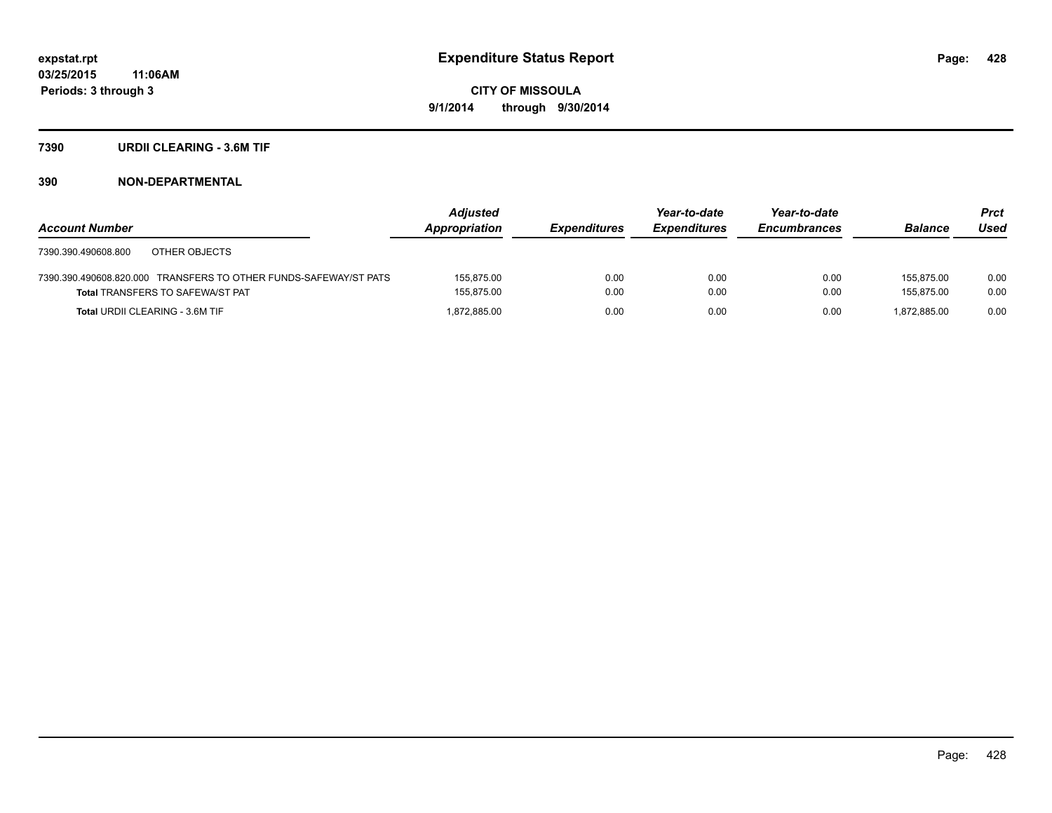#### **7390 URDII CLEARING - 3.6M TIF**

|                                                                  | Adjusted      |                     | Year-to-date        | Year-to-date        |                | <b>Prct</b> |
|------------------------------------------------------------------|---------------|---------------------|---------------------|---------------------|----------------|-------------|
| <b>Account Number</b>                                            | Appropriation | <b>Expenditures</b> | <b>Expenditures</b> | <b>Encumbrances</b> | <b>Balance</b> | Used        |
| OTHER OBJECTS<br>7390.390.490608.800                             |               |                     |                     |                     |                |             |
| 7390.390.490608.820.000 TRANSFERS TO OTHER FUNDS-SAFEWAY/ST PATS | 155.875.00    | 0.00                | 0.00                | 0.00                | 155.875.00     | 0.00        |
| <b>Total TRANSFERS TO SAFEWA/ST PAT</b>                          | 155.875.00    | 0.00                | 0.00                | 0.00                | 155.875.00     | 0.00        |
| <b>Total URDII CLEARING - 3.6M TIF</b>                           | 1,872,885.00  | 0.00                | 0.00                | 0.00                | 1.872.885.00   | 0.00        |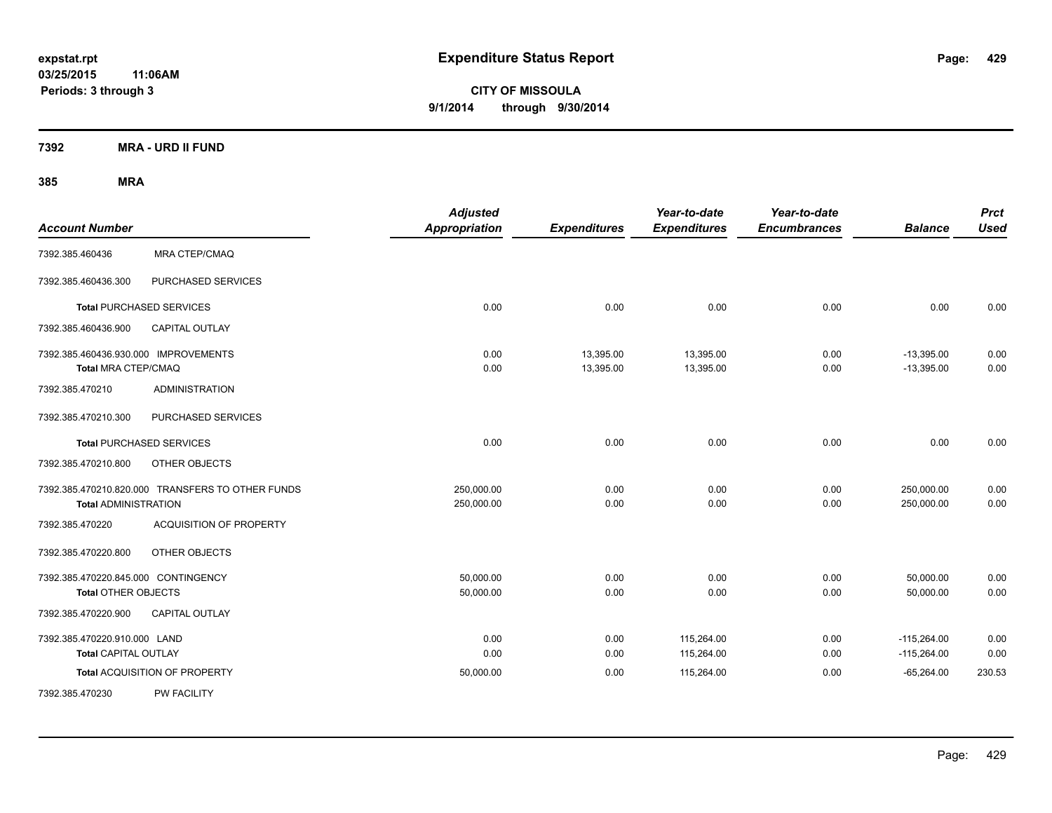**03/25/2015 11:06AM Periods: 3 through 3**

**CITY OF MISSOULA 9/1/2014 through 9/30/2014**

**7392 MRA - URD II FUND**

| <b>Account Number</b>                                             |                                                  | <b>Adjusted</b><br><b>Appropriation</b> | <b>Expenditures</b>    | Year-to-date<br><b>Expenditures</b> | Year-to-date<br><b>Encumbrances</b> | <b>Balance</b>                 | <b>Prct</b><br><b>Used</b> |
|-------------------------------------------------------------------|--------------------------------------------------|-----------------------------------------|------------------------|-------------------------------------|-------------------------------------|--------------------------------|----------------------------|
| 7392.385.460436                                                   | <b>MRA CTEP/CMAQ</b>                             |                                         |                        |                                     |                                     |                                |                            |
| 7392.385.460436.300                                               | PURCHASED SERVICES                               |                                         |                        |                                     |                                     |                                |                            |
| <b>Total PURCHASED SERVICES</b>                                   |                                                  | 0.00                                    | 0.00                   | 0.00                                | 0.00                                | 0.00                           | 0.00                       |
| 7392.385.460436.900                                               | <b>CAPITAL OUTLAY</b>                            |                                         |                        |                                     |                                     |                                |                            |
| 7392.385.460436.930.000 IMPROVEMENTS<br>Total MRA CTEP/CMAQ       |                                                  | 0.00<br>0.00                            | 13,395.00<br>13,395.00 | 13,395.00<br>13,395.00              | 0.00<br>0.00                        | $-13,395.00$<br>$-13,395.00$   | 0.00<br>0.00               |
| 7392.385.470210                                                   | <b>ADMINISTRATION</b>                            |                                         |                        |                                     |                                     |                                |                            |
| 7392.385.470210.300                                               | PURCHASED SERVICES                               |                                         |                        |                                     |                                     |                                |                            |
| <b>Total PURCHASED SERVICES</b>                                   |                                                  | 0.00                                    | 0.00                   | 0.00                                | 0.00                                | 0.00                           | 0.00                       |
| 7392.385.470210.800                                               | OTHER OBJECTS                                    |                                         |                        |                                     |                                     |                                |                            |
| <b>Total ADMINISTRATION</b>                                       | 7392.385.470210.820.000 TRANSFERS TO OTHER FUNDS | 250,000.00<br>250,000.00                | 0.00<br>0.00           | 0.00<br>0.00                        | 0.00<br>0.00                        | 250,000.00<br>250,000.00       | 0.00<br>0.00               |
| 7392.385.470220                                                   | <b>ACQUISITION OF PROPERTY</b>                   |                                         |                        |                                     |                                     |                                |                            |
| 7392.385.470220.800                                               | OTHER OBJECTS                                    |                                         |                        |                                     |                                     |                                |                            |
| 7392.385.470220.845.000 CONTINGENCY<br><b>Total OTHER OBJECTS</b> |                                                  | 50,000.00<br>50,000.00                  | 0.00<br>0.00           | 0.00<br>0.00                        | 0.00<br>0.00                        | 50,000.00<br>50,000.00         | 0.00<br>0.00               |
| 7392.385.470220.900                                               | CAPITAL OUTLAY                                   |                                         |                        |                                     |                                     |                                |                            |
| 7392.385.470220.910.000 LAND<br>Total CAPITAL OUTLAY              |                                                  | 0.00<br>0.00                            | 0.00<br>0.00           | 115,264.00<br>115,264.00            | 0.00<br>0.00                        | $-115,264.00$<br>$-115,264.00$ | 0.00<br>0.00               |
|                                                                   | Total ACQUISITION OF PROPERTY                    | 50,000.00                               | 0.00                   | 115,264.00                          | 0.00                                | $-65,264.00$                   | 230.53                     |
| 7392.385.470230                                                   | <b>PW FACILITY</b>                               |                                         |                        |                                     |                                     |                                |                            |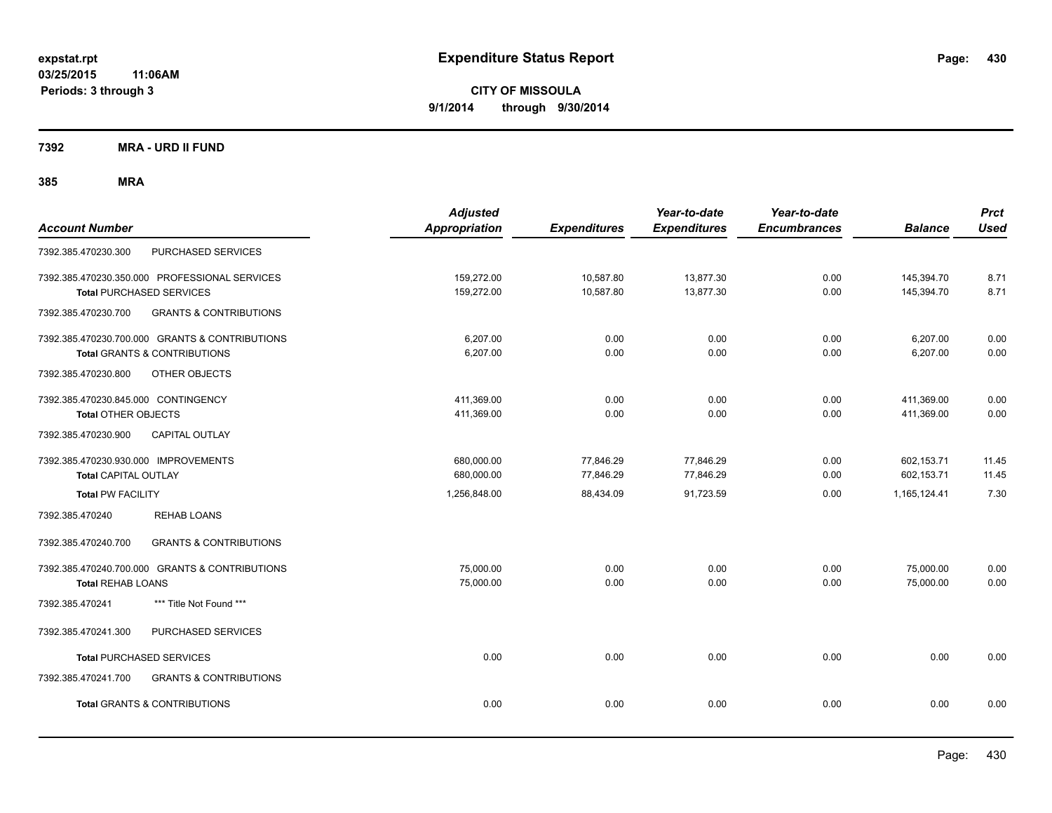**7392 MRA - URD II FUND**

| <b>Account Number</b>                                                                     | <b>Adjusted</b><br>Appropriation | <b>Expenditures</b>    | Year-to-date<br><b>Expenditures</b> | Year-to-date<br><b>Encumbrances</b> | <b>Balance</b>           | <b>Prct</b><br><b>Used</b> |
|-------------------------------------------------------------------------------------------|----------------------------------|------------------------|-------------------------------------|-------------------------------------|--------------------------|----------------------------|
| PURCHASED SERVICES<br>7392.385.470230.300                                                 |                                  |                        |                                     |                                     |                          |                            |
| 7392.385.470230.350.000 PROFESSIONAL SERVICES<br><b>Total PURCHASED SERVICES</b>          | 159,272.00<br>159,272.00         | 10,587.80<br>10,587.80 | 13,877.30<br>13,877.30              | 0.00<br>0.00                        | 145,394.70<br>145,394.70 | 8.71<br>8.71               |
| <b>GRANTS &amp; CONTRIBUTIONS</b><br>7392.385.470230.700                                  |                                  |                        |                                     |                                     |                          |                            |
| 7392.385.470230.700.000 GRANTS & CONTRIBUTIONS<br><b>Total GRANTS &amp; CONTRIBUTIONS</b> | 6,207.00<br>6,207.00             | 0.00<br>0.00           | 0.00<br>0.00                        | 0.00<br>0.00                        | 6,207.00<br>6,207.00     | 0.00<br>0.00               |
| 7392.385.470230.800<br>OTHER OBJECTS                                                      |                                  |                        |                                     |                                     |                          |                            |
| 7392.385.470230.845.000 CONTINGENCY<br><b>Total OTHER OBJECTS</b>                         | 411,369.00<br>411,369.00         | 0.00<br>0.00           | 0.00<br>0.00                        | 0.00<br>0.00                        | 411,369.00<br>411,369.00 | 0.00<br>0.00               |
| 7392.385.470230.900<br><b>CAPITAL OUTLAY</b>                                              |                                  |                        |                                     |                                     |                          |                            |
| 7392.385.470230.930.000 IMPROVEMENTS<br><b>Total CAPITAL OUTLAY</b>                       | 680,000.00<br>680,000.00         | 77,846.29<br>77,846.29 | 77,846.29<br>77,846.29              | 0.00<br>0.00                        | 602,153.71<br>602,153.71 | 11.45<br>11.45             |
| <b>Total PW FACILITY</b>                                                                  | 1,256,848.00                     | 88,434.09              | 91,723.59                           | 0.00                                | 1,165,124.41             | 7.30                       |
| <b>REHAB LOANS</b><br>7392.385.470240                                                     |                                  |                        |                                     |                                     |                          |                            |
| <b>GRANTS &amp; CONTRIBUTIONS</b><br>7392.385.470240.700                                  |                                  |                        |                                     |                                     |                          |                            |
| 7392.385.470240.700.000 GRANTS & CONTRIBUTIONS<br><b>Total REHAB LOANS</b>                | 75,000.00<br>75,000.00           | 0.00<br>0.00           | 0.00<br>0.00                        | 0.00<br>0.00                        | 75,000.00<br>75,000.00   | 0.00<br>0.00               |
| *** Title Not Found ***<br>7392.385.470241                                                |                                  |                        |                                     |                                     |                          |                            |
| PURCHASED SERVICES<br>7392.385.470241.300                                                 |                                  |                        |                                     |                                     |                          |                            |
| <b>Total PURCHASED SERVICES</b>                                                           | 0.00                             | 0.00                   | 0.00                                | 0.00                                | 0.00                     | 0.00                       |
| 7392.385.470241.700<br><b>GRANTS &amp; CONTRIBUTIONS</b>                                  |                                  |                        |                                     |                                     |                          |                            |
| <b>Total GRANTS &amp; CONTRIBUTIONS</b>                                                   | 0.00                             | 0.00                   | 0.00                                | 0.00                                | 0.00                     | 0.00                       |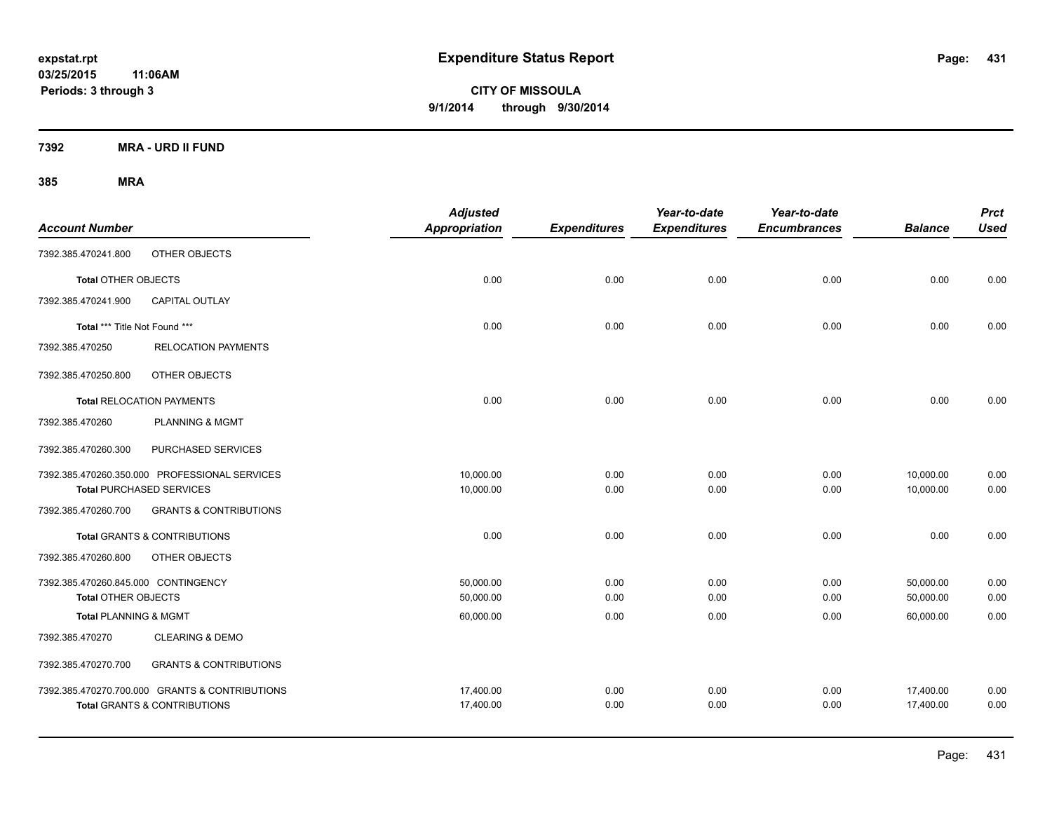**03/25/2015 11:06AM Periods: 3 through 3**

**CITY OF MISSOULA 9/1/2014 through 9/30/2014**

**7392 MRA - URD II FUND**

| <b>Account Number</b>               |                                                | <b>Adjusted</b><br>Appropriation | <b>Expenditures</b> | Year-to-date<br><b>Expenditures</b> | Year-to-date<br><b>Encumbrances</b> | <b>Balance</b> | <b>Prct</b><br><b>Used</b> |
|-------------------------------------|------------------------------------------------|----------------------------------|---------------------|-------------------------------------|-------------------------------------|----------------|----------------------------|
| 7392.385.470241.800                 | OTHER OBJECTS                                  |                                  |                     |                                     |                                     |                |                            |
| <b>Total OTHER OBJECTS</b>          |                                                | 0.00                             | 0.00                | 0.00                                | 0.00                                | 0.00           | 0.00                       |
| 7392.385.470241.900                 | <b>CAPITAL OUTLAY</b>                          |                                  |                     |                                     |                                     |                |                            |
| Total *** Title Not Found ***       |                                                | 0.00                             | 0.00                | 0.00                                | 0.00                                | 0.00           | 0.00                       |
| 7392.385.470250                     | <b>RELOCATION PAYMENTS</b>                     |                                  |                     |                                     |                                     |                |                            |
| 7392.385.470250.800                 | OTHER OBJECTS                                  |                                  |                     |                                     |                                     |                |                            |
|                                     | <b>Total RELOCATION PAYMENTS</b>               | 0.00                             | 0.00                | 0.00                                | 0.00                                | 0.00           | 0.00                       |
| 7392.385.470260                     | <b>PLANNING &amp; MGMT</b>                     |                                  |                     |                                     |                                     |                |                            |
| 7392.385.470260.300                 | PURCHASED SERVICES                             |                                  |                     |                                     |                                     |                |                            |
|                                     | 7392.385.470260.350.000 PROFESSIONAL SERVICES  | 10,000.00                        | 0.00                | 0.00                                | 0.00                                | 10,000.00      | 0.00                       |
|                                     | <b>Total PURCHASED SERVICES</b>                | 10,000.00                        | 0.00                | 0.00                                | 0.00                                | 10,000.00      | 0.00                       |
| 7392.385.470260.700                 | <b>GRANTS &amp; CONTRIBUTIONS</b>              |                                  |                     |                                     |                                     |                |                            |
|                                     | <b>Total GRANTS &amp; CONTRIBUTIONS</b>        | 0.00                             | 0.00                | 0.00                                | 0.00                                | 0.00           | 0.00                       |
| 7392.385.470260.800                 | OTHER OBJECTS                                  |                                  |                     |                                     |                                     |                |                            |
| 7392.385.470260.845.000 CONTINGENCY |                                                | 50,000.00                        | 0.00                | 0.00                                | 0.00                                | 50,000.00      | 0.00                       |
| <b>Total OTHER OBJECTS</b>          |                                                | 50,000.00                        | 0.00                | 0.00                                | 0.00                                | 50,000.00      | 0.00                       |
| <b>Total PLANNING &amp; MGMT</b>    |                                                | 60,000.00                        | 0.00                | 0.00                                | 0.00                                | 60,000.00      | 0.00                       |
| 7392.385.470270                     | <b>CLEARING &amp; DEMO</b>                     |                                  |                     |                                     |                                     |                |                            |
| 7392.385.470270.700                 | <b>GRANTS &amp; CONTRIBUTIONS</b>              |                                  |                     |                                     |                                     |                |                            |
|                                     | 7392.385.470270.700.000 GRANTS & CONTRIBUTIONS | 17,400.00                        | 0.00                | 0.00                                | 0.00                                | 17,400.00      | 0.00                       |
|                                     | <b>Total GRANTS &amp; CONTRIBUTIONS</b>        | 17,400.00                        | 0.00                | 0.00                                | 0.00                                | 17,400.00      | 0.00                       |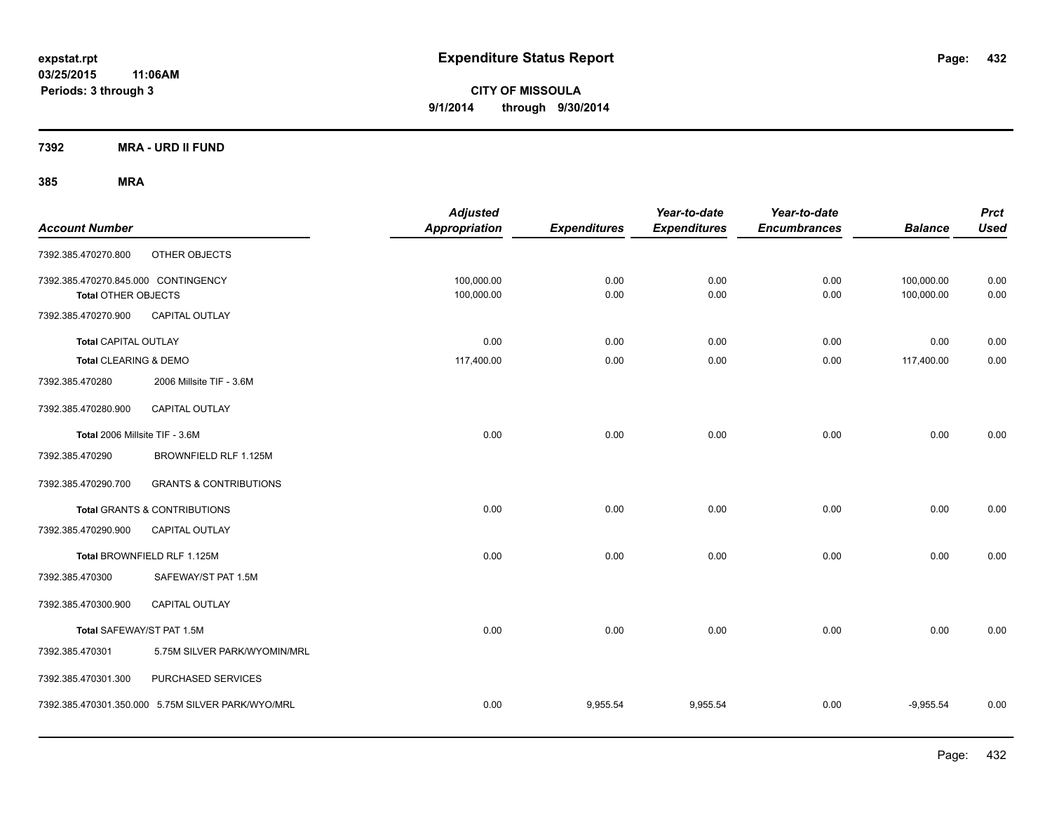**7392 MRA - URD II FUND**

| <b>Account Number</b>                                             |                                                   | <b>Adjusted</b><br><b>Appropriation</b> | <b>Expenditures</b> | Year-to-date<br><b>Expenditures</b> | Year-to-date<br><b>Encumbrances</b> | <b>Balance</b>           | <b>Prct</b><br><b>Used</b> |
|-------------------------------------------------------------------|---------------------------------------------------|-----------------------------------------|---------------------|-------------------------------------|-------------------------------------|--------------------------|----------------------------|
| 7392.385.470270.800                                               | OTHER OBJECTS                                     |                                         |                     |                                     |                                     |                          |                            |
| 7392.385.470270.845.000 CONTINGENCY<br><b>Total OTHER OBJECTS</b> |                                                   | 100,000.00<br>100,000.00                | 0.00<br>0.00        | 0.00<br>0.00                        | 0.00<br>0.00                        | 100,000.00<br>100,000.00 | 0.00<br>0.00               |
| 7392.385.470270.900                                               | <b>CAPITAL OUTLAY</b>                             |                                         |                     |                                     |                                     |                          |                            |
| <b>Total CAPITAL OUTLAY</b>                                       |                                                   | 0.00                                    | 0.00                | 0.00                                | 0.00                                | 0.00                     | 0.00                       |
| Total CLEARING & DEMO                                             |                                                   | 117,400.00                              | 0.00                | 0.00                                | 0.00                                | 117,400.00               | 0.00                       |
| 7392.385.470280                                                   | 2006 Millsite TIF - 3.6M                          |                                         |                     |                                     |                                     |                          |                            |
| 7392.385.470280.900                                               | CAPITAL OUTLAY                                    |                                         |                     |                                     |                                     |                          |                            |
| Total 2006 Millsite TIF - 3.6M                                    |                                                   | 0.00                                    | 0.00                | 0.00                                | 0.00                                | 0.00                     | 0.00                       |
| 7392.385.470290                                                   | BROWNFIELD RLF 1.125M                             |                                         |                     |                                     |                                     |                          |                            |
| 7392.385.470290.700                                               | <b>GRANTS &amp; CONTRIBUTIONS</b>                 |                                         |                     |                                     |                                     |                          |                            |
|                                                                   | Total GRANTS & CONTRIBUTIONS                      | 0.00                                    | 0.00                | 0.00                                | 0.00                                | 0.00                     | 0.00                       |
| 7392.385.470290.900                                               | CAPITAL OUTLAY                                    |                                         |                     |                                     |                                     |                          |                            |
|                                                                   | Total BROWNFIELD RLF 1.125M                       | 0.00                                    | 0.00                | 0.00                                | 0.00                                | 0.00                     | 0.00                       |
| 7392.385.470300                                                   | SAFEWAY/ST PAT 1.5M                               |                                         |                     |                                     |                                     |                          |                            |
| 7392.385.470300.900                                               | <b>CAPITAL OUTLAY</b>                             |                                         |                     |                                     |                                     |                          |                            |
| Total SAFEWAY/ST PAT 1.5M                                         |                                                   | 0.00                                    | 0.00                | 0.00                                | 0.00                                | 0.00                     | 0.00                       |
| 7392.385.470301                                                   | 5.75M SILVER PARK/WYOMIN/MRL                      |                                         |                     |                                     |                                     |                          |                            |
| 7392.385.470301.300                                               | PURCHASED SERVICES                                |                                         |                     |                                     |                                     |                          |                            |
|                                                                   | 7392.385.470301.350.000 5.75M SILVER PARK/WYO/MRL | 0.00                                    | 9,955.54            | 9,955.54                            | 0.00                                | $-9,955.54$              | 0.00                       |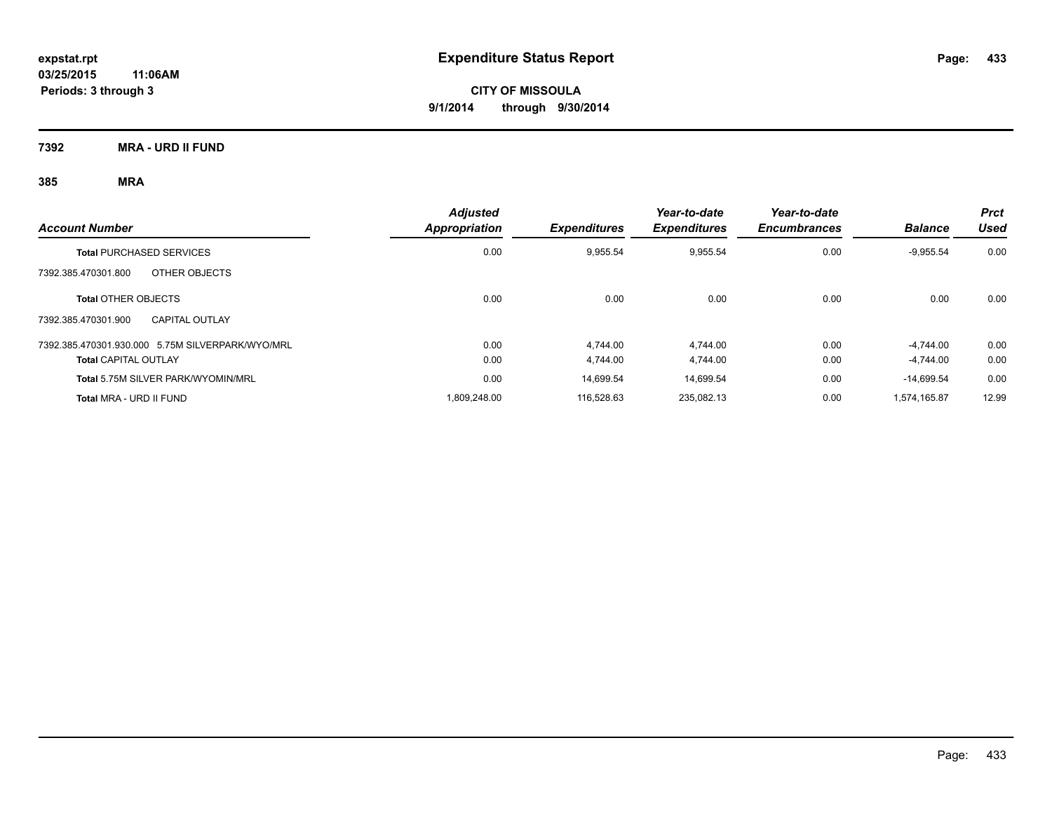**7392 MRA - URD II FUND**

| <b>Account Number</b>                            | <b>Adjusted</b><br>Appropriation | <b>Expenditures</b> | Year-to-date<br><b>Expenditures</b> | Year-to-date<br><b>Encumbrances</b> | <b>Balance</b> | <b>Prct</b><br>Used |
|--------------------------------------------------|----------------------------------|---------------------|-------------------------------------|-------------------------------------|----------------|---------------------|
| <b>Total PURCHASED SERVICES</b>                  | 0.00                             | 9,955.54            | 9,955.54                            | 0.00                                | $-9,955.54$    | 0.00                |
| OTHER OBJECTS<br>7392.385.470301.800             |                                  |                     |                                     |                                     |                |                     |
| <b>Total OTHER OBJECTS</b>                       | 0.00                             | 0.00                | 0.00                                | 0.00                                | 0.00           | 0.00                |
| 7392.385.470301.900<br><b>CAPITAL OUTLAY</b>     |                                  |                     |                                     |                                     |                |                     |
| 7392.385.470301.930.000 5.75M SILVERPARK/WYO/MRL | 0.00                             | 4.744.00            | 4.744.00                            | 0.00                                | $-4.744.00$    | 0.00                |
| <b>Total CAPITAL OUTLAY</b>                      | 0.00                             | 4.744.00            | 4.744.00                            | 0.00                                | $-4.744.00$    | 0.00                |
| Total 5.75M SILVER PARK/WYOMIN/MRL               | 0.00                             | 14.699.54           | 14,699.54                           | 0.00                                | $-14.699.54$   | 0.00                |
| Total MRA - URD II FUND                          | 1.809.248.00                     | 116.528.63          | 235.082.13                          | 0.00                                | 1.574.165.87   | 12.99               |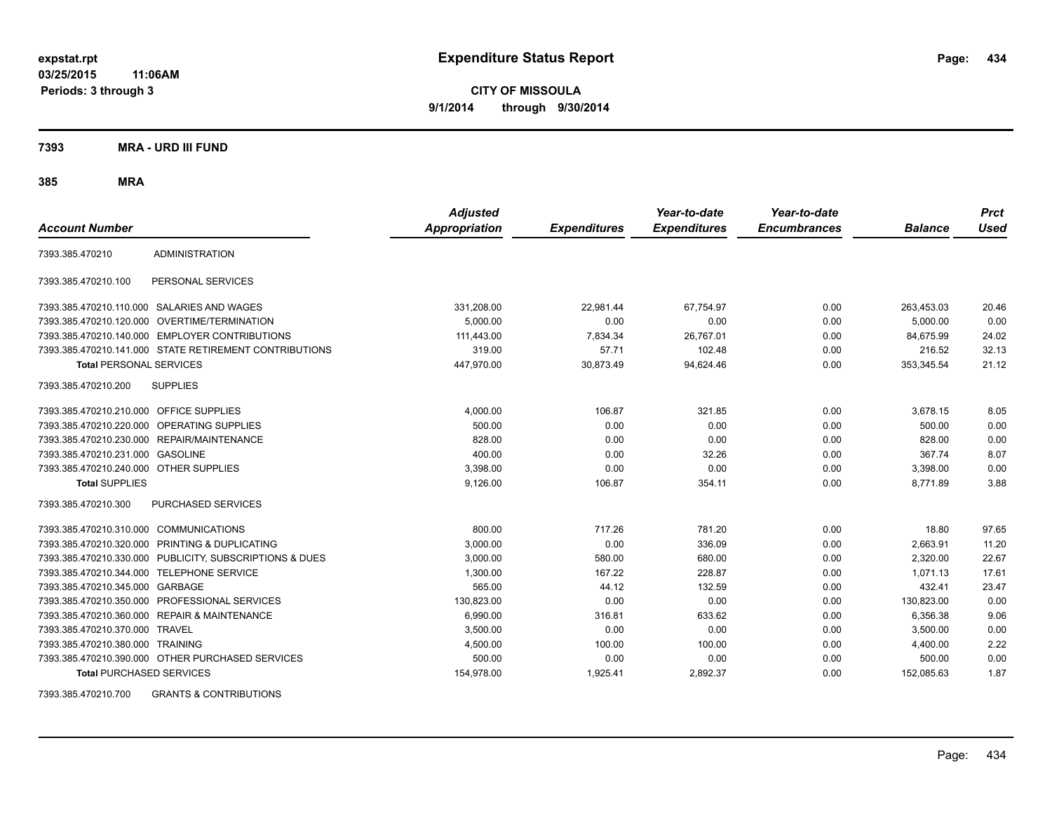**CITY OF MISSOULA 9/1/2014 through 9/30/2014**

**7393 MRA - URD III FUND**

**385 MRA**

| <b>Account Number</b>                   |                                                         | <b>Adjusted</b><br><b>Appropriation</b> | <b>Expenditures</b> | Year-to-date<br><b>Expenditures</b> | Year-to-date<br><b>Encumbrances</b> | <b>Balance</b> | <b>Prct</b><br><b>Used</b> |
|-----------------------------------------|---------------------------------------------------------|-----------------------------------------|---------------------|-------------------------------------|-------------------------------------|----------------|----------------------------|
| 7393.385.470210                         | <b>ADMINISTRATION</b>                                   |                                         |                     |                                     |                                     |                |                            |
| 7393.385.470210.100                     | PERSONAL SERVICES                                       |                                         |                     |                                     |                                     |                |                            |
|                                         | 7393.385.470210.110.000 SALARIES AND WAGES              | 331,208.00                              | 22,981.44           | 67,754.97                           | 0.00                                | 263,453.03     | 20.46                      |
|                                         | 7393.385.470210.120.000 OVERTIME/TERMINATION            | 5.000.00                                | 0.00                | 0.00                                | 0.00                                | 5.000.00       | 0.00                       |
|                                         | 7393.385.470210.140.000 EMPLOYER CONTRIBUTIONS          | 111,443.00                              | 7,834.34            | 26,767.01                           | 0.00                                | 84,675.99      | 24.02                      |
|                                         | 7393.385.470210.141.000 STATE RETIREMENT CONTRIBUTIONS  | 319.00                                  | 57.71               | 102.48                              | 0.00                                | 216.52         | 32.13                      |
| <b>Total PERSONAL SERVICES</b>          |                                                         | 447,970.00                              | 30,873.49           | 94,624.46                           | 0.00                                | 353,345.54     | 21.12                      |
| 7393.385.470210.200                     | <b>SUPPLIES</b>                                         |                                         |                     |                                     |                                     |                |                            |
| 7393.385.470210.210.000 OFFICE SUPPLIES |                                                         | 4,000.00                                | 106.87              | 321.85                              | 0.00                                | 3,678.15       | 8.05                       |
|                                         | 7393.385.470210.220.000 OPERATING SUPPLIES              | 500.00                                  | 0.00                | 0.00                                | 0.00                                | 500.00         | 0.00                       |
| 7393.385.470210.230.000                 | REPAIR/MAINTENANCE                                      | 828.00                                  | 0.00                | 0.00                                | 0.00                                | 828.00         | 0.00                       |
| 7393.385.470210.231.000                 | <b>GASOLINE</b>                                         | 400.00                                  | 0.00                | 32.26                               | 0.00                                | 367.74         | 8.07                       |
| 7393.385.470210.240.000 OTHER SUPPLIES  |                                                         | 3,398.00                                | 0.00                | 0.00                                | 0.00                                | 3,398.00       | 0.00                       |
| <b>Total SUPPLIES</b>                   |                                                         | 9,126.00                                | 106.87              | 354.11                              | 0.00                                | 8.771.89       | 3.88                       |
| 7393.385.470210.300                     | <b>PURCHASED SERVICES</b>                               |                                         |                     |                                     |                                     |                |                            |
| 7393.385.470210.310.000 COMMUNICATIONS  |                                                         | 800.00                                  | 717.26              | 781.20                              | 0.00                                | 18.80          | 97.65                      |
| 7393.385.470210.320.000                 | PRINTING & DUPLICATING                                  | 3,000.00                                | 0.00                | 336.09                              | 0.00                                | 2,663.91       | 11.20                      |
|                                         | 7393.385.470210.330.000 PUBLICITY, SUBSCRIPTIONS & DUES | 3,000.00                                | 580.00              | 680.00                              | 0.00                                | 2,320.00       | 22.67                      |
| 7393.385.470210.344.000                 | <b>TELEPHONE SERVICE</b>                                | 1,300.00                                | 167.22              | 228.87                              | 0.00                                | 1,071.13       | 17.61                      |
| 7393.385.470210.345.000 GARBAGE         |                                                         | 565.00                                  | 44.12               | 132.59                              | 0.00                                | 432.41         | 23.47                      |
|                                         | 7393.385.470210.350.000 PROFESSIONAL SERVICES           | 130.823.00                              | 0.00                | 0.00                                | 0.00                                | 130,823.00     | 0.00                       |
|                                         | 7393.385.470210.360.000 REPAIR & MAINTENANCE            | 6,990.00                                | 316.81              | 633.62                              | 0.00                                | 6.356.38       | 9.06                       |
| 7393.385.470210.370.000 TRAVEL          |                                                         | 3,500.00                                | 0.00                | 0.00                                | 0.00                                | 3,500.00       | 0.00                       |
| 7393.385.470210.380.000 TRAINING        |                                                         | 4,500.00                                | 100.00              | 100.00                              | 0.00                                | 4,400.00       | 2.22                       |
|                                         | 7393.385.470210.390.000 OTHER PURCHASED SERVICES        | 500.00                                  | 0.00                | 0.00                                | 0.00                                | 500.00         | 0.00                       |
| <b>Total PURCHASED SERVICES</b>         |                                                         | 154,978.00                              | 1,925.41            | 2,892.37                            | 0.00                                | 152,085.63     | 1.87                       |

7393.385.470210.700 GRANTS & CONTRIBUTIONS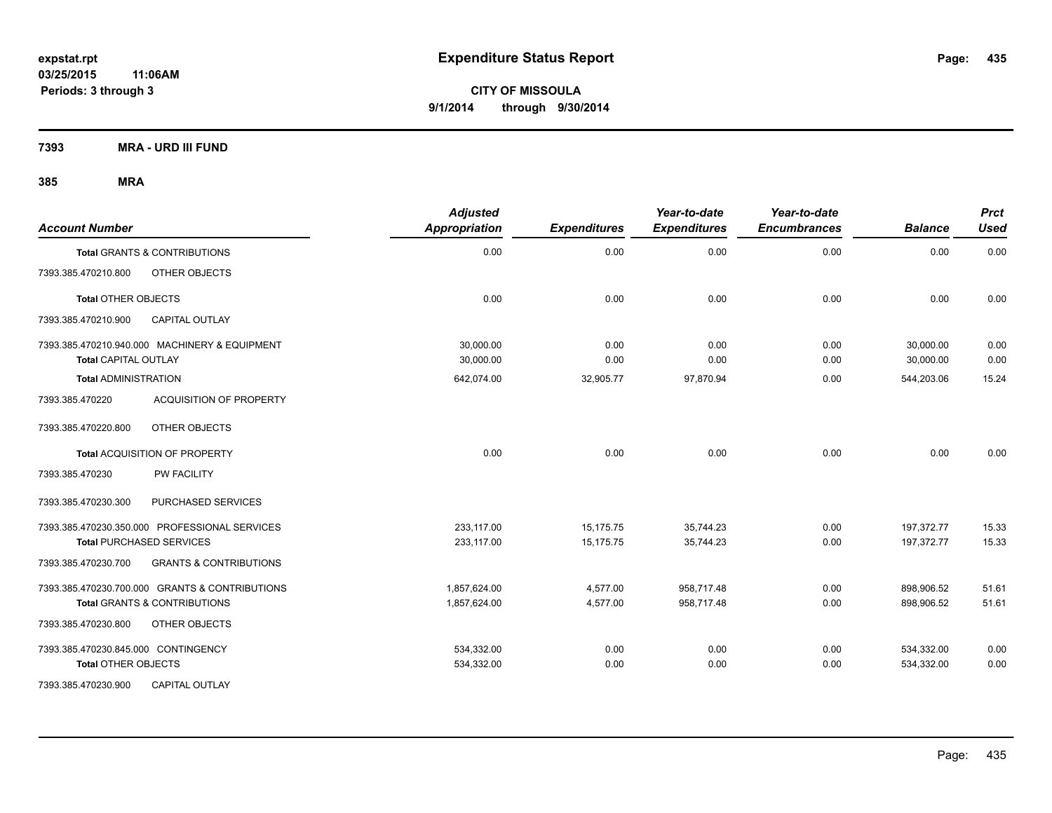**7393 MRA - URD III FUND**

| <b>Account Number</b>                                    | <b>Adjusted</b><br><b>Appropriation</b> | <b>Expenditures</b> | Year-to-date<br><b>Expenditures</b> | Year-to-date<br><b>Encumbrances</b> | <b>Balance</b> | <b>Prct</b><br><b>Used</b> |
|----------------------------------------------------------|-----------------------------------------|---------------------|-------------------------------------|-------------------------------------|----------------|----------------------------|
| <b>Total GRANTS &amp; CONTRIBUTIONS</b>                  | 0.00                                    | 0.00                | 0.00                                | 0.00                                | 0.00           | 0.00                       |
| 7393.385.470210.800<br>OTHER OBJECTS                     |                                         |                     |                                     |                                     |                |                            |
| <b>Total OTHER OBJECTS</b>                               | 0.00                                    | 0.00                | 0.00                                | 0.00                                | 0.00           | 0.00                       |
| 7393.385.470210.900<br><b>CAPITAL OUTLAY</b>             |                                         |                     |                                     |                                     |                |                            |
| 7393.385.470210.940.000 MACHINERY & EQUIPMENT            | 30.000.00                               | 0.00                | 0.00                                | 0.00                                | 30,000.00      | 0.00                       |
| <b>Total CAPITAL OUTLAY</b>                              | 30,000.00                               | 0.00                | 0.00                                | 0.00                                | 30,000.00      | 0.00                       |
| <b>Total ADMINISTRATION</b>                              | 642,074.00                              | 32,905.77           | 97,870.94                           | 0.00                                | 544,203.06     | 15.24                      |
| <b>ACQUISITION OF PROPERTY</b><br>7393.385.470220        |                                         |                     |                                     |                                     |                |                            |
| OTHER OBJECTS<br>7393.385.470220.800                     |                                         |                     |                                     |                                     |                |                            |
| Total ACQUISITION OF PROPERTY                            | 0.00                                    | 0.00                | 0.00                                | 0.00                                | 0.00           | 0.00                       |
| PW FACILITY<br>7393.385.470230                           |                                         |                     |                                     |                                     |                |                            |
| 7393.385.470230.300<br>PURCHASED SERVICES                |                                         |                     |                                     |                                     |                |                            |
| 7393.385.470230.350.000 PROFESSIONAL SERVICES            | 233,117.00                              | 15,175.75           | 35,744.23                           | 0.00                                | 197,372.77     | 15.33                      |
| <b>Total PURCHASED SERVICES</b>                          | 233,117.00                              | 15,175.75           | 35,744.23                           | 0.00                                | 197,372.77     | 15.33                      |
| 7393.385.470230.700<br><b>GRANTS &amp; CONTRIBUTIONS</b> |                                         |                     |                                     |                                     |                |                            |
| 7393.385.470230.700.000 GRANTS & CONTRIBUTIONS           | 1,857,624.00                            | 4,577.00            | 958,717.48                          | 0.00                                | 898,906.52     | 51.61                      |
| <b>Total GRANTS &amp; CONTRIBUTIONS</b>                  | 1,857,624.00                            | 4,577.00            | 958,717.48                          | 0.00                                | 898,906.52     | 51.61                      |
| OTHER OBJECTS<br>7393.385.470230.800                     |                                         |                     |                                     |                                     |                |                            |
| 7393.385.470230.845.000 CONTINGENCY                      | 534,332.00                              | 0.00                | 0.00                                | 0.00                                | 534,332.00     | 0.00                       |
| <b>Total OTHER OBJECTS</b>                               | 534,332.00                              | 0.00                | 0.00                                | 0.00                                | 534,332.00     | 0.00                       |
| 7393.385.470230.900<br><b>CAPITAL OUTLAY</b>             |                                         |                     |                                     |                                     |                |                            |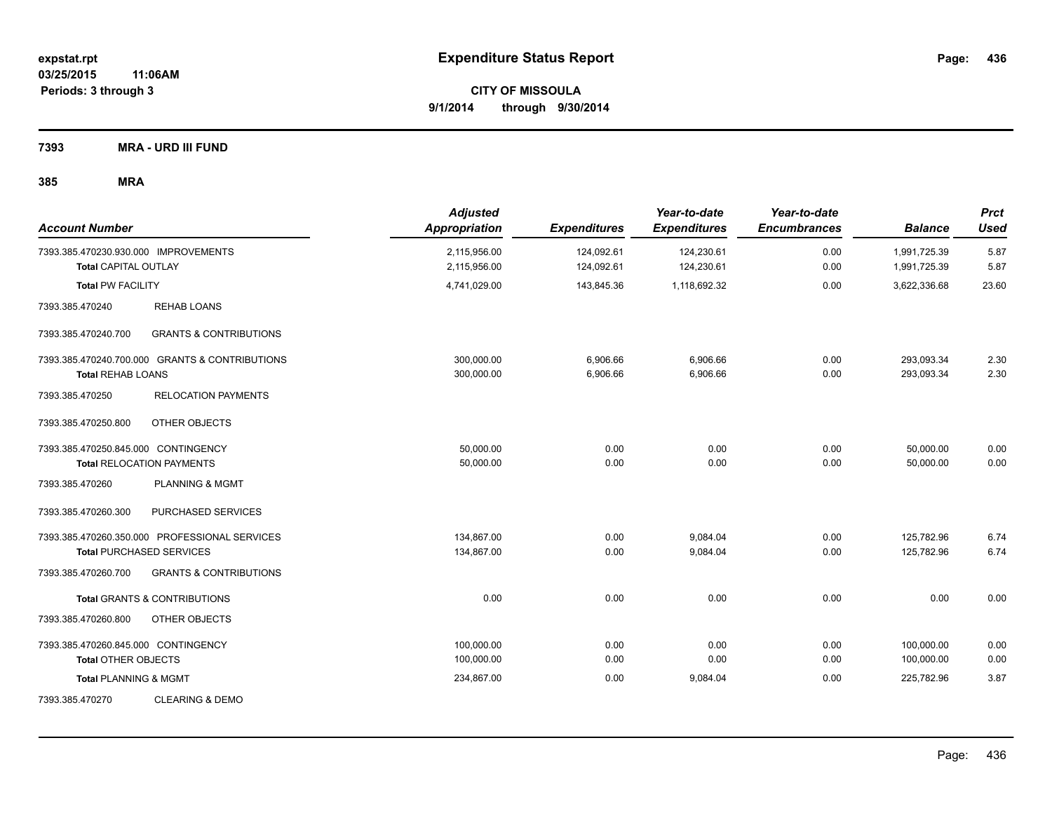**7393 MRA - URD III FUND**

| <b>Account Number</b>                                               |                                                                                  | <b>Adjusted</b><br>Appropriation | <b>Expenditures</b>      | Year-to-date<br><b>Expenditures</b> | Year-to-date<br><b>Encumbrances</b> | <b>Balance</b>               | <b>Prct</b><br><b>Used</b> |
|---------------------------------------------------------------------|----------------------------------------------------------------------------------|----------------------------------|--------------------------|-------------------------------------|-------------------------------------|------------------------------|----------------------------|
| 7393.385.470230.930.000 IMPROVEMENTS<br><b>Total CAPITAL OUTLAY</b> |                                                                                  | 2,115,956.00<br>2,115,956.00     | 124,092.61<br>124,092.61 | 124,230.61<br>124,230.61            | 0.00<br>0.00                        | 1,991,725.39<br>1,991,725.39 | 5.87<br>5.87               |
| <b>Total PW FACILITY</b>                                            |                                                                                  | 4,741,029.00                     | 143,845.36               | 1,118,692.32                        | 0.00                                | 3,622,336.68                 | 23.60                      |
| 7393.385.470240                                                     | <b>REHAB LOANS</b>                                                               |                                  |                          |                                     |                                     |                              |                            |
| 7393.385.470240.700                                                 | <b>GRANTS &amp; CONTRIBUTIONS</b>                                                |                                  |                          |                                     |                                     |                              |                            |
| <b>Total REHAB LOANS</b>                                            | 7393.385.470240.700.000 GRANTS & CONTRIBUTIONS                                   | 300,000.00<br>300,000.00         | 6,906.66<br>6,906.66     | 6,906.66<br>6,906.66                | 0.00<br>0.00                        | 293,093.34<br>293,093.34     | 2.30<br>2.30               |
| 7393.385.470250                                                     | <b>RELOCATION PAYMENTS</b>                                                       |                                  |                          |                                     |                                     |                              |                            |
| 7393.385.470250.800                                                 | OTHER OBJECTS                                                                    |                                  |                          |                                     |                                     |                              |                            |
| 7393.385.470250.845.000 CONTINGENCY                                 | <b>Total RELOCATION PAYMENTS</b>                                                 | 50,000.00<br>50,000.00           | 0.00<br>0.00             | 0.00<br>0.00                        | 0.00<br>0.00                        | 50,000.00<br>50,000.00       | 0.00<br>0.00               |
| 7393.385.470260                                                     | <b>PLANNING &amp; MGMT</b>                                                       |                                  |                          |                                     |                                     |                              |                            |
| 7393.385.470260.300                                                 | PURCHASED SERVICES                                                               |                                  |                          |                                     |                                     |                              |                            |
|                                                                     | 7393.385.470260.350.000 PROFESSIONAL SERVICES<br><b>Total PURCHASED SERVICES</b> | 134,867.00<br>134,867.00         | 0.00<br>0.00             | 9,084.04<br>9,084.04                | 0.00<br>0.00                        | 125,782.96<br>125,782.96     | 6.74<br>6.74               |
| 7393.385.470260.700                                                 | <b>GRANTS &amp; CONTRIBUTIONS</b>                                                |                                  |                          |                                     |                                     |                              |                            |
|                                                                     | <b>Total GRANTS &amp; CONTRIBUTIONS</b>                                          | 0.00                             | 0.00                     | 0.00                                | 0.00                                | 0.00                         | 0.00                       |
| 7393.385.470260.800                                                 | OTHER OBJECTS                                                                    |                                  |                          |                                     |                                     |                              |                            |
| 7393.385.470260.845.000 CONTINGENCY<br><b>Total OTHER OBJECTS</b>   |                                                                                  | 100,000.00<br>100,000.00         | 0.00<br>0.00             | 0.00<br>0.00                        | 0.00<br>0.00                        | 100,000.00<br>100,000.00     | 0.00<br>0.00               |
| <b>Total PLANNING &amp; MGMT</b>                                    |                                                                                  | 234,867.00                       | 0.00                     | 9,084.04                            | 0.00                                | 225,782.96                   | 3.87                       |
| 7393.385.470270                                                     | <b>CLEARING &amp; DEMO</b>                                                       |                                  |                          |                                     |                                     |                              |                            |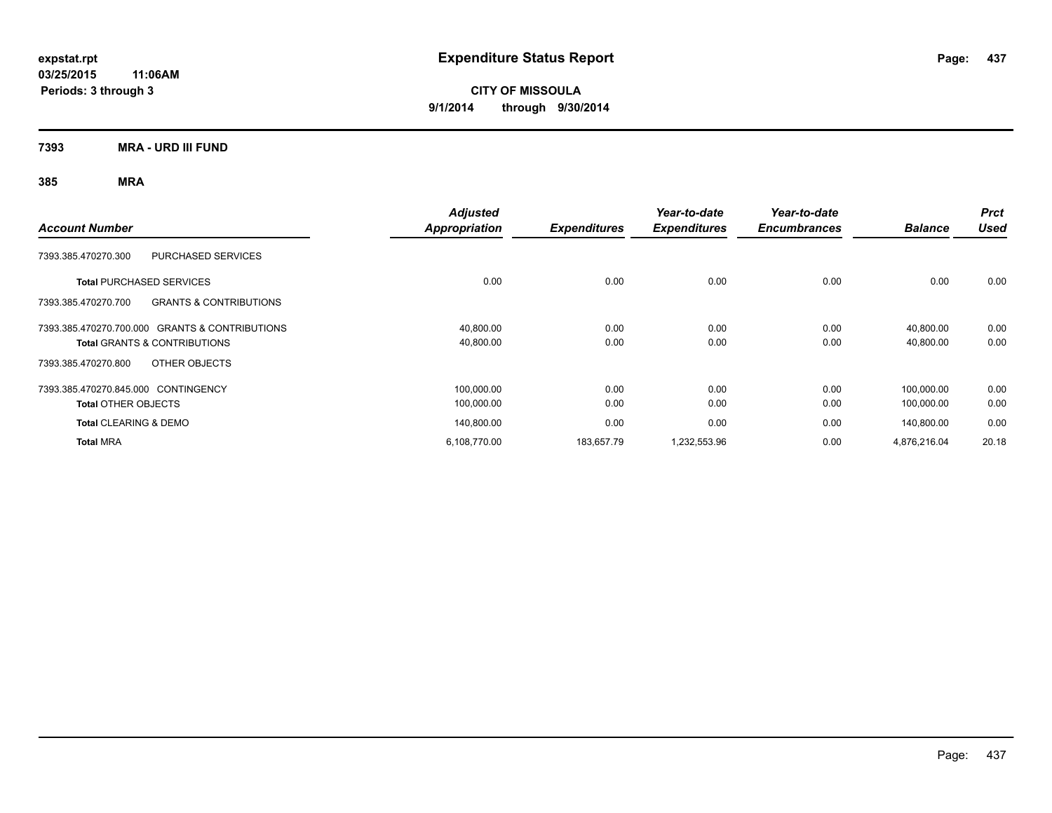**CITY OF MISSOULA 9/1/2014 through 9/30/2014**

**7393 MRA - URD III FUND**

| <b>Account Number</b>                                    | <b>Adjusted</b><br>Appropriation | <b>Expenditures</b> | Year-to-date<br><b>Expenditures</b> | Year-to-date<br><b>Encumbrances</b> | <b>Balance</b> | <b>Prct</b><br><b>Used</b> |
|----------------------------------------------------------|----------------------------------|---------------------|-------------------------------------|-------------------------------------|----------------|----------------------------|
| <b>PURCHASED SERVICES</b><br>7393.385.470270.300         |                                  |                     |                                     |                                     |                |                            |
| <b>Total PURCHASED SERVICES</b>                          | 0.00                             | 0.00                | 0.00                                | 0.00                                | 0.00           | 0.00                       |
| 7393.385.470270.700<br><b>GRANTS &amp; CONTRIBUTIONS</b> |                                  |                     |                                     |                                     |                |                            |
| 7393.385.470270.700.000 GRANTS & CONTRIBUTIONS           | 40.800.00                        | 0.00                | 0.00                                | 0.00                                | 40.800.00      | 0.00                       |
| <b>Total GRANTS &amp; CONTRIBUTIONS</b>                  | 40,800.00                        | 0.00                | 0.00                                | 0.00                                | 40,800.00      | 0.00                       |
| OTHER OBJECTS<br>7393.385.470270.800                     |                                  |                     |                                     |                                     |                |                            |
| 7393.385.470270.845.000 CONTINGENCY                      | 100,000.00                       | 0.00                | 0.00                                | 0.00                                | 100.000.00     | 0.00                       |
| <b>Total OTHER OBJECTS</b>                               | 100,000.00                       | 0.00                | 0.00                                | 0.00                                | 100,000.00     | 0.00                       |
| <b>Total CLEARING &amp; DEMO</b>                         | 140.800.00                       | 0.00                | 0.00                                | 0.00                                | 140.800.00     | 0.00                       |
| <b>Total MRA</b>                                         | 6,108,770.00                     | 183,657.79          | 1,232,553.96                        | 0.00                                | 4,876,216.04   | 20.18                      |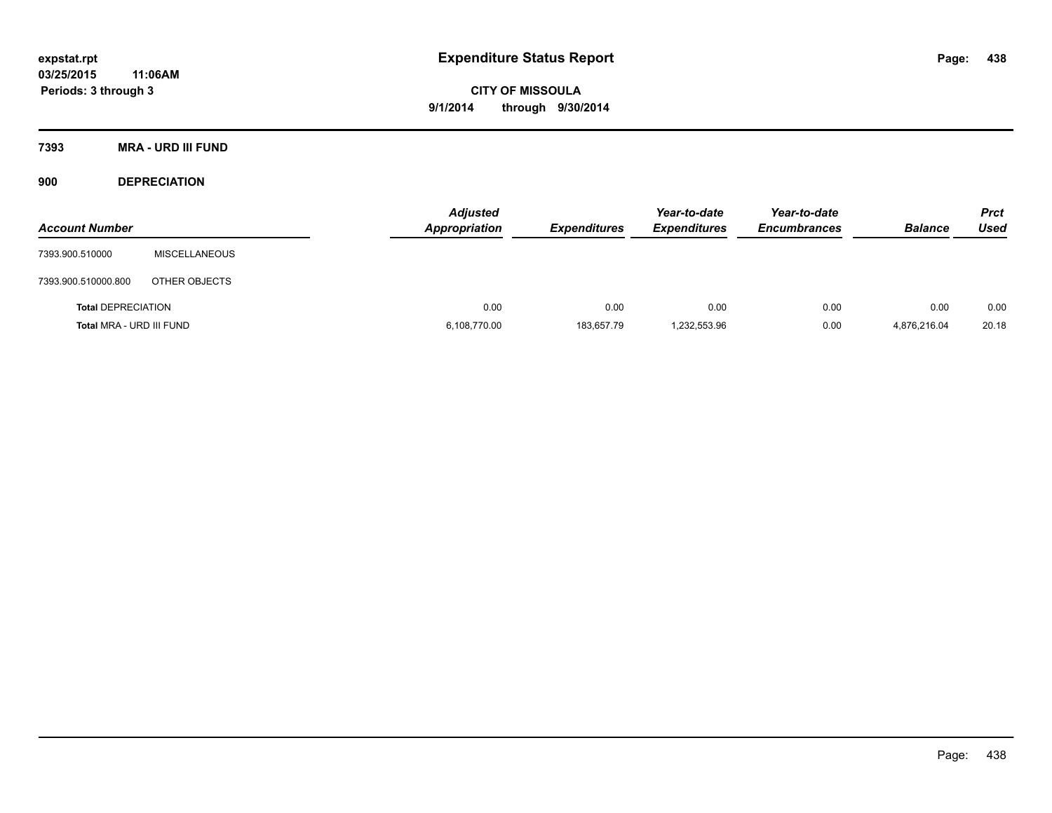**7393 MRA - URD III FUND**

**900 DEPRECIATION**

| <b>Account Number</b>     |                      | <b>Adjusted</b><br>Appropriation | <b>Expenditures</b> | Year-to-date<br><b>Expenditures</b> | Year-to-date<br><b>Encumbrances</b> | <b>Balance</b> | <b>Prct</b><br>Used |
|---------------------------|----------------------|----------------------------------|---------------------|-------------------------------------|-------------------------------------|----------------|---------------------|
| 7393.900.510000           | <b>MISCELLANEOUS</b> |                                  |                     |                                     |                                     |                |                     |
| 7393.900.510000.800       | OTHER OBJECTS        |                                  |                     |                                     |                                     |                |                     |
| <b>Total DEPRECIATION</b> |                      | 0.00                             | 0.00                | 0.00                                | 0.00                                | 0.00           | 0.00                |
| Total MRA - URD III FUND  |                      | 6,108,770.00                     | 183,657.79          | 1,232,553.96                        | 0.00                                | 4.876.216.04   | 20.18               |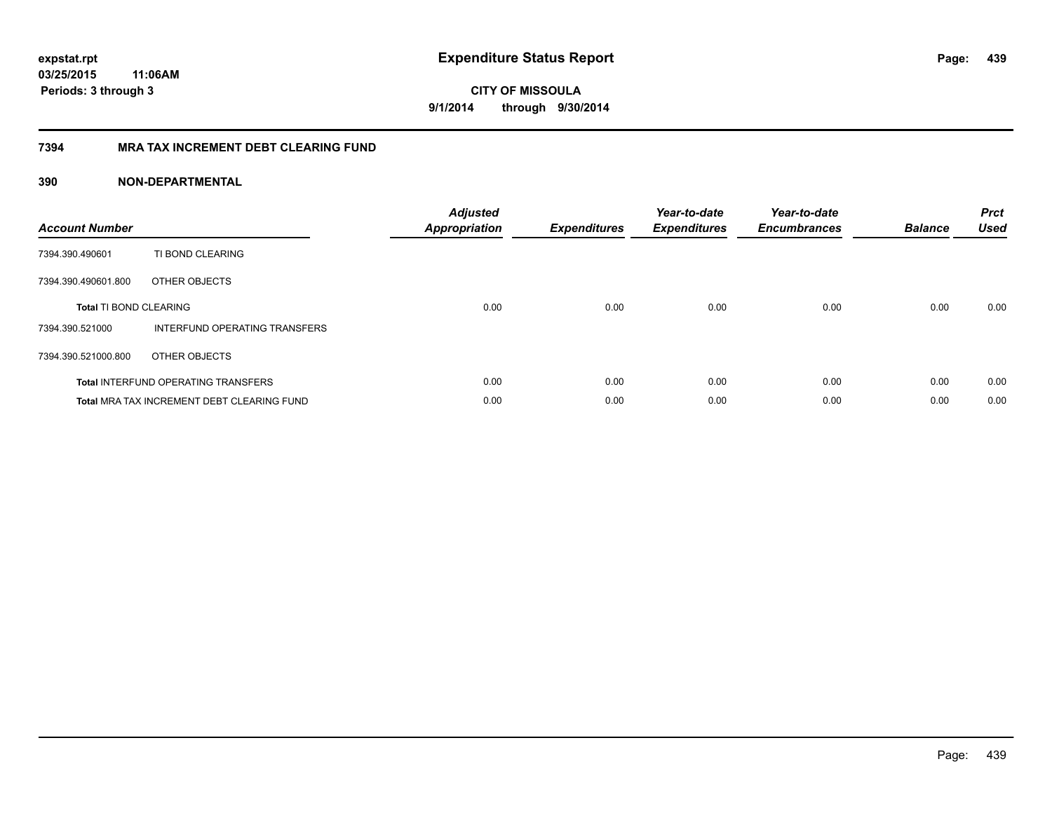**CITY OF MISSOULA 9/1/2014 through 9/30/2014**

## **7394 MRA TAX INCREMENT DEBT CLEARING FUND**

| <b>Account Number</b>         |                                                   | <b>Adjusted</b><br>Appropriation | <b>Expenditures</b> | Year-to-date<br><b>Expenditures</b> | Year-to-date<br><b>Encumbrances</b> | <b>Balance</b> | <b>Prct</b><br><b>Used</b> |
|-------------------------------|---------------------------------------------------|----------------------------------|---------------------|-------------------------------------|-------------------------------------|----------------|----------------------------|
| 7394.390.490601               | TI BOND CLEARING                                  |                                  |                     |                                     |                                     |                |                            |
| 7394.390.490601.800           | OTHER OBJECTS                                     |                                  |                     |                                     |                                     |                |                            |
| <b>Total TI BOND CLEARING</b> |                                                   | 0.00                             | 0.00                | 0.00                                | 0.00                                | 0.00           | 0.00                       |
| 7394.390.521000               | INTERFUND OPERATING TRANSFERS                     |                                  |                     |                                     |                                     |                |                            |
| 7394.390.521000.800           | OTHER OBJECTS                                     |                                  |                     |                                     |                                     |                |                            |
|                               | <b>Total INTERFUND OPERATING TRANSFERS</b>        | 0.00                             | 0.00                | 0.00                                | 0.00                                | 0.00           | 0.00                       |
|                               | <b>Total MRA TAX INCREMENT DEBT CLEARING FUND</b> | 0.00                             | 0.00                | 0.00                                | 0.00                                | 0.00           | 0.00                       |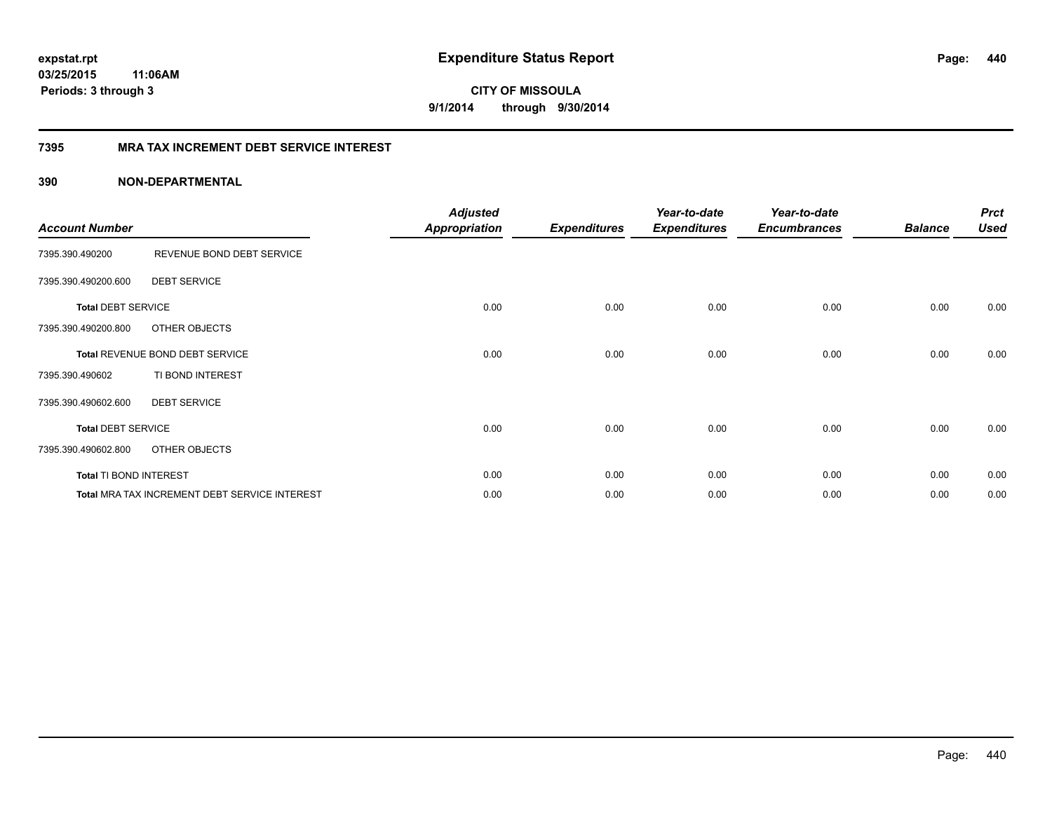**CITY OF MISSOULA 9/1/2014 through 9/30/2014**

## **7395 MRA TAX INCREMENT DEBT SERVICE INTEREST**

| <b>Account Number</b>     |                                               | <b>Adjusted</b><br><b>Appropriation</b> | <b>Expenditures</b> | Year-to-date<br><b>Expenditures</b> | Year-to-date<br><b>Encumbrances</b> | <b>Balance</b> | <b>Prct</b><br><b>Used</b> |
|---------------------------|-----------------------------------------------|-----------------------------------------|---------------------|-------------------------------------|-------------------------------------|----------------|----------------------------|
| 7395.390.490200           | REVENUE BOND DEBT SERVICE                     |                                         |                     |                                     |                                     |                |                            |
| 7395.390.490200.600       | <b>DEBT SERVICE</b>                           |                                         |                     |                                     |                                     |                |                            |
| <b>Total DEBT SERVICE</b> |                                               | 0.00                                    | 0.00                | 0.00                                | 0.00                                | 0.00           | 0.00                       |
| 7395.390.490200.800       | OTHER OBJECTS                                 |                                         |                     |                                     |                                     |                |                            |
|                           | Total REVENUE BOND DEBT SERVICE               | 0.00                                    | 0.00                | 0.00                                | 0.00                                | 0.00           | 0.00                       |
| 7395.390.490602           | TI BOND INTEREST                              |                                         |                     |                                     |                                     |                |                            |
| 7395.390.490602.600       | <b>DEBT SERVICE</b>                           |                                         |                     |                                     |                                     |                |                            |
| <b>Total DEBT SERVICE</b> |                                               | 0.00                                    | 0.00                | 0.00                                | 0.00                                | 0.00           | 0.00                       |
| 7395.390.490602.800       | OTHER OBJECTS                                 |                                         |                     |                                     |                                     |                |                            |
| Total TI BOND INTEREST    |                                               | 0.00                                    | 0.00                | 0.00                                | 0.00                                | 0.00           | 0.00                       |
|                           | Total MRA TAX INCREMENT DEBT SERVICE INTEREST | 0.00                                    | 0.00                | 0.00                                | 0.00                                | 0.00           | 0.00                       |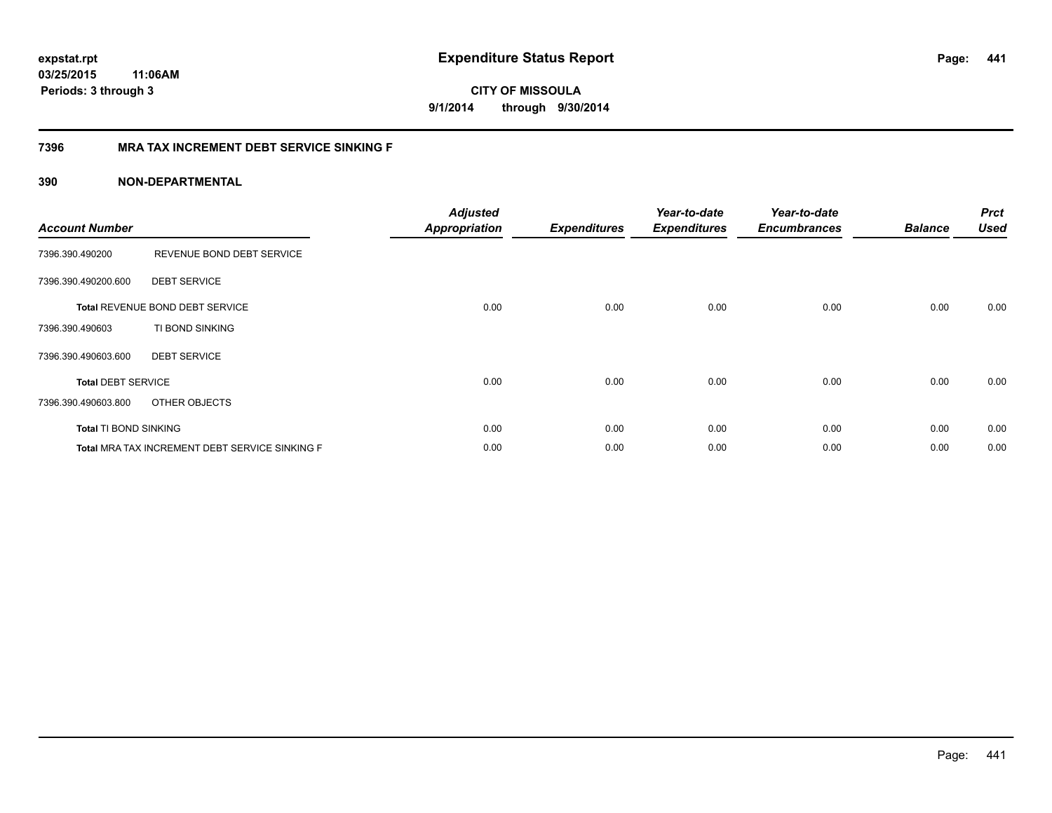**441**

**CITY OF MISSOULA 9/1/2014 through 9/30/2014**

## **7396 MRA TAX INCREMENT DEBT SERVICE SINKING F**

| <b>Account Number</b>        |                                                | <b>Adjusted</b><br><b>Appropriation</b> | <b>Expenditures</b> | Year-to-date<br><b>Expenditures</b> | Year-to-date<br><b>Encumbrances</b> | <b>Balance</b> | <b>Prct</b><br><b>Used</b> |
|------------------------------|------------------------------------------------|-----------------------------------------|---------------------|-------------------------------------|-------------------------------------|----------------|----------------------------|
| 7396.390.490200              | REVENUE BOND DEBT SERVICE                      |                                         |                     |                                     |                                     |                |                            |
| 7396.390.490200.600          | <b>DEBT SERVICE</b>                            |                                         |                     |                                     |                                     |                |                            |
|                              | <b>Total REVENUE BOND DEBT SERVICE</b>         | 0.00                                    | 0.00                | 0.00                                | 0.00                                | 0.00           | 0.00                       |
| 7396.390.490603              | TI BOND SINKING                                |                                         |                     |                                     |                                     |                |                            |
| 7396.390.490603.600          | <b>DEBT SERVICE</b>                            |                                         |                     |                                     |                                     |                |                            |
| <b>Total DEBT SERVICE</b>    |                                                | 0.00                                    | 0.00                | 0.00                                | 0.00                                | 0.00           | 0.00                       |
| 7396.390.490603.800          | OTHER OBJECTS                                  |                                         |                     |                                     |                                     |                |                            |
| <b>Total TI BOND SINKING</b> |                                                | 0.00                                    | 0.00                | 0.00                                | 0.00                                | 0.00           | 0.00                       |
|                              | Total MRA TAX INCREMENT DEBT SERVICE SINKING F | 0.00                                    | 0.00                | 0.00                                | 0.00                                | 0.00           | 0.00                       |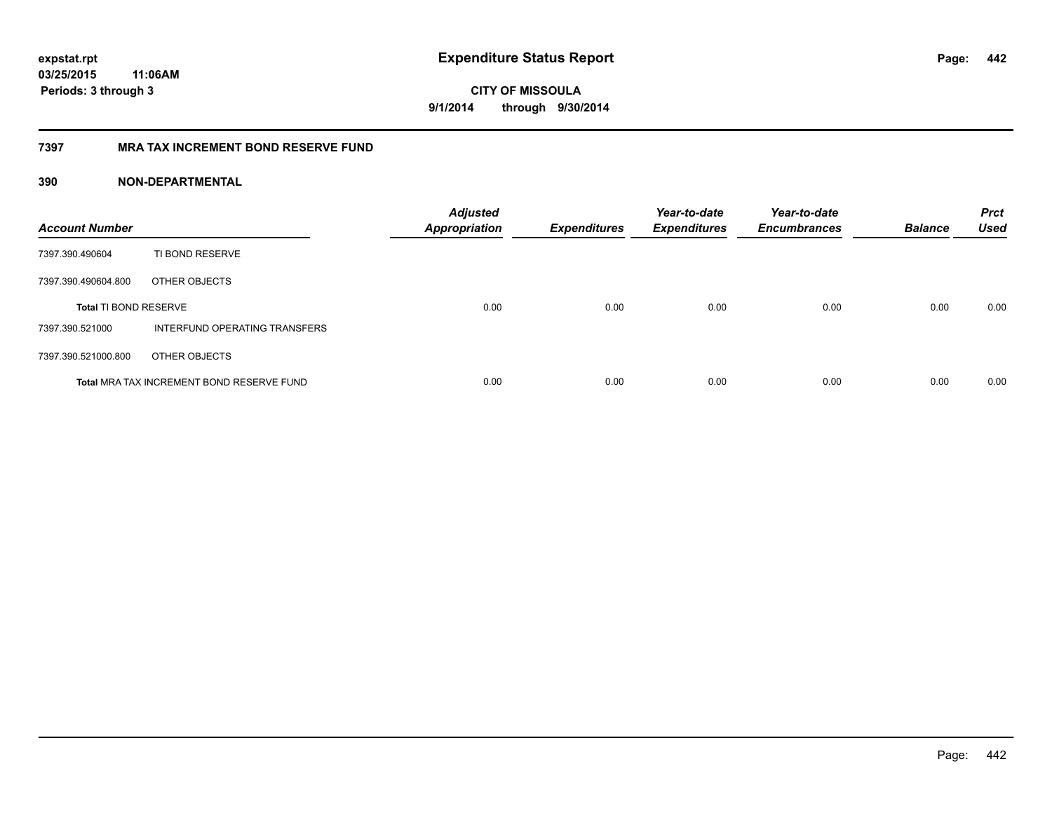**CITY OF MISSOULA 9/1/2014 through 9/30/2014**

## **7397 MRA TAX INCREMENT BOND RESERVE FUND**

| <b>Account Number</b>        |                                           | <b>Adjusted</b><br><b>Appropriation</b> | <b>Expenditures</b> | Year-to-date<br><b>Expenditures</b> | Year-to-date<br><b>Encumbrances</b> | <b>Balance</b> | <b>Prct</b><br><b>Used</b> |
|------------------------------|-------------------------------------------|-----------------------------------------|---------------------|-------------------------------------|-------------------------------------|----------------|----------------------------|
| 7397.390.490604              | TI BOND RESERVE                           |                                         |                     |                                     |                                     |                |                            |
| 7397.390.490604.800          | OTHER OBJECTS                             |                                         |                     |                                     |                                     |                |                            |
| <b>Total TI BOND RESERVE</b> |                                           | 0.00                                    | 0.00                | 0.00                                | 0.00                                | 0.00           | 0.00                       |
| 7397.390.521000              | INTERFUND OPERATING TRANSFERS             |                                         |                     |                                     |                                     |                |                            |
| 7397.390.521000.800          | OTHER OBJECTS                             |                                         |                     |                                     |                                     |                |                            |
|                              | Total MRA TAX INCREMENT BOND RESERVE FUND | 0.00                                    | 0.00                | 0.00                                | 0.00                                | 0.00           | 0.00                       |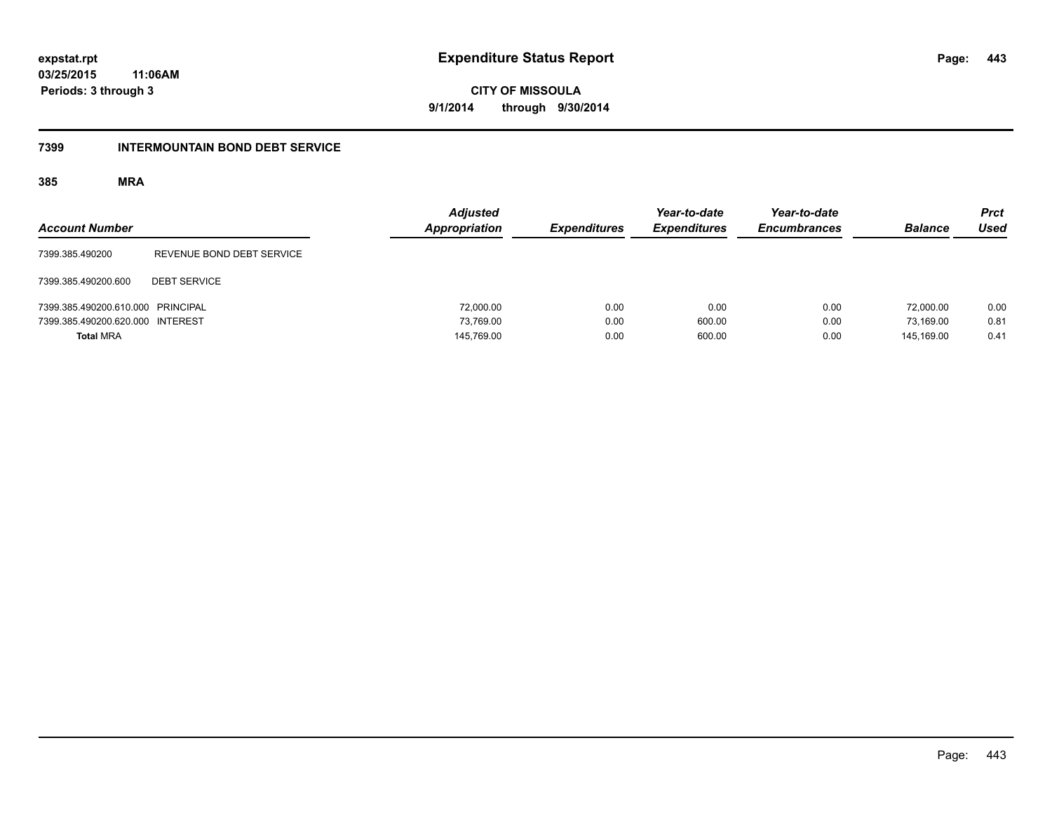**443**

**03/25/2015 11:06AM Periods: 3 through 3**

**CITY OF MISSOULA 9/1/2014 through 9/30/2014**

#### **7399 INTERMOUNTAIN BOND DEBT SERVICE**

| <b>Account Number</b>             |                           | <b>Adjusted</b><br>Appropriation | <b>Expenditures</b> | Year-to-date<br><b>Expenditures</b> | Year-to-date<br><b>Encumbrances</b> | <b>Balance</b> | <b>Prct</b><br><b>Used</b> |
|-----------------------------------|---------------------------|----------------------------------|---------------------|-------------------------------------|-------------------------------------|----------------|----------------------------|
| 7399.385.490200                   | REVENUE BOND DEBT SERVICE |                                  |                     |                                     |                                     |                |                            |
| 7399.385.490200.600               | <b>DEBT SERVICE</b>       |                                  |                     |                                     |                                     |                |                            |
| 7399.385.490200.610.000 PRINCIPAL |                           | 72,000.00                        | 0.00                | 0.00                                | 0.00                                | 72,000.00      | 0.00                       |
| 7399.385.490200.620.000 INTEREST  |                           | 73.769.00                        | 0.00                | 600.00                              | 0.00                                | 73.169.00      | 0.81                       |
| <b>Total MRA</b>                  |                           | 145,769.00                       | 0.00                | 600.00                              | 0.00                                | 145.169.00     | 0.41                       |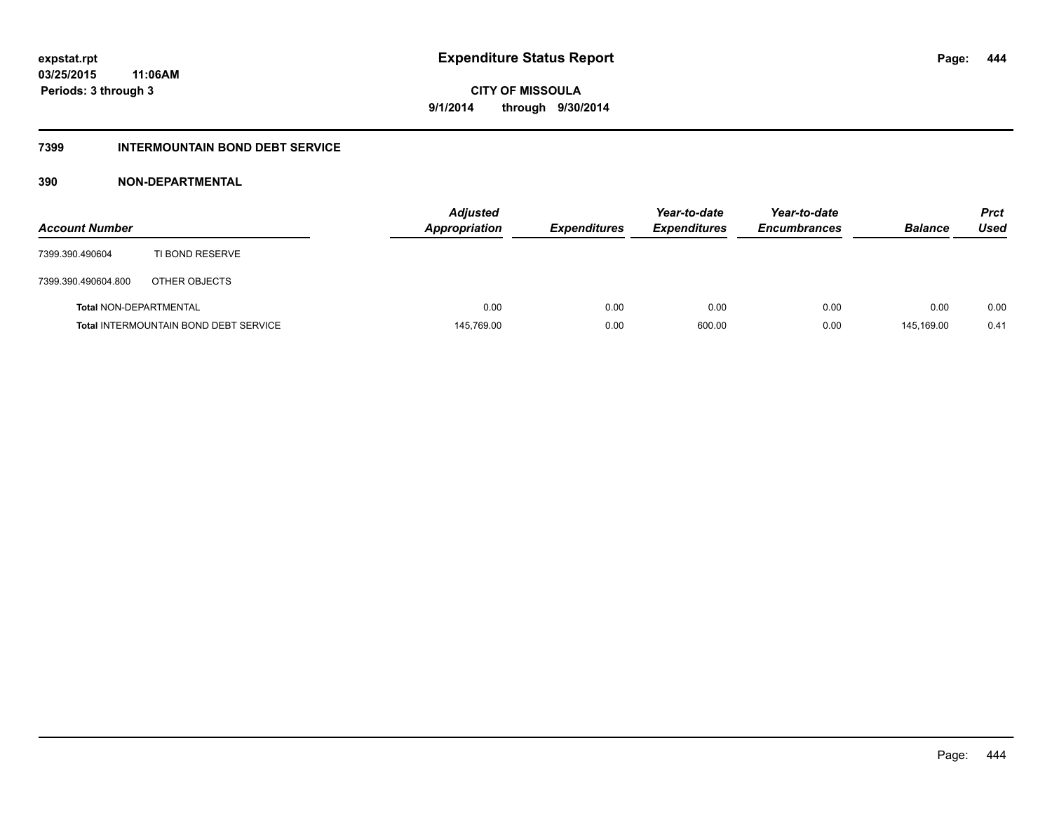## **7399 INTERMOUNTAIN BOND DEBT SERVICE**

| <b>Account Number</b>         |                                              | <b>Adjusted</b><br><b>Appropriation</b> | <b>Expenditures</b> | Year-to-date<br><b>Expenditures</b> | Year-to-date<br><b>Encumbrances</b> | <b>Balance</b> | <b>Prct</b><br>Used |
|-------------------------------|----------------------------------------------|-----------------------------------------|---------------------|-------------------------------------|-------------------------------------|----------------|---------------------|
| 7399.390.490604               | TI BOND RESERVE                              |                                         |                     |                                     |                                     |                |                     |
| 7399.390.490604.800           | OTHER OBJECTS                                |                                         |                     |                                     |                                     |                |                     |
| <b>Total NON-DEPARTMENTAL</b> |                                              | 0.00                                    | 0.00                | 0.00                                | 0.00                                | 0.00           | 0.00                |
|                               | <b>Total INTERMOUNTAIN BOND DEBT SERVICE</b> | 145,769.00                              | 0.00                | 600.00                              | 0.00                                | 145.169.00     | 0.41                |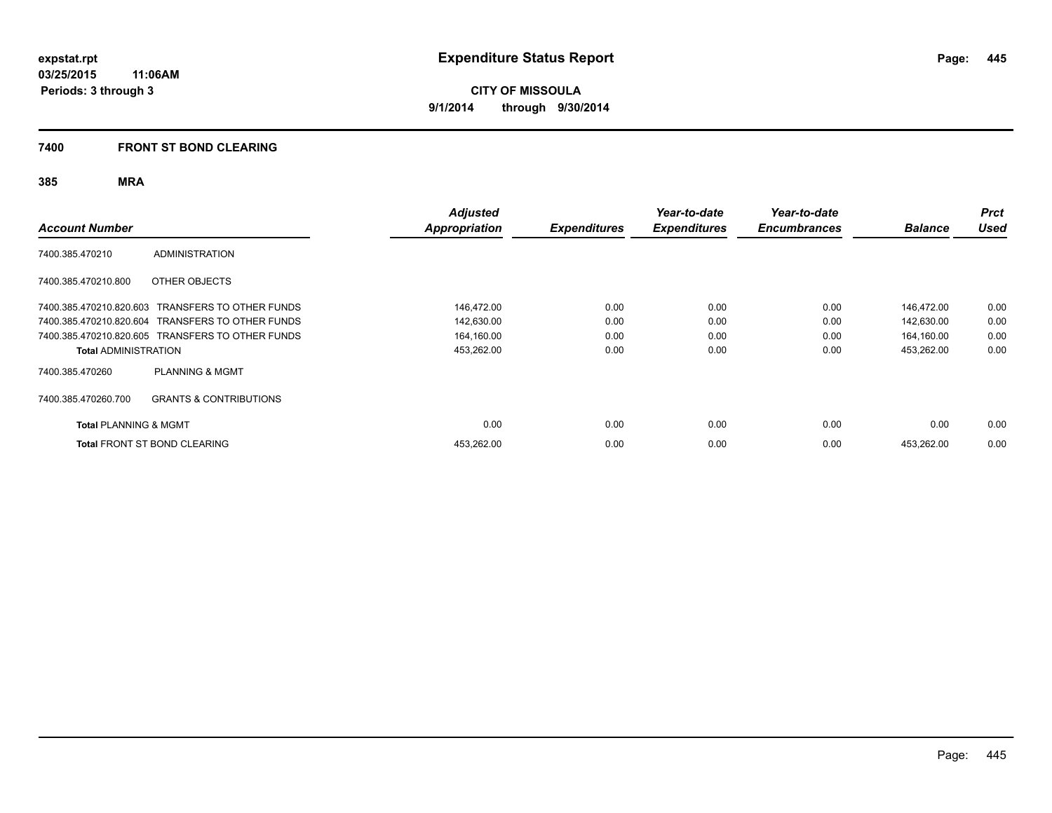## **7400 FRONT ST BOND CLEARING**

| <b>Account Number</b>            |                                                  | <b>Adjusted</b><br>Appropriation | <b>Expenditures</b> | Year-to-date<br><b>Expenditures</b> | Year-to-date<br><b>Encumbrances</b> | <b>Balance</b> | <b>Prct</b><br><b>Used</b> |
|----------------------------------|--------------------------------------------------|----------------------------------|---------------------|-------------------------------------|-------------------------------------|----------------|----------------------------|
| 7400.385.470210                  | <b>ADMINISTRATION</b>                            |                                  |                     |                                     |                                     |                |                            |
| 7400.385.470210.800              | OTHER OBJECTS                                    |                                  |                     |                                     |                                     |                |                            |
|                                  | 7400.385.470210.820.603 TRANSFERS TO OTHER FUNDS | 146,472.00                       | 0.00                | 0.00                                | 0.00                                | 146,472.00     | 0.00                       |
|                                  | 7400.385.470210.820.604 TRANSFERS TO OTHER FUNDS | 142,630.00                       | 0.00                | 0.00                                | 0.00                                | 142,630.00     | 0.00                       |
|                                  | 7400.385.470210.820.605 TRANSFERS TO OTHER FUNDS | 164,160.00                       | 0.00                | 0.00                                | 0.00                                | 164,160.00     | 0.00                       |
| <b>Total ADMINISTRATION</b>      |                                                  | 453,262.00                       | 0.00                | 0.00                                | 0.00                                | 453,262.00     | 0.00                       |
| 7400.385.470260                  | <b>PLANNING &amp; MGMT</b>                       |                                  |                     |                                     |                                     |                |                            |
| 7400.385.470260.700              | <b>GRANTS &amp; CONTRIBUTIONS</b>                |                                  |                     |                                     |                                     |                |                            |
| <b>Total PLANNING &amp; MGMT</b> |                                                  | 0.00                             | 0.00                | 0.00                                | 0.00                                | 0.00           | 0.00                       |
|                                  | <b>Total FRONT ST BOND CLEARING</b>              | 453,262.00                       | 0.00                | 0.00                                | 0.00                                | 453,262.00     | 0.00                       |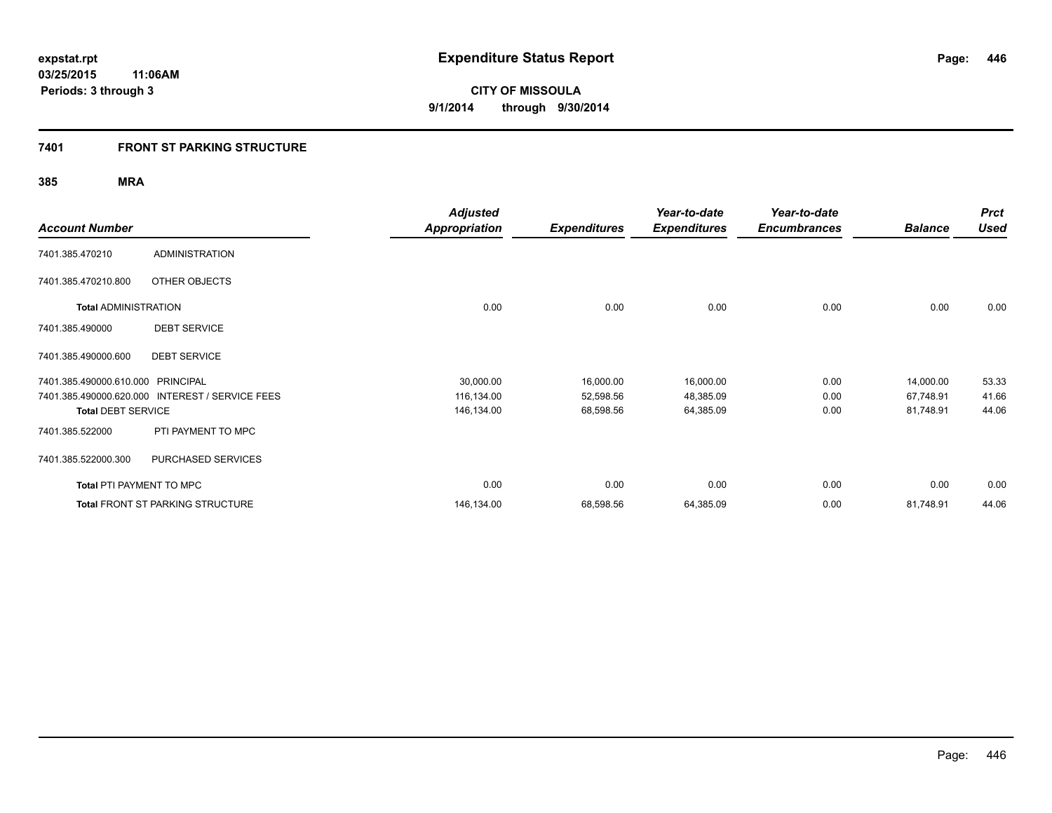## **7401 FRONT ST PARKING STRUCTURE**

|                             |                                         | <b>Adjusted</b>      |                     | Year-to-date        | Year-to-date        |                | <b>Prct</b> |
|-----------------------------|-----------------------------------------|----------------------|---------------------|---------------------|---------------------|----------------|-------------|
| <b>Account Number</b>       |                                         | <b>Appropriation</b> | <b>Expenditures</b> | <b>Expenditures</b> | <b>Encumbrances</b> | <b>Balance</b> | <b>Used</b> |
| 7401.385.470210             | <b>ADMINISTRATION</b>                   |                      |                     |                     |                     |                |             |
| 7401.385.470210.800         | OTHER OBJECTS                           |                      |                     |                     |                     |                |             |
| <b>Total ADMINISTRATION</b> |                                         | 0.00                 | 0.00                | 0.00                | 0.00                | 0.00           | 0.00        |
| 7401.385.490000             | <b>DEBT SERVICE</b>                     |                      |                     |                     |                     |                |             |
| 7401.385.490000.600         | <b>DEBT SERVICE</b>                     |                      |                     |                     |                     |                |             |
| 7401.385.490000.610.000     | <b>PRINCIPAL</b>                        | 30,000.00            | 16,000.00           | 16,000.00           | 0.00                | 14,000.00      | 53.33       |
| 7401.385.490000.620.000     | <b>INTEREST / SERVICE FEES</b>          | 116,134.00           | 52,598.56           | 48,385.09           | 0.00                | 67,748.91      | 41.66       |
| <b>Total DEBT SERVICE</b>   |                                         | 146,134.00           | 68,598.56           | 64,385.09           | 0.00                | 81,748.91      | 44.06       |
| 7401.385.522000             | PTI PAYMENT TO MPC                      |                      |                     |                     |                     |                |             |
| 7401.385.522000.300         | PURCHASED SERVICES                      |                      |                     |                     |                     |                |             |
| Total PTI PAYMENT TO MPC    |                                         | 0.00                 | 0.00                | 0.00                | 0.00                | 0.00           | 0.00        |
|                             | <b>Total FRONT ST PARKING STRUCTURE</b> | 146,134.00           | 68,598.56           | 64,385.09           | 0.00                | 81,748.91      | 44.06       |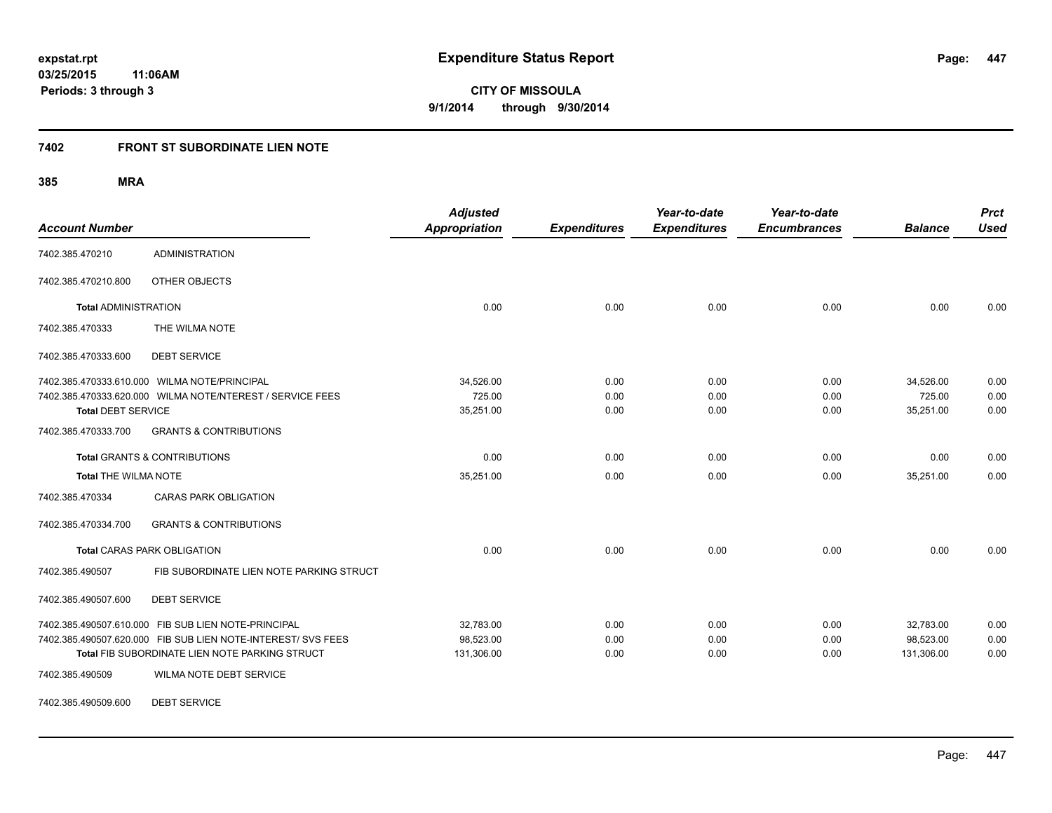## **7402 FRONT ST SUBORDINATE LIEN NOTE**

**385 MRA**

| <b>Account Number</b>       |                                                                                                                                                                       | <b>Adjusted</b><br><b>Appropriation</b> | <b>Expenditures</b>  | Year-to-date<br><b>Expenditures</b> | Year-to-date<br><b>Encumbrances</b> | <b>Balance</b>                       | <b>Prct</b><br><b>Used</b> |
|-----------------------------|-----------------------------------------------------------------------------------------------------------------------------------------------------------------------|-----------------------------------------|----------------------|-------------------------------------|-------------------------------------|--------------------------------------|----------------------------|
| 7402.385.470210             | <b>ADMINISTRATION</b>                                                                                                                                                 |                                         |                      |                                     |                                     |                                      |                            |
| 7402.385.470210.800         | OTHER OBJECTS                                                                                                                                                         |                                         |                      |                                     |                                     |                                      |                            |
| <b>Total ADMINISTRATION</b> |                                                                                                                                                                       | 0.00                                    | 0.00                 | 0.00                                | 0.00                                | 0.00                                 | 0.00                       |
| 7402.385.470333             | THE WILMA NOTE                                                                                                                                                        |                                         |                      |                                     |                                     |                                      |                            |
| 7402.385.470333.600         | <b>DEBT SERVICE</b>                                                                                                                                                   |                                         |                      |                                     |                                     |                                      |                            |
| <b>Total DEBT SERVICE</b>   | 7402.385.470333.610.000 WILMA NOTE/PRINCIPAL<br>7402.385.470333.620.000 WILMA NOTE/NTEREST / SERVICE FEES                                                             | 34,526.00<br>725.00<br>35,251.00        | 0.00<br>0.00<br>0.00 | 0.00<br>0.00<br>0.00                | 0.00<br>0.00<br>0.00                | 34,526.00<br>725.00<br>35,251.00     | 0.00<br>0.00<br>0.00       |
| 7402.385.470333.700         | <b>GRANTS &amp; CONTRIBUTIONS</b>                                                                                                                                     |                                         |                      |                                     |                                     |                                      |                            |
|                             | <b>Total GRANTS &amp; CONTRIBUTIONS</b>                                                                                                                               | 0.00                                    | 0.00                 | 0.00                                | 0.00                                | 0.00                                 | 0.00                       |
| <b>Total THE WILMA NOTE</b> |                                                                                                                                                                       | 35,251.00                               | 0.00                 | 0.00                                | 0.00                                | 35,251.00                            | 0.00                       |
| 7402.385.470334             | <b>CARAS PARK OBLIGATION</b>                                                                                                                                          |                                         |                      |                                     |                                     |                                      |                            |
| 7402.385.470334.700         | <b>GRANTS &amp; CONTRIBUTIONS</b>                                                                                                                                     |                                         |                      |                                     |                                     |                                      |                            |
|                             | <b>Total CARAS PARK OBLIGATION</b>                                                                                                                                    | 0.00                                    | 0.00                 | 0.00                                | 0.00                                | 0.00                                 | 0.00                       |
| 7402.385.490507             | FIB SUBORDINATE LIEN NOTE PARKING STRUCT                                                                                                                              |                                         |                      |                                     |                                     |                                      |                            |
| 7402.385.490507.600         | <b>DEBT SERVICE</b>                                                                                                                                                   |                                         |                      |                                     |                                     |                                      |                            |
|                             | 7402.385.490507.610.000 FIB SUB LIEN NOTE-PRINCIPAL<br>7402.385.490507.620.000 FIB SUB LIEN NOTE-INTEREST/ SVS FEES<br>Total FIB SUBORDINATE LIEN NOTE PARKING STRUCT | 32.783.00<br>98,523.00<br>131,306.00    | 0.00<br>0.00<br>0.00 | 0.00<br>0.00<br>0.00                | 0.00<br>0.00<br>0.00                | 32.783.00<br>98.523.00<br>131,306.00 | 0.00<br>0.00<br>0.00       |
| 7402.385.490509             | WILMA NOTE DEBT SERVICE                                                                                                                                               |                                         |                      |                                     |                                     |                                      |                            |

7402.385.490509.600 DEBT SERVICE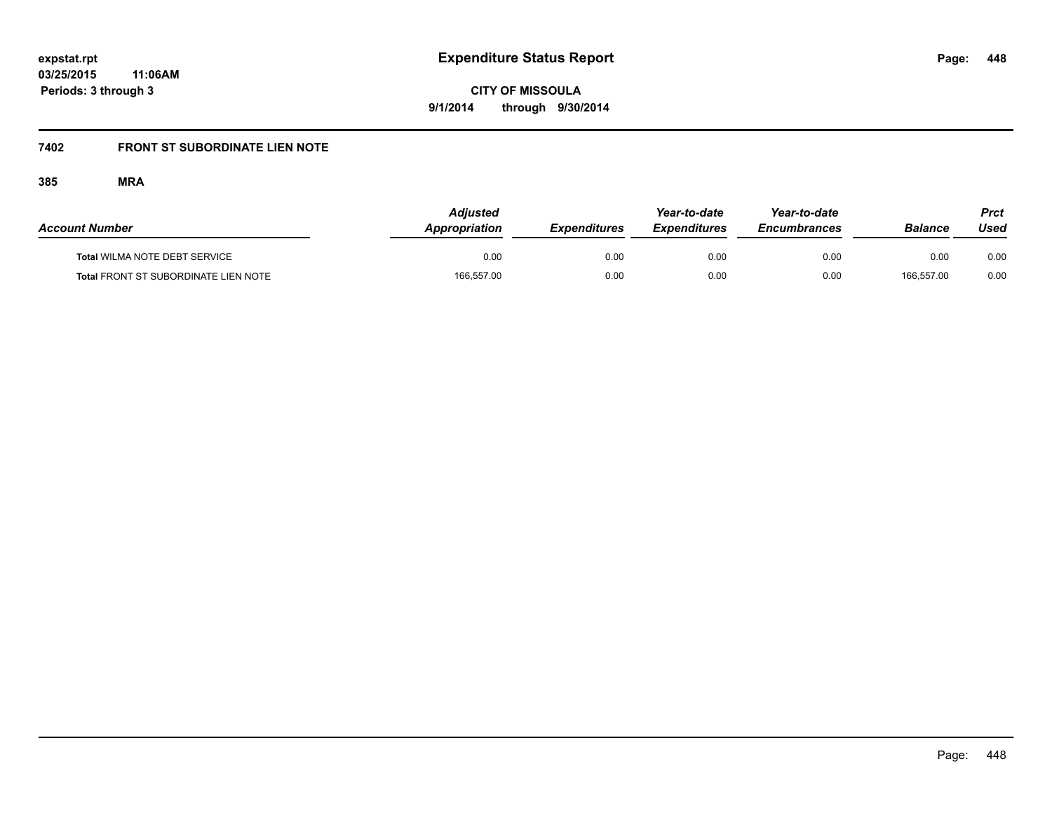# **7402 FRONT ST SUBORDINATE LIEN NOTE**

| <b>Account Number</b>                       | <b>Adjusted</b><br>Appropriation | <b>Expenditures</b> | Year-to-date<br><i><b>Expenditures</b></i> | Year-to-date<br><b>Encumbrances</b> | Balance    | <b>Prct</b><br>Used |
|---------------------------------------------|----------------------------------|---------------------|--------------------------------------------|-------------------------------------|------------|---------------------|
| <b>Total WILMA NOTE DEBT SERVICE</b>        | 0.00                             | 0.00                | 0.00                                       | 0.00                                | 0.00       | 0.00                |
| <b>Total FRONT ST SUBORDINATE LIEN NOTE</b> | 166,557.00                       | 0.00                | 0.00                                       | 0.00                                | 166.557.00 | 0.00                |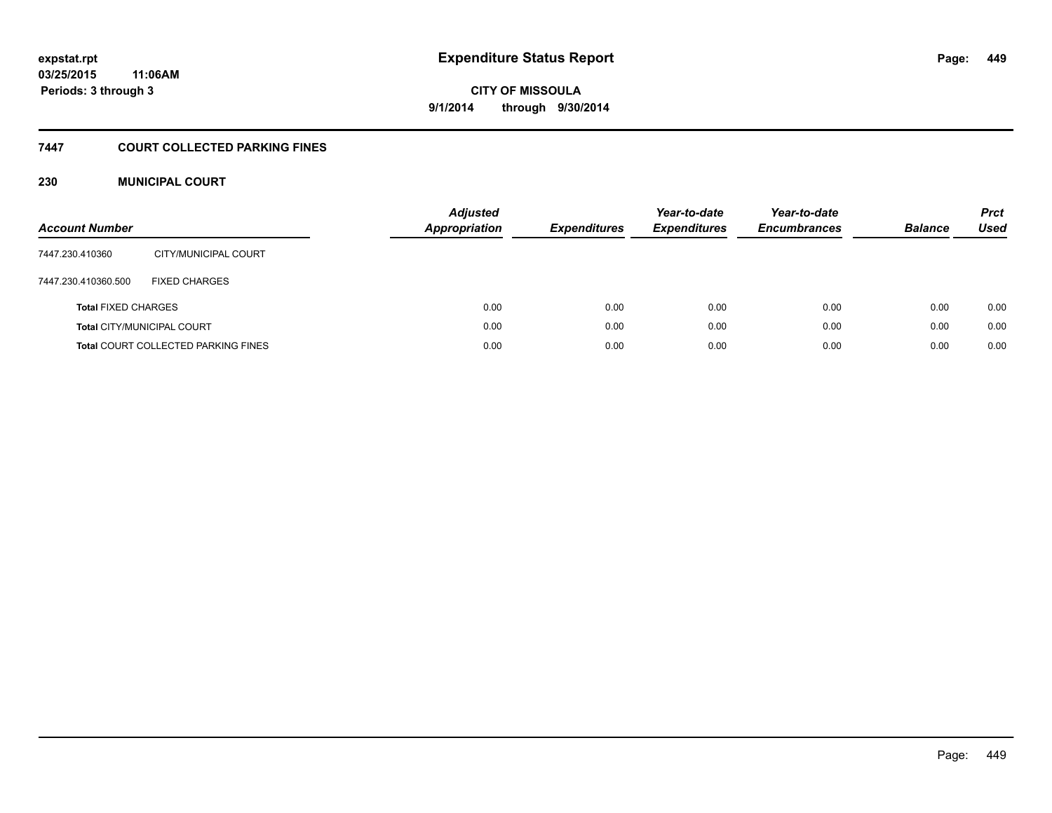# **CITY OF MISSOULA 9/1/2014 through 9/30/2014**

## **7447 COURT COLLECTED PARKING FINES**

## **230 MUNICIPAL COURT**

| <b>Account Number</b>      |                                            | <b>Adjusted</b><br>Appropriation | <b>Expenditures</b> | Year-to-date<br><b>Expenditures</b> | Year-to-date<br><b>Encumbrances</b> | <b>Balance</b> | <b>Prct</b><br>Used |
|----------------------------|--------------------------------------------|----------------------------------|---------------------|-------------------------------------|-------------------------------------|----------------|---------------------|
| 7447.230.410360            | CITY/MUNICIPAL COURT                       |                                  |                     |                                     |                                     |                |                     |
| 7447.230.410360.500        | <b>FIXED CHARGES</b>                       |                                  |                     |                                     |                                     |                |                     |
| <b>Total FIXED CHARGES</b> |                                            | 0.00                             | 0.00                | 0.00                                | 0.00                                | 0.00           | 0.00                |
|                            | <b>Total CITY/MUNICIPAL COURT</b>          | 0.00                             | 0.00                | 0.00                                | 0.00                                | 0.00           | 0.00                |
|                            | <b>Total COURT COLLECTED PARKING FINES</b> | 0.00                             | 0.00                | 0.00                                | 0.00                                | 0.00           | 0.00                |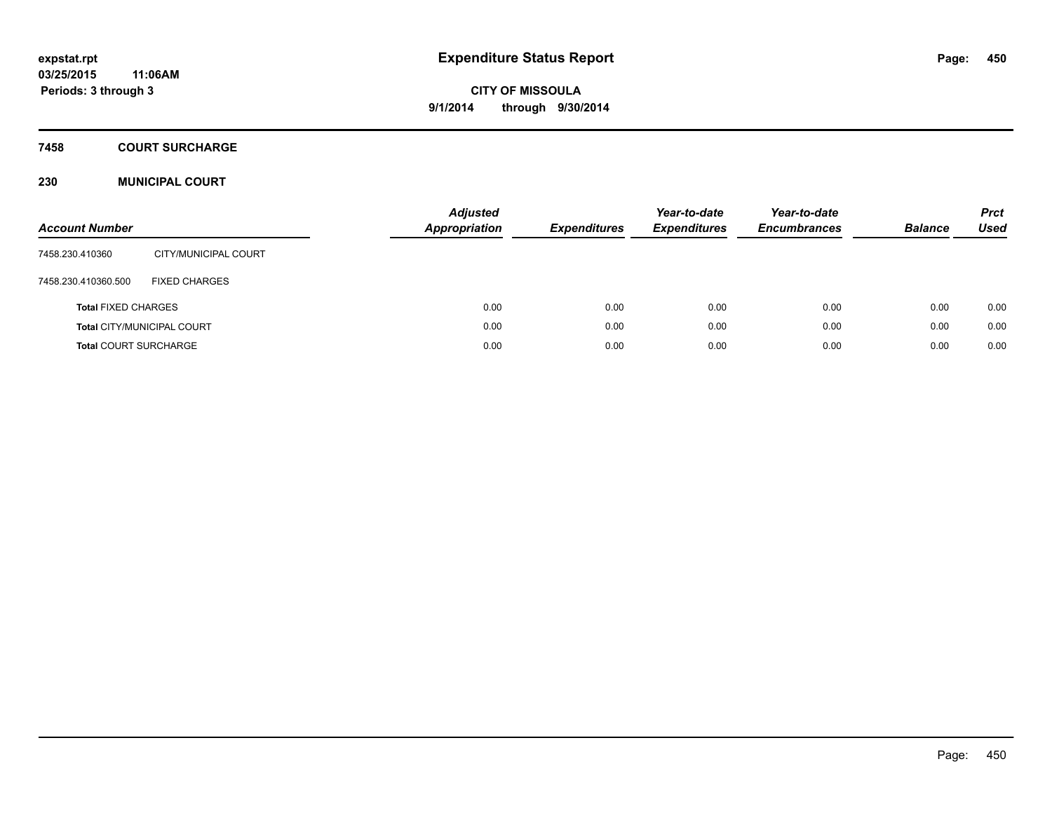## **7458 COURT SURCHARGE**

## **230 MUNICIPAL COURT**

| <b>Account Number</b>        |                                   | <b>Adjusted</b><br><b>Appropriation</b> | <b>Expenditures</b> | Year-to-date<br><b>Expenditures</b> | Year-to-date<br><b>Encumbrances</b> | <b>Balance</b> | <b>Prct</b><br>Used |
|------------------------------|-----------------------------------|-----------------------------------------|---------------------|-------------------------------------|-------------------------------------|----------------|---------------------|
| 7458.230.410360              | CITY/MUNICIPAL COURT              |                                         |                     |                                     |                                     |                |                     |
| 7458.230.410360.500          | <b>FIXED CHARGES</b>              |                                         |                     |                                     |                                     |                |                     |
| <b>Total FIXED CHARGES</b>   |                                   | 0.00                                    | 0.00                | 0.00                                | 0.00                                | 0.00           | 0.00                |
|                              | <b>Total CITY/MUNICIPAL COURT</b> | 0.00                                    | 0.00                | 0.00                                | 0.00                                | 0.00           | 0.00                |
| <b>Total COURT SURCHARGE</b> |                                   | 0.00                                    | 0.00                | 0.00                                | 0.00                                | 0.00           | 0.00                |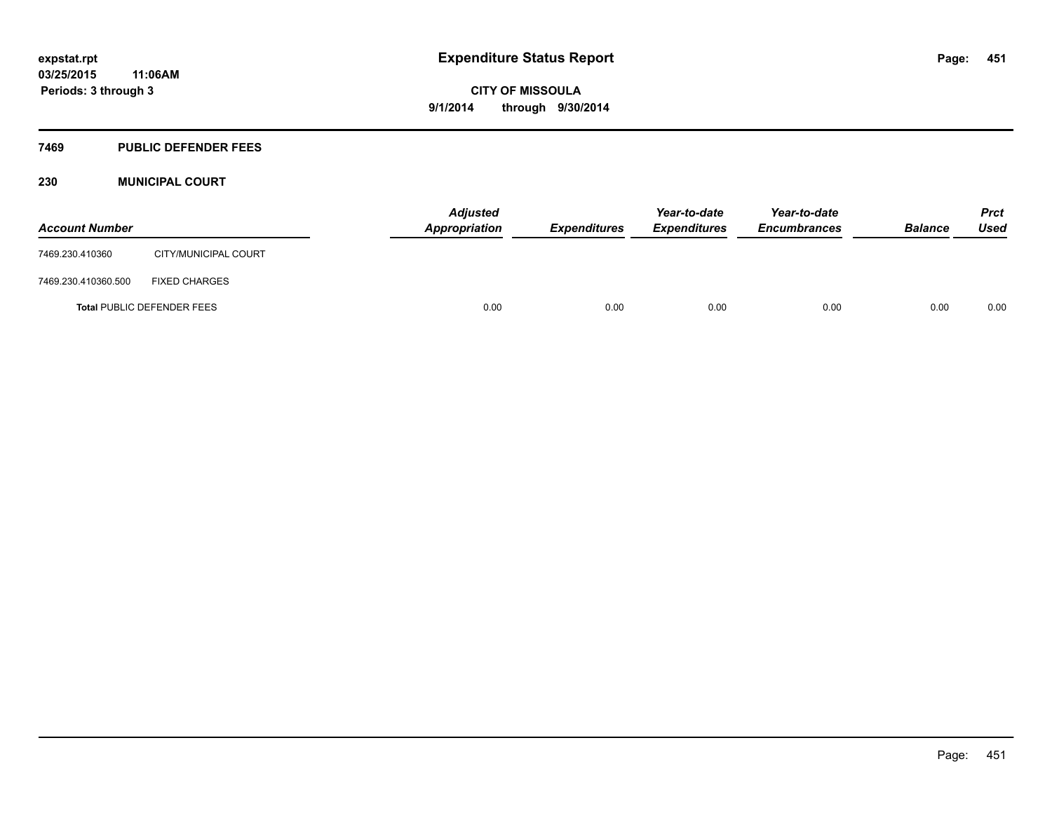#### **7469 PUBLIC DEFENDER FEES**

## **230 MUNICIPAL COURT**

| <b>Account Number</b> |                                   | <b>Adjusted</b><br>Appropriation | <b>Expenditures</b> | Year-to-date<br><b>Expenditures</b> | Year-to-date<br><b>Encumbrances</b> | <b>Balance</b> | <b>Prct</b><br>Used |
|-----------------------|-----------------------------------|----------------------------------|---------------------|-------------------------------------|-------------------------------------|----------------|---------------------|
| 7469.230.410360       | CITY/MUNICIPAL COURT              |                                  |                     |                                     |                                     |                |                     |
| 7469.230.410360.500   | <b>FIXED CHARGES</b>              |                                  |                     |                                     |                                     |                |                     |
|                       | <b>Total PUBLIC DEFENDER FEES</b> | 0.00                             | 0.00                | 0.00                                | 0.00                                | 0.00           | 0.00                |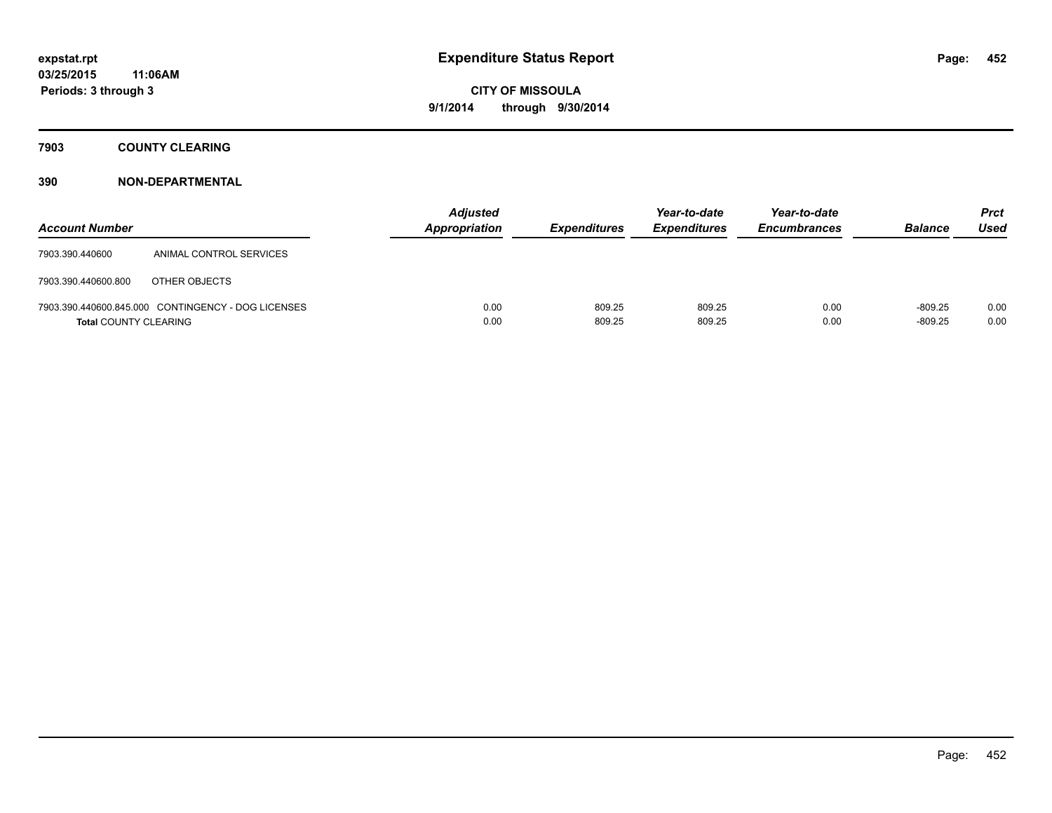**7903 COUNTY CLEARING**

| <b>Account Number</b>        |                                                    | <b>Adjusted</b><br><b>Appropriation</b> | <b>Expenditures</b> | Year-to-date<br><b>Expenditures</b> | Year-to-date<br><b>Encumbrances</b> | <b>Balance</b>         | <b>Prct</b><br><b>Used</b> |
|------------------------------|----------------------------------------------------|-----------------------------------------|---------------------|-------------------------------------|-------------------------------------|------------------------|----------------------------|
| 7903.390.440600              | ANIMAL CONTROL SERVICES                            |                                         |                     |                                     |                                     |                        |                            |
| 7903.390.440600.800          | OTHER OBJECTS                                      |                                         |                     |                                     |                                     |                        |                            |
| <b>Total COUNTY CLEARING</b> | 7903.390.440600.845.000 CONTINGENCY - DOG LICENSES | 0.00<br>0.00                            | 809.25<br>809.25    | 809.25<br>809.25                    | 0.00<br>0.00                        | $-809.25$<br>$-809.25$ | 0.00<br>0.00               |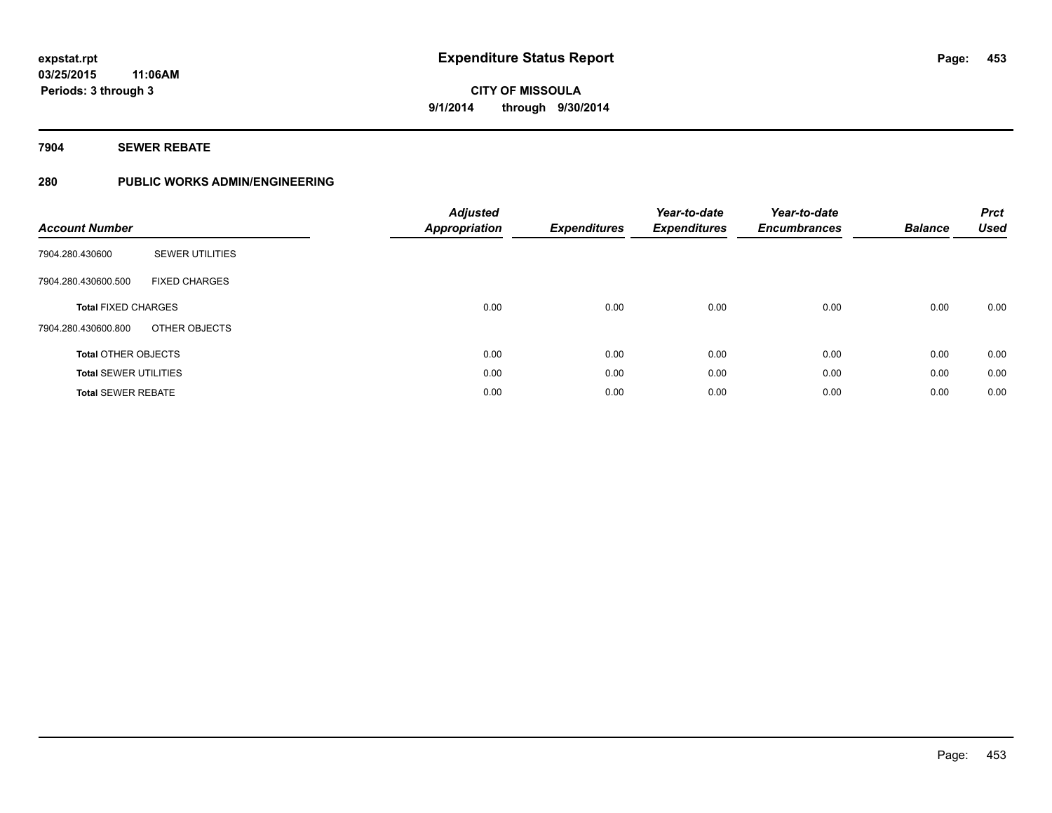## **7904 SEWER REBATE**

## **280 PUBLIC WORKS ADMIN/ENGINEERING**

| <b>Account Number</b>        |                        | <b>Adjusted</b><br><b>Appropriation</b> | <b>Expenditures</b> | Year-to-date<br><b>Expenditures</b> | Year-to-date<br><b>Encumbrances</b> | <b>Balance</b> | <b>Prct</b><br><b>Used</b> |
|------------------------------|------------------------|-----------------------------------------|---------------------|-------------------------------------|-------------------------------------|----------------|----------------------------|
| 7904.280.430600              | <b>SEWER UTILITIES</b> |                                         |                     |                                     |                                     |                |                            |
| 7904.280.430600.500          | <b>FIXED CHARGES</b>   |                                         |                     |                                     |                                     |                |                            |
| <b>Total FIXED CHARGES</b>   |                        | 0.00                                    | 0.00                | 0.00                                | 0.00                                | 0.00           | 0.00                       |
| 7904.280.430600.800          | OTHER OBJECTS          |                                         |                     |                                     |                                     |                |                            |
| <b>Total OTHER OBJECTS</b>   |                        | 0.00                                    | 0.00                | 0.00                                | 0.00                                | 0.00           | 0.00                       |
| <b>Total SEWER UTILITIES</b> |                        | 0.00                                    | 0.00                | 0.00                                | 0.00                                | 0.00           | 0.00                       |
| <b>Total SEWER REBATE</b>    |                        | 0.00                                    | 0.00                | 0.00                                | 0.00                                | 0.00           | 0.00                       |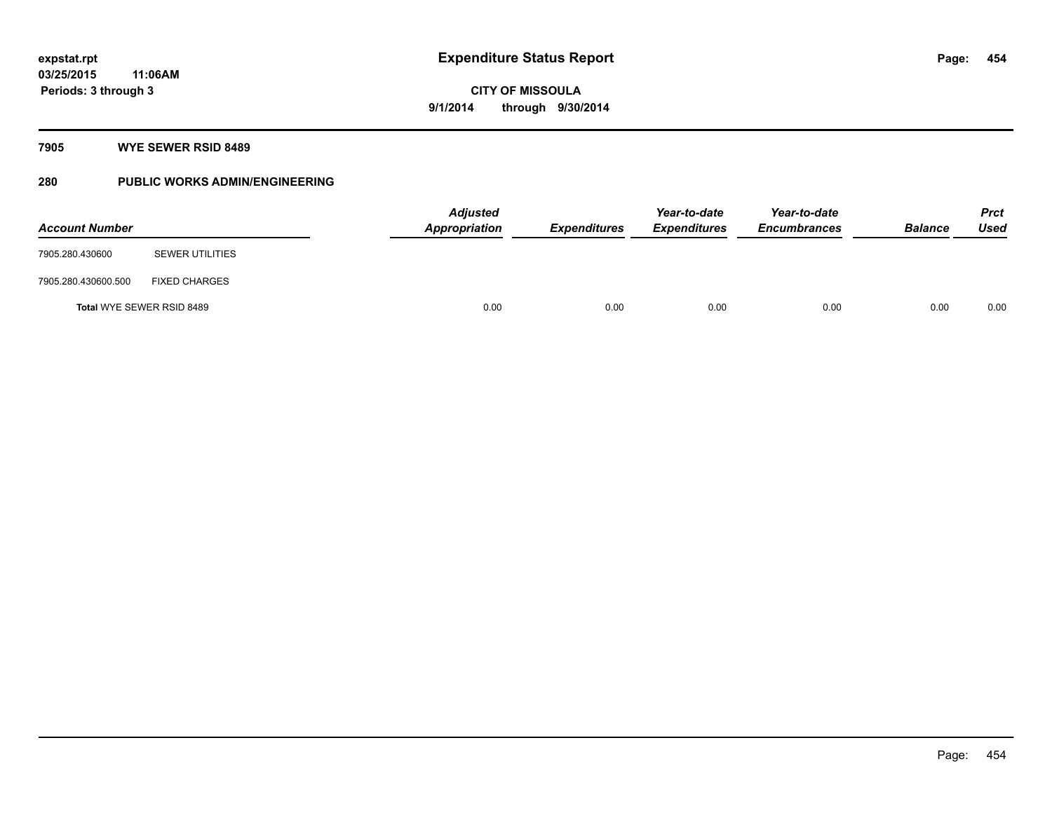## **7905 WYE SEWER RSID 8489**

## **280 PUBLIC WORKS ADMIN/ENGINEERING**

| <b>Account Number</b> |                           | <b>Adjusted</b><br><b>Appropriation</b> | <b>Expenditures</b> | Year-to-date<br><b>Expenditures</b> | Year-to-date<br><b>Encumbrances</b> | <b>Balance</b> | <b>Prct</b><br><b>Used</b> |
|-----------------------|---------------------------|-----------------------------------------|---------------------|-------------------------------------|-------------------------------------|----------------|----------------------------|
| 7905.280.430600       | <b>SEWER UTILITIES</b>    |                                         |                     |                                     |                                     |                |                            |
| 7905.280.430600.500   | <b>FIXED CHARGES</b>      |                                         |                     |                                     |                                     |                |                            |
|                       | Total WYE SEWER RSID 8489 | 0.00                                    | 0.00                | 0.00                                | 0.00                                | 0.00           | 0.00                       |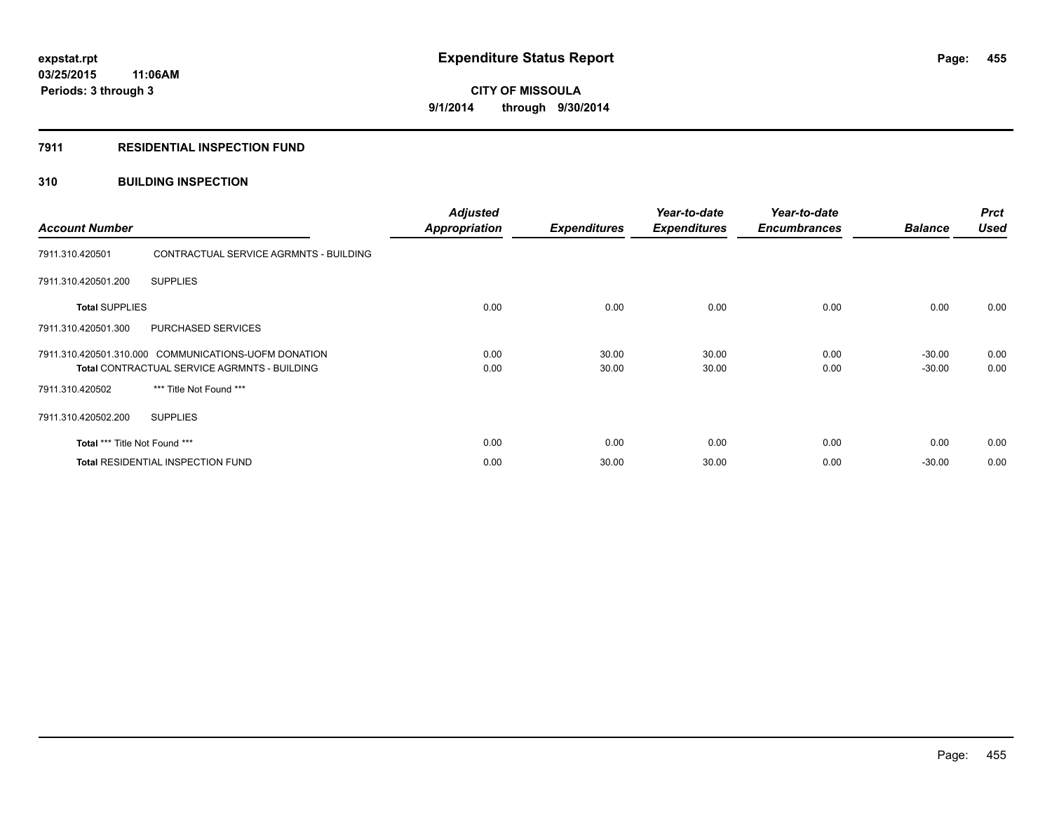## **7911 RESIDENTIAL INSPECTION FUND**

## **310 BUILDING INSPECTION**

| <b>Account Number</b>         |                                                                                                             | <b>Adjusted</b><br><b>Appropriation</b> | <b>Expenditures</b> | Year-to-date<br><b>Expenditures</b> | Year-to-date<br><b>Encumbrances</b> | <b>Balance</b>       | <b>Prct</b><br><b>Used</b> |
|-------------------------------|-------------------------------------------------------------------------------------------------------------|-----------------------------------------|---------------------|-------------------------------------|-------------------------------------|----------------------|----------------------------|
| 7911.310.420501               | CONTRACTUAL SERVICE AGRMNTS - BUILDING                                                                      |                                         |                     |                                     |                                     |                      |                            |
| 7911.310.420501.200           | <b>SUPPLIES</b>                                                                                             |                                         |                     |                                     |                                     |                      |                            |
| <b>Total SUPPLIES</b>         |                                                                                                             | 0.00                                    | 0.00                | 0.00                                | 0.00                                | 0.00                 | 0.00                       |
| 7911.310.420501.300           | PURCHASED SERVICES                                                                                          |                                         |                     |                                     |                                     |                      |                            |
|                               | 7911.310.420501.310.000 COMMUNICATIONS-UOFM DONATION<br><b>Total CONTRACTUAL SERVICE AGRMNTS - BUILDING</b> | 0.00<br>0.00                            | 30.00<br>30.00      | 30.00<br>30.00                      | 0.00<br>0.00                        | $-30.00$<br>$-30.00$ | 0.00<br>0.00               |
| 7911.310.420502               | *** Title Not Found ***                                                                                     |                                         |                     |                                     |                                     |                      |                            |
| 7911.310.420502.200           | <b>SUPPLIES</b>                                                                                             |                                         |                     |                                     |                                     |                      |                            |
| Total *** Title Not Found *** |                                                                                                             | 0.00                                    | 0.00                | 0.00                                | 0.00                                | 0.00                 | 0.00                       |
|                               | <b>Total RESIDENTIAL INSPECTION FUND</b>                                                                    | 0.00                                    | 30.00               | 30.00                               | 0.00                                | $-30.00$             | 0.00                       |